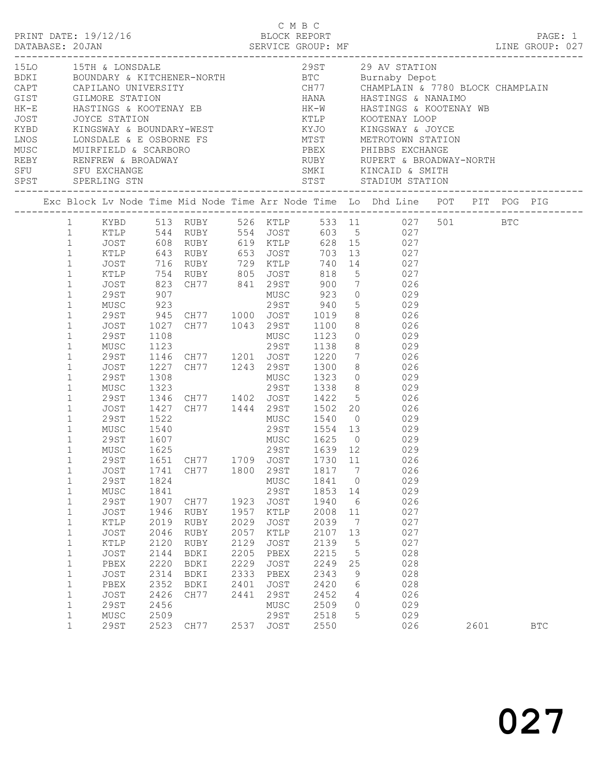|                            |                       |              |                                                                                                                   |              | C M B C      |                        |    |        |                                                                                                                                                                                                                                                                                                                                                    |      |            |  |
|----------------------------|-----------------------|--------------|-------------------------------------------------------------------------------------------------------------------|--------------|--------------|------------------------|----|--------|----------------------------------------------------------------------------------------------------------------------------------------------------------------------------------------------------------------------------------------------------------------------------------------------------------------------------------------------------|------|------------|--|
|                            |                       |              |                                                                                                                   |              |              |                        |    |        | $\begin{tabular}{c c c c c} \hline \texttt{1-11111} & \texttt{1-1211} & \texttt{1-1211} & \texttt{1-1211} & \texttt{1-1211} & \texttt{1-1211} & \texttt{1-1211} & \texttt{1-1211} & \texttt{1-1211} & \texttt{1-1211} & \texttt{1-1211} & \texttt{1-1211} & \texttt{1-1211} & \texttt{1-1211} & \texttt{1-1211} & \texttt{1-1211} & \texttt{1-121$ |      |            |  |
|                            |                       |              |                                                                                                                   |              |              |                        |    |        | Exc Block Lv Node Time Mid Node Time Arr Node Time Lo Dhd Line POT PIT POG PIG                                                                                                                                                                                                                                                                     |      |            |  |
|                            |                       |              |                                                                                                                   |              |              |                        |    |        | 1 KYBD 513 RUBY 526 KTLP 533 11 027 501 BTC                                                                                                                                                                                                                                                                                                        |      |            |  |
|                            |                       |              |                                                                                                                   |              |              |                        |    |        | 1 KTLP 544 RUBY 554 JOST 603 5 027                                                                                                                                                                                                                                                                                                                 |      |            |  |
|                            |                       |              | 1 JOST 608 RUBY 619 KTLP 628 15 027<br>1 KTLP 643 RUBY 653 JOST 703 13 027<br>1 JOST 716 RUBY 729 KTLP 740 14 027 |              |              |                        |    |        |                                                                                                                                                                                                                                                                                                                                                    |      |            |  |
|                            |                       |              |                                                                                                                   |              |              |                        |    |        |                                                                                                                                                                                                                                                                                                                                                    |      |            |  |
|                            |                       |              |                                                                                                                   |              |              |                        |    |        |                                                                                                                                                                                                                                                                                                                                                    |      |            |  |
| $\mathbf{1}$               |                       |              | XTLP 754 RUBY 805 JOST 818 5<br>JOST 823 CH77 841 29ST 900 7 026<br>29ST 907 MUSC 923 29ST 940 5 029              |              |              |                        |    |        |                                                                                                                                                                                                                                                                                                                                                    |      |            |  |
| $\mathbf{1}$               |                       |              |                                                                                                                   |              |              |                        |    |        |                                                                                                                                                                                                                                                                                                                                                    |      |            |  |
| $\mathbf{1}$               |                       |              |                                                                                                                   |              |              |                        |    |        |                                                                                                                                                                                                                                                                                                                                                    |      |            |  |
| $\mathbf{1}$               |                       |              |                                                                                                                   |              |              |                        |    |        |                                                                                                                                                                                                                                                                                                                                                    |      |            |  |
| $\mathbf{1}$               | 29ST                  |              | 945 CH77 1000 JOST 1019                                                                                           |              |              |                        |    |        | 8 026                                                                                                                                                                                                                                                                                                                                              |      |            |  |
| $\mathbf{1}$               | JOST                  |              | 1027 CH77 1043 29ST 1100 8 026<br>1108 MUSC 1123 0 029<br>1123 29ST 1138 8 029                                    |              |              |                        |    |        |                                                                                                                                                                                                                                                                                                                                                    |      |            |  |
| $\mathbf{1}$               | 29ST                  |              |                                                                                                                   |              |              |                        |    |        |                                                                                                                                                                                                                                                                                                                                                    |      |            |  |
| $\mathbf{1}$               | MUSC                  |              |                                                                                                                   |              |              |                        |    |        |                                                                                                                                                                                                                                                                                                                                                    |      |            |  |
| $\mathbf{1}$               | 29ST                  |              | 1146 CH77 1201 JOST 1220 7 026                                                                                    |              |              |                        |    |        |                                                                                                                                                                                                                                                                                                                                                    |      |            |  |
| $\mathbf{1}$               | JOST                  | 1227         | CH77 1243 29ST 1300                                                                                               |              |              |                        |    |        | 8 026                                                                                                                                                                                                                                                                                                                                              |      |            |  |
| $\mathbf{1}$               | 29ST                  | 1308         |                                                                                                                   |              |              | MUSC 1323<br>29ST 1338 |    |        | $\begin{array}{ccc} 0 && 029 \\ 8 && 029 \end{array}$                                                                                                                                                                                                                                                                                              |      |            |  |
| $\mathbf{1}$               | MUSC                  | 1323         |                                                                                                                   |              |              |                        |    |        |                                                                                                                                                                                                                                                                                                                                                    |      |            |  |
| $\mathbf{1}$               | 29ST                  |              | 1346 CH77 1402 JOST 1422 5 026                                                                                    |              |              |                        |    |        |                                                                                                                                                                                                                                                                                                                                                    |      |            |  |
| $\mathbf{1}$               | JOST                  |              | 1427 CH77 1444 29ST 1502 20 026                                                                                   |              |              |                        |    |        |                                                                                                                                                                                                                                                                                                                                                    |      |            |  |
| $\mathbf{1}$               |                       |              |                                                                                                                   |              |              |                        |    |        |                                                                                                                                                                                                                                                                                                                                                    |      |            |  |
| $\mathbf{1}$               |                       |              |                                                                                                                   |              |              |                        |    |        |                                                                                                                                                                                                                                                                                                                                                    |      |            |  |
| $\mathbf{1}$               |                       |              |                                                                                                                   |              |              |                        |    |        |                                                                                                                                                                                                                                                                                                                                                    |      |            |  |
| $\mathbf{1}$               |                       |              |                                                                                                                   |              |              |                        |    |        |                                                                                                                                                                                                                                                                                                                                                    |      |            |  |
| 1                          |                       |              | 29ST 1651 CH77 1709 JOST 1730 11                                                                                  |              |              |                        |    |        | 026                                                                                                                                                                                                                                                                                                                                                |      |            |  |
| $\mathbf 1$                | JOST<br><b>29ST</b>   | 1741         | CH77                                                                                                              | 1800         | 29ST         | 1817<br>1841           |    | 7      | 026<br>029                                                                                                                                                                                                                                                                                                                                         |      |            |  |
| $\mathbf 1$                |                       | 1824         |                                                                                                                   |              | MUSC         |                        |    | 0      |                                                                                                                                                                                                                                                                                                                                                    |      |            |  |
| $\mathbf 1$                | MUSC<br><b>29ST</b>   | 1841<br>1907 |                                                                                                                   |              | 29ST<br>JOST | 1853<br>1940           | 14 |        | 029<br>026                                                                                                                                                                                                                                                                                                                                         |      |            |  |
| $\mathbf{1}$               | JOST                  | 1946         | CH77                                                                                                              | 1923<br>1957 | KTLP         | 2008                   |    | 6      | 027                                                                                                                                                                                                                                                                                                                                                |      |            |  |
| $\mathbf 1$                | $\verb KTLP $         | 2019         | RUBY                                                                                                              | 2029         | JOST         | 2039                   | 11 | 7      | 027                                                                                                                                                                                                                                                                                                                                                |      |            |  |
| $\mathbf{1}$               |                       |              | RUBY                                                                                                              | 2057         | KTLP         | 2107                   |    |        | 027                                                                                                                                                                                                                                                                                                                                                |      |            |  |
| $1\,$                      | JOST                  | 2046         | RUBY                                                                                                              | 2129         |              |                        | 13 |        | 027                                                                                                                                                                                                                                                                                                                                                |      |            |  |
| $\mathbf 1$<br>$\mathbf 1$ | $\verb KTLP $<br>JOST | 2120<br>2144 | RUBY<br>BDKI                                                                                                      | 2205         | JOST<br>PBEX | 2139<br>2215           |    | 5<br>5 | 028                                                                                                                                                                                                                                                                                                                                                |      |            |  |
| $\mathbf 1$                | PBEX                  | 2220         | BDKI                                                                                                              | 2229         | <b>JOST</b>  | 2249                   | 25 |        | 028                                                                                                                                                                                                                                                                                                                                                |      |            |  |
| $\mathbf 1$                | JOST                  | 2314         | BDKI                                                                                                              | 2333         | PBEX         | 2343                   |    | 9      | 028                                                                                                                                                                                                                                                                                                                                                |      |            |  |
| $\mathbf 1$                | PBEX                  | 2352         | BDKI                                                                                                              | 2401         | <b>JOST</b>  | 2420                   |    | 6      | 028                                                                                                                                                                                                                                                                                                                                                |      |            |  |
| $\mathbf 1$                | JOST                  | 2426         | CH77                                                                                                              | 2441         | <b>29ST</b>  | 2452                   |    | 4      | 026                                                                                                                                                                                                                                                                                                                                                |      |            |  |
| $\mathbf 1$                | <b>29ST</b>           | 2456         |                                                                                                                   |              | MUSC         | 2509                   |    | 0      | 029                                                                                                                                                                                                                                                                                                                                                |      |            |  |
| $\mathbf 1$                | MUSC                  | 2509         |                                                                                                                   |              | 29ST         | 2518                   |    | 5      | 029                                                                                                                                                                                                                                                                                                                                                |      |            |  |
| $\mathbf{1}$               | <b>29ST</b>           | 2523         | CH77                                                                                                              | 2537         | JOST         | 2550                   |    |        | 026                                                                                                                                                                                                                                                                                                                                                | 2601 | <b>BTC</b> |  |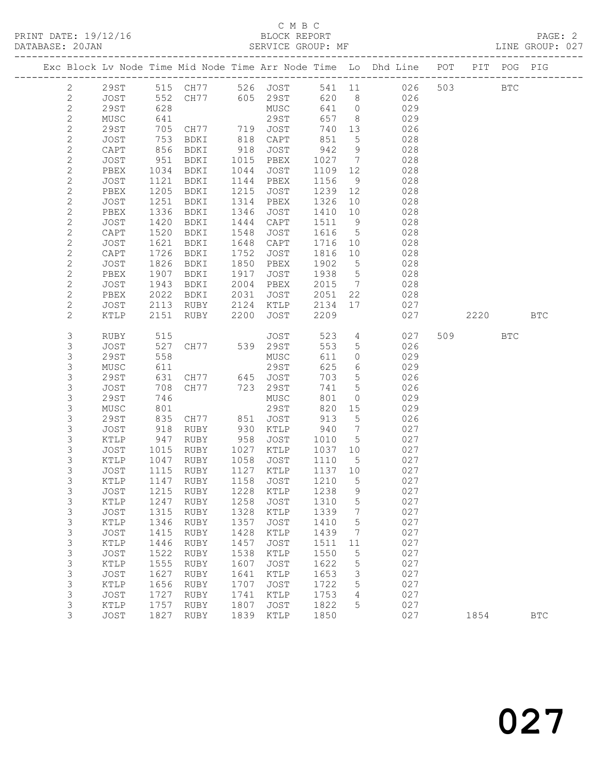## C M B C<br>BLOCK REPORT

|  |                     |              |              |                                        |              |              |              |                 | Exc Block Lv Node Time Mid Node Time Arr Node Time Lo Dhd Line POT PIT POG PIG |     |         |            |              |
|--|---------------------|--------------|--------------|----------------------------------------|--------------|--------------|--------------|-----------------|--------------------------------------------------------------------------------|-----|---------|------------|--------------|
|  | $\mathbf{2}$        | 29ST         |              | 515 CH77 526 JOST                      |              |              |              |                 | 541 11 026                                                                     |     | 503 000 | <b>BTC</b> |              |
|  | 2                   | JOST         | 552          | CH77 605 29ST                          |              |              | 620          | 8 <sup>8</sup>  | 026                                                                            |     |         |            |              |
|  | $\mathbf{2}$        | 29ST         | 628          |                                        |              | MUSC         | 641          | $\overline{0}$  | 029                                                                            |     |         |            |              |
|  | $\sqrt{2}$          | MUSC         | 641          |                                        |              | 29ST         | 657          | 8 <sup>8</sup>  | 029                                                                            |     |         |            |              |
|  | $\mathbf{2}$        | 29ST         | 705          |                                        |              |              | 740          | 13              | 026                                                                            |     |         |            |              |
|  | $\sqrt{2}$          | JOST         | 753          | CH77 719 JOST<br>RDKI 818 CAPT<br>BDKI | 818          | CAPT         | 851          | $5\overline{)}$ | 028                                                                            |     |         |            |              |
|  | $\sqrt{2}$          | CAPT         | 856          | BDKI                                   | 918          | JOST         | 942          | 9               | 028                                                                            |     |         |            |              |
|  | $\mathbf{2}$        | JOST         | 951          | BDKI                                   | 1015         | PBEX         | 1027         | $\overline{7}$  | 028                                                                            |     |         |            |              |
|  | $\mathbf{2}$        | PBEX         | 1034         | BDKI                                   | 1044         | JOST         | 1109 12      |                 | 028                                                                            |     |         |            |              |
|  | $\mathbf{2}$        | JOST         | 1121         | BDKI                                   | 1144         | PBEX         | 1156         | 9               | 028                                                                            |     |         |            |              |
|  | $\mathbf{2}$        | PBEX         | 1205         | BDKI                                   | 1215         | JOST         | 1239 12      |                 | 028                                                                            |     |         |            |              |
|  | $\mathbf{2}$        | JOST         | 1251         | BDKI                                   | 1314         | PBEX         | 1326         | 10              | 028                                                                            |     |         |            |              |
|  | $\mathbf{2}$        | PBEX         | 1336         | BDKI                                   | 1346         | JOST         | 1410         | 10              | 028                                                                            |     |         |            |              |
|  | $\mathbf{2}$        | JOST         | 1420         | BDKI                                   | 1444         | CAPT         | 1511         | 9               | 028                                                                            |     |         |            |              |
|  | $\mathbf{2}$        | CAPT         | 1520         | BDKI                                   | 1548         | JOST         | 1616         | $5\overline{)}$ | 028                                                                            |     |         |            |              |
|  | $\mathbf{2}$        | JOST         | 1621         | BDKI                                   | 1648         | CAPT         | 1716         | 10              | 028                                                                            |     |         |            |              |
|  | $\mathbf{2}$        | CAPT         | 1726         | BDKI                                   | 1752         | JOST         | 1816         | 10              | 028                                                                            |     |         |            |              |
|  | $\mathbf{2}$        | JOST         | 1826         | BDKI                                   | 1850         | PBEX         | 1902         | $5\overline{)}$ | 028                                                                            |     |         |            |              |
|  | $\mathbf{2}$        | PBEX         | 1907         | BDKI                                   | 1917         | JOST         | 1938         | $5\overline{)}$ | 028                                                                            |     |         |            |              |
|  | $\mathbf{2}$        | JOST         | 1943         | BDKI                                   | 2004         | PBEX         | 2015         | $\overline{7}$  | 028                                                                            |     |         |            |              |
|  | $\mathbf{2}$        | PBEX         | 2022         | BDKI                                   | 2031         | JOST         | 2051         | 22              | 028                                                                            |     |         |            |              |
|  | $\mathbf{2}$        | JOST         | 2113         | RUBY                                   | 2124         | KTLP         | 2134         | 17              | 027                                                                            |     |         |            |              |
|  | $\mathbf{2}$        | KTLP         | 2151         | RUBY                                   | 2200         | JOST         | 2209         |                 | 027                                                                            |     | 2220    |            | <b>BTC</b>   |
|  |                     |              |              |                                        |              |              |              |                 |                                                                                |     |         |            |              |
|  | 3                   | RUBY         | 515          |                                        |              | JOST         | 523          | $4\overline{ }$ | 027                                                                            | 509 |         | <b>BTC</b> |              |
|  | 3                   | JOST         | 527          |                                        |              |              | 553          | $5\phantom{.0}$ | 026                                                                            |     |         |            |              |
|  | 3                   | 29ST         | 558          |                                        |              | MUSC         | 611          | $\circ$         | 029                                                                            |     |         |            |              |
|  | 3                   | MUSC         | 611          |                                        |              | 29ST         | 625          | 6               | 029                                                                            |     |         |            |              |
|  | 3                   | 29ST         | 631          | CH77 645 JOST                          |              |              | 703          | 5               | 026                                                                            |     |         |            |              |
|  | $\mathsf S$         | JOST         | 708          | CH77                                   |              | 723 29ST     | 741          | $5\phantom{.0}$ | 026                                                                            |     |         |            |              |
|  | 3                   | <b>29ST</b>  | 746          |                                        |              | MUSC         | 801          | $\circ$         | 029                                                                            |     |         |            |              |
|  | 3                   | MUSC         | 801          |                                        |              | 29ST         | 820          | 15              | 029                                                                            |     |         |            |              |
|  | 3                   | <b>29ST</b>  | 835          | CH77                                   | 851          | JOST         | 913          | $5\phantom{.0}$ | 026                                                                            |     |         |            |              |
|  | 3                   | JOST         | 918<br>947   | RUBY                                   | 930          | KTLP         | 940          | $\overline{7}$  | 027                                                                            |     |         |            |              |
|  | 3                   | KTLP         |              | RUBY                                   | 958          | JOST         | 1010         | $5\overline{)}$ | 027                                                                            |     |         |            |              |
|  | 3                   | JOST         | 1015         | RUBY                                   | 1027         | KTLP         | 1037         | 10              | 027                                                                            |     |         |            |              |
|  | 3                   | KTLP         | 1047         | RUBY                                   | 1058         | JOST         | 1110         | 5               | 027                                                                            |     |         |            |              |
|  | 3                   | JOST         | 1115         | RUBY                                   | 1127         | KTLP         | 1137 10      |                 | 027                                                                            |     |         |            |              |
|  | 3                   | KTLP         |              | 1147 RUBY                              | 1158         | JOST         | 1210         | $5\overline{)}$ | 027                                                                            |     |         |            |              |
|  |                     | JOST         |              | 1215 RUBY 1228 KTLP                    |              |              | 1238         | 9               | 027                                                                            |     |         |            |              |
|  | 3                   | KTLP         | 1247         | RUBY                                   | 1258         | JOST         | 1310         | 5               | 027                                                                            |     |         |            |              |
|  | 3                   | JOST         | 1315         | RUBY                                   | 1328         | KTLP         | 1339         | 7               | 027                                                                            |     |         |            |              |
|  | 3                   | KTLP         | 1346         | RUBY                                   | 1357         | JOST         | 1410         | 5               | 027                                                                            |     |         |            |              |
|  | 3                   | JOST         | 1415         | RUBY                                   | 1428         | KTLP         | 1439         | 7               | 027                                                                            |     |         |            |              |
|  | 3                   | KTLP         | 1446         | RUBY                                   | 1457         | JOST         | 1511         | 11              | 027                                                                            |     |         |            |              |
|  | 3                   | JOST         | 1522         | RUBY                                   | 1538         | KTLP         | 1550         | 5               | 027                                                                            |     |         |            |              |
|  | 3                   | KTLP         | 1555         | RUBY                                   | 1607         | JOST         | 1622         | 5               | 027<br>027                                                                     |     |         |            |              |
|  | $\mathfrak{Z}$<br>3 | JOST<br>KTLP | 1627<br>1656 | RUBY<br>RUBY                           | 1641<br>1707 | KTLP<br>JOST | 1653<br>1722 | 3<br>5          | 027                                                                            |     |         |            |              |
|  | 3                   | JOST         | 1727         | RUBY                                   | 1741         | KTLP         | 1753         | 4               | 027                                                                            |     |         |            |              |
|  | 3                   | KTLP         | 1757         | RUBY                                   | 1807         | JOST         | 1822         | 5               | 027                                                                            |     |         |            |              |
|  | 3                   | JOST         | 1827         | RUBY                                   | 1839         | KTLP         | 1850         |                 | 027                                                                            |     | 1854    |            | $_{\rm BTC}$ |
|  |                     |              |              |                                        |              |              |              |                 |                                                                                |     |         |            |              |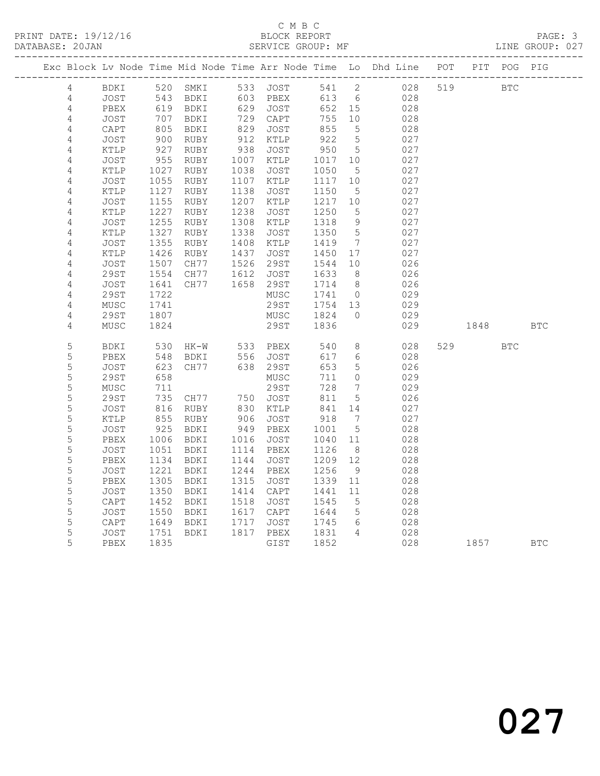## C M B C<br>
C M B C<br>
BLOCK REPOI

 4 JOST 1355 RUBY 1408 KTLP 1419 7 027 4 KTLP 1426 RUBY 1437 JOST 1450 17 027

| PRINT DATE: 19/12/16<br>DATABASE: 20JAN |      |      |             |      | BLOCK REPORT<br>SERVICE GROUP: MF |       |                |                                                                |     |             | PAGE: 3<br>LINE GROUP: 027 |  |
|-----------------------------------------|------|------|-------------|------|-----------------------------------|-------|----------------|----------------------------------------------------------------|-----|-------------|----------------------------|--|
|                                         |      |      |             |      |                                   |       |                | Exc Block Lv Node Time Mid Node Time Arr Node Time Lo Dhd Line | POT | PIT POG PIG |                            |  |
| 4                                       | BDKI | 520  | SMKI        | 533  | JOST                              | 541 2 |                | 028                                                            | 519 | BTC         |                            |  |
| 4                                       | JOST | 543  | BDKI        | 603  | PBEX                              | 613   | 6              | 028                                                            |     |             |                            |  |
| 4                                       | PBEX | 619  | BDKI        | 629  | JOST                              | 652   | 15             | 028                                                            |     |             |                            |  |
| 4                                       | JOST | 707  | <b>BDKI</b> | 729  | CAPT                              | 755   | 10             | 028                                                            |     |             |                            |  |
| 4                                       | CAPT | 805  | BDKI        | 829  | JOST                              | 855   | 5              | 028                                                            |     |             |                            |  |
| 4                                       | JOST | 900  | RUBY        | 912  | KTLP                              | 922   | 5              | 027                                                            |     |             |                            |  |
| 4                                       | KTLP | 927  | RUBY        | 938  | JOST                              | 950   | 5              | 027                                                            |     |             |                            |  |
| 4                                       | JOST | 955  | RUBY        | 1007 | KTLP                              | 1017  | 10             | 027                                                            |     |             |                            |  |
| 4                                       | KTLP | 1027 | RUBY        | 1038 | JOST                              | 1050  | - 5            | 027                                                            |     |             |                            |  |
| 4                                       | JOST | 1055 | <b>RUBY</b> | 1107 | KTLP                              | 1117  | 10             | 027                                                            |     |             |                            |  |
| 4                                       | KTLP | 1127 | <b>RUBY</b> | 1138 | JOST                              | 1150  | 5 <sup>5</sup> | 027                                                            |     |             |                            |  |
| 4                                       | JOST | 1155 | <b>RUBY</b> | 1207 | KTLP                              | 1217  | 10             | 027                                                            |     |             |                            |  |
| 4                                       | KTLP | 1227 | RUBY        | 1238 | JOST                              | 1250  | 5              | 027                                                            |     |             |                            |  |
| 4                                       | JOST | 1255 | RUBY        | 1308 | KTLP                              | 1318  | 9              | 027                                                            |     |             |                            |  |
| 4                                       | KTLP | 1327 | RUBY        | 1338 | JOST                              | 1350  | 5              | 027                                                            |     |             |                            |  |

| 4 | JOST        | 1507 | CH77        | 1526 | 29ST | 1544 | 10           | 026 |     |      |            |            |
|---|-------------|------|-------------|------|------|------|--------------|-----|-----|------|------------|------------|
| 4 | 29ST        | 1554 | CH77        | 1612 | JOST | 1633 | 8            | 026 |     |      |            |            |
| 4 | JOST        | 1641 | CH77        | 1658 | 29ST | 1714 | 8            | 026 |     |      |            |            |
| 4 | 29ST        | 1722 |             |      | MUSC | 1741 | $\mathbf{0}$ | 029 |     |      |            |            |
| 4 | MUSC        | 1741 |             |      | 29ST | 1754 | 13           | 029 |     |      |            |            |
| 4 | 29ST        | 1807 |             |      | MUSC | 1824 | $\Omega$     | 029 |     |      |            |            |
| 4 | MUSC        | 1824 |             |      | 29ST | 1836 |              | 029 |     | 1848 |            | <b>BTC</b> |
| 5 | <b>BDKI</b> | 530  | $HK-W$      | 533  | PBEX | 540  | 8            | 028 | 529 |      | <b>BTC</b> |            |
| 5 | PBEX        | 548  | BDKI        | 556  | JOST | 617  | 6            | 028 |     |      |            |            |
| 5 | JOST        | 623  | CH77        | 638  | 29ST | 653  | 5            | 026 |     |      |            |            |
| 5 | 29ST        | 658  |             |      | MUSC | 711  | 0            | 029 |     |      |            |            |
| 5 | MUSC        | 711  |             |      | 29ST | 728  | 7            | 029 |     |      |            |            |
| 5 | 29ST        | 735  | CH77        | 750  | JOST | 811  | 5            | 026 |     |      |            |            |
| 5 | JOST        | 816  | RUBY        | 830  | KTLP | 841  | 14           | 027 |     |      |            |            |
| 5 | KTLP        | 855  | RUBY        | 906  | JOST | 918  | 7            | 027 |     |      |            |            |
| 5 | JOST        | 925  | <b>BDKI</b> | 949  | PBEX | 1001 | 5            | 028 |     |      |            |            |
| 5 | PBEX        | 1006 | <b>BDKI</b> | 1016 | JOST | 1040 | 11           | 028 |     |      |            |            |
| 5 | JOST        | 1051 | BDKI        | 1114 | PBEX | 1126 | 8            | 028 |     |      |            |            |
| 5 | PBEX        | 1134 | BDKI        | 1144 | JOST | 1209 | 12           | 028 |     |      |            |            |
| 5 | JOST        | 1221 | <b>BDKI</b> | 1244 | PBEX | 1256 | 9            | 028 |     |      |            |            |
| 5 | PBEX        | 1305 | BDKI        | 1315 | JOST | 1339 | 11           | 028 |     |      |            |            |
| 5 | JOST        | 1350 | <b>BDKI</b> | 1414 | CAPT | 1441 | 11           | 028 |     |      |            |            |
| 5 | CAPT        | 1452 | <b>BDKI</b> | 1518 | JOST | 1545 | 5            | 028 |     |      |            |            |
| 5 | JOST        | 1550 | BDKI        | 1617 | CAPT | 1644 | 5            | 028 |     |      |            |            |
| 5 | CAPT        | 1649 | <b>BDKI</b> | 1717 | JOST | 1745 | 6            | 028 |     |      |            |            |
| 5 | JOST        | 1751 | <b>BDKI</b> | 1817 | PBEX | 1831 | 4            | 028 |     |      |            |            |
| 5 | PBEX        | 1835 |             |      | GIST | 1852 |              | 028 |     | 1857 |            | <b>BTC</b> |
|   |             |      |             |      |      |      |              |     |     |      |            |            |

# 027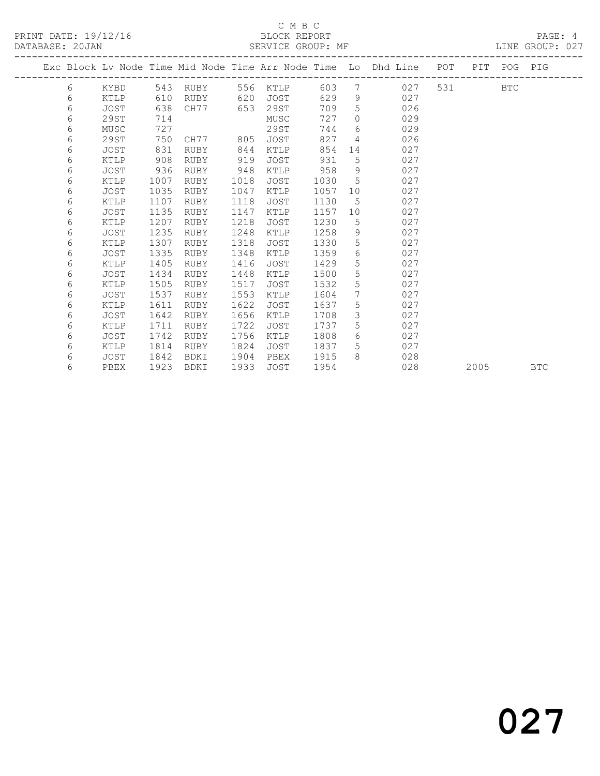## C M B C<br>BLOCK REPORT

|   |             |      |          |      |             |      |                 | Exc Block Lv Node Time Mid Node Time Arr Node Time Lo Dhd Line POT PIT POG PIG |       |      |            |            |
|---|-------------|------|----------|------|-------------|------|-----------------|--------------------------------------------------------------------------------|-------|------|------------|------------|
| 6 | KYBD        |      | 543 RUBY |      | 556 KTLP    | 603  | $7^{\circ}$     | 027                                                                            | 531 7 |      | <b>BTC</b> |            |
| 6 | KTLP        | 610  | RUBY     | 620  | JOST        | 629  | 9               | 027                                                                            |       |      |            |            |
| 6 | <b>JOST</b> | 638  | CH77     | 653  | 29ST        | 709  | 5               | 026                                                                            |       |      |            |            |
| 6 | 29ST        | 714  |          |      | MUSC        | 727  | $\Omega$        | 029                                                                            |       |      |            |            |
| 6 | MUSC        | 727  |          |      | 29ST        | 744  | 6               | 029                                                                            |       |      |            |            |
| 6 | 29ST        | 750  | CH77     | 805  | JOST        | 827  | $\overline{4}$  | 026                                                                            |       |      |            |            |
| 6 | <b>JOST</b> | 831  | RUBY     | 844  | KTLP        | 854  | 14              | 027                                                                            |       |      |            |            |
| 6 | KTLP        | 908  | RUBY     | 919  | JOST        | 931  | 5               | 027                                                                            |       |      |            |            |
| 6 | JOST        | 936  | RUBY     | 948  | KTLP        | 958  | 9               | 027                                                                            |       |      |            |            |
| 6 | KTLP        | 1007 | RUBY     | 1018 | JOST        | 1030 | $5^{\circ}$     | 027                                                                            |       |      |            |            |
| 6 | JOST        | 1035 | RUBY     | 1047 | KTLP        | 1057 | 10              | 027                                                                            |       |      |            |            |
| 6 | KTLP        | 1107 | RUBY     | 1118 | JOST        | 1130 | $5^{\circ}$     | 027                                                                            |       |      |            |            |
| 6 | JOST        | 1135 | RUBY     | 1147 | KTLP        | 1157 | 10              | 027                                                                            |       |      |            |            |
| 6 | KTLP        | 1207 | RUBY     | 1218 | JOST        | 1230 | $5\phantom{.0}$ | 027                                                                            |       |      |            |            |
| 6 | JOST        | 1235 | RUBY     | 1248 | KTLP        | 1258 | 9               | 027                                                                            |       |      |            |            |
| 6 | KTLP        | 1307 | RUBY     | 1318 | JOST        | 1330 | 5               | 027                                                                            |       |      |            |            |
| 6 | JOST        | 1335 | RUBY     | 1348 | KTLP        | 1359 | 6               | 027                                                                            |       |      |            |            |
| 6 | KTLP        | 1405 | RUBY     | 1416 | JOST        | 1429 | 5               | 027                                                                            |       |      |            |            |
| 6 | <b>JOST</b> | 1434 | RUBY     | 1448 | KTLP        | 1500 | 5               | 027                                                                            |       |      |            |            |
| 6 | KTLP        | 1505 | RUBY     | 1517 | JOST        | 1532 | 5               | 027                                                                            |       |      |            |            |
| 6 | JOST        | 1537 | RUBY     | 1553 | KTLP        | 1604 | $7\phantom{.0}$ | 027                                                                            |       |      |            |            |
| 6 | KTLP        | 1611 | RUBY     | 1622 | <b>JOST</b> | 1637 | 5               | 027                                                                            |       |      |            |            |
| 6 | JOST        | 1642 | RUBY     | 1656 | KTLP        | 1708 | $\mathcal{S}$   | 027                                                                            |       |      |            |            |
| 6 | KTLP        | 1711 | RUBY     | 1722 | JOST        | 1737 | 5               | 027                                                                            |       |      |            |            |
| 6 | JOST        | 1742 | RUBY     | 1756 | KTLP        | 1808 | 6               | 027                                                                            |       |      |            |            |
| 6 | KTLP        | 1814 | RUBY     | 1824 | JOST        | 1837 | 5               | 027                                                                            |       |      |            |            |
| 6 | JOST        | 1842 | BDKI     | 1904 | PBEX        | 1915 | 8               | 028                                                                            |       |      |            |            |
| 6 | PBEX        | 1923 | BDKI     | 1933 | JOST        | 1954 |                 | 028                                                                            |       | 2005 |            | <b>BTC</b> |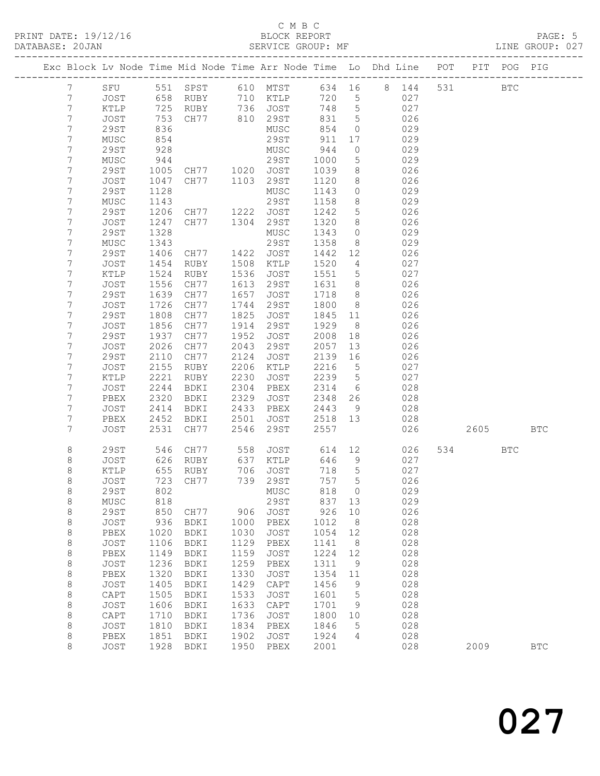#### C M B C<br>BLOCK REPORT

|  |                  |             |      |                                                 |            |               |       |                 | Exc Block Lv Node Time Mid Node Time Arr Node Time Lo Dhd Line POT |         | PIT POG PIG |            |
|--|------------------|-------------|------|-------------------------------------------------|------------|---------------|-------|-----------------|--------------------------------------------------------------------|---------|-------------|------------|
|  | $7\phantom{.}$   |             |      | SFU 551 SPST 610 MTST<br>JOST 658 RUBY 710 KTLP |            |               |       |                 | 634 16 8 144                                                       | 531 000 | <b>BTC</b>  |            |
|  | $7\phantom{.}$   |             |      |                                                 |            |               | 720 5 |                 | 027                                                                |         |             |            |
|  | $\boldsymbol{7}$ | KTLP        | 725  |                                                 |            | RUBY 736 JOST | 748   | $5\overline{)}$ | 027                                                                |         |             |            |
|  | 7                | JOST        | 753  | CH77 810 29ST                                   |            |               | 831   | $5^{\circ}$     | 026                                                                |         |             |            |
|  | 7                | 29ST        | 836  |                                                 |            | MUSC          | 854   | $\overline{0}$  | 029                                                                |         |             |            |
|  | 7                | MUSC        | 854  |                                                 |            | 29ST          | 911   | 17              | 029                                                                |         |             |            |
|  | 7                | 29ST        | 928  |                                                 |            | MUSC          | 944   | $\overline{0}$  | 029                                                                |         |             |            |
|  | 7                | MUSC        | 944  |                                                 |            | 29ST          | 1000  | $5^{\circ}$     | 029                                                                |         |             |            |
|  | 7                | 29ST        | 1005 |                                                 |            | JOST          | 1039  | 8               | 026                                                                |         |             |            |
|  | $\overline{7}$   | JOST        | 1047 | CH77 1020<br>CH77 1103                          |            | 29ST          | 1120  | 8 <sup>8</sup>  | 026                                                                |         |             |            |
|  | 7                | 29ST        | 1128 |                                                 |            | MUSC          | 1143  | $\overline{0}$  | 029                                                                |         |             |            |
|  | 7                | MUSC        | 1143 |                                                 |            | 29ST          | 1158  | 8 <sup>8</sup>  | 029                                                                |         |             |            |
|  | 7                | <b>29ST</b> | 1206 | CH77 1222 JOST                                  |            |               | 1242  | $5\overline{)}$ | 026                                                                |         |             |            |
|  | $\overline{7}$   | JOST        | 1247 | CH77 1304 29ST                                  |            |               | 1320  | 8               | 026                                                                |         |             |            |
|  | 7                | 29ST        | 1328 |                                                 |            | MUSC          | 1343  | $\overline{0}$  | 029                                                                |         |             |            |
|  | 7                | MUSC        | 1343 |                                                 |            | 29ST          | 1358  | 8 <sup>8</sup>  | 029                                                                |         |             |            |
|  | 7                | <b>29ST</b> | 1406 | CH77                                            | 1422       | JOST          | 1442  | 12              | 026                                                                |         |             |            |
|  | 7                | JOST        | 1454 | RUBY                                            | 1508       | KTLP          | 1520  | $\overline{4}$  | 027                                                                |         |             |            |
|  | 7                | KTLP        | 1524 | RUBY                                            | 1536       | JOST          | 1551  | $5\overline{)}$ | 027                                                                |         |             |            |
|  | 7                | JOST        | 1556 | CH77                                            | 1613       | 29ST          | 1631  | 8 <sup>8</sup>  | 026                                                                |         |             |            |
|  | 7                | <b>29ST</b> | 1639 | CH77                                            | 1657       | JOST          | 1718  | 8 <sup>8</sup>  | 026                                                                |         |             |            |
|  | 7                | JOST        | 1726 | CH77                                            | 1744       | 29ST          | 1800  | 8 <sup>8</sup>  | 026                                                                |         |             |            |
|  | 7                | 29ST        | 1808 | CH77                                            | 1825       | JOST          | 1845  | 11              | 026                                                                |         |             |            |
|  | 7                | JOST        | 1856 | CH77                                            | 1914       | 29ST          | 1929  | 8 <sup>8</sup>  | 026                                                                |         |             |            |
|  | 7                | 29ST        | 1937 | CH77                                            | 1952       | JOST          | 2008  | 18              | 026                                                                |         |             |            |
|  | 7                | JOST        | 2026 | CH77                                            | 2043       | 29ST          | 2057  | 13              | 026                                                                |         |             |            |
|  | $\overline{7}$   | 29ST        | 2110 | CH77                                            | 2124       | JOST          | 2139  | 16              | 026                                                                |         |             |            |
|  | 7                | JOST        | 2155 | RUBY                                            | 2206       | KTLP          | 2216  | $5^{\circ}$     | 027                                                                |         |             |            |
|  | 7                | KTLP        | 2221 | RUBY                                            | 2230       | JOST          | 2239  | $5\overline{)}$ | 027                                                                |         |             |            |
|  | 7                | JOST        | 2244 | BDKI                                            | 2304       | PBEX          | 2314  | 6               | 028                                                                |         |             |            |
|  | 7                | PBEX        | 2320 | BDKI                                            | 2329       | JOST          | 2348  | 26              | 028                                                                |         |             |            |
|  | 7                | JOST        | 2414 | BDKI                                            | 2433       | PBEX          | 2443  | 9               | 028                                                                |         |             |            |
|  | 7                | PBEX        | 2452 | BDKI                                            | 2501       | JOST          | 2518  | 13              | 028                                                                |         |             |            |
|  | 7                | JOST        | 2531 | CH77                                            | 2546       | 29ST          | 2557  |                 | 026                                                                | 2605    |             | <b>BTC</b> |
|  |                  |             |      |                                                 |            |               |       |                 |                                                                    |         |             |            |
|  | 8                | 29ST        | 546  | CH77                                            | 558        | JOST          | 614   | 12              | 026                                                                | 534     | BTC         |            |
|  | 8                | JOST        | 626  | RUBY                                            | 637        | KTLP          | 646   | 9               | 027                                                                |         |             |            |
|  | 8                | KTLP        | 655  | RUBY                                            | 706<br>739 | JOST          | 718 5 |                 | 027                                                                |         |             |            |
|  | $\,8\,$          | JOST        |      | 723 CH77                                        |            | 739 29ST      | 757 5 |                 | 026                                                                |         |             |            |
|  | 8                | 29ST        |      | 802 MUSC                                        |            |               | 818 0 |                 | 029                                                                |         |             |            |
|  | 8                | MUSC        | 818  |                                                 |            | 29ST          | 837   | 13              | 029                                                                |         |             |            |
|  | 8                | <b>29ST</b> | 850  | CH77                                            | 906        | JOST          | 926   | 10              | 026                                                                |         |             |            |
|  | $\,8\,$          | JOST        | 936  | BDKI                                            | 1000       | PBEX          | 1012  | 8               | 028                                                                |         |             |            |
|  | $\,8\,$          | PBEX        | 1020 | BDKI                                            | 1030       | JOST          | 1054  | 12              | 028                                                                |         |             |            |
|  | 8                | JOST        | 1106 | BDKI                                            | 1129       | PBEX          | 1141  | 8               | 028                                                                |         |             |            |
|  | 8                | PBEX        | 1149 | BDKI                                            | 1159       | JOST          | 1224  | 12              | 028                                                                |         |             |            |
|  | $\,8\,$          | JOST        | 1236 | BDKI                                            | 1259       | PBEX          | 1311  | 9               | 028                                                                |         |             |            |
|  | $\,8\,$          | PBEX        | 1320 | BDKI                                            | 1330       | JOST          | 1354  | 11              | 028                                                                |         |             |            |
|  | 8                | JOST        | 1405 | BDKI                                            | 1429       | CAPT          | 1456  | 9               | 028                                                                |         |             |            |
|  | 8                | CAPT        | 1505 | BDKI                                            | 1533       | JOST          | 1601  | 5               | 028                                                                |         |             |            |
|  | $\,8\,$          | JOST        | 1606 | BDKI                                            | 1633       | CAPT          | 1701  | 9               | 028                                                                |         |             |            |
|  | $\,8\,$          | CAPT        | 1710 | BDKI                                            | 1736       | JOST          | 1800  | 10              | 028                                                                |         |             |            |
|  | 8                | JOST        | 1810 | BDKI                                            | 1834       | PBEX          | 1846  | 5               | 028                                                                |         |             |            |
|  | 8                | PBEX        | 1851 | BDKI                                            | 1902       | JOST          | 1924  | 4               | 028                                                                |         |             |            |
|  | 8                | JOST        | 1928 | BDKI                                            | 1950       | PBEX          | 2001  |                 | 028                                                                | 2009    |             | <b>BTC</b> |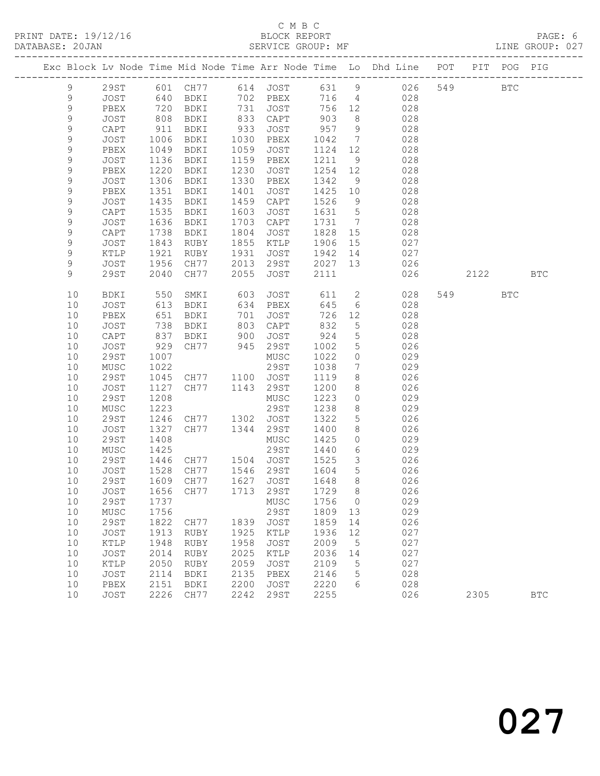## C M B C<br>BLOCK REPORT

|             |                 |              |                            |              |                     |              |                              | Exc Block Lv Node Time Mid Node Time Arr Node Time Lo Dhd Line POT |     |      | PIT POG PIG  |              |
|-------------|-----------------|--------------|----------------------------|--------------|---------------------|--------------|------------------------------|--------------------------------------------------------------------|-----|------|--------------|--------------|
| 9           | <b>29ST</b>     |              | 601 CH77                   | 614          | JOST                | 631          | 9                            | 026                                                                | 549 |      | $_{\rm BTC}$ |              |
| $\mathsf 9$ | <b>JOST</b>     | 640          | BDKI                       | 702          | PBEX                | 716          | $\overline{4}$               | 028                                                                |     |      |              |              |
| $\mathsf 9$ | PBEX            | 720          | BDKI                       | 731          | JOST                | 756          | 12                           | 028                                                                |     |      |              |              |
| $\mathsf 9$ | JOST            | 808          | BDKI                       | 833          | CAPT                | 903          | 8                            | 028                                                                |     |      |              |              |
| 9           | CAPT            | 911          | BDKI                       | 933          | JOST                | 957          | 9                            | 028                                                                |     |      |              |              |
| 9           | JOST            | 1006         | BDKI                       | 1030         | PBEX                | 1042         | $7\phantom{.0}$              | 028                                                                |     |      |              |              |
| 9           | PBEX            | 1049         | BDKI                       | 1059         | JOST                | 1124         | 12                           | 028                                                                |     |      |              |              |
| $\mathsf 9$ | JOST            | 1136         | BDKI                       | 1159         | PBEX                | 1211         | 9                            | 028                                                                |     |      |              |              |
| 9           | PBEX            | 1220         | BDKI                       | 1230         | JOST                | 1254         | 12                           | 028                                                                |     |      |              |              |
| 9           | JOST            | 1306         | BDKI                       | 1330         | PBEX                | 1342         | 9                            | 028                                                                |     |      |              |              |
| 9           | PBEX            | 1351         | BDKI                       | 1401         | JOST                | 1425         | 10                           | 028                                                                |     |      |              |              |
| $\mathsf 9$ | JOST            | 1435         | BDKI                       | 1459         | CAPT                | 1526         | 9                            | 028                                                                |     |      |              |              |
| 9           | CAPT            | 1535         | BDKI                       | 1603         | JOST                | 1631         | $5\overline{)}$              | 028                                                                |     |      |              |              |
| 9           | JOST            | 1636         | BDKI                       | 1703         | CAPT                | 1731         | $7\phantom{.0}\phantom{.0}7$ | 028                                                                |     |      |              |              |
| 9           | CAPT            | 1738         | BDKI                       | 1804         | JOST                | 1828         | 15                           | 028                                                                |     |      |              |              |
| 9           | JOST            | 1843         | RUBY                       | 1855         | KTLP                | 1906         | 15                           | 027                                                                |     |      |              |              |
| 9           | KTLP            | 1921         | RUBY                       | 1931         | JOST                | 1942         | 14                           | 027                                                                |     |      |              |              |
| 9           | JOST            | 1956         | CH77                       | 2013         | 29ST                | 2027         | 13                           | 026                                                                |     |      |              |              |
| 9           | 29ST            | 2040         | CH77                       | 2055         | JOST                | 2111         |                              | 026                                                                |     | 2122 |              | $_{\rm BTC}$ |
| 10          | BDKI            | 550          | SMKI                       | 603          | JOST                | 611          | $\overline{2}$               | 028                                                                | 549 |      | <b>BTC</b>   |              |
| 10          | JOST            | 613          | BDKI                       | 634          | PBEX                | 645          | 6                            | 028                                                                |     |      |              |              |
| 10          | PBEX            | 651          | BDKI                       | 701          | JOST                | 726          | 12                           | 028                                                                |     |      |              |              |
| 10          | JOST            | 738          | BDKI                       | 803          | CAPT                | 832          | 5                            | 028                                                                |     |      |              |              |
| 10          | $\texttt{CAPT}$ | 837          | BDKI                       | 900          | JOST                | 924          | 5                            | 028                                                                |     |      |              |              |
| 10          | JOST            | 929          | CH77                       | 945          | 29ST                | 1002         | 5                            | 026                                                                |     |      |              |              |
| 10          | <b>29ST</b>     | 1007         |                            |              | MUSC                | 1022         | $\circ$                      | 029                                                                |     |      |              |              |
| 10          | MUSC            | 1022         |                            |              | 29ST                | 1038         | $7\phantom{.}$               | 029                                                                |     |      |              |              |
| 10          | <b>29ST</b>     | 1045         | CH77                       | 1100         | JOST                | 1119         | 8                            | 026                                                                |     |      |              |              |
| 10          | JOST            | 1127         | CH77                       | 1143         | 29ST                | 1200         | 8                            | 026                                                                |     |      |              |              |
| 10          | <b>29ST</b>     | 1208         |                            |              | MUSC                | 1223         | $\circ$                      | 029                                                                |     |      |              |              |
| 10          | ${\tt MUSC}$    | 1223         |                            |              | 29ST                | 1238         | 8                            | 029                                                                |     |      |              |              |
| 10          | <b>29ST</b>     | 1246         | CH77                       | 1302         | JOST                | 1322         | 5                            | 026                                                                |     |      |              |              |
| 10          | JOST            | 1327         | CH77                       | 1344         | 29ST                | 1400         | 8                            | 026                                                                |     |      |              |              |
| 10          | <b>29ST</b>     | 1408         |                            |              | MUSC                | 1425         | $\circ$                      | 029                                                                |     |      |              |              |
| 10          | MUSC            | 1425         |                            |              | 29ST                | 1440         | 6                            | 029                                                                |     |      |              |              |
| 10          | <b>29ST</b>     | 1446         | CH77                       |              | 1504 JOST           | 1525         | 3                            | 026                                                                |     |      |              |              |
| 10          | JOST            | 1528         | CH77                       |              | 1546 29ST           | 1604         | 5                            | 026                                                                |     |      |              |              |
| 10          | 29ST            | 1609         | CH77                       | 1627         | JOST                | 1648         | 8                            | 026                                                                |     |      |              |              |
| 10          | JOST            |              | 1656 CH77 1713 29ST 1729 8 |              |                     |              |                              | 026                                                                |     |      |              |              |
| 10          | 29ST            | 1737         |                            |              | MUSC                | 1756         | 0                            | 029                                                                |     |      |              |              |
| 10          | MUSC            | 1756         |                            |              | <b>29ST</b>         | 1809         | 13                           | 029                                                                |     |      |              |              |
| 10          | <b>29ST</b>     | 1822         | CH77                       | 1839         | <b>JOST</b>         | 1859         | 14                           | 026                                                                |     |      |              |              |
| 10          | JOST            | 1913         | RUBY                       | 1925         | KTLP                | 1936         | 12                           | 027<br>027                                                         |     |      |              |              |
| 10          | KTLP            | 1948         | RUBY                       | 1958         | <b>JOST</b>         | 2009         | 5                            |                                                                    |     |      |              |              |
| 10          | JOST            | 2014         | <b>RUBY</b>                | 2025         | KTLP                | 2036         | 14                           | 027                                                                |     |      |              |              |
| 10<br>10    | KTLP            | 2050         | RUBY                       | 2059<br>2135 | <b>JOST</b>         | 2109<br>2146 | 5                            | 027<br>028                                                         |     |      |              |              |
| 10          | JOST<br>PBEX    | 2114<br>2151 | BDKI<br>BDKI               | 2200         | PBEX<br><b>JOST</b> | 2220         | 5<br>6                       | 028                                                                |     |      |              |              |
| 10          | JOST            | 2226         | CH77                       | 2242         | <b>29ST</b>         | 2255         |                              | 026                                                                |     | 2305 |              | <b>BTC</b>   |
|             |                 |              |                            |              |                     |              |                              |                                                                    |     |      |              |              |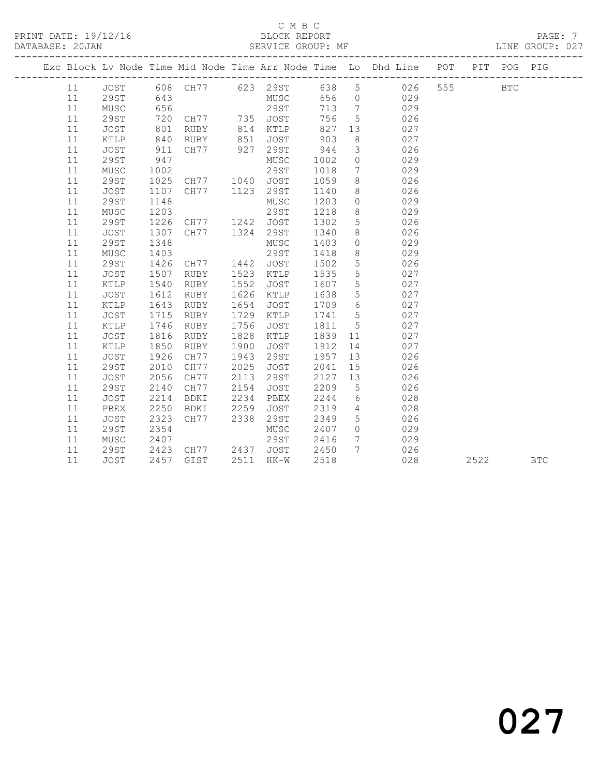#### C M B C<br>BLOCK REPORT

#### SERVICE GROUP: MF

|          |                     |              |                                                        |              |              |              |                 | Exc Block Lv Node Time Mid Node Time Arr Node Time Lo Dhd Line POT |     |      | PIT POG PIG |            |
|----------|---------------------|--------------|--------------------------------------------------------|--------------|--------------|--------------|-----------------|--------------------------------------------------------------------|-----|------|-------------|------------|
| 11       | JOST                |              | 608 CH77 623 29ST                                      |              |              |              | 638 5           | 026                                                                | 555 |      | <b>BTC</b>  |            |
| 11       | 29ST                | 643          |                                                        |              | MUSC         | 656          | $\overline{0}$  | 029                                                                |     |      |             |            |
| 11       | MUSC                | 656          |                                                        |              | 29ST         | 713          | $7\overline{ }$ | 029                                                                |     |      |             |            |
| 11       | <b>29ST</b>         | 720          | CH77          735    JOST<br>RUBY          814    KTLP |              |              | 756          | $5\overline{)}$ | 026                                                                |     |      |             |            |
| 11       | JOST                | 801          |                                                        |              |              | 827          | 13              | 027                                                                |     |      |             |            |
| 11       | KTLP                | 840          | RUBY                                                   | 851          | JOST         | 903          | 8               | 027                                                                |     |      |             |            |
| 11       | JOST                | 911          | CH77 927                                               |              | 29ST         | 944          | $\mathcal{S}$   | 026                                                                |     |      |             |            |
| 11       | 29ST                | 947          |                                                        |              | MUSC         | 1002         | $\overline{0}$  | 029                                                                |     |      |             |            |
| 11       | MUSC                | 1002         |                                                        |              | 29ST         | 1018         | 7 <sup>7</sup>  | 029                                                                |     |      |             |            |
| 11       | 29ST                | 1025         | CH77 1040                                              |              | JOST         | 1059         | 8               | 026                                                                |     |      |             |            |
| 11       | JOST                | 1107         | CH77 1123 29ST                                         |              |              | 1140         | 8               | 026                                                                |     |      |             |            |
| 11       | 29ST                | 1148         |                                                        |              | MUSC         | 1203         | $\overline{0}$  | 029                                                                |     |      |             |            |
| 11       | MUSC                | 1203         |                                                        |              | 29ST         | 1218         | 8               | 029                                                                |     |      |             |            |
| 11       | 29ST                | 1226         | CH77                                                   |              | 1242 JOST    | 1302         | $5\overline{)}$ | 026                                                                |     |      |             |            |
| 11       | <b>JOST</b>         | 1307         | CH77                                                   | 1324         | 29ST         | 1340         | 8 <sup>8</sup>  | 026                                                                |     |      |             |            |
| 11       | 29ST                | 1348         |                                                        |              | MUSC         | 1403         | $\circ$         | 029                                                                |     |      |             |            |
| 11       | ${\tt MUSC}$        | 1403         |                                                        |              | 29ST         | 1418         | 8               | 029                                                                |     |      |             |            |
| 11       | <b>29ST</b>         | 1426         | CH77                                                   |              | 1442 JOST    | 1502         | $5\phantom{.0}$ | 026                                                                |     |      |             |            |
| 11       | JOST                | 1507         | RUBY                                                   | 1523         | KTLP         | 1535         | $5\phantom{.0}$ | 027                                                                |     |      |             |            |
| 11       | $\texttt{KTLP}$     | 1540         | RUBY                                                   | 1552         | JOST         | 1607         | $5\phantom{.0}$ | 027                                                                |     |      |             |            |
| 11       | JOST                | 1612         | RUBY                                                   | 1626         | KTLP         | 1638         | $5\overline{)}$ | 027                                                                |     |      |             |            |
| 11       | KTLP                | 1643         | RUBY                                                   | 1654         | JOST         | 1709         | 6               | 027                                                                |     |      |             |            |
| 11       | JOST                | 1715         | RUBY                                                   | 1729         | KTLP         | 1741         | $5\overline{)}$ | 027                                                                |     |      |             |            |
| 11       | KTLP                | 1746         | RUBY                                                   | 1756         | JOST         | 1811         | $5\overline{)}$ | 027                                                                |     |      |             |            |
| 11       | JOST                | 1816         | RUBY                                                   | 1828         | KTLP         | 1839         | 11              | 027                                                                |     |      |             |            |
| 11       | KTLP                | 1850         | RUBY                                                   | 1900         | JOST         | 1912         | 14              | 027                                                                |     |      |             |            |
| 11       | JOST                | 1926<br>2010 | CH77                                                   | 1943<br>2025 | 29ST         | 1957         | 13              | 026                                                                |     |      |             |            |
| 11<br>11 | <b>29ST</b><br>JOST | 2056         | CH77<br>CH77                                           | 2113         | JOST<br>29ST | 2041<br>2127 | 15<br>13        | 026<br>026                                                         |     |      |             |            |
| 11       | <b>29ST</b>         | 2140         | CH77                                                   | 2154         | JOST         | 2209         | $5^{\circ}$     | 026                                                                |     |      |             |            |
| 11       | JOST                | 2214         | BDKI                                                   | 2234         | PBEX         | 2244         | $6\overline{6}$ | 028                                                                |     |      |             |            |
| 11       | PBEX                | 2250         | BDKI                                                   | 2259         | JOST         | 2319         | $\overline{4}$  | 028                                                                |     |      |             |            |
| 11       | JOST                | 2323         | CH77                                                   | 2338         | 29ST         | 2349         | $5\overline{)}$ | 026                                                                |     |      |             |            |
| 11       | <b>29ST</b>         | 2354         |                                                        |              | MUSC         | 2407         | $\overline{0}$  | 029                                                                |     |      |             |            |
| 11       | MUSC                | 2407         |                                                        |              | 29ST         | 2416         | $7\overline{ }$ | 029                                                                |     |      |             |            |
| 11       | 29ST                | 2423         | CH77 2437 JOST                                         |              |              | 2450         | $7\overline{ }$ | 026                                                                |     |      |             |            |
| 11       | <b>JOST</b>         | 2457         | GIST                                                   |              | 2511 HK-W    | 2518         |                 | 028                                                                |     | 2522 |             | <b>BTC</b> |
|          |                     |              |                                                        |              |              |              |                 |                                                                    |     |      |             |            |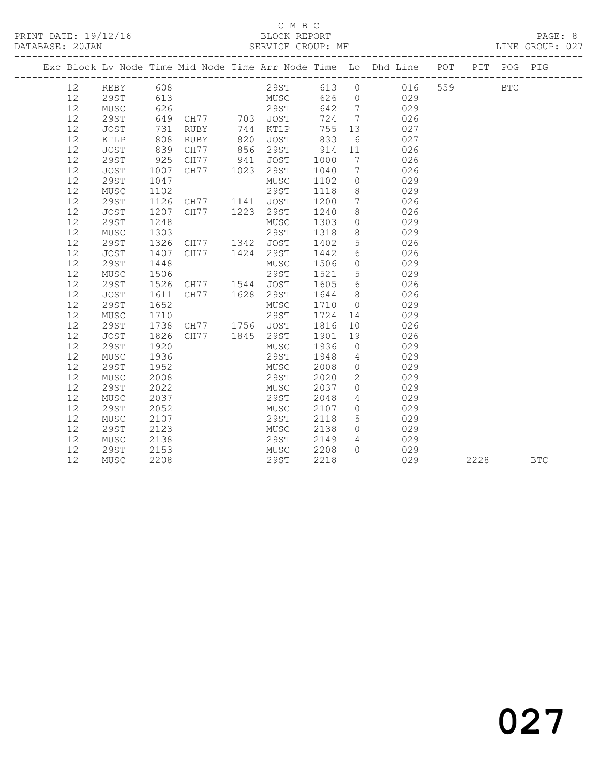#### C M B C<br>BLOCK REPORT SERVICE GROUP: MF

|    |             |      |                                               |      |           |      |                              | Exc Block Lv Node Time Mid Node Time Arr Node Time Lo Dhd Line POT |     | PIT  | POG        | PIG        |
|----|-------------|------|-----------------------------------------------|------|-----------|------|------------------------------|--------------------------------------------------------------------|-----|------|------------|------------|
| 12 | REBY        | 608  |                                               |      | 29ST      | 613  | $\overline{0}$               | 016                                                                | 559 |      | <b>BTC</b> |            |
| 12 | 29ST        | 613  |                                               |      | MUSC      | 626  | $\overline{0}$               | 029                                                                |     |      |            |            |
| 12 | MUSC        |      | 626<br>649 CH77 703 JOST<br>731 RUBY 744 KTLP |      |           | 642  | $\overline{7}$               | 029                                                                |     |      |            |            |
| 12 | 29ST        |      |                                               |      |           | 724  | $\overline{7}$               | 026                                                                |     |      |            |            |
| 12 | JOST        |      |                                               |      | KTLP      | 755  | 13                           | 027                                                                |     |      |            |            |
| 12 | KTLP        | 808  | RUBY                                          | 820  | JOST      | 833  | 6                            | 027                                                                |     |      |            |            |
| 12 | JOST        | 839  | CH77                                          | 856  | 29ST      | 914  | 11                           | 026                                                                |     |      |            |            |
| 12 | 29ST        | 925  | CH77                                          | 941  | JOST      | 1000 | $7\phantom{.0}\phantom{.0}7$ | 026                                                                |     |      |            |            |
| 12 | <b>JOST</b> | 1007 | CH77                                          | 1023 | 29ST      | 1040 | $7\phantom{.0}\phantom{.0}7$ | 026                                                                |     |      |            |            |
| 12 | 29ST        | 1047 |                                               |      | MUSC      | 1102 | $\circ$                      | 029                                                                |     |      |            |            |
| 12 | MUSC        | 1102 |                                               |      | 29ST      | 1118 | 8                            | 029                                                                |     |      |            |            |
| 12 | 29ST        | 1126 | CH77                                          |      | 1141 JOST | 1200 | $7\phantom{.0}\phantom{.0}7$ | 026                                                                |     |      |            |            |
| 12 | JOST        | 1207 | CH77                                          | 1223 | 29ST      | 1240 | 8                            | 026                                                                |     |      |            |            |
| 12 | <b>29ST</b> | 1248 |                                               |      | MUSC      | 1303 | $\overline{0}$               | 029                                                                |     |      |            |            |
| 12 | MUSC        | 1303 |                                               |      | 29ST      | 1318 | 8                            | 029                                                                |     |      |            |            |
| 12 | 29ST        | 1326 | CH77 1342 JOST                                |      |           | 1402 | $5\phantom{.0}$              | 026                                                                |     |      |            |            |
| 12 | JOST        | 1407 | CH77                                          |      | 1424 29ST | 1442 | $6\overline{6}$              | 026                                                                |     |      |            |            |
| 12 | 29ST        | 1448 |                                               |      | MUSC      | 1506 | $\overline{0}$               | 029                                                                |     |      |            |            |
| 12 | MUSC        | 1506 |                                               |      | 29ST      | 1521 | $5\overline{)}$              | 029                                                                |     |      |            |            |
| 12 | 29ST        | 1526 | CH77 1544 JOST                                |      |           | 1605 | 6                            | 026                                                                |     |      |            |            |
| 12 | JOST        | 1611 | CH77 1628                                     |      | 29ST      | 1644 | 8 <sup>8</sup>               | 026                                                                |     |      |            |            |
| 12 | 29ST        | 1652 |                                               |      | MUSC      | 1710 | $\overline{0}$               | 029                                                                |     |      |            |            |
| 12 | MUSC        | 1710 |                                               |      | 29ST      | 1724 | 14                           | 029                                                                |     |      |            |            |
| 12 | 29ST        | 1738 | CH77 1756 JOST                                |      |           | 1816 | 10 <sub>o</sub>              | 026                                                                |     |      |            |            |
| 12 | JOST        | 1826 | CH77 1845 29ST                                |      |           | 1901 | 19                           | 026                                                                |     |      |            |            |
| 12 | 29ST        | 1920 |                                               |      | MUSC      | 1936 | $\overline{0}$               | 029                                                                |     |      |            |            |
| 12 | MUSC        | 1936 |                                               |      | 29ST      | 1948 | $\overline{4}$               | 029                                                                |     |      |            |            |
| 12 | <b>29ST</b> | 1952 |                                               |      | MUSC      | 2008 | $\overline{0}$               | 029                                                                |     |      |            |            |
| 12 | MUSC        | 2008 |                                               |      | 29ST      | 2020 | $\mathbf{2}$                 | 029                                                                |     |      |            |            |
| 12 | 29ST        | 2022 |                                               |      | MUSC      | 2037 | $\circ$                      | 029                                                                |     |      |            |            |
| 12 | MUSC        | 2037 |                                               |      | 29ST      | 2048 | $\overline{4}$               | 029                                                                |     |      |            |            |
| 12 | <b>29ST</b> | 2052 |                                               |      | MUSC      | 2107 | $\overline{0}$               | 029                                                                |     |      |            |            |
| 12 | MUSC        | 2107 |                                               |      | 29ST      | 2118 | $5\overline{)}$              | 029                                                                |     |      |            |            |
| 12 | <b>29ST</b> | 2123 |                                               |      | MUSC      | 2138 | $\bigcirc$                   | 029                                                                |     |      |            |            |
| 12 | MUSC        | 2138 |                                               |      | 29ST      | 2149 | $\overline{4}$               | 029                                                                |     |      |            |            |
| 12 | 29ST        | 2153 |                                               |      | MUSC 2208 |      | $\bigcap$                    | 029                                                                |     |      |            |            |
| 12 | MUSC        | 2208 |                                               |      | 29ST      | 2218 |                              | 029                                                                |     | 2228 |            | <b>BTC</b> |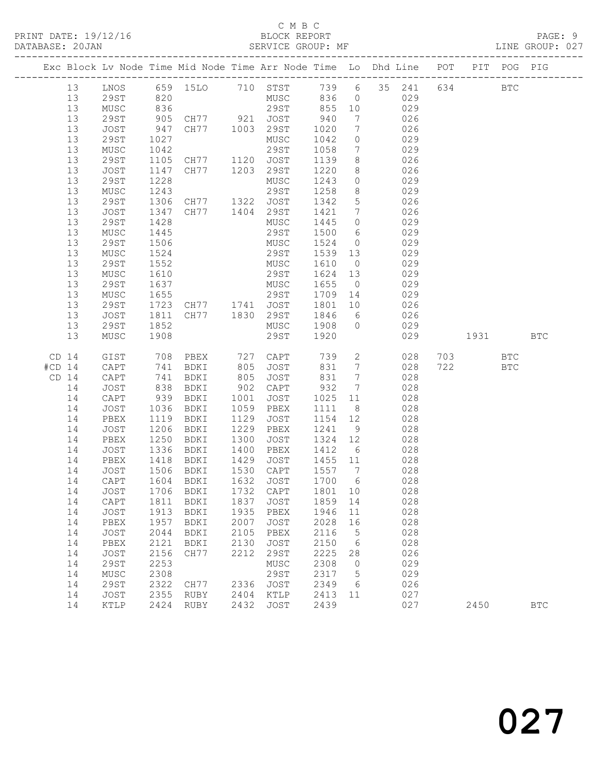#### C M B C<br>BLOCK REPORT

|          |                  |              |              | Exc Block Lv Node Time Mid Node Time Arr Node Time Lo Dhd Line POT |              |                     |                 |                                    |                |            |     |                                                                                                                                                                                                                                 | PIT POG PIG |              |
|----------|------------------|--------------|--------------|--------------------------------------------------------------------|--------------|---------------------|-----------------|------------------------------------|----------------|------------|-----|---------------------------------------------------------------------------------------------------------------------------------------------------------------------------------------------------------------------------------|-------------|--------------|
|          | 13               |              |              | LNOS 659 15LO 710 STST 739 6 35 241                                |              |                     |                 |                                    |                |            |     | 634 BTC                                                                                                                                                                                                                         |             |              |
|          | 13               | 29ST         | 820          |                                                                    |              | MUSC 836 0          |                 |                                    |                | 029        |     |                                                                                                                                                                                                                                 |             |              |
|          | 13               | MUSC         | 836          |                                                                    |              | 29ST 855 10         |                 |                                    |                | 029        |     |                                                                                                                                                                                                                                 |             |              |
|          | 13               | 29ST         | 905          | CH77 921 JOST                                                      |              |                     | 940             | $\overline{7}$                     |                | 026        |     |                                                                                                                                                                                                                                 |             |              |
|          | 13               | JOST         | 947          |                                                                    |              | CH77 1003 29ST 1020 |                 | $\overline{7}$                     |                | 026        |     |                                                                                                                                                                                                                                 |             |              |
|          | 13               | 29ST         | 1027         |                                                                    |              | MUSC<br>29ST        | 1042            | $\overline{0}$<br>$7\overline{ }$  |                | 029        |     |                                                                                                                                                                                                                                 |             |              |
|          | 13<br>13         | MUSC<br>29ST | 1042<br>1105 |                                                                    |              |                     | 1058<br>1139    | 8 <sup>8</sup>                     |                | 029<br>026 |     |                                                                                                                                                                                                                                 |             |              |
|          | 13               | JOST         | 1147         | CH77 1120 JOST<br>CH77 1203 29ST                                   |              |                     | 1220            | 8 <sup>8</sup>                     |                | 026        |     |                                                                                                                                                                                                                                 |             |              |
|          | 13               | 29ST         | 1228         |                                                                    |              | MUSC                | 1243            | $\overline{0}$                     |                | 029        |     |                                                                                                                                                                                                                                 |             |              |
|          | 13               | MUSC         | 1243         |                                                                    |              | 29ST                | 1258            | 8 <sup>8</sup>                     |                | 029        |     |                                                                                                                                                                                                                                 |             |              |
|          | 13               | 29ST         | 1306         | CH77 1322 JOST                                                     |              |                     | 1342            | 5 <sup>5</sup>                     |                | 026        |     |                                                                                                                                                                                                                                 |             |              |
|          | 13               | JOST         | 1347         | CH77 1404 29ST                                                     |              |                     | 1421            | $7\overline{ }$                    |                | 026        |     |                                                                                                                                                                                                                                 |             |              |
|          | 13               | 29ST         | 1428         |                                                                    |              | MUSC                | 1445            | $\overline{0}$                     |                | 029        |     |                                                                                                                                                                                                                                 |             |              |
|          | 13               | MUSC         | 1445         |                                                                    |              | 29ST                | 1500            | $6\overline{6}$                    |                | 029        |     |                                                                                                                                                                                                                                 |             |              |
|          | 13               | 29ST         | 1506         |                                                                    |              | MUSC                | 1524            | $\overline{0}$                     |                | 029        |     |                                                                                                                                                                                                                                 |             |              |
|          | 13               | MUSC         | 1524         |                                                                    |              | 29ST                | 1539 13         |                                    |                | 029        |     |                                                                                                                                                                                                                                 |             |              |
|          | 13               | 29ST         | 1552         |                                                                    |              | MUSC                | 1610            | $\overline{0}$                     |                | 029        |     |                                                                                                                                                                                                                                 |             |              |
|          | 13               | MUSC         | 1610         |                                                                    |              | 29ST                | 1624 13         |                                    |                | 029        |     |                                                                                                                                                                                                                                 |             |              |
|          | 13<br>13         | 29ST<br>MUSC | 1637<br>1655 |                                                                    |              | MUSC                | 1655<br>1709 14 | $\overline{0}$                     |                | 029<br>029 |     |                                                                                                                                                                                                                                 |             |              |
|          | 13               | 29ST         |              |                                                                    |              | 29ST                | 1801            | 10                                 |                | 026        |     |                                                                                                                                                                                                                                 |             |              |
|          | 13               | JOST         | 1811         |                                                                    |              | CH77 1830 29ST 1846 |                 | $6\overline{6}$                    |                | 026        |     |                                                                                                                                                                                                                                 |             |              |
|          | 13               | 29ST         | 1852         |                                                                    |              | MUSC                | 1908 0          |                                    |                | 029        |     |                                                                                                                                                                                                                                 |             |              |
|          | 13               | MUSC         | 1908         |                                                                    |              | 29ST                | 1920            |                                    |                | 029        |     | 1931 — 1931 — 1932 — 1933 — 1934 — 1934 — 1935 — 1935 — 1936 — 1935 — 1936 — 1934 — 1935 — 1936 — 1936 — 1936 — 1936 — 1936 — 1936 — 1937 — 1938 — 1939 — 1939 — 1939 — 1939 — 1939 — 1938 — 1938 — 1938 — 1938 — 1938 — 1938 — |             | <b>BTC</b>   |
|          |                  |              |              |                                                                    |              |                     |                 |                                    |                |            |     |                                                                                                                                                                                                                                 |             |              |
|          | CD <sub>14</sub> | GIST         |              | 708 PBEX 727 CAPT 739                                              | 805          | JOST                |                 |                                    | $\overline{2}$ |            |     | 028 703 BTC<br><b>BTC</b>                                                                                                                                                                                                       |             |              |
| $#CD$ 14 | $CD$ 14          | CAPT<br>CAPT | 741<br>741   | BDKI<br>BDKI                                                       | 805          | JOST                | 831<br>831      | $7\overline{ }$<br>$7\overline{ }$ |                | 028<br>028 | 722 |                                                                                                                                                                                                                                 |             |              |
|          | 14               | JOST         | 838          | BDKI                                                               | 902          | CAPT                | 932             | $7\overline{ }$                    |                | 028        |     |                                                                                                                                                                                                                                 |             |              |
|          | 14               | CAPT         | 939          | BDKI                                                               | 1001         | JOST                | 1025 11         |                                    |                | 028        |     |                                                                                                                                                                                                                                 |             |              |
|          | 14               | JOST         | 1036         | BDKI                                                               | 1059         | PBEX                | 1111            | 8 <sup>8</sup>                     |                | 028        |     |                                                                                                                                                                                                                                 |             |              |
|          | 14               | PBEX         | 1119         | BDKI                                                               | 1129         | JOST                | 1154 12         |                                    |                | 028        |     |                                                                                                                                                                                                                                 |             |              |
|          | 14               | JOST         | 1206         | BDKI                                                               | 1229         | PBEX                | 1241 9          |                                    |                | 028        |     |                                                                                                                                                                                                                                 |             |              |
|          | 14               | PBEX         | 1250         | BDKI                                                               | 1300         | JOST                | 1324 12         |                                    |                | 028        |     |                                                                                                                                                                                                                                 |             |              |
|          | 14               | JOST         | 1336         | BDKI                                                               | 1400         | PBEX                | 1412 6          |                                    |                | 028        |     |                                                                                                                                                                                                                                 |             |              |
|          | 14               | PBEX         | 1418         | BDKI                                                               | 1429         | JOST                | 1455 11         |                                    |                | 028        |     |                                                                                                                                                                                                                                 |             |              |
|          | 14<br>14         | JOST<br>CAPT | 1506<br>1604 | BDKI<br>BDKI                                                       | 1632         | 1530 CAPT           | 1557 7<br>1700  | 6                                  |                | 028<br>028 |     |                                                                                                                                                                                                                                 |             |              |
|          |                  |              |              | 14 JOST 1706 BDKI 1732 CAPT 1801 10 028                            |              | JOST                |                 |                                    |                |            |     |                                                                                                                                                                                                                                 |             |              |
|          | 14               | CAPT         | 1811         | BDKI                                                               | 1837         | JOST                | 1859            | 14                                 |                | 028        |     |                                                                                                                                                                                                                                 |             |              |
|          | 14               | JOST         | 1913         | BDKI                                                               | 1935         | PBEX                | 1946            | 11                                 |                | 028        |     |                                                                                                                                                                                                                                 |             |              |
|          | 14               | PBEX         | 1957         | BDKI                                                               | 2007         | JOST                | 2028            | 16                                 |                | 028        |     |                                                                                                                                                                                                                                 |             |              |
|          | 14               | JOST         | 2044         | BDKI                                                               | 2105         | PBEX                | 2116            | $5^{\circ}$                        |                | 028        |     |                                                                                                                                                                                                                                 |             |              |
|          | 14               | PBEX         | 2121         | BDKI                                                               | 2130         | JOST                | 2150            | $6\overline{6}$                    |                | 028        |     |                                                                                                                                                                                                                                 |             |              |
|          | 14               | JOST         | 2156         | CH77                                                               | 2212         | 29ST                | 2225            | 28                                 |                | 026        |     |                                                                                                                                                                                                                                 |             |              |
|          | 14               | <b>29ST</b>  | 2253         |                                                                    |              | MUSC                | 2308            | $\overline{0}$                     |                | 029        |     |                                                                                                                                                                                                                                 |             |              |
|          | 14               | MUSC         | 2308         |                                                                    |              | 29ST                | 2317            | $5^{\circ}$                        |                | 029        |     |                                                                                                                                                                                                                                 |             |              |
|          | 14               | <b>29ST</b>  | 2322         | CH77                                                               | 2336         | JOST                | 2349            | 6                                  |                | 026        |     |                                                                                                                                                                                                                                 |             |              |
|          | 14               | JOST         | 2355         | RUBY                                                               | 2404<br>2432 | KTLP                | 2413            | 11                                 |                | 027        |     |                                                                                                                                                                                                                                 |             |              |
|          | 14               | KTLP         | 2424         | RUBY                                                               |              | JOST                | 2439            |                                    |                | 027        |     | 2450                                                                                                                                                                                                                            |             | $_{\rm BTC}$ |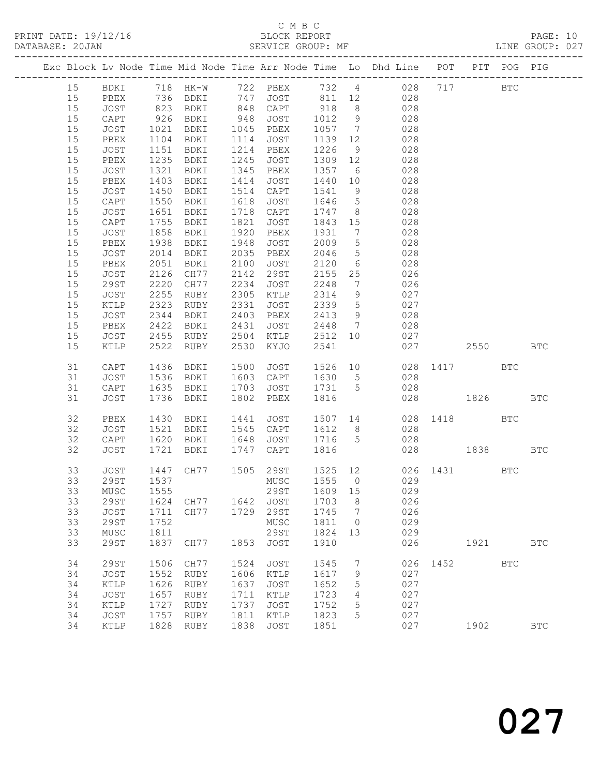## C M B C

| DATABASE: 20JAN |               |                   |                |      | SERVICE GROUP: MF                |                |                 | LINE GROUP: 027                                                                |              |             |            |  |
|-----------------|---------------|-------------------|----------------|------|----------------------------------|----------------|-----------------|--------------------------------------------------------------------------------|--------------|-------------|------------|--|
|                 |               |                   |                |      |                                  |                |                 | Exc Block Lv Node Time Mid Node Time Arr Node Time Lo Dhd Line POT PIT POG PIG |              |             |            |  |
|                 |               |                   |                |      |                                  |                |                 | 15 BDKI 718 HK-W 722 PBEX 732 4 028 717 BTC                                    |              |             |            |  |
| 15              | PBEX          |                   |                |      |                                  |                |                 | 736 BDKI 747 JOST 811 12 028                                                   |              |             |            |  |
| 15              | JOST          |                   |                |      |                                  |                |                 | 028                                                                            |              |             |            |  |
| 15              | CAPT          |                   |                |      |                                  |                |                 | 028                                                                            |              |             |            |  |
| 15              | JOST          | 1021              |                |      |                                  |                |                 | 1057 7 028                                                                     |              |             |            |  |
| 15              | PBEX          | 1104              | BDKI 1114 JOST |      |                                  | 1139 12        |                 | 028                                                                            |              |             |            |  |
| 15              | JOST          | 1151              | <b>BDKI</b>    |      | 1214 PBEX                        | 1226           | 9               | 028                                                                            |              |             |            |  |
| 15              | PBEX          | 1235              | BDKI           |      | 1245 JOST                        | 1309 12        |                 | 028                                                                            |              |             |            |  |
| 15              | JOST          | $\frac{1}{1}$ 321 | BDKI           |      | 1345 PBEX                        | 1357 6         |                 | 028                                                                            |              |             |            |  |
| 15              | PBEX          | 1403              | BDKI           | 1414 | JOST                             | 1440 10        |                 | 028                                                                            |              |             |            |  |
| 15              | JOST          | 1450              | BDKI           |      | 1514 CAPT                        | 1541           | 9               | 028                                                                            |              |             |            |  |
| 15              | CAPT          | 1550              | BDKI           |      | 1618 JOST                        | 1646           | $5\overline{)}$ | 028                                                                            |              |             |            |  |
| 15              | JOST          | $\frac{1}{1651}$  | BDKI           |      | 1718 CAPT                        | 1747           | 8 <sup>1</sup>  | 028                                                                            |              |             |            |  |
| 15              | CAPT          | 1755              | BDKI           | 1821 | JOST                             | 1843 15        |                 | 028                                                                            |              |             |            |  |
| 15              | JOST          | 1858              | BDKI           |      | 1920 PBEX                        | 1931           | $\overline{7}$  | 028                                                                            |              |             |            |  |
| 15              | PBEX          | 1938<br>2014      | BDKI           | 1948 | JOST                             |                | $5\overline{)}$ | 028                                                                            |              |             |            |  |
| 15              | JOST          | 2014              | BDKI           |      | 2035 PBEX                        | $2046$<br>2046 | $5\overline{)}$ | 028                                                                            |              |             |            |  |
| 15              | PBEX          | 2051              | BDKI 2100      |      | JOST                             | 2120           | $6\overline{6}$ | 028                                                                            |              |             |            |  |
| 15              | JOST          | 2126              | CH77 2142 29ST |      |                                  | 2155 25        |                 | 026                                                                            |              |             |            |  |
| 15              | 29ST          | 2220              | CH77           |      | 2234 JOST                        | 2248           | $7\overline{ }$ | 026                                                                            |              |             |            |  |
| 15              | JOST          | 2255              | RUBY           |      | $2305$ KTLP                      | 2314           | 9               | 027                                                                            |              |             |            |  |
| 15              | KTLP          | 2323              | RUBY           | 2331 | JOST                             | 2339           | $5\overline{)}$ | 027                                                                            |              |             |            |  |
| 15              | JOST          | 2344              | BDKI 2403 PBEX |      |                                  | 2413           | 9               | 028                                                                            |              |             |            |  |
| 15              | PBEX          | 2422              |                |      | BDKI 2431 JOST<br>RUBY 2504 KTLP | 2448 7         |                 | 028                                                                            |              |             |            |  |
| 15              | JOST          | 2455              |                |      |                                  | 2512 10        |                 | 027                                                                            |              |             |            |  |
| 15              | KTLP          |                   | 2522 RUBY      | 2530 | KYJO                             | 2541           |                 |                                                                                | 027 2550 BTC |             |            |  |
| 31              | CAPT          | 1436              | BDKI           | 1500 | JOST                             |                |                 | 1526 10 028 1417 BTC                                                           |              |             |            |  |
| 31              | JOST          | 1536              | BDKI           |      | 1603 CAPT                        | 1630 5         |                 | 028                                                                            |              |             |            |  |
| 31              | CAPT          |                   | 1635 BDKI      |      | 1703 JOST                        | 1731 5         |                 | 028                                                                            |              |             |            |  |
| 31              | JOST          |                   | 1736 BDKI      |      | 1802 PBEX                        | 1816           |                 |                                                                                | 028 1826     |             | <b>BTC</b> |  |
| 32              | PBEX          | 1430              | BDKI           |      |                                  |                |                 | 1441 JOST 1507 14 028 1418 BTC                                                 |              |             |            |  |
| 32              | JOST          | 1521              | BDKI           |      | 1545 CAPT                        | 1612 8         |                 | 028                                                                            |              |             |            |  |
| 32              | CAPT          |                   |                |      |                                  |                |                 | 1620 BDKI 1648 JOST 1716 5 028                                                 |              |             |            |  |
| 32              | JOST          | 1721              | BDKI           |      | 1747 CAPT                        | 1816           |                 |                                                                                | 028 1838 BTC |             |            |  |
| 33              | JOST          |                   |                |      |                                  |                |                 | 1447 CH77 1505 29ST 1525 12 026 1431 BTC                                       |              |             |            |  |
|                 |               |                   |                |      |                                  |                |                 | 33 29ST 1537 MUSC 1555 0 029                                                   |              |             |            |  |
| 33              | MUSC          | 1555              |                |      | 29ST                             | 1609 15        |                 | 029                                                                            |              |             |            |  |
| 33              | 29ST          | 1624              | CH77           |      | 1642 JOST                        | 1703           | 8 <sup>8</sup>  | 026                                                                            |              |             |            |  |
| 33              | JOST          | 1711              | CH77           | 1729 | 29ST                             | 1745           | $\overline{7}$  | 026                                                                            |              |             |            |  |
| 33              | 29ST          | 1752              |                |      | MUSC                             | 1811 0         |                 | 029                                                                            |              |             |            |  |
| 33              | MUSC          | 1811              |                |      | 29ST                             | 1824           | 13              | 029                                                                            |              |             |            |  |
| 33              | 29ST          | 1837              | CH77           | 1853 | JOST                             | 1910           |                 | 026                                                                            |              | 1921 / 1921 | <b>BTC</b> |  |
| 34              | <b>29ST</b>   | 1506              | CH77           | 1524 | JOST                             | 1545           | $\overline{7}$  |                                                                                | 026 1452 BTC |             |            |  |
| 34              | JOST          | 1552              | RUBY           | 1606 | KTLP                             | 1617           | 9               | 027                                                                            |              |             |            |  |
| 34              | KTLP          | 1626              | RUBY           | 1637 | JOST                             | 1652           | 5               | 027                                                                            |              |             |            |  |
| 34              | JOST          | 1657              | RUBY           | 1711 | KTLP                             | 1723           | 4               | 027                                                                            |              |             |            |  |
| 34              | $\verb KTLP $ | 1727              | RUBY           | 1737 | JOST                             | 1752           | 5               | 027                                                                            |              |             |            |  |
| 34              | JOST          | 1757              | RUBY           | 1811 | KTLP                             | 1823           | 5               | 027                                                                            |              |             |            |  |
| 34              | KTLP          | 1828              | RUBY           | 1838 | JOST                             | 1851           |                 | 027                                                                            |              | 1902        | <b>BTC</b> |  |
|                 |               |                   |                |      |                                  |                |                 |                                                                                |              |             |            |  |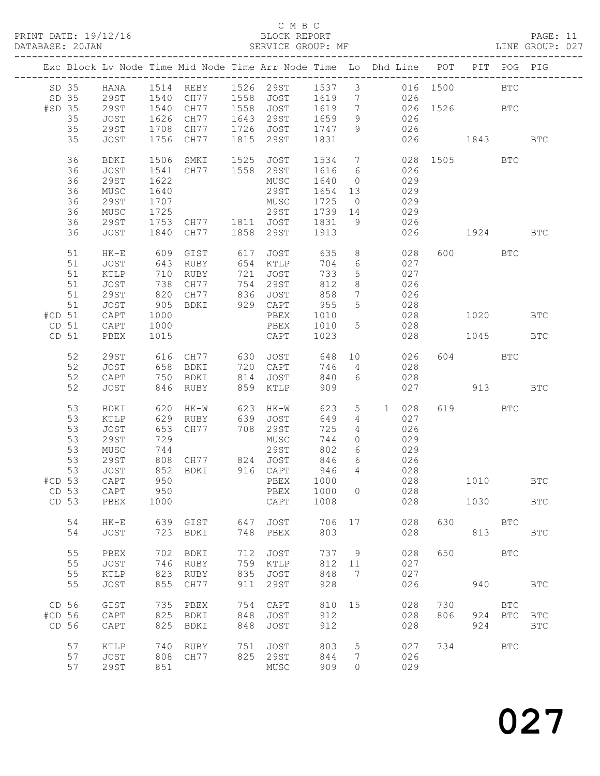#### C M B C

| DATABASE: 20JAN  |            |              |                  |                                                              |      | SERVICE GROUP: MF                              |            |                 | LINE GROUP: 027                                                                |              |            |             |            |  |
|------------------|------------|--------------|------------------|--------------------------------------------------------------|------|------------------------------------------------|------------|-----------------|--------------------------------------------------------------------------------|--------------|------------|-------------|------------|--|
|                  |            |              |                  |                                                              |      |                                                |            |                 | Exc Block Lv Node Time Mid Node Time Arr Node Time Lo Dhd Line POT PIT POG PIG |              |            |             |            |  |
|                  |            |              |                  |                                                              |      |                                                |            |                 | SD 35 HANA 1514 REBY 1526 29ST 1537 3 016 1500 BTC                             |              |            |             |            |  |
|                  | SD 35 29ST |              |                  |                                                              |      |                                                |            |                 | 1540 CH77 1558 JOST 1619 7 026                                                 |              |            |             |            |  |
| #SD 35           |            | 29ST         | 1540             |                                                              |      |                                                |            |                 |                                                                                |              |            |             |            |  |
|                  | 35         | JOST         |                  |                                                              |      |                                                |            |                 | CH77 1558 JOST 1619 7 026 1526 BTC<br>CH77 1643 29ST 1659 9 026                |              |            |             |            |  |
|                  |            |              | 1626<br>1708     |                                                              |      | $1726$ JOST $1747$                             |            |                 | 026                                                                            |              |            |             |            |  |
|                  | 35         | 29ST         |                  | CH77                                                         |      |                                                |            | 9               |                                                                                |              |            |             |            |  |
|                  | 35         | JOST         |                  | 1756 CH77                                                    | 1815 | 29ST                                           | 1831       |                 |                                                                                | 026 1843     |            |             | <b>BTC</b> |  |
|                  | 36         | BDKI         | 1506             |                                                              |      | SMKI 1525 JOST 1534 7<br>CH77 1558 29ST 1616 6 |            |                 |                                                                                | 028 1505 BTC |            |             |            |  |
|                  | 36         | JOST         | 1541             |                                                              |      |                                                |            |                 | 026                                                                            |              |            |             |            |  |
|                  | 36         | 29ST         | 1622             |                                                              |      | MUSC                                           | 1640       | $\overline{0}$  | 029                                                                            |              |            |             |            |  |
|                  | 36         | MUSC         | 1640             |                                                              |      | 29ST                                           | 1654       | 13              | 029                                                                            |              |            |             |            |  |
|                  | 36         | 29ST         | 1707             |                                                              |      | MUSC                                           | 1725       | $\overline{0}$  | 029                                                                            |              |            |             |            |  |
|                  | 36         | MUSC         | $\frac{1}{1725}$ |                                                              |      | 29ST                                           | 1739 14    |                 | 029                                                                            |              |            |             |            |  |
|                  |            |              |                  |                                                              |      | CH77 1811 JOST 1831                            |            |                 | 026                                                                            |              |            |             |            |  |
|                  | 36         | 29ST         | 1753             |                                                              |      |                                                |            | 9               |                                                                                |              |            |             |            |  |
|                  | 36         | JOST         | 1840             | CH77                                                         |      | 1858 29ST                                      | 1913       |                 |                                                                                | 026 1924     |            |             | <b>BTC</b> |  |
|                  | 51         | $HK-E$       |                  | 609 GIST 617                                                 |      | <b>JOST</b>                                    | 635        |                 | $8 - 8$<br>028                                                                 |              | 600 BTC    |             |            |  |
|                  | 51         | JOST         | 643              | RUBY                                                         |      | 654 KTLP                                       | 704        | 6               | 027                                                                            |              |            |             |            |  |
|                  | 51         | KTLP         | 710              | RUBY                                                         |      | 721 JOST                                       | 733        | $5\phantom{.0}$ | 027                                                                            |              |            |             |            |  |
|                  | 51         | JOST         |                  |                                                              |      |                                                |            | 8               | 026                                                                            |              |            |             |            |  |
|                  | 51         | 29ST         | $\frac{1}{820}$  | CH77 754 29ST<br>CH77 836 JOST                               |      |                                                | 812<br>858 | $7\overline{ }$ | 026                                                                            |              |            |             |            |  |
|                  | 51         |              | 905              | BDKI                                                         |      | 929 CAPT                                       | 955        | 5 <sup>5</sup>  | 028                                                                            |              |            |             |            |  |
|                  |            | JOST         |                  |                                                              |      |                                                |            |                 |                                                                                |              |            |             |            |  |
| #CD 51           |            | CAPT         | 1000             |                                                              |      | PBEX                                           | 1010       |                 | 028                                                                            |              |            | 1020        | <b>BTC</b> |  |
| CD 51            |            | CAPT         | 1000             |                                                              |      | PBEX                                           | 1010       | 5 <sup>5</sup>  | 028                                                                            |              |            |             |            |  |
| CD <sub>51</sub> |            | PBEX         | 1015             |                                                              |      | CAPT                                           | 1023       |                 | 028                                                                            |              | 1045       |             | BTC        |  |
|                  | 52         | 29ST         |                  |                                                              |      | 616 CH77 630 JOST 648 10                       |            |                 | 026                                                                            |              | 604 BTC    |             |            |  |
|                  | 52         | JOST         | 658              | BDKI                                                         |      | 720 CAPT                                       | 746        | $4\overline{ }$ | 028                                                                            |              |            |             |            |  |
|                  | 52         | CAPT         | 750              | BDKI                                                         |      |                                                | 840        | $6\overline{6}$ | 028                                                                            |              |            |             |            |  |
|                  | 52         | JOST         |                  | 846 RUBY                                                     |      | 814 JOST<br>859 KTLP                           | 909        |                 | 027                                                                            |              |            | 913 — 10    | <b>BTC</b> |  |
|                  | 53         | BDKI         | 620              | HK-W                                                         |      | 623 HK-W                                       | 623        | $5\overline{)}$ | 028<br>1                                                                       |              | 619        | <b>BTC</b>  |            |  |
|                  |            |              |                  |                                                              |      |                                                |            |                 |                                                                                |              |            |             |            |  |
|                  | 53         | KTLP         |                  | 629 RUBY<br>RUBY 639 JOST<br>CH77 708 29ST                   |      |                                                | 649        | $\overline{4}$  | 027                                                                            |              |            |             |            |  |
|                  | 53         | JOST         | 653              |                                                              |      |                                                | 725        | $\overline{4}$  | 026                                                                            |              |            |             |            |  |
|                  | 53         | 29ST         | 729              |                                                              |      | MUSC                                           | 744        | $\circ$         | 029                                                                            |              |            |             |            |  |
|                  | 53         | MUSC         |                  |                                                              |      | 29ST                                           | 802        | 6               | 029                                                                            |              |            |             |            |  |
|                  | 53         | 29ST         |                  | 744<br>808 CH77<br>852 BDKI                                  |      |                                                | 846        | 6               |                                                                                |              |            |             |            |  |
|                  | 53         | JOST         |                  | CH77            824     JOST<br>BDKI             916    CAPT |      |                                                | 946        | $4\overline{4}$ | $\begin{array}{c} 026 \\ 028 \end{array}$                                      |              |            |             |            |  |
|                  |            | #CD 53 CAPT  |                  |                                                              |      |                                                |            |                 |                                                                                |              |            |             | BTC        |  |
|                  |            |              |                  |                                                              |      |                                                | 1000       | $\overline{0}$  | 028                                                                            |              |            |             |            |  |
| CD 53<br>CD 53   |            | CAPT<br>PBEX | 950<br>1000      |                                                              |      | PBEX<br>CAPT                                   | 1008       |                 | 028                                                                            |              | 1030       |             | <b>BTC</b> |  |
|                  |            |              |                  |                                                              |      |                                                |            |                 |                                                                                |              |            |             |            |  |
|                  | 54         | $HK-E$       | 639              | GIST                                                         | 647  | JOST                                           | 706        | 17              | 028                                                                            |              | 630 BTC    |             |            |  |
|                  | 54         | <b>JOST</b>  |                  | 723 BDKI                                                     | 748  | PBEX                                           | 803        |                 | 028                                                                            |              |            | 813         | <b>BTC</b> |  |
|                  | 55         | PBEX         |                  | 702 BDKI                                                     | 712  | JOST                                           |            | 737 9           | 028                                                                            | 650          | <b>BTC</b> |             |            |  |
|                  | 55         | JOST         | 746              | RUBY                                                         | 759  | KTLP                                           | 812 11     |                 | 027                                                                            |              |            |             |            |  |
|                  | 55         | KTLP         | 823              | RUBY                                                         | 835  | JOST                                           | 848        | 7               | 027                                                                            |              |            |             |            |  |
|                  | 55         | JOST         | 855              | CH77                                                         | 911  | 29ST                                           | 928        |                 | 026                                                                            |              | 940        |             | <b>BTC</b> |  |
| CD 56            |            | GIST         | 735              | PBEX                                                         | 754  | CAPT                                           | 810        | 15              | 028                                                                            | 730          |            | BTC         |            |  |
| #CD 56           |            | CAPT         | 825              | BDKI                                                         | 848  | JOST                                           | 912        |                 | 028                                                                            | 806          |            | 924 BTC BTC |            |  |
|                  |            |              |                  |                                                              |      |                                                |            |                 |                                                                                |              |            |             |            |  |
| CD 56            |            | CAPT         | 825              | BDKI                                                         | 848  | JOST                                           | 912        |                 | 028                                                                            |              | 924        |             | <b>BTC</b> |  |
|                  | 57         | KTLP         | 740              | RUBY                                                         | 751  | JOST                                           | 803        | $5\phantom{.0}$ | 027                                                                            | 734          | <b>BTC</b> |             |            |  |
|                  | 57         | JOST         | 808              | CH77                                                         |      | 825 29ST                                       | 844        | 7               | 026                                                                            |              |            |             |            |  |
|                  | 57         | 29ST         | 851              |                                                              |      | MUSC                                           | 909        | $\Omega$        | 029                                                                            |              |            |             |            |  |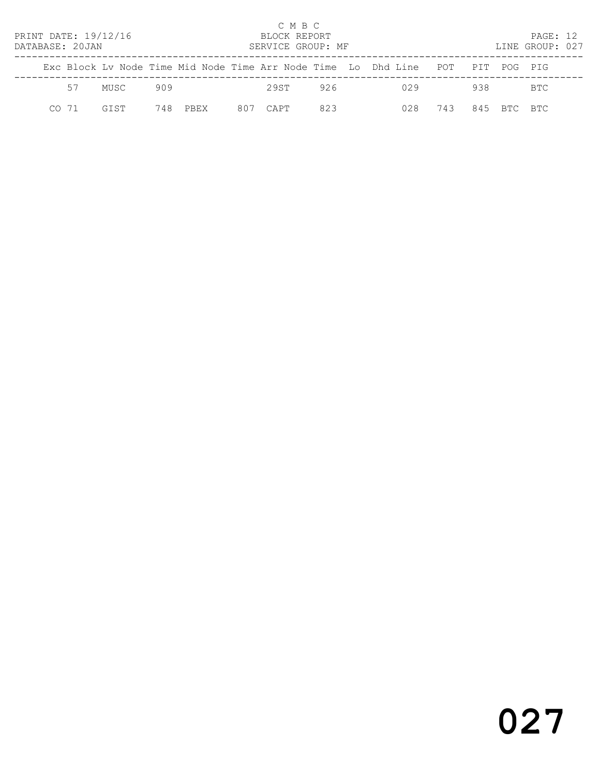| PRINT DATE: 19/12/16<br>DATABASE: 20JAN |       |             |                                                                    |      |     |      | C M B C<br>BLOCK REPORT | SERVICE GROUP: MF |  |     |     |     | PAGE: 12<br>LINE GROUP: 027 |  |
|-----------------------------------------|-------|-------------|--------------------------------------------------------------------|------|-----|------|-------------------------|-------------------|--|-----|-----|-----|-----------------------------|--|
|                                         |       |             | Exc Block Ly Node Time Mid Node Time Arr Node Time Lo Dhd Line POT |      |     |      |                         |                   |  |     |     | PIT | POG PTG                     |  |
|                                         | 57    | MUSC        | 909                                                                |      |     | 29ST |                         | 926               |  | 029 |     | 938 | BTC                         |  |
|                                         | CO 71 | <b>GTST</b> | 748                                                                | PBEX | 807 | CAPT |                         | 823               |  | 028 | 743 | 845 | BTC BTC                     |  |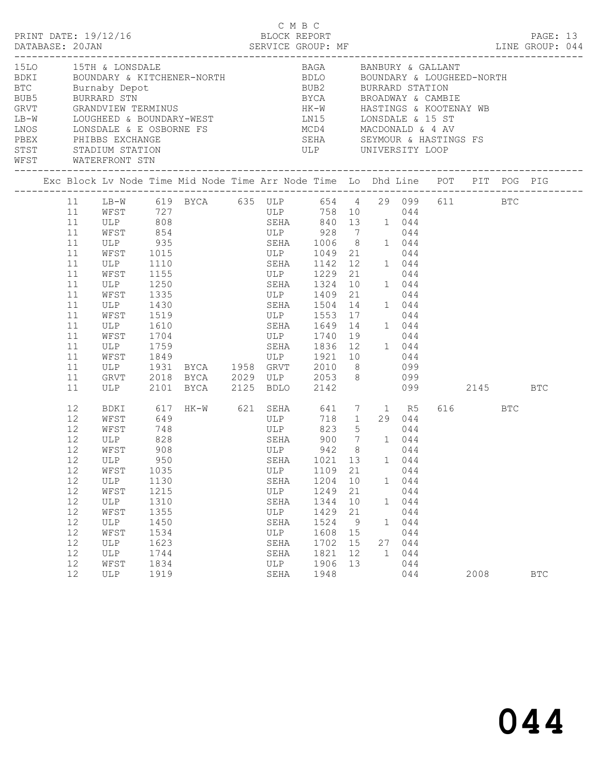|                                                                  |                                                                                                          |                                                                                                                                 |                                                                                                                         |                                                                                                                                                                                                                                                                                                                                                                                                                     |     |                                                                                 |                                                                                                                                                               |                                                         |                                                       |                                                                                    |          |                 | PAGE: 13   |  |
|------------------------------------------------------------------|----------------------------------------------------------------------------------------------------------|---------------------------------------------------------------------------------------------------------------------------------|-------------------------------------------------------------------------------------------------------------------------|---------------------------------------------------------------------------------------------------------------------------------------------------------------------------------------------------------------------------------------------------------------------------------------------------------------------------------------------------------------------------------------------------------------------|-----|---------------------------------------------------------------------------------|---------------------------------------------------------------------------------------------------------------------------------------------------------------|---------------------------------------------------------|-------------------------------------------------------|------------------------------------------------------------------------------------|----------|-----------------|------------|--|
| 15LO 15TH & LONSDALE<br>BTC Burnaby Depot<br>WFST WATERFRONT STN |                                                                                                          |                                                                                                                                 |                                                                                                                         | BDKI     BOUNDARY & KITCHENER-NORTH         BDLO     BOUNDARY & LOUGHEED-NORTH<br>LB-W LOUGHEED & BOUNDARY-WEST LN15 LONSDALE & 15 ST<br>NOS LONSDALE & E OSBORNE FS<br>PEEX PHIBBS EXCHANGE FS SERA SEYMOUR & HASTING<br>STST STADIUM STATION STATION ULP UNIVERSITY LOOP                                                                                                                                          |     |                                                                                 | BAGA BANBURY & GALLANT<br>BUB2 BURRARD STATION<br>BYCA BROADWAY & CAMBIE<br>HK-W HASTINGS & KOOTENAY WB                                                       |                                                         |                                                       |                                                                                    |          |                 |            |  |
|                                                                  |                                                                                                          |                                                                                                                                 |                                                                                                                         | Exc Block Lv Node Time Mid Node Time Arr Node Time Lo Dhd Line POT PIT POG PIG                                                                                                                                                                                                                                                                                                                                      |     |                                                                                 |                                                                                                                                                               |                                                         |                                                       |                                                                                    |          |                 |            |  |
|                                                                  | 11<br>11<br>11<br>11<br>11<br>11<br>11<br>11<br>11<br>11<br>11<br>11<br>11<br>11<br>11<br>11<br>11<br>11 | ULP<br>WFST<br>WFST<br>ULP 1430<br>WFST<br>ULP 1610<br>WFST 1704<br>ULP<br>ULP                                                  | 1110<br>1155<br>1335<br>1759                                                                                            | 11 LB-W 619 BYCA 635 ULP 654 4 29 099 611 BTC<br>WFST 727 ULP 758 10 044<br>ULP 808 SEHA 840 13 1 044<br>WFST 854 ULP 928 7 044<br>ULP 935 SEHA 1006 8 1 044<br>WFST 1015 ULP 1049 21 044<br>ULP 1250 SEHA 1324 10 1 044<br>ULP 1409 21 044<br>1519<br>1610<br>ULP 1740 19 044<br>WEST 1849 ULP 1921 10 044<br>ULP 1931 BYCA 1958 GRVT 2010 8 099<br>GRVT 2018 BYCA 2029 ULP 2053 8 099<br>2101 BYCA 2125 BDLO 2142 |     |                                                                                 | SEHA 1142 12 1 044<br>ULP 1229 21 044<br>SEHA 1504 14<br>ULP 1553 17<br>SEHA 1649 14 1 044<br>SEHA 1836 12 1 044                                              |                                                         |                                                       | 1 044<br>044                                                                       | 099 2145 |                 | <b>BTC</b> |  |
|                                                                  | 12<br>12<br>12<br>12<br>12<br>12<br>12<br>12<br>12<br>12<br>12<br>12<br>12<br>12<br>12<br>12             | BDKI<br>WFST<br>WFST<br>ULP<br>WFST<br>12 ULP<br>WFST<br>ULP<br>WFST<br>ULP<br>WFST<br>ULP<br>WFST<br>ULP<br>ULP<br>WFST<br>ULP | 649<br>748<br>828<br>908<br>950<br>1035<br>1130<br>1215<br>1310<br>1355<br>1450<br>1534<br>1623<br>1744<br>1834<br>1919 | 617 HK-W 621 SEHA 641 7 1 R5                                                                                                                                                                                                                                                                                                                                                                                        | ULP | ULP<br>SEHA<br>ULP<br>SEHA<br>ULP<br>SEHA<br>ULP<br>SEHA<br>SEHA<br>ULP<br>SEHA | <b>ULP</b><br>SEHA 900 7 1 044<br>ULP 942 8 044<br>SEHA 1021 13 1 044<br>1109<br>1204<br>1249<br>1344<br>1429<br>1524<br>1608<br>1702<br>1821<br>1906<br>1948 | 21<br>10<br>21<br>10<br>21<br>9<br>15<br>15<br>12<br>13 | 718 1 29 044<br>823 5<br>1<br>1<br>27<br>$\mathbf{1}$ | 044<br>044<br>1 044<br>044<br>044<br>044<br>044<br>044<br>044<br>044<br>044<br>044 |          | 616 BTC<br>2008 | <b>BTC</b> |  |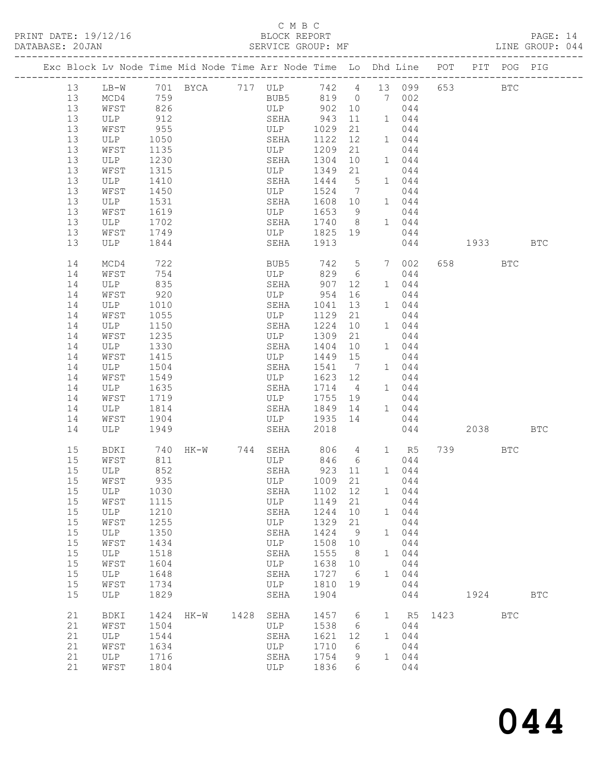PRINT DATE: 19/12/16 BLOCK REPORT<br>DATABASE: 20JAN BATABASE: 20JAN

## C M B C<br>BLOCK REPORT

PAGE: 14<br>LINE GROUP: 044

|  |          |              |              | Exc Block Lv Node Time Mid Node Time Arr Node Time Lo Dhd Line POT PIT POG PIG |      |             |              |                      |              |                 |      |                                                                                                                                                                                                                                 |            |            |
|--|----------|--------------|--------------|--------------------------------------------------------------------------------|------|-------------|--------------|----------------------|--------------|-----------------|------|---------------------------------------------------------------------------------------------------------------------------------------------------------------------------------------------------------------------------------|------------|------------|
|  | 13       | $LB-W$       |              | 701 BYCA 717 ULP                                                               |      |             |              |                      |              | 742  4  13  099 |      | 653 000                                                                                                                                                                                                                         | <b>BTC</b> |            |
|  | 13       | MCD4         | 759          |                                                                                |      | BUB5        |              |                      |              | 819 0 7 002     |      |                                                                                                                                                                                                                                 |            |            |
|  | 13       | WFST         | 826          |                                                                                |      | ULP         | 902          | 10                   |              | 044             |      |                                                                                                                                                                                                                                 |            |            |
|  | 13       | ULP          | 912          |                                                                                |      | SEHA        | 943          | 11                   |              | 1 044           |      |                                                                                                                                                                                                                                 |            |            |
|  | 13       | WFST         | 955          |                                                                                |      | ULP         | 1029         | 21                   |              | 044             |      |                                                                                                                                                                                                                                 |            |            |
|  | 13       | ULP          | 1050         |                                                                                |      | SEHA        | 1122         | 12                   |              | 1 044           |      |                                                                                                                                                                                                                                 |            |            |
|  | 13       | WFST         | 1135         |                                                                                |      | ULP         | 1209         | 21                   |              | 044             |      |                                                                                                                                                                                                                                 |            |            |
|  | 13       | ULP          | 1230         |                                                                                |      | SEHA        | 1304         | 10                   |              | 1 044           |      |                                                                                                                                                                                                                                 |            |            |
|  | 13       | WFST         | 1315         |                                                                                |      | ULP         | 1349         | 21                   |              | 044             |      |                                                                                                                                                                                                                                 |            |            |
|  | 13       | ULP          | 1410         |                                                                                |      | SEHA        | 1444         | $5\phantom{0}$       |              | 1 044           |      |                                                                                                                                                                                                                                 |            |            |
|  | 13       | WFST         | 1450         |                                                                                |      | ULP         | 1524         | $\overline{7}$       |              | 044             |      |                                                                                                                                                                                                                                 |            |            |
|  | 13<br>13 | ULP          | 1531         |                                                                                |      | SEHA        | 1608 10      | 9                    |              | 1 044<br>044    |      |                                                                                                                                                                                                                                 |            |            |
|  | 13       | WFST<br>ULP  | 1619<br>1702 |                                                                                |      | ULP<br>SEHA | 1653<br>1740 | 8 <sup>8</sup>       |              | 1 044           |      |                                                                                                                                                                                                                                 |            |            |
|  | 13       | WFST         | 1749         |                                                                                |      | ULP         | 1825         | 19                   |              | 044             |      |                                                                                                                                                                                                                                 |            |            |
|  | 13       | ULP          | 1844         |                                                                                |      | SEHA        | 1913         |                      |              | 044             |      | 1933 — 1933 — 1934 — 1935 — 1936 — 1937 — 1948 — 1948 — 1948 — 1948 — 1948 — 1948 — 1948 — 1948 — 1948 — 1948 — 1948 — 1948 — 1948 — 1948 — 1948 — 1948 — 1948 — 1948 — 1948 — 1948 — 1948 — 1948 — 1948 — 1948 — 1948 — 1948 — |            | BTC        |
|  |          |              |              |                                                                                |      |             |              |                      |              |                 |      |                                                                                                                                                                                                                                 |            |            |
|  | 14       | MCD4         | 722          |                                                                                |      | BUB5        | 742          | $5\overline{)}$      | 7            | 002             |      | 658 7                                                                                                                                                                                                                           | BTC        |            |
|  | 14       | WFST         | 754          |                                                                                |      | ULP         | 829          | 6                    |              | 044             |      |                                                                                                                                                                                                                                 |            |            |
|  | 14       | ULP          | 835          |                                                                                |      | SEHA        | 907          | 12                   |              | 1 044           |      |                                                                                                                                                                                                                                 |            |            |
|  | 14       | WFST         | 920          |                                                                                |      | ULP         | 954          | 16                   |              | 044             |      |                                                                                                                                                                                                                                 |            |            |
|  | 14       | ULP          | 1010         |                                                                                |      | SEHA        | 1041         | 13                   |              | 1 044           |      |                                                                                                                                                                                                                                 |            |            |
|  | 14       | WFST         | 1055         |                                                                                |      | ULP         | 1129         | 21                   |              | 044             |      |                                                                                                                                                                                                                                 |            |            |
|  | 14       | ULP          | 1150         |                                                                                |      | SEHA        | 1224         | 10                   |              | 1 044           |      |                                                                                                                                                                                                                                 |            |            |
|  | 14       | WFST         | 1235         |                                                                                |      | ULP         | 1309         | 21                   |              | 044             |      |                                                                                                                                                                                                                                 |            |            |
|  | 14       | ULP          | 1330         |                                                                                |      | SEHA        | 1404         | 10                   |              | 1 044           |      |                                                                                                                                                                                                                                 |            |            |
|  | 14<br>14 | WFST<br>ULP  | 1415<br>1504 |                                                                                |      | ULP<br>SEHA | 1449<br>1541 | 15<br>$\overline{7}$ |              | 044<br>1 044    |      |                                                                                                                                                                                                                                 |            |            |
|  | 14       | WFST         | 1549         |                                                                                |      | ULP         | 1623         | 12                   |              | 044             |      |                                                                                                                                                                                                                                 |            |            |
|  | 14       | ULP          | 1635         |                                                                                |      | SEHA        | 1714         | $\overline{4}$       |              | 1 044           |      |                                                                                                                                                                                                                                 |            |            |
|  | 14       | WFST         | 1719         |                                                                                |      | ULP         | 1755         | 19                   |              | 044             |      |                                                                                                                                                                                                                                 |            |            |
|  | 14       | ULP          | 1814         |                                                                                |      | SEHA        | 1849         | 14                   |              | 1 044           |      |                                                                                                                                                                                                                                 |            |            |
|  | 14       | WFST         | 1904         |                                                                                |      | ULP         | 1935         | 14                   |              | 044             |      |                                                                                                                                                                                                                                 |            |            |
|  | 14       | ULP          | 1949         |                                                                                |      | SEHA        | 2018         |                      |              | 044             |      | 2038 70                                                                                                                                                                                                                         |            | <b>BTC</b> |
|  | 15       |              | 740          |                                                                                |      |             | 806          |                      |              |                 |      | 739 — 139                                                                                                                                                                                                                       | <b>BTC</b> |            |
|  | 15       | BDKI<br>WFST | 811          | HK-W 744 SEHA                                                                  |      | ULP         | 846          | $\overline{4}$<br>6  |              | 1 R5<br>044     |      |                                                                                                                                                                                                                                 |            |            |
|  | 15       | ULP          | 852          |                                                                                |      | SEHA        | 923          | 11                   |              | 1 044           |      |                                                                                                                                                                                                                                 |            |            |
|  | 15       | WFST         | 935          |                                                                                |      | ULP         | 1009         | 21                   |              | 044             |      |                                                                                                                                                                                                                                 |            |            |
|  | 15       | ULP          | 1030         |                                                                                |      | SEHA        | 1102         | 12                   |              | 1 044           |      |                                                                                                                                                                                                                                 |            |            |
|  | 15       | WFST         | 1115         |                                                                                |      | ULP         | 1149         | 21                   |              | 044             |      |                                                                                                                                                                                                                                 |            |            |
|  | 15       | $_{\rm ULP}$ | 1210         |                                                                                |      | SEHA        | 1244         | 10                   | $\mathbf{1}$ | 044             |      |                                                                                                                                                                                                                                 |            |            |
|  | 15       | WFST         | 1255         |                                                                                |      | ULP         | 1329         | 21                   |              | 044             |      |                                                                                                                                                                                                                                 |            |            |
|  | 15       | ULP          | 1350         |                                                                                |      | SEHA        | 1424         | 9                    | $\mathbf{1}$ | 044             |      |                                                                                                                                                                                                                                 |            |            |
|  | 15       | WFST         | 1434         |                                                                                |      | ULP         | 1508         | 10                   |              | 044             |      |                                                                                                                                                                                                                                 |            |            |
|  | 15       | ULP          | 1518         |                                                                                |      | SEHA        | 1555         | 8                    | $\mathbf{1}$ | 044             |      |                                                                                                                                                                                                                                 |            |            |
|  | 15       | WFST         | 1604         |                                                                                |      | ULP         | 1638         | 10                   |              | 044             |      |                                                                                                                                                                                                                                 |            |            |
|  | 15<br>15 | ULP<br>WFST  | 1648<br>1734 |                                                                                |      | SEHA<br>ULP | 1727<br>1810 | 6<br>19              | $\mathbf{1}$ | 044<br>044      |      |                                                                                                                                                                                                                                 |            |            |
|  | 15       | ULP          | 1829         |                                                                                |      | SEHA        | 1904         |                      |              | 044             |      | 1924                                                                                                                                                                                                                            |            | <b>BTC</b> |
|  |          |              |              |                                                                                |      |             |              |                      |              |                 |      |                                                                                                                                                                                                                                 |            |            |
|  | 21       | BDKI         | 1424         | $HK-W$                                                                         | 1428 | SEHA        | 1457         | 6                    | $\mathbf{1}$ | R5              | 1423 |                                                                                                                                                                                                                                 | <b>BTC</b> |            |
|  | 21<br>21 | WFST<br>ULP  | 1504<br>1544 |                                                                                |      | ULP<br>SEHA | 1538<br>1621 | 6<br>12              | $\mathbf{1}$ | 044<br>044      |      |                                                                                                                                                                                                                                 |            |            |
|  | 21       | WFST         | 1634         |                                                                                |      | ULP         | 1710         | 6                    |              | 044             |      |                                                                                                                                                                                                                                 |            |            |
|  | 21       | ULP          | 1716         |                                                                                |      | SEHA        | 1754         | 9                    | $\mathbf{1}$ | 044             |      |                                                                                                                                                                                                                                 |            |            |
|  | 21       | WFST         | 1804         |                                                                                |      | ULP         | 1836         | 6                    |              | 044             |      |                                                                                                                                                                                                                                 |            |            |
|  |          |              |              |                                                                                |      |             |              |                      |              |                 |      |                                                                                                                                                                                                                                 |            |            |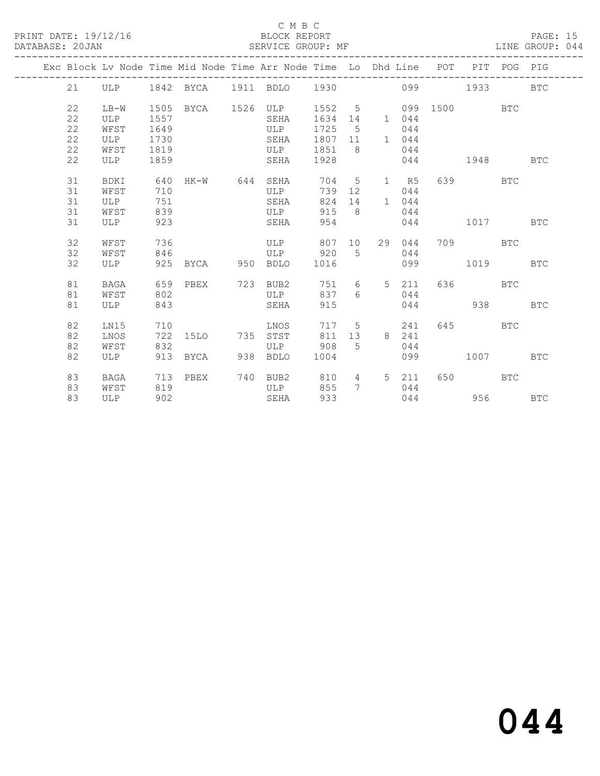#### C M B C<br>BLOCK REPORT

#### SERVICE GROUP: MF

|  |             |             |            |          |     | Exc Block Lv Node Time Mid Node Time Arr Node Time Lo Dhd Line POT |            |                |                |       |     |                                                                                                                                                                                                                                 | PIT POG PIG |              |
|--|-------------|-------------|------------|----------|-----|--------------------------------------------------------------------|------------|----------------|----------------|-------|-----|---------------------------------------------------------------------------------------------------------------------------------------------------------------------------------------------------------------------------------|-------------|--------------|
|  | 21          | ULP         |            |          |     | 1842 BYCA 1911 BDLO 1930                                           |            |                |                | 099   |     | 1933 — 1933 — 1944 — 1945 — 1946 — 1947 — 1948 — 1948 — 1948 — 1948 — 1948 — 1948 — 1948 — 1948 — 1948 — 1948 — 1948 — 1948 — 1948 — 1948 — 1948 — 1948 — 1948 — 1948 — 1948 — 1948 — 1948 — 1948 — 1948 — 1948 — 1948 — 1948 — |             | <b>BTC</b>   |
|  | 22          | LB-W        | 1505       | BYCA     |     | 1526 ULP                                                           | 1552 5     |                |                | 099   |     | 1500 1500                                                                                                                                                                                                                       | <b>BTC</b>  |              |
|  | $2\sqrt{2}$ | ULP         | 1557       |          |     | SEHA                                                               | 1634       | 14             |                | 1 044 |     |                                                                                                                                                                                                                                 |             |              |
|  | 22          | WFST        | 1649       |          |     | ULP                                                                | 1725       | - 5            |                | 044   |     |                                                                                                                                                                                                                                 |             |              |
|  | 22          | ULP         | 1730       |          |     | SEHA                                                               | 1807       | 11             |                | 1 044 |     |                                                                                                                                                                                                                                 |             |              |
|  | 22          | WFST        | 1819       |          |     | ULP                                                                | 1851       | - 8            |                | 044   |     |                                                                                                                                                                                                                                 |             |              |
|  | 22          | ULP         | 1859       |          |     | SEHA                                                               | 1928       |                |                | 044   |     | 1948                                                                                                                                                                                                                            |             | <b>BTC</b>   |
|  |             |             |            |          |     |                                                                    |            |                |                |       |     |                                                                                                                                                                                                                                 |             |              |
|  | 31          | <b>BDKI</b> | 640        | HK-W 644 |     | SEHA                                                               | 704        | $5^{\circ}$    |                | 1 R5  | 639 |                                                                                                                                                                                                                                 | <b>BTC</b>  |              |
|  | 31          | WFST        | 710        |          |     | ULP                                                                | 739        | 12             |                | 044   |     |                                                                                                                                                                                                                                 |             |              |
|  | 31          | ULP         | 751        |          |     | SEHA                                                               | 824        | 14             | 1              | 044   |     |                                                                                                                                                                                                                                 |             |              |
|  | 31          | WFST        | 839        |          |     | ULP                                                                | 915        | 8 <sup>8</sup> |                | 044   |     |                                                                                                                                                                                                                                 |             |              |
|  | 31          | ULP         | 923        |          |     | SEHA                                                               | 954        |                |                | 044   |     | 1017                                                                                                                                                                                                                            |             | $_{\rm BTC}$ |
|  |             |             |            |          |     |                                                                    |            |                |                |       |     |                                                                                                                                                                                                                                 |             |              |
|  | 32          | WFST        | 736        |          |     | ULP                                                                | 807        | 10             | 29             | 044   |     | 709                                                                                                                                                                                                                             | <b>BTC</b>  |              |
|  | 32          | WFST        | 846        |          |     | ULP                                                                | 920        | $5^{\circ}$    |                | 044   |     |                                                                                                                                                                                                                                 |             |              |
|  | 32          | ULP         | 925        | BYCA     | 950 | <b>BDLO</b>                                                        | 1016       |                |                | 099   |     | 1019                                                                                                                                                                                                                            |             | <b>BTC</b>   |
|  |             |             |            |          |     |                                                                    |            |                |                |       |     |                                                                                                                                                                                                                                 |             |              |
|  | 81          | BAGA        | 659        | PBEX     | 723 | BUB2                                                               | 751        | 6 —            | 5 <sup>7</sup> | 211   |     | 636 7                                                                                                                                                                                                                           | <b>BTC</b>  |              |
|  | 81          | WFST        | 802        |          |     | ULP                                                                | 837        | 6              |                | 044   |     |                                                                                                                                                                                                                                 |             |              |
|  | 81          | ULP         | 843        |          |     | SEHA                                                               | 915        |                |                | 044   |     | 938                                                                                                                                                                                                                             |             | <b>BTC</b>   |
|  |             |             |            |          |     |                                                                    |            |                |                |       |     |                                                                                                                                                                                                                                 |             |              |
|  | 82<br>82    | LN15        | 710<br>722 |          | 735 | LNOS                                                               | 717<br>811 | 5              | 8              | 241   | 645 |                                                                                                                                                                                                                                 | <b>BTC</b>  |              |
|  |             | LNOS        |            | 15LO     |     | STST                                                               |            | 13             |                | 241   |     |                                                                                                                                                                                                                                 |             |              |
|  | 82          | WFST        | 832        |          |     | ULP                                                                | 908        | 5              |                | 044   |     |                                                                                                                                                                                                                                 |             |              |
|  | 82          | ULP         | 913        | BYCA     | 938 | <b>BDLO</b>                                                        | 1004       |                |                | 099   |     | 1007                                                                                                                                                                                                                            |             | <b>BTC</b>   |
|  | 83          | <b>BAGA</b> | 713        | PBEX     | 740 | BUB2                                                               | 810        | 4              | 5 <sup>7</sup> | 211   | 650 |                                                                                                                                                                                                                                 | <b>BTC</b>  |              |
|  | 83          | WFST        | 819        |          |     | ULP                                                                | 855        | $7\phantom{0}$ |                | 044   |     |                                                                                                                                                                                                                                 |             |              |
|  | 83          | ULP         | 902        |          |     | SEHA                                                               | 933        |                |                | 044   |     | 956                                                                                                                                                                                                                             |             | <b>BTC</b>   |
|  |             |             |            |          |     |                                                                    |            |                |                |       |     |                                                                                                                                                                                                                                 |             |              |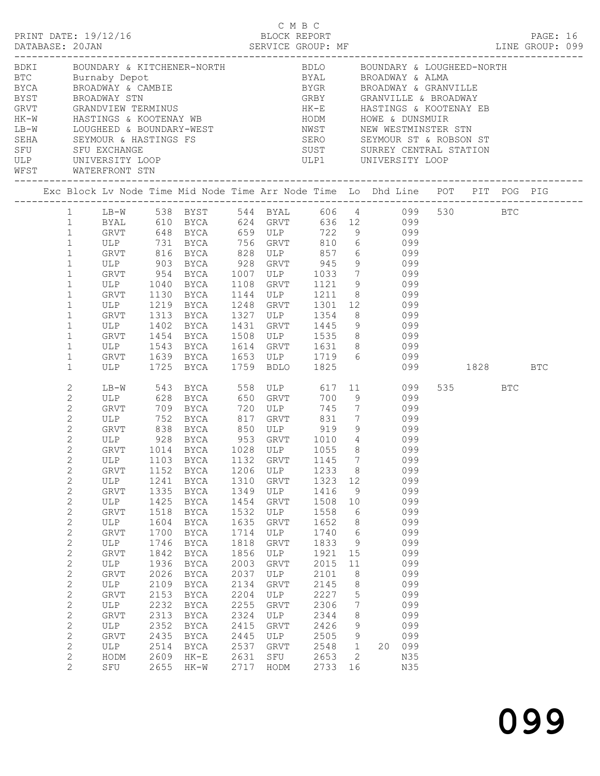|             |                              |             |              |                                                                                                                                                                                                                       |              | C M B C             |              |                   |           |            |              |       |     |          |  |
|-------------|------------------------------|-------------|--------------|-----------------------------------------------------------------------------------------------------------------------------------------------------------------------------------------------------------------------|--------------|---------------------|--------------|-------------------|-----------|------------|--------------|-------|-----|----------|--|
|             | PRINT DATE: 19/12/16         |             |              |                                                                                                                                                                                                                       |              | BLOCK REPORT        |              |                   |           |            |              |       |     | PAGE: 16 |  |
|             |                              |             |              |                                                                                                                                                                                                                       |              |                     |              |                   |           |            |              |       |     |          |  |
|             |                              |             |              |                                                                                                                                                                                                                       |              |                     |              |                   |           |            |              |       |     |          |  |
|             |                              |             |              | BDKI     BOUNDARY & KITCHENER-NORTH         BDLO     BOUNDARY & LOUGHEED-NORTH                                                                                                                                        |              |                     |              |                   |           |            |              |       |     |          |  |
|             |                              |             |              | ETC Burnaby Depot<br>BTC Burnaby Depot BYAL BROADWAY & ALMA<br>BTCA BROADWAY & CAMBIE BYGR BROADWAY & GRANVILLE<br>BYST BROADWAY STN GRBY GRANVILLE & BROADWAY<br>GRVT GRANDVIEW TERMINUS HK-E HASTINGS & KOOTENAY EB |              |                     |              |                   |           |            |              |       |     |          |  |
|             |                              |             |              |                                                                                                                                                                                                                       |              |                     |              |                   |           |            |              |       |     |          |  |
|             |                              |             |              |                                                                                                                                                                                                                       |              |                     |              |                   |           |            |              |       |     |          |  |
|             |                              |             |              | HK-W HASTINGS & KOOTENAY WB THODM HOWE & DUNSMUIR                                                                                                                                                                     |              |                     |              |                   |           |            |              |       |     |          |  |
| $LB-W$      |                              |             |              |                                                                                                                                                                                                                       |              |                     |              |                   |           |            |              |       |     |          |  |
|             |                              |             |              |                                                                                                                                                                                                                       |              |                     |              |                   |           |            |              |       |     |          |  |
| SEHA<br>SFU |                              |             |              |                                                                                                                                                                                                                       |              |                     |              |                   |           |            |              |       |     |          |  |
|             |                              |             |              | ULP UNIVERSITY LOOP ULPI UNIVERSITY LOOP                                                                                                                                                                              |              |                     |              |                   |           |            |              |       |     |          |  |
|             | WFST WATERFRONT STN          |             |              |                                                                                                                                                                                                                       |              |                     |              |                   |           |            |              |       |     |          |  |
|             |                              |             |              |                                                                                                                                                                                                                       |              |                     |              |                   |           |            |              |       |     |          |  |
|             |                              |             |              |                                                                                                                                                                                                                       |              |                     |              |                   |           |            |              |       |     |          |  |
|             |                              |             |              | 1 LB-W 538 BYST 544 BYAL 606 4 099 530 BTC                                                                                                                                                                            |              |                     |              |                   |           |            |              |       |     |          |  |
|             | 1                            |             |              | BYAL 610 BYCA 624 GRVT 636 12 099<br>GRVT 648 BYCA 659 ULP 722 9 099                                                                                                                                                  |              |                     |              |                   |           |            |              |       |     |          |  |
|             | $\mathbf{1}$                 |             |              |                                                                                                                                                                                                                       |              |                     |              |                   |           |            |              |       |     |          |  |
|             | $\mathbf{1}$                 |             |              |                                                                                                                                                                                                                       |              |                     |              |                   |           |            |              |       |     |          |  |
|             | $\mathbf 1$                  |             |              | GRVT 816 BYCA 828 ULP 857 6 099                                                                                                                                                                                       |              |                     |              |                   |           |            |              |       |     |          |  |
|             | $\mathbf{1}$                 |             |              | ULP 903 BYCA 928 GRVT 945 9 099<br>GRVT 954 BYCA 1007 ULP 1033 7 099                                                                                                                                                  |              |                     |              |                   |           |            |              |       |     |          |  |
|             | $\mathbf{1}$                 |             |              |                                                                                                                                                                                                                       |              |                     |              |                   |           |            |              |       |     |          |  |
|             | $\mathbf{1}$                 |             | ULP 1040     | BYCA 1108 GRVT 1121 9 099                                                                                                                                                                                             |              |                     |              |                   |           |            |              |       |     |          |  |
|             | $\mathbf{1}$                 |             |              | GRVT 1130 BYCA                                                                                                                                                                                                        |              | 1144 ULP 1211 8 099 |              |                   |           |            |              |       |     |          |  |
|             | $\mathbf{1}$<br>$\mathbf 1$  |             |              | ULP 1219 BYCA 1248 GRVT 1301 12 099<br>GRVT 1313 BYCA 1327 ULP 1354 8 099<br>ULP 1402 BYCA 1431 GRVT 1445 9 099                                                                                                       |              |                     |              |                   |           |            |              |       |     |          |  |
|             | $\mathbf{1}$                 |             |              |                                                                                                                                                                                                                       |              |                     |              |                   |           |            |              |       |     |          |  |
|             | $\mathbf{1}$                 |             |              | GRVT 1454 BYCA 1508 ULP 1535 8 099                                                                                                                                                                                    |              |                     |              |                   |           |            |              |       |     |          |  |
|             | $\mathbf{1}$                 |             |              |                                                                                                                                                                                                                       |              |                     |              |                   |           |            |              |       |     |          |  |
|             | $\mathbf{1}$                 |             |              |                                                                                                                                                                                                                       |              |                     |              |                   |           | 099        |              |       |     |          |  |
|             | $\mathbf{1}$                 |             |              | ULP 1543 BYCA 1614 GRVT 1631 8 099<br>GRVT 1639 BYCA 1653 ULP 1719 6 099<br>ULP 1725 BYCA 1759 BDLO 1825 099                                                                                                          |              |                     |              |                   |           |            | 099 1828 BTC |       |     |          |  |
|             | 2                            | LB-W        |              |                                                                                                                                                                                                                       |              |                     |              |                   |           |            |              | 535 7 | BTC |          |  |
|             | $\mathbf{2}$                 |             |              | 543 BYCA 558 ULP 617 11 099                                                                                                                                                                                           |              |                     |              |                   |           | 099        |              |       |     |          |  |
|             | $\mathbf{2}$                 |             |              | ULP 628 BYCA 650 GRVT 700 9<br>GRVT 709 BYCA 720 ULP 745 7                                                                                                                                                            |              |                     |              |                   | 745 7 099 |            |              |       |     |          |  |
|             | $\mathbf{2}$                 |             | ULP 752      | BYCA 817                                                                                                                                                                                                              |              | GRVT 831 7 099      |              |                   |           |            |              |       |     |          |  |
|             | $\mathbf{2}$                 |             | GRVT 838     | BYCA 850 ULP 919                                                                                                                                                                                                      |              |                     |              |                   | 9 099     |            |              |       |     |          |  |
|             | $\overline{c}$               |             |              |                                                                                                                                                                                                                       |              |                     |              |                   |           |            |              |       |     |          |  |
|             | $\overline{c}$               |             |              | ULP 928 BYCA 953 GRVT 1010 4 099<br>GRVT 1014 BYCA 1028 ULP 1055 8 099                                                                                                                                                |              |                     |              |                   |           |            |              |       |     |          |  |
|             | $\mathbf{2}$                 |             |              | ULP 1103 BYCA 1132 GRVT 1145 7 099                                                                                                                                                                                    |              |                     |              |                   |           |            |              |       |     |          |  |
|             | $\mathbf{2}$                 | GRVT        | 1152         | BYCA                                                                                                                                                                                                                  | 1206         | ULP                 | 1233         | 8 <sup>8</sup>    |           | 099        |              |       |     |          |  |
|             | $\mathbf{2}$                 | ULP         | 1241         | BYCA                                                                                                                                                                                                                  | 1310         | GRVT                | 1323         | 12                |           | 099        |              |       |     |          |  |
|             | $\mathbf{2}$                 | GRVT        | 1335         | BYCA                                                                                                                                                                                                                  | 1349         | ULP                 | 1416         | 9                 |           | 099        |              |       |     |          |  |
|             | $\mathbf{2}$                 | ULP         | 1425         | BYCA                                                                                                                                                                                                                  | 1454         | GRVT                | 1508         | 10                |           | 099        |              |       |     |          |  |
|             | $\mathbf{2}$                 | GRVT        | 1518         | BYCA                                                                                                                                                                                                                  | 1532         | ULP                 | 1558         | 6                 |           | 099        |              |       |     |          |  |
|             | $\mathbf{2}$                 | ULP         | 1604         | BYCA                                                                                                                                                                                                                  | 1635         | GRVT                | 1652         | 8                 |           | 099        |              |       |     |          |  |
|             | $\mathbf{2}$                 | GRVT        | 1700         | BYCA                                                                                                                                                                                                                  | 1714         | ULP                 | 1740         | 6                 |           | 099        |              |       |     |          |  |
|             | $\mathbf{2}$                 | ULP         | 1746         | BYCA                                                                                                                                                                                                                  | 1818         | GRVT                | 1833         | 9                 |           | 099        |              |       |     |          |  |
|             | $\mathbf{2}$                 | GRVT        | 1842         | BYCA                                                                                                                                                                                                                  | 1856         | ULP                 | 1921         | 15                |           | 099        |              |       |     |          |  |
|             | $\mathbf{2}$                 | ULP         | 1936         | BYCA                                                                                                                                                                                                                  | 2003         | GRVT                | 2015         | 11                |           | 099        |              |       |     |          |  |
|             | $\mathbf{2}$                 | GRVT        | 2026         | BYCA                                                                                                                                                                                                                  | 2037         | ULP                 | 2101         | 8                 |           | 099        |              |       |     |          |  |
|             | $\mathbf{2}$                 | ULP         | 2109         | BYCA                                                                                                                                                                                                                  | 2134         | GRVT                | 2145         | 8                 |           | 099        |              |       |     |          |  |
|             | $\mathbf{2}$                 | GRVT        | 2153         | BYCA                                                                                                                                                                                                                  | 2204         | ULP                 | 2227         | 5                 |           | 099        |              |       |     |          |  |
|             | $\mathbf{2}$                 | ULP         | 2232         | BYCA                                                                                                                                                                                                                  | 2255         | GRVT                | 2306         | 7                 |           | 099        |              |       |     |          |  |
|             | $\sqrt{2}$                   | GRVT        | 2313         | BYCA                                                                                                                                                                                                                  | 2324         | ULP                 | 2344         | 8                 |           | 099        |              |       |     |          |  |
|             | $\mathbf{2}$                 | ULP         | 2352<br>2435 | BYCA                                                                                                                                                                                                                  | 2415<br>2445 | GRVT                | 2426<br>2505 | 9                 |           | 099<br>099 |              |       |     |          |  |
|             | $\mathbf{2}$<br>$\mathbf{2}$ | GRVT<br>ULP | 2514         | BYCA<br>BYCA                                                                                                                                                                                                          | 2537         | ULP<br>GRVT         | 2548         | 9<br>$\mathbf{1}$ |           | 20 099     |              |       |     |          |  |
|             | $\mathbf{2}$                 | HODM        | 2609         | HK-E                                                                                                                                                                                                                  | 2631         | SFU                 | 2653         | 2                 |           | N35        |              |       |     |          |  |
|             | $\overline{2}$               | SFU         |              | 2655 HK-W                                                                                                                                                                                                             | 2717         | HODM                | 2733 16      |                   |           | N35        |              |       |     |          |  |
|             |                              |             |              |                                                                                                                                                                                                                       |              |                     |              |                   |           |            |              |       |     |          |  |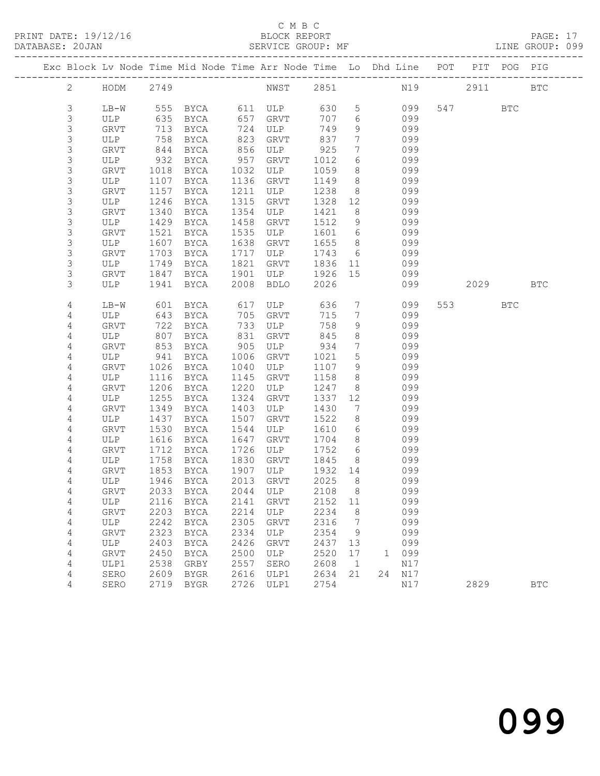PRINT DATE: 19/12/16 BLOCK REPORT BATABASE: 20JAN

#### C M B C<br>BLOCK REPORT

PAGE: 17<br>LINE GROUP: 099

|  |                  |             |              | Exc Block Lv Node Time Mid Node Time Arr Node Time Lo Dhd Line POT PIT POG PIG |              |                    |                 |                      |            |          |     |            |
|--|------------------|-------------|--------------|--------------------------------------------------------------------------------|--------------|--------------------|-----------------|----------------------|------------|----------|-----|------------|
|  | $\overline{2}$   | HODM 2749   |              |                                                                                |              | NWST 2851 N19 2911 |                 |                      |            |          |     | <b>BTC</b> |
|  | 3                | LB-W        |              | 555 BYCA 611 ULP                                                               |              |                    | 630             | 5 <sup>5</sup>       | 099        | 547 BTC  |     |            |
|  | 3                | ULP         | 635          |                                                                                |              | BYCA 657 GRVT      | 707             | 6                    | 099        |          |     |            |
|  | 3                | GRVT        | 713          | BYCA                                                                           |              | 724 ULP            | 749             | 9 <sup>1</sup>       | 099        |          |     |            |
|  | $\mathsf S$      | ULP         | 758          | BYCA                                                                           | 823          | GRVT               | 837             | $7\overline{ }$      | 099        |          |     |            |
|  | 3                | GRVT        | 844          | BYCA                                                                           | 856          | ULP                | 925             | $7\overline{ }$      | 099        |          |     |            |
|  | $\mathsf S$      | ULP         | 932          | BYCA                                                                           | 957          | GRVT               | 1012            | 6                    | 099        |          |     |            |
|  | $\mathsf S$      | GRVT        | 1018         | BYCA                                                                           | 1032         | ULP                | 1059            | 8                    | 099        |          |     |            |
|  | $\mathsf S$<br>3 | ULP         | 1107         | BYCA                                                                           | 1136         | GRVT               | 1149            | 8 <sup>8</sup>       | 099        |          |     |            |
|  | 3                | GRVT        | 1157         | BYCA                                                                           | 1211<br>1315 | ULP                | 1238            | 8 <sup>8</sup>       | 099<br>099 |          |     |            |
|  | 3                | ULP<br>GRVT | 1246<br>1340 | BYCA<br>BYCA                                                                   | 1354         | GRVT<br>ULP        | 1328<br>1421    | 12<br>8 <sup>8</sup> | 099        |          |     |            |
|  | $\mathsf S$      | ULP         | 1429         | BYCA                                                                           | 1458         | GRVT               | 1512            | 9                    | 099        |          |     |            |
|  | 3                | GRVT        | 1521         | BYCA                                                                           | 1535         | ULP                | 1601 6          |                      | 099        |          |     |            |
|  | $\mathsf S$      | ULP         | 1607         | BYCA                                                                           | 1638         | GRVT               | 1655            | 8 <sup>8</sup>       | 099        |          |     |            |
|  | 3                | GRVT        | 1703         | BYCA                                                                           | 1717         | ULP                | 1743            | $6\overline{6}$      | 099        |          |     |            |
|  | $\mathsf S$      | ULP         | 1749         | BYCA                                                                           | 1821         | GRVT               | 1836 11         |                      | 099        |          |     |            |
|  | 3                | GRVT        | 1847         | BYCA                                                                           | 1901         | ULP                | 1926 15         |                      | 099        |          |     |            |
|  | 3                | ULP         | 1941         | BYCA                                                                           | 2008         | BDLO               | 2026            |                      | 099        | 2029 BTC |     |            |
|  |                  |             |              |                                                                                |              |                    |                 |                      |            |          |     |            |
|  | 4                | LB-W        | 601          | BYCA                                                                           |              | 617 ULP            | 636             | $7\overline{ }$      | 099        | 553 3    | BTC |            |
|  | 4                | ULP         | 643          | BYCA                                                                           | 705          | GRVT               | 715             | $7\phantom{.0}\,$    | 099        |          |     |            |
|  | 4                | GRVT        | 722          | BYCA                                                                           | 733          | ULP                | 758             | 9                    | 099        |          |     |            |
|  | 4                | ULP         | 807          | BYCA                                                                           | 831          | GRVT               | 845             | 8                    | 099        |          |     |            |
|  | 4                | GRVT        | 853          | BYCA                                                                           | 905          | ULP                | 934             | $7\overline{ }$      | 099        |          |     |            |
|  | $\overline{4}$   | ULP         | 941          | BYCA                                                                           | 1006         | GRVT               | 1021            | $5\phantom{.0}$      | 099        |          |     |            |
|  | $\overline{4}$   | GRVT        | 1026         | BYCA                                                                           | 1040         | ULP                | 1107            | 9                    | 099        |          |     |            |
|  | 4                | ULP         | 1116         | BYCA                                                                           | 1145         | GRVT               | 1158            | 8                    | 099        |          |     |            |
|  | 4                | GRVT        | 1206         | BYCA                                                                           | 1220         | ULP                | 1247            | 8                    | 099        |          |     |            |
|  | 4                | ULP         | 1255         | BYCA                                                                           | 1324         | GRVT               | 1337            | 12                   | 099        |          |     |            |
|  | 4                | GRVT        | 1349         | BYCA                                                                           | 1403         | ULP                | 1430            | $\overline{7}$       | 099        |          |     |            |
|  | 4                | ULP         | 1437         | BYCA                                                                           | 1507         | GRVT               | 1522            | 8                    | 099        |          |     |            |
|  | 4                | <b>GRVT</b> | 1530         | BYCA                                                                           | 1544         | ULP                | 1610            | 6                    | 099        |          |     |            |
|  | 4                | ULP         | 1616         | BYCA                                                                           | 1647         | GRVT               | 1704            | 8 <sup>8</sup>       | 099        |          |     |            |
|  | 4                | GRVT        | 1712         | BYCA                                                                           | 1726         | ULP                | 1752            | 6                    | 099        |          |     |            |
|  | 4<br>4           | ULP<br>GRVT | 1758         | BYCA                                                                           | 1830<br>1907 | GRVT<br>ULP        | 1845            | 8 <sup>8</sup>       | 099<br>099 |          |     |            |
|  | 4                | ULP         | 1853         | BYCA<br>1946 BYCA                                                              | 2013         | GRVT               | 1932 14<br>2025 | 8 <sup>8</sup>       | 099        |          |     |            |
|  | 4                |             |              | GRVT 2033 BYCA 2044 ULP 2108 8                                                 |              |                    |                 |                      | 099        |          |     |            |
|  | 4                | ULP         |              | 2116 BYCA                                                                      | 2141         | GRVT               | 2152            | 11                   | 099        |          |     |            |
|  | 4                | GRVT        | 2203         | BYCA                                                                           | 2214         | ULP                | 2234            | 8                    | 099        |          |     |            |
|  | 4                | ULP         | 2242         | BYCA                                                                           | 2305         | GRVT               | 2316            | $7\phantom{.0}$      | 099        |          |     |            |
|  | 4                | GRVT        | 2323         | BYCA                                                                           | 2334         | ULP                | 2354            | 9                    | 099        |          |     |            |
|  | 4                | ULP         | 2403         | BYCA                                                                           | 2426         | GRVT               | 2437            | 13                   | 099        |          |     |            |
|  | 4                | GRVT        | 2450         | BYCA                                                                           | 2500         | ULP                | 2520            | 17                   | 1 099      |          |     |            |
|  | 4                | ULP1        | 2538         | GRBY                                                                           | 2557         | SERO               | 2608            | $\overline{1}$       | N17        |          |     |            |
|  | 4                | SERO        | 2609         | BYGR                                                                           | 2616         | ULP1               | 2634            | 21                   | 24 N17     |          |     |            |
|  | 4                | SERO        |              | 2719 BYGR                                                                      | 2726         | ULP1               | 2754            |                      | N17        | 2829     |     | <b>BTC</b> |
|  |                  |             |              |                                                                                |              |                    |                 |                      |            |          |     |            |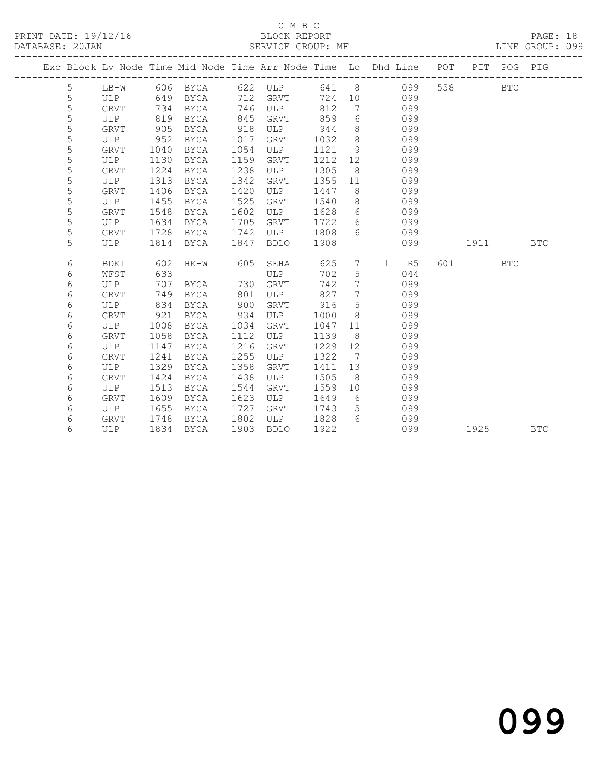## C M B C<br>BLOCK REPORT

PAGE: 18<br>LINE GROUP: 099

|   | Exc Block Lv Node Time Mid Node Time Arr Node Time Lo Dhd Line POT |      |             |      |             |      |                 |                    |     |      | PIT POG PIG |            |
|---|--------------------------------------------------------------------|------|-------------|------|-------------|------|-----------------|--------------------|-----|------|-------------|------------|
| 5 | $LB-W$                                                             | 606  | BYCA        | 622  | ULP         | 641  | 8               | 099                | 558 |      | <b>BTC</b>  |            |
| 5 | <b>ULP</b>                                                         | 649  | <b>BYCA</b> | 712  | <b>GRVT</b> | 724  | 10              | 099                |     |      |             |            |
| 5 | <b>GRVT</b>                                                        | 734  | <b>BYCA</b> | 746  | ULP         | 812  | $7\phantom{.0}$ | 099                |     |      |             |            |
| 5 | ULP                                                                | 819  | <b>BYCA</b> | 845  | <b>GRVT</b> | 859  | 6               | 099                |     |      |             |            |
| 5 | <b>GRVT</b>                                                        | 905  | <b>BYCA</b> | 918  | ULP         | 944  | 8               | 099                |     |      |             |            |
| 5 | ULP                                                                | 952  | <b>BYCA</b> | 1017 | <b>GRVT</b> | 1032 | 8               | 099                |     |      |             |            |
| 5 | GRVT                                                               | 1040 | <b>BYCA</b> | 1054 | ULP         | 1121 | 9               | 099                |     |      |             |            |
| 5 | ULP                                                                | 1130 | <b>BYCA</b> | 1159 | <b>GRVT</b> | 1212 | 12              | 099                |     |      |             |            |
| 5 | GRVT                                                               | 1224 | <b>BYCA</b> | 1238 | ULP         | 1305 | 8               | 099                |     |      |             |            |
| 5 | ULP                                                                | 1313 | <b>BYCA</b> | 1342 | <b>GRVT</b> | 1355 | 11              | 099                |     |      |             |            |
| 5 | GRVT                                                               | 1406 | <b>BYCA</b> | 1420 | ULP         | 1447 | 8               | 099                |     |      |             |            |
| 5 | ULP                                                                | 1455 | <b>BYCA</b> | 1525 | GRVT        | 1540 | 8               | 099                |     |      |             |            |
| 5 | GRVT                                                               | 1548 | <b>BYCA</b> | 1602 | ULP         | 1628 | 6               | 099                |     |      |             |            |
| 5 | ULP                                                                | 1634 | <b>BYCA</b> | 1705 | GRVT        | 1722 | 6               | 099                |     |      |             |            |
| 5 | GRVT                                                               | 1728 | <b>BYCA</b> | 1742 | ULP         | 1808 | 6               | 099                |     |      |             |            |
| 5 | ULP                                                                | 1814 | <b>BYCA</b> | 1847 | <b>BDLO</b> | 1908 |                 | 099                |     | 1911 |             | <b>BTC</b> |
|   |                                                                    |      |             |      |             |      |                 |                    |     |      |             |            |
| 6 | BDKI                                                               | 602  | $HK-W$      | 605  | SEHA        | 625  | $7\phantom{.0}$ | $\mathbf{1}$<br>R5 | 601 |      | <b>BTC</b>  |            |
| 6 | WFST                                                               | 633  |             |      | ULP         | 702  | 5               | 044                |     |      |             |            |
| 6 | <b>ULP</b>                                                         | 707  | <b>BYCA</b> | 730  | GRVT        | 742  | 7               | 099                |     |      |             |            |
| 6 | GRVT                                                               | 749  | <b>BYCA</b> | 801  | ULP         | 827  | 7               | 099                |     |      |             |            |
| 6 | <b>ULP</b>                                                         | 834  | <b>BYCA</b> | 900  | GRVT        | 916  | 5               | 099                |     |      |             |            |
| 6 | GRVT                                                               | 921  | <b>BYCA</b> | 934  | ULP         | 1000 | 8               | 099                |     |      |             |            |
| 6 | ULP                                                                | 1008 | <b>BYCA</b> | 1034 | GRVT        | 1047 | 11              | 099                |     |      |             |            |
| 6 | GRVT                                                               | 1058 | <b>BYCA</b> | 1112 | ULP         | 1139 | 8               | 099                |     |      |             |            |
| 6 | ULP                                                                | 1147 | <b>BYCA</b> | 1216 | <b>GRVT</b> | 1229 | 12              | 099                |     |      |             |            |
| 6 | GRVT                                                               | 1241 | <b>BYCA</b> | 1255 | ULP         | 1322 | 7               | 099                |     |      |             |            |
| 6 | ULP                                                                | 1329 | <b>BYCA</b> | 1358 | <b>GRVT</b> | 1411 | 13              | 099                |     |      |             |            |
| 6 | GRVT                                                               | 1424 | <b>BYCA</b> | 1438 | ULP         | 1505 | 8               | 099                |     |      |             |            |
| 6 | ULP                                                                | 1513 | <b>BYCA</b> | 1544 | GRVT        | 1559 | 10              | 099                |     |      |             |            |
| 6 | GRVT                                                               | 1609 | <b>BYCA</b> | 1623 | ULP         | 1649 | - 6             | 099                |     |      |             |            |
| 6 | ULP                                                                | 1655 | BYCA        | 1727 | GRVT        | 1743 | 5               | 099                |     |      |             |            |
| 6 | GRVT                                                               | 1748 | BYCA        | 1802 | ULP         | 1828 | 6               | 099                |     |      |             |            |
| 6 | <b>ULP</b>                                                         | 1834 | <b>BYCA</b> | 1903 | <b>BDLO</b> | 1922 |                 | 099                |     | 1925 |             | <b>BTC</b> |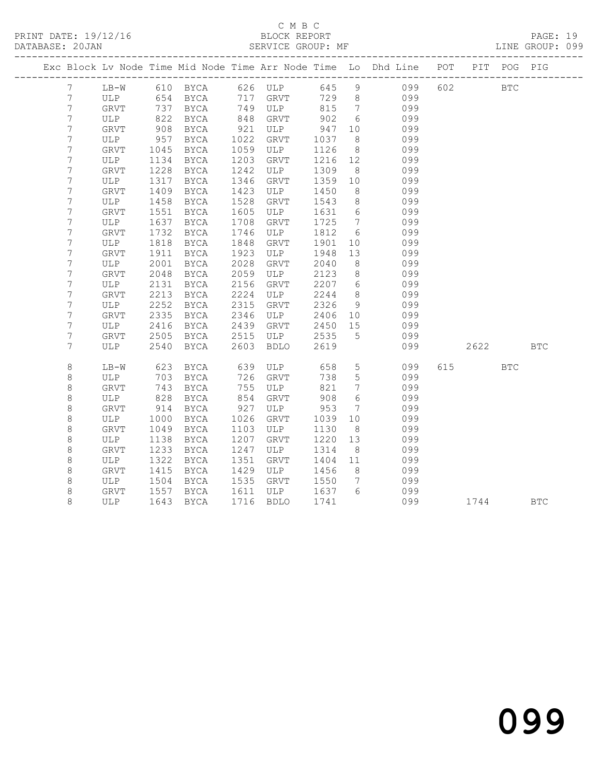#### C M B C<br>BLOCK REPORT SERVICE GROUP: MF LINE GROUP: 099

|                 |             |      |             |      |              |      |                 | Exc Block Lv Node Time Mid Node Time Arr Node Time Lo Dhd Line POT PIT POG PIG |     |      |              |            |
|-----------------|-------------|------|-------------|------|--------------|------|-----------------|--------------------------------------------------------------------------------|-----|------|--------------|------------|
| $7\phantom{.0}$ | $LB-W$      |      | 610 BYCA    |      | 626 ULP      |      |                 | 645 9<br>099                                                                   |     | 602  | $_{\rm BTC}$ |            |
| 7               | ULP         | 654  | BYCA        | 717  | GRVT         | 729  |                 | 099<br>8                                                                       |     |      |              |            |
| 7               | GRVT        | 737  | BYCA        | 749  | ULP          | 815  | 7               | 099                                                                            |     |      |              |            |
| 7               | ULP         | 822  | BYCA        | 848  | GRVT         | 902  | 6               | 099                                                                            |     |      |              |            |
| $7\phantom{.0}$ | GRVT        | 908  | BYCA        | 921  | ULP          | 947  | 10              | 099                                                                            |     |      |              |            |
| 7               | ULP         | 957  | BYCA        | 1022 | <b>GRVT</b>  | 1037 | 8               | 099                                                                            |     |      |              |            |
| 7               | <b>GRVT</b> | 1045 | BYCA        | 1059 | ULP          | 1126 | 8               | 099                                                                            |     |      |              |            |
| 7               | ULP         | 1134 | BYCA        | 1203 | <b>GRVT</b>  | 1216 | 12              | 099                                                                            |     |      |              |            |
| 7               | GRVT        | 1228 | <b>BYCA</b> | 1242 | ULP          | 1309 | 8               | 099                                                                            |     |      |              |            |
| 7               | ULP         | 1317 | <b>BYCA</b> | 1346 | GRVT         | 1359 | 10              | 099                                                                            |     |      |              |            |
| $7\phantom{.0}$ | GRVT        | 1409 | <b>BYCA</b> | 1423 | ULP          | 1450 | 8               | 099                                                                            |     |      |              |            |
| 7               | ULP         | 1458 | BYCA        | 1528 | <b>GRVT</b>  | 1543 | 8               | 099                                                                            |     |      |              |            |
| 7               | GRVT        | 1551 | BYCA        | 1605 | ULP          | 1631 | $6\overline{6}$ | 099                                                                            |     |      |              |            |
| 7               | ULP         | 1637 | BYCA        | 1708 | ${\tt GRVT}$ | 1725 | $7\phantom{0}$  | 099                                                                            |     |      |              |            |
| 7               | <b>GRVT</b> | 1732 | <b>BYCA</b> | 1746 | ULP          | 1812 | 6               | 099                                                                            |     |      |              |            |
| 7               | ULP         | 1818 | <b>BYCA</b> | 1848 | <b>GRVT</b>  | 1901 | 10              | 099                                                                            |     |      |              |            |
| 7               | <b>GRVT</b> | 1911 | BYCA        | 1923 | ULP          | 1948 | 13              | 099                                                                            |     |      |              |            |
| 7               | ULP         | 2001 | BYCA        | 2028 | GRVT         | 2040 | 8               | 099                                                                            |     |      |              |            |
| 7               | <b>GRVT</b> | 2048 | <b>BYCA</b> | 2059 | ULP          | 2123 | 8               | 099                                                                            |     |      |              |            |
| 7               | ULP         | 2131 | BYCA        | 2156 | <b>GRVT</b>  | 2207 | 6               | 099                                                                            |     |      |              |            |
| 7               | <b>GRVT</b> | 2213 | <b>BYCA</b> | 2224 | ULP          | 2244 | 8               | 099                                                                            |     |      |              |            |
| $\overline{7}$  | ULP         | 2252 | <b>BYCA</b> | 2315 | <b>GRVT</b>  | 2326 | 9               | 099                                                                            |     |      |              |            |
| 7               | GRVT        | 2335 | BYCA        | 2346 | ULP          | 2406 | 10              | 099                                                                            |     |      |              |            |
| 7               | ULP         | 2416 | BYCA        | 2439 | <b>GRVT</b>  | 2450 | 15              | 099                                                                            |     |      |              |            |
| 7               | GRVT        | 2505 | BYCA        | 2515 | ULP          | 2535 | 5               | 099                                                                            |     |      |              |            |
| 7               | ULP         | 2540 | <b>BYCA</b> | 2603 | <b>BDLO</b>  | 2619 |                 | 099                                                                            |     | 2622 |              | <b>BTC</b> |
| 8               | $LB-W$      | 623  | BYCA        | 639  | ULP          | 658  | $5\overline{)}$ | 099                                                                            | 615 |      | <b>BTC</b>   |            |
| 8               | ULP         | 703  | BYCA        | 726  | GRVT         | 738  | $5\phantom{.0}$ | 099                                                                            |     |      |              |            |
| 8               | <b>GRVT</b> | 743  | <b>BYCA</b> | 755  | ULP          | 821  | $7\overline{ }$ | 099                                                                            |     |      |              |            |
| 8               | ULP         | 828  | BYCA        | 854  | <b>GRVT</b>  | 908  | $6\overline{6}$ | 099                                                                            |     |      |              |            |
| $\,8\,$         | GRVT        | 914  | BYCA        | 927  | ULP          | 953  | $7\phantom{.0}$ | 099                                                                            |     |      |              |            |
| 8               | ULP         | 1000 | BYCA        | 1026 | <b>GRVT</b>  | 1039 | 10              | 099                                                                            |     |      |              |            |
| 8               | <b>GRVT</b> | 1049 | BYCA        | 1103 | ULP          | 1130 | 8               | 099                                                                            |     |      |              |            |
| 8               | ULP         | 1138 | BYCA        | 1207 | <b>GRVT</b>  | 1220 | 13              | 099                                                                            |     |      |              |            |
| 8               | <b>GRVT</b> | 1233 | BYCA        | 1247 | ULP          | 1314 | 8               | 099                                                                            |     |      |              |            |
| 8               | ULP         | 1322 | BYCA        | 1351 | GRVT         | 1404 | 11              | 099                                                                            |     |      |              |            |
| 8               | GRVT        | 1415 | <b>BYCA</b> | 1429 | ULP          | 1456 | 8               | 099                                                                            |     |      |              |            |

8 ULP 1643 BYCA 1716 BDLO 1741 099 1744 BTC

 8 GRVT 1415 BYCA 1429 ULP 1456 8 099 8 ULP 1504 BYCA 1535 GRVT 1550 7 099 8 GRVT 1557 BYCA 1611 ULP 1637 6 099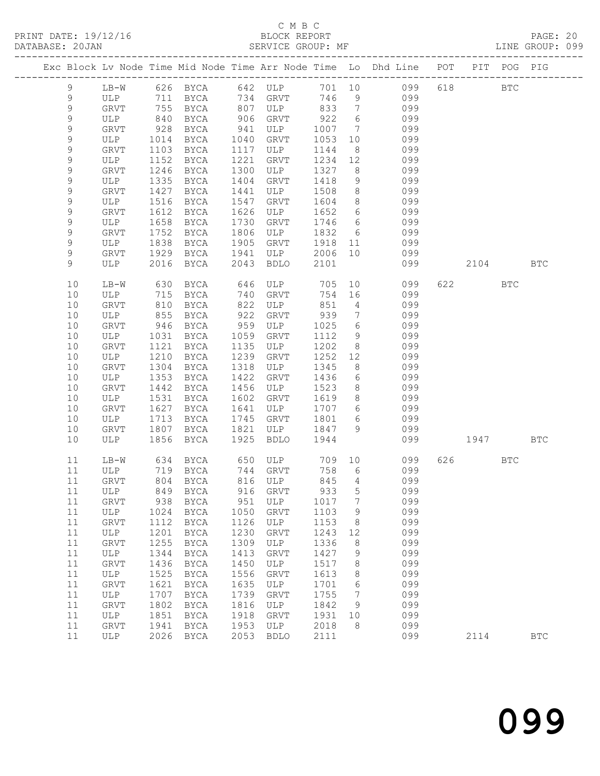PRINT DATE: 19/12/16 BLOCK REPORT<br>DATABASE: 20JAN BATABASE: 20JAN

## C M B C<br>BLOCK REPORT

PAGE: 20<br>LINE GROUP: 099

|             |             |              |                     |              |                    |              |                 | Exc Block Lv Node Time Mid Node Time Arr Node Time Lo Dhd Line POT PIT POG PIG |       |              |              |
|-------------|-------------|--------------|---------------------|--------------|--------------------|--------------|-----------------|--------------------------------------------------------------------------------|-------|--------------|--------------|
| 9           | $LB-W$      |              | 626 BYCA 642 ULP    |              |                    |              |                 | 701 10 099                                                                     | 618   | $_{\rm BTC}$ |              |
| 9           | ULP         |              | 711 BYCA            |              | 734 GRVT           | 746          | 9               | 099                                                                            |       |              |              |
| $\mathsf 9$ | GRVT        | 755          | BYCA                | 807          | ULP                | 833          | $\overline{7}$  | 099                                                                            |       |              |              |
| $\mathsf 9$ | ULP         | 840          | BYCA                | 906          | GRVT               | 922          | 6               | 099                                                                            |       |              |              |
| 9           | GRVT        | 928          | BYCA                | 941          | ULP                | 1007         | 7               | 099                                                                            |       |              |              |
| $\mathsf 9$ | ULP         | 1014         | BYCA                | 1040         | GRVT               | 1053         | 10              | 099                                                                            |       |              |              |
| $\mathsf 9$ | GRVT        | 1103         | BYCA                | 1117         | ULP                | 1144         | 8               | 099                                                                            |       |              |              |
| $\mathsf 9$ | ULP         | 1152         | BYCA                | 1221         | GRVT               | 1234         | 12              | 099                                                                            |       |              |              |
| $\mathsf 9$ | <b>GRVT</b> | 1246         | BYCA                | 1300         | ULP                | 1327         | 8 <sup>8</sup>  | 099                                                                            |       |              |              |
| 9           | ULP         | 1335         | BYCA                | 1404         | GRVT               | 1418         | 9               | 099                                                                            |       |              |              |
| $\mathsf 9$ | GRVT        | 1427         | BYCA                | 1441         | ULP                | 1508         | 8 <sup>8</sup>  | 099                                                                            |       |              |              |
| $\mathsf 9$ | ULP         | 1516         | BYCA                | 1547         | GRVT               | 1604         | 8 <sup>8</sup>  | 099                                                                            |       |              |              |
| $\mathsf 9$ | GRVT        | 1612         | BYCA                | 1626         | ULP                | 1652         | 6               | 099                                                                            |       |              |              |
| 9           | ULP         | 1658         | BYCA                | 1730         | GRVT               | 1746         | 6               | 099                                                                            |       |              |              |
| $\mathsf 9$ | GRVT        | 1752         | BYCA                | 1806         | ULP                | 1832         | 6               | 099                                                                            |       |              |              |
| $\mathsf 9$ | ULP         | 1838         | BYCA                | 1905         | GRVT               | 1918         | 11              | 099                                                                            |       |              |              |
| $\mathsf 9$ | GRVT        | 1929         | BYCA                | 1941         | ULP                | 2006         | 10              | 099                                                                            |       |              |              |
| 9           | ULP         | 2016         | BYCA                | 2043         | BDLO               | 2101         |                 | 099                                                                            | 2104  |              | <b>BTC</b>   |
| 10          | $LB-W$      | 630          | BYCA                | 646          | ULP                | 705          |                 | 10<br>099                                                                      | 622   | BTC          |              |
| 10          | ULP         | 715          | BYCA                | 740          | GRVT               | 754          | 16              | 099                                                                            |       |              |              |
| 10          | GRVT        | 810          | BYCA                | 822          | ULP                | 851          | $\overline{4}$  | 099                                                                            |       |              |              |
| 10          | ULP         | 855          | BYCA                | 922          | GRVT               | 939          | $7\phantom{.0}$ | 099                                                                            |       |              |              |
| 10          | GRVT        | 946          | BYCA                | 959          | ULP                | 1025         | 6               | 099                                                                            |       |              |              |
| 10          | ULP         | 1031         | BYCA                | 1059         | GRVT               | 1112         | 9               | 099                                                                            |       |              |              |
| 10          | GRVT        | 1121         | BYCA                | 1135         | ULP                | 1202         | 8               | 099                                                                            |       |              |              |
| 10          | ULP         | 1210         | BYCA                | 1239         | GRVT               | 1252         | 12              | 099                                                                            |       |              |              |
| 10          | <b>GRVT</b> | 1304         | BYCA                | 1318         | ULP                | 1345         | 8               | 099                                                                            |       |              |              |
| 10          | ULP         | 1353         | BYCA                | 1422         | GRVT               | 1436         | 6               | 099                                                                            |       |              |              |
| 10          | GRVT        | 1442         | BYCA                | 1456         | ULP                | 1523         | 8               | 099                                                                            |       |              |              |
| 10          | ULP         | 1531         | BYCA                | 1602         | GRVT               | 1619         | 8               | 099                                                                            |       |              |              |
| 10          | GRVT        | 1627         | BYCA                | 1641         | ULP                | 1707         | 6               | 099                                                                            |       |              |              |
| 10          | ULP         | 1713         | BYCA                | 1745         | GRVT               | 1801         | 6               | 099                                                                            |       |              |              |
| 10          | GRVT        | 1807         | BYCA                | 1821         | ULP                | 1847         | 9               | 099                                                                            |       |              |              |
| 10          | ULP         | 1856         | BYCA                | 1925         | BDLO               | 1944         |                 | 099                                                                            | 1947  |              | <b>BTC</b>   |
| 11          | $LB-W$      | 634          | BYCA                |              | 650 ULP            | 709 10       |                 | 099                                                                            | 626 7 | BTC          |              |
| 11          | ULP         |              | 719 BYCA            |              | 744 GRVT           | 758          | 6               | 099                                                                            |       |              |              |
| 11          | GRVT        |              | 804 BYCA            |              | 816 ULP            | 845          | $\overline{4}$  | 099                                                                            |       |              |              |
| 11          | ULP         |              | 849 BYCA            |              | 916 GRVT           | 933 5        |                 | 099                                                                            |       |              |              |
| 11          | GRVT        | 938          | BYCA                | 951          | ULP                | 1017         | 7               | 099                                                                            |       |              |              |
| 11          | ULP         | 1024         | BYCA                | 1050         | <b>GRVT</b>        | 1103         | 9               | 099                                                                            |       |              |              |
| 11          | GRVT        | 1112         | BYCA                | 1126         | ULP                | 1153         | 8               | 099                                                                            |       |              |              |
| $11$        | ULP         | 1201         | <b>BYCA</b>         | 1230         | GRVT               | 1243         | 12              | 099                                                                            |       |              |              |
| 11          | GRVT        | 1255         | <b>BYCA</b>         | 1309         | ULP                | 1336         | 8               | 099                                                                            |       |              |              |
| 11          | ULP         | 1344         | <b>BYCA</b>         | 1413         | <b>GRVT</b>        | 1427         | 9               | 099                                                                            |       |              |              |
| 11          | GRVT        | 1436         | BYCA                | 1450         | ULP                | 1517         | 8               | 099                                                                            |       |              |              |
| $11$        | ULP         | 1525         | BYCA                | 1556         | GRVT               | 1613         | 8               | 099                                                                            |       |              |              |
| 11          | GRVT        | 1621         | <b>BYCA</b>         | 1635         | ULP                | 1701         | 6               | 099                                                                            |       |              |              |
| $11$        | ULP         | 1707         | BYCA                | 1739         | GRVT               | 1755         | 7               | 099                                                                            |       |              |              |
| 11          | GRVT        | 1802         | <b>BYCA</b>         | 1816         | ULP                | 1842         | 9               | 099                                                                            |       |              |              |
| 11          | ULP         | 1851         | BYCA                | 1918         | <b>GRVT</b>        | 1931         | 10              | 099                                                                            |       |              |              |
| 11<br>11    | GRVT        | 1941<br>2026 | <b>BYCA</b><br>BYCA | 1953<br>2053 | ULP<br><b>BDLO</b> | 2018<br>2111 | 8               | 099<br>099                                                                     |       |              |              |
|             | ULP         |              |                     |              |                    |              |                 |                                                                                | 2114  |              | $_{\rm BTC}$ |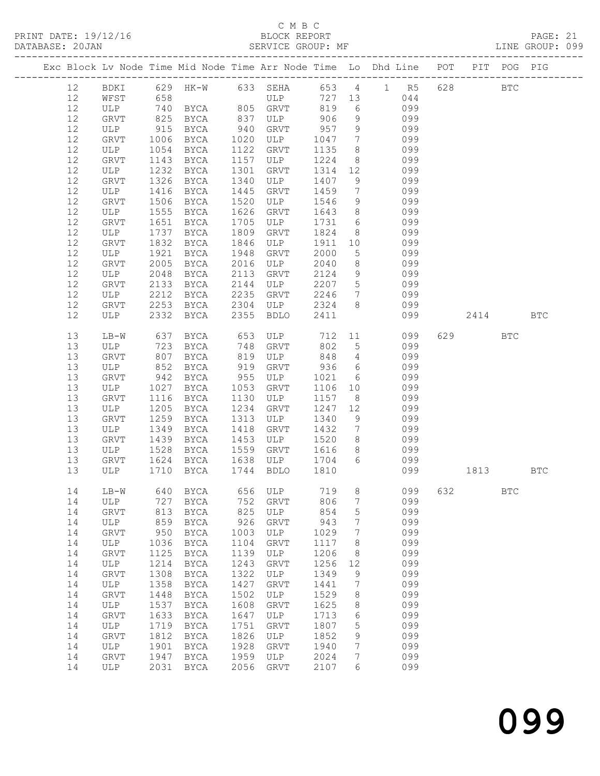#### C M B C<br>BLOCK REPORT

SERVICE GROUP: MF

|    |        |      |                   |      |                |         |                 | Exc Block Lv Node Time Mid Node Time Arr Node Time Lo Dhd Line POT PIT POG PIG |         |              |            |
|----|--------|------|-------------------|------|----------------|---------|-----------------|--------------------------------------------------------------------------------|---------|--------------|------------|
| 12 |        |      |                   |      |                |         |                 | BDKI 629 HK-W 633 SEHA 653 4 1 R5                                              | 628 BTC |              |            |
| 12 | WFST   | 658  |                   |      | ULP            |         |                 | 727 13<br>044                                                                  |         |              |            |
| 12 | ULP    |      | 740 BYCA 805 GRVT |      |                | 819     | 6               | 099                                                                            |         |              |            |
| 12 | GRVT   | 825  | BYCA              | 837  | ULP            | 906     | 9               | 099                                                                            |         |              |            |
| 12 | ULP    | 915  | <b>BYCA</b>       | 940  | GRVT           | 957     | 9               | 099                                                                            |         |              |            |
| 12 |        | 1006 |                   | 1020 | ULP            | 1047    | $7\overline{ }$ | 099                                                                            |         |              |            |
|    | GRVT   |      | BYCA              |      |                |         |                 |                                                                                |         |              |            |
| 12 | ULP    | 1054 | BYCA              | 1122 | GRVT           | 1135    | 8 <sup>8</sup>  | 099                                                                            |         |              |            |
| 12 | GRVT   | 1143 | BYCA              | 1157 | ULP            | 1224    | 8 <sup>8</sup>  | 099                                                                            |         |              |            |
| 12 | ULP    | 1232 | BYCA              | 1301 | GRVT           | 1314 12 |                 | 099                                                                            |         |              |            |
| 12 | GRVT   | 1326 | BYCA              | 1340 | ULP            | 1407    | 9               | 099                                                                            |         |              |            |
| 12 | ULP    | 1416 | BYCA              | 1445 | GRVT           | 1459    | $7\overline{ }$ | 099                                                                            |         |              |            |
| 12 | GRVT   | 1506 | BYCA              | 1520 | ULP            | 1546    | 9               | 099                                                                            |         |              |            |
| 12 | ULP    | 1555 | BYCA              | 1626 | GRVT           | 1643    | 8 <sup>8</sup>  | 099                                                                            |         |              |            |
| 12 | GRVT   | 1651 | BYCA              | 1705 | ULP            | 1731 6  |                 | 099                                                                            |         |              |            |
| 12 | ULP    | 1737 | BYCA              | 1809 | GRVT           | 1824    | 8 <sup>8</sup>  | 099                                                                            |         |              |            |
| 12 | GRVT   | 1832 | BYCA              | 1846 | ULP            | 1911    | 10              | 099                                                                            |         |              |            |
| 12 | ULP    | 1921 | BYCA              | 1948 | GRVT           | 2000    | $5\overline{)}$ | 099                                                                            |         |              |            |
| 12 | GRVT   | 2005 | BYCA              | 2016 | ULP            | 2040    | 8 <sup>8</sup>  | 099                                                                            |         |              |            |
| 12 | ULP    | 2048 | BYCA              | 2113 | GRVT           | 2124    | 9               | 099                                                                            |         |              |            |
| 12 | GRVT   | 2133 | BYCA              | 2144 | ULP            | 2207 5  |                 | 099                                                                            |         |              |            |
| 12 | ULP    | 2212 | BYCA              | 2235 | GRVT           | 2246    | $7\overline{ }$ | 099                                                                            |         |              |            |
| 12 | GRVT   | 2253 | BYCA              | 2304 | ULP            | 2324 8  |                 | 099                                                                            |         |              |            |
| 12 | ULP    | 2332 | BYCA              | 2355 | BDLO           | 2411    |                 | 099                                                                            | 2414    |              | <b>BTC</b> |
|    |        |      |                   |      |                |         |                 |                                                                                |         |              |            |
| 13 | $LB-W$ | 637  | BYCA              |      | 653 ULP 712 11 |         |                 | 099                                                                            | 629     | <b>BTC</b>   |            |
| 13 | ULP    |      | 723 BYCA 748      |      | GRVT           | 802 5   |                 | 099                                                                            |         |              |            |
| 13 | GRVT   | 807  | BYCA              | 819  | ULP 848 4      |         |                 | 099                                                                            |         |              |            |
| 13 | ULP    | 852  | BYCA              | 919  | GRVT           | 936     | 6               | 099                                                                            |         |              |            |
| 13 | GRVT   | 942  | BYCA              | 955  | ULP            | 1021    | $6\overline{6}$ | 099                                                                            |         |              |            |
| 13 | ULP    | 1027 | BYCA              | 1053 | GRVT           | 1106 10 |                 | 099                                                                            |         |              |            |
| 13 | GRVT   | 1116 | BYCA              | 1130 | ULP            | 1157    | 8 <sup>8</sup>  | 099                                                                            |         |              |            |
| 13 | ULP    | 1205 | BYCA              | 1234 | GRVT           | 1247    | 12              | 099                                                                            |         |              |            |
| 13 | GRVT   | 1259 | BYCA              | 1313 | ULP            | 1340    | 9               | 099                                                                            |         |              |            |
| 13 | ULP    | 1349 | BYCA              | 1418 | GRVT           | 1432    | $7\overline{ }$ | 099                                                                            |         |              |            |
| 13 | GRVT   | 1439 | BYCA              | 1453 | ULP            | 1520 8  |                 | 099                                                                            |         |              |            |
| 13 | ULP    | 1528 | BYCA              | 1559 | GRVT           | 1616    | 8 <sup>8</sup>  | 099                                                                            |         |              |            |
| 13 | GRVT   | 1624 | BYCA              | 1638 | ULP            | 1704 6  |                 | 099                                                                            |         |              |            |
| 13 | ULP    | 1710 | BYCA              |      | 1744 BDLO      | 1810    |                 | 099                                                                            | 1813    |              | <b>BTC</b> |
|    |        |      |                   |      |                |         |                 |                                                                                |         |              |            |
|    |        |      |                   |      |                |         |                 | 14 LB-W 640 BYCA 656 ULP 719 8 099 632                                         |         | $_{\rm BTC}$ |            |
| 14 | ULP    | 727  | BYCA              | 752  | GRVT           | 806     | 7               | 099                                                                            |         |              |            |
| 14 | GRVT   | 813  | BYCA              | 825  | ULP            | 854     | 5               | 099                                                                            |         |              |            |
| 14 | ULP    | 859  | BYCA              | 926  | GRVT           | 943     | 7               | 099                                                                            |         |              |            |
| 14 | GRVT   | 950  | <b>BYCA</b>       | 1003 | ULP            | 1029    | 7               | 099                                                                            |         |              |            |
| 14 | ULP    | 1036 | BYCA              | 1104 | GRVT           | 1117    | 8               | 099                                                                            |         |              |            |
| 14 | GRVT   | 1125 | <b>BYCA</b>       | 1139 | ULP            | 1206    | 8               | 099                                                                            |         |              |            |
| 14 | ULP    | 1214 | BYCA              | 1243 | GRVT           | 1256    | 12              | 099                                                                            |         |              |            |
| 14 | GRVT   | 1308 | BYCA              | 1322 | ULP            | 1349    | 9               | 099                                                                            |         |              |            |
| 14 | ULP    | 1358 | BYCA              | 1427 | GRVT           | 1441    | 7               | 099                                                                            |         |              |            |
| 14 | GRVT   | 1448 | <b>BYCA</b>       | 1502 | ULP            | 1529    | 8               | 099                                                                            |         |              |            |
| 14 | ULP    | 1537 | <b>BYCA</b>       | 1608 | GRVT           | 1625    | 8               | 099                                                                            |         |              |            |
| 14 |        | 1633 |                   | 1647 |                | 1713    |                 | 099                                                                            |         |              |            |
|    | GRVT   |      | BYCA              |      | ULP            |         | 6               |                                                                                |         |              |            |
| 14 | ULP    | 1719 | BYCA              | 1751 | GRVT           | 1807    | 5               | 099                                                                            |         |              |            |
| 14 | GRVT   | 1812 | <b>BYCA</b>       | 1826 | ULP            | 1852    | 9               | 099                                                                            |         |              |            |
| 14 | ULP    | 1901 | BYCA              | 1928 | <b>GRVT</b>    | 1940    | $7\phantom{.0}$ | 099                                                                            |         |              |            |
| 14 | GRVT   | 1947 | BYCA              | 1959 | ULP            | 2024    | $7\phantom{.}$  | 099                                                                            |         |              |            |
| 14 | ULP    |      | 2031 BYCA         | 2056 | GRVT           | 2107    | 6               | 099                                                                            |         |              |            |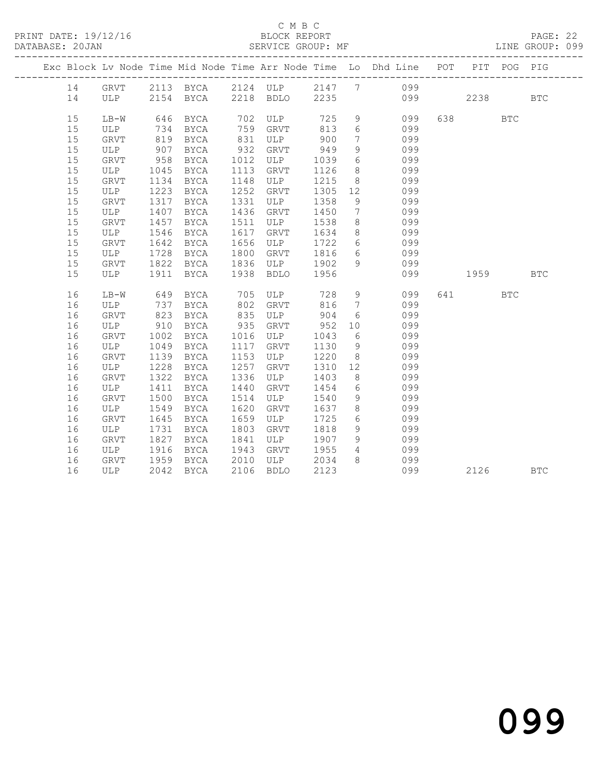#### C M B C<br>BLOCK REPORT SERVICE GROUP: MF

|  |    |      |      |                         |      |           |      |                 | Exc Block Lv Node Time Mid Node Time Arr Node Time Lo Dhd Line POT PIT POG PIG |                                                            |     |            |
|--|----|------|------|-------------------------|------|-----------|------|-----------------|--------------------------------------------------------------------------------|------------------------------------------------------------|-----|------------|
|  | 14 |      |      |                         |      |           |      |                 | GRVT 2113 BYCA 2124 ULP 2147 7 099                                             |                                                            |     |            |
|  | 14 |      |      | ULP 2154 BYCA 2218 BDLO |      |           |      |                 | 2235 099                                                                       | 2238                                                       |     | <b>BTC</b> |
|  | 15 | LB-W | 646  | BYCA                    |      | 702 ULP   |      |                 | 725 9 099                                                                      | 638 BTC                                                    |     |            |
|  | 15 | ULP  | 734  | BYCA                    |      | 759 GRVT  | 813  | 6               | 099                                                                            |                                                            |     |            |
|  | 15 | GRVT | 819  | BYCA                    | 831  | ULP       | 900  | $7\overline{ }$ | 099                                                                            |                                                            |     |            |
|  | 15 | ULP  | 907  | BYCA                    | 932  | GRVT      | 949  | 9               | 099                                                                            |                                                            |     |            |
|  | 15 | GRVT | 958  | BYCA                    | 1012 | ULP       | 1039 | $6\overline{}$  | 099                                                                            |                                                            |     |            |
|  | 15 | ULP  | 1045 | BYCA                    | 1113 | GRVT      | 1126 | 8               | 099                                                                            |                                                            |     |            |
|  | 15 | GRVT | 1134 | BYCA                    | 1148 | ULP       | 1215 | 8               | 099                                                                            |                                                            |     |            |
|  | 15 | ULP  | 1223 | BYCA                    | 1252 | GRVT      | 1305 | 12              | 099                                                                            |                                                            |     |            |
|  | 15 | GRVT | 1317 | BYCA                    | 1331 | ULP       | 1358 | 9               | 099                                                                            |                                                            |     |            |
|  | 15 | ULP  | 1407 | BYCA                    | 1436 | GRVT      | 1450 | $7\overline{ }$ | 099                                                                            |                                                            |     |            |
|  | 15 | GRVT | 1457 | BYCA                    | 1511 | ULP       | 1538 | 8 <sup>8</sup>  | 099                                                                            |                                                            |     |            |
|  | 15 | ULP  | 1546 | BYCA                    | 1617 | GRVT      | 1634 | 8 <sup>1</sup>  | 099                                                                            |                                                            |     |            |
|  | 15 | GRVT | 1642 | BYCA                    | 1656 | ULP       | 1722 |                 | 6 099                                                                          |                                                            |     |            |
|  | 15 | ULP  | 1728 | BYCA                    | 1800 | GRVT      | 1816 |                 | 6 099                                                                          |                                                            |     |            |
|  | 15 | GRVT | 1822 | <b>BYCA</b>             | 1836 | ULP       | 1902 |                 | 9 099                                                                          |                                                            |     |            |
|  | 15 | ULP  | 1911 | BYCA                    |      | 1938 BDLO | 1956 |                 | 099                                                                            | 1959                                                       |     | <b>BTC</b> |
|  | 16 | LB-W | 649  | BYCA                    |      | 705 ULP   |      |                 | 728 9<br>099                                                                   | 641 641 641 641 642 643 643 643 643 643 643 643 643 648 65 | BTC |            |
|  | 16 | ULP  | 737  | BYCA                    | 802  | GRVT      | 816  | $7\phantom{0}$  | 099                                                                            |                                                            |     |            |
|  | 16 | GRVT | 823  | BYCA                    | 835  | ULP       | 904  |                 | 6 099                                                                          |                                                            |     |            |
|  | 16 | ULP  | 910  | BYCA                    | 935  | GRVT      | 952  | 10              | 099                                                                            |                                                            |     |            |
|  | 16 | GRVT | 1002 | BYCA                    | 1016 | ULP       | 1043 | 6               | 099                                                                            |                                                            |     |            |
|  | 16 | ULP  | 1049 | BYCA                    | 1117 | GRVT      | 1130 | 9               | 099                                                                            |                                                            |     |            |
|  | 16 | GRVT | 1139 | BYCA                    | 1153 | ULP       | 1220 | 8 <sup>8</sup>  | 099                                                                            |                                                            |     |            |
|  | 16 | ULP  | 1228 | BYCA                    | 1257 | GRVT      | 1310 | 12              | 099                                                                            |                                                            |     |            |
|  | 16 | GRVT | 1322 | BYCA                    | 1336 | ULP       | 1403 | 8               | 099                                                                            |                                                            |     |            |
|  | 16 | ULP  | 1411 | BYCA                    | 1440 | GRVT      | 1454 | 6               | 099                                                                            |                                                            |     |            |
|  | 16 | GRVT | 1500 | BYCA                    | 1514 | ULP       | 1540 | 9               | 099                                                                            |                                                            |     |            |
|  | 16 | ULP  | 1549 | BYCA                    | 1620 | GRVT      | 1637 | 8               | 099                                                                            |                                                            |     |            |
|  | 16 | GRVT | 1645 | BYCA                    | 1659 | ULP       | 1725 |                 | 6 099                                                                          |                                                            |     |            |
|  | 16 | ULP  | 1731 | BYCA                    | 1803 | GRVT      | 1818 | 9               | 099                                                                            |                                                            |     |            |
|  | 16 | GRVT | 1827 | BYCA                    | 1841 | ULP       | 1907 | 9               | 099                                                                            |                                                            |     |            |
|  | 16 | ULP  | 1916 | BYCA                    | 1943 | GRVT      | 1955 | $4\overline{ }$ | 099                                                                            |                                                            |     |            |
|  | 16 | GRVT | 1959 | <b>BYCA</b>             | 2010 | ULP       | 2034 | 8               | 099                                                                            |                                                            |     |            |
|  | 16 | ULP  |      | 2042 BYCA               |      | 2106 BDLO | 2123 |                 | 099                                                                            | 2126                                                       |     | <b>BTC</b> |
|  |    |      |      |                         |      |           |      |                 |                                                                                |                                                            |     |            |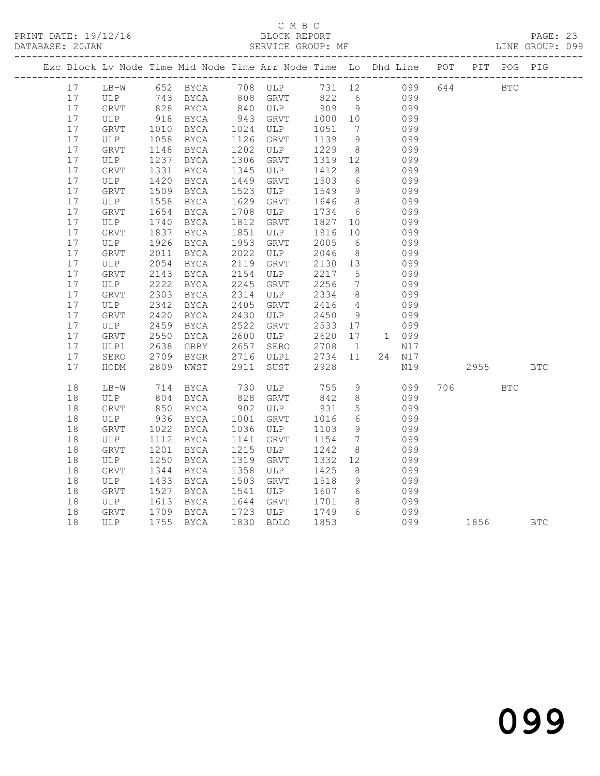#### C M B C<br>BLOCK REPORT SERVICE GROUP: MF

|  |          |                                                 |                 | Exc Block Lv Node Time Mid Node Time Arr Node Time Lo Dhd Line POT PIT POG PIG |              |              |              |                      |               |     |         |            |            |
|--|----------|-------------------------------------------------|-----------------|--------------------------------------------------------------------------------|--------------|--------------|--------------|----------------------|---------------|-----|---------|------------|------------|
|  | 17       | $LB-W$                                          |                 | 652 BYCA 708 ULP 731 12 099                                                    |              |              |              |                      |               |     | 644 BTC |            |            |
|  | 17       | ULP                                             |                 |                                                                                |              |              |              |                      | 099           |     |         |            |            |
|  | 17       | GRVT                                            |                 | $143$ $-$<br>828 BYCA                                                          |              |              |              |                      | 099           |     |         |            |            |
|  | 17       | ULP                                             | 918             | BYCA                                                                           |              | 943 GRVT     | 1000 10      |                      | 099           |     |         |            |            |
|  | 17       | GRVT                                            | 1010            | BYCA                                                                           |              | 1024 ULP     | 1051         | $\overline{7}$       | 099           |     |         |            |            |
|  | 17       | ULP                                             | 1058            | BYCA                                                                           | 1126         | GRVT         | 1139         | 9                    | 099           |     |         |            |            |
|  | 17       | GRVT                                            | 1148            | BYCA                                                                           | 1202         | ULP          | 1229         | 8 <sup>8</sup>       | 099           |     |         |            |            |
|  | 17       | ULP                                             | 1237            | BYCA                                                                           | 1306         | GRVT         | 1319 12      |                      | 099           |     |         |            |            |
|  | 17       | GRVT                                            | 1331            | BYCA                                                                           | 1345         | ULP          | 1412         | 8 <sup>8</sup>       | 099           |     |         |            |            |
|  | 17       | ULP                                             | 1420            | BYCA                                                                           | 1449         | GRVT         | 1503         | $6\overline{6}$      | 099           |     |         |            |            |
|  | 17       | GRVT                                            | 1509            | BYCA                                                                           | 1523         | ULP          | 1549         | 9                    | 099           |     |         |            |            |
|  | 17       | ULP                                             | 1558            | BYCA                                                                           | 1629         | GRVT         | 1646         | 8 <sup>8</sup>       | 099           |     |         |            |            |
|  | 17       | GRVT                                            | 1654            | BYCA                                                                           | 1708         | ULP          | 1734         | 6                    | 099           |     |         |            |            |
|  | 17       | ULP                                             | 1740            | BYCA                                                                           | 1812         | GRVT         | 1827         | 10                   | 099           |     |         |            |            |
|  | 17       | <b>GRVT</b>                                     | 1837            | BYCA                                                                           | 1851         | ULP          | 1916         | 10                   | 099           |     |         |            |            |
|  | 17       | ULP                                             | 1926            | BYCA                                                                           | 1953         | GRVT         | 2005         | 6                    | 099           |     |         |            |            |
|  | 17       | GRVT                                            | 2011            | BYCA                                                                           | 2022         | ULP          | 2046         | 8 <sup>8</sup>       | 099           |     |         |            |            |
|  | 17       | ULP                                             | 2054            | BYCA                                                                           | 2119         | GRVT         | 2130         | 13                   | 099           |     |         |            |            |
|  | 17       | GRVT                                            | 2143            | BYCA                                                                           | 2154         | ULP          | 2217         | $5^{\circ}$          | 099           |     |         |            |            |
|  | 17       | ULP                                             | 2222            | BYCA                                                                           | 2245         | GRVT         | 2256         | $7\phantom{.0}\,$    | 099           |     |         |            |            |
|  | 17       | GRVT                                            | 2303            | BYCA                                                                           | 2314         | ULP          | 2334         | 8 <sup>8</sup>       | 099           |     |         |            |            |
|  | 17       | ULP                                             | 2342            | BYCA                                                                           | 2405         | GRVT         | 2416         | $\overline{4}$       | 099           |     |         |            |            |
|  | 17       | GRVT                                            | 2420            | BYCA                                                                           | 2430         | ULP          | 2450         | 9                    | 099           |     |         |            |            |
|  | 17       | ULP                                             | 2459            | BYCA                                                                           | 2522         | GRVT         | 2533 17      |                      | 099           |     |         |            |            |
|  | 17       | GRVT                                            | 2550            | BYCA                                                                           | 2600         | ULP          | 2620         | 17                   | 1 099         |     |         |            |            |
|  | 17<br>17 | ULP1                                            | 2638            | GRBY                                                                           | 2657         | SERO         | 2708         | $\overline{1}$<br>11 | N17           |     |         |            |            |
|  | 17       | SERO<br>HODM                                    | 2709<br>2809    | BYGR<br>NWST                                                                   | 2716<br>2911 | ULP1<br>SUST | 2734<br>2928 |                      | 24 N17<br>N19 |     | 2955    |            | <b>BTC</b> |
|  |          |                                                 |                 |                                                                                |              |              |              |                      |               |     |         |            |            |
|  | 18       | $LB-W$                                          | 714             | BYCA                                                                           | 730          | ULP          | 755          | 9                    | 099           | 706 |         | <b>BTC</b> |            |
|  | 18       | ULP                                             | 804             | BYCA                                                                           | 828          | GRVT         | 842          | 8 <sup>8</sup>       | 099           |     |         |            |            |
|  | 18       | GRVT                                            | $\frac{0}{850}$ | BYCA                                                                           | 902          | ULP          | 931          | $5\phantom{.0}$      | 099           |     |         |            |            |
|  | 18       | ULP                                             | 936             | BYCA                                                                           | 1001         | GRVT         | 1016         | 6                    | 099           |     |         |            |            |
|  | 18       | GRVT                                            | 1022            | BYCA                                                                           | 1036         | ULP          | 1103         | 9                    | 099           |     |         |            |            |
|  | 18       | ULP                                             | 1112            | BYCA                                                                           | 1141         | GRVT         | 1154         | $7\overline{ }$      | 099           |     |         |            |            |
|  | 18       | ${\tt GRVT}$                                    | 1201            | BYCA                                                                           | 1215         | ULP          | 1242         | 8                    | 099           |     |         |            |            |
|  | 18       | ULP                                             | 1250            | BYCA                                                                           | 1319         | GRVT         | 1332         | 12                   | 099           |     |         |            |            |
|  | 18       | GRVT                                            | 1344            | BYCA                                                                           | 1358         | ULP          | 1425         | 8 <sup>8</sup>       | 099           |     |         |            |            |
|  | 18       | ULP                                             | 1433            | BYCA                                                                           | 1503         | GRVT         | 1518         | 9                    | 099           |     |         |            |            |
|  | 18       | GRVT                                            | 1527            | BYCA                                                                           | 1541         | ULP          | 1607         | 6                    | 099           |     |         |            |            |
|  | 18       | ULP                                             | 1613            | BYCA                                                                           | 1644         | GRVT         | 1701         | 8                    | 099           |     |         |            |            |
|  | 18       | ${\tt GRVT}$<br>GRVT 1709 BYCA<br>ULP 1755 BYCA | 1709            | BYCA                                                                           |              | 1723 ULP     | 1749         | 6                    | 099           |     |         |            |            |
|  | 18       |                                                 |                 |                                                                                |              | 1830 BDLO    | 1853         |                      | 099           |     | 1856    |            | <b>BTC</b> |

099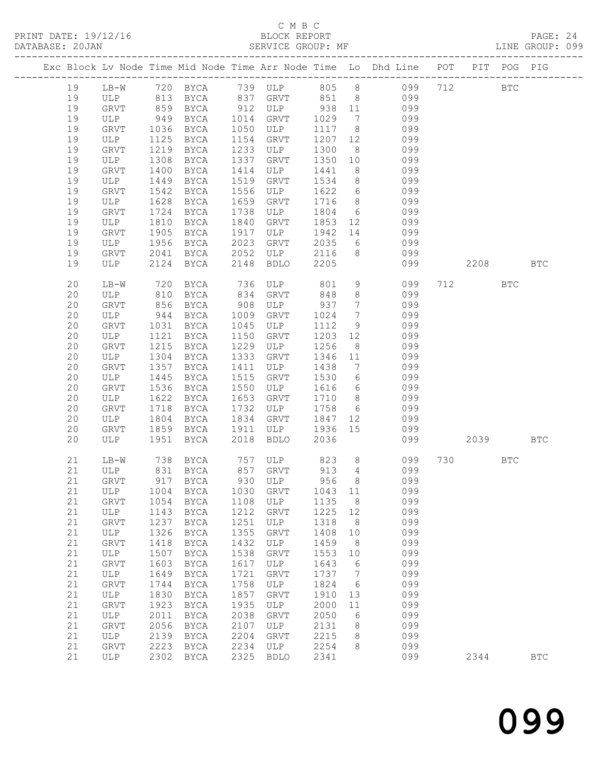## C M B C<br>BLOCK REPORT<br>SERVICE GROUP: MF

|          |                      |                                     |                               |              | ب سیت ب          |             |            | PRINT DATE: 19/12/16<br>BLOCK REPORT BLOCK PREPORT DATABASE: 20JAN SERVICE GROUP: MF PAGE: 20JAN SERVICE GROUP: MF |      |            |              |  |
|----------|----------------------|-------------------------------------|-------------------------------|--------------|------------------|-------------|------------|--------------------------------------------------------------------------------------------------------------------|------|------------|--------------|--|
|          |                      |                                     |                               |              |                  |             |            | Exc Block Lv Node Time Mid Node Time Arr Node Time Lo Dhd Line POT PIT POG PIG                                     |      |            |              |  |
| 19       |                      |                                     |                               |              |                  |             |            | LB-W 720 BYCA 739 ULP 805 8 099 712                                                                                |      | <b>BTC</b> |              |  |
| 19       |                      |                                     |                               |              |                  |             |            |                                                                                                                    |      |            |              |  |
| 19       |                      |                                     |                               |              |                  |             |            |                                                                                                                    |      |            |              |  |
| 19       |                      |                                     |                               |              | GRVT             |             |            | ULP 813 BYCA 837 GRVT 851 8 099<br>GRVT 859 BYCA 912 ULP 938 11 099<br>ULP 949 BYCA 1014 GRVT 1029 7 099           |      |            |              |  |
| 19       | GRVT                 | 1036                                | <b>BYCA</b>                   | 1050         | ULP              |             |            | 1117 8 099                                                                                                         |      |            |              |  |
| 19       | ULP                  |                                     | BYCA                          | 1154         | GRVT             |             |            |                                                                                                                    |      |            |              |  |
| 19       | GRVT                 | $\frac{1}{1219}$<br>$\frac{1}{219}$ | BYCA                          | 1233         | ULP              |             |            | 1207 12 099<br>1300 8 099                                                                                          |      |            |              |  |
| 19       | ULP                  | 1308                                | BYCA                          | 1337         | GRVT             | 1350        |            | $\overline{10}$ 099                                                                                                |      |            |              |  |
| 19       | GRVT                 | 1400                                | BYCA                          | 1414         | ULP              | 1441        |            | 8 099                                                                                                              |      |            |              |  |
| 19       | ULP                  | 1449                                | BYCA                          | 1519         | GRVT             |             |            |                                                                                                                    |      |            |              |  |
| 19       | GRVT                 | 1542                                | BYCA                          | 1556         | ULP              |             |            | $\begin{array}{cccc} 1534 & 8 & 099 \\ 1622 & 6 & 099 \\ 1716 & 8 & 099 \end{array}$                               |      |            |              |  |
| 19       | ULP                  | 1628                                | BYCA                          | 1659         | GRVT             |             |            |                                                                                                                    |      |            |              |  |
| 19       | GRVT                 | 1724                                | BYCA                          | 1738         | ULP              |             |            | 1804 6 099                                                                                                         |      |            |              |  |
| 19       | ULP                  | 1810                                | BYCA                          | 1840         | GRVT             |             |            | 1853 12 099                                                                                                        |      |            |              |  |
| 19       | GRVT                 | 1905                                | BYCA                          | 1917         | ULP              | 1942        |            |                                                                                                                    |      |            |              |  |
| 19       | ULP                  | 1956                                | BYCA                          | 2023         | GRVT             | 2035        |            | 14 099<br>6 099                                                                                                    |      |            |              |  |
| 19       | GRVT                 | 2041                                | BYCA                          | 2052         | ULP              |             |            | 2116 8 099                                                                                                         |      |            |              |  |
| 19       | ULP                  | 2124                                | BYCA                          | 2148         | BDLO             | 2205        |            | 099                                                                                                                |      | 2208       | BTC          |  |
| 20       | LB-W                 | 720                                 |                               |              | BYCA 736 ULP 801 |             |            | 9 099                                                                                                              | 712  | <b>BTC</b> |              |  |
| 20       | ULP                  | 810                                 | BYCA 834                      |              | GRVT 848         |             |            | 8 099                                                                                                              |      |            |              |  |
| 20       | GRVT                 | 856                                 | BYCA                          | 908          | ULP              | 937         |            | 7 099                                                                                                              |      |            |              |  |
| 20       | ULP                  | 944<br>1031                         | BYCA                          | 1009         | GRVT             | 1024        |            | 7 099<br>9 099                                                                                                     |      |            |              |  |
| 20       | GRVT                 |                                     | BYCA                          | 1045         | ULP              | 1112        |            |                                                                                                                    |      |            |              |  |
| 20       | ULP                  | 1121                                | BYCA                          | 1150         | GRVT             | 1203        |            | 12 099                                                                                                             |      |            |              |  |
| 20       | GRVT                 | 1215                                | BYCA                          | 1229         | ULP              | 1256        |            | 8 099                                                                                                              |      |            |              |  |
| 20       | ULP                  | 1304                                | BYCA                          | 1333         | GRVT             | 1346        |            | $\begin{array}{ccc} 11 & \hspace{1.5cm} & 099 \\ 7 & \hspace{1.5cm} & 099 \end{array}$                             |      |            |              |  |
| 20       | GRVT                 | 1357                                | BYCA                          | 1411         | ULP              | 1438        |            |                                                                                                                    |      |            |              |  |
| 20       | ULP                  | 1445                                | BYCA                          | 1515         | GRVT             |             |            | 1530 6 099                                                                                                         |      |            |              |  |
| 20       | GRVT                 | 1536                                | BYCA                          | 1550         | ULP              |             |            | 1616 6 099                                                                                                         |      |            |              |  |
| 20       | ULP                  | 1622                                | BYCA                          | 1653         | GRVT             |             |            | 1710 8 099<br>1758 6 099                                                                                           |      |            |              |  |
| 20       | GRVT                 | 1718                                | BYCA                          | 1732         | ULP              |             |            | 1847 12 099                                                                                                        |      |            |              |  |
| 20       | ULP                  | 1804                                | BYCA                          | 1834<br>1911 | GRVT<br>ULP      |             |            | 1936 15 099                                                                                                        |      |            |              |  |
| 20<br>20 | GRVT<br>ULP          | 1859<br>1951                        | BYCA<br>BYCA                  | 2018         | BDLO             | 2036        |            | 099                                                                                                                |      | 2039 — 203 | BTC          |  |
|          |                      |                                     |                               |              |                  |             |            |                                                                                                                    |      |            |              |  |
| 21       |                      |                                     |                               |              |                  |             |            | LB-W 738 BYCA 757 ULP 823 8 099 730 BTC                                                                            |      |            |              |  |
| 21       | ULP                  | 831                                 | ${\tt BYCA}$                  | 857          | GRVT             | 913         | 4          | 099                                                                                                                |      |            |              |  |
| 21<br>21 | GRVT<br>$_{\rm ULP}$ | 917<br>1004                         | $_{\rm BYCA}$<br>${\tt BYCA}$ | 930<br>1030  | ULP<br>GRVT      | 956<br>1043 | 8<br>11    | 099<br>099                                                                                                         |      |            |              |  |
| 21       | GRVT                 | 1054                                | $_{\rm BYCA}$                 | 1108         | ULP              | 1135        | 8          | 099                                                                                                                |      |            |              |  |
| 21       | <b>ULP</b>           | 1143                                | <b>BYCA</b>                   | 1212         | GRVT             | 1225        | 12         | 099                                                                                                                |      |            |              |  |
| 21       | GRVT                 | 1237                                | <b>BYCA</b>                   | 1251         | ULP              | 1318        | 8          | 099                                                                                                                |      |            |              |  |
| 21       | ULP                  | 1326                                | <b>BYCA</b>                   | 1355         | GRVT             | 1408        | $10$       | 099                                                                                                                |      |            |              |  |
| 21       | GRVT                 | 1418                                | <b>BYCA</b>                   | 1432         | $_{\rm ULP}$     | 1459        | 8          | 099                                                                                                                |      |            |              |  |
| 21       | $_{\rm ULP}$         | 1507                                | <b>BYCA</b>                   | 1538         | GRVT             | 1553        | 10         | 099                                                                                                                |      |            |              |  |
| 21       | GRVT                 | 1603                                | <b>BYCA</b>                   | 1617         | ULP              | 1643        | 6          | 099                                                                                                                |      |            |              |  |
| 21       | ULP                  | 1649                                | <b>BYCA</b>                   | 1721         | GRVT             | 1737        | 7          | 099                                                                                                                |      |            |              |  |
| 21       | GRVT                 | 1744                                | ${\tt BYCA}$                  | 1758         | ULP              | 1824        | $\epsilon$ | 099                                                                                                                |      |            |              |  |
| 21       | ULP                  | 1830                                | <b>BYCA</b>                   | 1857         | GRVT             | 1910        | 13         | 099                                                                                                                |      |            |              |  |
| 21       | GRVT                 | 1923                                | <b>BYCA</b>                   | 1935         | ULP              | 2000        | 11         | 099                                                                                                                |      |            |              |  |
| 21       | ULP                  | 2011                                | <b>BYCA</b>                   | 2038         | GRVT             | 2050        | 6          | 099                                                                                                                |      |            |              |  |
| 21       | GRVT                 | 2056                                | ${\tt BYCA}$                  | 2107         | $_{\rm ULP}$     | 2131        | $\,8\,$    | 099                                                                                                                |      |            |              |  |
| 21       | $_{\rm ULP}$         | 2139                                | ${\tt BYCA}$                  | 2204         | GRVT             | 2215        | 8          | 099                                                                                                                |      |            |              |  |
| 21       | GRVT                 | 2223                                | <b>BYCA</b>                   | 2234         | ULP              | 2254        | 8          | 099                                                                                                                |      |            |              |  |
| 21       | ULP                  | 2302                                | ${\tt BYCA}$                  | 2325         | <b>BDLO</b>      | 2341        |            | 099                                                                                                                | 2344 |            | $_{\rm BTC}$ |  |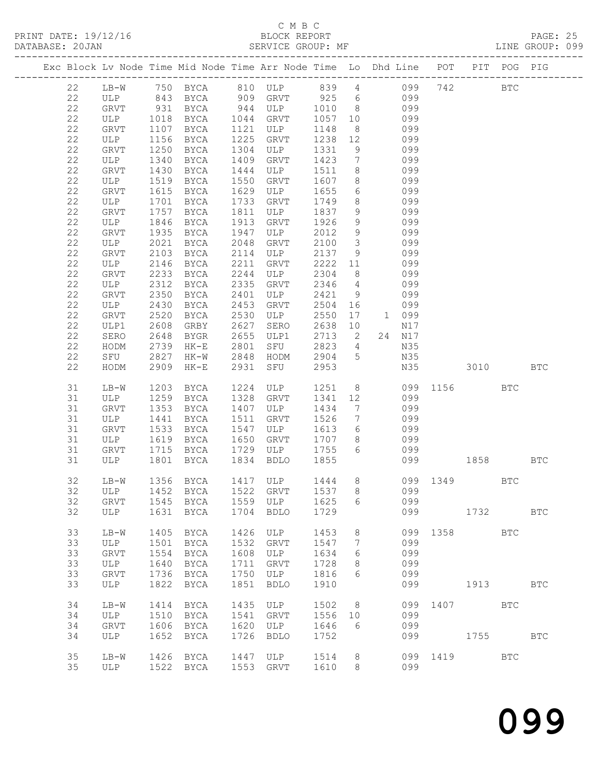#### C M B C

| DATABASE: 20JAN |    |             |      | SERVICE GROUP: MF |      |                |         |                         |                                                                                                               |              |      |            | LINE GROUP: 099 |  |
|-----------------|----|-------------|------|-------------------|------|----------------|---------|-------------------------|---------------------------------------------------------------------------------------------------------------|--------------|------|------------|-----------------|--|
|                 |    |             |      |                   |      |                |         |                         | Exc Block Lv Node Time Mid Node Time Arr Node Time Lo Dhd Line POT PIT POG PIG                                |              |      |            |                 |  |
|                 | 22 |             |      |                   |      |                |         |                         | LB-W 750 BYCA 810 ULP 839 4 099 742 BTC                                                                       |              |      |            |                 |  |
|                 | 22 |             |      |                   |      |                |         |                         | ULP 843 BYCA 909 GRVT 925 6 099                                                                               |              |      |            |                 |  |
|                 | 22 |             |      |                   |      |                |         |                         | GRVT 931 BYCA 944 ULP 1010 8 099<br>ULP 1018 BYCA 1044 GRVT 1057 10 099<br>GRVT 1107 BYCA 1121 ULP 1148 8 099 |              |      |            |                 |  |
|                 | 22 |             |      |                   |      |                |         |                         |                                                                                                               |              |      |            |                 |  |
|                 | 22 |             |      |                   |      | 1121 ULP       |         |                         |                                                                                                               |              |      |            |                 |  |
|                 | 22 | ULP         | 1156 | BYCA              |      | 1225 GRVT      |         |                         | 1238 12 099                                                                                                   |              |      |            |                 |  |
|                 |    |             |      |                   |      |                |         |                         |                                                                                                               |              |      |            |                 |  |
|                 | 22 | GRVT        | 1250 | BYCA              |      | 1304 ULP       | 1331    | 9                       | 099                                                                                                           |              |      |            |                 |  |
|                 | 22 | ULP         | 1340 | BYCA              | 1409 | GRVT           | 1423    | $7\overline{ }$         | 099                                                                                                           |              |      |            |                 |  |
|                 | 22 | GRVT        | 1430 | BYCA              | 1444 | ULP            | 1511 8  |                         | 099                                                                                                           |              |      |            |                 |  |
|                 | 22 | ULP         | 1519 | BYCA              | 1550 | GRVT           | 1607    |                         | 8 099                                                                                                         |              |      |            |                 |  |
|                 | 22 | GRVT        | 1615 | BYCA              | 1629 | ULP            | 1655    |                         | 6 099                                                                                                         |              |      |            |                 |  |
|                 | 22 | ULP         | 1701 | BYCA              | 1733 | GRVT           | 1749    | 8 <sup>8</sup>          | 099                                                                                                           |              |      |            |                 |  |
|                 | 22 | GRVT        | 1757 | BYCA              | 1811 | ULP            | 1837    |                         | $\frac{3}{9}$ 099                                                                                             |              |      |            |                 |  |
|                 | 22 | ULP         | 1846 | BYCA              | 1913 | GRVT           | 1926    | 9                       | 099                                                                                                           |              |      |            |                 |  |
|                 | 22 | GRVT        | 1935 | BYCA              | 1947 | ULP            | 2012    | 9                       | 099                                                                                                           |              |      |            |                 |  |
|                 | 22 | ULP         | 2021 | BYCA              | 2048 | GRVT           | 2100    | $\overline{\mathbf{3}}$ | 099                                                                                                           |              |      |            |                 |  |
|                 |    |             |      |                   |      | ULP            |         |                         |                                                                                                               |              |      |            |                 |  |
|                 | 22 | GRVT        | 2103 | BYCA              | 2114 |                | 2137 9  |                         | 099                                                                                                           |              |      |            |                 |  |
|                 | 22 | ULP         | 2146 | BYCA              | 2211 | GRVT           | 2222 11 |                         | 099                                                                                                           |              |      |            |                 |  |
|                 | 22 | GRVT        | 2233 | BYCA              | 2244 | ULP            | 2304    | 8 <sup>8</sup>          | 099                                                                                                           |              |      |            |                 |  |
|                 | 22 | ULP         | 2312 | BYCA              | 2335 | GRVT           | 2346    | $4\overline{4}$         | 099                                                                                                           |              |      |            |                 |  |
|                 | 22 | GRVT        | 2350 | BYCA              | 2401 | ULP            | 2421 9  |                         | 099                                                                                                           |              |      |            |                 |  |
|                 | 22 | ULP         | 2430 | BYCA              | 2453 | GRVT           | 2504    | 16                      | 099                                                                                                           |              |      |            |                 |  |
|                 | 22 | GRVT        | 2520 | BYCA              | 2530 | ULP            | 2550    |                         | 17 1 099                                                                                                      |              |      |            |                 |  |
|                 | 22 | ULP1        | 2608 | GRBY              | 2627 | SERO           | 2638    | 10                      | N17                                                                                                           |              |      |            |                 |  |
|                 | 22 | SERO        | 2648 | BYGR              |      | 2655 ULP1      | 2713 2  |                         | 24 N17                                                                                                        |              |      |            |                 |  |
|                 | 22 | HODM        | 2739 | HK-E              | 2801 | SFU            | 2823 4  |                         | N35                                                                                                           |              |      |            |                 |  |
|                 |    |             |      |                   |      |                | 2904 5  |                         |                                                                                                               |              |      |            |                 |  |
|                 | 22 | SFU         | 2827 |                   |      | HK-W 2848 HODM |         |                         | N35                                                                                                           |              |      |            |                 |  |
|                 | 22 | HODM        | 2909 | HK-E              |      | 2931 SFU       | 2953    |                         |                                                                                                               | N35 3010     |      |            | BTC             |  |
|                 | 31 | $LB-W$      | 1203 | BYCA              |      | 1224 ULP       |         |                         | 1251 8                                                                                                        | 099 1156     |      | BTC        |                 |  |
|                 | 31 | ULP         | 1259 | BYCA              |      | 1328 GRVT      |         |                         | 1341 12<br>099                                                                                                |              |      |            |                 |  |
|                 | 31 | GRVT        | 1353 | BYCA              |      | 1407 ULP       | 1434    | $\overline{7}$          | 099                                                                                                           |              |      |            |                 |  |
|                 | 31 | ULP         | 1441 | BYCA              |      | 1511 GRVT      | 1526    | $7\overline{ }$         | 099                                                                                                           |              |      |            |                 |  |
|                 | 31 | GRVT        | 1533 | BYCA              | 1547 | ULP            |         |                         | $1613$ 6 099                                                                                                  |              |      |            |                 |  |
|                 | 31 | ULP         | 1619 | BYCA              |      | 1650 GRVT      | 1707 8  |                         | 099                                                                                                           |              |      |            |                 |  |
|                 | 31 | GRVT        | 1715 | BYCA              |      | 1729 ULP       | 1755    |                         | 6 099                                                                                                         |              |      |            |                 |  |
|                 |    |             |      |                   |      |                |         |                         |                                                                                                               |              |      |            |                 |  |
|                 | 31 |             |      | ULP 1801 BYCA     |      | 1834 BDLO      | 1855    |                         | 099                                                                                                           | 1858         |      |            | BTC             |  |
|                 | 32 |             |      |                   |      |                |         |                         | LB-W 1356 BYCA 1417 ULP 1444 8 099 1349                                                                       |              |      | BTC        |                 |  |
|                 | 32 | ULP         |      | 1452 BYCA         |      | 1522 GRVT      | 1537    | 8                       | 099                                                                                                           |              |      |            |                 |  |
|                 | 32 | GRVT        | 1545 | BYCA              |      | 1559 ULP       | 1625    | 6                       | 099                                                                                                           |              |      |            |                 |  |
|                 | 32 | ULP         |      | 1631 BYCA         |      | 1704 BDLO      | 1729    |                         | 099                                                                                                           | 1732         |      |            | <b>BTC</b>      |  |
|                 | 33 | $LB-W$      | 1405 | BYCA              | 1426 | ULP            | 1453    | 8                       |                                                                                                               | 099 1358 BTC |      |            |                 |  |
|                 | 33 | ULP         | 1501 | BYCA              | 1532 | GRVT           | 1547    | 7                       | 099                                                                                                           |              |      |            |                 |  |
|                 | 33 | <b>GRVT</b> | 1554 | BYCA              | 1608 | ULP            | 1634    | 6                       | 099                                                                                                           |              |      |            |                 |  |
|                 |    |             |      |                   |      |                |         |                         |                                                                                                               |              |      |            |                 |  |
|                 | 33 | ULP         | 1640 | BYCA              | 1711 | GRVT           | 1728    | 8                       | 099                                                                                                           |              |      |            |                 |  |
|                 | 33 | GRVT        | 1736 | BYCA              | 1750 | ULP            | 1816    | 6                       | 099                                                                                                           |              |      |            |                 |  |
|                 | 33 | ULP         | 1822 | BYCA              | 1851 | BDLO           | 1910    |                         | 099                                                                                                           |              | 1913 |            | <b>BTC</b>      |  |
|                 | 34 | $LB-W$      | 1414 | BYCA              | 1435 | ULP            | 1502    | 8 <sup>8</sup>          |                                                                                                               | 099 1407     |      | BTC        |                 |  |
|                 | 34 | ULP         | 1510 | BYCA              |      | 1541 GRVT      | 1556 10 |                         | 099                                                                                                           |              |      |            |                 |  |
|                 | 34 | GRVT        | 1606 | BYCA              | 1620 | ULP            | 1646    | 6                       | 099                                                                                                           |              |      |            |                 |  |
|                 | 34 | ULP         | 1652 | BYCA              | 1726 | BDLO           | 1752    |                         | 099                                                                                                           |              | 1755 |            | <b>BTC</b>      |  |
|                 | 35 |             |      | 1426 BYCA         | 1447 | ULP            | 1514 8  |                         |                                                                                                               | 099 1419     |      | <b>BTC</b> |                 |  |
|                 |    | LB-W        |      |                   |      |                |         |                         |                                                                                                               |              |      |            |                 |  |
|                 | 35 | ULP         |      | 1522 BYCA         |      | 1553 GRVT 1610 |         | 8                       | 099                                                                                                           |              |      |            |                 |  |

099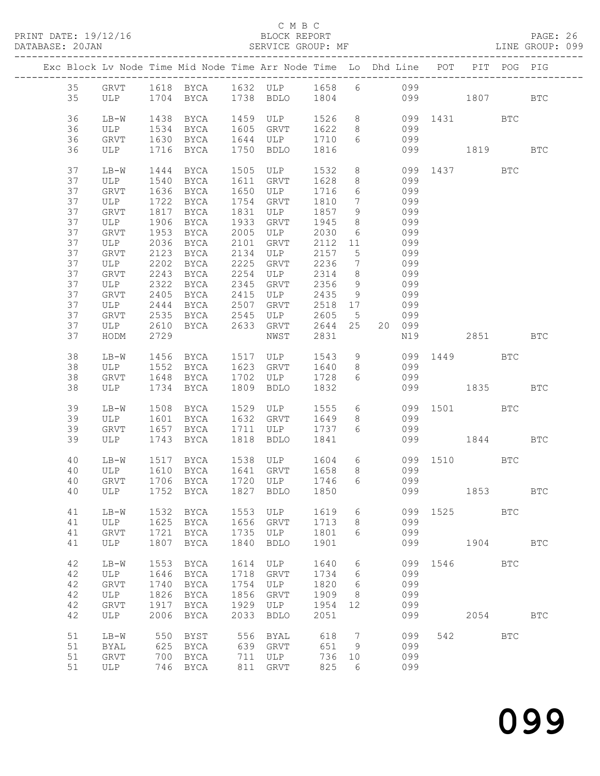#### C M B C

| DATABASE: 20JAN |    |          |      | SERVICE GROUP: MF                                                                 |      |                |         |                 | LINE GROUP: 099     |              |         |            |            |  |
|-----------------|----|----------|------|-----------------------------------------------------------------------------------|------|----------------|---------|-----------------|---------------------|--------------|---------|------------|------------|--|
|                 |    |          |      | Exc Block Lv Node Time Mid Node Time Arr Node Time Lo Dhd Line POT PIT POG PIG    |      |                |         |                 |                     |              |         |            |            |  |
|                 |    |          |      | 35 GRVT 1618 BYCA 1632 ULP 1658 6 099                                             |      |                |         |                 |                     |              |         |            |            |  |
|                 | 35 |          |      | ULP 1704 BYCA 1738 BDLO 1804 099 1807 BTC                                         |      |                |         |                 |                     |              |         |            |            |  |
|                 | 36 | LB-W     | 1438 | BYCA                                                                              |      | 1459 ULP       |         |                 | 1526 8 099 1431 BTC |              |         |            |            |  |
|                 | 36 | ULP      | 1534 | BYCA                                                                              |      | 1605 GRVT      | 1622 8  |                 | 099                 |              |         |            |            |  |
|                 |    |          |      |                                                                                   |      | 1644 ULP 1710  |         |                 |                     |              |         |            |            |  |
|                 | 36 | GRVT     |      | 1630 BYCA                                                                         |      |                |         |                 | 6 099               |              |         |            |            |  |
|                 | 36 | ULP      |      | 1716 BYCA                                                                         |      | 1750 BDLO      | 1816    |                 |                     | 099 1819     |         |            | <b>BTC</b> |  |
|                 | 37 | LB-W     |      | 1444 BYCA                                                                         |      | 1505 ULP       |         |                 | 1532 8 099 1437 BTC |              |         |            |            |  |
|                 | 37 | ULP      | 1540 | BYCA                                                                              |      | 1611 GRVT      | 1628    |                 | 8 099               |              |         |            |            |  |
|                 | 37 | GRVT     | 1636 | BYCA                                                                              |      | 1650 ULP       | 1716    |                 | 6 099               |              |         |            |            |  |
|                 | 37 | ULP      | 1722 | BYCA                                                                              |      | 1754 GRVT      | 1810    | $7\overline{ }$ | 099                 |              |         |            |            |  |
|                 |    |          |      |                                                                                   |      |                |         |                 | 099                 |              |         |            |            |  |
|                 | 37 | GRVT     | 1817 | BYCA                                                                              |      | 1831 ULP       | 1857    | 9               |                     |              |         |            |            |  |
|                 | 37 | ULP      | 1906 | BYCA 1933 GRVT                                                                    |      |                | 1945    | 8 <sup>8</sup>  | 099                 |              |         |            |            |  |
|                 | 37 | GRVT     | 1953 |                                                                                   |      | BYCA 2005 ULP  | 2030    |                 | 6 099               |              |         |            |            |  |
|                 | 37 | ULP      | 2036 | BYCA 2101                                                                         |      | GRVT           | 2112 11 |                 | 099                 |              |         |            |            |  |
|                 | 37 | GRVT     | 2123 | BYCA 2134                                                                         |      | ULP            | 2157 5  |                 | 099                 |              |         |            |            |  |
|                 | 37 | ULP      | 2202 | BYCA                                                                              | 2225 | GRVT 2236      |         | $7\overline{ }$ | 099                 |              |         |            |            |  |
|                 |    |          |      |                                                                                   |      |                |         |                 |                     |              |         |            |            |  |
|                 | 37 | GRVT     | 2243 | BYCA 2254                                                                         |      | ULP            | 2314    | 8 <sup>8</sup>  | 099                 |              |         |            |            |  |
|                 | 37 | ULP      | 2322 | BYCA 2345                                                                         |      | GRVT           | 2356    | 9               | 099                 |              |         |            |            |  |
|                 | 37 | GRVT     | 2405 | BYCA 2415                                                                         |      | ULP            | 2435    | 9               | 099                 |              |         |            |            |  |
|                 | 37 | ULP      | 2444 | BYCA 2507                                                                         |      | GRVT           | 2518 17 |                 | 099                 |              |         |            |            |  |
|                 | 37 | GRVT     | 2535 | BYCA 2545                                                                         |      | ULP            | 2605 5  |                 | 099                 |              |         |            |            |  |
|                 | 37 | ULP 2610 |      |                                                                                   |      | BYCA 2633 GRVT | 2644 25 |                 | 20 099              |              |         |            |            |  |
|                 |    |          |      |                                                                                   |      |                |         |                 |                     |              |         |            |            |  |
|                 | 37 | HODM     | 2729 |                                                                                   |      | NWST           | 2831    |                 |                     | N19          |         | 2851 BTC   |            |  |
|                 | 38 | LB-W     |      | 1456 BYCA 1517 ULP 1543 9 099 1449 BTC                                            |      |                |         |                 |                     |              |         |            |            |  |
|                 | 38 | ULP      | 1552 | BYCA                                                                              |      | 1623 GRVT      | 1640    |                 | 8 099               |              |         |            |            |  |
|                 | 38 | GRVT     | 1648 | BYCA                                                                              |      | 1702 ULP       | 1728    | $6\overline{6}$ | 099                 |              |         |            |            |  |
|                 | 38 | ULP      |      | 1734 BYCA                                                                         |      | 1809 BDLO      | 1832    |                 |                     | 099 1835     |         |            | BTC        |  |
|                 |    |          |      |                                                                                   |      |                |         |                 |                     |              |         |            |            |  |
|                 | 39 | $LB-W$   | 1508 | BYCA                                                                              |      | 1529 ULP       | 1555    |                 | 6 099 1501 BTC      |              |         |            |            |  |
|                 | 39 | ULP      | 1601 | <b>BYCA</b>                                                                       |      | 1632 GRVT      | 1649    | 8 <sup>8</sup>  | 099                 |              |         |            |            |  |
|                 | 39 | GRVT     |      | 1657 BYCA                                                                         |      | 1711 ULP       | 1737 6  |                 | 099                 |              |         |            |            |  |
|                 | 39 | ULP      |      | 1743 BYCA                                                                         |      | 1818 BDLO      | 1841    |                 |                     | 099 1844 BTC |         |            |            |  |
|                 |    |          |      |                                                                                   |      |                |         |                 |                     |              |         |            |            |  |
|                 | 40 | LB-W     |      | LB-W 1517 BYCA 1538 ULP 1604 6 099 1510 BTC<br>ULP 1610 BYCA 1641 GRVT 1658 8 099 |      |                |         |                 |                     |              |         |            |            |  |
|                 | 40 |          |      |                                                                                   |      |                |         |                 |                     |              |         |            |            |  |
|                 |    |          |      | 40 GRVT 1706 BYCA 1720 ULP 1746 6 099                                             |      |                |         |                 |                     |              |         |            |            |  |
|                 | 40 | ULP      |      | 1752 BYCA                                                                         |      | 1827 BDLO      | 1850    |                 | 099                 |              |         | 1853       | <b>BTC</b> |  |
|                 |    |          |      |                                                                                   |      |                |         |                 |                     |              |         |            |            |  |
|                 | 41 | $LB-W$   | 1532 | BYCA                                                                              |      | 1553 ULP       | 1619    | 6               |                     | 099 1525     |         | <b>BTC</b> |            |  |
|                 | 41 | ULP      | 1625 | BYCA                                                                              |      | 1656 GRVT      | 1713    | 8 <sup>8</sup>  | 099                 |              |         |            |            |  |
|                 | 41 | GRVT     | 1721 | BYCA                                                                              |      | 1735 ULP       | 1801    | 6               | 099                 |              |         |            |            |  |
|                 | 41 | ULP      | 1807 | BYCA                                                                              | 1840 | BDLO           | 1901    |                 | 099                 |              |         | 1904       | <b>BTC</b> |  |
|                 |    |          |      |                                                                                   |      |                |         |                 |                     |              |         |            |            |  |
|                 | 42 | $LB-W$   | 1553 | BYCA                                                                              | 1614 | ULP            | 1640    | 6               |                     | 099 1546 BTC |         |            |            |  |
|                 | 42 | ULP      | 1646 | BYCA                                                                              | 1718 | GRVT           | 1734    | 6               | 099                 |              |         |            |            |  |
|                 | 42 | GRVT     | 1740 | BYCA                                                                              | 1754 | ULP            | 1820    | 6               | 099                 |              |         |            |            |  |
|                 | 42 | ULP      | 1826 | BYCA                                                                              | 1856 | GRVT           | 1909    | 8 <sup>8</sup>  | 099                 |              |         |            |            |  |
|                 | 42 | GRVT     | 1917 | BYCA                                                                              | 1929 | ULP            | 1954    | 12              | 099                 |              |         |            |            |  |
|                 | 42 | ULP      | 2006 | BYCA                                                                              | 2033 | BDLO           | 2051    |                 | 099                 |              |         | 2054       | <b>BTC</b> |  |
|                 |    |          |      |                                                                                   |      |                |         |                 |                     |              |         |            |            |  |
|                 | 51 | $LB-W$   | 550  | BYST                                                                              |      | 556 BYAL       | 618     | $\overline{7}$  | 099                 |              | 542 BTC |            |            |  |
|                 | 51 | BYAL     |      | 625 BYCA                                                                          |      | 639 GRVT       | 651     | 9               | 099                 |              |         |            |            |  |
|                 | 51 | GRVT     | 700  | BYCA                                                                              | 711  | ULP            | 736 10  |                 | 099                 |              |         |            |            |  |
|                 | 51 | ULP      |      | 746 BYCA                                                                          | 811  | GRVT           | 825     | 6               | 099                 |              |         |            |            |  |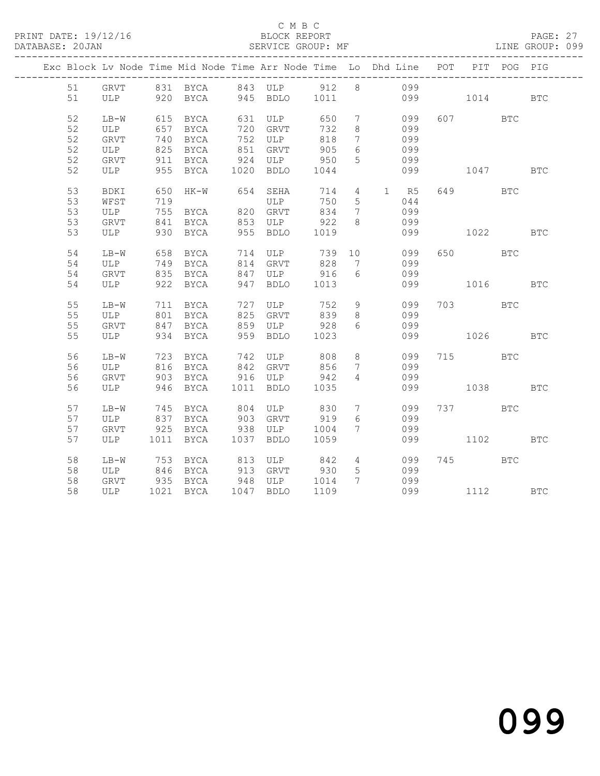#### C M B C<br>BLOCK REPORT SERVICE GROUP: MF

|  |    |             |     | Exc Block Lv Node Time Mid Node Time Arr Node Time Lo Dhd Line POT                        |                              |     |                              |                 |              |              | PIT POG PIG |              |
|--|----|-------------|-----|-------------------------------------------------------------------------------------------|------------------------------|-----|------------------------------|-----------------|--------------|--------------|-------------|--------------|
|  |    |             |     | 51 GRVT 831 BYCA 843 ULP 912 8 099                                                        |                              |     |                              |                 |              |              |             |              |
|  | 51 |             |     | ULP 920 BYCA 945 BDLO 1011                                                                |                              |     |                              |                 | 099 1014 BTC |              |             |              |
|  | 52 | $LB-W$      |     | 615 BYCA 631 ULP 650                                                                      |                              |     | $7\overline{ }$              |                 | 099          | 607 BTC      |             |              |
|  | 52 | ULP         | 657 | <b>BYCA</b>                                                                               | 720 GRVT                     | 732 | 8                            |                 | 099          |              |             |              |
|  | 52 | GRVT        |     | 740 BYCA 752 ULP                                                                          |                              | 818 | $7\phantom{.0}\phantom{.0}7$ |                 | 099          |              |             |              |
|  | 52 | ULP         |     | 825 BYCA                                                                                  | 851 GRVT                     | 905 | 6                            |                 | 099          |              |             |              |
|  | 52 | GRVT        |     | 911 BYCA                                                                                  |                              |     | 5 <sup>5</sup>               |                 | 099          |              |             |              |
|  | 52 | ULP         |     | 911 BYCA 924 ULP 950<br>955 BYCA 1020 BDLO 1044                                           |                              |     |                              |                 | 099 1047 BTC |              |             |              |
|  |    |             |     |                                                                                           | SEHA 714 4 1 R5<br>ULP 750 F |     |                              |                 |              |              |             |              |
|  | 53 | <b>BDKI</b> | 650 | HK-W 654 SEHA                                                                             |                              |     |                              |                 |              | 649 BTC      |             |              |
|  | 53 | WFST        | 719 |                                                                                           |                              |     |                              |                 |              |              |             |              |
|  | 53 | ULP         | 755 | BYCA 820 GRVT 834                                                                         |                              |     | $7\phantom{0}$               |                 | 099          |              |             |              |
|  | 53 | GRVT        |     | 841 BYCA 853 ULP 922                                                                      |                              |     | 8 <sup>8</sup>               |                 | 099          |              |             |              |
|  | 53 | ULP         |     | 930 BYCA                                                                                  | 955 BDLO 1019                |     |                              |                 | 099 1022     |              |             | BTC          |
|  | 54 | $LB-W$      |     | 658 BYCA 714 ULP 739 10                                                                   |                              |     |                              |                 | 099          | 650 BTC      |             |              |
|  | 54 | ULP         |     | 749 BYCA                                                                                  | 814 GRVT 828                 |     | $7\overline{ }$              |                 | 099          |              |             |              |
|  | 54 | GRVT        |     | 835 BYCA                                                                                  | 847 ULP 916<br>947 BDLO 1013 |     | 6                            |                 | 099          |              |             |              |
|  | 54 | ULP         |     | 922 BYCA                                                                                  |                              |     |                              |                 |              | 099 1016     |             | $_{\rm BTC}$ |
|  | 55 | $LB-W$      |     |                                                                                           |                              |     |                              |                 | 099          | 703 BTC      |             |              |
|  | 55 | ULP         |     | 711 BYCA       727  ULP        752     9<br>801   BYCA        825   GRVT        839     8 |                              |     |                              |                 | 099          |              |             |              |
|  | 55 | GRVT        |     | 847 BYCA 859 ULP 928                                                                      |                              |     | 6                            |                 | 099          |              |             |              |
|  | 55 | ULP         |     | 934 BYCA 959 BDLO 1023                                                                    |                              |     |                              |                 |              | 099 1026 BTC |             |              |
|  | 56 | $LB-W$      |     | 723 BYCA 742 ULP 808                                                                      |                              |     |                              | $8 - 8$         | 099          | 715 BTC      |             |              |
|  | 56 | ULP         |     | 816 BYCA 842 GRVT 856                                                                     |                              |     | $7\overline{ }$              |                 | 099          |              |             |              |
|  | 56 | GRVT        |     | 903 BYCA 916 ULP 942                                                                      |                              |     | $\overline{4}$               |                 | 099          |              |             |              |
|  | 56 | ULP         |     | 946 BYCA 1011 BDLO 1035                                                                   |                              |     |                              |                 |              | 099 1038     |             | BTC          |
|  |    |             |     |                                                                                           |                              |     |                              |                 |              |              |             |              |
|  | 57 | $LB-W$      |     | 745 BYCA 804 ULP 830                                                                      |                              |     |                              | $7\overline{ }$ | 099          | 737 BTC      |             |              |
|  | 57 | ULP         |     |                                                                                           |                              |     | $6\overline{6}$              |                 | 099          |              |             |              |
|  | 57 | GRVT        |     | ULP 1011 BYCA 1037 BDLO 1059                                                              |                              |     | $7\overline{ }$              |                 | 099          |              |             |              |
|  | 57 |             |     |                                                                                           |                              |     |                              |                 |              | 099 1102     |             | <b>BTC</b>   |
|  | 58 |             |     | LB-W 753 BYCA 813 ULP 842 4<br>ULP 846 BYCA 913 GRVT 930 5                                |                              |     |                              |                 | 099 745 BTC  |              |             |              |
|  | 58 |             |     |                                                                                           |                              |     |                              |                 | 099          |              |             |              |
|  | 58 | GRVT        |     | 935 BYCA 948 ULP 1014 7 099                                                               |                              |     |                              |                 |              |              |             |              |
|  | 58 |             |     | ULP 1021 BYCA 1047 BDLO 1109                                                              |                              |     |                              |                 | 099 1112 BTC |              |             |              |
|  |    |             |     |                                                                                           |                              |     |                              |                 |              |              |             |              |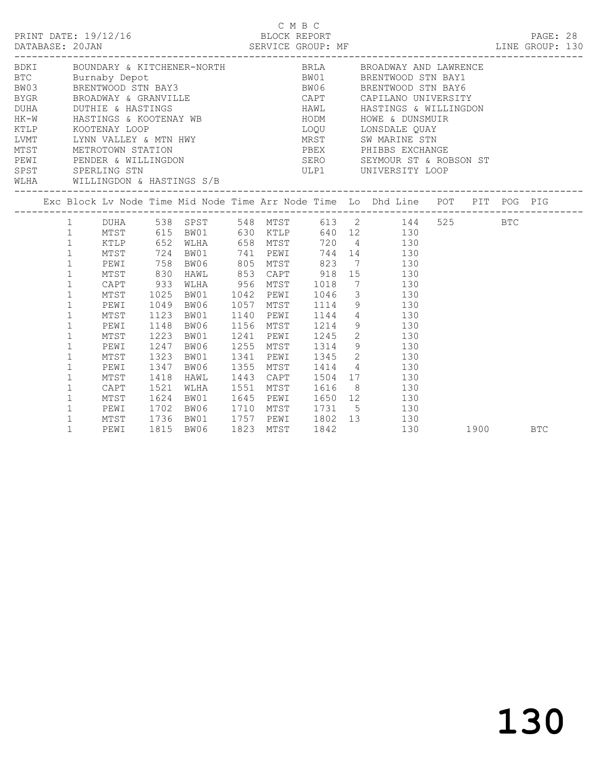| PRINT DATE: 19/12/16<br>DATABASE: 20JAN |                                                                                                                                                                                                                                                                                                                                                                                                                                                                                                                                                                                                                                                                                                                                                                                                                  |                                                                                                                                                                                                                                                                                                                               |                                                                                                                                              |                                                                                                      |                                                                                                             |  |                                                                                         | C M B C<br>------------------------- | 2/16<br>BLOCK REPORT BLOCK REPORT PAGE: 28<br>SERVICE GROUP: MF LINE GROUP: 130                                                                                                                                                                                                                                                                                                                                                                                                                             |  |      |            |  |
|-----------------------------------------|------------------------------------------------------------------------------------------------------------------------------------------------------------------------------------------------------------------------------------------------------------------------------------------------------------------------------------------------------------------------------------------------------------------------------------------------------------------------------------------------------------------------------------------------------------------------------------------------------------------------------------------------------------------------------------------------------------------------------------------------------------------------------------------------------------------|-------------------------------------------------------------------------------------------------------------------------------------------------------------------------------------------------------------------------------------------------------------------------------------------------------------------------------|----------------------------------------------------------------------------------------------------------------------------------------------|------------------------------------------------------------------------------------------------------|-------------------------------------------------------------------------------------------------------------|--|-----------------------------------------------------------------------------------------|--------------------------------------|-------------------------------------------------------------------------------------------------------------------------------------------------------------------------------------------------------------------------------------------------------------------------------------------------------------------------------------------------------------------------------------------------------------------------------------------------------------------------------------------------------------|--|------|------------|--|
|                                         | BDKI BOUNDARY & KITCHENER-NORTH BRIA BROADWAY AND LAWRENCE BTC Burnaby Depot BAY3 BROADWAY BRENTWOOD STN BAY1<br>BW03 BRENTWOOD STN BAY3 BW06 BRENTWOOD STN BAY6<br>BYGR BROADWAY & GRANVILLE CAPT CAPILANO UNIVERSITY<br>DURA DUTHIE & HASTINGS<br>HAWL HASTINGS A KOOTENAY WB HODM HOWE & DUNSMUIR<br>KTLP KOOTENAY LOOP LOQU LONSDALE QUAY<br>LOQU LONSDALE QUAY<br>LOQU LONSDALE QUAY<br>LOQU LONSDALE QUAY<br>LOQU LONSDALE QUAY<br>LOQU LONSDALE QUAY<br>MTST METROTOWN STATION TANK THE PREXT PHIBBS EXCHANGE<br>PEWITT PENDER & WILLINGDON TERRY SERO SEYMOUR ST & ROBSON ST<br>SPST SPERLING STN<br>WLHA WILLINGDON & HASTINGS S/B<br>Exc Block Lv Node Time Mid Node Time Arr Node Time Lo Dhd Line POT PIT POG PIG<br>1 DUHA 538 SPST 548 MTST 613 2 144 525 BTC<br>MTST 615 BW01 630 KTLP 640 12 130 |                                                                                                                                                                                                                                                                                                                               |                                                                                                                                              |                                                                                                      |                                                                                                             |  |                                                                                         |                                      | ULP1 UNIVERSITY LOOP                                                                                                                                                                                                                                                                                                                                                                                                                                                                                        |  |      |            |  |
|                                         |                                                                                                                                                                                                                                                                                                                                                                                                                                                                                                                                                                                                                                                                                                                                                                                                                  |                                                                                                                                                                                                                                                                                                                               |                                                                                                                                              |                                                                                                      |                                                                                                             |  |                                                                                         |                                      |                                                                                                                                                                                                                                                                                                                                                                                                                                                                                                             |  |      |            |  |
|                                         |                                                                                                                                                                                                                                                                                                                                                                                                                                                                                                                                                                                                                                                                                                                                                                                                                  | $1 \qquad \qquad$<br>$\mathbf{1}$<br>$\mathbf{1}$<br>$\mathbf{1}$<br>$\mathbf{1}$<br>$\mathbf{1}$<br>$\mathbf{1}$<br>$\mathbf 1$<br>$\mathbf{1}$<br>$\mathbf{1}$<br>$\mathbf{1}$<br>$\mathbf{1}$<br>$\mathbf{1}$<br>$\mathbf{1}$<br>$\mathbf 1$<br>$\mathbf{1}$<br>$\mathbf 1$<br>$\mathbf{1}$<br>$\mathbf 1$<br>$\mathbf{1}$ | MTST<br>PEWI<br>MTST<br>CAPT<br>MTST<br>PEWI<br>MTST<br>PEWI<br>MTST<br>PEWI<br>MTST<br>PEWI<br>MTST<br>CAPT<br>MTST<br>PEWI<br>MTST<br>PEWI | 1049<br>1123<br>1148<br>1223<br>1247<br>1323<br>1347<br>1418<br>1521<br>1624<br>1702<br>1736<br>1815 | KTLP 652 WLHA 658 MTST<br>BW06<br>BW01<br>BW06<br>BW01<br>BW06<br>HAWL<br>WLHA<br>BW01<br>BW06<br>1815 BW06 |  | 1156 MTST<br>1241 PEWI<br>1255 MTST<br>1341 PEWI<br>1355 MTST<br>1443 CAPT<br>1551 MTST |                                      | 720 4 130<br>724 BW01 741 PEWI 744 14 130<br>758 BW06 805 MTST 823 7 130<br>830 HAWL 853 CAPT 918 15 130<br>933 WLHA 956 MTST 1018 7 130<br>1025 BW01 1042 PEWI 1046 3 130<br>BW06 1057 MTST 1114 9 130<br>BW01 1140 PEWI 1144 4 130<br>1214 9 130<br>$\begin{array}{cccc} 1245 & 2 & & 130 \\ 1314 & 9 & & 130 \\ 1345 & 2 & & 130 \\ 1414 & 4 & & 130 \end{array}$<br>1504 17 130<br>1616 8 130<br>1645 PEWI 1650 12 130<br>1710 MTST 1731 5 130<br>BW01 1757 PEWI 1802 13 130<br>BW06 1823 MTST 1842 130 |  | 1900 | <b>BTC</b> |  |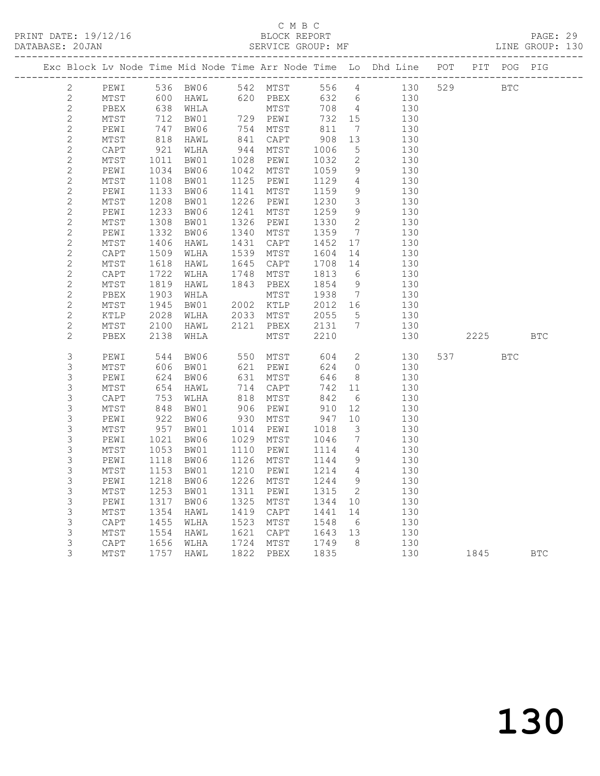#### C M B C<br>BLOCK REPORT SERVICE GROUP: MF

|                |              |                          |                                                                          |      |                      |               |                          | Exc Block Lv Node Time Mid Node Time Arr Node Time Lo Dhd Line POT PIT POG PIG |            |            |            |
|----------------|--------------|--------------------------|--------------------------------------------------------------------------|------|----------------------|---------------|--------------------------|--------------------------------------------------------------------------------|------------|------------|------------|
| $\mathbf{2}$   | PEWI         |                          |                                                                          |      |                      |               |                          |                                                                                | <b>BTC</b> |            |            |
| $\mathbf{2}$   | MTST         |                          |                                                                          |      |                      |               |                          |                                                                                |            |            |            |
| $\mathbf{2}$   | PBEX         |                          | HAWL 620 PBEX<br>WHLA MTST<br>BW01 729 PEWI<br>BW06 754 MTST<br>638 WHLA |      |                      | 708 4         |                          | 130                                                                            |            |            |            |
| $\sqrt{2}$     | MTST         | 712                      |                                                                          |      |                      | 732<br>811    | 732 15                   | 130                                                                            |            |            |            |
| $\sqrt{2}$     | PEWI         | $747$<br>818             |                                                                          |      |                      |               | $7\overline{ }$          | 130                                                                            |            |            |            |
| $\sqrt{2}$     | MTST         |                          | HAWL                                                                     |      | 841 CAPT             | $908$<br>1006 | 13                       | 130                                                                            |            |            |            |
| $\sqrt{2}$     | CAPT         | 921                      | WLHA                                                                     |      | 944 MTST             |               | 5                        | 130                                                                            |            |            |            |
| $\mathbf{2}$   | MTST         | 1011<br>1034             | BW01                                                                     |      | 1028 PEWI            | 1032          | $\overline{2}$           | 130                                                                            |            |            |            |
| $\sqrt{2}$     | PEWI         |                          | BW06                                                                     |      | 1042 MTST            | 1059          | 9                        | 130                                                                            |            |            |            |
| $\mathbf{2}$   | MTST         | $111$<br>$1133$<br>$308$ | BW01                                                                     |      | 1125 PEWI            | 1129          | $\overline{4}$           | 130                                                                            |            |            |            |
| $\mathbf{2}$   | PEWI         |                          | BW06                                                                     |      | 1141 MTST            | 1159          | 9                        | 130                                                                            |            |            |            |
| $\mathbf{2}$   | MTST         | 1208<br>1233             | BW01                                                                     |      | 1226 PEWI            | 1230          | $\overline{\mathbf{3}}$  | 130                                                                            |            |            |            |
| $\mathbf{2}$   | PEWI         |                          | BW06                                                                     | 1241 | MTST                 | 1259          | 9                        | 130                                                                            |            |            |            |
| $\mathbf{2}$   | MTST         | $1332$<br>$1332$         | BW01                                                                     | 1326 | PEWI                 | 1330          | $\overline{2}$           | 130                                                                            |            |            |            |
| $\mathbf{2}$   | PEWI         |                          | BW06                                                                     | 1340 | MTST                 | 1359          | $7\phantom{0}$           | 130                                                                            |            |            |            |
| $\mathbf{2}$   | MTST         | 1406                     | HAWL                                                                     | 1431 | CAPT                 | 1452          | 17                       | 130                                                                            |            |            |            |
| $\mathbf{2}$   | CAPT         | 1509                     | WLHA                                                                     |      | 1539 MTST            | 1604          | 14                       | 130                                                                            |            |            |            |
| $\mathbf{2}$   | MTST         | 1618                     | HAWL                                                                     | 1645 | CAPT                 | 1708          | 14                       | 130                                                                            |            |            |            |
| $\mathbf{2}$   | CAPT         | 1722                     | WLHA                                                                     |      | 1748 MTST            | 1813          | 6                        | 130                                                                            |            |            |            |
| $\mathbf{2}$   | MTST         | 1819<br>1903             | HAWL                                                                     |      | 1843 PBEX            | 1854<br>1938  | 9                        | 130                                                                            |            |            |            |
| $\mathbf{2}$   | PBEX         |                          | WHLA                                                                     |      | MTST                 |               | $7\overline{ }$          | 130                                                                            |            |            |            |
| $\mathbf{2}$   | MTST         | $\frac{1945}{2028}$      | BW01                                                                     |      | 2002 KTLP            | 2012 16       |                          | 130                                                                            |            |            |            |
| $\mathbf{2}$   | KTLP         | 2028                     | WLHA                                                                     |      | 2033 MTST            | 2055 5        |                          | 130                                                                            |            |            |            |
| $\mathbf{2}$   | MTST         | 2100                     | HAWL                                                                     |      | 2121 PBEX            | 2131          | $\overline{7}$           | 130                                                                            |            |            |            |
| $\overline{2}$ | PBEX         | 2138                     | WHLA                                                                     |      | MTST                 | 2210          |                          | 130                                                                            | 2225 BTC   |            |            |
| $\mathsf S$    | PEWI         | 544                      | BW06                                                                     |      | 550 MTST             | 604           |                          | 2 130                                                                          | 537 — 100  | <b>BTC</b> |            |
| 3              | MTST         | 606                      | BW01                                                                     |      | 621 PEWI             | 624           | $\overline{0}$           | 130                                                                            |            |            |            |
| $\mathsf 3$    | PEWI         |                          | BW06                                                                     |      |                      | 646           | 8 <sup>8</sup>           | 130                                                                            |            |            |            |
| $\mathsf S$    | MTST         | 624<br>654               | HAWL                                                                     |      | 631 MTST<br>714 CAPT | 742 11        |                          | 130                                                                            |            |            |            |
| $\mathsf S$    | CAPT         | 753                      | WLHA                                                                     |      | 818 MTST             | 842           | 6                        | 130                                                                            |            |            |            |
| $\mathsf 3$    | MTST         | 753<br>848               | BW01                                                                     |      | 906 PEWI             | 842<br>910    | 12                       | 130                                                                            |            |            |            |
| 3              | PEWI         | 922<br>957               | BW06                                                                     |      | 930 MTST             | 947           | 10                       | 130                                                                            |            |            |            |
| 3              | MTST         |                          | BW01                                                                     |      | 1014 PEWI            | 1018          | $\overline{\mathbf{3}}$  | 130                                                                            |            |            |            |
| 3              | PEWI         | 1021                     | BW06                                                                     | 1029 | MTST                 | 1046          | $\overline{7}$           | 130                                                                            |            |            |            |
| $\mathsf S$    | MTST         | 1053                     | BW01                                                                     | 1110 | PEWI                 | 1114          | $\overline{4}$           | 130                                                                            |            |            |            |
| $\mathsf 3$    | PEWI         | 1118                     | BW06                                                                     | 1126 | MTST                 | 1144          | 9                        | 130                                                                            |            |            |            |
| 3              | MTST         | 1153                     | BW01                                                                     | 1210 | PEWI                 | 1214 4        |                          | 130                                                                            |            |            |            |
| $\mathsf S$    | PEWI         | 1218                     | BW06                                                                     | 1226 | MTST                 | 1244          | 9                        | 130                                                                            |            |            |            |
| $\mathfrak{Z}$ | MTST         | 1253                     | BW01                                                                     | 1311 | PEWI                 | 1315          | $\overline{\phantom{a}}$ | 130                                                                            |            |            |            |
| $\mathsf S$    | PEWI         | 1317                     | BW06                                                                     | 1325 | MTST                 | 1344          | 10                       | 130                                                                            |            |            |            |
| $\mathfrak{Z}$ | ${\tt MTST}$ | 1354                     | HAWL                                                                     |      | 1419 CAPT            | 1441          | 14                       | 130                                                                            |            |            |            |
| $\mathsf S$    | CAPT         | 1455<br>1554             | WLHA                                                                     |      | 1523 MTST            | 1548          | 6                        | 130                                                                            |            |            |            |
| $\mathsf S$    | MTST         |                          | HAWL                                                                     |      | 1621 CAPT            | 1643 13       |                          | 130                                                                            |            |            |            |
| 3              | CAPT         | 1656                     | WLHA                                                                     |      | 1724 MTST            | 1749          | 8 <sup>8</sup>           | 130                                                                            |            |            |            |
| 3              | MTST         | 1757                     | HAWL                                                                     |      | 1822 PBEX            | 1835          |                          | 130                                                                            | 1845       |            | <b>BTC</b> |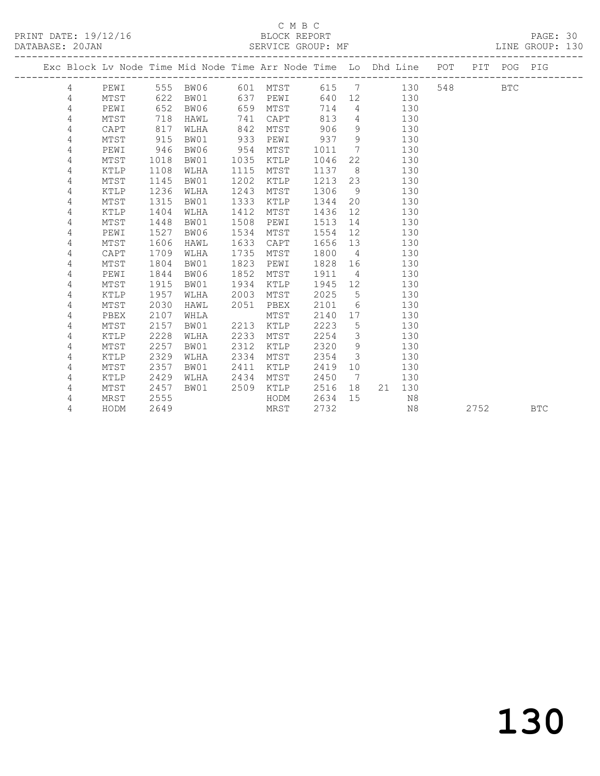PRINT DATE: 19/12/16 BLOCK REPORT DATABASE: 20JAN BLOCK REPORT

### C M B C<br>BLOCK REPORT

PAGE: 30<br>LINE GROUP: 130

|                |                |      |      | Exc Block Lv Node Time Mid Node Time Arr Node Time Lo Dhd Line POT PIT POG PIG |      |                |         |                 |            |     |     |      |            |            |
|----------------|----------------|------|------|--------------------------------------------------------------------------------|------|----------------|---------|-----------------|------------|-----|-----|------|------------|------------|
|                | 4              | PEWI |      | 555 BW06                                                                       |      | 601 MTST 615 7 |         |                 |            | 130 | 548 |      | <b>BTC</b> |            |
|                | $\overline{4}$ | MTST | 622  | BW01                                                                           |      | 637 PEWI       |         |                 | 640 12 130 |     |     |      |            |            |
| 4              |                | PEWI | 652  | BW06                                                                           | 659  | MTST           | 714     | $4\overline{4}$ | 130        |     |     |      |            |            |
| 4              |                | MTST | 718  | HAWL                                                                           | 741  | CAPT           | 813     |                 | 4 130      |     |     |      |            |            |
| 4              |                | CAPT | 817  | WLHA                                                                           | 842  | MTST           | 906     | 9               |            | 130 |     |      |            |            |
| 4              |                | MTST | 915  | BW01                                                                           | 933  | PEWI           | 937     | 9               |            | 130 |     |      |            |            |
| 4              |                | PEWI | 946  | BW06                                                                           | 954  | MTST           | 1011    | $\overline{7}$  |            | 130 |     |      |            |            |
| 4              |                | MTST | 1018 | BW01                                                                           | 1035 | KTLP           | 1046    | 22              |            | 130 |     |      |            |            |
| 4              |                | KTLP | 1108 | WLHA                                                                           | 1115 | MTST           | 1137    | 8 <sup>8</sup>  |            | 130 |     |      |            |            |
| 4              |                | MTST | 1145 | BW01                                                                           | 1202 | KTLP           | 1213    | 23              |            | 130 |     |      |            |            |
| 4              |                | KTLP | 1236 | WLHA                                                                           | 1243 | MTST           | 1306    | 9               |            | 130 |     |      |            |            |
| 4              |                | MTST | 1315 | BW01                                                                           | 1333 | KTLP           | 1344    | 20              |            | 130 |     |      |            |            |
| 4              |                | KTLP | 1404 | WLHA                                                                           | 1412 | MTST           | 1436    | 12              |            | 130 |     |      |            |            |
| 4              |                | MTST | 1448 | BW01                                                                           | 1508 | PEWI           | 1513    |                 | 14         | 130 |     |      |            |            |
| 4              |                | PEWI | 1527 | BW06                                                                           | 1534 | MTST           | 1554    |                 | 12         | 130 |     |      |            |            |
| 4              |                | MTST | 1606 | HAWL                                                                           | 1633 | CAPT           | 1656 13 |                 |            | 130 |     |      |            |            |
| 4              |                | CAPT | 1709 | WLHA                                                                           | 1735 | MTST           | 1800    | $4\overline{4}$ |            | 130 |     |      |            |            |
| 4              |                | MTST | 1804 | BW01                                                                           | 1823 | PEWI           | 1828 16 |                 |            | 130 |     |      |            |            |
| $\overline{4}$ |                | PEWI | 1844 | BW06                                                                           | 1852 | MTST           | 1911 4  |                 |            | 130 |     |      |            |            |
| 4              |                | MTST | 1915 | BW01                                                                           | 1934 | KTLP           | 1945 12 |                 |            | 130 |     |      |            |            |
| 4              |                | KTLP | 1957 | WLHA                                                                           | 2003 | MTST           | 2025    | $5\overline{)}$ |            | 130 |     |      |            |            |
| 4              |                | MTST | 2030 | HAWL                                                                           | 2051 | PBEX           | 2101    |                 | $6\degree$ | 130 |     |      |            |            |
| 4              |                | PBEX | 2107 | WHLA                                                                           |      | MTST           | 2140    |                 |            | 130 |     |      |            |            |
| 4              |                | MTST | 2157 | BW01                                                                           | 2213 | KTLP           | 2223    | $5\overline{)}$ |            | 130 |     |      |            |            |
| 4              |                | KTLP | 2228 | WLHA                                                                           | 2233 | MTST           | 2254    | $\mathcal{E}$   |            | 130 |     |      |            |            |
| 4              |                | MTST | 2257 | BW01                                                                           | 2312 | KTLP           | 2320    | 9               |            | 130 |     |      |            |            |
| 4              |                | KTLP | 2329 | WLHA                                                                           | 2334 | MTST           | 2354    | $\mathcal{S}$   |            | 130 |     |      |            |            |
| 4              |                | MTST | 2357 | BW01                                                                           | 2411 | KTLP           | 2419    | 10              |            | 130 |     |      |            |            |
| 4              |                | KTLP | 2429 | WLHA                                                                           | 2434 | MTST           | 2450    | $7\overline{ }$ |            | 130 |     |      |            |            |
| 4              |                | MTST | 2457 | BW01                                                                           | 2509 | KTLP           | 2516    | 18              | 21 130     |     |     |      |            |            |
| 4              |                | MRST | 2555 |                                                                                |      | HODM           | 2634    | 15              |            | N8  |     |      |            |            |
| 4              |                | HODM | 2649 |                                                                                |      | MRST           | 2732    |                 |            | N8  |     | 2752 |            | <b>BTC</b> |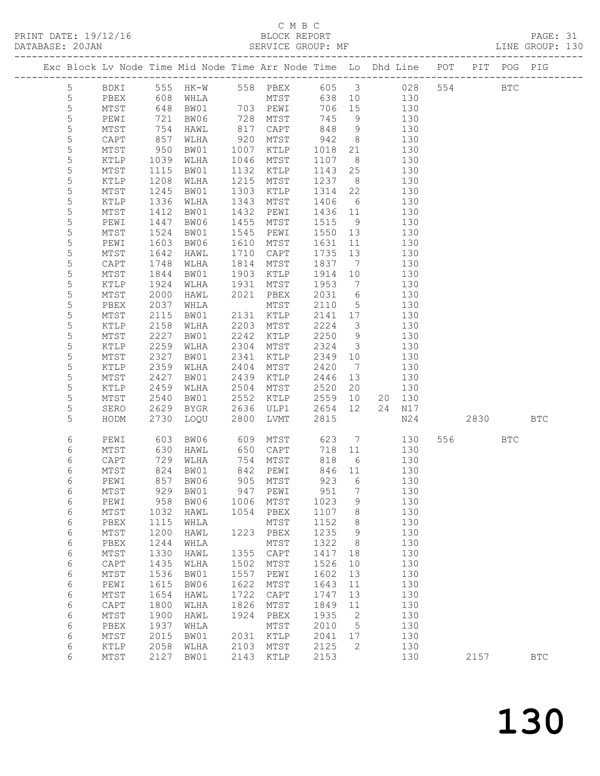PRINT DATE: 19/12/16 BLOCK REPORT BATABASE: 20JAN BLOCK REPORT

#### C M B C<br>BLOCK REPORT

| PAGE: 31        |  |
|-----------------|--|
| LINE GROUP: 130 |  |

|                  |                 |              |                         |              |                 |                         |                          | Exc Block Lv Node Time Mid Node Time Arr Node Time Lo Dhd Line POT |        | PIT POG PIG  |              |
|------------------|-----------------|--------------|-------------------------|--------------|-----------------|-------------------------|--------------------------|--------------------------------------------------------------------|--------|--------------|--------------|
| 5                | BDKI            |              |                         |              |                 |                         |                          |                                                                    | 554    | $_{\rm BTC}$ |              |
| $\mathsf S$      | PBEX            |              |                         |              |                 |                         |                          |                                                                    |        |              |              |
| $\mathsf S$      | MTST            | 648          | BW01                    |              | 703 PEWI        | 706                     | 15                       | 130                                                                |        |              |              |
| 5                | PEWI            | 721          | BW06                    |              | 728 MTST        | 745                     | 9                        | 130                                                                |        |              |              |
| $\mathsf S$      | MTST            | 754          | HAWL                    | 817          | CAPT            |                         | 9                        | 130                                                                |        |              |              |
| $\mathsf S$      | CAPT            | 857          | WLHA                    | 920          | MTST            | $842$<br>$942$<br>$018$ | 8 <sup>8</sup>           | 130                                                                |        |              |              |
| $\mathsf S$      | MTST            | 950          | BW01                    | 1007         | KTLP            | 1018                    | 21                       | 130                                                                |        |              |              |
| $\mathsf S$      | KTLP            | 1039         | WLHA                    | 1046         | MTST            | 1107                    | 8 <sup>8</sup>           | 130                                                                |        |              |              |
| 5                | MTST            | 1115         | BW01                    | 1132         | KTLP            | 1143                    | 25                       | 130                                                                |        |              |              |
| $\mathsf S$      | KTLP            | 1208         | WLHA                    | 1215         | MTST            | 1237                    | 8 <sup>8</sup>           | 130                                                                |        |              |              |
| $\mathsf S$      | MTST            | 1245         | BW01                    | 1303         | KTLP            | 1314                    | 22                       | 130                                                                |        |              |              |
| 5                | KTLP            | 1336         | WLHA                    | 1343         | MTST            | 1406                    | $6\overline{6}$          | 130                                                                |        |              |              |
| 5                | $\mathtt{MTST}$ | 1412         | BW01                    | 1432         | PEWI            | 1436                    | 11                       | 130                                                                |        |              |              |
| $\mathsf S$      | PEWI            | 1447         | BW06                    | 1455         | MTST            | 1515                    | 9                        | 130                                                                |        |              |              |
| $\mathsf S$      | $\mathtt{MTST}$ | 1524         | BW01                    | 1545         | PEWI            | 1550                    | 13                       | 130                                                                |        |              |              |
| $\mathsf S$      | PEWI            | 1603         | BW06                    | 1610         | MTST            | 1631                    | 11                       | 130                                                                |        |              |              |
| $\mathsf S$      | MTST            | 1642         | HAWL                    | 1710         | CAPT            | 1735                    | 13                       | 130                                                                |        |              |              |
| $\mathsf S$      | CAPT            | 1748         | WLHA                    | 1814         | MTST            | 1837                    | $\overline{7}$           | 130                                                                |        |              |              |
| $\mathsf S$      | MTST            | 1844         | BW01                    | 1903         | KTLP            | 1914                    | 10                       | 130                                                                |        |              |              |
| 5                | KTLP            | 1924         | WLHA                    | 1931         | MTST            | 1953                    | $\overline{7}$           | 130                                                                |        |              |              |
| 5                | MTST            | 2000         | HAWL                    | 2021         | PBEX            | 2031                    | 6                        | 130                                                                |        |              |              |
| $\mathsf S$      | PBEX            | 2037         | WHLA                    |              | MTST            | 2110                    | $5\overline{)}$          | 130                                                                |        |              |              |
| $\mathsf S$      | MTST            | 2115         | BW01                    |              | 2131 KTLP       | 2141                    | 17                       | 130                                                                |        |              |              |
| $\mathsf S$      | KTLP            | 2158         | WLHA                    | 2203         | MTST            | 2224                    | $\overline{\mathbf{3}}$  | 130                                                                |        |              |              |
| 5                | MTST            | 2227         | BW01                    | 2242         | KTLP            | 2250                    | 9                        | 130                                                                |        |              |              |
| $\mathsf S$      | KTLP            | 2259         | WLHA                    | 2304         | MTST            | 2324                    | $\overline{\mathbf{3}}$  | 130                                                                |        |              |              |
| $\mathsf S$      | MTST            | 2327         | BW01                    | 2341         | KTLP            | 2349                    | 10                       | 130                                                                |        |              |              |
| $\mathsf S$      | KTLP            | 2359         | WLHA                    | 2404         | MTST            | 2420                    | $\overline{7}$           | 130                                                                |        |              |              |
| 5                | MTST            | 2427         | BW01                    | 2439         | KTLP            | 2446                    | 13                       | 130                                                                |        |              |              |
| $\mathsf S$      | KTLP            | 2459         | WLHA                    | 2504         | MTST            | 2520                    | 20                       | 130                                                                |        |              |              |
| $\mathsf S$      | MTST            | 2540         | BW01                    | 2552         | KTLP            | 2559                    | 10                       | 20 130                                                             |        |              |              |
| $\mathsf S$<br>5 | SERO            | 2629         | BYGR                    | 2636         | ULP1            | 2654<br>2815            | 12                       | 24 N17                                                             |        |              | $_{\rm BTC}$ |
|                  | HODM            | 2730         | LOQU                    | 2800         | LVMT            |                         |                          | N24                                                                | 2830   |              |              |
| 6                | PEWI            | 603          | BW06                    | 609          | MTST            | 623                     | $\overline{7}$           | 130                                                                | 556 75 | <b>BTC</b>   |              |
| 6                | MTST            | 630          | HAWL                    | 650          | CAPT            | 718                     | 11                       | 130                                                                |        |              |              |
| 6                | CAPT            | 729          | WLHA                    |              | 754 MTST        | 818                     | 6                        | 130                                                                |        |              |              |
| 6                | MTST            | 824          | BW01                    | 842          | PEWI            | 846                     | 11                       | 130                                                                |        |              |              |
| 6                | PEWI            |              | 857 BW06                |              | 905 MTST        | 923                     | $6\overline{6}$          | 130                                                                |        |              |              |
| 6                | ${\tt MTST}$    |              | 929 BW01 947 PEWI 951 7 |              |                 |                         |                          | 130                                                                |        |              |              |
| 6                | PEWI            | 958          | BW06                    |              | 1006 MTST       | 1023                    | 9                        | 130                                                                |        |              |              |
| 6                | MTST            | 1032         | HAWL                    |              | 1054 PBEX       | 1107                    | 8                        | 130                                                                |        |              |              |
| $\sqrt{6}$       | PBEX            | 1115         | WHLA                    |              | MTST            | 1152                    | $8\,$                    | 130                                                                |        |              |              |
| $\sqrt{6}$       | MTST            | 1200         | HAWL                    | 1223         | PBEX            | 1235                    | 9                        | 130                                                                |        |              |              |
| 6                | PBEX            | 1244         | WHLA                    |              | MTST            | 1322                    | 8 <sup>8</sup>           | 130                                                                |        |              |              |
| $\epsilon$       | MTST            | 1330         | HAWL                    | 1355         | $\texttt{CAPT}$ | 1417                    | 18                       | 130                                                                |        |              |              |
| $\sqrt{6}$       | CAPT            | 1435         | WLHA                    | 1502         | MTST            | 1526                    | 10                       | 130                                                                |        |              |              |
| $\sqrt{6}$       | $\mathtt{MTST}$ | 1536         | BW01                    | 1557         | PEWI            | 1602                    | 13                       | 130                                                                |        |              |              |
| 6<br>6           | PEWI<br>MTST    | 1615<br>1654 | BW06<br>HAWL            | 1622<br>1722 | MTST<br>CAPT    | 1643<br>1747            | 11<br>13                 | 130<br>130                                                         |        |              |              |
| $\sqrt{6}$       | $\texttt{CAPT}$ | 1800         | WLHA                    | 1826         | MTST            | 1849                    | 11                       | 130                                                                |        |              |              |
| $\epsilon$       | MTST            | 1900         | HAWL                    | 1924         | PBEX            | 1935                    | $\overline{\phantom{a}}$ | 130                                                                |        |              |              |
| $\sqrt{6}$       | PBEX            | 1937         | WHLA                    |              | MTST            | 2010                    | $5\overline{)}$          | 130                                                                |        |              |              |
| 6                | MTST            | 2015         | BW01                    | 2031         | KTLP            | 2041                    | 17                       | 130                                                                |        |              |              |
| 6                | KTLP            | 2058         | WLHA                    | 2103         | MTST            | 2125                    | $\overline{2}$           | 130                                                                |        |              |              |
| 6                | MTST            |              | 2127 BW01               | 2143         | KTLP            | 2153                    |                          | 130                                                                | 2157   |              | $_{\rm BTC}$ |
|                  |                 |              |                         |              |                 |                         |                          |                                                                    |        |              |              |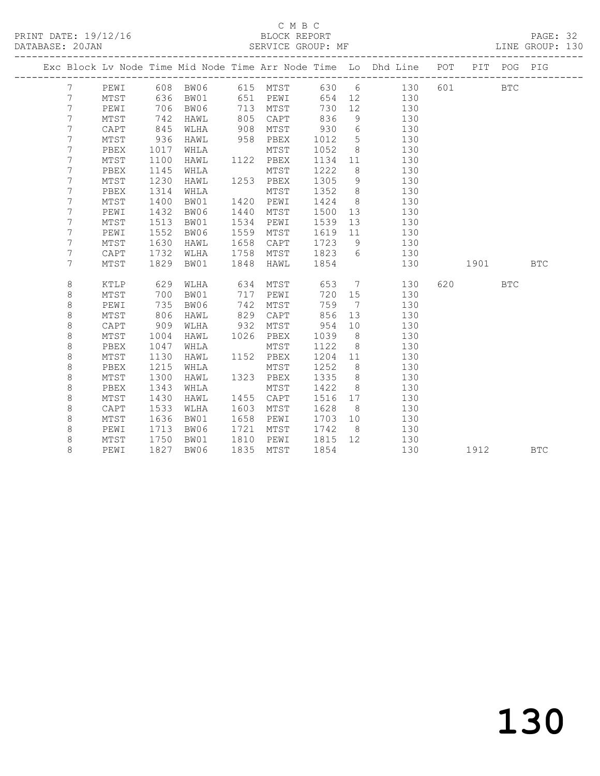PRINT DATE: 19/12/16 BLOCK REPORT BATABASE: 20JAN BLOCK REPORT

## C M B C<br>BLOCK REPORT

PAGE: 32<br>LINE GROUP: 130

|                |             |      | --------------------------------- |      |                 |      |                              | Exc Block Lv Node Time Mid Node Time Arr Node Time Lo Dhd Line POT<br>------------------------ |     |           | PIT POG PIG |            |
|----------------|-------------|------|-----------------------------------|------|-----------------|------|------------------------------|------------------------------------------------------------------------------------------------|-----|-----------|-------------|------------|
| 7              | PEWI        |      | 608 BW06                          |      | 615 MTST        |      |                              | 630 6 130                                                                                      | 601 |           | <b>BTC</b>  |            |
| 7              | MTST        | 636  | BW01                              | 651  | PEWI            | 654  | 12                           | 130                                                                                            |     |           |             |            |
| 7              | PEWI        | 706  | BW06                              | 713  | MTST            | 730  | 12                           | 130                                                                                            |     |           |             |            |
| 7              | MTST        | 742  | HAWL                              | 805  | CAPT            | 836  | 9                            | 130                                                                                            |     |           |             |            |
| 7              | CAPT        | 845  | WLHA                              | 908  | MTST            | 930  | 6                            | 130                                                                                            |     |           |             |            |
| 7              | MTST        | 936  | HAWL                              | 958  | PBEX            | 1012 | $5\phantom{.0}$              | 130                                                                                            |     |           |             |            |
| 7              | PBEX        | 1017 | WHLA                              |      | MTST            | 1052 | 8                            | 130                                                                                            |     |           |             |            |
| $\overline{7}$ | MTST        | 1100 | HAWL                              | 1122 | PBEX            | 1134 | 11                           | 130                                                                                            |     |           |             |            |
| 7              | PBEX        | 1145 | WHLA                              |      | MTST            | 1222 | 8                            | 130                                                                                            |     |           |             |            |
| $7\phantom{.}$ | MTST        | 1230 | HAWL                              | 1253 | PBEX            | 1305 | 9                            | 130                                                                                            |     |           |             |            |
| 7              | PBEX        | 1314 | WHLA                              |      | MTST            | 1352 | 8                            | 130                                                                                            |     |           |             |            |
| 7              | MTST        | 1400 | BW01                              | 1420 | PEWI            | 1424 | 8 <sup>8</sup>               | 130                                                                                            |     |           |             |            |
| 7              | PEWI        | 1432 | BW06                              | 1440 | MTST            | 1500 | 13                           | 130                                                                                            |     |           |             |            |
| 7              | MTST        | 1513 | BW01                              | 1534 | PEWI            | 1539 | 13                           | 130                                                                                            |     |           |             |            |
| 7              | PEWI        | 1552 | BW06                              | 1559 | MTST            | 1619 | 11                           | 130                                                                                            |     |           |             |            |
| 7              | MTST        | 1630 | HAWL                              | 1658 | CAPT            | 1723 | 9 <sup>°</sup>               | 130                                                                                            |     |           |             |            |
| 7              | CAPT        | 1732 | WLHA                              | 1758 | MTST            | 1823 | 6                            | 130                                                                                            |     |           |             |            |
| 7              | MTST        | 1829 | BW01                              | 1848 | HAWL            | 1854 |                              | 130                                                                                            |     | 1901 1901 |             | <b>BTC</b> |
|                |             |      |                                   |      |                 |      |                              |                                                                                                |     |           |             |            |
| 8              | <b>KTLP</b> | 629  | WLHA                              | 634  | MTST            | 653  | $7\overline{ }$              | 130                                                                                            |     | 620 — 100 | <b>BTC</b>  |            |
| 8              | MTST        | 700  | BW01                              | 717  | PEWI            | 720  | 15                           | 130                                                                                            |     |           |             |            |
| 8              | PEWI        | 735  | BW06                              | 742  | MTST            | 759  | $7\phantom{.0}\phantom{.0}7$ | 130                                                                                            |     |           |             |            |
| 8              | MTST        | 806  | HAWL                              | 829  | CAPT            | 856  | 13                           | 130                                                                                            |     |           |             |            |
| 8              | CAPT        | 909  | WLHA                              | 932  | MTST            | 954  | 10 <sup>°</sup>              | 130                                                                                            |     |           |             |            |
| 8              | MTST        | 1004 | HAWL                              | 1026 | PBEX            | 1039 | 8                            | 130                                                                                            |     |           |             |            |
| 8              | PBEX        | 1047 | WHLA                              |      | MTST            | 1122 | 8 <sup>8</sup>               | 130                                                                                            |     |           |             |            |
| 8              | MTST        | 1130 | HAWL                              | 1152 | PBEX            | 1204 | 11                           | 130                                                                                            |     |           |             |            |
| 8              | PBEX        | 1215 | WHLA                              |      | MTST            | 1252 | 8                            | 130                                                                                            |     |           |             |            |
| $\,8\,$        | MTST        | 1300 | HAWL                              | 1323 | PBEX            | 1335 | 8                            | 130                                                                                            |     |           |             |            |
| 8              | PBEX        | 1343 | WHLA                              |      | MTST            | 1422 | 8                            | 130                                                                                            |     |           |             |            |
| 8              | MTST        | 1430 | HAWL                              | 1455 | $\texttt{CAPT}$ | 1516 | 17                           | 130                                                                                            |     |           |             |            |
| 8              | CAPT        | 1533 | WLHA                              | 1603 | MTST            | 1628 | 8 <sup>8</sup>               | 130                                                                                            |     |           |             |            |
| $\,8\,$        | MTST        | 1636 | BW01                              | 1658 | PEWI            | 1703 | 10                           | 130                                                                                            |     |           |             |            |
| 8              | PEWI        | 1713 | BW06                              | 1721 | MTST            | 1742 | 8 <sup>8</sup>               | 130                                                                                            |     |           |             |            |
| 8              | MTST        | 1750 | BW01                              | 1810 | PEWI            | 1815 | 12                           | 130                                                                                            |     |           |             |            |
| 8              | PEWI        | 1827 | BW06                              | 1835 | MTST            | 1854 |                              | 130                                                                                            |     | 1912      |             | <b>BTC</b> |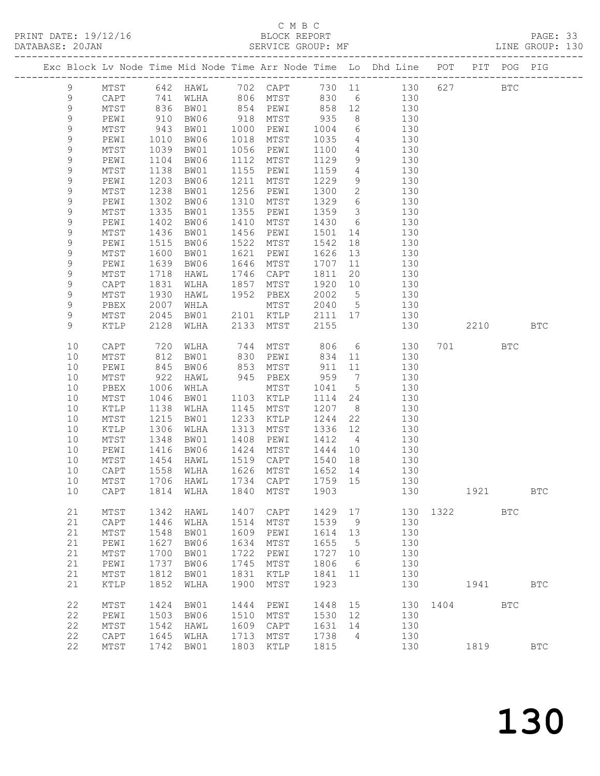#### C M B C BLOCK REPORT<br>SERVICE GROUP: MF

|  | DATABASE: 20JAN | PRINT DATE: 19/12/16 |      |      |      | BLOCK REPORT<br>SERVICE GROUP: MF |        |     |                                                                |     |     |      | PAGE: 33<br>LINE GROUP: 130 |  |
|--|-----------------|----------------------|------|------|------|-----------------------------------|--------|-----|----------------------------------------------------------------|-----|-----|------|-----------------------------|--|
|  |                 |                      |      |      |      |                                   |        |     | Exc Block Lv Node Time Mid Node Time Arr Node Time Lo Dhd Line | POT | PIT | POG  | PIG                         |  |
|  | 9               | MTST                 | 642  | HAWL | 702  | CAPT                              | 730 11 |     | 130                                                            | 627 |     | BTC. |                             |  |
|  | 9               | CAPT                 | 741  | WLHA | 806  | MTST                              | 830    | - 6 | 130                                                            |     |     |      |                             |  |
|  | 9               | MTST                 | 836  | BW01 | 854  | PEWI                              | 858    | 12  | 130                                                            |     |     |      |                             |  |
|  | 9               | PEWI                 | 910  | BW06 | 918  | MTST                              | 935    | - 8 | 130                                                            |     |     |      |                             |  |
|  | 9               | MTST                 | 943  | BW01 | 1000 | PEWI                              | 1004   | -6  | 130                                                            |     |     |      |                             |  |
|  | 9               | PEWI                 | 1010 | BW06 | 1018 | MTST                              | 1035   | 4   | 130                                                            |     |     |      |                             |  |
|  |                 | <b>MTST</b>          | 1039 | BW01 | 1056 | PEWT                              | 1100   |     | 130                                                            |     |     |      |                             |  |

| フ  | TAT OT          | - 94 J | ᄆᄳᇰ  | TANA | 上口MT            | TOOT | O.              | エンい |      |      |              |                      |  |
|----|-----------------|--------|------|------|-----------------|------|-----------------|-----|------|------|--------------|----------------------|--|
| 9  | PEWI            | 1010   | BW06 | 1018 | MTST            | 1035 | 4               | 130 |      |      |              |                      |  |
| 9  | $\mathtt{MTST}$ | 1039   | BW01 | 1056 | PEWI            | 1100 | 4               | 130 |      |      |              |                      |  |
| 9  | PEWI            | 1104   | BW06 | 1112 | ${\tt MTST}$    | 1129 | 9               | 130 |      |      |              |                      |  |
|    |                 |        |      |      |                 |      |                 |     |      |      |              |                      |  |
| 9  | $\mathtt{MTST}$ | 1138   | BW01 | 1155 | PEWI            | 1159 | $\overline{4}$  | 130 |      |      |              |                      |  |
| 9  | PEWI            | 1203   | BW06 | 1211 | MTST            | 1229 | 9               | 130 |      |      |              |                      |  |
| 9  | $\mathtt{MTST}$ | 1238   | BW01 | 1256 | PEWI            | 1300 | $\mathbf{2}$    | 130 |      |      |              |                      |  |
| 9  | PEWI            | 1302   | BW06 | 1310 | MTST            | 1329 | 6               | 130 |      |      |              |                      |  |
| 9  | $\mathtt{MTST}$ | 1335   | BW01 | 1355 | PEWI            | 1359 | $\mathcal{S}$   | 130 |      |      |              |                      |  |
| 9  | PEWI            | 1402   | BW06 | 1410 | ${\tt MTST}$    | 1430 | 6               | 130 |      |      |              |                      |  |
| 9  | MTST            | 1436   | BW01 | 1456 | PEWI            | 1501 | 14              | 130 |      |      |              |                      |  |
| 9  | PEWI            | 1515   | BW06 | 1522 | MTST            | 1542 | 18              | 130 |      |      |              |                      |  |
| 9  | MTST            | 1600   | BW01 | 1621 | PEWI            | 1626 | 13              | 130 |      |      |              |                      |  |
| 9  | PEWI            | 1639   | BW06 | 1646 | MTST            | 1707 | 11              | 130 |      |      |              |                      |  |
|    | MTST            |        |      |      |                 | 1811 | 20              |     |      |      |              |                      |  |
| 9  |                 | 1718   | HAWL | 1746 | CAPT            |      |                 | 130 |      |      |              |                      |  |
| 9  | CAPT            | 1831   | WLHA | 1857 | MTST            | 1920 | 10              | 130 |      |      |              |                      |  |
| 9  | MTST            | 1930   | HAWL | 1952 | PBEX            | 2002 | $5\phantom{.0}$ | 130 |      |      |              |                      |  |
| 9  | PBEX            | 2007   | WHLA |      | MTST            | 2040 | 5               | 130 |      |      |              |                      |  |
| 9  | MTST            | 2045   | BW01 | 2101 | KTLP            | 2111 | 17              | 130 |      |      |              |                      |  |
| 9  | $\verb KTLP $   | 2128   | WLHA | 2133 | MTST            | 2155 |                 | 130 |      | 2210 |              | $_{\rm BTC}$         |  |
|    |                 |        |      |      |                 |      |                 |     |      |      |              |                      |  |
| 10 | CAPT            | 720    | WLHA | 744  | ${\tt MTST}$    | 806  | 6               | 130 | 701  |      | $_{\rm BTC}$ |                      |  |
| 10 | $\mathtt{MTST}$ | 812    | BW01 | 830  | PEWI            | 834  | 11              | 130 |      |      |              |                      |  |
| 10 | PEWI            | 845    | BW06 | 853  | MTST            | 911  | 11              | 130 |      |      |              |                      |  |
| 10 | $\mathtt{MTST}$ | 922    | HAWL | 945  | PBEX            | 959  | $\overline{7}$  | 130 |      |      |              |                      |  |
|    |                 |        |      |      |                 |      |                 |     |      |      |              |                      |  |
| 10 | PBEX            | 1006   | WHLA |      | MTST            | 1041 | $5\phantom{.0}$ | 130 |      |      |              |                      |  |
| 10 | MTST            | 1046   | BW01 | 1103 | KTLP            | 1114 | 24              | 130 |      |      |              |                      |  |
| 10 | KTLP            | 1138   | WLHA | 1145 | MTST            | 1207 | 8               | 130 |      |      |              |                      |  |
| 10 | $\mathtt{MTST}$ | 1215   | BW01 | 1233 | $\texttt{KTLP}$ | 1244 | 22              | 130 |      |      |              |                      |  |
| 10 | $\verb KTLP $   | 1306   | WLHA | 1313 | MTST            | 1336 | 12              | 130 |      |      |              |                      |  |
| 10 | $\mathtt{MTST}$ | 1348   | BW01 | 1408 | PEWI            | 1412 | $\overline{4}$  | 130 |      |      |              |                      |  |
| 10 | PEWI            | 1416   | BW06 | 1424 | MTST            | 1444 | 10              | 130 |      |      |              |                      |  |
| 10 | MTST            | 1454   | HAWL | 1519 | $\mathsf{CAPT}$ | 1540 | 18              | 130 |      |      |              |                      |  |
| 10 | CAPT            | 1558   | WLHA | 1626 | MTST            | 1652 | 14              | 130 |      |      |              |                      |  |
| 10 | $\mathtt{MTST}$ | 1706   | HAWL | 1734 | $\texttt{CAPT}$ | 1759 | 15              | 130 |      |      |              |                      |  |
| 10 | CAPT            | 1814   | WLHA | 1840 | MTST            | 1903 |                 | 130 |      | 1921 |              | $_{\rm BTC}$         |  |
|    |                 |        |      |      |                 |      |                 |     |      |      |              |                      |  |
|    | MTST            |        |      |      |                 |      | 17              |     | 1322 |      |              |                      |  |
| 21 |                 | 1342   | HAWL | 1407 | CAPT            | 1429 |                 | 130 |      |      | <b>BTC</b>   |                      |  |
| 21 | CAPT            | 1446   | WLHA | 1514 | MTST            | 1539 | 9               | 130 |      |      |              |                      |  |
| 21 | MTST            | 1548   | BW01 | 1609 | PEWI            | 1614 | 13              | 130 |      |      |              |                      |  |
| 21 | PEWI            | 1627   | BW06 | 1634 | ${\tt MTST}$    | 1655 | 5               | 130 |      |      |              |                      |  |
| 21 | $\mathtt{MTST}$ | 1700   | BW01 | 1722 | PEWI            | 1727 | 10              | 130 |      |      |              |                      |  |
| 21 | PEWI            | 1737   | BW06 | 1745 | MTST            | 1806 | 6               | 130 |      |      |              |                      |  |
| 21 | MTST            | 1812   | BW01 | 1831 | <b>KTLP</b>     | 1841 | 11              | 130 |      |      |              |                      |  |
| 21 | KTLP            | 1852   | WLHA | 1900 | MTST            | 1923 |                 | 130 |      | 1941 |              | <b>BTC</b>           |  |
|    |                 |        |      |      |                 |      |                 |     |      |      |              |                      |  |
| 22 | MTST            | 1424   | BW01 | 1444 | PEWI            | 1448 | 15              | 130 | 1404 |      | $_{\rm BTC}$ |                      |  |
| 22 | PEWI            | 1503   | BW06 | 1510 | MTST            | 1530 | 12              | 130 |      |      |              |                      |  |
| 22 | MTST            | 1542   | HAWL | 1609 | CAPT            | 1631 | 14              | 130 |      |      |              |                      |  |
| 22 |                 | 1645   |      | 1713 |                 | 1738 |                 |     |      |      |              |                      |  |
|    | CAPT            |        | WLHA |      | MTST            |      | 4               | 130 |      |      |              |                      |  |
| 22 | MTST            | 1742   | BW01 | 1803 | KTLP            | 1815 |                 | 130 |      | 1819 |              | $\operatorname{BTC}$ |  |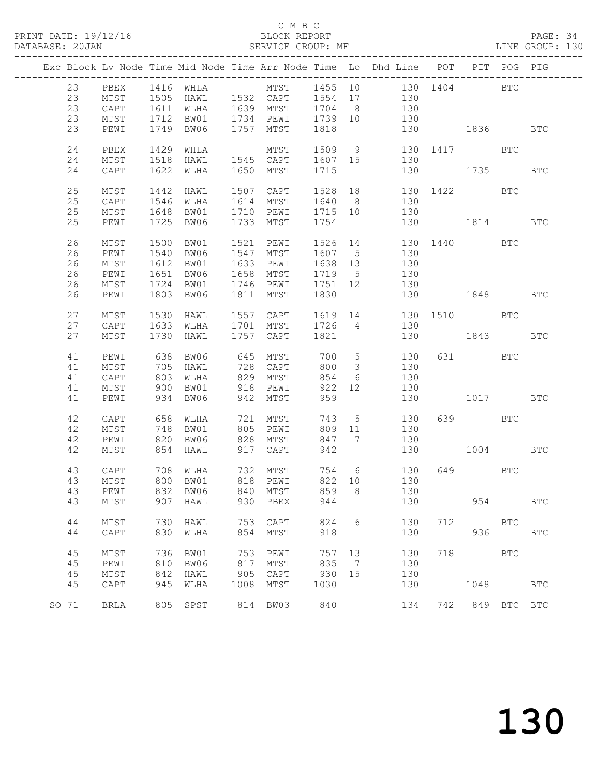PRINT DATE: 19/12/16 BLOCK REPORT BATABASE: 20JAN BLOCK REPORT

#### C M B C<br>BLOCK REPORT

#### PAGE: 34<br>LINE GROUP: 130

|  |       |      |      |                                                    |      |                                             |         |                         | Exc Block Lv Node Time Mid Node Time Arr Node Time Lo Dhd Line POT PIT POG PIG |              |             |     |              |
|--|-------|------|------|----------------------------------------------------|------|---------------------------------------------|---------|-------------------------|--------------------------------------------------------------------------------|--------------|-------------|-----|--------------|
|  | 23    | PBEX |      |                                                    |      |                                             |         |                         |                                                                                |              |             |     |              |
|  |       |      |      |                                                    |      |                                             |         |                         |                                                                                |              |             |     |              |
|  | 23    | MTST |      |                                                    |      |                                             |         |                         |                                                                                |              |             |     |              |
|  | 23    | CAPT |      |                                                    |      | 1611 WLHA 1639 MTST 1704 8                  |         |                         | 130                                                                            |              |             |     |              |
|  | 23    | MTST | 1712 |                                                    |      | BW01 1734 PEWI 1739 10                      |         |                         | 130                                                                            |              |             |     |              |
|  | 23    | PEWI |      | 1749 BW06 1757 MTST                                |      |                                             | 1818    |                         |                                                                                | 130 1836     |             |     | BTC          |
|  |       |      |      |                                                    |      |                                             |         |                         |                                                                                |              |             |     |              |
|  | 24    | PBEX | 1429 | WHLA                                               |      | MTST                                        |         |                         | 1509 9 130 1417 BTC                                                            |              |             |     |              |
|  | 24    | MTST | 1518 |                                                    |      |                                             |         |                         | HAWL 1545 CAPT 1607 15 130                                                     |              |             |     |              |
|  | 24    | CAPT | 1622 | WLHA                                               |      | 1650 MTST                                   | 1715    |                         | 130 1735 BTC                                                                   |              |             |     |              |
|  | 25    | MTST | 1442 | HAWL                                               |      |                                             |         |                         | 1507 CAPT 1528 18 130 1422 BTC                                                 |              |             |     |              |
|  | 25    | CAPT | 1546 | WLHA                                               |      | 1614 MTST                                   |         |                         | 1640 8 130                                                                     |              |             |     |              |
|  |       |      |      |                                                    |      |                                             |         |                         |                                                                                |              |             |     |              |
|  | 25    | MTST | 1648 | BW01                                               |      | 1710 PEWI                                   | 1715 10 |                         | 130                                                                            |              |             |     |              |
|  | 25    | PEWI |      | 1725 BW06                                          |      | 1733 MTST                                   | 1754    |                         |                                                                                | 130 1814 BTC |             |     |              |
|  | 26    | MTST | 1500 | BW01                                               |      | 1521 PEWI                                   |         |                         | 1526 14 130 1440 BTC                                                           |              |             |     |              |
|  | 26    | PEWI |      | 1540 BW06                                          |      | 1547 MTST                                   | 1607 5  |                         | 130                                                                            |              |             |     |              |
|  | 26    | MTST |      | 1612 BW01                                          |      | 1633 PEWI                                   | 1638 13 |                         | 130                                                                            |              |             |     |              |
|  |       |      |      |                                                    |      |                                             |         |                         | 130                                                                            |              |             |     |              |
|  | 26    | PEWI | 1651 | BW06                                               |      | 1658 MTST                                   | 1719 5  |                         |                                                                                |              |             |     |              |
|  | 26    | MTST | 1724 | BW01                                               |      | 1746 PEWI 1751 12                           |         |                         | 130                                                                            |              |             |     |              |
|  | 26    | PEWI | 1803 | BW06                                               |      | 1811 MTST                                   | 1830    |                         |                                                                                | 130 1848 BTC |             |     |              |
|  | 27    | MTST | 1530 | HAWL                                               |      | 1557 CAPT                                   |         |                         | 1619 14 130 1510 BTC                                                           |              |             |     |              |
|  | 27    | CAPT |      | 1633 WLHA 1701 MTST                                |      |                                             | 1726 4  |                         | 130                                                                            |              |             |     |              |
|  |       |      |      |                                                    |      |                                             |         |                         |                                                                                |              |             |     |              |
|  | 27    | MTST | 1730 | HAWL                                               |      | 1757 CAPT                                   | 1821    |                         |                                                                                | 130 1843     |             |     | <b>BTC</b>   |
|  | 41    | PEWI |      | 638 BW06                                           |      | 645 MTST                                    |         |                         | 700 5<br>130                                                                   |              | 631 BTC     |     |              |
|  | 41    | MTST |      | 705 HAWL                                           |      | 728 CAPT                                    | 800     | $\overline{\mathbf{3}}$ | 130                                                                            |              |             |     |              |
|  | 41    | CAPT | 803  | WLHA                                               |      | 829 MTST                                    | 854     | $6\overline{6}$         | 130                                                                            |              |             |     |              |
|  | 41    | MTST | 900  | BW01                                               |      | 918 PEWI                                    | 922 12  |                         | 130                                                                            |              |             |     |              |
|  |       |      |      |                                                    |      |                                             |         |                         |                                                                                |              |             |     |              |
|  | 41    | PEWI |      | 934 BW06                                           |      | 942 MTST                                    | 959     |                         |                                                                                | 130 1017     |             |     | <b>BTC</b>   |
|  | 42    | CAPT |      | 658 WLHA                                           |      | 721 MTST                                    |         |                         | 743 5 130                                                                      |              | 639 BTC     |     |              |
|  | 42    | MTST | 748  | BW01                                               |      | 805 PEWI                                    | 809 11  |                         | 130                                                                            |              |             |     |              |
|  | 42    | PEWI | 820  | BW06                                               |      |                                             | 847 7   |                         | 130                                                                            |              |             |     |              |
|  | 42    | MTST |      | 854 HAWL                                           |      | - JULIE PEWI<br>828 MTST<br>017<br>917 CAPT | 942     |                         | 130 1004 BTC                                                                   |              |             |     |              |
|  |       |      |      |                                                    |      |                                             |         |                         |                                                                                |              |             |     |              |
|  | 43    | CAPT |      | 708 WLHA<br>708 WLHA 732 MTST<br>800 BW01 818 PEWI |      |                                             |         |                         | 754    6    130<br>822    10    130                                            |              | 649 BTC     |     |              |
|  | 43    | MTST |      |                                                    |      |                                             |         |                         |                                                                                |              |             |     |              |
|  |       |      |      |                                                    |      |                                             |         |                         | 43 PEWI 832 BW06 840 MTST 859 8 130                                            |              |             |     |              |
|  | 43    | MTST | 907  | HAWL                                               | 930  | PBEX                                        | 944     |                         | 130                                                                            |              | 954         |     | <b>BTC</b>   |
|  |       |      |      |                                                    |      |                                             |         |                         |                                                                                |              |             |     |              |
|  | 44    | MTST | 730  | HAWL                                               |      | 753 CAPT                                    | 824     | 6                       | 130                                                                            | 712          | <b>BTC</b>  |     |              |
|  | 44    | CAPT | 830  | WLHA                                               | 854  | MTST                                        | 918     |                         | 130                                                                            |              | 936         |     | $_{\rm BTC}$ |
|  |       |      |      |                                                    |      |                                             |         |                         |                                                                                |              |             |     |              |
|  | 45    | MTST | 736  | BW01                                               | 753  | PEWI                                        | 757     | 13                      | 130                                                                            | 718          |             | BTC |              |
|  | 45    | PEWI | 810  | BW06                                               | 817  | MTST                                        | 835     | $\overline{7}$          | 130                                                                            |              |             |     |              |
|  | 45    | MTST | 842  | HAWL                                               | 905  | CAPT                                        | 930     | 15                      | 130                                                                            |              |             |     |              |
|  | 45    | CAPT | 945  | WLHA                                               | 1008 | MTST                                        | 1030    |                         | 130                                                                            |              | 1048        |     | <b>BTC</b>   |
|  |       |      |      |                                                    |      |                                             |         |                         |                                                                                |              |             |     |              |
|  | SO 71 | BRLA | 805  | SPST                                               |      | 814 BW03                                    | 840     |                         | 134                                                                            | 742          | 849 BTC BTC |     |              |
|  |       |      |      |                                                    |      |                                             |         |                         |                                                                                |              |             |     |              |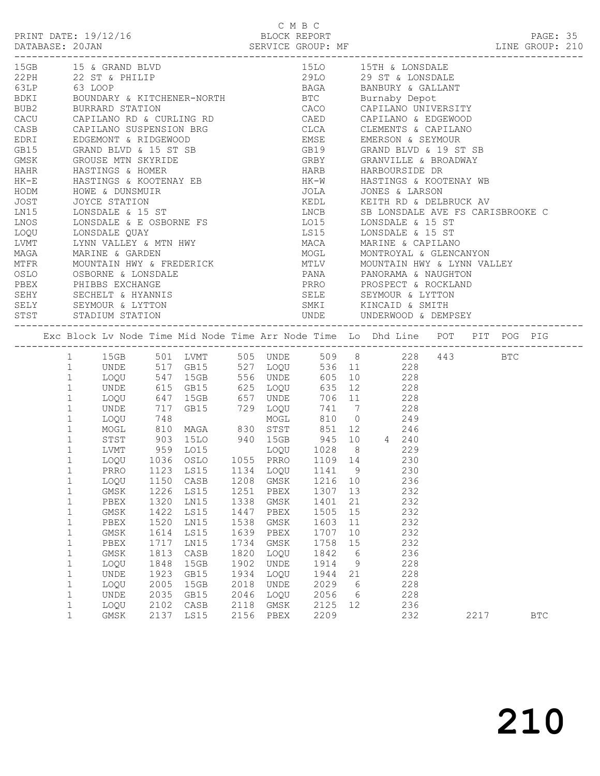|                  |  | PRINT DATE: 19/12/1 |
|------------------|--|---------------------|
| DAMADAOD, OO TAN |  |                     |

|                      | СМВС              |                 |
|----------------------|-------------------|-----------------|
| PRINT DATE: 19/12/16 | BLOCK REPORT      | PAGE: 35        |
| DATABASE: 20JAN      | SERVICE GROUP: MF | LINE GROUP: 210 |

|              | 15GB 15 & GRAND BLVD                                                                                                                                                                                                                       |      |      |      |                                                        |                                                                                                                                                           |    |                       |     |  |      |  |     |  |
|--------------|--------------------------------------------------------------------------------------------------------------------------------------------------------------------------------------------------------------------------------------------|------|------|------|--------------------------------------------------------|-----------------------------------------------------------------------------------------------------------------------------------------------------------|----|-----------------------|-----|--|------|--|-----|--|
|              | 15LO 15TH & LONSDALE<br>29LO 29 ST & LONSDALE<br>29LO 29 ST & LONSDALE<br>22PH 22 ST & PHILIP                                                                                                                                              |      |      |      |                                                        |                                                                                                                                                           |    |                       |     |  |      |  |     |  |
|              |                                                                                                                                                                                                                                            |      |      |      |                                                        |                                                                                                                                                           |    |                       |     |  |      |  |     |  |
|              |                                                                                                                                                                                                                                            |      |      |      |                                                        | 63LP 63 LOOP 63 BAGA BANBURY & GALLANT BOUNDARY & KITCHENER-NORTH BTC BUrnaby Depot<br>BUB2 BURRARD STATION BUB2 BURRARD STATION CACO CAPILANO UNIVERSITY |    |                       |     |  |      |  |     |  |
|              |                                                                                                                                                                                                                                            |      |      |      |                                                        |                                                                                                                                                           |    |                       |     |  |      |  |     |  |
|              |                                                                                                                                                                                                                                            |      |      |      | CACU CAPILANO RD & CURLING RD CAED CAPILANO & EDGEWOOD |                                                                                                                                                           |    |                       |     |  |      |  |     |  |
|              |                                                                                                                                                                                                                                            |      |      |      |                                                        |                                                                                                                                                           |    |                       |     |  |      |  |     |  |
|              |                                                                                                                                                                                                                                            |      |      |      |                                                        |                                                                                                                                                           |    |                       |     |  |      |  |     |  |
|              |                                                                                                                                                                                                                                            |      |      |      |                                                        |                                                                                                                                                           |    |                       |     |  |      |  |     |  |
|              |                                                                                                                                                                                                                                            |      |      |      |                                                        |                                                                                                                                                           |    |                       |     |  |      |  |     |  |
|              |                                                                                                                                                                                                                                            |      |      |      |                                                        |                                                                                                                                                           |    |                       |     |  |      |  |     |  |
|              |                                                                                                                                                                                                                                            |      |      |      |                                                        |                                                                                                                                                           |    |                       |     |  |      |  |     |  |
|              |                                                                                                                                                                                                                                            |      |      |      |                                                        |                                                                                                                                                           |    |                       |     |  |      |  |     |  |
|              |                                                                                                                                                                                                                                            |      |      |      |                                                        |                                                                                                                                                           |    |                       |     |  |      |  |     |  |
|              |                                                                                                                                                                                                                                            |      |      |      |                                                        |                                                                                                                                                           |    |                       |     |  |      |  |     |  |
|              |                                                                                                                                                                                                                                            |      |      |      |                                                        | LNCB<br>LNCB<br>SB LONSDALE AVE FS CARISBROOKE C<br>LOI5<br>LONSDALE & 15 ST<br>MACA<br>MARINE & CAPILANO                                                 |    |                       |     |  |      |  |     |  |
|              |                                                                                                                                                                                                                                            |      |      |      |                                                        |                                                                                                                                                           |    |                       |     |  |      |  |     |  |
|              |                                                                                                                                                                                                                                            |      |      |      |                                                        |                                                                                                                                                           |    |                       |     |  |      |  |     |  |
|              |                                                                                                                                                                                                                                            |      |      |      |                                                        |                                                                                                                                                           |    |                       |     |  |      |  |     |  |
|              |                                                                                                                                                                                                                                            |      |      |      |                                                        |                                                                                                                                                           |    |                       |     |  |      |  |     |  |
|              |                                                                                                                                                                                                                                            |      |      |      |                                                        |                                                                                                                                                           |    |                       |     |  |      |  |     |  |
|              | MAGA MARINE & GARDEN<br>METR MOUNTAIN HWY & FREDERICK MOGL MONTROYAL & GLENCANYON<br>MIFR MOUNTAIN HWY & FREDERICK MILV MOUNTAIN HWY & LYNN VALLEY<br>OSLO OSBORNE & LONSDALE<br>PBEX PHIBBS EXCHANGE PRRO PROSPECT & ROCKLAND             |      |      |      |                                                        |                                                                                                                                                           |    |                       |     |  |      |  |     |  |
|              |                                                                                                                                                                                                                                            |      |      |      |                                                        |                                                                                                                                                           |    |                       |     |  |      |  |     |  |
|              |                                                                                                                                                                                                                                            |      |      |      |                                                        |                                                                                                                                                           |    | SELE SEYMOUR & LYTTON |     |  |      |  |     |  |
|              | SEHY SECHELT & HYANNIS<br>SELY SEYMOUR & LYTTON<br>STST STADIUM STATION                                                                                                                                                                    |      |      |      |                                                        |                                                                                                                                                           |    |                       |     |  |      |  |     |  |
|              |                                                                                                                                                                                                                                            |      |      |      |                                                        |                                                                                                                                                           |    |                       |     |  |      |  |     |  |
|              |                                                                                                                                                                                                                                            |      |      |      |                                                        |                                                                                                                                                           |    |                       |     |  |      |  |     |  |
|              |                                                                                                                                                                                                                                            |      |      |      |                                                        |                                                                                                                                                           |    |                       |     |  |      |  |     |  |
|              | 1 15GB 501 LVMT 505 UNDE 509 8 228 443 BTC<br>1 UNDE 517 GB15 527 LOQU 536 11 228                                                                                                                                                          |      |      |      |                                                        |                                                                                                                                                           |    |                       |     |  |      |  |     |  |
|              |                                                                                                                                                                                                                                            |      |      |      |                                                        |                                                                                                                                                           |    |                       |     |  |      |  |     |  |
|              | 1 LOQU 547 15GB 556 UNDE 605 10 228                                                                                                                                                                                                        |      |      |      |                                                        |                                                                                                                                                           |    |                       |     |  |      |  |     |  |
|              | 1 UNDE 615 GB15 625 LOQU 635 12 228<br>1 LOQU 647 15GB 657 UNDE 706 11 228<br>1 UNDE 717 GB15 657 UNDE 706 11 228<br>1 LOQU 748 MOGL 810 0 249<br>1 MOGL 810 MAGA 830 STST 851 12 246<br>1 STST 903 15LO 940 15GB 945 10 4 240<br>1 LVMT 9 |      |      |      |                                                        |                                                                                                                                                           |    |                       |     |  |      |  |     |  |
|              |                                                                                                                                                                                                                                            |      |      |      |                                                        |                                                                                                                                                           |    |                       |     |  |      |  |     |  |
|              |                                                                                                                                                                                                                                            |      |      |      |                                                        |                                                                                                                                                           |    |                       |     |  |      |  |     |  |
|              |                                                                                                                                                                                                                                            |      |      |      |                                                        |                                                                                                                                                           |    |                       |     |  |      |  |     |  |
|              |                                                                                                                                                                                                                                            |      |      |      |                                                        |                                                                                                                                                           |    |                       |     |  |      |  |     |  |
|              |                                                                                                                                                                                                                                            |      |      |      |                                                        |                                                                                                                                                           |    |                       |     |  |      |  |     |  |
|              |                                                                                                                                                                                                                                            |      |      |      |                                                        |                                                                                                                                                           |    |                       |     |  |      |  |     |  |
| $\mathbf{1}$ | LOQU 1036 OSLO 1055 PRRO 1109 14 230                                                                                                                                                                                                       |      |      |      |                                                        |                                                                                                                                                           |    |                       |     |  |      |  |     |  |
| $\mathbf{1}$ |                                                                                                                                                                                                                                            |      |      |      |                                                        |                                                                                                                                                           |    |                       |     |  |      |  |     |  |
| $\mathbf{1}$ | PRRO 1123 LS15 1134 LOQU 1141 9 230<br>LOQU 1150 CASB 1208 GMSK 1216 10 236                                                                                                                                                                |      |      |      |                                                        |                                                                                                                                                           |    |                       |     |  |      |  |     |  |
| 1            | GMSK 1226 LS15 1251 PBEX 1307 13 232                                                                                                                                                                                                       |      |      |      |                                                        |                                                                                                                                                           |    |                       |     |  |      |  |     |  |
| 1            | PBEX                                                                                                                                                                                                                                       | 1320 | LN15 | 1338 | GMSK                                                   | 1401                                                                                                                                                      | 21 |                       | 232 |  |      |  |     |  |
| $\mathbf 1$  | GMSK                                                                                                                                                                                                                                       | 1422 | LS15 | 1447 | PBEX                                                   | 1505                                                                                                                                                      | 15 |                       | 232 |  |      |  |     |  |
| $\mathbf{1}$ | PBEX                                                                                                                                                                                                                                       | 1520 | LN15 | 1538 | GMSK                                                   | 1603                                                                                                                                                      | 11 |                       | 232 |  |      |  |     |  |
|              |                                                                                                                                                                                                                                            | 1614 | LS15 | 1639 |                                                        | 1707                                                                                                                                                      | 10 |                       | 232 |  |      |  |     |  |
| $\mathbf 1$  | GMSK                                                                                                                                                                                                                                       |      |      | 1734 | PBEX                                                   | 1758                                                                                                                                                      |    |                       | 232 |  |      |  |     |  |
| $\mathbf{1}$ | PBEX                                                                                                                                                                                                                                       | 1717 | LN15 |      | GMSK                                                   |                                                                                                                                                           | 15 |                       |     |  |      |  |     |  |
| $1\,$        | GMSK                                                                                                                                                                                                                                       | 1813 | CASB | 1820 | LOQU                                                   | 1842                                                                                                                                                      | 6  |                       | 236 |  |      |  |     |  |
| $\mathbf{1}$ | LOQU                                                                                                                                                                                                                                       | 1848 | 15GB | 1902 | UNDE                                                   | 1914                                                                                                                                                      | 9  |                       | 228 |  |      |  |     |  |
| $\mathbf 1$  | UNDE                                                                                                                                                                                                                                       | 1923 | GB15 | 1934 | LOQU                                                   | 1944                                                                                                                                                      | 21 |                       | 228 |  |      |  |     |  |
| $\mathbf 1$  | LOQU                                                                                                                                                                                                                                       | 2005 | 15GB | 2018 | UNDE                                                   | 2029                                                                                                                                                      | 6  |                       | 228 |  |      |  |     |  |
| $\mathbf 1$  | UNDE                                                                                                                                                                                                                                       | 2035 | GB15 | 2046 | LOQU                                                   | 2056                                                                                                                                                      | 6  |                       | 228 |  |      |  |     |  |
| $\mathbf{1}$ | LOQU                                                                                                                                                                                                                                       | 2102 | CASB | 2118 | $\rm{GMSK}$                                            | 2125                                                                                                                                                      | 12 |                       | 236 |  |      |  |     |  |
| $\mathbf{1}$ | GMSK                                                                                                                                                                                                                                       | 2137 | LS15 | 2156 | PBEX                                                   | 2209                                                                                                                                                      |    |                       | 232 |  | 2217 |  | BTC |  |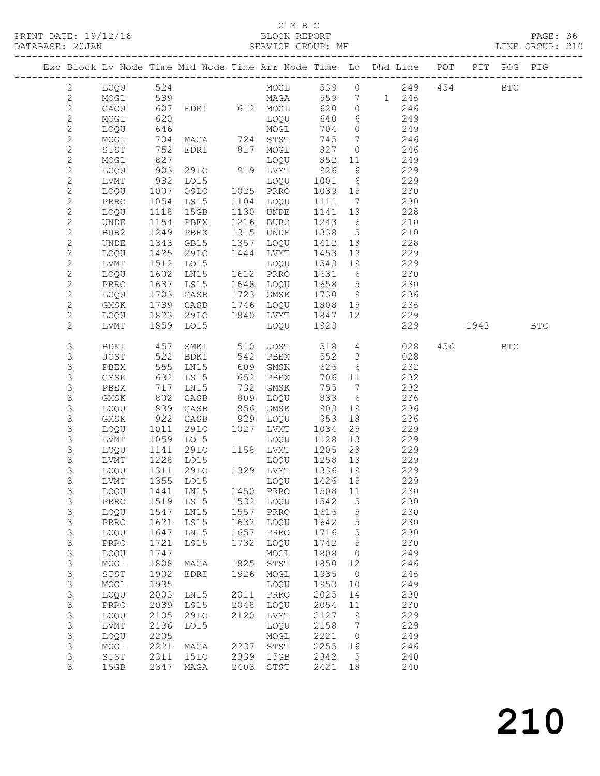PRINT DATE: 19/12/16 BLOCK REPORT BATABASE: 20JAN BLOCK REPORT

#### C M B C<br>BLOCK REPORT

PAGE: 36<br>LINE GROUP: 210

|                                |              |              |                                        |      |                            |                 |                         | Exc Block Lv Node Time Mid Node Time Arr Node Time Lo Dhd Line POT |                                                                                                                                                                                                                               | PIT POG PIG |            |
|--------------------------------|--------------|--------------|----------------------------------------|------|----------------------------|-----------------|-------------------------|--------------------------------------------------------------------|-------------------------------------------------------------------------------------------------------------------------------------------------------------------------------------------------------------------------------|-------------|------------|
| $\mathbf{2}$                   | LOQU         | 524          |                                        |      |                            |                 |                         |                                                                    | 454                                                                                                                                                                                                                           | <b>BTC</b>  |            |
| $\mathbf{2}$                   | MOGL         | 539          |                                        |      |                            |                 |                         |                                                                    |                                                                                                                                                                                                                               |             |            |
| $\mathbf{2}$                   | CACU         | 607          |                                        |      |                            | 620             | $\overline{0}$          | 246                                                                |                                                                                                                                                                                                                               |             |            |
| $\mathbf{2}$                   | MOGL         | 620          |                                        |      | LOQU                       | 640             | $6\overline{6}$         | 249                                                                |                                                                                                                                                                                                                               |             |            |
| $\mathbf{2}$                   | LOQU         | 646          |                                        |      |                            | 704             | $\overline{0}$          | 249                                                                |                                                                                                                                                                                                                               |             |            |
| $\mathbf{2}$                   | MOGL         | 704          | MOGL<br>MAGA 724 STST<br>EDRI 817 MOGL |      |                            | 745             | $\overline{7}$          | 246                                                                |                                                                                                                                                                                                                               |             |            |
| $\mathbf{2}$                   | STST         | 752          |                                        |      |                            | 827             | $\circ$                 | 246                                                                |                                                                                                                                                                                                                               |             |            |
| $\mathbf{2}$                   | MOGL         | 827          |                                        |      | LOQU                       | 852             | 11                      | 249                                                                |                                                                                                                                                                                                                               |             |            |
| $\mathbf{2}$                   | LOQU         | 903          | 29LO                                   |      | 919 LVMT                   | 926             | 6                       | 229                                                                |                                                                                                                                                                                                                               |             |            |
| $\overline{c}$<br>$\mathbf{2}$ | LVMT         | 932<br>1007  | LO15<br>OSLO                           |      | LOQU<br>1025 PRRO          | 1001<br>1039 15 | 6                       | 229<br>230                                                         |                                                                                                                                                                                                                               |             |            |
| $\mathbf{2}$                   | LOQU<br>PRRO | 1054         | LS15                                   |      | 1104 LOQU                  | 1111            | $\overline{7}$          | 230                                                                |                                                                                                                                                                                                                               |             |            |
| $\mathbf{2}$                   | LOQU         | 1118         | 15GB                                   |      | 1130 UNDE                  | 1141            | 13                      | 228                                                                |                                                                                                                                                                                                                               |             |            |
| $\mathbf{2}$                   | UNDE         | 1154         | PBEX                                   |      | 1216 BUB2                  | 1243            | $6\overline{6}$         | 210                                                                |                                                                                                                                                                                                                               |             |            |
| $\mathbf{2}$                   | BUB2         | 1249         | PBEX                                   | 1315 | UNDE                       | 1338            | $5^{\circ}$             | 210                                                                |                                                                                                                                                                                                                               |             |            |
| $\mathbf{2}$                   | UNDE         | 1343         | GB15                                   | 1357 | LOQU                       | 1412            | 13                      | 228                                                                |                                                                                                                                                                                                                               |             |            |
| $\mathbf{2}$                   | LOQU         | 1425         | 29LO                                   | 1444 | LVMT                       | 1453            | 19                      | 229                                                                |                                                                                                                                                                                                                               |             |            |
| $\mathbf{2}$                   | LVMT         | 1512         | LO15                                   |      | LOQU                       | 1543            | 19                      | 229                                                                |                                                                                                                                                                                                                               |             |            |
| $\mathbf{2}$                   | LOQU         | 1602         | LN15                                   |      | 1612 PRRO                  | 1631            | 6                       | 230                                                                |                                                                                                                                                                                                                               |             |            |
| $\mathbf{2}$                   | PRRO         | 1637         | LS15                                   |      | 1648 LOQU                  | 1658            | $5\overline{)}$         | 230                                                                |                                                                                                                                                                                                                               |             |            |
| $\mathbf{2}$                   | LOQU         | 1703         | CASB                                   | 1723 | GMSK                       | 1730            | 9                       | 236                                                                |                                                                                                                                                                                                                               |             |            |
| $\mathbf{2}$                   | GMSK         | 1739         | CASB                                   | 1746 | LOQU                       | 1808 15         |                         | 236                                                                |                                                                                                                                                                                                                               |             |            |
| $\mathbf{2}$                   | LOQU         | 1823         | 29LO                                   |      | 1840 LVMT                  | 1847 12         |                         | 229                                                                |                                                                                                                                                                                                                               |             |            |
| 2                              | LVMT         | 1859         | LO15                                   |      | LOQU                       | 1923            |                         | 229                                                                | 1943   1943   1944   1945   1947   1948   1948   1958   1969   1969   1969   1969   1969   1969   1969   1969   1969   1969   1969   1969   1969   1969   1969   1969   1969   1969   1969   1969   1969   1969   1969   1969 |             | <b>BTC</b> |
| 3                              | BDKI         | 457          | SMKI                                   | 510  | JOST                       | 518             | $4\overline{4}$         | 028                                                                | 456 7                                                                                                                                                                                                                         | <b>BTC</b>  |            |
| 3                              | JOST         | 522          | BDKI                                   | 542  | PBEX                       | 552             | $\overline{\mathbf{3}}$ | 028                                                                |                                                                                                                                                                                                                               |             |            |
| 3                              | PBEX         | 555          | LN15                                   | 609  | GMSK                       | 626             | 6                       | 232                                                                |                                                                                                                                                                                                                               |             |            |
| 3                              | GMSK         | 632          | LS15                                   | 652  | PBEX                       | 706             | 11                      | 232                                                                |                                                                                                                                                                                                                               |             |            |
| $\mathsf 3$                    | PBEX         | 717          | LN15                                   | 732  | GMSK                       | 755             | $\overline{7}$          | 232                                                                |                                                                                                                                                                                                                               |             |            |
| $\ensuremath{\mathsf{3}}$      | GMSK         | 802<br>839   | CASB                                   | 809  | LOQU                       | 833             | 6                       | 236                                                                |                                                                                                                                                                                                                               |             |            |
| 3<br>3                         | LOQU<br>GMSK | 922          | CASB<br>CASB                           | 929  | 856 GMSK<br>LOQU           | 903<br>953      | 19<br>18                | 236<br>236                                                         |                                                                                                                                                                                                                               |             |            |
| 3                              | LOQU         | 1011         | 29LO                                   | 1027 | LVMT                       | 1034            | 25                      | 229                                                                |                                                                                                                                                                                                                               |             |            |
| $\mathsf 3$                    | LVMT         | 1059         | LO15                                   |      | LOQU                       | 1128            | 13                      | 229                                                                |                                                                                                                                                                                                                               |             |            |
| 3                              | LOQU         | 1141         | 29LO                                   |      | 1158 LVMT                  | 1205            | 23                      | 229                                                                |                                                                                                                                                                                                                               |             |            |
| 3                              | LVMT         | 1228         | LO15                                   |      | LOQU 1258 13               |                 |                         | 229                                                                |                                                                                                                                                                                                                               |             |            |
| 3                              | LOQU         | 1311         | 29LO                                   |      | 1329 LVMT                  | 1336            | 19                      | 229                                                                |                                                                                                                                                                                                                               |             |            |
| 3                              | LVMT         | 1355         | L015                                   |      | LOQU                       | 1426 15         |                         | 229                                                                |                                                                                                                                                                                                                               |             |            |
| 3                              |              |              | LOQU 1441 LN15                         |      | 1450 PRRO 1508 11          |                 |                         | 230                                                                |                                                                                                                                                                                                                               |             |            |
| 3                              | PRRO         | 1519         | <b>LS15</b>                            | 1532 | LOQU                       | 1542            | 5                       | 230                                                                |                                                                                                                                                                                                                               |             |            |
| 3                              | LOQU         | 1547         | LN15                                   | 1557 | PRRO                       | 1616            | 5                       | 230                                                                |                                                                                                                                                                                                                               |             |            |
| 3                              | PRRO         | 1621         | LS15                                   | 1632 | LOQU                       | 1642            | 5                       | 230                                                                |                                                                                                                                                                                                                               |             |            |
| $\mathsf 3$                    | LOQU         | 1647         | LN15                                   | 1657 | PRRO                       | 1716            | $\mathsf S$             | 230                                                                |                                                                                                                                                                                                                               |             |            |
| 3                              | PRRO         | 1721         | LS15                                   | 1732 | LOQU                       | 1742            | 5                       | 230                                                                |                                                                                                                                                                                                                               |             |            |
| 3<br>$\mathsf 3$               | LOQU         | 1747         |                                        | 1825 | MOGL                       | 1808            | 0<br>12                 | 249<br>246                                                         |                                                                                                                                                                                                                               |             |            |
| 3                              | MOGL<br>STST | 1808<br>1902 | MAGA<br>EDRI                           | 1926 | STST<br>MOGL               | 1850<br>1935    | $\overline{0}$          | 246                                                                |                                                                                                                                                                                                                               |             |            |
| 3                              | MOGL         | 1935         |                                        |      | LOQU                       | 1953            | 10                      | 249                                                                |                                                                                                                                                                                                                               |             |            |
| 3                              | LOQU         | 2003         | LN15                                   | 2011 | PRRO                       | 2025            | 14                      | 230                                                                |                                                                                                                                                                                                                               |             |            |
| 3                              | PRRO         | 2039         | LS15                                   | 2048 | LOQU                       | 2054            | 11                      | 230                                                                |                                                                                                                                                                                                                               |             |            |
| 3                              | LOQU         | 2105         | 29LO                                   | 2120 | LVMT                       | 2127            | 9                       | 229                                                                |                                                                                                                                                                                                                               |             |            |
| 3                              | LVMT         | 2136         | L015                                   |      | LOQU                       | 2158            | 7                       | 229                                                                |                                                                                                                                                                                                                               |             |            |
| 3                              | LOQU         | 2205         |                                        |      | MOGL                       | 2221            | 0                       | 249                                                                |                                                                                                                                                                                                                               |             |            |
| 3                              | MOGL         | 2221         | MAGA                                   | 2237 | $_{\footnotesize\rm STST}$ | 2255            | 16                      | 246                                                                |                                                                                                                                                                                                                               |             |            |
| 3                              | STST         | 2311         | 15LO                                   | 2339 | 15GB                       | 2342            | 5                       | 240                                                                |                                                                                                                                                                                                                               |             |            |
| 3                              | 15GB         | 2347         | MAGA                                   | 2403 | $_{\footnotesize\rm STST}$ | 2421            | 18                      | 240                                                                |                                                                                                                                                                                                                               |             |            |

210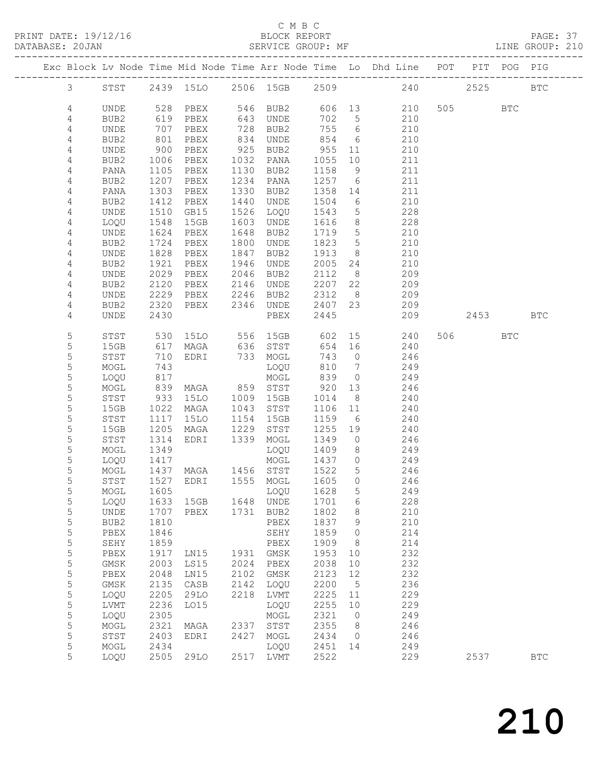PRINT DATE: 19/12/16 BLOCK REPORT BATABASE: 20JAN

#### C M B C<br>BLOCK REPORT

PAGE: 37<br>LINE GROUP: 210

|                  |              |                                                                   |                                            |      |                               |                 |                 | Exc Block Lv Node Time Mid Node Time Arr Node Time Lo Dhd Line POT |         | PIT POG PIG |              |
|------------------|--------------|-------------------------------------------------------------------|--------------------------------------------|------|-------------------------------|-----------------|-----------------|--------------------------------------------------------------------|---------|-------------|--------------|
| $\mathcal{S}$    |              |                                                                   |                                            |      | STST 2439 15LO 2506 15GB 2509 |                 |                 | 240                                                                | 2525    |             | <b>BTC</b>   |
| 4                | UNDE         |                                                                   |                                            |      |                               |                 |                 | 528 PBEX 546 BUB2 606 13 210                                       | 505 BTC |             |              |
| 4                | BUB2         | 619                                                               | PBEX                                       |      | 643 UNDE                      | 702 5           |                 | 210                                                                |         |             |              |
| 4                | UNDE         |                                                                   | PBEX                                       |      |                               | 755 6           |                 | 210                                                                |         |             |              |
| 4                | BUB2         | $\begin{array}{c} \n \cdot \\  801 \\  \hline\n 00\n \end{array}$ | PBEX                                       |      | 728 BUB2<br>834 UNDE          | 854             | 6               | 210                                                                |         |             |              |
| 4                | UNDE         | 900                                                               | PBEX                                       |      | 925 BUB2                      | 955             | 11              | 210                                                                |         |             |              |
| 4                | BUB2         | 1006                                                              | PBEX 1032 PANA                             |      |                               | 1055            | 10              | 211                                                                |         |             |              |
| 4                | PANA         | 1105                                                              | PBEX                                       |      | 1130 BUB2                     | 1158            | 9               | 211                                                                |         |             |              |
| 4                | BUB2         | 1207                                                              | PBEX                                       |      | 1234 PANA                     | 1257 6          |                 | 211                                                                |         |             |              |
| 4                | PANA         | 1303                                                              | PBEX                                       |      | 1330 BUB2                     | 1358 14         |                 | 211                                                                |         |             |              |
| 4                | BUB2         | 1412                                                              | PBEX                                       | 1440 | UNDE                          | 1504            | 6               | 210                                                                |         |             |              |
| 4                | UNDE         | 1510                                                              | GB15                                       |      | 1526 LOQU                     | 1543            | $5\overline{)}$ | 228                                                                |         |             |              |
| 4                | LOQU         | 1548                                                              | 15GB                                       |      | 1603 UNDE                     | 1616            | 8 <sup>8</sup>  | 228                                                                |         |             |              |
| 4                | UNDE         | 1624                                                              | PBEX                                       |      | 1648 BUB2                     | 1719            | $5\overline{)}$ | 210                                                                |         |             |              |
| 4                | BUB2         | 1724                                                              | PBEX                                       |      | 1800 UNDE                     | 1823            | 5               | 210                                                                |         |             |              |
| 4                | UNDE         | 1828                                                              | PBEX                                       | 1847 | BUB2                          | 1913            | 8 <sup>8</sup>  | 210                                                                |         |             |              |
| 4                | BUB2         | 1921                                                              | PBEX                                       | 1946 | UNDE                          | 2005 24         |                 | 210                                                                |         |             |              |
| 4                | UNDE         | 2029                                                              | PBEX                                       | 2046 | BUB2                          | 2112            | 8 <sup>8</sup>  | 209                                                                |         |             |              |
| 4                | BUB2         | 2120                                                              | PBEX 2146                                  |      | UNDE                          | 2207 22         |                 | 209                                                                |         |             |              |
| 4                | UNDE         | 2229                                                              | PBEX                                       | 2246 | BUB2                          | 2312            | 8 <sup>8</sup>  | 209                                                                |         |             |              |
| 4                | BUB2         | 2320                                                              | PBEX                                       |      | 2346 UNDE                     | 2407 23         |                 | 209                                                                | 2453    |             |              |
| 4                | UNDE         | 2430                                                              |                                            |      | PBEX                          | 2445            |                 | 209                                                                |         |             | <b>BTC</b>   |
| 5                | STST         | 530                                                               |                                            |      | 15LO 556 15GB 602             |                 |                 | 15 240                                                             | 506 700 | <b>BTC</b>  |              |
| 5                | 15GB         | 617<br>710                                                        |                                            |      |                               | 654 16          |                 | 240                                                                |         |             |              |
| $\mathsf S$      | STST         | 710                                                               |                                            |      |                               | 743 0           |                 | 246                                                                |         |             |              |
| 5                | MOGL         | 743                                                               |                                            |      | LOQU                          | 810             | $7\overline{ }$ | 249                                                                |         |             |              |
| 5                | LOQU         | 817                                                               |                                            |      | MOGL                          | 839             | $\overline{0}$  | 249                                                                |         |             |              |
| $\mathsf S$      | MOGL         | 839<br>933                                                        | MAGA 859 STST<br>15LO 1009 15GB            |      |                               | 920 13          |                 | 246                                                                |         |             |              |
| 5                | STST         |                                                                   |                                            |      |                               | 1014            | 8 <sup>8</sup>  | 240                                                                |         |             |              |
| 5                | 15GB         | 1022                                                              | MAGA                                       |      | 1043 STST                     | 1106 11         |                 | 240                                                                |         |             |              |
| 5                | STST         | 1117                                                              | 15LO                                       |      | 1154 15GB                     | 1159            | $6\overline{6}$ | 240                                                                |         |             |              |
| 5<br>$\mathsf S$ | 15GB         | 1205                                                              | MAGA 1229<br>EDRI 1339                     |      | 1229 STST                     | 1255 19<br>1349 | $\overline{0}$  | 240<br>246                                                         |         |             |              |
| 5                | STST<br>MOGL | 1314<br>1349                                                      |                                            |      | MOGL<br>LOQU                  | 1409            | 8 <sup>8</sup>  | 249                                                                |         |             |              |
| 5                | LOQU         | 1417                                                              |                                            |      | MOGL 1437 0                   |                 |                 | 249                                                                |         |             |              |
| 5                | MOGL         |                                                                   |                                            |      |                               | 1522            | $5\overline{)}$ | 246                                                                |         |             |              |
| 5                | STST         |                                                                   | 1437 MAGA 1456 STST<br>1527 EDRI 1555 MOGL |      |                               | 1605            | $\overline{0}$  | 246                                                                |         |             |              |
| 5                |              |                                                                   |                                            |      | MOGL 1605 LOQU 1628           |                 | 5 <sub>5</sub>  | 249                                                                |         |             |              |
| 5                | LOQU         | 1633                                                              | 15GB                                       |      | 1648 UNDE                     | 1701            | 6               | 228                                                                |         |             |              |
| 5                | <b>UNDE</b>  | 1707                                                              | PBEX                                       |      | 1731 BUB2                     | 1802            | 8               | 210                                                                |         |             |              |
| $\mathsf S$      | BUB2         | 1810                                                              |                                            |      | PBEX                          | 1837            | 9               | 210                                                                |         |             |              |
| 5                | PBEX         | 1846                                                              |                                            |      | SEHY                          | 1859            | $\overline{0}$  | 214                                                                |         |             |              |
| 5                | SEHY         | 1859                                                              |                                            |      | PBEX                          | 1909            | 8 <sup>8</sup>  | 214                                                                |         |             |              |
| 5                | PBEX         | 1917                                                              | LN15                                       | 1931 | GMSK                          | 1953            | 10              | 232                                                                |         |             |              |
| $\mathsf S$      | GMSK         | 2003                                                              | LS15                                       | 2024 | PBEX                          | 2038            | 10              | 232                                                                |         |             |              |
| 5                | PBEX         | 2048                                                              | LN15                                       | 2102 | GMSK                          | 2123            | 12              | 232                                                                |         |             |              |
| 5                | GMSK         | 2135                                                              | CASB                                       | 2142 | LOQU                          | 2200            | 5               | 236                                                                |         |             |              |
| 5                | LOQU         | 2205                                                              | 29LO                                       | 2218 | LVMT                          | 2225            | 11              | 229                                                                |         |             |              |
| $\mathsf S$      | LVMT         | 2236                                                              | L015                                       |      | LOQU                          | 2255            | 10              | 229                                                                |         |             |              |
| 5                | LOQU         | 2305                                                              |                                            |      | MOGL                          | 2321            | $\overline{0}$  | 249                                                                |         |             |              |
| 5                | MOGL         | 2321                                                              | MAGA                                       | 2337 | STST                          | 2355            | 8               | 246                                                                |         |             |              |
| 5                | STST         | 2403                                                              | EDRI                                       | 2427 | MOGL                          | 2434            | $\overline{0}$  | 246                                                                |         |             |              |
| 5                | MOGL         | 2434                                                              |                                            |      | LOQU                          | 2451            | 14              | 249                                                                |         |             |              |
| 5                | LOQU         | 2505                                                              | 29LO                                       |      | 2517 LVMT                     | 2522            |                 | 229                                                                | 2537    |             | $_{\rm BTC}$ |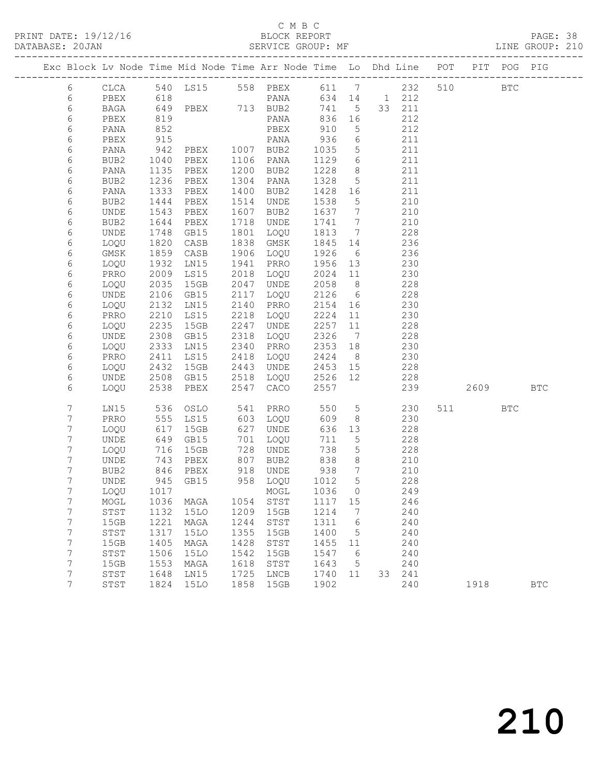#### C M B C

#### DATABASE: 20JAN SERVICE GROUP: MF LINE GROUP: 210

------------------------------------------------------------------------------------------------- Exc Block Lv Node Time Mid Node Time Arr Node Time Lo Dhd Line POT PIT POG PIG ------------------------------------------------------------------------------------------------- 6 CLCA 540 LS15 558 PBEX 611 7 232 510 BTC 6 PBEX 618 PANA 634 14 1 212 6 CLCA 540 LS15 556 FDEA 511<br>
6 PBEX 618 PANA 634 14 1 212<br>
6 BAGA 649 PBEX 713 BUB2 741 5 33 211<br>
6 PBEX 819 PANA 836 16 212<br>
713 BUB2 741 5 33 211<br>
836 16 212 6 PBEX 819 PANA 836 16 212 6 PANA 852 PBEX 910 5 212 6 PBEX 915 PANA 936 6 211 6 PANA 942 PBEX 1007 BUB2 1035 5 211 6 BUB2 1040 PBEX 1106 PANA 1129 6 211 6 PANA 1135 PBEX 1200 BUB2 1228 8 211 6 BUB2 1236 PBEX 1304 PANA 1328 5 211 6 PANA 1333 PBEX 1400 BUB2 1428 16 211 6 BUB2 1444 PBEX 1514 UNDE 1538 5 210 6 UNDE 1543 PBEX 1607 BUB2 1637 7 210 6 BUB2 1644 PBEX 1718 UNDE 1741 7 210 6 UNDE 1748 GB15 1801 LOQU 1813 7 228 6 LOQU 1820 CASB 1838 GMSK 1845 14 236 6 GMSK 1859 CASB 1906 LOQU 1926 6 236 6 LOQU 1932 LN15 1941 PRRO 1956 13 230 6 PRRO 2009 LS15 2018 LOQU 2024 11 230 6 LOQU 2035 15GB 2047 UNDE 2058 8 228 6 UNDE 2106 GB15 2117 LOQU 2126 6 228 6 LOQU 2132 LN15 2140 PRRO 2154 16 230 6 PRRO 2210 LS15 2218 LOQU 2224 11 230 6 LOQU 2235 15GB 2247 UNDE 2257 11 228 6 UNDE 2308 GB15 2318 LOQU 2326 7 228 6 LOQU 2333 LN15 2340 PRRO 2353 18 230 6 PRRO 2411 LS15 2418 LOQU 2424 8 230 6 LOQU 2432 15GB 2443 UNDE 2453 15 228 6 UNDE 2508 GB15 2518 LOQU 2526 12 228 6 LOQU 2538 PBEX 2547 CACO 2557 239 2609 BTC 7 LN15 536 OSLO 541 PRRO 550 5 230 511 BTC 7 PRRO 555 LS15 603 LOQU 609 8 230 7 LOQU 617 15GB 627 UNDE 636 13 228 7 UNDE 649 GB15 701 LOQU 711 5 228 7 LOQU 716 15GB 728 UNDE 738 5 228 7 UNDE 743 PBEX 807 BUB2 838 8 210 7 BUB2 846 PBEX 918 UNDE 938 7 210 7 UNDE 945 GB15 958 LOQU 1012 5 228 7 LOQU 1017 MOGL 1036 0 249 7 MOGL 1036 MAGA 1054 STST 1117 15 246 7 STST 1132 15LO 1209 15GB 1214 7 240 7 15GB 1221 MAGA 1244 STST 1311 6 240 7 STST 1317 15LO 1355 15GB 1400 5 240 7 15GB 1405 MAGA 1428 STST 1455 11 240 7 STST 1506 15LO 1542 15GB 1547 6 240 7 15GB 1553 MAGA 1618 STST 1643 5 240 7 STST 1648 LN15 1725 LNCB 1740 11 33 241 7 STST 1824 15LO 1858 15GB 1902 240 1918 BTC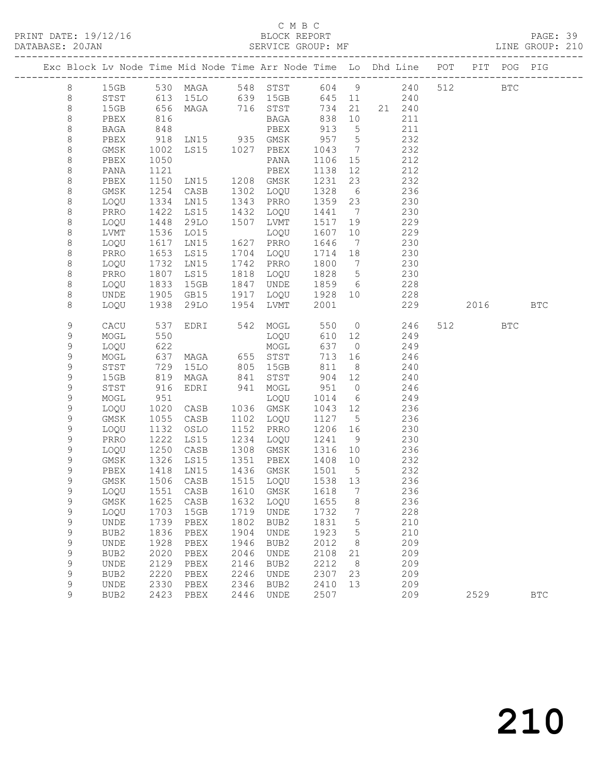#### C M B C<br>BLOCK REPORT

|             |                                                                                |              |                                  |              |                           |              |        |                                                                         |      |            | PAGE: 39<br>LINE GROUP: 210 |  |
|-------------|--------------------------------------------------------------------------------|--------------|----------------------------------|--------------|---------------------------|--------------|--------|-------------------------------------------------------------------------|------|------------|-----------------------------|--|
|             | Exc Block Lv Node Time Mid Node Time Arr Node Time Lo Dhd Line POT PIT POG PIG |              |                                  |              |                           |              |        |                                                                         |      |            |                             |  |
| 8           | 15GB 530 MAGA 548 STST 604 9 240 512 BTC                                       |              |                                  |              |                           |              |        |                                                                         |      |            |                             |  |
| 8           | STST 613 15LO 639 15GB 645 11 240                                              |              |                                  |              |                           |              |        |                                                                         |      |            |                             |  |
| $\,8\,$     | 15GB                                                                           | 656          |                                  |              |                           |              |        | MAGA 716 STST 734 21 21 240                                             |      |            |                             |  |
| $\,8\,$     | PBEX                                                                           | 816          |                                  |              | BAGA 838 10<br>PBEX 913 5 |              |        | 211                                                                     |      |            |                             |  |
| $\,8\,$     | BAGA                                                                           | 848          |                                  |              | PBEX                      |              |        | 211                                                                     |      |            |                             |  |
| 8           | PBEX                                                                           | 918          |                                  |              |                           |              |        | LN15 935 GMSK 957 5 232                                                 |      |            |                             |  |
| 8           | GMSK                                                                           | 1002         | LS15 1027 PBEX                   |              |                           |              |        | 1043 7 232                                                              |      |            |                             |  |
| 8           | PBEX                                                                           | 1050         |                                  |              | PANA                      |              |        | 1106 15 212                                                             |      |            |                             |  |
| $\,8\,$     | PANA                                                                           | 1121         |                                  |              |                           |              |        | 1138  12  212<br>1231  23  232                                          |      |            |                             |  |
| 8           | PBEX                                                                           | 1150         |                                  |              |                           |              |        |                                                                         |      |            |                             |  |
| 8           | GMSK                                                                           | 1254         |                                  |              |                           |              |        | CASB 1302 LOQU 1328 6 236                                               |      |            |                             |  |
| 8           | LOQU                                                                           | 1334         | LNI5                             |              | 1343 PRRO                 |              |        | 1359 23 230                                                             |      |            |                             |  |
| $\,8\,$     | PRRO                                                                           | 1422         | LS15                             |              | 1432 LOQU                 | 1441 7       |        | 230                                                                     |      |            |                             |  |
| 8           | LOQU                                                                           | 1448         | 29LO                             |              | 1507 LVMT                 |              |        | $1517$ 19 229                                                           |      |            |                             |  |
| 8           | LVMT                                                                           | 1536         | LO15                             |              | LOQU                      |              |        | 1607 10 229                                                             |      |            |                             |  |
| $\,8\,$     | LOQU                                                                           | 1617         | LNI5                             |              | 1627 PRRO                 | 1646         |        | 7 230                                                                   |      |            |                             |  |
| $\,8\,$     | PRRO                                                                           | 1653<br>1732 | LS15<br>LN15                     |              | 1704 LOQU                 |              |        | $\begin{array}{cccc} 1714 & 18 & & 230 \\ 1800 & 7 & & 230 \end{array}$ |      |            |                             |  |
| 8           | LOQU                                                                           |              |                                  |              | 1742 PRRO                 |              |        |                                                                         |      |            |                             |  |
| 8           | PRRO                                                                           | 1807         | LS15                             |              | 1818 LOQU                 |              |        | 1828 5 230                                                              |      |            |                             |  |
| 8           | LOQU                                                                           | 1833         | 15GB                             |              | 1847 UNDE                 |              |        | 1859 6 228                                                              |      |            |                             |  |
| 8           | UNDE                                                                           | 1905<br>1938 | GB15 1917 LOQU<br>29LO 1954 LVMT |              | 1917 LOQU                 |              |        | 1928 10 228                                                             |      |            |                             |  |
| 8           | LOQU                                                                           |              |                                  |              |                           | 2001         |        | 229                                                                     |      | 2016 BTC   |                             |  |
| 9           | CACU                                                                           | 537          |                                  |              |                           |              |        | EDRI 542 MOGL 550 0 246                                                 | 512  | <b>BTC</b> |                             |  |
| 9           | MOGL                                                                           |              |                                  |              | LOQU<br>MOGL              |              |        | 249<br>$610$ 12                                                         |      |            |                             |  |
| 9           | LOQU                                                                           | $52$<br>622  |                                  |              | WOGT<br>MOGT              |              | 637 0  | 249                                                                     |      |            |                             |  |
| 9           | MOGL                                                                           | 637          |                                  |              | MAGA 655 STST             |              |        | 713 16 246                                                              |      |            |                             |  |
| 9           | STST                                                                           | 729          |                                  |              |                           |              |        | 15LO 805 15GB 811 8 240                                                 |      |            |                             |  |
| 9           | 15GB                                                                           | 819<br>916   | MAGA 841 STST                    |              |                           |              |        | 904 12 240                                                              |      |            |                             |  |
| 9           | STST                                                                           |              | EDRI 941 MOGL                    |              |                           | 951 0        |        | 246                                                                     |      |            |                             |  |
| 9           | MOGL                                                                           | 951          |                                  |              | LOQU                      |              |        | $1014$ 6 249                                                            |      |            |                             |  |
| 9           | LOQU                                                                           | 1020         | CASB                             |              | 1036 GMSK                 |              |        | 1043 12 236                                                             |      |            |                             |  |
| 9           | GMSK                                                                           | 1055         | CASB                             |              | 1102 LOQU                 |              |        | 1127 5 236                                                              |      |            |                             |  |
| 9           | LOQU                                                                           | 1132         |                                  |              |                           |              |        | 0SLO 1152 PRRO 1206 16 230<br>LS15 1234 LOQU 1241 9 230                 |      |            |                             |  |
| 9           | PRRO                                                                           | 11222        |                                  |              |                           |              |        |                                                                         |      |            |                             |  |
| 9           | LOQU                                                                           |              | 1250 CASB 1308 GMSK              |              |                           |              |        | 1316 10 236                                                             |      |            |                             |  |
| 9           | GMSK                                                                           |              | 1326 LS15                        |              | 1351 PBEX                 | 1408         | 10     | 232                                                                     |      |            |                             |  |
| 9           | PBEX 1418 LN15 1436 GMSK 1501 5                                                |              |                                  |              |                           |              |        | 232                                                                     |      |            |                             |  |
| 9           | GMSK                                                                           | 1506         | CASB                             | 1515         | LOQU                      | 1538         | 13     | 236                                                                     |      |            |                             |  |
| 9           | LOQU                                                                           | 1551         | CASB                             | 1610         | GMSK                      | 1618         | 7      | 236                                                                     |      |            |                             |  |
| 9           | GMSK                                                                           | 1625         | CASB                             | 1632         | LOQU                      | 1655         | 8      | 236<br>228                                                              |      |            |                             |  |
| 9           | LOQU                                                                           | 1703<br>1739 | 15GB<br>PBEX                     | 1719<br>1802 | <b>UNDE</b><br>BUB2       | 1732<br>1831 | 7      | 210                                                                     |      |            |                             |  |
| 9<br>9      | UNDE                                                                           | 1836         |                                  | 1904         | <b>UNDE</b>               | 1923         | 5      | 210                                                                     |      |            |                             |  |
| 9           | BUB2<br>UNDE                                                                   | 1928         | PBEX<br>PBEX                     | 1946         | BUB2                      | 2012         | 5<br>8 | 209                                                                     |      |            |                             |  |
| $\mathsf 9$ | BUB2                                                                           | 2020         | PBEX                             | 2046         | <b>UNDE</b>               | 2108         | 21     | 209                                                                     |      |            |                             |  |
| 9           | UNDE                                                                           | 2129         | PBEX                             | 2146         | BUB2                      | 2212         | 8      | 209                                                                     |      |            |                             |  |
| 9           | BUB2                                                                           | 2220         | PBEX                             | 2246         | <b>UNDE</b>               | 2307         | 23     | 209                                                                     |      |            |                             |  |
| 9           | UNDE                                                                           | 2330         | PBEX                             | 2346         | BUB2                      | 2410         | 13     | 209                                                                     |      |            |                             |  |
| 9           | BUB <sub>2</sub>                                                               | 2423         | PBEX                             | 2446         | UNDE                      | 2507         |        | 209                                                                     | 2529 |            | <b>BTC</b>                  |  |
|             |                                                                                |              |                                  |              |                           |              |        |                                                                         |      |            |                             |  |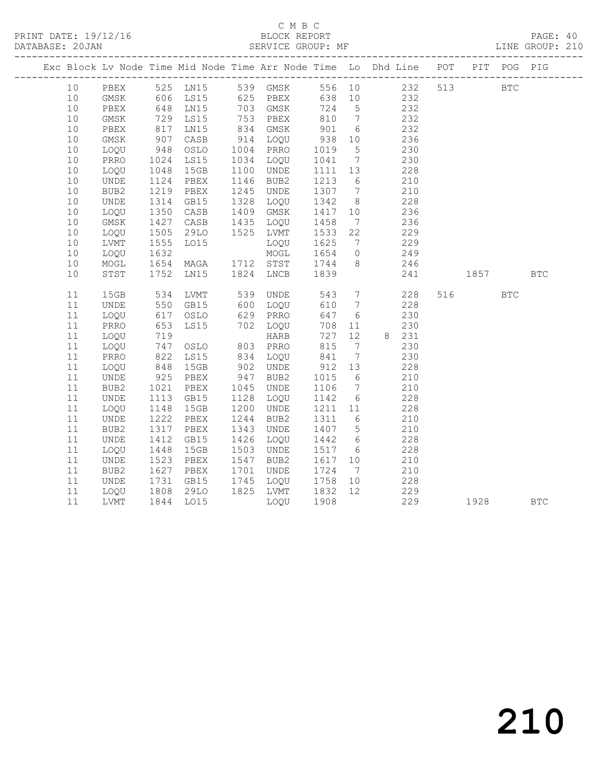# C M B C<br>BLOCK REPORT

PAGE: 40<br>LINE GROUP: 210

|    |             |                    |      |      |                      |            |                              | Exc Block Lv Node Time Mid Node Time Arr Node Time Lo Dhd Line POT                                                                                   |      | PIT POG PIG |              |
|----|-------------|--------------------|------|------|----------------------|------------|------------------------------|------------------------------------------------------------------------------------------------------------------------------------------------------|------|-------------|--------------|
| 10 | PBEX        |                    |      |      |                      |            |                              | 525 LN15        539   GMSK          556    10               232      513<br>606   LS15           625    PBEX          638    10                  232 |      | <b>BTC</b>  |              |
| 10 | GMSK        |                    |      |      |                      |            |                              |                                                                                                                                                      |      |             |              |
| 10 | PBEX        | 648                | LN15 |      | 703 GMSK             | 724        | $5\overline{)}$              | 232                                                                                                                                                  |      |             |              |
| 10 | GMSK        | 729<br>817         | LS15 |      | 753 PBEX             | 810<br>901 | $7\overline{ }$              | 232                                                                                                                                                  |      |             |              |
| 10 | PBEX        |                    | LN15 |      | 834 GMSK             |            | $6\overline{6}$              | 232                                                                                                                                                  |      |             |              |
| 10 | GMSK        | 907                | CASB |      | 914 LOQU             | 938        | 10                           | 236                                                                                                                                                  |      |             |              |
| 10 | LOQU        | 948                | OSLO |      | 1004 PRRO            | 1019       | $5\overline{)}$              | 230                                                                                                                                                  |      |             |              |
| 10 | PRRO        | 1024<br>1048       | LS15 |      | 1034 LOQU            | 1041       | $7\overline{ }$              | 230                                                                                                                                                  |      |             |              |
| 10 | LOQU        |                    | 15GB | 1100 | UNDE                 | 1111 13    |                              | 228                                                                                                                                                  |      |             |              |
| 10 | UNDE        | 1124               | PBEX | 1146 | BUB2                 | 1213       | 6                            | 210                                                                                                                                                  |      |             |              |
| 10 | BUB2        | 1219<br>1314       | PBEX | 1245 | UNDE                 | 1307 7     |                              | 210                                                                                                                                                  |      |             |              |
| 10 | UNDE        |                    | GB15 | 1328 | LOQU                 | 1342       | 8 <sup>8</sup>               | 228                                                                                                                                                  |      |             |              |
| 10 | LOQU        | 1350               | CASB |      | 1409 GMSK            | 1417       | 10                           | 236                                                                                                                                                  |      |             |              |
| 10 | $\rm{GMSK}$ | 1427<br>1505       | CASB |      | 1435 LOQU            | 1458       | $7\overline{ }$              | 236                                                                                                                                                  |      |             |              |
| 10 | LOQU        |                    | 29LO |      | 1525 LVMT            | 1533       | 22                           | 229                                                                                                                                                  |      |             |              |
| 10 | LVMT        | 1555               | L015 |      | LOQU                 | 1625       |                              | 7 229                                                                                                                                                |      |             |              |
| 10 | LOQU        | 1632<br>1654       |      |      | MOGL                 | 1654       | $\overline{0}$               | 249                                                                                                                                                  |      |             |              |
| 10 | $\sf{MOGL}$ |                    | MAGA |      | 1712 STST            | 1744       | 8 <sup>8</sup>               | 246                                                                                                                                                  |      |             |              |
| 10 | STST        | 1752               | LN15 |      | 1824 LNCB            | 1839       |                              | 241                                                                                                                                                  | 1857 |             | $_{\rm BTC}$ |
| 11 | 15GB        |                    | LVMT |      |                      | 543        | $7\overline{ }$              | 228                                                                                                                                                  | 516  | <b>BTC</b>  |              |
| 11 | <b>UNDE</b> | 534<br>550         | GB15 |      | 539 UNDE<br>600 LOQU | 610        | $\overline{7}$               | 228                                                                                                                                                  |      |             |              |
| 11 | LOQU        | 617                | OSLO | 629  | PRRO                 | 647        | $6\overline{6}$              | 230                                                                                                                                                  |      |             |              |
| 11 | PRRO        | 653                | LS15 |      | 702 LOQU             | 708        | 11                           | 230                                                                                                                                                  |      |             |              |
| 11 | LOQU        | 719                |      |      | HARB                 | 727        | 12                           | 8 231                                                                                                                                                |      |             |              |
| 11 | LOQU        | 747                | OSLO |      | 803 PRRO             | 815        | $\overline{7}$               | 230                                                                                                                                                  |      |             |              |
| 11 | PRRO        |                    | LS15 | 834  | LOQU                 | 841        | $7\phantom{.0}\phantom{.0}7$ | 230                                                                                                                                                  |      |             |              |
| 11 | LOQU        | 822<br>848         | 15GB | 902  | UNDE                 | 912        | 13                           | 228                                                                                                                                                  |      |             |              |
| 11 | UNDE        | 925                | PBEX | 947  | BUB2                 | 1015       | 6                            | 210                                                                                                                                                  |      |             |              |
| 11 | BUB2        | 1021<br>1113       | PBEX | 1045 | UNDE                 | 1106       | $7\overline{ }$              | 210                                                                                                                                                  |      |             |              |
| 11 | UNDE        |                    | GB15 | 1128 | LOQU                 | 1142       | 6                            | 228                                                                                                                                                  |      |             |              |
| 11 | LOQU        | 1148               | 15GB | 1200 | UNDE                 | 1211 11    |                              | 228                                                                                                                                                  |      |             |              |
| 11 | UNDE        | 1222               | PBEX | 1244 | BUB2                 | 1311       | $6\overline{6}$              | 210                                                                                                                                                  |      |             |              |
| 11 | BUB2        | $\frac{131}{1412}$ | PBEX | 1343 | UNDE                 | 1407 5     |                              | 210                                                                                                                                                  |      |             |              |
| 11 | UNDE        |                    | GB15 | 1426 | LOQU                 | 1442 6     |                              | 228                                                                                                                                                  |      |             |              |
| 11 | LOQU        | 1448               | 15GB | 1503 | UNDE                 | 1517       | $6\overline{6}$              | 228                                                                                                                                                  |      |             |              |
| 11 | UNDE        | 1523<br>1627       | PBEX | 1547 | BUB2                 | 1617 10    |                              | 210                                                                                                                                                  |      |             |              |
| 11 | BUB2        |                    | PBEX | 1701 | UNDE                 | 1724       | $7\overline{ }$              | 210                                                                                                                                                  |      |             |              |
| 11 | UNDE        | 1731               | GB15 | 1745 | LOQU                 | 1758       | 10                           | 228                                                                                                                                                  |      |             |              |
| 11 | LOQU        | 1808               | 29LO |      | 1825 LVMT            | 1832       | 12                           | 229                                                                                                                                                  |      |             |              |
| 11 | LVMT        | 1844               | LO15 |      | LOQU                 | 1908       |                              | 229                                                                                                                                                  | 1928 |             | <b>BTC</b>   |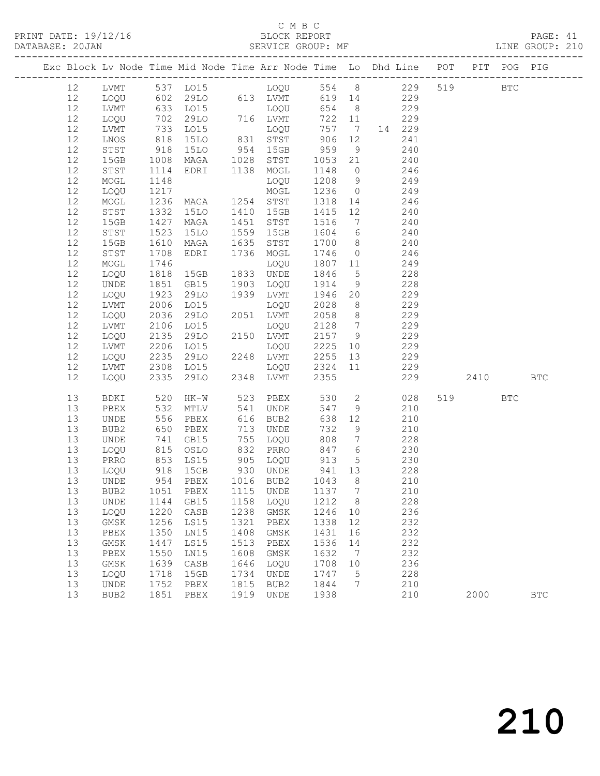| DATABASE: 20JAN |    |              |                           |                                                                                |      |                                                 |                   |                 |                                |     |      |            | SERVICE GROUP: MF THE RESERVICE ORDER THE SERVICE ORDER THE SERVICE ORDER THE SERVICE OF SERVICE SERVICE SERVICE SERVICE SERVICE SERVICE SERVICE SERVICE SERVICE SERVICE SERVICE SERVICE SERVICE SERVICE SERVICE SERVICE SERVI |
|-----------------|----|--------------|---------------------------|--------------------------------------------------------------------------------|------|-------------------------------------------------|-------------------|-----------------|--------------------------------|-----|------|------------|--------------------------------------------------------------------------------------------------------------------------------------------------------------------------------------------------------------------------------|
|                 |    |              |                           | Exc Block Lv Node Time Mid Node Time Arr Node Time Lo Dhd Line POT PIT POG PIG |      |                                                 |                   |                 |                                |     |      |            |                                                                                                                                                                                                                                |
|                 | 12 |              |                           |                                                                                |      |                                                 |                   |                 |                                |     |      |            |                                                                                                                                                                                                                                |
|                 | 12 |              |                           | LOQU 602 29LO 613 LVMT 619 14 229                                              |      |                                                 |                   |                 |                                |     |      |            |                                                                                                                                                                                                                                |
|                 | 12 | LVMT         |                           | 633 LO15 LOQU<br>702 29LO 716 LVMT<br>733 LO15 LOQU                            |      |                                                 | 654 8             |                 | 229                            |     |      |            |                                                                                                                                                                                                                                |
|                 | 12 | LOQU         |                           |                                                                                |      |                                                 | 722 11            |                 | 229                            |     |      |            |                                                                                                                                                                                                                                |
|                 | 12 | LVMT         |                           |                                                                                |      |                                                 | 757 7             |                 | 14 229                         |     |      |            |                                                                                                                                                                                                                                |
|                 | 12 | LNOS         | 818                       | 15LO                                                                           |      | 831 STST 906                                    |                   | 12              | 241                            |     |      |            |                                                                                                                                                                                                                                |
|                 | 12 | STST         |                           | 15LO                                                                           |      | 954 15GB 959                                    |                   | 9               | 240                            |     |      |            |                                                                                                                                                                                                                                |
|                 | 12 | 15GB         | $918$<br>$1008$<br>$1114$ |                                                                                |      | MAGA 1028 STST 1053 21<br>EDRI 1138 MOGL 1148 0 |                   |                 |                                |     |      |            |                                                                                                                                                                                                                                |
|                 | 12 | STST         |                           |                                                                                |      |                                                 |                   |                 | $240$<br>1148 0 240            |     |      |            |                                                                                                                                                                                                                                |
|                 | 12 | MOGL         | 1148                      |                                                                                |      | LOQU                                            |                   |                 | 1208 9 249                     |     |      |            |                                                                                                                                                                                                                                |
|                 | 12 | LOQU         | 1217                      |                                                                                |      | MOGL                                            |                   |                 | 1236 0 249                     |     |      |            |                                                                                                                                                                                                                                |
|                 | 12 | MOGL         | 1236<br>1332              | MAGA 1254 STST<br>15LO 1410 15GR                                               |      |                                                 |                   |                 | 1318  14  246<br>1415  12  240 |     |      |            |                                                                                                                                                                                                                                |
|                 | 12 | STST         |                           |                                                                                |      |                                                 |                   |                 |                                |     |      |            |                                                                                                                                                                                                                                |
|                 | 12 | 15GB         | 1427                      | MAGA                                                                           |      | 1451 STST                                       | 1516              |                 | $7240$                         |     |      |            |                                                                                                                                                                                                                                |
|                 | 12 | STST         | 1523                      | 15LO                                                                           |      | 1559 15GB                                       |                   |                 | 1604 6 240                     |     |      |            |                                                                                                                                                                                                                                |
|                 | 12 | 15GB         | 1610<br>1708              | MAGA<br>EDRI                                                                   |      | 1635 STST                                       | 1700 8<br>1746 0  |                 | 240                            |     |      |            |                                                                                                                                                                                                                                |
|                 | 12 | STST         |                           |                                                                                |      | 1736 MOGL                                       |                   |                 | 246                            |     |      |            |                                                                                                                                                                                                                                |
|                 | 12 | MOGL         | 1746                      | LOQU<br>15GB 1833 UNDE                                                         |      |                                                 |                   |                 | 1807 11 249                    |     |      |            |                                                                                                                                                                                                                                |
|                 | 12 | LOQU         | 1818                      |                                                                                |      |                                                 | 1846              | 5 <sup>5</sup>  | 228                            |     |      |            |                                                                                                                                                                                                                                |
|                 | 12 | UNDE         | 1851<br>1923              | GB15                                                                           |      | 1903 LOQU                                       | 1914              | 9               | 228                            |     |      |            |                                                                                                                                                                                                                                |
|                 | 12 | LOQU         |                           | 29LO                                                                           |      | 1939 LVMT                                       | 1946 20           |                 | 229                            |     |      |            |                                                                                                                                                                                                                                |
|                 | 12 | LVMT         | 2006                      | LO15                                                                           |      | LOQU                                            | 2028              |                 | 8 229                          |     |      |            |                                                                                                                                                                                                                                |
|                 | 12 | LOQU         | 2036                      | 29LO                                                                           |      | 2051 LVMT                                       | 2058 8            |                 | 229                            |     |      |            |                                                                                                                                                                                                                                |
|                 | 12 | LVMT         | 2106                      | LO15                                                                           |      | LOQU                                            | $2128$ 7          |                 | 229                            |     |      |            |                                                                                                                                                                                                                                |
|                 | 12 | LOQU         | 2135                      | 29LO                                                                           |      | 2150 LVMT                                       | 2157 9            |                 | 229                            |     |      |            |                                                                                                                                                                                                                                |
|                 | 12 | LVMT         | 2206                      | LO15                                                                           |      | LOQU 2225 10 229                                |                   |                 |                                |     |      |            |                                                                                                                                                                                                                                |
|                 | 12 | LOQU         | 2235                      |                                                                                |      | 29LO 2248 LVMT 2255 13 229                      |                   |                 |                                |     |      |            |                                                                                                                                                                                                                                |
|                 | 12 | LVMT         | 2308<br>2335              | LO15                                                                           |      | LOQU 2324 11 229                                |                   |                 |                                |     |      |            |                                                                                                                                                                                                                                |
|                 | 12 | LOQU         |                           |                                                                                |      | 29LO 2348 LVMT                                  | 2355              |                 |                                | 229 |      | 2410       | <b>BTC</b>                                                                                                                                                                                                                     |
|                 | 13 | BDKI         | 520                       | HK-W                                                                           |      | 523 PBEX                                        | 530               |                 | $\overline{2}$                 | 028 | 519  | <b>BTC</b> |                                                                                                                                                                                                                                |
|                 | 13 | PBEX         | 532<br>556<br>650         | MTLV                                                                           |      | 541 UNDE                                        | 547               | 9               | 210                            |     |      |            |                                                                                                                                                                                                                                |
|                 | 13 | UNDE         |                           | PBEX                                                                           |      | 616 BUB2                                        | 638               | 12              | 210                            |     |      |            |                                                                                                                                                                                                                                |
|                 | 13 | BUB2         |                           | PBEX                                                                           |      | 713 UNDE                                        | 732               | 9               | 210                            |     |      |            |                                                                                                                                                                                                                                |
|                 | 13 | UNDE         | 741                       | GB15                                                                           |      | 755 LOQU                                        | 808               |                 | 7 228                          |     |      |            |                                                                                                                                                                                                                                |
|                 | 13 | LOQU         |                           | 815 OSLO<br>853 LS15<br>918 15GB<br>OSLO                                       |      | 832 PRRO                                        |                   | 847 6           | 230                            |     |      |            |                                                                                                                                                                                                                                |
|                 | 13 | PRRO         |                           |                                                                                |      | 905 LOQU<br>930 UNDE                            | $913$ 5<br>941 13 |                 | $\frac{230}{2}$                |     |      |            |                                                                                                                                                                                                                                |
|                 | 13 | LOQU         |                           |                                                                                |      | 930 UNDE                                        |                   |                 | 228                            |     |      |            |                                                                                                                                                                                                                                |
|                 | 13 | UNDE         |                           | 954 PBEX 1016 BUB2 1043 8 210                                                  |      |                                                 |                   |                 |                                |     |      |            |                                                                                                                                                                                                                                |
|                 | 13 | BUB2         | 1051                      | PBEX                                                                           | 1115 | UNDE                                            | 1137 7            |                 | 210                            |     |      |            |                                                                                                                                                                                                                                |
|                 | 13 | UNDE         | 1144                      | GB15                                                                           | 1158 | LOQU                                            | 1212              | 8 <sup>8</sup>  | 228                            |     |      |            |                                                                                                                                                                                                                                |
|                 | 13 | LOQU         | 1220                      | CASB                                                                           | 1238 | GMSK                                            | 1246              | 10              | 236                            |     |      |            |                                                                                                                                                                                                                                |
|                 | 13 | GMSK         | 1256                      | LS15                                                                           | 1321 | PBEX                                            | 1338              | 12              | 232                            |     |      |            |                                                                                                                                                                                                                                |
|                 | 13 | ${\tt PBEX}$ | 1350                      | LN15                                                                           | 1408 | $\rm{GMSK}$                                     | 1431              | 16              | 232                            |     |      |            |                                                                                                                                                                                                                                |
|                 | 13 | $\rm{GMSK}$  | 1447                      | LS15                                                                           | 1513 | ${\tt PBEX}$                                    | 1536              | 14              | 232                            |     |      |            |                                                                                                                                                                                                                                |
|                 | 13 | PBEX         | 1550                      | LN15                                                                           | 1608 | GMSK                                            | 1632              | $\overline{7}$  | 232                            |     |      |            |                                                                                                                                                                                                                                |
|                 | 13 | GMSK         | 1639                      | CASB                                                                           | 1646 | LOQU                                            | 1708              | 10              | 236                            |     |      |            |                                                                                                                                                                                                                                |
|                 | 13 | LOQU         | 1718                      | 15GB                                                                           | 1734 | UNDE                                            | 1747              | $5\phantom{.0}$ | 228                            |     |      |            |                                                                                                                                                                                                                                |
|                 | 13 | UNDE         | 1752                      | PBEX                                                                           | 1815 | BUB2                                            | 1844              | 7               | 210                            |     |      |            |                                                                                                                                                                                                                                |
|                 | 13 | BUB2         | 1851                      | PBEX                                                                           | 1919 | UNDE                                            | 1938              |                 | 210                            |     | 2000 |            | $_{\rm BTC}$                                                                                                                                                                                                                   |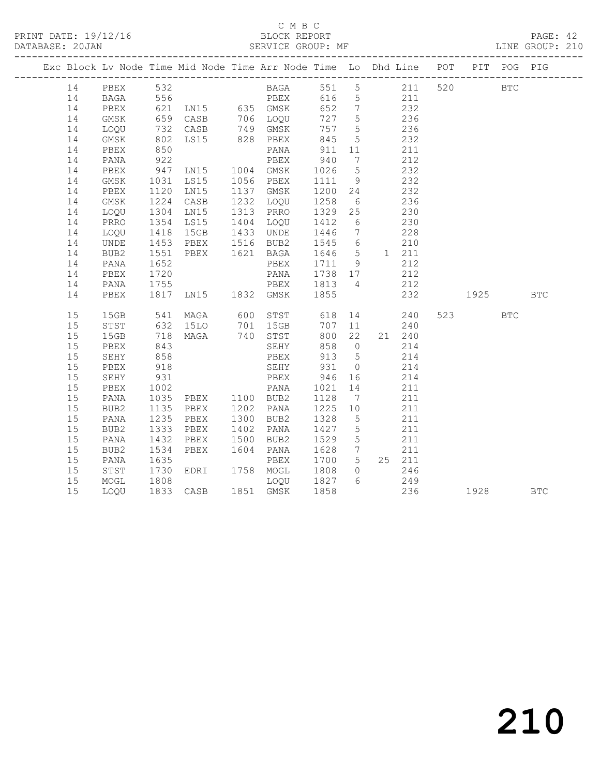### C M B C<br>BLOCK REPORT

PAGE: 42<br>LINE GROUP: 210

|          |              |                      |                                  | Exc Block Lv Node Time Mid Node Time Arr Node Time Lo Dhd Line POT PIT POG PIG                           |              |                 |                                           |        |                |            |            |
|----------|--------------|----------------------|----------------------------------|----------------------------------------------------------------------------------------------------------|--------------|-----------------|-------------------------------------------|--------|----------------|------------|------------|
| 14       | PBEX 532     |                      |                                  | BAGA 551 5 211 520 BTC                                                                                   |              |                 |                                           |        |                |            |            |
| 14       |              |                      |                                  | BAGA 556 PBEX 616 5 211                                                                                  |              |                 |                                           |        |                |            |            |
| 14       | PBEX         |                      |                                  |                                                                                                          |              |                 | 232                                       |        |                |            |            |
| 14       | GMSK         |                      |                                  |                                                                                                          |              |                 | 236<br>236                                |        |                |            |            |
| 14       | LOQU         |                      |                                  | 621 LN15 635 GMSK 652 7<br>659 CASB 706 LOQU 727 5<br>732 CASB 749 GMSK 757 5<br>802 LS15 828 PBEX 845 5 |              |                 |                                           |        |                |            |            |
| 14       | GMSK         |                      |                                  |                                                                                                          |              |                 | 232                                       |        |                |            |            |
| 14       | PBEX         | 850                  |                                  | PANA                                                                                                     | 911          | 11              | 211                                       |        |                |            |            |
| 14       | PANA         |                      |                                  |                                                                                                          |              | $7\overline{ }$ |                                           | 212    |                |            |            |
| 14       | PBEX         |                      |                                  |                                                                                                          |              | 5 <sup>5</sup>  | 232                                       |        |                |            |            |
| 14       | GMSK         |                      |                                  | 1031 LS15 1056 PBEX 1111 9                                                                               |              |                 | 232                                       |        |                |            |            |
| 14       | PBEX         | 1120                 | LN15                             | 1137 GMSK                                                                                                |              |                 | 232                                       |        |                |            |            |
| 14       | GMSK         | 1304                 | 1224 CASB                        | 1137 GMSK 1200 24<br>1232 LOQU 1258 6<br>1313 PRRO 1329 25                                               |              | $6\overline{6}$ | $\frac{1}{230}$                           | 236    |                |            |            |
| 14       | LOQU         |                      | LN15                             |                                                                                                          |              |                 |                                           |        |                |            |            |
| 14       | PRRO         | 1354                 | LS15                             | 1404 LOQU 1412                                                                                           |              | $6\overline{6}$ | 230                                       |        |                |            |            |
| 14<br>14 | LOQU<br>UNDE |                      |                                  | 1433 UNDE                                                                                                |              |                 |                                           |        |                |            |            |
| 14       | BUB2         |                      |                                  | 1418 15GB 1433 UNDE 1446 7 228<br>1453 PBEX 1516 BUB2 1545 6 210<br>1551 PBEX 1621 BAGA 1646 5 1 211     |              |                 |                                           |        |                |            |            |
| 14       | PANA         | 1652                 |                                  | PBEX 1711 9                                                                                              |              |                 |                                           | 212    |                |            |            |
| 14       | PBEX         | 1720                 |                                  |                                                                                                          |              |                 |                                           |        |                |            |            |
| 14       | PANA         | 1720<br>1755         |                                  | PANA 1738 17<br>PBEX 1813 4                                                                              |              |                 | $212$                                     | 212    |                |            |            |
| 14       | PBEX         |                      |                                  | 1817 LN15 1832 GMSK 1855                                                                                 |              |                 | 232                                       |        | 1925           |            | <b>BTC</b> |
|          |              |                      |                                  |                                                                                                          |              |                 |                                           |        |                |            |            |
| 15       |              |                      |                                  | 15GB 541 MAGA 600 STST 618 14 240<br>STST 632 15LO 701 15GB 707 11 240                                   |              |                 |                                           |        | 523 and $\sim$ | <b>BTC</b> |            |
| 15       |              |                      |                                  |                                                                                                          |              |                 |                                           |        |                |            |            |
| 15       | 15GB         |                      |                                  | 718 MAGA 740 STST                                                                                        | 800 22       |                 |                                           | 21 240 |                |            |            |
| 15       | PBEX         | 843                  |                                  | SEHY                                                                                                     | 858 0        |                 |                                           | 214    |                |            |            |
| 15       | SEHY         | 858<br>918           |                                  | PBEX 913 5<br>SEHY 931 0                                                                                 |              |                 | $\begin{array}{c} 214 \\ 214 \end{array}$ | 214    |                |            |            |
| 15       | PBEX         |                      |                                  |                                                                                                          |              |                 |                                           |        |                |            |            |
| 15       | SEHY         | 931                  |                                  | PBEX                                                                                                     | 946 16       |                 | 214                                       |        |                |            |            |
| 15       | PBEX         |                      | 1002 PANA<br>1035 PBEX 1100 BUB2 |                                                                                                          | 1021<br>1128 | 14              |                                           | 211    |                |            |            |
| 15       | PANA         |                      | 1135 PBEX 1202 PANA              |                                                                                                          | 1225 10      | $7\overline{ }$ | 211                                       | 211    |                |            |            |
| 15<br>15 | BUB2<br>PANA | 1235                 | PBEX                             | 1300 BUB2                                                                                                | 1328         | $5\overline{)}$ | 211                                       |        |                |            |            |
| 15       | BUB2         | 1333                 | PBEX                             | 1402 PANA                                                                                                |              | $5^{\circ}$     |                                           | 211    |                |            |            |
| 15       | PANA         | 1432                 | PBEX                             | 1402 PANA 1427<br>1500 BUB2 1529                                                                         |              | 5 <sup>5</sup>  |                                           | 211    |                |            |            |
| 15       | BUB2         |                      | 1534 PBEX                        | 1604 PANA                                                                                                | 1628         |                 | $7$ 211                                   |        |                |            |            |
| 15       | PANA         | 1635                 |                                  | PBEX                                                                                                     | 1700 5       |                 |                                           | 25 211 |                |            |            |
| 15       | STST         |                      | EDRI 1758 MOGL                   |                                                                                                          |              |                 |                                           | 246    |                |            |            |
| 15       | MOGL         | 1730<br>1808<br>1808 |                                  | MOGL 1808 0<br>LOQU 1827 6                                                                               |              |                 |                                           | 249    |                |            |            |
| 15       | LOQU         |                      |                                  | 1833 CASB 1851 GMSK 1858                                                                                 |              |                 |                                           | 236    | 1928 BTC       |            |            |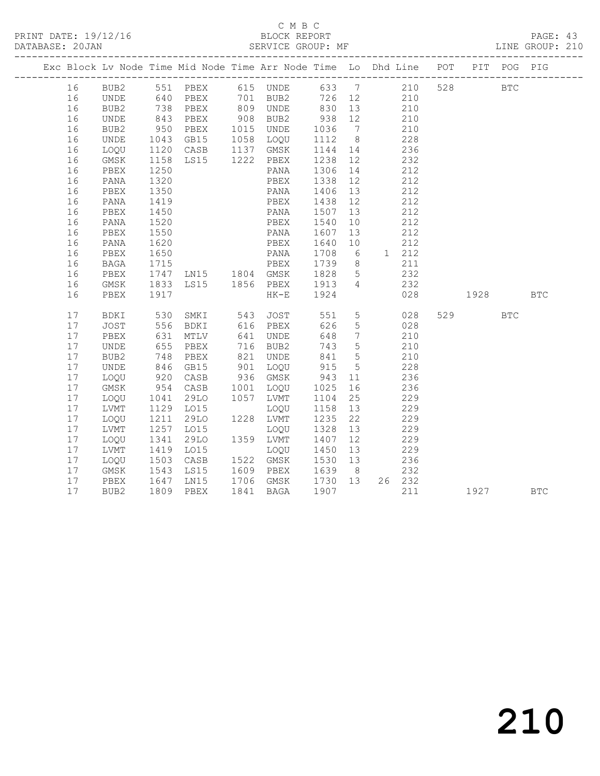## C M B C<br>BLOCK REPORT

LINE GROUP: 210

|  |    |                              |                          | Exc Block Lv Node Time Mid Node Time Arr Node Time Lo Dhd Line POT PIT POG PIG |      |           |                          |                 |                |       |     |      |            |            |
|--|----|------------------------------|--------------------------|--------------------------------------------------------------------------------|------|-----------|--------------------------|-----------------|----------------|-------|-----|------|------------|------------|
|  | 16 | BUB2                         |                          | 551 PBEX 615 UNDE 633 7 210                                                    |      |           |                          |                 |                |       | 528 |      | <b>BTC</b> |            |
|  | 16 | UNDE                         |                          | 640 PBEX       701   BUB2<br>738   PBEX        809   UNDE                      |      |           | 726 12 210<br>830 13 210 |                 |                |       |     |      |            |            |
|  | 16 | BUB2                         |                          |                                                                                |      |           |                          |                 |                |       |     |      |            |            |
|  | 16 | UNDE                         | 843                      | PBEX                                                                           |      | 908 BUB2  | 938 12                   |                 | 210            |       |     |      |            |            |
|  | 16 | BUB2                         | 950<br>1043              | PBEX                                                                           |      | 1015 UNDE | 1036                     | $7\overline{ }$ |                | 210   |     |      |            |            |
|  | 16 | UNDE                         |                          | GB15                                                                           |      | 1058 LOQU | 1112 8                   |                 |                | 228   |     |      |            |            |
|  | 16 | LOQU                         | 1120                     | CASB                                                                           |      | 1137 GMSK | 1144 14                  |                 | 236            |       |     |      |            |            |
|  | 16 | GMSK                         | 1158                     | LS15 1222 PBEX                                                                 |      |           | 1238                     | 12              | 232            |       |     |      |            |            |
|  | 16 | PBEX                         | 1250                     |                                                                                |      | PANA      | 1306                     | 14              |                | 212   |     |      |            |            |
|  | 16 | PANA                         | 1320                     |                                                                                |      | PBEX      | 1338                     | 12              |                | 212   |     |      |            |            |
|  | 16 | PBEX                         | 1350                     |                                                                                |      | PANA      | 1406                     | 13              | 212            |       |     |      |            |            |
|  | 16 | PANA                         | 1419                     |                                                                                |      | PBEX      | 1438                     | 12              | 212            |       |     |      |            |            |
|  | 16 | PBEX                         | 1450                     |                                                                                |      | PANA      | 1507                     | 13              |                | 212   |     |      |            |            |
|  | 16 | PANA                         | 1520                     |                                                                                |      | PBEX      | 1540                     | 10              |                | 212   |     |      |            |            |
|  | 16 | PBEX                         | 1550                     |                                                                                |      | PANA      | 1607                     | 13              | 212            |       |     |      |            |            |
|  | 16 | PANA                         | 1620                     |                                                                                |      | PBEX      | 1640                     | 10              |                | 212   |     |      |            |            |
|  | 16 | PBEX                         | 1650                     |                                                                                |      | PANA      | 1708                     | 6               |                | 1 212 |     |      |            |            |
|  | 16 | BAGA                         | $\frac{1}{1715}$         |                                                                                |      |           | 1739                     | 8 <sup>8</sup>  |                | 211   |     |      |            |            |
|  | 16 | PBEX                         | 1747                     |                                                                                |      |           | 1828                     | $5\overline{)}$ | 232            |       |     |      |            |            |
|  | 16 | $\rm{GMSK}$                  | 1833                     | LS15 1856 PBEX                                                                 |      |           | 1913                     | $\overline{4}$  | 232            |       |     |      |            |            |
|  | 16 | PBEX                         | 1917                     |                                                                                |      | $HK-E$    | 1924                     |                 |                | 028   |     | 1928 |            | <b>BTC</b> |
|  | 17 | BDKI                         | 530                      | SMKI                                                                           | 543  | JOST      | 551                      |                 | 5 <sub>5</sub> | 028   |     | 529  | <b>BTC</b> |            |
|  | 17 | <b>JOST</b>                  | 556<br>556<br>631<br>655 | BDKI                                                                           |      | 616 PBEX  | 626                      | $5\overline{)}$ |                | 028   |     |      |            |            |
|  | 17 | PBEX                         |                          | MTLV                                                                           |      | 641 UNDE  | 648                      | $7\overline{)}$ |                | 210   |     |      |            |            |
|  | 17 | UNDE                         |                          | PBEX                                                                           |      | 716 BUB2  | 743                      | $5^{\circ}$     | 210            |       |     |      |            |            |
|  | 17 | BUB2                         | 748                      | PBEX                                                                           |      | 821 UNDE  | 841                      | $5\overline{)}$ | 210            |       |     |      |            |            |
|  | 17 | $\ensuremath{\mathsf{UNDE}}$ | 846<br>920               | GB15                                                                           |      | 901 LOQU  | 915                      | 5 <sup>5</sup>  |                | 228   |     |      |            |            |
|  | 17 | LOQU                         |                          | CASB                                                                           |      | 936 GMSK  | 943                      | 11              |                | 236   |     |      |            |            |
|  | 17 | GMSK                         | 954                      | CASB                                                                           | 1001 | LOQU      | 1025                     | 16              | 236            |       |     |      |            |            |
|  | 17 | LOQU                         | 1041                     | 29LO                                                                           | 1057 | LVMT      | 1104                     | 25              |                | 229   |     |      |            |            |
|  | 17 | LVMT                         | 1129<br>1211             | L015                                                                           |      | LOQU      | 1158                     | 13              |                | 229   |     |      |            |            |
|  | 17 | LOQU                         |                          | 29LO                                                                           |      | 1228 LVMT | 1235                     | 22              |                | 229   |     |      |            |            |
|  | 17 | LVMT                         | 1257                     | L015                                                                           |      | LOQU      | 1328                     | 13              | 229            |       |     |      |            |            |
|  | 17 | LOQU                         | 1341                     | 29LO                                                                           |      | 1359 LVMT | 1407                     | 12              |                | 229   |     |      |            |            |
|  | 17 | LVMT                         | 1419<br>1503             | LO15                                                                           |      | LOQU      | 1450                     | 13              |                | 229   |     |      |            |            |
|  | 17 | LOQU                         |                          | CASB                                                                           |      | 1522 GMSK | 1530 13                  |                 |                | 236   |     |      |            |            |
|  | 17 | GMSK                         | 1543                     | LS15                                                                           |      | 1609 PBEX | 1639 8                   |                 |                | 232   |     |      |            |            |
|  | 17 | PBEX                         | 1647                     | LN15                                                                           |      | 1706 GMSK | 1730 13                  |                 | 26 232         |       |     |      |            |            |
|  | 17 | BUB <sub>2</sub>             | 1809                     | PBEX                                                                           | 1841 | BAGA      | 1907                     |                 |                | 211   |     | 1927 |            | <b>BTC</b> |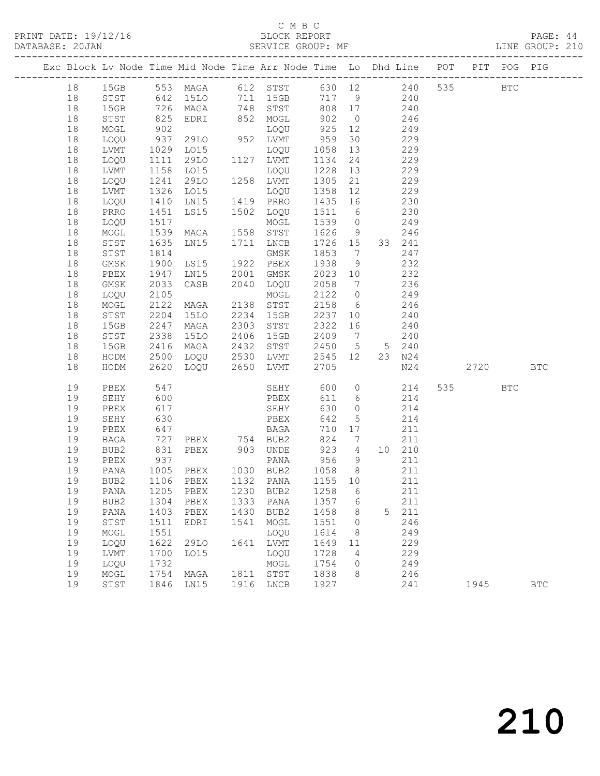| DATABASE: 20JAN |          |              |                      | SERVICE GROUP: MF                                                              |      |                        |                 |                |                       |                       |     |       |     | LINE GROUP: 210 |  |
|-----------------|----------|--------------|----------------------|--------------------------------------------------------------------------------|------|------------------------|-----------------|----------------|-----------------------|-----------------------|-----|-------|-----|-----------------|--|
|                 |          |              |                      | Exc Block Lv Node Time Mid Node Time Arr Node Time Lo Dhd Line POT PIT POG PIG |      |                        |                 |                |                       |                       |     |       |     |                 |  |
|                 | 18       |              |                      | 15GB 553 MAGA 612 STST 630 12 240 535 BTC                                      |      |                        |                 |                |                       |                       |     |       |     |                 |  |
|                 | 18       |              |                      | STST 642 15LO 711 15GB 717 9 240                                               |      |                        |                 |                |                       |                       |     |       |     |                 |  |
|                 | 18       | 15GB         |                      |                                                                                |      |                        |                 |                | 808 17 240            |                       |     |       |     |                 |  |
|                 | 18       | STST         |                      |                                                                                |      |                        |                 |                |                       |                       |     |       |     |                 |  |
|                 | 18       | MOGL         |                      |                                                                                |      |                        |                 |                |                       |                       |     |       |     |                 |  |
|                 | 18       | LOQU         | 937                  | 29LO 952 LVMT                                                                  |      |                        | 959             | 30             | 229                   |                       |     |       |     |                 |  |
|                 | 18       | LVMT         |                      | LO15                                                                           |      |                        | 1058            | 13             |                       | 229                   |     |       |     |                 |  |
|                 | 18       | LOQU         | 1029<br>1111<br>1158 |                                                                                |      |                        | 1134            | 24             |                       | 229                   |     |       |     |                 |  |
|                 | 18       | LVMT         |                      | LO15                                                                           |      | LOQU                   | 1228 13         |                |                       | 229                   |     |       |     |                 |  |
|                 | 18       | LOQU         | 1241                 | 29LO 1258 LVMT                                                                 |      |                        | 1305            | 21             | 229                   |                       |     |       |     |                 |  |
|                 | 18<br>18 | LVMT         | 1326                 | LO15                                                                           |      | LOQU                   | 1358<br>1435 16 | 12             | 229                   |                       |     |       |     |                 |  |
|                 | 18       | LOQU<br>PRRO | 1410<br>1451         | LS15                                                                           |      | 1502 LOQU              | 1511 6          |                |                       | $\frac{15}{2}$<br>230 |     |       |     |                 |  |
|                 | 18       | LOQU         | 1517                 |                                                                                |      | MOGL                   | 1539 0 249      |                |                       |                       |     |       |     |                 |  |
|                 | 18       | MOGL         | 1539                 | MAGA                                                                           |      | 1558 STST              | 1626 9 246      |                |                       |                       |     |       |     |                 |  |
|                 | 18       | STST         |                      | LN15 1711 LNCB                                                                 |      |                        | 1726 15         |                |                       | 33 241                |     |       |     |                 |  |
|                 | 18       | STST         | 1635<br>1814         |                                                                                |      |                        | 1853 7          |                |                       | 247                   |     |       |     |                 |  |
|                 | 18       | GMSK         | 1900                 | GMSK<br>LS15 1922 PBEX                                                         |      |                        | 1938            | 9              | 232                   |                       |     |       |     |                 |  |
|                 | 18       | PBEX         | 1947                 | LN15 2001 GMSK                                                                 |      |                        | 2023 10         |                | 232                   |                       |     |       |     |                 |  |
|                 | 18       | GMSK         | 2033                 | CASB 2040 LOQU                                                                 |      |                        | 2058            | $\overline{7}$ |                       | 236                   |     |       |     |                 |  |
|                 | 18       | LOQU         | 2105                 |                                                                                |      | MOGL                   | 2122 0          |                |                       | 249                   |     |       |     |                 |  |
|                 | 18       | MOGL         | 2122                 | MAGA 2138 STST                                                                 |      |                        | 2158            |                | $6 \qquad \qquad 246$ |                       |     |       |     |                 |  |
|                 | 18       | STST         | 2204                 | 15LO 2234 15GB                                                                 |      |                        | 2237            | 10             | 240                   |                       |     |       |     |                 |  |
|                 | 18       | 15GB         | 2247                 | MAGA                                                                           |      | 2303 STST              | 2322            | 16             | 240                   |                       |     |       |     |                 |  |
|                 | 18       | STST         | 2338                 | 15LO                                                                           |      | 2406 15GB              | 2409 7          |                |                       | 240                   |     |       |     |                 |  |
|                 | 18       | 15GB         | 2416                 | MAGA                                                                           |      | 2432 STST              | 2450 5 5 240    |                |                       |                       |     |       |     |                 |  |
|                 | 18       | HODM         | 2500                 |                                                                                |      | LOQU 2530 LVMT 2545 12 |                 |                |                       | 23 N24                |     |       |     |                 |  |
|                 | 18       | HODM         | 2620                 | LOQU 2650 LVMT                                                                 |      |                        | 2705            |                |                       |                       | N24 | 2720  |     | <b>BTC</b>      |  |
|                 | 19       | PBEX         | 547                  |                                                                                |      | SEHY                   | 600             |                | $\overline{0}$        | 214                   |     | 535 7 | BTC |                 |  |
|                 | 19       | SEHY         | 600                  |                                                                                |      | PBEX                   | 611             |                | 6 214                 |                       |     |       |     |                 |  |
|                 | 19       | PBEX         | 617                  |                                                                                |      | SEHY                   | 630             | $\overline{O}$ |                       | 214                   |     |       |     |                 |  |
|                 | 19       | SEHY         | 630<br>647           |                                                                                |      | PBEX                   | 642             | 5 <sup>5</sup> |                       | 214                   |     |       |     |                 |  |
|                 | 19       | PBEX         | 727                  |                                                                                |      | BAGA<br>PBEX 754 BUB2  | 710 17          |                |                       | 211                   |     |       |     |                 |  |
|                 | 19       | BAGA         |                      |                                                                                |      |                        | 923 4 10 210    | 824 7          |                       | 211                   |     |       |     |                 |  |
|                 | 19<br>19 | BUB2<br>PBEX | 831                  | PBEX 903 UNDE                                                                  |      |                        |                 | 9              |                       | 211                   |     |       |     |                 |  |
|                 | 19       | PANA         |                      |                                                                                |      |                        | 956 9<br>1058 8 |                |                       | 211                   |     |       |     |                 |  |
|                 | 19       |              |                      | BUB2 1106 PBEX 1132 PANA 1155 10                                               |      |                        |                 |                |                       | 211                   |     |       |     |                 |  |
|                 | 19       | PANA         | 1205                 | PBEX                                                                           | 1230 | BUB2                   | 1258            | 6              |                       | 211                   |     |       |     |                 |  |
|                 | 19       | BUB2         | 1304                 | PBEX                                                                           |      | 1333 PANA              | 1357            | 6              |                       | 211                   |     |       |     |                 |  |
|                 | 19       | PANA         | 1403                 | PBEX                                                                           | 1430 | BUB2                   | 1458            | 8              | 5                     | 211                   |     |       |     |                 |  |
|                 | 19       | STST         | 1511                 | EDRI                                                                           | 1541 | MOGL                   | 1551            | $\overline{0}$ |                       | 246                   |     |       |     |                 |  |
|                 | 19       | MOGL         | 1551                 |                                                                                |      | LOQU                   | 1614            | 8              |                       | 249                   |     |       |     |                 |  |
|                 | 19       | LOQU         | 1622                 | 29LO                                                                           |      | 1641 LVMT              | 1649            | 11             |                       | 229                   |     |       |     |                 |  |
|                 | 19       | LVMT         | 1700                 | LO15                                                                           |      | LOQU                   | 1728            | 4              |                       | 229                   |     |       |     |                 |  |
|                 | 19       | LOQU         | 1732                 |                                                                                |      | MOGL                   | 1754            | $\circ$        |                       | 249                   |     |       |     |                 |  |
|                 | 19       | MOGL         | 1754                 | MAGA                                                                           |      | 1811 STST              | 1838            | 8              |                       | 246                   |     |       |     |                 |  |
|                 | 19       | STST         | 1846                 | LN15                                                                           |      | 1916 LNCB              | 1927            |                |                       | 241                   |     | 1945  |     | <b>BTC</b>      |  |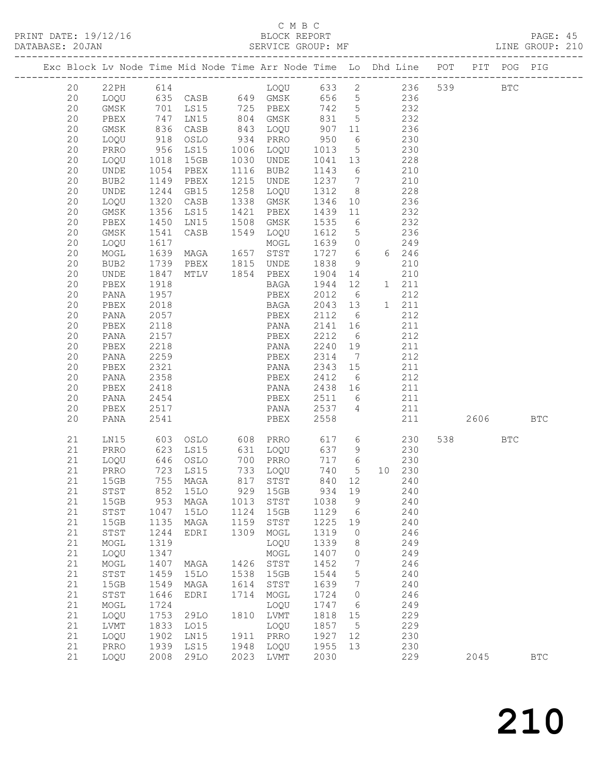#### C M B C<br>BLOCK REPORT

PRINT DATE: 19/12/16 BLOCK REPORT BATABASE: 20JAN BLOCK REPORT

PAGE: 45<br>LINE GROUP: 210

|  |          |              |              |                         |              |                      |                 |                                    | Exc Block Lv Node Time Mid Node Time Arr Node Time Lo Dhd Line POT |         | PIT POG PIG |              |
|--|----------|--------------|--------------|-------------------------|--------------|----------------------|-----------------|------------------------------------|--------------------------------------------------------------------|---------|-------------|--------------|
|  | 20       |              |              |                         |              |                      |                 |                                    |                                                                    | 539 BTC |             |              |
|  | 20       |              |              |                         |              |                      |                 |                                    |                                                                    |         |             |              |
|  | 20       | GMSK         |              | 701 LS15 725 PBEX 742 5 |              |                      |                 |                                    | 232                                                                |         |             |              |
|  | 20       | PBEX         | 747          | LN15                    |              | 804 GMSK             | 831             | $5\overline{)}$                    | 232                                                                |         |             |              |
|  | 20       | GMSK         | 836<br>918   | CASB                    |              | 843 LOQU<br>934 PRRO | 907 11<br>950 6 |                                    | 236                                                                |         |             |              |
|  | 20<br>20 | LOQU<br>PRRO | 956          | OSLO<br>LS15            |              | 1006 LOQU            | 1013            | $6\overline{6}$<br>$5\overline{)}$ | 230<br>230                                                         |         |             |              |
|  | 20       | LOQU         | 1018         | 15GB                    |              | 1030 UNDE            | 1041 13         |                                    | 228                                                                |         |             |              |
|  | 20       | UNDE         | 1054         | PBEX                    |              | 1116 BUB2            | 1143            | 6                                  | 210                                                                |         |             |              |
|  | 20       | BUB2         | 1149         | PBEX                    |              | 1215 UNDE            | 1237 7          |                                    | 210                                                                |         |             |              |
|  | 20       | UNDE         | 1244         | GB15                    | 1258         | LOQU                 | 1312            | 8 <sup>8</sup>                     | 228                                                                |         |             |              |
|  | 20       | LOQU         | 1320         | CASB                    |              | 1338 GMSK            | 1346 10         |                                    | 236                                                                |         |             |              |
|  | 20       | GMSK         | 1356         | LS15                    | 1421         | PBEX                 | 1439            | 11                                 | 232                                                                |         |             |              |
|  | 20       | PBEX         | 1450         | LN15                    | 1508         | GMSK                 | 1535            | $6\overline{6}$                    | 232                                                                |         |             |              |
|  | 20       | GMSK         | 1541         | CASB                    |              | 1549 LOQU            | 1612            | $5\overline{)}$                    | 236                                                                |         |             |              |
|  | 20       | LOQU         | 1617         |                         |              | MOGL                 | 1639            | $\overline{0}$                     | 249                                                                |         |             |              |
|  | 20       | MOGL         | 1639         | MAGA 1657 STST          |              |                      | 1727 6          |                                    | 6 246                                                              |         |             |              |
|  | 20       | BUB2         | 1739         |                         |              |                      | 1838            | 9                                  | 210                                                                |         |             |              |
|  | 20       | UNDE         | 1847         |                         |              |                      | 1904 14         |                                    | 210                                                                |         |             |              |
|  | 20       | PBEX         | 1918         |                         |              | BAGA                 | 1944 12         |                                    | 1 211                                                              |         |             |              |
|  | 20       | PANA         | 1957         |                         |              | PBEX                 | 2012            | 6                                  | 212                                                                |         |             |              |
|  | 20       | PBEX         | 2018         |                         |              | BAGA                 | 2043 13         |                                    | 1 211<br>212                                                       |         |             |              |
|  | 20<br>20 | PANA<br>PBEX | 2057<br>2118 |                         |              | PBEX<br>PANA         | 2112<br>2141 16 | 6                                  | 211                                                                |         |             |              |
|  | 20       | PANA         | 2157         |                         |              | PBEX                 | 2212            | $6\overline{6}$                    | 212                                                                |         |             |              |
|  | 20       | PBEX         | 2218         |                         |              | PANA                 | 2240 19         |                                    | 211                                                                |         |             |              |
|  | 20       | PANA         | 2259         |                         |              | PBEX                 | 2314            | $\overline{7}$                     | 212                                                                |         |             |              |
|  | 20       | PBEX         | 2321         |                         |              | PANA 2343 15         |                 |                                    | 211                                                                |         |             |              |
|  | 20       | PANA         | 2358         |                         |              | PBEX                 | 2412            | 6                                  | 212                                                                |         |             |              |
|  | 20       | PBEX         | 2418         |                         |              | PANA                 | 2438 16         |                                    | 211                                                                |         |             |              |
|  | 20       | PANA         | 2454         |                         |              | PBEX                 | 2438<br>2511    | 6                                  | 211                                                                |         |             |              |
|  | 20       | PBEX         | 2517         |                         |              | PANA 2537            |                 | $\overline{4}$                     | 211                                                                |         |             |              |
|  | 20       | PANA         | 2541         |                         |              | PBEX                 | 2558            |                                    | 211                                                                | 2606    |             | <b>BTC</b>   |
|  | 21       | LN15         | 603          |                         |              | OSLO 608 PRRO        | 617 6           |                                    | 230                                                                | 538 33  | <b>BTC</b>  |              |
|  | 21       | PRRO         |              | 623 LS15                |              | 631 LOQU             | 637 9           |                                    | 230                                                                |         |             |              |
|  | 21       | LOQU         |              | 646 OSLO                |              | 700 PRRO             | 717 6           |                                    | 230                                                                |         |             |              |
|  | 21       | PRRO         |              | 723 LS15                |              | 733 LOQU             |                 |                                    | 740 5 10 230                                                       |         |             |              |
|  | 21       | 15GB         |              | 755 MAGA                |              | 817 STST             | 840 12          |                                    | 240                                                                |         |             |              |
|  | 21       | STST         |              |                         |              |                      |                 |                                    | 852 15LO 929 15GB 934 19 240                                       |         |             |              |
|  | 21       | 15GB         |              | 953 MAGA                | 1013         | STST                 | 1038            | 9                                  | 240                                                                |         |             |              |
|  | 21       | STST         | 1047         | 15LO                    | 1124         | 15GB                 | 1129<br>1225    | $6\overline{6}$                    | 240                                                                |         |             |              |
|  | 21<br>21 | 15GB<br>STST | 1135<br>1244 | MAGA<br>EDRI            | 1159<br>1309 | STST<br>MOGL         | 1319            | 19<br>$\overline{0}$               | 240<br>246                                                         |         |             |              |
|  | 21       | MOGL         | 1319         |                         |              | LOQU                 | 1339            | 8                                  | 249                                                                |         |             |              |
|  | 21       | LOQU         | 1347         |                         |              | MOGL                 | 1407            | $\circ$                            | 249                                                                |         |             |              |
|  | 21       | MOGL         | 1407         | MAGA                    | 1426         | STST                 | 1452            | 7                                  | 246                                                                |         |             |              |
|  | 21       | ${\tt STST}$ | 1459         | 15LO                    | 1538         | 15GB                 | 1544            | $5\phantom{.0}$                    | 240                                                                |         |             |              |
|  | 21       | 15GB         | 1549         | MAGA                    | 1614         | STST                 | 1639            | $7\phantom{.0}\phantom{.0}7$       | 240                                                                |         |             |              |
|  | 21       | STST         | 1646         | EDRI                    | 1714         | MOGL                 | 1724            | $\circ$                            | 246                                                                |         |             |              |
|  | 21       | MOGL         | 1724         |                         |              | LOQU                 | 1747            | 6                                  | 249                                                                |         |             |              |
|  | 21       | LOQU         | 1753         | 29LO                    |              | 1810 LVMT            | 1818            | 15                                 | 229                                                                |         |             |              |
|  | 21       | LVMT         | 1833         | LO15                    |              | LOQU                 | 1857            | $5^{\circ}$                        | 229                                                                |         |             |              |
|  | 21       | LOQU         | 1902         | LN15                    | 1911         | PRRO                 | 1927            | 12                                 | 230                                                                |         |             |              |
|  | 21       | PRRO         | 1939         | LS15                    | 1948         | LOQU                 | 1955            | 13                                 | 230                                                                |         |             |              |
|  | 21       | LOQU         |              | 2008 29LO               |              | 2023 LVMT            | 2030            |                                    | 229                                                                | 2045    |             | $_{\rm BTC}$ |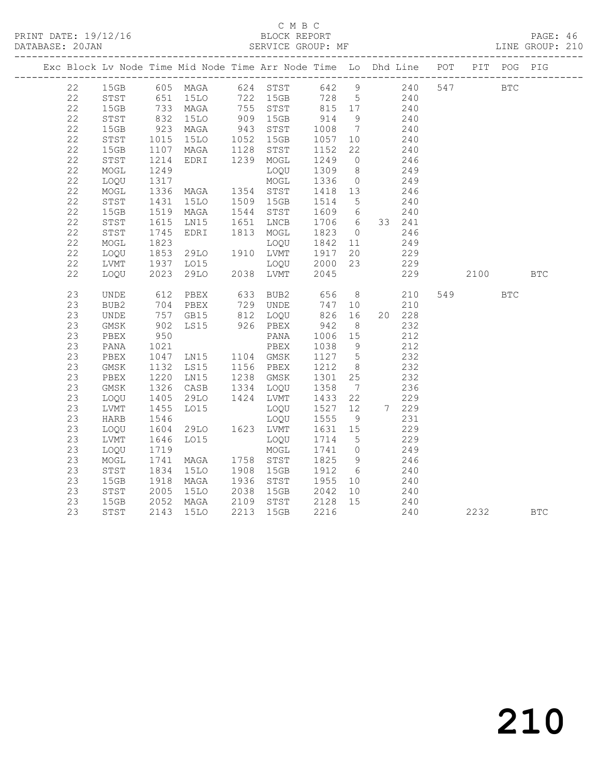#### C M B C DATABASE: 20JAN SERVICE GROUP: MF LINE GROUP: 210

| Exc Block Lv Node Time Mid Node Time Arr Node Time Lo Dhd Line POT PIT POG PIG |                  |               |                                  |                                                                                |                   |                 |     |        |      |            |            |
|--------------------------------------------------------------------------------|------------------|---------------|----------------------------------|--------------------------------------------------------------------------------|-------------------|-----------------|-----|--------|------|------------|------------|
| 22                                                                             |                  |               |                                  | 15GB 605 MAGA 624 STST 642 9 240 547 BTC                                       |                   |                 |     |        |      |            |            |
| 22                                                                             | STST             |               | 651 15LO<br>733 MAGA<br>832 15LO | 15LO 722 15GB 728 5 240<br>MAGA 755 STST 815 17 240<br>15LO 909 15GB 914 9 240 |                   |                 |     |        |      |            |            |
| 22                                                                             | 15GB             |               |                                  |                                                                                |                   |                 |     |        |      |            |            |
| 22                                                                             | STST             |               |                                  |                                                                                |                   |                 |     | 240    |      |            |            |
| 22                                                                             | 15GB             | $923$<br>1015 | MAGA                             | 943 STST                                                                       | 1008 7<br>1057 10 |                 |     | 240    |      |            |            |
| 22                                                                             | STST             |               | 15LO 1052 15GB                   |                                                                                | 1057 10           |                 |     | 240    |      |            |            |
| 22                                                                             | 15GB             | 1107          | MAGA 1128 STST                   |                                                                                | 1152 22           |                 |     | 240    |      |            |            |
| 22                                                                             | ${\tt STST}$     | 1214<br>1249  | EDRI 1239 MOGL                   |                                                                                | 1249              | $\overline{0}$  |     | 246    |      |            |            |
| 22                                                                             | MOGL             |               |                                  | LOQU                                                                           | 1309              | 8 <sup>8</sup>  |     | 249    |      |            |            |
| 22                                                                             | LOQU             | 1317          |                                  | MOGL                                                                           | 1336              | $\overline{0}$  | 249 |        |      |            |            |
| 22                                                                             | MOGL             | 1336<br>1431  | MAGA 1354 STST<br>15LO 1509 15GB |                                                                                | 1418 13           |                 |     | 246    |      |            |            |
| 22                                                                             | STST             |               |                                  |                                                                                | 1514 5            |                 |     | 240    |      |            |            |
| 22                                                                             | 15GB             |               | 1519 MAGA 1544 STST              |                                                                                | 1609 6            |                 |     | 240    |      |            |            |
| 22                                                                             | STST             | 1615<br>1745  | LN15                             | 1651 LNCB                                                                      | 1706 6 33 241     |                 |     |        |      |            |            |
| 22                                                                             | STST             |               | EDRI                             | 1813 MOGL                                                                      | 1823 0 246        |                 |     |        |      |            |            |
| 22                                                                             | MOGL             | 1823          |                                  | LOQU                                                                           | 1842 11           |                 |     | 249    |      |            |            |
| 22                                                                             | LOQU             | 1853<br>1937  | 29LO                             | 1910 LVMT 1917 20<br>LOQU 2000 23                                              |                   |                 |     | 229    |      |            |            |
| 22                                                                             | LVMT             |               | LO15                             |                                                                                |                   |                 |     | 229    |      |            |            |
| 22                                                                             | LOQU             | 2023          |                                  | 29LO 2038 LVMT                                                                 | 2045              |                 |     | 229    | 2100 |            | <b>BTC</b> |
| 23                                                                             | UNDE             | 612           | PBEX                             | 633 BUB2                                                                       | 656               |                 |     | 8 210  | 549  | <b>BTC</b> |            |
| 23                                                                             | BUB <sub>2</sub> |               |                                  | 729 UNDE                                                                       | 747               |                 | 10  | 210    |      |            |            |
| 23                                                                             | UNDE             |               |                                  |                                                                                |                   |                 |     | 20 228 |      |            |            |
| 23                                                                             | GMSK             |               | 704 PBEA<br>757 GB15<br>902 LS15 | 812   LOQU<br>926    PBEX                                                      | 826 16<br>942 8   |                 |     | 232    |      |            |            |
| 23                                                                             | PBEX             | 950           |                                  | PANA                                                                           | 1006 15           |                 |     | 212    |      |            |            |
| 23                                                                             | PANA             | 1021          |                                  | PBEX                                                                           | 1038              | 9               |     | 212    |      |            |            |
| 23                                                                             | PBEX             | 1047          | LN15 1104 GMSK                   |                                                                                | 1127 5            |                 |     | 232    |      |            |            |
| 23                                                                             | GMSK             |               | LS15 1156 PBEX                   |                                                                                | 1212              | 8 <sup>8</sup>  |     | 232    |      |            |            |
| 23                                                                             | PBEX             | 1132<br>1220  | LNI5                             | 1238 GMSK                                                                      | 1301 25           |                 |     | 232    |      |            |            |
| 23                                                                             | GMSK             | 1326          | CASB                             | 1334 LOQU                                                                      | 1358              | $7\overline{ }$ |     | 236    |      |            |            |
| 23                                                                             | LOQU             | 1405<br>1455  | 29LO                             | 1424 LVMT                                                                      | 1433              | 22              |     | 229    |      |            |            |
| 23                                                                             | LVMT             |               | L015                             | LOQU                                                                           | 1527              | 12              |     | 7 229  |      |            |            |
| 23                                                                             | HARB             | 1546          |                                  | LOQU                                                                           | 1555              | 9               |     | 231    |      |            |            |
| 23                                                                             | LOOU             | 1604<br>1646  | 29LO 1623 LVMT                   |                                                                                | 1631 15           |                 |     | 229    |      |            |            |
| 23                                                                             | LVMT             |               | LO15                             | LOQU                                                                           | 1714 5            |                 |     | 229    |      |            |            |
| 23                                                                             | LOQU             | 1719          |                                  | MOGL                                                                           | 1741 0            |                 |     | 249    |      |            |            |
| 23                                                                             | MOGL             | 1741<br>1834  | MAGA                             | 1758 STST                                                                      | 1825              | 9               |     | 246    |      |            |            |
| 23                                                                             | STST             |               | 15LO                             | 1908 15GB                                                                      | 1912 6            |                 |     | 240    |      |            |            |
| 23                                                                             | 15GB             | 1918          | MAGA                             | 1936 STST 1955 10                                                              |                   |                 | 240 |        |      |            |            |
| 23                                                                             | STST             | 2005<br>2052  | 15LO                             | 2038 15GB<br>2038 15GB 2042 10<br>2109 STST 2128 15                            | 2042              | 10              |     | 240    |      |            |            |
| 23                                                                             | 15GB             |               | MAGA                             |                                                                                |                   |                 |     | 240    |      |            |            |
| 23                                                                             | STST             |               | 2143 15LO                        | 2213 15GB                                                                      | 2216              |                 |     | 240    | 2232 |            | <b>BTC</b> |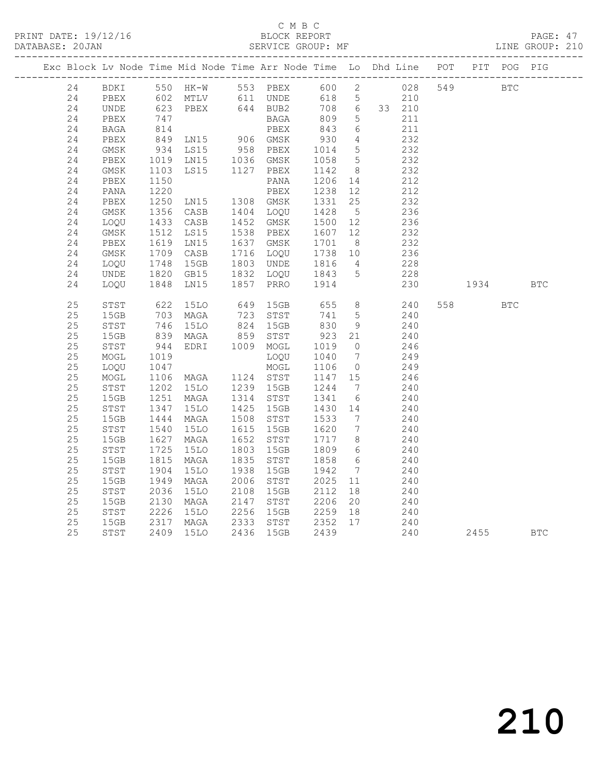PRINT DATE: 19/12/16 BLOCK REPORT BATABASE: 20JAN

#### C M B C<br>BLOCK REPORT

PAGE: 47<br>LINE GROUP: 210

| Exc Block Lv Node Time Mid Node Time Arr Node Time Lo Dhd Line POT PIT POG PIG |             |                                     |                                                       |      |                        |            |                 |            |     |            |            |            |
|--------------------------------------------------------------------------------|-------------|-------------------------------------|-------------------------------------------------------|------|------------------------|------------|-----------------|------------|-----|------------|------------|------------|
| 24                                                                             |             |                                     |                                                       |      | BDKI 550 HK-W 553 PBEX |            |                 | 600 2 028  | 549 | <b>BTC</b> |            |            |
| 24                                                                             | PBEX        |                                     | 602 MTLV      611 UNDE<br>623   PBEX       644   BUB2 |      |                        | 618 5      |                 | 210        |     |            |            |            |
| 24                                                                             | UNDE        |                                     |                                                       |      |                        | 708 6      |                 | 33 210     |     |            |            |            |
| 24                                                                             | PBEX        | $\frac{814}{210}$                   |                                                       |      | BAGA                   | 809        | $5\overline{)}$ | 211        |     |            |            |            |
| 24                                                                             | BAGA        |                                     |                                                       |      | PBEX                   | 843        | $6\overline{6}$ | 211        |     |            |            |            |
| 24                                                                             | PBEX        | 849                                 | LN15 906 GMSK                                         |      |                        | 930        | $\overline{4}$  | 232        |     |            |            |            |
| 24                                                                             | GMSK        | 934                                 | LS15 958 PBEX<br>LN15 1036 GMSK                       |      |                        | 1014       | 5               | 232        |     |            |            |            |
| 24                                                                             | PBEX        | 1019                                |                                                       |      |                        | 1058       | $5\overline{)}$ | 232        |     |            |            |            |
| 24                                                                             | GMSK        | 1103                                | LS15 1127 PBEX                                        |      |                        | 1142       | 8 <sup>8</sup>  | 232        |     |            |            |            |
| 24                                                                             | PBEX        | 1150                                |                                                       |      | PANA                   | 1206       | 14              | 212        |     |            |            |            |
| 24                                                                             | PANA        | 1220                                |                                                       |      | PBEX                   | 1238       | 12              | 212        |     |            |            |            |
| 24                                                                             | PBEX        | 1250                                | LN15 1308 GMSK                                        |      |                        | 1331       | 25              | 232        |     |            |            |            |
| 24                                                                             | GMSK        | 1356                                | CASB                                                  |      | 1404 LOQU              | 1428       | $5\overline{)}$ | 236        |     |            |            |            |
| 24                                                                             | LOQU        | 1433<br>1512                        | CASB                                                  |      | 1452 GMSK              | 1500       | 12              | 236        |     |            |            |            |
| 24                                                                             | $\rm{GMSK}$ |                                     | LS15                                                  |      | 1538 PBEX              | 1607       | 12              | 232        |     |            |            |            |
| 24                                                                             | PBEX        | 1619<br>1709<br>1748                | LN15                                                  |      | 1637 GMSK              | 1701       | 8 <sup>8</sup>  | 232        |     |            |            |            |
| 24                                                                             | GMSK        |                                     | CASB                                                  |      | 1716 LOQU              | 1738 10    |                 | 236<br>228 |     |            |            |            |
| 24                                                                             | LOOU        |                                     | 15GB                                                  |      | 1803 UNDE              | 1816       | $\overline{4}$  |            |     |            |            |            |
| 24                                                                             | UNDE        | 1820<br>1848                        | GB15                                                  |      | 1832 LOQU              | 1843       | 5 <sup>5</sup>  | 228        |     |            |            |            |
| 24                                                                             | LOQU        |                                     | LN15                                                  |      | 1857 PRRO              | 1914       |                 | 230        |     | 1934 BTC   |            |            |
| 25                                                                             | STST        | 622                                 | 15LO                                                  |      | 649 15GB               | 655        |                 | 8 240      |     | 558 30     | <b>BTC</b> |            |
| 25                                                                             | 15GB        | 703                                 | MAGA                                                  |      | 723 STST               | 741        | $5^{\circ}$     | 240        |     |            |            |            |
| 25                                                                             | STST        |                                     | <b>15LO</b>                                           |      | 824 15GB<br>859 STST   | 830<br>923 | 9               | 240        |     |            |            |            |
| 25                                                                             | 15GB        | $\frac{1}{839}$<br>$\frac{839}{14}$ | MAGA                                                  |      |                        |            | 21              | 240        |     |            |            |            |
| 25                                                                             | STST        | 944                                 | EDRI 1009 MOGL                                        |      |                        | 1019       | $\overline{0}$  | 246        |     |            |            |            |
| 25                                                                             | MOGL        | 1019                                |                                                       |      | LOOU                   | 1040       | $\overline{7}$  | 249        |     |            |            |            |
| 25                                                                             | LOQU        | 1047                                |                                                       |      | MOGL                   | 1106       | $\overline{0}$  | 249        |     |            |            |            |
| 25                                                                             | MOGL        | 1106<br>1202                        | MAGA 1124 STST<br>15LO 1239 15GB                      |      |                        | 1147 15    |                 | 246        |     |            |            |            |
| 25                                                                             | STST        |                                     |                                                       |      |                        | 1244       | $\overline{7}$  | 240        |     |            |            |            |
| 25                                                                             | 15GB        | 1251<br>1347                        | MAGA                                                  |      | 1314 STST              | 1341       | 6               | 240        |     |            |            |            |
| 25                                                                             | STST        | 1347                                | <b>15LO</b>                                           |      | 1425 15GB              | 1430 14    |                 | 240        |     |            |            |            |
| 25                                                                             | 15GB        | 1444                                | MAGA                                                  |      | 1508 STST              | 1533       | $\overline{7}$  | 240        |     |            |            |            |
| 25                                                                             | STST        | 1540<br>1627                        | 15LO                                                  | 1615 | 15GB                   | 1620       | $\overline{7}$  | 240        |     |            |            |            |
| 25                                                                             | 15GB        | 1627                                | MAGA                                                  | 1652 | STST                   | 1717 8     |                 | 240        |     |            |            |            |
| 25                                                                             | STST        | 1725                                | <b>15LO</b>                                           | 1803 | 15GB                   | 1809       | 6               | 240        |     |            |            |            |
| 25                                                                             | 15GB        | 1815                                | MAGA                                                  |      | 1835 STST              | 1858       | $6\overline{6}$ | 240        |     |            |            |            |
| 25                                                                             | STST        | 1904                                | <b>15LO</b>                                           | 1938 | 15GB                   | 1942       | $\overline{7}$  | 240        |     |            |            |            |
| 25                                                                             | 15GB        | 1949                                | MAGA                                                  |      | 2006 STST              | 2025       | 11              | 240        |     |            |            |            |
| 25                                                                             | STST        | 2036                                | 15LO                                                  | 2108 | 15GB                   | 2112       | 18              | 240        |     |            |            |            |
| 25                                                                             | 15GB        | 2130                                | MAGA                                                  | 2147 | STST                   | 2206       | 20              | 240        |     |            |            |            |
| 25                                                                             | STST        | 2226<br>2317                        | 15LO                                                  |      | 2256 15GB              | 2259 18    |                 | 240        |     |            |            |            |
| 25                                                                             | 15GB        |                                     | MAGA                                                  |      | 2333 STST              | 2352 17    |                 | 240        |     |            |            |            |
| 25                                                                             | STST        | 2409                                | <b>15LO</b>                                           | 2436 | 15GB                   | 2439       |                 | 240        |     | 2455       |            | <b>BTC</b> |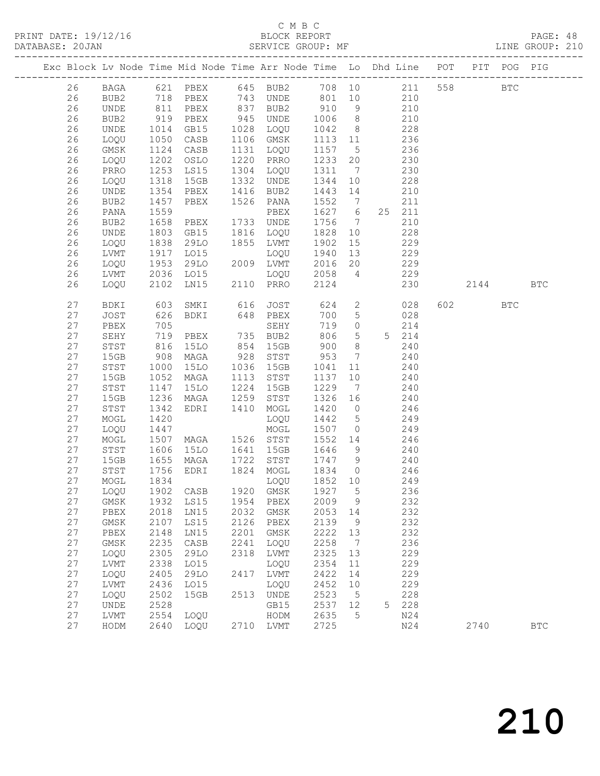#### C M B C DATABASE: 20JAN SERVICE GROUP: MF LINE GROUP: 210

|  |          |                  |                      |                  |      | Exc Block Lv Node Time Mid Node Time Arr Node Time Lo Dhd Line POT         |                   |                 |                |            |          | PIT POG PIG |            |
|--|----------|------------------|----------------------|------------------|------|----------------------------------------------------------------------------|-------------------|-----------------|----------------|------------|----------|-------------|------------|
|  |          |                  |                      |                  |      |                                                                            |                   |                 |                |            |          |             |            |
|  | 26       |                  |                      |                  |      | BAGA 621 PBEX 645 BUB2 708 10 211 558<br>BUB2 718 PBEX 743 UNDE 801 10 210 |                   |                 |                |            |          | <b>BTC</b>  |            |
|  | 26       |                  |                      |                  |      |                                                                            |                   |                 |                |            |          |             |            |
|  | 26       | UNDE             |                      | 811 PBEX         |      | 837 BUB2                                                                   | 910 9 210         |                 |                |            |          |             |            |
|  | 26       | BUB <sub>2</sub> | 919                  | PBEX             |      | 945 UNDE                                                                   | 1006              | 8 <sup>8</sup>  | 210            |            |          |             |            |
|  | 26       | UNDE             | 1014<br>1050         | GB15             |      | 1028 LOQU                                                                  | 1042              | 8 <sup>8</sup>  |                | 228        |          |             |            |
|  | 26       | LOQU             | 1124                 | CASB             |      | 1106 GMSK                                                                  | 1113 11           |                 | 236            | 236        |          |             |            |
|  | 26       | GMSK             |                      | CASB             |      | 1131 LOQU<br>1220 PRRO                                                     | 1157 5<br>1233 20 |                 |                |            |          |             |            |
|  | 26<br>26 | LOQU<br>PRRO     | 1202                 | OSLO<br>LS15     |      | 1304 LOQU                                                                  | 1311 7            |                 |                | 230<br>230 |          |             |            |
|  | 26       | LOQU             | 1253<br>1318         | 15GB             |      | 1332 UNDE                                                                  | 1344              | 10              |                | 228        |          |             |            |
|  | 26       | UNDE             | 1354                 | PBEX             |      | 1416 BUB2                                                                  | 1443 14           |                 |                | 210        |          |             |            |
|  | 26       | BUB2             | 1457                 | PBEX             |      | 1526 PANA                                                                  | 1552              | $7\overline{ }$ |                | 211        |          |             |            |
|  | 26       | PANA             |                      |                  |      | PBEX                                                                       | 1627 6            |                 |                | 25 211     |          |             |            |
|  | 26       | BUB2             | 1559<br>1658         | PBEX             |      | 1733 UNDE                                                                  | 1756              | $7\overline{ }$ |                | 210        |          |             |            |
|  | 26       | UNDE             | 1803                 | GB15             |      | 1816 LOQU                                                                  | 1828              | 10              |                | 228        |          |             |            |
|  | 26       | LOQU             | 1838                 | 29LO             |      | 1855 LVMT                                                                  | 1902              | 15              |                | 229        |          |             |            |
|  | 26       | LVMT             |                      | L015             |      | LOQU                                                                       | 1940              | 13              |                | 229        |          |             |            |
|  | 26       | LOQU             | 1917<br>1953         | LO15<br>29LO     |      | 2009 LVMT                                                                  | 2016 20           |                 |                | 229        |          |             |            |
|  | 26       | LVMT             | 2036                 | LO15             |      | $\frac{1000}{2058}$ 4                                                      |                   |                 |                | 229        |          |             |            |
|  | 26       | LOQU             | 2102                 |                  |      | LN15 2110 PRRO                                                             | 2124              |                 |                | 230        | 2144 BTC |             |            |
|  | 27       | BDKI             | 603                  |                  |      | SMKI 616 JOST                                                              |                   |                 |                | 624 2 028  | 602 000  | BTC         |            |
|  | 27       | JOST             | 626                  | BDKI             |      | $648$ PBEX                                                                 | 700               | 5 <sup>5</sup>  |                | 028        |          |             |            |
|  | 27       | PBEX             | 705                  |                  |      | SEHY                                                                       | 719               |                 | $\overline{0}$ | 214        |          |             |            |
|  | 27       | SEHY             |                      | PBEX             |      | 735 BUB2                                                                   | 806               | 5 <sup>5</sup>  |                | 5 214      |          |             |            |
|  | 27       | STST             | 719<br>816<br>908    | 15LO             |      | 854 15GB                                                                   | 900               | 8 <sup>8</sup>  |                | 240        |          |             |            |
|  | 27       | 15GB             |                      | MAGA             |      | 928 STST                                                                   | $-953$            | $\overline{7}$  |                | 240        |          |             |            |
|  | 27       | STST             | 1000                 | 15LO             |      | 1036 15GB                                                                  | 1041              | 11              |                | 240        |          |             |            |
|  | 27       | 15GB             | 1052                 | MAGA             | 1113 | STST                                                                       | 1137              | 10              |                | 240        |          |             |            |
|  | 27       | STST             | $11.$<br>1236<br>242 | 15LO             | 1224 | 15GB                                                                       | 1229              | $\overline{7}$  |                | 240        |          |             |            |
|  | 27       | 15GB             |                      | MAGA             | 1259 | STST                                                                       | 1326 16           |                 |                | 240        |          |             |            |
|  | 27       | STST             | 1342                 | EDRI             | 1410 | MOGL                                                                       | 1420 0            |                 | 246            |            |          |             |            |
|  | 27       | MOGL             | 1420                 |                  |      | LOQU                                                                       | 1442 5            |                 |                | 249        |          |             |            |
|  | 27       | LOQU             | 1447<br>1507         |                  |      | MOGL                                                                       | 1507 0            |                 |                | 249        |          |             |            |
|  | 27       | MOGL             |                      |                  |      |                                                                            | 1552 14           |                 |                | 246        |          |             |            |
|  | 27       | STST             | 1606                 | 15LO  1641  15GB |      |                                                                            | 1646 9            |                 | 240            |            |          |             |            |
|  | 27       | 15GB             | 1655                 | MAGA 1722 STST   |      |                                                                            | 1747 9            |                 |                | 240        |          |             |            |
|  | 27<br>27 | STST<br>MOGL     | 1756<br>1834         | EDRI             |      | 1824 MOGL<br>LOQU                                                          | 1834<br>1852 10   | $\overline{0}$  |                | 246<br>249 |          |             |            |
|  | 27       | LOQU 1902 CASB   |                      |                  |      | 1920 GMSK 1927 5                                                           |                   |                 |                | 236        |          |             |            |
|  | 27       | <b>GMSK</b>      | 1932                 | LS15             | 1954 | PBEX                                                                       | 2009              | 9               |                | 232        |          |             |            |
|  | 27       | PBEX             | 2018                 | LN15             | 2032 | GMSK                                                                       | 2053              | 14              |                | 232        |          |             |            |
|  | 27       | GMSK             | 2107                 | LS15             | 2126 | PBEX                                                                       | 2139              | $\overline{9}$  |                | 232        |          |             |            |
|  | 27       | PBEX             | 2148                 | LN15             | 2201 | GMSK                                                                       | 2222              | 13              |                | 232        |          |             |            |
|  | 27       | GMSK             | 2235                 | CASB             | 2241 | LOQU                                                                       | 2258              | $\overline{7}$  |                | 236        |          |             |            |
|  | 27       | LOQU             | 2305                 | 29LO             | 2318 | LVMT                                                                       | 2325              | 13              |                | 229        |          |             |            |
|  | 27       | LVMT             | 2338                 | L015             |      | LOQU                                                                       | 2354              | 11              |                | 229        |          |             |            |
|  | 27       | LOQU             | 2405                 | 29LO             | 2417 | LVMT                                                                       | 2422              | 14              |                | 229        |          |             |            |
|  | 27       | LVMT             | 2436                 | LO15             |      | LOQU                                                                       | 2452              | 10              |                | 229        |          |             |            |
|  | 27       | LOQU             | 2502                 | 15GB             | 2513 | UNDE                                                                       | 2523              | 5               |                | 228        |          |             |            |
|  | 27       | UNDE             | 2528                 |                  |      | GB15                                                                       | 2537              | 12              | 5              | 228        |          |             |            |
|  | 27       | LVMT             | 2554                 | LOQU             |      | HODM                                                                       | 2635              | 5               |                | N24        |          |             |            |
|  | 27       | HODM             | 2640                 | LOQU             |      | 2710 LVMT                                                                  | 2725              |                 |                | N24        | 2740     |             | <b>BTC</b> |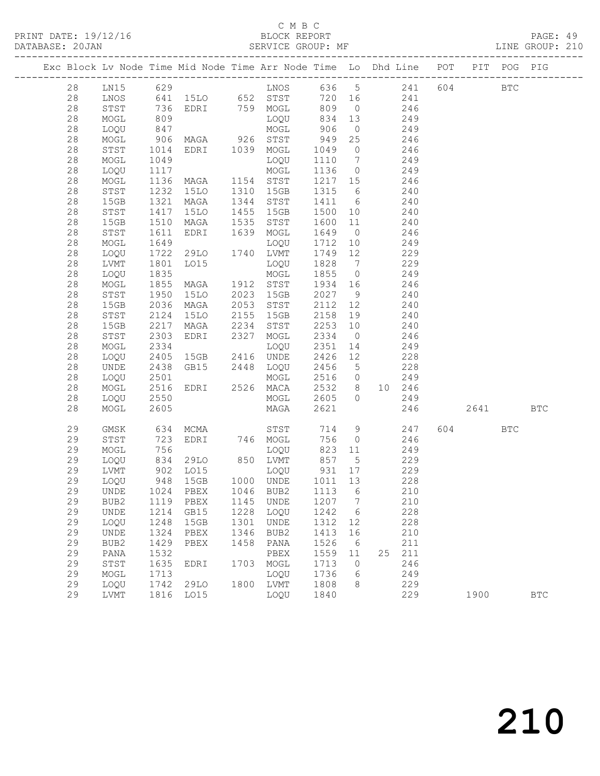| DATABASE: 20JAN |    |      |                      |                                                                                |      |                              |                           |                |            |                  |          |              |  |
|-----------------|----|------|----------------------|--------------------------------------------------------------------------------|------|------------------------------|---------------------------|----------------|------------|------------------|----------|--------------|--|
|                 |    |      |                      | Exc Block Lv Node Time Mid Node Time Arr Node Time Lo Dhd Line POT PIT POG PIG |      |                              |                           |                |            |                  |          |              |  |
|                 | 28 |      |                      | LN15 629 LNOS 636 5 241 604 BTC                                                |      |                              |                           |                |            |                  |          |              |  |
|                 | 28 | LNOS |                      | 641 15LO 652 STST 720 16 241                                                   |      |                              |                           |                |            |                  |          |              |  |
|                 | 28 | STST |                      |                                                                                |      |                              |                           |                |            |                  |          |              |  |
|                 | 28 | MOGL |                      |                                                                                |      |                              |                           |                |            |                  |          |              |  |
|                 | 28 | LOQU |                      |                                                                                |      |                              |                           |                |            |                  |          |              |  |
|                 | 28 | MOGL | 906                  | MAGA 926 STST                                                                  |      |                              | 949                       |                | 25 246     |                  |          |              |  |
|                 | 28 | STST | 1014                 | EDRI 1039 MOGL                                                                 |      |                              | 1049 0 246                |                |            |                  |          |              |  |
|                 | 28 | MOGL | 1049<br>1117         |                                                                                |      | LOQU                         | 1110 7                    |                |            | 249              |          |              |  |
|                 | 28 | LOQU |                      |                                                                                |      |                              | 113600249                 |                |            |                  |          |              |  |
|                 | 28 | MOGL |                      |                                                                                |      |                              | 1217 15 246               |                |            |                  |          |              |  |
|                 | 28 | STST | 1232                 | 15LO 1310 15GB                                                                 |      |                              | 1315 6                    |                | 240        |                  |          |              |  |
|                 | 28 | 15GB | 1321<br>1417         | MAGA                                                                           |      | 1344 STST                    | 1411 6 240<br>1500 10 240 |                |            |                  |          |              |  |
|                 | 28 | STST |                      | 15LO                                                                           |      | 1455 15GB                    |                           |                |            |                  |          |              |  |
|                 | 28 | 15GB | 1510                 | MAGA 1535 STST                                                                 |      |                              | 1600 11 240               |                |            |                  |          |              |  |
|                 | 28 | STST | 1611                 | EDRI                                                                           |      | 1639 MOGL                    | 1649 0 246                |                |            |                  |          |              |  |
|                 | 28 | MOGL | 1649<br>1649<br>1722 | LOQU<br>29LO 1740 LVMT                                                         |      |                              | $1712 - 10$               |                |            | $\frac{18}{249}$ |          |              |  |
|                 | 28 | LOQU |                      |                                                                                |      |                              | 1749 12                   |                |            | 229              |          |              |  |
|                 | 28 | LVMT | 1801                 | LO15                                                                           |      | LOQU                         | 1828 7 229                |                |            |                  |          |              |  |
|                 | 28 | LOQU | 1835                 |                                                                                |      | MOGL                         | 1855 0                    |                | 249        |                  |          |              |  |
|                 | 28 | MOGL | 1855<br>1950         | MAGA 1912 STST                                                                 |      |                              | 1934 16                   |                | 246        |                  |          |              |  |
|                 | 28 | STST |                      | 15LO 2023 15GB                                                                 |      |                              | 2027 9                    |                |            | 240              |          |              |  |
|                 | 28 | 15GB | 2036                 | MAGA                                                                           |      | 2053 STST                    | 2112 12 240               |                |            |                  |          |              |  |
|                 | 28 | STST | 2124                 | 15LO                                                                           |      | 2155 15GB                    | 2158 19                   |                | 240        |                  |          |              |  |
|                 | 28 | 15GB | 2217                 | MAGA 2234 STST<br>EDRI 2327 MOGL<br>LOQU<br>15GB 2416 UNDE                     |      |                              | 2253                      | 10             | 240        |                  |          |              |  |
|                 | 28 | STST | 2303                 |                                                                                |      |                              | 2334 0                    |                | 249        | 246              |          |              |  |
|                 | 28 | MOGL | 2334                 |                                                                                |      |                              | 2351                      | 14             |            |                  |          |              |  |
|                 | 28 | LOQU | 2405                 |                                                                                |      |                              | 2426 12                   |                | 228        |                  |          |              |  |
|                 | 28 | UNDE | 2438                 | GB15 2448 LOQU                                                                 |      |                              | 2456 5                    |                |            | 228              |          |              |  |
|                 | 28 | LOQU | 2501<br>2516         |                                                                                |      | MOGL                         | 2516 0                    |                |            | 249              |          |              |  |
|                 | 28 | MOGL |                      |                                                                                |      | EDRI 2526 MACA 2532 8 10 246 |                           |                |            |                  |          |              |  |
|                 | 28 | LOQU | 2550                 |                                                                                |      | MOGL 2605 0 249              |                           |                |            |                  |          |              |  |
|                 | 28 | MOGL | 2605                 |                                                                                |      | MAGA                         | 2621                      |                |            |                  | 246 2641 | <b>BTC</b>   |  |
|                 | 29 | GMSK |                      | 634 MCMA STST                                                                  |      |                              |                           |                |            | 714 9 247        | 604 BTC  |              |  |
|                 | 29 | STST | 723                  |                                                                                |      | EDRI 746 MOGL                |                           |                | 756 0 246  |                  |          |              |  |
|                 | 29 | MOGL | 756                  | 29LO 850 LVMT<br>7.015 BOQU<br>7.015 LOQU                                      |      | LOQU                         |                           |                | 823 11 249 |                  |          |              |  |
|                 | 29 | LOQU |                      | 834 29LO<br>902 LO15                                                           |      |                              | 857 5<br>931 17           |                |            | 229              |          |              |  |
|                 | 29 | LVMT |                      |                                                                                |      |                              |                           |                |            | 229              |          |              |  |
|                 | 29 |      |                      | LOQU 948 15GB 1000 UNDE 1011 13 228                                            |      |                              |                           |                |            |                  |          |              |  |
|                 | 29 | UNDE | 1024                 | PBEX                                                                           | 1046 | BUB2                         | 1113                      | 6              |            | 210              |          |              |  |
|                 | 29 | BUB2 | 1119                 | PBEX                                                                           | 1145 | UNDE                         | 1207                      | $\overline{7}$ |            | 210              |          |              |  |
|                 | 29 | UNDE | 1214                 | GB15                                                                           | 1228 | LOQU                         | 1242                      | 6              |            | 228              |          |              |  |
|                 | 29 | LOQU | 1248                 | 15GB                                                                           | 1301 | UNDE                         | 1312                      | 12             |            | 228              |          |              |  |
|                 | 29 | UNDE | 1324                 | PBEX                                                                           | 1346 | BUB2                         | 1413                      | 16             |            | 210              |          |              |  |
|                 | 29 | BUB2 | 1429                 | PBEX                                                                           | 1458 | PANA                         | 1526                      | 6              |            | 211              |          |              |  |
|                 | 29 | PANA | 1532                 |                                                                                |      | PBEX                         | 1559                      | 11             |            | 25 211           |          |              |  |
|                 | 29 | STST | 1635                 | EDRI                                                                           | 1703 | MOGL                         | 1713<br>1736              | $\overline{0}$ |            | 246              |          |              |  |
|                 | 29 | MOGL | 1713                 |                                                                                |      | LOQU                         |                           | 6              |            | 249              |          |              |  |
|                 | 29 | LOQU | 1742                 | 29LO                                                                           |      | 1800 LVMT                    | 1808                      | 8              |            | 229              |          |              |  |
|                 | 29 | LVMT |                      | 1816 LO15                                                                      |      | LOQU                         | 1840                      |                |            | 229              | 1900     | $_{\rm BTC}$ |  |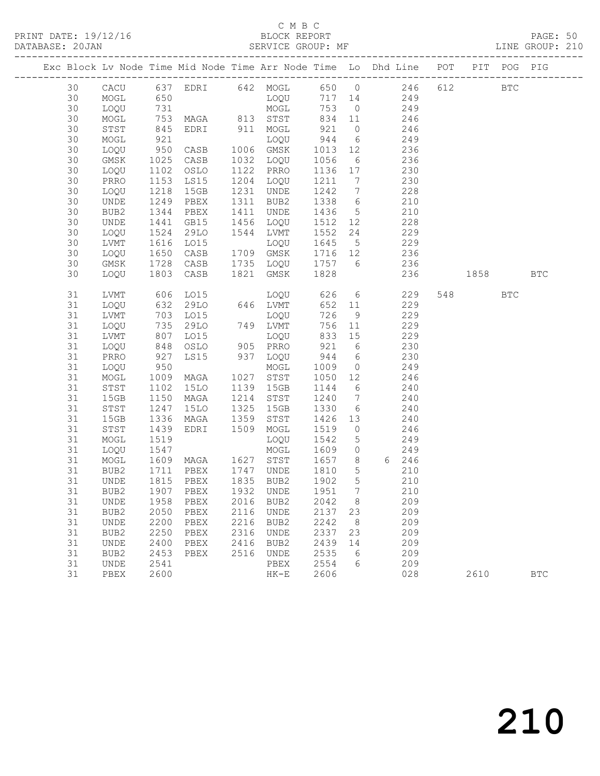PRINT DATE: 19/12/16 BLOCK REPORT BATABASE: 20JAN

#### C M B C<br>BLOCK REPORT

PAGE: 50<br>LINE GROUP: 210

|          |                              |                        |                                    |      |               |                 |                      | Exc Block Lv Node Time Mid Node Time Arr Node Time Lo Dhd Line POT |      |       | PIT POG PIG  |            |
|----------|------------------------------|------------------------|------------------------------------|------|---------------|-----------------|----------------------|--------------------------------------------------------------------|------|-------|--------------|------------|
| 30       | CACU                         |                        |                                    |      |               |                 |                      | 637 EDRI 642 MOGL 650 0 246                                        | 612  |       | $_{\rm BTC}$ |            |
| 30       | MOGL                         |                        |                                    |      |               | $717 \quad 14$  |                      | 249                                                                |      |       |              |            |
| 30       | LOQU                         | 650<br>731             |                                    |      | MOGT<br>TOÕ   |                 | 753 0                | 249                                                                |      |       |              |            |
| 30       | MOGL                         | 753                    |                                    |      | MAGA 813 STST |                 |                      | 834 11 246                                                         |      |       |              |            |
| 30       | STST                         | 845                    | EDRI 911 MOGL                      |      |               | 921             |                      | $0 \t 246$                                                         |      |       |              |            |
| 30       | MOGL                         | 921<br>950             |                                    |      | LOQU          | 944             | $6\overline{6}$      | $-10$<br>249                                                       |      |       |              |            |
| 30       | LOQU                         |                        | CASB                               |      | 1006 GMSK     | 1013 12         |                      | 236                                                                |      |       |              |            |
| 30       | GMSK                         | 1025                   | CASB                               |      | 1032 LOQU     | 1056            | $6\overline{6}$      | 236                                                                |      |       |              |            |
| 30       | LOQU                         | 1102                   | OSLO                               |      | 1122 PRRO     | 1136 17         |                      | 230                                                                |      |       |              |            |
| 30       | PRRO                         | 1153<br>$1132$<br>1218 | LS15                               |      | 1204 LOQU     | 1211 7          |                      | 230                                                                |      |       |              |            |
| 30       | LOQU                         |                        | 15GB                               |      | 1231 UNDE     | 1242            | $7\overline{ }$      | 228                                                                |      |       |              |            |
| 30       | UNDE                         | 1249                   | PBEX                               |      | 1311 BUB2     | 1338 6          |                      | 210                                                                |      |       |              |            |
| 30       | BUB2                         | 1344                   | PBEX                               |      | 1411 UNDE     | 1436 5          |                      | 210                                                                |      |       |              |            |
| 30       | UNDE                         | 1441                   | GB15                               |      | 1456 LOQU     | 1512 12         |                      | 228                                                                |      |       |              |            |
| 30       | LOQU                         | 1524                   | 29LO                               |      | 1544 LVMT     | 1552            | 24                   | 229                                                                |      |       |              |            |
| 30       | LVMT                         | $\frac{1}{1616}$       | LO15                               |      | LOQU          | 1645            |                      | $\frac{22}{5}$ 229                                                 |      |       |              |            |
| 30       | LOQU                         | 1650                   | CASB                               |      | 1709 GMSK     | 1716 12         |                      | 236                                                                |      |       |              |            |
| 30       | GMSK                         | 1728                   | CASB                               |      | 1735 LOQU     |                 |                      | 1757 6 236                                                         |      |       |              |            |
| 30       | LOQU                         | 1803                   | CASB                               |      | 1821 GMSK     | 1828            |                      | 236                                                                | 1858 |       |              | <b>BTC</b> |
|          |                              |                        |                                    |      |               |                 |                      |                                                                    |      |       |              |            |
| 31       | LVMT                         | 606                    | LO15                               |      | LOQU 626 6    |                 |                      | 229                                                                |      | 548 3 | <b>BTC</b>   |            |
| 31       | LOQU                         |                        | 29LO                               |      | 646 LVMT      | 652             | 11                   | 229                                                                |      |       |              |            |
| 31       | LVMT                         | 632<br>703<br>735      | LO15                               |      | LOQU          | 726             | 9                    | 229                                                                |      |       |              |            |
| 31       | LOQU                         |                        | 29LO                               |      | 749 LVMT      |                 | 756 11               | 229                                                                |      |       |              |            |
| 31       | LVMT                         | 807                    | L015                               |      | LOQU          | 833 15          |                      | 229                                                                |      |       |              |            |
| 31       | LOQU                         | 848                    | OSLO                               |      | 905 PRRO      | 921             | $6\overline{6}$      | 230                                                                |      |       |              |            |
| 31       | PRRO                         | 927<br>950             | LS15                               |      | 937 LOQU      | 944             | 6                    | 230                                                                |      |       |              |            |
| 31       | LOQU                         | 1009                   |                                    |      | MOGL          | 1009            | $\overline{0}$       | 249<br>246                                                         |      |       |              |            |
| 31       | MOGL                         |                        | MAGA                               |      | 1027 STST     | 1050 12         |                      |                                                                    |      |       |              |            |
| 31       | STST                         | 1102                   | 15LO                               |      | 1139 15GB     | 1144            | 6<br>$7\overline{)}$ | 240                                                                |      |       |              |            |
| 31<br>31 | 15GB                         | 1150<br>1247           | MAGA                               | 1325 | 1214 STST     | 1240<br>1330    | 6                    | 240<br>240                                                         |      |       |              |            |
|          | STST                         | 1336                   | 15LO                               | 1359 | 15GB          |                 |                      | 240                                                                |      |       |              |            |
| 31<br>31 | 15GB                         |                        | MAGA<br>EDRI                       | 1509 | STST          | 1426 13<br>1519 | $\overline{0}$       | 246                                                                |      |       |              |            |
| 31       | STST<br>MOGL                 | 1439<br>1519           |                                    |      | MOGL<br>LOQU  | 1542            | $5\overline{)}$      | 249                                                                |      |       |              |            |
| 31       | LOQU                         | 1547                   |                                    |      | MOGL          | 1609            | $\overline{0}$       | 249                                                                |      |       |              |            |
| 31       | MOGL                         |                        | 1537<br>1609 MAGA 1627 STST        |      |               |                 |                      | 1657 8 6 246                                                       |      |       |              |            |
| 31       | BUB2                         | 1711                   | PBEX 1747 UNDE                     |      |               | 1810            | $5\overline{)}$      | 210                                                                |      |       |              |            |
| 31       | UNDE                         | 1815                   | PBEX                               |      | 1835 BUB2     | 1902            | $5\overline{)}$      | 210                                                                |      |       |              |            |
|          |                              |                        | 31 BUB2 1907 PBEX 1932 UNDE 1951 7 |      |               |                 |                      | 210                                                                |      |       |              |            |
| 31       | UNDE                         | 1958                   | PBEX                               | 2016 | BUB2          | 2042            | 8                    | 209                                                                |      |       |              |            |
| 31       | BUB2                         | 2050                   | PBEX                               | 2116 | <b>UNDE</b>   | 2137            | 23                   | 209                                                                |      |       |              |            |
| 31       | UNDE                         | 2200                   | PBEX                               | 2216 | BUB2          | 2242            | 8                    | 209                                                                |      |       |              |            |
| 31       | BUB2                         | 2250                   | PBEX                               | 2316 | UNDE          | 2337            | 23                   | 209                                                                |      |       |              |            |
| 31       | $\ensuremath{\mathsf{UNDE}}$ | 2400                   | PBEX                               | 2416 | BUB2          | 2439            | 14                   | 209                                                                |      |       |              |            |
| 31       | BUB2                         | 2453                   | PBEX                               | 2516 | UNDE          | 2535            | 6                    | 209                                                                |      |       |              |            |
| 31       | UNDE                         | 2541                   |                                    |      | PBEX          | 2554            | 6                    | 209                                                                |      |       |              |            |
| 31       | PBEX                         | 2600                   |                                    |      | $HK-E$        | 2606            |                      | 028                                                                |      | 2610  |              | <b>BTC</b> |
|          |                              |                        |                                    |      |               |                 |                      |                                                                    |      |       |              |            |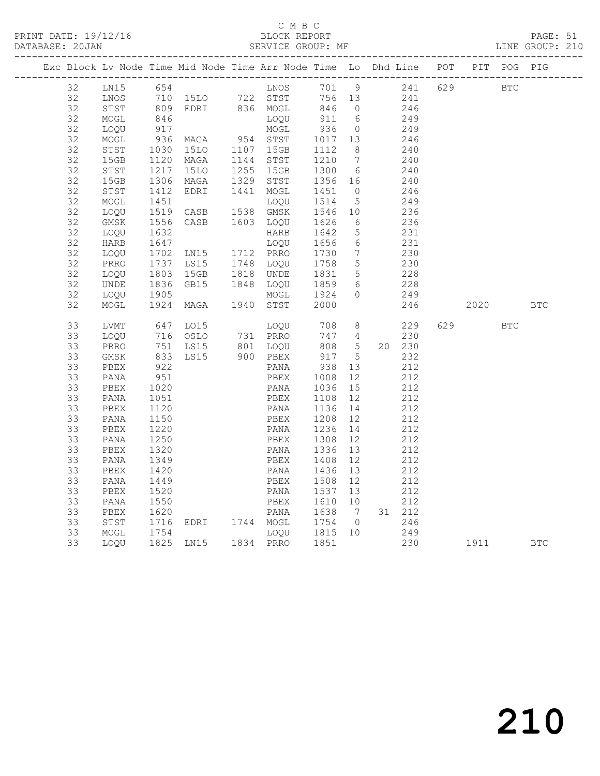#### C M B C<br>BLOCK REPORT

PAGE: 51<br>LINE GROUP: 210

| Exc Block Lv Node Time Mid Node Time Arr Node Time Lo Dhd Line POT PIT POG PIG |              |              |                                                          |                                      |                     |                |                   |                         |     |            |            |            |
|--------------------------------------------------------------------------------|--------------|--------------|----------------------------------------------------------|--------------------------------------|---------------------|----------------|-------------------|-------------------------|-----|------------|------------|------------|
| 32                                                                             | LN15         |              |                                                          |                                      |                     |                |                   | 701 9 241<br>756 13 241 | 629 | <b>BTC</b> |            |            |
| 32                                                                             | LNOS         |              |                                                          |                                      |                     |                |                   |                         |     |            |            |            |
| 32                                                                             | STST         |              |                                                          |                                      | 846 0               |                |                   | 246                     |     |            |            |            |
| 32                                                                             | MOGL         |              |                                                          |                                      | 911 6               |                |                   | 249                     |     |            |            |            |
| 32                                                                             | LOQU         | 917          |                                                          | MOGL                                 | 936 0               |                |                   | 249                     |     |            |            |            |
| 32                                                                             | MOGL         |              |                                                          |                                      | 1017  13<br>1112  8 |                |                   | 246                     |     |            |            |            |
| 32                                                                             | STST         | 1030         |                                                          |                                      |                     |                |                   | 240                     |     |            |            |            |
| 32                                                                             | 15GB         | 1120<br>1217 | MAGA 1144 STST<br>15LO 1255 15GB                         |                                      | 1210 7<br>1300 6    |                |                   | 240                     |     |            |            |            |
| 32                                                                             | STST         |              |                                                          |                                      |                     |                |                   | 240                     |     |            |            |            |
| 32                                                                             | 15GB         | 1306<br>1412 | MAGA                                                     | 1329 STST                            | 1356 16<br>1451 0   |                |                   | 240                     |     |            |            |            |
| 32                                                                             | STST         |              | EDRI                                                     | 1441 MOGL                            |                     |                |                   | 246                     |     |            |            |            |
| 32                                                                             | MOGL         |              | 1451 LOQU<br>1519 CASB 1538 GMSK                         | LOQU 1514                            |                     | 5 <sup>5</sup> |                   | 249                     |     |            |            |            |
| 32                                                                             | LOQU         |              | 1556 CASB 1603 LOQU 1626                                 |                                      | 1546 10             |                |                   | 236                     |     |            |            |            |
| 32                                                                             | GMSK         |              |                                                          |                                      |                     | 6              |                   | 236                     |     |            |            |            |
| 32<br>32                                                                       | LOQU         | 1632<br>1647 |                                                          | HARB<br>LOQU 1656                    | 1642                | $5^{\circ}$    |                   | 231<br>231              |     |            |            |            |
| 32                                                                             | HARB         |              |                                                          |                                      |                     | 6              |                   |                         |     |            |            |            |
| 32                                                                             | LOQU         | 1702<br>1737 | LN15 1712 PRRO<br>LS15 1748 LOQU                         |                                      | 1730 7<br>1758 5    |                |                   | 230<br>230              |     |            |            |            |
| 32                                                                             | PRRO<br>LOQU |              |                                                          |                                      |                     |                |                   |                         |     |            |            |            |
| 32                                                                             | UNDE         |              | 1803 15GB 1818 UNDE 1831 5<br>1836 GB15 1848 LOQU 1859 6 |                                      |                     |                |                   | 228<br>228              |     |            |            |            |
| 32                                                                             | LOQU         |              |                                                          |                                      |                     | $\overline{0}$ |                   | 249                     |     |            |            |            |
| 32                                                                             | MOGL         |              |                                                          |                                      | 1924<br>2000        |                |                   | 246                     |     | 2020       |            | <b>BTC</b> |
|                                                                                |              |              |                                                          |                                      |                     |                |                   |                         |     |            |            |            |
| 33                                                                             | LVMT         |              | 647 LO15                                                 | LOQU 708 8                           |                     |                |                   | 229                     | 629 |            | <b>BTC</b> |            |
| 33                                                                             | LOQU         |              | 716 OSLO                                                 | 731 PRRO                             | 747 4               |                |                   | 230                     |     |            |            |            |
| 33                                                                             | PRRO         |              |                                                          |                                      | 808 5               |                |                   | 20 230                  |     |            |            |            |
| 33                                                                             | GMSK         |              | 751 LS15 801 LOQU 808 5<br>833 LS15 900 PBEX 917 5       |                                      |                     |                |                   | 232                     |     |            |            |            |
| 33                                                                             | PBEX         | 922<br>951   |                                                          | PANA                                 | 938 13              |                |                   | 212                     |     |            |            |            |
| 33                                                                             | PANA         |              |                                                          | PBEX                                 | 1008                | 12             |                   | 212                     |     |            |            |            |
| 33                                                                             | PBEX         | 1020         |                                                          | PANA 1036 15<br>PBEX 1108 12         |                     |                |                   | 212                     |     |            |            |            |
| 33                                                                             | PANA         | 1051         |                                                          |                                      |                     |                |                   | 212                     |     |            |            |            |
| 33                                                                             | PBEX         | 1120         |                                                          | PANA                                 | 1136 14             |                |                   | 212                     |     |            |            |            |
| 33                                                                             | PANA         | 1150         |                                                          | PBEX                                 | 1208 12             |                |                   | 212                     |     |            |            |            |
| 33                                                                             | PBEX         | 1220         |                                                          | PANA 1236 14                         |                     |                |                   | 212                     |     |            |            |            |
| 33                                                                             | PANA         | 1250<br>1320 |                                                          | PBEX                                 | 1308<br>1336        | 12             |                   | 212                     |     |            |            |            |
| 33                                                                             | PBEX         |              |                                                          | PANA                                 | 1336 13             |                |                   | 212                     |     |            |            |            |
| 33                                                                             | PANA         | 1349         |                                                          | PBEX                                 | 1408                | 12             |                   | 212                     |     |            |            |            |
| 33                                                                             | PBEX         | 1420         |                                                          | PANA                                 | 1436 13             |                |                   | 212                     |     |            |            |            |
| 33                                                                             | PANA         | 1449         |                                                          | PBEX 1508                            |                     | 12             |                   | 212                     |     |            |            |            |
| 33                                                                             | PBEX         | 1520         |                                                          | PANA 1537                            |                     | 13             |                   | 212                     |     |            |            |            |
| 33                                                                             | PANA         | 1550<br>1620 |                                                          | PBEX                                 | 1610 10             |                |                   | 212                     |     |            |            |            |
| 33                                                                             | PBEX         |              |                                                          | PANA 1638 7<br>EDRI 1744 MOGL 1754 0 |                     |                |                   | 31 212                  |     |            |            |            |
| 33                                                                             | STST         | 1716         |                                                          |                                      |                     |                | 246               |                         |     |            |            |            |
| 33                                                                             | MOGL         |              |                                                          |                                      |                     |                | $\frac{249}{230}$ |                         |     |            |            |            |
| 33                                                                             | LOQU         |              |                                                          |                                      |                     |                |                   |                         |     | 230 1911   |            | <b>BTC</b> |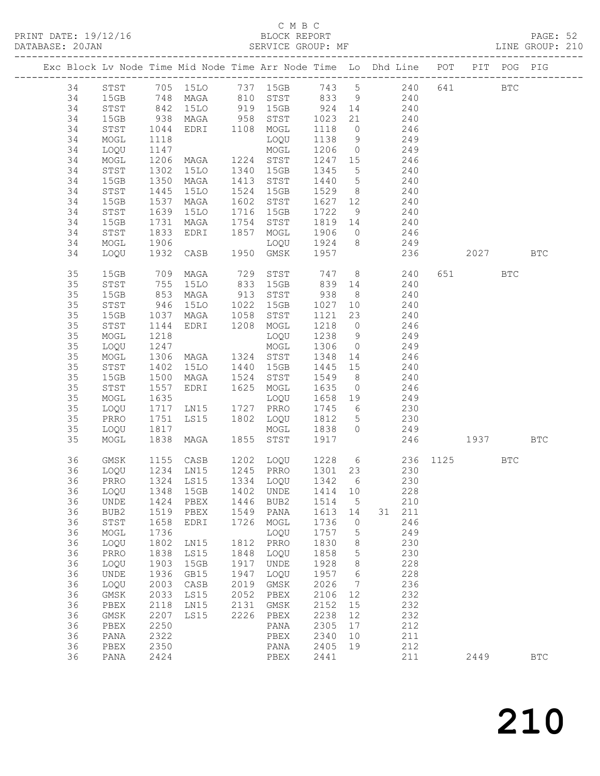#### C M B C<br>BLOCK REPORT

| DATABASE: 20JAN |    |              |                      | SERVICE GROUP: MF                                                              |      |                                                                                    |         |                 | LINE GROUP: 210           |     |         |          |            |  |
|-----------------|----|--------------|----------------------|--------------------------------------------------------------------------------|------|------------------------------------------------------------------------------------|---------|-----------------|---------------------------|-----|---------|----------|------------|--|
|                 |    |              |                      | Exc Block Lv Node Time Mid Node Time Arr Node Time Lo Dhd Line POT PIT POG PIG |      |                                                                                    |         |                 |                           |     |         |          |            |  |
|                 |    |              |                      | 34 STST 705 15LO 737 15GB 743 5 240 641 BTC                                    |      |                                                                                    |         |                 |                           |     |         |          |            |  |
|                 | 34 |              |                      | 15GB 748 MAGA 810 STST 833 9 240                                               |      |                                                                                    |         |                 |                           |     |         |          |            |  |
|                 | 34 | STST         | 842<br>938<br>1044   |                                                                                |      | 15LO 919 15GB 924 14 240<br>MAGA 958 STST 1023 21 240<br>EDRI 1108 MOGL 1118 0 246 |         |                 |                           |     |         |          |            |  |
|                 | 34 | 15GB         |                      |                                                                                |      |                                                                                    |         |                 |                           |     |         |          |            |  |
|                 | 34 | STST         |                      |                                                                                |      |                                                                                    |         |                 |                           |     |         |          |            |  |
|                 | 34 | MOGL         | 1118                 |                                                                                |      |                                                                                    |         |                 | LOQU 1138 9 249           |     |         |          |            |  |
|                 | 34 | LOQU         |                      |                                                                                |      |                                                                                    |         |                 | 1206 0 249                |     |         |          |            |  |
|                 | 34 | MOGL         |                      |                                                                                |      |                                                                                    | 1247 15 |                 |                           |     |         |          |            |  |
|                 | 34 | STST         |                      | 1147 MOGL<br>1206 MAGA 1224 STST<br>1302 15LO 1340 15GB                        |      |                                                                                    |         |                 | 1247 15 246<br>1345 5 240 |     |         |          |            |  |
|                 | 34 | 15GB         | 1350                 |                                                                                |      | MAGA 1413 STST 1440 5 240                                                          |         |                 |                           |     |         |          |            |  |
|                 | 34 | STST         | 1445                 | 15LO                                                                           |      | 1524 15GB                                                                          |         |                 | 1529 8 240                |     |         |          |            |  |
|                 | 34 | 15GB         |                      | MAGA                                                                           |      | 1602 STST                                                                          |         |                 |                           |     |         |          |            |  |
|                 | 34 | STST         | 1537<br>1639         | 15LO                                                                           |      | 1716 15GB                                                                          |         |                 | 1627 12 240<br>1722 9 240 |     |         |          |            |  |
|                 | 34 | 15GB         | 1731                 |                                                                                |      | MAGA 1754 STST 1819 14 240                                                         |         |                 |                           |     |         |          |            |  |
|                 | 34 | STST         | 1833                 | EDRI                                                                           |      | 1857 MOGL                                                                          |         |                 | 1906 0 246                |     |         |          |            |  |
|                 | 34 | MOGL         |                      |                                                                                |      |                                                                                    |         |                 | $1924$ 8 249              |     |         |          |            |  |
|                 | 34 | LOQU         |                      |                                                                                |      |                                                                                    |         |                 | 236                       |     |         | 2027 BTC |            |  |
|                 |    |              |                      |                                                                                |      |                                                                                    |         |                 |                           |     |         |          |            |  |
|                 | 35 | 15GB         |                      | 709 MAGA                                                                       |      | 729 STST 747 8 240                                                                 |         |                 |                           |     | 651 BTC |          |            |  |
|                 | 35 | STST         | 755<br>853           | 15LO                                                                           |      | 833 15GB 839 14 240<br>913 STST 938 8 240                                          |         |                 |                           |     |         |          |            |  |
|                 | 35 | 15GB         |                      | MAGA                                                                           |      |                                                                                    |         |                 |                           |     |         |          |            |  |
|                 | 35 | STST         | 946                  | 15LO                                                                           |      | 1022 15GB 1027                                                                     |         |                 | 10 240                    |     |         |          |            |  |
|                 | 35 | 15GB         | 1037                 |                                                                                |      | MAGA 1058 STST                                                                     |         |                 | 1121 23 240               |     |         |          |            |  |
|                 | 35 | STST         | 1144                 | EDRI 1208 MOGL                                                                 |      |                                                                                    |         |                 | 1218 0 246                |     |         |          |            |  |
|                 | 35 | MOGL         | 1218                 |                                                                                |      | LOQU                                                                               | 1238 9  |                 | 249                       |     |         |          |            |  |
|                 | 35 | LOQU         | 1247                 |                                                                                |      | MOGL                                                                               |         |                 | 1306 0 249                |     |         |          |            |  |
|                 | 35 | MOGL         | 1306                 |                                                                                |      | MAGA 1324 STST 1348 14 246                                                         |         |                 |                           |     |         |          |            |  |
|                 | 35 | STST         | 1402<br>1500<br>1557 |                                                                                |      | 15LO 1440 15GB                                                                     | 1445 15 |                 | 240                       |     |         |          |            |  |
|                 | 35 | 15GB         |                      | MAGA                                                                           |      | 1524 STST                                                                          | 1549 8  |                 | 240                       |     |         |          |            |  |
|                 | 35 | STST         |                      | EDRI                                                                           |      | 1625 MOGL                                                                          |         |                 | $1635$ 0 246              |     |         |          |            |  |
|                 | 35 | MOGL         | 1635                 |                                                                                |      |                                                                                    |         |                 | LOQU 1658 19 249          |     |         |          |            |  |
|                 | 35 | LOQU         | 1717                 | LN15 1727 PRRO<br>LS15 1802 LOQU                                               |      |                                                                                    | 1745 6  |                 | 230                       |     |         |          |            |  |
|                 | 35 | PRRO         | 1751<br>1817         |                                                                                |      |                                                                                    | 1812 5  |                 | 230                       |     |         |          |            |  |
|                 | 35 | LOQU         |                      |                                                                                |      | MOGL                                                                               | 1838 0  |                 | 249                       |     |         |          |            |  |
|                 | 35 | MOGL         |                      | 1838 MAGA                                                                      |      | 1855 STST                                                                          |         |                 | 1917  246  1937  BTC      |     |         |          |            |  |
|                 | 36 | GMSK         |                      |                                                                                |      |                                                                                    |         |                 |                           |     |         | BTC      |            |  |
|                 | 36 | LOQU         |                      |                                                                                |      |                                                                                    |         |                 |                           |     |         |          |            |  |
|                 |    |              |                      | 36 PRRO 1324 LS15 1334 LOQU 1342 6                                             |      |                                                                                    |         |                 |                           | 230 |         |          |            |  |
|                 | 36 | LOQU         | 1348                 | 15GB                                                                           | 1402 | UNDE                                                                               | 1414    | 10              | 228                       |     |         |          |            |  |
|                 | 36 | UNDE         | 1424                 | PBEX                                                                           |      | 1446 BUB2                                                                          | 1514    | $5^{\circ}$     | 210                       |     |         |          |            |  |
|                 | 36 | BUB2         | 1519                 | PBEX                                                                           | 1549 | PANA                                                                               | 1613    | 14              | 31 211                    |     |         |          |            |  |
|                 | 36 | STST         | 1658                 | EDRI                                                                           | 1726 | MOGL                                                                               | 1736    | $\overline{0}$  | 246                       |     |         |          |            |  |
|                 | 36 | MOGL         | 1736                 |                                                                                |      | LOQU                                                                               | 1757    | $5^{\circ}$     | 249                       |     |         |          |            |  |
|                 | 36 | LOQU         | 1802                 | LN15                                                                           | 1812 | PRRO                                                                               | 1830    | 8 <sup>8</sup>  | 230                       |     |         |          |            |  |
|                 | 36 | PRRO         | 1838                 | LS15                                                                           | 1848 | LOQU                                                                               | 1858    | $5\overline{)}$ | 230                       |     |         |          |            |  |
|                 | 36 | LOQU         | 1903                 | 15GB                                                                           | 1917 | UNDE                                                                               | 1928    | 8 <sup>8</sup>  | 228                       |     |         |          |            |  |
|                 | 36 | UNDE         | 1936                 | GB15                                                                           | 1947 | LOQU                                                                               | 1957    | $6\overline{6}$ | 228                       |     |         |          |            |  |
|                 | 36 | LOQU         | 2003                 | $\mathtt{CASB}$                                                                | 2019 | GMSK                                                                               | 2026    | $\overline{7}$  | 236                       |     |         |          |            |  |
|                 | 36 | GMSK         | 2033                 | LS15                                                                           | 2052 | PBEX                                                                               | 2106    | 12              | 232                       |     |         |          |            |  |
|                 | 36 | ${\tt PBEX}$ | 2118                 | LN15                                                                           | 2131 | GMSK                                                                               | 2152    | 15              | 232                       |     |         |          |            |  |
|                 | 36 | GMSK         | 2207                 | LS15                                                                           | 2226 | PBEX                                                                               | 2238    | 12              | 232                       |     |         |          |            |  |
|                 | 36 | PBEX         | 2250                 |                                                                                |      | PANA                                                                               | 2305    | 17              | 212                       |     |         |          |            |  |
|                 | 36 | PANA         | 2322                 |                                                                                |      | PBEX                                                                               | 2340    | 10              | 211                       |     |         |          |            |  |
|                 | 36 | PBEX         | 2350                 |                                                                                |      | PANA                                                                               | 2405    | 19              | 212                       |     |         |          |            |  |
|                 | 36 | PANA         | 2424                 |                                                                                |      | PBEX                                                                               | 2441    |                 | 211                       |     | 2449    |          | <b>BTC</b> |  |
|                 |    |              |                      |                                                                                |      |                                                                                    |         |                 |                           |     |         |          |            |  |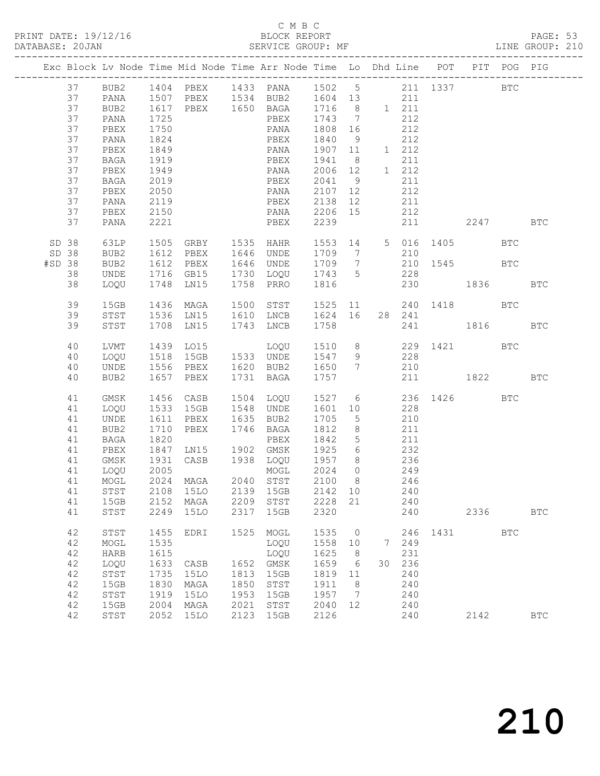#### C M B C BLOCK REPORT<br>SERVICE GROUP: MF

|                          |                                                                |                                                                                                      |                                                                      |                                                                                           |                                                      | BLOCK REPORT PAGE: 53<br>SERVICE GROUP: MF LINE GROUP: 210                                                                                                                                                                                                       |                                                                      |                                                                       |         |                                                                                                     |                     |      |            |              |  |
|--------------------------|----------------------------------------------------------------|------------------------------------------------------------------------------------------------------|----------------------------------------------------------------------|-------------------------------------------------------------------------------------------|------------------------------------------------------|------------------------------------------------------------------------------------------------------------------------------------------------------------------------------------------------------------------------------------------------------------------|----------------------------------------------------------------------|-----------------------------------------------------------------------|---------|-----------------------------------------------------------------------------------------------------|---------------------|------|------------|--------------|--|
|                          |                                                                |                                                                                                      |                                                                      |                                                                                           |                                                      | Exc Block Lv Node Time Mid Node Time Arr Node Time Lo Dhd Line POT PIT POG PIG                                                                                                                                                                                   |                                                                      |                                                                       |         |                                                                                                     |                     |      |            |              |  |
|                          | 37<br>37<br>37<br>37<br>37<br>37<br>37<br>37<br>37<br>37<br>37 | PANA<br>PBEX<br>PANA<br>PBEX<br>BAGA<br>PBEX<br>BAGA<br>PBEX<br>PANA<br>PBEX<br>PANA                 | 1725<br>1750<br>1824<br>1849<br>1919<br>2119<br>2150<br>2221         |                                                                                           |                                                      | 37 BUB2 1404 PBEX 1433 PANA 1502 5 211 1337 BTC<br>37 PANA 1507 PBEX 1534 BUB2 1604 13 211<br>37 BUB2 1617 PBEX 1650 BAGA 1716 8 1 211<br>PBEX 1743 7<br>PANA 1808 16<br>PBEX 1840 9<br>PANA 1907 11<br>PBEX 1941 8<br>PBEX 2138 12<br>PANA 2206 15<br>PBEX 2239 |                                                                      |                                                                       |         | 212<br>$\frac{212}{212}$<br>212<br>1 212<br>211<br>1 212<br>211<br>212<br>211<br>212                | 211 2247 BTC        |      |            |              |  |
| SD 38<br>SD 38<br>#SD 38 | 38<br>38                                                       | 63LP<br>BUB2<br>BUB2<br>UNDE<br>LOQU                                                                 | 1505                                                                 | GRBY 1535 HAHR                                                                            |                                                      | 1612 PBEX 1646 UNDE 1709 7 210<br>1612 PBEX 1646 UNDE 1709 7 210 1545 BTC<br>1716 GB15 1730 LOQU 1743 5 228<br>1748 LN15 1758 PRRO 1816 230 1836 BTC                                                                                                             |                                                                      |                                                                       |         |                                                                                                     | 1553 14 5 016 1405  |      | <b>BTC</b> |              |  |
|                          | 39<br>39<br>39                                                 | 15GB<br>STST<br>STST                                                                                 |                                                                      | 1436 MAGA<br>1536 LN15<br>1708 LN15                                                       |                                                      | 1500 STST 1525 11 240 1418 BTC<br>1610 LNCB 1624 16 28 241<br>1743 LNCB                                                                                                                                                                                          | 1758                                                                 |                                                                       |         |                                                                                                     | 241 1816            |      |            | <b>BTC</b>   |  |
|                          | 40<br>40<br>40<br>40                                           | LVMT<br>LOQU<br>UNDE<br>BUB2                                                                         |                                                                      | 1556 PBEX<br>1657 PBEX                                                                    |                                                      | 1620 BUB2 1650 7 210<br>1731 BAGA 1757                                                                                                                                                                                                                           |                                                                      |                                                                       |         |                                                                                                     | 211 1822 BTC        |      |            |              |  |
|                          | 41<br>41<br>41<br>41<br>41<br>41<br>41<br>41<br>41<br>41<br>41 | GMSK<br>LOQU<br>UNDE<br>BUB2<br>BAGA<br>PBEX<br>GMSK<br>41 LOQU 2005<br>MOGL<br>STST<br>15GB<br>STST | 1710<br>1710<br>1820<br>2024<br>2108<br>2152<br>2249                 | 1456 CASB<br>1533 15GB<br>1611 PBEX<br>PBEX<br>MAGA<br><b>15LO</b><br>MAGA<br><b>15LO</b> | 2040<br>2139<br>2209<br>2317                         | 1504 LOQU<br>1548 UNDE 1601 10 228<br>1635 BUB2 1705<br>1746 BAGA<br>BAGA 1812<br>PBEX 1842<br>1847 LN15 1902 GMSK 1925<br>1931 CASB 1938 LOQU 1957 8 236<br>MOGL 2024 0<br>STST<br>15GB<br>STST<br>15GB                                                         | 2100<br>2142<br>2228<br>2320                                         | 5 <sup>5</sup><br>$5\overline{)}$<br>$6\overline{6}$<br>8<br>10<br>21 |         | 210<br>$\begin{array}{cc} 8 & 211 \\ 5 & 211 \end{array}$<br>232<br>249<br>246<br>240<br>240<br>240 | 1527 6 236 1426 BTC | 2336 |            | $_{\rm BTC}$ |  |
|                          | 42<br>42<br>42<br>42<br>42<br>42<br>42<br>42<br>42             | STST<br>MOGL<br><b>HARB</b><br>LOQU<br>STST<br>15GB<br>STST<br>15GB<br>STST                          | 1455<br>1535<br>1615<br>1633<br>1735<br>1830<br>1919<br>2004<br>2052 | EDRI<br>CASB<br><b>15LO</b><br>MAGA<br><b>15LO</b><br>MAGA<br><b>15LO</b>                 | 1525<br>1652<br>1813<br>1850<br>1953<br>2021<br>2123 | MOGL<br>LOQU<br>LOQU<br>GMSK<br>15GB<br>STST<br>15GB<br>STST<br>15GB                                                                                                                                                                                             | 1535<br>1558<br>1625<br>1659<br>1819<br>1911<br>1957<br>2040<br>2126 | $\circ$<br>10<br>8<br>6<br>11<br>8<br>7<br>12                         | 7<br>30 | 246<br>249<br>231<br>236<br>240<br>240<br>240<br>240<br>240                                         | 1431                | 2142 | <b>BTC</b> | <b>BTC</b>   |  |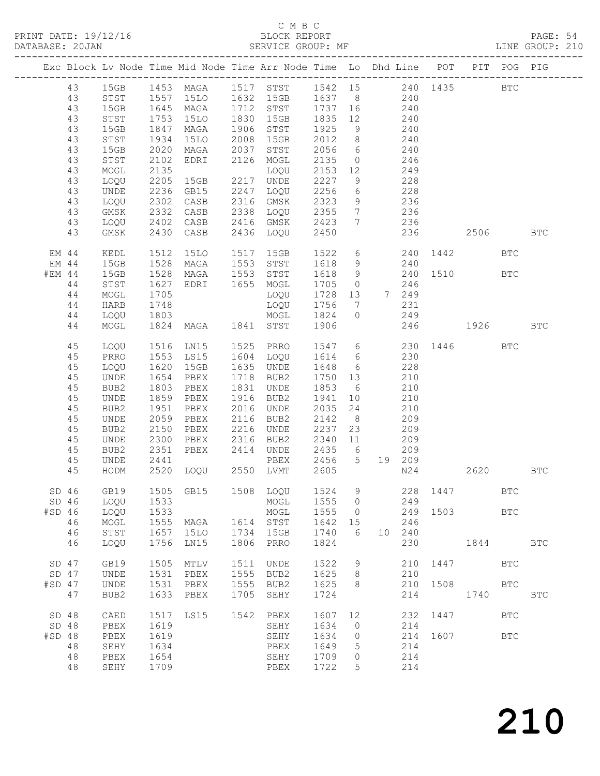|          |          |                                |              |                                     |              | PRINT DATE: 19/12/16 BLOCK REPORT BLOCK REPORT PAGE: 54<br>DATABASE: 20JAN SERVICE GROUP: MF SERVICE GROUP: ME                                 |                                          |               |    |            |          |      |            |            |  |
|----------|----------|--------------------------------|--------------|-------------------------------------|--------------|------------------------------------------------------------------------------------------------------------------------------------------------|------------------------------------------|---------------|----|------------|----------|------|------------|------------|--|
|          |          |                                |              |                                     |              | Exc Block Lv Node Time Mid Node Time Arr Node Time Lo Dhd Line POT PIT POG PIG                                                                 |                                          |               |    |            |          |      |            |            |  |
|          |          |                                |              |                                     |              | 43 15GB 1453 MAGA 1517 STST 1542 15 240 1435<br>43 STST 1557 15LO 1632 15GB 1637 8 240<br>43 15GB 1645 MAGA 1712 STST 1737 16 240              |                                          |               |    |            |          |      | BTC        |            |  |
|          |          |                                |              |                                     |              |                                                                                                                                                |                                          |               |    |            |          |      |            |            |  |
|          |          |                                |              |                                     |              |                                                                                                                                                |                                          |               |    |            |          |      |            |            |  |
|          | 43       | STST                           |              |                                     |              | 1753 15LO 1830 15GB 1835 12 240                                                                                                                |                                          |               |    |            |          |      |            |            |  |
|          | 43       | 15GB                           |              | 1847 MAGA<br>1934 15LO<br>2020 MAGA |              | 1906 STST 1925 9 240<br>2008 15GB 2012 8 240<br>2037 STST 2056 6 240                                                                           |                                          |               |    |            |          |      |            |            |  |
|          | 43       | STST                           |              |                                     |              |                                                                                                                                                |                                          |               |    |            |          |      |            |            |  |
|          | 43       | 15GB                           |              |                                     |              |                                                                                                                                                |                                          |               |    |            |          |      |            |            |  |
|          | 43<br>43 | STST<br>MOGL                   | 2102         |                                     |              | EDRI 2126 MOGL 2135 0 246                                                                                                                      |                                          |               |    |            |          |      |            |            |  |
|          | 43       | LOQU                           |              |                                     |              |                                                                                                                                                |                                          |               |    |            |          |      |            |            |  |
|          | 43       | UNDE                           |              |                                     |              |                                                                                                                                                |                                          |               |    |            |          |      |            |            |  |
|          | 43       | LOQU                           |              | 2302 CASB                           |              | 2316 GMSK 2323 9 236                                                                                                                           |                                          |               |    |            |          |      |            |            |  |
|          | 43       | GMSK                           |              |                                     |              |                                                                                                                                                |                                          |               |    |            |          |      |            |            |  |
|          | 43       | LOQU                           |              | 2332 CASB<br>2402 CASB<br>2430 CASB |              |                                                                                                                                                |                                          |               |    |            |          |      |            |            |  |
|          | 43       | GMSK                           |              |                                     |              |                                                                                                                                                |                                          |               |    |            |          |      |            |            |  |
|          |          |                                |              |                                     |              |                                                                                                                                                |                                          |               |    |            |          |      |            |            |  |
| EM 44    |          | KEDL                           |              |                                     |              | 1512 1510 1517 15GB 1522 6 240 1442<br>1528 MAGA 1553 STST 1618 9 240<br>1528 MAGA 1553 STST 1618 9 240 1510<br>1627 EDRI 1655 MOGL 1705 0 246 |                                          |               |    |            |          |      | <b>BTC</b> |            |  |
| EM 44    |          | 15GB                           |              |                                     |              |                                                                                                                                                |                                          |               |    |            |          |      |            |            |  |
| #EM 44   |          | 15GB                           |              |                                     |              |                                                                                                                                                |                                          |               |    |            |          |      | <b>BTC</b> |            |  |
|          | 44       | STST                           |              |                                     |              |                                                                                                                                                |                                          |               |    |            |          |      |            |            |  |
|          | 44       | MOGL                           | 1705         |                                     |              | LOQU 1728 13 7 249                                                                                                                             |                                          |               |    |            |          |      |            |            |  |
|          | 44       | HARB                           |              |                                     |              |                                                                                                                                                |                                          |               |    |            |          |      |            |            |  |
|          | 44       | LOQU                           |              |                                     |              | LOQU 1756 7 231<br>MOGL 1824 0 249<br>11 STST 1906 246 1926<br>1748 LOQU 1756<br>1803 MOGL 1824<br>1824 MAGA 1841 STST 1906                    |                                          |               |    |            |          |      |            |            |  |
|          | 44       | MOGL                           |              |                                     |              |                                                                                                                                                |                                          |               |    |            |          |      |            | <b>BTC</b> |  |
|          | 45       | LOQU                           |              |                                     |              | 1516 LN15 1525 PRRO 1547 6 230 1446<br>1553 LS15 1604 LOQU 1614 6 230<br>1620 15GB 1635 UNDE 1648 6 228                                        |                                          |               |    |            |          |      | <b>BTC</b> |            |  |
|          | 45       | PRRO                           |              |                                     |              |                                                                                                                                                |                                          |               |    |            |          |      |            |            |  |
|          | 45       | LOQU                           |              |                                     |              |                                                                                                                                                |                                          |               |    |            |          |      |            |            |  |
|          | 45       | UNDE                           | 1654         | PBEX                                |              | 1718 BUB2                                                                                                                                      | 1750 13 210                              |               |    |            |          |      |            |            |  |
|          | 45       | BUB2                           | 1803<br>1859 | PBEX                                |              | 1831 UNDE                                                                                                                                      | 1853 6 210<br>1941 10 210<br>2035 24 210 |               |    |            |          |      |            |            |  |
|          | 45       | UNDE                           |              | PBEX                                |              | 1916 BUB2                                                                                                                                      |                                          |               |    |            |          |      |            |            |  |
|          | 45       | BUB2                           |              | 1951 PBEX                           |              | 2016 UNDE                                                                                                                                      |                                          |               |    |            |          |      |            |            |  |
|          | 45       | UNDE                           |              | 2059 PBEX                           |              | 2116 BUB2 2142 8 209                                                                                                                           |                                          |               |    |            |          |      |            |            |  |
|          | 45       | BUB2                           | 2150         |                                     |              | 2216 UNDE<br>2150 PBEX 2216 UNDE 2237 23 209<br>2300 PBEX 2316 BUB2 2340 11 209<br>2351 PBEX 2414 UNDE 2435 6 209                              | 2237                                     |               |    |            |          |      |            |            |  |
|          | 45       | UNDE                           |              |                                     |              |                                                                                                                                                |                                          |               |    |            |          |      |            |            |  |
|          | 45       | BUB2                           | 2441         |                                     |              | PBEX                                                                                                                                           | 2456 5 19 209                            |               |    |            |          |      |            |            |  |
|          | 45<br>45 | <b>UNDE</b><br>HODM            |              | 2520 LOQU                           |              | 2550 LVMT                                                                                                                                      | 2605                                     |               |    | $N24$      |          | 2620 |            |            |  |
|          |          |                                |              |                                     |              |                                                                                                                                                |                                          |               |    |            |          |      |            | BTC        |  |
|          | SD 46    | GB19                           |              | 1505 GB15                           |              | 1508 LOQU                                                                                                                                      | 1524                                     | 9             |    |            | 228 1447 |      | BTC        |            |  |
|          | SD 46    | LOQU                           | 1533         |                                     |              | MOGL                                                                                                                                           | 1555                                     | $\circ$       |    | 249        |          |      |            |            |  |
| #SD 46   |          | LOQU                           | 1533         |                                     |              | MOGL                                                                                                                                           | 1555                                     | 0             |    | 249        | 1503     |      | <b>BTC</b> |            |  |
|          | 46       | MOGL                           | 1555         | MAGA                                |              | 1614 STST                                                                                                                                      | 1642                                     | 15            |    | 246        |          |      |            |            |  |
|          | 46       | STST                           | 1657         | <b>15LO</b>                         | 1734         | 15GB                                                                                                                                           | 1740                                     | 6             | 10 | 240        |          |      |            |            |  |
|          | 46       | LOQU                           | 1756         | LN15                                | 1806         | PRRO                                                                                                                                           | 1824                                     |               |    | 230        |          |      | 1844       | <b>BTC</b> |  |
|          |          |                                |              |                                     |              |                                                                                                                                                |                                          |               |    |            |          |      |            |            |  |
| $SD$ 47  | $SD$ 47  | GB19                           | 1505<br>1531 | MTLV                                | 1511<br>1555 | UNDE<br>BUB2                                                                                                                                   | 1522<br>1625                             | $\mathcal{G}$ |    | 210<br>210 | 1447     |      | <b>BTC</b> |            |  |
| $#SD$ 47 |          | UNDE<br>UNDE                   | 1531         | PBEX<br>PBEX                        | 1555         | BUB2                                                                                                                                           | 1625                                     | 8<br>8        |    | 210        | 1508     |      | <b>BTC</b> |            |  |
|          | 47       | BUB2                           | 1633         | ${\tt PBEX}$                        | 1705         | SEHY                                                                                                                                           | 1724                                     |               |    | 214        |          | 1740 |            | <b>BTC</b> |  |
|          |          |                                |              |                                     |              |                                                                                                                                                |                                          |               |    |            |          |      |            |            |  |
| SD 48    |          | CAED                           | 1517         | LS15                                | 1542         | PBEX                                                                                                                                           | 1607                                     | 12            |    | 232        | 1447     |      | <b>BTC</b> |            |  |
| SD 48    |          | PBEX                           | 1619         |                                     |              | SEHY                                                                                                                                           | 1634                                     | $\circ$       |    | 214        |          |      |            |            |  |
| #SD 48   |          | PBEX                           | 1619         |                                     |              | SEHY                                                                                                                                           | 1634                                     | $\circ$       |    | 214        | 1607     |      | <b>BTC</b> |            |  |
|          | 48       | $\operatorname{\mathtt{SEHY}}$ | 1634         |                                     |              | PBEX                                                                                                                                           | 1649                                     | 5             |    | 214        |          |      |            |            |  |
|          | 48       | PBEX                           | 1654         |                                     |              | SEHY                                                                                                                                           | 1709                                     | $\circ$       |    | 214        |          |      |            |            |  |
|          | 48       | SEHY                           | 1709         |                                     |              | PBEX                                                                                                                                           | 1722                                     | 5             |    | 214        |          |      |            |            |  |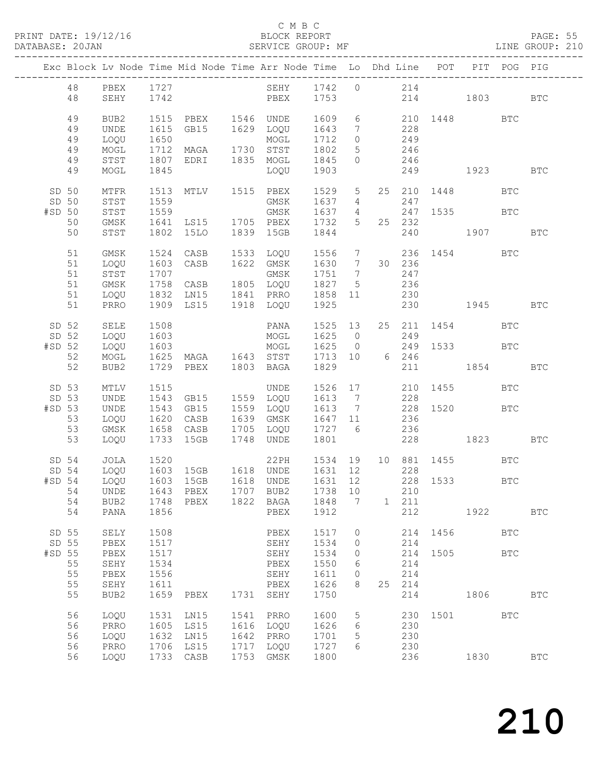|                 | PRINT DATE: 19/12/16 | BLOCK REPORT      | PAGE: 55        |  |
|-----------------|----------------------|-------------------|-----------------|--|
| DATABASE: 20JAN |                      | SERVICE GROUP: MF | LINE GROUP: 210 |  |

#### C M B C<br>
C M B C<br>
BLOCK REPORT

|          |          |                     |              | Exc Block Lv Node Time Mid Node Time Arr Node Time Lo Dhd Line POT PIT POG PIG |      |                                                             |                   |                            |                 |                        |          |                     |              |              |
|----------|----------|---------------------|--------------|--------------------------------------------------------------------------------|------|-------------------------------------------------------------|-------------------|----------------------------|-----------------|------------------------|----------|---------------------|--------------|--------------|
|          | 48<br>48 | PBEX 1727<br>SEHY   | 1742         |                                                                                |      | SEHY 1742 0 214<br>PBEX 1753                                |                   |                            |                 |                        |          | 214 1803 BTC        |              |              |
|          |          |                     |              |                                                                                |      |                                                             |                   |                            |                 |                        |          |                     |              |              |
|          | 49       | BUB2                |              | 1515 PBEX 1546 UNDE                                                            |      |                                                             | 1609              | $6\overline{}$             |                 |                        |          | 210 1448 BTC        |              |              |
|          | 49       | UNDE                | 1615         | GB15                                                                           |      | 1629 LOQU                                                   | 1643              | $7\overline{ }$<br>$\circ$ |                 | 228<br>$\frac{2}{249}$ |          |                     |              |              |
|          | 49<br>49 | LOQU<br>$\sf{MOGL}$ | 1650         | 1712 MAGA 1730 STST                                                            |      | MOGL                                                        | 1712<br>1802      | 5 <sup>5</sup>             |                 | 246                    |          |                     |              |              |
|          | 49       | STST                | 1807         | EDRI 1835 MOGL                                                                 |      |                                                             | 1845              | $\circ$                    |                 | 246                    |          |                     |              |              |
|          | 49       | MOGL                | 1845         |                                                                                |      | LOQU                                                        | 1903              |                            |                 |                        |          | 249 1923            |              | <b>BTC</b>   |
| SD 50    |          | MTFR                |              | 1513 MTLV 1515 PBEX                                                            |      |                                                             | 1529              |                            |                 |                        |          | 5   25   210   1448 | BTC          |              |
| SD 50    |          | STST                | 1559         |                                                                                |      | GMSK                                                        | 1637              |                            | $4\overline{ }$ | 247                    |          |                     |              |              |
| #SD 50   |          | STST                | 1559         |                                                                                |      | GMSK                                                        | 1637              |                            |                 |                        |          | 4 247 1535 BTC      |              |              |
|          | 50       | GMSK                |              | 1641 LS15 1705 PBEX                                                            |      |                                                             | 1732              | 5 <sup>5</sup>             |                 | 25 232                 |          |                     |              |              |
|          | 50       | STST                |              | 1802 15LO                                                                      |      | 1839 15GB                                                   | 1844              |                            |                 |                        |          | 240 1907            |              | <b>BTC</b>   |
|          | 51       | GMSK                |              | 1524 CASB                                                                      |      | 1533 LOQU                                                   | 1556              |                            |                 |                        |          | 7 236 1454 BTC      |              |              |
|          | 51       | LOQU                |              | 1603 CASB                                                                      |      | 1622 GMSK                                                   | 1630              | $7\overline{ }$            |                 | 30 236                 |          |                     |              |              |
|          | 51       | STST                | 1707         |                                                                                |      | GMSK                                                        | 1751              | $7\overline{ }$            |                 | 247                    |          |                     |              |              |
|          | 51       | GMSK                |              | 1758 CASB 1805 LOQU                                                            |      |                                                             | 1827              | $5\overline{)}$            |                 | 236                    |          |                     |              |              |
|          | 51<br>51 | LOQU<br>PRRO        |              | 1832 LN15 1841 PRRO 1858<br>1909 LS15 1918 LOQU 1925                           |      |                                                             | 1858 11           |                            |                 | 230                    |          | 230 1945            |              | <b>BTC</b>   |
|          |          |                     |              |                                                                                |      |                                                             |                   |                            |                 |                        |          |                     |              |              |
| SD 52    |          | SELE                | 1508         |                                                                                |      | PANA                                                        | 1525 13           |                            |                 |                        |          | 25 211 1454         | $_{\rm BTC}$ |              |
| SD 52    |          | LOQU                | 1603         |                                                                                |      | MOGL 1625 0 249<br>MOGL 1625 0 249 15<br>STST 1713 10 6 246 |                   |                            |                 |                        |          |                     |              |              |
| #SD 52   | 52       | LOQU<br>MOGL        |              |                                                                                |      |                                                             |                   |                            |                 |                        |          | 249 1533            | BTC          |              |
|          | 52       | BUB2                |              | 1729 PBEX 1803 BAGA                                                            |      |                                                             | 1829              |                            |                 |                        |          | 211 1854 BTC        |              |              |
|          |          |                     |              |                                                                                |      |                                                             |                   |                            |                 |                        |          |                     |              |              |
| SD 53    |          | MTLV                | 1515         |                                                                                |      | UNDE                                                        | 1526 17           |                            |                 |                        |          | 210 1455<br>228     | <b>BTC</b>   |              |
| SD 53    |          | UNDE                |              | 1543 GB15 1559 LOQU                                                            |      |                                                             | 1613 7            |                            |                 |                        |          |                     |              |              |
| #SD 53   |          | UNDE                | 1543         | GB15                                                                           |      | 1559 LOQU                                                   | 1613              | $7\overline{)}$            |                 |                        | 228 1520 |                     | $_{\rm BTC}$ |              |
|          | 53<br>53 | LOQU                | 1620         | CASB<br>1658 CASB                                                              |      | 1639 GMSK<br>1705 LOQU                                      | 1647 11<br>1727 6 |                            |                 | 236                    |          |                     |              |              |
|          | 53       | GMSK<br>LOQU        |              | 1733 15GB                                                                      |      | 1748 UNDE                                                   | 1801              |                            |                 | 236                    |          | 228 1823 BTC        |              |              |
|          |          |                     |              |                                                                                |      |                                                             |                   |                            |                 |                        |          |                     |              |              |
| SD 54    |          | JOLA                | 1520         |                                                                                |      | 22PH                                                        |                   |                            |                 |                        |          | 1534 19 10 881 1455 | <b>BTC</b>   |              |
| SD 54    |          | LOQU                |              | 1603 15GB   1618 UNDE<br>1603 15GB   1618 UNDE                                 |      |                                                             | 1631 12           |                            |                 | 228                    |          | 228<br>228    1533  |              |              |
| $#SD$ 54 |          | LOQU                |              | 54 UNDE 1643 PBEX 1707 BUB2 1738 10 210                                        |      |                                                             | 1631 12           |                            |                 |                        |          |                     | BTC          |              |
|          | 54       | BUB2                | 1748         | PBEX                                                                           |      | 1822 BAGA                                                   | 1848              | 7                          |                 | 1 211                  |          |                     |              |              |
|          | 54       | PANA                | 1856         |                                                                                |      | PBEX                                                        | 1912              |                            |                 | 212                    |          | 1922                |              | $_{\rm BTC}$ |
|          |          |                     |              |                                                                                |      |                                                             |                   |                            |                 |                        |          |                     |              |              |
| SD 55    |          | SELY                | 1508         |                                                                                |      | PBEX                                                        | 1517              | $\circ$                    |                 |                        |          | 214 1456            | <b>BTC</b>   |              |
| SD 55    |          | PBEX                | 1517         |                                                                                |      | SEHY                                                        | 1534              | $\circ$                    |                 | 214                    |          |                     |              |              |
| #SD 55   | 55       | PBEX                | 1517         |                                                                                |      | SEHY                                                        | 1534<br>1550      | $\circ$<br>6               |                 | 214                    | 214 1505 |                     | BTC          |              |
|          | 55       | SEHY<br>PBEX        | 1534<br>1556 |                                                                                |      | PBEX<br>SEHY                                                | 1611              | $\circ$                    |                 | 214                    |          |                     |              |              |
|          | 55       | SEHY                | 1611         |                                                                                |      | PBEX                                                        | 1626              | 8                          |                 | 25 214                 |          |                     |              |              |
|          | 55       | BUB2                | 1659         | PBEX                                                                           | 1731 | SEHY                                                        | 1750              |                            |                 | 214                    |          | 1806                |              | <b>BTC</b>   |
|          |          |                     |              |                                                                                |      |                                                             |                   |                            |                 |                        |          |                     |              |              |
|          | 56       | LOQU                | 1531         | LN15                                                                           |      | 1541 PRRO<br>1616 LOQU                                      | 1600              | 5                          |                 |                        |          | 230 1501            | <b>BTC</b>   |              |
|          | 56<br>56 | PRRO<br>LOQU        | 1605<br>1632 | LS15<br>LN15                                                                   |      | 1642 PRRO                                                   | 1626<br>1701      | 6<br>5                     |                 | 230<br>230             |          |                     |              |              |
|          | 56       | PRRO                | 1706         | LS15                                                                           |      | 1717 LOQU                                                   | 1727              | 6                          |                 | 230                    |          |                     |              |              |
|          | 56       | LOQU                |              | 1733 CASB                                                                      |      | 1753 GMSK                                                   | 1800              |                            |                 | 236                    |          | 1830                |              | <b>BTC</b>   |
|          |          |                     |              |                                                                                |      |                                                             |                   |                            |                 |                        |          |                     |              |              |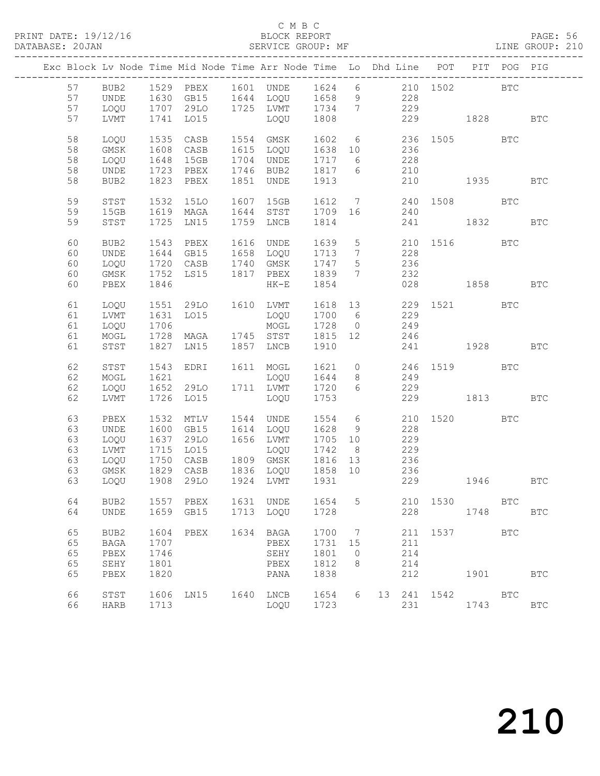#### C M B C<br>BLOCK REPORT

#### PAGE: 56<br>LINE GROUP: 210

|  |    |             |      |                                                |      | Exc Block Lv Node Time Mid Node Time Arr Node Time Lo Dhd Line POT PIT POG PIG |                |                 |     |            |                      |            |            |            |
|--|----|-------------|------|------------------------------------------------|------|--------------------------------------------------------------------------------|----------------|-----------------|-----|------------|----------------------|------------|------------|------------|
|  | 57 |             |      |                                                |      | BUB2 1529 PBEX 1601 UNDE 1624 6 210 1502 BTC                                   |                |                 |     |            |                      |            |            |            |
|  | 57 | <b>UNDE</b> |      |                                                |      | 1630 GB15 1644 LOQU 1658 9 228                                                 |                |                 |     |            |                      |            |            |            |
|  | 57 | LOQU        |      |                                                |      | 1707 29LO 1725 LVMT 1734 7                                                     |                |                 |     | 229        |                      |            |            |            |
|  | 57 | LVMT        |      | 1741 LO15                                      |      | LOQU 1808                                                                      |                |                 |     |            | 229 1828 BTC         |            |            |            |
|  | 58 | LOQU        | 1535 | CASB                                           |      | 1554 GMSK                                                                      | 1602 6         |                 |     |            | 236 1505 BTC         |            |            |            |
|  | 58 | GMSK        | 1608 | CASB                                           |      | 1615 LOQU 1638 10                                                              |                |                 |     | 236        |                      |            |            |            |
|  | 58 | LOQU        | 1648 | 15GB                                           |      | 1704 UNDE                                                                      | 1717 6         |                 |     | 228        |                      |            |            |            |
|  | 58 | UNDE        |      | 1723 PBEX   1746 BUB2<br>1823 PBEX   1851 UNDE |      |                                                                                | 1817 6<br>1913 |                 |     | 210        |                      |            |            |            |
|  | 58 | BUB2        |      | 1823 PBEX                                      |      | 1851 UNDE                                                                      |                |                 |     | 210        | 1935 BTC             |            |            |            |
|  | 59 | STST        | 1532 | 15LO                                           |      | 1607 15GB                                                                      |                |                 |     |            | 1612 7 240 1508 BTC  |            |            |            |
|  | 59 | 15GB        |      |                                                |      | 1619 MAGA 1644 STST 1709 16<br>1725 LN15 1759 LNCB 1814                        |                |                 |     | 240        |                      |            |            |            |
|  | 59 | STST        |      |                                                |      |                                                                                |                |                 |     |            | 241 1832 BTC         |            |            |            |
|  | 60 | BUB2        |      | 1543 PBEX 1616 UNDE                            |      |                                                                                | 1639           | $5\overline{)}$ |     |            | 210 1516 BTC         |            |            |            |
|  | 60 | UNDE        |      |                                                |      | 1644 GB15 1658 LOQU 1713<br>1720 CASB 1740 GMSK 1747                           |                | $\overline{7}$  |     | 228        |                      |            |            |            |
|  | 60 | LOQU        |      |                                                |      |                                                                                |                | $5\overline{)}$ |     | 236        |                      |            |            |            |
|  | 60 | GMSK        | 1752 |                                                |      | LS15 1817 PBEX 1839 7                                                          |                |                 |     | 232        |                      |            |            |            |
|  | 60 | PBEX        | 1846 |                                                |      | HK-E 1854                                                                      |                |                 |     |            | 028 1858 BTC         |            |            |            |
|  | 61 | LOQU        |      | 1551 29LO 1610 LVMT                            |      |                                                                                |                |                 |     |            | 1618 13 229 1521 BTC |            |            |            |
|  | 61 | LVMT        | 1631 | LO15                                           |      | LOQU                                                                           | 1700 6         |                 |     | 229        |                      |            |            |            |
|  | 61 | LOQU        | 1706 |                                                |      | MOGL 1728 0                                                                    |                |                 | 249 |            |                      |            |            |            |
|  | 61 | MOGL        |      |                                                |      | 1728 MAGA 1745 STST 1815 12                                                    |                |                 |     | 246        |                      |            |            |            |
|  | 61 | STST        |      | 1827 LN15 1857 LNCB                            |      |                                                                                | 1910           |                 |     |            | 241 1928 BTC         |            |            |            |
|  | 62 | STST        |      |                                                |      | 1543 EDRI 1611 MOGL 1621 0 246 1519 BTC                                        |                |                 |     |            |                      |            |            |            |
|  | 62 | MOGL        | 1621 |                                                |      | LOQU 1644                                                                      |                | 8 <sup>8</sup>  |     | 249        |                      |            |            |            |
|  | 62 | LOQU        |      | 1652 29LO 1711 LVMT                            |      |                                                                                | 1720           | 6               |     | 229        |                      |            |            |            |
|  | 62 | LVMT        |      | 1726 LO15                                      |      | LOQU                                                                           | 1753           |                 |     |            | 229 1813             |            |            | BTC        |
|  | 63 | PBEX        | 1532 | MTLV                                           |      | 1544 UNDE                                                                      | 1554 6         |                 |     |            | 210 1520             |            | BTC        |            |
|  | 63 | UNDE        |      | 1600 GB15                                      |      | 1614 LOQU 1628 9<br>1656 LVMT 1705 10                                          |                |                 |     | 228        |                      |            |            |            |
|  | 63 | LOQU        | 1637 | 29LO                                           |      |                                                                                |                |                 |     | 229        |                      |            |            |            |
|  | 63 | LVMT        | 1715 | LO15                                           |      | LOQU 1742 8                                                                    |                |                 |     | 229        |                      |            |            |            |
|  | 63 | LOQU        | 1750 | CASB                                           |      | 1809 GMSK 1816 13                                                              |                |                 |     | 236        |                      |            |            |            |
|  | 63 | GMSK        |      | 1829 CASB<br>1908 29LO                         |      | 1836 LOQU 1858 10<br>1924 LVMT 1931                                            |                |                 |     | 236<br>229 |                      |            |            |            |
|  | 63 | LOQU        |      |                                                |      |                                                                                |                |                 |     |            | 1946                 |            |            | <b>BTC</b> |
|  | 64 | BUB2        |      | 1557 PBEX                                      |      | 1631 UNDE                                                                      | 1654           | 5               |     | 210        | 1530                 | <b>BTC</b> |            |            |
|  | 64 | UNDE        |      | 1659 GB15                                      |      | 1713 LOQU                                                                      | 1728           |                 |     | 228        |                      | 1748       |            | BTC        |
|  | 65 | BUB2        | 1604 | PBEX                                           | 1634 | BAGA                                                                           | 1700           | $\overline{7}$  |     | 211        |                      |            | <b>BTC</b> |            |
|  | 65 | <b>BAGA</b> | 1707 |                                                |      | PBEX                                                                           | 1731           | 15              |     | 211        |                      |            |            |            |
|  | 65 | PBEX        | 1746 |                                                |      | SEHY                                                                           | 1801           | $\overline{0}$  |     | 214        |                      |            |            |            |
|  | 65 | SEHY        | 1801 |                                                |      | PBEX                                                                           | 1812           | 8               |     | 214        |                      |            |            |            |
|  | 65 | PBEX        | 1820 |                                                |      | PANA                                                                           | 1838           |                 |     | 212        |                      |            |            | <b>BTC</b> |
|  | 66 | STST        | 1606 | LN15 1640 LNCB                                 |      |                                                                                | 1654           | 6               |     |            | 13  241  1542   BTC  |            |            |            |
|  | 66 | HARB        | 1713 |                                                |      | LOQU                                                                           | 1723           |                 |     | 231        |                      | 1743       |            | BTC        |
|  |    |             |      |                                                |      |                                                                                |                |                 |     |            |                      |            |            |            |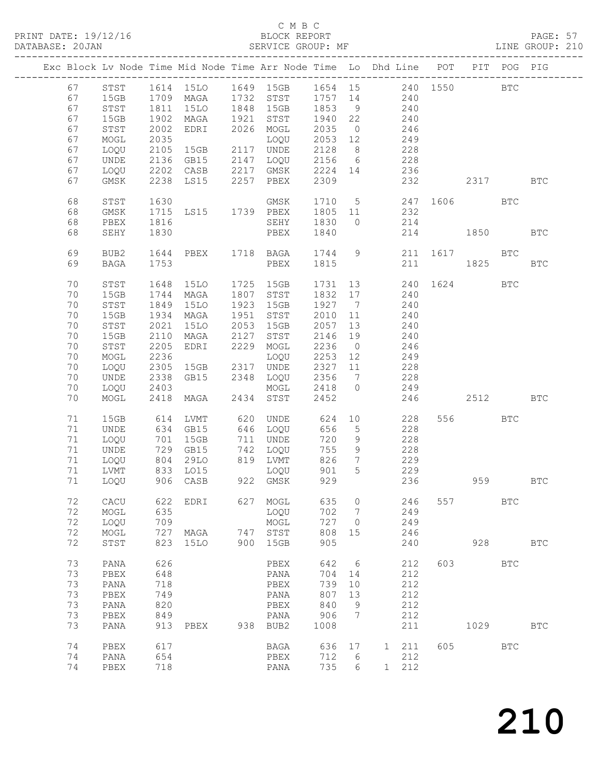PRINT DATE: 19/12/16 BLOCK REPORT BATABASE: 20JAN

#### C M B C<br>BLOCK REPORT

PAGE: 57<br>LINE GROUP: 210

|  |    |                  |                   |                |      | Exc Block Lv Node Time Mid Node Time Arr Node Time Lo Dhd Line POT PIT POG PIG |         |                   |              |     |     |                  |              |              |
|--|----|------------------|-------------------|----------------|------|--------------------------------------------------------------------------------|---------|-------------------|--------------|-----|-----|------------------|--------------|--------------|
|  |    |                  |                   |                |      |                                                                                |         |                   |              |     |     |                  |              |              |
|  | 67 | STST             |                   |                |      | 1614 15LO 1649 15GB                                                            |         |                   |              |     |     | 1654 15 240 1550 | $_{\rm BTC}$ |              |
|  | 67 | 15GB             |                   | 1709 MAGA      |      | 1732 STST 1757 14 240                                                          |         |                   |              |     |     |                  |              |              |
|  | 67 | STST             | 1811              | 15LO           |      | 1848 15GB                                                                      | 1853    | 9                 |              | 240 |     |                  |              |              |
|  | 67 | 15GB             | 1902              | MAGA           | 1921 | STST                                                                           | 1940 22 |                   | $240$        |     |     |                  |              |              |
|  | 67 | STST             | 2002              | EDRI           |      | 2026 MOGL                                                                      | 2035    | $\overline{0}$    | 246          |     |     |                  |              |              |
|  | 67 | MOGL             | 2035              |                |      | LOQU                                                                           | 2053 12 |                   |              | 249 |     |                  |              |              |
|  | 67 | LOQU             | 2105              | 15GB           |      | 2117 UNDE                                                                      | 2128    | 8 <sup>8</sup>    |              | 228 |     |                  |              |              |
|  | 67 | UNDE             | 2136              | GB15           |      | 2147 LOQU                                                                      | 2156    | $6\overline{6}$   | 228          |     |     |                  |              |              |
|  | 67 | LOQU             | 2202              | CASB           | 2217 | GMSK                                                                           | 2224 14 |                   | 236          |     |     |                  |              |              |
|  | 67 | GMSK             | 2238              |                | 2257 |                                                                                | 2309    |                   |              | 232 |     |                  |              | <b>BTC</b>   |
|  |    |                  |                   | LS15           |      | PBEX                                                                           |         |                   |              |     |     | 2317             |              |              |
|  | 68 | STST             | 1630              |                |      | GMSK                                                                           |         |                   | 1710 5       |     |     | 247 1606 BTC     |              |              |
|  | 68 | GMSK             |                   | LS15 1739 PBEX |      |                                                                                | 1805 11 |                   | 232          |     |     |                  |              |              |
|  |    |                  | 1715              |                |      |                                                                                |         |                   |              |     |     |                  |              |              |
|  | 68 | PBEX             | 1816              |                |      | SEHY                                                                           | 1830    | $\bigcirc$        |              | 214 |     |                  |              |              |
|  | 68 | SEHY             | 1830              |                |      | PBEX                                                                           | 1840    |                   |              | 214 |     | 1850             |              | BTC          |
|  |    |                  |                   |                |      |                                                                                |         |                   |              |     |     |                  |              |              |
|  | 69 | BUB <sub>2</sub> | 1644              | PBEX 1718 BAGA |      |                                                                                | 1744    | 9                 |              |     |     | 211 1617         | BTC          |              |
|  | 69 | <b>BAGA</b>      | 1753              |                |      | PBEX                                                                           | 1815    |                   |              | 211 |     | 1825             |              | <b>BTC</b>   |
|  |    |                  |                   |                |      |                                                                                |         |                   |              |     |     |                  |              |              |
|  | 70 | STST             | 1648              | 15LO           |      | 1725 15GB                                                                      | 1731 13 |                   |              |     |     | 240 1624         | <b>BTC</b>   |              |
|  | 70 | 15GB             | 1744              | MAGA           | 1807 | STST                                                                           | 1832    | 17                |              | 240 |     |                  |              |              |
|  | 70 | STST             | 1849              | <b>15LO</b>    | 1923 | 15GB                                                                           | 1927    | $\overline{7}$    |              | 240 |     |                  |              |              |
|  | 70 | 15GB             | 1934              | MAGA           | 1951 | STST                                                                           | 2010    | 11                |              | 240 |     |                  |              |              |
|  | 70 | STST             | 2021              | <b>15LO</b>    | 2053 | 15GB                                                                           | 2057    | 13                |              | 240 |     |                  |              |              |
|  | 70 | 15GB             | 2110              | MAGA           | 2127 | STST                                                                           | 2146    | 19                |              | 240 |     |                  |              |              |
|  | 70 | STST             | 2205              | EDRI           | 2229 | MOGL                                                                           | 2236    | $\overline{0}$    | 246          |     |     |                  |              |              |
|  | 70 | MOGL             | 2236              |                |      | LOQU                                                                           | 2253    | 12                |              |     |     |                  |              |              |
|  |    |                  |                   |                |      |                                                                                |         |                   |              | 249 |     |                  |              |              |
|  | 70 | LOQU             | 2305              | 15GB           |      | 2317 UNDE                                                                      | 2327 11 |                   | 228          | 228 |     |                  |              |              |
|  | 70 | UNDE             | 2338              | GB15           | 2348 | LOQU                                                                           | 2356    | $\overline{7}$    |              |     |     |                  |              |              |
|  | 70 | LOQU             | 2403              |                |      | MOGL 2418                                                                      |         | $\overline{0}$    | 249          |     |     |                  |              |              |
|  | 70 | MOGL             | 2418              | MAGA           |      | 2434 STST                                                                      | 2452    |                   |              | 246 |     | 2512             |              | <b>BTC</b>   |
|  |    |                  |                   |                |      |                                                                                |         |                   |              |     |     |                  |              |              |
|  | 71 | 15GB             | 614               | LVMT           | 620  | UNDE                                                                           | 624     | 10 <sup>°</sup>   |              | 228 |     | 556 700          | <b>BTC</b>   |              |
|  | 71 | <b>UNDE</b>      | 634               | GB15           |      | 646 LOQU                                                                       | 656     | $5\phantom{.0}$   |              | 228 |     |                  |              |              |
|  | 71 | LOQU             | 701               | 15GB           | 711  | UNDE                                                                           | 720     | 9                 |              | 228 |     |                  |              |              |
|  | 71 | UNDE             | 729<br>729<br>804 | GB15           |      | 742 LOQU                                                                       | 755     | 9                 |              | 228 |     |                  |              |              |
|  | 71 | LOQU             |                   | 29LO           |      | 819 LVMT                                                                       | 826     | $7\phantom{.0}\,$ | 229          |     |     |                  |              |              |
|  | 71 | LVMT             | 833               | LO15           |      | LOQU                                                                           | 901     | 5                 | 229          |     |     |                  |              |              |
|  | 71 | LOQU             |                   | 906 CASB       |      | 922 GMSK                                                                       | 929     |                   | 236          |     |     | 959              |              | <b>BTC</b>   |
|  |    |                  |                   |                |      |                                                                                |         |                   |              |     |     |                  |              |              |
|  | 72 | CACU             | 622               | EDRI           | 627  | MOGL                                                                           | 635     | 0                 |              | 246 | 557 |                  | <b>BTC</b>   |              |
|  | 72 | MOGL             | 635               |                |      | LOQU                                                                           | 702     | 7                 |              | 249 |     |                  |              |              |
|  | 72 | LOQU             | 709               |                |      | MOGL                                                                           | 727     | 0                 |              | 249 |     |                  |              |              |
|  | 72 | MOGL             | 727               | MAGA           | 747  | STST                                                                           | 808     | 15                |              | 246 |     |                  |              |              |
|  | 72 | STST             | 823               | 15LO           | 900  | 15GB                                                                           | 905     |                   |              | 240 |     | 928              |              | $_{\rm BTC}$ |
|  |    |                  |                   |                |      |                                                                                |         |                   |              |     |     |                  |              |              |
|  | 73 | PANA             | 626               |                |      | PBEX                                                                           | 642     | 6                 |              | 212 | 603 |                  | <b>BTC</b>   |              |
|  | 73 | PBEX             | 648               |                |      | PANA                                                                           | 704     | 14                |              | 212 |     |                  |              |              |
|  |    |                  |                   |                |      |                                                                                |         |                   |              |     |     |                  |              |              |
|  | 73 | PANA             | 718               |                |      | PBEX                                                                           | 739     | 10                |              | 212 |     |                  |              |              |
|  | 73 | PBEX             | 749               |                |      | PANA                                                                           | 807     | 13                |              | 212 |     |                  |              |              |
|  | 73 | PANA             | 820               |                |      | PBEX                                                                           | 840     | 9                 |              | 212 |     |                  |              |              |
|  | 73 | PBEX             | 849               |                |      | PANA                                                                           | 906     | 7                 |              | 212 |     |                  |              |              |
|  | 73 | PANA             | 913               | PBEX           | 938  | BUB2                                                                           | 1008    |                   |              | 211 |     | 1029             |              | $_{\rm BTC}$ |
|  |    |                  |                   |                |      |                                                                                |         |                   |              |     |     |                  |              |              |
|  | 74 | PBEX             | 617               |                |      | BAGA                                                                           | 636     | 17                | $\mathbf{1}$ | 211 | 605 |                  | <b>BTC</b>   |              |
|  | 74 | PANA             | 654               |                |      | ${\tt PBEX}$                                                                   | 712     | 6                 |              | 212 |     |                  |              |              |
|  | 74 | PBEX             | 718               |                |      | PANA                                                                           | 735     | 6                 | $\mathbf{1}$ | 212 |     |                  |              |              |
|  |    |                  |                   |                |      |                                                                                |         |                   |              |     |     |                  |              |              |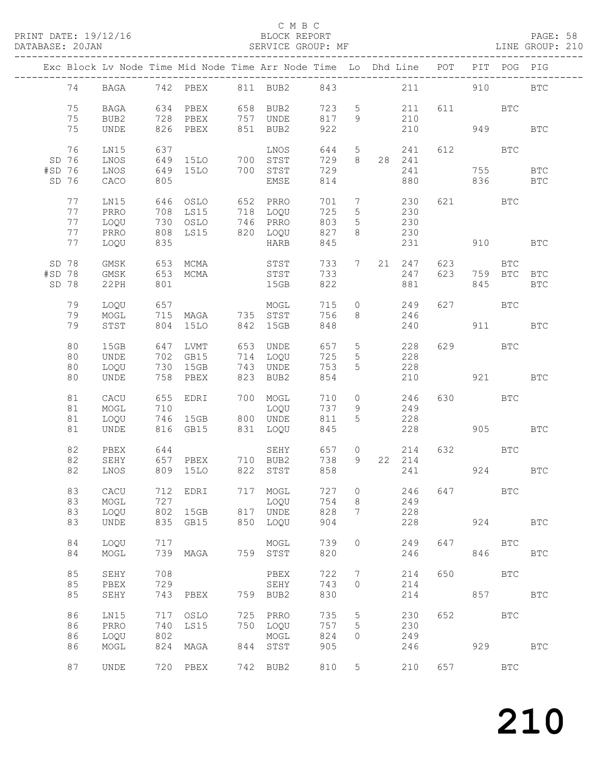PRINT DATE: 19/12/16 BLOCK REPORT BATABASE: 20JAN

#### C M B C<br>BLOCK REPORT

PAGE: 58<br>LINE GROUP: 210

|        |       |      |     |                                                          |     | Exc Block Lv Node Time Mid Node Time Arr Node Time Lo Dhd Line POT |       |                 |                |                |                |                             | PIT POG PIG                                                                                                                                                                                                                    |              |
|--------|-------|------|-----|----------------------------------------------------------|-----|--------------------------------------------------------------------|-------|-----------------|----------------|----------------|----------------|-----------------------------|--------------------------------------------------------------------------------------------------------------------------------------------------------------------------------------------------------------------------------|--------------|
|        |       |      |     |                                                          |     |                                                                    |       |                 |                |                |                |                             |                                                                                                                                                                                                                                |              |
|        | 74    |      |     |                                                          |     | BAGA 742 PBEX 811 BUB2 843                                         |       |                 |                |                | 211 21         |                             | 910 — 200                                                                                                                                                                                                                      | <b>BTC</b>   |
|        | 75    | BAGA |     |                                                          |     | 634 PBEX 658 BUB2                                                  | 723   |                 | 5 <sub>5</sub> | 211            |                | 611 BTC                     |                                                                                                                                                                                                                                |              |
|        | 75    | BUB2 |     |                                                          |     | 728 PBEX 757 UNDE                                                  | 817   | - 9             |                | 210            |                |                             |                                                                                                                                                                                                                                |              |
|        | 75    | UNDE |     | 826 PBEX                                                 |     | 851 BUB2                                                           | 922   |                 |                | 210            | 949            |                             |                                                                                                                                                                                                                                | <b>BTC</b>   |
|        |       |      |     |                                                          |     |                                                                    |       |                 |                |                |                |                             |                                                                                                                                                                                                                                |              |
|        | 76    | LN15 | 637 |                                                          |     | LNOS                                                               | 644   |                 |                | 5 241          |                | 612 000                     | <b>BTC</b>                                                                                                                                                                                                                     |              |
|        |       |      |     |                                                          |     |                                                                    | 729   | 8 <sup>1</sup>  |                |                |                |                             |                                                                                                                                                                                                                                |              |
|        | SD 76 | LNOS |     | 649 15LO 700 STST                                        |     |                                                                    |       |                 |                | 28 241         |                |                             |                                                                                                                                                                                                                                |              |
| #SD 76 |       | LNOS |     | 649 15LO                                                 |     | 700 STST                                                           | 729   |                 |                | 241            |                |                             | 755                                                                                                                                                                                                                            | BTC          |
|        | SD 76 | CACO | 805 |                                                          |     | EMSE                                                               | 814   |                 |                | 880            |                |                             | 836 18                                                                                                                                                                                                                         | $_{\rm BTC}$ |
|        |       |      |     |                                                          |     |                                                                    |       |                 |                |                |                |                             |                                                                                                                                                                                                                                |              |
|        | 77    | LN15 |     |                                                          |     |                                                                    | 701   | $\overline{7}$  |                | 230            |                | 621 BTC                     |                                                                                                                                                                                                                                |              |
|        | 77    | PRRO |     | 708 LS15<br>730 OSLO<br>808 LS15                         |     | 718 LOQU<br>746 PRRO<br>820 LOQU                                   | 725   | $5\overline{)}$ |                | 230            |                |                             |                                                                                                                                                                                                                                |              |
|        | 77    | LOQU |     |                                                          |     |                                                                    | 803   | $5\overline{)}$ |                | $230$<br>$230$ |                |                             |                                                                                                                                                                                                                                |              |
|        | 77    | PRRO |     |                                                          |     |                                                                    | 827   | 8               |                |                |                |                             |                                                                                                                                                                                                                                |              |
|        | 77    | LOQU | 835 |                                                          |     | HARB                                                               | 845   |                 |                | 231            |                |                             | 910 — 10                                                                                                                                                                                                                       | <b>BTC</b>   |
|        |       |      |     |                                                          |     |                                                                    |       |                 |                |                |                |                             |                                                                                                                                                                                                                                |              |
|        | SD 78 | GMSK |     |                                                          |     |                                                                    | 733   | 7               |                | 21 247         |                | 623 and $\overline{a}$      | BTC                                                                                                                                                                                                                            |              |
| #SD 78 |       | GMSK |     | 653 МСМА<br>653 МСМА                                     |     | STST<br>STST                                                       | 733   |                 |                | 247            | 623            |                             | 759 BTC BTC                                                                                                                                                                                                                    |              |
|        | SD 78 | 22PH | 801 |                                                          |     | 15GB                                                               | 822   |                 |                | 881            |                | 845                         |                                                                                                                                                                                                                                | <b>BTC</b>   |
|        |       |      |     |                                                          |     |                                                                    |       |                 |                |                |                |                             |                                                                                                                                                                                                                                |              |
|        | 79    | LOQU | 657 |                                                          |     |                                                                    | 715   | $\overline{O}$  |                | 249            |                | 627 BTC                     |                                                                                                                                                                                                                                |              |
|        | 79    | MOGL |     | <sup>715</sup> MAGA 735 STST                             |     | MOGL<br>STST                                                       | 756   | 8               |                | 246            |                |                             |                                                                                                                                                                                                                                |              |
|        | 79    | STST |     | 804 15LO                                                 |     | 842 15GB                                                           | 848   |                 |                | 240            |                |                             | 911 — 2014 — 2025 — 2025 — 2025 — 2025 — 2025 — 2025 — 2025 — 2025 — 2025 — 2025 — 2025 — 2025 — 2025 — 2025 — 2025 — 2025 — 2025 — 2025 — 2025 — 2025 — 2025 — 2025 — 2025 — 2025 — 2025 — 2025 — 2025 — 2025 — 2025 — 2025 — | BTC          |
|        |       |      |     |                                                          |     |                                                                    |       |                 |                |                |                |                             |                                                                                                                                                                                                                                |              |
|        | 80    | 15GB |     |                                                          |     |                                                                    | 657 5 |                 |                | 228            |                | 629 and the state of $\sim$ | BTC                                                                                                                                                                                                                            |              |
|        | 80    | UNDE |     | 647 LVMT       653  UNDE<br>702   GB15        714   LOQU |     |                                                                    | 725   |                 |                | 228            |                |                             |                                                                                                                                                                                                                                |              |
|        |       |      |     | 730 15GB                                                 |     |                                                                    |       | $5\overline{)}$ |                |                |                |                             |                                                                                                                                                                                                                                |              |
|        | 80    | LOQU |     |                                                          |     | 743 UNDE                                                           | 753   | 5               |                | 228            |                |                             |                                                                                                                                                                                                                                |              |
|        | 80    | UNDE |     | 758 PBEX                                                 |     | 823 BUB2                                                           | 854   |                 |                | 210            | <b>921</b> BTC |                             |                                                                                                                                                                                                                                |              |
|        |       |      |     |                                                          |     |                                                                    |       |                 |                |                |                |                             |                                                                                                                                                                                                                                |              |
|        | 81    | CACU |     | 655 EDRI                                                 |     | 700 MOGL                                                           | 710   | $\circ$         |                | 246            |                | 630 BTC                     |                                                                                                                                                                                                                                |              |
|        | 81    | MOGL | 710 |                                                          |     | LOQU                                                               | 737   | - 9             |                | 249            |                |                             |                                                                                                                                                                                                                                |              |
|        | 81    | LOQU |     | 746 15GB                                                 |     | 800 UNDE                                                           | 811   | 5               |                | 228            |                |                             |                                                                                                                                                                                                                                |              |
|        | 81    | UNDE |     | 816 GB15                                                 |     | 831 LOQU                                                           | 845   |                 |                | 228            |                |                             | 905 — 100                                                                                                                                                                                                                      | <b>BTC</b>   |
|        |       |      |     |                                                          |     |                                                                    |       |                 |                |                |                |                             |                                                                                                                                                                                                                                |              |
|        | 82    | PBEX | 644 |                                                          |     | SEHY                                                               |       |                 | 657 0          | 214            |                | 632 BTC                     |                                                                                                                                                                                                                                |              |
|        | 82    | SEHY |     |                                                          |     | 657 PBEX 710 BUB2                                                  | 738   |                 |                | 9 22 214       |                |                             |                                                                                                                                                                                                                                |              |
|        | 82    | LNOS |     | 809 15LO                                                 |     | 822 STST                                                           | 858   |                 |                |                | 241            |                             | 924                                                                                                                                                                                                                            | $_{\rm BTC}$ |
|        |       |      |     |                                                          |     |                                                                    |       |                 |                |                |                |                             |                                                                                                                                                                                                                                |              |
|        | 83    | CACU |     |                                                          |     | 712 EDRI 717 MOGL                                                  |       |                 |                |                | 727 0 246 647  |                             | $_{\rm BTC}$                                                                                                                                                                                                                   |              |
|        | 83    | MOGL | 727 |                                                          |     | LOQU                                                               | 754   | 8               |                | 249            |                |                             |                                                                                                                                                                                                                                |              |
|        | 83    | LOQU | 802 | 15GB                                                     |     | 817 UNDE                                                           | 828   | 7               |                | 228            |                |                             |                                                                                                                                                                                                                                |              |
|        | 83    | UNDE | 835 | GB15                                                     |     | 850 LOQU                                                           | 904   |                 |                | 228            |                | 924                         |                                                                                                                                                                                                                                | <b>BTC</b>   |
|        |       |      |     |                                                          |     |                                                                    |       |                 |                |                |                |                             |                                                                                                                                                                                                                                |              |
|        | 84    | LOQU | 717 |                                                          |     | MOGL                                                               | 739   | $\circ$         |                | 249            | 647            |                             | <b>BTC</b>                                                                                                                                                                                                                     |              |
|        | 84    | MOGL | 739 | MAGA                                                     |     | 759 STST                                                           | 820   |                 |                | 246            |                | 846                         |                                                                                                                                                                                                                                | <b>BTC</b>   |
|        |       |      |     |                                                          |     |                                                                    |       |                 |                |                |                |                             |                                                                                                                                                                                                                                |              |
|        | 85    | SEHY | 708 |                                                          |     | PBEX                                                               | 722   | $7\phantom{.0}$ |                | 214            | 650            |                             | BTC                                                                                                                                                                                                                            |              |
|        | 85    | PBEX | 729 |                                                          |     | SEHY                                                               | 743   | $\circ$         |                | 214            |                |                             |                                                                                                                                                                                                                                |              |
|        | 85    | SEHY | 743 | PBEX                                                     |     | 759 BUB2                                                           | 830   |                 |                | 214            |                |                             | 857 8                                                                                                                                                                                                                          | <b>BTC</b>   |
|        |       |      |     |                                                          |     |                                                                    |       |                 |                |                |                |                             |                                                                                                                                                                                                                                |              |
|        | 86    |      | 717 |                                                          |     | 725 PRRO                                                           | 735   |                 |                |                | 652            |                             | <b>BTC</b>                                                                                                                                                                                                                     |              |
|        |       | LN15 |     | OSLO                                                     |     |                                                                    |       | 5               |                | 230            |                |                             |                                                                                                                                                                                                                                |              |
|        | 86    | PRRO | 740 | LS15                                                     | 750 | LOQU                                                               | 757   | 5               |                | 230            |                |                             |                                                                                                                                                                                                                                |              |
|        | 86    | LOQU | 802 |                                                          |     | MOGL                                                               | 824   | 0               |                | 249            |                |                             |                                                                                                                                                                                                                                |              |
|        | 86    | MOGL | 824 | MAGA                                                     | 844 | STST                                                               | 905   |                 |                | 246            |                | 929                         |                                                                                                                                                                                                                                | <b>BTC</b>   |
|        |       |      |     |                                                          |     |                                                                    |       |                 |                |                |                |                             |                                                                                                                                                                                                                                |              |
|        | 87    | UNDE |     | 720 PBEX                                                 | 742 | BUB2                                                               | 810   | 5               |                | 210            | 657            |                             | $_{\rm BTC}$                                                                                                                                                                                                                   |              |
|        |       |      |     |                                                          |     |                                                                    |       |                 |                |                |                |                             |                                                                                                                                                                                                                                |              |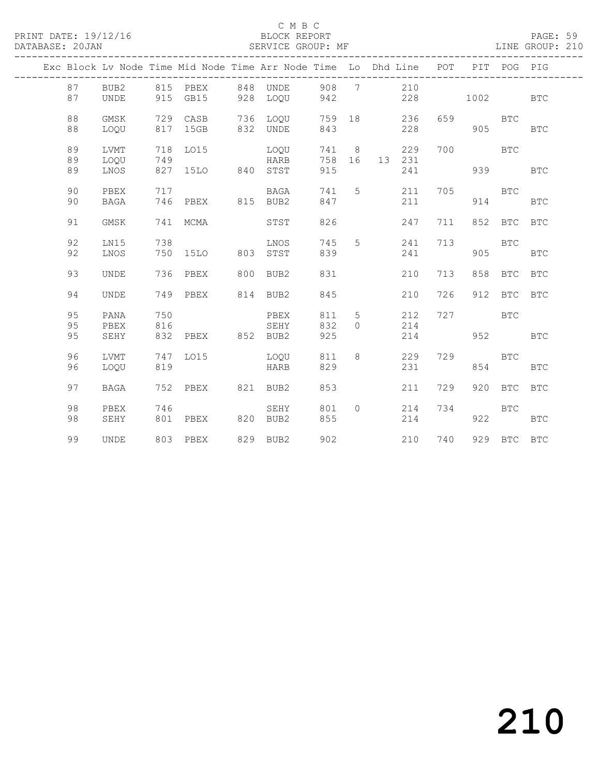#### C M B C

| PRINT DATE: 19/12/16<br>DATABASE: 20JAN |    |             |     |                                                                                |     | BLOCK REPORT<br>SERVICE GROUP: MF   |     |           |        |               |     |            |             | PAGE: 59<br>LINE GROUP: 210 |  |
|-----------------------------------------|----|-------------|-----|--------------------------------------------------------------------------------|-----|-------------------------------------|-----|-----------|--------|---------------|-----|------------|-------------|-----------------------------|--|
|                                         |    |             |     | Exc Block Lv Node Time Mid Node Time Arr Node Time Lo Dhd Line POT PIT POG PIG |     | . _ _ _ _ _ _ _ _ _ _ _ _ _ _ _ _ _ |     |           |        |               |     |            |             |                             |  |
|                                         | 87 | BUB2        |     | 815 PBEX                                                                       |     | 848 UNDE 908 7 210                  |     |           |        |               |     |            |             |                             |  |
|                                         | 87 | UNDE        |     | 915 GB15 928 LOQU                                                              |     |                                     | 942 |           |        |               | 228 |            | 1002 200    | <b>BTC</b>                  |  |
|                                         | 88 | GMSK        |     | 729 CASB                                                                       |     | 736 LOQU                            |     |           | 759 18 | 236           | 659 |            | <b>BTC</b>  |                             |  |
|                                         | 88 | LOOU        |     | 817 15GB                                                                       |     | 832 UNDE                            | 843 |           |        | 228           |     |            | 905         | <b>BTC</b>                  |  |
|                                         | 89 | LVMT        |     | 718 LO15                                                                       |     | LOQU                                |     |           | 741 8  | 229           | 700 | <b>BTC</b> |             |                             |  |
|                                         | 89 | LOQU        | 749 |                                                                                |     | HARB                                |     |           |        | 758 16 13 231 |     |            |             |                             |  |
|                                         | 89 | LNOS        |     | 827 15LO 840 STST                                                              |     |                                     | 915 |           |        | 241           |     |            | 939 — 10    | <b>BTC</b>                  |  |
|                                         | 90 | PBEX        | 717 |                                                                                |     | BAGA                                |     | 741 5     |        | 211           | 705 |            | <b>BTC</b>  |                             |  |
|                                         | 90 | <b>BAGA</b> | 746 | PBEX 815 BUB2                                                                  |     |                                     | 847 |           |        | 211           |     | 914        |             | <b>BTC</b>                  |  |
|                                         | 91 | GMSK        | 741 | MCMA                                                                           |     | STST                                | 826 |           |        | 247           | 711 | 852        | BTC         | <b>BTC</b>                  |  |
|                                         | 92 | LN15        | 738 |                                                                                |     | LNOS                                | 745 | 5         |        | 241           | 713 |            | <b>BTC</b>  |                             |  |
|                                         | 92 | LNOS        |     | 750 15LO                                                                       | 803 | STST                                | 839 |           |        | 241           |     | 905        |             | <b>BTC</b>                  |  |
|                                         | 93 | UNDE        | 736 | PBEX                                                                           |     | 800 BUB2                            | 831 |           |        | 210           | 713 | 858        |             | BTC BTC                     |  |
|                                         | 94 | <b>UNDE</b> | 749 | PBEX                                                                           |     | 814 BUB2                            | 845 |           |        | 210           | 726 | 912        | <b>BTC</b>  | <b>BTC</b>                  |  |
|                                         | 95 | PANA        | 750 |                                                                                |     | PBEX                                | 811 | 5         |        | 212           | 727 |            | <b>BTC</b>  |                             |  |
|                                         | 95 | PBEX        | 816 |                                                                                |     | SEHY                                | 832 | $\bigcap$ |        | 214           |     |            |             |                             |  |
|                                         | 95 | SEHY        | 832 | PBEX 852 BUB2                                                                  |     |                                     | 925 |           |        | 214           |     |            | 952   1920  | <b>BTC</b>                  |  |
|                                         | 96 | LVMT        | 747 | LO15                                                                           |     | LOOU                                | 811 | 8         |        | 229           | 729 |            | <b>BTC</b>  |                             |  |
|                                         | 96 | LOQU        | 819 |                                                                                |     | HARB                                | 829 |           |        | 231           |     | 854        |             | <b>BTC</b>                  |  |
|                                         | 97 | BAGA        | 752 | PBEX                                                                           |     | 821 BUB2                            | 853 |           |        | 211           | 729 |            | 920 BTC     | <b>BTC</b>                  |  |
|                                         | 98 | PBEX        | 746 |                                                                                |     | SEHY                                | 801 | $\circ$   |        | 214           | 734 |            | BTC         |                             |  |
|                                         | 98 | SEHY        | 801 | PBEX 820 BUB2                                                                  |     |                                     | 855 |           |        | 214           |     | 922        |             | <b>BTC</b>                  |  |
|                                         | 99 | <b>UNDE</b> |     | 803 PBEX                                                                       |     | 829 BUB2                            | 902 |           |        | 210           | 740 |            | 929 BTC BTC |                             |  |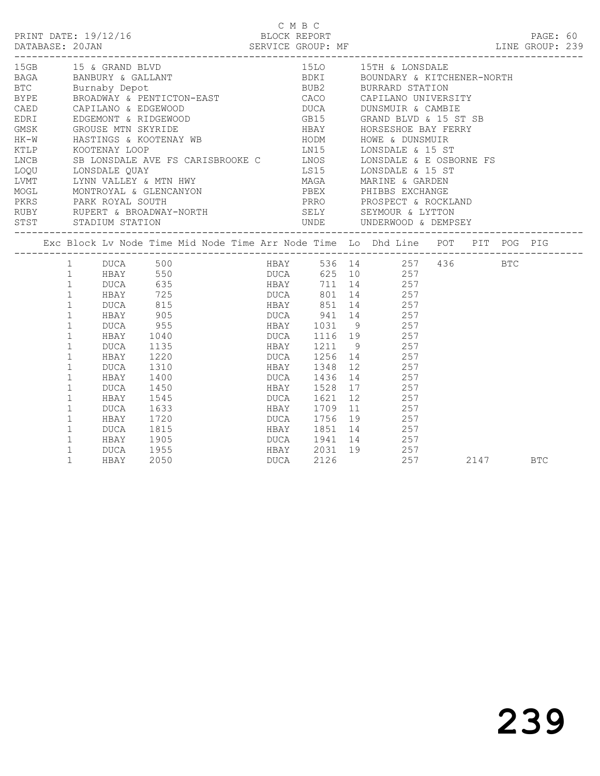|                      |                                                                                                                                                                                                                                                                |                                                                                                                            |                                                                                                             |  | C M B C |      |  |                                                                                                                                                                                                                                                                                                                                                                                                                                                                                                                                                                       |      |            |  |
|----------------------|----------------------------------------------------------------------------------------------------------------------------------------------------------------------------------------------------------------------------------------------------------------|----------------------------------------------------------------------------------------------------------------------------|-------------------------------------------------------------------------------------------------------------|--|---------|------|--|-----------------------------------------------------------------------------------------------------------------------------------------------------------------------------------------------------------------------------------------------------------------------------------------------------------------------------------------------------------------------------------------------------------------------------------------------------------------------------------------------------------------------------------------------------------------------|------|------------|--|
| 15GB 15 & GRAND BLVD |                                                                                                                                                                                                                                                                |                                                                                                                            |                                                                                                             |  |         |      |  | 15LO 15TH & LONSDALE<br>BAGA BANBURY & GALLANT BOUNDARY & KITCHENER-NORTH<br>BTC Burnaby Depot BUB2 BURRARD STATION<br>BTPE BROADWAY & PENTICTON-EAST CACO CAPILANO UNIVERSITY<br>CAED CAPILANO & EDGEWOOD DUCA DUNSMUIR & CAMBIE<br>EDRI EDGEMONT & RIDGEWOOD<br>GMSK GROUSE MTN SKYRIDE (FOR SEAR HEAT A HORSESHOE BAY FERRY HEAT ASSESS ON HEAR HORSES AND HOWE & DUNSMUIR KTLP KOOTENAY LOOP<br>LINCE SE LONSDALE AVE FS CARISBROOKE C<br>LONS LONSDALE AVE FS CARISBROOKE C<br>LONS LONSDALE & LONSDALE & I5 ST<br>LONSDALE AVEX & MTN HWY LINGA MARINE & GARDEN |      |            |  |
|                      |                                                                                                                                                                                                                                                                |                                                                                                                            |                                                                                                             |  |         |      |  | Exc Block Lv Node Time Mid Node Time Arr Node Time Lo Dhd Line POT PIT POG PIG                                                                                                                                                                                                                                                                                                                                                                                                                                                                                        |      |            |  |
|                      | 1<br>$\mathbf{1}$<br>$\mathbf{1}$<br>$\mathbf{1}$<br>$\mathbf{1}$<br>$\mathbf{1}$<br>$\mathbf{1}$<br>$\mathbf{1}$<br>$\mathbf 1$<br>$\mathbf{1}$<br>$\mathbf{1}$<br>$\mathbf{1}$<br>$\mathbf 1$<br>$\mathbf{1}$<br>$\mathbf 1$<br>$\mathbf{1}$<br>$\mathbf{1}$ | 1 DUCA 500<br>DUCA<br>HBAY<br>DUCA<br>HBAY<br>DUCA<br>HBAY<br>DUCA<br>HBAY<br>DUCA<br>HBAY<br>DUCA<br>HBAY<br>DUCA<br>HBAY | 955<br>1040<br>1135<br>1220<br>1310<br>1400<br>1450<br>1545<br>1633<br>1720<br>1815<br>1905<br>1955<br>2050 |  | DUCA    | 2126 |  | HBAY 536 14 257 436 BTC<br>1 HBAY 550 DUCA 625 10 257<br>1 DUCA 635 HBAY 711 14 257<br>1991 14<br>257 DUCA 815<br>257 HBAY 905 DUCA 941 14<br>257 HBAY 905 DUCA 941 14<br>1031 9 257<br>1116 19 257<br>1116 19 257<br>1211 9 257<br>DUCA 1256 14 257<br>HBAY 1348 12 257<br>DUCA 1436 14 257<br>HBAY 1528 17 257<br>DUCA 1621 12 257<br>HBAY 1709 11 257<br>DUCA 1756 19 257<br>HBAY 1851 14 257<br>DUCA 1941 14 257<br>HBAY 2031 19 257<br>257                                                                                                                       | 2147 | <b>BTC</b> |  |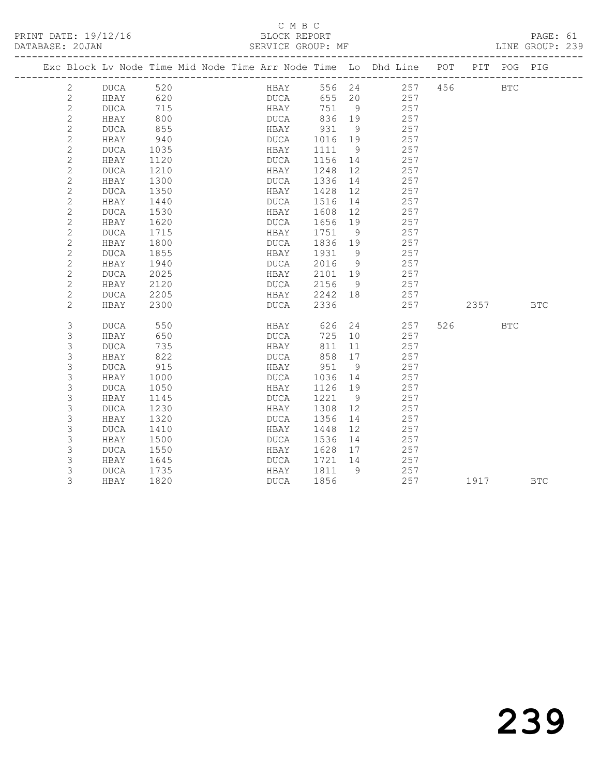| DATABASE: 20JAN |                | ----------------------                                                         |      |  | SERVICE GROUP: MF |             |          |      |                |     |     |                    |      |            | LINE GROUP: 239 |
|-----------------|----------------|--------------------------------------------------------------------------------|------|--|-------------------|-------------|----------|------|----------------|-----|-----|--------------------|------|------------|-----------------|
|                 |                | Exc Block Lv Node Time Mid Node Time Arr Node Time Lo Dhd Line POT PIT POG PIG |      |  |                   |             |          |      |                |     |     |                    |      |            |                 |
|                 | 2              | DUCA 520                                                                       |      |  |                   | HBAY        |          |      |                |     |     | 556 24 257 456 BTC |      |            |                 |
|                 | $\mathbf{2}$   | HBAY                                                                           | 620  |  |                   | DUCA        |          |      | 655 20         | 257 |     |                    |      |            |                 |
|                 | $\overline{c}$ | DUCA                                                                           | 715  |  |                   | HBAY        |          | 751  | $\overline{9}$ |     | 257 |                    |      |            |                 |
|                 | $\overline{c}$ | HBAY                                                                           | 800  |  |                   | DUCA        | 836      |      | 19             |     | 257 |                    |      |            |                 |
|                 | $\mathbf{2}$   | DUCA                                                                           | 855  |  |                   |             | HBAY 931 |      | - 9            |     | 257 |                    |      |            |                 |
|                 | $\mathbf{2}$   | HBAY                                                                           | 940  |  |                   | DUCA        |          |      | 1016 19        |     | 257 |                    |      |            |                 |
|                 | $\mathbf{2}$   | DUCA                                                                           | 1035 |  |                   | HBAY        | 1111     |      | 9              |     | 257 |                    |      |            |                 |
|                 | $\overline{c}$ | HBAY                                                                           | 1120 |  |                   | DUCA        |          | 1156 | 14             |     | 257 |                    |      |            |                 |
|                 | $\mathbf{2}$   | DUCA                                                                           | 1210 |  |                   | HBAY        | 1248     |      | 12             |     | 257 |                    |      |            |                 |
|                 | $\mathbf{2}$   | HBAY                                                                           | 1300 |  |                   | DUCA        | 1336     |      | 14             |     | 257 |                    |      |            |                 |
|                 | $\mathbf{2}$   | DUCA                                                                           | 1350 |  |                   | HBAY        | 1428     |      | 12             |     | 257 |                    |      |            |                 |
|                 | $\mathbf{2}$   | HBAY                                                                           | 1440 |  |                   | DUCA        | 1516     |      | 14             |     | 257 |                    |      |            |                 |
|                 | $\mathbf{2}$   | DUCA                                                                           | 1530 |  |                   | HBAY        | 1608     |      | 12             |     | 257 |                    |      |            |                 |
|                 | $\mathbf{2}$   | HBAY                                                                           | 1620 |  |                   | DUCA        | 1656     |      | 19             |     | 257 |                    |      |            |                 |
|                 | $\overline{c}$ | <b>DUCA</b>                                                                    | 1715 |  |                   | HBAY        | 1751     |      | 9              |     | 257 |                    |      |            |                 |
|                 | $\mathbf{2}$   | HBAY                                                                           | 1800 |  |                   | DUCA        |          |      | 1836 19        |     | 257 |                    |      |            |                 |
|                 | $\mathbf{2}$   | <b>DUCA</b>                                                                    | 1855 |  |                   | HBAY        | 1931     |      | - 9            |     | 257 |                    |      |            |                 |
|                 | $\mathbf{2}$   | HBAY                                                                           | 1940 |  |                   | DUCA        | 2016     |      | 9              |     | 257 |                    |      |            |                 |
|                 | $\overline{c}$ | <b>DUCA</b>                                                                    | 2025 |  |                   | HBAY        |          |      | 2101 19        |     | 257 |                    |      |            |                 |
|                 | $\overline{2}$ | HBAY                                                                           | 2120 |  |                   | DUCA        | 2156     |      | 9              |     | 257 |                    |      |            |                 |
|                 | $\mathbf{2}$   | DUCA                                                                           | 2205 |  |                   | <b>HBAY</b> |          |      | 2242 18        |     | 257 |                    |      |            |                 |
|                 | 2              | HBAY                                                                           | 2300 |  |                   | DUCA        | 2336     |      |                |     | 257 |                    |      |            | <b>BTC</b>      |
|                 | $\mathsf 3$    | DUCA                                                                           | 550  |  |                   | <b>HBAY</b> |          | 626  |                | 24  | 257 |                    | 526  | <b>BTC</b> |                 |
|                 | 3              | HBAY                                                                           | 650  |  |                   | DUCA        |          | 725  | 10             |     | 257 |                    |      |            |                 |
|                 | 3              | <b>DUCA</b>                                                                    | 735  |  |                   | HBAY        |          | 811  | 11             |     | 257 |                    |      |            |                 |
|                 | 3              | HBAY                                                                           | 822  |  |                   | DUCA        |          | 858  | 17             |     | 257 |                    |      |            |                 |
|                 | 3              | DUCA                                                                           | 915  |  |                   | HBAY        | 951      |      | 9              |     | 257 |                    |      |            |                 |
|                 | 3              | HBAY                                                                           | 1000 |  |                   | DUCA        |          | 1036 | 14             |     | 257 |                    |      |            |                 |
|                 | 3              | DUCA                                                                           | 1050 |  |                   | HBAY        |          | 1126 | 19             |     | 257 |                    |      |            |                 |
|                 | 3              | HBAY                                                                           | 1145 |  |                   | DUCA        | 1221     |      | 9              |     | 257 |                    |      |            |                 |
|                 | 3              | DUCA                                                                           | 1230 |  |                   | HBAY        | 1308     |      | 12             |     | 257 |                    |      |            |                 |
|                 | 3              | HBAY                                                                           | 1320 |  |                   | DUCA        | 1356     |      | 14             |     | 257 |                    |      |            |                 |
|                 | 3              | <b>DUCA</b>                                                                    | 1410 |  |                   | HBAY        | 1448     |      | 12             |     | 257 |                    |      |            |                 |
|                 | $\mathsf 3$    | HBAY                                                                           | 1500 |  |                   | DUCA        | 1536     |      | 14             |     | 257 |                    |      |            |                 |
|                 | 3              | DUCA                                                                           | 1550 |  |                   | HBAY        |          | 1628 | 17             |     | 257 |                    |      |            |                 |
|                 | 3              | HBAY                                                                           | 1645 |  |                   | DUCA        |          |      | 1721 14        | 257 |     |                    |      |            |                 |
|                 | 3              | DUCA                                                                           | 1735 |  |                   | HBAY        | 1811     |      | 9              |     | 257 |                    |      |            |                 |
|                 | 3              | HBAY                                                                           | 1820 |  |                   | DUCA        | 1856     |      |                |     | 257 |                    | 1917 |            | <b>BTC</b>      |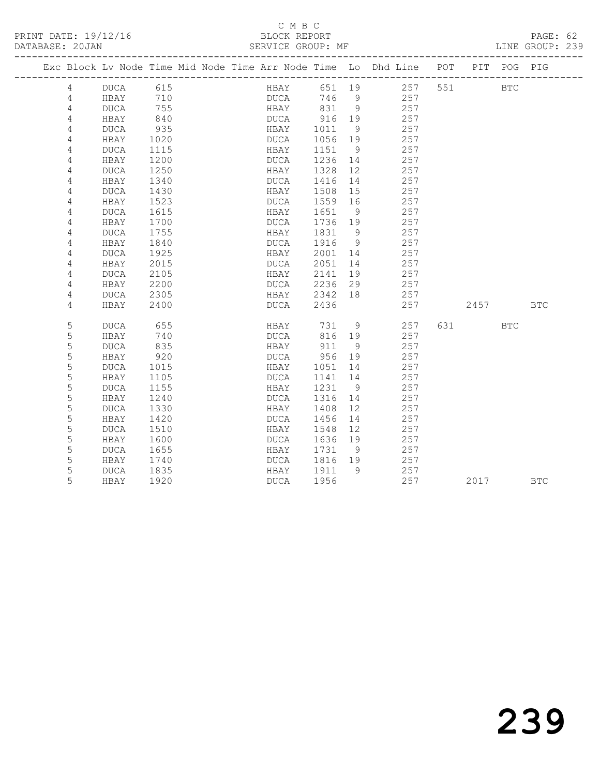#### C M B C<br>BLOCK REPORT

PAGE: 62<br>LINE GROUP: 239

|  |                |             |      | Exc Block Lv Node Time Mid Node Time Arr Node Time Lo Dhd Line POT |      |      |            |                |                 |     | PIT      | POG        | PIG        |
|--|----------------|-------------|------|--------------------------------------------------------------------|------|------|------------|----------------|-----------------|-----|----------|------------|------------|
|  | 4              | DUCA        | 615  |                                                                    |      |      |            |                | HBAY 651 19 257 | 551 |          | <b>BTC</b> |            |
|  | 4              | HBAY        | 710  |                                                                    |      | DUCA | 746 9      |                | 257             |     |          |            |            |
|  | 4              | DUCA        | 755  |                                                                    |      |      | HBAY 831 9 |                | 257             |     |          |            |            |
|  | 4              | HBAY        | 840  |                                                                    | DUCA |      | 916 19     |                | 257             |     |          |            |            |
|  | 4              | <b>DUCA</b> | 935  |                                                                    | HBAY |      | 1011       | - 9            | 257             |     |          |            |            |
|  | $\overline{4}$ | HBAY        | 1020 |                                                                    | DUCA |      | 1056       | 19             | 257             |     |          |            |            |
|  | 4              | DUCA        | 1115 |                                                                    | HBAY |      | 1151       | - 9            | 257             |     |          |            |            |
|  | 4              | HBAY        | 1200 |                                                                    | DUCA |      | 1236       | 14             | 257             |     |          |            |            |
|  | 4              | <b>DUCA</b> | 1250 |                                                                    | HBAY |      | 1328       | 12             | 257             |     |          |            |            |
|  | 4              | HBAY        | 1340 |                                                                    | DUCA |      | 1416       | 14             | 257             |     |          |            |            |
|  | 4              | DUCA        | 1430 |                                                                    | HBAY |      | 1508       | 15             | 257             |     |          |            |            |
|  | 4              | HBAY        | 1523 |                                                                    | DUCA |      | 1559       | 16             | 257             |     |          |            |            |
|  | 4              | DUCA        | 1615 |                                                                    | HBAY |      | 1651       | - 9            | 257             |     |          |            |            |
|  | 4              | HBAY        | 1700 |                                                                    | DUCA |      | 1736       | 19             | 257             |     |          |            |            |
|  | 4              | <b>DUCA</b> | 1755 |                                                                    | HBAY |      | 1831       | 9              | 257             |     |          |            |            |
|  | 4              | HBAY        | 1840 |                                                                    | DUCA |      | 1916       | 9              | 257             |     |          |            |            |
|  | 4              | DUCA        | 1925 |                                                                    | HBAY |      | 2001       | 14             | 257             |     |          |            |            |
|  | 4              | HBAY        | 2015 |                                                                    | DUCA |      | 2051       | 14             | 257             |     |          |            |            |
|  | 4              | DUCA        | 2105 |                                                                    | HBAY |      | 2141       | 19             | 257             |     |          |            |            |
|  | 4              | HBAY        | 2200 |                                                                    | DUCA |      | 2236       | 29             | 257             |     |          |            |            |
|  | 4              | DUCA        | 2305 |                                                                    |      | HBAY | 2342       | 18             | 257             |     |          |            |            |
|  | 4              | HBAY        | 2400 |                                                                    |      | DUCA | 2436       |                | 257             |     | 2457 BTC |            |            |
|  | 5              | DUCA        | 655  |                                                                    |      | HBAY | 731        | 9              |                 | 257 |          | BTC        |            |
|  | 5              | HBAY        | 740  |                                                                    | DUCA |      | 816 19     |                | 257             |     |          |            |            |
|  | 5              | <b>DUCA</b> | 835  |                                                                    | HBAY |      | 911        | - 9            | 257             |     |          |            |            |
|  | 5              | HBAY        | 920  |                                                                    | DUCA |      | 956        | 19             | 257             |     |          |            |            |
|  | 5              | <b>DUCA</b> | 1015 |                                                                    | HBAY |      | 1051       | 14             | 257             |     |          |            |            |
|  | 5              | HBAY        | 1105 |                                                                    | DUCA |      | 1141       | 14             | 257             |     |          |            |            |
|  | 5              | DUCA        | 1155 |                                                                    | HBAY |      | 1231       | 9              | 257             |     |          |            |            |
|  | 5              | HBAY        | 1240 |                                                                    | DUCA |      | 1316       | 14             | 257             |     |          |            |            |
|  | 5              | <b>DUCA</b> | 1330 |                                                                    | HBAY |      | 1408       | 12             | 257             |     |          |            |            |
|  | 5              | HBAY        | 1420 |                                                                    | DUCA |      | 1456       | 14             | 257             |     |          |            |            |
|  | 5              | DUCA        | 1510 |                                                                    | HBAY |      | 1548       | 12             | 257             |     |          |            |            |
|  | 5              | HBAY        | 1600 |                                                                    | DUCA |      | 1636       | 19             | 257             |     |          |            |            |
|  | 5              | <b>DUCA</b> | 1655 |                                                                    | HBAY |      | 1731       | - 9            | 257             |     |          |            |            |
|  | 5              | HBAY        | 1740 |                                                                    | DUCA |      | 1816 19    |                | 257             |     |          |            |            |
|  | 5              | DUCA        | 1835 |                                                                    | HBAY |      | 1911       | $\overline{9}$ | 257             |     |          |            |            |
|  | 5              | HBAY        | 1920 |                                                                    | DUCA |      | 1956       |                | 257             |     | 2017     |            | <b>BTC</b> |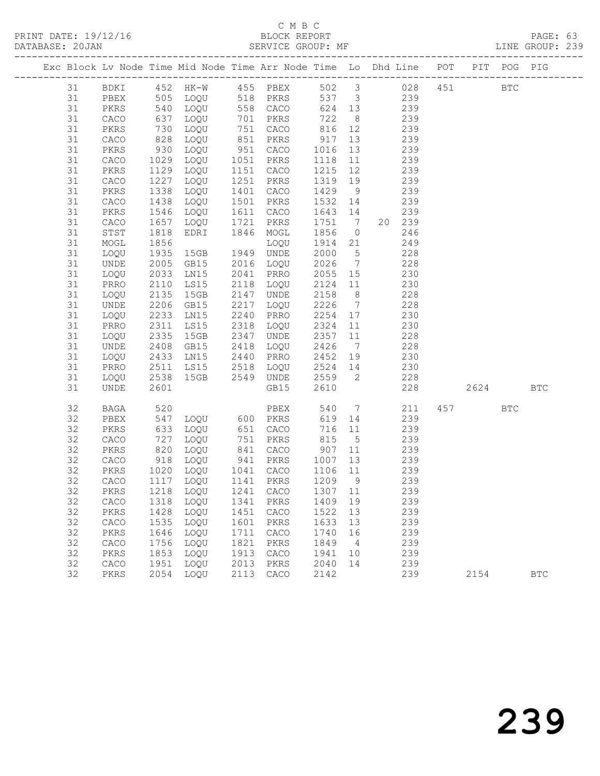## C M B C C M B C C M B C C M B C C M B C C M B C C M B C C M B C C M B C C M B C C M B C C M B C C M B C C M B C C M B C C M B C C M B C C M B C C M B C C M B C C M B C C M B C C M B C C M B C C M B C C M B C C M B C C M B

|  | DATABASE: 20JAN |                      |                   | SERVICE GROUP: MF AND THE GROUP: 239                                           |              |                                                                                 |                        |                 |                 |            |      |              |              |  |
|--|-----------------|----------------------|-------------------|--------------------------------------------------------------------------------|--------------|---------------------------------------------------------------------------------|------------------------|-----------------|-----------------|------------|------|--------------|--------------|--|
|  |                 |                      |                   | Exc Block Lv Node Time Mid Node Time Arr Node Time Lo Dhd Line POT PIT POG PIG |              |                                                                                 |                        |                 |                 |            |      |              |              |  |
|  |                 |                      |                   | 31 BDKI 452 HK-W 455 PBEX 502 3 028 451 BTC                                    |              |                                                                                 |                        |                 |                 |            |      |              |              |  |
|  | 31              | PBEX                 |                   | 505 LOQU 518 PKRS 537 3 239                                                    |              |                                                                                 |                        |                 |                 |            |      |              |              |  |
|  | 31              | PKRS                 | 540<br>637<br>730 |                                                                                |              | 1020 558 CACO 624 13 239<br>1020 701 PKRS 722 8 239<br>1020 751 CACO 816 12 239 |                        |                 |                 |            |      |              |              |  |
|  | 31              | CACO                 |                   |                                                                                |              |                                                                                 |                        |                 |                 |            |      |              |              |  |
|  | 31              | PKRS                 |                   |                                                                                |              |                                                                                 |                        |                 |                 |            |      |              |              |  |
|  | 31              | CACO                 | 828               | LOQU                                                                           |              | 851 PKRS 917 13                                                                 |                        |                 | 239             |            |      |              |              |  |
|  | 31              | PKRS                 | 930<br>1029       | LOQU                                                                           |              | 951 CACO                                                                        | 1016 13                |                 |                 | 239        |      |              |              |  |
|  | 31              | CACO                 |                   | LOQU 1051 PKRS<br>LOQU 1151 CACO                                               |              |                                                                                 | 1118 11                |                 |                 | 239        |      |              |              |  |
|  | 31              | PKRS                 | 1129              |                                                                                |              |                                                                                 | 1215 12                |                 |                 | 239        |      |              |              |  |
|  | 31              | CACO                 | 1227              | LOQU                                                                           |              | 1251 PKRS                                                                       | 1319 19                |                 | 239             |            |      |              |              |  |
|  | 31              | PKRS                 | 1338              | LOQU                                                                           |              | 1401 CACO                                                                       | 1429                   | 9               |                 | 239<br>239 |      |              |              |  |
|  | 31<br>31        | CACO                 | 1438<br>1546      | LOQU                                                                           |              | 1501 PKRS<br>1611 CACO                                                          | 1532 14<br>$1643$ $14$ |                 |                 | 239        |      |              |              |  |
|  | 31              | PKRS<br>CACO         | 1657              | LOQU<br>LOQU 1721 PKRS                                                         |              |                                                                                 | 1751 7                 |                 |                 | 20 239     |      |              |              |  |
|  | 31              | STST                 | 1818              | EDRI                                                                           |              | 1846 MOGL                                                                       | 1856 0 246             |                 |                 |            |      |              |              |  |
|  | 31              | MOGL                 | 1856              |                                                                                |              |                                                                                 | 1914 21                |                 |                 | 249        |      |              |              |  |
|  | 31              | LOQU                 | 1000              | LOQU<br>15GB 1949 UNDE                                                         |              |                                                                                 | 2000 5                 |                 |                 | 228        |      |              |              |  |
|  | 31              | UNDE                 | 2005              | GB15 2016 LOQU                                                                 |              |                                                                                 | 2026 7                 |                 | 228             |            |      |              |              |  |
|  | 31              | LOQU                 | 2033              | LN15 2041 PRRO                                                                 |              |                                                                                 | 2055 15                |                 | 230             |            |      |              |              |  |
|  | 31              | PRRO                 | 2110              | LS15                                                                           |              | 2118 LOQU                                                                       | 2124 11                |                 |                 | 230        |      |              |              |  |
|  | 31              | LOQU                 | 2135              | 15GB                                                                           |              | 2147 UNDE                                                                       | 2158 8                 |                 |                 | 228        |      |              |              |  |
|  | 31              | UNDE                 | 2206              | GB15                                                                           |              | 2217 LOQU                                                                       | 2226                   | $7\overline{ }$ | 228             |            |      |              |              |  |
|  | 31              | LOQU                 | 2233              | LNI5                                                                           |              | 2240 PRRO                                                                       | 2254 17                |                 |                 | 230        |      |              |              |  |
|  | 31              | PRRO                 | 2311              | LS15                                                                           |              | 2318 LOQU                                                                       | 2324                   | 11              |                 | 230        |      |              |              |  |
|  | 31              | LOQU                 | 2335              | 15GB                                                                           |              | 2347 UNDE                                                                       | 2357 11                |                 |                 | 228        |      |              |              |  |
|  | 31              | UNDE                 | 2408              | GB15                                                                           |              | 2418 LOQU                                                                       | 2426                   |                 | $7\overline{ }$ | 228        |      |              |              |  |
|  | 31              | LOQU                 | 2433              |                                                                                |              |                                                                                 | 2452 19                |                 | 230             |            |      |              |              |  |
|  | 31              | PRRO                 | 2511              | LS15 2518 LOQU                                                                 |              |                                                                                 | 2524 14                |                 | 230             |            |      |              |              |  |
|  | 31              | LOQU                 | 2538<br>2601      | 15GB  2549  UNDE                                                               |              |                                                                                 | 2559 2                 |                 |                 | 228        |      |              |              |  |
|  | 31              | UNDE                 | 2601              |                                                                                |              | GB15                                                                            | 2610                   |                 |                 | 228        | 2624 |              | <b>BTC</b>   |  |
|  | 32              | BAGA                 | 520<br>547<br>633 |                                                                                |              | PBEX<br>LOQU 600 PKRS<br>LOQU 651 CACO                                          | 540                    | $7\overline{ }$ |                 | 211        | 457  | $_{\rm BTC}$ |              |  |
|  | 32              | PBEX                 |                   |                                                                                |              |                                                                                 | 619 14                 |                 |                 | 239        |      |              |              |  |
|  | 32              | PKRS                 |                   |                                                                                |              |                                                                                 |                        |                 | 716 11          | 239        |      |              |              |  |
|  | 32              | CACO                 | 727               | LOQU                                                                           |              | 751 PKRS                                                                        | 815 5                  |                 | 239             |            |      |              |              |  |
|  | 32              | PKRS                 | 820               | LOQU                                                                           |              | 841 CACO 907 11<br>941 PKRS 1007 13<br>1041 CACO 1106 11                        |                        |                 |                 | 239        |      |              |              |  |
|  | 32              | CACO                 |                   | 918 LOQU 941 PKRS<br>1020 LOQU 1041 CACO                                       |              |                                                                                 |                        |                 |                 | 239        |      |              |              |  |
|  | 32              | PKRS                 |                   |                                                                                |              |                                                                                 |                        |                 |                 | 239        |      |              |              |  |
|  | 32              |                      |                   | CACO 1117 LOQU 1141 PKRS 1209 9 239                                            |              |                                                                                 |                        |                 |                 |            |      |              |              |  |
|  | 32              | PKRS                 |                   | 1218 LOQU                                                                      | 1241         | CACO                                                                            | 1307                   | 11              |                 | 239        |      |              |              |  |
|  | 32<br>32        | CACO                 | 1318<br>1428      | LOQU                                                                           | 1341<br>1451 | PKRS                                                                            | 1409<br>1522           | 19<br>13        |                 | 239<br>239 |      |              |              |  |
|  | 32              | PKRS<br>${\tt CACO}$ | 1535              | LOQU<br>LOQU                                                                   | 1601         | CACO<br>PKRS                                                                    | 1633                   | 13              |                 | 239        |      |              |              |  |
|  | 32              | PKRS                 | 1646              | LOQU                                                                           | 1711         | CACO                                                                            | 1740                   | 16              |                 | 239        |      |              |              |  |
|  | 32              | ${\tt CACO}$         | 1756              | LOQU                                                                           | 1821         | PKRS                                                                            | 1849                   | $\overline{4}$  |                 | 239        |      |              |              |  |
|  | 32              | PKRS                 | 1853              | LOQU                                                                           | 1913         | CACO                                                                            | 1941                   | 10              |                 | 239        |      |              |              |  |
|  | 32              | CACO                 | 1951              | LOQU                                                                           | 2013         | PKRS                                                                            | 2040                   | 14              |                 | 239        |      |              |              |  |
|  | 32              | PKRS                 | 2054              | LOQU                                                                           | 2113         | CACO                                                                            | 2142                   |                 |                 | 239        | 2154 |              | $_{\rm BTC}$ |  |
|  |                 |                      |                   |                                                                                |              |                                                                                 |                        |                 |                 |            |      |              |              |  |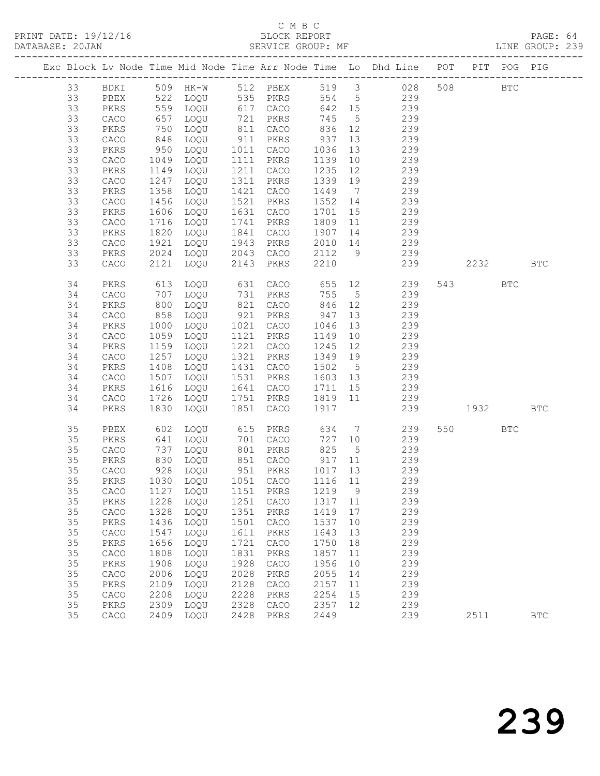| DATABASE: 20JAN                                                                |              |      |                                          |      | SERVICE GROUP: MF                               |                                     |                 | LINE GROUP: 239                          |         |     |            |  |
|--------------------------------------------------------------------------------|--------------|------|------------------------------------------|------|-------------------------------------------------|-------------------------------------|-----------------|------------------------------------------|---------|-----|------------|--|
| Exc Block Lv Node Time Mid Node Time Arr Node Time Lo Dhd Line POT PIT POG PIG |              |      |                                          |      |                                                 |                                     |                 |                                          |         |     |            |  |
| 33                                                                             |              |      |                                          |      |                                                 |                                     |                 | BDKI 509 HK-W 512 PBEX 519 3 028 508 BTC |         |     |            |  |
| 33                                                                             | PBEX         |      |                                          |      | 522 LOQU 535 PKRS                               |                                     |                 | 554 5 239                                |         |     |            |  |
| 33                                                                             | PKRS         |      |                                          |      |                                                 |                                     |                 | 642 15 239                               |         |     |            |  |
| 33                                                                             | CACO         |      |                                          |      |                                                 | 745 5                               |                 | 239                                      |         |     |            |  |
| 33                                                                             | PKRS         |      |                                          |      |                                                 |                                     |                 | 239                                      |         |     |            |  |
| 33                                                                             | CACO         | 848  | LOQU                                     |      | 911 PKRS                                        | 937                                 | 13              | 239                                      |         |     |            |  |
| 33                                                                             | PKRS         | 950  | LOQU                                     |      | 1011 CACO                                       | 1036                                | 13              | 239                                      |         |     |            |  |
| 33                                                                             | CACO         | 1049 | LOQU                                     |      | 1111 PKRS                                       | 1139 10                             |                 | 239                                      |         |     |            |  |
| 33                                                                             | PKRS         | 1149 | LOQU                                     |      | 1211 CACO                                       | 1235                                | 12              | 239                                      |         |     |            |  |
| 33                                                                             | CACO         | 1247 | LOQU                                     |      | 1311 PKRS                                       | 1339 19                             |                 | 239                                      |         |     |            |  |
| 33                                                                             | PKRS         | 1358 | LOQU                                     |      | 1421 CACO                                       | 1449 7                              |                 | 239                                      |         |     |            |  |
| 33                                                                             | ${\tt CACO}$ | 1456 | LOQU                                     |      | 1521 PKRS                                       | $1552$ 14<br>$1552$ 14<br>$1701$ 15 |                 | 239                                      |         |     |            |  |
| 33                                                                             | PKRS         | 1606 | LOQU                                     |      | 1631 CACO                                       |                                     |                 | 239                                      |         |     |            |  |
| 33                                                                             | CACO         | 1716 | LOQU                                     |      | 1741 PKRS                                       |                                     |                 | 1809 11 239                              |         |     |            |  |
| 33                                                                             | PKRS         | 1820 | LOQU                                     |      | 1841 CACO                                       | 1907                                |                 | 14 239                                   |         |     |            |  |
| 33                                                                             | CACO         | 1921 |                                          |      |                                                 | $2010$ 14                           |                 |                                          |         |     |            |  |
| 33                                                                             | PKRS         | 2024 |                                          |      | LOQU 1943 PKRS 2010 14<br>LOQU 2043 CACO 2112 9 |                                     |                 | 239<br>239                               |         |     |            |  |
| 33                                                                             | CACO         | 2121 | LOQU                                     |      | 2143 PKRS                                       | 2210                                |                 | 239 2232 BTC                             |         |     |            |  |
| 34                                                                             | PKRS         | 613  | LOQU                                     |      |                                                 |                                     |                 |                                          | 543     | BTC |            |  |
| 34                                                                             | ${\tt CACO}$ | 707  | LOQU                                     |      |                                                 |                                     |                 |                                          |         |     |            |  |
| 34                                                                             | PKRS         | 800  | LOQU                                     |      | 821 CACO                                        | 846 12                              |                 | 239                                      |         |     |            |  |
| 34                                                                             | CACO         | 858  | LOQU                                     |      | 921 PKRS                                        | 947                                 | 13              | 239                                      |         |     |            |  |
| 34                                                                             | PKRS         | 1000 | LOQU                                     |      | 1021 CACO                                       | 1046                                | 13              | 239                                      |         |     |            |  |
| 34                                                                             | CACO         | 1059 | LOQU                                     |      | 1121 PKRS                                       | 1149                                | 10              | 239                                      |         |     |            |  |
| 34                                                                             | PKRS         | 1159 | LOQU                                     |      | 1221 CACO                                       | 1245 12                             |                 | 239                                      |         |     |            |  |
| 34                                                                             | CACO         | 1257 | LOQU                                     |      | 1321 PKRS                                       | 1349 19                             |                 | 239                                      |         |     |            |  |
| 34                                                                             | PKRS         | 1408 | LOQU                                     |      | 1431 CACO                                       | 1502 5                              |                 | 239                                      |         |     |            |  |
| 34                                                                             | CACO         | 1507 | LOQU                                     |      | 1531 PKRS                                       | 1603 13                             |                 | 239                                      |         |     |            |  |
| 34                                                                             | PKRS         | 1616 | LOQU                                     |      | 1641 CACO                                       | 1711 15                             |                 | $\frac{2}{2}$ 39                         |         |     |            |  |
| 34                                                                             | CACO         | 1726 | LOQU                                     |      | 1751 PKRS                                       | 1819 11                             |                 | 239                                      |         |     |            |  |
| 34                                                                             | PKRS         | 1830 | LOQU                                     |      | 1851 CACO                                       | 1917                                |                 | 239 1932                                 |         |     | <b>BTC</b> |  |
| 35                                                                             | PBEX         | 602  |                                          |      | LOQU 615 PKRS 634 7                             |                                     |                 | 239                                      | 550 BTC |     |            |  |
| 35                                                                             | PKRS         | 641  | LOQU                                     |      | 701 CACO                                        |                                     |                 | 727 10 239                               |         |     |            |  |
| 35                                                                             | CACO         |      | 737 Luqu<br>830 Loqu<br>928 Loqu<br>100! |      | 801 PKRS                                        | 825                                 | $5\overline{)}$ | 239                                      |         |     |            |  |
| 35                                                                             | PKRS         |      |                                          |      |                                                 |                                     |                 | 239                                      |         |     |            |  |
| 35                                                                             | CACO         |      |                                          |      |                                                 |                                     |                 | 239                                      |         |     |            |  |
| 35                                                                             |              |      |                                          |      |                                                 |                                     |                 | PKRS 1030 LOQU 1051 CACO 1116 11 239     |         |     |            |  |
| 35                                                                             | CACO         | 1127 | LOOU                                     | 1151 | PKRS                                            | 1219                                | 9               | 239                                      |         |     |            |  |
| 35                                                                             | PKRS         | 1228 | LOQU                                     | 1251 | CACO                                            | 1317                                | 11              | 239                                      |         |     |            |  |
| 35                                                                             | ${\tt CACO}$ | 1328 | LOQU                                     | 1351 | PKRS                                            | 1419                                | 17              | 239                                      |         |     |            |  |
| 35                                                                             | PKRS         | 1436 | LOQU                                     | 1501 | CACO                                            | 1537                                | $10$            | 239                                      |         |     |            |  |
| 35                                                                             | ${\tt CACO}$ | 1547 | LOQU                                     | 1611 | $\mbox{PKRS}$                                   | 1643                                | 13              | 239                                      |         |     |            |  |
| 35                                                                             | PKRS         | 1656 | LOQU                                     | 1721 | CACO                                            | 1750                                | 18              | 239                                      |         |     |            |  |
| 35                                                                             | ${\tt CACO}$ | 1808 | LOQU                                     | 1831 | PKRS                                            | 1857                                | 11              | 239                                      |         |     |            |  |
| 35                                                                             | PKRS         | 1908 | LOQU                                     | 1928 | CACO                                            | 1956                                | 10              | 239                                      |         |     |            |  |
| 35                                                                             | CACO         | 2006 | LOQU                                     | 2028 | PKRS                                            | 2055                                | 14              | 239                                      |         |     |            |  |
| 35                                                                             | PKRS         | 2109 | LOQU                                     | 2128 | CACO                                            | 2157                                | 11              | 239                                      |         |     |            |  |
| 35                                                                             | ${\tt CACO}$ | 2208 | LOQU                                     | 2228 | PKRS                                            | 2254                                | 15              | 239                                      |         |     |            |  |
| 35                                                                             | PKRS         | 2309 | LOQU                                     | 2328 | CACO                                            | 2357                                | 12              | 239                                      |         |     |            |  |
| 35                                                                             | ${\tt CACO}$ | 2409 | LOQU                                     | 2428 | PKRS                                            | 2449                                |                 | 239                                      | 2511    |     | <b>BTC</b> |  |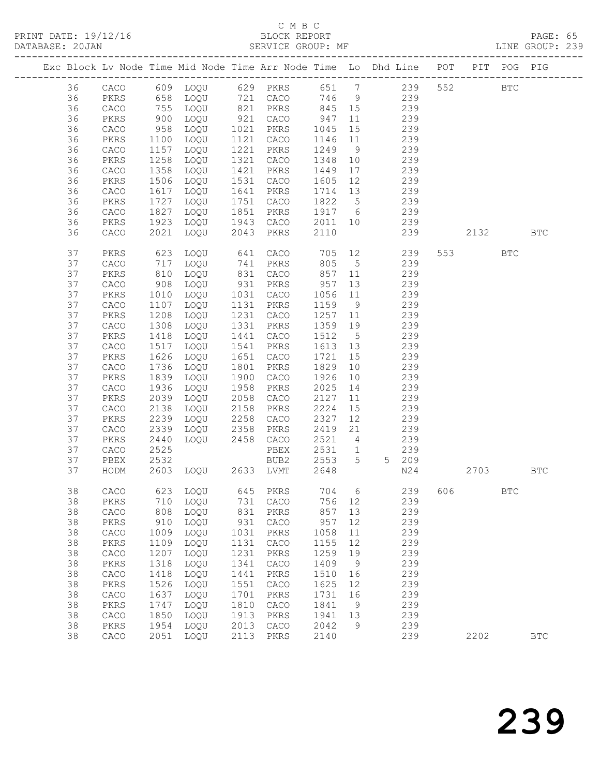PRINT DATE: 19/12/16 BLOCK REPORT<br>DATABASE: 20JAN BATABASE: 20JAN

## C M B C<br>BLOCK REPORT

PAGE: 65<br>LINE GROUP: 239

|          |               |              | Exc Block Lv Node Time Mid Node Time Arr Node Time Lo Dhd Line POT PIT POG PIG |              |              |              |                 |                       |            |          |              |              |
|----------|---------------|--------------|--------------------------------------------------------------------------------|--------------|--------------|--------------|-----------------|-----------------------|------------|----------|--------------|--------------|
| 36       |               |              | CACO 609 LOQU 629 PKRS 651 7 239                                               |              |              |              |                 |                       |            | 552      | $_{\rm BTC}$ |              |
| 36       | PKRS          | 658          | LOQU                                                                           |              | 721 CACO     | 746 9        |                 |                       | 239        |          |              |              |
| 36       | CACO          |              | LOQU                                                                           |              | 821 PKRS     | 845 15       |                 |                       | 239        |          |              |              |
| 36       | PKRS          | 755<br>900   | LOQU                                                                           |              | $921$ CACO   | 947          | 11              |                       | 239        |          |              |              |
| 36       | CACO          | 958          | LOQU                                                                           | 1021         | PKRS         | 1045         | 15              |                       | 239        |          |              |              |
| 36       | PKRS          | 1100         | LOQU                                                                           | 1121         | CACO         | 1146         | 11              |                       | 239        |          |              |              |
| 36       | CACO          | 1157         | LOQU                                                                           | 1221         | PKRS         | 1249         | 9               |                       | 239        |          |              |              |
| 36       | PKRS          | 1258         | LOQU                                                                           | 1321         | CACO         | 1348         | 10              |                       | 239        |          |              |              |
| 36       | CACO          | 1358         | LOQU                                                                           | 1421         | PKRS         | 1449         | 17              |                       | 239        |          |              |              |
| 36       | PKRS          | 1506         | LOQU                                                                           | 1531         | CACO         | 1605         | 12              |                       | 239        |          |              |              |
| 36       | ${\tt CACO}$  | 1617         | LOQU                                                                           | 1641         | PKRS         | 1714 13      |                 |                       | 239        |          |              |              |
| 36       | PKRS          | 1727         | LOQU                                                                           | 1751         | CACO         | 1822         | $5\overline{)}$ |                       | 239        |          |              |              |
| 36       | CACO          | 1827         | LOQU                                                                           | 1851         | PKRS         | 1917 6       |                 | 239                   |            |          |              |              |
| 36       | PKRS          | 1923         | LOQU                                                                           | 1943         | CACO         | 2011 10      |                 | 239                   |            |          |              |              |
| 36       | ${\tt CACO}$  | 2021         | LOQU                                                                           | 2043         | PKRS         | 2110         |                 |                       | 239        | 2132     |              | <b>BTC</b>   |
| 37       | PKRS          | 623          | LOQU                                                                           | 641          | CACO         | 705          |                 | 12 and $\overline{a}$ | 239        | 553 3    | <b>BTC</b>   |              |
| 37       | CACO          | 717          | LOQU                                                                           |              | 741 PKRS     | 805          | $5\overline{)}$ |                       | 239        |          |              |              |
| 37       | PKRS          | 810          | LOQU                                                                           | 831          | CACO         | 857          | 11              |                       | 239        |          |              |              |
| 37       | ${\tt CACO}$  | 908          | LOQU                                                                           |              | 931 PKRS     | 957          | 13              |                       | 239        |          |              |              |
| 37       | PKRS          | 1010         | LOQU                                                                           | 1031         | CACO         | 1056         | 11              |                       | 239        |          |              |              |
| 37       | CACO          | 1107         | LOQU                                                                           | 1131         | PKRS         | 1159         | 9               |                       | 239        |          |              |              |
| 37       | PKRS          | 1208         | LOQU                                                                           | 1231         | CACO         | 1257         | 11              |                       | 239        |          |              |              |
| 37       | CACO          | 1308         | LOQU                                                                           | 1331         | PKRS         | 1359         | 19              |                       | 239        |          |              |              |
| 37       | PKRS          | 1418         | LOQU                                                                           | 1441         | CACO         | 1512         | $5\overline{)}$ |                       | 239        |          |              |              |
| 37       | CACO          | 1517         | LOQU                                                                           | 1541         | PKRS         | 1613 13      |                 |                       | 239        |          |              |              |
| 37       | PKRS          | 1626         | LOQU                                                                           | 1651         | CACO         | 1721         | 15              |                       | 239        |          |              |              |
| 37       | CACO          | 1736         | LOQU                                                                           | 1801         | PKRS         | 1829         | 10              |                       | 239        |          |              |              |
| 37       | PKRS          | 1839         | LOQU                                                                           | 1900         | CACO         | 1926         | 10              |                       | 239        |          |              |              |
| 37<br>37 | CACO          | 1936<br>2039 | LOQU                                                                           | 1958<br>2058 | PKRS         | 2025<br>2127 | 14              |                       | 239<br>239 |          |              |              |
| 37       | PKRS<br>CACO  | 2138         | LOQU<br>LOQU                                                                   | 2158         | CACO<br>PKRS | 2224         | 11<br>15        |                       | 239        |          |              |              |
| 37       | PKRS          | 2239         | LOQU                                                                           | 2258         | CACO         | 2327         | 12              |                       | 239        |          |              |              |
| 37       | CACO          | 2339         | LOQU                                                                           | 2358         | PKRS         | 2419         | 21              |                       | 239        |          |              |              |
| 37       | PKRS          | 2440         | LOQU                                                                           | 2458         | CACO         | 2521         | $\overline{4}$  |                       | 239        |          |              |              |
| 37       | CACO          | 2525         |                                                                                |              | PBEX         | 2531         | 1               |                       | 239        |          |              |              |
| 37       | PBEX          | 2532         |                                                                                |              | BUB2         | 2553         | 5 <sup>5</sup>  |                       | 5 209      |          |              |              |
| 37       | HODM          |              | 2603 LOQU 2633 LVMT                                                            |              |              | 2648         |                 |                       | N24        | 2703 BTC |              |              |
| 38       | CACO          |              | 623 LOQU                                                                       |              | 645 PKRS     | 704 6        |                 |                       | 239 606    |          | $_{\rm BTC}$ |              |
| 38       | $\mbox{PKRS}$ | 710          | LOQU                                                                           | 731          | CACO         | 756          | 12              |                       | 239        |          |              |              |
| 38       | CACO          | 808          | LOQU                                                                           | 831          | PKRS         | 857          | 13              |                       | 239        |          |              |              |
| 38       | PKRS          | 910          | LOQU                                                                           | 931          | CACO         | 957          | 12              |                       | 239        |          |              |              |
| 38       | CACO          | 1009         | LOQU                                                                           | 1031         | PKRS         | 1058         | 11              |                       | 239        |          |              |              |
| 38       | PKRS          | 1109         | LOQU                                                                           | 1131         | CACO         | 1155         | 12              |                       | 239        |          |              |              |
| 38       | ${\tt CACO}$  | 1207         | LOQU                                                                           | 1231         | PKRS         | 1259         | 19              |                       | 239        |          |              |              |
| 38       | PKRS          | 1318         | LOQU                                                                           | 1341         | CACO         | 1409         | 9               |                       | 239        |          |              |              |
| 38       | CACO          | 1418         | LOQU                                                                           | 1441         | PKRS         | 1510         | 16              |                       | 239        |          |              |              |
| 38       | PKRS          | 1526         | LOQU                                                                           | 1551         | CACO         | 1625         | 12              |                       | 239        |          |              |              |
| 38       | ${\tt CACO}$  | 1637         | LOQU                                                                           | 1701         | PKRS         | 1731         | 16              |                       | 239        |          |              |              |
| 38       | PKRS          | 1747         | LOQU                                                                           | 1810         | CACO         | 1841         | 9               |                       | 239        |          |              |              |
| 38       | CACO          | 1850         | LOQU                                                                           | 1913         | PKRS         | 1941         | 13              |                       | 239        |          |              |              |
| 38       | PKRS          | 1954         | LOQU                                                                           | 2013         | CACO         | 2042         | 9               |                       | 239        |          |              |              |
| 38       | ${\tt CACO}$  | 2051         | LOQU                                                                           | 2113         | PKRS         | 2140         |                 |                       | 239        | 2202     |              | $_{\rm BTC}$ |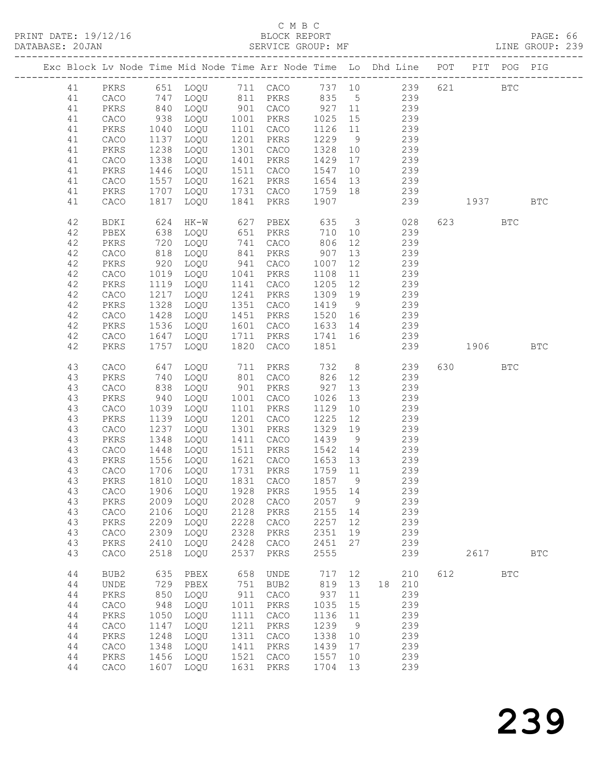| DATABASE: 20JAN |    |                              |                 | SERVICE GROUP: MF              |      |                        |                  |                | LINE GROUP: 239                                                                       |     |         |            |            |  |
|-----------------|----|------------------------------|-----------------|--------------------------------|------|------------------------|------------------|----------------|---------------------------------------------------------------------------------------|-----|---------|------------|------------|--|
|                 |    |                              |                 |                                |      |                        |                  |                | Exc Block Lv Node Time Mid Node Time Arr Node Time Lo Dhd Line POT PIT POG PIG        |     |         |            |            |  |
|                 |    |                              |                 |                                |      |                        |                  |                | 41 PKRS 651 LOQU 711 CACO 737 10 239 621 BTC                                          |     |         |            |            |  |
|                 | 41 | CACO                         |                 |                                |      |                        |                  |                | 747 LOQU 811 PKRS 835 5 239                                                           |     |         |            |            |  |
|                 | 41 | PKRS                         |                 |                                |      |                        |                  |                |                                                                                       |     |         |            |            |  |
|                 | 41 | CACO                         | 840<br>938      |                                |      |                        |                  |                | 1000 1001 CACO 327 11 239<br>1000 1001 PKRS 1025 15 239<br>1000 1101 CACO 1126 11 239 |     |         |            |            |  |
|                 | 41 | PKRS                         | 1040            | LOQU                           |      | 1101 CACO              | $1126$ $11$      |                | 239                                                                                   |     |         |            |            |  |
|                 | 41 | CACO                         | 1137            | LOQU                           |      | 1201 PKRS              | 1229             | 9              | 239                                                                                   |     |         |            |            |  |
|                 | 41 | PKRS                         | 1238            | LOQU                           |      | 1301 CACO              | 1328             | 10             | 239                                                                                   |     |         |            |            |  |
|                 | 41 | CACO                         | 1338            | LOQU                           |      | 1401 PKRS              | 1429 17          |                | 239                                                                                   |     |         |            |            |  |
|                 |    |                              |                 |                                |      |                        |                  |                |                                                                                       |     |         |            |            |  |
|                 | 41 | PKRS                         | 1446            | LOQU                           |      | 1511 CACO<br>1621 PKRS | 1547             | 10             | 239<br>239                                                                            |     |         |            |            |  |
|                 | 41 | CACO                         | 1557            | LOQU                           |      |                        | 1654 13          |                |                                                                                       |     |         |            |            |  |
|                 | 41 | PKRS                         | 1707            | LOQU                           |      | 1731 CACO              | 1759 18          |                | 239                                                                                   |     |         |            |            |  |
|                 | 41 | CACO                         | 1817            | LOQU                           |      | 1841 PKRS 1907         |                  |                | 239                                                                                   |     | 1937    |            | <b>BTC</b> |  |
|                 | 42 | BDKI                         | 624             | HK-W                           |      | 627 PBEX               | 635              |                | 3 028                                                                                 |     | 623     | <b>BTC</b> |            |  |
|                 | 42 | PBEX                         | 638             | LOQU                           |      | 651 PKRS               | 710              | 10             | 239                                                                                   |     |         |            |            |  |
|                 | 42 | PKRS                         | $\frac{1}{818}$ | LOQU                           |      | 741 CACO<br>841 PKRS   | 806<br>907       | 12             | 239                                                                                   |     |         |            |            |  |
|                 | 42 | CACO                         |                 | LOQU                           |      |                        |                  | 13             | 239                                                                                   |     |         |            |            |  |
|                 | 42 | PKRS                         | 920             | LOQU                           |      | 941 CACO               | 1007             | 12             | 239                                                                                   |     |         |            |            |  |
|                 | 42 | CACO                         | 1019            | LOQU                           |      | 1041 PKRS              | 1108             |                | 11 239                                                                                |     |         |            |            |  |
|                 | 42 | PKRS                         | 1119            | LOQU                           |      | 1141 CACO              | 1205 12          |                | 239                                                                                   |     |         |            |            |  |
|                 | 42 | ${\tt CACO}$                 | 1217            | LOQU                           |      | 1241 PKRS              | 1309 19          |                | 239                                                                                   |     |         |            |            |  |
|                 | 42 | PKRS                         | 1328            | LOQU                           |      | 1351 CACO              |                  |                | 1419 9 239                                                                            |     |         |            |            |  |
|                 | 42 | CACO                         | 1428            | LOQU                           |      | 1451 PKRS              |                  |                | 1520 16 239                                                                           |     |         |            |            |  |
|                 | 42 | PKRS                         | 1536            | LOQU                           |      | 1601 CACO              |                  |                | 1633 14 239                                                                           |     |         |            |            |  |
|                 | 42 | CACO                         |                 | LOQU                           |      | 1711 PKRS 1741 16      |                  |                | 239                                                                                   |     |         |            |            |  |
|                 | 42 | PKRS                         | 1647<br>1757    | LOQU                           |      | 1820 CACO              | 1851             |                | 239 1906 BTC                                                                          |     |         |            |            |  |
|                 |    |                              |                 |                                |      |                        |                  |                |                                                                                       |     |         |            |            |  |
|                 | 43 | CACO                         | 647             | LOQU                           |      | 711 PKRS               | 732              |                | 8 239                                                                                 |     | 630 BTC |            |            |  |
|                 | 43 | PKRS                         | 740             | LOQU                           |      | 801 CACO<br>901 PKRS   | 826 12<br>927 13 |                | 239                                                                                   |     |         |            |            |  |
|                 | 43 | CACO                         | 838             | LOQU                           |      |                        |                  |                | 239                                                                                   |     |         |            |            |  |
|                 | 43 | PKRS                         | 940             | LOQU                           |      | 1001 CACO              | 1026             | 13             | 239                                                                                   |     |         |            |            |  |
|                 | 43 | CACO                         | 1039            | LOQU                           |      | 1101 PKRS              | 1129             | 10             | 239                                                                                   |     |         |            |            |  |
|                 | 43 | PKRS                         | 1139            | LOQU                           |      | 1201 CACO              | 1225             | 12             | 239                                                                                   |     |         |            |            |  |
|                 | 43 | CACO                         | 1237            | LOQU                           |      | 1301 PKRS              | 1329 19          |                | 239                                                                                   |     |         |            |            |  |
|                 | 43 | PKRS                         | 1348            | LOQU                           |      | 1411 CACO              | 1439 9           |                | 239                                                                                   |     |         |            |            |  |
|                 | 43 | CACO                         | 1448            | LOQU                           |      | 1511 PKRS              | 1542 14          |                | 239                                                                                   |     |         |            |            |  |
|                 | 43 | PKRS                         |                 | 1556 LOQU<br>1706 LOQU<br>LOQU |      | 1621 CACO              | 1653 13          |                | 239                                                                                   |     |         |            |            |  |
|                 | 43 | CACO                         |                 |                                |      | 1731 PKRS              | 1759 11          |                | 239                                                                                   |     |         |            |            |  |
|                 | 43 |                              |                 |                                |      |                        |                  |                | PKRS 1810 LOQU 1831 CACO 1857 9 239                                                   |     |         |            |            |  |
|                 | 43 | CACO                         | 1906            | LOQU                           | 1928 | PKRS                   | 1955             | 14             | 239                                                                                   |     |         |            |            |  |
|                 | 43 | PKRS                         | 2009            | LOQU                           | 2028 | CACO                   | 2057             | $\overline{9}$ | 239                                                                                   |     |         |            |            |  |
|                 | 43 | ${\tt CACO}$                 | 2106            | LOQU                           | 2128 | PKRS                   | 2155             | 14             | 239                                                                                   |     |         |            |            |  |
|                 | 43 | PKRS                         | 2209            | LOQU                           | 2228 | ${\tt CACO}$           | 2257             | 12             | 239                                                                                   |     |         |            |            |  |
|                 | 43 | CACO                         | 2309            | LOQU                           | 2328 | PKRS                   | 2351             | 19             | 239                                                                                   |     |         |            |            |  |
|                 | 43 | PKRS                         | 2410            | LOQU                           | 2428 | CACO                   | 2451             | 27             | 239                                                                                   |     |         |            |            |  |
|                 | 43 | ${\tt CACO}$                 | 2518            | LOQU                           | 2537 | PKRS                   | 2555             |                | 239                                                                                   |     | 2617    |            | <b>BTC</b> |  |
|                 | 44 | BUB2                         | 635             | PBEX                           | 658  | UNDE                   | 717              | 12             | 210                                                                                   | 612 |         | <b>BTC</b> |            |  |
|                 |    |                              |                 |                                |      |                        |                  |                |                                                                                       |     |         |            |            |  |
|                 | 44 | $\ensuremath{\mathsf{UNDE}}$ | 729             | PBEX                           | 751  | BUB2                   | 819              | 13             | 18 210                                                                                |     |         |            |            |  |
|                 | 44 | PKRS                         | 850             | LOQU                           | 911  | CACO                   | 937              | 11             | 239                                                                                   |     |         |            |            |  |
|                 | 44 | ${\tt CACO}$                 | 948             | LOQU                           | 1011 | PKRS                   | 1035             | 15             | 239                                                                                   |     |         |            |            |  |
|                 | 44 | PKRS                         | 1050            | LOQU                           | 1111 | CACO                   | 1136             | 11             | 239                                                                                   |     |         |            |            |  |
|                 | 44 | CACO                         | 1147            | LOQU                           | 1211 | PKRS                   | 1239             | 9              | 239                                                                                   |     |         |            |            |  |
|                 | 44 | PKRS                         | 1248            | LOQU                           | 1311 | CACO                   | 1338             | 10             | 239                                                                                   |     |         |            |            |  |
|                 | 44 | CACO                         | 1348            | LOQU                           | 1411 | PKRS                   | 1439             | 17             | 239                                                                                   |     |         |            |            |  |
|                 | 44 | PKRS                         | 1456            | LOQU                           | 1521 | ${\tt CACO}$           | 1557             | 10             | 239                                                                                   |     |         |            |            |  |
|                 | 44 | CACO                         | 1607            | LOQU                           | 1631 | PKRS                   | 1704             | 13             | 239                                                                                   |     |         |            |            |  |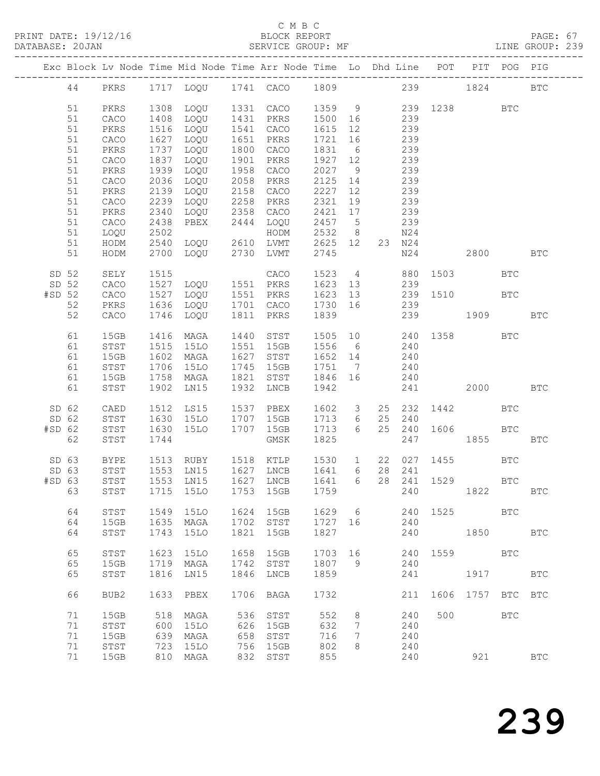#### C M B C<br>BLOCK REPORT

| DATABASE: 20JAN |    |      |              | SERVICE GROUP: MF                                                              |      |                                    |             |                 |                |        |                                                    |     |                                                                                                                                                                                                                                 | LINE GROUP: 239 |  |
|-----------------|----|------|--------------|--------------------------------------------------------------------------------|------|------------------------------------|-------------|-----------------|----------------|--------|----------------------------------------------------|-----|---------------------------------------------------------------------------------------------------------------------------------------------------------------------------------------------------------------------------------|-----------------|--|
|                 |    |      |              | Exc Block Lv Node Time Mid Node Time Arr Node Time Lo Dhd Line POT PIT POG PIG |      |                                    |             |                 |                |        |                                                    |     |                                                                                                                                                                                                                                 |                 |  |
|                 |    |      |              | 44 PKRS 1717 LOQU 1741 CACO 1809 239 1824 BTC                                  |      |                                    |             |                 |                |        |                                                    |     |                                                                                                                                                                                                                                 |                 |  |
|                 | 51 | PKRS | 1308         |                                                                                |      | LOQU 1331 CACO 1359 9 239 1238 BTC |             |                 |                |        |                                                    |     |                                                                                                                                                                                                                                 |                 |  |
|                 | 51 | CACO | 1408         | LOQU 1431 PKRS                                                                 |      |                                    | 1500 16     |                 |                |        |                                                    |     |                                                                                                                                                                                                                                 |                 |  |
|                 | 51 | PKRS | 1516         | LOQU 1541 CACO                                                                 |      |                                    | 1615 12     |                 | $239$<br>$239$ |        |                                                    |     |                                                                                                                                                                                                                                 |                 |  |
|                 | 51 | CACO | 1627         | LOQU                                                                           |      | 1651 PKRS                          | 1721 16     |                 | 239            |        |                                                    |     |                                                                                                                                                                                                                                 |                 |  |
|                 | 51 | PKRS | 1737         | LOQU                                                                           |      | 1800 CACO                          | 1831 6      |                 | 239            |        |                                                    |     |                                                                                                                                                                                                                                 |                 |  |
|                 | 51 | CACO | 1837         | LOQU                                                                           |      | 1901 PKRS                          | 1927 12     |                 |                | 239    |                                                    |     |                                                                                                                                                                                                                                 |                 |  |
|                 | 51 | PKRS | 1939         | LOQU                                                                           |      | 1958 CACO                          | 2027 9      |                 |                | 239    |                                                    |     |                                                                                                                                                                                                                                 |                 |  |
|                 | 51 | CACO | 2036         | LOQU                                                                           |      | 2058 PKRS                          | 2125 14     |                 | 239            |        |                                                    |     |                                                                                                                                                                                                                                 |                 |  |
|                 | 51 | PKRS | 2139         | LOQU                                                                           |      | 2158 CACO                          | 2227        | 12              | 239            |        |                                                    |     |                                                                                                                                                                                                                                 |                 |  |
|                 | 51 | CACO | 2239         | LOQU                                                                           |      |                                    | 2321 19     |                 |                | 239    |                                                    |     |                                                                                                                                                                                                                                 |                 |  |
|                 | 51 | PKRS | 2340         | LOQU                                                                           |      | 2258 PKRS<br>2358 CACO             | 2421 17     |                 |                | 239    |                                                    |     |                                                                                                                                                                                                                                 |                 |  |
|                 | 51 | CACO | 2438         | PBEX                                                                           |      | 2444 LOQU                          | 2457 5      |                 | 239            |        |                                                    |     |                                                                                                                                                                                                                                 |                 |  |
|                 | 51 | LOQU |              |                                                                                |      |                                    | 2532 8      |                 |                | N24    |                                                    |     |                                                                                                                                                                                                                                 |                 |  |
|                 | 51 | HODM | 2540         |                                                                                |      |                                    | 2625 12     |                 |                | 23 N24 |                                                    |     |                                                                                                                                                                                                                                 |                 |  |
|                 | 51 | HODM |              | 2502 HODM<br>2540 LOQU 2610 LVMT<br>2700 LOQU 2730 LVMT                        |      |                                    | 2745        |                 |                |        | N24                                                |     | 2800 BTC                                                                                                                                                                                                                        |                 |  |
| SD 52           |    | SELY | 1515         |                                                                                |      | CACO                               |             |                 |                |        | 1523 4 880 1503                                    |     | <b>BTC</b>                                                                                                                                                                                                                      |                 |  |
| SD 52           |    | CACO |              | 1527 LOQU 1551 PKRS                                                            |      |                                    |             |                 |                |        |                                                    |     |                                                                                                                                                                                                                                 |                 |  |
| $#SD$ 52        |    | CACO | 1527         | LOQU 1551 PKRS                                                                 |      |                                    |             |                 |                |        |                                                    |     |                                                                                                                                                                                                                                 |                 |  |
|                 | 52 | PKRS | 1636         | LOQU                                                                           |      | 1701 CACO                          |             |                 |                |        | 1623 13 239<br>1623 13 239 1510 BTC<br>1730 16 239 |     |                                                                                                                                                                                                                                 |                 |  |
|                 | 52 | CACO | 1746         | LOQU                                                                           |      | 1811 PKRS                          | 1839        |                 |                |        | 239 1909                                           |     |                                                                                                                                                                                                                                 | <b>BTC</b>      |  |
|                 | 61 | 15GB | 1416         | MAGA                                                                           |      | 1440 STST                          |             |                 |                |        |                                                    |     |                                                                                                                                                                                                                                 |                 |  |
|                 | 61 | STST |              | 1515 15LO 1551 15GB                                                            |      |                                    |             |                 |                |        | 1505 10 240 1358 BTC<br>1556 6 240                 |     |                                                                                                                                                                                                                                 |                 |  |
|                 | 61 | 15GB | 1602         | MAGA                                                                           |      | 1627 STST                          | 1652 14 240 |                 |                |        |                                                    |     |                                                                                                                                                                                                                                 |                 |  |
|                 | 61 | STST | 1706         | 15LO                                                                           |      | 1745 15GB                          | 1751        | $7\overline{ }$ |                | 240    |                                                    |     |                                                                                                                                                                                                                                 |                 |  |
|                 | 61 | 15GB | 1758         | MAGA                                                                           |      | 1821 STST                          | 1846 16     |                 |                | 240    |                                                    |     |                                                                                                                                                                                                                                 |                 |  |
|                 | 61 | STST | 1902         | LN15                                                                           |      | 1932 LNCB                          | 1942        |                 |                |        | 241                                                |     | 2000 - 2001 - 2002 - 2003 - 2004 - 2006 - 2007 - 2008 - 2014 - 2015 - 2016 - 2016 - 2016 - 2017 - 2017 - 2017 - 2017 - 2017 - 2017 - 2017 - 2017 - 2017 - 2017 - 2017 - 2017 - 2017 - 2017 - 2017 - 2017 - 2017 - 2017 - 2017 - | <b>BTC</b>      |  |
| SD 62           |    | CAED | 1512         | LS15                                                                           |      | 1537 PBEX                          | 1602 3      |                 |                |        | 25 232 1442                                        |     | <b>BTC</b>                                                                                                                                                                                                                      |                 |  |
| SD 62           |    | STST |              | 15LO 1707 15GB                                                                 |      |                                    | 1713 6      |                 | 25             | 240    |                                                    |     |                                                                                                                                                                                                                                 |                 |  |
| $#SD$ 62        |    | STST | 1630<br>1630 | 15LO 1707 15GB                                                                 |      |                                    | 1713 6      |                 |                |        | 25  240  1606  BTC                                 |     |                                                                                                                                                                                                                                 |                 |  |
|                 | 62 | STST | 1744         |                                                                                |      | GMSK                               | 1825        |                 |                |        | 247 1855                                           |     |                                                                                                                                                                                                                                 | <b>BTC</b>      |  |
| SD 63           |    | BYPE |              |                                                                                |      |                                    |             |                 |                |        | 22 027 1455                                        |     | <b>BTC</b>                                                                                                                                                                                                                      |                 |  |
| SD 63           |    | STST |              |                                                                                |      |                                    |             |                 |                | 28 241 |                                                    |     |                                                                                                                                                                                                                                 |                 |  |
|                 |    |      |              | #SD 63 STST 1553 LN15 1627 LNCB 1641 6 28 241 1529                             |      |                                    |             |                 |                |        |                                                    |     | <b>BTC</b>                                                                                                                                                                                                                      |                 |  |
|                 | 63 | STST |              | 1715 15LO                                                                      |      | 1753 15GB                          | 1759        |                 |                | 240    |                                                    |     | 1822                                                                                                                                                                                                                            | <b>BTC</b>      |  |
|                 | 64 | STST | 1549         | 15LO                                                                           |      | 1624 15GB                          | 1629 6      |                 |                |        | 240 1525                                           |     | <b>BTC</b>                                                                                                                                                                                                                      |                 |  |
|                 | 64 | 15GB | 1635         | MAGA                                                                           |      | 1702 STST                          | 1727 16     |                 |                | 240    |                                                    |     |                                                                                                                                                                                                                                 |                 |  |
|                 | 64 | STST | 1743         | 15LO                                                                           | 1821 | 15GB                               | 1827        |                 |                | 240    |                                                    |     | 1850                                                                                                                                                                                                                            | <b>BTC</b>      |  |
|                 | 65 | STST | 1623         | 15LO                                                                           | 1658 | 15GB                               | 1703 16     |                 |                |        | 240 1559 BTC                                       |     |                                                                                                                                                                                                                                 |                 |  |
|                 | 65 | 15GB | 1719         | MAGA                                                                           | 1742 | STST                               | 1807 9      |                 |                | 240    |                                                    |     |                                                                                                                                                                                                                                 |                 |  |
|                 | 65 | STST | 1816         | LN15                                                                           | 1846 | LNCB                               | 1859        |                 |                | 241    |                                                    |     | 1917                                                                                                                                                                                                                            | <b>BTC</b>      |  |
|                 |    |      |              |                                                                                |      |                                    |             |                 |                |        |                                                    |     |                                                                                                                                                                                                                                 |                 |  |
|                 | 66 | BUB2 | 1633         | PBEX                                                                           |      | 1706 BAGA                          | 1732        |                 |                | 211    | 1606 1757 BTC BTC                                  |     |                                                                                                                                                                                                                                 |                 |  |
|                 | 71 | 15GB | 518          | MAGA                                                                           | 536  | STST                               | 552         | 8               |                | 240    | 500                                                |     | <b>BTC</b>                                                                                                                                                                                                                      |                 |  |
|                 | 71 | STST | 600          | 15LO                                                                           | 626  | 15GB                               | 632         | 7               |                | 240    |                                                    |     |                                                                                                                                                                                                                                 |                 |  |
|                 | 71 | 15GB | 639          | MAGA                                                                           | 658  | STST                               | 716         | 7               |                | 240    |                                                    |     |                                                                                                                                                                                                                                 |                 |  |
|                 | 71 | STST | 723          | 15LO                                                                           | 756  | 15GB                               | 802         | 8               |                | 240    |                                                    |     |                                                                                                                                                                                                                                 |                 |  |
|                 | 71 | 15GB | 810          | MAGA                                                                           | 832  | STST                               | 855         |                 |                | 240    |                                                    | 921 |                                                                                                                                                                                                                                 | <b>BTC</b>      |  |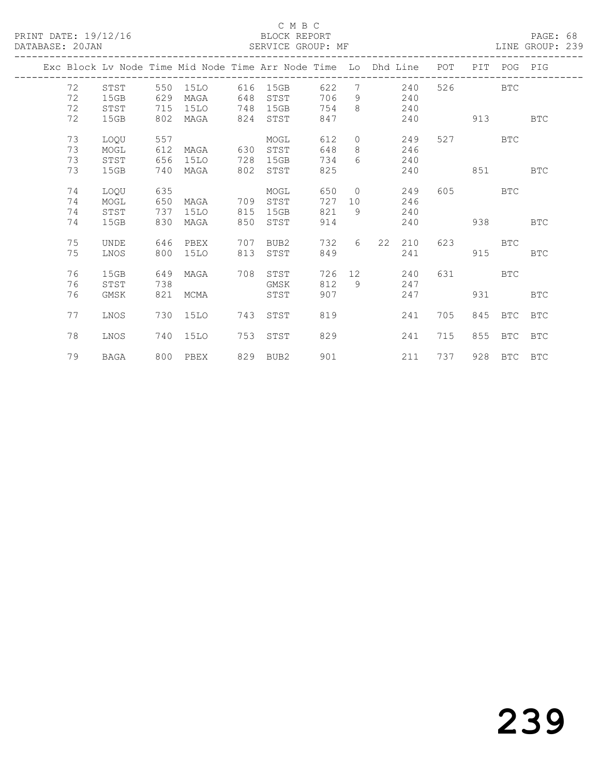#### C M B C<br>BLOCK REPORT

#### LINE GROUP: 239

|  |    |             |     |          |     | Exc Block Lv Node Time Mid Node Time Arr Node Time Lo Dhd Line |     |             |           | POT        | PIT       | POG PIG     |            |
|--|----|-------------|-----|----------|-----|----------------------------------------------------------------|-----|-------------|-----------|------------|-----------|-------------|------------|
|  | 72 | STST        | 550 | 15LO     | 616 | 15GB                                                           | 622 | 7           |           | 240<br>526 |           | <b>BTC</b>  |            |
|  | 72 | 15GB        | 629 | MAGA     | 648 | STST                                                           | 706 | 9           | 240       |            |           |             |            |
|  | 72 | STST        | 715 | 15LO     | 748 | 15GB                                                           | 754 | 8           | 240       |            |           |             |            |
|  | 72 | 15GB        | 802 | MAGA     | 824 | STST                                                           | 847 |             | 240       |            | 913       |             | <b>BTC</b> |
|  |    |             |     |          |     |                                                                |     |             |           |            |           |             |            |
|  | 73 | LOQU        | 557 |          |     | MOGL                                                           | 612 | $\circ$     |           | 249        | 527 — 100 | BTC         |            |
|  | 73 | MOGL        | 612 | MAGA     | 630 | STST                                                           | 648 | 8           | 246       |            |           |             |            |
|  | 73 | STST        | 656 | 15LO     | 728 | 15GB                                                           | 734 | $6^{\circ}$ | 240       |            |           |             |            |
|  | 73 | 15GB        | 740 | MAGA     | 802 | STST                                                           | 825 |             | 240       |            | 851       |             | <b>BTC</b> |
|  |    |             |     |          |     |                                                                |     |             |           |            |           |             |            |
|  | 74 | LOOU        | 635 |          |     | MOGL                                                           | 650 | $\Omega$    |           | 605<br>249 |           | <b>BTC</b>  |            |
|  | 74 | MOGL        | 650 | MAGA     | 709 | STST                                                           | 727 | 10          | 246       |            |           |             |            |
|  | 74 | STST        | 737 | 15LO     | 815 | 15GB                                                           | 821 | 9           | 240       |            |           |             |            |
|  | 74 | 15GB        | 830 | MAGA     | 850 | STST                                                           | 914 |             | 240       |            | 938       |             | <b>BTC</b> |
|  |    |             |     |          |     |                                                                |     |             |           |            |           |             |            |
|  | 75 | <b>UNDE</b> | 646 | PBEX     | 707 | BUB2                                                           | 732 | 6           | 22<br>210 | 623        |           | <b>BTC</b>  |            |
|  | 75 | LNOS        | 800 | 15LO     | 813 | STST                                                           | 849 |             | 241       |            | 915       |             | <b>BTC</b> |
|  |    |             |     |          |     |                                                                |     |             |           |            |           |             |            |
|  | 76 | 15GB        | 649 | MAGA     | 708 | STST                                                           | 726 |             | 12<br>240 | 631        |           | <b>BTC</b>  |            |
|  | 76 | STST        | 738 |          |     | GMSK                                                           | 812 | 9           | 247       |            |           |             |            |
|  | 76 | GMSK        | 821 | MCMA     |     | STST                                                           | 907 |             | 247       |            | 931       |             | <b>BTC</b> |
|  |    |             |     |          |     |                                                                |     |             |           |            |           |             |            |
|  | 77 | LNOS        | 730 | 15LO     | 743 | STST                                                           | 819 |             | 241       | 705        | 845       | <b>BTC</b>  | <b>BTC</b> |
|  |    |             |     |          |     |                                                                |     |             |           |            |           |             |            |
|  | 78 | LNOS        | 740 | 15LO     | 753 | STST                                                           | 829 |             | 241       | 715        | 855       | BTC         | BTC        |
|  |    |             |     |          |     |                                                                |     |             |           |            |           |             |            |
|  | 79 | BAGA        |     | 800 PBEX |     | 829 BUB2                                                       | 901 |             | 211       | 737        |           | 928 BTC BTC |            |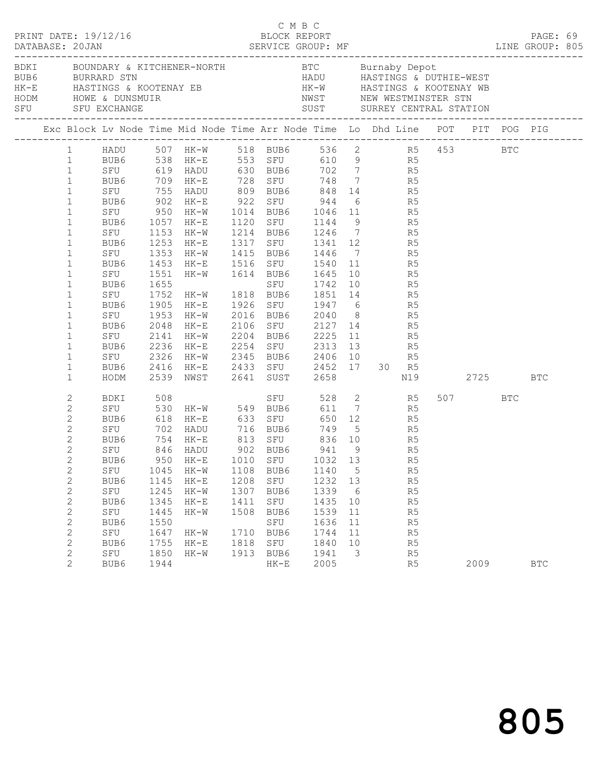| DATABASE: 20JAN |                                                                                                                                                                                                                                                                                                                                                                                                                               | PRINT DATE: 19/12/16                                        | DESON NET SAMPLE PAPER PRODUCE SERVICE GROUP: MF AND MARRASE: 20JAN SERVICE GROUP: MF LINE GROUP: 805 |                                                                                                                                                                                                                                                                                                                                                                                                                                                                                                                                                                                                                                                                                                                                                                                                                                                                                                                                             | C M B C                                      | BLOCK REPORT                                                |                                                              |                                                            |                  |                                              |      |      | PAGE: 69 |              |  |
|-----------------|-------------------------------------------------------------------------------------------------------------------------------------------------------------------------------------------------------------------------------------------------------------------------------------------------------------------------------------------------------------------------------------------------------------------------------|-------------------------------------------------------------|-------------------------------------------------------------------------------------------------------|---------------------------------------------------------------------------------------------------------------------------------------------------------------------------------------------------------------------------------------------------------------------------------------------------------------------------------------------------------------------------------------------------------------------------------------------------------------------------------------------------------------------------------------------------------------------------------------------------------------------------------------------------------------------------------------------------------------------------------------------------------------------------------------------------------------------------------------------------------------------------------------------------------------------------------------------|----------------------------------------------|-------------------------------------------------------------|--------------------------------------------------------------|------------------------------------------------------------|------------------|----------------------------------------------|------|------|----------|--------------|--|
|                 |                                                                                                                                                                                                                                                                                                                                                                                                                               |                                                             |                                                                                                       | BDKI BOUNDARY & KITCHENER-NORTH BTC Burnaby Depot<br>BUB6 BURRARD STN HADU HASTINGS & DUTHIE-WEST<br>HK-E HASTINGS & KOOTENAY EB HK-W HASTINGS & KOOTENAY WB<br>HODM HOWE & DUNSMUIR NWST NEW WESTMINSTER STN<br>SFU SFU EXCHANGE SUST                                                                                                                                                                                                                                                                                                                                                                                                                                                                                                                                                                                                                                                                                                      |                                              |                                                             |                                                              |                                                            |                  |                                              |      |      |          |              |  |
|                 |                                                                                                                                                                                                                                                                                                                                                                                                                               |                                                             |                                                                                                       | Exc Block Lv Node Time Mid Node Time Arr Node Time Lo Dhd Line POT PIT POG PIG                                                                                                                                                                                                                                                                                                                                                                                                                                                                                                                                                                                                                                                                                                                                                                                                                                                              |                                              |                                                             |                                                              |                                                            |                  |                                              |      |      |          |              |  |
|                 | $\mathbf{1}$<br>$\mathbf{1}$<br>$1\,$<br>$\mathbf{1}$<br>$\mathbf{1}$<br>$\mathbf{1}$<br>$\mathbf{1}$<br>$\mathbf{1}$<br>1<br>$\mathbf{1}$<br>1<br>$\mathbf{1}$<br>$\mathbf{1}$<br>$\mathbf{1}$<br>1<br>$\mathbf{1}$<br>1<br>$\mathbf{1}$<br>$\mathbf{1}$<br>$\mathbf{1}$<br>$\mathbf{1}$<br>$\overline{c}$<br>2<br>$\overline{c}$<br>2<br>$\mathbf{2}$<br>$\overline{c}$<br>$\overline{2}$<br>$\mathbf{2}$<br>$\overline{c}$ | BUB6 1453<br>SFU 1551<br>BUB6<br>SFU<br>HODM<br>SFU<br>BUB6 | 1655<br>1045<br>1145                                                                                  | 1 HADU 507 HK-W 518 BUB6 536 2 R5 453 BTC<br>1 BUB6 538 HK-E 553 SFU 610 9 R5<br>SFU 950 HK-W 1014 BUB6 1046 11 R5<br>BUB6 1057 HK-E 1120 SFU 1144 9 R5<br>SFU 1153 HK-W 1214 BUB6 1246 7 R5<br>BUB6 1253 HK-E 1317 SFU 1341 12 R5<br>SFU 1353 HK-W 1415 BUB6 1446 7 R5<br>HK-E 1516 SFU 1540 11 R5<br>HK-W 1614 BUB6 1645 10 R5<br>SFU 1742 10 R5<br>1752 HK-W 1818 BUB6 1851 14 R5<br>BUB6 1905 HK-E 1926 SFU 1947 6 R5<br>SFU 1953 HK-W 2016 BUB6 2040 8 R5<br>BUB6 2048 HK-E 2106 SFU 2127 14 R5<br>SFU 2141 HK-W 2204 BUB6 2225 11 R5<br>BUB6 2236 HK-E 2254 SFU 2313 13 R5<br>SFU 2326 HK-W 2345 BUB6 2406 10 R5<br>BUB6 2416 HK-E 2433 SFU 2452 17 30 R5<br>2539 NWST 2641 SUST 2658<br>BDKI 508 SFU 528 2 R5<br>SFU 530 HK-W 549 BUB6 611 7 R5<br>BUB6 618 HK-E 633 SFU<br>SFU 702 HADU 716 BUB6 749 5 R5<br>BUB6 754 HK-E 813 SFU 836 10 R5<br>SFU 846 HADU 902 BUB6 941 9 R5<br>BUB6 950 HK-E 1010 SFU 1032 13 R5<br>HK-W<br>HK-E | 1108<br>1208                                 | BUB6<br>SFU                                                 | 1140<br>1232 13                                              | $5\overline{)}$                                            | N19<br>650 12 R5 | R5<br>R5                                     | 2725 | 507  | BTC      | BTC          |  |
|                 | $\mathbf{2}$<br>$\mathbf{2}$<br>2<br>$\mathbf{2}$<br>$\mathbf{2}$<br>2<br>2<br>$\overline{2}$                                                                                                                                                                                                                                                                                                                                 | SFU<br>BUB6<br>SFU<br>BUB6<br>SFU<br>BUB6<br>SFU<br>BUB6    | 1245<br>1345<br>1445<br>1550<br>1647<br>1755<br>1850<br>1944                                          | HK-W<br>$HK-E$<br>$HK-W$<br>HK-W<br>$HK-E$<br>HK-W                                                                                                                                                                                                                                                                                                                                                                                                                                                                                                                                                                                                                                                                                                                                                                                                                                                                                          | 1307<br>1411<br>1508<br>1710<br>1818<br>1913 | BUB6<br>SFU<br>BUB6<br>SFU<br>BUB6<br>SFU<br>BUB6<br>$HK-E$ | 1339<br>1435<br>1539<br>1636<br>1744<br>1840<br>1941<br>2005 | 6<br>10<br>11<br>11<br>11<br>10<br>$\overline{\mathbf{3}}$ |                  | R5<br>R5<br>R5<br>R5<br>R5<br>R5<br>R5<br>R5 |      | 2009 |          | $_{\rm BTC}$ |  |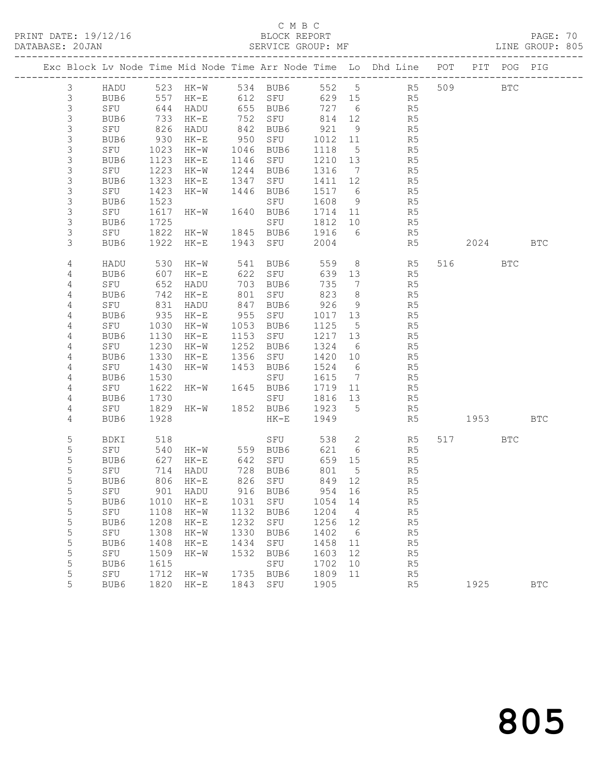### C M B C<br>BLOCK REPORT

PAGE: 70<br>LINE GROUP: 805

|                |             |              |                   |              |              |              |                 | Exc Block Lv Node Time Mid Node Time Arr Node Time Lo Dhd Line POT PIT POG PIG |         |              |
|----------------|-------------|--------------|-------------------|--------------|--------------|--------------|-----------------|--------------------------------------------------------------------------------|---------|--------------|
| $\mathfrak{Z}$ |             |              |                   |              |              |              |                 | HADU 523 HK-W 534 BUB6 552 5 R5                                                | 509 BTC |              |
| $\mathcal{S}$  | BUB6        | 557          |                   |              | HK-E 612 SFU | 629 15       |                 | R5                                                                             |         |              |
| $\mathsf S$    | SFU         | 644          | HADU              |              | 655 BUB6     | 727 6        |                 | R <sub>5</sub>                                                                 |         |              |
| $\mathsf S$    | BUB6        | 733          | HK-E              |              | 752 SFU      | 814 12       |                 | R5                                                                             |         |              |
| $\mathsf S$    | SFU         | 826          | HADU              |              | 842 BUB6     | 921          | 9               | R5                                                                             |         |              |
| $\mathsf S$    | BUB6        | 930          | HK-E              |              | 950 SFU      | 1012 11      |                 | R5                                                                             |         |              |
| $\mathsf 3$    | SFU         | 1023         | HK-W              |              | 1046 BUB6    | 1118         | $5\overline{)}$ | R5                                                                             |         |              |
| $\mathsf S$    | BUB6        | 1123         | $HK-E$            |              | 1146 SFU     | 1210 13      |                 | R5                                                                             |         |              |
| $\mathsf S$    | SFU         | 1223         | HK-W              |              | 1244 BUB6    | 1316 7       |                 | R5<br>R5                                                                       |         |              |
| $\mathsf S$    | BUB6        | 1323         | HK-E              |              | 1347 SFU     | 1411 12      |                 |                                                                                |         |              |
| $\mathsf S$    | SFU         | 1423         | HK-W              |              | 1446 BUB6    | 1517 6       |                 | R5                                                                             |         |              |
| $\mathsf S$    | BUB6        | 1523         |                   |              | SFU          | 1608         | 9               | R5                                                                             |         |              |
| $\mathsf S$    | SFU         | 1617         | HK-W              |              | 1640 BUB6    | 1714 11      |                 | R5<br>R5                                                                       |         |              |
| $\mathsf S$    | BUB6        | 1725         |                   |              | SFU          | 1812 10      |                 |                                                                                |         |              |
| 3              | SFU         | 1822         | $HK-W$            |              | 1845 BUB6    | 1916 6       |                 | R5                                                                             |         |              |
| 3              | BUB6        | 1922         | $HK-E$            |              | 1943 SFU     | 2004         |                 | R5                                                                             | 2024    | <b>BTC</b>   |
| 4              | HADU        | 530          | $HK-W$            |              | 541 BUB6     | 559          |                 | 8 R5                                                                           | 516 BTC |              |
| 4              | BUB6        | 607          | HK-E              |              | 622 SFU      | 639 13       |                 | R5                                                                             |         |              |
| 4              | SFU         | 652          | HADU              |              | 703 BUB6     | 735          | $\overline{7}$  | R5                                                                             |         |              |
| 4              | BUB6        | 742          | $HK-E$            | 801          | SFU          | 823          | 8 <sup>8</sup>  | R5                                                                             |         |              |
| 4              | SFU         | 831          | HADU              |              | 847 BUB6     | 926          | 9               | R5                                                                             |         |              |
| 4              | BUB6        | 935          | $HK-E$            |              | 955 SFU      | 1017 13      |                 | R5                                                                             |         |              |
| 4              | SFU         | 1030         | HK-W              |              | 1053 BUB6    | 1125 5       |                 | R5                                                                             |         |              |
| 4              | BUB6        | 1130         | $HK-E$            |              | 1153 SFU     | 1217 13      |                 | R5                                                                             |         |              |
| 4              | SFU         | 1230         | HK-W              |              | 1252 BUB6    | 1324 6       |                 | R5                                                                             |         |              |
| 4              | BUB6        | 1330         | HK-E              |              | 1356 SFU     | 1420 10      |                 | R5                                                                             |         |              |
| 4              | SFU         | 1430         | HK-W              |              | 1453 BUB6    | 1524 6       |                 | R <sub>5</sub>                                                                 |         |              |
| 4              | BUB6        | 1530         |                   |              | SFU          | 1615 7       |                 | R5                                                                             |         |              |
| 4              | SFU         | 1622         | HK-W 1645 BUB6    |              |              | 1719 11      |                 | R5                                                                             |         |              |
| 4              | BUB6        | 1730         |                   |              | SFU          | 1816 13      |                 | R5                                                                             |         |              |
| 4              | SFU         | 1829         | HK-W              |              | 1852 BUB6    | 1923 5       |                 | R5                                                                             |         |              |
| 4              | BUB6        | 1928         |                   |              | HK-E         | 1949         |                 | R5                                                                             | 1953    | <b>BTC</b>   |
| 5              | BDKI        | 518          |                   |              | SFU          |              |                 | 538 2 R5                                                                       | 517 BTC |              |
| 5              | SFU         |              | 540 HK-W 559 BUB6 |              |              | 621          | 6               | R5                                                                             |         |              |
| 5              | BUB6        | 627          | $HK-E$            |              | 642 SFU      | 659 15       |                 | R5                                                                             |         |              |
| 5              | SFU         | 714          | HADU              |              | 728 BUB6     | 801          | $5^{\circ}$     | R5                                                                             |         |              |
| 5              | BUB6        |              | 806 HK-E          |              | 826 SFU      | 849 12       |                 | R5                                                                             |         |              |
| 5              | SFU         |              | 901 HADU          |              | 916 BUB6     |              |                 | 954 16<br>R5                                                                   |         |              |
| 5              | BUB6        | 1010         | HK-E              | 1031         | SFU          | 1054         | 14              | R5                                                                             |         |              |
| 5              | SFU         | 1108         | $HK-W$            | 1132<br>1232 | BUB6         | 1204         | $\overline{4}$  | R5                                                                             |         |              |
| 5<br>5         | BUB6<br>SFU | 1208<br>1308 | $HK-E$<br>$HK-W$  | 1330         | SFU<br>BUB6  | 1256<br>1402 | 12<br>6         | R <sub>5</sub><br>R5                                                           |         |              |
| 5              | BUB6        | 1408         | $HK-E$            | 1434         | SFU          | 1458         | 11              | R5                                                                             |         |              |
| 5              | SFU         | 1509         | $HK-W$            | 1532         | BUB6         | 1603         | 12              | R5                                                                             |         |              |
| 5              | BUB6        | 1615         |                   |              | SFU          | 1702         | 10              | R5                                                                             |         |              |
| 5              | SFU         | 1712         | $HK-W$            | 1735         | BUB6         | 1809         | 11              | R5                                                                             |         |              |
| 5              | BUB6        | 1820         | HK-E              | 1843         | SFU          | 1905         |                 | R5                                                                             | 1925    | $_{\rm BTC}$ |
|                |             |              |                   |              |              |              |                 |                                                                                |         |              |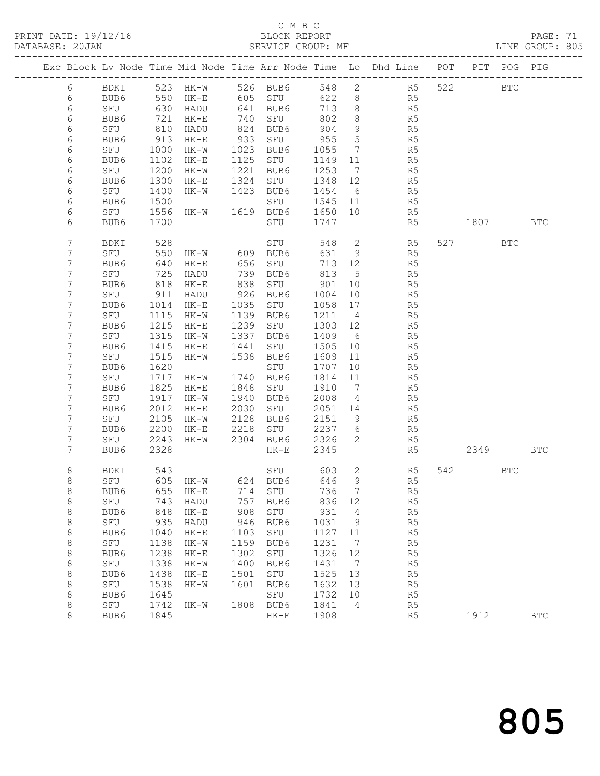### C M B C<br>BLOCK REPORT

PAGE: 71<br>LINE GROUP: 805

|                |             |      |                        |      |                     |         |                 | Exc Block Lv Node Time Mid Node Time Arr Node Time Lo Dhd Line POT |          | PIT POG PIG |            |
|----------------|-------------|------|------------------------|------|---------------------|---------|-----------------|--------------------------------------------------------------------|----------|-------------|------------|
| 6              | BDKI        |      | 523 HK-W 526 BUB6      |      |                     |         |                 | 548 2 R5                                                           | 522      | <b>BTC</b>  |            |
| 6              | BUB6        |      | $550$ HK-E             |      |                     | 622 8   |                 | R5                                                                 |          |             |            |
| $\epsilon$     | SFU         | 630  | HADU                   |      | 605 SFU<br>641 BUB6 | 713     | 8 <sup>8</sup>  | R5                                                                 |          |             |            |
| 6              | BUB6        | 721  | HK-E                   | 740  | SFU                 | 802     | 8 <sup>8</sup>  | R5                                                                 |          |             |            |
| 6              | SFU         | 810  | HADU                   | 824  | BUB6                | 904     | 9               | R5                                                                 |          |             |            |
| 6              | BUB6        | 913  | HK-E                   | 933  | SFU                 | 955     | $5\overline{)}$ | R5                                                                 |          |             |            |
| 6              | SFU         | 1000 | HK-W                   | 1023 | BUB6                | 1055    | $\overline{7}$  | R5                                                                 |          |             |            |
| 6              | BUB6        | 1102 | HK-E                   | 1125 | SFU                 | 1149    | 11              | R5                                                                 |          |             |            |
| 6              | SFU         | 1200 | HK-W                   | 1221 | BUB6                | 1253    | $\overline{7}$  | R5                                                                 |          |             |            |
| 6              | BUB6        | 1300 | HK-E                   | 1324 | SFU                 | 1348 12 |                 | R5                                                                 |          |             |            |
| 6              | SFU         | 1400 | HK-W                   |      | 1423 BUB6           | 1454 6  |                 | R5                                                                 |          |             |            |
| 6              | BUB6        | 1500 |                        |      | SFU                 | 1545 11 |                 | R5                                                                 |          |             |            |
| 6              | SFU         | 1556 | HK-W 1619 BUB6         |      |                     | 1650    | 10              | R5                                                                 |          |             |            |
| 6              | BUB6        | 1700 |                        |      | SFU                 | 1747    |                 | R5                                                                 | 1807 BTC |             |            |
|                |             |      |                        |      |                     |         |                 |                                                                    |          |             |            |
| 7              | <b>BDKI</b> | 528  |                        |      | SFU                 | 548     |                 | $\overline{2}$<br>R5                                               | 527      | <b>BTC</b>  |            |
| 7              | SFU         | 550  | HK-W 609 BUB6          |      |                     | 631     | 9               | R5                                                                 |          |             |            |
| 7              | BUB6        | 640  | HK-E                   | 656  | SFU                 | 713     | 12              | R5                                                                 |          |             |            |
| 7              | SFU         | 725  | HADU                   | 739  | BUB6                | 813     | $5^{\circ}$     | R5                                                                 |          |             |            |
| 7              | BUB6        |      | 818 HK-E               | 838  | SFU                 | 901     | 10              | R5                                                                 |          |             |            |
| 7              | SFU         | 911  | HADU                   | 926  | BUB6                | 1004    | 10              | R5                                                                 |          |             |            |
| 7              | BUB6        | 1014 | HK-E                   | 1035 | SFU                 | 1058    | 17              | R5                                                                 |          |             |            |
| 7              | SFU         | 1115 | HK-W                   | 1139 | BUB6                | 1211 4  |                 | R5                                                                 |          |             |            |
| 7              | BUB6        | 1215 | HK-E                   | 1239 | SFU                 | 1303 12 |                 | R5                                                                 |          |             |            |
| 7              | SFU         | 1315 | $HK-W$                 | 1337 | BUB6                | 1409    | 6               | R5                                                                 |          |             |            |
| 7              | BUB6        | 1415 | HK-E                   | 1441 | SFU                 | 1505    | 10              | R5                                                                 |          |             |            |
| 7              | SFU         | 1515 | HK-W                   | 1538 | BUB6                | 1609    | 11              | R5                                                                 |          |             |            |
| 7              | BUB6        | 1620 |                        |      | SFU                 | 1707    | 10              | R5                                                                 |          |             |            |
| 7              | SFU         | 1717 | HK-W                   | 1740 | BUB6                | 1814    | 11              | R5                                                                 |          |             |            |
| 7              | BUB6        | 1825 | HK-E                   | 1848 | SFU                 | 1910    | $\overline{7}$  | R5                                                                 |          |             |            |
| 7              | SFU         | 1917 | HK-W                   | 1940 | BUB6                | 2008    | $\overline{4}$  | R5                                                                 |          |             |            |
| 7              | BUB6        | 2012 | HK-E                   | 2030 | SFU                 | 2051 14 |                 | R5                                                                 |          |             |            |
| 7              | SFU         | 2105 | HK-W                   | 2128 | BUB6                | 2151    | 9               | R5                                                                 |          |             |            |
| 7              | BUB6        | 2200 | HK-E                   | 2218 | SFU                 | 2237    | 6               | R5                                                                 |          |             |            |
| 7              | SFU         | 2243 | HK-W                   |      | 2304 BUB6           | 2326    | 2               | R5                                                                 |          |             |            |
| $7\phantom{.}$ | BUB6        | 2328 |                        |      | $HK-E$              | 2345    |                 | R5                                                                 | 2349     |             | <b>BTC</b> |
| 8              | BDKI        | 543  |                        |      | SFU 603             |         | $\overline{2}$  | R <sub>5</sub>                                                     | 542      | <b>BTC</b>  |            |
| 8              | SFU         |      | 605 HK-W 624 BUB6      |      |                     | 646     | 9               | R5                                                                 |          |             |            |
| $\,8\,$        | BUB6        |      | 655 HK-E 714 SFU 736 7 |      |                     |         |                 | R <sub>5</sub>                                                     |          |             |            |
| 8              | SFU         | 743  | HADU                   | 757  | BUB6                | 836     | 12              | R <sub>5</sub>                                                     |          |             |            |
| 8              | BUB6        | 848  | $HK-E$                 | 908  | SFU                 | 931     | 4               | R5                                                                 |          |             |            |
| 8              | SFU         | 935  | HADU                   | 946  | BUB6                | 1031    | 9               | R5                                                                 |          |             |            |
| $\,8\,$        | BUB6        | 1040 | $HK-E$                 | 1103 | ${\tt SFU}$         | 1127    | 11              | R5                                                                 |          |             |            |
| 8              | SFU         | 1138 | $HK-W$                 | 1159 | BUB6                | 1231    | $7\phantom{.0}$ | R5                                                                 |          |             |            |
| 8              | BUB6        | 1238 | $HK-E$                 | 1302 | SFU                 | 1326    | 12              | R5                                                                 |          |             |            |
| 8              | SFU         | 1338 | $HK-W$                 | 1400 | BUB6                | 1431    | 7               | R <sub>5</sub>                                                     |          |             |            |
| 8              | BUB6        | 1438 | $HK-E$                 | 1501 | SFU                 | 1525    | 13              | R5                                                                 |          |             |            |
| 8              | SFU         | 1538 | $HK-W$                 | 1601 | BUB6                | 1632    | 13              | R5                                                                 |          |             |            |
| 8              | BUB6        | 1645 |                        |      | SFU                 | 1732    | 10              | R <sub>5</sub>                                                     |          |             |            |
| 8              | SFU         | 1742 | $HK-W$                 | 1808 | BUB6                | 1841    | 4               | R <sub>5</sub>                                                     |          |             |            |
| 8              | BUB6        | 1845 |                        |      | $HK-E$              | 1908    |                 | R <sub>5</sub>                                                     | 1912     |             | <b>BTC</b> |
|                |             |      |                        |      |                     |         |                 |                                                                    |          |             |            |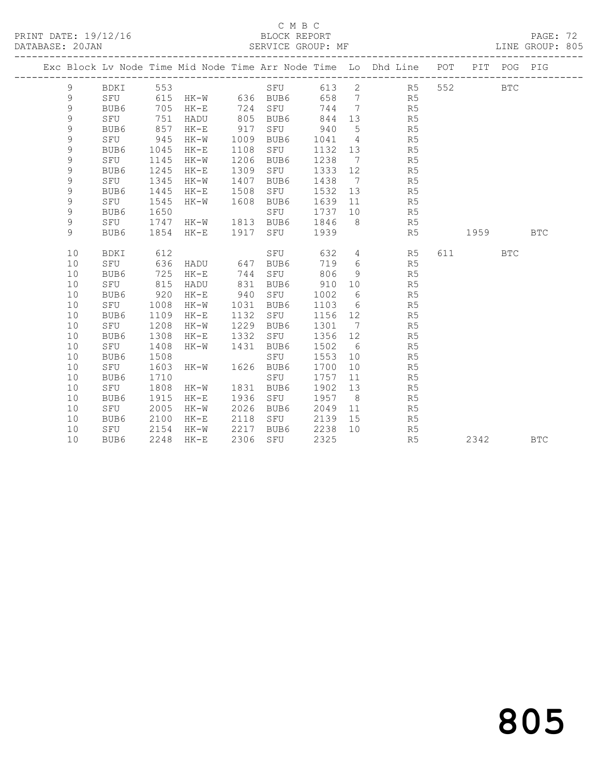#### C M B C<br>BLOCK REPORT

PAGE: 72<br>LINE GROUP: 805

|  |             |                 |      |                       |      |           |         |                | Exc Block Lv Node Time Mid Node Time Arr Node Time Lo Dhd Line POT |           | PIT POG PIG |            |
|--|-------------|-----------------|------|-----------------------|------|-----------|---------|----------------|--------------------------------------------------------------------|-----------|-------------|------------|
|  | 9           | BDKI 553        |      |                       |      |           |         |                | SFU 613 2 R5                                                       | 552 35    | <b>BTC</b>  |            |
|  | 9           |                 |      | SFU 615 HK-W 636 BUB6 |      |           |         |                | 658 7 R5                                                           |           |             |            |
|  | 9           | BUB6            | 705  | $HK-E$                | 724  | SFU       | 744 7   |                | R5                                                                 |           |             |            |
|  | 9           | SFU             | 751  | HADU                  | 805  | BUB6      | 844 13  |                | R5                                                                 |           |             |            |
|  | 9           | BUB6            | 857  | $HK-E$                | 917  | SFU 940   |         | $5^{\circ}$    | R5                                                                 |           |             |            |
|  | 9           | SFU             | 945  | HK-W                  | 1009 | BUB6      | 1041 4  |                | R5                                                                 |           |             |            |
|  | 9           | BUB6            | 1045 | HK-E                  | 1108 | SFU       | 1132 13 |                | R5                                                                 |           |             |            |
|  | 9           | SFU             | 1145 | HK-W                  | 1206 | BUB6      | 1238 7  |                | R5                                                                 |           |             |            |
|  | 9           | BUB6            | 1245 | $HK-E$                | 1309 | SFU       | 1333    | 12             | R5                                                                 |           |             |            |
|  | 9           | SFU             | 1345 | HK-W                  | 1407 | BUB6      | 1438    | $7\phantom{0}$ | R5                                                                 |           |             |            |
|  | $\mathsf 9$ | BUB6            | 1445 | HK-E                  | 1508 | SFU       | 1532    | 13             | R5                                                                 |           |             |            |
|  | $\mathsf 9$ | SFU             | 1545 | HK-W                  | 1608 | BUB6      | 1639 11 |                | R5                                                                 |           |             |            |
|  | 9           | BUB6            | 1650 |                       |      | SFU       | 1737 10 |                | R5                                                                 |           |             |            |
|  | 9           | SFU             | 1747 | HK-W 1813 BUB6        |      |           | 1846    | 8 <sup>8</sup> | R5                                                                 |           |             |            |
|  | 9           | BUB6            | 1854 | HK-E                  | 1917 | SFU       | 1939    |                | R5                                                                 | 1959 1990 |             | <b>BTC</b> |
|  | 10          |                 | 612  |                       |      | SFU       | 632 4   |                | R <sub>5</sub>                                                     | 611 BTC   |             |            |
|  | 10          | BDKI<br>SFU 636 |      | HADU 647 BUB6         |      |           | 719 6   |                | R5                                                                 |           |             |            |
|  | 10          | BUB6            | 725  | HK-E                  | 744  | SFU       | 806     | 9              | R5                                                                 |           |             |            |
|  | 10          | SFU             | 815  | HADU                  | 831  | BUB6      | 910 10  |                | R5                                                                 |           |             |            |
|  | 10          | BUB6            | 920  | HK-E                  | 940  | SFU       | 1002    | 6              | R5                                                                 |           |             |            |
|  | 10          | SFU             | 1008 | $HK-W$                | 1031 | BUB6      | 1103    | 6              | R <sub>5</sub>                                                     |           |             |            |
|  | 10          | BUB6            | 1109 | $HK-E$                | 1132 | SFU       | 1156 12 |                | R5                                                                 |           |             |            |
|  | 10          | SFU             | 1208 | HK-W                  | 1229 | BUB6      | 1301 7  |                | R5                                                                 |           |             |            |
|  | 10          | BUB6            | 1308 | HK-E                  | 1332 | SFU       | 1356 12 |                | R5                                                                 |           |             |            |
|  | 10          | SFU             | 1408 | HK-W                  | 1431 | BUB6      | 1502 6  |                | R5                                                                 |           |             |            |
|  | 10          | BUB6            | 1508 |                       |      | SFU       | 1553    | 10             | R5                                                                 |           |             |            |
|  | 10          | SFU             | 1603 | $HK-W$                |      | 1626 BUB6 | 1700    | 10             | R5                                                                 |           |             |            |
|  | 10          | BUB6            | 1710 |                       |      | SFU       | 1757    | 11             | R5                                                                 |           |             |            |
|  | 10          | SFU             | 1808 | HK-W                  | 1831 | BUB6      | 1902    | 13             | R5                                                                 |           |             |            |
|  | 10          | BUB6            | 1915 | HK-E                  | 1936 | SFU       | 1957    | 8 <sup>8</sup> | R5                                                                 |           |             |            |
|  | 10          | SFU             | 2005 | HK-W                  | 2026 | BUB6      | 2049    | 11             | R5                                                                 |           |             |            |
|  | 10          | BUB6            | 2100 | $HK-E$                | 2118 | SFU       | 2139    | 15             | R5                                                                 |           |             |            |
|  | 10          | SFU             | 2154 | HK-W                  | 2217 | BUB6      | 2238    | 10             | R5                                                                 |           |             |            |
|  | 10          | BUB6            | 2248 | $HK-E$                | 2306 | SFU       | 2325    |                | R5                                                                 | 2342      |             | <b>BTC</b> |
|  |             |                 |      |                       |      |           |         |                |                                                                    |           |             |            |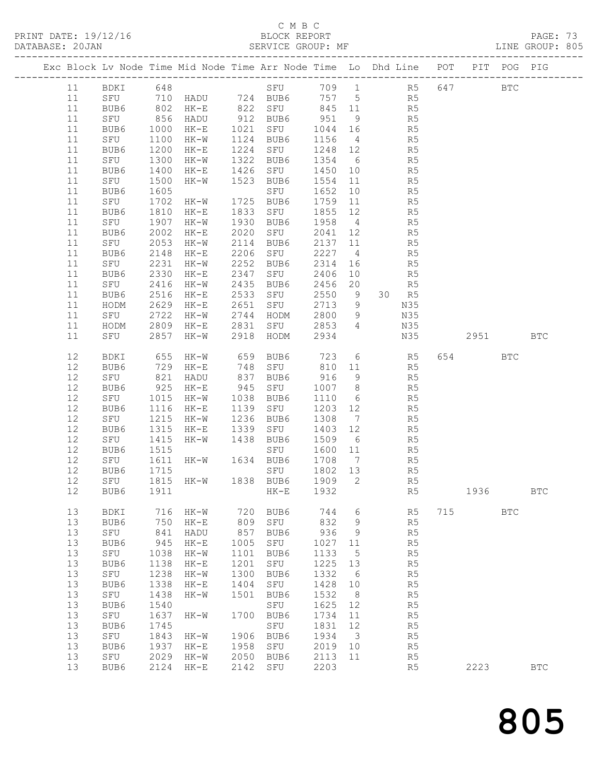#### C M B C

DATABASE: 20JAN SERVICE GROUP: MF LINE GROUP: 805 ------------------------------------------------------------------------------------------------- Exc Block Lv Node Time Mid Node Time Arr Node Time Lo Dhd Line POT PIT POG PIG ------------------------------------------------------------------------------------------------- 11 BDKI 648 SFU 709 1 R5 647 BTC 11 SFU 710 HADU 724 BUB6 757 5 R5 11 BUB6 802 HK-E 822 SFU 845 11 R5 11 SFU 856 HADU 912 BUB6 951 9 R5

| ++     | $U \cup U$  | <b>UUU</b> | $11 \triangle U$ |           | טעטע בגע  | シンエ     | $\overline{\phantom{a}}$ | ຼ⊥∖            |     |      |            |              |
|--------|-------------|------------|------------------|-----------|-----------|---------|--------------------------|----------------|-----|------|------------|--------------|
| 11     | BUB6        | 1000       | HK-E             | 1021      | SFU       | 1044 16 |                          | R5             |     |      |            |              |
| 11     | SFU         | 1100       | $HK-W$           | 1124      | BUB6      | 1156    | $\overline{4}$           | R5             |     |      |            |              |
| 11     |             | 1200       |                  | 1224      |           | 1248    |                          | R <sub>5</sub> |     |      |            |              |
|        | BUB6        |            | $HK-E$           |           | SFU       |         | 12                       |                |     |      |            |              |
| 11     | SFU         | 1300       | $HK-W$           | 1322      | BUB6      | 1354    | $6\overline{6}$          | R <sub>5</sub> |     |      |            |              |
| 11     | BUB6        | 1400       | $HK-E$           | 1426      | SFU       | 1450    | 10                       | R <sub>5</sub> |     |      |            |              |
| 11     | SFU         | 1500       | $HK-W$           | 1523      | BUB6      | 1554    | 11                       | R <sub>5</sub> |     |      |            |              |
| 11     |             |            |                  |           |           |         |                          | R <sub>5</sub> |     |      |            |              |
|        | BUB6        | 1605       |                  |           | SFU       | 1652    | 10                       |                |     |      |            |              |
| 11     | SFU         |            | 1702 HK-W        |           | 1725 BUB6 | 1759 11 |                          | R <sub>5</sub> |     |      |            |              |
| 11     | BUB6        | 1810       | $HK-E$           | 1833      | SFU       | 1855    | 12                       | R5             |     |      |            |              |
| 11     | SFU         | 1907       | $HK-W$           | 1930      | BUB6      | 1958    | $\overline{4}$           | R5             |     |      |            |              |
| 11     | BUB6        | 2002       | $HK-E$           | 2020      | SFU       | 2041    | 12                       | R <sub>5</sub> |     |      |            |              |
|        |             |            |                  |           |           |         |                          |                |     |      |            |              |
| 11     | SFU         | 2053       | $HK-W$           | 2114      | BUB6      | 2137    | 11                       | R <sub>5</sub> |     |      |            |              |
| 11     | BUB6        | 2148       | $HK-E$           | 2206      | SFU       | 2227    | $\overline{4}$           | R <sub>5</sub> |     |      |            |              |
| 11     | SFU         | 2231       | $HK-W$           | 2252      | BUB6      | 2314    | 16                       | R <sub>5</sub> |     |      |            |              |
| 11     | BUB6        | 2330       | $HK-E$           | 2347      | SFU       | 2406    | 10                       | R <sub>5</sub> |     |      |            |              |
| 11     | SFU         | 2416       | $HK-W$           | 2435      | BUB6      | 2456    | 20                       | R5             |     |      |            |              |
|        |             |            |                  |           | SFU       |         |                          |                |     |      |            |              |
| 11     | BUB6        | 2516       | $HK-E$           | 2533      |           | 2550    | 9                        | 30 R5          |     |      |            |              |
| 11     | HODM        | 2629       | $HK-E$           | 2651      | SFU       | 2713    | 9                        | N35            |     |      |            |              |
| 11     | SFU         | 2722       | HK-W             | 2744      | HODM      | 2800    | 9                        | N35            |     |      |            |              |
| 11     | HODM        | 2809       | $HK-E$           | 2831      | SFU       | 2853    | $\overline{4}$           | N35            |     |      |            |              |
| 11     | SFU         | 2857       | HK-W             |           | 2918 HODM | 2934    |                          | N35            |     | 2951 |            | <b>BTC</b>   |
|        |             |            |                  |           |           |         |                          |                |     |      |            |              |
|        |             |            |                  |           |           |         |                          |                |     |      |            |              |
| 12     | BDKI        | 655        | $HK-W$           | 659       | BUB6      | 723     | $6\,$                    | R5             | 654 |      | <b>BTC</b> |              |
| 12     | BUB6        | 729<br>821 | HK-E             | 748       | SFU       | 810     | 11                       | R5             |     |      |            |              |
| 12     | SFU         | 821        | HADU             | 837       | BUB6      | 916     | $\overline{9}$           | R5             |     |      |            |              |
| 12     | BUB6        | 925        | $HK-E$           | 945       | SFU       | 1007    | 8                        | R5             |     |      |            |              |
|        |             |            |                  |           |           |         |                          |                |     |      |            |              |
| 12     | SFU         | 1015       | $HK-W$           | 1038      | BUB6      | 1110    | 6                        | R <sub>5</sub> |     |      |            |              |
| 12     | BUB6        | 1116       | $HK-E$           | 1139      | SFU       | 1203    | 12                       | R <sub>5</sub> |     |      |            |              |
| 12     | SFU         | 1215       | $HK-W$           | 1236      | BUB6      | 1308    | $\overline{7}$           | R <sub>5</sub> |     |      |            |              |
| 12     | BUB6        | 1315       | $HK-E$           | 1339      | SFU       | 1403    | 12                       | R5             |     |      |            |              |
| 12     | SFU         | 1415       | $HK-W$           | 1438      | BUB6      | 1509    | $6\overline{6}$          | R5             |     |      |            |              |
|        |             |            |                  |           |           |         |                          |                |     |      |            |              |
| $12\,$ | BUB6        | 1515       |                  |           | SFU       | 1600    | 11                       | R <sub>5</sub> |     |      |            |              |
| 12     | SFU         | 1611       | $HK-W$           |           | 1634 BUB6 | 1708    | $\overline{7}$           | R <sub>5</sub> |     |      |            |              |
| 12     | BUB6        | 1715       |                  |           | SFU       | 1802 13 |                          | R5             |     |      |            |              |
| 12     | SFU         | 1815       | HK-W             |           | 1838 BUB6 | 1909    | $\mathbf{2}$             | R5             |     |      |            |              |
| 12     | BUB6        | 1911       |                  |           | $HK-E$    | 1932    |                          | R5             |     | 1936 |            | $_{\rm BTC}$ |
|        |             |            |                  |           |           |         |                          |                |     |      |            |              |
|        |             |            |                  |           |           |         |                          |                |     |      |            |              |
| 13     | BDKI        | 716        | HK-W             | 720       | BUB6      | 744     | $\sqrt{6}$               | R5             | 715 |      | <b>BTC</b> |              |
| 13     | BUB6        | 750        | $HK-E$           | 809       | SFU       | 832     | 9                        | R <sub>5</sub> |     |      |            |              |
| 13     | SFU         | 841        | HADU             | 857       | BUB6      | 936     | 9                        | R <sub>5</sub> |     |      |            |              |
| 13     | BUB6        | 945        | $HK-E$           | 1005      | SFU       | 1027    | 11                       | R5             |     |      |            |              |
| 13     | SFU         |            | 1038 HK-W        | 1101 BUB6 |           | 1133    | 5                        | R <sub>5</sub> |     |      |            |              |
|        |             |            |                  |           |           |         |                          |                |     |      |            |              |
| 13     | BUB6        | 1138       | $HK-E$           | 1201      | SFU       | 1225    | 13                       | R5             |     |      |            |              |
| 13     | SFU         | 1238       | $HK-W$           | 1300      | BUB6      | 1332    | 6                        | R5             |     |      |            |              |
| 13     | BUB6        | 1338       | $HK-E$           | 1404      | SFU       | 1428    | 10                       | R5             |     |      |            |              |
| 13     | ${\tt SFU}$ | 1438       | $HK-W$           | 1501      | BUB6      | 1532    | 8                        | R5             |     |      |            |              |
| 13     | BUB6        | 1540       |                  |           | SFU       | 1625    | 12                       | R <sub>5</sub> |     |      |            |              |
|        |             |            |                  |           |           |         |                          |                |     |      |            |              |
| 13     | SFU         | 1637       | $HK-W$           | 1700      | BUB6      | 1734    | 11                       | R5             |     |      |            |              |
| 13     | BUB6        | 1745       |                  |           | SFU       | 1831    | 12                       | R5             |     |      |            |              |
| 13     | SFU         | 1843       | $HK-W$           | 1906      | BUB6      | 1934    | $\mathfrak{Z}$           | R5             |     |      |            |              |
| 13     | BUB6        | 1937       | $HK-E$           | 1958      | SFU       | 2019    | 10                       | R <sub>5</sub> |     |      |            |              |
| 13     | SFU         | 2029       | $HK-W$           | 2050      | BUB6      | 2113    | 11                       | R5             |     |      |            |              |
| 13     |             | 2124       |                  | 2142      |           | 2203    |                          |                |     | 2223 |            |              |
|        | BUB6        |            | $\rm{HK\!-\!E}$  |           | SFU       |         |                          | R <sub>5</sub> |     |      |            | <b>BTC</b>   |
|        |             |            |                  |           |           |         |                          |                |     |      |            |              |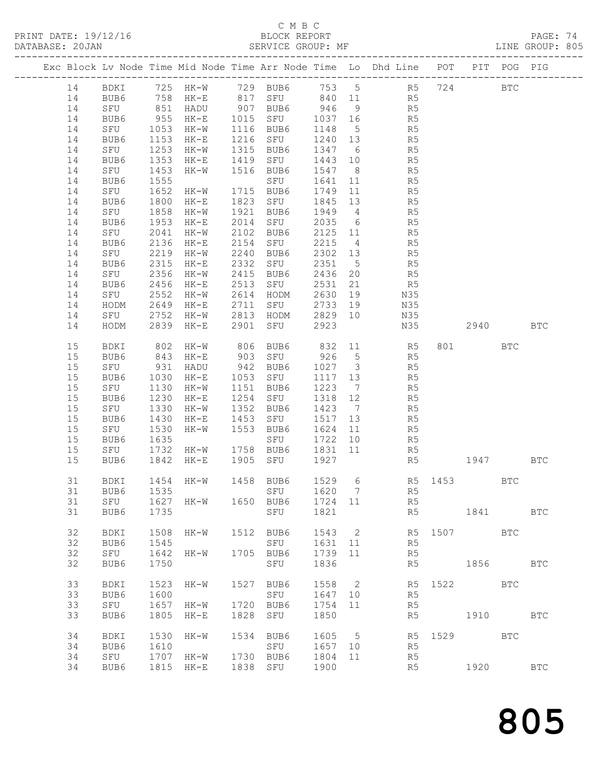#### C M B C<br>BLOCK REPORT

PRINT DATE: 19/12/16 BLOCK REPORT PAGE: 74 DATABASE: 20JAN SERVICE GROUP: MF LINE GROUP: 805 ------------------------------------------------------------------------------------------------- Exc Block Lv Node Time Mid Node Time Arr Node Time Lo Dhd Line POT PIT POG PIG ------------------------------------------------------------------------------------------------- 14 BDKI 725 HK-W 729 BUB6 753 5 R5 724 BTC 14 BUB6 758 HK-E 817 SFU 840 11 R5 14 SFU 851 HADU 907 BUB6 946 9 R5 14 BUB6 955 HK-E 1015 SFU 1037 16 R5 14 SFU 1053 HK-W 1116 BUB6 1148 5 R5 14 BUB6 1153 HK-E 1216 SFU 1240 13 R5 14 SFU 1253 HK-W 1315 BUB6 1347 6 R5 14 BUB6 1353 HK-E 1419 SFU 1443 10 R5 14 SFU 1453 HK-W 1516 BUB6 1547 8 R5 14 BUB6 1555 SFU 1641 11 R5 14 SFU 1652 HK-W 1715 BUB6 1749 11 R5 14 BUB6 1800 HK-E 1823 SFU 1845 13 R5 14 SFU 1858 HK-W 1921 BUB6 1949 4 R5 14 BUB6 1953 HK-E 2014 SFU 2035 6 R5 14 SFU 2041 HK-W 2102 BUB6 2125 11 R5 14 BUB6 2136 HK-E 2154 SFU 2215 4 R5 14 SFU 2219 HK-W 2240 BUB6 2302 13 R5 14 BUB6 2315 HK-E 2332 SFU 2351 5 R5 14 SFU 2356 HK-W 2415 BUB6 2436 20 R5 14 BUB6 2456 HK-E 2513 SFU 2531 21 R5 14 SFU 2552 HK-W 2614 HODM 2630 19 N35 14 HODM 2649 HK-E 2711 SFU 2733 19 N35 14 SFU 2752 HK-W 2813 HODM 2829 10 N35 14 HODM 2839 HK-E 2901 SFU 2923 N35 2940 BTC 15 BDKI 802 HK-W 806 BUB6 832 11 R5 801 BTC 15 BUB6 843 HK-E 903 SFU 926 5 R5 15 SFU 931 HADU 942 BUB6 1027 3 R5 15 BUB6 1030 HK-E 1053 SFU 1117 13 R5 15 SFU 1130 HK-W 1151 BUB6 1223 7 R5 15 BUB6 1230 HK-E 1254 SFU 1318 12 R5 15 SFU 1330 HK-W 1352 BUB6 1423 7 R5 15 BUB6 1430 HK-E 1453 SFU 1517 13 R5 15 SFU 1530 HK-W 1553 BUB6 1624 11 R5 15 BUB6 1635 SFU 1722 10 R5 15 SFU 1732 HK-W 1758 BUB6 1831 11 R5 15 BUB6 1842 HK-E 1905 SFU 1927 R5 1947 BTC 31 BDKI 1454 HK-W 1458 BUB6 1529 6 R5 1453 BTC 31 BUB6 1535 SFU 1620 7 R5 31 SFU 1627 HK-W 1650 BUB6 1724 11 R5 31 BUB6 1735 SFU 1821 R5 1841 BTC 32 BDKI 1508 HK-W 1512 BUB6 1543 2 R5 1507 BTC 32 BUB6 1545 SFU 1631 11 R5 32 SFU 1642 HK-W 1705 BUB6 1739 11 R5 32 BUB6 1750 SFU 1836 R5 1856 BTC 33 BDKI 1523 HK-W 1527 BUB6 1558 2 R5 1522 BTC 33 BUB6 1600 SFU 1647 10 R5 33 SFU 1657 HK-W 1720 BUB6 1754 11 R5 33 BUB6 1805 HK-E 1828 SFU 1850 R5 1910 BTC 34 BDKI 1530 HK-W 1534 BUB6 1605 5 R5 1529 BTC 34 BUB6 1610 SFU 1657 10 R5 34 SFU 1707 HK-W 1730 BUB6 1804 11 R5 34 BUB6 1815 HK-E 1838 SFU 1900 R5 1920 BTC

805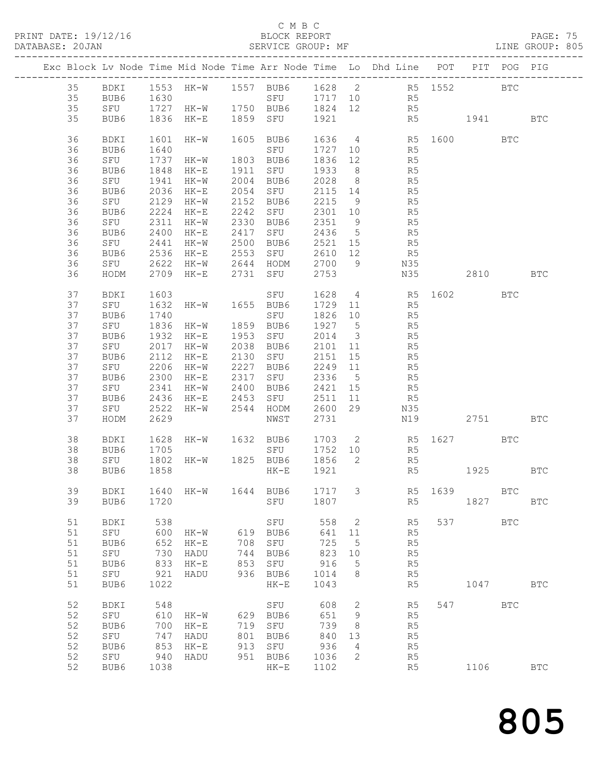#### C M B C<br>BLOCK REPORT

#### PAGE: 75<br>LINE GROUP: 805

|  |    |      |              |                |     |                                                       |         |                          | Exc Block Lv Node Time Mid Node Time Arr Node Time Lo Dhd Line POT PIT POG PIG |          |              |            |
|--|----|------|--------------|----------------|-----|-------------------------------------------------------|---------|--------------------------|--------------------------------------------------------------------------------|----------|--------------|------------|
|  | 35 |      |              |                |     |                                                       |         |                          | BDKI 1553 HK-W 1557 BUB6 1628 2 R5 1552 BTC                                    |          |              |            |
|  | 35 |      |              |                |     |                                                       |         |                          | R5<br>R5                                                                       |          |              |            |
|  | 35 |      |              |                |     |                                                       |         |                          |                                                                                |          |              |            |
|  | 35 | BUB6 |              |                |     | 1836 HK-E 1859 SFU 1921                               |         |                          | R5 1941 BTC                                                                    |          |              |            |
|  | 36 | BDKI | 1601         | HK-W           |     | 1605 BUB6                                             |         |                          | 1636  4  R5  1600  BTC<br>1727  10  R5                                         |          |              |            |
|  | 36 | BUB6 | 1640         |                |     | SFU                                                   |         |                          |                                                                                |          |              |            |
|  | 36 | SFU  | 1737         | $HK-W$         |     | 1803 BUB6                                             | 1836 12 |                          | R <sub>5</sub>                                                                 |          |              |            |
|  | 36 | BUB6 | 1848         | HK-E 1911 SFU  |     |                                                       | 1933 8  |                          | R <sub>5</sub>                                                                 |          |              |            |
|  | 36 | SFU  | 1941         | HK-W           |     | 2004 BUB6                                             | 2028 8  |                          | R5<br>R5                                                                       |          |              |            |
|  | 36 | BUB6 | 2036         | $HK-E$         |     | $2054$ SFU                                            | 2115 14 |                          |                                                                                |          |              |            |
|  | 36 | SFU  | 2129         | HK-W 2152 BUB6 |     |                                                       | 2215 9  |                          | R <sub>5</sub>                                                                 |          |              |            |
|  | 36 | BUB6 | 2224         | HK-E           |     | 2242 SFU                                              | 2301 10 |                          | R <sub>5</sub>                                                                 |          |              |            |
|  | 36 | SFU  | 2311         | HK-W           |     | 2330 BUB6                                             | 2351 9  |                          | R5<br>R5                                                                       |          |              |            |
|  | 36 | BUB6 | 2400         | HK-E           |     | ∠ɔɔ∪ BUB6<br>2417 SFU                                 | 2436 5  |                          |                                                                                |          |              |            |
|  | 36 | SFU  | 2441         | HK-W 2500 BUB6 |     |                                                       | 2521 15 |                          | R <sub>5</sub>                                                                 |          |              |            |
|  | 36 | BUB6 | 2536         |                |     | HK-E 2553 SFU                                         | 2610 12 |                          | R <sub>5</sub>                                                                 |          |              |            |
|  | 36 | SFU  | 2622         |                |     |                                                       |         |                          | N35                                                                            |          |              |            |
|  | 36 | HODM |              |                |     | 2622 HK-W 2644 HODM 2700 9<br>2709 HK-E 2731 SFU 2753 |         |                          | N35                                                                            | 2810 BTC |              |            |
|  | 37 | BDKI | 1603         |                |     | SFU                                                   |         |                          | 1628  4  R5  1602  BTC                                                         |          |              |            |
|  | 37 | SFU  | 1632         | HK-W 1655 BUB6 |     |                                                       |         |                          | 1729 11 R5                                                                     |          |              |            |
|  | 37 | BUB6 | 1740         |                |     | SFU                                                   | 1826 10 |                          |                                                                                |          |              |            |
|  | 37 | SFU  | 1836         | $HK-W$         |     | 1859 BUB6                                             | 1927 5  |                          | R5<br>R5                                                                       |          |              |            |
|  | 37 | BUB6 | 1932         | HK-E 1953 SFU  |     |                                                       | 2014 3  |                          | R <sub>5</sub>                                                                 |          |              |            |
|  | 37 | SFU  | 2017         | HK-W           |     | 2038 BUB6                                             | 2101 11 |                          | R <sub>5</sub>                                                                 |          |              |            |
|  | 37 | BUB6 | 2112         | $HK-E$         |     | 2130 SFU                                              | 2151 15 |                          |                                                                                |          |              |            |
|  | 37 | SFU  | 2206         | $HK-W$         |     | 2227 BUB6                                             | 2249 11 |                          | R5<br>R5                                                                       |          |              |            |
|  | 37 | BUB6 | 2300         |                |     | HK-E 2317 SFU 2336 5                                  |         |                          | R <sub>5</sub>                                                                 |          |              |            |
|  | 37 | SFU  | 2341         | HK-W 2400 BUB6 |     |                                                       | 2421 15 |                          | R <sub>5</sub>                                                                 |          |              |            |
|  | 37 | BUB6 | 2436         | HK-E 2453 SFU  |     |                                                       | 2511 11 |                          | R5                                                                             |          |              |            |
|  | 37 | SFU  | 2522         | HK-W           |     | 2544 HODM                                             | 2600 29 |                          | N35                                                                            |          |              |            |
|  | 37 | HODM | 2629         |                |     | NWST                                                  | 2731    |                          | N19                                                                            | 2751     |              | <b>BTC</b> |
|  |    |      |              |                |     |                                                       |         |                          |                                                                                |          |              |            |
|  | 38 | BDKI | 1628<br>1705 |                |     |                                                       |         |                          | HK-W 1632 BUB6 1703 2 R5 1627 BTC<br>SFU 1752 10 R5                            |          |              |            |
|  | 38 | BUB6 |              |                |     |                                                       |         |                          |                                                                                |          |              |            |
|  | 38 | SFU  | 1802         |                |     |                                                       |         |                          | HK-W 1825 BUB6 1856 2 R5                                                       |          |              |            |
|  | 38 | BUB6 | 1858         |                |     | $HK-E$                                                | 1921    |                          | R5                                                                             | 1925 BTC |              |            |
|  | 39 |      |              |                |     |                                                       |         |                          | BDKI 1640 HK-W 1644 BUB6 1717 3 R5 1639 BTC                                    |          |              |            |
|  | 39 | BUB6 | 1720         |                |     | SFU                                                   | 1807    |                          | R5                                                                             | 1827     |              | <b>BTC</b> |
|  |    |      |              |                |     |                                                       |         |                          |                                                                                |          |              |            |
|  | 51 | BDKI | 538          |                |     | SFU                                                   | 558     | $\overline{\phantom{a}}$ | R5                                                                             | 537 8    | $_{\rm BTC}$ |            |
|  | 51 | SFU  | 600          | HK-W           | 619 | BUB6                                                  | 641     | 11                       | R5                                                                             |          |              |            |
|  | 51 | BUB6 | 652          | $HK-E$         | 708 | SFU                                                   | 725     | 5                        | R5                                                                             |          |              |            |
|  | 51 | SFU  | 730          | HADU           | 744 | BUB6                                                  | 823     | 10                       | R5                                                                             |          |              |            |
|  | 51 | BUB6 | 833          | $HK-E$         | 853 | SFU                                                   | 916     | 5                        | R5                                                                             |          |              |            |
|  | 51 | SFU  | 921          | HADU           | 936 | BUB6                                                  | 1014    | 8                        | R5                                                                             |          |              |            |
|  | 51 | BUB6 | 1022         |                |     | $HK-E$                                                | 1043    |                          | R5                                                                             | 1047     |              | <b>BTC</b> |
|  | 52 | BDKI | 548          |                |     | SFU                                                   | 608     | 2                        | R5                                                                             | 547      | <b>BTC</b>   |            |
|  | 52 | SFU  | 610          | HK-W           | 629 | BUB6                                                  | 651     | 9                        | R5                                                                             |          |              |            |
|  | 52 | BUB6 | 700          | $HK-E$         | 719 | ${\tt SFU}$                                           | 739     | 8                        | R5                                                                             |          |              |            |
|  | 52 | SFU  | 747          | HADU           | 801 | BUB6                                                  | 840     | 13                       | R5                                                                             |          |              |            |
|  | 52 | BUB6 | 853          | $HK-E$         | 913 | SFU                                                   | 936     | 4                        | R <sub>5</sub>                                                                 |          |              |            |
|  | 52 | SFU  | 940          | HADU           | 951 | BUB6                                                  | 1036    | 2                        | R5                                                                             |          |              |            |
|  | 52 | BUB6 | 1038         |                |     | $HK-E$                                                | 1102    |                          | R5                                                                             | 1106     |              | <b>BTC</b> |
|  |    |      |              |                |     |                                                       |         |                          |                                                                                |          |              |            |

805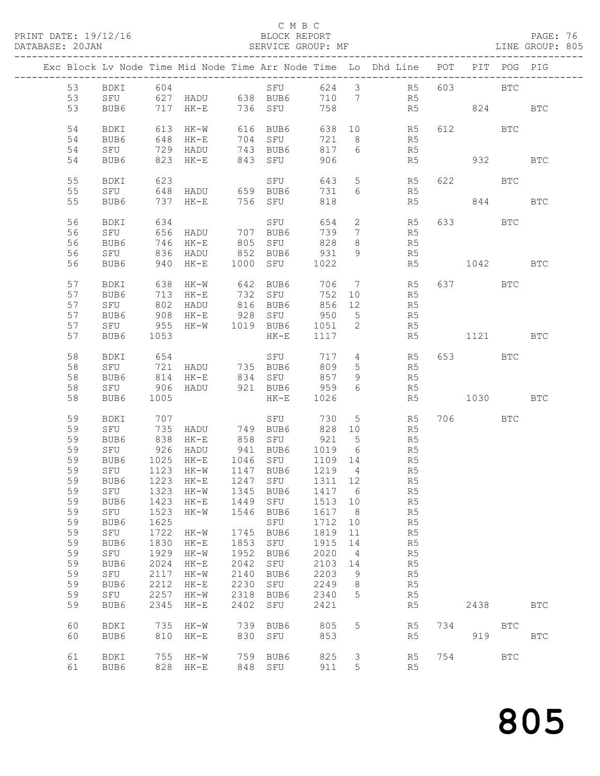#### C M B C<br>BLOCK REPORT

PAGE: 76<br>LINE GROUP: 805

|    |          |      |                              |      |                                                         |         |                 | Exc Block Lv Node Time Mid Node Time Arr Node Time Lo Dhd Line POT |          | PIT POG PIG |              |
|----|----------|------|------------------------------|------|---------------------------------------------------------|---------|-----------------|--------------------------------------------------------------------|----------|-------------|--------------|
|    |          |      |                              |      |                                                         |         |                 |                                                                    |          |             |              |
| 53 | BDKI 604 |      |                              |      |                                                         |         |                 | SFU 624 3 R5                                                       | 603 BTC  |             |              |
| 53 |          |      |                              |      | SFU 627 HADU 638 BUB6                                   | 710 7   |                 | R5                                                                 |          |             |              |
| 53 | BUB6     |      | 717 HK-E 736 SFU             |      |                                                         | 758     |                 | R5                                                                 | 824 BTC  |             |              |
|    |          |      |                              |      |                                                         |         |                 |                                                                    |          |             |              |
|    |          |      |                              |      |                                                         |         |                 |                                                                    |          |             |              |
| 54 | BDKI     |      | 613 HK-W                     |      | 616 BUB6                                                |         |                 | 638 10 R5                                                          | 612 BTC  |             |              |
| 54 | BUB6     |      | 648 HK-E                     |      | 704 SFU                                                 | 721 8   |                 | R5                                                                 |          |             |              |
| 54 | SFU      |      | 729 HADU                     |      | 743 BUB6                                                | 817     | $6\overline{6}$ | R5                                                                 |          |             |              |
| 54 | BUB6     |      | 823 HK-E                     |      | 843 SFU                                                 | 906     |                 | R5                                                                 | 932      |             | <b>BTC</b>   |
|    |          |      |                              |      |                                                         |         |                 |                                                                    |          |             |              |
| 55 | BDKI     | 623  |                              |      | SFU                                                     | 643     |                 | 5 R5                                                               | 622 BTC  |             |              |
| 55 | SFU      |      |                              |      | 648 HADU 659 BUB6                                       | 731     |                 | $6\overline{6}$<br>R5                                              |          |             |              |
|    |          |      |                              |      |                                                         |         |                 |                                                                    |          |             |              |
| 55 | BUB6     |      | 737 HK-E 756 SFU             |      |                                                         | 818     |                 | R5                                                                 | 844 BTC  |             |              |
|    |          |      |                              |      |                                                         |         |                 |                                                                    |          |             |              |
| 56 | BDKI     | 634  |                              |      | SFU                                                     | 654     |                 | $\overline{2}$<br>R5                                               | 633 BTC  |             |              |
| 56 | SFU      | 656  | HADU 707 BUB6                |      |                                                         | 739     | $\overline{7}$  | R5                                                                 |          |             |              |
| 56 | BUB6     | 746  | $HK-E$                       |      | 805 SFU                                                 | 828     | 8 <sup>8</sup>  | R5                                                                 |          |             |              |
| 56 | SFU      | 836  | HADU 852 BUB6                |      |                                                         | 931     | 9               | R5                                                                 |          |             |              |
| 56 | BUB6     |      | 940 HK-E                     |      | 1000 SFU 1022                                           |         |                 | R5                                                                 | 1042 BTC |             |              |
|    |          |      |                              |      |                                                         |         |                 |                                                                    |          |             |              |
|    |          |      |                              |      |                                                         |         |                 |                                                                    |          |             |              |
| 57 | BDKI     |      |                              |      |                                                         |         |                 | 638 HK-W 642 BUB6 706 7 R5                                         | 637 BTC  |             |              |
| 57 | BUB6     |      |                              |      |                                                         | 752 10  |                 | R5                                                                 |          |             |              |
| 57 | SFU      |      | 713 HK-E<br>802 HADU<br>HADU |      | 732 SFU<br>816 BUB6                                     | 856 12  |                 | R5                                                                 |          |             |              |
| 57 | BUB6     | 908  | HK-E                         |      | $928$ SFU $950$ 5                                       |         |                 | R5                                                                 |          |             |              |
| 57 | SFU      | 955  |                              |      | HK-W 1019 BUB6                                          | 1051 2  |                 | R5                                                                 |          |             |              |
|    |          |      |                              |      |                                                         |         |                 |                                                                    | 1121     |             |              |
| 57 | BUB6     | 1053 |                              |      | HK-E                                                    | 1117    |                 | R5                                                                 |          |             | BTC          |
|    |          |      |                              |      |                                                         |         |                 |                                                                    |          |             |              |
| 58 | BDKI     | 654  |                              |      | SFU                                                     |         |                 | 717 4 R5                                                           | 653 BTC  |             |              |
| 58 | SFU      |      |                              |      | 721 HADU 735 BUB6                                       | 809     |                 | $5\overline{}$<br>R5                                               |          |             |              |
| 58 | BUB6     | 814  | $HK-E$                       |      | 834 SFU 857                                             |         | 9               | R5                                                                 |          |             |              |
| 58 | SFU      | 906  | HADU 921 BUB6                |      |                                                         | 959     | 6               | R5                                                                 |          |             |              |
| 58 | BUB6     | 1005 |                              |      | $HK-E$                                                  | 1026    |                 | R5                                                                 | 1030     |             | BTC          |
|    |          |      |                              |      |                                                         |         |                 |                                                                    |          |             |              |
|    |          |      |                              |      |                                                         |         |                 |                                                                    |          |             |              |
| 59 | BDKI     | 707  |                              |      | SFU                                                     | 730     | 5 <sup>5</sup>  | R <sub>5</sub>                                                     | 706 BTC  |             |              |
| 59 | SFU      |      |                              |      | 735 HADU       749  BUB6<br>838   HK-E        858   SFU | 828 10  |                 | R5                                                                 |          |             |              |
| 59 | BUB6     |      |                              |      |                                                         | 921 5   |                 | R5                                                                 |          |             |              |
| 59 | SFU      |      |                              |      | 926 HADU 941 BUB6 1019 6                                |         |                 | R5                                                                 |          |             |              |
| 59 | BUB6     |      | 1025 HK-E 1046 SFU           |      |                                                         | 1109 14 |                 | R5                                                                 |          |             |              |
| 59 |          |      | 1123 HK-W 1147 BUB6          |      |                                                         | 1219 4  |                 |                                                                    |          |             |              |
|    | SFU      |      |                              |      |                                                         |         |                 | R5                                                                 |          |             |              |
| 59 | BUB6     |      | $1223$ HK-E                  |      | $1247$ SFU                                              | 1311 12 |                 | R5                                                                 |          |             |              |
|    |          |      |                              |      |                                                         |         |                 | 59 SFU 1323 HK-W 1345 BUB6 1417 6 R5                               |          |             |              |
| 59 | BUB6     | 1423 | HK-E                         | 1449 | SFU                                                     | 1513 10 |                 | R5                                                                 |          |             |              |
| 59 | SFU      | 1523 | HK-W                         | 1546 | BUB6                                                    | 1617 8  |                 | R5                                                                 |          |             |              |
| 59 | BUB6     | 1625 |                              |      | SFU                                                     | 1712    | 10              | R5                                                                 |          |             |              |
| 59 | SFU      | 1722 | HK-W                         | 1745 | BUB6                                                    | 1819    | 11              | R5                                                                 |          |             |              |
|    |          |      |                              |      |                                                         |         |                 |                                                                    |          |             |              |
| 59 | BUB6     | 1830 | $HK-E$                       | 1853 | SFU                                                     | 1915    | 14              | R5                                                                 |          |             |              |
| 59 | SFU      | 1929 | HK-W                         | 1952 | BUB6                                                    | 2020    | $\overline{4}$  | R5                                                                 |          |             |              |
| 59 | BUB6     | 2024 | $HK-E$                       | 2042 | SFU                                                     | 2103 14 |                 | R5                                                                 |          |             |              |
| 59 | SFU      | 2117 | HK-W                         | 2140 | BUB6                                                    | 2203    | 9               | R5                                                                 |          |             |              |
| 59 | BUB6     | 2212 | $HK-E$                       | 2230 | SFU                                                     | 2249    | 8               | R5                                                                 |          |             |              |
| 59 | SFU      | 2257 | HK-W                         | 2318 | BUB6                                                    | 2340    | 5               | R5                                                                 |          |             |              |
|    |          |      |                              |      |                                                         |         |                 |                                                                    |          |             |              |
| 59 | BUB6     | 2345 | $HK-E$                       | 2402 | SFU                                                     | 2421    |                 | R5                                                                 | 2438     |             | $_{\rm BTC}$ |
|    |          |      |                              |      |                                                         |         |                 |                                                                    |          |             |              |
| 60 | BDKI     | 735  | HK-W                         | 739  | BUB6                                                    | 805     | 5               | R5                                                                 | 734      | BTC         |              |
| 60 | BUB6     | 810  | HK-E                         | 830  | SFU                                                     | 853     |                 | R <sub>5</sub>                                                     | 919      |             | <b>BTC</b>   |
|    |          |      |                              |      |                                                         |         |                 |                                                                    |          |             |              |
| 61 | BDKI     |      | 755 HK-W                     | 759  | BUB6                                                    | 825     | 3               | R5                                                                 | 754      | <b>BTC</b>  |              |
| 61 | BUB6     |      | 828 HK-E                     | 848  | SFU                                                     | 911     | 5               | R5                                                                 |          |             |              |
|    |          |      |                              |      |                                                         |         |                 |                                                                    |          |             |              |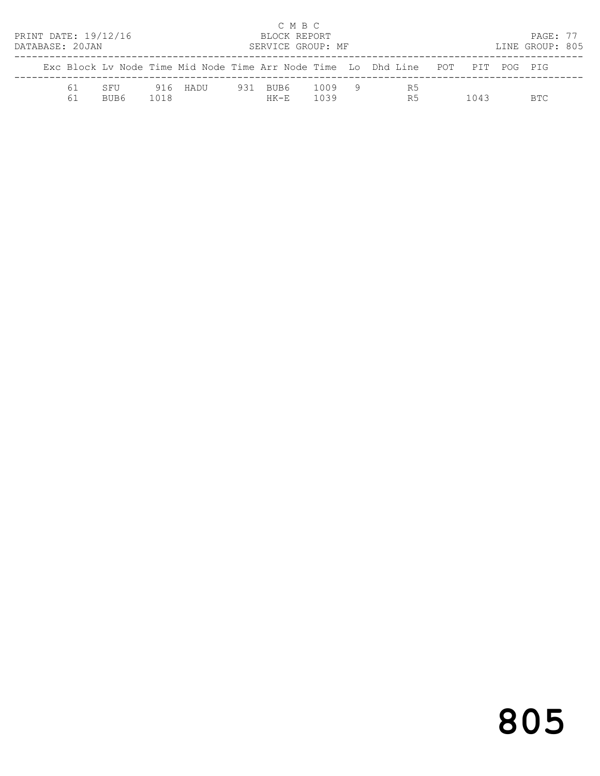| PRINT DATE: 19/12/16<br>DATABASE: 20JAN |          |             |      |          |     | C M B C<br>BLOCK REPORT<br>SERVICE GROUP: MF |                |                                                                                |      | PAGE: 77<br>LINE GROUP: 805 |  |
|-----------------------------------------|----------|-------------|------|----------|-----|----------------------------------------------|----------------|--------------------------------------------------------------------------------|------|-----------------------------|--|
|                                         |          |             |      |          |     |                                              |                | Exc Block Ly Node Time Mid Node Time Arr Node Time Lo Dhd Line POT PIT POG PIG |      |                             |  |
|                                         | 61<br>61 | SFU<br>BUB6 | 1018 | 916 HADU | 931 | BUB6.<br>$HK - F$                            | 1009 9<br>1039 | R5<br>R <sub>5</sub>                                                           | 1043 | <b>BTC</b>                  |  |

# 805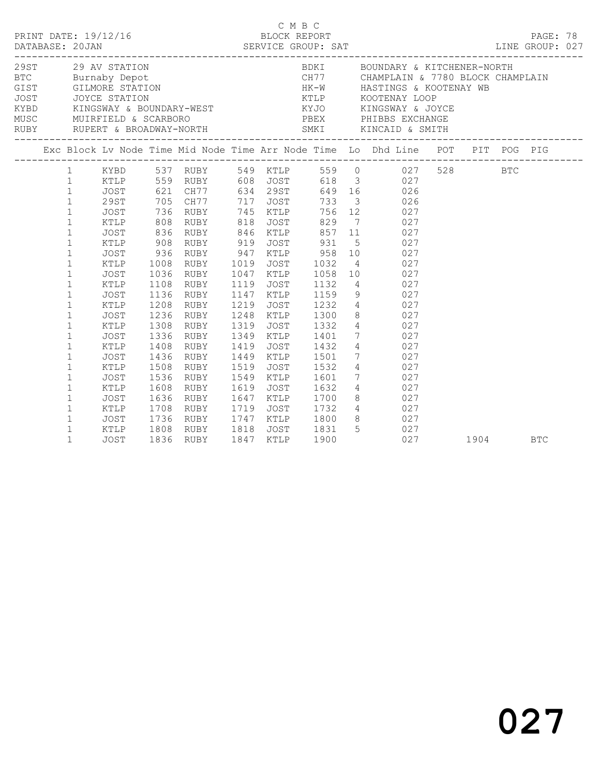|                                                                                                                                                                                                                                                                                                                                                                                                            |                                                                                                                                                                                                                    |                                                                                                                                                                  |                                                                                                                                                                                           |                                                                                                                                    |                                                                                                                                                                                         |                                                                                                                                                                       | C M B C<br>PRINT DATE: 19/12/16 BLOCK REPORT PAGE: 78<br>DATABASE: 20JAN SERVICE GROUP: SAT LINE GROUP: 027                                                                                                                                                                                                                                                                                                                                                                                                                                                                 |      |            |  |
|------------------------------------------------------------------------------------------------------------------------------------------------------------------------------------------------------------------------------------------------------------------------------------------------------------------------------------------------------------------------------------------------------------|--------------------------------------------------------------------------------------------------------------------------------------------------------------------------------------------------------------------|------------------------------------------------------------------------------------------------------------------------------------------------------------------|-------------------------------------------------------------------------------------------------------------------------------------------------------------------------------------------|------------------------------------------------------------------------------------------------------------------------------------|-----------------------------------------------------------------------------------------------------------------------------------------------------------------------------------------|-----------------------------------------------------------------------------------------------------------------------------------------------------------------------|-----------------------------------------------------------------------------------------------------------------------------------------------------------------------------------------------------------------------------------------------------------------------------------------------------------------------------------------------------------------------------------------------------------------------------------------------------------------------------------------------------------------------------------------------------------------------------|------|------------|--|
|                                                                                                                                                                                                                                                                                                                                                                                                            |                                                                                                                                                                                                                    |                                                                                                                                                                  |                                                                                                                                                                                           |                                                                                                                                    |                                                                                                                                                                                         |                                                                                                                                                                       | $\begin{tabular}{lllllllllllllllllll} \multicolumn{3}{c }{29\text{ A}V & STATION} & \multicolumn{3}{c }{BDKI} & \multicolumn{3}{c }{BOUNDBRY & & KITCHENER-NORMAL} \\ \multicolumn{3}{c }{29\text{ A}V & STATION} & \multicolumn{3}{c }{BDKI} & \multicolumn{3}{c }{BOUNDBRY & & KITCHENER-NORMAL} \\ \multicolumn{3}{c }{BT} & \multicolumn{3}{c }{GIST} & \multicolumn{3}{c }{GILMORE STATION} & \multicolumn{3}{c }{HK-W} & \multicolumn{3}{c }{HASTINGS & & KOGTEN$                                                                                                     |      |            |  |
|                                                                                                                                                                                                                                                                                                                                                                                                            |                                                                                                                                                                                                                    |                                                                                                                                                                  |                                                                                                                                                                                           |                                                                                                                                    |                                                                                                                                                                                         |                                                                                                                                                                       | Exc Block Lv Node Time Mid Node Time Arr Node Time Lo Dhd Line POT PIT POG PIG                                                                                                                                                                                                                                                                                                                                                                                                                                                                                              |      |            |  |
| $\mathbf{1}$<br>$\mathbf{1}$<br>$\mathbf{1}$<br>$\mathbf{1}$<br>$\mathbf{1}$<br>$\mathbf{1}$<br>$\mathbf{1}$<br>$\mathbf{1}$<br>$\mathbf{1}$<br>$\mathbf{1}$<br>$\mathbf{1}$<br>$\mathbf{1}$<br>$\mathbf 1$<br>$\mathbf{1}$<br>$\mathbf{1}$<br>$\mathbf{1}$<br>$\mathbf{1}$<br>$\mathbf{1}$<br>$\mathbf{1}$<br>$\mathbf{1}$<br>$\mathbf 1$<br>$\mathbf{1}$<br>$\mathbf{1}$<br>$\mathbf{1}$<br>$\mathbf{1}$ | KTLP<br>JOST<br>29ST<br>JOST<br>KTLP<br><b>JOST</b><br>KTLP<br>JOST<br>KTLP<br>JOST<br>KTLP<br>JOST<br>KTLP<br>JOST<br>KTLP<br>JOST<br>KTLP<br>JOST<br>KTLP<br><b>JOST</b><br>KTLP<br>JOST<br>KTLP<br>JOST<br>KTLP | 808<br>836<br>908<br>936<br>1008<br>1036<br>1108<br>1136<br>1208<br>1236<br>1308<br>1336<br>1408<br>1436<br>1508<br>1536<br>1608<br>1636<br>1708<br>1736<br>1808 | 559 RUBY 608 JOST<br>RUBY<br>RUBY<br>RUBY<br>RUBY<br>RUBY<br>RUBY<br>RUBY<br>RUBY<br>RUBY<br>RUBY<br>RUBY<br>RUBY<br>RUBY<br>RUBY<br>RUBY<br>RUBY<br>RUBY<br>RUBY<br>RUBY<br>RUBY<br>RUBY | 818<br>919<br>1047<br>1119<br>1147<br>1219<br>1248<br>1319<br>1349<br>1419<br>1449<br>1519<br>1549<br>1619<br>1647<br>1719<br>1747 | <b>JOST</b><br>846 KTLP<br>JOST<br>947 KTLP<br>1019 JOST<br>KTLP<br>JOST<br>KTLP<br>JOST<br>KTLP<br>JOST<br>KTLP<br>JOST<br>KTLP<br>JOST<br>KTLP<br><b>JOST</b><br>KTLP<br>JOST<br>KTLP | 829<br>857<br>931<br>958<br>1032<br>1058<br>1132<br>1159<br>1232<br>1300<br>1332<br>1401<br>1432<br>1501<br>1532<br>1601<br>1632<br>1700<br>1732<br>1800<br>JOST 1831 | 1 KYBD 537 RUBY 549 KTLP 559 0 027 528 BTC<br>618 3 027<br>649 16 026<br>733 3 026<br>756 12 027<br>7 027<br>11 027<br>5 027<br>$\begin{array}{ccc} 10 & \quad & 027 \\ 4 & \quad & 027 \end{array}$<br>10 027<br>4 027<br>9 027<br>$\begin{array}{ccc} 4 & \hspace{1.5cm} & 027 \\ 8 & \hspace{1.5cm} & 027 \end{array}$<br>$\frac{1}{4}$ 027<br>7 027<br>4 027<br>$\begin{array}{ccc} 7 & \quad & 027 \\ 4 & \quad & 027 \end{array}$<br>$\begin{array}{ccc}\n7 & 027 \\ \end{array}$<br>4 027<br>8 027<br>$\begin{array}{ccc} 4 & 027 \\ 8 & 027 \\ 5 & 027 \end{array}$ |      |            |  |
| $\mathbf{1}$                                                                                                                                                                                                                                                                                                                                                                                               | <b>JOST</b>                                                                                                                                                                                                        | 1836                                                                                                                                                             | RUBY                                                                                                                                                                                      | 1818<br>1847                                                                                                                       | KTLP                                                                                                                                                                                    | 1900                                                                                                                                                                  | 027                                                                                                                                                                                                                                                                                                                                                                                                                                                                                                                                                                         | 1904 | <b>BTC</b> |  |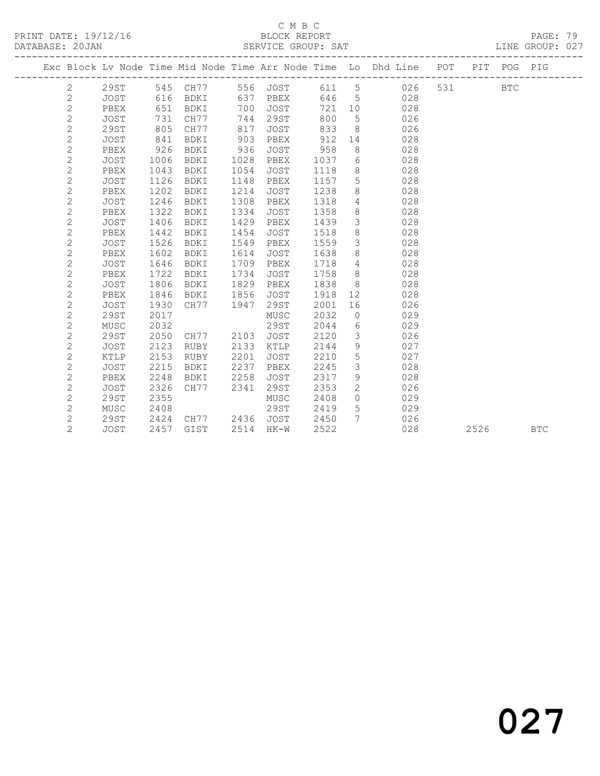## C M B C<br>BLOCK REPORT

| DATABASE: 20JAN |                |             |      |           |      | SERVICE GROUP: SAT |      |                 | ______________________                                             |       |             | LINE GROUP: 027 |  |
|-----------------|----------------|-------------|------|-----------|------|--------------------|------|-----------------|--------------------------------------------------------------------|-------|-------------|-----------------|--|
|                 |                |             |      |           |      |                    |      |                 | Exc Block Lv Node Time Mid Node Time Arr Node Time Lo Dhd Line POT |       | PIT POG PIG |                 |  |
|                 | 2              | 29ST        |      | 545 CH77  |      | 556 JOST           | 611  | $5\overline{)}$ | 026                                                                | 531 7 | <b>BTC</b>  |                 |  |
|                 | $\mathbf{2}$   | JOST        | 616  | BDKI      |      | 637 PBEX           | 646  | $5^{\circ}$     | 028                                                                |       |             |                 |  |
|                 | $\sqrt{2}$     | PBEX        | 651  | BDKI      | 700  | JOST               | 721  | 10              | 028                                                                |       |             |                 |  |
|                 | $\mathbf{2}$   | JOST        | 731  | CH77      | 744  | 29ST               | 800  | $5\overline{)}$ | 026                                                                |       |             |                 |  |
|                 | $\mathbf{2}$   | 29ST        | 805  | CH77      | 817  | JOST               | 833  | 8               | 026                                                                |       |             |                 |  |
|                 | $\mathbf{2}$   | JOST        | 841  | BDKI      | 903  | PBEX               | 912  | 14              | 028                                                                |       |             |                 |  |
|                 | $\mathbf{2}$   | PBEX        | 926  | BDKI      | 936  | JOST               | 958  | 8               | 028                                                                |       |             |                 |  |
|                 | $\mathbf{2}$   | JOST        | 1006 | BDKI      | 1028 | PBEX               | 1037 | 6               | 028                                                                |       |             |                 |  |
|                 | $\mathbf{2}$   | PBEX        | 1043 | BDKI      | 1054 | JOST               | 1118 | 8               | 028                                                                |       |             |                 |  |
|                 | $\mathbf{2}$   | JOST        | 1126 | BDKI      | 1148 | PBEX               | 1157 | 5               | 028                                                                |       |             |                 |  |
|                 | $\mathbf{2}$   | PBEX        | 1202 | BDKI      | 1214 | JOST               | 1238 | 8               | 028                                                                |       |             |                 |  |
|                 | $\mathbf{2}$   | <b>JOST</b> | 1246 | BDKI      | 1308 | PBEX               | 1318 | $\overline{4}$  | 028                                                                |       |             |                 |  |
|                 | $\overline{c}$ | PBEX        | 1322 | BDKI      | 1334 | JOST               | 1358 | $\,8\,$         | 028                                                                |       |             |                 |  |
|                 | $\mathbf{2}$   | <b>JOST</b> | 1406 | BDKI      | 1429 | PBEX               | 1439 | 3               | 028                                                                |       |             |                 |  |
|                 | $\overline{c}$ | PBEX        | 1442 | BDKI      | 1454 | JOST               | 1518 | $\,8\,$         | 028                                                                |       |             |                 |  |
|                 | $\mathbf{2}$   | <b>JOST</b> | 1526 | BDKI      | 1549 | PBEX               | 1559 | $\mathfrak{Z}$  | 028                                                                |       |             |                 |  |
|                 | $\mathbf{2}$   | PBEX        | 1602 | BDKI      | 1614 | <b>JOST</b>        | 1638 | $\,8\,$         | 028                                                                |       |             |                 |  |
|                 | $\overline{c}$ | <b>JOST</b> | 1646 | BDKI      | 1709 | PBEX               | 1718 | $\overline{4}$  | 028                                                                |       |             |                 |  |
|                 | $\overline{c}$ | PBEX        | 1722 | BDKI      | 1734 | JOST               | 1758 | 8               | 028                                                                |       |             |                 |  |
|                 | $\overline{c}$ | JOST        | 1806 | BDKI      | 1829 | PBEX               | 1838 | 8               | 028                                                                |       |             |                 |  |
|                 | $\overline{c}$ | PBEX        | 1846 | BDKI      | 1856 | <b>JOST</b>        | 1918 | 12 <sup>°</sup> | 028                                                                |       |             |                 |  |
|                 | $\overline{c}$ | JOST        | 1930 | CH77      | 1947 | 29ST               | 2001 | 16              | 026                                                                |       |             |                 |  |
|                 | $\overline{c}$ | 29ST        | 2017 |           |      | MUSC               | 2032 | $\circ$         | 029                                                                |       |             |                 |  |
|                 | $\overline{c}$ | MUSC        | 2032 |           |      | 29ST               | 2044 | $6\,$           | 029                                                                |       |             |                 |  |
|                 | $\mathbf{2}$   | 29ST        | 2050 | CH77      | 2103 | JOST               | 2120 | 3               | 026                                                                |       |             |                 |  |
|                 | $\mathbf{2}$   | JOST        | 2123 | RUBY      | 2133 | KTLP               | 2144 | 9               | 027                                                                |       |             |                 |  |
|                 | $\mathbf{2}$   | KTLP        | 2153 | RUBY      | 2201 | JOST               | 2210 | 5               | 027                                                                |       |             |                 |  |
|                 | $\mathbf{2}$   | JOST        | 2215 | BDKI      | 2237 | PBEX               | 2245 | $\mathfrak{Z}$  | 028                                                                |       |             |                 |  |
|                 | $\mathbf{2}$   | PBEX        | 2248 | BDKI      | 2258 | JOST               | 2317 | $\mathcal{G}$   | 028                                                                |       |             |                 |  |
|                 | $\mathbf{2}$   | <b>JOST</b> | 2326 | CH77      | 2341 | 29ST               | 2353 | 2               | 026                                                                |       |             |                 |  |
|                 | $\mathbf{2}$   | 29ST        | 2355 |           |      | MUSC               | 2408 | $\circ$         | 029                                                                |       |             |                 |  |
|                 | $\mathbf{2}$   | MUSC        | 2408 |           |      | 29ST               | 2419 | $5\overline{)}$ | 029                                                                |       |             |                 |  |
|                 | $\mathbf{2}$   | 29ST        |      | 2424 CH77 |      | 2436 JOST          | 2450 | $7\overline{ }$ | 026                                                                |       |             |                 |  |
|                 | $\overline{2}$ | <b>JOST</b> | 2457 | GIST      |      | 2514 HK-W          | 2522 |                 | 028                                                                | 2526  |             | <b>BTC</b>      |  |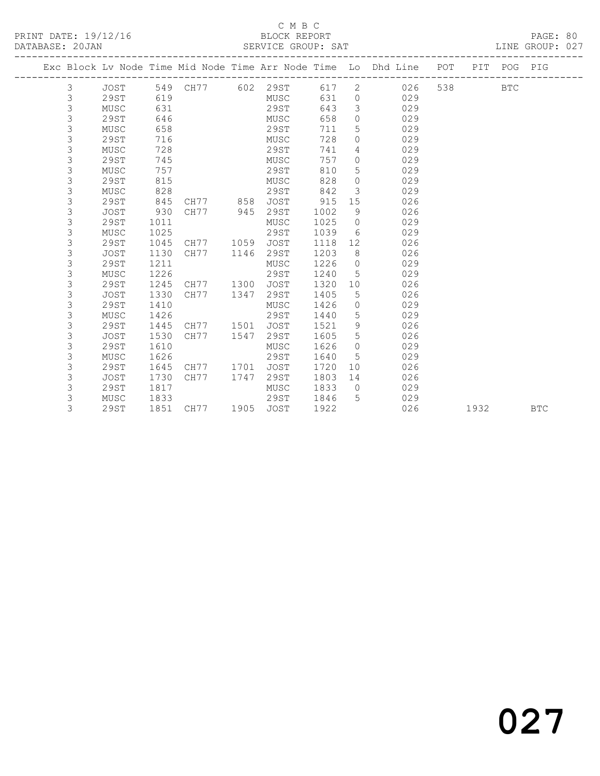#### C M B C<br>BLOCK REPORT SERVICE GROUP: SAT

|  |   |             |      |                   |      |             |      |                | Exc Block Lv Node Time Mid Node Time Arr Node Time Lo Dhd Line | POT | PIT POG PIG |  |
|--|---|-------------|------|-------------------|------|-------------|------|----------------|----------------------------------------------------------------|-----|-------------|--|
|  |   |             |      |                   |      |             |      |                |                                                                |     |             |  |
|  | 3 | JOST        |      | 549 CH77 602 29ST |      |             | 617  | 2              | 026                                                            | 538 | <b>BTC</b>  |  |
|  | 3 | <b>29ST</b> | 619  |                   |      | MUSC        | 631  | $\circ$        | 029                                                            |     |             |  |
|  | 3 | MUSC        | 631  |                   |      | 29ST        | 643  | 3              | 029                                                            |     |             |  |
|  | 3 | 29ST        | 646  |                   |      | MUSC        | 658  | $\Omega$       | 029                                                            |     |             |  |
|  | 3 | MUSC        | 658  |                   |      | 29ST        | 711  | 5              | 029                                                            |     |             |  |
|  | 3 | <b>29ST</b> | 716  |                   |      | MUSC        | 728  | $\circ$        | 029                                                            |     |             |  |
|  | 3 | MUSC        | 728  |                   |      | 29ST        | 741  | 4              | 029                                                            |     |             |  |
|  | 3 | 29ST        | 745  |                   |      | MUSC        | 757  | $\circ$        | 029                                                            |     |             |  |
|  | 3 | MUSC        | 757  |                   |      | 29ST        | 810  | 5              | 029                                                            |     |             |  |
|  | 3 | 29ST        | 815  |                   |      | MUSC        | 828  | $\circ$        | 029                                                            |     |             |  |
|  | 3 | MUSC        | 828  |                   |      | 29ST        | 842  | 3              | 029                                                            |     |             |  |
|  | 3 | <b>29ST</b> | 845  | CH77 858          |      | <b>JOST</b> | 915  | 15             | 026                                                            |     |             |  |
|  | 3 | <b>JOST</b> | 930  | CH77              | 945  | 29ST        | 1002 | 9              | 026                                                            |     |             |  |
|  | 3 | 29ST        | 1011 |                   |      | MUSC        | 1025 | $\circ$        | 029                                                            |     |             |  |
|  | 3 | MUSC        | 1025 |                   |      | 29ST        | 1039 | 6              | 029                                                            |     |             |  |
|  | 3 | <b>29ST</b> | 1045 | CH77              | 1059 | <b>JOST</b> | 1118 | 12             | 026                                                            |     |             |  |
|  | 3 | <b>JOST</b> | 1130 | CH77              | 1146 | 29ST        | 1203 | 8              | 026                                                            |     |             |  |
|  | 3 | <b>29ST</b> | 1211 |                   |      | MUSC        | 1226 | $\circ$        | 029                                                            |     |             |  |
|  | 3 | MUSC        | 1226 |                   |      | <b>29ST</b> | 1240 | 5              | 029                                                            |     |             |  |
|  | 3 | 29ST        | 1245 | CH77              | 1300 | JOST        | 1320 | 10             | 026                                                            |     |             |  |
|  | 3 | <b>JOST</b> | 1330 | CH77              | 1347 | 29ST        | 1405 | 5              | 026                                                            |     |             |  |
|  | 3 | 29ST        | 1410 |                   |      | MUSC        | 1426 | $\circ$        | 029                                                            |     |             |  |
|  | 3 | MUSC        | 1426 |                   |      | 29ST        | 1440 | 5              | 029                                                            |     |             |  |
|  | 3 | 29ST        | 1445 | CH77              | 1501 | <b>JOST</b> | 1521 | 9              | 026                                                            |     |             |  |
|  | 3 | <b>JOST</b> | 1530 | CH77              | 1547 | 29ST        | 1605 | 5              | 026                                                            |     |             |  |
|  | 3 | <b>29ST</b> | 1610 |                   |      | MUSC        | 1626 | $\circ$        | 029                                                            |     |             |  |
|  | 3 | MUSC        | 1626 |                   |      | 29ST        | 1640 | 5              | 029                                                            |     |             |  |
|  | 3 | 29ST        | 1645 | CH77              | 1701 | <b>JOST</b> | 1720 | 10             | 026                                                            |     |             |  |
|  | 3 | JOST        | 1730 | CH77              | 1747 | 29ST        | 1803 | 14             | 026                                                            |     |             |  |
|  | 3 | 29ST        | 1817 |                   |      | MUSC        | 1833 | $\overline{0}$ | 029                                                            |     |             |  |
|  | 3 | MUSC        | 1833 |                   |      | 29ST        | 1846 | 5              | 029                                                            |     |             |  |

3 29ST 1851 CH77 1905 JOST 1922 026 1932 BTC

027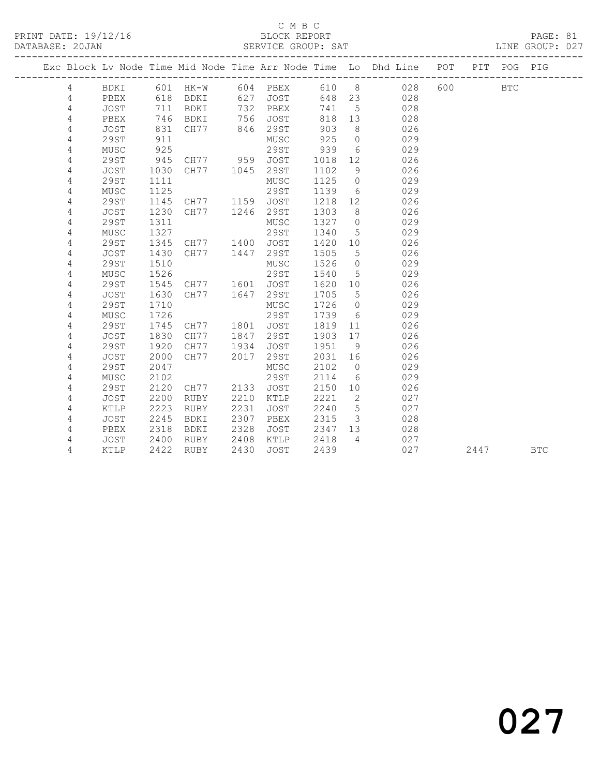#### C M B C<br>BLOCK REPORT SERVICE GROUP: SAT

|  |                |             |      |             |      |             |       |                 | Exc Block Lv Node Time Mid Node Time Arr Node Time Lo Dhd Line POT |     |      | PIT POG PIG |            |
|--|----------------|-------------|------|-------------|------|-------------|-------|-----------------|--------------------------------------------------------------------|-----|------|-------------|------------|
|  | 4              | BDKI        | 601  | HK-W        |      | 604 PBEX    | 610 8 |                 | 028                                                                | 600 |      | <b>BTC</b>  |            |
|  | 4              | PBEX        | 618  | BDKI        | 627  | JOST        | 648   | 23              | 028                                                                |     |      |             |            |
|  | $\overline{4}$ | JOST        | 711  | BDKI        | 732  | PBEX        | 741   | 5               | 028                                                                |     |      |             |            |
|  | 4              | PBEX        | 746  | BDKI        | 756  | JOST        | 818   | 13              | 028                                                                |     |      |             |            |
|  | 4              | JOST        | 831  | CH77        | 846  | 29ST        | 903   | 8               | 026                                                                |     |      |             |            |
|  | 4              | <b>29ST</b> | 911  |             |      | MUSC        | 925   | $\Omega$        | 029                                                                |     |      |             |            |
|  | 4              | MUSC        | 925  |             |      | 29ST        | 939   | 6               | 029                                                                |     |      |             |            |
|  | 4              | <b>29ST</b> | 945  | CH77 959    |      | JOST        | 1018  | 12              | 026                                                                |     |      |             |            |
|  | 4              | <b>JOST</b> | 1030 | CH77        | 1045 | 29ST        | 1102  | 9               | 026                                                                |     |      |             |            |
|  | 4              | 29ST        | 1111 |             |      | MUSC        | 1125  | $\circ$         | 029                                                                |     |      |             |            |
|  | 4              | MUSC        | 1125 |             |      | 29ST        | 1139  | 6               | 029                                                                |     |      |             |            |
|  | 4              | <b>29ST</b> | 1145 | CH77        | 1159 | JOST        | 1218  | 12              | 026                                                                |     |      |             |            |
|  | 4              | <b>JOST</b> | 1230 | CH77        | 1246 | 29ST        | 1303  | 8               | 026                                                                |     |      |             |            |
|  | 4              | 29ST        | 1311 |             |      | MUSC        | 1327  | $\circ$         | 029                                                                |     |      |             |            |
|  | 4              | MUSC        | 1327 |             |      | 29ST        | 1340  | 5               | 029                                                                |     |      |             |            |
|  | 4              | 29ST        | 1345 | CH77        | 1400 | <b>JOST</b> | 1420  | 10 <sup>°</sup> | 026                                                                |     |      |             |            |
|  | 4              | <b>JOST</b> | 1430 | CH77        | 1447 | 29ST        | 1505  | 5               | 026                                                                |     |      |             |            |
|  | 4              | <b>29ST</b> | 1510 |             |      | MUSC        | 1526  | $\circ$         | 029                                                                |     |      |             |            |
|  | 4              | MUSC        | 1526 |             |      | 29ST        | 1540  | 5               | 029                                                                |     |      |             |            |
|  | $\sqrt{4}$     | <b>29ST</b> | 1545 | CH77        | 1601 | JOST        | 1620  | 10              | 026                                                                |     |      |             |            |
|  | 4              | <b>JOST</b> | 1630 | CH77        | 1647 | 29ST        | 1705  | 5               | 026                                                                |     |      |             |            |
|  | $\overline{4}$ | <b>29ST</b> | 1710 |             |      | MUSC        | 1726  | $\circ$         | 029                                                                |     |      |             |            |
|  | 4              | MUSC        | 1726 |             |      | 29ST        | 1739  | - 6             | 029                                                                |     |      |             |            |
|  | 4              | <b>29ST</b> | 1745 | CH77        | 1801 | <b>JOST</b> | 1819  | 11              | 026                                                                |     |      |             |            |
|  | 4              | <b>JOST</b> | 1830 | CH77        | 1847 | 29ST        | 1903  | 17              | 026                                                                |     |      |             |            |
|  | 4              | 29ST        | 1920 | CH77        | 1934 | JOST        | 1951  | - 9             | 026                                                                |     |      |             |            |
|  | 4              | <b>JOST</b> | 2000 | CH77        | 2017 | 29ST        | 2031  | 16              | 026                                                                |     |      |             |            |
|  | 4              | 29ST        | 2047 |             |      | MUSC        | 2102  | $\overline{0}$  | 029                                                                |     |      |             |            |
|  | 4              | MUSC        | 2102 |             |      | 29ST        | 2114  | 6               | 029                                                                |     |      |             |            |
|  | 4              | 29ST        | 2120 | CH77        | 2133 | <b>JOST</b> | 2150  | 10              | 026                                                                |     |      |             |            |
|  | 4              | <b>JOST</b> | 2200 | <b>RUBY</b> | 2210 | KTLP        | 2221  | 2               | 027                                                                |     |      |             |            |
|  | 4              | KTLP        | 2223 | <b>RUBY</b> | 2231 | <b>JOST</b> | 2240  | 5               | 027                                                                |     |      |             |            |
|  | $\overline{4}$ | JOST        | 2245 | BDKI        | 2307 | PBEX        | 2315  | $\mathcal{S}$   | 028                                                                |     |      |             |            |
|  | 4              | PBEX        | 2318 | BDKI        | 2328 | JOST        | 2347  | 13              | 028                                                                |     |      |             |            |
|  | 4              | JOST        | 2400 | RUBY        | 2408 | KTLP        | 2418  | $\overline{4}$  | 027                                                                |     |      |             |            |
|  | 4              | KTLP        | 2422 | <b>RUBY</b> | 2430 | <b>JOST</b> | 2439  |                 | 027                                                                |     | 2447 |             | <b>BTC</b> |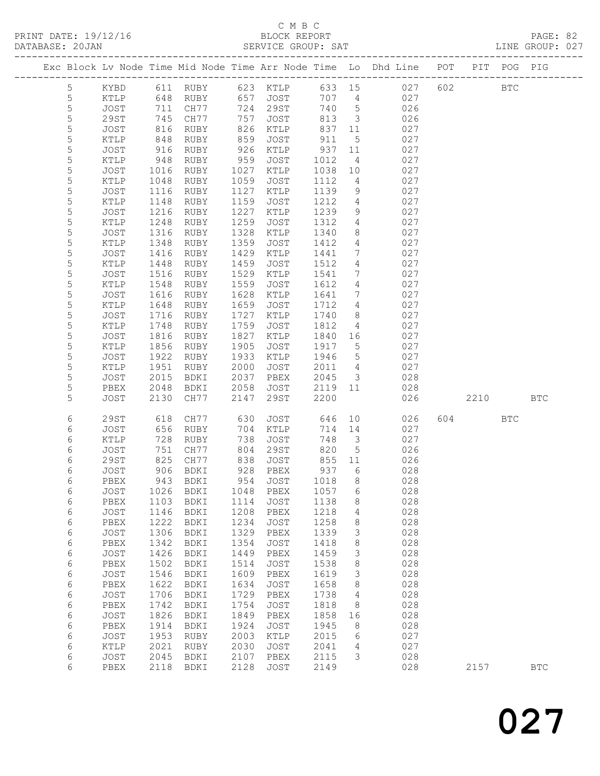#### C M B C<br>BLOCK REPORT

| DATABASE: 20JAN |             |               |                       |                        |      | SERVICE GROUP: SAT |      |                         |                                                                                |         |            | LINE GROUP: 027 |  |
|-----------------|-------------|---------------|-----------------------|------------------------|------|--------------------|------|-------------------------|--------------------------------------------------------------------------------|---------|------------|-----------------|--|
|                 |             |               |                       |                        |      |                    |      |                         | Exc Block Lv Node Time Mid Node Time Arr Node Time Lo Dhd Line POT PIT POG PIG |         |            |                 |  |
|                 | 5           |               |                       | KYBD 611 RUBY 623 KTLP |      |                    |      |                         | 633 15 027                                                                     | 602 BTC |            |                 |  |
|                 | 5           | KTLP          | 648                   |                        |      | RUBY 657 JOST      | 707  | $\overline{4}$          | 027                                                                            |         |            |                 |  |
|                 | 5           | JOST          | 711                   | CH77                   |      | 724 29ST           | 740  | $5\overline{)}$         | 026                                                                            |         |            |                 |  |
|                 | $\mathsf S$ | 29ST          | 745                   | CH77                   | 757  | JOST               | 813  | $\overline{\mathbf{3}}$ | 026                                                                            |         |            |                 |  |
|                 | 5           | JOST          | 816                   | RUBY                   | 826  | KTLP               | 837  | 11                      | 027                                                                            |         |            |                 |  |
|                 | 5           | KTLP          | 848                   | RUBY                   | 859  | JOST               | 911  | $5\overline{)}$         | 027                                                                            |         |            |                 |  |
|                 | 5           | JOST          | 916                   | RUBY                   | 926  | KTLP               | 937  | 11                      | 027                                                                            |         |            |                 |  |
|                 | 5           | KTLP          |                       | RUBY                   | 959  | JOST               | 1012 | $\overline{4}$          | 027                                                                            |         |            |                 |  |
|                 | $\mathsf S$ | JOST          | $948$<br>1016<br>1016 | RUBY                   | 1027 | KTLP               | 1038 | 10                      | 027                                                                            |         |            |                 |  |
|                 | 5           | KTLP          | 1048                  | RUBY                   | 1059 | JOST               | 1112 | $\overline{4}$          | 027                                                                            |         |            |                 |  |
|                 | 5           | JOST          | 1116                  | RUBY                   | 1127 | KTLP               | 1139 | 9                       | 027                                                                            |         |            |                 |  |
|                 | 5           | KTLP          | 1148                  | RUBY                   | 1159 | JOST               | 1212 | $4\overline{ }$         | 027                                                                            |         |            |                 |  |
|                 | $\mathsf S$ | JOST          | 1216                  | RUBY                   | 1227 | KTLP               | 1239 | 9                       | 027                                                                            |         |            |                 |  |
|                 |             |               | 1248                  |                        | 1259 |                    | 1312 | $4\overline{ }$         | 027                                                                            |         |            |                 |  |
|                 | 5           | KTLP          |                       | RUBY                   |      | JOST               |      |                         |                                                                                |         |            |                 |  |
|                 | 5           | JOST          | 1316                  | RUBY                   | 1328 | KTLP               | 1340 | 8                       | 027                                                                            |         |            |                 |  |
|                 | 5           | KTLP          | 1348                  | RUBY                   | 1359 | JOST               | 1412 | $4\overline{ }$         | 027                                                                            |         |            |                 |  |
|                 | $\mathsf S$ | JOST          | 1416                  | RUBY                   | 1429 | KTLP               | 1441 | $7\phantom{.0}$         | 027                                                                            |         |            |                 |  |
|                 | 5           | KTLP          | 1448                  | RUBY                   | 1459 | JOST               | 1512 | $\overline{4}$          | 027                                                                            |         |            |                 |  |
|                 | 5           | JOST          | 1516                  | RUBY                   | 1529 | KTLP               | 1541 | $7\phantom{.0}$         | 027                                                                            |         |            |                 |  |
|                 | 5           | KTLP          | 1548                  | RUBY                   | 1559 | JOST               | 1612 | $\overline{4}$          | 027                                                                            |         |            |                 |  |
|                 | $\mathsf S$ | JOST          | 1616                  | RUBY                   | 1628 | KTLP               | 1641 | $7\phantom{.0}$         | 027                                                                            |         |            |                 |  |
|                 | 5           | KTLP          | 1648                  | RUBY                   | 1659 | JOST               | 1712 | $4\overline{ }$         | 027                                                                            |         |            |                 |  |
|                 | 5           | JOST          | 1716                  | RUBY                   | 1727 | KTLP               | 1740 | 8                       | 027                                                                            |         |            |                 |  |
|                 | 5           | KTLP          | 1748                  | RUBY                   | 1759 | JOST               | 1812 | 4                       | 027                                                                            |         |            |                 |  |
|                 | 5           | JOST          | 1816                  | RUBY                   | 1827 | KTLP               | 1840 | 16                      | 027                                                                            |         |            |                 |  |
|                 | 5           | $\verb KTLP $ | 1856                  | RUBY                   | 1905 | JOST               | 1917 | $5\phantom{.0}$         | 027                                                                            |         |            |                 |  |
|                 | 5           | JOST          | 1922                  | RUBY                   | 1933 | KTLP               | 1946 | $5^{\circ}$             | 027                                                                            |         |            |                 |  |
|                 | 5           | KTLP          | 1951                  | RUBY                   | 2000 | JOST               | 2011 | $4\overline{4}$         | 027                                                                            |         |            |                 |  |
|                 | 5           | JOST          | 2015                  | BDKI                   | 2037 | PBEX               | 2045 | $\overline{3}$          | 028                                                                            |         |            |                 |  |
|                 | 5           | PBEX          | 2048                  | BDKI                   | 2058 | JOST               | 2119 | 11                      | 028                                                                            |         |            |                 |  |
|                 | 5           | JOST          | 2130                  | CH77                   | 2147 | 29ST               | 2200 |                         | 026                                                                            | 2210    |            | <b>BTC</b>      |  |
|                 | 6           | 29ST          | 618                   | CH77                   | 630  | JOST               | 646  | 10                      | 026                                                                            | 604 60  | <b>BTC</b> |                 |  |
|                 | 6           | JOST          | 656                   | RUBY                   | 704  | KTLP               | 714  | 14                      | 027                                                                            |         |            |                 |  |
|                 | 6           | KTLP          | 728                   | RUBY                   | 738  | JOST               | 748  | $\overline{\mathbf{3}}$ | 027                                                                            |         |            |                 |  |
|                 | 6           |               | 751                   |                        | 804  | 29ST               | 820  | $5^{\circ}$             | 026                                                                            |         |            |                 |  |
|                 |             | JOST          |                       | CH77                   |      |                    |      |                         |                                                                                |         |            |                 |  |
|                 | 6           | 29ST          | 825                   | CH77                   | 838  | JOST               | 855  | 11                      | 026                                                                            |         |            |                 |  |
|                 | 6           | JOST          |                       | $906$ BDKI             |      | 928 PBEX           | 937  | 6                       | 028                                                                            |         |            |                 |  |
|                 | 6           | PBEX          |                       | 943 BDKI               |      | 954 JOST 1018 8    |      |                         | 028                                                                            |         |            |                 |  |
|                 | 6           | JOST          | 1026                  | BDKI                   | 1048 | PBEX               | 1057 | 6                       | 028                                                                            |         |            |                 |  |
|                 | 6           | PBEX          | 1103                  | BDKI                   | 1114 | JOST               | 1138 | 8                       | 028                                                                            |         |            |                 |  |
|                 | 6           | JOST          | 1146                  | BDKI                   | 1208 | PBEX               | 1218 | 4                       | 028                                                                            |         |            |                 |  |
|                 | 6           | PBEX          | 1222                  | BDKI                   | 1234 | JOST               | 1258 | 8                       | 028                                                                            |         |            |                 |  |
|                 | 6           | JOST          | 1306                  | BDKI                   | 1329 | PBEX               | 1339 | 3                       | 028                                                                            |         |            |                 |  |
|                 | 6           | PBEX          | 1342                  | BDKI                   | 1354 | JOST               | 1418 | 8                       | 028                                                                            |         |            |                 |  |
|                 | 6           | JOST          | 1426                  | BDKI                   | 1449 | PBEX               | 1459 | $\mathfrak{Z}$          | 028                                                                            |         |            |                 |  |
|                 | 6           | PBEX          | 1502                  | BDKI                   | 1514 | JOST               | 1538 | 8                       | 028                                                                            |         |            |                 |  |
|                 | 6           | JOST          | 1546                  | BDKI                   | 1609 | PBEX               | 1619 | $\mathfrak{Z}$          | 028                                                                            |         |            |                 |  |
|                 | 6           | PBEX          | 1622                  | BDKI                   | 1634 | JOST               | 1658 | 8                       | 028                                                                            |         |            |                 |  |
|                 | 6           | JOST          | 1706                  | BDKI                   | 1729 | PBEX               | 1738 | 4                       | 028                                                                            |         |            |                 |  |
|                 | 6           | PBEX          | 1742                  | BDKI                   | 1754 | JOST               | 1818 | 8                       | 028                                                                            |         |            |                 |  |
|                 | 6           | JOST          | 1826                  | BDKI                   | 1849 | PBEX               | 1858 | 16                      | 028                                                                            |         |            |                 |  |
|                 | 6           | PBEX          | 1914                  | BDKI                   | 1924 | JOST               | 1945 | 8                       | 028                                                                            |         |            |                 |  |
|                 | 6           | JOST          | 1953                  | RUBY                   | 2003 | KTLP               | 2015 | 6                       | 027                                                                            |         |            |                 |  |
|                 | 6           | KTLP          | 2021                  | RUBY                   | 2030 | JOST               | 2041 | 4                       | 027                                                                            |         |            |                 |  |
|                 | 6           | JOST          | 2045                  | BDKI                   | 2107 | PBEX               | 2115 | 3                       | 028                                                                            |         |            |                 |  |
|                 | 6           | PBEX          | 2118                  | BDKI                   | 2128 | JOST               | 2149 |                         | 028                                                                            | 2157    |            | <b>BTC</b>      |  |
|                 |             |               |                       |                        |      |                    |      |                         |                                                                                |         |            |                 |  |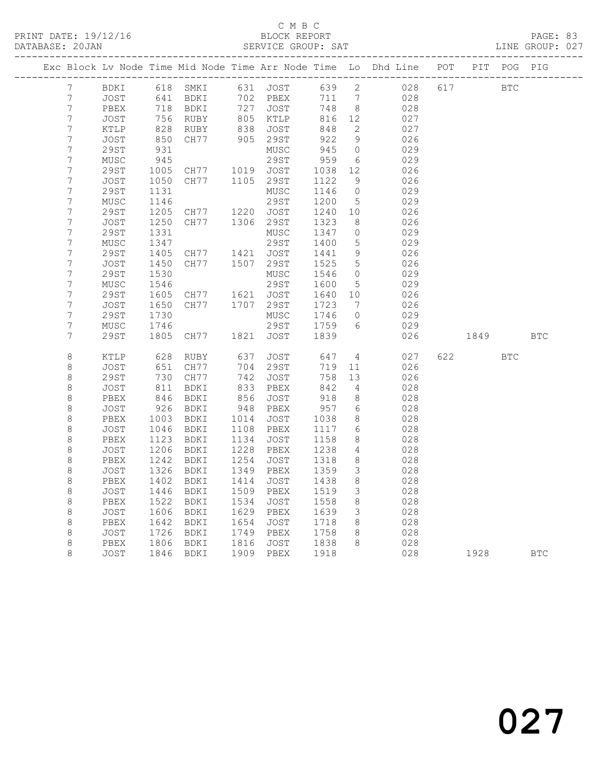#### C M B C<br>BLOCK REPORT SERVICE GROUP: SAT

|                                      |              |                |                                  |      |                      |              |                      | Exc Block Lv Node Time Mid Node Time Arr Node Time Lo Dhd Line POT PIT POG PIG |     |            |            |            |
|--------------------------------------|--------------|----------------|----------------------------------|------|----------------------|--------------|----------------------|--------------------------------------------------------------------------------|-----|------------|------------|------------|
| 7                                    | BDKI         |                | 618 SMKI                         |      | 631 JOST             | 639 2        |                      | 028                                                                            | 617 | <b>BTC</b> |            |            |
| $\boldsymbol{7}$                     | JOST         | 641            | BDKI                             |      | 702 PBEX             | 711 7        |                      | 028                                                                            |     |            |            |            |
| $\boldsymbol{7}$                     | PBEX         | 718            | BDKI<br>718 BDKI<br>756 RUBY     |      | 727 JOST<br>805 KTLP | 748          | 8 <sup>8</sup>       | 028                                                                            |     |            |            |            |
| $\boldsymbol{7}$                     | JOST         |                |                                  |      |                      | 816          | 12                   | 027                                                                            |     |            |            |            |
| $\boldsymbol{7}$                     | KTLP         |                | RUBY                             |      | 838 JOST<br>905 29ST | 848          | 2                    | 027                                                                            |     |            |            |            |
| $\boldsymbol{7}$                     | JOST         | 850            | CH77                             |      |                      | 922          | 9                    | 026                                                                            |     |            |            |            |
| $\boldsymbol{7}$                     | <b>29ST</b>  | 931            |                                  |      | MUSC                 | 945          | $\overline{0}$       | 029                                                                            |     |            |            |            |
| $\boldsymbol{7}$                     | MUSC         | 945            |                                  |      | 29ST                 | 959          | 6                    | 029                                                                            |     |            |            |            |
| $\boldsymbol{7}$                     | 29ST         | 1005           | CH77 1019 JOST                   |      |                      | 1038         | 12                   | 026                                                                            |     |            |            |            |
| $\boldsymbol{7}$                     | JOST         | 1050           | CH77                             |      | 1105 29ST            | 1122         | 9                    | 026                                                                            |     |            |            |            |
| $\boldsymbol{7}$                     | 29ST         | 1131           |                                  |      | MUSC                 | 1146         | $\overline{0}$       | 029                                                                            |     |            |            |            |
| $\boldsymbol{7}$                     | MUSC         | 1146           |                                  |      | 29ST                 | 1200         | $5^{\circ}$          | 029                                                                            |     |            |            |            |
| $\boldsymbol{7}$                     | 29ST         | 1205           | CH77 1220 JOST<br>CH77 1306 29ST |      |                      | 1240         | 10                   | 026                                                                            |     |            |            |            |
| $\boldsymbol{7}$                     | JOST         | 1250           |                                  |      |                      | 1323         | 8                    | 026                                                                            |     |            |            |            |
| $\boldsymbol{7}$                     | 29ST         | 1331           |                                  |      | MUSC                 | 1347         | $\overline{0}$       | 029                                                                            |     |            |            |            |
| $\boldsymbol{7}$                     | MUSC         | 1347           |                                  |      | 29ST                 | 1400<br>1441 | $5^{\circ}$          | 029                                                                            |     |            |            |            |
| $\boldsymbol{7}$<br>$\boldsymbol{7}$ | 29ST         | 1405           | CH77 1421 JOST                   |      |                      |              | 9<br>$5\overline{)}$ | 026                                                                            |     |            |            |            |
| $\boldsymbol{7}$                     | JOST<br>29ST | 1450<br>1530   | CH77 1507 29ST                   |      | MUSC                 | 1525<br>1546 | $\overline{0}$       | 026<br>029                                                                     |     |            |            |            |
| $\boldsymbol{7}$                     | MUSC         | 1546           |                                  |      | 29ST                 | 1600         | $5\overline{)}$      | 029                                                                            |     |            |            |            |
| $\boldsymbol{7}$                     | 29ST         |                | CH77 1621 JOST                   |      |                      | 1640 10      |                      | 026                                                                            |     |            |            |            |
| $\boldsymbol{7}$                     | JOST         | 1605<br>1650   | CH77                             |      | 1707 29ST            | 1723         | $\overline{7}$       | 026                                                                            |     |            |            |            |
| $\boldsymbol{7}$                     | 29ST         | 1730           |                                  |      | MUSC                 | 1746         | $\overline{0}$       | 029                                                                            |     |            |            |            |
| $\boldsymbol{7}$                     | MUSC         | 1746           |                                  |      | 29ST                 | 1759         | 6                    | 029                                                                            |     |            |            |            |
| 7                                    | 29ST         | 1805           | CH77                             |      | 1821 JOST            | 1839         |                      | 026                                                                            |     | 1849       |            | <b>BTC</b> |
|                                      |              |                |                                  |      |                      |              |                      |                                                                                |     |            |            |            |
| $\,8\,$                              | KTLP         | 628            | RUBY                             | 637  | JOST                 | 647          | $\overline{4}$       | 027                                                                            | 622 |            | <b>BTC</b> |            |
| $\,8\,$                              | JOST         | 651            | CH77                             |      | 704 29ST<br>742 JOST | 719          | 11                   | 026                                                                            |     |            |            |            |
| $\,8\,$                              | 29ST         | 051<br>730     | CH77                             |      |                      | 758          | 13                   | 026                                                                            |     |            |            |            |
| $\,8\,$                              | JOST         |                | BDKI                             |      | 833 PBEX             | 842          | 4                    | 028                                                                            |     |            |            |            |
| $\,8\,$                              | PBEX         | $846$<br>$346$ | BDKI                             |      | 856 JOST             | 918          | 8                    | 028                                                                            |     |            |            |            |
| $\,8\,$                              | JOST         | $-40$<br>926   | BDKI                             | 948  | PBEX                 | 957          | 6                    | 028                                                                            |     |            |            |            |
| $\,8\,$                              | PBEX         | 1003           | BDKI                             |      | 1014 JOST            | 1038         | 8 <sup>8</sup>       | 028                                                                            |     |            |            |            |
| $\,8\,$                              | JOST         | 1046           | BDKI                             |      | 1108 PBEX            | 1117         | 6                    | 028                                                                            |     |            |            |            |
| $\,8\,$                              | PBEX         | 1123           | BDKI                             |      | 1134 JOST            | 1158         | 8                    | 028                                                                            |     |            |            |            |
| $\,8\,$                              | JOST         | 1206           | BDKI                             |      | 1228 PBEX            | 1238         | 4                    | 028                                                                            |     |            |            |            |
| $\,8\,$                              | PBEX         | 1242           | BDKI                             | 1254 | JOST                 | 1318         | 8 <sup>8</sup>       | 028                                                                            |     |            |            |            |
| 8<br>$\,8\,$                         | JOST         | 1326           | BDKI                             |      | 1349 PBEX            | 1359         | $\mathcal{S}$        | 028                                                                            |     |            |            |            |
|                                      | PBEX         | 1402           | BDKI                             | 1414 | JOST                 | 1438         | 8                    | 028                                                                            |     |            |            |            |
| $\,8\,$<br>$\,8\,$                   | JOST         | 1446<br>1522   | BDKI                             | 1534 | 1509 PBEX            | 1519<br>1558 | $\mathfrak{Z}$<br>8  | 028<br>028                                                                     |     |            |            |            |
| $\,8\,$                              | PBEX         | 1606           | BDKI                             |      | JOST<br>1629 PBEX    | 1639         | $\mathcal{S}$        | 028                                                                            |     |            |            |            |
| $\,8\,$                              | JOST<br>PBEX | 1642           | BDKI<br>BDKI                     | 1654 | JOST                 | 1718         | 8 <sup>8</sup>       | 028                                                                            |     |            |            |            |
| $\,8\,$                              | JOST         |                | BDKI                             |      | 1749 PBEX            | 1758         | 8                    | 028                                                                            |     |            |            |            |
| $\,8\,$                              | PBEX         | 1726<br>1806   | BDKI                             |      | 1816 JOST            | 1838         | 8                    | 028                                                                            |     |            |            |            |
| 8                                    | JOST         |                | 1846 BDKI                        |      | 1909 PBEX            | 1918         |                      | 028                                                                            |     | 1928       |            | <b>BTC</b> |
|                                      |              |                |                                  |      |                      |              |                      |                                                                                |     |            |            |            |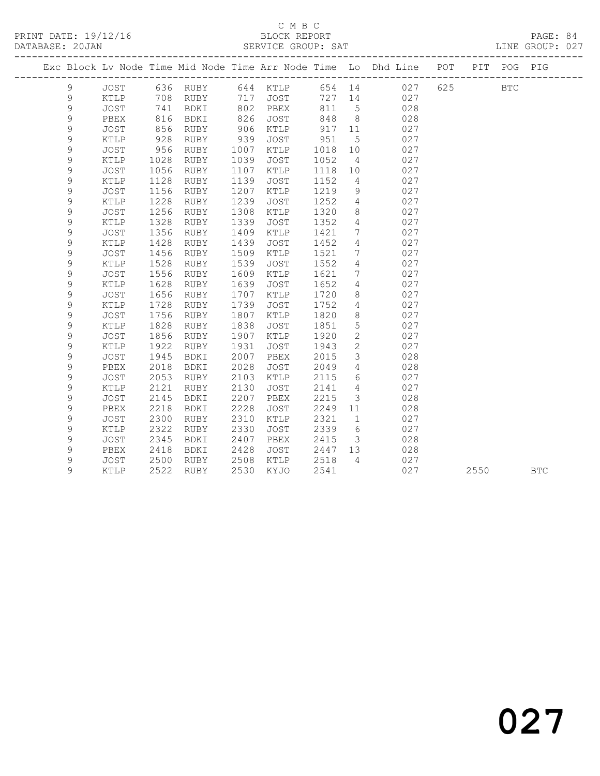## C M B C<br>BLOCK REPORT

| DATABASE: 20JAN |               |               |      |           |      | SERVICE GROUP: SAT |              |                 | ------------------                                                             |     |            | LINE GROUP: 027 |  |
|-----------------|---------------|---------------|------|-----------|------|--------------------|--------------|-----------------|--------------------------------------------------------------------------------|-----|------------|-----------------|--|
|                 |               |               |      |           |      |                    |              |                 | Exc Block Lv Node Time Mid Node Time Arr Node Time Lo Dhd Line POT PIT POG PIG |     |            |                 |  |
|                 | 9             | JOST          |      |           |      |                    |              |                 |                                                                                | 625 | <b>BTC</b> |                 |  |
|                 | $\mathsf 9$   | KTLP          |      | 708 RUBY  |      |                    |              |                 |                                                                                |     |            |                 |  |
|                 | $\mathsf 9$   | JOST          |      | 741 BDKI  |      | 802 PBEX           | 811          | $5\overline{)}$ | 028                                                                            |     |            |                 |  |
|                 | 9             | PBEX          | 816  | BDKI      | 826  | JOST               | 848          | 8 <sup>8</sup>  | 028                                                                            |     |            |                 |  |
|                 | $\mathsf 9$   | JOST          | 856  | RUBY      | 906  | KTLP               | 917          | 11              | 027                                                                            |     |            |                 |  |
|                 | 9             | KTLP          | 928  | RUBY      | 939  | JOST               | 951          | $5^{\circ}$     | 027                                                                            |     |            |                 |  |
|                 | 9             | JOST          | 956  | RUBY      | 1007 | KTLP               | 1018         | 10              | 027                                                                            |     |            |                 |  |
|                 | 9             | KTLP          | 1028 | RUBY      | 1039 | JOST               | 1052         | $\overline{4}$  | 027                                                                            |     |            |                 |  |
|                 | 9             | <b>JOST</b>   | 1056 | RUBY      | 1107 | KTLP               | 1118         | 10              | 027                                                                            |     |            |                 |  |
|                 | 9             | KTLP          | 1128 | RUBY      | 1139 | JOST               | 1152         | $\overline{4}$  | 027                                                                            |     |            |                 |  |
|                 | 9             | JOST          | 1156 | RUBY      | 1207 | KTLP               | 1219         | 9               | 027                                                                            |     |            |                 |  |
|                 | $\mathcal{G}$ | KTLP          | 1228 | RUBY      | 1239 | <b>JOST</b>        | 1252         | $\overline{4}$  | 027                                                                            |     |            |                 |  |
|                 | 9             | <b>JOST</b>   | 1256 | RUBY      | 1308 | KTLP               | 1320         | 8               | 027                                                                            |     |            |                 |  |
|                 | 9             | KTLP          | 1328 | RUBY      | 1339 | JOST               | 1352         | $\overline{4}$  | 027                                                                            |     |            |                 |  |
|                 | 9             | JOST          | 1356 | RUBY      | 1409 | KTLP               | 1421         | 7 <sup>7</sup>  | 027                                                                            |     |            |                 |  |
|                 | 9             | KTLP          | 1428 | RUBY      | 1439 | JOST               | 1452         | $\overline{4}$  | 027                                                                            |     |            |                 |  |
|                 | $\mathsf 9$   | JOST          | 1456 | RUBY      | 1509 | KTLP               | 1521         | $7\phantom{.0}$ | 027                                                                            |     |            |                 |  |
|                 | 9             | KTLP          | 1528 | RUBY      | 1539 | JOST               | 1552         | $\overline{4}$  | 027                                                                            |     |            |                 |  |
|                 | 9             | <b>JOST</b>   | 1556 | RUBY      | 1609 | KTLP               | 1621         | 7 <sup>7</sup>  | 027                                                                            |     |            |                 |  |
|                 | 9             | $\verb KTLP $ | 1628 | RUBY      | 1639 | JOST               | 1652         | $4\overline{ }$ | 027                                                                            |     |            |                 |  |
|                 | 9             | <b>JOST</b>   | 1656 | RUBY      | 1707 | KTLP               | 1720         | 8               | 027                                                                            |     |            |                 |  |
|                 | $\mathsf 9$   | KTLP          | 1728 | RUBY      | 1739 | JOST               | 1752         | $4\overline{ }$ | 027                                                                            |     |            |                 |  |
|                 | 9             | <b>JOST</b>   | 1756 | RUBY      | 1807 | KTLP               | 1820         | 8               | 027                                                                            |     |            |                 |  |
|                 | 9             | KTLP          | 1828 | RUBY      | 1838 | JOST               | 1851         | 5 <sup>5</sup>  | 027                                                                            |     |            |                 |  |
|                 | 9             | JOST          | 1856 | RUBY      | 1907 | KTLP               | 1920         | $\overline{2}$  | 027                                                                            |     |            |                 |  |
|                 | 9             | KTLP          | 1922 | RUBY      | 1931 | JOST               | 1943         | $\overline{2}$  | 027                                                                            |     |            |                 |  |
|                 | 9             | JOST          | 1945 | BDKI      | 2007 | PBEX               | 2015         | $\mathcal{S}$   | 028                                                                            |     |            |                 |  |
|                 | $\mathsf 9$   | PBEX          | 2018 | BDKI      | 2028 | JOST               | 2049         | $4\overline{ }$ | 028                                                                            |     |            |                 |  |
|                 | 9             | <b>JOST</b>   | 2053 | RUBY      | 2103 | KTLP               | 2115         | $6\overline{6}$ | 027                                                                            |     |            |                 |  |
|                 | $\mathcal{G}$ | KTLP          | 2121 | RUBY      | 2130 | <b>JOST</b>        | 2141         | $\overline{4}$  | 027                                                                            |     |            |                 |  |
|                 | 9             | <b>JOST</b>   | 2145 | BDKI      | 2207 | PBEX               | 2215         | $\mathcal{S}$   | 028                                                                            |     |            |                 |  |
|                 | 9             | PBEX          | 2218 | BDKI      | 2228 | JOST               | 2249         | 11              | 028                                                                            |     |            |                 |  |
|                 | 9             | JOST          | 2300 | RUBY      | 2310 | KTLP               | 2321         | $\mathbf{1}$    | 027                                                                            |     |            |                 |  |
|                 | 9             | KTLP          | 2322 | RUBY      | 2330 | <b>JOST</b>        | 2339         | $6\overline{6}$ | 027                                                                            |     |            |                 |  |
|                 | $\mathcal{G}$ | <b>JOST</b>   | 2345 | BDKI      | 2407 | PBEX               | 2415         | $\overline{3}$  | 028                                                                            |     |            |                 |  |
|                 | 9             | PBEX          | 2418 | BDKI      | 2428 | JOST               | 2447<br>2518 | 13              | 028                                                                            |     |            |                 |  |
|                 | 9             | JOST          | 2500 | RUBY      | 2508 | KTLP               |              | $\overline{4}$  | 027                                                                            |     |            |                 |  |
|                 | 9             | KTLP          |      | 2522 RUBY | 2530 | KYJO               | 2541         |                 | 027                                                                            |     | 2550       | <b>BTC</b>      |  |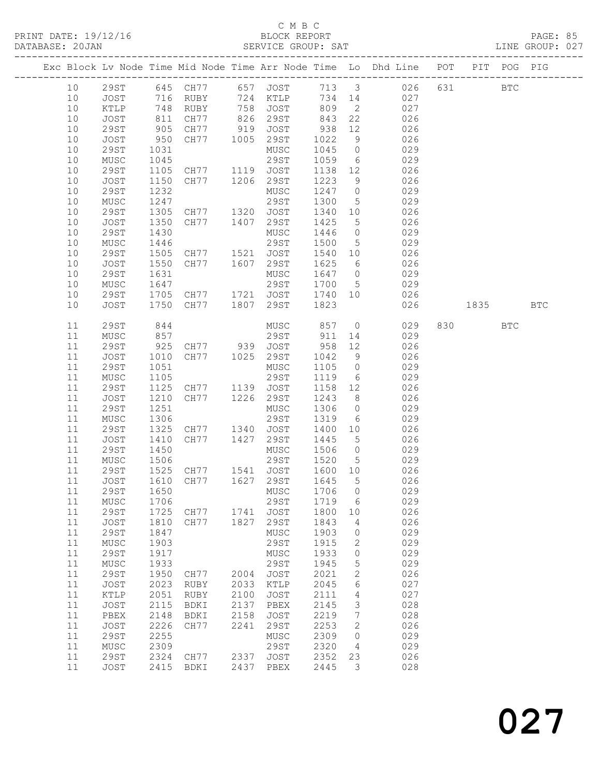#### C M B C<br>BLOCK REPORT SERVICE GROUP: SAT

|          |                     |              |                                  |      |                        |              |                       | Exc Block Lv Node Time Mid Node Time Arr Node Time Lo Dhd Line POT |      |         | PIT POG PIG |            |
|----------|---------------------|--------------|----------------------------------|------|------------------------|--------------|-----------------------|--------------------------------------------------------------------|------|---------|-------------|------------|
| 10       |                     |              |                                  |      |                        |              |                       | 29ST 645 CH77 657 JOST 713 3 026                                   |      | 631 000 | <b>BTC</b>  |            |
| 10       | JOST                |              |                                  |      |                        |              |                       | 027                                                                |      |         |             |            |
| 10       | KTLP                |              |                                  |      |                        |              |                       | 027                                                                |      |         |             |            |
| 10       | JOST                | 811          | CH77 826 29ST                    |      |                        | 843 22       |                       | 026                                                                |      |         |             |            |
| 10       | 29ST                | 905<br>950   | CH77                             | 919  | JOST                   | 938          | 12                    | 026                                                                |      |         |             |            |
| 10       | JOST                |              | CH77                             |      | 1005 29ST              | 1022         | 9                     | 026                                                                |      |         |             |            |
| 10       | 29ST                | 1031         |                                  |      | MUSC                   | 1045         | $\overline{0}$        | 029                                                                |      |         |             |            |
| 10       | MUSC                | 1045         |                                  |      | 29ST                   | 1059         |                       | 6 029                                                              |      |         |             |            |
| 10       | <b>29ST</b>         | 1105         | CH77 1119 JOST                   |      |                        | 1138         | 12                    | 026                                                                |      |         |             |            |
| 10       | JOST                | 1150         | CH77 1206 29ST                   |      |                        | 1223         | 9                     | 026                                                                |      |         |             |            |
| 10       | <b>29ST</b>         | 1232         |                                  |      | MUSC                   | 1247 0       |                       | 029                                                                |      |         |             |            |
| 10       | MUSC                | 1247         |                                  |      | 29ST                   | 1300         | $5\overline{)}$       | 029                                                                |      |         |             |            |
| 10<br>10 | 29ST<br>JOST        | 1305<br>1350 | CH77 1320 JOST<br>CH77 1407 29ST |      |                        | 1340<br>1425 | 10<br>$5\overline{)}$ | 026<br>026                                                         |      |         |             |            |
| 10       | 29ST                | 1430         |                                  |      | MUSC                   | 1446 0       |                       | 029                                                                |      |         |             |            |
| 10       | MUSC                | 1446         |                                  |      | 29ST                   | 1500         | $5\overline{)}$       | 029                                                                |      |         |             |            |
| 10       | 29ST                | 1505         | CH77 1521 JOST                   |      |                        | 1540         | 10                    | 026                                                                |      |         |             |            |
| 10       | JOST                | 1550         | CH77 1607 29ST                   |      |                        | 1625         | 6                     | 026                                                                |      |         |             |            |
| 10       | 29ST                | 1631         |                                  |      | MUSC                   | 1647 0       |                       | 029                                                                |      |         |             |            |
| 10       | MUSC                | 1647         |                                  |      | 29ST                   | 1700 5       |                       | 029                                                                |      |         |             |            |
| 10       | 29ST                | 1705         |                                  |      | CH77 1721 JOST 1740 10 |              |                       | 026                                                                |      |         |             |            |
| 10       | JOST                | 1750         | CH77 1807 29ST                   |      |                        | 1823         |                       | 026                                                                | 1835 |         |             | <b>BTC</b> |
|          |                     |              |                                  |      |                        |              |                       |                                                                    |      |         |             |            |
| 11       | <b>29ST</b>         | 844          |                                  |      | MUSC                   | 857          |                       | $\overline{0}$<br>029                                              |      | 830     | <b>BTC</b>  |            |
| 11       | MUSC                | 857          |                                  |      | 29ST                   | 911          |                       | 029<br>14 and $\overline{a}$                                       |      |         |             |            |
| 11       | 29ST                | 925          | CH77 939 JOST<br>CH77 1025 29ST  |      |                        | 958          | 12                    | 026                                                                |      |         |             |            |
| 11<br>11 | JOST                | 1010         |                                  |      | MUSC                   | 1042<br>1105 | 9<br>$\overline{0}$   | 026<br>029                                                         |      |         |             |            |
| 11       | 29ST<br>MUSC        | 1051<br>1105 |                                  |      | 29ST                   | 1119         | $6\overline{6}$       | 029                                                                |      |         |             |            |
| 11       | 29ST                | 1125         | CH77 1139 JOST                   |      |                        | 1158 12      |                       | 026                                                                |      |         |             |            |
| 11       | JOST                | 1210         | CH77 1226 29ST                   |      |                        | 1243         | 8 <sup>8</sup>        | 026                                                                |      |         |             |            |
| 11       | 29ST                | 1251         |                                  |      | MUSC                   | 1306         | $\overline{0}$        | 029                                                                |      |         |             |            |
| 11       | MUSC                | 1306         |                                  |      | 29ST                   | 1319         | $6\overline{6}$       | 029                                                                |      |         |             |            |
| 11       | 29ST                | 1325         | CH77 1340                        |      | JOST                   | 1400         | 10                    | 026                                                                |      |         |             |            |
| 11       | JOST                | 1410         | CH77                             |      | 1427 29ST              | 1445         | $5\overline{)}$       | 026                                                                |      |         |             |            |
| 11       | 29ST                | 1450         |                                  |      | MUSC                   | 1506 0       |                       | 029                                                                |      |         |             |            |
| 11       | MUSC                | 1506         |                                  |      | 29ST                   | 1520 5       |                       | 029                                                                |      |         |             |            |
| 11       | 29ST                | 1525         | CH77 1541 JOST                   |      |                        | 1600 10      |                       | 026                                                                |      |         |             |            |
| 11       | JOST                |              | 1610 CH77 1627 29ST              |      |                        | 1645         | $5^{\circ}$           | 026                                                                |      |         |             |            |
| 11       |                     |              | 29ST 1650 MUSC 1706 0            |      |                        |              |                       | 029                                                                |      |         |             |            |
| 11       | MUSC                | 1706         |                                  |      | 29ST                   | 1719         | - 6                   | 029                                                                |      |         |             |            |
| 11       | <b>29ST</b>         | 1725         | CH77                             | 1741 | JOST                   | 1800         | 10                    | 026                                                                |      |         |             |            |
| 11       | JOST                | 1810         | CH77                             | 1827 | 29ST                   | 1843         | 4                     | 026                                                                |      |         |             |            |
| 11<br>11 | <b>29ST</b><br>MUSC | 1847<br>1903 |                                  |      | MUSC<br>29ST           | 1903<br>1915 | $\circ$<br>2          | 029<br>029                                                         |      |         |             |            |
| 11       | 29ST                | 1917         |                                  |      | MUSC                   | 1933         | 0                     | 029                                                                |      |         |             |            |
| 11       | ${\tt MUSC}$        | 1933         |                                  |      | 29ST                   | 1945         | 5                     | 029                                                                |      |         |             |            |
| 11       | <b>29ST</b>         | 1950         | CH77                             | 2004 | JOST                   | 2021         | $\mathbf{2}$          | 026                                                                |      |         |             |            |
| 11       | JOST                | 2023         | RUBY                             | 2033 | KTLP                   | 2045         | 6                     | 027                                                                |      |         |             |            |
| 11       | KTLP                | 2051         | RUBY                             | 2100 | JOST                   | 2111         | 4                     | 027                                                                |      |         |             |            |
| 11       | JOST                | 2115         | BDKI                             | 2137 | PBEX                   | 2145         | 3                     | 028                                                                |      |         |             |            |
| 11       | PBEX                | 2148         | BDKI                             | 2158 | JOST                   | 2219         | $7\phantom{.0}$       | 028                                                                |      |         |             |            |
| 11       | JOST                | 2226         | CH77                             | 2241 | 29ST                   | 2253         | 2                     | 026                                                                |      |         |             |            |
| 11       | 29ST                | 2255         |                                  |      | MUSC                   | 2309         | $\circ$               | 029                                                                |      |         |             |            |
| 11       | MUSC                | 2309         |                                  |      | 29ST                   | 2320         | 4                     | 029                                                                |      |         |             |            |
| 11       | <b>29ST</b>         | 2324         | CH77                             | 2337 | JOST                   | 2352         | 23                    | 026                                                                |      |         |             |            |
| 11       | JOST                | 2415         | BDKI                             |      | 2437 PBEX              | 2445         | 3                     | 028                                                                |      |         |             |            |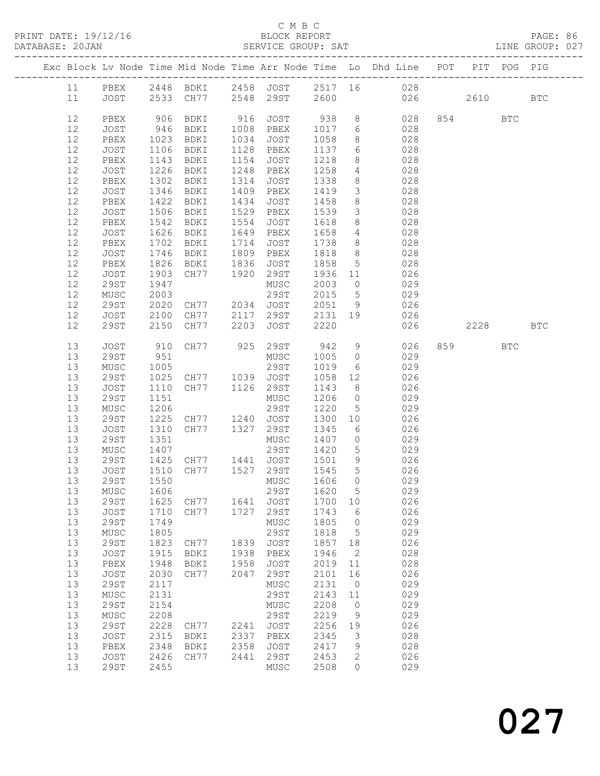PRINT DATE: 19/12/16 BLOCK REPORT<br>
DATABASE: 20JAN SERVICE GROUP: SAT

#### C M B C<br>BLOCK REPORT

PAGE: 86<br>LINE GROUP: 027

|  |          |                     |              |                |              |                     |              |                 | Exc Block Lv Node Time Mid Node Time Arr Node Time Lo Dhd Line POT |        | PIT POG PIG |              |
|--|----------|---------------------|--------------|----------------|--------------|---------------------|--------------|-----------------|--------------------------------------------------------------------|--------|-------------|--------------|
|  | 11       | PBEX                |              |                |              |                     |              |                 | 2448 BDKI 2458 JOST 2517 16 028                                    |        |             |              |
|  | 11       | JOST                |              |                |              | 2533 CH77 2548 29ST | 2600         |                 | 026                                                                | 2610   |             | $_{\rm BTC}$ |
|  |          |                     |              |                |              |                     |              |                 |                                                                    |        |             |              |
|  | 12       | PBEX                | 906          | BDKI           |              | 916 JOST 938        |              |                 | 8 028                                                              | 854    | BTC         |              |
|  | 12       | JOST                | 946          | BDKI           |              | 1008 PBEX           | 1017         |                 | 6 028                                                              |        |             |              |
|  | 12       | PBEX                | 1023         | BDKI           | 1034         | JOST                | 1058         | 8               | 028                                                                |        |             |              |
|  | 12       | JOST                | 1106         | BDKI           | 1128         | PBEX                | 1137         | 6               | 028                                                                |        |             |              |
|  | 12       | PBEX                | 1143         | BDKI           | 1154         | JOST                | 1218         | 8               | 028                                                                |        |             |              |
|  | 12       | JOST                | 1226         | BDKI           |              | 1248 PBEX           | 1258         | $4\overline{ }$ | 028                                                                |        |             |              |
|  | 12       | PBEX                | 1302         | BDKI           | 1314         | JOST                | 1338         | 8 <sup>8</sup>  | 028                                                                |        |             |              |
|  | 12       | JOST                | 1346         | BDKI           | 1409         | PBEX                | 1419         | $\mathcal{S}$   | 028                                                                |        |             |              |
|  | 12       | PBEX                | 1422         | BDKI           | 1434         | JOST                | 1458         | 8 <sup>8</sup>  | 028                                                                |        |             |              |
|  | 12       | JOST                | 1506         | BDKI           | 1529         | PBEX                | 1539         | $\mathcal{S}$   | 028                                                                |        |             |              |
|  | 12       | PBEX                | 1542         | BDKI           | 1554         | JOST                | 1618         | 8 <sup>8</sup>  | 028                                                                |        |             |              |
|  | 12       | JOST                | 1626         | BDKI           | 1649         | PBEX                | 1658         | $4\overline{4}$ | 028                                                                |        |             |              |
|  | 12       | PBEX                | 1702         | BDKI           | 1714         | JOST                | 1738         | 8 <sup>8</sup>  | 028                                                                |        |             |              |
|  | 12       | JOST                | 1746         | BDKI           |              | 1809 PBEX           | 1818         | 8 <sup>8</sup>  | 028                                                                |        |             |              |
|  | 12       | PBEX                | 1826         | BDKI           | 1836         | JOST                | 1858         | 5 <sup>5</sup>  | 028                                                                |        |             |              |
|  | 12       | JOST                | 1903         | CH77 1920      |              | 29ST                | 1936         | 11              | 026                                                                |        |             |              |
|  | 12       | 29ST                | 1947         |                |              | MUSC                | 2003         | $\overline{0}$  | 029                                                                |        |             |              |
|  | 12       | MUSC                | 2003         |                |              | 29ST                | 2015         | $5\overline{)}$ | 029                                                                |        |             |              |
|  | 12       | 29ST                | 2020         | CH77 2034 JOST |              |                     | 2051         | 9               | 026                                                                |        |             |              |
|  | 12       | JOST                | 2100         |                |              | CH77 2117 29ST      |              |                 | 2131 19 026                                                        |        |             |              |
|  | 12       | 29ST                | 2150         | CH77           |              | 2203 JOST           | 2220         |                 | 026                                                                | 2228   |             | <b>BTC</b>   |
|  |          |                     |              |                |              |                     |              |                 |                                                                    |        |             |              |
|  | 13       | JOST                | 910          | CH77 925 29ST  |              |                     | 942          | 9               | 026                                                                | 859 30 | <b>BTC</b>  |              |
|  | 13       | 29ST                | 951          |                |              | MUSC                | 1005         | $\overline{0}$  | 029                                                                |        |             |              |
|  | 13       | MUSC                | 1005         |                |              |                     | 1019         | 6               | 029                                                                |        |             |              |
|  | 13       | 29ST                | 1025         |                |              |                     | 1058 12      |                 | 026                                                                |        |             |              |
|  | 13       | JOST                | 1110         | CH77 1126 29ST |              |                     | 1143         | 8 <sup>8</sup>  | 026                                                                |        |             |              |
|  | 13       | 29ST                | 1151         |                |              | MUSC                | 1206         | $\overline{0}$  | 029                                                                |        |             |              |
|  | 13       | MUSC                | 1206         |                |              | 29ST                | 1220         | 5 <sup>5</sup>  | 029                                                                |        |             |              |
|  | 13       | 29ST                | 1225         | CH77 1240 JOST |              |                     | 1300         | 10              | 026                                                                |        |             |              |
|  | 13       | JOST                | 1310         | CH77 1327 29ST |              |                     | 1345         | 6               | 026                                                                |        |             |              |
|  | 13       | 29ST                | 1351         |                |              | MUSC                | 1407         | $\overline{0}$  | 029                                                                |        |             |              |
|  | 13       | MUSC                | 1407         |                |              | 29ST                | 1420         | 5 <sup>5</sup>  | 029                                                                |        |             |              |
|  | 13       | 29ST                | 1425         | CH77 1441 JOST |              |                     | 1501         | 9               | 026                                                                |        |             |              |
|  | 13       | JOST                | 1510         | CH77 1527 29ST |              |                     | 1545         | 5 <sup>5</sup>  | 026                                                                |        |             |              |
|  | 13       | 29ST                | 1550         |                |              | MUSC                | 1606         | $\bigcirc$      | 029                                                                |        |             |              |
|  | 13       | MUSC                | 1606         |                |              | 29ST                | 1620         | $5\overline{)}$ | 029                                                                |        |             |              |
|  | 13       | <b>29ST</b>         | 1625         | CH77           | 1641         | <b>JOST</b>         | 1700         | 10              | 026                                                                |        |             |              |
|  | 13       | JOST                | 1710         | CH77           | 1727         | 29ST                | 1743         | 6               | 026                                                                |        |             |              |
|  | 13       | <b>29ST</b>         | 1749         |                |              | MUSC                | 1805         | 0               | 029                                                                |        |             |              |
|  | 13<br>13 | MUSC                | 1805<br>1823 |                |              | 29ST                | 1818         | 5               | 029<br>026                                                         |        |             |              |
|  | 13       | <b>29ST</b><br>JOST | 1915         | CH77           | 1839<br>1938 | JOST<br>PBEX        | 1857<br>1946 | 18<br>2         | 028                                                                |        |             |              |
|  | 13       | PBEX                | 1948         | BDKI<br>BDKI   | 1958         | <b>JOST</b>         | 2019         | 11              | 028                                                                |        |             |              |
|  | 13       | JOST                | 2030         | CH77           | 2047         | 29ST                | 2101         | 16              | 026                                                                |        |             |              |
|  | 13       | <b>29ST</b>         | 2117         |                |              | ${\tt MUSC}$        | 2131         | $\overline{0}$  | 029                                                                |        |             |              |
|  | 13       | MUSC                | 2131         |                |              | 29ST                | 2143         | 11              | 029                                                                |        |             |              |
|  | 13       | <b>29ST</b>         | 2154         |                |              | MUSC                | 2208         | $\overline{0}$  | 029                                                                |        |             |              |
|  | 13       | MUSC                | 2208         |                |              | 29ST                | 2219         | 9               | 029                                                                |        |             |              |
|  | 13       | <b>29ST</b>         | 2228         | CH77           | 2241         | JOST                | 2256         | 19              | 026                                                                |        |             |              |
|  | 13       | JOST                | 2315         | BDKI           | 2337         | PBEX                | 2345         | 3               | 028                                                                |        |             |              |
|  | 13       | PBEX                | 2348         | BDKI           | 2358         | JOST                | 2417         | 9               | 028                                                                |        |             |              |
|  | 13       | JOST                | 2426         | CH77           | 2441         | <b>29ST</b>         | 2453         | 2               | 026                                                                |        |             |              |
|  | 13       | <b>29ST</b>         | 2455         |                |              | MUSC                | 2508         | 0               | 029                                                                |        |             |              |
|  |          |                     |              |                |              |                     |              |                 |                                                                    |        |             |              |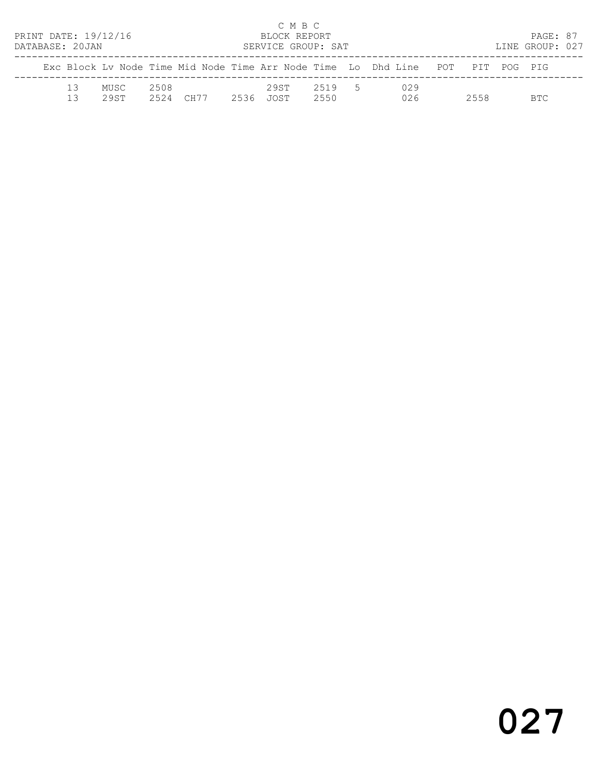| PRINT DATE: 19/12/16<br>DATABASE: 20JAN |          |              |              |      |      | C M B C<br>BLOCK REPORT<br>SERVICE GROUP: SAT |              |                |                                                                                |      | PAGE: 87<br>LINE GROUP: 027 |  |
|-----------------------------------------|----------|--------------|--------------|------|------|-----------------------------------------------|--------------|----------------|--------------------------------------------------------------------------------|------|-----------------------------|--|
|                                         |          |              |              |      |      |                                               |              |                | Exc Block Ly Node Time Mid Node Time Arr Node Time Lo Dhd Line POT PIT POG PIG |      |                             |  |
|                                         | 13<br>13 | MUSC<br>29ST | 2508<br>2524 | CH77 | 2536 | 29ST<br>JOST                                  | 2519<br>2550 | 5 <sub>5</sub> | 029<br>026                                                                     | 2558 | BTC.                        |  |

# 027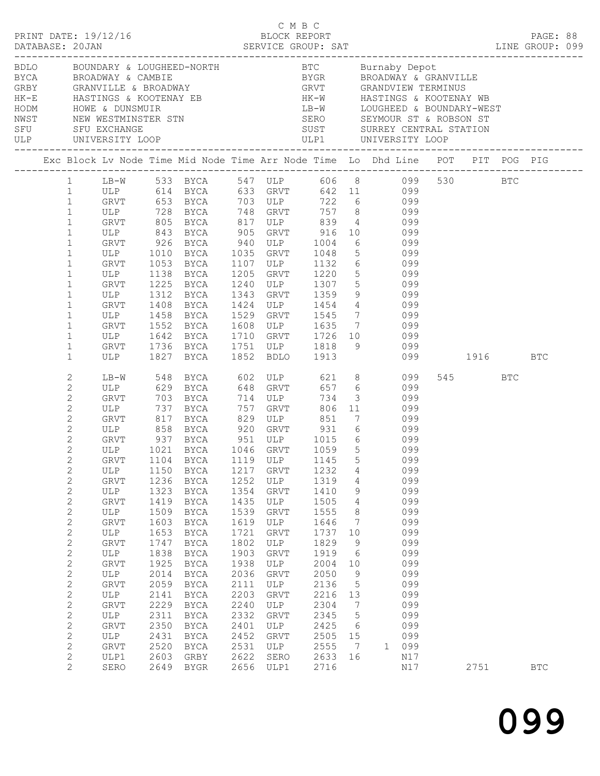|                                                                                                                                                                                                                                                                                                                                                                                                                             |                                                                                                                                                                                                                        |                                                                                                                                                      |                                                                                                                                                                                                                                        |                                                                                                                                                                     |                                                                                                                                                                                        |                                                                                                                                                                     |                                                                                                                                                                                                                                                  | BDLO BOUNDARY & LOUGHEED-NORTH<br>BYCA BROADWAY & CAMBIE<br>GRBY GRANVILLE & BROADWAY<br>HK-E HASTINGS & KOOTENAY EB<br>HODM HOWE & DUNSMUIR<br>NEW MESTMINSTER STN<br>NEW MESTMINSTER STN<br>NEW MESTMINSTER STN<br>NEW MESTMINSTER STN<br>NEW                                                                                                                                                                                                                                                    |          |      |            |            |  |
|-----------------------------------------------------------------------------------------------------------------------------------------------------------------------------------------------------------------------------------------------------------------------------------------------------------------------------------------------------------------------------------------------------------------------------|------------------------------------------------------------------------------------------------------------------------------------------------------------------------------------------------------------------------|------------------------------------------------------------------------------------------------------------------------------------------------------|----------------------------------------------------------------------------------------------------------------------------------------------------------------------------------------------------------------------------------------|---------------------------------------------------------------------------------------------------------------------------------------------------------------------|----------------------------------------------------------------------------------------------------------------------------------------------------------------------------------------|---------------------------------------------------------------------------------------------------------------------------------------------------------------------|--------------------------------------------------------------------------------------------------------------------------------------------------------------------------------------------------------------------------------------------------|----------------------------------------------------------------------------------------------------------------------------------------------------------------------------------------------------------------------------------------------------------------------------------------------------------------------------------------------------------------------------------------------------------------------------------------------------------------------------------------------------|----------|------|------------|------------|--|
|                                                                                                                                                                                                                                                                                                                                                                                                                             |                                                                                                                                                                                                                        |                                                                                                                                                      |                                                                                                                                                                                                                                        |                                                                                                                                                                     |                                                                                                                                                                                        |                                                                                                                                                                     |                                                                                                                                                                                                                                                  | Exc Block Lv Node Time Mid Node Time Arr Node Time Lo Dhd Line POT PIT POG PIG                                                                                                                                                                                                                                                                                                                                                                                                                     |          |      |            |            |  |
| $\mathbf{1}$<br>$\mathbf{1}$<br>$\mathbf{1}$<br>$\mathbf{1}$<br>$\mathbf{1}$<br>$\mathbf{1}$<br>$\mathbf{1}$<br>$\mathbf{1}$<br>$\mathbf{1}$<br>$\mathbf{1}$<br>$\mathbf{1}$<br>$\mathbf{1}$<br>$\mathbf{1}$<br>$\mathbf{1}$<br>$\mathbf{1}$                                                                                                                                                                                | ULP 1010<br>GRVT<br>ULP<br>GRVT<br>ULP<br>GRVT<br>ukvi<br>ULP<br>GRVT<br>ULP<br>GRVT                                                                                                                                   | 1053<br>1138<br>1312<br>1408<br>1736                                                                                                                 | BYCA 1035 GRVT<br>BYCA<br>BYCA<br>1225 BYCA<br>BYCA<br>BYCA<br>1458 BYCA<br>1552 BYCA<br>1642 BYCA<br>BYCA                                                                                                                             | 1205                                                                                                                                                                |                                                                                                                                                                                        |                                                                                                                                                                     |                                                                                                                                                                                                                                                  | 1 LB-W 533 BYCA 547 ULP 606 8 099 530 BTC<br>1 ULP 614 BYCA 633 GRVT 642 11 099<br>GRVT 653 BYCA 703 ULP 722 6 099<br>ULP 728 BYCA 748 GRVT 757 8 099<br>GRVT 805 BYCA 817 ULP 839 4 099<br>ULP 843 BYCA 905 GRVT 916 10 099<br>GRVT 926 BYCA 940 ULP 1004 6 099<br>1048 5 099<br>1107 ULP 1132 6 099<br>1205 GRVT 1220 5 099<br>1240 ULP 1307 5 099<br>1343 GRVT 1359 9 099<br>1424 ULP 1454 4 099<br>1529 GRVT 1545 7 099<br>1608 ULP 1635 7 099<br>1710 GRVT 1726 10 099<br>1751 ULP 1818 9 099 |          |      |            |            |  |
| $\mathbf{1}$<br>$\mathbf{2}$                                                                                                                                                                                                                                                                                                                                                                                                | ULP<br>LB-W                                                                                                                                                                                                            | 548                                                                                                                                                  | 1827 BYCA<br>BYCA 602 ULP                                                                                                                                                                                                              |                                                                                                                                                                     | 1852 BDLO 1913                                                                                                                                                                         |                                                                                                                                                                     |                                                                                                                                                                                                                                                  | 621 8 099                                                                                                                                                                                                                                                                                                                                                                                                                                                                                          | 099 1916 | 545  | <b>BTC</b> | BTC        |  |
| 2<br>$\mathbf{2}$<br>$\mathbf{2}$<br>$\mathbf{2}$<br>$\mathbf{2}$<br>$\overline{c}$<br>$\overline{c}$<br>$\sqrt{2}$<br>$\mathbf{2}$<br>$\mathbf{2}$<br>$\mathbf{2}$<br>$\mathbf{2}$<br>$\mathbf{2}$<br>$\mathbf{2}$<br>$\mathbf{2}$<br>$\mathbf{2}$<br>$\mathbf{2}$<br>$\mathbf{2}$<br>$\mathbf{2}$<br>$\sqrt{2}$<br>$\mathbf{2}$<br>$\mathbf{2}$<br>$\mathbf{2}$<br>$\mathbf{2}$<br>$\mathbf{2}$<br>2<br>$\mathbf{2}$<br>2 | ULP<br>GRVT 703<br>ULP 737<br>GRVT 817<br>ULP 858<br>ULP<br>GRVT<br>ULP<br><b>GRVT</b><br>ULP<br>GRVT<br>ULP<br>GRVT<br>ULP<br>GRVT<br>ULP<br>GRVT<br>ULP<br>GRVT<br>ULP<br>GRVT<br>ULP<br><b>GRVT</b><br>ULP1<br>SERO | 1150<br>1236<br>1323<br>1419<br>1509<br>1603<br>1653<br>1747<br>1838<br>1925<br>2014<br>2059<br>2141<br>2229<br>2311<br>2350<br>2431<br>2520<br>2603 | 629 BYCA<br>BYCA<br>BYCA<br>BYCA 829 ULP 851<br>BYCA 920 GRVT 931<br>BYCA<br>BYCA<br>BYCA<br>BYCA<br>BYCA<br>BYCA<br>BYCA<br>BYCA<br>BYCA<br>BYCA<br>BYCA<br>BYCA<br>BYCA<br>BYCA<br>BYCA<br>BYCA<br>BYCA<br>BYCA<br>GRBY<br>2649 BYGR | 757<br>1217<br>1252<br>1354<br>1435<br>1539<br>1619<br>1721<br>1802<br>1903<br>1938<br>2036<br>2111<br>2203<br>2240<br>2332<br>2401<br>2452<br>2531<br>2622<br>2656 | 648 GRVT<br>714 ULP<br>757 GRVT<br>GRVT<br>ULP<br>GRVT<br>ULP<br>GRVT<br>ULP<br>GRVT<br>ULP<br>GRVT<br>ULP<br>GRVT<br>ULP<br>GRVT<br>ULP<br>GRVT<br>ULP<br>GRVT<br>ULP<br>SERO<br>ULP1 | 734<br>1232<br>1319<br>1410<br>1505<br>1555<br>1646<br>1737<br>1829<br>1919<br>2004<br>2050<br>2136<br>2216<br>2304<br>2345<br>2425<br>2505<br>2555<br>2633<br>2716 | $\overline{\mathbf{3}}$<br>4<br>$\overline{4}$<br>9<br>4<br>8<br>$7\phantom{.0}\phantom{.0}7$<br>10<br>9<br>- 6<br>10<br>$\mathsf 9$<br>$\mathsf S$<br>13<br>7<br>$5\phantom{.0}$<br>$6\overline{6}$<br>15<br>$7\phantom{.0}\phantom{.0}7$<br>16 | 657 6 099<br>099<br>$806$ 11 099<br>7 099<br>6 099<br>GRVT 937 BYCA 951 ULP 1015 6 099<br>ULP 1021 BYCA 1046 GRVT 1059 5 099<br>GRVT 1104 BYCA 1119 ULP 1145 5 099<br>099<br>099<br>099<br>099<br>099<br>099<br>099<br>099<br>099<br>099<br>099<br>099<br>099<br>099<br>099<br>099<br>099<br>099<br>1<br>N17<br>N17                                                                                                                                                                                |          | 2751 |            | <b>BTC</b> |  |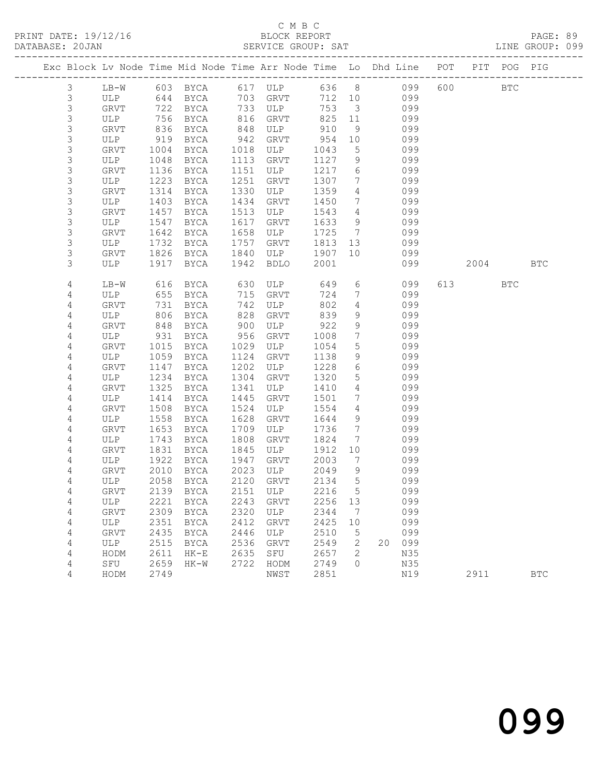#### C M B C<br>BLOCK REPORT SERVICE GROUP: SAT

| Exc Block Lv Node Time Mid Node Time Arr Node Time Lo Dhd Line POT PIT POG PIG |             |              |              |              |                            |              |                                   |                |            |         |            |            |
|--------------------------------------------------------------------------------|-------------|--------------|--------------|--------------|----------------------------|--------------|-----------------------------------|----------------|------------|---------|------------|------------|
|                                                                                |             |              |              |              |                            |              |                                   |                |            |         |            |            |
| $\mathcal{S}$                                                                  | $LB-W$      |              |              |              | 603 BYCA 617 ULP 636 8 099 |              |                                   |                |            | 600 000 | <b>BTC</b> |            |
| $\mathfrak{Z}$                                                                 | ULP         |              | 644 BYCA     |              | 703 GRVT<br>ULP            |              | 712 10                            |                | 099        |         |            |            |
| $\mathsf S$<br>3                                                               | GRVT<br>ULP | 722<br>756   | BYCA<br>BYCA | 733<br>816   | GRVT                       | 753<br>825   | $\overline{\mathbf{3}}$<br>11     |                | 099<br>099 |         |            |            |
| 3                                                                              | GRVT        | 836          | BYCA         | 848          | ULP                        | 910          | 9                                 |                | 099        |         |            |            |
| $\mathsf S$                                                                    | ULP         | 919          | BYCA         | 942          | GRVT                       | 954          | 10                                |                | 099        |         |            |            |
| $\mathsf S$                                                                    | GRVT        | 1004         | BYCA         | 1018         | ULP                        | 1043         | $5\overline{)}$                   |                | 099        |         |            |            |
| $\mathsf S$                                                                    | ULP         | 1048         | BYCA         | 1113         | GRVT                       | 1127         | 9                                 |                | 099        |         |            |            |
| $\mathsf S$                                                                    | GRVT        | 1136         | BYCA         | 1151         | ULP                        | 1217         | 6                                 |                | 099        |         |            |            |
| $\mathsf S$                                                                    | ULP         | 1223         | BYCA         | 1251         | GRVT                       | 1307         | $7\overline{ }$                   |                | 099        |         |            |            |
| $\mathsf S$                                                                    | GRVT        | 1314         | BYCA         | 1330         | ULP                        | 1359         | 4                                 |                | 099        |         |            |            |
| 3                                                                              | ULP         | 1403         | BYCA         | 1434         | GRVT                       | 1450         | $7\overline{ }$                   |                | 099        |         |            |            |
| $\mathsf S$                                                                    | GRVT        | 1457         | BYCA         | 1513         | ULP                        | 1543         | $\overline{4}$                    |                | 099        |         |            |            |
| $\mathsf S$                                                                    | ULP         | 1547         | BYCA         | 1617         | GRVT                       | 1633         | 9                                 |                | 099        |         |            |            |
| $\mathsf S$                                                                    | GRVT        | 1642         | BYCA         | 1658         | ULP                        | 1725         | $7\overline{ }$                   |                | 099        |         |            |            |
| 3                                                                              | ULP         | 1732         | BYCA         | 1757         | GRVT                       | 1813         | 13                                |                | 099        |         |            |            |
| 3                                                                              | GRVT        | 1826         | BYCA         | 1840         | ULP                        | 1907         | 10                                |                | 099        |         |            |            |
| 3                                                                              | ULP         | 1917         | BYCA         | 1942         | BDLO                       | 2001         |                                   |                | 099        | 2004    |            | <b>BTC</b> |
| 4                                                                              | LB-W        | 616          | BYCA         | 630          | ULP                        | 649          |                                   | $6\overline{}$ | 099        | 613     | <b>BTC</b> |            |
| 4                                                                              | ULP         | 655          | BYCA         | 715          | GRVT                       | 724          | $7\overline{ }$                   |                | 099        |         |            |            |
| 4                                                                              | GRVT        | 731          | BYCA         | 742          | ULP                        | 802          | $\overline{4}$                    |                | 099        |         |            |            |
| 4                                                                              | ULP         | 806          | BYCA         | 828          | GRVT                       | 839          | 9                                 |                | 099        |         |            |            |
| $\overline{4}$                                                                 | GRVT        | 848          | BYCA         | 900          | ULP                        | 922          | 9                                 |                | 099        |         |            |            |
| 4                                                                              | ULP         | 931          | BYCA         | 956          | GRVT                       | 1008         | $7\phantom{.0}$                   |                | 099        |         |            |            |
| 4                                                                              | GRVT        | 1015         | BYCA         | 1029         | ULP                        | 1054         | $5\overline{)}$                   |                | 099        |         |            |            |
| 4                                                                              | ULP         | 1059         | BYCA         | 1124         | GRVT                       | 1138         | 9                                 |                | 099        |         |            |            |
| 4                                                                              | GRVT        | 1147         | BYCA         | 1202         | ULP                        | 1228         | 6                                 |                | 099        |         |            |            |
| 4                                                                              | ULP         | 1234         | BYCA         | 1304         | GRVT                       | 1320         | $5\phantom{.0}$                   |                | 099        |         |            |            |
| 4                                                                              | GRVT<br>ULP | 1325<br>1414 | BYCA         | 1341<br>1445 | ULP<br>GRVT                | 1410<br>1501 | $\overline{4}$<br>$7\overline{ }$ |                | 099<br>099 |         |            |            |
| 4<br>4                                                                         | GRVT        | 1508         | BYCA<br>BYCA | 1524         | ULP                        | 1554         | $4\overline{ }$                   |                | 099        |         |            |            |
| 4                                                                              | ULP         | 1558         | BYCA         | 1628         | GRVT                       | 1644         | 9                                 |                | 099        |         |            |            |
| 4                                                                              | GRVT        | 1653         | BYCA         | 1709         | ULP                        | 1736         | $7\overline{ }$                   |                | 099        |         |            |            |
| 4                                                                              | ULP         | 1743         | BYCA         | 1808         | GRVT                       | 1824         | 7                                 |                | 099        |         |            |            |
| 4                                                                              | GRVT        | 1831         | BYCA         | 1845         | ULP                        | 1912         | 10                                |                | 099        |         |            |            |
| 4                                                                              | ULP         | 1922         | BYCA         | 1947         | GRVT                       | 2003         | $\overline{7}$                    |                | 099        |         |            |            |
| 4                                                                              | GRVT        | 2010         | BYCA         | 2023         | ULP                        | 2049         | 9                                 |                | 099        |         |            |            |
| 4                                                                              | ULP         | 2058         | BYCA         | 2120         | GRVT                       | 2134         | 5                                 |                | 099        |         |            |            |
| 4                                                                              | GRVT        |              |              |              | 2139 BYCA 2151 ULP         | 2216 5       |                                   |                | 099        |         |            |            |
| 4                                                                              | ULP         | 2221         | BYCA         | 2243         | GRVT                       | 2256         | 13                                |                | 099        |         |            |            |
| 4                                                                              | GRVT        | 2309         | BYCA         | 2320         | ULP                        | 2344         | 7                                 |                | 099        |         |            |            |
| 4                                                                              | ULP         | 2351         | <b>BYCA</b>  | 2412         | GRVT                       | 2425         | 10                                |                | 099        |         |            |            |
| 4                                                                              | GRVT        | 2435         | <b>BYCA</b>  | 2446         | ULP                        | 2510         | 5                                 |                | 099        |         |            |            |
| 4                                                                              | ULP         | 2515         | <b>BYCA</b>  | 2536         | GRVT                       | 2549         | 2                                 | 20             | 099        |         |            |            |
| 4                                                                              | HODM        | 2611         | $HK-E$       | 2635         | SFU                        | 2657         | 2                                 |                | N35        |         |            |            |
| 4                                                                              | SFU         | 2659         | $HK-W$       | 2722         | HODM                       | 2749         | $\Omega$                          |                | N35        |         |            |            |
| 4                                                                              | HODM        | 2749         |              |              | NWST                       | 2851         |                                   |                | N19        | 2911    |            | <b>BTC</b> |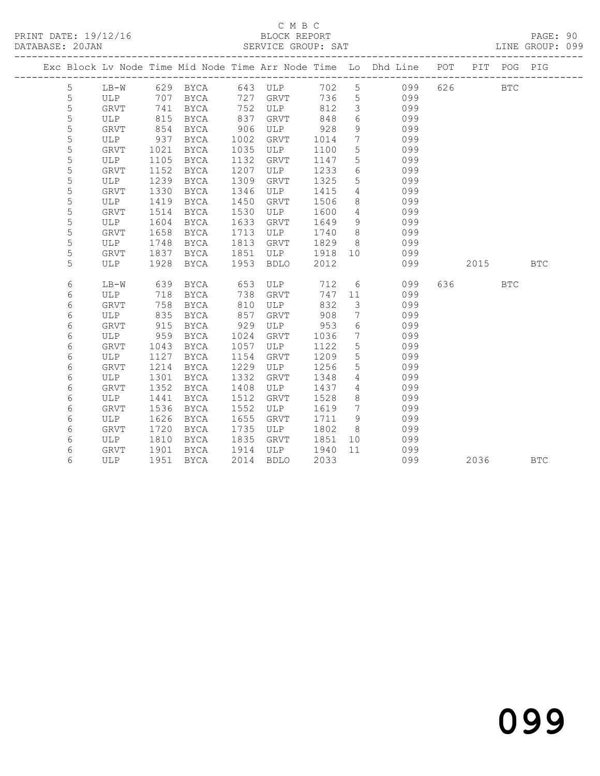## C M B C<br>BLOCK REPORT

PAGE: 90<br>LINE GROUP: 099

|             |             |      |      |      |             |        |                 | Exc Block Lv Node Time Mid Node Time Arr Node Time Lo Dhd Line POT |         | PIT POG PIG |            |
|-------------|-------------|------|------|------|-------------|--------|-----------------|--------------------------------------------------------------------|---------|-------------|------------|
| 5           | $LB-W$      |      |      |      |             |        |                 | 629 BYCA 643 ULP 702 5 099                                         | 626     | <b>BTC</b>  |            |
| $\mathsf S$ | ULP         | 707  | BYCA |      | 727 GRVT    | 736    | 5 <sup>5</sup>  | 099                                                                |         |             |            |
| 5           | GRVT        | 741  | BYCA |      | 752 ULP     | 812    | $\mathcal{S}$   | 099                                                                |         |             |            |
| 5           | ULP         | 815  | BYCA | 837  | GRVT        | 848    | 6               | 099                                                                |         |             |            |
| 5           | GRVT        | 854  | BYCA | 906  | ULP         | 928    | 9               | 099                                                                |         |             |            |
| 5           | ULP         | 937  | BYCA | 1002 | GRVT        | 1014   | $7\overline{ }$ | 099                                                                |         |             |            |
| 5           | GRVT        | 1021 | BYCA | 1035 | ULP         | 1100   | $5\phantom{.0}$ | 099                                                                |         |             |            |
| 5           | ULP         | 1105 | BYCA | 1132 | GRVT        | 1147   | 5 <sup>5</sup>  | 099                                                                |         |             |            |
| 5           | GRVT        | 1152 | BYCA | 1207 | ULP         | 1233   | $6\overline{6}$ | 099                                                                |         |             |            |
| 5           | ULP         | 1239 | BYCA | 1309 | GRVT        | 1325   | 5 <sup>5</sup>  | 099                                                                |         |             |            |
| 5           | GRVT        | 1330 | BYCA | 1346 | ULP         | 1415   | $\overline{4}$  | 099                                                                |         |             |            |
| 5           | ULP         | 1419 | BYCA | 1450 | GRVT        | 1506   | 8               | 099                                                                |         |             |            |
| $\mathsf S$ | <b>GRVT</b> | 1514 | BYCA | 1530 | ULP         | 1600   | $\overline{4}$  | 099                                                                |         |             |            |
| 5           | ULP         | 1604 | BYCA | 1633 | GRVT        | 1649   | 9               | 099                                                                |         |             |            |
| 5           | <b>GRVT</b> | 1658 | BYCA | 1713 | ULP         | 1740   | 8 <sup>8</sup>  | 099                                                                |         |             |            |
| 5           | ULP         | 1748 | BYCA | 1813 | GRVT        | 1829   | 8 <sup>8</sup>  | 099                                                                |         |             |            |
| 5           | GRVT        | 1837 | BYCA | 1851 | ULP         | 1918   | 10              | 099                                                                |         |             |            |
| 5           | ULP         | 1928 | BYCA | 1953 | <b>BDLO</b> | 2012   |                 | 099                                                                | 2015    |             | <b>BTC</b> |
| 6           | $LB-W$      | 639  | BYCA | 653  | ULP         |        |                 | 712 6 099                                                          | 636 BTC |             |            |
| 6           | ULP         | 718  | BYCA | 738  | GRVT        | 747 11 |                 | 099                                                                |         |             |            |
| 6           | <b>GRVT</b> | 758  | BYCA | 810  | ULP         | 832    | $\overline{3}$  | 099                                                                |         |             |            |
| 6           | ULP         | 835  | BYCA | 857  | GRVT        | 908    | $\overline{7}$  | 099                                                                |         |             |            |
| 6           | GRVT        | 915  | BYCA | 929  | ULP         | 953    | 6               | 099                                                                |         |             |            |
| 6           | ULP         | 959  | BYCA | 1024 | GRVT        | 1036   | $7\overline{ }$ | 099                                                                |         |             |            |
| 6           | GRVT        | 1043 | BYCA | 1057 | ULP         | 1122   | 5               | 099                                                                |         |             |            |
| 6           | ULP         | 1127 | BYCA | 1154 | GRVT        | 1209   | 5               | 099                                                                |         |             |            |
| 6           | <b>GRVT</b> | 1214 | BYCA | 1229 | ULP         | 1256   | $5\overline{)}$ | 099                                                                |         |             |            |
| 6           | ULP         | 1301 | BYCA | 1332 | GRVT        | 1348   | $4\overline{ }$ | 099                                                                |         |             |            |
| 6           | <b>GRVT</b> | 1352 | BYCA | 1408 | ULP         | 1437   | $\overline{4}$  | 099                                                                |         |             |            |
| 6           | ULP         | 1441 | BYCA | 1512 | GRVT        | 1528   | 8               | 099                                                                |         |             |            |
| 6           | GRVT        | 1536 | BYCA | 1552 | ULP         | 1619   | $\overline{7}$  | 099                                                                |         |             |            |
| 6           | ULP         | 1626 | BYCA | 1655 | GRVT        | 1711   | 9               | 099                                                                |         |             |            |
| 6           | <b>GRVT</b> | 1720 | BYCA | 1735 | ULP         | 1802   | 8 <sup>8</sup>  | 099                                                                |         |             |            |
| 6           | ULP         | 1810 | BYCA | 1835 | GRVT        | 1851   | 10              | 099                                                                |         |             |            |
| 6           | GRVT        | 1901 | BYCA | 1914 | ULP         | 1940   | 11              | 099                                                                |         |             |            |
| 6           | ULP         | 1951 | BYCA | 2014 | <b>BDLO</b> | 2033   |                 | 099                                                                | 2036 70 |             | <b>BTC</b> |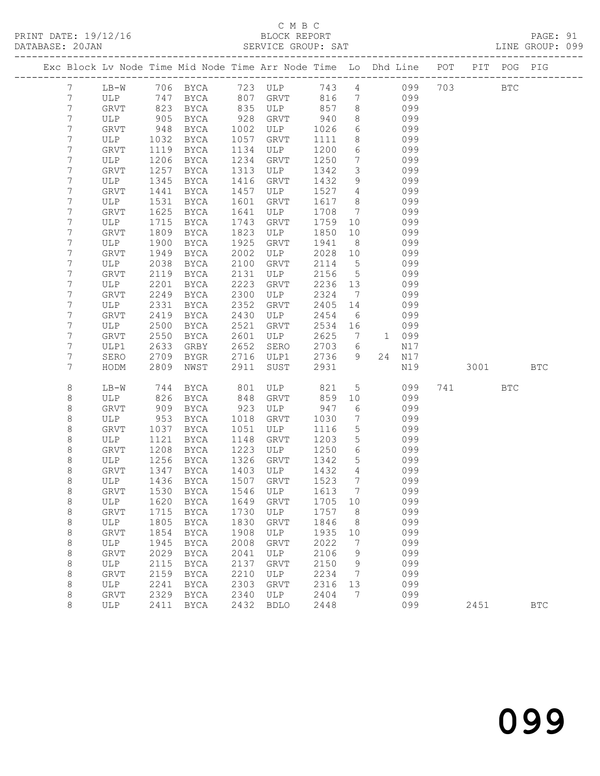### C M B C

| PRINT DATE: 19/12/16 | BLOCK REPORT       |                 | PAGE: 91 |  |
|----------------------|--------------------|-----------------|----------|--|
| DATABASE: 20JAN      | SERVICE GROUP: SAT | LINE GROUP: 099 |          |  |

| Exc Block Lv Node Time Mid Node Time Arr Node Time Lo Dhd Line POT PIT POG PIG |              |              |                           |              |             |              |                              |               |          |            |            |
|--------------------------------------------------------------------------------|--------------|--------------|---------------------------|--------------|-------------|--------------|------------------------------|---------------|----------|------------|------------|
| $7\phantom{.0}$                                                                | LB-W         |              | 706 BYCA 723 ULP          |              |             |              |                              | 743 4 099     | 703 BTC  |            |            |
| 7                                                                              | ULP          |              | 747 BYCA 807 GRVT         |              |             | 816          | $7\overline{ }$              | 099           |          |            |            |
| $7\phantom{.}$                                                                 | GRVT         |              | 823 BYCA                  |              | 835 ULP     | 857          | 8 <sup>8</sup>               | 099           |          |            |            |
| 7                                                                              | ULP          | 905          | BYCA                      | 928          | GRVT        | 940          | 8                            | 099           |          |            |            |
| $7\phantom{.}$                                                                 | GRVT         | 948          | BYCA                      | 1002         | ULP         | 1026         | $6\overline{6}$              | 099           |          |            |            |
| 7                                                                              | ULP          | 1032         | BYCA                      | 1057         | GRVT        | 1111         | 8                            | 099           |          |            |            |
| 7                                                                              | GRVT         | 1119         | BYCA                      | 1134         | ULP         | 1200         | 6                            | 099           |          |            |            |
| 7                                                                              | ULP          | 1206         | BYCA                      | 1234         | GRVT        | 1250         | $7\phantom{.0}\phantom{.0}7$ | 099           |          |            |            |
| 7<br>7                                                                         | GRVT         | 1257<br>1345 | BYCA                      | 1313<br>1416 | ULP         | 1342         | $\mathcal{S}$<br>9           | 099<br>099    |          |            |            |
| 7                                                                              | ULP<br>GRVT  | 1441         | BYCA<br>BYCA              | 1457         | GRVT<br>ULP | 1432<br>1527 | $\overline{4}$               | 099           |          |            |            |
| 7                                                                              | ULP          | 1531         | BYCA                      | 1601         | GRVT        | 1617         | 8 <sup>8</sup>               | 099           |          |            |            |
| 7                                                                              | GRVT         | 1625         | BYCA                      | 1641         | ULP         | 1708         | $\overline{7}$               | 099           |          |            |            |
| 7                                                                              | ULP          | 1715         | BYCA                      | 1743         | GRVT        | 1759         | 10                           | 099           |          |            |            |
| 7                                                                              | <b>GRVT</b>  | 1809         | BYCA                      | 1823         | ULP         | 1850         | 10                           | 099           |          |            |            |
| 7                                                                              | ULP          | 1900         | BYCA                      | 1925         | GRVT        | 1941         | 8 <sup>8</sup>               | 099           |          |            |            |
| 7                                                                              | <b>GRVT</b>  | 1949         | BYCA                      | 2002         | ULP         | 2028         | 10                           | 099           |          |            |            |
| 7                                                                              | ULP          | 2038         | BYCA                      | 2100         | GRVT        | 2114         | $5\overline{)}$              | 099           |          |            |            |
| 7                                                                              | GRVT         | 2119         | BYCA                      | 2131         | ULP         | 2156         | $5^{\circ}$                  | 099           |          |            |            |
| 7                                                                              | ULP          | 2201         | BYCA                      | 2223         | GRVT        | 2236         | 13                           | 099           |          |            |            |
| 7                                                                              | GRVT         | 2249         | BYCA                      | 2300         | ULP         | 2324         | $\overline{7}$               | 099           |          |            |            |
| 7                                                                              | ULP          | 2331         | BYCA                      | 2352         | GRVT        | 2405         | 14                           | 099           |          |            |            |
| 7                                                                              | GRVT         | 2419         | BYCA                      | 2430         | ULP         | 2454         | 6                            | 099           |          |            |            |
| 7                                                                              | ULP          | 2500         | BYCA                      | 2521         | GRVT        | 2534         | 16                           | 099           |          |            |            |
| 7                                                                              | GRVT         | 2550         | BYCA                      | 2601         | ULP         | 2625         | $\overline{7}$               | 1 099         |          |            |            |
| $7\phantom{.}$                                                                 | ULP1         | 2633         | GRBY                      | 2652         | SERO        | 2703         | 6                            | N17           |          |            |            |
| 7<br>7                                                                         | SERO<br>HODM | 2709<br>2809 | BYGR                      | 2716<br>2911 | ULP1        | 2736<br>2931 | 9 <sup>°</sup>               | 24 N17<br>N19 | 3001 300 |            | <b>BTC</b> |
|                                                                                |              |              | NWST                      |              | SUST        |              |                              |               |          |            |            |
| 8                                                                              | LB-W         | 744          | BYCA                      | 801          | ULP         | 821          | $5\overline{)}$              | 099           | 741      | <b>BTC</b> |            |
| 8                                                                              | ULP          | 826          | BYCA                      | 848          | GRVT        | 859          | 10                           | 099           |          |            |            |
| 8                                                                              | GRVT         | 909          | BYCA                      | 923          | ULP         | 947          | 6                            | 099           |          |            |            |
| 8                                                                              | ULP          | 953          | BYCA                      | 1018         | GRVT        | 1030         | $\overline{7}$               | 099           |          |            |            |
| $\,8\,$                                                                        | GRVT         | 1037         | BYCA                      | 1051         | ULP         | 1116         | $5\overline{)}$              | 099           |          |            |            |
| 8                                                                              | ULP          | 1121         | BYCA                      | 1148         | GRVT        | 1203         | $5\phantom{.0}$              | 099           |          |            |            |
| 8<br>8                                                                         | GRVT<br>ULP  | 1208<br>1256 | BYCA                      | 1223<br>1326 | ULP         | 1250<br>1342 | 6<br>5 <sup>5</sup>          | 099<br>099    |          |            |            |
| 8                                                                              | GRVT         | 1347         | BYCA<br>BYCA              | 1403         | GRVT<br>ULP | 1432         | $\overline{4}$               | 099           |          |            |            |
| 8                                                                              | ULP          |              | 1436 BYCA                 | 1507         | GRVT        | 1523         | $7\phantom{.0}\phantom{.0}7$ | 099           |          |            |            |
| 8                                                                              | GRVT         |              | 1530 BYCA 1546 ULP 1613 7 |              |             |              |                              | 099           |          |            |            |
| 8                                                                              | ULP          | 1620         | BYCA                      | 1649         | GRVT        | 1705 10      |                              | 099           |          |            |            |
| 8                                                                              | GRVT         | 1715         | BYCA                      | 1730         | ULP         | 1757         | 8 <sup>8</sup>               | 099           |          |            |            |
| 8                                                                              | ULP          | 1805         | BYCA                      | 1830         | GRVT        | 1846         | 8 <sup>8</sup>               | 099           |          |            |            |
| 8                                                                              | <b>GRVT</b>  | 1854         | <b>BYCA</b>               | 1908         | ULP         | 1935         | 10                           | 099           |          |            |            |
| 8                                                                              | ULP          | 1945         | BYCA                      | 2008         | GRVT        | 2022         | 7                            | 099           |          |            |            |
| 8                                                                              | <b>GRVT</b>  | 2029         | BYCA                      | 2041         | ULP         | 2106         | 9                            | 099           |          |            |            |
| 8                                                                              | ULP          | 2115         | <b>BYCA</b>               | 2137         | GRVT        | 2150         | 9                            | 099           |          |            |            |
| 8                                                                              | GRVT         | 2159         | BYCA                      | 2210         | ULP         | 2234         | $7\phantom{.0}\phantom{.0}7$ | 099           |          |            |            |
| 8                                                                              | ULP          | 2241         | BYCA                      | 2303         | GRVT        | 2316         | 13                           | 099           |          |            |            |
| 8                                                                              | GRVT         | 2329         | BYCA                      | 2340         | ULP         | 2404         | 7                            | 099           |          |            |            |
| 8                                                                              | ULP          |              | 2411 BYCA                 | 2432         | <b>BDLO</b> | 2448         |                              | 099           | 2451     |            | <b>BTC</b> |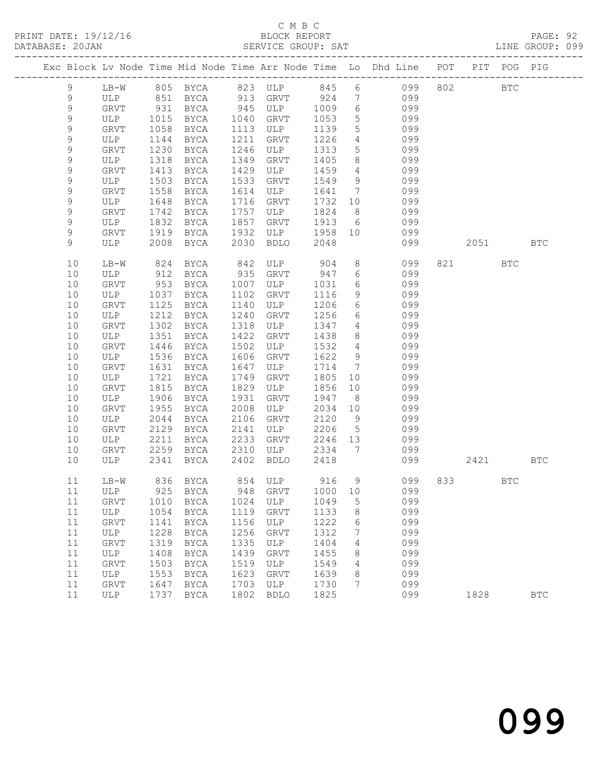#### C M B C<br>BLOCK REPORT

|  | DATABASE: 20JAN |             |                                   |                      |              | SERVICE GROUP: SAT  |              |                      | LINE GROUP: 099                                                                |        |     |              |  |
|--|-----------------|-------------|-----------------------------------|----------------------|--------------|---------------------|--------------|----------------------|--------------------------------------------------------------------------------|--------|-----|--------------|--|
|  |                 |             |                                   |                      |              |                     |              |                      | Exc Block Lv Node Time Mid Node Time Arr Node Time Lo Dhd Line POT PIT POG PIG |        |     |              |  |
|  | 9               |             |                                   |                      |              |                     |              |                      | LB-W 805 BYCA 823 ULP 845 6 099 802 BTC                                        |        |     |              |  |
|  | 9               |             |                                   |                      |              |                     |              |                      | ULP 851 BYCA 913 GRVT 924 7 099                                                |        |     |              |  |
|  | $\mathsf 9$     |             | GRVT 931<br>ULP 1015<br>GRVT 1058 |                      |              | BYCA 945 ULP 1009 6 |              |                      | 099                                                                            |        |     |              |  |
|  | $\mathsf 9$     |             |                                   | BYCA 1040 GRVT       |              |                     | 1053         | $5 -$                | 099                                                                            |        |     |              |  |
|  | $\mathsf 9$     |             |                                   | BYCA                 |              | 1113 ULP            | 1139         | 5 <sup>5</sup>       | 099                                                                            |        |     |              |  |
|  | 9               | ULP         | 1144                              | BYCA                 | 1211         | GRVT                | 1226         | $\overline{4}$       | 099                                                                            |        |     |              |  |
|  | 9               | GRVT        | 1230                              | BYCA                 |              | 1246 ULP            | 1313         | 5 <sup>5</sup>       | 099                                                                            |        |     |              |  |
|  | $\mathsf 9$     | ULP         | 1318                              | BYCA                 | 1349         | GRVT                | 1405         | 8 <sup>8</sup>       | 099                                                                            |        |     |              |  |
|  | $\mathsf 9$     | GRVT        | 1413                              | BYCA                 | 1429         | ULP                 | 1459         | $4\overline{4}$      | 099                                                                            |        |     |              |  |
|  | 9               | ULP         | 1503                              | BYCA                 | 1533         | GRVT                | 1549         | 9                    | 099                                                                            |        |     |              |  |
|  | 9               | GRVT        | 1558                              | BYCA                 | 1614         | ULP                 | 1641         | $\overline{7}$       | 099                                                                            |        |     |              |  |
|  | 9               | ULP         | 1648                              | BYCA                 | 1716         | GRVT                | 1732 10      |                      | 099                                                                            |        |     |              |  |
|  | $\mathsf 9$     | GRVT        | 1742                              | BYCA                 | 1757         | ULP                 | 1824         | 8 <sup>8</sup>       | 099                                                                            |        |     |              |  |
|  | 9               | ULP         | 1832                              | BYCA                 | 1857         | GRVT                |              |                      | 1913 6 099                                                                     |        |     |              |  |
|  | 9               | GRVT        | 1919                              | BYCA                 |              |                     |              |                      | 1932 ULP 1958 10 099                                                           |        |     |              |  |
|  | 9               | ULP         | 2008                              | BYCA                 | 2030         | BDLO                | 2048         |                      | 099                                                                            | 2051   |     | <b>BTC</b>   |  |
|  | 10              | LB-W        |                                   | 824 BYCA 842 ULP 904 |              |                     |              |                      | $8 \overline{)}$<br>099                                                        | 821 72 | BTC |              |  |
|  | 10              | ULP         | 912                               | BYCA                 | 935          | GRVT 947            |              |                      | $6\degree$<br>099                                                              |        |     |              |  |
|  | 10              | GRVT        | $-212$<br>953                     | BYCA                 |              | 1007 ULP            | 1031         | $6\overline{6}$      | 099                                                                            |        |     |              |  |
|  | 10              | ULP         | 1037                              | BYCA                 | 1102         | GRVT                | 1116         | 9                    | 099                                                                            |        |     |              |  |
|  | 10              | GRVT        | 1125                              | BYCA                 | 1140         | ULP                 | 1206         | 6                    | 099                                                                            |        |     |              |  |
|  | 10              | ULP         | 1212                              | <b>BYCA</b>          | 1240         | GRVT                | 1256         |                      | $6\degree$<br>099                                                              |        |     |              |  |
|  | 10              | GRVT        | 1302                              | BYCA                 | 1318         | ULP                 | 1347         | $\overline{4}$       | 099                                                                            |        |     |              |  |
|  | 10              | ULP         | 1351                              | BYCA                 | 1422         | GRVT                | 1438         | 8 <sup>8</sup>       | 099                                                                            |        |     |              |  |
|  | 10              | GRVT        | 1446                              | BYCA                 | 1502         | ULP                 | 1532 4       |                      | 099                                                                            |        |     |              |  |
|  | 10              | ULP         | 1536                              | BYCA                 | 1606         | GRVT                | 1622         | 9                    | 099                                                                            |        |     |              |  |
|  | 10              | GRVT        | 1631                              | BYCA                 | 1647         | ULP                 | 1714         | $7\overline{ }$      | 099                                                                            |        |     |              |  |
|  | 10<br>10        | ULP         | 1721<br>1815                      | BYCA                 | 1749<br>1829 | GRVT<br>ULP         | 1805<br>1856 | 10                   | 099<br>099                                                                     |        |     |              |  |
|  | 10              | GRVT<br>ULP | 1906                              | BYCA<br>BYCA         | 1931         | GRVT                | 1947         | 10<br>8 <sup>8</sup> | 099                                                                            |        |     |              |  |
|  | 10              | GRVT        | 1955                              | BYCA                 | 2008         | ULP                 | 2034         | 10                   | 099                                                                            |        |     |              |  |
|  | 10              | ULP         | 2044                              | BYCA                 | 2106         | GRVT                | 2120 9       |                      | 099                                                                            |        |     |              |  |
|  | 10              | GRVT        | 2129                              | BYCA                 | 2141         | ULP                 | 2206         | $5\overline{)}$      | 099                                                                            |        |     |              |  |
|  | 10              | ULP         | 2211                              | BYCA                 | 2233         | GRVT                | 2246 13      |                      | 099                                                                            |        |     |              |  |
|  | 10              | GRVT        |                                   | 2259 BYCA 2310 ULP   |              |                     | 2334 7       |                      | 099                                                                            |        |     |              |  |
|  | 10              | ULP         |                                   | 2341 BYCA 2402 BDLO  |              |                     | 2418         |                      | 099                                                                            | 2421   |     | <b>BTC</b>   |  |
|  |                 |             |                                   |                      |              |                     |              |                      | 11 LB-W 836 BYCA 854 ULP 916 9 099 833                                         |        | BTC |              |  |
|  | 11              | ULP         | 925                               | BYCA                 | 948          | GRVT                | 1000         | 10                   | 099                                                                            |        |     |              |  |
|  | 11              | GRVT        | 1010                              | BYCA                 | 1024         | ULP                 | 1049         | 5                    | 099                                                                            |        |     |              |  |
|  | 11              | ULP         | 1054                              | BYCA                 | 1119         | GRVT                | 1133         | 8                    | 099                                                                            |        |     |              |  |
|  | 11              | GRVT        | 1141                              | BYCA                 | 1156         | ULP                 | 1222         | 6                    | 099                                                                            |        |     |              |  |
|  | 11              | ULP         | 1228                              | BYCA                 | 1256         | GRVT                | 1312         | 7                    | 099                                                                            |        |     |              |  |
|  | 11              | GRVT        | 1319                              | <b>BYCA</b>          | 1335         | ULP                 | 1404         | 4                    | 099                                                                            |        |     |              |  |
|  | 11              | ULP         | 1408                              | BYCA                 | 1439         | GRVT                | 1455         | 8                    | 099                                                                            |        |     |              |  |
|  | 11              | GRVT        | 1503                              | BYCA                 | 1519         | ULP                 | 1549         | 4                    | 099                                                                            |        |     |              |  |
|  | 11              | ULP         | 1553                              | BYCA                 | 1623         | GRVT                | 1639         | 8                    | 099                                                                            |        |     |              |  |
|  | 11              | GRVT        | 1647                              | BYCA                 | 1703         | ULP                 | 1730         | 7                    | 099                                                                            |        |     |              |  |
|  | 11              | ULP         | 1737                              | BYCA                 | 1802         | <b>BDLO</b>         | 1825         |                      | 099                                                                            | 1828   |     | $_{\rm BTC}$ |  |
|  |                 |             |                                   |                      |              |                     |              |                      |                                                                                |        |     |              |  |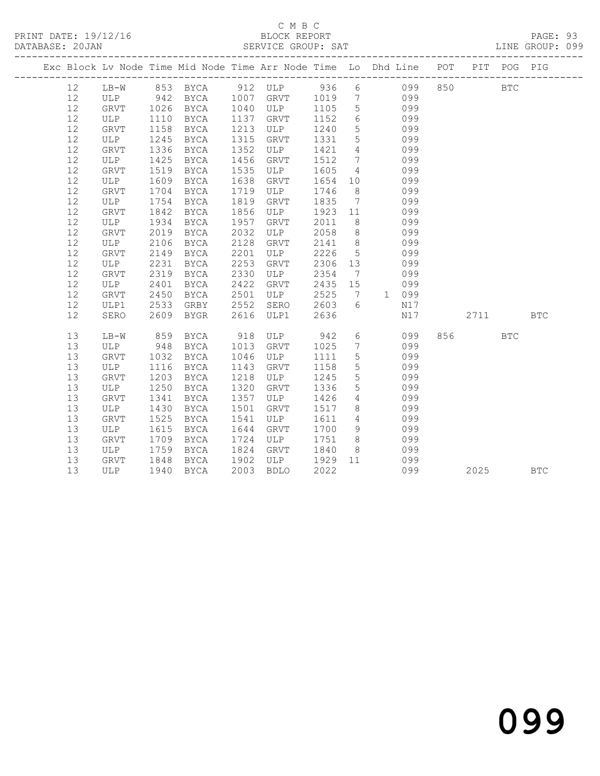## C M B C<br>BLOCK REPORT

PAGE: 93<br>LINE GROUP: 099

|    |        |             |                |      |             |        |                 | Exc Block Lv Node Time Mid Node Time Arr Node Time Lo Dhd Line POT |     | PIT   | POG PIG    |            |
|----|--------|-------------|----------------|------|-------------|--------|-----------------|--------------------------------------------------------------------|-----|-------|------------|------------|
| 12 | $LB-W$ |             |                |      |             |        |                 | 853 BYCA 912 ULP 936 6 099                                         | 850 |       | <b>BTC</b> |            |
| 12 | ULP    |             | BYCA 1007 GRVT |      |             | 1019 7 |                 | 099                                                                |     |       |            |            |
| 12 | GRVT   | 942<br>1026 | BYCA           | 1040 | ULP         | 1105   | $5\overline{)}$ | 099                                                                |     |       |            |            |
| 12 | ULP    | 1110        | BYCA           | 1137 | GRVT        | 1152   | 6               | 099                                                                |     |       |            |            |
| 12 | GRVT   | 1158        | BYCA           | 1213 | ULP         | 1240   | $5^{\circ}$     | 099                                                                |     |       |            |            |
| 12 | ULP    | 1245        | BYCA           | 1315 | GRVT        | 1331   | $5\overline{)}$ | 099                                                                |     |       |            |            |
| 12 | GRVT   | 1336        | BYCA           | 1352 | ULP         | 1421   | $\overline{4}$  | 099                                                                |     |       |            |            |
| 12 | ULP    | 1425        | BYCA           | 1456 | GRVT        | 1512   | $7\overline{ }$ | 099                                                                |     |       |            |            |
| 12 | GRVT   | 1519        | BYCA           | 1535 | ULP         | 1605   | $\overline{4}$  | 099                                                                |     |       |            |            |
| 12 | ULP    | 1609        | BYCA           | 1638 | GRVT        | 1654   | 10              | 099                                                                |     |       |            |            |
| 12 | GRVT   | 1704        | BYCA           | 1719 | ULP         | 1746   | 8 <sup>8</sup>  | 099                                                                |     |       |            |            |
| 12 | ULP    | 1754        | BYCA           | 1819 | GRVT        | 1835   | $\overline{7}$  | 099                                                                |     |       |            |            |
| 12 | GRVT   | 1842        | BYCA           | 1856 | ULP         | 1923   | 11              | 099                                                                |     |       |            |            |
| 12 | ULP    | 1934        | BYCA           | 1957 | GRVT        | 2011   | 8 <sup>8</sup>  | 099                                                                |     |       |            |            |
| 12 | GRVT   | 2019        | BYCA           | 2032 | ULP         | 2058   | 8 <sup>8</sup>  | 099                                                                |     |       |            |            |
| 12 | ULP    | 2106        | BYCA           | 2128 | GRVT        | 2141   | 8 <sup>8</sup>  | 099                                                                |     |       |            |            |
| 12 | GRVT   | 2149        | BYCA           | 2201 | ULP         | 2226   | 5               | 099                                                                |     |       |            |            |
| 12 | ULP    | 2231        | BYCA           | 2253 | GRVT        | 2306   | 13              | 099                                                                |     |       |            |            |
| 12 | GRVT   | 2319        | BYCA           | 2330 | ULP         | 2354   | $\overline{7}$  | 099                                                                |     |       |            |            |
| 12 | ULP    | 2401        | BYCA           | 2422 | GRVT        | 2435   | 15              | 099                                                                |     |       |            |            |
| 12 | GRVT   | 2450        | BYCA           | 2501 | ULP         | 2525   | $7\overline{ }$ | 1 099                                                              |     |       |            |            |
| 12 | ULP1   | 2533        | GRBY           | 2552 | SERO        | 2603   | - 6             | N17                                                                |     |       |            |            |
| 12 | SERO   | 2609        | BYGR           | 2616 | ULP1        | 2636   |                 | N17                                                                |     | 2711  |            | <b>BTC</b> |
| 13 | $LB-W$ | 859         | BYCA           | 918  | ULP         | 942    | 6               | 099                                                                |     | 856 7 | <b>BTC</b> |            |
| 13 | ULP    | 948         | BYCA           | 1013 | GRVT        | 1025   | $7\phantom{.0}$ | 099                                                                |     |       |            |            |
| 13 | GRVT   | 1032        | BYCA           | 1046 | ULP         | 1111   | $5\phantom{.0}$ | 099                                                                |     |       |            |            |
| 13 | ULP    | 1116        | BYCA           | 1143 | GRVT        | 1158   | $5\phantom{.0}$ | 099                                                                |     |       |            |            |
| 13 | GRVT   | 1203        | BYCA           | 1218 | ULP         | 1245   | $5\overline{)}$ | 099                                                                |     |       |            |            |
| 13 | ULP    | 1250        | BYCA           | 1320 | GRVT        | 1336   | $5\phantom{.0}$ | 099                                                                |     |       |            |            |
| 13 | GRVT   | 1341        | BYCA           | 1357 | ULP         | 1426   | $4\overline{ }$ | 099                                                                |     |       |            |            |
| 13 | ULP    | 1430        | BYCA           | 1501 | GRVT        | 1517   | 8               | 099                                                                |     |       |            |            |
| 13 | GRVT   | 1525        | BYCA           | 1541 | ULP         | 1611   | $\overline{4}$  | 099                                                                |     |       |            |            |
| 13 | ULP    | 1615        | BYCA           | 1644 | GRVT        | 1700   | 9               | 099                                                                |     |       |            |            |
| 13 | GRVT   | 1709        | BYCA           | 1724 | ULP         | 1751   | 8 <sup>8</sup>  | 099                                                                |     |       |            |            |
| 13 | ULP    | 1759        | BYCA           | 1824 | GRVT        | 1840   | 8 <sup>8</sup>  | 099                                                                |     |       |            |            |
| 13 | GRVT   | 1848        | BYCA           | 1902 | ULP         | 1929   | 11              | 099                                                                |     |       |            |            |
| 13 | ULP    | 1940        | BYCA           | 2003 | <b>BDLO</b> | 2022   |                 | 099                                                                |     | 2025  |            | <b>BTC</b> |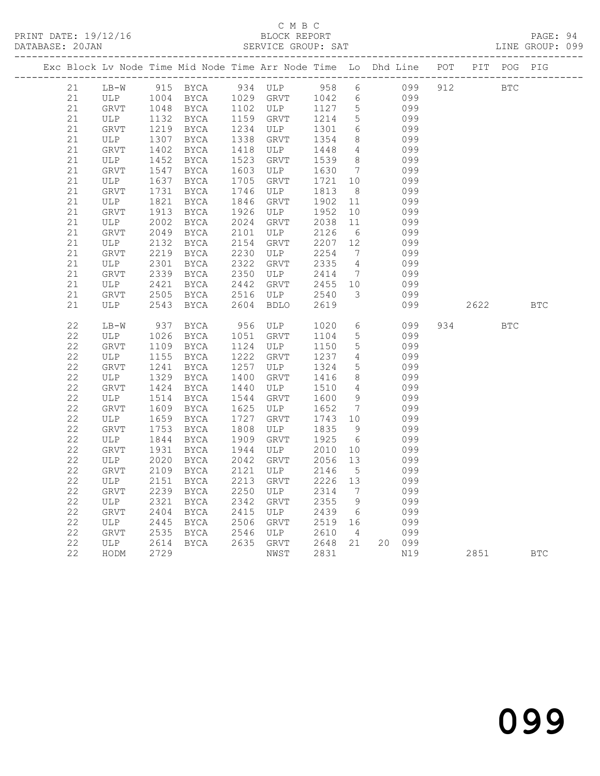## C M B C<br>BLOCK REPORT

PAGE: 94<br>LINE GROUP: 099

|  |    |             |      | Exc Block Lv Node Time Mid Node Time Arr Node Time Lo Dhd Line POT PIT POG PIG |      |           |        |                              |        |     |     |      |            |              |
|--|----|-------------|------|--------------------------------------------------------------------------------|------|-----------|--------|------------------------------|--------|-----|-----|------|------------|--------------|
|  | 21 | $LB-W$      |      | 915 BYCA 934 ULP 958 6                                                         |      |           |        |                              |        | 099 | 912 |      | BTC        |              |
|  | 21 |             |      |                                                                                |      |           | 1042 6 |                              |        | 099 |     |      |            |              |
|  | 21 |             |      | ULP 1004 BYCA 1029 GRVT 1042<br>GRVT 1048 BYCA 1102 ULP 1127                   |      |           |        | $5\overline{)}$              |        | 099 |     |      |            |              |
|  | 21 | ULP         |      | 1132 BYCA                                                                      |      | 1159 GRVT | 1214   | $5\overline{)}$              |        | 099 |     |      |            |              |
|  | 21 | GRVT        |      | 1219 BYCA                                                                      | 1234 | ULP       | 1301   | 6                            |        | 099 |     |      |            |              |
|  | 21 | ULP         | 1307 | BYCA                                                                           | 1338 | GRVT      | 1354   | 8                            |        | 099 |     |      |            |              |
|  | 21 | GRVT        | 1402 | BYCA                                                                           | 1418 | ULP       | 1448   | $\overline{4}$               |        | 099 |     |      |            |              |
|  | 21 | ULP         | 1452 | BYCA                                                                           | 1523 | GRVT      | 1539   | 8 <sup>8</sup>               |        | 099 |     |      |            |              |
|  | 21 | GRVT        | 1547 | BYCA                                                                           | 1603 | ULP       | 1630   | $7\phantom{.0}\phantom{.0}7$ |        | 099 |     |      |            |              |
|  | 21 | ULP         | 1637 | BYCA                                                                           | 1705 | GRVT      | 1721   | 10                           |        | 099 |     |      |            |              |
|  | 21 | GRVT        | 1731 | BYCA                                                                           | 1746 | ULP       | 1813   | 8 <sup>8</sup>               |        | 099 |     |      |            |              |
|  | 21 | ULP         | 1821 | BYCA                                                                           | 1846 | GRVT      | 1902   | 11                           |        | 099 |     |      |            |              |
|  | 21 | GRVT        | 1913 | BYCA                                                                           | 1926 | ULP       | 1952   | 10                           |        | 099 |     |      |            |              |
|  | 21 | ULP         | 2002 | BYCA                                                                           | 2024 | GRVT      | 2038   | 11                           |        | 099 |     |      |            |              |
|  | 21 | GRVT        | 2049 | BYCA                                                                           | 2101 | ULP       | 2126   | 6                            |        | 099 |     |      |            |              |
|  | 21 | ULP         | 2132 | BYCA                                                                           | 2154 | GRVT      | 2207   | 12                           |        | 099 |     |      |            |              |
|  | 21 | GRVT        | 2219 | BYCA                                                                           | 2230 | ULP       | 2254   | $\overline{7}$               |        | 099 |     |      |            |              |
|  | 21 | ULP         | 2301 | BYCA                                                                           | 2322 | GRVT      | 2335   | $\overline{4}$               |        | 099 |     |      |            |              |
|  | 21 | GRVT        | 2339 | <b>BYCA</b>                                                                    | 2350 | ULP       | 2414   | $7\overline{ }$              |        | 099 |     |      |            |              |
|  | 21 | ULP         | 2421 | <b>BYCA</b>                                                                    | 2442 | GRVT      | 2455   | 10                           |        | 099 |     |      |            |              |
|  | 21 | GRVT        | 2505 | <b>BYCA</b>                                                                    | 2516 | ULP       | 2540   | $\overline{3}$               |        | 099 |     |      |            |              |
|  | 21 | ULP         | 2543 | <b>BYCA</b>                                                                    | 2604 | BDLO      | 2619   |                              |        | 099 |     | 2622 |            | $_{\rm BTC}$ |
|  |    |             |      |                                                                                |      |           |        |                              |        |     |     |      |            |              |
|  | 22 | $LB-W$      | 937  | BYCA                                                                           |      | 956 ULP   | 1020   | $6\overline{6}$              |        | 099 |     | 934  | <b>BTC</b> |              |
|  | 22 | ULP         | 1026 | BYCA                                                                           | 1051 | GRVT      | 1104   | $5\overline{)}$              |        | 099 |     |      |            |              |
|  | 22 | GRVT        |      | 1109 BYCA                                                                      | 1124 | ULP       | 1150   | 5                            |        | 099 |     |      |            |              |
|  | 22 | ULP         | 1155 | BYCA                                                                           | 1222 | GRVT      | 1237   | $4\overline{ }$              |        | 099 |     |      |            |              |
|  | 22 | GRVT        | 1241 | BYCA                                                                           | 1257 | ULP       | 1324   | $5\overline{)}$              |        | 099 |     |      |            |              |
|  | 22 | ULP         | 1329 | BYCA                                                                           | 1400 | GRVT      | 1416   | 8                            |        | 099 |     |      |            |              |
|  | 22 | <b>GRVT</b> | 1424 | BYCA                                                                           | 1440 | ULP       | 1510   | $\overline{4}$               |        | 099 |     |      |            |              |
|  | 22 | ULP         | 1514 | BYCA                                                                           | 1544 | GRVT      | 1600   | 9                            |        | 099 |     |      |            |              |
|  | 22 | GRVT        | 1609 | BYCA                                                                           | 1625 | ULP       | 1652   | $\overline{7}$               |        | 099 |     |      |            |              |
|  | 22 | ULP         | 1659 | BYCA                                                                           | 1727 | GRVT      | 1743   | 10                           |        | 099 |     |      |            |              |
|  | 22 | GRVT        | 1753 | BYCA                                                                           | 1808 | ULP       | 1835   | 9 <sup>°</sup>               |        | 099 |     |      |            |              |
|  | 22 | ULP         | 1844 | BYCA                                                                           | 1909 | GRVT      | 1925   | 6                            |        | 099 |     |      |            |              |
|  | 22 | GRVT        | 1931 | BYCA                                                                           | 1944 | ULP       | 2010   | 10 <sub>o</sub>              |        | 099 |     |      |            |              |
|  | 22 | ULP         | 2020 | <b>BYCA</b>                                                                    | 2042 | GRVT      | 2056   | 13                           |        | 099 |     |      |            |              |
|  | 22 | <b>GRVT</b> | 2109 | BYCA                                                                           | 2121 | ULP       | 2146   | $5^{\circ}$                  |        | 099 |     |      |            |              |
|  | 22 | ULP         | 2151 | BYCA                                                                           | 2213 | GRVT      | 2226   | 13                           |        | 099 |     |      |            |              |
|  | 22 | GRVT        | 2239 | BYCA                                                                           | 2250 | ULP       | 2314   | $7\phantom{.0}\phantom{.0}7$ |        | 099 |     |      |            |              |
|  | 22 | ULP         | 2321 | BYCA                                                                           | 2342 | GRVT      | 2355   | 9                            |        | 099 |     |      |            |              |
|  | 22 | GRVT        | 2404 | BYCA                                                                           | 2415 | ULP       | 2439   | $6\overline{6}$              |        | 099 |     |      |            |              |
|  | 22 | ULP         | 2445 | BYCA                                                                           | 2506 | GRVT      | 2519   | 16                           |        | 099 |     |      |            |              |
|  | 22 | GRVT        | 2535 | BYCA                                                                           | 2546 | ULP       | 2610   | $\overline{4}$               |        | 099 |     |      |            |              |
|  | 22 | ULP         | 2614 | BYCA                                                                           |      | 2635 GRVT | 2648   | 21                           | 20 099 |     |     |      |            |              |
|  | 22 | HODM        | 2729 |                                                                                |      | NWST      | 2831   |                              |        | N19 |     | 2851 |            | <b>BTC</b>   |
|  |    |             |      |                                                                                |      |           |        |                              |        |     |     |      |            |              |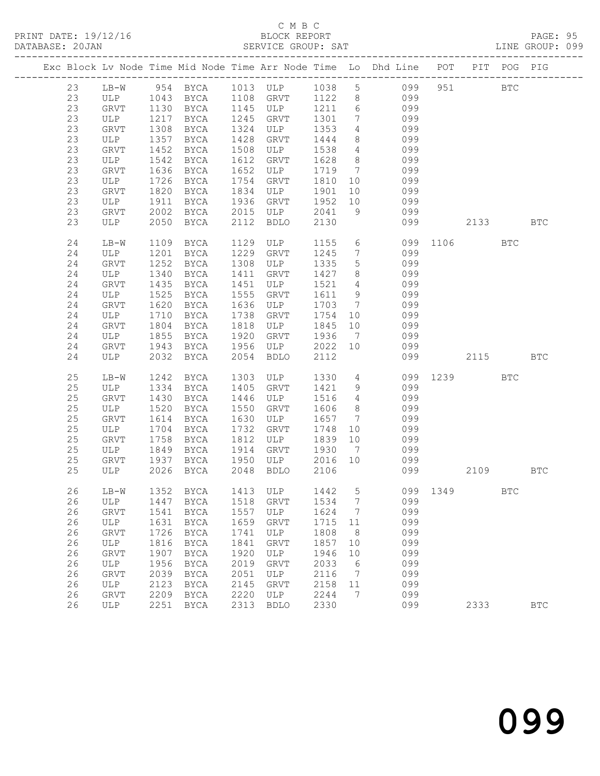### C M B C<br>BLOCK REPORT

PAGE: 95<br>LINE GROUP: 099

|  |    |             |      |             |      | Exc Block Lv Node Time Mid Node Time Arr Node Time Lo Dhd Line POT PIT POG PIG |        |                 |                 |     |        |          |              |            |
|--|----|-------------|------|-------------|------|--------------------------------------------------------------------------------|--------|-----------------|-----------------|-----|--------|----------|--------------|------------|
|  | 23 | $LB-W$      |      |             |      | 954 BYCA 1013 ULP 1038 5 099                                                   |        |                 |                 |     |        | 951      | <b>BTC</b>   |            |
|  | 23 |             |      |             |      | 1108 GRVT                                                                      | 1122 8 |                 | 099             |     |        |          |              |            |
|  | 23 |             |      |             |      | 1145 ULP                                                                       | 1211 6 |                 |                 | 099 |        |          |              |            |
|  | 23 | ULP         | 1217 | BYCA        | 1245 | GRVT                                                                           | 1301   | 7               | 099             |     |        |          |              |            |
|  | 23 | GRVT        | 1308 | BYCA        | 1324 | ULP                                                                            | 1353   | $4\overline{ }$ | 099             |     |        |          |              |            |
|  | 23 | ULP         | 1357 | BYCA        | 1428 | GRVT                                                                           | 1444   | 8               |                 | 099 |        |          |              |            |
|  | 23 | GRVT        | 1452 | BYCA        | 1508 | ULP                                                                            | 1538   | $4\overline{4}$ |                 | 099 |        |          |              |            |
|  | 23 | ULP         | 1542 | BYCA        | 1612 | GRVT                                                                           | 1628   | 8 <sup>8</sup>  | 099             |     |        |          |              |            |
|  | 23 | <b>GRVT</b> | 1636 | BYCA        | 1652 | ULP                                                                            | 1719   | $\overline{7}$  | 099             |     |        |          |              |            |
|  | 23 | ULP         | 1726 | BYCA        | 1754 | GRVT                                                                           | 1810   | 10              | 099             |     |        |          |              |            |
|  | 23 | GRVT        | 1820 | BYCA        | 1834 | ULP                                                                            | 1901   | 10              |                 | 099 |        |          |              |            |
|  | 23 |             | 1911 |             | 1936 |                                                                                | 1952   | 10              | 099             |     |        |          |              |            |
|  |    | ULP         |      | BYCA        |      | GRVT                                                                           |        |                 |                 |     |        |          |              |            |
|  | 23 | GRVT        | 2002 | BYCA        | 2015 | ULP                                                                            | 2041   | 9               | 099             |     |        |          |              |            |
|  | 23 | ULP         | 2050 | BYCA        | 2112 | BDLO                                                                           | 2130   |                 |                 |     | 099 00 | 2133     |              | <b>BTC</b> |
|  | 24 | LB-W        | 1109 | BYCA        | 1129 | ULP                                                                            | 1155   |                 | $6\overline{6}$ |     |        | 099 1106 | <b>BTC</b>   |            |
|  | 24 | ULP         | 1201 | BYCA        | 1229 | GRVT                                                                           | 1245   | $7\overline{ }$ |                 | 099 |        |          |              |            |
|  | 24 | GRVT        | 1252 | BYCA        | 1308 | ULP                                                                            | 1335   | 5 <sup>5</sup>  | 099             |     |        |          |              |            |
|  | 24 | ULP         | 1340 | BYCA        | 1411 | GRVT                                                                           | 1427   | 8               |                 | 099 |        |          |              |            |
|  | 24 | GRVT        | 1435 | BYCA        | 1451 | ULP                                                                            | 1521   | $4\overline{4}$ |                 | 099 |        |          |              |            |
|  | 24 | ULP         | 1525 | BYCA        | 1555 | GRVT                                                                           | 1611   | 9               |                 | 099 |        |          |              |            |
|  | 24 | GRVT        | 1620 | BYCA        | 1636 | ULP                                                                            | 1703   | $7\overline{ }$ |                 | 099 |        |          |              |            |
|  | 24 | ULP         | 1710 | BYCA        | 1738 | GRVT                                                                           | 1754   | 10              |                 | 099 |        |          |              |            |
|  | 24 | GRVT        | 1804 | BYCA        | 1818 | ULP                                                                            | 1845   | 10              |                 | 099 |        |          |              |            |
|  | 24 | ULP         | 1855 | BYCA        | 1920 | GRVT                                                                           | 1936   | $\overline{7}$  | 099             |     |        |          |              |            |
|  | 24 | GRVT        | 1943 | BYCA        | 1956 | ULP                                                                            | 2022   | 10              | 099             |     |        |          |              |            |
|  | 24 | ULP         | 2032 | BYCA        | 2054 | BDLO                                                                           | 2112   |                 |                 | 099 |        | 2115     |              | <b>BTC</b> |
|  |    |             |      |             |      |                                                                                |        |                 |                 |     |        |          |              |            |
|  | 25 | $LB-W$      | 1242 | BYCA        | 1303 | ULP                                                                            | 1330   |                 | $4\overline{ }$ |     |        | 099 1239 | <b>BTC</b>   |            |
|  | 25 | ULP         | 1334 | BYCA        | 1405 | GRVT                                                                           | 1421   | 9               | 099             |     |        |          |              |            |
|  | 25 | GRVT        | 1430 | BYCA        | 1446 | ULP                                                                            | 1516   | $4\overline{4}$ |                 | 099 |        |          |              |            |
|  | 25 | ULP         | 1520 | BYCA        | 1550 | GRVT                                                                           | 1606   | 8 <sup>8</sup>  |                 | 099 |        |          |              |            |
|  | 25 | GRVT        | 1614 | BYCA        | 1630 | ULP                                                                            | 1657   | 7               | 099             |     |        |          |              |            |
|  | 25 | ULP         | 1704 | BYCA        | 1732 | GRVT                                                                           | 1748   | 10              | 099             |     |        |          |              |            |
|  | 25 | GRVT        | 1758 | BYCA        | 1812 | ULP                                                                            | 1839   | 10              | 099             |     |        |          |              |            |
|  | 25 | ULP         | 1849 | BYCA        | 1914 | GRVT                                                                           | 1930   | $\overline{7}$  |                 | 099 |        |          |              |            |
|  | 25 | GRVT        | 1937 | BYCA        | 1950 | ULP                                                                            | 2016   | 10              | 099             |     |        |          |              |            |
|  | 25 | ULP         | 2026 | <b>BYCA</b> | 2048 | BDLO                                                                           | 2106   |                 |                 | 099 |        | 2109 BTC |              |            |
|  | 26 |             |      |             |      | LB-W 1352 BYCA 1413 ULP 1442 5 099 1349                                        |        |                 |                 |     |        |          | $_{\rm BTC}$ |            |
|  | 26 | ULP         | 1447 | <b>BYCA</b> | 1518 | GRVT                                                                           | 1534   | 7               |                 | 099 |        |          |              |            |
|  | 26 | <b>GRVT</b> | 1541 | BYCA        | 1557 | ULP                                                                            | 1624   | 7               |                 | 099 |        |          |              |            |
|  | 26 | ULP         | 1631 | <b>BYCA</b> | 1659 | GRVT                                                                           | 1715   | 11              |                 | 099 |        |          |              |            |
|  | 26 | GRVT        | 1726 | <b>BYCA</b> | 1741 | ULP                                                                            | 1808   | 8               |                 | 099 |        |          |              |            |
|  | 26 | ULP         | 1816 | <b>BYCA</b> | 1841 | <b>GRVT</b>                                                                    | 1857   | 10              |                 | 099 |        |          |              |            |
|  |    |             |      | <b>BYCA</b> |      |                                                                                |        |                 |                 |     |        |          |              |            |
|  | 26 | <b>GRVT</b> | 1907 |             | 1920 | ULP                                                                            | 1946   | 10              |                 | 099 |        |          |              |            |
|  | 26 | ULP         | 1956 | <b>BYCA</b> | 2019 | <b>GRVT</b>                                                                    | 2033   | 6               |                 | 099 |        |          |              |            |
|  | 26 | <b>GRVT</b> | 2039 | BYCA        | 2051 | ULP                                                                            | 2116   | 7               |                 | 099 |        |          |              |            |
|  | 26 | ULP         | 2123 | <b>BYCA</b> | 2145 | GRVT                                                                           | 2158   | 11              |                 | 099 |        |          |              |            |
|  | 26 | GRVT        | 2209 | BYCA        | 2220 | ULP                                                                            | 2244   | 7               |                 | 099 |        |          |              |            |
|  | 26 | <b>ULP</b>  | 2251 | BYCA        | 2313 | <b>BDLO</b>                                                                    | 2330   |                 |                 | 099 |        | 2333     |              | <b>BTC</b> |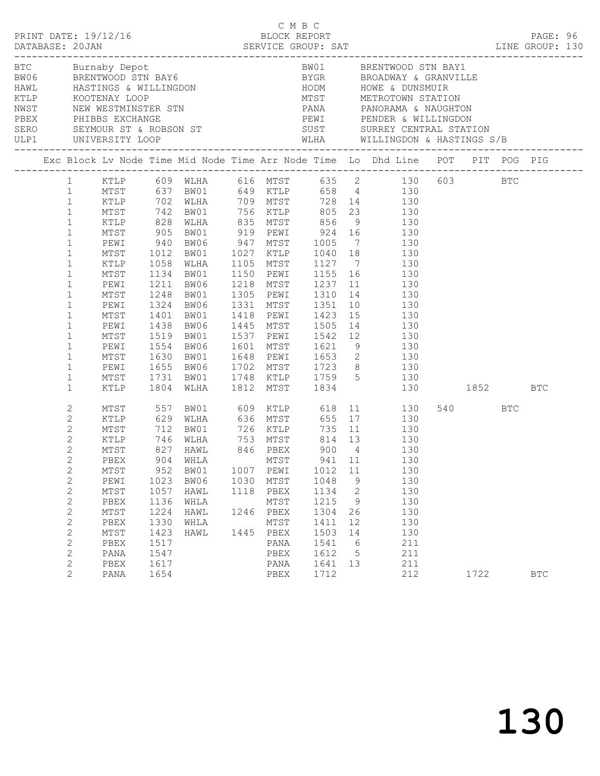| PRINT DATE: 19/12/16<br>DATABASE: 20JAN |                                                                                                                                                                                                                                                                                       |                                                                                                                                            |                                                                                                           |                                                                                                                                                                                                                                                                       |                                                                                        |                                                                                                      | C M B C |                                                                                                       |                                                     | LINE GROUP: 130                                                                                                                                                                                                                                                                                                                                                                                                                                                                                                                                                                                               |             |     | PAGE: 96   |  |
|-----------------------------------------|---------------------------------------------------------------------------------------------------------------------------------------------------------------------------------------------------------------------------------------------------------------------------------------|--------------------------------------------------------------------------------------------------------------------------------------------|-----------------------------------------------------------------------------------------------------------|-----------------------------------------------------------------------------------------------------------------------------------------------------------------------------------------------------------------------------------------------------------------------|----------------------------------------------------------------------------------------|------------------------------------------------------------------------------------------------------|---------|-------------------------------------------------------------------------------------------------------|-----------------------------------------------------|---------------------------------------------------------------------------------------------------------------------------------------------------------------------------------------------------------------------------------------------------------------------------------------------------------------------------------------------------------------------------------------------------------------------------------------------------------------------------------------------------------------------------------------------------------------------------------------------------------------|-------------|-----|------------|--|
|                                         |                                                                                                                                                                                                                                                                                       |                                                                                                                                            |                                                                                                           |                                                                                                                                                                                                                                                                       |                                                                                        |                                                                                                      |         |                                                                                                       |                                                     | BTC Burnaby Depot<br>BW06 BRENTWOOD STN BAY6<br>HAWL HASTINGS & WILLINGDON<br>KTLP KOOTENAY LOOP MUST METROTOWN STATION<br>NEW WESTMINSTER STN PANA PANORAMA & NAUGHTON<br>PBEX PHIBBS EXCHANGE PERIC PEWI PENDER & WILLINGDON<br>PBEX PHI                                                                                                                                                                                                                                                                                                                                                                    |             |     |            |  |
|                                         |                                                                                                                                                                                                                                                                                       |                                                                                                                                            |                                                                                                           |                                                                                                                                                                                                                                                                       |                                                                                        |                                                                                                      |         |                                                                                                       |                                                     | Exc Block Lv Node Time Mid Node Time Arr Node Time Lo Dhd Line POT PIT POG PIG                                                                                                                                                                                                                                                                                                                                                                                                                                                                                                                                |             |     |            |  |
|                                         | $\mathbf{1}$<br>$\mathbf{1}$<br>$\mathbf{1}$<br>$\mathbf{1}$<br>$\mathbf{1}$<br>$\mathbf{1}$<br>$1\,$<br>$\mathbf{1}$<br>$\mathbf{1}$<br>$\mathbf{1}$<br>$\mathbf{1}$<br>$\mathbf{1}$<br>$\mathbf{1}$<br>$\mathbf{1}$<br>$\mathbf{1}$<br>$\mathbf{1}$<br>$\mathbf{1}$<br>$\mathbf{1}$ | PEWI<br>MTST 1012<br>KTLP 1058<br>MTST 1134<br>PEWI<br>MTST<br>PEWI<br>MTST<br>PEWI<br>MTST<br>PEWI<br>MTST<br>PEWI<br>MTST                | 940<br>1211<br>1248<br>1324<br>1401<br>1438<br>1519<br>1554<br>1630<br>1655<br>1731                       | BW06<br>BW01<br>BW06<br>BW01<br>BW06<br>BW01<br>BW06<br>BW01                                                                                                                                                                                                          | 1218 MTST 1237<br>1305 PEWI 1310<br>1331 MTST 1351<br>1418 PEWI 1423<br>1445 MTST 1505 |                                                                                                      |         |                                                                                                       |                                                     | 1 KTLP 609 WLHA 616 MTST 635 2 130 603 BTC<br>1 MTST 637 BW01 649 KTLP 658 4 130<br>XTLP 702 WLHA 709 MTST 728 14<br>MTST 742 BW01 756 KTLP 805 23 130<br>KTLP 828 WLHA 835 MTST 856 9 130<br>MTST 905 BW01 919 PEWI 924 16 130<br>BW06 947 MTST 1005 7 130<br>BW01 1027 KTLP 1040 18 130<br>WLHA 1105 MTST 1127 7 130<br>BW01 1150 PEWI 1155 16 130<br>11 130<br>14   130<br>$\begin{array}{cc} 10 & \hspace{1.5cm} 130 \\ 15 & \hspace{1.5cm} 130 \end{array}$<br>14 130<br>1537 PEWI 1542 12 130<br>1601 MTST 1621 9 130<br>1648 PEWI 1653 2 130<br>BW06 1702 MTST 1723 8 130<br>BW01 1748 KTLP 1759 5 130 |             |     |            |  |
|                                         | $\mathbf{1}$<br>$\mathbf{2}$<br>2<br>$\mathbf{2}$<br>$\mathbf{2}$<br>$\overline{2}$<br>2<br>$\mathbf{2}$<br>$\mathbf{2}$<br>$\mathbf{2}$<br>$\mathbf{2}$<br>$\mathbf{2}$<br>$\mathbf{2}$<br>$\mathbf{2}$<br>$\mathbf{2}$<br>$\mathbf{2}$<br>$\mathbf{2}$<br>$\mathbf{2}$              | KTLP<br>MTST<br>KTLP<br>PBEX<br>MTST<br>PEWI<br>MTST<br>PBEX<br>$\mathtt{MTST}$<br>PBEX<br>$\mathtt{MTST}$<br>PBEX<br>PANA<br>PBEX<br>PANA | 1804<br>557<br>904<br>952<br>1023<br>1057<br>1136<br>1224<br>1330<br>1423<br>1517<br>1547<br>1617<br>1654 | WLHA 1812 MTST 1834<br>BW01 609 KTLP 618<br>629 WLHA      636 MTST<br>-----<br>MTST 712 BW01<br>KTLP 746 WLHA<br>MTST 827 HAWL<br>BW01 726 KTLP 735 11<br>WLHA 753 MTST 814 13<br>HAWL 846 PBEX 900 4<br>WHLA<br>BW01<br>BW06<br>HAWL<br>WHLA<br>HAWL<br>WHLA<br>HAWL | 1007<br>1030<br>1118<br>1246<br>1445                                                   | MTST<br>PEWI<br>MTST<br>PBEX<br>MTST<br>PBEX<br>MTST<br>${\tt PBEX}$<br>PANA<br>PBEX<br>PANA<br>PBEX |         | 655<br>941 11<br>1012<br>1048<br>1134<br>1215<br>1304<br>1411<br>1503<br>1541<br>1612<br>1641<br>1712 | 11<br>9<br>2<br>9<br>26<br>12<br>14<br>6<br>5<br>13 | 130 1852 BTC<br>11 130<br>17 130<br>$\begin{array}{cc} 11 & \hspace{1.5cm} 130 \\ 13 & \hspace{1.5cm} 130 \end{array}$<br>130<br>130<br>130<br>130<br>130<br>130<br>130<br>130<br>130<br>211<br>211<br>211<br>212                                                                                                                                                                                                                                                                                                                                                                                             | 540<br>1722 | BTC | <b>BTC</b> |  |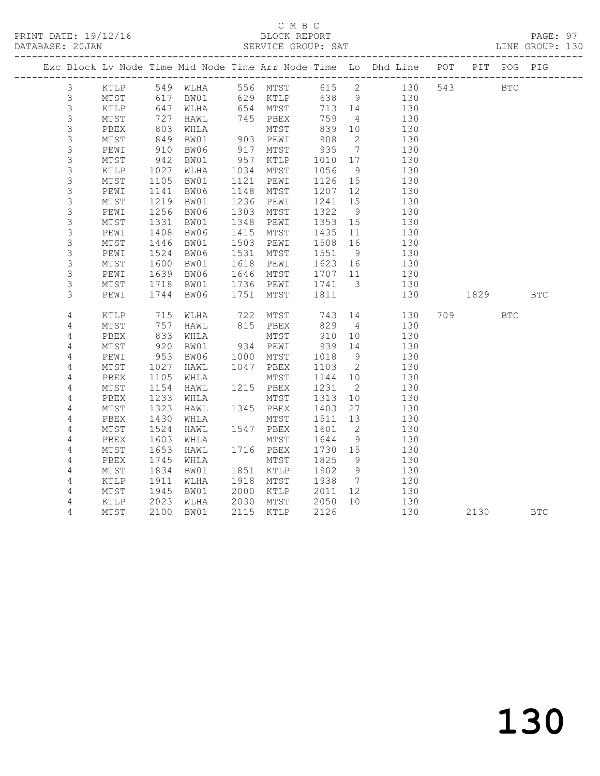## C M B C<br>BLOCK REPORT

PAGE: 97<br>LINE GROUP: 130

|                           |                 |              |                   |      |                      |           |                          | Exc Block Lv Node Time Mid Node Time Arr Node Time Lo Dhd Line POT PIT POG PIG |          |     |            |
|---------------------------|-----------------|--------------|-------------------|------|----------------------|-----------|--------------------------|--------------------------------------------------------------------------------|----------|-----|------------|
| 3                         | KTLP            |              | 549 WLHA 556 MTST |      |                      |           |                          | 615 2 130                                                                      | 543 BTC  |     |            |
| $\mathfrak{Z}$            | MTST            | 617          |                   |      | BW01 629 KTLP        |           |                          | 638 9<br>130                                                                   |          |     |            |
| $\mathsf 3$               | KTLP            | 647          | WLHA              |      | 654 MTST<br>745 PBEX | 713 14    |                          | 130                                                                            |          |     |            |
| $\mathsf 3$               | MTST            | 727          | HAWL              |      |                      | 759       | $\overline{4}$           | 130                                                                            |          |     |            |
| 3                         | PBEX            | 803          | WHLA              |      | MTST                 | 839       | 10                       | 130                                                                            |          |     |            |
| $\mathsf 3$               | MTST            | 849          | BW01              |      | 903 PEWI             | 908       | $\overline{2}$           | 130                                                                            |          |     |            |
| 3                         | PEWI            | 910          | BW06              | 917  | MTST                 | 935       | $\overline{7}$           | 130                                                                            |          |     |            |
| 3                         | MTST            | 942          | BW01              | 957  | KTLP                 | 1010      | 17                       | 130                                                                            |          |     |            |
| $\mathsf 3$               | $\texttt{KTLP}$ | 1027         | WLHA              | 1034 | MTST                 | 1056      | 9                        | 130                                                                            |          |     |            |
| $\ensuremath{\mathsf{3}}$ | $\mathtt{MTST}$ | 1105         | BW01              | 1121 | PEWI                 | 1126      | 15                       | 130                                                                            |          |     |            |
| $\mathsf 3$               | PEWI            | 1141         | BW06              | 1148 | MTST                 | 1207      | 12                       | 130                                                                            |          |     |            |
| $\mathsf 3$               | $\mathtt{MTST}$ | 1219         | BW01              | 1236 | PEWI                 | 1241      | 15                       | 130                                                                            |          |     |            |
| $\mathsf 3$               | PEWI            | 1256         | BW06              | 1303 | MTST                 | 1322      | - 9                      | 130                                                                            |          |     |            |
| $\mathsf 3$               | $MTST$          | 1331         | BW01              | 1348 | PEWI                 | 1353      | 15                       | 130                                                                            |          |     |            |
| $\mathsf 3$               | PEWI            | 1408         | BW06              | 1415 | MTST                 | 1435      | 11                       | 130                                                                            |          |     |            |
| 3                         | MTST            | 1446         | BW01              | 1503 | PEWI                 | 1508      | 16                       | 130                                                                            |          |     |            |
| $\mathsf 3$               | PEWI            | 1524         | BW06              | 1531 | MTST                 | 1551      | 9                        | 130                                                                            |          |     |            |
| $\mathsf 3$               | MTST            | 1600         | BW01              | 1618 | PEWI                 | $1623$ 16 |                          | 130                                                                            |          |     |            |
| 3                         | PEWI            | 1639         | BW06              | 1646 | MTST                 | 1707 11   |                          | 130                                                                            |          |     |            |
| $\mathsf 3$               | MTST            | 1718         | BW01              | 1736 | PEWI                 | 1741      | $\overline{\mathbf{3}}$  | 130                                                                            |          |     |            |
| 3                         | PEWI            | 1744         | BW06              | 1751 | MTST                 | 1811      |                          | 130                                                                            | 1829     |     | <b>BTC</b> |
|                           |                 |              |                   |      |                      |           |                          |                                                                                |          |     |            |
| $\overline{4}$            | KTLP            | $715$<br>757 | WLHA              |      |                      |           | 14                       | 130                                                                            | 709 — 10 | BTC |            |
| 4                         | $\mathtt{MTST}$ |              | HAWL              |      |                      |           | $\overline{4}$           | 130                                                                            |          |     |            |
| 4                         | PBEX            | 833          | WHLA              |      | MTST<br>934 PEWI     | 910       | 10                       | 130                                                                            |          |     |            |
| 4                         | MTST            | 920          | BW01              |      |                      | 939       | 14                       | 130                                                                            |          |     |            |
| $\overline{4}$            | PEWI            | 953          | BW06              | 1000 | MTST                 | 1018      | $\overline{9}$           | 130                                                                            |          |     |            |
| $\overline{4}$            | $\mathtt{MTST}$ | 1027         | HAWL              | 1047 | PBEX                 | 1103      | $\overline{\phantom{a}}$ | 130                                                                            |          |     |            |
| 4                         | PBEX            | 1105         | WHLA              |      | MTST                 | 1144 10   |                          | 130                                                                            |          |     |            |
| 4                         | MTST            | 1154         | HAWL              |      | 1215 PBEX            | 1231      | $\overline{\phantom{a}}$ | 130                                                                            |          |     |            |
| 4                         | PBEX            | 1233         | WHLA              |      | MTST                 | 1313      | 10                       | 130                                                                            |          |     |            |
| 4                         | $\mathtt{MTST}$ | 1323         | HAWL              |      | 1345 PBEX            | 1403      | 27                       | 130                                                                            |          |     |            |
| $\overline{4}$            | PBEX            | 1430         | WHLA              |      | MTST                 | 1511      | 13                       | 130                                                                            |          |     |            |
| 4                         | MTST            | 1524         | HAWL              |      | 1547 PBEX            | 1601      | $\overline{2}$           | 130                                                                            |          |     |            |
| $\overline{4}$            | PBEX            | 1603         | WHLA              |      | MTST                 | 1644      | 9                        | 130                                                                            |          |     |            |
| 4                         | MTST            | 1653         | HAWL              |      | 1716 PBEX            | 1730 15   |                          | 130                                                                            |          |     |            |
| 4                         | PBEX            | 1745         | WHLA              |      | MTST                 | 1825      | 9                        | 130                                                                            |          |     |            |
| 4                         | $\mathtt{MTST}$ | 1834         | BW01              |      | 1851 KTLP            | 1902      | 9                        | 130                                                                            |          |     |            |
| 4                         | KTLP            | 1911         | WLHA              |      | 1918 MTST            | 1938      | $\overline{7}$           | 130                                                                            |          |     |            |
| 4                         | $\mathtt{MTST}$ | 1945         | BW01              | 2000 | KTLP                 | 2011      | 12 <sup>°</sup>          | 130                                                                            |          |     |            |
| 4                         | KTLP            | 2023         | WLHA              | 2030 |                      |           | 10                       | 130                                                                            |          |     |            |
| 4                         | MTST            | 2100         | BW01              |      | 2115 KTLP            | 2126      |                          | 130                                                                            | 2130 BTC |     |            |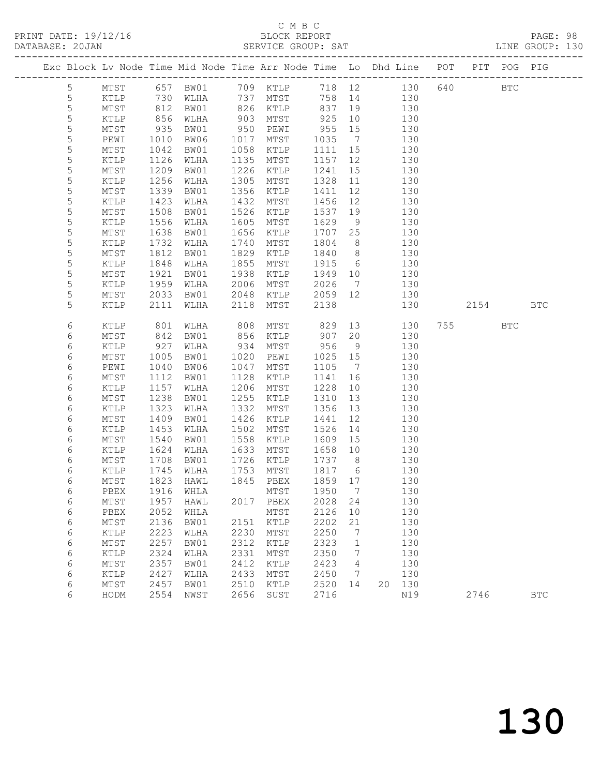## C M B C<br>BLOCK REPORT

PAGE: 98<br>LINE GROUP: 130

| Exc Block Lv Node Time Mid Node Time Arr Node Time Lo Dhd Line POT PIT POG PIG |               |              |              |              |              |              |                              |            |            |      |              |            |
|--------------------------------------------------------------------------------|---------------|--------------|--------------|--------------|--------------|--------------|------------------------------|------------|------------|------|--------------|------------|
| $5\phantom{.0}$                                                                | MTST          | 657          | BW01         |              | 709 KTLP     |              |                              | 718 12     | 640<br>130 |      | $_{\rm BTC}$ |            |
| 5                                                                              | KTLP          | 730          | WLHA         | 737          | MTST         | 758          | 14                           | 130        |            |      |              |            |
| $\mathsf S$                                                                    | MTST          | 812          | BW01         | 826          | KTLP         | 837          | 19                           | 130        |            |      |              |            |
| 5                                                                              | KTLP          | 856          | WLHA         | 903          | MTST         | 925          | 10                           | 130        |            |      |              |            |
| 5                                                                              | MTST          | 935          | BW01         | 950          | PEWI         | 955          | 15                           | 130        |            |      |              |            |
| 5                                                                              | PEWI          | 1010         | BW06         | 1017         | MTST         | 1035         | $\overline{7}$               | 130        |            |      |              |            |
| $\mathsf S$                                                                    | MTST          | 1042         | BW01         | 1058         | KTLP         | 1111         | 15                           | 130        |            |      |              |            |
| 5                                                                              | KTLP          | 1126         | WLHA         | 1135         | MTST         | 1157         | 12                           | 130        |            |      |              |            |
| 5                                                                              | MTST          | 1209         | BW01         | 1226         | KTLP         | 1241         | 15                           | 130        |            |      |              |            |
| 5                                                                              | KTLP          | 1256         | WLHA         | 1305         | MTST         | 1328         | 11                           | 130        |            |      |              |            |
| 5                                                                              | MTST          | 1339         | BW01         | 1356         | KTLP         | 1411         | 12                           | 130        |            |      |              |            |
| 5                                                                              | KTLP          | 1423         | WLHA         | 1432         | MTST         | 1456         | 12                           | 130        |            |      |              |            |
| 5                                                                              | MTST          | 1508         | BW01         | 1526         | KTLP         | 1537         | 19                           | 130        |            |      |              |            |
| 5                                                                              | KTLP          | 1556         | WLHA         | 1605         | MTST         | 1629         | - 9                          | 130        |            |      |              |            |
| 5                                                                              | MTST          | 1638         | BW01         | 1656         | KTLP         | 1707         | 25                           | 130        |            |      |              |            |
| 5                                                                              | KTLP          | 1732         | WLHA         | 1740         | MTST         | 1804         | 8                            | 130        |            |      |              |            |
| 5                                                                              | MTST          | 1812         | BW01         | 1829         | KTLP         | 1840         | 8 <sup>8</sup>               | 130        |            |      |              |            |
| 5                                                                              | KTLP          | 1848         | WLHA         | 1855         | MTST         | 1915         | 6                            | 130        |            |      |              |            |
| 5                                                                              | MTST          | 1921         | BW01         | 1938         | KTLP         | 1949         | 10                           | 130        |            |      |              |            |
| 5                                                                              | KTLP          | 1959         | WLHA         | 2006         | MTST         | 2026         | $7\phantom{.0}\phantom{.0}7$ | 130        |            |      |              |            |
| 5                                                                              | MTST          | 2033         | BW01         | 2048         | KTLP         | 2059         | 12                           | 130        |            |      |              |            |
| 5                                                                              | KTLP          | 2111         | WLHA         | 2118         | MTST         | 2138         |                              | 130        |            | 2154 |              | <b>BTC</b> |
|                                                                                |               |              |              |              |              |              |                              |            |            |      |              |            |
| 6                                                                              | KTLP          | 801          | WLHA         | 808          | MTST         | 829          | 13                           | 130        | 755        |      | <b>BTC</b>   |            |
| 6                                                                              | MTST          | 842          | BW01         | 856          | KTLP         | 907          | 20                           | 130        |            |      |              |            |
| 6                                                                              | KTLP          | 927          | WLHA         | 934          | MTST         | 956          | 9                            | 130        |            |      |              |            |
| 6                                                                              | MTST          | 1005         | BW01         | 1020         | PEWI         | 1025         | 15                           | 130        |            |      |              |            |
| 6                                                                              | PEWI          | 1040         | BW06         | 1047         | MTST         | 1105         | $\overline{7}$               | 130        |            |      |              |            |
| 6                                                                              | MTST          | 1112         | BW01         | 1128         | KTLP         | 1141         | 16                           | 130        |            |      |              |            |
| 6                                                                              | KTLP          | 1157         | WLHA         | 1206         | MTST         | 1228         | 10                           | 130        |            |      |              |            |
| 6                                                                              | MTST          | 1238         | BW01         | 1255         | KTLP         | 1310         | 13                           | 130        |            |      |              |            |
| 6                                                                              | KTLP          | 1323         | WLHA         | 1332         | MTST         | 1356         | 13                           | 130        |            |      |              |            |
| 6                                                                              | MTST          | 1409         | BW01         | 1426         | KTLP         | 1441         | 12                           | 130        |            |      |              |            |
| 6                                                                              | KTLP          | 1453         | WLHA         | 1502         | MTST         | 1526         | 14                           | 130        |            |      |              |            |
| 6                                                                              | MTST          | 1540         | BW01         | 1558         | KTLP         | 1609         | 15                           | 130        |            |      |              |            |
| 6                                                                              | KTLP          | 1624         | WLHA         | 1633         | MTST         | 1658         | 10                           | 130        |            |      |              |            |
| 6                                                                              | MTST          | 1708         | BW01         | 1726         | KTLP         | 1737         | 8 <sup>8</sup>               | 130        |            |      |              |            |
| 6                                                                              | KTLP          | 1745         | WLHA         | 1753         | MTST         | 1817         | 6                            | 130        |            |      |              |            |
| 6                                                                              | MTST          | 1823         | HAWL         | 1845         | PBEX         | 1859 17      |                              | 130        |            |      |              |            |
| $\epsilon$                                                                     | ${\tt PBEX}$  |              | 1916 WHLA    |              | MTST 1950 7  |              |                              | 130        |            |      |              |            |
| 6                                                                              | MTST          | 1957         | HAWL         | 2017         | PBEX         | 2028         | 24                           | 130        |            |      |              |            |
| 6                                                                              | PBEX          | 2052         | WHLA         |              | MTST         | 2126         | 10                           | 130        |            |      |              |            |
| 6                                                                              | MTST          | 2136         | BW01         | 2151         | KTLP         | 2202         | 21                           | 130        |            |      |              |            |
| 6                                                                              | KTLP          | 2223         | WLHA         | 2230         | MTST         | 2250         | 7                            | 130        |            |      |              |            |
| $\epsilon$                                                                     | MTST          | 2257         | BW01         | 2312         | KTLP         | 2323         | $\mathbf 1$                  | 130        |            |      |              |            |
| 6                                                                              | $\verb KTLP $ | 2324         | WLHA         | 2331         | MTST         | 2350         | 7                            | 130        |            |      |              |            |
| 6                                                                              | MTST          | 2357<br>2427 | BW01         | 2412<br>2433 | KTLP         | 2423<br>2450 | 4<br>7                       | 130<br>130 |            |      |              |            |
| 6<br>6                                                                         | KTLP<br>MTST  | 2457         | WLHA<br>BW01 | 2510         | MTST<br>KTLP | 2520         | 14                           | 130<br>20  |            |      |              |            |
| 6                                                                              | HODM          | 2554         | NWST         | 2656         | SUST         | 2716         |                              | N19        |            | 2746 |              | <b>BTC</b> |
|                                                                                |               |              |              |              |              |              |                              |            |            |      |              |            |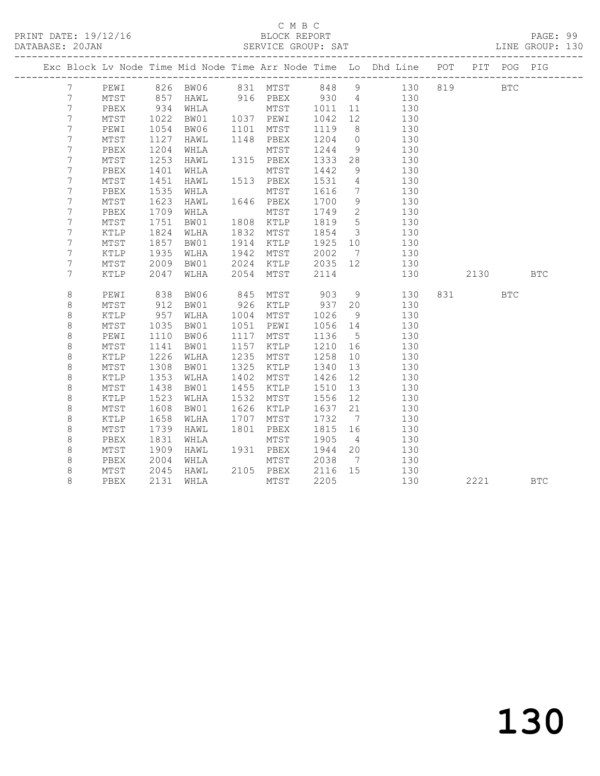### C M B C<br>BLOCK REPORT

PAGE: 99<br>LINE GROUP: 130

|  |                 |                 |      |                |      |            |         |                         | Exc Block Lv Node Time Mid Node Time Arr Node Time Lo Dhd Line POT |     |         | PIT POG PIG |            |
|--|-----------------|-----------------|------|----------------|------|------------|---------|-------------------------|--------------------------------------------------------------------|-----|---------|-------------|------------|
|  | $7\phantom{.0}$ | PEWI            |      |                |      |            |         |                         |                                                                    | 819 |         | <b>BTC</b>  |            |
|  | 7               | MTST            |      |                |      |            |         |                         |                                                                    |     |         |             |            |
|  | 7               | PBEX            | 934  |                |      |            |         |                         |                                                                    |     |         |             |            |
|  | $\overline{7}$  | MTST            | 1022 | BW01 1037 PEWI |      |            | 1042    | 12                      | 130                                                                |     |         |             |            |
|  | 7               | PEWI            | 1054 | BW06           | 1101 | MTST       | 1119    | 8 <sup>8</sup>          | 130                                                                |     |         |             |            |
|  | $\overline{7}$  | MTST            | 1127 | HAWL           |      | 1148 PBEX  | 1204    | $\overline{0}$          | 130                                                                |     |         |             |            |
|  | 7               | PBEX            | 1204 | WHLA           |      | MTST       | 1244    | 9 <sup>°</sup>          | 130                                                                |     |         |             |            |
|  | $\overline{7}$  | MTST            | 1253 | HAWL           |      | 1315 PBEX  | 1333    | 28                      | 130                                                                |     |         |             |            |
|  | 7               | PBEX            | 1401 | WHLA           |      | MTST       | 1442    | 9                       | 130                                                                |     |         |             |            |
|  | 7               | $\mathtt{MTST}$ | 1451 | HAWL           |      | 1513 PBEX  | 1531    | $\overline{4}$          | 130                                                                |     |         |             |            |
|  | $\overline{7}$  | PBEX            | 1535 | WHLA           |      | MTST       | 1616    | $\overline{7}$          | 130                                                                |     |         |             |            |
|  | $\overline{7}$  | $\mathtt{MTST}$ | 1623 | HAWL           |      | 1646 PBEX  | 1700    | 9                       | 130                                                                |     |         |             |            |
|  | 7               | PBEX            | 1709 | WHLA           |      | MTST       | 1749    | $\overline{2}$          | 130                                                                |     |         |             |            |
|  | 7               | MTST            | 1751 | BW01           | 1808 | KTLP       | 1819    | $5^{\circ}$             | 130                                                                |     |         |             |            |
|  | 7               | KTLP            | 1824 | WLHA           | 1832 | MTST       | 1854    | $\overline{\mathbf{3}}$ | 130                                                                |     |         |             |            |
|  | 7               | MTST            | 1857 | BW01           | 1914 | KTLP       | 1925 10 |                         | 130                                                                |     |         |             |            |
|  | 7               | $\texttt{KTLP}$ | 1935 | WLHA           | 1942 | MTST       | 2002    | $7\overline{ }$         | 130                                                                |     |         |             |            |
|  | $\overline{7}$  | MTST            | 2009 | BW01 2024      |      | KTLP       | 2035 12 |                         | 130                                                                |     |         |             |            |
|  | 7               | KTLP            | 2047 | WLHA           | 2054 | MTST       | 2114    |                         | 130                                                                |     | 2130    |             | <b>BTC</b> |
|  |                 |                 |      |                |      |            |         |                         |                                                                    |     |         |             |            |
|  | $\,8\,$         | PEWI            | 838  | BW06           | 845  | MTST 903 9 |         |                         | 130                                                                |     | 831 BTC |             |            |
|  | 8               | MTST            | 912  | BW01           |      | 926 KTLP   | 937 20  |                         | 130                                                                |     |         |             |            |
|  | 8               | KTLP            | 957  | WLHA           | 1004 | MTST       | 1026    | 9                       | 130                                                                |     |         |             |            |
|  | $\,8\,$         | $\mathtt{MTST}$ | 1035 | BW01           | 1051 | PEWI       | 1056 14 |                         | 130                                                                |     |         |             |            |
|  | $\,8\,$         | PEWI            | 1110 | BW06           | 1117 | MTST       | 1136    | $5\overline{)}$         | 130                                                                |     |         |             |            |
|  | $\,8\,$         | $\mathtt{MTST}$ | 1141 | BW01           | 1157 | KTLP       | 1210 16 |                         | 130                                                                |     |         |             |            |
|  | 8               | KTLP            | 1226 | WLHA           | 1235 | MTST       | 1258    | 10                      | 130                                                                |     |         |             |            |
|  | 8               | MTST            | 1308 | BW01           | 1325 | KTLP       | 1340    | 13                      | 130                                                                |     |         |             |            |
|  | $\,8\,$         | KTLP            | 1353 | WLHA           | 1402 | MTST       | 1426    | 12                      | 130                                                                |     |         |             |            |
|  | $\,8\,$         | MTST            | 1438 | BW01           | 1455 | KTLP       | 1510    | 13                      | 130                                                                |     |         |             |            |
|  | $\,8\,$         | $\texttt{KTLP}$ | 1523 | WLHA           | 1532 | MTST       | 1556    | 12                      | 130                                                                |     |         |             |            |
|  | 8               | MTST            | 1608 | BW01           | 1626 | KTLP       | 1637    | 21                      | 130                                                                |     |         |             |            |
|  | $\,8\,$         | KTLP            | 1658 | WLHA           | 1707 | MTST       | 1732    | $\overline{7}$          | 130                                                                |     |         |             |            |
|  | $\,8\,$         | MTST            | 1739 | HAWL           | 1801 | PBEX       | 1815 16 |                         | 130                                                                |     |         |             |            |
|  | 8               | PBEX            | 1831 | WHLA           |      | MTST       | 1905    | $\overline{4}$          | 130                                                                |     |         |             |            |
|  | 8               | MTST            | 1909 | HAWL           |      | 1931 PBEX  | 1944    | 20                      | 130                                                                |     |         |             |            |
|  | 8               | PBEX            | 2004 | WHLA           |      | MTST       | 2038    | $\overline{7}$          | 130                                                                |     |         |             |            |
|  | $\,8\,$         | MTST            | 2045 | HAWL           |      | 2105 PBEX  | 2116 15 |                         | 130                                                                |     |         |             |            |
|  | $\,8\,$         | PBEX            | 2131 | WHLA           |      | MTST       | 2205    |                         | 130                                                                |     | 2221    |             | <b>BTC</b> |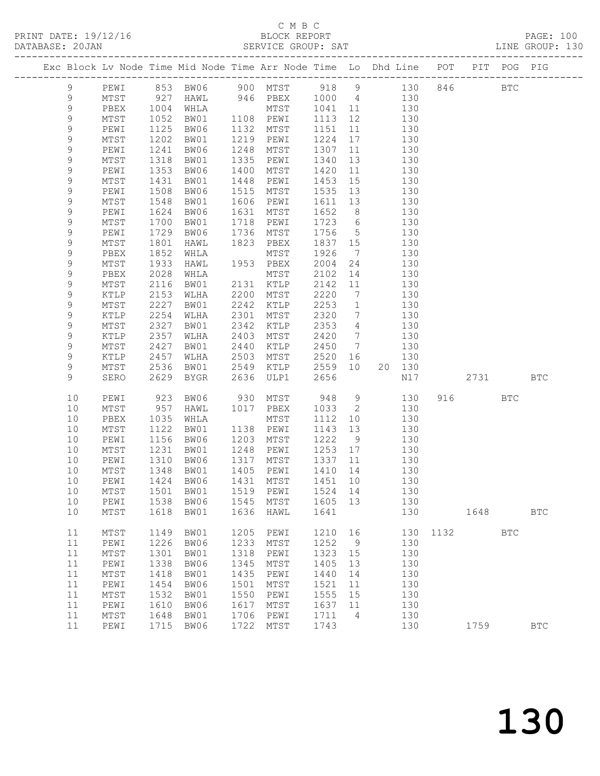## C M B C<br>BLOCK REPORT

PAGE: 100<br>LINE GROUP: 130

| DAIABASE; ZUJAN |                  |                 |              |                                                                    |              | SEKVICE GKUUF; SAI |              |                                                |            |         |          |             | TIME GRAAL: TOA |
|-----------------|------------------|-----------------|--------------|--------------------------------------------------------------------|--------------|--------------------|--------------|------------------------------------------------|------------|---------|----------|-------------|-----------------|
|                 |                  |                 |              | Exc Block Lv Node Time Mid Node Time Arr Node Time Lo Dhd Line POT |              |                    |              |                                                |            |         |          | PIT POG PIG |                 |
|                 | 9                | PEWI            |              | 853 BW06                                                           |              | 900 MTST           | 918 9        |                                                |            | 130 846 |          | <b>BTC</b>  |                 |
|                 | 9                | MTST            | 927          | HAWL                                                               |              | 946 PBEX           | 1000 4       |                                                | 130        |         |          |             |                 |
|                 | 9                | PBEX            | 1004         | WHLA                                                               |              | MTST               | 1041         | 11                                             | 130        |         |          |             |                 |
|                 | 9                | MTST            | 1052         | BW01                                                               |              | 1108 PEWI          | 1113         | 12                                             | 130        |         |          |             |                 |
|                 | 9                | PEWI            | 1125         | BW06                                                               | 1132         | MTST               | 1151         | 11                                             | 130        |         |          |             |                 |
|                 | $\mathsf 9$      | MTST            | 1202         | BW01                                                               | 1219         | PEWI               | 1224         | 17                                             | 130        |         |          |             |                 |
|                 | 9                | PEWI            | 1241         | BW06                                                               | 1248         | MTST               | 1307         | 11                                             | 130        |         |          |             |                 |
|                 | 9                | MTST            | 1318         | BW01                                                               | 1335         | PEWI               | 1340         | 13                                             | 130        |         |          |             |                 |
|                 | 9                | PEWI            | 1353         | BW06                                                               | 1400         | MTST               | 1420         | 11                                             | 130        |         |          |             |                 |
|                 | $\mathsf 9$      | MTST            | 1431         | BW01                                                               | 1448         | PEWI               | 1453         | 15                                             | 130        |         |          |             |                 |
|                 | 9                | PEWI            | 1508         | BW06                                                               | 1515         | MTST               | 1535         | 13                                             | 130        |         |          |             |                 |
|                 | 9                | MTST            | 1548         | BW01                                                               | 1606         | PEWI               | 1611         | 13                                             | 130        |         |          |             |                 |
|                 | 9                | PEWI            | 1624         | BW06                                                               | 1631         | MTST               | 1652         | 8 <sup>8</sup>                                 | 130        |         |          |             |                 |
|                 | 9                | MTST            | 1700         | BW01                                                               | 1718         | PEWI               | 1723         | $6\overline{6}$                                | 130        |         |          |             |                 |
|                 | $\mathsf 9$      | PEWI            | 1729         | BW06                                                               | 1736         | MTST               | 1756         | $5\overline{)}$                                | 130        |         |          |             |                 |
|                 | 9                | MTST            | 1801         | HAWL                                                               | 1823         | PBEX               | 1837 15      |                                                | 130        |         |          |             |                 |
|                 | 9                | PBEX            | 1852         | WHLA                                                               |              | MTST               | 1926         | $\overline{7}$                                 | 130        |         |          |             |                 |
|                 | $\mathsf 9$      | MTST            | 1933         | HAWL                                                               |              | 1953 PBEX          | 2004         | 24                                             | 130        |         |          |             |                 |
|                 | $\mathsf 9$      | PBEX            | 2028         | WHLA                                                               |              | MTST               | 2102         | 14                                             | 130        |         |          |             |                 |
|                 | $\mathsf 9$      | MTST            | 2116         | BW01                                                               | 2131         | KTLP               | 2142         | 11                                             | 130        |         |          |             |                 |
|                 | $\mathsf 9$      | KTLP            | 2153         | WLHA                                                               | 2200         | MTST               | 2220         | $\overline{7}$                                 | 130        |         |          |             |                 |
|                 | $\mathsf 9$      | MTST            | 2227         | BW01                                                               | 2242         | KTLP               | 2253         | $\mathbf{1}$                                   | 130        |         |          |             |                 |
|                 | $\mathsf 9$<br>9 | KTLP<br>MTST    | 2254<br>2327 | WLHA<br>BW01                                                       | 2301<br>2342 | MTST               | 2320<br>2353 | $7\phantom{.0}\phantom{.0}7$<br>$\overline{4}$ | 130<br>130 |         |          |             |                 |
|                 | 9                | KTLP            | 2357         | WLHA                                                               | 2403         | KTLP<br>MTST       | 2420         | $7\phantom{.0}\phantom{.0}7$                   | 130        |         |          |             |                 |
|                 | 9                | MTST            | 2427         | BW01                                                               | 2440         | KTLP               | 2450         | $\overline{7}$                                 | 130        |         |          |             |                 |
|                 | $\mathsf 9$      | $\verb KTLP $   | 2457         | WLHA                                                               | 2503         | MTST               | 2520         | 16                                             | 130        |         |          |             |                 |
|                 | 9                | MTST            | 2536         | BW01                                                               | 2549         | KTLP               | 2559         | 10                                             | 20 130     |         |          |             |                 |
|                 | 9                | SERO            | 2629         | BYGR                                                               | 2636         | ULP1               | 2656         |                                                | N17        |         | 2731     |             | <b>BTC</b>      |
|                 |                  |                 |              |                                                                    |              |                    |              |                                                |            |         |          |             |                 |
|                 | 10               | PEWI            | 923          | BW06                                                               | 930          | MTST               | 948          | 9                                              | 130        |         | 916 — 10 | BTC         |                 |
|                 | 10               | MTST            | 957          | HAWL                                                               | 1017         | PBEX               | 1033         | $\overline{2}$                                 | 130        |         |          |             |                 |
|                 | 10               | PBEX            | 1035         | WHLA                                                               |              | MTST               | 1112         | 10                                             | 130        |         |          |             |                 |
|                 | 10               | MTST            | 1122         | BW01                                                               | 1138         | PEWI               | 1143         | 13                                             | 130        |         |          |             |                 |
|                 | 10               | PEWI            | 1156         | BW06                                                               | 1203         | MTST               | 1222         | 9                                              | 130        |         |          |             |                 |
|                 | 10               | MTST            | 1231         | BW01                                                               | 1248         | PEWI               | 1253         | 17                                             | 130        |         |          |             |                 |
|                 | 10               | PEWI            | 1310         | BW06                                                               | 1317         | MTST               | 1337         | 11                                             | 130        |         |          |             |                 |
|                 | 10               | MTST            | 1348         | BW01                                                               | 1405         | PEWI               | 1410         | 14                                             | 130        |         |          |             |                 |
|                 | 10               | PEWI            | 1424         | BW06                                                               | 1431         | MTST               | 1451         | 10                                             | 130        |         |          |             |                 |
|                 | 10               | MTST            | 1501         | BW01                                                               | 1519         | PEWI               | 1524         | 14                                             | 130        |         |          |             |                 |
|                 | 10               | PEWI            | 1538         | BW06                                                               | 1545         | MTST               | 1605         | 13                                             | 130        |         |          |             |                 |
|                 | 10               | MTST            | 1618         | BW01                                                               | 1636         | HAWL               | 1641         |                                                | 130        |         | 1648     |             | $_{\rm BTC}$    |
|                 | 11               | $\mathtt{MTST}$ | 1149         | BW01                                                               | 1205         | PEWI               | 1210         | 16                                             | 130        | 1132    |          | <b>BTC</b>  |                 |
|                 | 11               | PEWI            | 1226         | BW06                                                               | 1233         | MTST               | 1252         | 9                                              | 130        |         |          |             |                 |
|                 | 11               | MTST            | 1301         | BW01                                                               | 1318         | PEWI               | 1323         | 15                                             | 130        |         |          |             |                 |
|                 | 11               | PEWI            | 1338         | BW06                                                               | 1345         | MTST               | 1405         | 13                                             | 130        |         |          |             |                 |
|                 | 11               | $\mathtt{MTST}$ | 1418         | BW01                                                               | 1435         | PEWI               | 1440         | 14                                             | 130        |         |          |             |                 |
|                 | 11               | PEWI            | 1454         | BW06                                                               | 1501         | MTST               | 1521         | 11                                             | 130        |         |          |             |                 |
|                 | 11               | $\mathtt{MTST}$ | 1532         | BW01                                                               | 1550         | PEWI               | 1555         | 15                                             | 130        |         |          |             |                 |
|                 | 11               | PEWI            | 1610         | BW06                                                               | 1617         | MTST               | 1637         | 11                                             | 130        |         |          |             |                 |
|                 | 11               | MTST            | 1648         | BW01                                                               | 1706         | PEWI               | 1711         | 4                                              | 130        |         |          |             |                 |
|                 | 11               | PEWI            | 1715         | BW06                                                               | 1722         | $\mathtt{MTST}$    | 1743         |                                                | 130        |         | 1759     |             | $_{\rm BTC}$    |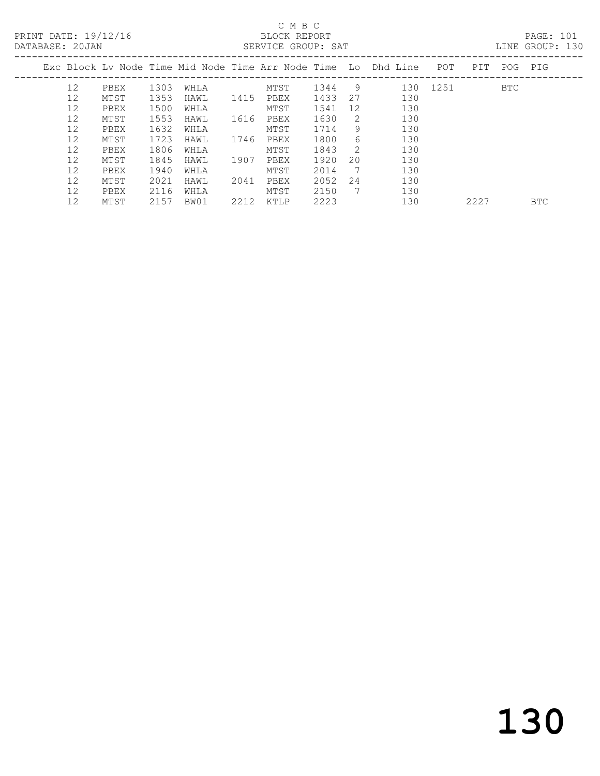#### C M B C

|  | DATABASE: 20JAN |      |      |      |      | SERVICE GROUP: SAT |      |              |                                                                    |          |     |     | LINE GROUP: 130 |  |
|--|-----------------|------|------|------|------|--------------------|------|--------------|--------------------------------------------------------------------|----------|-----|-----|-----------------|--|
|  |                 |      |      |      |      |                    |      |              | Exc Block Ly Node Time Mid Node Time Arr Node Time Lo Dhd Line POT |          | PIT |     | POG PIG         |  |
|  | 12              | PBEX | 1303 | WHLA |      | MTST               | 1344 | 9            |                                                                    | 130 1251 |     | BTC |                 |  |
|  | 12              | MTST | 1353 | HAWL | 1415 | PBEX               | 1433 | 27           | 130                                                                |          |     |     |                 |  |
|  | 12              | PBEX | 1500 | WHLA |      | MTST               | 1541 | 12           | 130                                                                |          |     |     |                 |  |
|  | 12              | MTST | 1553 | HAWL | 1616 | PBEX               | 1630 | -2           | 130                                                                |          |     |     |                 |  |
|  | 12              | PBEX | 1632 | WHLA |      | MTST               | 1714 | 9            | 130                                                                |          |     |     |                 |  |
|  | 12              | MTST | 1723 | HAWL | 1746 | PBEX               | 1800 | 6            | 130                                                                |          |     |     |                 |  |
|  | 12              | PBEX | 1806 | WHLA |      | MTST               | 1843 | <sup>2</sup> | 130                                                                |          |     |     |                 |  |
|  | 12              | MTST | 1845 | HAWL | 1907 | PBEX               | 1920 | 20           | 130                                                                |          |     |     |                 |  |
|  | 12              | PBEX | 1940 | WHLA |      | MTST               | 2014 | - 7          | 130                                                                |          |     |     |                 |  |
|  | 12              | MTST | 2021 | HAWL | 2041 | PBEX               | 2052 | 24           | 130                                                                |          |     |     |                 |  |
|  | 12              | PBEX | 2116 | WHLA |      | MTST               | 2150 | - 7          | 130                                                                |          |     |     |                 |  |
|  |                 |      |      |      |      |                    |      |              |                                                                    |          |     |     |                 |  |

12 MTST 2157 BW01 2212 KTLP 2223 130 2227 BTC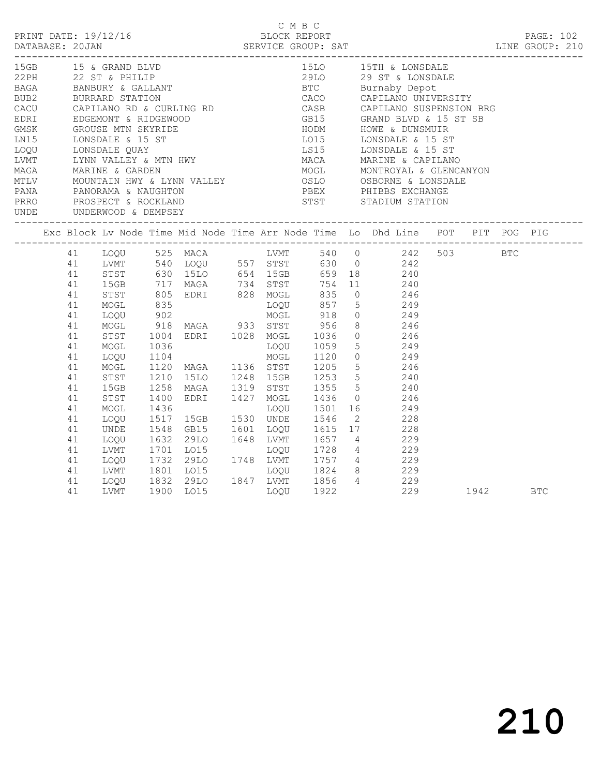|                          |    |      |              |                                                                                                                                                                                                                                            |  | C M B C |      |                                                                                                                                                                                                                                            |      | PRINT DATE: 19/12/16<br>BLOCK REPORT BLOCK PRESSERIE BROUP: SAT DATABASE: 20JAN SERVICE GROUP: SAT LINE GROUP: 210 |
|--------------------------|----|------|--------------|--------------------------------------------------------------------------------------------------------------------------------------------------------------------------------------------------------------------------------------------|--|---------|------|--------------------------------------------------------------------------------------------------------------------------------------------------------------------------------------------------------------------------------------------|------|--------------------------------------------------------------------------------------------------------------------|
|                          |    |      |              |                                                                                                                                                                                                                                            |  |         |      |                                                                                                                                                                                                                                            |      |                                                                                                                    |
|                          |    |      |              |                                                                                                                                                                                                                                            |  |         |      |                                                                                                                                                                                                                                            |      |                                                                                                                    |
|                          |    |      |              |                                                                                                                                                                                                                                            |  |         |      |                                                                                                                                                                                                                                            |      |                                                                                                                    |
|                          |    |      |              |                                                                                                                                                                                                                                            |  |         |      |                                                                                                                                                                                                                                            |      |                                                                                                                    |
|                          |    |      |              |                                                                                                                                                                                                                                            |  |         |      |                                                                                                                                                                                                                                            |      |                                                                                                                    |
|                          |    |      |              |                                                                                                                                                                                                                                            |  |         |      |                                                                                                                                                                                                                                            |      |                                                                                                                    |
|                          |    |      |              |                                                                                                                                                                                                                                            |  |         |      |                                                                                                                                                                                                                                            |      |                                                                                                                    |
|                          |    |      |              |                                                                                                                                                                                                                                            |  |         |      |                                                                                                                                                                                                                                            |      |                                                                                                                    |
|                          |    |      |              |                                                                                                                                                                                                                                            |  |         |      |                                                                                                                                                                                                                                            |      |                                                                                                                    |
|                          |    |      |              |                                                                                                                                                                                                                                            |  |         |      |                                                                                                                                                                                                                                            |      |                                                                                                                    |
|                          |    |      |              |                                                                                                                                                                                                                                            |  |         |      |                                                                                                                                                                                                                                            |      |                                                                                                                    |
|                          |    |      |              |                                                                                                                                                                                                                                            |  |         |      |                                                                                                                                                                                                                                            |      |                                                                                                                    |
|                          |    |      |              |                                                                                                                                                                                                                                            |  |         |      |                                                                                                                                                                                                                                            |      |                                                                                                                    |
| UNDE UNDERWOOD & DEMPSEY |    |      |              |                                                                                                                                                                                                                                            |  |         |      |                                                                                                                                                                                                                                            |      |                                                                                                                    |
|                          |    |      |              |                                                                                                                                                                                                                                            |  |         |      |                                                                                                                                                                                                                                            |      | Exc Block Lv Node Time Mid Node Time Arr Node Time Lo Dhd Line POT PIT POG PIG                                     |
|                          |    |      |              |                                                                                                                                                                                                                                            |  |         |      | 41 LOQU 525 MACA 235<br>41 LOQU 525 MACA 200 LVMT 540 0 242 503 BTC<br>41 LVMT 540 LOQU 557 STST 630 0 242<br>41 STST 630 LOQU 557 STST 630 0 242<br>41 STST 630 LOLO 654 LSGB 659 18 240<br>41 ISGB 717 MAGA 734 STST 754 11 240<br>41 ST |      |                                                                                                                    |
|                          |    |      |              |                                                                                                                                                                                                                                            |  |         |      |                                                                                                                                                                                                                                            |      |                                                                                                                    |
|                          |    |      |              |                                                                                                                                                                                                                                            |  |         |      |                                                                                                                                                                                                                                            |      |                                                                                                                    |
|                          |    |      |              |                                                                                                                                                                                                                                            |  |         |      |                                                                                                                                                                                                                                            |      |                                                                                                                    |
|                          |    |      |              |                                                                                                                                                                                                                                            |  |         |      |                                                                                                                                                                                                                                            |      |                                                                                                                    |
|                          |    |      |              |                                                                                                                                                                                                                                            |  |         |      |                                                                                                                                                                                                                                            |      |                                                                                                                    |
|                          |    |      |              |                                                                                                                                                                                                                                            |  |         |      |                                                                                                                                                                                                                                            |      |                                                                                                                    |
|                          |    |      |              |                                                                                                                                                                                                                                            |  |         |      |                                                                                                                                                                                                                                            |      |                                                                                                                    |
|                          |    |      |              |                                                                                                                                                                                                                                            |  |         |      |                                                                                                                                                                                                                                            |      |                                                                                                                    |
|                          | 41 | MOGL | 1036<br>1104 | LOQU 1059 5 249<br>MOGL 1120 0 249                                                                                                                                                                                                         |  |         |      |                                                                                                                                                                                                                                            |      |                                                                                                                    |
|                          | 41 | LOQU |              |                                                                                                                                                                                                                                            |  |         |      |                                                                                                                                                                                                                                            |      |                                                                                                                    |
|                          | 41 | MOGL |              | 1120 MAGA 1136 STST 1205 5 246                                                                                                                                                                                                             |  |         |      |                                                                                                                                                                                                                                            |      |                                                                                                                    |
|                          | 41 | STST |              | 1210 15LO 1248 15GB 1253 5 240<br>1258 MAGA 1319 STST 1355 5 240                                                                                                                                                                           |  |         |      |                                                                                                                                                                                                                                            |      |                                                                                                                    |
|                          | 41 | 15GB |              |                                                                                                                                                                                                                                            |  |         |      |                                                                                                                                                                                                                                            |      |                                                                                                                    |
|                          | 41 | STST | 1400         | EDRI 1427 MOGL 1436<br>LOOU 1501                                                                                                                                                                                                           |  |         |      | MOGL 1436 0 246<br>LOQU 1501 16 249<br>UNDE 1546 2 228                                                                                                                                                                                     |      |                                                                                                                    |
|                          | 41 | MOGL | 1436         |                                                                                                                                                                                                                                            |  |         |      |                                                                                                                                                                                                                                            |      |                                                                                                                    |
|                          | 41 | LOQU |              | 1517 15GB 1530 UNDE 1546                                                                                                                                                                                                                   |  |         |      |                                                                                                                                                                                                                                            |      |                                                                                                                    |
|                          | 41 |      |              |                                                                                                                                                                                                                                            |  |         |      |                                                                                                                                                                                                                                            |      |                                                                                                                    |
|                          | 41 |      |              | UNDE 1548 GB15 1601 LOQU 1615 17 228<br>LOQU 1632 29LO 1648 LVMT 1657 4 229<br>LVMT 1701 LO15 LOQU 1728 4 229<br>LOQU 1732 29LO 1748 LVMT 1757 4 229<br>LVMT 1801 LO15 LOQU 1824 8 229<br>LVMT 1801 LO15 LOQU 1824 8 229<br>LOQU 1832 29LO |  |         |      |                                                                                                                                                                                                                                            |      |                                                                                                                    |
|                          | 41 |      |              |                                                                                                                                                                                                                                            |  |         |      |                                                                                                                                                                                                                                            |      |                                                                                                                    |
|                          | 41 |      |              |                                                                                                                                                                                                                                            |  |         |      |                                                                                                                                                                                                                                            |      |                                                                                                                    |
|                          | 41 |      |              |                                                                                                                                                                                                                                            |  |         |      |                                                                                                                                                                                                                                            |      |                                                                                                                    |
|                          | 41 |      |              |                                                                                                                                                                                                                                            |  |         |      |                                                                                                                                                                                                                                            |      |                                                                                                                    |
|                          | 41 | LVMT |              | 1900 LO15                                                                                                                                                                                                                                  |  | LOOU    | 1922 | 229                                                                                                                                                                                                                                        | 1942 | <b>BTC</b>                                                                                                         |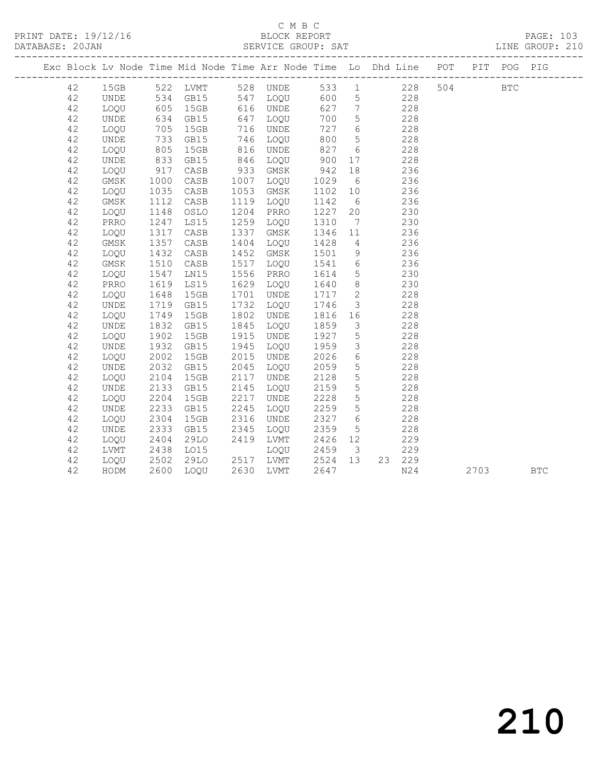#### C M B C<br>BLOCK REPORT SERVICE GROUP: SAT

|  |    |             |                                            |      |      | Exc Block Lv Node Time Mid Node Time Arr Node Time Lo Dhd Line POT |      |                         |           |     |     |      | PIT POG PIG  |            |
|--|----|-------------|--------------------------------------------|------|------|--------------------------------------------------------------------|------|-------------------------|-----------|-----|-----|------|--------------|------------|
|  | 42 | 15GB        |                                            |      |      | 522 LVMT 528 UNDE                                                  |      |                         | 533 1 228 |     | 504 |      | $_{\rm BTC}$ |            |
|  | 42 | <b>UNDE</b> | 534                                        | GB15 |      | 547 LOQU                                                           | 600  | $5\overline{)}$         | 228       |     |     |      |              |            |
|  | 42 | LOQU        | 605<br>634<br>705                          | 15GB |      | 616 UNDE                                                           | 627  | $7\overline{ }$         |           | 228 |     |      |              |            |
|  | 42 | <b>UNDE</b> |                                            | GB15 |      | 647 LOQU                                                           | 700  | $5\overline{)}$         |           | 228 |     |      |              |            |
|  | 42 | LOQU        | 705                                        | 15GB | 716  | UNDE                                                               | 727  | $6\overline{6}$         |           | 228 |     |      |              |            |
|  | 42 | UNDE        | 733                                        | GB15 | 746  | LOQU                                                               | 800  | $5^{\circ}$             | 228       |     |     |      |              |            |
|  | 42 | LOQU        | 805                                        | 15GB | 816  | UNDE                                                               | 827  | 6                       |           | 228 |     |      |              |            |
|  | 42 | <b>UNDE</b> | 833                                        | GB15 | 846  | LOQU                                                               | 900  | 17                      |           | 228 |     |      |              |            |
|  | 42 | LOQU        | $\begin{array}{c} 917 \\ 1000 \end{array}$ | CASB | 933  | GMSK                                                               | 942  | 18                      |           | 236 |     |      |              |            |
|  | 42 | GMSK        | 1000                                       | CASB | 1007 | LOQU                                                               | 1029 | 6                       |           | 236 |     |      |              |            |
|  | 42 | LOQU        | 1035                                       | CASB | 1053 | GMSK                                                               | 1102 | 10                      |           | 236 |     |      |              |            |
|  | 42 | GMSK        | 1112                                       | CASB | 1119 | LOQU                                                               | 1142 | 6                       |           | 236 |     |      |              |            |
|  | 42 | LOQU        | 1148                                       | OSLO | 1204 | PRRO                                                               | 1227 | 20                      |           | 230 |     |      |              |            |
|  | 42 | PRRO        | 1247                                       | LS15 | 1259 | LOQU                                                               | 1310 | $\overline{7}$          |           | 230 |     |      |              |            |
|  | 42 | LOQU        | 1317                                       | CASB | 1337 | GMSK                                                               | 1346 | 11                      |           | 236 |     |      |              |            |
|  | 42 | GMSK        | 1357                                       | CASB | 1404 | LOQU                                                               | 1428 | $\overline{4}$          |           | 236 |     |      |              |            |
|  | 42 | LOQU        | 1432                                       | CASB | 1452 | GMSK                                                               | 1501 | 9                       |           | 236 |     |      |              |            |
|  | 42 | GMSK        | 1510                                       | CASB | 1517 | LOOU                                                               | 1541 | $6\overline{6}$         | 236       |     |     |      |              |            |
|  | 42 | LOQU        | 1547                                       | LN15 | 1556 | PRRO                                                               | 1614 | $5\overline{)}$         |           | 230 |     |      |              |            |
|  | 42 | PRRO        | 1619                                       | LS15 | 1629 | LOQU                                                               | 1640 | 8 <sup>8</sup>          |           | 230 |     |      |              |            |
|  | 42 | LOQU        | 1648                                       | 15GB | 1701 | UNDE                                                               | 1717 | $\overline{2}$          |           | 228 |     |      |              |            |
|  | 42 | UNDE        | 1719                                       | GB15 | 1732 | LOQU                                                               | 1746 | $\mathcal{S}$           |           | 228 |     |      |              |            |
|  | 42 | LOQU        | 1749                                       | 15GB | 1802 | UNDE                                                               | 1816 | 16                      |           | 228 |     |      |              |            |
|  | 42 | <b>UNDE</b> | 1832                                       | GB15 | 1845 | LOQU                                                               | 1859 | $\overline{\mathbf{3}}$ |           | 228 |     |      |              |            |
|  | 42 | LOQU        | 1902                                       | 15GB | 1915 | UNDE                                                               | 1927 | $5\overline{)}$         |           | 228 |     |      |              |            |
|  | 42 | UNDE        | 1932                                       | GB15 | 1945 | LOQU                                                               | 1959 | $\mathcal{S}$           |           | 228 |     |      |              |            |
|  | 42 | LOQU        | 2002                                       | 15GB | 2015 | UNDE                                                               | 2026 | 6                       |           | 228 |     |      |              |            |
|  | 42 | UNDE        | 2032                                       | GB15 | 2045 | LOQU                                                               | 2059 | $5\phantom{.0}$         |           | 228 |     |      |              |            |
|  | 42 | LOQU        | 2104                                       | 15GB | 2117 | UNDE                                                               | 2128 | $5\overline{)}$         |           | 228 |     |      |              |            |
|  | 42 | UNDE        | 2133                                       | GB15 | 2145 | LOQU                                                               | 2159 | $5\phantom{.0}$         |           | 228 |     |      |              |            |
|  | 42 | LOQU        | 2204                                       | 15GB | 2217 | UNDE                                                               | 2228 | $5\overline{)}$         |           | 228 |     |      |              |            |
|  | 42 | UNDE        | 2233                                       | GB15 | 2245 | LOQU                                                               | 2259 | $5\phantom{.0}$         |           | 228 |     |      |              |            |
|  | 42 | LOQU        | 2304                                       | 15GB | 2316 | UNDE                                                               | 2327 | 6                       |           | 228 |     |      |              |            |
|  | 42 | <b>UNDE</b> | 2333                                       | GB15 | 2345 | LOQU                                                               | 2359 | $5\overline{)}$         |           | 228 |     |      |              |            |
|  | 42 | LOQU        | 2404                                       | 29LO |      | 2419 LVMT                                                          | 2426 | 12                      |           | 229 |     |      |              |            |
|  | 42 | LVMT        | 2438                                       | LO15 |      | LOQU                                                               | 2459 | $\overline{\mathbf{3}}$ |           | 229 |     |      |              |            |
|  | 42 | LOQU        | 2502                                       | 29LO |      | 2517 LVMT 2524 13                                                  |      |                         | 23 229    |     |     |      |              |            |
|  | 42 | HODM        | 2600                                       | LOQU |      | 2630 LVMT                                                          | 2647 |                         |           | N24 |     | 2703 |              | <b>BTC</b> |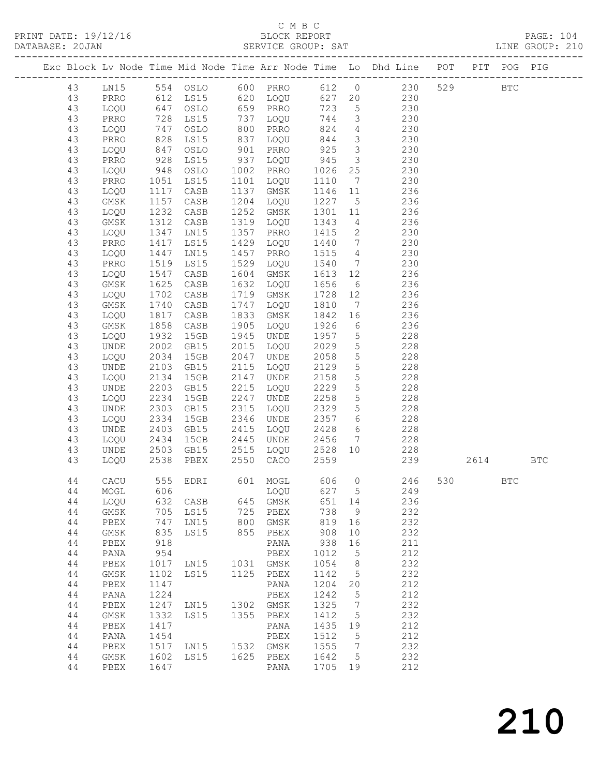#### C M B C<br>BLOCK REPORT

|          |              |              |                                   |      |                            |                            |                 |                                                                                    |     |            | PAGE: 104 |
|----------|--------------|--------------|-----------------------------------|------|----------------------------|----------------------------|-----------------|------------------------------------------------------------------------------------|-----|------------|-----------|
|          |              |              |                                   |      |                            |                            |                 | Exc Block Lv Node Time Mid Node Time Arr Node Time Lo Dhd Line POT PIT POG PIG     |     |            |           |
|          |              |              |                                   |      |                            |                            |                 | 43 LN15 554 OSLO 600 PRRO 612 0 230 529 BTC                                        |     |            |           |
| 43       |              |              |                                   |      |                            |                            |                 | PRRO 612 LS15 620 LOQU 627 20 230                                                  |     |            |           |
| 43       |              |              |                                   |      |                            |                            |                 | LOQU 647 OSLO 659 PRRO 723 5 230                                                   |     |            |           |
| 43       | PRRO         |              |                                   |      | 737 LOQU<br>800 PRRO       |                            |                 | $744$ 3 230<br>824 4 230                                                           |     |            |           |
| 43       | LOQU         |              | 728 LS15<br>747 OSLO<br>828 LS15  |      |                            |                            |                 |                                                                                    |     |            |           |
| 43       | PRRO         |              |                                   |      | $837$ LOQU $844$           |                            |                 | $\frac{2}{3}$ 230                                                                  |     |            |           |
| 43       | LOQU         | 847          | OSLO                              |      | 901 PRRO                   | 925                        |                 | 3 230                                                                              |     |            |           |
| 43       | PRRO         |              |                                   | 937  | LOQU                       |                            |                 | 3 230                                                                              |     |            |           |
| 43       | LOQU         |              | 928 LS15<br>948 OSLO<br>1051 LS15 |      | 1002 PRRO                  | 945 3<br>1026 25<br>1110 7 |                 | $\begin{array}{ccc} 25 & \hspace{1.5cm} 230 \\ 7 & \hspace{1.5cm} 230 \end{array}$ |     |            |           |
| 43       | PRRO         |              | 1051 LS15                         | 1101 | LOQU                       |                            |                 |                                                                                    |     |            |           |
| 43       | LOQU         | 1117         | CASB                              | 1137 | GMSK                       | 1146 11                    |                 | 236                                                                                |     |            |           |
| 43<br>43 | GMSK<br>LOQU | 1157         | CASB                              | 1204 | LOQU                       | 1227                       |                 | 5 236                                                                              |     |            |           |
| 43       | GMSK         |              | 1232 CASB<br>1312 CASB            |      |                            |                            |                 | 1252 GMSK 1301 11 236<br>1319 LOQU 1343 4 236                                      |     |            |           |
| 43       | LOQU         | 1347         | LN15                              | 1357 | PRRO 1415                  |                            |                 | 2 230                                                                              |     |            |           |
|          | PRRO         | 1417         | LS15                              | 1429 |                            | 1440                       |                 |                                                                                    |     |            |           |
| 43<br>43 | LOQU         | 1447         | LN15                              | 1457 | LOQU<br>PRRO               |                            |                 | 7 230<br>230                                                                       |     |            |           |
| 43       | PRRO         | 1519         | LS15                              | 1529 | LOQU                       | 1515 4<br>1540 7           |                 | 230                                                                                |     |            |           |
| 43       | LOQU         | 1547         | CASB                              | 1604 | GMSK                       |                            |                 | 1613 12 236                                                                        |     |            |           |
| 43       | GMSK         | 1625         | CASB                              | 1632 | LOQU                       | 1656                       |                 | 6 236                                                                              |     |            |           |
| 43       | LOQU         | 1702         | CASB                              |      | 1719 GMSK                  |                            |                 |                                                                                    |     |            |           |
| 43       | GMSK         | 1740         | CASB                              | 1747 |                            |                            |                 | GMSK 1728 12 236<br>LOQU 1810 7 236                                                |     |            |           |
| 43       | LOQU         | 1817         | CASB                              |      | 1833 GMSK                  | 1842 16                    |                 | 236                                                                                |     |            |           |
| 43       | GMSK         | 1858         | CASB                              | 1905 | LOQU                       | 1926                       |                 | 6 236                                                                              |     |            |           |
| 43       | LOQU         | 1932         | 15GB                              | 1945 |                            |                            |                 |                                                                                    |     |            |           |
| 43       | UNDE         |              | ىلەت 1932<br>2002 GB15            | 2015 | UNDE 1957 5<br>LOQU 2029 5 |                            |                 | $\frac{228}{228}$                                                                  |     |            |           |
| 43       | LOQU         | 2034         | 15GB                              | 2047 | UNDE                       | 2058                       | $5\overline{)}$ | 228                                                                                |     |            |           |
| 43       | UNDE         | 2103         | GB15                              |      | 2115 LOQU                  | 2129                       |                 | 5 228                                                                              |     |            |           |
| 43       | LOQU         | 2134         | 15GB                              | 2147 | UNDE                       |                            | $5\overline{)}$ | 228                                                                                |     |            |           |
| 43       | UNDE         | 2203         | GB15                              | 2215 | LOQU                       | 2158<br>2229               | $5\overline{)}$ | 228                                                                                |     |            |           |
| 43       | LOQU         | 2234         | 15GB                              | 2247 | UNDE                       | 2258                       | $5\overline{)}$ | 228                                                                                |     |            |           |
| 43       | UNDE         | 2303         | GB15                              | 2315 | LOQU                       | 2329                       | 5 <sup>5</sup>  | 228                                                                                |     |            |           |
| 43       | LOQU         | 2334         | 15GB                              | 2346 | UNDE                       | 2357<br>2428<br>2456       |                 | 6 228                                                                              |     |            |           |
| 43       | UNDE         |              | 2403 GB15<br>2434 15GB            | 2415 | LOQU                       |                            |                 | $\begin{array}{ccc} 6 & 228 \\ 7 & 228 \end{array}$                                |     |            |           |
| 43       | LOQU         |              |                                   |      | 2445 UNDE                  |                            |                 |                                                                                    |     |            |           |
| 43       | UNDE         |              | 2503 GB15                         |      | 2515 LOQU 2528 10          |                            |                 | 228                                                                                |     |            |           |
| 43       | LOQU         |              | 2538 PBEX                         |      | 2550 CACO 2559             |                            |                 | 239 2614 BTC                                                                       |     |            |           |
| 44       | CACU         | 555          | EDRI                              | 601  | MOGL                       | 606                        | 0               | 246                                                                                | 530 | <b>BTC</b> |           |
| $4\,4$   | MOGL         | 606          |                                   |      | LOQU                       | 627                        | 5               | 249                                                                                |     |            |           |
| 44       | LOQU         | 632          | CASB                              | 645  | GMSK                       | 651                        | 14              | 236                                                                                |     |            |           |
| $4\,4$   | GMSK         | 705          | LS15                              | 725  | PBEX                       | 738                        | 9               | 232                                                                                |     |            |           |
| $4\,4$   | ${\tt PBEX}$ | 747          | LN15                              | 800  | $\rm{GMSK}$                | 819                        | 16              | 232                                                                                |     |            |           |
| 44       | GMSK         | 835          | LS15                              | 855  | ${\tt PBEX}$               | 908                        | 10              | 232                                                                                |     |            |           |
| 44       | ${\tt PBEX}$ | 918          |                                   |      | PANA                       | 938                        | 16              | 211                                                                                |     |            |           |
| $4\,4$   | PANA         | 954          |                                   |      | PBEX                       | 1012                       | 5               | 212                                                                                |     |            |           |
| 44       | ${\tt PBEX}$ | 1017         | LN15                              | 1031 | GMSK                       | 1054                       | 8               | 232                                                                                |     |            |           |
| 44       | GMSK         | 1102         | LS15                              | 1125 | ${\tt PBEX}$               | 1142                       | 5               | 232                                                                                |     |            |           |
| 44       | PBEX         | 1147         |                                   |      | PANA                       | 1204                       | 20              | 212                                                                                |     |            |           |
| 44       | PANA         | 1224         |                                   |      | PBEX                       | 1242                       | 5               | 212                                                                                |     |            |           |
| 44       | ${\tt PBEX}$ | 1247         | LN15                              | 1302 | $\rm{GMSK}$                | 1325                       | 7               | 232<br>232                                                                         |     |            |           |
| $4\,4$   | GMSK         | 1332<br>1417 | LS15                              | 1355 | ${\tt PBEX}$               | 1412<br>1435               | 5               | 212                                                                                |     |            |           |
| 44<br>44 | PBEX<br>PANA | 1454         |                                   |      | PANA<br>${\tt PBEX}$       | 1512                       | 19<br>5         | 212                                                                                |     |            |           |
| 44       | ${\tt PBEX}$ | 1517         | LN15                              | 1532 | GMSK                       | 1555                       | 7               | 232                                                                                |     |            |           |
| 44       | GMSK         | 1602         | LS15                              | 1625 | PBEX                       | 1642                       | 5               | 232                                                                                |     |            |           |
| 44       | PBEX         | 1647         |                                   |      | PANA                       | 1705                       | 19              | 212                                                                                |     |            |           |

210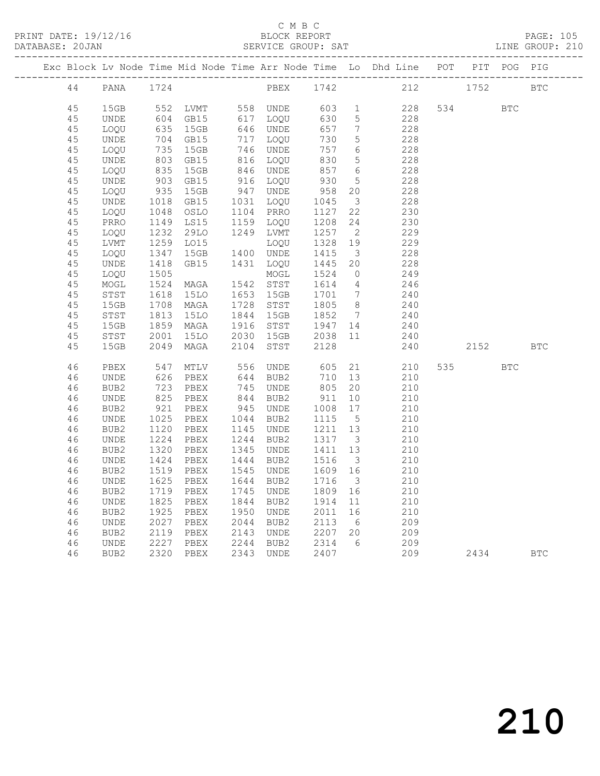#### C M B C<br>BLOCK REPORT

| PRINT DATE: 19/12/16 |          |              |            |                       |      | BLOCK REPORT |            |                         | DATABASE: 20JAN SERVICE GROUP: SAT LINE GROUP: 210                             |       |     | PAGE: 105  |  |
|----------------------|----------|--------------|------------|-----------------------|------|--------------|------------|-------------------------|--------------------------------------------------------------------------------|-------|-----|------------|--|
|                      |          |              |            |                       |      |              |            |                         | Exc Block Lv Node Time Mid Node Time Arr Node Time Lo Dhd Line POT PIT POG PIG |       |     |            |  |
|                      | 44       |              |            |                       |      |              |            |                         | PANA 1724 PBEX 1742 212                                                        | 1752  |     | <b>BTC</b> |  |
|                      | 45<br>45 | 15GB<br>UNDE | 552<br>604 | LVMT 558 UNDE<br>GB15 | 617  | LOOU         | 603<br>630 |                         | $1 \qquad \qquad$<br>228<br>$5 \quad \bullet$<br>228                           | 534 7 | BTC |            |  |
|                      | 45       | LOOU         | 635        | 15GB                  | 646  | UNDE         | 657        | 7                       | 228                                                                            |       |     |            |  |
|                      | 45       | UNDE         | 704        | GB15                  | 717  | LOOU         | 730        | 5                       | 228                                                                            |       |     |            |  |
|                      | 45       | LOQU         | 735        | 15GB                  | 746  | UNDE         | 757        | 6                       | 228                                                                            |       |     |            |  |
|                      | 45       | UNDE         | 803        | GB15                  | 816  | LOQU         | 830        |                         | 5 <sub>5</sub><br>228                                                          |       |     |            |  |
|                      | 45       | LOOU         | 835        | 15GB                  | 846  | UNDE         | 857 6      |                         | 228                                                                            |       |     |            |  |
|                      | 45       | UNDE         | 903        | GB15                  | 916  | LOOU         | 930        | 5                       | 228                                                                            |       |     |            |  |
|                      | 45       | LOQU         | 935        | 15GB                  | 947  | UNDE         | 958        | 20                      | 228                                                                            |       |     |            |  |
|                      | 45       | UNDE         | 1018       | GB15                  | 1031 | LOQU         | 1045       | $\overline{\mathbf{3}}$ | 228                                                                            |       |     |            |  |
|                      | 45       | LOQU         | 1048       | OSLO                  | 1104 | PRRO         | 1127       | 22                      | 230                                                                            |       |     |            |  |
|                      | 45       | PRRO         | 1149       | LS15                  | 1159 | LOQU         | 1208       | 24                      | 230                                                                            |       |     |            |  |
|                      | 45       | LOOU         | 1232       | 29LO                  | 1249 | LVMT         | 1257       | $\overline{2}$          | 229                                                                            |       |     |            |  |
|                      | 45       | LVMT         | 1259       | LO15                  |      | LOQU         | 1328       | 19                      | 229                                                                            |       |     |            |  |
|                      | 45       | LOQU         | 1347       | 15GB 1400             |      | UNDE         | 1415       | $\overline{\mathbf{3}}$ | 228                                                                            |       |     |            |  |
|                      | 45       | UNDE         | 1418       | GB15                  | 1431 | LOQU         | 1445       | 20                      | 228                                                                            |       |     |            |  |
|                      | 45       | LOQU         | 1505       |                       |      | MOGL         | 1524       | $\circ$                 | 249                                                                            |       |     |            |  |
|                      | 45       | MOGL         | 1524       | MAGA                  | 1542 | STST         | 1614       | $4\overline{4}$         | 246                                                                            |       |     |            |  |
|                      | 45       | STST         | 1618       | 15LO                  | 1653 | 15GB         | 1701       |                         | 7<br>240                                                                       |       |     |            |  |
|                      | 45       | 15GB         | 1708       | MAGA                  | 1728 | STST         | 1805       | 8                       | 240                                                                            |       |     |            |  |
|                      | 45       | STST         | 1813       | 15LO                  | 1844 | 15GB         | 1852       | $7\overline{ }$         | 240                                                                            |       |     |            |  |
|                      | 45       | 15GB         | 1859       | MAGA                  | 1916 | STST         | 1947       | 14                      | 240                                                                            |       |     |            |  |
|                      | 45       | STST         |            | 2001 15LO             | 2030 | 15GB         | 2038       | 11                      | 240                                                                            |       |     |            |  |

| 45 | STST             | 1813 | 15LO        | 1844 | 15GB             | 1852 | -7 | 240 |     |      |            |            |
|----|------------------|------|-------------|------|------------------|------|----|-----|-----|------|------------|------------|
| 45 | 15GB             | 1859 | MAGA        | 1916 | STST             | 1947 | 14 | 240 |     |      |            |            |
| 45 | STST             | 2001 | <b>15LO</b> | 2030 | 15GB             | 2038 | 11 | 240 |     |      |            |            |
| 45 | 15GB             | 2049 | MAGA        | 2104 | STST             | 2128 |    | 240 |     | 2152 |            | <b>BTC</b> |
|    |                  |      |             |      |                  |      |    |     |     |      |            |            |
| 46 | PBEX             | 547  | MTLV        | 556  | UNDE             | 605  | 21 | 210 | 535 |      | <b>BTC</b> |            |
| 46 | <b>UNDE</b>      | 626  | PBEX        | 644  | BUB <sub>2</sub> | 710  | 13 | 210 |     |      |            |            |
| 46 | BUB <sub>2</sub> | 723  | PBEX        | 745  | UNDE             | 805  | 20 | 210 |     |      |            |            |
| 46 | <b>UNDE</b>      | 825  | PBEX        | 844  | BUB <sub>2</sub> | 911  | 10 | 210 |     |      |            |            |
| 46 | BUB <sub>2</sub> | 921  | PBEX        | 945  | <b>UNDE</b>      | 1008 | 17 | 210 |     |      |            |            |
| 46 | <b>UNDE</b>      | 1025 | PBEX        | 1044 | BUB <sub>2</sub> | 1115 | 5  | 210 |     |      |            |            |
| 46 | BUB <sub>2</sub> | 1120 | PBEX        | 1145 | <b>UNDE</b>      | 1211 | 13 | 210 |     |      |            |            |
| 46 | <b>UNDE</b>      | 1224 | PBEX        | 1244 | BUB <sub>2</sub> | 1317 | 3  | 210 |     |      |            |            |
| 46 | BUB <sub>2</sub> | 1320 | PBEX        | 1345 | UNDE             | 1411 | 13 | 210 |     |      |            |            |
| 46 | <b>UNDE</b>      | 1424 | PBEX        | 1444 | BUB <sub>2</sub> | 1516 | 3  | 210 |     |      |            |            |
| 46 | BUB <sub>2</sub> | 1519 | PBEX        | 1545 | UNDE             | 1609 | 16 | 210 |     |      |            |            |
| 46 | <b>UNDE</b>      | 1625 | PBEX        | 1644 | BUB <sub>2</sub> | 1716 | 3  | 210 |     |      |            |            |
| 46 | BUB <sub>2</sub> | 1719 | PBEX        | 1745 | UNDE             | 1809 | 16 | 210 |     |      |            |            |
| 46 | <b>UNDE</b>      | 1825 | PBEX        | 1844 | BUB <sub>2</sub> | 1914 | 11 | 210 |     |      |            |            |
| 46 | BUB <sub>2</sub> | 1925 | PBEX        | 1950 | UNDE             | 2011 | 16 | 210 |     |      |            |            |
| 46 | <b>UNDE</b>      | 2027 | PBEX        | 2044 | BUB2             | 2113 | 6  | 209 |     |      |            |            |
| 46 | BUB <sub>2</sub> | 2119 | PBEX        | 2143 | <b>UNDE</b>      | 2207 | 20 | 209 |     |      |            |            |
| 46 | <b>UNDE</b>      | 2227 | PBEX        | 2244 | BUB <sub>2</sub> | 2314 | 6  | 209 |     |      |            |            |
| 46 | BUB <sub>2</sub> | 2320 | PBEX        | 2343 | UNDE             | 2407 |    | 209 |     | 2434 |            | <b>BTC</b> |
|    |                  |      |             |      |                  |      |    |     |     |      |            |            |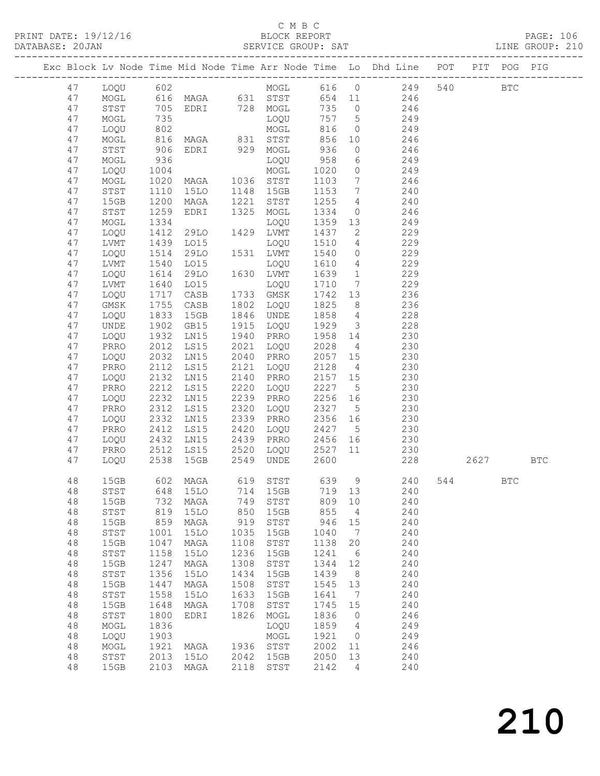$\begin{tabular}{lllll} \multicolumn{2}{c}{\textbf{C} M B C} & \multicolumn{2}{c}{\textbf{C} M B C} \\ \multicolumn{2}{c}{\textbf{P RINT} \textbf{DATE: }} 19/12/16 & \multicolumn{2}{c}{\textbf{D} M B C} \\ \multicolumn{2}{c}{\textbf{D} M T C} & \multicolumn{2}{c}{\textbf{D} M T C} & \multicolumn{2}{c}{\textbf{D} M T C} \\ \multicolumn{2}{c}{\textbf{D} M T C} & \multicolumn{2}{c}{\textbf{D} M T C} & \multicolumn{2}{c}{\textbf{D}$ PRINT DATE: 19/12/16 BLOCK REPORT PAGE: 106

DATABASE: 20JAN SERVICE GROUP: SAT LINE GROUP: 210 -------------------------------------------------------------------------------------------------

|  |          |              |              | Exc Block Lv Node Time Mid Node Time Arr Node Time Lo |              |              |              |                 | Dhd Line   | POT | PIT  | POG          | PIG        |
|--|----------|--------------|--------------|-------------------------------------------------------|--------------|--------------|--------------|-----------------|------------|-----|------|--------------|------------|
|  | 47       | LOQU         | 602          |                                                       |              | MOGL         | 616          | $\overline{0}$  | 249        | 540 |      | <b>BTC</b>   |            |
|  | 47       | MOGL         | 616          | MAGA                                                  | 631          | STST         | 654          | 11              | 246        |     |      |              |            |
|  | 47       | STST         | 705          | EDRI                                                  | 728          | ${\tt MOGL}$ | 735          | 0               | 246        |     |      |              |            |
|  | 47       | MOGL         | 735          |                                                       |              | LOQU         | 757          | 5               | 249        |     |      |              |            |
|  | 47       | LOQU         | 802          |                                                       |              | MOGL         | 816          | $\circ$         | 249        |     |      |              |            |
|  | 47       | MOGL         | 816          | MAGA                                                  | 831          | STST         | 856          | 10              | 246        |     |      |              |            |
|  | 47       | STST         | 906          | EDRI                                                  | 929          | MOGL         | 936          | $\circ$         | 246        |     |      |              |            |
|  | 47       | MOGL         | 936          |                                                       |              | LOQU         | 958          | 6               | 249        |     |      |              |            |
|  | 47       | LOQU         | 1004         |                                                       |              | $\sf{MOGL}$  | 1020         | $\circ$         | 249        |     |      |              |            |
|  | 47       | MOGL         | 1020         | MAGA                                                  | 1036         | STST         | 1103         | 7               | 246        |     |      |              |            |
|  | 47       | ${\tt STST}$ | 1110         | <b>15LO</b>                                           | 1148         | 15GB         | 1153         | 7               | 240        |     |      |              |            |
|  | 47       | 15GB         | 1200         | MAGA                                                  | 1221         | STST         | 1255         | 4               | 240        |     |      |              |            |
|  | 47       | ${\tt STST}$ | 1259         | EDRI                                                  | 1325         | MOGL         | 1334         | $\circ$         | 246        |     |      |              |            |
|  | 47       | MOGL         | 1334         |                                                       |              | LOQU         | 1359         | 13              | 249        |     |      |              |            |
|  | 47       | LOQU         | 1412         | 29LO                                                  | 1429         | <b>LVMT</b>  | 1437         | $\mathbf{2}$    | 229        |     |      |              |            |
|  | 47       | LVMT         | 1439         | LO15                                                  |              | LOQU         | 1510         | $\overline{4}$  | 229        |     |      |              |            |
|  | 47       | LOQU         | 1514         | 29LO                                                  | 1531         | LVMT         | 1540         | $\circledcirc$  | 229        |     |      |              |            |
|  | 47       | ${\rm LVMT}$ | 1540         | LO15                                                  |              | LOQU         | 1610         | $\overline{4}$  | 229        |     |      |              |            |
|  | 47       | LOQU         | 1614         | 29LO                                                  | 1630         | ${\rm LVMT}$ | 1639         | $\mathbf{1}$    | 229        |     |      |              |            |
|  | 47       | ${\rm LVMT}$ | 1640         | LO15                                                  |              | LOQU         | 1710         | $7\phantom{.0}$ | 229        |     |      |              |            |
|  | 47       | LOQU         | 1717         | CASB                                                  | 1733         | GMSK         | 1742         | 13              | 236        |     |      |              |            |
|  | 47       | GMSK         | 1755         | $\mathtt{CASE}$                                       | 1802         | LOQU         | 1825         | 8               | 236        |     |      |              |            |
|  | 47       | LOQU         | 1833         | 15GB                                                  | 1846         | UNDE         | 1858         | $\overline{4}$  | 228        |     |      |              |            |
|  | 47       | UNDE         | 1902         | GB15                                                  | 1915         | LOQU         | 1929         | 3               | 228        |     |      |              |            |
|  | 47       | LOQU         | 1932         | LN15                                                  | 1940         | PRRO         | 1958         | 14              | 230        |     |      |              |            |
|  | 47       | PRRO         | 2012         | LS15                                                  | 2021         | LOQU         | 2028         | $\overline{4}$  | 230        |     |      |              |            |
|  | 47       | LOQU         | 2032         | LN15                                                  | 2040         | PRRO         | 2057         | 15              | 230        |     |      |              |            |
|  | 47       | PRRO         | 2112<br>2132 | LS15<br>LN15                                          | 2121<br>2140 | LOQU<br>PRRO | 2128<br>2157 | $\overline{4}$  | 230<br>230 |     |      |              |            |
|  | 47<br>47 | LOQU<br>PRRO | 2212         | LS15                                                  | 2220         | LOQU         | 2227         | 15<br>5         | 230        |     |      |              |            |
|  | 47       | LOQU         | 2232         | LN15                                                  | 2239         | PRRO         | 2256         | 16              | 230        |     |      |              |            |
|  | 47       | PRRO         | 2312         | LS15                                                  | 2320         | LOQU         | 2327         | 5               | 230        |     |      |              |            |
|  | 47       | LOQU         | 2332         | LN15                                                  | 2339         | PRRO         | 2356         | 16              | 230        |     |      |              |            |
|  | 47       | PRRO         | 2412         | LS15                                                  | 2420         | LOQU         | 2427         | $5\phantom{.0}$ | 230        |     |      |              |            |
|  | 47       | LOQU         | 2432         | LN15                                                  | 2439         | PRRO         | 2456         | 16              | 230        |     |      |              |            |
|  | 47       | PRRO         | 2512         | LS15                                                  | 2520         | LOQU         | 2527         | 11              | 230        |     |      |              |            |
|  | 47       | LOQU         | 2538         | 15GB                                                  | 2549         | UNDE         | 2600         |                 | 228        |     | 2627 |              | <b>BTC</b> |
|  |          |              |              |                                                       |              |              |              |                 |            |     |      |              |            |
|  | 48       | 15GB         | 602          | MAGA                                                  | 619          | STST         | 639          | 9               | 240        | 544 |      | $_{\rm BTC}$ |            |
|  | 48       | STST         | 648          | <b>15LO</b>                                           | 714          | 15GB         | 719 13       |                 | 240        |     |      |              |            |
|  | 48       | 15GB         | 732          | MAGA                                                  | 749          | STST         | 809 10       |                 | 240        |     |      |              |            |
|  | 48       | STST         | 819          | 15LO                                                  | 850          | 15GB         | 855          | 4               | 240        |     |      |              |            |
|  | 48       | 15GB         | 859          | MAGA                                                  | 919          | STST         | 946          | 15              | 240        |     |      |              |            |
|  | 48       | STST         | 1001         | 15LO                                                  | 1035         | 15GB         | 1040         | 7               | 240        |     |      |              |            |
|  | 48       | 15GB         | 1047         | MAGA                                                  | 1108         | STST         | 1138         | 20              | 240        |     |      |              |            |
|  | 48       | STST         | 1158         | <b>15LO</b>                                           | 1236         | 15GB         | 1241         | 6               | 240        |     |      |              |            |
|  | 48       | 15GB         | 1247         | MAGA                                                  | 1308         | STST         | 1344         | 12              | 240        |     |      |              |            |
|  | 48       | STST         | 1356         | <b>15LO</b>                                           | 1434         | 15GB         | 1439         | 8               | 240        |     |      |              |            |
|  | 48       | 15GB         | 1447         | MAGA                                                  | 1508         | STST         | 1545         | 13              | 240        |     |      |              |            |
|  | 48       | STST         | 1558         | 15LO                                                  | 1633         | 15GB         | 1641         | 7               | 240        |     |      |              |            |
|  | 48       | 15GB         | 1648         | MAGA                                                  | 1708         | STST         | 1745         | 15              | 240        |     |      |              |            |
|  | 48       | STST         | 1800         | EDRI                                                  | 1826         | MOGL         | 1836         | 0               | 246        |     |      |              |            |
|  | 48       | MOGL         | 1836         |                                                       |              | LOQU         | 1859         | 4               | 249        |     |      |              |            |
|  | 48       | LOQU         | 1903         |                                                       |              | MOGL         | 1921         | $\circ$         | 249        |     |      |              |            |
|  | 48       | MOGL         | 1921         | MAGA                                                  | 1936         | STST         | 2002         | 11              | 246        |     |      |              |            |
|  | 48       | ${\tt STST}$ | 2013         | <b>15LO</b>                                           | 2042         | 15GB         | 2050         | 13              | 240        |     |      |              |            |
|  | 48       | 15GB         | 2103         | MAGA                                                  | 2118         | STST         | 2142         | 4               | 240        |     |      |              |            |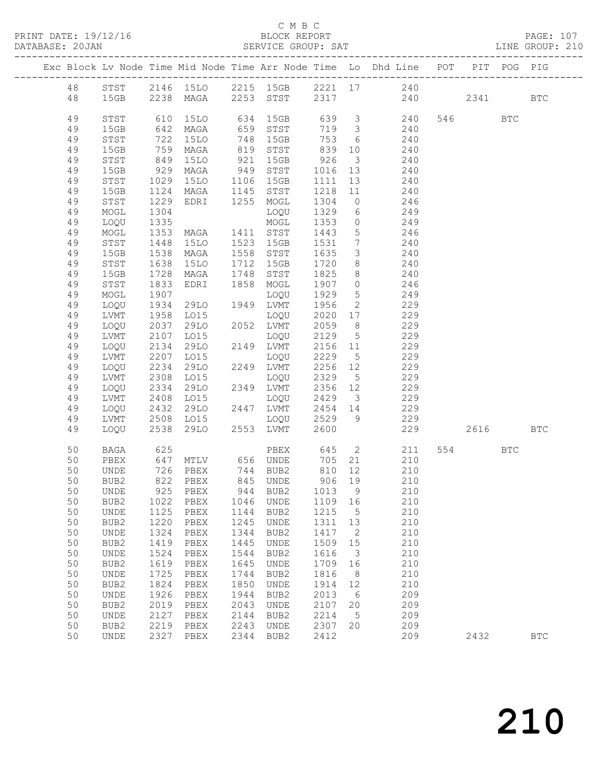PRINT DATE: 19/12/16 BLOCK REPORT<br>DATABASE: 20JAN BERVICE GROUP: SAT

#### C M B C<br>BLOCK REPORT

PAGE: 107<br>LINE GROUP: 210

|    |                            |                   |                                                       |      |                  |                   |                         | Exc Block Lv Node Time Mid Node Time Arr Node Time Lo Dhd Line POT PIT POG PIG |         |     |              |
|----|----------------------------|-------------------|-------------------------------------------------------|------|------------------|-------------------|-------------------------|--------------------------------------------------------------------------------|---------|-----|--------------|
|    |                            |                   |                                                       |      |                  |                   |                         | 48 STST 2146 15LO 2215 15GB 2221 17 240                                        |         |     |              |
| 48 |                            |                   |                                                       |      |                  |                   |                         | 15GB 2238 MAGA 2253 STST 2317 240 2341                                         |         |     | $_{\rm BTC}$ |
| 49 | STST                       |                   |                                                       |      |                  |                   |                         | 610 15LO 634 15GB 639 3 240                                                    | 546 BTC |     |              |
| 49 | 15GB                       |                   | 642 MAGA                                              | 659  | STST             |                   |                         | 719 3 240                                                                      |         |     |              |
| 49 | STST                       |                   | 15LO                                                  | 748  | 15GB             | 753               |                         | 6 240                                                                          |         |     |              |
| 49 | 15GB                       | 722<br>759<br>849 | MAGA                                                  | 819  | STST             | 839<br>839<br>926 |                         | 10<br>240                                                                      |         |     |              |
| 49 | $_{\footnotesize\rm STST}$ |                   | 15LO                                                  | 921  | 15GB             |                   | $\overline{\mathbf{3}}$ | 240                                                                            |         |     |              |
| 49 | 15GB                       |                   | 929 MAGA                                              |      | 949 STST         | 1016 13           |                         | 240                                                                            |         |     |              |
| 49 | STST                       | 1029              | 15LO                                                  |      | 1106 15GB        | 1111              | 13                      | 240                                                                            |         |     |              |
| 49 | 15GB                       |                   | 1124 MAGA 1145 STST<br>1229 EDRI 1255 MOGL            |      |                  | 1218<br>1304      | 11                      | 240                                                                            |         |     |              |
| 49 | STST                       |                   |                                                       |      |                  |                   | $\overline{0}$          | 246                                                                            |         |     |              |
| 49 | MOGL                       | 1304              |                                                       |      | LOQU             | 1329              |                         | 6 249                                                                          |         |     |              |
| 49 | LOQU                       | 1335              |                                                       |      | MOGL             | 1353              |                         | $0$ 249                                                                        |         |     |              |
| 49 | MOGL                       |                   | 1353 MAGA<br>1448 15LO<br>1538 MAGA<br>MAGA 1411 STST |      |                  | 1443<br>1531      |                         | $\frac{5}{246}$                                                                |         |     |              |
| 49 | STST                       |                   |                                                       |      | 1523 15GB        |                   | $7\overline{ }$         | 240                                                                            |         |     |              |
| 49 | 15GB                       |                   |                                                       |      | 1558 STST        | 1635              | $\mathcal{S}$           | 240                                                                            |         |     |              |
| 49 | STST                       | 1638              | 15LO                                                  |      | 1712 15GB        | 1720              | 8                       | 240                                                                            |         |     |              |
| 49 | 15GB                       | 1728              | MAGA                                                  |      | 1748 STST        | 1825              |                         | 8 240                                                                          |         |     |              |
| 49 | STST                       | 1833              | EDRI 1858 MOGL                                        |      |                  | 1907              | $\overline{0}$          | 246                                                                            |         |     |              |
| 49 | MOGL                       | 1907              |                                                       |      | LOQU             | 1929              | $5\overline{)}$         | 249                                                                            |         |     |              |
| 49 | LOQU                       | 1934              | 29LO 1949 LVMT                                        |      |                  | 1956              | $\overline{2}$          | 229                                                                            |         |     |              |
| 49 | LVMT                       | 1958              | LO15                                                  |      | LOQU             | 2020              |                         | 17 229                                                                         |         |     |              |
| 49 | LOQU                       |                   | 2037 29LO<br>2107 LO15<br>29LO                        |      | 2052 LVMT        | 2059              | 8 <sup>8</sup>          | 229                                                                            |         |     |              |
| 49 | LVMT                       |                   |                                                       |      | LOQU             | 2129              | $5\overline{)}$         | 229                                                                            |         |     |              |
| 49 | LOQU                       | 2134              | 29LO                                                  |      | 2149 LVMT        | 2156 11           |                         | 229                                                                            |         |     |              |
| 49 | LVMT                       | 2207              | L015                                                  |      | LOQU             | 2229              | $5\overline{)}$         | 229                                                                            |         |     |              |
| 49 | LOQU                       |                   |                                                       |      | 2249 LVMT        | 2256<br>2329      | 12                      | 229                                                                            |         |     |              |
| 49 | LVMT                       |                   | $2234$ $2308$ $1015$                                  |      | LOQU             |                   | $5\overline{)}$         | 229                                                                            |         |     |              |
| 49 | LOQU                       | 2334              | 29LO                                                  |      | 2349 LVMT        | 2356 12           |                         | 229                                                                            |         |     |              |
| 49 | LVMT                       | 2408              | LO15                                                  |      | LOQU             | 2429              | $\overline{\mathbf{3}}$ | 229                                                                            |         |     |              |
| 49 | LOQU                       |                   |                                                       |      | 2447 LVMT        | 2454 14<br>2529 9 |                         | 229<br>229                                                                     |         |     |              |
| 49 | LVMT                       |                   | $2432$ $2508$ $1015$                                  | 24.2 | LOQU             |                   |                         |                                                                                |         |     |              |
| 49 | LOQU                       |                   | 2538 29LO                                             |      | 2553 LVMT        | 2600              |                         | 229                                                                            | 2616    |     | <b>BTC</b>   |
| 50 | BAGA                       |                   |                                                       |      |                  |                   |                         | PBEX 645 2 211<br>UNDE 705 21 210                                              | 554 35  | BTC |              |
| 50 | PBEX                       |                   |                                                       |      |                  | 705 21            |                         | 210                                                                            |         |     |              |
| 50 | UNDE                       |                   | 726 PBEX                                              |      | 744 BUB2         | 810 12            |                         | 210                                                                            |         |     |              |
| 50 | BUB2                       |                   | 822 PBEX                                              |      | 845 UNDE         | 906 19            |                         | 210                                                                            |         |     |              |
| 50 | <b>UNDE</b>                |                   | 925 PBEX                                              |      | 944 BUB2 1013 9  |                   |                         | 210                                                                            |         |     |              |
| 50 | BUB2                       | 1022              | PBEX                                                  | 1046 | UNDE             | 1109              | 16                      | 210                                                                            |         |     |              |
| 50 | UNDE                       | 1125              | PBEX                                                  | 1144 | BUB2             | 1215              | 5                       | 210                                                                            |         |     |              |
| 50 | BUB2                       | 1220              | PBEX                                                  | 1245 | UNDE             | 1311              | 13                      | 210                                                                            |         |     |              |
| 50 | UNDE                       | 1324              | PBEX                                                  | 1344 | BUB2             | 1417              | 2                       | 210                                                                            |         |     |              |
| 50 | BUB2                       | 1419              | PBEX                                                  | 1445 | UNDE             | 1509              | 15                      | 210                                                                            |         |     |              |
| 50 | UNDE                       | 1524              | PBEX                                                  | 1544 | BUB2             | 1616              | $\mathsf 3$             | 210                                                                            |         |     |              |
| 50 | BUB2                       | 1619              | PBEX                                                  | 1645 | <b>UNDE</b>      | 1709              | 16                      | 210                                                                            |         |     |              |
| 50 | UNDE                       | 1725              | PBEX                                                  | 1744 | BUB2             | 1816              | 8                       | 210                                                                            |         |     |              |
| 50 | BUB2                       | 1824              | PBEX                                                  | 1850 | UNDE             | 1914              | 12                      | 210                                                                            |         |     |              |
| 50 | UNDE                       | 1926              | PBEX                                                  | 1944 | BUB2             | 2013              | 6                       | 209                                                                            |         |     |              |
| 50 | BUB2                       | 2019              | PBEX                                                  | 2043 | UNDE             | 2107              | 20                      | 209                                                                            |         |     |              |
| 50 | <b>UNDE</b>                | 2127              | PBEX                                                  | 2144 | BUB <sub>2</sub> | 2214              | 5                       | 209                                                                            |         |     |              |
| 50 | BUB2                       | 2219              | PBEX                                                  | 2243 | UNDE             | 2307              | 20                      | 209                                                                            |         |     |              |
| 50 | UNDE                       | 2327              | PBEX                                                  | 2344 | BUB2             | 2412              |                         | 209                                                                            | 2432    |     | <b>BTC</b>   |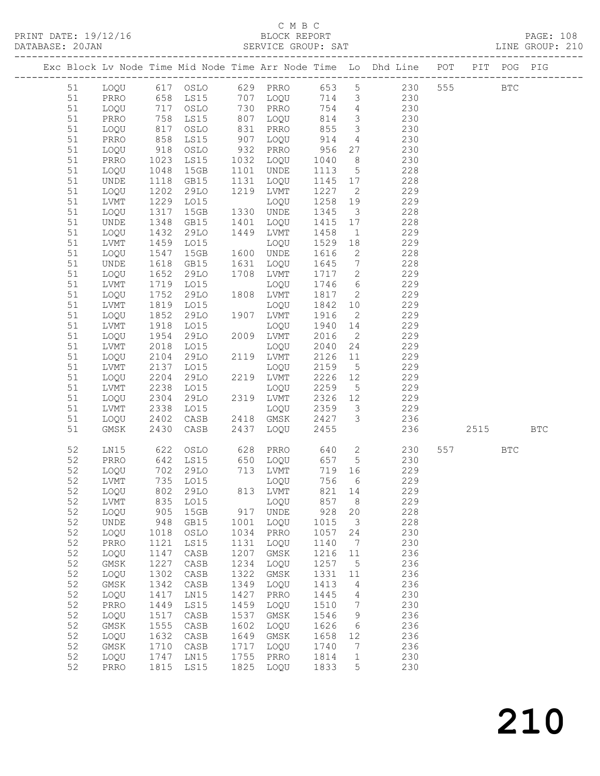#### C M B C<br>BLOCK REPORT

|  |          |                              |              |                                                                         |              |                   |              |                         | Exc Block Lv Node Time Mid Node Time Arr Node Time Lo Dhd Line POT PIT POG PIG |     |          |            |  |
|--|----------|------------------------------|--------------|-------------------------------------------------------------------------|--------------|-------------------|--------------|-------------------------|--------------------------------------------------------------------------------|-----|----------|------------|--|
|  |          |                              |              |                                                                         |              |                   |              |                         | 51 LOQU 617 OSLO 629 PRRO 653 5 230 555 BTC                                    |     |          |            |  |
|  | 51       |                              |              |                                                                         |              |                   |              |                         | PRRO 658 LS15 707 LOQU 714 3 230                                               |     |          |            |  |
|  | 51       | LOQU                         |              |                                                                         |              |                   |              |                         | 754 4 230                                                                      |     |          |            |  |
|  | 51       | PRRO                         |              |                                                                         |              |                   | 814          |                         | $\begin{array}{ccc} 3 & 230 \\ 3 & 230 \end{array}$                            |     |          |            |  |
|  | 51       | LOQU                         |              | 717 0SLO 730 PRRO 754<br>758 LS15 807 LOQU 814<br>817 0SLO 831 PRRO 855 |              |                   |              |                         |                                                                                |     |          |            |  |
|  | 51       | PRRO                         |              | 858 LS15                                                                |              | 907 LOQU          | 914          |                         | $4\overline{ }$<br>230                                                         |     |          |            |  |
|  | 51       | LOQU                         |              | 918 OSLO                                                                |              | 932 PRRO          | 956          |                         | 27 and $\sim$<br>230                                                           |     |          |            |  |
|  | 51       | PRRO                         |              | 1023 LS15<br>1048 15GB                                                  |              | 1032 LOQU         | 1040<br>1113 | 8 <sup>8</sup>          | 230                                                                            |     |          |            |  |
|  | 51       | LOQU                         | 1048         | 15GB                                                                    |              | 1101 UNDE         |              | 5 <sup>5</sup>          | 228                                                                            |     |          |            |  |
|  | 51       | UNDE                         |              | 1118 GB15                                                               |              | 1131 LOQU         | 1145         | 17                      | 228                                                                            |     |          |            |  |
|  | 51       | LOQU                         | 1202         | 29LO                                                                    |              | 1219 LVMT         | 1227         | $\overline{2}$          | 229                                                                            |     |          |            |  |
|  | 51       | LVMT                         |              | 1229 LO15                                                               |              | LOQU              | 1258         | 19                      | 229                                                                            |     |          |            |  |
|  | 51       | LOQU                         | 1317         | 15GB                                                                    |              | 1330 UNDE         | 1345         | $\overline{\mathbf{3}}$ | 228                                                                            |     |          |            |  |
|  | 51       | UNDE                         |              | 1348 GB15                                                               |              | 1401 LOQU         | 1415         | 17                      | 228                                                                            |     |          |            |  |
|  | 51       | LOQU                         | 1432         | 29LO                                                                    |              | 1449 LVMT         | 1458         | $\overline{1}$          | 229                                                                            |     |          |            |  |
|  | 51       | LVMT                         |              | 1459 LO15                                                               |              | LOQU              | 1529         | 18                      | 229                                                                            |     |          |            |  |
|  | 51       | LOQU                         | 1547         | 15GB                                                                    |              | 1600 UNDE         | 1616         | $\overline{2}$          | 228                                                                            |     |          |            |  |
|  | 51       | UNDE                         |              | 1618 GB15                                                               |              | 1631 LOQU         | 1645         | $7\overline{)}$         | 228                                                                            |     |          |            |  |
|  | 51       | LOQU                         | 1652         | 29LO                                                                    |              | 1708 LVMT         | 1717         | $\overline{2}$          | 229                                                                            |     |          |            |  |
|  | 51       | LVMT                         |              | 1719 LO15                                                               |              | LOQU              | 1746         | $6\overline{6}$         | 229                                                                            |     |          |            |  |
|  | 51       | LOQU                         | 1752         | 29LO                                                                    |              | 1808 LVMT         | 1817         | $\overline{2}$          | 229                                                                            |     |          |            |  |
|  | 51       | LVMT                         |              | 1819 LO15                                                               |              | LOQU              | 1842<br>1916 | 10                      | 229                                                                            |     |          |            |  |
|  | 51       | LOQU<br>LVMT                 | 1852<br>1918 | 29LO<br>L015                                                            |              | 1907 LVMT         | 1940         | $\overline{2}$<br>14    | 229<br>229                                                                     |     |          |            |  |
|  | 51<br>51 | LOQU                         | 1954         | 29LO                                                                    |              | LOQU<br>2009 LVMT | 2016         | $\overline{2}$          | 229                                                                            |     |          |            |  |
|  | 51       | LVMT                         |              | 2018 LO15                                                               | 2009         | LOQU              | 2040         | 24                      | 229                                                                            |     |          |            |  |
|  | 51       | LOQU                         | 2104         | 29LO                                                                    |              | 2119 LVMT         | 2126         | 11                      | 229                                                                            |     |          |            |  |
|  | 51       | LVMT                         | 2137         | LO15                                                                    |              | LOQU              | 2159         | $5\overline{)}$         | 229                                                                            |     |          |            |  |
|  | 51       | LOQU                         | 2204         | 29LO                                                                    |              | 2219 LVMT         |              | 12                      | 229                                                                            |     |          |            |  |
|  | 51       | LVMT                         |              | 2238 LO15                                                               | 221          | LOQU              | 2226<br>2259 | $5\overline{)}$         | 229                                                                            |     |          |            |  |
|  | 51       | LOQU                         | 2304         | 29LO                                                                    |              | 2319 LVMT         | 2326         | 12                      | 229                                                                            |     |          |            |  |
|  | 51       | LVMT                         | 2338         | LO15                                                                    |              | LOQU              | 2359         | $\overline{\mathbf{3}}$ | 229                                                                            |     |          |            |  |
|  | 51       | LOQU                         |              | 2402 CASB                                                               |              | 2418 GMSK         |              | 3 <sup>1</sup>          | 236                                                                            |     |          |            |  |
|  | 51       | GMSK                         |              | 2430 CASB                                                               |              | 2437 LOQU         | 2427<br>2455 |                         |                                                                                | 236 | 2515 BTC |            |  |
|  | 52       | LN15                         |              | 622 OSLO                                                                |              | 628 PRRO          |              |                         | 640 2 230                                                                      |     | 557 35   | <b>BTC</b> |  |
|  | 52       | PRRO                         |              | 642 LS15                                                                |              | 650 LOQU          | 657 5        |                         | 230                                                                            |     |          |            |  |
|  |          |                              |              |                                                                         |              |                   |              |                         | 52 LOQU 702 29LO 713 LVMT 719 16 229                                           |     |          |            |  |
|  | 52       | LVMT                         | 735          | LO15                                                                    |              | LOQU              | 756          | 6                       | 229                                                                            |     |          |            |  |
|  | 52       | LOQU                         | 802          | 29LO                                                                    | 813          | LVMT              | 821          | 14                      | 229                                                                            |     |          |            |  |
|  | 52       | LVMT                         | 835          | LO15                                                                    |              | LOQU              | 857          | $\,8\,$                 | 229                                                                            |     |          |            |  |
|  | 52       | LOQU                         | 905          | 15GB                                                                    | 917          | <b>UNDE</b>       | 928          | 20                      | 228                                                                            |     |          |            |  |
|  | 52       | $\ensuremath{\mathsf{UNDE}}$ | 948          | GB15                                                                    | 1001         | LOQU              | 1015         | $\mathcal{S}$           | 228                                                                            |     |          |            |  |
|  | 52       | LOQU                         | 1018         | OSLO                                                                    | 1034         | PRRO              | 1057         | 24                      | 230                                                                            |     |          |            |  |
|  | 52       | PRRO                         | 1121         | LS15                                                                    | 1131         | LOQU              | 1140         | 7                       | 230                                                                            |     |          |            |  |
|  | 52       | LOQU                         | 1147         | CASB                                                                    | 1207         | GMSK              | 1216         | 11                      | 236                                                                            |     |          |            |  |
|  | 52       | GMSK                         | 1227         | $\mathtt{CASB}$                                                         | 1234         | LOQU              | 1257         | $\mathsf S$             | 236                                                                            |     |          |            |  |
|  | 52       | LOQU                         | 1302         | CASB                                                                    | 1322         | GMSK              | 1331         | 11                      | 236                                                                            |     |          |            |  |
|  | 52       | $\rm{GMSK}$                  | 1342         | CASB                                                                    | 1349         | LOQU              | 1413         | 4                       | 236                                                                            |     |          |            |  |
|  | 52       | LOQU                         | 1417         | LN15                                                                    | 1427         | PRRO              | 1445         | $\overline{4}$          | 230                                                                            |     |          |            |  |
|  | 52       | $\mathtt{PRRO}$              | 1449         | LS15                                                                    | 1459         | LOQU              | 1510         | $7\phantom{.0}$         | 230                                                                            |     |          |            |  |
|  | 52<br>52 | LOQU<br>GMSK                 | 1517<br>1555 | CASB<br>CASB                                                            | 1537<br>1602 | GMSK<br>LOQU      | 1546<br>1626 | 9<br>6                  | 236<br>236                                                                     |     |          |            |  |
|  | 52       | LOQU                         | 1632         | CASB                                                                    | 1649         | GMSK              | 1658         | 12                      | 236                                                                            |     |          |            |  |
|  | 52       | GMSK                         | 1710         | CASB                                                                    | 1717         | LOQU              | 1740         | $7\phantom{.0}$         | 236                                                                            |     |          |            |  |
|  | 52       | LOQU                         | 1747         | LN15                                                                    | 1755         | PRRO              | 1814         | $\mathbf{1}$            | 230                                                                            |     |          |            |  |
|  | 52       | PRRO                         | 1815         | LS15                                                                    | 1825         | LOQU              | 1833         | 5                       | 230                                                                            |     |          |            |  |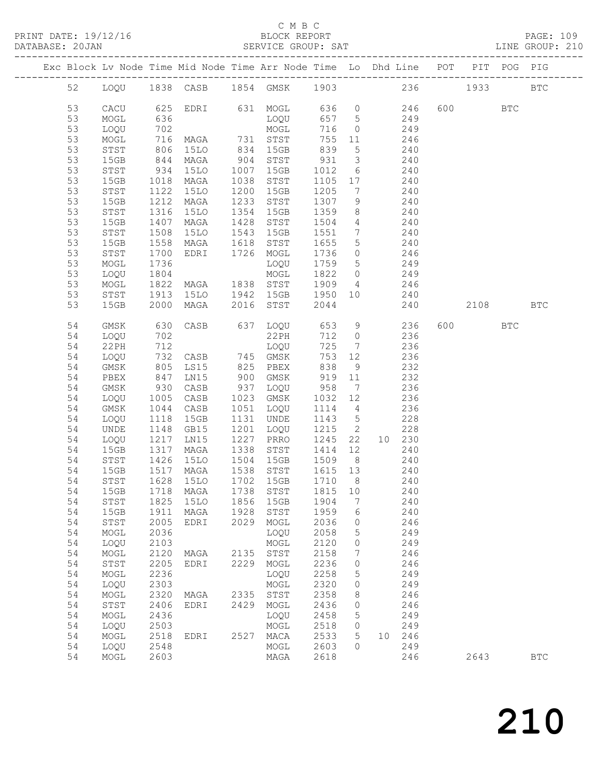### C M B C<br>BLOCK REPORT

SERVICE GROUP: SAT

| Exc Block Lv Node Time Mid Node Time Arr Node Time Lo Dhd Line POT PIT POG PIG |              |                          |                                     |      |           |         |                              |                |        |         |              |              |
|--------------------------------------------------------------------------------|--------------|--------------------------|-------------------------------------|------|-----------|---------|------------------------------|----------------|--------|---------|--------------|--------------|
| 52                                                                             |              |                          | LOQU 1838 CASB 1854 GMSK 1903 236   |      |           |         |                              |                |        | 1933    |              | $_{\rm BTC}$ |
| 53                                                                             | CACU         |                          | 625 EDRI 631 MOGL 636 0             |      |           |         |                              |                | 246    | 600 000 | <b>BTC</b>   |              |
| 53                                                                             | MOGL         | 636                      |                                     |      | LOQU      | 657 5   |                              | 249            |        |         |              |              |
| 53                                                                             | LOQU         | 702<br>702<br>716<br>806 |                                     |      | MOGL      | 716     | $\overline{0}$               |                | 249    |         |              |              |
| 53                                                                             | MOGL         |                          | MAGA 731 STST<br>15LO 834 15GB      |      |           | 755     | 11                           |                | 246    |         |              |              |
| 53                                                                             | STST         |                          |                                     |      |           | 839     | $5\overline{)}$              |                | 240    |         |              |              |
| 53                                                                             | 15GB         | 844                      | MAGA                                | 904  | STST      | 931     | $\overline{\mathbf{3}}$      | 240            |        |         |              |              |
| 53                                                                             | STST         | 934                      | 15LO                                | 1007 | 15GB      | 1012    | 6                            | 240            |        |         |              |              |
| 53                                                                             | 15GB         | 1018                     | MAGA                                | 1038 | STST      | 1105    | 17                           |                | 240    |         |              |              |
| 53                                                                             | ${\tt STST}$ | 1122                     | 15LO                                | 1200 | 15GB      | 1205    | $7\phantom{.0}\phantom{.0}7$ |                | 240    |         |              |              |
| 53                                                                             | 15GB         | 1212                     | MAGA                                | 1233 | STST      | 1307    | 9                            |                | 240    |         |              |              |
| 53                                                                             | STST         | 1316                     | 15LO                                | 1354 | 15GB      | 1359    | 8                            |                | 240    |         |              |              |
| 53                                                                             | 15GB         | 1407                     | MAGA                                | 1428 | STST      | 1504    | $\overline{4}$               |                | 240    |         |              |              |
| 53                                                                             | STST         | 1508                     | 15LO                                | 1543 | 15GB      | 1551    | $7\overline{ }$              |                | 240    |         |              |              |
| 53                                                                             | 15GB         | 1558                     | MAGA                                | 1618 | STST      | 1655    | $5^{\circ}$                  | 240            |        |         |              |              |
| 53                                                                             | STST         | 1700                     | EDRI                                |      | 1726 MOGL | 1736    | $\circ$                      |                | 246    |         |              |              |
| 53                                                                             | MOGL         | 1736                     |                                     |      | LOQU      | 1759    | 5 <sup>5</sup>               |                | 249    |         |              |              |
| 53                                                                             | LOQU         | 1804                     |                                     |      | MOGL      | 1822    | $\overline{0}$               |                | 249    |         |              |              |
| 53                                                                             | MOGL         | 1822                     | MAGA 1838 STST                      |      |           | 1909    | $\overline{4}$               | 246            |        |         |              |              |
| 53                                                                             | STST         | 1913                     | 15LO                                | 1942 | 15GB      | 1950    | 10                           | 240            |        |         |              |              |
| 53                                                                             | 15GB         | 2000                     | MAGA                                |      | 2016 STST | 2044    |                              |                | 240    | 2108    |              | $_{\rm BTC}$ |
|                                                                                |              |                          |                                     |      |           |         |                              |                |        |         |              |              |
| 54                                                                             | GMSK         | 630                      | CASB                                |      | 637 LOQU  | 653     |                              | 9              | 236    | 600 000 | $_{\rm BTC}$ |              |
| 54                                                                             | LOQU         | 702                      |                                     |      | 22PH      | 712     | $\overline{0}$               |                | 236    |         |              |              |
| 54                                                                             | 22PH         | 712                      |                                     |      | LOQU      | 725     | $\overline{7}$               |                | 236    |         |              |              |
| 54                                                                             | LOQU         | 732<br>805               |                                     |      |           | 753     | 12                           |                | 236    |         |              |              |
| 54                                                                             | GMSK         |                          | LS15                                |      | 825 PBEX  | 838     | 9                            |                | 232    |         |              |              |
| 54                                                                             | PBEX         | 847                      | LN15                                | 900  | GMSK      | 919     | 11                           |                | 232    |         |              |              |
| 54                                                                             | GMSK         | 930                      | CASB                                | 937  | LOQU      | 958     | $\overline{7}$               |                | 236    |         |              |              |
| 54                                                                             | LOQU         | 1005                     | CASB                                | 1023 | GMSK      | 1032    | 12                           |                | 236    |         |              |              |
| 54                                                                             | GMSK         | 1044                     | CASB                                | 1051 | LOQU      | 1114    | $4\overline{4}$              |                | 236    |         |              |              |
| 54                                                                             | LOQU         | 1118                     | 15GB                                | 1131 | UNDE      | 1143    | $5\overline{)}$              | 228            |        |         |              |              |
| 54                                                                             | UNDE         | 1148                     | GB15                                | 1201 | LOQU      | 1215    |                              | $\overline{2}$ | 228    |         |              |              |
| 54                                                                             | LOQU         | 1217                     | LN15                                | 1227 | PRRO      | 1245    | 22                           |                | 10 230 |         |              |              |
| 54                                                                             | 15GB         | 1317                     | MAGA                                | 1338 | STST      | 1414    | 12                           |                | 240    |         |              |              |
| 54                                                                             | STST         | 1426                     | 15LO                                |      | 1504 15GB | 1509    | 8 <sup>8</sup>               |                | 240    |         |              |              |
| 54                                                                             | 15GB         | 1517                     | MAGA                                | 1538 | STST      | 1615 13 |                              |                | 240    |         |              |              |
| 54                                                                             | STST         | 1628                     | 15LO                                |      | 1702 15GB | 1710    | 8 <sup>8</sup>               |                | 240    |         |              |              |
|                                                                                |              |                          | 54 15GB 1718 MAGA 1738 STST 1815 10 |      |           |         |                              |                | 240    |         |              |              |
| 54                                                                             | STST         | 1825                     | 15LO                                | 1856 | 15GB      | 1904    | 7                            |                | 240    |         |              |              |
| 54                                                                             | 15GB         | 1911                     | MAGA                                | 1928 | STST      | 1959    | 6                            |                | 240    |         |              |              |
| 54                                                                             | STST         | 2005                     | EDRI                                | 2029 | MOGL      | 2036    | 0                            |                | 246    |         |              |              |
| 54                                                                             | MOGL         | 2036                     |                                     |      | LOQU      | 2058    | 5                            |                | 249    |         |              |              |
| 54                                                                             | LOQU         | 2103                     |                                     |      | MOGL      | 2120    | 0                            |                | 249    |         |              |              |
| 54                                                                             | MOGL         | 2120                     | MAGA                                | 2135 | STST      | 2158    | 7                            |                | 246    |         |              |              |
| 54                                                                             | ${\tt STST}$ | 2205                     | EDRI                                | 2229 | MOGL      | 2236    | 0                            |                | 246    |         |              |              |
| 54                                                                             | MOGL         | 2236                     |                                     |      | LOQU      | 2258    | 5                            |                | 249    |         |              |              |
| 54                                                                             | LOQU         | 2303                     |                                     |      | MOGL      | 2320    | 0                            |                | 249    |         |              |              |
| 54                                                                             | MOGL         | 2320                     | MAGA                                | 2335 | STST      | 2358    | 8                            |                | 246    |         |              |              |
| 54                                                                             | STST         | 2406                     | EDRI                                | 2429 | MOGL      | 2436    | 0                            |                | 246    |         |              |              |
| 54                                                                             | MOGL         | 2436                     |                                     |      | LOQU      | 2458    | 5                            |                | 249    |         |              |              |
| 54                                                                             | LOQU         | 2503                     |                                     |      | MOGL      | 2518    | 0                            |                | 249    |         |              |              |
| 54                                                                             | MOGL         | 2518                     | EDRI                                | 2527 | MACA      | 2533    | 5                            |                | 10 246 |         |              |              |
| 54                                                                             | LOQU         | 2548                     |                                     |      | MOGL      | 2603    | $\Omega$                     |                | 249    |         |              |              |
| 54                                                                             | MOGL         | 2603                     |                                     |      | MAGA      | 2618    |                              |                | 246    | 2643    |              | <b>BTC</b>   |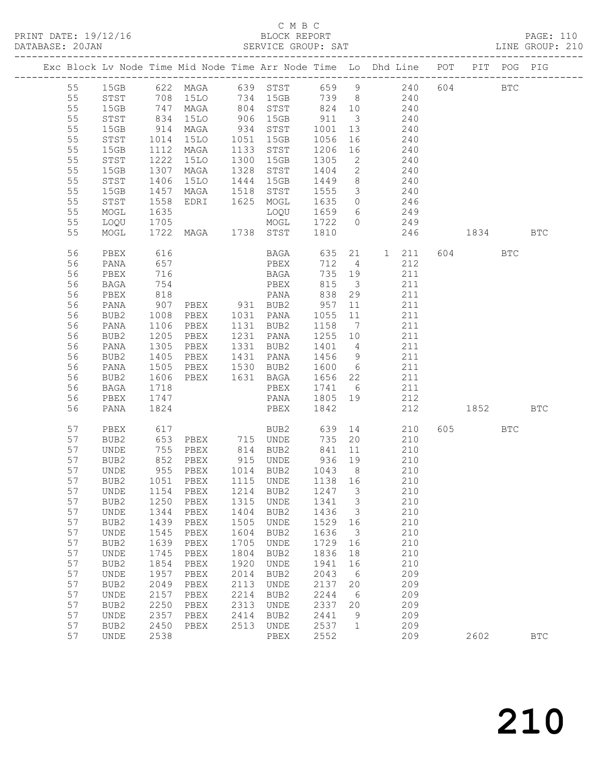| DATABASE: 20JAN |          |              |              | SERVICE GROUP: SAT                                                               |      |                                                           |                   |                          | LINE GROUP: 210                                                                |     |             |      |            |  |
|-----------------|----------|--------------|--------------|----------------------------------------------------------------------------------|------|-----------------------------------------------------------|-------------------|--------------------------|--------------------------------------------------------------------------------|-----|-------------|------|------------|--|
|                 |          |              |              |                                                                                  |      |                                                           |                   |                          | Exc Block Lv Node Time Mid Node Time Arr Node Time Lo Dhd Line POT PIT POG PIG |     |             |      |            |  |
|                 | 55       |              |              |                                                                                  |      |                                                           |                   |                          | 15GB 622 MAGA 639 STST 659 9 240 604 BTC                                       |     |             |      |            |  |
|                 | 55       |              |              |                                                                                  |      |                                                           |                   |                          | STST 708 15LO 734 15GB 739 8 240                                               |     |             |      |            |  |
|                 | 55       | 15GB         |              | 747 MAGA 804 STST 824 10<br>834 15LO 906 15GB 911 3<br>914 MAGA 934 STST 1001 13 |      |                                                           |                   |                          | 240                                                                            |     |             |      |            |  |
|                 | 55       | STST         |              |                                                                                  |      |                                                           |                   |                          | 240                                                                            |     |             |      |            |  |
|                 | 55       | 15GB         |              |                                                                                  |      |                                                           |                   |                          | $\frac{210}{240}$                                                              |     |             |      |            |  |
|                 | 55       | STST         | 1014         |                                                                                  |      | 15LO 1051 15GB 1056                                       |                   | 16                       | 240                                                                            |     |             |      |            |  |
|                 | 55       | 15GB         | 1112         | MAGA                                                                             |      |                                                           |                   |                          | 240                                                                            |     |             |      |            |  |
|                 | 55       | STST         | 1222<br>1307 | 15LO                                                                             |      |                                                           |                   |                          | 240                                                                            |     |             |      |            |  |
|                 | 55       | 15GB         |              | MAGA                                                                             |      | 1133 STST 1206 16<br>1300 15GB 1305 2<br>1328 STST 1404 2 |                   | $\overline{2}$           | 240                                                                            |     |             |      |            |  |
|                 | 55       | STST         | 1406         |                                                                                  |      |                                                           |                   |                          | 15LO 1444 15GB 1449 8 240                                                      |     |             |      |            |  |
|                 | 55       | 15GB         | 1457         |                                                                                  |      | MAGA 1518 STST 1555                                       |                   | $\overline{\mathbf{3}}$  | 240                                                                            |     |             |      |            |  |
|                 | 55       | STST         | 1558<br>1635 |                                                                                  |      | EDRI 1625 MOGL 1635 0<br>LOQU 1659 6                      |                   |                          | $246$<br>$249$                                                                 |     |             |      |            |  |
|                 | 55       | MOGL         | 1635         |                                                                                  |      |                                                           |                   |                          |                                                                                |     |             |      |            |  |
|                 | 55       | LOQU         | 1705         |                                                                                  |      |                                                           |                   |                          | MOGL 1722 0 249                                                                |     |             |      |            |  |
|                 | 55       | MOGL         |              | 1722 MAGA 1738 STST                                                              |      |                                                           | 1810              |                          | 246 1834                                                                       |     |             |      | <b>BTC</b> |  |
|                 | 56       | PBEX         | 616          |                                                                                  |      |                                                           |                   |                          | BAGA 635 21 1 211                                                              |     | 604 BTC     |      |            |  |
|                 | 56       | PANA         | 657          |                                                                                  |      | PBEX                                                      | 712 4             |                          | 212                                                                            |     |             |      |            |  |
|                 | 56       | PBEX         | 716          |                                                                                  |      | <b>BAGA</b>                                               | 735 19            |                          | 211                                                                            |     |             |      |            |  |
|                 | 56       | BAGA         | 754          |                                                                                  |      | PBEX                                                      | 815               | $\overline{\mathbf{3}}$  | 211                                                                            |     |             |      |            |  |
|                 | 56       | PBEX         | 818<br>907   |                                                                                  |      |                                                           |                   |                          | 211                                                                            |     |             |      |            |  |
|                 | 56       | PANA         |              |                                                                                  |      | PBEX 931 BUB2 957 11                                      |                   |                          | 211                                                                            |     |             |      |            |  |
|                 | 56       | BUB2         | 1008         |                                                                                  |      | PBEX 1031 PANA 1055 11                                    |                   |                          | 211                                                                            |     |             |      |            |  |
|                 | 56       | PANA         | 1106         | PBEX 1131 BUB2<br>PBEX 1231 PANA                                                 |      |                                                           | 1158 7<br>1255 10 |                          | 211                                                                            |     |             |      |            |  |
|                 | 56       | BUB2         | 1205<br>1305 |                                                                                  |      |                                                           |                   |                          | 211<br>1331 BUB2 1401 4 211                                                    |     |             |      |            |  |
|                 | 56       | PANA         |              | PBEX                                                                             |      |                                                           |                   |                          |                                                                                |     |             |      |            |  |
|                 | 56       | BUB2         | 1405         |                                                                                  |      | PBEX 1431 PANA 1456 9                                     |                   |                          | 211                                                                            |     |             |      |            |  |
|                 | 56       | PANA         | 1505         |                                                                                  |      | PBEX 1530 BUB2 1600 6                                     |                   |                          | 211                                                                            |     |             |      |            |  |
|                 | 56<br>56 | BUB2         | 1606<br>1718 |                                                                                  |      | PBEX 1631 BAGA 1656 22<br>PBEX 1741 6                     |                   |                          | $\begin{array}{c} 211 \\ 211 \end{array}$                                      |     |             |      |            |  |
|                 | 56       | BAGA<br>PBEX | 1747         |                                                                                  |      |                                                           |                   |                          | PANA 1805 19 212                                                               |     |             |      |            |  |
|                 | 56       | PANA         | 1824         |                                                                                  |      | PBEX                                                      | 1842              |                          |                                                                                | 212 | 1852   1900 |      | <b>BTC</b> |  |
|                 | 57       | PBEX         | 617          |                                                                                  |      | BUB2 639 14                                               |                   |                          | 210                                                                            |     | 605 BTC     |      |            |  |
|                 | 57       | BUB2         |              | 653 PBEX 715 UNDE                                                                |      |                                                           |                   |                          | 735 20<br>210                                                                  |     |             |      |            |  |
|                 | 57       | UNDE         | 755          |                                                                                  |      | PBEX 814 BUB2 841                                         |                   | 11                       | 210                                                                            |     |             |      |            |  |
|                 | 57       | BUB2         |              |                                                                                  |      |                                                           |                   |                          | $210$                                                                          |     |             |      |            |  |
|                 | 57       | UNDE         |              |                                                                                  |      |                                                           |                   |                          | 210                                                                            |     |             |      |            |  |
|                 |          |              |              |                                                                                  |      |                                                           |                   |                          | 57 BUB2 1051 PBEX 1115 UNDE 1138 16 210                                        |     |             |      |            |  |
|                 | 57       | UNDE         | 1154         | PBEX                                                                             | 1214 | BUB2                                                      | 1247              | $\overline{\phantom{a}}$ | 210                                                                            |     |             |      |            |  |
|                 | 57       | BUB2         | 1250         | PBEX                                                                             | 1315 | UNDE                                                      | 1341              | $\overline{\mathbf{3}}$  | 210                                                                            |     |             |      |            |  |
|                 | 57       | UNDE         | 1344         | PBEX                                                                             | 1404 | BUB2                                                      | 1436              | $\overline{\mathbf{3}}$  | 210                                                                            |     |             |      |            |  |
|                 | 57       | BUB2         | 1439         | PBEX                                                                             | 1505 | UNDE                                                      | 1529              | 16                       | 210                                                                            |     |             |      |            |  |
|                 | 57       | UNDE         | 1545         | PBEX                                                                             | 1604 | BUB2                                                      | 1636              | $\overline{\mathbf{3}}$  | 210                                                                            |     |             |      |            |  |
|                 | 57       | BUB2         | 1639         | PBEX                                                                             | 1705 | UNDE                                                      | 1729              | 16                       | 210                                                                            |     |             |      |            |  |
|                 | 57       | UNDE         | 1745         | PBEX                                                                             | 1804 | BUB2                                                      | 1836              | 18                       | 210                                                                            |     |             |      |            |  |
|                 | 57       | BUB2         | 1854         | PBEX                                                                             | 1920 | UNDE                                                      | 1941              | 16                       | 210                                                                            |     |             |      |            |  |
|                 | 57       | UNDE         | 1957         | PBEX                                                                             | 2014 | BUB2                                                      | 2043              | 6                        | 209                                                                            |     |             |      |            |  |
|                 | 57       | BUB2         | 2049         | PBEX                                                                             | 2113 | UNDE                                                      | 2137              | 20                       | 209                                                                            |     |             |      |            |  |
|                 | 57       | UNDE         | 2157         | PBEX                                                                             | 2214 | BUB2                                                      | 2244              | 6                        | 209                                                                            |     |             |      |            |  |
|                 | 57       | BUB2         | 2250         | PBEX                                                                             | 2313 | UNDE                                                      | 2337              | 20                       | 209                                                                            |     |             |      |            |  |
|                 | 57       | UNDE         | 2357         | PBEX                                                                             | 2414 | BUB2                                                      | 2441              | 9                        | 209                                                                            |     |             |      |            |  |
|                 | 57       | BUB2         | 2450         | PBEX                                                                             | 2513 | UNDE                                                      | 2537              | $\overline{1}$           | 209                                                                            |     |             |      |            |  |
|                 | 57       | <b>UNDE</b>  | 2538         |                                                                                  |      | PBEX                                                      | 2552              |                          | 209                                                                            |     |             | 2602 | <b>BTC</b> |  |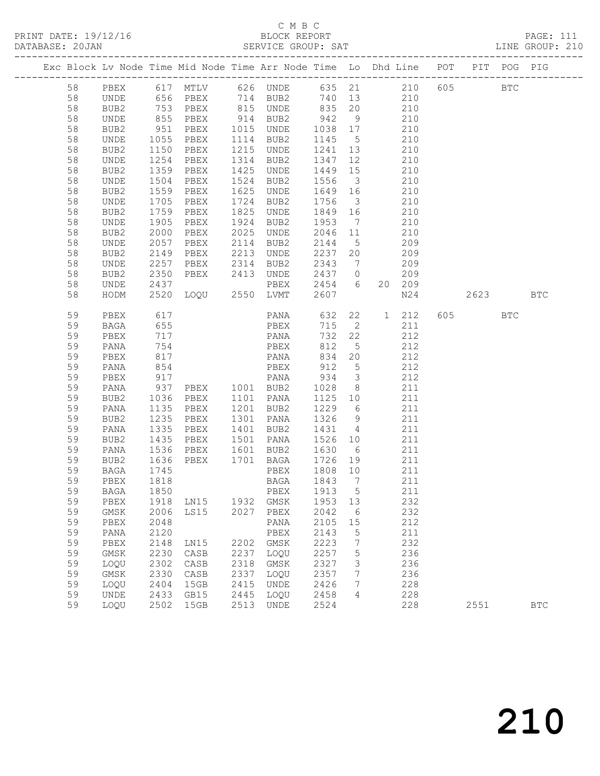|          | Exc Block Lv Node Time Mid Node Time Arr Node Time Lo Dhd Line POT PIT POG PIG |              |                                                         |      |                                |                            |                              |     |            |         |              |            |
|----------|--------------------------------------------------------------------------------|--------------|---------------------------------------------------------|------|--------------------------------|----------------------------|------------------------------|-----|------------|---------|--------------|------------|
| 58       | PBEX                                                                           |              | 617 MTLV 626 UNDE 635 21 210                            |      |                                |                            |                              |     |            | 605     | $_{\rm BTC}$ |            |
| 58       | UNDE                                                                           |              |                                                         |      |                                |                            |                              |     |            |         |              |            |
| 58       | BUB2                                                                           |              | 656 PBEX<br>753 PBEX<br>855 PBEX                        |      |                                |                            |                              |     |            |         |              |            |
| 58       | UNDE                                                                           |              |                                                         |      | 914 BUB2                       | 942                        | 9                            | 210 |            |         |              |            |
| 58       | BUB2                                                                           | 951          | PBEX                                                    |      | 1015 UNDE                      | 1038 17                    |                              | 210 |            |         |              |            |
| 58       | UNDE                                                                           | 1055<br>1150 | PBEX                                                    |      | 1114 BUB2                      | 1145 5<br>$114$<br>1241 13 |                              |     | 210        |         |              |            |
| 58       | BUB2                                                                           | 1150         | PBEX                                                    |      | 1215 UNDE                      |                            |                              |     | 210        |         |              |            |
| 58       | UNDE                                                                           | 1254         | PBEX                                                    |      | 1314 BUB2                      | 1347 12                    |                              | 210 |            |         |              |            |
| 58       | BUB2                                                                           | 1359         | PBEX                                                    |      | 1425 UNDE                      | 1449 15                    |                              | 210 |            |         |              |            |
| 58       | UNDE                                                                           | 1504         | PBEX                                                    |      | 1524 BUB2                      | 1556                       | $\overline{\mathbf{3}}$      |     | 210        |         |              |            |
| 58       | BUB2                                                                           | 1559         | PBEX                                                    |      | 1625 UNDE                      | 1649 16                    |                              |     | 210        |         |              |            |
| 58       | UNDE                                                                           | 1705         | PBEX                                                    |      | 1724 BUB2                      | 1756                       | $\overline{\mathbf{3}}$      |     | 210        |         |              |            |
| 58       | BUB2                                                                           | 1759         | PBEX                                                    |      | 1825 UNDE                      | 1849 16                    |                              |     | 210        |         |              |            |
| 58       | UNDE                                                                           | 1905         | PBEX                                                    | 1924 | BUB2                           | 1953                       | $7\phantom{.0}\phantom{.0}7$ |     | 210        |         |              |            |
| 58       | BUB2                                                                           | 2000         | PBEX                                                    | 2025 | UNDE                           | 2046 11                    |                              |     | 210        |         |              |            |
| 58       | UNDE                                                                           | 2057         | PBEX                                                    |      | 2114 BUB2                      | 2144                       | 5 <sup>5</sup>               |     | 209        |         |              |            |
| 58       | BUB2                                                                           | 2149         | PBEX                                                    |      | 2213 UNDE                      | 2237                       | 20                           |     | 209        |         |              |            |
| 58       | UNDE                                                                           | 2257         | PBEX                                                    |      | 2314 BUB2                      | 2343                       | $\overline{7}$               |     | 209        |         |              |            |
| 58       | BUB2                                                                           |              |                                                         |      |                                | 2437 0<br>2454 6           |                              |     | 209        |         |              |            |
| 58       | UNDE                                                                           |              | 2350 PBEX 2413 UNDE<br>2437 PBEX<br>2520 LOQU 2550 LVMT |      |                                | 2454 6                     |                              |     | 20 209     |         |              |            |
| 58       | HODM                                                                           |              |                                                         |      |                                | 2607                       |                              |     | N24        | 2623    |              | <b>BTC</b> |
| 59       | PBEX                                                                           | 617<br>655   |                                                         |      | PANA 632<br>PBEX 715           |                            | 22                           |     | 1 212      | 605 700 | <b>BTC</b>   |            |
| 59       | BAGA                                                                           |              |                                                         |      |                                |                            | $\overline{2}$               |     | 211        |         |              |            |
| 59       | PBEX                                                                           | 717          |                                                         |      | PANA                           | 732                        | 22                           |     | 212        |         |              |            |
| 59       | PANA                                                                           | 754          |                                                         |      | PBEX                           | 812                        | $5^{\circ}$                  |     | 212        |         |              |            |
| 59       | PBEX                                                                           | 817<br>854   |                                                         |      | PANA                           | 834<br>912                 | 20                           |     | 212        |         |              |            |
| 59       | PANA                                                                           |              |                                                         |      | PBEX                           |                            | $5\overline{)}$              |     | 212        |         |              |            |
| 59       | PBEX                                                                           | 917          |                                                         |      | PANA 934                       |                            | $\overline{\mathbf{3}}$      |     | 212        |         |              |            |
| 59       | PANA                                                                           | 937          | PBEX 1001 BUB2                                          |      |                                | 1028                       | 8 <sup>8</sup>               | 211 |            |         |              |            |
| 59       | BUB2                                                                           | 1036         | PBEX                                                    |      | 1101 PANA                      | 1125 10                    |                              |     | 211        |         |              |            |
| 59       | PANA                                                                           | 1135         | PBEX                                                    |      | 1201 BUB2                      | 1229                       | 6                            |     | 211        |         |              |            |
| 59       | BUB2                                                                           | 1235         | PBEX                                                    |      | 1301 PANA                      | 1326                       | 9                            | 211 |            |         |              |            |
| 59       | PANA                                                                           | 1335         | PBEX                                                    |      | 1401 BUB2                      | 1431 4                     |                              |     | 211        |         |              |            |
| 59       | BUB2                                                                           | 1435         | PBEX                                                    |      | 1501 PANA                      | 1526 10                    |                              |     | 211        |         |              |            |
| 59       | PANA                                                                           | 1536<br>1636 | PBEX                                                    |      | 1601 BUB2<br>1701 BAGA 1726 19 | 1630 6                     |                              |     | 211<br>211 |         |              |            |
| 59<br>59 | BUB2                                                                           | 1745         | PBEX                                                    |      |                                | 1808 10                    |                              |     | 211        |         |              |            |
| 59       | BAGA<br>PBEX                                                                   | 1818         |                                                         |      | PBEX                           | 1843                       | $7\phantom{0}$               |     | 211        |         |              |            |
|          | 59 BAGA 1850                                                                   |              |                                                         |      | BAGA<br>PBEX 1913 5            |                            |                              |     | 211        |         |              |            |
| 59       |                                                                                | 1918         | LN15                                                    | 1932 |                                | 1953                       | 13                           |     | 232        |         |              |            |
| 59       | PBEX<br>GMSK                                                                   | 2006         | LS15                                                    | 2027 | GMSK<br>PBEX                   | 2042                       | 6                            |     | 232        |         |              |            |
| 59       | PBEX                                                                           | 2048         |                                                         |      | PANA                           | 2105                       | 15                           |     | 212        |         |              |            |
| 59       | PANA                                                                           | 2120         |                                                         |      | PBEX                           | 2143                       | 5                            |     | 211        |         |              |            |
| 59       | PBEX                                                                           | 2148         | LN15                                                    | 2202 | GMSK                           | 2223                       | 7                            |     | 232        |         |              |            |
| 59       | GMSK                                                                           | 2230         | CASB                                                    | 2237 | LOQU                           | 2257                       | 5                            |     | 236        |         |              |            |
| 59       | LOQU                                                                           | 2302         | CASB                                                    | 2318 | GMSK                           | 2327                       | 3                            |     | 236        |         |              |            |
| 59       | GMSK                                                                           | 2330         | CASB                                                    | 2337 | LOQU                           | 2357                       | 7                            |     | 236        |         |              |            |
| 59       | LOQU                                                                           | 2404         | 15GB                                                    | 2415 | UNDE                           | 2426                       | 7                            |     | 228        |         |              |            |
| 59       | <b>UNDE</b>                                                                    | 2433         | GB15                                                    | 2445 | LOQU                           | 2458                       | 4                            |     | 228        |         |              |            |
| 59       | LOQU                                                                           | 2502         | 15GB                                                    | 2513 | UNDE                           | 2524                       |                              |     | 228        | 2551    |              | <b>BTC</b> |
|          |                                                                                |              |                                                         |      |                                |                            |                              |     |            |         |              |            |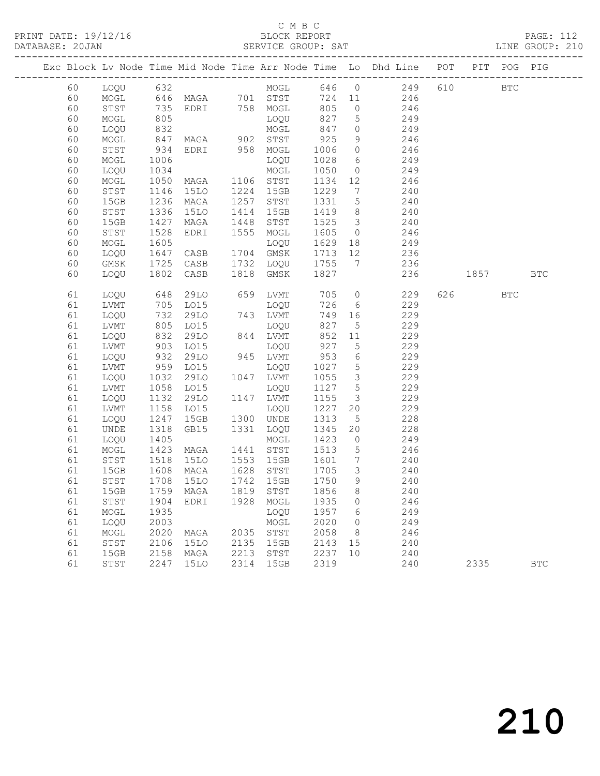PRINT DATE: 19/12/16 BLOCK REPORT<br>DATABASE: 20JAN BATABASE: 2012

# C M B C<br>BLOCK REPORT

PAGE: 112<br>LINE GROUP: 210

|  |          |          |              |                   |              |                  |              |                         | Exc Block Lv Node Time Mid Node Time Arr Node Time Lo Dhd Line POT PIT POG PIG |     |        |              |            |
|--|----------|----------|--------------|-------------------|--------------|------------------|--------------|-------------------------|--------------------------------------------------------------------------------|-----|--------|--------------|------------|
|  | 60       | LOQU 632 |              |                   |              | MOGL             |              |                         | 646 0 249                                                                      | 610 |        | $_{\rm BTC}$ |            |
|  | 60       | MOGL     |              | 646 MAGA 701 STST |              |                  | 724          |                         | 11 246                                                                         |     |        |              |            |
|  | 60       | STST     |              | EDRI 758 MOGL     |              |                  | 805          | $\overline{0}$          | 246                                                                            |     |        |              |            |
|  | 60       | MOGL     | 735<br>805   |                   |              | LOQU             | 827          | 5 <sup>5</sup>          | 249                                                                            |     |        |              |            |
|  | 60       | LOQU     | 832          |                   |              | MOGL             | 847          | $\overline{0}$          | 249                                                                            |     |        |              |            |
|  | 60       | MOGL     | 847          | MAGA 902 STST     |              |                  | 925          | 9                       | 246                                                                            |     |        |              |            |
|  | 60       | STST     | 934          | EDRI 958 MOGL     |              |                  | 1006         | $\overline{0}$          | 246                                                                            |     |        |              |            |
|  | 60       | MOGL     | 1006         |                   |              | LOQU             | 1028         | 6                       | 249                                                                            |     |        |              |            |
|  | 60       | LOQU     | 1034         |                   |              | MOGL             | 1050         | $\circ$                 | 249                                                                            |     |        |              |            |
|  | 60       | MOGL     | 1050         | MAGA              |              | 1106 STST        | 1134         | 12                      | 246                                                                            |     |        |              |            |
|  | 60       | STST     | 1146         | 15LO              | 1224         | 15GB             | 1229         | $7\overline{ }$         | 240                                                                            |     |        |              |            |
|  | 60       | 15GB     | 1236         | MAGA              | 1257         | STST             | 1331         | $5\overline{)}$         | 240                                                                            |     |        |              |            |
|  | 60       | STST     | 1336         | <b>15LO</b>       | 1414         | 15GB             | 1419         | 8 <sup>8</sup>          | 240                                                                            |     |        |              |            |
|  | 60       | 15GB     | 1427         | MAGA              | 1448         | STST             | 1525         | $\overline{\mathbf{3}}$ | 240                                                                            |     |        |              |            |
|  | 60       | STST     | 1528         | EDRI              | 1555         | MOGL             | 1605         | $\overline{0}$          | 246                                                                            |     |        |              |            |
|  | 60       | MOGL     | 1605         |                   |              | LOQU             | 1629         | 18                      | 249                                                                            |     |        |              |            |
|  | 60       | LOQU     | 1647         | CASB              |              | 1704 GMSK        | 1713         | 12                      | 236                                                                            |     |        |              |            |
|  | 60       | GMSK     | 1725         | CASB              | 1732         | LOQU             | 1755         | $\overline{7}$          | 236                                                                            |     |        |              |            |
|  | 60       | LOQU     | 1802         | CASB              | 1818         | GMSK             | 1827         |                         | 236                                                                            |     | 1857   |              | <b>BTC</b> |
|  | 61       | LOQU     | 648          | 29LO              |              | 659 LVMT         | 705          |                         | $\overline{O}$<br>229                                                          |     | 626 30 | <b>BTC</b>   |            |
|  | 61       | LVMT     | 705          | LO15              |              | LOQU             | 726          | 6                       | 229                                                                            |     |        |              |            |
|  | 61       | LOQU     | 732          | 29LO              |              | 743 LVMT         | 749          | 16                      | 229                                                                            |     |        |              |            |
|  | 61       | LVMT     | 805          | LO15              |              | LOQU             | 827          | 5                       | 229                                                                            |     |        |              |            |
|  | 61       | LOQU     | 832          | 29LO              |              | 844 LVMT         | 852          | 11                      | 229                                                                            |     |        |              |            |
|  | 61       | LVMT     | 903          | LO15              |              | LOQU             | 927          | $5\overline{)}$         | 229                                                                            |     |        |              |            |
|  | 61       | LOQU     | 932          | 29LO              |              | 945 LVMT         | 953          | 6                       | 229                                                                            |     |        |              |            |
|  | 61       | LVMT     | 959<br>1032  | LO15              |              | LOQU             | 1027         | $5\phantom{.0}$         | 229                                                                            |     |        |              |            |
|  | 61       | LOQU     |              | 29LO              |              | 1047 LVMT        | 1055         | $\mathcal{S}$           | 229                                                                            |     |        |              |            |
|  | 61       | LVMT     | 1058         | LO15              |              | LOQU             | 1127         | $5\overline{)}$         | 229                                                                            |     |        |              |            |
|  | 61       | LOQU     | 1132         | 29LO              |              | 1147 LVMT        | 1155         | $\mathcal{S}$           | 229                                                                            |     |        |              |            |
|  | 61       | LVMT     | 1158         | LO15              |              | LOQU             | 1227         | 20                      | 229                                                                            |     |        |              |            |
|  | 61       | LOQU     | 1247         | 15GB              |              | 1300 UNDE        | 1313         | $5\overline{)}$         | 228                                                                            |     |        |              |            |
|  | 61       | UNDE     | 1318         | GB15              | 1331         | LOQU             | 1345         | 20                      | 228                                                                            |     |        |              |            |
|  | 61       | LOQU     | 1405         |                   |              | MOGL             | 1423         | $\overline{0}$          | 249                                                                            |     |        |              |            |
|  | 61       | MOGL     | 1423<br>1518 | MAGA              |              | 1441 STST        | 1513         | $5\overline{)}$         | 246                                                                            |     |        |              |            |
|  | 61       | STST     |              | 15LO              |              | 1553 15GB        | 1601         | $7\overline{ }$         | 240                                                                            |     |        |              |            |
|  | 61       | 15GB     | 1608         | MAGA              |              | 1628 STST        | 1705         | $\overline{\mathbf{3}}$ | 240                                                                            |     |        |              |            |
|  | 61       | STST     | 1708         | 15LO              |              | 1742 15GB        | 1750         | 9                       | 240                                                                            |     |        |              |            |
|  | 61       | 15GB     |              | 1759 MAGA         |              | 1819 STST 1856 8 |              |                         | 240                                                                            |     |        |              |            |
|  | 61       | STST     | 1904         | EDRI              | 1928         | MOGL             | 1935         | 0                       | 246                                                                            |     |        |              |            |
|  | 61       | MOGL     | 1935         |                   |              | LOQU             | 1957         | 6                       | 249                                                                            |     |        |              |            |
|  | 61       | LOQU     | 2003         |                   |              | MOGL             | 2020         | 0                       | 249                                                                            |     |        |              |            |
|  | 61<br>61 | MOGL     | 2020<br>2106 | MAGA              | 2035<br>2135 | STST<br>15GB     | 2058<br>2143 | 8<br>15                 | 246<br>240                                                                     |     |        |              |            |
|  |          | STST     |              | 15LO              |              |                  | 2237         |                         |                                                                                |     |        |              |            |
|  | 61       | 15GB     | 2158         | MAGA              | 2213         | STST             | 2319         | 10                      | 240                                                                            |     |        |              |            |
|  | 61       | STST     | 2247         | <b>15LO</b>       | 2314         | 15GB             |              |                         | 240                                                                            |     | 2335   |              | <b>BTC</b> |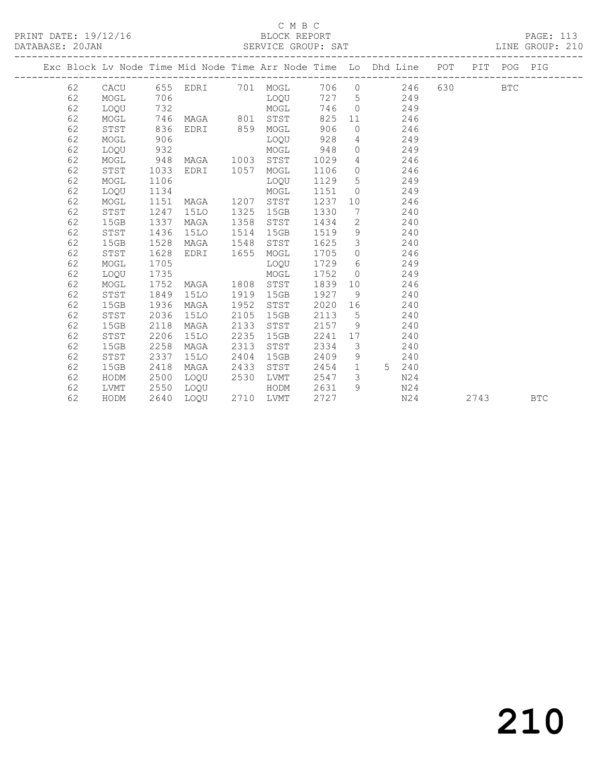#### C M B C<br>BLOCK REPORT SERVICE GROUP: SAT

|  |    |      |      |                        |      |      |      |                 | Exc Block Lv Node Time Mid Node Time Arr Node Time Lo Dhd Line POT |  | PIT POG PIG |  |
|--|----|------|------|------------------------|------|------|------|-----------------|--------------------------------------------------------------------|--|-------------|--|
|  | 62 |      |      | CACU 655 EDRI 701 MOGL |      |      |      |                 | 706 0 246 630 BTC                                                  |  |             |  |
|  | 62 | MOGL | 706  |                        |      | LOOU |      |                 | 727 5<br>249                                                       |  |             |  |
|  | 62 | LOQU | 732  |                        |      | MOGL |      |                 | 746 0<br>249                                                       |  |             |  |
|  | 62 | MOGL | 746  | MAGA 801               |      | STST | 825  |                 | 11<br>246                                                          |  |             |  |
|  | 62 | STST | 836  | EDRI 859               |      | MOGL | 906  | $\overline{0}$  | 246                                                                |  |             |  |
|  | 62 | MOGL | 906  |                        |      | LOOU | 928  |                 | $4\degree$<br>249                                                  |  |             |  |
|  | 62 | LOQU | 932  |                        |      | MOGL | 948  |                 | 249<br>$\overline{0}$                                              |  |             |  |
|  | 62 | MOGL | 948  | MAGA                   | 1003 | STST | 1029 | 4               | 246                                                                |  |             |  |
|  | 62 | STST | 1033 | EDRI 1057              |      | MOGL | 1106 | $\circ$         | 246                                                                |  |             |  |
|  | 62 | MOGL | 1106 |                        |      | LOQU | 1129 |                 | $5 \quad \text{or}$<br>249                                         |  |             |  |
|  | 62 | LOOU | 1134 |                        |      | MOGL | 1151 |                 | 249<br>$\overline{0}$                                              |  |             |  |
|  | 62 | MOGL | 1151 | MAGA                   | 1207 | STST | 1237 | 10              | 246                                                                |  |             |  |
|  | 62 | STST | 1247 | 15LO                   | 1325 | 15GB | 1330 | $7\phantom{.0}$ | 240                                                                |  |             |  |
|  | 62 | 15GB | 1337 | MAGA                   | 1358 | STST | 1434 | $2^{\circ}$     | 240                                                                |  |             |  |
|  | 62 | STST | 1436 | 15LO                   | 1514 | 15GB | 1519 |                 | 9<br>240                                                           |  |             |  |
|  | 62 | 15GB | 1528 | MAGA                   | 1548 | STST | 1625 | $\mathcal{S}$   | 240                                                                |  |             |  |
|  | 62 | STST | 1628 | EDRI                   | 1655 | MOGL | 1705 | $\overline{0}$  | 246                                                                |  |             |  |
|  | 62 | MOGL | 1705 |                        |      | LOQU | 1729 |                 | $6\degree$<br>249                                                  |  |             |  |
|  | 62 | LOQU | 1735 |                        |      | MOGL | 1752 |                 | 249<br>$\Omega$                                                    |  |             |  |
|  | 62 | MOGL | 1752 | MAGA                   | 1808 | STST | 1839 | 10              | 246                                                                |  |             |  |
|  | 62 | STST | 1849 | 15LO                   | 1919 | 15GB | 1927 | 9               | 240                                                                |  |             |  |
|  | 62 | 15GB | 1936 | MAGA                   | 1952 | STST | 2020 |                 | 240                                                                |  |             |  |
|  | 62 | STST | 2036 | 15LO                   | 2105 | 15GB | 2113 | $5^{\circ}$     | 240                                                                |  |             |  |
|  | 62 | 15GB | 2118 | MAGA                   | 2133 | STST | 2157 | 9               | 240                                                                |  |             |  |
|  | 62 | STST | 2206 | 15LO                   | 2235 | 15GB | 2241 |                 | 240                                                                |  |             |  |
|  | 62 | 15GB | 2258 | MAGA                   | 2313 | STST | 2334 | $\mathcal{S}$   | 240                                                                |  |             |  |
|  | 62 | STST | 2337 | 15LO                   | 2404 | 15GB | 2409 |                 | $9 \left( \frac{1}{2} \right)$<br>240                              |  |             |  |

 62 15GB 2418 MAGA 2433 STST 2454 1 5 240 62 HODM 2500 LOQU 2530 LVMT 2547 3 N24 62 LVMT 2550 LOQU HODM 2631 9 N24

62 HODM 2640 LOQU 2710 LVMT 2727 N24 2743 BTC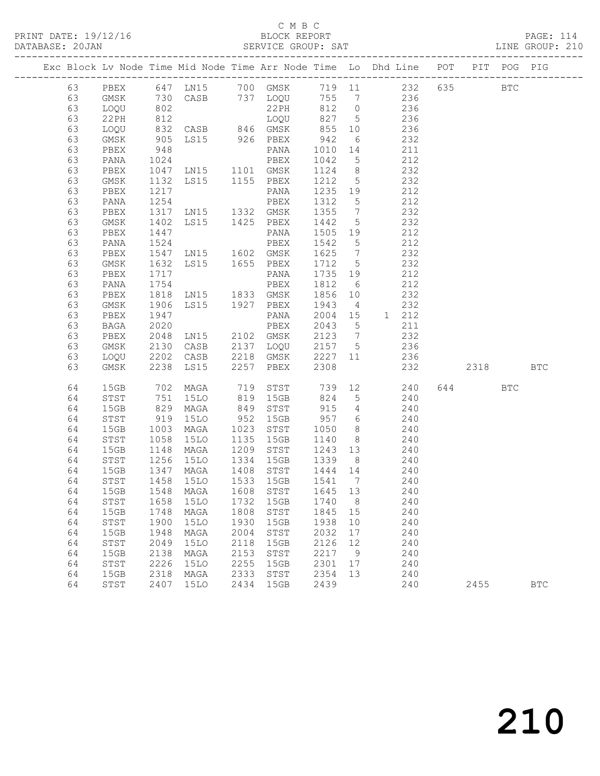|    |       |                      |                                     |      |                                  |         |                 | Exc Block Lv Node Time Mid Node Time Arr Node Time Lo Dhd Line POT |          | PIT POG PIG  |            |
|----|-------|----------------------|-------------------------------------|------|----------------------------------|---------|-----------------|--------------------------------------------------------------------|----------|--------------|------------|
| 63 | PBEX  |                      |                                     |      |                                  |         |                 | 647 LN15 700 GMSK 719 11 232 635                                   |          | $_{\rm BTC}$ |            |
| 63 | GMSK  |                      |                                     |      |                                  |         |                 |                                                                    |          |              |            |
| 63 | LOQU  |                      |                                     |      |                                  |         |                 |                                                                    |          |              |            |
| 63 | 22 PH | 812                  |                                     |      | $\overline{LOQU}$ 827 5          |         |                 | 236                                                                |          |              |            |
| 63 | LOQU  |                      | 832 CASB 846 GMSK                   |      |                                  |         |                 | 855 10 236                                                         |          |              |            |
| 63 | GMSK  |                      |                                     |      |                                  | 942     | 6               |                                                                    |          |              |            |
| 63 | PBEX  |                      |                                     |      |                                  | 1010 14 |                 | 232<br>211                                                         |          |              |            |
| 63 | PANA  | 1024                 |                                     |      | PBEX                             | 1042 5  |                 | 212                                                                |          |              |            |
| 63 | PBEX  |                      | 1047 LN15 1101 GMSK                 |      |                                  | 1124 8  |                 | 232                                                                |          |              |            |
| 63 | GMSK  |                      | LS15 1155 PBEX                      |      |                                  | 1212 5  |                 | 232                                                                |          |              |            |
| 63 | PBEX  | 1132<br>1217         |                                     |      |                                  | 1235 19 |                 | 212                                                                |          |              |            |
| 63 | PANA  | 1254                 | PANA<br>PBEX                        |      |                                  | 1312 5  |                 | 212                                                                |          |              |            |
| 63 | PBEX  |                      | 1317 LN15 1332 GMSK                 |      |                                  | 1355 7  |                 | 232                                                                |          |              |            |
| 63 | GMSK  | 1402                 | LS15 1425 PBEX                      |      |                                  | 1442 5  |                 | 232                                                                |          |              |            |
| 63 | PBEX  | 1447                 |                                     |      | PANA                             | 1505 19 |                 |                                                                    |          |              |            |
| 63 | PANA  | 1524                 |                                     |      | PBEX                             | 1542 5  |                 | $\begin{array}{c} 212 \\ 212 \end{array}$                          |          |              |            |
| 63 | PBEX  | 1547                 | LN15 1602 GMSK                      |      |                                  | 1625 7  |                 | 232                                                                |          |              |            |
| 63 | GMSK  | 1632                 | LS15 1655 PBEX                      |      |                                  | 1712 5  |                 | 232                                                                |          |              |            |
| 63 | PBEX  | 1717                 |                                     |      |                                  | 1735 19 |                 | 212                                                                |          |              |            |
| 63 | PANA  | $\frac{1}{1754}$     | PANA<br>PBEX                        |      |                                  | 1812 6  |                 | 212                                                                |          |              |            |
| 63 | PBEX  |                      | 1818 LN15 1833 GMSK                 |      |                                  | 1856 10 |                 | 232                                                                |          |              |            |
| 63 | GMSK  | 1906                 | LS15 1927 PBEX                      |      |                                  | 1943    | $\overline{4}$  | 232                                                                |          |              |            |
| 63 | PBEX  |                      |                                     |      | PANA                             |         |                 | 2004 15 1 212                                                      |          |              |            |
| 63 | BAGA  | 1947<br>2020         |                                     |      | PBEX                             | 2043    | $5\overline{)}$ | 211                                                                |          |              |            |
| 63 | PBEX  | 2048                 | LN15 2102 GMSK                      |      |                                  | 2123 7  |                 | 232                                                                |          |              |            |
| 63 | GMSK  | 2130                 |                                     |      | CASB 2137 LOQU                   | 2157 5  |                 | 236                                                                |          |              |            |
| 63 | LOQU  |                      | 2202 CASB<br>2238 LS15              |      |                                  |         |                 | CASB 2218 GMSK 2227 11 236<br>LS15 2257 PBEX 2308 232              |          |              |            |
| 63 | GMSK  |                      |                                     |      |                                  |         |                 | 232                                                                | 2318 BTC |              |            |
| 64 | 15GB  |                      | 702 MAGA                            |      |                                  |         |                 | 719 STST 739 12 240                                                | 644      | BTC          |            |
| 64 | STST  |                      | 15LO                                |      | 819 15GB                         |         |                 | 240                                                                |          |              |            |
| 64 | 15GB  | 751<br>829           | MAGA                                |      | 819 15GB 824 5<br>849 STST 915 4 |         |                 | 240                                                                |          |              |            |
| 64 | STST  | 919                  | 15LO                                |      | 952 15GB                         |         |                 | 957 6 240                                                          |          |              |            |
| 64 | 15GB  | 1003                 | MAGA                                |      |                                  |         |                 | 1023 STST 1050 8 240                                               |          |              |            |
| 64 | STST  |                      | 15LO                                |      | 1135 15GB                        |         |                 | 1140 8 240                                                         |          |              |            |
| 64 | 15GB  | 1058<br>1148<br>1256 | MAGA                                |      | 1209 STST 1243 13                |         |                 | 240                                                                |          |              |            |
| 64 | STST  |                      |                                     |      |                                  |         |                 | 15L0 1334 15GB 1339 8 240                                          |          |              |            |
| 64 | 15GB  |                      | 1347 MAGA 1408 STST 1444 14         |      |                                  |         |                 | 240                                                                |          |              |            |
| 64 | STST  |                      | 1458 15LO                           |      | 1533 15GB                        | 1541 7  |                 | 240                                                                |          |              |            |
|    |       |                      | 64 15GB 1548 MAGA 1608 STST 1645 13 |      |                                  |         |                 | 240                                                                |          |              |            |
| 64 | STST  | 1658                 | 15LO                                | 1732 | 15GB                             | 1740    | 8               | 240                                                                |          |              |            |
| 64 | 15GB  | 1748                 | MAGA                                | 1808 | STST                             | 1845    | 15              | 240                                                                |          |              |            |
| 64 | STST  | 1900                 | 15LO                                | 1930 | 15GB                             | 1938    | 10              | 240                                                                |          |              |            |
| 64 | 15GB  | 1948                 | MAGA                                | 2004 | STST                             | 2032    | 17              | 240                                                                |          |              |            |
| 64 | STST  | 2049                 | <b>15LO</b>                         | 2118 | 15GB                             | 2126    | 12              | 240                                                                |          |              |            |
| 64 | 15GB  | 2138                 | MAGA                                | 2153 | STST                             | 2217    | 9               | 240                                                                |          |              |            |
| 64 | STST  | 2226                 | 15LO                                | 2255 | 15GB                             | 2301    | 17              | 240                                                                |          |              |            |
| 64 | 15GB  | 2318                 | MAGA                                | 2333 | STST                             | 2354    | 13              | 240                                                                |          |              |            |
| 64 | STST  | 2407                 | <b>15LO</b>                         | 2434 | 15GB                             | 2439    |                 | 240                                                                | 2455     |              | <b>BTC</b> |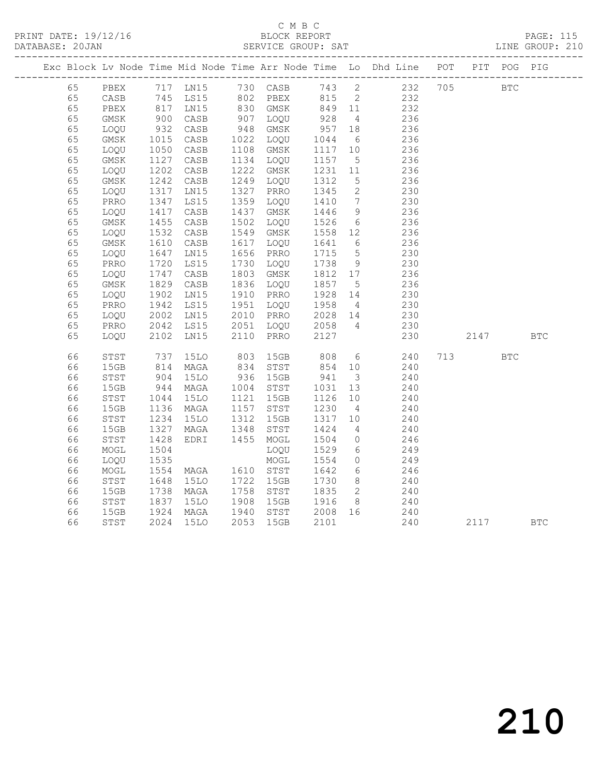|  |    |                            |                                                  |             |      |           |                  |                         | Exc Block Lv Node Time Mid Node Time Arr Node Time Lo Dhd Line POT PIT POG PIG |            |            |            |
|--|----|----------------------------|--------------------------------------------------|-------------|------|-----------|------------------|-------------------------|--------------------------------------------------------------------------------|------------|------------|------------|
|  | 65 |                            |                                                  |             |      |           |                  |                         | PBEX 717 LN15 730 CASB 743 2 232 705                                           | <b>BTC</b> |            |            |
|  | 65 | CASB                       |                                                  |             |      |           |                  |                         | 745 LS15 802 PBEX 815 2 232<br>817 LN15 830 GMSK 849 11 232                    |            |            |            |
|  | 65 | PBEX                       |                                                  |             |      |           |                  |                         |                                                                                |            |            |            |
|  | 65 | GMSK                       | 900                                              | CASB        |      | 907 LOQU  | 928              | $\overline{4}$          | 236                                                                            |            |            |            |
|  | 65 | LOQU                       | 932<br>1015                                      | CASB        | 948  | GMSK      | 957 18<br>1044 6 |                         | 236                                                                            |            |            |            |
|  | 65 | GMSK                       |                                                  | CASB        |      | 1022 LOQU |                  |                         | 236                                                                            |            |            |            |
|  | 65 | LOQU                       | 1050<br>1127                                     | CASB        | 1108 | GMSK      | 1117 10          |                         | 236                                                                            |            |            |            |
|  | 65 | GMSK                       |                                                  | CASB        |      | 1134 LOQU | 1157             | $5\overline{)}$         | 236                                                                            |            |            |            |
|  | 65 | LOQU                       | 1202                                             | CASB        | 1222 | GMSK      | 1231             | 11                      | 236                                                                            |            |            |            |
|  | 65 | $\rm{GMSK}$                | 1242                                             | CASB        | 1249 | LOQU      | 1312             | $5\overline{)}$         | 236                                                                            |            |            |            |
|  | 65 | LOQU                       | $\begin{array}{c}\n 1242 \\  1317\n \end{array}$ | LNI5        | 1327 | PRRO      | 1345             | $\overline{2}$          | 230                                                                            |            |            |            |
|  | 65 | PRRO                       | 1347                                             | LS15        | 1359 | LOQU      | 1410             | $7\overline{ }$         | 230                                                                            |            |            |            |
|  | 65 | LOQU                       | $14 - 1455$                                      | CASB        | 1437 | GMSK      | 1446             | 9                       | 236                                                                            |            |            |            |
|  | 65 | GMSK                       |                                                  | CASB        | 1502 | LOQU      | 1526             | $6\overline{6}$         | 236                                                                            |            |            |            |
|  | 65 | LOQU                       | 1532                                             | CASB        | 1549 | GMSK      | 1558             | 12                      | 236                                                                            |            |            |            |
|  | 65 | $\rm{GMSK}$                | 1610                                             | CASB        |      | 1617 LOQU | 1641             | $6\overline{6}$         | 236                                                                            |            |            |            |
|  | 65 | LOQU                       | 1647                                             | LN15        | 1656 | PRRO      | 1715             | $5^{\circ}$             | 230                                                                            |            |            |            |
|  | 65 | PRRO                       | 1720<br>1720<br>1747                             | LS15        | 1730 | LOQU      | 1738             | 9                       | 230                                                                            |            |            |            |
|  | 65 | LOQU                       |                                                  | CASB        |      | 1803 GMSK | 1812 17          |                         | 236                                                                            |            |            |            |
|  | 65 | $\rm{GMSK}$                | 1829                                             | CASB        |      | 1836 LOQU | 1857             | $5^{\circ}$             | 236                                                                            |            |            |            |
|  | 65 | LOQU                       | 1902<br>1942                                     | LN15        |      | 1910 PRRO | 1928 14          |                         | 230                                                                            |            |            |            |
|  | 65 | PRRO                       |                                                  | LS15        |      | 1951 LOQU | 1958 4           |                         | 230                                                                            |            |            |            |
|  | 65 | LOQU                       | 2002<br>2042                                     | LN15        | 2010 | PRRO      | 2028 14          |                         | 230                                                                            |            |            |            |
|  | 65 | PRRO                       | 2042                                             | LS15        |      | 2051 LOQU | 2058 4           |                         | 230                                                                            |            |            |            |
|  | 65 | LOQU                       | 2102                                             | LN15        | 2110 | PRRO      | 2127             |                         | 230                                                                            | 2147       |            | <b>BTC</b> |
|  | 66 | $_{\footnotesize\rm STST}$ | 737                                              | 15LO        | 803  |           | 15GB 808         |                         | $6 - 6$<br>240                                                                 | 713        | <b>BTC</b> |            |
|  | 66 | 15GB                       | 814                                              | MAGA        | 834  | STST      | 854              | 10                      | 240                                                                            |            |            |            |
|  | 66 | STST                       | 904<br>944                                       | 15LO        | 936  | 15GB      | 941              | $\overline{\mathbf{3}}$ | 240                                                                            |            |            |            |
|  | 66 | 15GB                       |                                                  | MAGA        |      | 1004 STST | 1031             | 13                      | 240                                                                            |            |            |            |
|  | 66 | STST                       | 1044                                             | <b>15LO</b> | 1121 | 15GB      | 1126             | 10                      | 240                                                                            |            |            |            |
|  | 66 | 15GB                       | 1136                                             | MAGA        |      | 1157 STST | 1230             | $\overline{4}$          | 240                                                                            |            |            |            |
|  | 66 | STST                       | 1234                                             | 15LO        | 1312 | 15GB      | 1317 10          |                         | 240                                                                            |            |            |            |
|  | 66 | 15GB                       | 1327                                             | MAGA        | 1348 | STST      | 1424             | $4\overline{4}$         | 240                                                                            |            |            |            |
|  | 66 | STST                       | 1428                                             | EDRI        | 1455 | MOGL      | 1504             | $\overline{0}$          | 246                                                                            |            |            |            |
|  | 66 | MOGL                       | 1504                                             |             |      | LOQU      | 1529             | 6                       | 249                                                                            |            |            |            |
|  | 66 | LOQU                       | 1535                                             |             |      | MOGL      | 1554             | $\overline{0}$          | 249                                                                            |            |            |            |
|  | 66 | $\sf{MOGL}$                | 1554                                             | MAGA        |      | 1610 STST | 1642             | $6\overline{6}$         | 246                                                                            |            |            |            |
|  | 66 | ${\tt STST}$               | 1648                                             | <b>15LO</b> | 1722 | 15GB      | 1730             | 8 <sup>8</sup>          | 240                                                                            |            |            |            |
|  | 66 | 15GB                       | 1738                                             | MAGA        | 1758 | STST      | 1835             | $\overline{2}$          | 240                                                                            |            |            |            |
|  | 66 | STST                       | 1837                                             | 15LO        | 1908 | 15GB      | 1916             | 8 <sup>8</sup>          | 240                                                                            |            |            |            |
|  | 66 | 15GB                       | 1924<br>2024                                     | MAGA        | 1940 | STST      | 2008 16          |                         | 240                                                                            |            |            |            |
|  | 66 | STST                       | 2024                                             | <b>15LO</b> | 2053 | 15GB      | 2101             |                         | 240                                                                            | 2117       |            | <b>BTC</b> |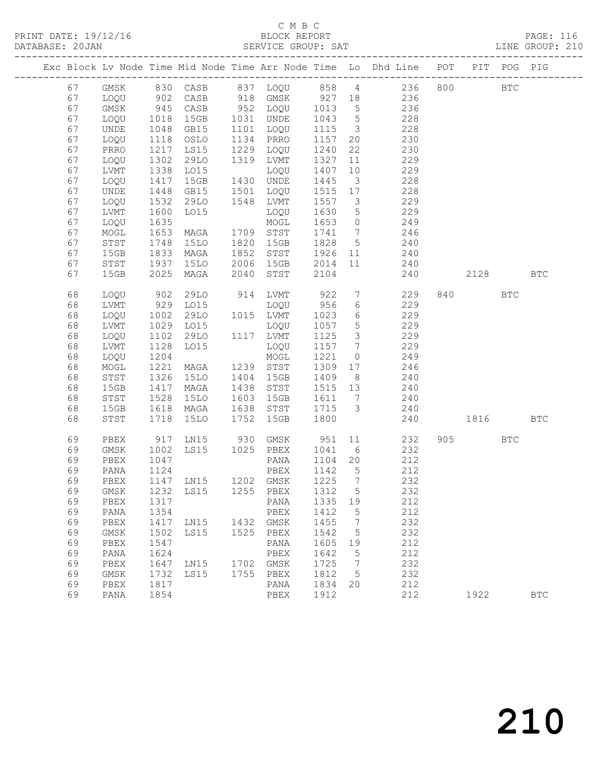|  |    |              |             |                                 |      |           |         |                         | Exc Block Lv Node Time Mid Node Time Arr Node Time Lo Dhd Line POT                                                 |           | PIT POG PIG |            |
|--|----|--------------|-------------|---------------------------------|------|-----------|---------|-------------------------|--------------------------------------------------------------------------------------------------------------------|-----------|-------------|------------|
|  | 67 |              |             |                                 |      |           |         |                         | GMSK 830 CASB 837 LOQU 858 4 236 800 BTC<br>LOQU 902 CASB 918 GMSK 927 18 236<br>GMSK 945 CASB 952 LOQU 1013 5 236 |           |             |            |
|  | 67 |              |             |                                 |      |           |         |                         |                                                                                                                    |           |             |            |
|  | 67 |              |             |                                 |      |           |         |                         |                                                                                                                    |           |             |            |
|  | 67 | LOQU         | 1018        | 15GB                            |      | 1031 UNDE | 1043    | $5\overline{)}$         | 228                                                                                                                |           |             |            |
|  | 67 | UNDE         | 1048        | GB15                            | 1101 | LOQU      | 1115    | $\overline{\mathbf{3}}$ | 228                                                                                                                |           |             |            |
|  | 67 | LOQU         | 1118        | OSLO                            |      | 1134 PRRO | 1157    | 20                      | 230                                                                                                                |           |             |            |
|  | 67 | PRRO         | 1217        | LS15                            | 1229 | LOQU      | 1240    | 22                      | 230                                                                                                                |           |             |            |
|  | 67 | LOQU         | 1302        | 29LO                            | 1319 | LVMT      | 1327    | 11                      | 229                                                                                                                |           |             |            |
|  | 67 | LVMT         | 1338        | LO15                            |      | LOQU      | 1407    | 10                      | 229                                                                                                                |           |             |            |
|  | 67 | LOQU         | 1417        | 15GB                            |      | 1430 UNDE | 1445    | $\overline{\mathbf{3}}$ | 228                                                                                                                |           |             |            |
|  | 67 | UNDE         | 1448        | GB15                            | 1501 | LOQU      | 1515 17 |                         | 228                                                                                                                |           |             |            |
|  | 67 | LOQU         | 1532        | 29LO                            |      | 1548 LVMT | 1557    | $\overline{\mathbf{3}}$ | 229                                                                                                                |           |             |            |
|  | 67 | LVMT         | 1600        | L015                            |      | LOQU      | 1630    | $5\overline{)}$         | 229                                                                                                                |           |             |            |
|  | 67 | LOQU         | 1635        |                                 |      | MOGL      | 1653    | $\overline{0}$          | 249                                                                                                                |           |             |            |
|  | 67 | $\sf{MOGL}$  | 1653        | MAGA                            |      | 1709 STST | 1741 7  |                         | 246                                                                                                                |           |             |            |
|  | 67 | STST         | 1748        | 15LO                            | 1820 | 15GB      | 1828    | $5\overline{)}$         | 240                                                                                                                |           |             |            |
|  | 67 | 15GB         | 1833        | MAGA                            | 1852 | STST      | 1926    | 11                      | 240                                                                                                                |           |             |            |
|  | 67 | STST         | 1937        | 15LO                            |      | 2006 15GB | 2014    | 11                      | 240                                                                                                                |           |             |            |
|  | 67 | 15GB         | 2025        | MAGA                            | 2040 | STST      | 2104    |                         | 240                                                                                                                | 2128      |             | <b>BTC</b> |
|  |    |              |             |                                 |      |           |         |                         |                                                                                                                    |           |             |            |
|  | 68 | LOQU         | 902         | 29LO                            |      | 914 LVMT  | 922     | 7                       | 229                                                                                                                | 840 BTC   |             |            |
|  | 68 | LVMT         | 929<br>1002 | LO15                            |      | LOQU      | 956     | 6                       | 229                                                                                                                |           |             |            |
|  | 68 | LOQU         |             | 29LO                            |      | 1015 LVMT | 1023    | 6                       | 229                                                                                                                |           |             |            |
|  | 68 | LVMT         | 1029        | LO15                            |      | LOQU      | 1057    | $5\overline{)}$         | 229                                                                                                                |           |             |            |
|  | 68 | LOQU         | 1102        | 29LO                            |      | 1117 LVMT | 1125    | $\overline{\mathbf{3}}$ | 229                                                                                                                |           |             |            |
|  | 68 | LVMT         | 1128        | LO15                            |      | LOQU      | 1157    | $\overline{7}$          | 229                                                                                                                |           |             |            |
|  | 68 | LOQU         | 1204        |                                 |      | MOGL      | 1221    | $\overline{0}$          | 249                                                                                                                |           |             |            |
|  | 68 | MOGL         | 1221        | MAGA                            |      | 1239 STST | 1309    | 17                      | 246                                                                                                                |           |             |            |
|  | 68 | STST         | 1326        | 15LO                            |      | 1404 15GB | 1409    | 8 <sup>8</sup>          | 240                                                                                                                |           |             |            |
|  | 68 | 15GB         | 1417        | MAGA                            | 1438 | STST      | 1515 13 |                         | 240                                                                                                                |           |             |            |
|  | 68 | STST         | 1528        | 15LO                            | 1603 | 15GB      | 1611    | $\overline{7}$          | 240<br>$\frac{1}{240}$                                                                                             |           |             |            |
|  | 68 | 15GB         | 1618        | MAGA                            | 1638 | STST      | 1715    | $\mathcal{S}$           |                                                                                                                    |           |             |            |
|  | 68 | STST         | 1718        | 15LO                            | 1752 | 15GB      | 1800    |                         | 240                                                                                                                | 1816      |             | <b>BTC</b> |
|  | 69 | PBEX         | 917         | LN15 930 GMSK<br>LS15 1025 PBEX |      |           | 951     | 11                      | 232                                                                                                                | 905 — 100 | <b>BTC</b>  |            |
|  | 69 | GMSK         | 1002        |                                 |      |           | 1041    | 6                       | 232                                                                                                                |           |             |            |
|  | 69 | PBEX         | 1047        |                                 |      | PANA      | 1104 20 |                         | 212                                                                                                                |           |             |            |
|  | 69 | PANA         | 1124        |                                 |      | PBEX      | 1142    | $5^{\circ}$             | 212                                                                                                                |           |             |            |
|  | 69 | PBEX         |             | 1147 LN15 1202 GMSK             |      |           | 1225    | $\overline{7}$          | 232                                                                                                                |           |             |            |
|  | 69 |              |             | GMSK 1232 LS15 1255 PBEX 1312 5 |      |           |         |                         | 232                                                                                                                |           |             |            |
|  | 69 | PBEX         | 1317        |                                 |      | PANA      | 1335 19 |                         | 212                                                                                                                |           |             |            |
|  | 69 | PANA         | 1354        |                                 |      | PBEX      | 1412    | 5                       | 212                                                                                                                |           |             |            |
|  | 69 | PBEX         | 1417        | LN15                            |      | 1432 GMSK | 1455    | 7                       | 232                                                                                                                |           |             |            |
|  | 69 | GMSK         | 1502        | LS15                            | 1525 | PBEX      | 1542    | 5                       | 232                                                                                                                |           |             |            |
|  | 69 | ${\tt PBEX}$ | 1547        |                                 |      | PANA      | 1605    | 19                      | 212                                                                                                                |           |             |            |
|  | 69 | PANA         | 1624        |                                 |      | PBEX      | 1642    | 5                       | 212                                                                                                                |           |             |            |
|  | 69 | PBEX         | 1647        | LN15                            | 1702 | GMSK      | 1725    | 7                       | 232                                                                                                                |           |             |            |
|  | 69 | GMSK         | 1732        | LS15                            | 1755 | PBEX      | 1812    | 5                       | 232                                                                                                                |           |             |            |
|  | 69 | PBEX         | 1817        |                                 |      | PANA      | 1834    | 20                      | 212                                                                                                                |           |             |            |
|  | 69 | PANA         | 1854        |                                 |      | PBEX      | 1912    |                         | 212                                                                                                                | 1922      |             | <b>BTC</b> |
|  |    |              |             |                                 |      |           |         |                         |                                                                                                                    |           |             |            |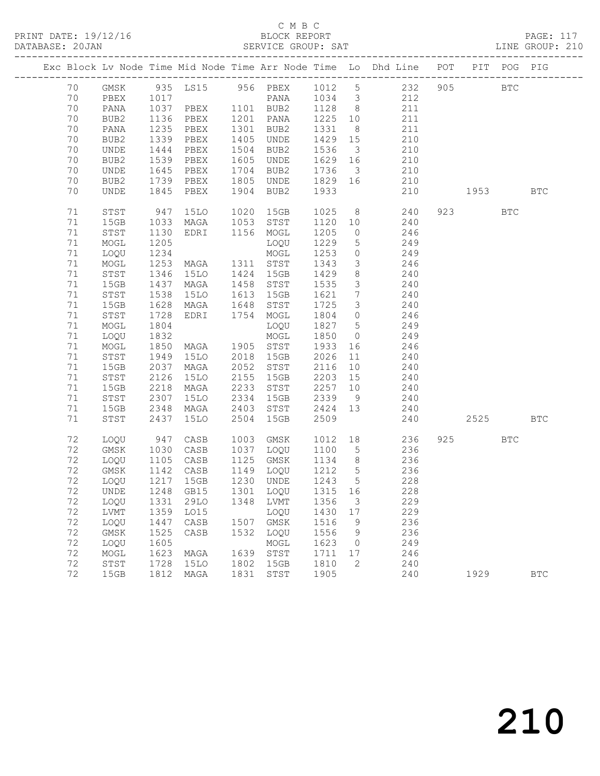PRINT DATE: 19/12/16 BLOCK REPORT<br>DATABASE: 20JAN BERVICE GROUP: SAT

### C M B C<br>BLOCK REPORT

PAGE: 117<br>LINE GROUP: 210

| Exc Block Lv Node Time Mid Node Time Arr Node Time Lo Dhd Line POT<br>PIT POG PIG<br>935 LS15 956 PBEX 1012 5 232<br>905<br>70<br>GMSK<br>$_{\rm BTC}$<br>70<br>1017<br>PANA 1034 3<br>212<br>PBEX<br>70<br>1037<br>1136<br>PBEX 1101 BUB2<br>1128<br>8 <sup>8</sup><br>211<br>PANA<br>70<br>1201 PANA<br>1225 10<br>211<br>BUB2<br>PBEX<br>1235<br>70<br>1301<br>1331<br>211<br>PANA<br>PBEX<br>BUB2<br>8 <sup>8</sup><br>70<br>1339<br>1405<br>BUB2<br>PBEX<br>UNDE<br>1429<br>15<br>210<br>1444<br>1504<br>1536<br>210<br>70<br>UNDE<br>PBEX<br>BUB2<br>$\overline{\mathbf{3}}$<br>$\frac{1}{1539}$<br>70<br>1605<br>1629<br>210<br>BUB2<br>PBEX<br>UNDE<br>16<br>1645<br>70<br>PBEX<br>1704<br>1736<br>$\overline{\mathbf{3}}$<br>210<br>UNDE<br>BUB2<br>70<br>1739<br>PBEX<br>1805<br>1829<br>210<br>BUB2<br>UNDE<br>16<br>1845<br>1904<br>1933<br>70<br><b>UNDE</b><br>PBEX<br>BUB2<br>210<br>1953   1953   1964   1965   1966   1967   1968   1968   1968   1969   1969   1969   1969   1969   1969   1969   1969   1969   1969   1969   1969   1969   1969   1969   1969   1969   1969   1969   1969   1969   1969   1969  <br><b>BTC</b><br>$8 - 1$<br>71<br>947<br><b>15LO</b><br>1020<br>15GB<br>1025<br>240<br>923<br>${\tt STST}$<br><b>BTC</b><br>71<br>1053<br>240<br>15GB<br>1033<br>MAGA<br>STST<br>1120<br>10<br>71<br>STST<br>1130<br>1156<br>1205<br>246<br>EDRI<br>MOGL<br>$\circ$<br>71<br>1205<br>1229<br>5 <sup>5</sup><br>249<br>MOGL<br>LOQU<br>71<br>1234<br>1253<br>249<br>LOQU<br>MOGL<br>$\circ$<br>71<br>1253<br>1311 STST<br>1343<br>$\mathcal{S}$<br>246<br>MOGL<br>MAGA<br>71<br>1346<br><b>15LO</b><br>1424<br>15GB<br>1429<br>8<br>STST<br>240<br>$\mathcal{S}$<br>71<br>15GB<br>1437<br>1458<br>1535<br>240<br>MAGA<br>STST<br>71<br>$7\overline{ }$<br>STST<br>1538<br>15LO<br>1613<br>15GB<br>1621<br>240<br>240<br>71<br>1628<br>1725<br>15GB<br>MAGA<br>1648<br>STST<br>$\mathcal{S}$<br>71<br>1728<br>$\circ$<br>246<br>STST<br>EDRI<br>1754<br>MOGL<br>1804<br>71<br>1804<br>1827<br>$5\overline{)}$<br>249<br>MOGL<br>LOQU<br>71<br>1832<br>1850<br>249<br>LOQU<br>MOGL<br>$\overline{0}$<br>71<br>1850<br>1905 STST<br>1933<br>246<br>MOGL<br>MAGA<br>16<br>71<br>1949<br><b>15LO</b><br>2018<br>15GB<br>2026<br>11<br>STST<br>240<br>71<br>15GB<br>2037<br>MAGA<br>2052<br>2116<br>10<br>240<br>STST<br>71<br>2126<br><b>15LO</b><br>2155<br>2203<br>15<br>STST<br>15GB<br>240<br>240<br>71<br>2218<br>2233<br>2257<br>15GB<br>MAGA<br>STST<br>10<br>71<br>2307<br><b>15LO</b><br>2334<br>2339<br>STST<br>15GB<br>9<br>240<br>71<br>2348<br>2403<br>2424 13<br>240<br>15GB<br>MAGA<br>STST<br>2509<br>71<br>2437<br>2504<br>15GB<br>2525<br>STST<br>15LO<br>240<br><b>BTC</b><br>72<br>1003<br>1012<br>18<br>236<br>925<br>LOQU<br>947<br>CASB<br>GMSK<br><b>BTC</b><br>72<br>GMSK<br>1030<br>CASB<br>1037<br>1100<br>236<br>LOQU<br>$5\overline{)}$<br>72<br>1125<br>GMSK<br>1134<br>8 <sup>8</sup><br>236<br>LOQU<br>1105<br>CASB<br>1142<br>236<br>1212<br>72<br>CASB<br>1149<br>LOQU<br>$5\overline{)}$<br>GMSK<br>72<br>1217<br>15GB<br>1230 UNDE<br>1243 5<br>228<br>LOQU<br>72<br>1248<br>1301<br>1315 16<br>GB15<br>228<br>LOQU<br>UNDE<br>72<br>1356<br>229<br>LOQU<br>1331<br>29LO<br>1348<br>LVMT<br>3 |    |      |      |      |      |      |      |     |  |  |
|-----------------------------------------------------------------------------------------------------------------------------------------------------------------------------------------------------------------------------------------------------------------------------------------------------------------------------------------------------------------------------------------------------------------------------------------------------------------------------------------------------------------------------------------------------------------------------------------------------------------------------------------------------------------------------------------------------------------------------------------------------------------------------------------------------------------------------------------------------------------------------------------------------------------------------------------------------------------------------------------------------------------------------------------------------------------------------------------------------------------------------------------------------------------------------------------------------------------------------------------------------------------------------------------------------------------------------------------------------------------------------------------------------------------------------------------------------------------------------------------------------------------------------------------------------------------------------------------------------------------------------------------------------------------------------------------------------------------------------------------------------------------------------------------------------------------------------------------------------------------------------------------------------------------------------------------------------------------------------------------------------------------------------------------------------------------------------------------------------------------------------------------------------------------------------------------------------------------------------------------------------------------------------------------------------------------------------------------------------------------------------------------------------------------------------------------------------------------------------------------------------------------------------------------------------------------------------------------------------------------------------------------------------------------------------------------------------------------------------------------------------------------------------------------------------------------------------------------------------------------------------------------------------------------------------------------------------------------------------------------------------------------------------------------------------------------------------------------------------------------------------------------------------------------------------------------------------------------------------------------------------------------|----|------|------|------|------|------|------|-----|--|--|
|                                                                                                                                                                                                                                                                                                                                                                                                                                                                                                                                                                                                                                                                                                                                                                                                                                                                                                                                                                                                                                                                                                                                                                                                                                                                                                                                                                                                                                                                                                                                                                                                                                                                                                                                                                                                                                                                                                                                                                                                                                                                                                                                                                                                                                                                                                                                                                                                                                                                                                                                                                                                                                                                                                                                                                                                                                                                                                                                                                                                                                                                                                                                                                                                                                                                 |    |      |      |      |      |      |      |     |  |  |
|                                                                                                                                                                                                                                                                                                                                                                                                                                                                                                                                                                                                                                                                                                                                                                                                                                                                                                                                                                                                                                                                                                                                                                                                                                                                                                                                                                                                                                                                                                                                                                                                                                                                                                                                                                                                                                                                                                                                                                                                                                                                                                                                                                                                                                                                                                                                                                                                                                                                                                                                                                                                                                                                                                                                                                                                                                                                                                                                                                                                                                                                                                                                                                                                                                                                 |    |      |      |      |      |      |      |     |  |  |
|                                                                                                                                                                                                                                                                                                                                                                                                                                                                                                                                                                                                                                                                                                                                                                                                                                                                                                                                                                                                                                                                                                                                                                                                                                                                                                                                                                                                                                                                                                                                                                                                                                                                                                                                                                                                                                                                                                                                                                                                                                                                                                                                                                                                                                                                                                                                                                                                                                                                                                                                                                                                                                                                                                                                                                                                                                                                                                                                                                                                                                                                                                                                                                                                                                                                 |    |      |      |      |      |      |      |     |  |  |
|                                                                                                                                                                                                                                                                                                                                                                                                                                                                                                                                                                                                                                                                                                                                                                                                                                                                                                                                                                                                                                                                                                                                                                                                                                                                                                                                                                                                                                                                                                                                                                                                                                                                                                                                                                                                                                                                                                                                                                                                                                                                                                                                                                                                                                                                                                                                                                                                                                                                                                                                                                                                                                                                                                                                                                                                                                                                                                                                                                                                                                                                                                                                                                                                                                                                 |    |      |      |      |      |      |      |     |  |  |
|                                                                                                                                                                                                                                                                                                                                                                                                                                                                                                                                                                                                                                                                                                                                                                                                                                                                                                                                                                                                                                                                                                                                                                                                                                                                                                                                                                                                                                                                                                                                                                                                                                                                                                                                                                                                                                                                                                                                                                                                                                                                                                                                                                                                                                                                                                                                                                                                                                                                                                                                                                                                                                                                                                                                                                                                                                                                                                                                                                                                                                                                                                                                                                                                                                                                 |    |      |      |      |      |      |      |     |  |  |
|                                                                                                                                                                                                                                                                                                                                                                                                                                                                                                                                                                                                                                                                                                                                                                                                                                                                                                                                                                                                                                                                                                                                                                                                                                                                                                                                                                                                                                                                                                                                                                                                                                                                                                                                                                                                                                                                                                                                                                                                                                                                                                                                                                                                                                                                                                                                                                                                                                                                                                                                                                                                                                                                                                                                                                                                                                                                                                                                                                                                                                                                                                                                                                                                                                                                 |    |      |      |      |      |      |      |     |  |  |
|                                                                                                                                                                                                                                                                                                                                                                                                                                                                                                                                                                                                                                                                                                                                                                                                                                                                                                                                                                                                                                                                                                                                                                                                                                                                                                                                                                                                                                                                                                                                                                                                                                                                                                                                                                                                                                                                                                                                                                                                                                                                                                                                                                                                                                                                                                                                                                                                                                                                                                                                                                                                                                                                                                                                                                                                                                                                                                                                                                                                                                                                                                                                                                                                                                                                 |    |      |      |      |      |      |      |     |  |  |
|                                                                                                                                                                                                                                                                                                                                                                                                                                                                                                                                                                                                                                                                                                                                                                                                                                                                                                                                                                                                                                                                                                                                                                                                                                                                                                                                                                                                                                                                                                                                                                                                                                                                                                                                                                                                                                                                                                                                                                                                                                                                                                                                                                                                                                                                                                                                                                                                                                                                                                                                                                                                                                                                                                                                                                                                                                                                                                                                                                                                                                                                                                                                                                                                                                                                 |    |      |      |      |      |      |      |     |  |  |
|                                                                                                                                                                                                                                                                                                                                                                                                                                                                                                                                                                                                                                                                                                                                                                                                                                                                                                                                                                                                                                                                                                                                                                                                                                                                                                                                                                                                                                                                                                                                                                                                                                                                                                                                                                                                                                                                                                                                                                                                                                                                                                                                                                                                                                                                                                                                                                                                                                                                                                                                                                                                                                                                                                                                                                                                                                                                                                                                                                                                                                                                                                                                                                                                                                                                 |    |      |      |      |      |      |      |     |  |  |
|                                                                                                                                                                                                                                                                                                                                                                                                                                                                                                                                                                                                                                                                                                                                                                                                                                                                                                                                                                                                                                                                                                                                                                                                                                                                                                                                                                                                                                                                                                                                                                                                                                                                                                                                                                                                                                                                                                                                                                                                                                                                                                                                                                                                                                                                                                                                                                                                                                                                                                                                                                                                                                                                                                                                                                                                                                                                                                                                                                                                                                                                                                                                                                                                                                                                 |    |      |      |      |      |      |      |     |  |  |
|                                                                                                                                                                                                                                                                                                                                                                                                                                                                                                                                                                                                                                                                                                                                                                                                                                                                                                                                                                                                                                                                                                                                                                                                                                                                                                                                                                                                                                                                                                                                                                                                                                                                                                                                                                                                                                                                                                                                                                                                                                                                                                                                                                                                                                                                                                                                                                                                                                                                                                                                                                                                                                                                                                                                                                                                                                                                                                                                                                                                                                                                                                                                                                                                                                                                 |    |      |      |      |      |      |      |     |  |  |
|                                                                                                                                                                                                                                                                                                                                                                                                                                                                                                                                                                                                                                                                                                                                                                                                                                                                                                                                                                                                                                                                                                                                                                                                                                                                                                                                                                                                                                                                                                                                                                                                                                                                                                                                                                                                                                                                                                                                                                                                                                                                                                                                                                                                                                                                                                                                                                                                                                                                                                                                                                                                                                                                                                                                                                                                                                                                                                                                                                                                                                                                                                                                                                                                                                                                 |    |      |      |      |      |      |      |     |  |  |
|                                                                                                                                                                                                                                                                                                                                                                                                                                                                                                                                                                                                                                                                                                                                                                                                                                                                                                                                                                                                                                                                                                                                                                                                                                                                                                                                                                                                                                                                                                                                                                                                                                                                                                                                                                                                                                                                                                                                                                                                                                                                                                                                                                                                                                                                                                                                                                                                                                                                                                                                                                                                                                                                                                                                                                                                                                                                                                                                                                                                                                                                                                                                                                                                                                                                 |    |      |      |      |      |      |      |     |  |  |
|                                                                                                                                                                                                                                                                                                                                                                                                                                                                                                                                                                                                                                                                                                                                                                                                                                                                                                                                                                                                                                                                                                                                                                                                                                                                                                                                                                                                                                                                                                                                                                                                                                                                                                                                                                                                                                                                                                                                                                                                                                                                                                                                                                                                                                                                                                                                                                                                                                                                                                                                                                                                                                                                                                                                                                                                                                                                                                                                                                                                                                                                                                                                                                                                                                                                 |    |      |      |      |      |      |      |     |  |  |
|                                                                                                                                                                                                                                                                                                                                                                                                                                                                                                                                                                                                                                                                                                                                                                                                                                                                                                                                                                                                                                                                                                                                                                                                                                                                                                                                                                                                                                                                                                                                                                                                                                                                                                                                                                                                                                                                                                                                                                                                                                                                                                                                                                                                                                                                                                                                                                                                                                                                                                                                                                                                                                                                                                                                                                                                                                                                                                                                                                                                                                                                                                                                                                                                                                                                 |    |      |      |      |      |      |      |     |  |  |
|                                                                                                                                                                                                                                                                                                                                                                                                                                                                                                                                                                                                                                                                                                                                                                                                                                                                                                                                                                                                                                                                                                                                                                                                                                                                                                                                                                                                                                                                                                                                                                                                                                                                                                                                                                                                                                                                                                                                                                                                                                                                                                                                                                                                                                                                                                                                                                                                                                                                                                                                                                                                                                                                                                                                                                                                                                                                                                                                                                                                                                                                                                                                                                                                                                                                 |    |      |      |      |      |      |      |     |  |  |
|                                                                                                                                                                                                                                                                                                                                                                                                                                                                                                                                                                                                                                                                                                                                                                                                                                                                                                                                                                                                                                                                                                                                                                                                                                                                                                                                                                                                                                                                                                                                                                                                                                                                                                                                                                                                                                                                                                                                                                                                                                                                                                                                                                                                                                                                                                                                                                                                                                                                                                                                                                                                                                                                                                                                                                                                                                                                                                                                                                                                                                                                                                                                                                                                                                                                 |    |      |      |      |      |      |      |     |  |  |
|                                                                                                                                                                                                                                                                                                                                                                                                                                                                                                                                                                                                                                                                                                                                                                                                                                                                                                                                                                                                                                                                                                                                                                                                                                                                                                                                                                                                                                                                                                                                                                                                                                                                                                                                                                                                                                                                                                                                                                                                                                                                                                                                                                                                                                                                                                                                                                                                                                                                                                                                                                                                                                                                                                                                                                                                                                                                                                                                                                                                                                                                                                                                                                                                                                                                 |    |      |      |      |      |      |      |     |  |  |
|                                                                                                                                                                                                                                                                                                                                                                                                                                                                                                                                                                                                                                                                                                                                                                                                                                                                                                                                                                                                                                                                                                                                                                                                                                                                                                                                                                                                                                                                                                                                                                                                                                                                                                                                                                                                                                                                                                                                                                                                                                                                                                                                                                                                                                                                                                                                                                                                                                                                                                                                                                                                                                                                                                                                                                                                                                                                                                                                                                                                                                                                                                                                                                                                                                                                 |    |      |      |      |      |      |      |     |  |  |
|                                                                                                                                                                                                                                                                                                                                                                                                                                                                                                                                                                                                                                                                                                                                                                                                                                                                                                                                                                                                                                                                                                                                                                                                                                                                                                                                                                                                                                                                                                                                                                                                                                                                                                                                                                                                                                                                                                                                                                                                                                                                                                                                                                                                                                                                                                                                                                                                                                                                                                                                                                                                                                                                                                                                                                                                                                                                                                                                                                                                                                                                                                                                                                                                                                                                 |    |      |      |      |      |      |      |     |  |  |
|                                                                                                                                                                                                                                                                                                                                                                                                                                                                                                                                                                                                                                                                                                                                                                                                                                                                                                                                                                                                                                                                                                                                                                                                                                                                                                                                                                                                                                                                                                                                                                                                                                                                                                                                                                                                                                                                                                                                                                                                                                                                                                                                                                                                                                                                                                                                                                                                                                                                                                                                                                                                                                                                                                                                                                                                                                                                                                                                                                                                                                                                                                                                                                                                                                                                 |    |      |      |      |      |      |      |     |  |  |
|                                                                                                                                                                                                                                                                                                                                                                                                                                                                                                                                                                                                                                                                                                                                                                                                                                                                                                                                                                                                                                                                                                                                                                                                                                                                                                                                                                                                                                                                                                                                                                                                                                                                                                                                                                                                                                                                                                                                                                                                                                                                                                                                                                                                                                                                                                                                                                                                                                                                                                                                                                                                                                                                                                                                                                                                                                                                                                                                                                                                                                                                                                                                                                                                                                                                 |    |      |      |      |      |      |      |     |  |  |
|                                                                                                                                                                                                                                                                                                                                                                                                                                                                                                                                                                                                                                                                                                                                                                                                                                                                                                                                                                                                                                                                                                                                                                                                                                                                                                                                                                                                                                                                                                                                                                                                                                                                                                                                                                                                                                                                                                                                                                                                                                                                                                                                                                                                                                                                                                                                                                                                                                                                                                                                                                                                                                                                                                                                                                                                                                                                                                                                                                                                                                                                                                                                                                                                                                                                 |    |      |      |      |      |      |      |     |  |  |
|                                                                                                                                                                                                                                                                                                                                                                                                                                                                                                                                                                                                                                                                                                                                                                                                                                                                                                                                                                                                                                                                                                                                                                                                                                                                                                                                                                                                                                                                                                                                                                                                                                                                                                                                                                                                                                                                                                                                                                                                                                                                                                                                                                                                                                                                                                                                                                                                                                                                                                                                                                                                                                                                                                                                                                                                                                                                                                                                                                                                                                                                                                                                                                                                                                                                 |    |      |      |      |      |      |      |     |  |  |
|                                                                                                                                                                                                                                                                                                                                                                                                                                                                                                                                                                                                                                                                                                                                                                                                                                                                                                                                                                                                                                                                                                                                                                                                                                                                                                                                                                                                                                                                                                                                                                                                                                                                                                                                                                                                                                                                                                                                                                                                                                                                                                                                                                                                                                                                                                                                                                                                                                                                                                                                                                                                                                                                                                                                                                                                                                                                                                                                                                                                                                                                                                                                                                                                                                                                 |    |      |      |      |      |      |      |     |  |  |
|                                                                                                                                                                                                                                                                                                                                                                                                                                                                                                                                                                                                                                                                                                                                                                                                                                                                                                                                                                                                                                                                                                                                                                                                                                                                                                                                                                                                                                                                                                                                                                                                                                                                                                                                                                                                                                                                                                                                                                                                                                                                                                                                                                                                                                                                                                                                                                                                                                                                                                                                                                                                                                                                                                                                                                                                                                                                                                                                                                                                                                                                                                                                                                                                                                                                 |    |      |      |      |      |      |      |     |  |  |
|                                                                                                                                                                                                                                                                                                                                                                                                                                                                                                                                                                                                                                                                                                                                                                                                                                                                                                                                                                                                                                                                                                                                                                                                                                                                                                                                                                                                                                                                                                                                                                                                                                                                                                                                                                                                                                                                                                                                                                                                                                                                                                                                                                                                                                                                                                                                                                                                                                                                                                                                                                                                                                                                                                                                                                                                                                                                                                                                                                                                                                                                                                                                                                                                                                                                 |    |      |      |      |      |      |      |     |  |  |
|                                                                                                                                                                                                                                                                                                                                                                                                                                                                                                                                                                                                                                                                                                                                                                                                                                                                                                                                                                                                                                                                                                                                                                                                                                                                                                                                                                                                                                                                                                                                                                                                                                                                                                                                                                                                                                                                                                                                                                                                                                                                                                                                                                                                                                                                                                                                                                                                                                                                                                                                                                                                                                                                                                                                                                                                                                                                                                                                                                                                                                                                                                                                                                                                                                                                 |    |      |      |      |      |      |      |     |  |  |
|                                                                                                                                                                                                                                                                                                                                                                                                                                                                                                                                                                                                                                                                                                                                                                                                                                                                                                                                                                                                                                                                                                                                                                                                                                                                                                                                                                                                                                                                                                                                                                                                                                                                                                                                                                                                                                                                                                                                                                                                                                                                                                                                                                                                                                                                                                                                                                                                                                                                                                                                                                                                                                                                                                                                                                                                                                                                                                                                                                                                                                                                                                                                                                                                                                                                 |    |      |      |      |      |      |      |     |  |  |
|                                                                                                                                                                                                                                                                                                                                                                                                                                                                                                                                                                                                                                                                                                                                                                                                                                                                                                                                                                                                                                                                                                                                                                                                                                                                                                                                                                                                                                                                                                                                                                                                                                                                                                                                                                                                                                                                                                                                                                                                                                                                                                                                                                                                                                                                                                                                                                                                                                                                                                                                                                                                                                                                                                                                                                                                                                                                                                                                                                                                                                                                                                                                                                                                                                                                 |    |      |      |      |      |      |      |     |  |  |
|                                                                                                                                                                                                                                                                                                                                                                                                                                                                                                                                                                                                                                                                                                                                                                                                                                                                                                                                                                                                                                                                                                                                                                                                                                                                                                                                                                                                                                                                                                                                                                                                                                                                                                                                                                                                                                                                                                                                                                                                                                                                                                                                                                                                                                                                                                                                                                                                                                                                                                                                                                                                                                                                                                                                                                                                                                                                                                                                                                                                                                                                                                                                                                                                                                                                 |    |      |      |      |      |      |      |     |  |  |
|                                                                                                                                                                                                                                                                                                                                                                                                                                                                                                                                                                                                                                                                                                                                                                                                                                                                                                                                                                                                                                                                                                                                                                                                                                                                                                                                                                                                                                                                                                                                                                                                                                                                                                                                                                                                                                                                                                                                                                                                                                                                                                                                                                                                                                                                                                                                                                                                                                                                                                                                                                                                                                                                                                                                                                                                                                                                                                                                                                                                                                                                                                                                                                                                                                                                 |    |      |      |      |      |      |      |     |  |  |
|                                                                                                                                                                                                                                                                                                                                                                                                                                                                                                                                                                                                                                                                                                                                                                                                                                                                                                                                                                                                                                                                                                                                                                                                                                                                                                                                                                                                                                                                                                                                                                                                                                                                                                                                                                                                                                                                                                                                                                                                                                                                                                                                                                                                                                                                                                                                                                                                                                                                                                                                                                                                                                                                                                                                                                                                                                                                                                                                                                                                                                                                                                                                                                                                                                                                 |    |      |      |      |      |      |      |     |  |  |
|                                                                                                                                                                                                                                                                                                                                                                                                                                                                                                                                                                                                                                                                                                                                                                                                                                                                                                                                                                                                                                                                                                                                                                                                                                                                                                                                                                                                                                                                                                                                                                                                                                                                                                                                                                                                                                                                                                                                                                                                                                                                                                                                                                                                                                                                                                                                                                                                                                                                                                                                                                                                                                                                                                                                                                                                                                                                                                                                                                                                                                                                                                                                                                                                                                                                 |    |      |      |      |      |      |      |     |  |  |
|                                                                                                                                                                                                                                                                                                                                                                                                                                                                                                                                                                                                                                                                                                                                                                                                                                                                                                                                                                                                                                                                                                                                                                                                                                                                                                                                                                                                                                                                                                                                                                                                                                                                                                                                                                                                                                                                                                                                                                                                                                                                                                                                                                                                                                                                                                                                                                                                                                                                                                                                                                                                                                                                                                                                                                                                                                                                                                                                                                                                                                                                                                                                                                                                                                                                 |    |      |      |      |      |      |      |     |  |  |
|                                                                                                                                                                                                                                                                                                                                                                                                                                                                                                                                                                                                                                                                                                                                                                                                                                                                                                                                                                                                                                                                                                                                                                                                                                                                                                                                                                                                                                                                                                                                                                                                                                                                                                                                                                                                                                                                                                                                                                                                                                                                                                                                                                                                                                                                                                                                                                                                                                                                                                                                                                                                                                                                                                                                                                                                                                                                                                                                                                                                                                                                                                                                                                                                                                                                 |    |      |      |      |      |      |      |     |  |  |
|                                                                                                                                                                                                                                                                                                                                                                                                                                                                                                                                                                                                                                                                                                                                                                                                                                                                                                                                                                                                                                                                                                                                                                                                                                                                                                                                                                                                                                                                                                                                                                                                                                                                                                                                                                                                                                                                                                                                                                                                                                                                                                                                                                                                                                                                                                                                                                                                                                                                                                                                                                                                                                                                                                                                                                                                                                                                                                                                                                                                                                                                                                                                                                                                                                                                 |    |      |      |      |      |      |      |     |  |  |
|                                                                                                                                                                                                                                                                                                                                                                                                                                                                                                                                                                                                                                                                                                                                                                                                                                                                                                                                                                                                                                                                                                                                                                                                                                                                                                                                                                                                                                                                                                                                                                                                                                                                                                                                                                                                                                                                                                                                                                                                                                                                                                                                                                                                                                                                                                                                                                                                                                                                                                                                                                                                                                                                                                                                                                                                                                                                                                                                                                                                                                                                                                                                                                                                                                                                 |    |      |      |      |      |      |      |     |  |  |
|                                                                                                                                                                                                                                                                                                                                                                                                                                                                                                                                                                                                                                                                                                                                                                                                                                                                                                                                                                                                                                                                                                                                                                                                                                                                                                                                                                                                                                                                                                                                                                                                                                                                                                                                                                                                                                                                                                                                                                                                                                                                                                                                                                                                                                                                                                                                                                                                                                                                                                                                                                                                                                                                                                                                                                                                                                                                                                                                                                                                                                                                                                                                                                                                                                                                 |    |      |      |      |      |      |      |     |  |  |
|                                                                                                                                                                                                                                                                                                                                                                                                                                                                                                                                                                                                                                                                                                                                                                                                                                                                                                                                                                                                                                                                                                                                                                                                                                                                                                                                                                                                                                                                                                                                                                                                                                                                                                                                                                                                                                                                                                                                                                                                                                                                                                                                                                                                                                                                                                                                                                                                                                                                                                                                                                                                                                                                                                                                                                                                                                                                                                                                                                                                                                                                                                                                                                                                                                                                 |    |      |      |      |      |      |      |     |  |  |
|                                                                                                                                                                                                                                                                                                                                                                                                                                                                                                                                                                                                                                                                                                                                                                                                                                                                                                                                                                                                                                                                                                                                                                                                                                                                                                                                                                                                                                                                                                                                                                                                                                                                                                                                                                                                                                                                                                                                                                                                                                                                                                                                                                                                                                                                                                                                                                                                                                                                                                                                                                                                                                                                                                                                                                                                                                                                                                                                                                                                                                                                                                                                                                                                                                                                 | 72 | LVMT | 1359 | L015 | LOQU | 1430 | $17$ | 229 |  |  |
| 72<br>LOQU<br>1507<br>1516<br>236<br>1447<br>CASB<br>GMSK<br>9                                                                                                                                                                                                                                                                                                                                                                                                                                                                                                                                                                                                                                                                                                                                                                                                                                                                                                                                                                                                                                                                                                                                                                                                                                                                                                                                                                                                                                                                                                                                                                                                                                                                                                                                                                                                                                                                                                                                                                                                                                                                                                                                                                                                                                                                                                                                                                                                                                                                                                                                                                                                                                                                                                                                                                                                                                                                                                                                                                                                                                                                                                                                                                                                  |    |      |      |      |      |      |      |     |  |  |
| 72<br>$\rm{GMSK}$<br>1525<br>1532<br>LOQU<br>1556<br>236<br>CASB<br>9                                                                                                                                                                                                                                                                                                                                                                                                                                                                                                                                                                                                                                                                                                                                                                                                                                                                                                                                                                                                                                                                                                                                                                                                                                                                                                                                                                                                                                                                                                                                                                                                                                                                                                                                                                                                                                                                                                                                                                                                                                                                                                                                                                                                                                                                                                                                                                                                                                                                                                                                                                                                                                                                                                                                                                                                                                                                                                                                                                                                                                                                                                                                                                                           |    |      |      |      |      |      |      |     |  |  |
| 72<br>LOQU<br>1605<br>1623<br>249<br>MOGL<br>0                                                                                                                                                                                                                                                                                                                                                                                                                                                                                                                                                                                                                                                                                                                                                                                                                                                                                                                                                                                                                                                                                                                                                                                                                                                                                                                                                                                                                                                                                                                                                                                                                                                                                                                                                                                                                                                                                                                                                                                                                                                                                                                                                                                                                                                                                                                                                                                                                                                                                                                                                                                                                                                                                                                                                                                                                                                                                                                                                                                                                                                                                                                                                                                                                  |    |      |      |      |      |      |      |     |  |  |
| 72<br>1623<br>246<br>$\sf{MOGL}$<br>1639<br>STST<br>1711<br>MAGA<br>17                                                                                                                                                                                                                                                                                                                                                                                                                                                                                                                                                                                                                                                                                                                                                                                                                                                                                                                                                                                                                                                                                                                                                                                                                                                                                                                                                                                                                                                                                                                                                                                                                                                                                                                                                                                                                                                                                                                                                                                                                                                                                                                                                                                                                                                                                                                                                                                                                                                                                                                                                                                                                                                                                                                                                                                                                                                                                                                                                                                                                                                                                                                                                                                          |    |      |      |      |      |      |      |     |  |  |
| 72<br>240<br>STST<br>1728<br><b>15LO</b><br>1802<br>15GB<br>1810<br>2                                                                                                                                                                                                                                                                                                                                                                                                                                                                                                                                                                                                                                                                                                                                                                                                                                                                                                                                                                                                                                                                                                                                                                                                                                                                                                                                                                                                                                                                                                                                                                                                                                                                                                                                                                                                                                                                                                                                                                                                                                                                                                                                                                                                                                                                                                                                                                                                                                                                                                                                                                                                                                                                                                                                                                                                                                                                                                                                                                                                                                                                                                                                                                                           |    |      |      |      |      |      |      |     |  |  |
| 72<br>15GB<br>1831<br>STST<br>1905<br>240<br>1929<br>1812<br>MAGA<br><b>BTC</b>                                                                                                                                                                                                                                                                                                                                                                                                                                                                                                                                                                                                                                                                                                                                                                                                                                                                                                                                                                                                                                                                                                                                                                                                                                                                                                                                                                                                                                                                                                                                                                                                                                                                                                                                                                                                                                                                                                                                                                                                                                                                                                                                                                                                                                                                                                                                                                                                                                                                                                                                                                                                                                                                                                                                                                                                                                                                                                                                                                                                                                                                                                                                                                                 |    |      |      |      |      |      |      |     |  |  |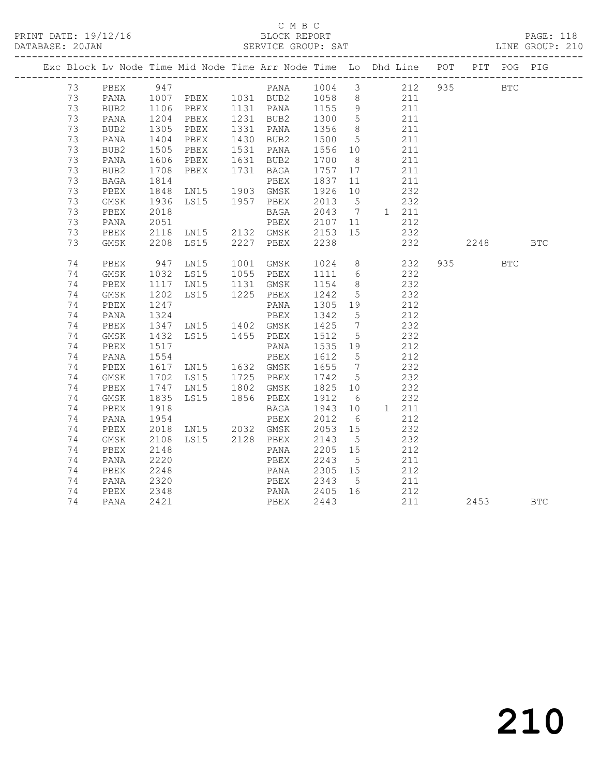|  |          |              |                               |                                                      |                                       |                   |                 | Exc Block Lv Node Time Mid Node Time Arr Node Time Lo Dhd Line POT        |          | PIT POG PIG |  |
|--|----------|--------------|-------------------------------|------------------------------------------------------|---------------------------------------|-------------------|-----------------|---------------------------------------------------------------------------|----------|-------------|--|
|  |          |              |                               |                                                      |                                       |                   |                 | 73 PBEX 947 PANA 1004 3 212 935<br>73 PANA 1007 PBEX 1031 BUB2 1058 8 211 |          | <b>BTC</b>  |  |
|  |          |              |                               |                                                      |                                       |                   |                 |                                                                           |          |             |  |
|  | 73       | BUB2         |                               | 1106 PBEX 1131 PANA 1155 9 211                       |                                       |                   |                 |                                                                           |          |             |  |
|  | 73       | PANA         | 1204<br>1305                  | PBEX 1231 BUB2<br>PBEX 1331 PANA                     |                                       | 1300<br>1356      | $5\overline{)}$ | $\frac{1}{2}$                                                             |          |             |  |
|  | 73       | BUB2         |                               |                                                      |                                       |                   | 8 <sup>8</sup>  | 211                                                                       |          |             |  |
|  | 73       | PANA         |                               | 1404 PBEX 1430 BUB2                                  |                                       | 1500 5            |                 | 211                                                                       |          |             |  |
|  | 73       | BUB2         | 1505<br>1606                  | PBEX 1531 PANA<br>PBEX 1631 BUB2                     |                                       | 1556 10<br>1700 8 |                 | 211                                                                       |          |             |  |
|  | 73       | PANA         |                               |                                                      |                                       |                   |                 | 211                                                                       |          |             |  |
|  | 73       | BUB2         | 1708                          |                                                      | PBEX 1731 BAGA 1757 17                |                   |                 | 211                                                                       |          |             |  |
|  | 73       | BAGA         | 1814                          |                                                      | PBEX                                  | 1837              | 11              | 211                                                                       |          |             |  |
|  | 73       | PBEX         | 1848                          | EBEA<br>LN15 1903 GMSK<br>LS15 1957 PBEX             |                                       | 1926 10           |                 | 232                                                                       |          |             |  |
|  | 73       | GMSK         | 1936                          |                                                      |                                       |                   |                 | $2013$ 5 232                                                              |          |             |  |
|  | 73       | PBEX         | 2018                          |                                                      |                                       |                   |                 | BAGA 2043 7 1 211                                                         |          |             |  |
|  | 73       | PANA         |                               |                                                      |                                       |                   |                 | 212                                                                       |          |             |  |
|  | 73       | PBEX         |                               |                                                      |                                       |                   |                 | $\frac{1}{2}$ 32                                                          |          |             |  |
|  | 73       | GMSK         |                               | 2208 LS15 2227 PBEX 2238                             |                                       |                   |                 | 232                                                                       | 2248 BTC |             |  |
|  |          |              |                               |                                                      |                                       |                   |                 |                                                                           |          |             |  |
|  | 74       | PBEX         | 947                           | LN15                                                 |                                       |                   |                 | 1001 GMSK 1024 8 232                                                      | 935      | <b>BTC</b>  |  |
|  | 74       | GMSK         | 1032                          | LS15 1055 PBEX                                       |                                       | 1111 6            |                 | 232                                                                       |          |             |  |
|  | 74       | PBEX         | 1117<br>1202                  | LN15 1131 GMSK<br>LS15 1225 PBEX                     |                                       | 1154 8<br>1242 5  |                 | 232                                                                       |          |             |  |
|  | 74       | GMSK         |                               |                                                      |                                       |                   |                 | 232                                                                       |          |             |  |
|  | 74       | PBEX         | 1247                          |                                                      | PANA                                  | 1305 19           |                 | 212                                                                       |          |             |  |
|  | 74       | PANA         |                               |                                                      |                                       | 1342 5<br>1425 7  | $5\overline{)}$ | 212                                                                       |          |             |  |
|  | 74       | PBEX         |                               |                                                      |                                       |                   |                 | 232                                                                       |          |             |  |
|  | 74       | GMSK         | 1432                          | LS15 1455 PBEX                                       |                                       | 1512 5            |                 | 232                                                                       |          |             |  |
|  | 74       | PBEX         | 1517                          | PANA 1535 19<br>PBEX 1612 5<br>LN15 1632 GMSK 1655 7 |                                       | 1535 19           |                 | 212                                                                       |          |             |  |
|  | 74       | PANA         | 1554<br>1617                  |                                                      |                                       |                   |                 | 212                                                                       |          |             |  |
|  | 74       | PBEX         |                               |                                                      |                                       |                   |                 | 232                                                                       |          |             |  |
|  | 74       | GMSK         |                               | LS15 1725 PBEX                                       |                                       | 1742 5            |                 | 232                                                                       |          |             |  |
|  | 74       | PBEX         | 1702<br>1747<br>1835          | LN15 1802 GMSK<br>LS15 1856 PBEX                     |                                       | 1825 10<br>1912 6 |                 | 232                                                                       |          |             |  |
|  | 74       | GMSK         |                               |                                                      |                                       |                   |                 | 232                                                                       |          |             |  |
|  | 74<br>74 | PBEX         | 1918<br>$-318$<br>1954<br>200 |                                                      | BAGA                                  | 1943 10           |                 | 1 211<br>212                                                              |          |             |  |
|  | 74       | PANA<br>PBEX |                               |                                                      | PBEX 2012 6<br>LN15 2032 GMSK 2053 15 |                   |                 | 232                                                                       |          |             |  |
|  |          |              |                               |                                                      | LS15 2128 PBEX 2143                   |                   |                 | 232                                                                       |          |             |  |
|  | 74<br>74 | GMSK<br>PBEX | 2108<br>2148                  |                                                      |                                       |                   | 5               |                                                                           |          |             |  |
|  | 74       | PANA         | 2220                          |                                                      | PANA 2205 15<br>PBEX                  | 2243              | $5\overline{)}$ | 212<br>211                                                                |          |             |  |
|  | 74       | PBEX         | 2248                          |                                                      | PANA 2305 15                          |                   |                 | 212                                                                       |          |             |  |
|  | 74       | PANA         | 2320                          |                                                      |                                       |                   | $5\overline{)}$ | 211                                                                       |          |             |  |
|  | 74       | PBEX         | 2348                          |                                                      | PBEX 2343                             |                   |                 |                                                                           |          |             |  |
|  | 74       | PANA         | 2421                          |                                                      | PANA 2405 16<br>PBEX 2443<br>PBEX     | 2443              |                 | $\begin{array}{c} 212 \\ 211 \end{array}$                                 | 2453 BTC |             |  |
|  |          |              |                               |                                                      |                                       |                   |                 |                                                                           |          |             |  |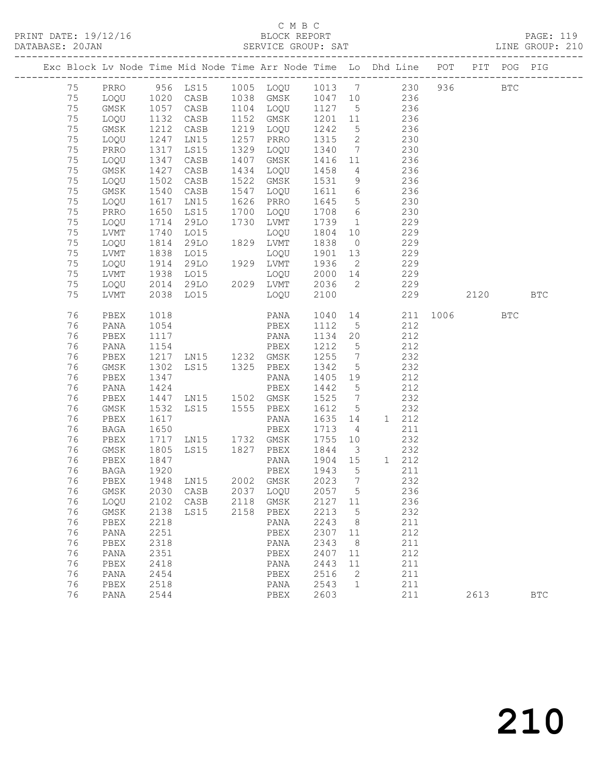# C M B C<br>BLOCK REPORT

| DATABASE: 20JAN |          |              |              |                        |                                    |                  |                         | SERVICE GROUP: SAT LINE GROUP: 210                                                                  |     |      |            |              |  |
|-----------------|----------|--------------|--------------|------------------------|------------------------------------|------------------|-------------------------|-----------------------------------------------------------------------------------------------------|-----|------|------------|--------------|--|
|                 |          |              |              |                        |                                    |                  |                         | Exc Block Lv Node Time Mid Node Time Arr Node Time Lo Dhd Line POT PIT POG PIG                      |     |      |            |              |  |
|                 | 75       |              |              |                        |                                    |                  |                         | PRRO 956 LS15 1005 LOQU 1013 7 230 936 BTC                                                          |     |      |            |              |  |
|                 | 75       |              |              |                        |                                    |                  |                         | LOQU 1020 CASB 1038 GMSK 1047 10 236                                                                |     |      |            |              |  |
|                 | 75       | GMSK         |              |                        |                                    |                  |                         | 1057 CASB 1104 LOQU 1127 5 236<br>1132 CASB 1152 GMSK 1201 11 236<br>1212 CASB 1219 LOQU 1242 5 236 |     |      |            |              |  |
|                 | 75       | LOQU         |              |                        |                                    |                  |                         |                                                                                                     |     |      |            |              |  |
|                 | 75       | GMSK         |              |                        | 1219 LOQU                          |                  |                         |                                                                                                     |     |      |            |              |  |
|                 | 75       | LOQU         | 1247         | LN15                   | 1257 PRRO                          | 1315             |                         | 2 230                                                                                               |     |      |            |              |  |
|                 | 75       | PRRO         | 1317         | LS15                   | 1329 LOQU                          |                  |                         | 1340 7 230                                                                                          |     |      |            |              |  |
|                 | 75       | LOQU         | 1347<br>1427 | CASB                   | 1407 GMSK                          | 1416 11          |                         | 236                                                                                                 |     |      |            |              |  |
|                 | 75       | GMSK         |              | CASB                   | 1434 LOQU                          | 1458 4           |                         | 236                                                                                                 |     |      |            |              |  |
|                 | 75       | LOQU         | 1502         | CASB                   | 1522 GMSK                          |                  |                         | 1531 9 236                                                                                          |     |      |            |              |  |
|                 | 75       | GMSK         | 1540         | CASB                   | 1547 LOQU                          |                  |                         | 1611 6 236                                                                                          |     |      |            |              |  |
|                 | 75       | LOQU         | 1617<br>1650 | LN15                   | 1626 PRRO                          | 1645 5<br>1708 6 |                         | $\begin{array}{c} 230 \\ 230 \end{array}$                                                           |     |      |            |              |  |
|                 | 75       | PRRO         | 1714         | LS15                   | 1700 LOQU                          |                  |                         | 230<br>1 229                                                                                        |     |      |            |              |  |
|                 | 75       | LOQU         |              | 29LO                   | 1730 LVMT                          | 1739             |                         |                                                                                                     |     |      |            |              |  |
|                 | 75<br>75 | LVMT<br>LOQU | 1740         | LO15<br>29LO           | LOQU<br>1829 LVMT                  | 1804<br>1838     |                         | 10 229<br>229                                                                                       |     |      |            |              |  |
|                 | 75       | LVMT         | 1814<br>1838 | LO15                   | LOQU                               | 1901 13          | $\overline{0}$          | 229                                                                                                 |     |      |            |              |  |
|                 | 75       | LOQU         | 1914         | 29LO 1929 LVMT         |                                    | 1936             |                         | 2 229                                                                                               |     |      |            |              |  |
|                 | 75       | LVMT         | 1938         |                        | LOQU                               |                  |                         | 2000 14 229                                                                                         |     |      |            |              |  |
|                 | 75       | LOQU         |              |                        |                                    |                  |                         | 2036 2 229                                                                                          |     |      |            |              |  |
|                 | 75       | LVMT         |              | 2014 29LO<br>2038 LO15 | LOQU                               | 2100             |                         |                                                                                                     | 229 | 2120 |            | <b>BTC</b>   |  |
|                 | 76       | PBEX         | 1018         |                        |                                    |                  |                         | PANA 1040 14 211 1006                                                                               |     |      | <b>BTC</b> |              |  |
|                 | 76       | PANA         | 1054         |                        | PBEX                               | 1112 5           |                         | 212                                                                                                 |     |      |            |              |  |
|                 | 76       | PBEX         | 1117         | PBEX<br>PANA<br>PBEX   |                                    | 1134 20          |                         | 212                                                                                                 |     |      |            |              |  |
|                 | 76       | PANA         | 1154         |                        |                                    | 1212 5           |                         | 212                                                                                                 |     |      |            |              |  |
|                 | 76       | PBEX         |              | 1217 LN15 1232 GMSK    |                                    | 1255 7           |                         | 232                                                                                                 |     |      |            |              |  |
|                 | 76       | GMSK         | 1302         | LS15 1325 PBEX         |                                    | 1342             | $5\overline{)}$         | 232                                                                                                 |     |      |            |              |  |
|                 | 76       | PBEX         | 1347<br>1424 |                        | PANA                               | 1405 19          |                         | 212<br>212                                                                                          |     |      |            |              |  |
|                 | 76<br>76 | PANA<br>PBEX | 1447         | LN15 1502 GMSK         | PBEX                               | 1442 5<br>1525 7 |                         | 232                                                                                                 |     |      |            |              |  |
|                 | 76       | GMSK         | 1532         | LS15 1555 PBEX         |                                    | 1612 5           |                         | 232                                                                                                 |     |      |            |              |  |
|                 | 76       | PBEX         | 1617         |                        |                                    | 1635 14          |                         | 1 212                                                                                               |     |      |            |              |  |
|                 | 76       | BAGA         |              |                        |                                    | 1713 4           |                         | 211                                                                                                 |     |      |            |              |  |
|                 | 76       | PBEX         |              |                        |                                    | 1755 10          |                         | 232                                                                                                 |     |      |            |              |  |
|                 | 76       | GMSK         | 1805         | LS15 1827 PBEX         |                                    | 1844             | $\overline{\mathbf{3}}$ | 232                                                                                                 |     |      |            |              |  |
|                 | 76       | PBEX         |              |                        | PANA                               |                  |                         | 1904 15 1 212                                                                                       |     |      |            |              |  |
|                 | 76       | BAGA         | 1847<br>1920 |                        | PBEX                               | 1943             | $5^{\circ}$             | 211                                                                                                 |     |      |            |              |  |
|                 |          |              |              |                        | 76 PBEX 1948 LN15 2002 GMSK 2023 7 |                  |                         | 232                                                                                                 |     |      |            |              |  |
|                 | 76       | GMSK         |              | 2030 CASB              | 2037 LOQU                          | 2057 5           |                         | 236                                                                                                 |     |      |            |              |  |
|                 | 76       | LOQU         |              | 2102 CASB 2118 GMSK    |                                    | 2127 11          |                         | 236                                                                                                 |     |      |            |              |  |
|                 | 76       | GMSK         | 2138         | LS15                   | 2158 PBEX                          | 2213             | $5\phantom{0}$          | 232                                                                                                 |     |      |            |              |  |
|                 | 76       | PBEX         | 2218         |                        | PANA                               | 2243             | 8 <sup>8</sup>          | 211                                                                                                 |     |      |            |              |  |
|                 | 76       | PANA         | 2251         |                        | PBEX                               | 2307             | 11                      | 212                                                                                                 |     |      |            |              |  |
|                 | 76       | PBEX         | 2318         |                        | PANA                               | 2343             | 8                       | 211                                                                                                 |     |      |            |              |  |
|                 | 76       | PANA         | 2351         |                        | PBEX                               | 2407             | 11                      | 212                                                                                                 |     |      |            |              |  |
|                 | 76       | PBEX         | 2418         |                        | PANA                               | 2443             | 11                      | 211                                                                                                 |     |      |            |              |  |
|                 | 76       | PANA         | 2454         |                        | PBEX                               | 2516             | 2                       | 211                                                                                                 |     |      |            |              |  |
|                 | 76       | PBEX         | 2518         |                        | PANA                               | 2543             | 1                       | 211                                                                                                 |     |      |            |              |  |
|                 | 76       | PANA         | 2544         |                        | PBEX                               | 2603             |                         | 211                                                                                                 |     | 2613 |            | $_{\rm BTC}$ |  |
|                 |          |              |              |                        |                                    |                  |                         |                                                                                                     |     |      |            |              |  |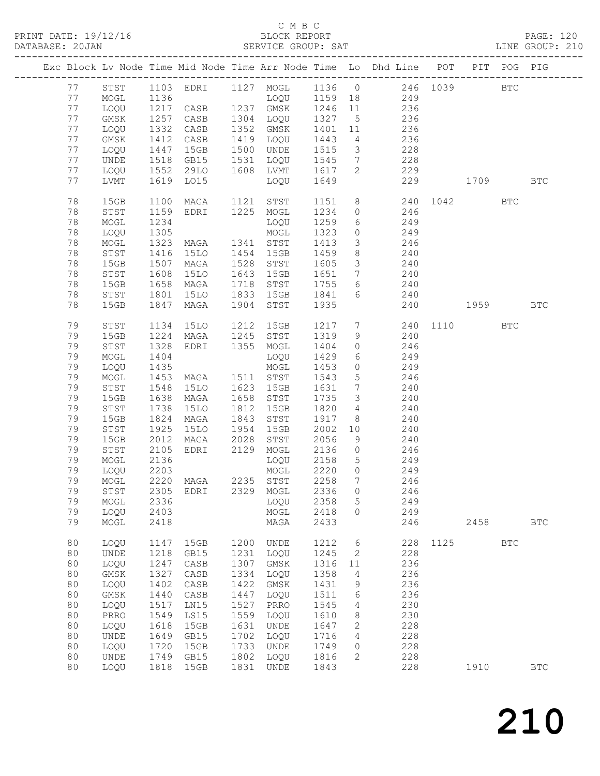### C M B C<br>BLOCK REPORT

| DATABASE: 20JAN |    |      |              | .<br>._____________________________ |      |                                     |         |                         |                                                                                |              |      |            | SERVICE GROUP: SAT LINE GROUP: 210 |
|-----------------|----|------|--------------|-------------------------------------|------|-------------------------------------|---------|-------------------------|--------------------------------------------------------------------------------|--------------|------|------------|------------------------------------|
|                 |    |      |              |                                     |      |                                     |         |                         | Exc Block Lv Node Time Mid Node Time Arr Node Time Lo Dhd Line POT PIT POG PIG |              |      |            |                                    |
|                 |    |      |              |                                     |      |                                     |         |                         | 77 STST 1103 EDRI 1127 MOGL 1136 0 246 1039 BTC                                |              |      |            |                                    |
|                 | 77 | MOGL | 1136         |                                     |      |                                     |         |                         | LOQU 1159 18 249                                                               |              |      |            |                                    |
|                 | 77 | LOQU |              |                                     |      |                                     |         |                         |                                                                                |              |      |            |                                    |
|                 | 77 | GMSK |              | CASB                                |      |                                     |         |                         |                                                                                |              |      |            |                                    |
|                 | 77 | LOQU | 1257<br>1332 | CASB                                |      |                                     |         |                         | 1304 LOQU 1327 5 236<br>1352 GMSK 1401 11 236<br>1419 LOQU 1443 4 236          |              |      |            |                                    |
|                 |    |      | 1412         |                                     |      |                                     |         |                         |                                                                                |              |      |            |                                    |
|                 | 77 | GMSK |              | CASB                                |      |                                     |         |                         |                                                                                |              |      |            |                                    |
|                 | 77 | LOQU | 1447         | 15GB                                |      | 1500 UNDE                           | 1515    |                         | 3 228                                                                          |              |      |            |                                    |
|                 | 77 | UNDE | 1518         | GB15                                |      |                                     |         |                         | 1531 LOQU 1545 7 228                                                           |              |      |            |                                    |
|                 | 77 | LOQU |              | 1552 29LO<br>1619 LO15<br>29LO      |      | 1608 LVMT                           | 1617 2  |                         | 229                                                                            |              |      |            |                                    |
|                 | 77 | LVMT |              |                                     |      | $\overline{10QU}$ $\overline{1649}$ |         |                         |                                                                                | 229 1709 BTC |      |            |                                    |
|                 | 78 | 15GB | 1100         | MAGA 1121 STST                      |      |                                     |         |                         | 1151 8 240 1042 BTC                                                            |              |      |            |                                    |
|                 | 78 | STST | 1159         | EDRI 1225 MOGL                      |      |                                     | 1234    | $\overline{0}$          | 246                                                                            |              |      |            |                                    |
|                 | 78 | MOGL | 1234         |                                     |      | LOQU                                | 1259    |                         | $6 \t 249$                                                                     |              |      |            |                                    |
|                 | 78 | LOQU | 1305         |                                     |      | MOGL                                | 1323    |                         | $0$ 249                                                                        |              |      |            |                                    |
|                 | 78 | MOGL | 1323         | MAGA 1341 STST                      |      |                                     | 1413    | $\overline{\mathbf{3}}$ | 246                                                                            |              |      |            |                                    |
|                 | 78 | STST |              | 15LO                                |      | 1454 15GB                           | 1459    |                         |                                                                                |              |      |            |                                    |
|                 | 78 |      | 1416<br>1507 | MAGA                                |      | 1528 STST                           | 1605    |                         | $\begin{array}{ccc}\n & 240 \\ 3 & 240\n\end{array}$                           |              |      |            |                                    |
|                 |    | 15GB |              |                                     |      |                                     |         |                         | 1651 7 240                                                                     |              |      |            |                                    |
|                 | 78 | STST | 1608         | 15LO                                | 1643 | 15GB                                |         |                         |                                                                                |              |      |            |                                    |
|                 | 78 | 15GB | 1658         | MAGA                                |      | 1718 STST                           | 1755    |                         | 6 240                                                                          |              |      |            |                                    |
|                 | 78 | STST | 1801<br>1847 | 15LO                                |      | 1833 15GB                           | 1841 6  |                         | 240                                                                            |              |      |            |                                    |
|                 | 78 | 15GB |              | MAGA                                |      | 1904 STST                           | 1935    |                         |                                                                                | 240 1959     |      |            | <b>BTC</b>                         |
|                 | 79 | STST | 1134         | 15LO                                |      | 1212 15GB                           |         |                         | 1217 7 240 1110                                                                |              |      | <b>BTC</b> |                                    |
|                 | 79 | 15GB |              |                                     |      |                                     | 1319    | $\frac{1}{9}$           | 240                                                                            |              |      |            |                                    |
|                 | 79 | STST | 1224<br>1328 |                                     |      | MAGA 1245 STST<br>EDRI 1355 MOGL    | 1404    | $\overline{0}$          | 246                                                                            |              |      |            |                                    |
|                 | 79 | MOGL | 1404         |                                     |      | LOQU                                | 1429    |                         | 6 249                                                                          |              |      |            |                                    |
|                 | 79 | LOQU | 1435         |                                     |      | MOGL                                | 1453    |                         | $0$ 249                                                                        |              |      |            |                                    |
|                 | 79 | MOGL |              | MAGA 1511 STST                      |      |                                     | 1543    | 5 <sup>5</sup>          |                                                                                |              |      |            |                                    |
|                 | 79 | STST | 1453<br>1548 | 15LO                                |      | 1623 15GB                           | 1631 7  |                         | 246<br>240                                                                     |              |      |            |                                    |
|                 |    |      | 1638         |                                     |      |                                     |         | $\overline{\mathbf{3}}$ | 240                                                                            |              |      |            |                                    |
|                 | 79 | 15GB |              | MAGA                                |      | 1658 STST                           | 1735    |                         |                                                                                |              |      |            |                                    |
|                 | 79 | STST | 1738         | 15LO                                |      | 1812 15GB                           | 1820    |                         | 4 240                                                                          |              |      |            |                                    |
|                 | 79 | 15GB | 1824         | MAGA                                |      | 1843 STST                           | 1917    | 8 <sup>1</sup>          | 240                                                                            |              |      |            |                                    |
|                 | 79 | STST | 1925         | 15LO                                | 1954 | 15GB                                | 2002 10 |                         | 240                                                                            |              |      |            |                                    |
|                 | 79 | 15GB | 2012         | MAGA 2028                           |      | STST                                | 2056    |                         | $\frac{210}{9}$ 240                                                            |              |      |            |                                    |
|                 | 79 | STST | 2105         |                                     |      |                                     |         |                         | EDRI 2129 MOGL 2136 0 246                                                      |              |      |            |                                    |
|                 | 79 | MOGL | 2136         |                                     |      | LOQU                                | 2158 5  |                         | 249                                                                            |              |      |            |                                    |
|                 | 79 | LOQU | 2203         |                                     |      | MOGL                                | 2220 0  |                         | 249                                                                            |              |      |            |                                    |
|                 |    |      |              | 79 MOGL 2220 MAGA                   |      | 2235 STST 2258 7                    |         |                         | 246                                                                            |              |      |            |                                    |
|                 | 79 | STST | 2305         | EDRI                                | 2329 | MOGL                                | 2336    | $\circ$                 | 246                                                                            |              |      |            |                                    |
|                 | 79 | MOGL | 2336         |                                     |      | LOQU                                | 2358    | 5                       | 249                                                                            |              |      |            |                                    |
|                 | 79 | LOQU | 2403         |                                     |      | MOGL                                | 2418    | $\circ$                 | 249                                                                            |              |      |            |                                    |
|                 | 79 | MOGL | 2418         |                                     |      | MAGA                                | 2433    |                         | 246                                                                            |              | 2458 |            | $_{\rm BTC}$                       |
|                 |    |      |              |                                     |      |                                     |         |                         |                                                                                |              |      |            |                                    |
|                 | 80 | LOQU | 1147         | 15GB                                | 1200 | UNDE                                | 1212    | 6                       | 228                                                                            | 1125         |      | <b>BTC</b> |                                    |
|                 | 80 | UNDE | 1218         | GB15                                | 1231 | LOQU                                | 1245    | 2                       | 228                                                                            |              |      |            |                                    |
|                 | 80 | LOQU | 1247         | CASB                                | 1307 | GMSK                                | 1316    | 11                      | 236                                                                            |              |      |            |                                    |
|                 | 80 | GMSK | 1327         | CASB                                | 1334 | LOQU                                | 1358    | 4                       | 236                                                                            |              |      |            |                                    |
|                 | 80 | LOQU | 1402         | CASB                                | 1422 | GMSK                                | 1431    | 9                       | 236                                                                            |              |      |            |                                    |
|                 | 80 | GMSK | 1440         | CASB                                | 1447 | LOQU                                | 1511    | 6                       | 236                                                                            |              |      |            |                                    |
|                 | 80 | LOQU | 1517         | LN15                                | 1527 | PRRO                                | 1545    | 4                       | 230                                                                            |              |      |            |                                    |
|                 | 80 | PRRO | 1549         | LS15                                | 1559 | LOQU                                | 1610    | 8                       | 230                                                                            |              |      |            |                                    |
|                 | 80 | LOQU | 1618         | 15GB                                | 1631 | UNDE                                | 1647    | 2                       | 228                                                                            |              |      |            |                                    |
|                 |    |      |              |                                     |      |                                     |         |                         |                                                                                |              |      |            |                                    |
|                 | 80 | UNDE | 1649         | GB15                                | 1702 | LOQU                                | 1716    | 4                       | 228                                                                            |              |      |            |                                    |
|                 | 80 | LOQU | 1720         | 15GB                                | 1733 | UNDE                                | 1749    | $\circ$                 | 228                                                                            |              |      |            |                                    |
|                 | 80 | UNDE | 1749         | GB15                                | 1802 | LOQU                                | 1816    | 2                       | 228                                                                            |              |      |            |                                    |
|                 | 80 | LOQU | 1818         | 15GB                                | 1831 | UNDE                                | 1843    |                         | 228                                                                            |              | 1910 |            | $_{\rm BTC}$                       |

210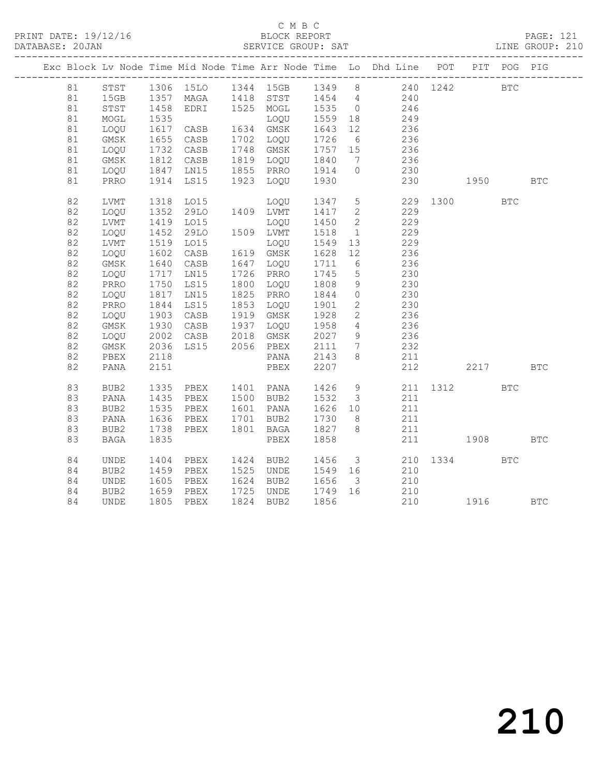### C M B C<br>BLOCK REPORT

| DATABASE: 20JAN |    |             |              |                                          | SERVICE GROUP: SAT               |                   |                              |                                                                                |     |                                                                                                                                                                                                                                 |            | LINE GROUP: 210 |
|-----------------|----|-------------|--------------|------------------------------------------|----------------------------------|-------------------|------------------------------|--------------------------------------------------------------------------------|-----|---------------------------------------------------------------------------------------------------------------------------------------------------------------------------------------------------------------------------------|------------|-----------------|
|                 |    |             |              |                                          |                                  |                   |                              | Exc Block Lv Node Time Mid Node Time Arr Node Time Lo Dhd Line POT PIT POG PIG |     |                                                                                                                                                                                                                                 |            |                 |
|                 | 81 | STST        |              | 1306 15LO 1344 15GB 1349                 |                                  |                   |                              | 8 240 1242 BTC                                                                 |     |                                                                                                                                                                                                                                 |            |                 |
|                 | 81 | 15GB        |              |                                          |                                  |                   |                              |                                                                                |     |                                                                                                                                                                                                                                 |            |                 |
|                 | 81 | STST        | 1357<br>1458 |                                          |                                  |                   |                              | 1357 MAGA 1418 STST 1454 4 240<br>1458 EDRI 1525 MOGL 1535 0 246               |     |                                                                                                                                                                                                                                 |            |                 |
|                 | 81 | MOGL        | 1535         | LOQU<br>CASB 1634 GMSK<br>CASB 1702 LOQU | LOQU 1559 18                     |                   |                              | 249                                                                            |     |                                                                                                                                                                                                                                 |            |                 |
|                 | 81 | LOQU        | 1617         |                                          |                                  | 1643<br>1726      | 12                           | 236                                                                            |     |                                                                                                                                                                                                                                 |            |                 |
|                 | 81 | GMSK        |              | 1655 CASB                                |                                  |                   | 6                            | 236                                                                            |     |                                                                                                                                                                                                                                 |            |                 |
|                 | 81 | LOQU        | 1732         | CASB                                     | 1748 GMSK                        | 1757 15           |                              | 236                                                                            |     |                                                                                                                                                                                                                                 |            |                 |
|                 | 81 | GMSK        | 1812         | CASB<br>1812 Unus<br>1847 LN15           | 1819 LOQU 1840<br>1855 PRRO 1914 |                   | $\overline{7}$               | 236<br>$\frac{2}{230}$                                                         |     |                                                                                                                                                                                                                                 |            |                 |
|                 | 81 | LOQU        |              |                                          |                                  |                   | $\circ$                      |                                                                                |     |                                                                                                                                                                                                                                 |            |                 |
|                 | 81 | PRRO        | 1914         | LS15                                     | 1923 LOQU                        | 1930              |                              | 230                                                                            |     | 1950 — 1950 — 1960 — 1960 — 1970 — 1980 — 1980 — 1980 — 1980 — 1980 — 1980 — 1980 — 1980 — 1980 — 1980 — 1980 — 1980 — 1980 — 1980 — 1980 — 1980 — 1980 — 1980 — 1980 — 1980 — 1980 — 1980 — 1980 — 1980 — 1980 — 1980 — 1980 — |            | $_{\rm BTC}$    |
|                 | 82 | LVMT        |              | 1318 LO15                                | LOQU 1347 5                      |                   |                              |                                                                                |     | 229 1300                                                                                                                                                                                                                        | <b>BTC</b> |                 |
|                 | 82 | LOQU        | 1352         | 29LO                                     | 1409 LVMT                        | 1417              | $\overline{2}$               | 229                                                                            |     |                                                                                                                                                                                                                                 |            |                 |
|                 | 82 | LVMT        | 1419         | L015                                     | LOQU                             | 1450              | $\overline{2}$               | 229                                                                            |     |                                                                                                                                                                                                                                 |            |                 |
|                 | 82 | LOQU        | 1452         | 29LO                                     | 1509 LVMT                        | 1518              | 1                            | 229                                                                            |     |                                                                                                                                                                                                                                 |            |                 |
|                 | 82 | LVMT        | 1519         | LO15                                     | LOQU                             | 1549              | 13                           | 229                                                                            |     |                                                                                                                                                                                                                                 |            |                 |
|                 | 82 | LOQU        | 1602         | CASB                                     | 1619 GMSK                        | 1628              | 12                           | 236                                                                            |     |                                                                                                                                                                                                                                 |            |                 |
|                 | 82 | GMSK        | 1640         | CASB                                     | 1647 LOQU                        | $\frac{1}{1}$ 711 | 6                            | 236                                                                            |     |                                                                                                                                                                                                                                 |            |                 |
|                 | 82 | LOQU        | 1717         | LN15                                     | 1726 PRRO                        | 1745              | $5\overline{)}$              | 230                                                                            |     |                                                                                                                                                                                                                                 |            |                 |
|                 | 82 | PRRO        | 1750         | LS15                                     | 1800 LOQU                        | 1808<br>1844      | 9                            | 230                                                                            |     |                                                                                                                                                                                                                                 |            |                 |
|                 | 82 | LOQU        | 1817         | LN15                                     | 1825 PRRO                        |                   | $\circ$                      | 230                                                                            |     |                                                                                                                                                                                                                                 |            |                 |
|                 | 82 | PRRO        | 1844         | LS15                                     | 1853 LOQU                        | 1901              | $\overline{2}$               | 230                                                                            |     |                                                                                                                                                                                                                                 |            |                 |
|                 | 82 | LOQU        |              | 1903 CASB                                | 1919 GMSK                        | 1928<br>1958      | $\overline{2}$               | 236                                                                            |     |                                                                                                                                                                                                                                 |            |                 |
|                 | 82 | GMSK        | 1930         | CASB                                     | 1937 LOQU                        |                   | $\overline{4}$               | 236                                                                            |     |                                                                                                                                                                                                                                 |            |                 |
|                 | 82 | LOQU        | 2002<br>2036 | CASB 2018 GMSK<br>LS15 2056 PBEX         |                                  | 2027<br>2111      | 9                            | 236                                                                            |     |                                                                                                                                                                                                                                 |            |                 |
|                 | 82 | $\rm{GMSK}$ |              |                                          |                                  |                   | $7\phantom{.0}\phantom{.0}7$ | 232                                                                            |     |                                                                                                                                                                                                                                 |            |                 |
|                 | 82 | PBEX        | 2118         |                                          | PANA                             | 2143              | 8                            | 211                                                                            |     |                                                                                                                                                                                                                                 |            |                 |
|                 | 82 | PANA        | 2151         |                                          | PBEX                             | 2207              |                              | 212                                                                            |     | 2217                                                                                                                                                                                                                            |            | <b>BTC</b>      |
|                 | 83 | BUB2        |              | 1335 PBEX 1401 PANA                      |                                  | 1426              |                              | 9                                                                              |     | 211 1312                                                                                                                                                                                                                        | <b>BTC</b> |                 |
|                 | 83 | PANA        | 1435         | PBEX                                     | 1500 BUB2                        | 1532              | $\overline{\mathbf{3}}$      | 211                                                                            |     |                                                                                                                                                                                                                                 |            |                 |
|                 | 83 | BUB2        | 1535         | PBEX                                     | 1601 PANA                        | 1626 10           |                              | 211                                                                            |     |                                                                                                                                                                                                                                 |            |                 |
|                 | 83 | PANA        |              | 1636 PBEX                                | 1701 BUB2                        | 1730              | 8 <sup>8</sup>               | 211                                                                            |     |                                                                                                                                                                                                                                 |            |                 |
|                 | 83 | BUB2        | 1738         | PBEX                                     | 1801 BAGA                        | 1827              | 8 <sup>8</sup>               | 211                                                                            |     |                                                                                                                                                                                                                                 |            |                 |
|                 | 83 | <b>BAGA</b> | 1835         |                                          | PBEX                             | 1858              |                              |                                                                                |     | 211 1908 BTC                                                                                                                                                                                                                    |            |                 |
|                 | 84 | UNDE        | 1404         | PBEX                                     | 1424 BUB2                        | 1456              |                              | $\begin{array}{c} 3 \\ 16 \end{array}$                                         |     | 210 1334                                                                                                                                                                                                                        | BTC        |                 |
|                 | 84 | BUB2        | 1459         | PBEX                                     | 1525 UNDE                        | 1549 16           |                              | 210                                                                            |     |                                                                                                                                                                                                                                 |            |                 |
|                 | 84 | UNDE        |              | 1605 PBEX                                | 1624 BUB2 1656                   |                   | $\overline{\mathbf{3}}$      | 210                                                                            |     |                                                                                                                                                                                                                                 |            |                 |
|                 | 84 | BUB2        |              | 1659 PBEX                                | 1725 UNDE                        | 1749              | 16                           | 210                                                                            |     |                                                                                                                                                                                                                                 |            |                 |
|                 | 84 | UNDE        |              | 1805 PBEX                                | 1824 BUB2                        | 1856              |                              |                                                                                | 210 | 1916 BTC                                                                                                                                                                                                                        |            |                 |

# 210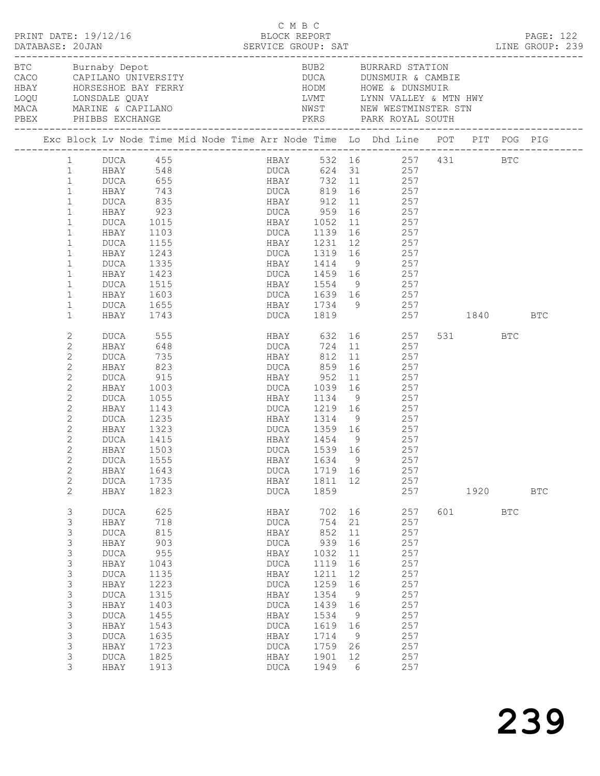| PRINT DATE: 19/12/16<br>DATABASE: 20JAN                                                                                                                      |                                                                                                                                                                                      | BLOCK REPORT                                                                                                            | C M B C |                                                                                                                                                   |  | DATABASE: 20JAN SERVICE GROUP: SAT LINE GROUP: 239                                                                       |                                                                                              |                                                                                                                                                                                                                                                            |     | PAGE: 122       |            |              |  |
|--------------------------------------------------------------------------------------------------------------------------------------------------------------|--------------------------------------------------------------------------------------------------------------------------------------------------------------------------------------|-------------------------------------------------------------------------------------------------------------------------|---------|---------------------------------------------------------------------------------------------------------------------------------------------------|--|--------------------------------------------------------------------------------------------------------------------------|----------------------------------------------------------------------------------------------|------------------------------------------------------------------------------------------------------------------------------------------------------------------------------------------------------------------------------------------------------------|-----|-----------------|------------|--------------|--|
|                                                                                                                                                              | HBAY HORSESHOE BAY FERRY<br>LOQU LONSDALE QUAY<br>MACA MARINE & CAPILANO                                                                                                             |                                                                                                                         |         |                                                                                                                                                   |  |                                                                                                                          |                                                                                              | BUB2 BURRARD STATION<br>DUCA DUNSMUIR & CAMBIE                                                                                                                                                                                                             |     |                 |            |              |  |
|                                                                                                                                                              |                                                                                                                                                                                      |                                                                                                                         |         |                                                                                                                                                   |  |                                                                                                                          |                                                                                              | Exc Block Lv Node Time Mid Node Time Arr Node Time Lo Dhd Line POT PIT POG PIG                                                                                                                                                                             |     |                 |            |              |  |
| $\mathbf{1}$<br>$\mathbf{1}$<br>$\mathbf{1}$<br>$\mathbf{1}$<br>$\mathbf{1}$<br>$\mathbf{1}$<br>$\mathbf{1}$<br>$\mathbf{1}$<br>$\mathbf{1}$<br>$\mathbf{1}$ | DUCA 655<br>HBAY 743<br>DUCA<br>HBAY<br>DUCA<br>HBAY<br>DUCA<br>HBAY<br>DUCA<br>HBAY                                                                                                 | 835<br>923<br>1015<br>1103<br>1155<br>1243<br>1335<br>1423                                                              |         | DUCA 959                                                                                                                                          |  |                                                                                                                          |                                                                                              | 1 DUCA 455 HBAY 532 16 257 431 BTC<br>1 HBAY 548 DUCA 624 31 257<br>HBAY 732 11 257<br>DUCA 819 16 257<br>HBAY 912 11 257<br>16 257<br>HBAY 1052 11 257<br>DUCA 1139 16 257<br>HBAY 1231 12 257<br>DUCA 1319 16 257<br>HBAY 1414 9 257<br>DUCA 1459 16 257 |     |                 |            |              |  |
| $\mathbf{1}$                                                                                                                                                 | DUCA                                                                                                                                                                                 | 1515                                                                                                                    |         |                                                                                                                                                   |  |                                                                                                                          |                                                                                              | HBAY 1554 9 257                                                                                                                                                                                                                                            |     |                 |            |              |  |
| $\mathbf{1}$                                                                                                                                                 | HBAY                                                                                                                                                                                 | 1603                                                                                                                    |         |                                                                                                                                                   |  |                                                                                                                          |                                                                                              | DUCA 1639 16 257                                                                                                                                                                                                                                           |     |                 |            |              |  |
| $\mathbf{1}$<br>$\mathbf{1}$                                                                                                                                 | DUCA<br>HBAY                                                                                                                                                                         | 1655<br>1743                                                                                                            |         |                                                                                                                                                   |  |                                                                                                                          |                                                                                              | HBAY 1734 9 257<br>DUCA 1819 257 1840 BTC                                                                                                                                                                                                                  |     |                 |            |              |  |
| 2<br>2<br>$\mathbf{2}$<br>2<br>$\mathbf{2}$<br>2<br>$\mathbf{2}$<br>2<br>2<br>2<br>$\mathbf{2}$<br>2<br>$\mathbf{2}$<br>$\mathbf{2}$<br>$\overline{c}$<br>2  | DUCA<br>HBAY<br>DUCA<br>HBAY<br>DUCA<br>HBAY<br>DUCA<br>HBAY<br>DUCA<br>HBAY<br>DUCA<br>HBAY<br>DUCA 1555<br>HBAY<br><b>DUCA</b><br>HBAY                                             | 555<br>648<br>735<br>823<br>915<br>1003<br>1055<br>1143<br>1235<br>1323<br>1415<br>1503<br>1643<br>1735<br>1823         |         | HBAY 812 11<br>DUCA 859 16<br>HBAY 952<br>DUCA 1039<br>HBAY 1454 9<br>DUCA 1539 16<br>DUCA<br>HBAY<br>DUCA                                        |  | 1719 16<br>1811 12<br>1859                                                                                               |                                                                                              | HBAY 632 16 257<br>DUCA 724 11 257<br>$\begin{array}{cc} 11 & 257 \\ 16 & 257 \end{array}$<br>11 257<br>16 257<br>HBAY 1134 9 257<br>DUCA 1219 16 257<br>HBAY 1314 9 257<br>DUCA 1359 16 257<br>$\frac{257}{257}$<br>HBAY 1634 9 257<br>257<br>257<br>257  |     | 531 BTC<br>1920 |            | $_{\rm BTC}$ |  |
| 3<br>3<br>3<br>3<br>3<br>3<br>3<br>3<br>3<br>3<br>3<br>3<br>3<br>3<br>3<br>3                                                                                 | <b>DUCA</b><br>HBAY<br><b>DUCA</b><br>HBAY<br><b>DUCA</b><br>HBAY<br><b>DUCA</b><br>HBAY<br><b>DUCA</b><br>HBAY<br><b>DUCA</b><br>HBAY<br><b>DUCA</b><br>HBAY<br><b>DUCA</b><br>HBAY | 625<br>718<br>815<br>903<br>955<br>1043<br>1135<br>1223<br>1315<br>1403<br>1455<br>1543<br>1635<br>1723<br>1825<br>1913 |         | HBAY<br><b>DUCA</b><br>HBAY<br><b>DUCA</b><br>HBAY<br><b>DUCA</b><br>HBAY<br>DUCA<br>HBAY<br>DUCA<br>HBAY<br>DUCA<br>HBAY<br>DUCA<br>HBAY<br>DUCA |  | 702<br>754<br>852<br>939<br>1032<br>1119<br>1211<br>1259<br>1354<br>1439<br>1534<br>1619<br>1714<br>1759<br>1901<br>1949 | 16<br>21<br>11<br>16<br>11<br>16<br>12<br>16<br>- 9<br>16<br>9<br>16<br>- 9<br>26<br>12<br>6 | 257<br>257<br>257<br>257<br>257<br>257<br>257<br>257<br>257<br>257<br>257<br>257<br>257<br>257<br>257<br>257                                                                                                                                               | 601 |                 | <b>BTC</b> |              |  |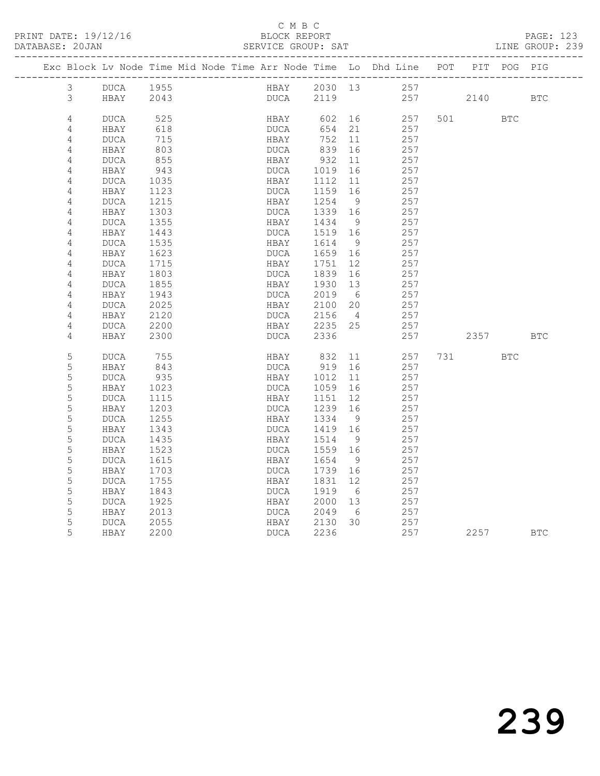|  |                | Exc Block Lv Node Time Mid Node Time Arr Node Time Lo Dhd Line POT |             |  |              |      |              |                 |            |     |          | PIT POG PIG |            |
|--|----------------|--------------------------------------------------------------------|-------------|--|--------------|------|--------------|-----------------|------------|-----|----------|-------------|------------|
|  | 3              | DUCA                                                               | 1955        |  |              | HBAY | 2030 13      |                 | 257        |     |          |             |            |
|  | $\mathcal{S}$  | HBAY                                                               | 2043        |  | DUCA         |      | 2119         |                 |            |     | 257 2140 |             | <b>BTC</b> |
|  |                |                                                                    |             |  |              |      |              |                 |            |     |          |             |            |
|  | 4              | DUCA                                                               | 525         |  | HBAY         |      | 602          | 16              | 257        | 501 |          | <b>BTC</b>  |            |
|  | 4              | HBAY                                                               | 618         |  | DUCA         |      | 654          | 21              | 257        |     |          |             |            |
|  | 4              | DUCA                                                               | 715         |  | HBAY         |      | 752          | 11              | 257        |     |          |             |            |
|  | $\sqrt{4}$     | HBAY                                                               | 803         |  | DUCA         |      | 839          | 16              | 257        |     |          |             |            |
|  | 4              | DUCA                                                               | 855         |  | HBAY         |      | 932          | 11              | 257        |     |          |             |            |
|  | $\overline{4}$ | HBAY<br>DUCA                                                       | 943<br>1035 |  | DUCA<br>HBAY |      | 1019<br>1112 | 16<br>11        | 257<br>257 |     |          |             |            |
|  | 4<br>4         | HBAY                                                               | 1123        |  | DUCA         |      | 1159         | 16              | 257        |     |          |             |            |
|  | 4              | DUCA                                                               | 1215        |  | HBAY         |      | 1254         | - 9             | 257        |     |          |             |            |
|  | 4              | HBAY                                                               | 1303        |  | DUCA         |      | 1339         | 16              | 257        |     |          |             |            |
|  | 4              | DUCA                                                               | 1355        |  | HBAY         |      | 1434         | - 9             | 257        |     |          |             |            |
|  | 4              | HBAY                                                               | 1443        |  | DUCA         |      | 1519         | 16              | 257        |     |          |             |            |
|  | 4              | DUCA                                                               | 1535        |  | HBAY         |      | 1614         | - 9             | 257        |     |          |             |            |
|  | 4              | HBAY                                                               | 1623        |  | DUCA         |      | 1659         | 16              | 257        |     |          |             |            |
|  | 4              | DUCA                                                               | 1715        |  | HBAY         |      | 1751         | 12 <sup>°</sup> | 257        |     |          |             |            |
|  | 4              | HBAY                                                               | 1803        |  | DUCA         |      | 1839         | 16              | 257        |     |          |             |            |
|  | 4              | <b>DUCA</b>                                                        | 1855        |  | HBAY         |      | 1930         | 13              | 257        |     |          |             |            |
|  | $\sqrt{4}$     | HBAY                                                               | 1943        |  | DUCA         |      | 2019         | 6               | 257        |     |          |             |            |
|  | 4              | DUCA                                                               | 2025        |  | HBAY         |      | 2100         | 20              | 257        |     |          |             |            |
|  | 4              | HBAY                                                               | 2120        |  | DUCA         |      | 2156         | $\overline{4}$  | 257        |     |          |             |            |
|  | $\sqrt{4}$     | <b>DUCA</b>                                                        | 2200        |  | HBAY         |      | $2235$ 25    |                 | 257        |     |          |             |            |
|  | 4              | HBAY                                                               | 2300        |  | DUCA         |      | 2336         |                 | 257        |     | 2357     |             | <b>BTC</b> |
|  | 5              | DUCA                                                               | 755         |  | HBAY         |      | 832          | 11              | 257        | 731 |          | <b>BTC</b>  |            |
|  | 5              | HBAY                                                               | 843         |  | DUCA         |      | 919          | 16              | 257        |     |          |             |            |
|  | 5              | <b>DUCA</b>                                                        | 935         |  | HBAY         |      | 1012         | 11              | 257        |     |          |             |            |
|  | 5              | HBAY                                                               | 1023        |  | DUCA         |      | 1059         | 16              | 257        |     |          |             |            |
|  | 5              | <b>DUCA</b>                                                        | 1115        |  | HBAY         |      | 1151         | 12              | 257        |     |          |             |            |
|  | 5              | HBAY                                                               | 1203        |  | DUCA         |      | 1239         | 16              | 257        |     |          |             |            |
|  | 5              | <b>DUCA</b>                                                        | 1255        |  | HBAY         |      | 1334         | 9               | 257        |     |          |             |            |
|  | 5              | HBAY                                                               | 1343        |  | DUCA         |      | 1419         | 16              | 257        |     |          |             |            |
|  | 5              | <b>DUCA</b>                                                        | 1435        |  | HBAY         |      | 1514         | - 9             | 257        |     |          |             |            |
|  | 5              | HBAY                                                               | 1523        |  | DUCA         |      | 1559         | 16              | 257        |     |          |             |            |
|  | 5              | DUCA                                                               | 1615        |  | HBAY         |      | 1654         | 9               | 257        |     |          |             |            |
|  | 5              | HBAY                                                               | 1703        |  | DUCA         |      | 1739         | 16              | 257        |     |          |             |            |
|  | 5              | <b>DUCA</b>                                                        | 1755        |  | HBAY         |      | 1831         | 12              | 257        |     |          |             |            |
|  | 5              | HBAY                                                               | 1843        |  | DUCA         |      | 1919         | 6               | 257        |     |          |             |            |
|  | 5              | DUCA                                                               | 1925        |  | HBAY         |      | 2000         | 13              | 257        |     |          |             |            |
|  | 5              | HBAY                                                               | 2013        |  | DUCA         |      | 2049         | 6               | 257        |     |          |             |            |
|  | 5<br>5         | DUCA                                                               | 2055        |  | HBAY         |      | 2130         | 30              | 257        |     |          |             |            |
|  |                | HBAY                                                               | 2200        |  | DUCA         |      | 2236         |                 | 257        |     | 2257     |             | <b>BTC</b> |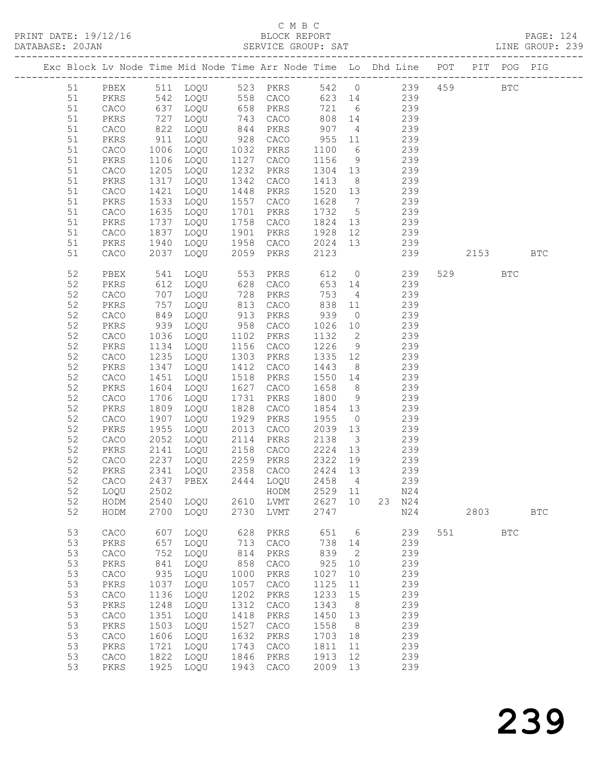# C M B C<br>BLOCK REPORT

|    |               |      | Exc Block Lv Node Time Mid Node Time Arr Node Time Lo Dhd Line POT PIT POG PIG                            |      |                      |                           |                 |                   |     |     |              |            |              |
|----|---------------|------|-----------------------------------------------------------------------------------------------------------|------|----------------------|---------------------------|-----------------|-------------------|-----|-----|--------------|------------|--------------|
|    |               |      | 51 PBEX 511 LOQU 523 PKRS 542 0 239 459 BTC                                                               |      |                      |                           |                 |                   |     |     |              |            |              |
| 51 |               |      | PKRS 542 LOQU 558 CACO 623 14 239                                                                         |      |                      |                           |                 |                   |     |     |              |            |              |
| 51 |               |      |                                                                                                           |      |                      |                           |                 |                   |     |     |              |            |              |
| 51 |               |      | CACO 637 LOQU 658 PKRS 721 6 239<br>PKRS 727 LOQU 743 CACO 808 14 239<br>CACO 822 LOQU 844 PKRS 907 4 239 |      |                      |                           |                 |                   |     |     |              |            |              |
| 51 |               |      |                                                                                                           |      |                      |                           |                 |                   |     |     |              |            |              |
| 51 | PKRS          |      | 911 LOQU                                                                                                  |      | 928 CACO 955 11 239  |                           |                 |                   |     |     |              |            |              |
| 51 | CACO          |      | 1006 LOQU                                                                                                 |      | 1032 PKRS            | 1100                      |                 | 6 239             |     |     |              |            |              |
| 51 | PKRS          |      | 1106   LOQU<br>1205   LOQU                                                                                |      | 1127 CACO            | 1156 9 239<br>1304 13 239 |                 |                   |     |     |              |            |              |
| 51 | CACO          |      |                                                                                                           |      | 1232 PKRS            |                           |                 |                   |     |     |              |            |              |
| 51 | PKRS          |      | 1317 LOQU                                                                                                 |      | 1342 CACO            | 1413                      |                 | 8 239             |     |     |              |            |              |
| 51 | CACO          |      | 1421 LOQU                                                                                                 | 1448 | PKRS                 | 1520 13 239               |                 |                   |     |     |              |            |              |
| 51 | PKRS          |      |                                                                                                           |      | 1557 CACO            | 1628                      | $7\overline{ }$ | 7 239<br>5 239    | 239 |     |              |            |              |
| 51 | CACO          |      |                                                                                                           |      | 1701 PKRS            | 1732                      |                 |                   |     |     |              |            |              |
| 51 | PKRS          |      | 1737 LOQU                                                                                                 |      | 1758 CACO            | 1824 13 239               |                 |                   |     |     |              |            |              |
| 51 | CACO          |      | 1837 LOQU                                                                                                 |      | 1901 PKRS            | 1928                      |                 | 12 239            |     |     |              |            |              |
| 51 | PKRS          |      | 1940 LOQU                                                                                                 |      | 1958 CACO            | 2024 13 239<br>2123 239   |                 |                   |     |     |              |            |              |
| 51 | CACO          |      | 2037 LOQU                                                                                                 |      | 2059 PKRS            |                           |                 |                   |     |     | 239 2153 BTC |            |              |
| 52 | PBEX          |      | 541 LOQU 553 PKRS 612 0 239                                                                               |      |                      |                           |                 |                   |     |     | 529 BTC      |            |              |
| 52 | PKRS          |      |                                                                                                           |      |                      |                           |                 | 653 14 239        |     |     |              |            |              |
| 52 | CACO          |      |                                                                                                           |      |                      |                           |                 |                   |     |     |              |            |              |
| 52 | PKRS          |      |                                                                                                           |      |                      |                           |                 |                   |     |     |              |            |              |
| 52 | CACO          |      | 849 LOQU                                                                                                  |      | 913 PKRS             | 939                       |                 | $0$ 239           |     |     |              |            |              |
| 52 | PKRS          |      | $939$ $LOQU$                                                                                              |      | 958 CACO             | 1026                      |                 | 10 239            |     |     |              |            |              |
| 52 | CACO          |      | 1036 LOQU<br>1134 LOQU<br>1036 LOQU                                                                       |      | 1102 PKRS            | 1132 2                    |                 |                   | 239 |     |              |            |              |
| 52 | PKRS          |      |                                                                                                           |      | 1156 CACO            | 1226                      |                 | $\frac{2}{9}$ 239 |     |     |              |            |              |
| 52 | CACO          |      | 1235 LOQU                                                                                                 |      | 1303 PKRS            | 1335 12 239               |                 |                   |     |     |              |            |              |
| 52 | PKRS          |      | 1347 LOQU                                                                                                 | 1412 | CACO                 | 1443                      |                 | 8 239             |     |     |              |            |              |
| 52 | CACO          |      | 1451 LOQU                                                                                                 |      | 1518 PKRS            | 1550 14 239<br>1658 8 239 |                 |                   |     |     |              |            |              |
| 52 | PKRS          |      | 1604 LOQU                                                                                                 |      | 1627 CACO            | 1658                      |                 |                   |     |     |              |            |              |
| 52 | CACO          |      | 1706 LOQU                                                                                                 |      | 1731 PKRS            | 1800                      |                 | 9 239             |     |     |              |            |              |
| 52 | PKRS          |      | 1809 LOQU                                                                                                 | 1828 | CACO                 | 1854 13                   |                 | 239               |     |     |              |            |              |
| 52 | CACO          |      |                                                                                                           | 1929 | PKRS                 | 1955                      | $\overline{0}$  |                   | 239 |     |              |            |              |
| 52 | PKRS          |      |                                                                                                           |      | 2013 CACO            | $2039$ 13                 |                 | 239               |     |     |              |            |              |
| 52 | CACO          |      | 2052 LOQU                                                                                                 |      | 2114 PKRS 2138 3 239 |                           |                 |                   |     |     |              |            |              |
| 52 | PKRS          |      | 2141 LOQU                                                                                                 |      | 2158 CACO 2224 13    |                           |                 | 239               |     |     |              |            |              |
| 52 | CACO          |      | 2237 LOQU                                                                                                 |      | 2259 PKRS            | 2322 19                   |                 |                   | 239 |     |              |            |              |
|    |               |      | 52 PKRS 2341 LOQU 2358 CACO 2424 13 239                                                                   |      |                      |                           |                 |                   |     |     |              |            |              |
| 52 | CACO          | 2437 | PBEX                                                                                                      | 2444 | LOQU                 | 2458                      | 4               |                   | 239 |     |              |            |              |
| 52 | LOQU          | 2502 |                                                                                                           |      | HODM                 | 2529                      | 11              |                   | N24 |     |              |            |              |
| 52 | HODM          | 2540 | LOQU                                                                                                      | 2610 | LVMT                 | 2627                      | 10              | 23                | N24 |     |              |            |              |
| 52 | HODM          | 2700 | LOQU                                                                                                      | 2730 | LVMT                 | 2747                      |                 |                   | N24 |     | 2803         |            | $_{\rm BTC}$ |
| 53 | CACO          | 607  | LOQU                                                                                                      | 628  | PKRS                 | 651                       | 6               |                   | 239 | 551 |              | <b>BTC</b> |              |
| 53 | $\mbox{PKRS}$ | 657  | LOQU                                                                                                      | 713  | CACO                 | 738                       | 14              |                   | 239 |     |              |            |              |
| 53 | ${\tt CACO}$  | 752  | LOQU                                                                                                      | 814  | PKRS                 | 839                       | 2               |                   | 239 |     |              |            |              |
| 53 | PKRS          | 841  | LOQU                                                                                                      | 858  | ${\tt CACO}$         | 925                       | 10              |                   | 239 |     |              |            |              |
| 53 | CACO          | 935  | LOQU                                                                                                      | 1000 | PKRS                 | 1027                      | 10              |                   | 239 |     |              |            |              |
| 53 | PKRS          | 1037 | LOQU                                                                                                      | 1057 | CACO                 | 1125                      | 11              |                   | 239 |     |              |            |              |
| 53 | CACO          | 1136 | LOQU                                                                                                      | 1202 | PKRS                 | 1233                      | 15              |                   | 239 |     |              |            |              |
| 53 | $\mbox{PKRS}$ | 1248 | LOQU                                                                                                      | 1312 | ${\tt CACO}$         | 1343                      | 8               |                   | 239 |     |              |            |              |
| 53 | CACO          | 1351 | LOQU                                                                                                      | 1418 | PKRS                 | 1450                      | 13              |                   | 239 |     |              |            |              |
| 53 | PKRS          | 1503 | LOQU                                                                                                      | 1527 | CACO                 | 1558                      | 8               |                   | 239 |     |              |            |              |
| 53 | CACO          | 1606 | LOQU                                                                                                      | 1632 | PKRS                 | 1703                      | 18              |                   | 239 |     |              |            |              |
| 53 | PKRS          | 1721 | LOQU                                                                                                      | 1743 | CACO                 | 1811                      | 11              |                   | 239 |     |              |            |              |
| 53 | CACO          | 1822 | LOQU                                                                                                      | 1846 | PKRS                 | 1913                      | 12              |                   | 239 |     |              |            |              |
| 53 | PKRS          | 1925 | LOQU                                                                                                      | 1943 | ${\tt CACO}$         | 2009                      | 13              |                   | 239 |     |              |            |              |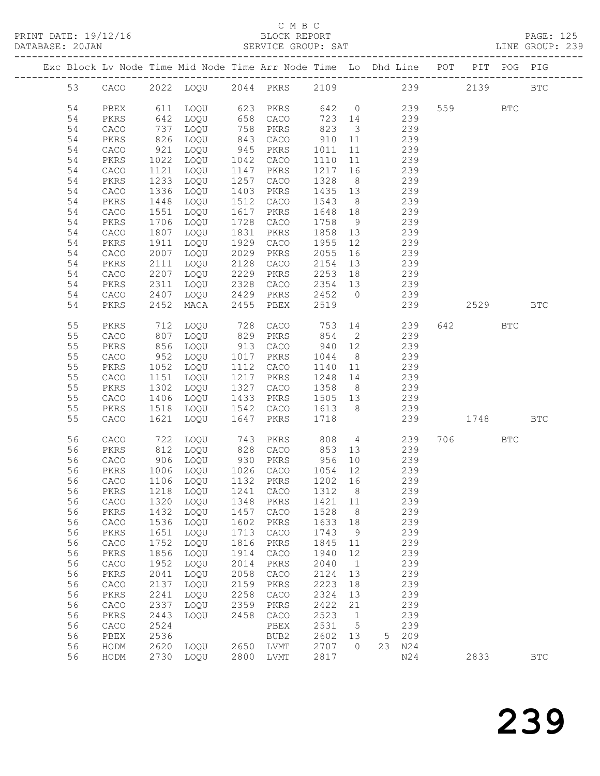PRINT DATE: 19/12/16 BLOCK REPORT<br>DATABASE: 20JAN BERVICE GROUP: SAT

### C M B C<br>BLOCK REPORT

PAGE: 125<br>LINE GROUP: 239

|    |              |      | Exc Block Lv Node Time Mid Node Time Arr Node Time Lo Dhd Line POT PIT POG PIG |      |               |         |                         |     |     |     |         |            |                      |
|----|--------------|------|--------------------------------------------------------------------------------|------|---------------|---------|-------------------------|-----|-----|-----|---------|------------|----------------------|
| 53 | CACO         |      | 2022 LOQU 2044 PKRS                                                            |      |               | 2109    |                         | 239 |     |     | 2139    |            | <b>BTC</b>           |
| 54 | PBEX         | 611  | LOQU                                                                           | 623  | PKRS          | 642     | $\overline{0}$          |     | 239 | 559 |         | <b>BTC</b> |                      |
| 54 | PKRS         | 642  | LOQU                                                                           | 658  | CACO          | 723     | 14                      |     | 239 |     |         |            |                      |
| 54 | CACO         | 737  | LOQU                                                                           | 758  | PKRS          | 823     | $\overline{\mathbf{3}}$ |     | 239 |     |         |            |                      |
| 54 | PKRS         | 826  | LOQU                                                                           | 843  | CACO          | 910     | 11                      |     | 239 |     |         |            |                      |
| 54 | CACO         | 921  | LOQU                                                                           | 945  | PKRS          | 1011    | 11                      |     | 239 |     |         |            |                      |
| 54 | PKRS         | 1022 | LOQU                                                                           | 1042 | CACO          | 1110    | 11                      |     | 239 |     |         |            |                      |
| 54 | CACO         | 1121 | LOQU                                                                           | 1147 | PKRS          | 1217    | 16                      |     | 239 |     |         |            |                      |
| 54 | PKRS         | 1233 | LOQU                                                                           | 1257 | CACO          | 1328    | 8 <sup>8</sup>          |     | 239 |     |         |            |                      |
| 54 | CACO         | 1336 | LOQU                                                                           | 1403 | PKRS          | 1435    | 13                      |     | 239 |     |         |            |                      |
| 54 | PKRS         | 1448 | LOQU                                                                           | 1512 | CACO          | 1543    | 8 <sup>8</sup>          |     | 239 |     |         |            |                      |
| 54 | ${\tt CACO}$ | 1551 | LOQU                                                                           | 1617 | PKRS          | 1648    | 18                      |     | 239 |     |         |            |                      |
| 54 | PKRS         | 1706 | LOQU                                                                           | 1728 | CACO          | 1758    | 9                       |     | 239 |     |         |            |                      |
| 54 | CACO         | 1807 | LOQU                                                                           | 1831 | PKRS          | 1858    | 13                      |     | 239 |     |         |            |                      |
| 54 | PKRS         | 1911 | LOQU                                                                           | 1929 | CACO          | 1955    | 12                      |     | 239 |     |         |            |                      |
| 54 | CACO         | 2007 | LOQU                                                                           | 2029 | PKRS          | 2055    | 16                      |     | 239 |     |         |            |                      |
| 54 | PKRS         | 2111 | LOQU                                                                           | 2128 | CACO          | 2154    | 13                      |     | 239 |     |         |            |                      |
| 54 | CACO         | 2207 | LOQU                                                                           | 2229 | PKRS          | 2253    | 18                      |     | 239 |     |         |            |                      |
| 54 | PKRS         | 2311 | LOQU                                                                           | 2328 | CACO          | 2354 13 |                         |     | 239 |     |         |            |                      |
| 54 | ${\tt CACO}$ | 2407 | LOQU                                                                           | 2429 | PKRS          | 2452    | $\overline{0}$          |     | 239 |     |         |            |                      |
|    |              |      |                                                                                |      |               |         |                         |     |     |     |         |            |                      |
| 54 | PKRS         | 2452 | MACA                                                                           | 2455 | PBEX          | 2519    |                         |     | 239 |     | 2529    |            | <b>BTC</b>           |
| 55 | PKRS         | 712  | LOQU                                                                           | 728  | CACO          | 753     | 14                      |     | 239 | 642 |         | <b>BTC</b> |                      |
| 55 | CACO         | 807  | LOQU                                                                           | 829  | PKRS          | 854     | $\overline{2}$          |     | 239 |     |         |            |                      |
| 55 | PKRS         | 856  | LOQU                                                                           | 913  | CACO          | 940     | 12                      |     | 239 |     |         |            |                      |
| 55 | CACO         | 952  | LOQU                                                                           | 1017 | PKRS          | 1044    | 8 <sup>8</sup>          |     | 239 |     |         |            |                      |
| 55 | PKRS         | 1052 | LOQU                                                                           | 1112 | CACO          | 1140    | 11                      |     | 239 |     |         |            |                      |
| 55 | CACO         | 1151 | LOQU                                                                           | 1217 | PKRS          | 1248    | 14                      |     | 239 |     |         |            |                      |
| 55 | PKRS         | 1302 | LOQU                                                                           | 1327 | CACO          | 1358    | 8 <sup>8</sup>          |     | 239 |     |         |            |                      |
| 55 | CACO         | 1406 | LOQU                                                                           | 1433 | PKRS          | 1505 13 |                         |     | 239 |     |         |            |                      |
| 55 | PKRS         | 1518 | LOQU                                                                           | 1542 | CACO          | 1613    | 8 <sup>8</sup>          |     | 239 |     |         |            |                      |
| 55 | CACO         | 1621 | LOQU                                                                           | 1647 | PKRS          | 1718    |                         |     | 239 |     | 1748    |            | <b>BTC</b>           |
| 56 | CACO         | 722  | LOQU                                                                           | 743  | PKRS          | 808     | $\overline{4}$          |     | 239 |     | 706 700 | <b>BTC</b> |                      |
| 56 | PKRS         | 812  | LOQU                                                                           | 828  | CACO          | 853     | 13                      |     | 239 |     |         |            |                      |
| 56 | ${\tt CACO}$ | 906  | LOQU                                                                           | 930  | PKRS          | 956     | 10                      |     | 239 |     |         |            |                      |
| 56 | PKRS         | 1006 | LOQU                                                                           |      | 1026 CACO     | 1054    | 12                      |     | 239 |     |         |            |                      |
| 56 | CACO         |      | 1106 LOQU                                                                      |      | 1132 PKRS     | 1202 16 |                         |     | 239 |     |         |            |                      |
| 56 | PKRS         | 1218 | LOQU                                                                           | 1241 | CACO          | 1312    | 8                       |     | 239 |     |         |            |                      |
| 56 | CACO         | 1320 | LOQU                                                                           | 1348 | PKRS          | 1421    | 11                      |     | 239 |     |         |            |                      |
| 56 | ${\tt PKRS}$ | 1432 | LOQU                                                                           | 1457 | CACO          | 1528    | 8                       |     | 239 |     |         |            |                      |
| 56 | ${\tt CACO}$ | 1536 | LOQU                                                                           | 1602 | PKRS          | 1633    | 18                      |     | 239 |     |         |            |                      |
| 56 | PKRS         | 1651 | LOQU                                                                           | 1713 | CACO          | 1743    | 9                       |     | 239 |     |         |            |                      |
| 56 | ${\tt CACO}$ | 1752 | LOQU                                                                           | 1816 | PKRS          | 1845    | 11                      |     | 239 |     |         |            |                      |
| 56 | PKRS         | 1856 | LOQU                                                                           | 1914 | CACO          | 1940    | 12                      |     | 239 |     |         |            |                      |
| 56 | ${\tt CACO}$ | 1952 | LOQU                                                                           | 2014 | PKRS          | 2040    | $\mathbf{1}$            |     | 239 |     |         |            |                      |
| 56 | PKRS         | 2041 | LOQU                                                                           | 2058 | CACO          | 2124    | 13                      |     | 239 |     |         |            |                      |
| 56 | ${\tt CACO}$ | 2137 | LOQU                                                                           | 2159 | $\mbox{PKRS}$ | 2223    | 18                      |     | 239 |     |         |            |                      |
| 56 | PKRS         | 2241 | LOQU                                                                           | 2258 | CACO          | 2324    | 13                      |     | 239 |     |         |            |                      |
| 56 |              |      |                                                                                |      | PKRS          | 2422    |                         |     |     |     |         |            |                      |
|    | ${\tt CACO}$ | 2337 | LOQU                                                                           | 2359 |               |         | 21                      |     | 239 |     |         |            |                      |
| 56 | PKRS         | 2443 | LOQU                                                                           | 2458 | CACO          | 2523    | 1                       |     | 239 |     |         |            |                      |
| 56 | CACO         | 2524 |                                                                                |      | PBEX          | 2531    | 5                       |     | 239 |     |         |            |                      |
| 56 | PBEX         | 2536 |                                                                                |      | BUB2          | 2602    | 13                      | 5   | 209 |     |         |            |                      |
| 56 | HODM         | 2620 | LOQU                                                                           | 2650 | LVMT          | 2707    | $\circ$                 | 23  | N24 |     |         |            |                      |
| 56 | HODM         | 2730 | LOQU                                                                           | 2800 | LVMT          | 2817    |                         |     | N24 |     | 2833    |            | $\operatorname{BTC}$ |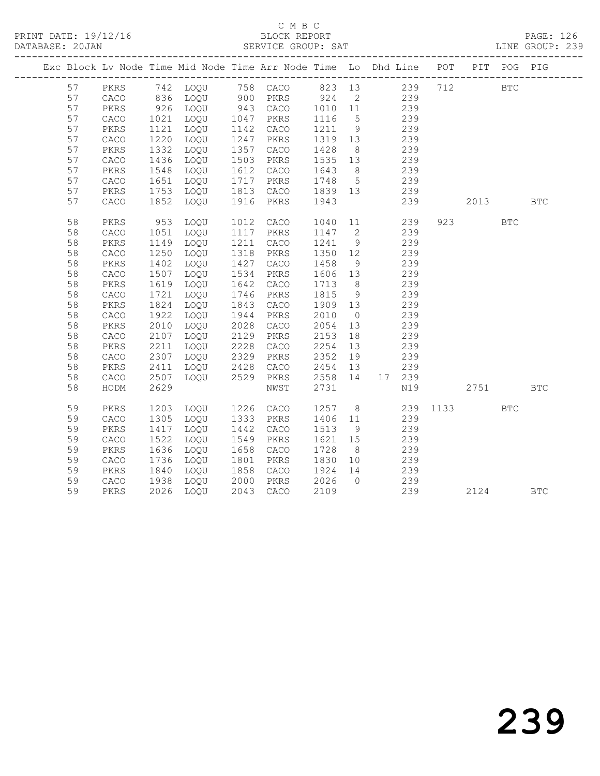|  |    |              |      | Exc Block Lv Node Time Mid Node Time Arr Node Time Lo Dhd Line POT PIT POG PIG                                      |              |           |         |                |                 |     |                             |            |            |
|--|----|--------------|------|---------------------------------------------------------------------------------------------------------------------|--------------|-----------|---------|----------------|-----------------|-----|-----------------------------|------------|------------|
|  | 57 |              |      | PKRS 742 LOQU 758 CACO 823 13 239 712 BTC<br>CACO 836 LOQU 900 PKRS 924 2 239<br>PKRS 926 LOQU 943 CACO 1010 11 239 |              |           |         |                |                 |     |                             |            |            |
|  | 57 |              |      |                                                                                                                     |              |           |         |                |                 |     |                             |            |            |
|  | 57 |              |      | 926 LOQU                                                                                                            |              |           |         |                |                 |     |                             |            |            |
|  | 57 | CACO         | 1021 | LOQU                                                                                                                |              | 1047 PKRS | 1116    | $5^{\circ}$    | 239             |     |                             |            |            |
|  | 57 | PKRS         | 1121 | LOQU                                                                                                                |              | 1142 CACO | 1211 9  |                |                 | 239 |                             |            |            |
|  | 57 | CACO         | 1220 | LOQU                                                                                                                |              | 1247 PKRS | 1319 13 |                |                 | 239 |                             |            |            |
|  | 57 | PKRS         | 1332 | LOQU                                                                                                                |              | 1357 CACO | 1428    | 8 <sup>8</sup> | 239             |     |                             |            |            |
|  | 57 | CACO         | 1436 | LOQU                                                                                                                | 1503         | PKRS      | 1535 13 |                | 239             |     |                             |            |            |
|  | 57 | PKRS         | 1548 | LOQU                                                                                                                | 1612         | CACO      | 1643    | 8 <sup>1</sup> | 239             |     |                             |            |            |
|  | 57 | ${\tt CACO}$ | 1651 | LOQU                                                                                                                | 1717         | PKRS      | 1748 5  |                | $\frac{1}{239}$ |     |                             |            |            |
|  | 57 | PKRS         | 1753 | LOQU                                                                                                                | 1813         | CACO      | 1839 13 |                | 239             |     |                             |            |            |
|  | 57 | CACO         | 1852 | LOQU                                                                                                                | 1916         | PKRS      | 1943    |                |                 | 239 | 2013                        |            | <b>BTC</b> |
|  | 58 | PKRS         | 953  | LOQU                                                                                                                | 1012         | CACO      | 1040    |                | $11$ and $11$   | 239 | 923 and the state of $\sim$ | <b>BTC</b> |            |
|  | 58 | CACO         | 1051 | LOQU                                                                                                                |              | 1117 PKRS | 1147 2  |                |                 | 239 |                             |            |            |
|  | 58 | PKRS         | 1149 | LOQU                                                                                                                | 1211         | CACO      | 1241 9  |                |                 | 239 |                             |            |            |
|  | 58 | CACO         | 1250 | LOQU                                                                                                                | 1318         | PKRS      | 1350 12 |                |                 | 239 |                             |            |            |
|  | 58 | PKRS         | 1402 | LOQU                                                                                                                | 1427         | CACO      | 1458    | 9              | 239             |     |                             |            |            |
|  | 58 | CACO         | 1507 | LOQU                                                                                                                | 1534         | PKRS      | 1606 13 |                | 239             |     |                             |            |            |
|  | 58 | PKRS         | 1619 | LOQU                                                                                                                | 1642         | CACO      | 1713    | 8 <sup>8</sup> |                 | 239 |                             |            |            |
|  | 58 | CACO         | 1721 | LOQU                                                                                                                | 1746         | PKRS      | 1815    | 9              |                 | 239 |                             |            |            |
|  | 58 | PKRS         | 1824 | LOQU                                                                                                                | 1843         | CACO      | 1909 13 |                | 239             |     |                             |            |            |
|  | 58 | CACO         | 1922 | LOQU                                                                                                                | 1944         | PKRS      | 2010    | $\overline{0}$ |                 | 239 |                             |            |            |
|  | 58 | PKRS         | 2010 | LOQU                                                                                                                | 2028         | CACO      | 2054    | 13             |                 | 239 |                             |            |            |
|  | 58 | CACO         | 2107 | LOQU                                                                                                                | 2129         | PKRS      | 2153    | 18             |                 | 239 |                             |            |            |
|  | 58 | PKRS         | 2211 | LOQU                                                                                                                | 2228         | CACO      | 2254    | 13             | 239             |     |                             |            |            |
|  | 58 | CACO         | 2307 | LOQU                                                                                                                | 2329         | PKRS      | 2352    | 19             |                 | 239 |                             |            |            |
|  | 58 | PKRS         | 2411 | LOQU                                                                                                                | 2428<br>2529 | CACO      | 2454    | 13             |                 | 239 |                             |            |            |
|  | 58 | CACO         | 2507 | LOQU                                                                                                                |              | PKRS      | 2558 14 |                | 17 239          |     |                             |            |            |
|  | 58 | HODM         | 2629 |                                                                                                                     |              | NWST      | 2731    |                |                 | N19 | 2751                        |            | <b>BTC</b> |
|  | 59 | PKRS         | 1203 | LOQU                                                                                                                |              | 1226 CACO | 1257 8  |                |                 |     | 239 1133                    | <b>BTC</b> |            |
|  | 59 | ${\tt CACO}$ | 1305 | LOQU                                                                                                                |              | 1333 PKRS | 1406 11 |                |                 | 239 |                             |            |            |
|  | 59 | PKRS         | 1417 | LOQU                                                                                                                | 1442         | CACO      | 1513    | 9              |                 | 239 |                             |            |            |
|  | 59 | ${\tt CACO}$ | 1522 | LOQU                                                                                                                | 1549         | PKRS      | 1621 15 |                |                 | 239 |                             |            |            |
|  | 59 | PKRS         | 1636 | LOQU                                                                                                                | 1658         | CACO      | 1728    | 8 <sup>8</sup> |                 | 239 |                             |            |            |
|  | 59 | CACO         | 1736 | LOQU                                                                                                                | 1801         | PKRS      | 1830 10 |                | 239             |     |                             |            |            |
|  | 59 | PKRS         | 1840 | LOQU                                                                                                                |              | 1858 CACO | 1924    | 14             | 239             |     |                             |            |            |
|  | 59 | CACO         | 1938 | LOQU                                                                                                                |              | 2000 PKRS | 2026    | $\overline{0}$ | 239             |     |                             |            |            |
|  | 59 | PKRS         |      | 2026 LOQU                                                                                                           |              | 2043 CACO | 2109    |                |                 | 239 |                             | 2124 BTC   |            |
|  |    |              |      |                                                                                                                     |              |           |         |                |                 |     |                             |            |            |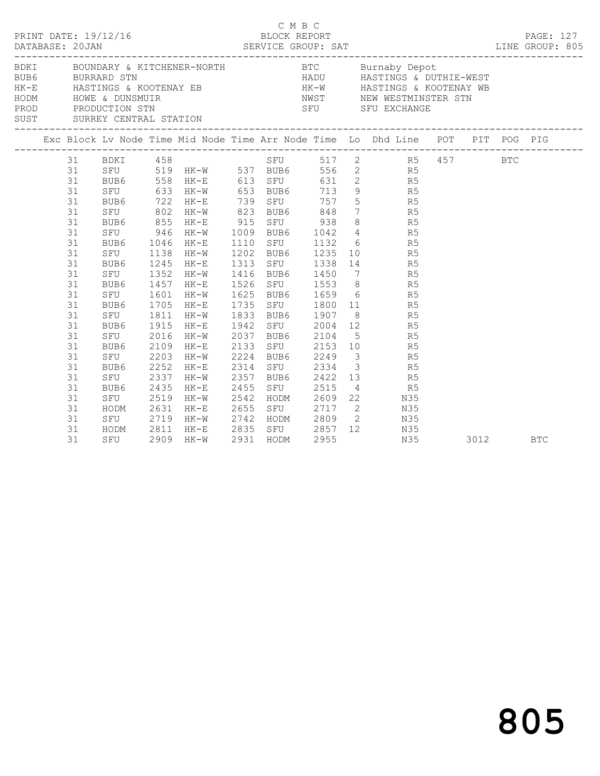|  |                                                                                                                                                    |                                                                                                                                               |                                                                                                                          |                                                                                                                                                                                                                | C M B C                                   |                                                                                                                                                                                                                                         |  |                                                                                                                                                                                                                                                                                                                                                                                                                                                                                                                                                                                                                                                                                                  |      |  |            |
|--|----------------------------------------------------------------------------------------------------------------------------------------------------|-----------------------------------------------------------------------------------------------------------------------------------------------|--------------------------------------------------------------------------------------------------------------------------|----------------------------------------------------------------------------------------------------------------------------------------------------------------------------------------------------------------|-------------------------------------------|-----------------------------------------------------------------------------------------------------------------------------------------------------------------------------------------------------------------------------------------|--|--------------------------------------------------------------------------------------------------------------------------------------------------------------------------------------------------------------------------------------------------------------------------------------------------------------------------------------------------------------------------------------------------------------------------------------------------------------------------------------------------------------------------------------------------------------------------------------------------------------------------------------------------------------------------------------------------|------|--|------------|
|  |                                                                                                                                                    |                                                                                                                                               |                                                                                                                          |                                                                                                                                                                                                                |                                           |                                                                                                                                                                                                                                         |  | BDKI BOUNDARY & KITCHENER-NORTH BTC Burnaby Depot<br>BURRARD STN BURRARD STN HADU HASTINGS & DUTHIE-WEST<br>HE-E HASTINGS & KOOTENAY EB HAST HASTINGS & EOOTENAY WE<br>HODM HOWE & DUNSMUIR NWST NEW WESTMINSTER STN<br>PROD PRODUCTION STN SFU SFU EXCHANGE<br>SUST SURREY CENTRAL STATION                                                                                                                                                                                                                                                                                                                                                                                                      |      |  |            |
|  |                                                                                                                                                    |                                                                                                                                               |                                                                                                                          |                                                                                                                                                                                                                |                                           |                                                                                                                                                                                                                                         |  |                                                                                                                                                                                                                                                                                                                                                                                                                                                                                                                                                                                                                                                                                                  |      |  |            |
|  | 31<br>31<br>31<br>31<br>31<br>31<br>31<br>31<br>31<br>31<br>31<br>31<br>31<br>31<br>31<br>31<br>31<br>31<br>31<br>31<br>31<br>31<br>31<br>31<br>31 | BUB6<br>SFU<br>BUB6<br>SFU<br>BUB6<br>SFU<br>BUB6<br>SFU<br>BUB6<br>SFU<br>BUB6<br>SFU<br>BUB6<br>SFU<br>BUB6<br>SFU<br>HODM 2631<br>SFU 2719 | 1046<br>$1138$<br>$1245$<br>1352<br>1457<br>1601<br>1705<br>1915<br>2016<br>2109<br>2203<br>2252<br>2337<br>2435<br>2519 | 31 BDKI 458<br>BUB6 558 HK-E 613 SFU<br>$HK-E$<br>HK-W<br>1245 HK-E<br>$HK-W$<br>$HK-E$<br>HK-W<br>$HK-E$<br>1811 HK-W<br>HK-E<br>$HK-W$<br>$HK-E$<br>HK-W<br>HK-E<br>HK-W<br>$HK-E$<br>$HK-W$<br>HK-E<br>HK-W | 1625<br>2133<br>2224 BUB6<br>2357<br>2455 | 1110 SFU 1132<br>1202 BUB6 1235<br>1313 SFU 1338<br>1416 BUB6 1450<br>1526 SFU 1553<br>1625 BUB6 1659<br>1735 SFU 1800<br>1833 BUB6 1907<br>2037 BUB6 2104<br>2133 SFU 2153<br>2224 BUB6 2249<br>2314 SFU 2334<br>BUB6 2422<br>SFU 2515 |  | SFU 517 2 R5 457 BTC<br>SFU 519 HK-W 537 BUB6 556 2 R5<br>BUB6 558 HK-E 613 SFU 631 2 R5<br>SFU 633 HK-W 653 BUB6 713 9 R5<br>BUB6 722 HK-E 739 SFU 757 5 R5<br>SFU 802 HK-W 823 BUB6 848 7 R5<br>BUB6 855 HK-E 915 SFU 938 8 R5<br>SFU 946 HK-W 1009 BUB6 1042 4 R5<br>$\begin{array}{ccc} 6 & & \text{R5} \\ 10 & & \text{R5} \\ 14 & & \text{R5} \end{array}$<br>7 R5<br>8 R5<br>$6$ R5<br>$\begin{array}{ccc} 11 & \quad & \quad \text{R5} \\ 8 & \quad & \quad \text{R5} \end{array}$<br>1942 SFU 2004 12 R5<br>5 R5<br>10 R5<br>$\begin{array}{ccc} 3 & \text{R5} \\ 3 & \text{R5} \end{array}$<br>$13$ R5<br>4 R5<br>2542 HODM 2609 22 N35<br>2655 SFU 2717 2 N35<br>2742 HODM 2809 2 N35 |      |  |            |
|  | 31<br>31                                                                                                                                           | SFU                                                                                                                                           |                                                                                                                          | 2909 HK-W                                                                                                                                                                                                      | 2931 HODM                                 | 2955                                                                                                                                                                                                                                    |  | HODM 2811 HK-E 2835 SFU 2857 12 N35<br>N35                                                                                                                                                                                                                                                                                                                                                                                                                                                                                                                                                                                                                                                       | 3012 |  | <b>BTC</b> |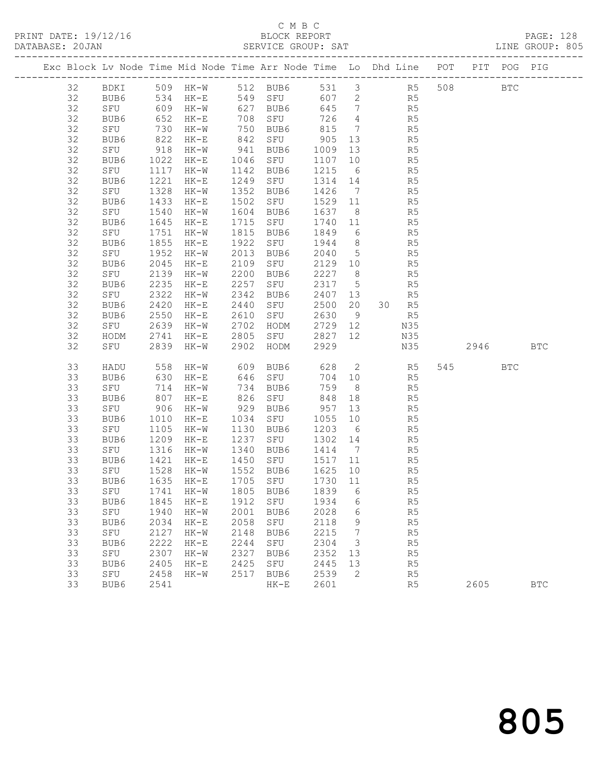#### C M B C<br>BLOCK REPORT SERVICE GROUP: SAT

PRINT DATE: 19/12/16 BLOCK REPORT PAGE: 128

| Exc Block Lv Node Time Mid Node Time Arr Node Time Lo Dhd Line POT PIT POG PIG |      |      |                                   |      |                   |         |                         |          |                |         |            |            |
|--------------------------------------------------------------------------------|------|------|-----------------------------------|------|-------------------|---------|-------------------------|----------|----------------|---------|------------|------------|
| 32                                                                             |      |      | BDKI 509 HK-W 512 BUB6 531 3 R5   |      |                   |         |                         |          |                | 508 BTC |            |            |
| 32                                                                             | BUB6 | 534  |                                   |      | HK-E 549 SFU      |         |                         | 607 2 R5 |                |         |            |            |
| 32                                                                             | SFU  |      | 609 HK-W                          |      | 627 BUB6          |         |                         | 645 7 R5 |                |         |            |            |
| 32                                                                             | BUB6 | 652  | HK-E                              |      | 708 SFU           | 726     | $\overline{4}$          |          | R5             |         |            |            |
| 32                                                                             | SFU  | 730  | HK-W                              |      |                   | 815 7   |                         |          | R5             |         |            |            |
| 32                                                                             | BUB6 | 822  | HK-E                              |      |                   |         | 13                      |          | R <sub>5</sub> |         |            |            |
| 32                                                                             | SFU  | 918  | HK-W                              |      | 941 BUB6          | 1009 13 |                         |          | R5             |         |            |            |
| 32                                                                             | BUB6 | 1022 | HK-E                              |      | 1046 SFU          | 1107    | 10                      |          | R5             |         |            |            |
| 32                                                                             | SFU  | 1117 | HK-W                              |      | 1142 BUB6         | 1215 6  |                         |          | R5<br>R5       |         |            |            |
| 32                                                                             | BUB6 | 1221 | HK-E                              |      | 1249 SFU          | 1314 14 |                         |          |                |         |            |            |
| 32                                                                             | SFU  | 1328 | HK-W                              | 1352 | BUB6              | 1426 7  |                         |          | R5             |         |            |            |
| 32                                                                             | BUB6 | 1433 | $HK-E$                            | 1502 | SFU               | 1529 11 |                         |          | R5             |         |            |            |
| 32                                                                             | SFU  | 1540 | HK-W                              | 1604 | BUB6              | 1637 8  |                         |          | R5             |         |            |            |
| 32                                                                             | BUB6 | 1645 | $HK-E$                            |      | 1715 SFU          | 1740 11 |                         |          | R5             |         |            |            |
| 32                                                                             | SFU  | 1751 | HK-W                              |      | 1815 BUB6         | 1849    | $6\overline{6}$         |          | R5             |         |            |            |
| 32                                                                             | BUB6 | 1855 | $HK-E$                            |      | 1922 SFU          | 1944    | 8 <sup>8</sup>          |          | R5             |         |            |            |
| 32                                                                             | SFU  | 1952 | $HK-W$                            |      | 2013 BUB6         | 2040 5  |                         |          | R5             |         |            |            |
| 32                                                                             | BUB6 | 2045 | HK-E                              |      | 2109 SFU          | 2129 10 |                         |          | R5             |         |            |            |
| 32                                                                             | SFU  | 2139 | $HK-W$                            | 2200 | BUB6              | 2227 8  |                         |          | R5             |         |            |            |
| 32                                                                             | BUB6 | 2235 | $HK-E$                            | 2257 | SFU               | 2317 5  |                         |          | R5             |         |            |            |
| 32                                                                             | SFU  | 2322 | HK-W                              | 2342 | BUB6              | 2407 13 |                         |          | R5             |         |            |            |
| 32                                                                             | BUB6 | 2420 | $HK-E$                            | 2440 | SFU               | 2500 20 |                         |          | 30 R5          |         |            |            |
| 32                                                                             | BUB6 | 2550 | HK-E                              | 2610 | SFU               | 2630    | 9                       |          | R5             |         |            |            |
| 32                                                                             | SFU  | 2639 |                                   |      | HK-W 2702 HODM    | 2729 12 |                         | N35      |                |         |            |            |
| 32                                                                             | HODM | 2741 | HK-E                              |      | 2805 SFU          | 2827 12 |                         | N35      |                |         |            |            |
| 32                                                                             | SFU  | 2839 | HK-W                              | 2902 | HODM              | 2929    |                         |          | N35            | 2946    |            | <b>BTC</b> |
| 33                                                                             | HADU | 558  | $HK-W$                            |      | 609 BUB6 628 2 R5 |         |                         |          |                | 545     | <b>BTC</b> |            |
| 33                                                                             | BUB6 | 630  | HK-E                              |      | 646 SFU           | 704 10  |                         |          | R5             |         |            |            |
| 33                                                                             | SFU  | 714  | HK-W                              |      | 734 BUB6          | 759     | 8 <sup>8</sup>          |          | R <sub>5</sub> |         |            |            |
| 33                                                                             | BUB6 | 807  | HK-E                              |      | 826 SFU           | 848     | 18                      |          | R5             |         |            |            |
| 33                                                                             | SFU  | 906  | HK-W                              |      | 929 BUB6          | 957 13  |                         |          | R5             |         |            |            |
| 33                                                                             | BUB6 | 1010 | HK-E                              |      | 1034 SFU          | 1055    | 10                      |          | R5             |         |            |            |
| 33                                                                             | SFU  | 1105 | HK-W                              |      | 1130 BUB6         | 1203 6  |                         |          | R5             |         |            |            |
| 33                                                                             | BUB6 | 1209 | HK-E                              |      | 1237 SFU          | 1302 14 |                         |          | R5             |         |            |            |
| 33                                                                             | SFU  | 1316 | HK-W                              |      | 1340 BUB6         | 1414 7  |                         |          | R5             |         |            |            |
| 33                                                                             | BUB6 | 1421 | $HK-E$                            |      | 1450 SFU          | 1517 11 |                         |          | R5             |         |            |            |
| 33                                                                             | SFU  |      | 1528 НК-W<br>1635 НК-Е            |      | 1552 BUB6         | 1625 10 |                         |          | R5             |         |            |            |
| 33                                                                             | BUB6 |      |                                   |      | 1705 SFU          | 1730 11 |                         |          | R5             |         |            |            |
| 33                                                                             |      |      | SFU 1741 HK-W 1805 BUB6 1839 6 R5 |      |                   |         |                         |          |                |         |            |            |
| 33                                                                             | BUB6 | 1845 | HK-E                              | 1912 | SFU               | 1934    | 6                       |          | R5             |         |            |            |
| 33                                                                             | SFU  | 1940 | $HK-W$                            | 2001 | BUB6              | 2028    | $6\overline{6}$         |          | R5             |         |            |            |
| 33                                                                             | BUB6 | 2034 | HK-E                              | 2058 | SFU               | 2118    | 9                       |          | R5             |         |            |            |
| 33                                                                             | SFU  | 2127 | $HK-W$                            | 2148 | BUB6              | 2215    | 7                       |          | R5             |         |            |            |
| 33                                                                             | BUB6 | 2222 | $HK-E$                            | 2244 | SFU               | 2304    | $\overline{\mathbf{3}}$ |          | R5             |         |            |            |
| 33                                                                             | SFU  | 2307 | $HK-W$                            | 2327 | BUB6              | 2352    | 13                      |          | R5             |         |            |            |
| 33                                                                             | BUB6 | 2405 | $HK-E$                            | 2425 | SFU               | 2445    | 13                      |          | R <sub>5</sub> |         |            |            |
| 33                                                                             | SFU  | 2458 | $HK-W$                            | 2517 | BUB6              | 2539    | 2                       |          | R5             |         |            |            |
| 33                                                                             | BUB6 | 2541 |                                   |      | $HK-E$            | 2601    |                         |          | R5             | 2605    |            | <b>BTC</b> |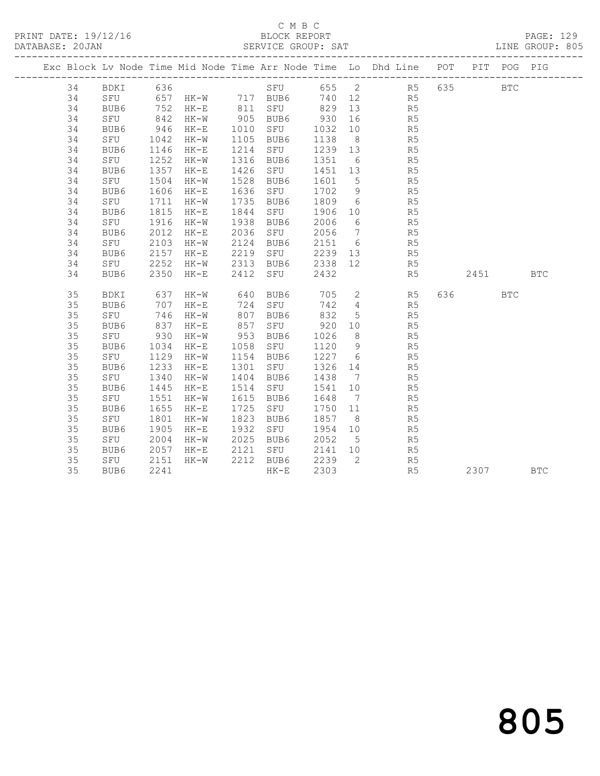|  |    |          |      |                       |      |           |         |                 | Exc Block Lv Node Time Mid Node Time Arr Node Time Lo Dhd Line POT PIT POG PIG |          |              |            |
|--|----|----------|------|-----------------------|------|-----------|---------|-----------------|--------------------------------------------------------------------------------|----------|--------------|------------|
|  | 34 | BDKI 636 |      |                       |      |           |         |                 | SFU 655 2 R5                                                                   | 635      | $_{\rm BTC}$ |            |
|  | 34 |          |      | SFU 657 HK-W 717 BUB6 |      |           |         |                 | 740 12 R5                                                                      |          |              |            |
|  | 34 | BUB6     |      | 752 HK-E              |      | 811 SFU   | 829     | 13              | R <sub>5</sub>                                                                 |          |              |            |
|  | 34 | SFU      |      | 842 HK-W<br>946 HK-E  |      | 905 BUB6  | 930     | 16              | R <sub>5</sub>                                                                 |          |              |            |
|  | 34 | BUB6     |      |                       | 1010 | SFU       | 1032    | 10              | R5                                                                             |          |              |            |
|  | 34 | SFU      | 1042 | HK-W                  | 1105 | BUB6      | 1138    | 8 <sup>8</sup>  | R <sub>5</sub>                                                                 |          |              |            |
|  | 34 | BUB6     | 1146 | $HK-E$                | 1214 | SFU       | 1239 13 |                 | R <sub>5</sub>                                                                 |          |              |            |
|  | 34 | SFU      | 1252 | HK-W                  | 1316 | BUB6      | 1351    | $6\overline{6}$ | R5                                                                             |          |              |            |
|  | 34 | BUB6     | 1357 | $HK-E$                | 1426 | SFU       | 1451 13 |                 | R <sub>5</sub>                                                                 |          |              |            |
|  | 34 | SFU      | 1504 | HK-W                  | 1528 | BUB6      | 1601    | $5\overline{)}$ | R5                                                                             |          |              |            |
|  | 34 | BUB6     | 1606 | HK-E                  | 1636 | SFU       | 1702    | 9               | R5                                                                             |          |              |            |
|  | 34 | SFU      | 1711 | $HK-W$                | 1735 | BUB6      | 1809    | 6               | R <sub>5</sub>                                                                 |          |              |            |
|  | 34 | BUB6     | 1815 | $HK-E$                | 1844 | SFU       | 1906    | 10              | R <sub>5</sub>                                                                 |          |              |            |
|  | 34 | SFU      | 1916 | $HK-W$                | 1938 | BUB6      | 2006    | 6               | R <sub>5</sub>                                                                 |          |              |            |
|  | 34 | BUB6     | 2012 | HK-E                  | 2036 | SFU       | 2056    | $\overline{7}$  | R <sub>5</sub>                                                                 |          |              |            |
|  | 34 | SFU      | 2103 | $HK-W$                | 2124 | BUB6      | 2151 6  |                 | R5                                                                             |          |              |            |
|  | 34 | BUB6     | 2157 | HK-E                  | 2219 | SFU       |         |                 | 2239 13 R5                                                                     |          |              |            |
|  | 34 | SFU      | 2252 | HK-W                  | 2313 | BUB6      | 2338 12 |                 | R <sub>5</sub>                                                                 |          |              |            |
|  | 34 | BUB6     | 2350 | HK-E                  | 2412 | SFU       | 2432    |                 | R <sub>5</sub>                                                                 | 2451 BTC |              |            |
|  | 35 | BDKI     | 637  | HK-W                  |      | 640 BUB6  | 705     |                 | 2 R5                                                                           | 636 7    | <b>BTC</b>   |            |
|  | 35 | BUB6     | 707  | $HK-E$                |      | 724 SFU   | 742 4   |                 | R5                                                                             |          |              |            |
|  | 35 | SFU      | 746  | $HK-W$                | 807  | BUB6      | 832     | $5\overline{)}$ | R <sub>5</sub>                                                                 |          |              |            |
|  | 35 | BUB6     | 837  | $HK-E$                | 857  | SFU       | 920     | 10              | R <sub>5</sub>                                                                 |          |              |            |
|  | 35 | SFU      | 930  | HK-W                  | 953  | BUB6      | 1026    | 8 <sup>8</sup>  | R5                                                                             |          |              |            |
|  | 35 | BUB6     | 1034 | HK-E                  | 1058 | SFU       | 1120    | 9               | R <sub>5</sub>                                                                 |          |              |            |
|  | 35 | SFU      | 1129 | HK-W                  | 1154 | BUB6      | 1227 6  |                 | R5                                                                             |          |              |            |
|  | 35 | BUB6     | 1233 | $HK-E$                | 1301 | SFU       | 1326 14 |                 | R5                                                                             |          |              |            |
|  | 35 | SFU      | 1340 | HK-W                  | 1404 | BUB6      | 1438    | $\overline{7}$  | R5                                                                             |          |              |            |
|  | 35 | BUB6     | 1445 | $HK-E$                | 1514 | SFU       | 1541    | 10              | R <sub>5</sub>                                                                 |          |              |            |
|  | 35 | SFU      | 1551 | HK-W                  | 1615 | BUB6      | 1648    | $\overline{7}$  | R <sub>5</sub>                                                                 |          |              |            |
|  | 35 | BUB6     | 1655 | $HK-E$                | 1725 | SFU       | 1750 11 |                 | R <sub>5</sub>                                                                 |          |              |            |
|  | 35 | SFU      | 1801 | HK-W                  | 1823 | BUB6      | 1857    | 8 <sup>8</sup>  | R5                                                                             |          |              |            |
|  | 35 | BUB6     | 1905 | $HK-E$                | 1932 | SFU       | 1954    | 10              | R5                                                                             |          |              |            |
|  | 35 | SFU      | 2004 | $HK-W$                | 2025 | BUB6      | 2052    | $5^{\circ}$     | R5                                                                             |          |              |            |
|  | 35 | BUB6     | 2057 | $HK-E$                |      | 2121 SFU  | 2141    | 10              | R5                                                                             |          |              |            |
|  | 35 | SFU      | 2151 | $HK-W$                |      | 2212 BUB6 | 2239    | $\overline{2}$  | R5                                                                             |          |              |            |
|  | 35 | BUB6     | 2241 |                       |      | $HK-E$    | 2303    |                 | R <sub>5</sub>                                                                 | 2307     |              | <b>BTC</b> |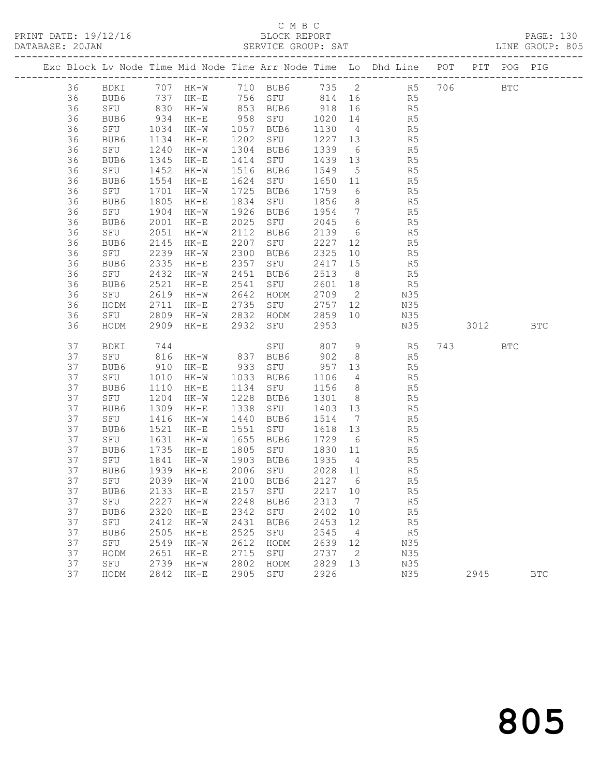# C M B C

| DATABASE: 20JAN |      |      |        |      | SERVICE GROUP: SAT |      |      |                                                                |     |     |     | LINE GROUP: 805 |  |
|-----------------|------|------|--------|------|--------------------|------|------|----------------------------------------------------------------|-----|-----|-----|-----------------|--|
|                 |      |      |        |      |                    |      |      | Exc Block Ly Node Time Mid Node Time Arr Node Time Lo Dhd Line | POT | PIT | POG | PIG             |  |
| 36              | BDKI | 707  | HK-W   | 710  | BUB6               | 735  | 2    | R5                                                             | 706 |     | BTC |                 |  |
| 36              | BUB6 | 737  | HK-E   | 756  | SFU                | 814  | 16   | R5                                                             |     |     |     |                 |  |
| 36              | SFU  | 830  | HK-W   | 853  | BUB6               | 918  | -16  | R <sub>5</sub>                                                 |     |     |     |                 |  |
| 36              | BUB6 | 934  | HK-E   | 958  | SFU                | 1020 | 14   | R <sub>5</sub>                                                 |     |     |     |                 |  |
| 36              | SFU  | 1034 | HK-W   | 1057 | BUB6               | 1130 | - 4  | R <sub>5</sub>                                                 |     |     |     |                 |  |
| 36              | BUB6 | 1134 | HK-E   | 1202 | SFU                | 1227 | 13   | R <sub>5</sub>                                                 |     |     |     |                 |  |
| 36              | SFU  | 1240 | $HK-W$ | 1304 | BUB6               | 1339 | - 6  | R <sub>5</sub>                                                 |     |     |     |                 |  |
| 36              | BUB6 | 1345 | HK-E   | 1414 | SFU                | 1439 | - 13 | R <sub>5</sub>                                                 |     |     |     |                 |  |
| 36              | SFU  | 1452 | HK-W   | 1516 | BUB6               | 1549 | $-5$ | R <sub>5</sub>                                                 |     |     |     |                 |  |
| 36              | BUB6 | 1554 | HK-E   | 1624 | SFU                | 1650 | -11  | R5                                                             |     |     |     |                 |  |
| 36              | SFU  | 1701 | HK-W   | 1725 | BUB6               | 1759 | 6    | R <sub>5</sub>                                                 |     |     |     |                 |  |

 36 BUB6 1805 HK-E 1834 SFU 1856 8 R5 36 SFU 1904 HK-W 1926 BUB6 1954 7 R5 36 BUB6 2001 HK-E 2025 SFU 2045 6 R5 36 SFU 2051 HK-W 2112 BUB6 2139 6 R5 36 BUB6 2145 HK-E 2207 SFU 2227 12 R5 36 SFU 2239 HK-W 2300 BUB6 2325 10 R5 36 BUB6 2335 HK-E 2357 SFU 2417 15 R5 36 SFU 2432 HK-W 2451 BUB6 2513 8 R5 36 BUB6 2521 HK-E 2541 SFU 2601 18 R5 36 SFU 2619 HK-W 2642 HODM 2709 2 N35 36 HODM 2711 HK-E 2735 SFU 2757 12 N35

36 SFU 2809 HK-W 2832 HODM 2859 10 N35

 37 SFU 816 HK-W 837 BUB6 902 8 R5 37 BUB6 910 HK-E 933 SFU 957 13 R5 37 SFU 1010 HK-W 1033 BUB6 1106 4 R5

37 SFU 1841 HK-W 1903 BUB6 1935 4 R5

37 SFU 2739 HK-W 2802 HODM 2829 13 N35

37 HODM 2842 HK-E 2905 SFU 2926 N35 2945 BTC

 37 BUB6 1110 HK-E 1134 SFU 1156 8 R5 37 SFU 1204 HK-W 1228 BUB6 1301 8 R5 37 BUB6 1309 HK-E 1338 SFU 1403 13 R5 37 SFU 1416 HK-W 1440 BUB6 1514 7 R5 37 BUB6 1521 HK-E 1551 SFU 1618 13 R5 37 SFU 1631 HK-W 1655 BUB6 1729 6 R5 37 BUB6 1735 HK-E 1805 SFU 1830 11 R5

 37 BUB6 1939 HK-E 2006 SFU 2028 11 R5 37 SFU 2039 HK-W 2100 BUB6 2127 6 R5 37 BUB6 2133 HK-E 2157 SFU 2217 10 R5 37 SFU 2227 HK-W 2248 BUB6 2313 7 R5 37 BUB6 2320 HK-E 2342 SFU 2402 10 R5 37 SFU 2412 HK-W 2431 BUB6 2453 12 R5 37 BUB6 2505 HK-E 2525 SFU 2545 4 R5 37 SFU 2549 HK-W 2612 HODM 2639 12 N35 37 HODM 2651 HK-E 2715 SFU 2737 2 N35

36 HODM 2909 HK-E 2932 SFU 2953 N35 3012 BTC

37 BDKI 744 SFU 807 9 R5 743 BTC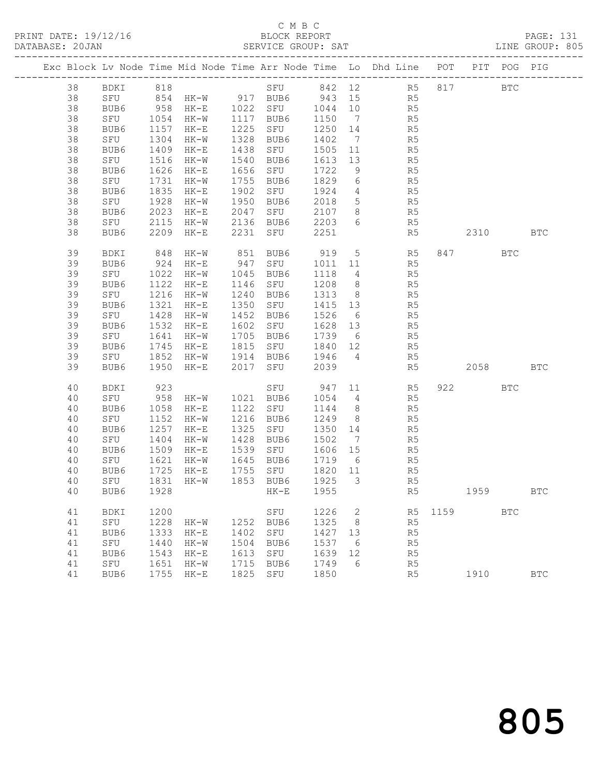# C M B C<br>BLOCK REPORT

|    |                                 |                                                  |                                                       |      |                                                        |      |                |                                                                                |          |         |            | LINE GROUP: 805 |
|----|---------------------------------|--------------------------------------------------|-------------------------------------------------------|------|--------------------------------------------------------|------|----------------|--------------------------------------------------------------------------------|----------|---------|------------|-----------------|
|    |                                 |                                                  |                                                       |      |                                                        |      |                | Exc Block Lv Node Time Mid Node Time Arr Node Time Lo Dhd Line POT PIT POG PIG |          |         |            |                 |
| 38 |                                 |                                                  |                                                       |      |                                                        |      |                | BDKI 818 SFU 842 12 R5 817 BTC                                                 |          |         |            |                 |
| 38 |                                 |                                                  |                                                       |      |                                                        |      |                | SFU 854 HK-W 917 BUB6 943 15 R5                                                |          |         |            |                 |
| 38 |                                 |                                                  |                                                       |      |                                                        |      |                | R5                                                                             |          |         |            |                 |
| 38 |                                 |                                                  |                                                       |      |                                                        |      |                | R5                                                                             |          |         |            |                 |
| 38 | BUB6                            |                                                  | 1157 HK-E                                             |      | 1225 SFU 1250 14                                       |      |                | R5                                                                             |          |         |            |                 |
| 38 | SFU 1304                        |                                                  | $HK-W$                                                |      | 1328 BUB6 1402                                         |      | $\overline{7}$ | R <sub>5</sub>                                                                 |          |         |            |                 |
| 38 | BUB6 1409 HK-E<br>SFU 1516 HK-W |                                                  |                                                       |      |                                                        |      |                |                                                                                |          |         |            |                 |
| 38 |                                 |                                                  |                                                       |      |                                                        |      |                | 1438 SFU 1505 11 R5<br>1540 BUB6 1613 13 R5<br>1656 SFU 1722 9 R5              |          |         |            |                 |
| 38 | BUB6                            |                                                  | 1626 HK-E                                             |      |                                                        |      |                |                                                                                |          |         |            |                 |
| 38 | SFU                             |                                                  | 1731 HK-W                                             |      | 1755 BUB6 1829                                         |      |                | 6 R5                                                                           |          |         |            |                 |
| 38 | BUB6                            |                                                  |                                                       |      |                                                        |      |                |                                                                                |          |         |            |                 |
| 38 | SFU                             |                                                  | 1850<br>1928 HK-W<br>6 2023 HK-E<br>2115 HK-W<br>HK-J |      |                                                        |      |                | 1902 SFU 1924 4 R5<br>1950 BUB6 2018 5 R5<br>2047 SFU 2107 8 R5                |          |         |            |                 |
| 38 | BUB6                            |                                                  |                                                       |      |                                                        |      |                |                                                                                |          |         |            |                 |
| 38 | SFU                             |                                                  |                                                       |      | 2136 BUB6 2203                                         |      |                | 6 R5                                                                           |          |         |            |                 |
| 38 | BUB6                            | 2209                                             | $HK-E$                                                |      | 2231 SFU 2251                                          |      |                | R5                                                                             | 2310     |         |            | <b>BTC</b>      |
| 39 | BDKI                            |                                                  |                                                       |      |                                                        |      |                | 848 HK-W 851 BUB6 919 5 R5                                                     |          | 847 BTC |            |                 |
| 39 | BUB6                            |                                                  |                                                       |      |                                                        |      |                | 924 HK-E 947 SFU 1011 11 R5                                                    |          |         |            |                 |
| 39 | SFU                             |                                                  | 1022 HK-W                                             |      | 1045 BUB6                                              | 1118 |                | $4\overline{ }$<br>R5                                                          |          |         |            |                 |
| 39 | BUB6                            | $\begin{array}{cc} 5 & 1122 \\ 1216 \end{array}$ | $HK-E$                                                |      | 1146 SFU 1208<br>1240 BUB6 1313                        |      |                | 8<br>8<br>8<br>R5                                                              |          |         |            |                 |
| 39 | SFU                             |                                                  | 1216 HK-W                                             |      | 1240 BUB6                                              |      |                |                                                                                |          |         |            |                 |
| 39 | BUB6                            |                                                  | 1321 HK-E                                             |      | 1350 SFU 1415 13                                       |      |                | R5                                                                             |          |         |            |                 |
| 39 | SFU                             |                                                  | 1428 HK-W                                             |      | 1452 BUB6 1526                                         |      | 6              | R5                                                                             |          |         |            |                 |
| 39 | BUB6 1532<br>SFU 1641           |                                                  | $HK-E$                                                |      | 1602 SFU 1628 13<br>1705 BUB6 1739 6                   |      |                | R5<br>R5                                                                       |          |         |            |                 |
| 39 |                                 |                                                  | 1641 HK-W                                             |      | 1705 BUB6                                              |      |                |                                                                                |          |         |            |                 |
| 39 | BUB6                            |                                                  | 1745 HK-E                                             |      |                                                        |      |                | 1815 SFU 1840 12 R5                                                            |          |         |            |                 |
| 39 |                                 |                                                  |                                                       |      | SFU 1852 HK-W 1914 BUB6 1946                           |      |                | 4 R5                                                                           |          |         |            |                 |
| 39 | BUB6                            | 1950                                             | $HK-E$                                                |      | 2017 SFU 2039                                          |      |                | R5                                                                             | 2058 BTC |         |            |                 |
| 40 | BDKI                            | 923                                              |                                                       |      |                                                        |      |                | SFU 947 11 R5                                                                  |          | 922     | <b>BTC</b> |                 |
| 40 |                                 |                                                  |                                                       |      | SFU 958 HK-W 1021 BUB6 1054 4                          |      |                | R5                                                                             |          |         |            |                 |
| 40 | BUB6 1058 HK-E<br>SFU 1152 HK-W |                                                  |                                                       |      |                                                        |      |                |                                                                                |          |         |            |                 |
| 40 |                                 |                                                  |                                                       |      |                                                        |      |                | 1122 SFU 1144 8 R5<br>1216 BUB6 1249 8 R5<br>1325 SFU 1350 14 R5               |          |         |            |                 |
| 40 | BUB6                            |                                                  | 1257 HK-E                                             |      |                                                        |      |                |                                                                                |          |         |            |                 |
| 40 |                                 |                                                  |                                                       |      |                                                        |      |                | SFU 1404 HK-W 1428 BUB6 1502 7 R5                                              |          |         |            |                 |
| 40 | BUB6                            | 1509                                             | $HK-E$                                                |      | 1539 SFU      1606   15<br>1645   BUB6      1719     6 |      |                | R <sub>5</sub>                                                                 |          |         |            |                 |
| 40 | SFU                             |                                                  | 1621 HK-W                                             |      |                                                        |      |                | R5                                                                             |          |         |            |                 |
|    |                                 |                                                  |                                                       |      |                                                        |      |                | 40 BUB6 1725 HK-E 1755 SFU 1820 11 R5                                          |          |         |            |                 |
| 40 | SFU                             |                                                  | 1831 HK-W                                             |      | 1853 BUB6                                              | 1925 | 3              | R5                                                                             |          |         |            |                 |
| 40 | BUB6                            | 1928                                             |                                                       |      | $HK-E$                                                 | 1955 |                | R5                                                                             |          | 1959    |            | <b>BTC</b>      |
| 41 | BDKI                            | 1200                                             |                                                       |      | SFU                                                    | 1226 | $\overline{2}$ |                                                                                | R5 1159  |         | <b>BTC</b> |                 |
| 41 | SFU                             | 1228                                             | HK-W                                                  |      | 1252 BUB6                                              | 1325 | 8 <sup>8</sup> | R5                                                                             |          |         |            |                 |
| 41 | BUB6                            | 1333                                             | $HK-E$                                                | 1402 | SFU                                                    | 1427 | 13             | R5                                                                             |          |         |            |                 |
| 41 | SFU                             | 1440                                             | HK-W                                                  | 1504 | BUB6                                                   | 1537 | 6              | R5                                                                             |          |         |            |                 |
| 41 | BUB6                            | 1543                                             | $HK-E$                                                | 1613 | SFU                                                    | 1639 | 12             | R <sub>5</sub>                                                                 |          |         |            |                 |
| 41 | SFU                             | 1651                                             | $HK-W$                                                |      | 1715 BUB6                                              | 1749 | 6              | R5                                                                             |          |         |            |                 |

41 BUB6 1755 HK-E 1825 SFU 1850 R5 1910 BTC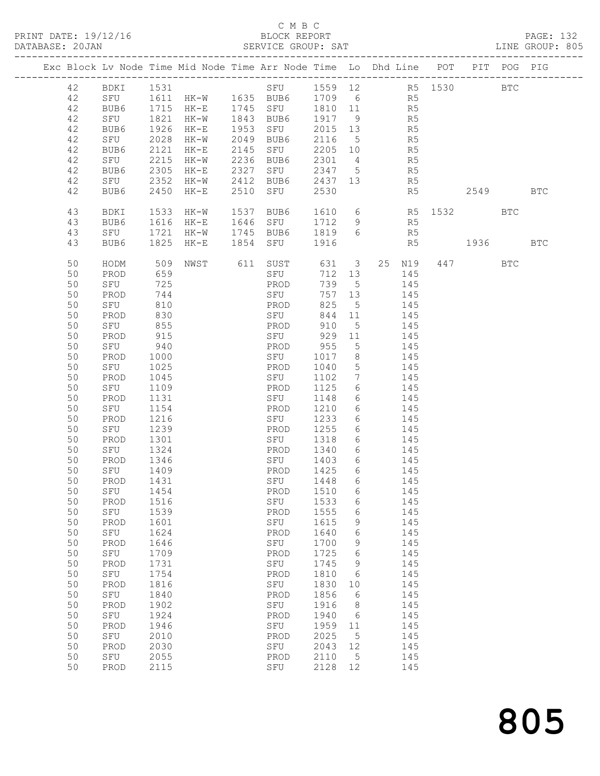### C M B C<br>BLOCK REPORT

| DATABASE: 20JAN |          |              |              |        | SERVICE GROUP: SAT    |                      |                 | LINE GROUP: 805                                                                |                 |         |          |            |  |
|-----------------|----------|--------------|--------------|--------|-----------------------|----------------------|-----------------|--------------------------------------------------------------------------------|-----------------|---------|----------|------------|--|
|                 |          |              |              |        |                       |                      |                 | Exc Block Lv Node Time Mid Node Time Arr Node Time Lo Dhd Line POT PIT POG PIG |                 |         |          |            |  |
|                 | 42       |              |              |        |                       |                      |                 |                                                                                |                 |         |          |            |  |
|                 | 42       |              |              |        |                       |                      |                 | SFU 1611 HK-W 1635 BUB6 1709 6 R5                                              |                 |         |          |            |  |
|                 | 42       | BUB6         |              |        |                       |                      |                 |                                                                                |                 |         |          |            |  |
|                 | 42       |              |              |        |                       |                      |                 | BUB6 1715 HK-E 1745 SFU 1810 11 R5<br>SFU 1821 HK-W 1843 BUB6 1917 9 R5        |                 |         |          |            |  |
|                 | 42       | BUB6         | 1926         | HK-E   | 1953 SFU              |                      |                 | $2015$ 13 R5                                                                   |                 |         |          |            |  |
|                 | 42       | SFU          | 2028         |        | HK-W 2049 BUB6 2116 5 |                      |                 | R <sub>5</sub>                                                                 |                 |         |          |            |  |
|                 | 42       | BUB6         | 2121         | HK-E   | 2145 SFU              | 2205 10              |                 |                                                                                |                 |         |          |            |  |
|                 | 42       | SFU          | 2215         | $HK-W$ | 2236 BUB6             |                      |                 | R <sub>5</sub>                                                                 |                 |         |          |            |  |
|                 |          |              | 2305         |        | 2327 SFU              |                      |                 | 2301 4 R5<br>2347 5 R5                                                         |                 |         |          |            |  |
|                 | 42<br>42 | BUB6<br>SFU  | 2352         | HK-E   |                       |                      |                 | HK-W 2412 BUB6 2437 13 R5                                                      |                 |         |          |            |  |
|                 | 42       | BUB6         |              |        | 2510 SFU              | 2530                 |                 |                                                                                | R5 <sub>b</sub> |         | 2549 BTC |            |  |
|                 |          |              | 2450         | $HK-E$ |                       |                      |                 |                                                                                |                 |         |          |            |  |
|                 | 43       | BDKI         | 1533         | HK-W   | 1537 BUB6             |                      |                 | 1610 6 R5 1532 BTC                                                             |                 |         |          |            |  |
|                 | 43       | BUB6         | 1616         | $HK-E$ | 1646 SFU              |                      |                 | 1712 9 R5                                                                      |                 |         |          |            |  |
|                 | 43       | SFU          | 1721         | $HK-W$ |                       |                      |                 | 1745 BUB6 1819 6 R5                                                            |                 |         |          |            |  |
|                 | 43       | BUB6         | 1825         | HK-E   | 1854 SFU              | 1916                 |                 |                                                                                | R5 1936         |         |          | <b>BTC</b> |  |
|                 | 50       | HODM         | 509          |        | NWST 611 SUST         |                      |                 | 631 3 25 N19                                                                   |                 | 447 BTC |          |            |  |
|                 | 50       | PROD         | 659          |        | SFU                   |                      | 712 13          | 145                                                                            |                 |         |          |            |  |
|                 | 50       | SFU          | 725          |        | PROD                  | 739 5                |                 | 145                                                                            |                 |         |          |            |  |
|                 | 50       | PROD         | 744          |        | SFU                   |                      | 757 13          | 145                                                                            |                 |         |          |            |  |
|                 | 50       | SFU          | 810          |        | PROD                  | 825                  | 5 <sup>5</sup>  | 145                                                                            |                 |         |          |            |  |
|                 | 50       | PROD         | 830          |        | SFU                   | 844                  | 11              | 145                                                                            |                 |         |          |            |  |
|                 | 50       | SFU          | 855          |        | PROD                  | 910                  | $5^{\circ}$     | 145                                                                            |                 |         |          |            |  |
|                 | 50       | PROD         | 915          |        | SFU                   |                      | 929 11          | 145                                                                            |                 |         |          |            |  |
|                 | 50       | SFU          | 940          |        | PROD                  | 955                  | $5\overline{)}$ | 145                                                                            |                 |         |          |            |  |
|                 | 50       | PROD         | 1000         |        | SFU                   | 1017                 | 8 <sup>8</sup>  | 145                                                                            |                 |         |          |            |  |
|                 | 50       | SFU          | 1025         |        | PROD                  | 1040                 | $5\overline{)}$ | 145                                                                            |                 |         |          |            |  |
|                 | 50       | PROD         | 1045         |        | SFU                   | 1102                 | $7\overline{ }$ | 145                                                                            |                 |         |          |            |  |
|                 | 50       | SFU          | 1109         |        | PROD                  | 1125                 | 6               | 145                                                                            |                 |         |          |            |  |
|                 | 50       | PROD         | 1131         |        | SFU                   | 1148                 | 6               | 145                                                                            |                 |         |          |            |  |
|                 | 50       | SFU          | 1154         |        | PROD                  | 1210                 | 6               | 145                                                                            |                 |         |          |            |  |
|                 | 50       | PROD         | 1216         |        | SFU                   | 1233                 | $6\overline{6}$ | 145                                                                            |                 |         |          |            |  |
|                 | 50       |              | 1239         |        |                       | 1255                 | $6\overline{6}$ |                                                                                |                 |         |          |            |  |
|                 |          | SFU          | 1301         |        | PROD                  |                      |                 | 145<br>6 145                                                                   |                 |         |          |            |  |
|                 | 50       | PROD         |              |        | SFU                   | 1318                 |                 |                                                                                |                 |         |          |            |  |
|                 | 50       | SFU          | 1324         |        | PROD                  | 1340                 |                 | 6 145                                                                          |                 |         |          |            |  |
|                 | 50       | PROD         | 1346<br>1409 |        | SFU                   | 1403<br>14∪ა<br>1425 | $6\overline{6}$ | 145<br>145                                                                     |                 |         |          |            |  |
|                 | 50       | SFU          |              |        | PROD                  |                      | 6               |                                                                                |                 |         |          |            |  |
|                 |          | 50 PROD 1431 |              |        | SFU 1448 6            |                      |                 | 145                                                                            |                 |         |          |            |  |
|                 | 50       | SFU          | 1454         |        | PROD                  | 1510                 | 6               | 145                                                                            |                 |         |          |            |  |
|                 | 50       | PROD         | 1516         |        | SFU                   | 1533                 | 6               | 145                                                                            |                 |         |          |            |  |
|                 | 50       | SFU          | 1539         |        | PROD                  | 1555                 | 6               | 145                                                                            |                 |         |          |            |  |
|                 | 50       | PROD         | 1601         |        | SFU                   | 1615                 | 9               | 145                                                                            |                 |         |          |            |  |
|                 | 50       | SFU          | 1624         |        | PROD                  | 1640                 | 6               | 145                                                                            |                 |         |          |            |  |
|                 | 50       | PROD         | 1646         |        | SFU                   | 1700                 | 9               | 145                                                                            |                 |         |          |            |  |
|                 | 50       | SFU          | 1709         |        | PROD                  | 1725                 | 6               | 145                                                                            |                 |         |          |            |  |
|                 | 50       | PROD         | 1731         |        | SFU                   | 1745                 | 9               | 145                                                                            |                 |         |          |            |  |
|                 | 50       | SFU          | 1754         |        | PROD                  | 1810                 | 6               | 145                                                                            |                 |         |          |            |  |
|                 | 50       | PROD         | 1816         |        | SFU                   | 1830                 | 10              | 145                                                                            |                 |         |          |            |  |
|                 | 50       | SFU          | 1840         |        | PROD                  | 1856                 | - 6             | 145                                                                            |                 |         |          |            |  |
|                 | 50       | PROD         | 1902         |        | SFU                   | 1916                 | 8               | 145                                                                            |                 |         |          |            |  |
|                 | 50       | SFU          | 1924         |        | PROD                  | 1940                 | 6               | 145                                                                            |                 |         |          |            |  |
|                 | 50       | PROD         | 1946         |        | SFU                   | 1959                 | 11              | 145                                                                            |                 |         |          |            |  |
|                 | 50       | SFU          | 2010         |        | PROD                  | 2025                 | $5\phantom{0}$  | 145                                                                            |                 |         |          |            |  |
|                 | 50       | PROD         | 2030         |        | SFU                   | 2043                 | 12              | 145                                                                            |                 |         |          |            |  |
|                 | 50       | SFU          | 2055         |        | PROD                  | 2110                 | 5               | 145                                                                            |                 |         |          |            |  |
|                 | 50       | PROD         | 2115         |        | SFU                   | 2128                 | 12              | 145                                                                            |                 |         |          |            |  |
|                 |          |              |              |        |                       |                      |                 |                                                                                |                 |         |          |            |  |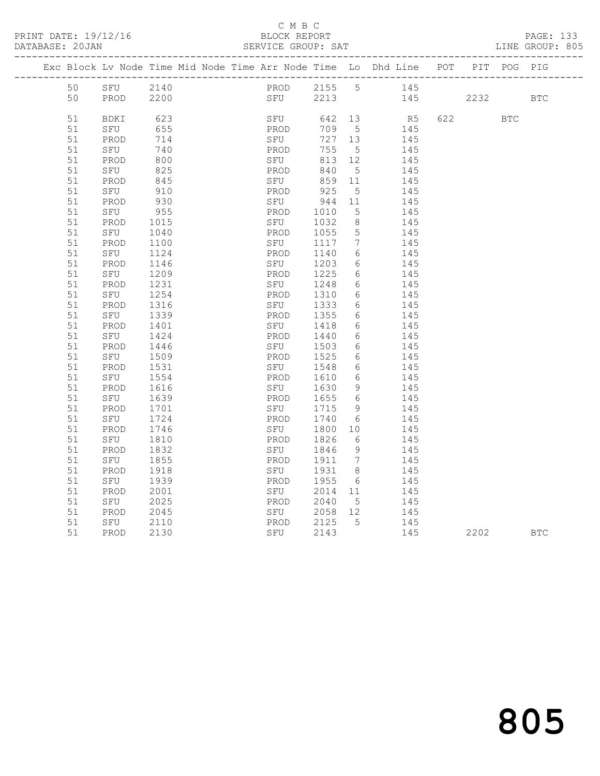### C M B C<br>BLOCK REPORT

#### SERVICE GROUP: SAT

|  |          | Exc Block Lv Node Time Mid Node Time Arr Node Time Lo Dhd Line POT |              |  |             |     |               |                   |            |     |      | PIT POG PIG |            |
|--|----------|--------------------------------------------------------------------|--------------|--|-------------|-----|---------------|-------------------|------------|-----|------|-------------|------------|
|  | 50       | SFU                                                                | 2140         |  |             |     | PROD 2155 5   |                   | 145        |     |      |             |            |
|  | 50       | PROD                                                               | 2200         |  |             | SFU | 2213          |                   | 145        |     | 2232 |             | <b>BTC</b> |
|  |          |                                                                    |              |  |             |     |               |                   |            |     |      |             |            |
|  | 51       | BDKI                                                               | 623          |  |             | SFU | 642 13        |                   | R5         | 622 |      | <b>BTC</b>  |            |
|  | 51       | SFU                                                                | 655          |  | PROD        |     | 709           | $5^{\circ}$       | 145        |     |      |             |            |
|  | 51       | PROD                                                               | 714          |  | SFU         |     | 727 13<br>755 |                   | 145        |     |      |             |            |
|  | 51<br>51 | SFU<br>PROD                                                        | 740<br>800   |  | PROD<br>SFU |     | 813           | $5^{\circ}$<br>12 | 145<br>145 |     |      |             |            |
|  | 51       | SFU                                                                | 825          |  | PROD        |     | 840           | $5^{\circ}$       | 145        |     |      |             |            |
|  | 51       | PROD                                                               | 845          |  | SFU         |     | 859           | 11                | 145        |     |      |             |            |
|  | 51       | SFU                                                                | 910          |  | PROD        |     | 925           | 5                 | 145        |     |      |             |            |
|  | 51       | PROD                                                               | 930          |  | SFU         |     | 944           | 11                | 145        |     |      |             |            |
|  | 51       | SFU                                                                | 955          |  | PROD        |     | 1010          | $5\phantom{.0}$   | 145        |     |      |             |            |
|  | 51       | PROD                                                               | 1015         |  | SFU         |     | 1032          | $8\,$             | 145        |     |      |             |            |
|  | 51       | SFU                                                                | 1040         |  | PROD        |     | 1055          | 5                 | 145        |     |      |             |            |
|  | 51       | PROD                                                               | 1100         |  | SFU         |     | 1117          | 7                 | 145        |     |      |             |            |
|  | 51       | SFU                                                                | 1124         |  | PROD        |     | 1140          | 6                 | 145        |     |      |             |            |
|  | 51       | PROD                                                               | 1146         |  |             | SFU | 1203          | 6                 | 145        |     |      |             |            |
|  | 51       | SFU                                                                | 1209         |  | PROD        |     | 1225          | 6                 | 145        |     |      |             |            |
|  | 51       | PROD                                                               | 1231         |  | SFU         |     | 1248          | 6                 | 145        |     |      |             |            |
|  | 51       | SFU                                                                | 1254         |  | PROD        |     | 1310          | $6\phantom{.}6$   | 145        |     |      |             |            |
|  | 51       | PROD                                                               | 1316         |  | SFU         |     | 1333          | 6                 | 145        |     |      |             |            |
|  | 51       | SFU                                                                | 1339         |  | PROD        |     | 1355          | 6                 | 145        |     |      |             |            |
|  | 51       | PROD                                                               | 1401         |  | SFU         |     | 1418          | $6\phantom{.}6$   | 145        |     |      |             |            |
|  | 51       | SFU                                                                | 1424         |  | PROD        |     | 1440          | 6                 | 145        |     |      |             |            |
|  | 51       | PROD                                                               | 1446         |  | SFU         |     | 1503          | 6                 | 145        |     |      |             |            |
|  | 51       | SFU                                                                | 1509         |  | PROD        |     | 1525          | 6                 | 145        |     |      |             |            |
|  | 51       | PROD                                                               | 1531         |  | SFU         |     | 1548          | 6                 | 145        |     |      |             |            |
|  | 51       | SFU                                                                | 1554         |  | PROD        |     | 1610          | 6<br>9            | 145        |     |      |             |            |
|  | 51<br>51 | PROD                                                               | 1616<br>1639 |  | SFU<br>PROD |     | 1630<br>1655  | 6                 | 145<br>145 |     |      |             |            |
|  | 51       | SFU<br>PROD                                                        | 1701         |  |             | SFU | 1715          | 9                 | 145        |     |      |             |            |
|  | 51       | SFU                                                                | 1724         |  | PROD        |     | 1740          | 6                 | 145        |     |      |             |            |
|  | 51       | PROD                                                               | 1746         |  | SFU         |     | 1800          | 10                | 145        |     |      |             |            |
|  | 51       | SFU                                                                | 1810         |  | PROD        |     | 1826          | 6                 | 145        |     |      |             |            |
|  | 51       | PROD                                                               | 1832         |  | SFU         |     | 1846          | 9                 | 145        |     |      |             |            |
|  | 51       | SFU                                                                | 1855         |  | PROD        |     | 1911          | $\overline{7}$    | 145        |     |      |             |            |
|  | 51       | PROD                                                               | 1918         |  | SFU         |     | 1931          | 8 <sup>8</sup>    | 145        |     |      |             |            |
|  | 51       | SFU                                                                | 1939         |  | PROD        |     | 1955          | 6                 | 145        |     |      |             |            |
|  | 51       | PROD                                                               | 2001         |  | SFU         |     | 2014          | 11                | 145        |     |      |             |            |
|  | 51       | SFU                                                                | 2025         |  | PROD        |     | 2040          | 5                 | 145        |     |      |             |            |
|  | 51       | PROD                                                               | 2045         |  |             | SFU | 2058          | 12                | 145        |     |      |             |            |
|  | 51       | SFU                                                                | 2110         |  | PROD        |     | 2125          | $5\overline{)}$   | 145        |     |      |             |            |
|  | 51       | PROD                                                               | 2130         |  |             | SFU | 2143          |                   | 145        |     | 2202 |             | <b>BTC</b> |
|  |          |                                                                    |              |  |             |     |               |                   |            |     |      |             |            |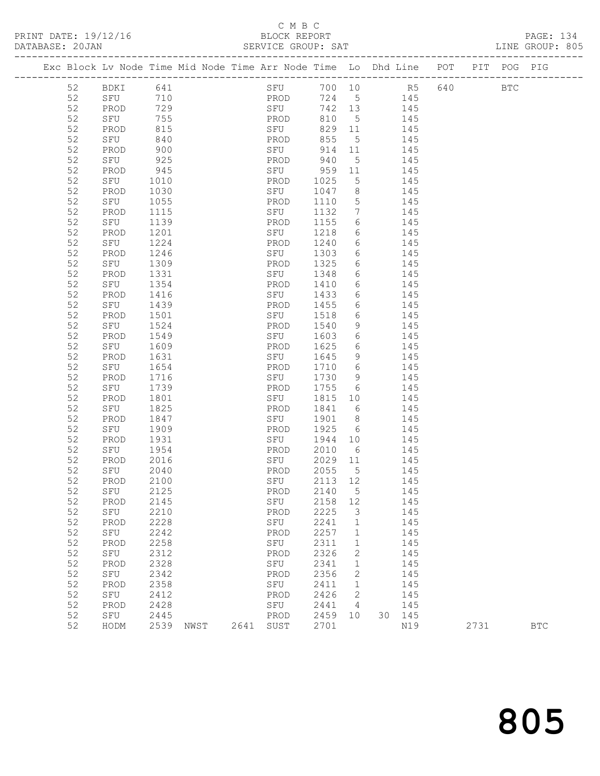# C M B C

| BLOCK REPORT |  |  |  |
|--------------|--|--|--|
|              |  |  |  |

PRINT DATE: 19/12/16 BLOCK REPORT PAGE: 134 SERVICE GROUP: SAT -------------------------------------------------------------------------------------------------

|  |    | Exc Block Lv Node Time Mid Node Time Arr Node Time Lo Dhd Line |      |      |      |      |     |         |                 |    |     | POT | PIT  | POG          | PIG        |
|--|----|----------------------------------------------------------------|------|------|------|------|-----|---------|-----------------|----|-----|-----|------|--------------|------------|
|  | 52 | BDKI                                                           | 641  |      |      | SFU  |     | 700 10  |                 |    | R5  | 640 |      | $_{\rm BTC}$ |            |
|  | 52 | SFU                                                            | 710  |      |      | PROD |     | 724     | $5^{\circ}$     |    | 145 |     |      |              |            |
|  | 52 | PROD                                                           | 729  |      |      | SFU  |     | 742     | 13              |    | 145 |     |      |              |            |
|  | 52 | SFU                                                            | 755  |      |      | PROD |     | 810     | 5               |    | 145 |     |      |              |            |
|  | 52 | PROD                                                           | 815  |      |      | SFU  |     | 829     | 11              |    | 145 |     |      |              |            |
|  | 52 | SFU                                                            | 840  |      |      | PROD |     | 855     | 5               |    | 145 |     |      |              |            |
|  | 52 | PROD                                                           | 900  |      |      | SFU  |     | 914     | 11              |    | 145 |     |      |              |            |
|  | 52 | SFU                                                            | 925  |      |      | PROD |     | 940     | $\mathsf S$     |    | 145 |     |      |              |            |
|  | 52 | PROD                                                           | 945  |      |      | SFU  |     | 959     | 11              |    | 145 |     |      |              |            |
|  | 52 | SFU                                                            | 1010 |      |      | PROD |     | 1025    | 5               |    | 145 |     |      |              |            |
|  | 52 | PROD                                                           | 1030 |      |      | SFU  |     | 1047    | 8               |    | 145 |     |      |              |            |
|  | 52 | SFU                                                            | 1055 |      |      | PROD |     | 1110    | $\mathsf S$     |    | 145 |     |      |              |            |
|  | 52 | PROD                                                           | 1115 |      |      | SFU  |     | 1132    | $7\phantom{.0}$ |    | 145 |     |      |              |            |
|  | 52 | SFU                                                            | 1139 |      |      | PROD |     | 1155    | 6               |    | 145 |     |      |              |            |
|  | 52 | PROD                                                           | 1201 |      |      | SFU  |     | 1218    | 6               |    | 145 |     |      |              |            |
|  | 52 | SFU                                                            | 1224 |      |      | PROD |     | 1240    | 6               |    | 145 |     |      |              |            |
|  | 52 | PROD                                                           | 1246 |      |      | SFU  |     | 1303    | 6               |    | 145 |     |      |              |            |
|  | 52 | SFU                                                            | 1309 |      |      | PROD |     | 1325    | 6               |    | 145 |     |      |              |            |
|  | 52 | PROD                                                           | 1331 |      |      | SFU  |     | 1348    | 6               |    | 145 |     |      |              |            |
|  | 52 | SFU                                                            | 1354 |      |      | PROD |     | 1410    | 6               |    | 145 |     |      |              |            |
|  | 52 | PROD                                                           | 1416 |      |      | SFU  |     | 1433    | 6               |    | 145 |     |      |              |            |
|  | 52 | SFU                                                            | 1439 |      |      | PROD |     | 1455    | 6               |    | 145 |     |      |              |            |
|  | 52 | PROD                                                           | 1501 |      |      | SFU  |     | 1518    | 6               |    | 145 |     |      |              |            |
|  | 52 | SFU                                                            | 1524 |      |      | PROD |     | 1540    | 9               |    | 145 |     |      |              |            |
|  | 52 | PROD                                                           | 1549 |      |      | SFU  |     | 1603    | 6               |    | 145 |     |      |              |            |
|  | 52 | SFU                                                            | 1609 |      |      | PROD |     | 1625    | 6               |    | 145 |     |      |              |            |
|  | 52 | PROD                                                           | 1631 |      |      | SFU  |     | 1645    | 9               |    | 145 |     |      |              |            |
|  | 52 | SFU                                                            | 1654 |      |      | PROD |     | 1710    | 6               |    | 145 |     |      |              |            |
|  | 52 | PROD                                                           | 1716 |      |      | SFU  |     | 1730    | 9               |    | 145 |     |      |              |            |
|  | 52 | SFU                                                            | 1739 |      |      | PROD |     | 1755    | 6               |    | 145 |     |      |              |            |
|  | 52 | PROD                                                           | 1801 |      |      | SFU  |     | 1815    | 10              |    | 145 |     |      |              |            |
|  | 52 | SFU                                                            | 1825 |      |      | PROD |     | 1841    | 6               |    | 145 |     |      |              |            |
|  | 52 | PROD                                                           | 1847 |      |      | SFU  |     | 1901    | 8               |    | 145 |     |      |              |            |
|  | 52 | SFU                                                            | 1909 |      |      | PROD |     | 1925    | 6               |    | 145 |     |      |              |            |
|  | 52 | PROD                                                           | 1931 |      |      | SFU  |     | 1944    | 10              |    | 145 |     |      |              |            |
|  | 52 | SFU                                                            | 1954 |      |      | PROD |     | 2010    | 6               |    | 145 |     |      |              |            |
|  | 52 | PROD                                                           | 2016 |      |      | SFU  |     | 2029    | 11              |    | 145 |     |      |              |            |
|  | 52 | SFU                                                            | 2040 |      |      | PROD |     | 2055    | $5\phantom{.0}$ |    | 145 |     |      |              |            |
|  | 52 | PROD                                                           | 2100 |      |      | SFU  |     | 2113    | 12              |    | 145 |     |      |              |            |
|  | 52 | SFU                                                            | 2125 |      |      | PROD |     | 2140    | 5               |    | 145 |     |      |              |            |
|  | 52 | PROD                                                           | 2145 |      |      |      | SFU | 2158 12 |                 |    | 145 |     |      |              |            |
|  | 52 | SFU                                                            | 2210 |      |      | PROD |     | 2225    | 3               |    | 145 |     |      |              |            |
|  | 52 | PROD                                                           | 2228 |      |      | SFU  |     | 2241    | $\mathbf 1$     |    | 145 |     |      |              |            |
|  | 52 | SFU                                                            | 2242 |      |      | PROD |     | 2257    | $\mathbf 1$     |    | 145 |     |      |              |            |
|  | 52 | PROD                                                           | 2258 |      |      | SFU  |     | 2311    | $\mathbf 1$     |    | 145 |     |      |              |            |
|  | 52 | SFU                                                            | 2312 |      |      | PROD |     | 2326    | $\mathbf{2}$    |    | 145 |     |      |              |            |
|  | 52 | PROD                                                           | 2328 |      |      | SFU  |     | 2341    | $\mathbf 1$     |    | 145 |     |      |              |            |
|  | 52 | SFU                                                            | 2342 |      |      | PROD |     | 2356    | 2               |    | 145 |     |      |              |            |
|  | 52 | PROD                                                           | 2358 |      |      | SFU  |     | 2411    | $\mathbf{1}$    |    | 145 |     |      |              |            |
|  | 52 | SFU                                                            | 2412 |      |      | PROD |     | 2426    | 2               |    | 145 |     |      |              |            |
|  | 52 | PROD                                                           | 2428 |      |      | SFU  |     | 2441    | 4               |    | 145 |     |      |              |            |
|  | 52 | SFU                                                            | 2445 |      |      | PROD |     | 2459    | 10              | 30 | 145 |     |      |              |            |
|  | 52 | HODM                                                           | 2539 | NWST | 2641 | SUST |     | 2701    |                 |    | N19 |     | 2731 |              | <b>BTC</b> |
|  |    |                                                                |      |      |      |      |     |         |                 |    |     |     |      |              |            |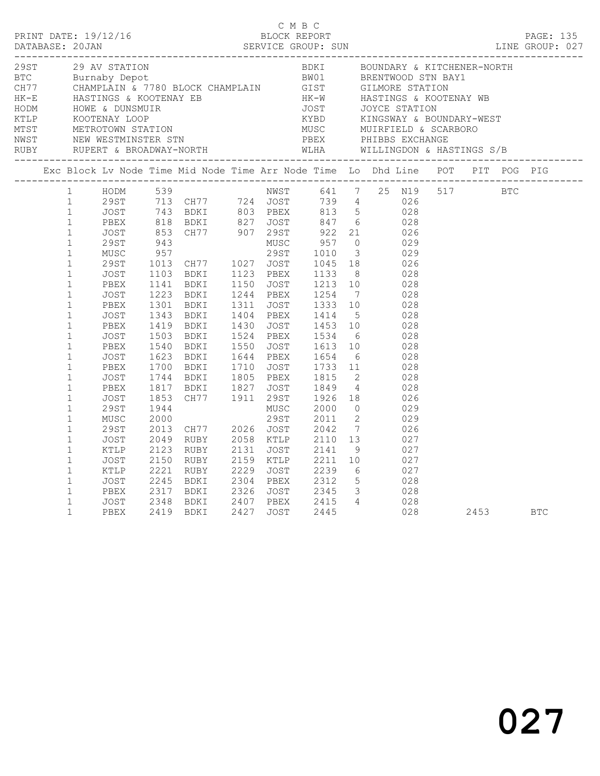|                                                                                                                                                                                                                                                              |                                                                                                                              |  |  | C M B C |  | PRINT DATE: 19/12/16<br>BLOCK REPORT BLOCK PERT<br>DATABASE: 20JAN SERVICE GROUP: SUN LINE GROUP: 027                                                                                                                                                                                                                                                                                                                                                                                                                                                                                                                                                                                                                                                                                                                                                         |          |  |  |
|--------------------------------------------------------------------------------------------------------------------------------------------------------------------------------------------------------------------------------------------------------------|------------------------------------------------------------------------------------------------------------------------------|--|--|---------|--|---------------------------------------------------------------------------------------------------------------------------------------------------------------------------------------------------------------------------------------------------------------------------------------------------------------------------------------------------------------------------------------------------------------------------------------------------------------------------------------------------------------------------------------------------------------------------------------------------------------------------------------------------------------------------------------------------------------------------------------------------------------------------------------------------------------------------------------------------------------|----------|--|--|
|                                                                                                                                                                                                                                                              |                                                                                                                              |  |  |         |  |                                                                                                                                                                                                                                                                                                                                                                                                                                                                                                                                                                                                                                                                                                                                                                                                                                                               |          |  |  |
|                                                                                                                                                                                                                                                              |                                                                                                                              |  |  |         |  | Exc Block Lv Node Time Mid Node Time Arr Node Time Lo Dhd Line POT PIT POG PIG                                                                                                                                                                                                                                                                                                                                                                                                                                                                                                                                                                                                                                                                                                                                                                                |          |  |  |
| $\mathbf{1}$<br>$\mathbf{1}$<br>$\mathbf{1}$<br>$\mathbf{1}$<br>$\mathbf{1}$<br>$\mathbf{1}$<br>$\mathbf{1}$<br>$\mathbf{1}$<br>$\mathbf{1}$<br>$\mathbf{1}$<br>$\mathbf{1}$<br>$\mathbf{1}$<br>$\mathbf{1}$<br>$\mathbf{1}$<br>$\mathbf{1}$<br>$\mathbf{1}$ | JOST<br>PBEX<br>JOST<br>PBEX<br>JOST<br>PBEX<br>JOST<br>PBEX<br>JOST<br>PBEX<br>JOST<br>29ST<br>MUSC<br>29ST<br>JOST<br>KTLP |  |  |         |  | 1 HODM 539 NWST 641 7 25 N19 517 BTC<br>1 HODM 539 NWST 641 7 25 N19<br>1 29ST 713 CH77 724 JOST 739 4 026<br>1 JOST 743 BDKI 803 PBEX 813 5 028<br>1 PBEX 818 BDKI 827 JOST 847 6 028<br>1 JOST 853 CH77 907 29ST 922 21 026<br>1 29ST 943 MUSC 957 0 029<br>1 MUSC 957 29ST 1010<br>1223 BDKI 1244 PBEX 1254 7 028<br>1301 BDKI 1311 JOST 1333 10 028<br>1343 BDKI 1404 PBEX 1414 5 028<br>1419 BDKI 1430 JOST 1453 10 028<br>1419 BDKI 1430 JOST 1453 10 028<br>1503 BDKI 1524 PBEX 1534 6 028<br>1540 BDKI 1550 JOST 1613 10 028<br>1623 BDKI 1644 PBEX 1654 6 028<br>1700 BDKI 1710 JOST 1733 11 028<br>1744 BDKI 1805 PBEX 1815 2 028<br>1817 BDKI 1827 JOST 1849 4 028<br>18<br>1944<br>2000 29ST 2011 2 029<br>2013 CH77 2026 JOST 2042 7 026<br>2049 RUBY 2058 KTLP 2110 13 027<br>2123 RUBY 2131 JOST 2141 9 027<br>2150 RUBY 2159 KTLP 2211 10 027 |          |  |  |
| $\mathbf{1}$<br>$\mathbf{1}$<br>$\mathbf{1}$<br>$\mathbf{1}$<br>$\mathbf{1}$<br>$\mathbf{1}$                                                                                                                                                                 | JOST<br>KTLP<br>JOST<br>PBEX                                                                                                 |  |  |         |  | 2221 RUBY 2229 JOST 2239 6 027<br>2245 BDKI 2304 PBEX 2312 5 028<br>2317 BDKI 2326 JOST 2345 3 028<br>3001 2348 BDKI 2407 PBEX 2415 4 028<br>PBEX 2419 BDKI 2427 JOST 2445 028                                                                                                                                                                                                                                                                                                                                                                                                                                                                                                                                                                                                                                                                                | 2453 BTC |  |  |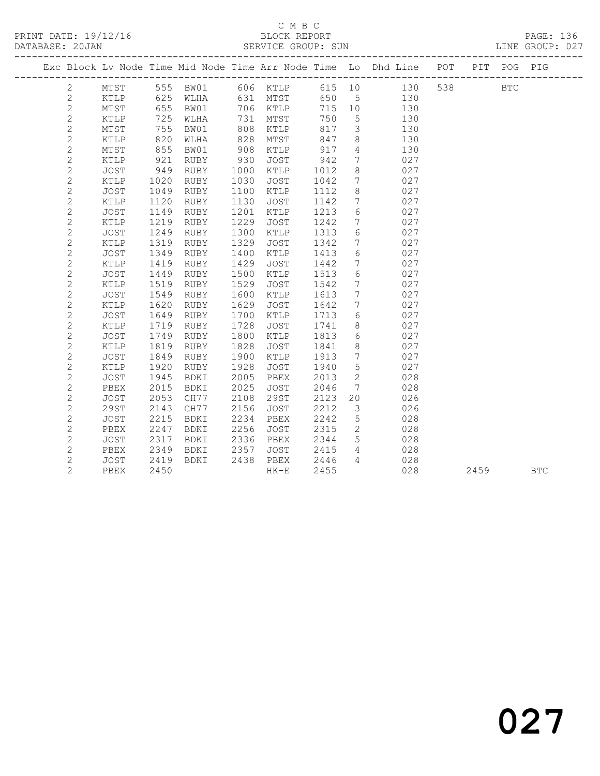|  |                |                 |      |             |      |             |      |                 | Exc Block Lv Node Time Mid Node Time Arr Node Time Lo Dhd Line POT |     |      | PIT POG PIG  |            |
|--|----------------|-----------------|------|-------------|------|-------------|------|-----------------|--------------------------------------------------------------------|-----|------|--------------|------------|
|  | 2              | $\mathtt{MTST}$ | 555  | BW01        |      | 606 KTLP    |      |                 | 615 10<br>130                                                      | 538 |      | $_{\rm BTC}$ |            |
|  | $\mathbf{2}$   | KTLP            | 625  | WLHA        |      | 631 MTST    | 650  | $5\phantom{.0}$ | 130                                                                |     |      |              |            |
|  | $\mathbf{2}$   | MTST            | 655  | BW01        | 706  | KTLP        | 715  | 10              | 130                                                                |     |      |              |            |
|  | $\mathbf{2}$   | KTLP            | 725  | WLHA        | 731  | MTST        | 750  | 5               | 130                                                                |     |      |              |            |
|  | $\mathbf{2}$   | MTST            | 755  | BW01        | 808  | KTLP        | 817  | 3               | 130                                                                |     |      |              |            |
|  | $\overline{c}$ | KTLP            | 820  | WLHA        | 828  | MTST        | 847  | 8               | 130                                                                |     |      |              |            |
|  | $\overline{c}$ | MTST            | 855  | BW01        | 908  | KTLP        | 917  | $\overline{4}$  | 130                                                                |     |      |              |            |
|  | $\mathbf{2}$   | KTLP            | 921  | RUBY        | 930  | <b>JOST</b> | 942  | $7\overline{ }$ | 027                                                                |     |      |              |            |
|  | $\overline{c}$ | <b>JOST</b>     | 949  | RUBY        | 1000 | KTLP        | 1012 | 8               | 027                                                                |     |      |              |            |
|  | $\overline{c}$ | KTLP            | 1020 | RUBY        | 1030 | <b>JOST</b> | 1042 | $7\overline{ }$ | 027                                                                |     |      |              |            |
|  | $\mathbf{2}$   | JOST            | 1049 | RUBY        | 1100 | KTLP        | 1112 | 8               | 027                                                                |     |      |              |            |
|  | $\mathbf{2}$   | KTLP            | 1120 | RUBY        | 1130 | JOST        | 1142 | $7\phantom{.0}$ | 027                                                                |     |      |              |            |
|  | $\mathbf{2}$   | JOST            | 1149 | RUBY        | 1201 | KTLP        | 1213 | 6               | 027                                                                |     |      |              |            |
|  | $\mathbf{2}$   | KTLP            | 1219 | RUBY        | 1229 | JOST        | 1242 | $7\phantom{.0}$ | 027                                                                |     |      |              |            |
|  | $\mathbf{2}$   | JOST            | 1249 | RUBY        | 1300 | KTLP        | 1313 | 6               | 027                                                                |     |      |              |            |
|  | $\mathbf{2}$   | KTLP            | 1319 | RUBY        | 1329 | <b>JOST</b> | 1342 | $7\phantom{.}$  | 027                                                                |     |      |              |            |
|  | $\mathbf{2}$   | <b>JOST</b>     | 1349 | RUBY        | 1400 | KTLP        | 1413 | 6               | 027                                                                |     |      |              |            |
|  | $\mathbf{2}$   | KTLP            | 1419 | RUBY        | 1429 | <b>JOST</b> | 1442 | $7\phantom{.0}$ | 027                                                                |     |      |              |            |
|  | $\mathbf{2}$   | <b>JOST</b>     | 1449 | RUBY        | 1500 | KTLP        | 1513 | 6               | 027                                                                |     |      |              |            |
|  | $\overline{c}$ | KTLP            | 1519 | RUBY        | 1529 | JOST        | 1542 | $7\phantom{.0}$ | 027                                                                |     |      |              |            |
|  | $\overline{c}$ | <b>JOST</b>     | 1549 | RUBY        | 1600 | <b>KTLP</b> | 1613 | $7\phantom{.0}$ | 027                                                                |     |      |              |            |
|  | $\overline{c}$ | KTLP            | 1620 | RUBY        | 1629 | <b>JOST</b> | 1642 | $7\phantom{.0}$ | 027                                                                |     |      |              |            |
|  | $\mathbf{2}$   | JOST            | 1649 | RUBY        | 1700 | KTLP        | 1713 | 6               | 027                                                                |     |      |              |            |
|  | $\mathbf{2}$   | KTLP            | 1719 | RUBY        | 1728 | JOST        | 1741 | 8               | 027                                                                |     |      |              |            |
|  | $\overline{c}$ | JOST            | 1749 | RUBY        | 1800 | KTLP        | 1813 | 6               | 027                                                                |     |      |              |            |
|  | $\mathbf{2}$   | KTLP            | 1819 | RUBY        | 1828 | <b>JOST</b> | 1841 | 8               | 027                                                                |     |      |              |            |
|  | $\mathbf{2}$   | JOST            | 1849 | RUBY        | 1900 | KTLP        | 1913 | $7\phantom{.0}$ | 027                                                                |     |      |              |            |
|  | $\mathbf{2}$   | KTLP            | 1920 | RUBY        | 1928 | JOST        | 1940 | 5               | 027                                                                |     |      |              |            |
|  | $\mathbf{2}$   | <b>JOST</b>     | 1945 | BDKI        | 2005 | PBEX        | 2013 | $\mathbf{2}$    | 028                                                                |     |      |              |            |
|  | $\mathbf{2}$   | PBEX            | 2015 | BDKI        | 2025 | <b>JOST</b> | 2046 | $7\phantom{.0}$ | 028                                                                |     |      |              |            |
|  | $\overline{c}$ | JOST            | 2053 | CH77        | 2108 | 29ST        | 2123 | 20              | 026                                                                |     |      |              |            |
|  | $\mathbf{2}$   | <b>29ST</b>     | 2143 | CH77        | 2156 | JOST        | 2212 | 3               | 026                                                                |     |      |              |            |
|  | $\overline{c}$ | <b>JOST</b>     | 2215 | <b>BDKI</b> | 2234 | PBEX        | 2242 | 5               | 028                                                                |     |      |              |            |
|  | $\mathbf{2}$   | PBEX            | 2247 | <b>BDKI</b> | 2256 | <b>JOST</b> | 2315 | $\mathbf{2}$    | 028                                                                |     |      |              |            |
|  | $\mathbf{2}$   | JOST            | 2317 | <b>BDKI</b> | 2336 | PBEX        | 2344 | 5               | 028                                                                |     |      |              |            |
|  | $\mathbf{2}$   | PBEX            | 2349 | BDKI        | 2357 | JOST        | 2415 | $\overline{4}$  | 028                                                                |     |      |              |            |
|  | $\mathbf{2}$   | JOST            | 2419 | BDKI        | 2438 | PBEX        | 2446 | $\overline{4}$  | 028                                                                |     |      |              |            |
|  | $\overline{2}$ | PBEX            | 2450 |             |      | $HK-E$      | 2455 |                 | 028                                                                |     | 2459 |              | <b>BTC</b> |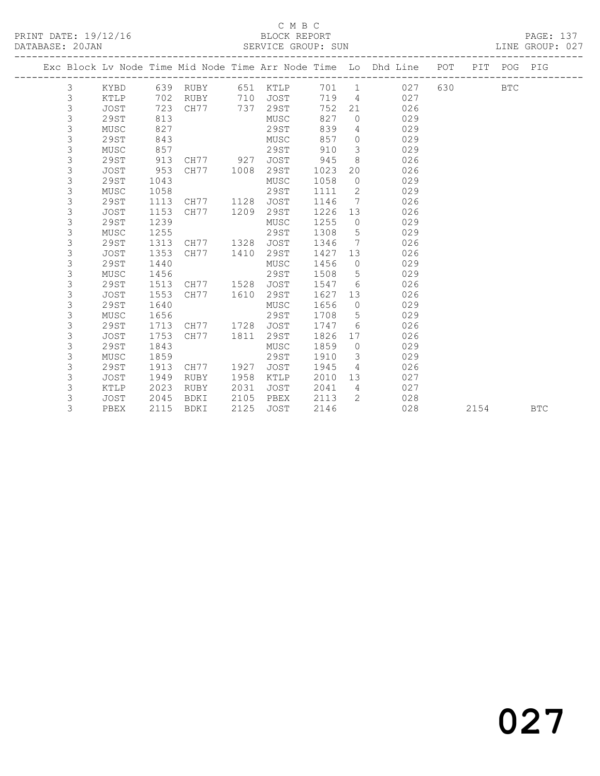### C M B C<br>BLOCK REPORT

LINE GROUP: 027

|  |                |             |      |           |      |             |      |                 | Exc Block Lv Node Time Mid Node Time Arr Node Time Lo Dhd Line POT |     |      | PIT POG PIG |            |
|--|----------------|-------------|------|-----------|------|-------------|------|-----------------|--------------------------------------------------------------------|-----|------|-------------|------------|
|  | 3              | KYBD        |      | 639 RUBY  | 651  | KTLP        | 701  | $\overline{1}$  | 027                                                                | 630 |      | <b>BTC</b>  |            |
|  | $\mathfrak{Z}$ | KTLP        | 702  | RUBY      | 710  | <b>JOST</b> | 719  | $\overline{4}$  | 027                                                                |     |      |             |            |
|  | 3              | JOST        | 723  | CH77      | 737  | 29ST        | 752  | 21              | 026                                                                |     |      |             |            |
|  | 3              | 29ST        | 813  |           |      | MUSC        | 827  | $\circ$         | 029                                                                |     |      |             |            |
|  | 3              | MUSC        | 827  |           |      | 29ST        | 839  | 4               | 029                                                                |     |      |             |            |
|  | 3              | 29ST        | 843  |           |      | MUSC        | 857  | $\circ$         | 029                                                                |     |      |             |            |
|  | 3              | MUSC        | 857  |           |      | 29ST        | 910  | 3               | 029                                                                |     |      |             |            |
|  | 3              | 29ST        | 913  | CH77 927  |      | <b>JOST</b> | 945  | 8               | 026                                                                |     |      |             |            |
|  | 3              | <b>JOST</b> | 953  | CH77      | 1008 | 29ST        | 1023 | 20              | 026                                                                |     |      |             |            |
|  | 3              | 29ST        | 1043 |           |      | MUSC        | 1058 | $\circ$         | 029                                                                |     |      |             |            |
|  | 3              | MUSC        | 1058 |           |      | 29ST        | 1111 | 2               | 029                                                                |     |      |             |            |
|  | 3              | 29ST        | 1113 | CH77      | 1128 | <b>JOST</b> | 1146 | 7               | 026                                                                |     |      |             |            |
|  | 3              | JOST        | 1153 | CH77      | 1209 | 29ST        | 1226 | 13              | 026                                                                |     |      |             |            |
|  | 3              | 29ST        | 1239 |           |      | MUSC        | 1255 | $\circ$         | 029                                                                |     |      |             |            |
|  | 3              | MUSC        | 1255 |           |      | 29ST        | 1308 | 5               | 029                                                                |     |      |             |            |
|  | 3              | 29ST        | 1313 | CH77 1328 |      | <b>JOST</b> | 1346 | $7\phantom{.0}$ | 026                                                                |     |      |             |            |
|  | 3              | <b>JOST</b> | 1353 | CH77      | 1410 | 29ST        | 1427 | 13              | 026                                                                |     |      |             |            |
|  | 3              | 29ST        | 1440 |           |      | MUSC        | 1456 | $\overline{0}$  | 029                                                                |     |      |             |            |
|  | 3              | MUSC        | 1456 |           |      | 29ST        | 1508 | 5               | 029                                                                |     |      |             |            |
|  | 3              | 29ST        | 1513 | CH77 1528 |      | <b>JOST</b> | 1547 | 6               | 026                                                                |     |      |             |            |
|  | 3              | <b>JOST</b> | 1553 | CH77      | 1610 | 29ST        | 1627 | 13              | 026                                                                |     |      |             |            |
|  | 3              | 29ST        | 1640 |           |      | MUSC        | 1656 | $\circ$         | 029                                                                |     |      |             |            |
|  | 3              | MUSC        | 1656 |           |      | 29ST        | 1708 | 5               | 029                                                                |     |      |             |            |
|  | 3              | 29ST        | 1713 | CH77      | 1728 | <b>JOST</b> | 1747 | 6               | 026                                                                |     |      |             |            |
|  | 3              | <b>JOST</b> | 1753 | CH77      | 1811 | 29ST        | 1826 | 17              | 026                                                                |     |      |             |            |
|  | 3              | 29ST        | 1843 |           |      | MUSC        | 1859 | $\circ$         | 029                                                                |     |      |             |            |
|  | 3              | MUSC        | 1859 |           |      | 29ST        | 1910 | $\mathcal{E}$   | 029                                                                |     |      |             |            |
|  | 3              | 29ST        | 1913 | CH77      | 1927 | <b>JOST</b> | 1945 | $\overline{4}$  | 026                                                                |     |      |             |            |
|  | 3              | <b>JOST</b> | 1949 | RUBY      | 1958 | KTLP        | 2010 | 13              | 027                                                                |     |      |             |            |
|  | 3              | KTLP        | 2023 | RUBY      | 2031 | JOST        | 2041 | 4               | 027                                                                |     |      |             |            |
|  | 3              | JOST        | 2045 | BDKI      | 2105 | PBEX        | 2113 | $\overline{2}$  | 028                                                                |     |      |             |            |
|  | 3              | PBEX        | 2115 | BDKI      | 2125 | <b>JOST</b> | 2146 |                 | 028                                                                |     | 2154 |             | <b>BTC</b> |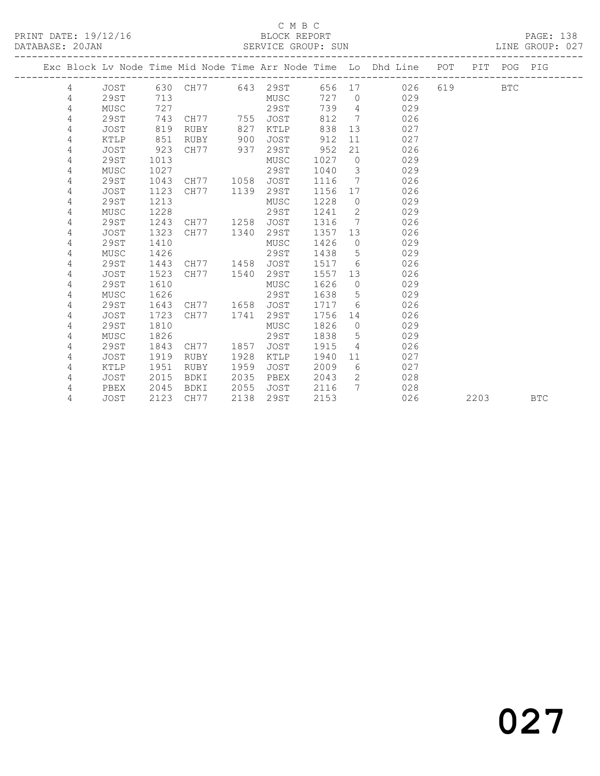### C M B C<br>BLOCK REPORT

| DATABASE: 20JAN |      |      |                     |      |      |      |                         | SERVICE GROUP: SUN                                                 |         |             | LINE GROUP: 027 |
|-----------------|------|------|---------------------|------|------|------|-------------------------|--------------------------------------------------------------------|---------|-------------|-----------------|
|                 |      |      |                     |      |      |      |                         | Exc Block Lv Node Time Mid Node Time Arr Node Time Lo Dhd Line POT |         | PIT POG PIG |                 |
| 4               |      |      |                     |      |      |      |                         | 656 17 026                                                         | 619 BTC |             |                 |
| 4               | 29ST | 713  |                     |      | MUSC | 727  |                         | 029<br>$\bigcirc$                                                  |         |             |                 |
| 4               | MUSC | 727  |                     |      | 29ST | 739  |                         | $4\overline{ }$<br>029                                             |         |             |                 |
| 4               | 29ST | 743  | CH77 755            |      | JOST | 812  | $7\overline{ }$         | 026                                                                |         |             |                 |
| 4               | JOST | 819  | RUBY                | 827  | KTLP | 838  |                         | 13<br>027                                                          |         |             |                 |
| 4               | KTLP | 851  | RUBY                | 900  | JOST | 912  | 11                      | 027                                                                |         |             |                 |
| 4               | JOST | 923  | CH77                | 937  | 29ST | 952  | 21                      | 026                                                                |         |             |                 |
| 4               | 29ST | 1013 |                     |      | MUSC | 1027 | $\overline{0}$          | 029                                                                |         |             |                 |
| 4               | MUSC | 1027 |                     |      | 29ST | 1040 | $\overline{\mathbf{3}}$ | 029                                                                |         |             |                 |
| 4               | 29ST | 1043 | CH77                | 1058 | JOST | 1116 | $7\phantom{0}$          | 026                                                                |         |             |                 |
| 4               | JOST | 1123 | CH77                | 1139 | 29ST | 1156 | 17                      | 026                                                                |         |             |                 |
| 4               | 29ST | 1213 |                     |      | MUSC | 1228 | $\overline{0}$          | 029                                                                |         |             |                 |
| 4               | MUSC | 1228 |                     |      | 29ST | 1241 | $\overline{2}$          | 029                                                                |         |             |                 |
| 4               | 29ST | 1243 | CH77                | 1258 | JOST | 1316 | 7                       | 026                                                                |         |             |                 |
| 4               | JOST | 1323 | CH77                | 1340 | 29ST | 1357 | 13                      | 026                                                                |         |             |                 |
| 4               | 29ST | 1410 |                     |      | MUSC | 1426 | $\circ$                 | 029                                                                |         |             |                 |
| 4               | MUSC | 1426 |                     |      | 29ST | 1438 | 5                       | 029                                                                |         |             |                 |
| 4               | 29ST | 1443 | CH77                | 1458 | JOST | 1517 | 6                       | 026                                                                |         |             |                 |
| 4               | JOST | 1523 | CH77                | 1540 | 29ST | 1557 | 13                      | 026                                                                |         |             |                 |
| 4               | 29ST | 1610 |                     |      | MUSC | 1626 | $\bigcirc$              | 029                                                                |         |             |                 |
| 4               | MUSC | 1626 |                     |      | 29ST | 1638 |                         | $5^{\circ}$<br>029                                                 |         |             |                 |
| 4               | 29ST |      | 1643 CH77 1658 JOST |      |      | 1717 | $6^{\circ}$             | 026                                                                |         |             |                 |

4 JOST 2123 CH77 2138 29ST 2153 026 2203 BTC

 4 29ST 1643 CH77 1658 JOST 1717 6 026 4 JOST 1723 CH77 1741 29ST 1756 14 026 4 29ST 1810 MUSC 1826 0 029 4 MUSC 1826 29ST 1838 5 029 4 29ST 1843 CH77 1857 JOST 1915 4 026 4 JOST 1919 RUBY 1928 KTLP 1940 11 027 4 KTLP 1951 RUBY 1959 JOST 2009 6 027

4 PBEX 2045 BDKI 2055 JOST 2116 7 028

4 JOST 2015 BDKI 2035 PBEX 2043 2 028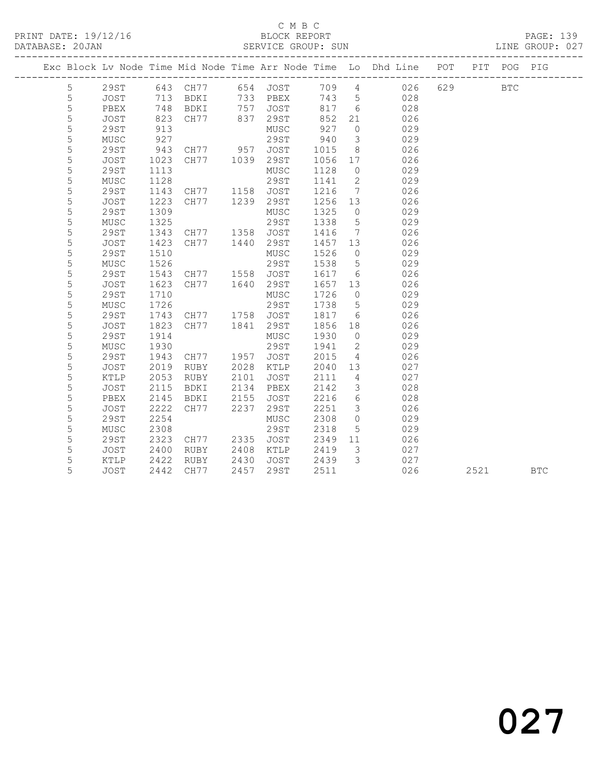|  |             |              |      |             |      |              |      |                 | Exc Block Lv Node Time Mid Node Time Arr Node Time Lo Dhd Line POT PIT POG PIG |     |      |            |            |
|--|-------------|--------------|------|-------------|------|--------------|------|-----------------|--------------------------------------------------------------------------------|-----|------|------------|------------|
|  | 5           | 29ST         |      | 643 CH77    | 654  | JOST         |      |                 | 709 4<br>026                                                                   | 629 |      | <b>BTC</b> |            |
|  | 5           | JOST         | 713  | BDKI        |      | 733 PBEX     | 743  | $5\overline{)}$ | 028                                                                            |     |      |            |            |
|  | 5           | PBEX         | 748  | BDKI        | 757  | JOST         | 817  | $6\overline{6}$ | 028                                                                            |     |      |            |            |
|  | 5           | JOST         | 823  | CH77        | 837  | 29ST         | 852  | 21              | 026                                                                            |     |      |            |            |
|  | $\mathsf S$ | <b>29ST</b>  | 913  |             |      | ${\tt MUSC}$ | 927  | $\circ$         | 029                                                                            |     |      |            |            |
|  | 5           | MUSC         | 927  |             |      | 29ST         | 940  | $\mathcal{S}$   | 029                                                                            |     |      |            |            |
|  | 5           | 29ST         | 943  | CH77 957    |      | JOST         | 1015 | 8               | 026                                                                            |     |      |            |            |
|  | 5           | JOST         | 1023 | CH77 1039   |      | 29ST         | 1056 | 17              | 026                                                                            |     |      |            |            |
|  | 5           | <b>29ST</b>  | 1113 |             |      | ${\tt MUSC}$ | 1128 | $\circ$         | 029                                                                            |     |      |            |            |
|  | $\mathsf S$ | MUSC         | 1128 |             |      | 29ST         | 1141 | 2               | 029                                                                            |     |      |            |            |
|  | 5           | <b>29ST</b>  | 1143 | CH77        | 1158 | JOST         | 1216 | $7\phantom{.0}$ | 026                                                                            |     |      |            |            |
|  | 5           | JOST         | 1223 | CH77        | 1239 | 29ST         | 1256 | 13              | 026                                                                            |     |      |            |            |
|  | 5           | 29ST         | 1309 |             |      | MUSC         | 1325 | $\circ$         | 029                                                                            |     |      |            |            |
|  | 5           | MUSC         | 1325 |             |      | 29ST         | 1338 | $5\phantom{.0}$ | 029                                                                            |     |      |            |            |
|  | 5           | <b>29ST</b>  | 1343 | CH77        | 1358 | JOST         | 1416 | 7               | 026                                                                            |     |      |            |            |
|  | 5           | JOST         | 1423 | CH77        | 1440 | 29ST         | 1457 | 13              | 026                                                                            |     |      |            |            |
|  | 5           | <b>29ST</b>  | 1510 |             |      | MUSC         | 1526 | $\overline{0}$  | 029                                                                            |     |      |            |            |
|  | 5           | MUSC         | 1526 |             |      | 29ST         | 1538 | $5\phantom{.0}$ | 029                                                                            |     |      |            |            |
|  | 5           | 29ST         | 1543 | CH77        | 1558 | JOST         | 1617 | 6               | 026                                                                            |     |      |            |            |
|  | 5           | JOST         | 1623 | CH77        | 1640 | 29ST         | 1657 | 13              | 026                                                                            |     |      |            |            |
|  | 5           | <b>29ST</b>  | 1710 |             |      | MUSC         | 1726 | $\circ$         | 029                                                                            |     |      |            |            |
|  | 5           | ${\tt MUSC}$ | 1726 |             |      | 29ST         | 1738 | 5               | 029                                                                            |     |      |            |            |
|  | 5           | <b>29ST</b>  | 1743 | CH77        | 1758 | JOST         | 1817 | 6               | 026                                                                            |     |      |            |            |
|  | 5           | <b>JOST</b>  | 1823 | CH77        | 1841 | 29ST         | 1856 | 18              | 026                                                                            |     |      |            |            |
|  | 5           | <b>29ST</b>  | 1914 |             |      | ${\tt MUSC}$ | 1930 | $\circ$         | 029                                                                            |     |      |            |            |
|  | 5           | MUSC         | 1930 |             |      | 29ST         | 1941 | $\mathbf{2}$    | 029                                                                            |     |      |            |            |
|  | 5           | <b>29ST</b>  | 1943 | CH77        | 1957 | JOST         | 2015 | $\overline{4}$  | 026                                                                            |     |      |            |            |
|  | 5           | JOST         | 2019 | RUBY        | 2028 | KTLP         | 2040 | 13              | 027                                                                            |     |      |            |            |
|  | 5           | KTLP         | 2053 | <b>RUBY</b> | 2101 | JOST         | 2111 | $\overline{4}$  | 027                                                                            |     |      |            |            |
|  | 5           | JOST         | 2115 | BDKI        | 2134 | PBEX         | 2142 | 3               | 028                                                                            |     |      |            |            |
|  | 5           | PBEX         | 2145 | BDKI        | 2155 | JOST         | 2216 | 6               | 028                                                                            |     |      |            |            |
|  | 5           | JOST         | 2222 | CH77        | 2237 | 29ST         | 2251 | $\mathcal{S}$   | 026                                                                            |     |      |            |            |
|  | 5           | <b>29ST</b>  | 2254 |             |      | ${\tt MUSC}$ | 2308 | $\circ$         | 029                                                                            |     |      |            |            |
|  | 5           | MUSC         | 2308 |             |      | <b>29ST</b>  | 2318 | 5               | 029                                                                            |     |      |            |            |
|  | 5           | <b>29ST</b>  | 2323 | CH77        | 2335 | <b>JOST</b>  | 2349 | 11              | 026                                                                            |     |      |            |            |
|  | 5           | JOST         | 2400 | RUBY        | 2408 | KTLP         | 2419 | 3               | 027                                                                            |     |      |            |            |
|  | 5           | KTLP         | 2422 | RUBY        | 2430 | JOST         | 2439 | $\mathcal{S}$   | 027                                                                            |     |      |            |            |
|  | 5           | <b>JOST</b>  | 2442 | CH77        | 2457 | <b>29ST</b>  | 2511 |                 | 026                                                                            |     | 2521 |            | <b>BTC</b> |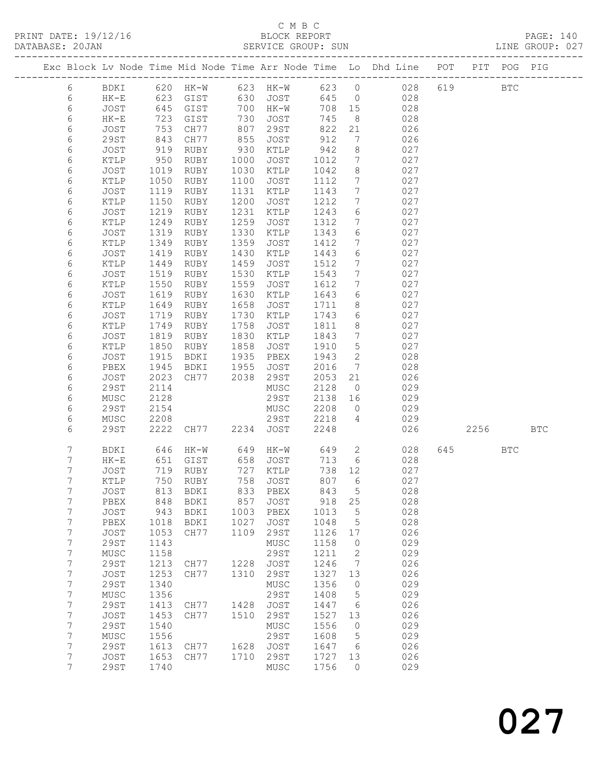PRINT DATE: 19/12/16 BLOCK REPORT BATABASE: 20JAN BLOCK REPORT

# C M B C<br>BLOCK REPORT

PAGE: 140<br>LINE GROUP: 027

|  |            |                     |              |                     |              |                     |              |                      | Exc Block Lv Node Time Mid Node Time Arr Node Time Lo Dhd Line POT |     |      | PIT POG PIG |            |
|--|------------|---------------------|--------------|---------------------|--------------|---------------------|--------------|----------------------|--------------------------------------------------------------------|-----|------|-------------|------------|
|  | 6          | BDKI                | 620          | $HK-W$              |              | 623 HK-W            | 623 0        |                      | 028                                                                | 619 |      | <b>BTC</b>  |            |
|  | 6          | $HK-E$              | 623          | GIST                | 630          | JOST                | 645          | $\overline{0}$       | 028                                                                |     |      |             |            |
|  | $\epsilon$ | JOST                | 645          | GIST                | 700          | HK-W                | 708          | 15                   | 028                                                                |     |      |             |            |
|  | $\epsilon$ | $HK-E$              | 723          | GIST                | 730          | JOST                | 745          | 8                    | 028                                                                |     |      |             |            |
|  | 6          | JOST                | 753          | CH77                | 807          | 29ST                | 822          | 21                   | 026                                                                |     |      |             |            |
|  | 6          | 29ST                | 843          | CH77                | 855          | JOST                | 912          | $7\phantom{.0}$      | 026                                                                |     |      |             |            |
|  | 6          | JOST                | 919          | RUBY                | 930          | KTLP                | 942          | 8                    | 027                                                                |     |      |             |            |
|  | 6          | KTLP                | 950          | RUBY                | 1000         | JOST                | 1012         | $7\phantom{.0}$      | 027                                                                |     |      |             |            |
|  | 6          | JOST                | 1019         | RUBY                | 1030         | KTLP                | 1042         | 8                    | 027                                                                |     |      |             |            |
|  | 6          | KTLP                | 1050         | RUBY                | 1100         | JOST                | 1112         | $7\phantom{.}$       | 027                                                                |     |      |             |            |
|  | 6          | JOST                | 1119         | RUBY                | 1131         | KTLP                | 1143         | $7\phantom{.0}$      | 027                                                                |     |      |             |            |
|  | 6          | KTLP                | 1150         | RUBY                | 1200         | JOST                | 1212         | $7\phantom{.0}$      | 027                                                                |     |      |             |            |
|  | 6          | JOST                | 1219         | RUBY                | 1231         | KTLP                | 1243         | 6                    | 027                                                                |     |      |             |            |
|  | 6          | KTLP                | 1249         | RUBY                | 1259         | JOST                | 1312         | $7\phantom{.0}$      | 027                                                                |     |      |             |            |
|  | 6<br>6     | JOST<br>KTLP        | 1319<br>1349 | RUBY<br>RUBY        | 1330<br>1359 | KTLP<br>JOST        | 1343<br>1412 | 6<br>$7\phantom{.0}$ | 027<br>027                                                         |     |      |             |            |
|  | 6          | JOST                | 1419         | RUBY                | 1430         | KTLP                | 1443         | 6                    | 027                                                                |     |      |             |            |
|  | 6          | KTLP                | 1449         | RUBY                | 1459         | JOST                | 1512         | $7\phantom{.0}$      | 027                                                                |     |      |             |            |
|  | 6          | JOST                | 1519         | RUBY                | 1530         | KTLP                | 1543         | $7\phantom{.0}$      | 027                                                                |     |      |             |            |
|  | 6          | KTLP                | 1550         | RUBY                | 1559         | JOST                | 1612         | $7\phantom{.0}$      | 027                                                                |     |      |             |            |
|  | 6          | JOST                | 1619         | RUBY                | 1630         | KTLP                | 1643         | 6                    | 027                                                                |     |      |             |            |
|  | 6          | KTLP                | 1649         | RUBY                | 1658         | JOST                | 1711         | 8                    | 027                                                                |     |      |             |            |
|  | 6          | JOST                | 1719         | RUBY                | 1730         | KTLP                | 1743         | 6                    | 027                                                                |     |      |             |            |
|  | 6          | KTLP                | 1749         | RUBY                | 1758         | JOST                | 1811         | 8                    | 027                                                                |     |      |             |            |
|  | 6          | JOST                | 1819         | RUBY                | 1830         | KTLP                | 1843         | $7\phantom{.0}$      | 027                                                                |     |      |             |            |
|  | 6          | KTLP                | 1850         | RUBY                | 1858         | JOST                | 1910         | 5                    | 027                                                                |     |      |             |            |
|  | 6          | JOST                | 1915         | BDKI                | 1935         | PBEX                | 1943         | 2                    | 028                                                                |     |      |             |            |
|  | 6          | PBEX                | 1945         | BDKI                | 1955         | JOST                | 2016         | $7\phantom{.0}$      | 028                                                                |     |      |             |            |
|  | 6          | JOST                | 2023         | CH77                | 2038         | 29ST                | 2053         | 21                   | 026                                                                |     |      |             |            |
|  | 6          | 29ST                | 2114         |                     |              | MUSC                | 2128         | $\overline{0}$       | 029                                                                |     |      |             |            |
|  | 6<br>6     | MUSC<br>29ST        | 2128<br>2154 |                     |              | 29ST<br>MUSC        | 2138<br>2208 | 16<br>$\circ$        | 029<br>029                                                         |     |      |             |            |
|  | 6          | MUSC                | 2208         |                     |              | 29ST                | 2218         | 4                    | 029                                                                |     |      |             |            |
|  | 6          | <b>29ST</b>         | 2222         | CH77                | 2234         | JOST                | 2248         |                      | 026                                                                |     | 2256 |             | <b>BTC</b> |
|  |            |                     |              |                     |              |                     |              |                      |                                                                    |     |      |             |            |
|  | 7          | BDKI                | 646          | HK-W                | 649          | HK-W                | 649          | $\overline{2}$       | 028                                                                | 645 |      | <b>BTC</b>  |            |
|  | 7          | $HK-E$              | 651          | GIST                | 658          | JOST                | 713          | 6                    | 028                                                                |     |      |             |            |
|  | 7          | JOST<br>KTLP        | 719          | RUBY                | 727          | KTLP                | 738          | 12                   | 027                                                                |     |      |             |            |
|  | 7          |                     | 813          | 750 RUBY            | 758<br>833   | JOST                | 807<br>843 5 | 6                    | 027<br>028                                                         |     |      |             |            |
|  | 7          | JOST<br>PBEX        | 848          | BDKI<br><b>BDKI</b> | 857          | PBEX<br><b>JOST</b> | 918          | 25                   | 028                                                                |     |      |             |            |
|  | 7          | JOST                | 943          | BDKI                | 1003         | ${\tt PBEX}$        | 1013         | 5                    | 028                                                                |     |      |             |            |
|  | 7          | PBEX                | 1018         | BDKI                | 1027         | <b>JOST</b>         | 1048         | 5                    | 028                                                                |     |      |             |            |
|  | 7          | JOST                | 1053         | CH77                | 1109         | <b>29ST</b>         | 1126         | 17                   | 026                                                                |     |      |             |            |
|  | 7          | <b>29ST</b>         | 1143         |                     |              | MUSC                | 1158         | 0                    | 029                                                                |     |      |             |            |
|  | 7          | MUSC                | 1158         |                     |              | <b>29ST</b>         | 1211         | $\mathbf{2}$         | 029                                                                |     |      |             |            |
|  | 7          | 29ST                | 1213         | CH77                | 1228         | <b>JOST</b>         | 1246         | 7                    | 026                                                                |     |      |             |            |
|  | 7          | JOST                | 1253         | CH77                | 1310         | <b>29ST</b>         | 1327         | 13                   | 026                                                                |     |      |             |            |
|  | 7          | <b>29ST</b>         | 1340         |                     |              | MUSC                | 1356         | 0                    | 029                                                                |     |      |             |            |
|  | 7          | MUSC                | 1356         |                     |              | <b>29ST</b>         | 1408         | 5                    | 029                                                                |     |      |             |            |
|  | 7          | <b>29ST</b>         | 1413         | CH77                | 1428         | <b>JOST</b>         | 1447         | 6                    | 026                                                                |     |      |             |            |
|  | 7          | JOST                | 1453         | CH77                | 1510         | <b>29ST</b>         | 1527         | 13                   | 026                                                                |     |      |             |            |
|  | 7<br>7     | <b>29ST</b><br>MUSC | 1540<br>1556 |                     |              | MUSC<br><b>29ST</b> | 1556<br>1608 | $\circ$<br>5         | 029<br>029                                                         |     |      |             |            |
|  | 7          | <b>29ST</b>         | 1613         | CH77                | 1628         | JOST                | 1647         | 6                    | 026                                                                |     |      |             |            |
|  | 7          | JOST                | 1653         | CH77                | 1710         | <b>29ST</b>         | 1727         | 13                   | 026                                                                |     |      |             |            |
|  | 7          | 29ST                | 1740         |                     |              | MUSC                | 1756         | $\circ$              | 029                                                                |     |      |             |            |
|  |            |                     |              |                     |              |                     |              |                      |                                                                    |     |      |             |            |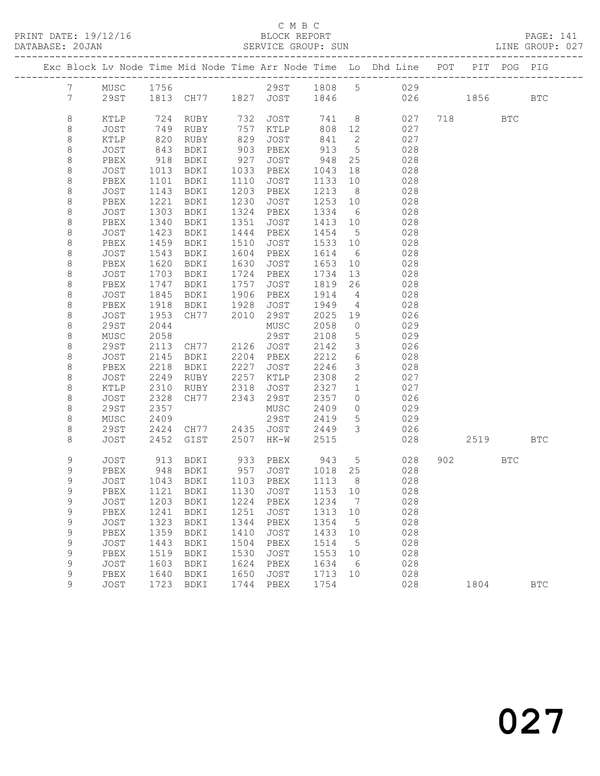PRINT DATE: 19/12/16 BLOCK REPORT<br>DATABASE: 20JAN BERVICE GROUP: SUN

### C M B C<br>BLOCK REPORT

PAGE: 141<br>LINE GROUP: 027

|                 |                     |              |                          |      |              |              |                                  | Exc Block Lv Node Time Mid Node Time Arr Node Time Lo Dhd Line POT |     |      | PIT POG PIG |              |
|-----------------|---------------------|--------------|--------------------------|------|--------------|--------------|----------------------------------|--------------------------------------------------------------------|-----|------|-------------|--------------|
| $7^{\circ}$     | MUSC                | 1756         |                          |      |              |              |                                  | 29ST 1808 5 029                                                    |     |      |             |              |
| $7\overline{ }$ | 29ST                |              | 1813 CH77 1827 JOST 1846 |      |              |              |                                  |                                                                    | 026 | 1856 |             | $_{\rm BTC}$ |
|                 |                     |              |                          |      |              |              |                                  |                                                                    |     |      |             |              |
| $\,8\,$         | KTLP                | 724          | RUBY                     | 732  | JOST         | 741          | 8 <sup>8</sup>                   | 027                                                                |     | 718  | BTC         |              |
| 8               | JOST                | 749          | RUBY                     | 757  | KTLP         | 808          | 12                               | 027                                                                |     |      |             |              |
| $\,8\,$         | KTLP                | 820          | RUBY                     | 829  | JOST         | 841          | $\overline{2}$                   | 027                                                                |     |      |             |              |
| $\,8\,$         | JOST                | 843          | BDKI                     | 903  | PBEX         | 913          | $5\overline{)}$                  | 028                                                                |     |      |             |              |
| $\,8\,$         | PBEX                | 918          | BDKI                     | 927  | JOST         | 948          | 25                               | 028                                                                |     |      |             |              |
| $\,8\,$         | JOST                | 1013         | BDKI                     | 1033 | PBEX         | 1043         | 18                               | 028                                                                |     |      |             |              |
| $\,8\,$         | PBEX                | 1101         | BDKI                     | 1110 | JOST         | 1133         | 10                               | 028                                                                |     |      |             |              |
| $\,8\,$         | JOST                | 1143         | BDKI                     | 1203 | PBEX         | 1213         | 8 <sup>8</sup>                   | 028                                                                |     |      |             |              |
| $\,8\,$         | PBEX                | 1221         | BDKI                     | 1230 | JOST         | 1253         | 10                               | 028                                                                |     |      |             |              |
| 8               | JOST                | 1303         | BDKI                     | 1324 | PBEX         | 1334         | 6                                | 028                                                                |     |      |             |              |
| $\,8\,$         | PBEX                | 1340         | BDKI                     | 1351 | JOST         | 1413         | 10                               | 028                                                                |     |      |             |              |
| $\,8\,$         | JOST                | 1423         | BDKI                     | 1444 | PBEX         | 1454         | 5                                | 028                                                                |     |      |             |              |
| $\,8\,$         | PBEX                | 1459         | BDKI                     | 1510 | JOST         | 1533         | 10                               | 028                                                                |     |      |             |              |
| $\,8\,$         | JOST                | 1543         | BDKI                     | 1604 | PBEX         | 1614         | 6                                | 028                                                                |     |      |             |              |
| $\,8\,$         | PBEX                | 1620         | BDKI                     | 1630 | JOST         | 1653         | 10                               | 028                                                                |     |      |             |              |
| $\,8\,$         | JOST                | 1703         | BDKI                     | 1724 | PBEX         | 1734         | 13                               | 028                                                                |     |      |             |              |
| $\,8\,$         | PBEX                | 1747         | BDKI                     | 1757 | JOST         | 1819         | 26                               | 028                                                                |     |      |             |              |
| $\,8\,$         | JOST                | 1845         | BDKI                     | 1906 | PBEX         | 1914         | $\overline{4}$                   | 028                                                                |     |      |             |              |
| 8               | PBEX                | 1918         | BDKI                     | 1928 | JOST         | 1949         | 4                                | 028                                                                |     |      |             |              |
| $\,8\,$         | JOST                | 1953         | CH77                     | 2010 | 29ST         | 2025         | 19                               | 026                                                                |     |      |             |              |
| $\,8\,$         | 29ST                | 2044         |                          |      | MUSC         | 2058         | $\circ$                          | 029                                                                |     |      |             |              |
| $\,8\,$         | MUSC<br><b>29ST</b> | 2058         |                          | 2126 | 29ST<br>JOST | 2108<br>2142 | $5\phantom{.0}$<br>$\mathcal{S}$ | 029<br>026                                                         |     |      |             |              |
| 8<br>$\,8\,$    | JOST                | 2113<br>2145 | CH77<br>BDKI             | 2204 | PBEX         | 2212         | $\epsilon$                       | 028                                                                |     |      |             |              |
| $\,8\,$         | PBEX                | 2218         | BDKI                     | 2227 | JOST         | 2246         | $\mathfrak{Z}$                   | 028                                                                |     |      |             |              |
| $\,8\,$         | JOST                | 2249         | RUBY                     | 2257 | KTLP         | 2308         | $\mathbf{2}$                     | 027                                                                |     |      |             |              |
| 8               | KTLP                | 2310         | RUBY                     | 2318 | JOST         | 2327         | $\mathbf{1}$                     | 027                                                                |     |      |             |              |
| $\,8\,$         | JOST                | 2328         | CH77                     | 2343 | 29ST         | 2357         | $\circ$                          | 026                                                                |     |      |             |              |
| $\,8\,$         | <b>29ST</b>         | 2357         |                          |      | MUSC         | 2409         | $\circ$                          | 029                                                                |     |      |             |              |
| $\,8\,$         | ${\tt MUSC}$        | 2409         |                          |      | 29ST         | 2419         | $5\phantom{.0}$                  | 029                                                                |     |      |             |              |
| $\,8\,$         | 29ST                | 2424         | CH77                     | 2435 | JOST         | 2449         | $\mathcal{E}$                    | 026                                                                |     |      |             |              |
| 8               | JOST                | 2452         | GIST                     | 2507 | HK-W         | 2515         |                                  | 028                                                                |     | 2519 |             | <b>BTC</b>   |
|                 |                     |              |                          |      |              |              |                                  |                                                                    |     |      |             |              |
| 9               | JOST                | 913          | BDKI                     |      | 933 PBEX     | 943          | $5\overline{)}$                  | 028                                                                |     | 902  | <b>BTC</b>  |              |
| 9               | PBEX                | 948          | BDKI                     | 957  | JOST         | 1018         | 25                               | 028                                                                |     |      |             |              |
| 9               | JOST                |              | 1043 BDKI                |      | 1103 PBEX    | 1113         | 8 <sup>8</sup>                   | 028                                                                |     |      |             |              |
| 9               | PBEX                | 1121         | BDKI                     | 1130 | JOST         | 1153         | 10                               | 028                                                                |     |      |             |              |
| $\mathsf 9$     | JOST                | 1203         | BDKI                     | 1224 | PBEX         | 1234         | 7                                | 028                                                                |     |      |             |              |
| 9               | PBEX                | 1241         | BDKI                     | 1251 | <b>JOST</b>  | 1313         | $10$                             | 028                                                                |     |      |             |              |
| $\mathsf 9$     | JOST                | 1323         | BDKI                     | 1344 | PBEX         | 1354         | 5                                | 028                                                                |     |      |             |              |
| $\mathsf 9$     | PBEX                | 1359         | BDKI                     | 1410 | <b>JOST</b>  | 1433         | 10                               | 028                                                                |     |      |             |              |
| $\mathsf 9$     | JOST                | 1443         | BDKI                     | 1504 | PBEX         | 1514         | 5                                | 028                                                                |     |      |             |              |
| $\mathsf 9$     | PBEX                | 1519         | BDKI                     | 1530 | <b>JOST</b>  | 1553         | 10                               | 028                                                                |     |      |             |              |
| 9               | JOST                | 1603         | BDKI                     | 1624 | PBEX         | 1634         | 6                                | 028                                                                |     |      |             |              |
| 9               | PBEX                | 1640         | BDKI                     | 1650 | <b>JOST</b>  | 1713         | 10                               | 028                                                                |     |      |             |              |
| 9               | JOST                | 1723         | BDKI                     | 1744 | PBEX         | 1754         |                                  | 028                                                                |     | 1804 |             | <b>BTC</b>   |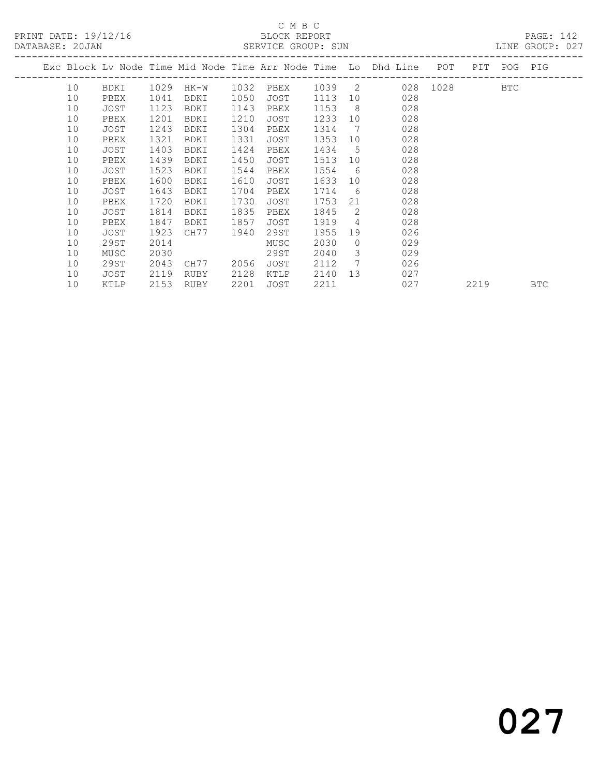# C M B C<br>BLOCK REPORT

| PRINT DATE: 19/12/16<br>DATABASE: 20JAN |    |      |      |             |      | U M B U<br>BLOCK REPORT<br>SERVICE GROUP: SUN |      |                |                                                                    |          |     |     | PAGE: 142<br>LINE GROUP: 027 |  |
|-----------------------------------------|----|------|------|-------------|------|-----------------------------------------------|------|----------------|--------------------------------------------------------------------|----------|-----|-----|------------------------------|--|
|                                         |    |      |      |             |      |                                               |      |                | Exc Block Ly Node Time Mid Node Time Arr Node Time Lo Dhd Line POT |          | PIT | POG | PIG                          |  |
|                                         | 10 | BDKI | 1029 | HK-W        | 1032 | PBEX                                          | 1039 | $\overline{2}$ |                                                                    | 028 1028 |     | BTC |                              |  |
|                                         | 10 | PBEX | 1041 | BDKI        | 1050 | JOST                                          | 1113 | 10             | 028                                                                |          |     |     |                              |  |
|                                         | 10 | JOST | 1123 | BDKI        | 1143 | PBEX                                          | 1153 | - 8            | 028                                                                |          |     |     |                              |  |
|                                         | 10 | PBEX | 1201 | BDKI        | 1210 | JOST                                          | 1233 | 10             | 028                                                                |          |     |     |                              |  |
|                                         | 10 | JOST | 1243 | BDKI        | 1304 | PBEX                                          | 1314 | 7              | 028                                                                |          |     |     |                              |  |
|                                         | 10 | PBEX | 1321 | BDKI        | 1331 | JOST                                          | 1353 | 10             | 028                                                                |          |     |     |                              |  |
|                                         | 10 | JOST | 1403 | BDKI        | 1424 | PBEX                                          | 1434 | - 5            | 028                                                                |          |     |     |                              |  |
|                                         | 10 | PBEX | 1439 | BDKI        | 1450 | JOST                                          | 1513 | 10             | 028                                                                |          |     |     |                              |  |
|                                         | 10 | JOST | 1523 | <b>BDKI</b> | 1544 | PBEX                                          | 1554 | -6             | 028                                                                |          |     |     |                              |  |
|                                         | 10 | PBEX | 1600 | BDKI        | 1610 | JOST                                          | 1633 | 10             | 028                                                                |          |     |     |                              |  |
|                                         | 10 | JOST | 1643 | BDKI        | 1704 | PBEX                                          | 1714 | 6              | 028                                                                |          |     |     |                              |  |

10 KTLP 2153 RUBY 2201 JOST 2211 027 2219 BTC

 10 PBEX 1720 BDKI 1730 JOST 1753 21 028 10 JOST 1814 BDKI 1835 PBEX 1845 2 028 10 PBEX 1847 BDKI 1857 JOST 1919 4 028 10 JOST 1923 CH77 1940 29ST 1955 19 026 10 29ST 2014 MUSC 2030 0 029 10 MUSC 2030 29ST 2040 3 029 10 29ST 2043 CH77 2056 JOST 2112 7 026 10 JOST 2119 RUBY 2128 KTLP 2140 13 027

027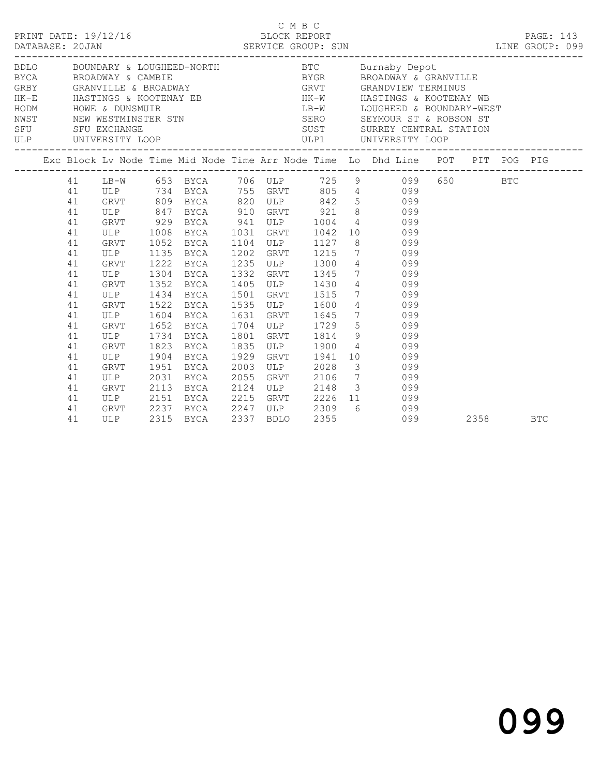|                                                                            |                                                                                                              |                              |                                                                                               |                                              |             |                                                                                            | BDLO BOUNDARY & LOUGHEED-NORTH BTC Burnaby Depot<br>BYCA BROADWAY & CAMBIE BYGR BROADWAY & GRANVILLE GRBY GRANVILLE & BROADWAY CREE BROADWAY GRANDVIEW TERMINUS                                                                                                                       |  |            |
|----------------------------------------------------------------------------|--------------------------------------------------------------------------------------------------------------|------------------------------|-----------------------------------------------------------------------------------------------|----------------------------------------------|-------------|--------------------------------------------------------------------------------------------|---------------------------------------------------------------------------------------------------------------------------------------------------------------------------------------------------------------------------------------------------------------------------------------|--|------------|
|                                                                            |                                                                                                              |                              |                                                                                               |                                              |             |                                                                                            | Exc Block Lv Node Time Mid Node Time Arr Node Time Lo Dhd Line POT PIT POG PIG                                                                                                                                                                                                        |  |            |
| 41<br>41<br>41<br>41<br>41<br>41<br>41<br>41<br>41<br>41                   | GRVT 929 BYCA 941 ULP 1004<br>ULP 1008<br>GRVT 1052 BYCA<br>ULP 1135 BYCA<br>GRVT 1222 BYCA<br>ULP 1304 BYCA |                              | BYCA 1031 GRVT 1042<br><b>BYCA</b>                                                            |                                              |             | 1104 ULP 1127<br>1202 GRVT 1215<br>1235 ULP 1300<br>1332 GRVT 1345<br>$1332$ $1405$ $1430$ | LB-W 653 BYCA 706 ULP 725 9 099 650 BTC<br>ULP 734 BYCA 755 GRVT 805 4 099<br>GRVT 809 BYCA 820 ULP 842 5 099<br>ULP 847 BYCA 910 GRVT 921 8 099<br>4 099<br>10 099<br>$\begin{array}{cc} 8 & 099 \\ 7 & 099 \\ 4 & 099 \\ 7 & 099 \\ 7 & 099 \\ 4 & 099 \\ 4 & 099 \\ \end{array}$   |  |            |
| 41<br>41<br>41<br>41<br>41<br>41<br>41<br>41<br>41<br>41<br>41<br>41<br>41 | GRVT<br>ULP<br>GRVT<br>ULP<br>GRVT<br>ULP<br>GRVT<br>ULP<br>GRVT                                             | 1652<br>1823<br>1904<br>1951 | 1352 BYCA<br>1434 BYCA<br>1522 BYCA<br>1604 BYCA<br>BYCA<br>1734 BYCA<br>BYCA<br>BYCA<br>BYCA | 1501<br>1631<br>1801<br>1835<br>1929<br>2003 | GRVT<br>ULP | GRVT 1515<br>1535 ULP 1600<br>GRVT 1645<br>GRVT 1814<br>ULP 1900<br>1941<br>2028           | 7 099<br>4 099<br>7 099<br>1704 ULP 1729 5 099<br>9 099<br>4 099<br>10 099<br>3 099<br>ULP 2031 BYCA 2055 GRVT 2106 7 099<br>GRVT 2113 BYCA 2124 ULP 2148 3 099<br>ULP 2151 BYCA 2215 GRVT 2226 11 099<br>GRVT 2237 BYCA 2247 ULP 2309 6 099<br>ULP 2315 BYCA 2337 BDLO 2355 099 2358 |  |            |
| 41                                                                         |                                                                                                              |                              |                                                                                               | 2337                                         |             |                                                                                            |                                                                                                                                                                                                                                                                                       |  | <b>BTC</b> |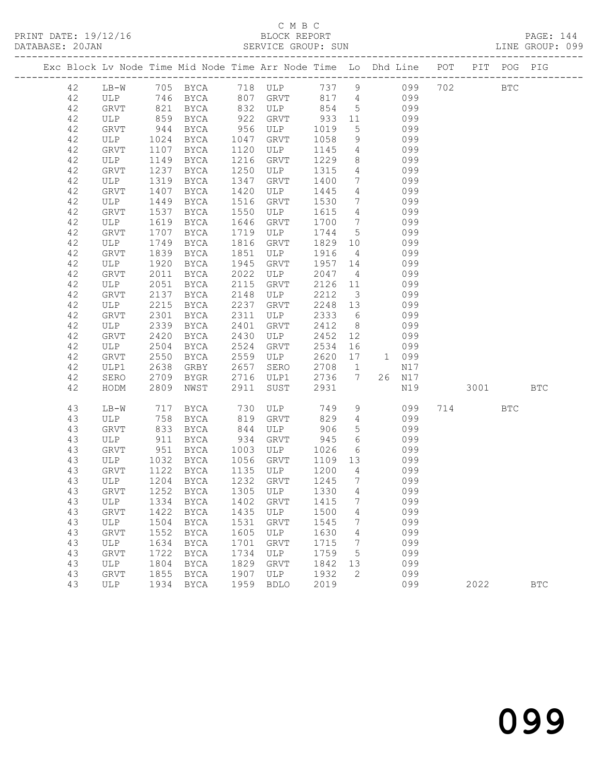#### C M B C<br>BLOCK REPORT SERVICE GROUP: SUN

PRINT DATE: 19/12/16 BLOCK REPORT PAGE: 144

|  |          |                    |              |                             |              |                  |              |                                    | Exc Block Lv Node Time Mid Node Time Arr Node Time Lo Dhd Line POT PIT POG PIG |     |          |            |            |
|--|----------|--------------------|--------------|-----------------------------|--------------|------------------|--------------|------------------------------------|--------------------------------------------------------------------------------|-----|----------|------------|------------|
|  | 42       |                    |              | LB-W 705 BYCA 718 ULP 737 9 |              |                  |              |                                    | 099                                                                            | 702 |          | <b>BTC</b> |            |
|  | 42       | ULP 746 BYCA       |              |                             |              | 807 GRVT         | 817          |                                    | 4 099                                                                          |     |          |            |            |
|  | 42       | GRVT               |              | 821 BYCA                    |              | 832 ULP 854      |              | $5\overline{)}$                    | 099                                                                            |     |          |            |            |
|  | 42       | ULP                | 859          | BYCA                        | 922          | GRVT             | 933          | 11                                 | 099                                                                            |     |          |            |            |
|  | 42       | GRVT               | 944          | BYCA                        | 956          | ULP              | 1019         | 5 <sup>5</sup>                     | 099                                                                            |     |          |            |            |
|  | 42       | ULP                | 1024         | BYCA                        | 1047         | GRVT             | 1058         | 9                                  | 099                                                                            |     |          |            |            |
|  | 42       | GRVT               | 1107         | BYCA                        | 1120         | ULP              | 1145         | $4\overline{4}$                    | 099                                                                            |     |          |            |            |
|  | $4\,2$   | ULP                | 1149         | BYCA                        | 1216         | GRVT             | 1229         | 8                                  | 099                                                                            |     |          |            |            |
|  | 42       | GRVT               | 1237         | BYCA                        | 1250         | ULP              | 1315         | $4\overline{4}$                    | 099                                                                            |     |          |            |            |
|  | 42       | ULP                | 1319         | BYCA                        | 1347         | GRVT             | 1400         | $7\overline{ }$                    | 099                                                                            |     |          |            |            |
|  | 42       | GRVT               | 1407         | BYCA                        | 1420         | ULP              | 1445         | $\overline{4}$                     | 099                                                                            |     |          |            |            |
|  | 42<br>42 | ULP                | 1449         | BYCA                        | 1516<br>1550 | GRVT             | 1530<br>1615 | $7\overline{ }$<br>$4\overline{4}$ | 099<br>099                                                                     |     |          |            |            |
|  | 42       | GRVT<br>ULP        | 1537<br>1619 | BYCA<br>BYCA                | 1646         | ULP<br>GRVT      | 1700         | $7\phantom{.0}\phantom{.0}7$       | 099                                                                            |     |          |            |            |
|  | $4\,2$   | GRVT               | 1707         | BYCA                        | 1719         | ULP              | 1744         | $5^{\circ}$                        | 099                                                                            |     |          |            |            |
|  | 42       | ULP                | 1749         | BYCA                        | 1816         | GRVT             | 1829         | 10                                 | 099                                                                            |     |          |            |            |
|  | $4\,2$   | GRVT               | 1839         | BYCA                        | 1851         | ULP              | 1916         | $\overline{4}$                     | 099                                                                            |     |          |            |            |
|  | 42       | ULP                | 1920         | BYCA                        | 1945         | GRVT             | 1957         | 14                                 | 099                                                                            |     |          |            |            |
|  | $4\,2$   | GRVT               | 2011         | BYCA                        | 2022         | ULP              | 2047         | $\overline{4}$                     | 099                                                                            |     |          |            |            |
|  | 42       | ULP                | 2051         | BYCA                        | 2115         | GRVT             | 2126         | 11                                 | 099                                                                            |     |          |            |            |
|  | 42       | GRVT               | 2137         | BYCA                        | 2148         | ULP              | 2212         | $\overline{\mathbf{3}}$            | 099                                                                            |     |          |            |            |
|  | 42       | ULP                | 2215         | BYCA                        | 2237         | GRVT             | 2248         | 13                                 | 099                                                                            |     |          |            |            |
|  | 42       | GRVT               | 2301         | BYCA                        | 2311         | ULP              | 2333         | 6                                  | 099                                                                            |     |          |            |            |
|  | 42       | ULP                | 2339         | BYCA                        | 2401         | GRVT             | 2412         | 8 <sup>8</sup>                     | 099                                                                            |     |          |            |            |
|  | 42       | GRVT               | 2420         | <b>BYCA</b>                 | 2430         | ULP              | 2452         | 12                                 | 099                                                                            |     |          |            |            |
|  | 42       | ULP                | 2504         | BYCA                        | 2524         | GRVT             | 2534         | 16                                 | 099                                                                            |     |          |            |            |
|  | 42       | GRVT               | 2550         | BYCA                        | 2559         | ULP              | 2620         | 17                                 | 1 099                                                                          |     |          |            |            |
|  | 42       | ULP1               | 2638         | GRBY                        | 2657         | SERO             | 2708         | $\overline{1}$                     | N17                                                                            |     |          |            |            |
|  | 42       | SERO               | 2709         | BYGR                        | 2716         | ULP1             | 2736         | $7\phantom{0}$                     | 26 N17                                                                         |     |          |            |            |
|  | 42       | HODM               | 2809         | NWST                        | 2911         | SUST             | 2931         |                                    | N19                                                                            |     | 3001 300 |            | <b>BTC</b> |
|  | 43       | LB-W               | 717          | BYCA                        | 730          | ULP              | 749          | 9                                  | 099                                                                            |     | 714      | <b>BTC</b> |            |
|  | 43       | ULP                | 758          | BYCA                        | 819          | GRVT             | 829          | $4\overline{ }$                    | 099                                                                            |     |          |            |            |
|  | 43       | <b>GRVT</b>        | 833          | BYCA                        | 844          | ULP              | 906          | $5\phantom{.0}$                    | 099                                                                            |     |          |            |            |
|  | 43       | ULP                |              | 911 BYCA                    | 934          | GRVT             | 945          | $6\overline{6}$                    | 099                                                                            |     |          |            |            |
|  | 43       | GRVT               | 951          | BYCA<br>BYCA                | 1003<br>1056 | ULP              | 1026         | 6<br>13                            | 099<br>099                                                                     |     |          |            |            |
|  | 43<br>43 | ULP<br><b>GRVT</b> | 1032<br>1122 | BYCA                        |              | GRVT<br>1135 ULP | 1109<br>1200 | $4\overline{4}$                    | 099                                                                            |     |          |            |            |
|  | 43       | ULP                |              | 1204 BYCA                   |              | 1232 GRVT        | 1245         | $\overline{7}$                     | 099                                                                            |     |          |            |            |
|  | 43       | GRVT               |              | 1252 BYCA 1305 ULP 1330 4   |              |                  |              |                                    | 099                                                                            |     |          |            |            |
|  | 43       | ULP                | 1334         | BYCA                        | 1402         | GRVT             | 1415         | 7                                  | 099                                                                            |     |          |            |            |
|  | 43       | GRVT               | 1422         | BYCA                        | 1435         | ULP              | 1500         | 4                                  | 099                                                                            |     |          |            |            |
|  | 43       | ULP                | 1504         | BYCA                        | 1531         | GRVT             | 1545         | 7                                  | 099                                                                            |     |          |            |            |
|  | 43       | GRVT               | 1552         | BYCA                        | 1605         | ULP              | 1630         | 4                                  | 099                                                                            |     |          |            |            |
|  | 43       | ULP                | 1634         | BYCA                        | 1701         | GRVT             | 1715         | 7                                  | 099                                                                            |     |          |            |            |
|  | 43       | GRVT               | 1722         | BYCA                        | 1734         | ULP              | 1759         | 5                                  | 099                                                                            |     |          |            |            |
|  | 43       | ULP                | 1804         | BYCA                        | 1829         | GRVT             | 1842         | 13                                 | 099                                                                            |     |          |            |            |
|  | 43       | GRVT               | 1855         | BYCA                        | 1907         | ULP              | 1932         | 2                                  | 099                                                                            |     |          |            |            |
|  | 43       | ULP                | 1934         | BYCA                        | 1959         | <b>BDLO</b>      | 2019         |                                    | 099                                                                            |     | 2022     |            | <b>BTC</b> |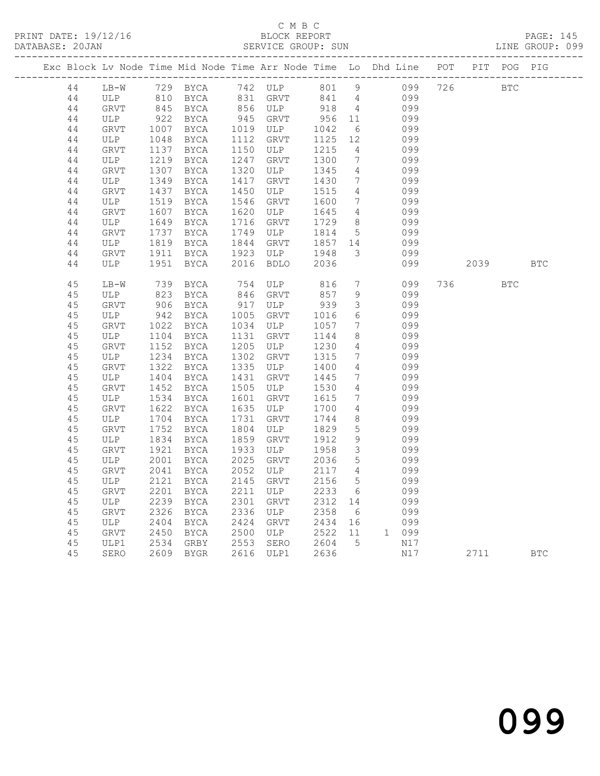| Exc Block Lv Node Time Mid Node Time Arr Node Time Lo Dhd Line POT PIT POG PIG |             |              |                                             |              |                           |       |                 |       |         |            |            |
|--------------------------------------------------------------------------------|-------------|--------------|---------------------------------------------|--------------|---------------------------|-------|-----------------|-------|---------|------------|------------|
| 44                                                                             | LB-W        |              | --<br>729 BYCA 742 ULP<br>810 BYCA 831 GRYT |              | 742 ULP 801 9 099 726 BTC |       |                 |       |         |            |            |
| 44                                                                             | ULP         |              |                                             |              |                           | 841 4 |                 | 099   |         |            |            |
| 44                                                                             | GRVT        | 845<br>922   | BYCA                                        |              | 856 ULP                   | 918   | $\overline{4}$  | 099   |         |            |            |
| 44                                                                             | ULP         |              | BYCA                                        |              | 945 GRVT                  | 956   | 11              | 099   |         |            |            |
| 44                                                                             | GRVT        | 1007         | BYCA                                        | 1019         | ULP                       | 1042  | 6               | 099   |         |            |            |
| 44                                                                             | ULP         | 1048         | BYCA                                        | 1112         | GRVT                      | 1125  | 12              | 099   |         |            |            |
| 44                                                                             | <b>GRVT</b> | 1137         | BYCA                                        | 1150         | ULP                       | 1215  | $\overline{4}$  | 099   |         |            |            |
| 44                                                                             | ULP         | 1219         | BYCA                                        | 1247         | GRVT                      | 1300  | $7\overline{ }$ | 099   |         |            |            |
| 44                                                                             | <b>GRVT</b> | 1307         | BYCA                                        | 1320         | ULP                       | 1345  | $\overline{4}$  | 099   |         |            |            |
| 44                                                                             | ULP         | 1349         | BYCA                                        | 1417         | GRVT                      | 1430  | $7\overline{ }$ | 099   |         |            |            |
| 44                                                                             | GRVT        | 1437         | BYCA                                        | 1450         | ULP                       | 1515  | $\overline{4}$  | 099   |         |            |            |
| 44                                                                             | ULP         | 1519         | BYCA                                        | 1546         | GRVT                      | 1600  | $7\overline{ }$ | 099   |         |            |            |
| 44                                                                             | GRVT        | 1607         | BYCA                                        | 1620         | ULP                       | 1645  | $4\overline{ }$ | 099   |         |            |            |
| 44                                                                             | ULP         | 1649         | BYCA                                        | 1716         | GRVT                      | 1729  | 8               | 099   |         |            |            |
| 44                                                                             | GRVT        | 1737         | BYCA                                        | 1749         | ULP                       | 1814  | $5\overline{)}$ | 099   |         |            |            |
| 44                                                                             | ULP         | 1819         | BYCA                                        | 1844         | GRVT                      | 1857  | 14              | 099   |         |            |            |
| 44                                                                             | GRVT        | 1911         | BYCA                                        | 1923         | ULP                       | 1948  | 3               | 099   |         |            |            |
| 44                                                                             | ULP         | 1951         | BYCA                                        | 2016         | <b>BDLO</b>               | 2036  |                 | 099   | 2039    |            | <b>BTC</b> |
| 45                                                                             | $LB-W$      | 739          | BYCA                                        | 754          | ULP                       | 816   | $7\overline{ }$ | 099   | 736 730 | <b>BTC</b> |            |
| 45                                                                             | ULP         | 823          | BYCA                                        | 846          | GRVT                      | 857   | 9               | 099   |         |            |            |
| 45                                                                             | GRVT        | 906          | <b>BYCA</b>                                 | 917          | ULP                       | 939   | $\mathcal{S}$   | 099   |         |            |            |
| 45                                                                             | ULP         | 942          | BYCA                                        | 1005         | GRVT                      | 1016  | 6               | 099   |         |            |            |
| 45                                                                             | GRVT        | 1022         | BYCA                                        | 1034         | ULP                       | 1057  | $7\overline{ }$ | 099   |         |            |            |
| 45                                                                             | ULP         | 1104         | BYCA                                        | 1131         | GRVT                      | 1144  | 8               | 099   |         |            |            |
| 45                                                                             | <b>GRVT</b> | 1152         | BYCA                                        | 1205         | ULP                       | 1230  | $\overline{4}$  | 099   |         |            |            |
| 45                                                                             | ULP         | 1234         | BYCA                                        | 1302         | GRVT                      | 1315  | $7\phantom{.0}$ | 099   |         |            |            |
| 45                                                                             | GRVT        | 1322         | BYCA                                        | 1335         | ULP                       | 1400  | $\overline{4}$  | 099   |         |            |            |
| 45                                                                             | ULP         | 1404         | BYCA                                        | 1431         | GRVT                      | 1445  | $7\phantom{.0}$ | 099   |         |            |            |
| 45                                                                             | <b>GRVT</b> | 1452         | <b>BYCA</b>                                 | 1505         | ULP                       | 1530  | $\overline{4}$  | 099   |         |            |            |
| 45                                                                             | ULP         | 1534         | BYCA                                        | 1601         | GRVT                      | 1615  | $7\phantom{.0}$ | 099   |         |            |            |
| 45                                                                             | <b>GRVT</b> | 1622         | BYCA                                        | 1635         | ULP                       | 1700  | $\overline{4}$  | 099   |         |            |            |
| 45                                                                             | ULP         | 1704         | BYCA                                        | 1731         | GRVT                      | 1744  | 8               | 099   |         |            |            |
| 45                                                                             | <b>GRVT</b> | 1752         | BYCA                                        | 1804         | ULP                       | 1829  | $5\phantom{.0}$ | 099   |         |            |            |
| 45                                                                             | ULP         | 1834         | BYCA                                        | 1859         | GRVT                      | 1912  | 9               | 099   |         |            |            |
| 45                                                                             | GRVT        | 1921         | BYCA                                        | 1933         | ULP                       | 1958  | $\mathcal{S}$   | 099   |         |            |            |
| 45                                                                             | ULP         | 2001         | BYCA                                        | 2025         | GRVT                      | 2036  | $5\phantom{.0}$ | 099   |         |            |            |
| 45                                                                             | GRVT        | 2041         | BYCA                                        | 2052         | ULP                       | 2117  | $4\overline{ }$ | 099   |         |            |            |
| 45                                                                             | ULP         | 2121         | BYCA                                        | 2145         | GRVT                      | 2156  | $5\phantom{.0}$ | 099   |         |            |            |
|                                                                                |             |              |                                             |              | ULP                       | 2233  | 6               | 099   |         |            |            |
| 45<br>45                                                                       | GRVT<br>ULP | 2201<br>2239 | BYCA<br>BYCA                                | 2211<br>2301 | GRVT                      | 2312  | 14              | 099   |         |            |            |
| 45                                                                             | GRVT        | 2326         | BYCA                                        | 2336         | ULP                       | 2358  | 6               | 099   |         |            |            |
| 45                                                                             | ULP         | 2404         | BYCA                                        | 2424         | GRVT                      | 2434  | 16              | 099   |         |            |            |
| 45                                                                             | GRVT        | 2450         | BYCA                                        | 2500         | ULP                       | 2522  | 11              | 1 099 |         |            |            |
| 45                                                                             | ULP1        | 2534         |                                             | 2553         | SERO                      | 2604  | 5               | N17   |         |            |            |
| 45                                                                             | SERO        | 2609         | GRBY<br>BYGR                                | 2616         | ULP1                      | 2636  |                 | N17   | 2711    |            | <b>BTC</b> |
|                                                                                |             |              |                                             |              |                           |       |                 |       |         |            |            |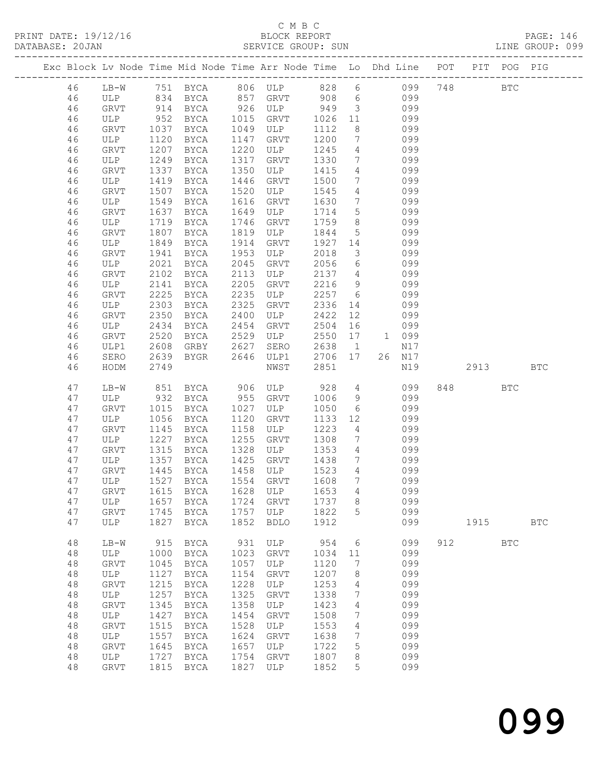PRINT DATE: 19/12/16 BLOCK REPORT PAGE: 146 SERVICE GROUP: SUN

|  |          |             |      |                                |              |                          |              |                         | Exc Block Lv Node Time Mid Node Time Arr Node Time Lo Dhd Line POT PIT POG PIG |     |            |            |              |
|--|----------|-------------|------|--------------------------------|--------------|--------------------------|--------------|-------------------------|--------------------------------------------------------------------------------|-----|------------|------------|--------------|
|  |          |             |      |                                |              |                          |              |                         |                                                                                |     |            |            |              |
|  | 46       | $LB-W$      |      |                                |              |                          |              |                         | 751 BYCA 806 ULP 828 6 099                                                     | 748 | <b>BTC</b> |            |              |
|  | 46       |             |      | ULP 834 BYCA 857 GRVT 908      |              |                          |              |                         | 6 099                                                                          |     |            |            |              |
|  | 46       | GRVT        |      | 914 BYCA                       |              | 926 ULP 949              |              | $\overline{\mathbf{3}}$ | 099                                                                            |     |            |            |              |
|  | 46       | ULP         | 952  | BYCA                           |              | 1015 GRVT 1026           |              | 11                      | 099                                                                            |     |            |            |              |
|  | 46       | GRVT        | 1037 | BYCA                           |              | 1049 ULP                 | 1112         | 8                       | 099                                                                            |     |            |            |              |
|  | 46       | ULP         | 1120 | BYCA                           |              | 1147 GRVT                | 1200         | $\overline{7}$          | 099                                                                            |     |            |            |              |
|  | 46       | GRVT        | 1207 | BYCA                           |              | 1220 ULP                 | 1245         | $\overline{4}$          | 099                                                                            |     |            |            |              |
|  | 46       | ULP         | 1249 | BYCA                           | 1317         | GRVT                     | 1330         | $7\overline{ }$         | 099                                                                            |     |            |            |              |
|  | 46       | GRVT        | 1337 | BYCA                           |              | 1350 ULP                 | 1415         | $\overline{4}$          | 099                                                                            |     |            |            |              |
|  | 46       | ULP         | 1419 | BYCA                           | 1446         | GRVT                     | 1500         | $\overline{7}$          | 099                                                                            |     |            |            |              |
|  | 46       | GRVT        | 1507 | BYCA                           | 1520         | ULP                      | 1545         | $\overline{4}$          | 099                                                                            |     |            |            |              |
|  | 46       | ULP         | 1549 | BYCA                           | 1616         | GRVT                     | 1630         | $\overline{7}$          | 099                                                                            |     |            |            |              |
|  | 46       | GRVT        | 1637 | BYCA                           | 1649         | ULP                      | 1714         | $5\overline{)}$         | 099                                                                            |     |            |            |              |
|  | 46       | ULP         | 1719 | BYCA                           | 1746         | GRVT                     | 1759         | 8 <sup>8</sup>          | 099                                                                            |     |            |            |              |
|  | 46       | GRVT        | 1807 | BYCA                           | 1819         | ULP                      | 1844         | $5^{\circ}$             | 099                                                                            |     |            |            |              |
|  | 46       | ULP         | 1849 | BYCA                           |              | 1914 GRVT                | 1927         | 14                      | 099                                                                            |     |            |            |              |
|  | 46       | GRVT        | 1941 | BYCA                           | 1953         | ULP                      | 2018         | $\overline{\mathbf{3}}$ | 099                                                                            |     |            |            |              |
|  | 46       | ULP         | 2021 | BYCA                           | 2045         | GRVT                     | 2056         | 6                       | 099                                                                            |     |            |            |              |
|  | 46       | GRVT        | 2102 | BYCA                           | 2113         | ULP                      | 2137         | $4\overline{4}$         | 099                                                                            |     |            |            |              |
|  | 46       | ULP         | 2141 | BYCA                           | 2205         | GRVT                     | 2216         | 9                       | 099                                                                            |     |            |            |              |
|  | 46       | GRVT        | 2225 | BYCA                           | 2235         | ULP                      | 2257         | $6\overline{6}$         | 099                                                                            |     |            |            |              |
|  | 46       | ULP         | 2303 | BYCA                           | 2325         | GRVT                     | 2336         | 14                      | 099                                                                            |     |            |            |              |
|  | 46       | GRVT        | 2350 | <b>BYCA</b>                    | 2400         | ULP                      | 2422         | 12                      | 099                                                                            |     |            |            |              |
|  | 46       | ULP         | 2434 | <b>BYCA</b>                    | 2454         | GRVT                     | 2504         | 16                      | 099                                                                            |     |            |            |              |
|  | 46       | GRVT        | 2520 | <b>BYCA</b>                    |              | $2529$ ULP<br>$2529$ ULP | 2550         | 17                      | 1 099                                                                          |     |            |            |              |
|  | 46       | ULP1        | 2608 | GRBY                           | 2627         |                          | 2638         | $\overline{1}$          | N17                                                                            |     |            |            |              |
|  | 46       | SERO        |      | 2639 BYGR                      |              | 2646 ULP1 2706 17        |              |                         | 26 N17                                                                         |     |            |            |              |
|  | 46       | HODM        | 2749 |                                |              | NWST                     | 2851         |                         | N19                                                                            |     | 2913       |            | <b>BTC</b>   |
|  |          |             |      |                                |              |                          |              |                         |                                                                                |     |            |            |              |
|  | 47       | LB-W        |      | 851 BYCA                       |              | 906 ULP<br>955 GRVT      | 928          | $4\overline{4}$         | 099                                                                            |     |            | <b>BTC</b> |              |
|  | 47       | ULP         |      | 932 BYCA                       |              |                          | 1006         | 9                       | 099                                                                            |     |            |            |              |
|  | 47       | GRVT        | 1015 | BYCA                           | 1027         | ULP                      | 1050         | $6\overline{6}$         | 099                                                                            |     |            |            |              |
|  | 47       | ULP         | 1056 | BYCA                           | 1120         | GRVT                     | 1133         | 12                      | 099                                                                            |     |            |            |              |
|  | 47       | <b>GRVT</b> | 1145 | BYCA                           | 1158         | ULP                      | 1223         | $4\overline{4}$         | 099                                                                            |     |            |            |              |
|  | 47       | ULP         |      | 1227 BYCA                      | 1255         | GRVT                     | 1308         | $\overline{7}$          | 099                                                                            |     |            |            |              |
|  | 47       | GRVT        | 1315 | BYCA                           | 1328         | ULP                      | 1353         | $\overline{4}$          | 099                                                                            |     |            |            |              |
|  | 47       | ULP         | 1357 | BYCA                           | 1425         | GRVT                     | 1438         | $7\overline{ }$         | 099                                                                            |     |            |            |              |
|  | 47       | GRVT        | 1445 | BYCA                           |              | 1458 ULP                 | 1523         | $4\overline{4}$         | 099                                                                            |     |            |            |              |
|  | 47       | ULP         |      | 1527 BYCA                      |              | 1554 GRVT                | 1608         | $\overline{7}$          | 099                                                                            |     |            |            |              |
|  | 47       |             |      | GRVT 1615 BYCA 1628 ULP 1653 4 |              |                          |              |                         | 099                                                                            |     |            |            |              |
|  | 47       | ULP         |      | 1657 BYCA                      |              | 1724 GRVT                | 1737         | 8                       | 099                                                                            |     |            |            |              |
|  | 47       | GRVT        |      | 1745 BYCA                      |              | 1757 ULP                 | 1822         | 5                       | 099                                                                            |     |            |            |              |
|  | 47       | ULP         |      | 1827 BYCA                      | 1852         | <b>BDLO</b>              | 1912         |                         | 099                                                                            |     | 1915       |            | $_{\rm BTC}$ |
|  |          |             |      |                                |              |                          |              |                         |                                                                                |     |            |            |              |
|  | 48       | $LB-W$      | 915  | BYCA                           | 931          | ULP                      | 954          | 6                       | 099                                                                            |     | 912        | <b>BTC</b> |              |
|  | 48       | ULP         | 1000 | BYCA                           | 1023         | GRVT                     | 1034         | 11                      | 099                                                                            |     |            |            |              |
|  | 48       | <b>GRVT</b> | 1045 | BYCA<br>1127 BYCA              | 1057         | ULP                      | 1120         | 7                       | 099                                                                            |     |            |            |              |
|  | 48       | ULP         |      |                                | 1154         | GRVT                     | 1207         | 8                       | 099                                                                            |     |            |            |              |
|  | 48<br>48 | GRVT<br>ULP | 1215 | BYCA                           | 1228<br>1325 | ULP                      | 1253<br>1338 | 4<br>7                  | 099<br>099                                                                     |     |            |            |              |
|  |          |             | 1257 | BYCA                           |              | GRVT                     |              |                         |                                                                                |     |            |            |              |
|  | 48       | GRVT        | 1345 | BYCA                           | 1358         | ULP                      | 1423         | 4<br>7                  | 099<br>099                                                                     |     |            |            |              |
|  | 48       | ULP         | 1427 | BYCA                           | 1454         | GRVT                     | 1508         |                         |                                                                                |     |            |            |              |
|  | 48       | <b>GRVT</b> | 1515 | BYCA                           | 1528         | ULP                      | 1553         | 4                       | 099                                                                            |     |            |            |              |
|  | 48<br>48 | ULP         | 1557 | BYCA                           | 1624<br>1657 | GRVT                     | 1638<br>1722 | 7<br>5                  | 099<br>099                                                                     |     |            |            |              |
|  | 48       | GRVT        | 1645 | BYCA<br>1727 BYCA              | 1754         | ULP<br>GRVT              | 1807         | 8                       | 099                                                                            |     |            |            |              |
|  |          | ULP         |      |                                |              |                          |              | 5                       |                                                                                |     |            |            |              |
|  | 48       | <b>GRVT</b> |      | 1815 BYCA                      | 1827         | ULP                      | 1852         |                         | 099                                                                            |     |            |            |              |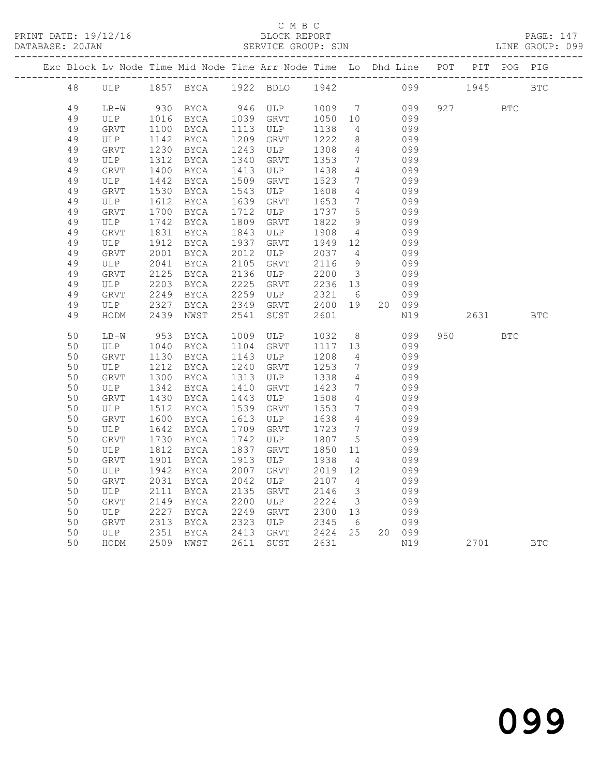|  |    |             |      |             |      | Exc Block Lv Node Time Mid Node Time Arr Node Time Lo Dhd Line POT PIT POG PIG |              |                         |        |           |            |            |
|--|----|-------------|------|-------------|------|--------------------------------------------------------------------------------|--------------|-------------------------|--------|-----------|------------|------------|
|  | 48 |             |      |             |      | ULP 1857 BYCA 1922 BDLO 1942                                                   |              |                         |        | 099 1945  |            | <b>BTC</b> |
|  | 49 | LB-W        |      | 930 BYCA    |      | 946 ULP                                                                        | 1009 7       |                         | 099    | 927 — 100 | <b>BTC</b> |            |
|  | 49 | ULP         | 1016 | BYCA        | 1039 | GRVT                                                                           | 1050 10      |                         | 099    |           |            |            |
|  | 49 | <b>GRVT</b> | 1100 |             | 1113 | ULP                                                                            |              | $\overline{4}$          | 099    |           |            |            |
|  |    |             |      | BYCA        | 1209 |                                                                                | 1138<br>1222 | 8                       |        |           |            |            |
|  | 49 | ULP         | 1142 | BYCA        |      | GRVT                                                                           |              |                         | 099    |           |            |            |
|  | 49 | GRVT        | 1230 | BYCA        | 1243 | ULP                                                                            | 1308         | $4\overline{ }$         | 099    |           |            |            |
|  | 49 | ULP         | 1312 | BYCA        | 1340 | GRVT                                                                           | 1353         | $7\phantom{0}$          | 099    |           |            |            |
|  | 49 | GRVT        | 1400 | BYCA        | 1413 | ULP                                                                            | 1438         | $\overline{4}$          | 099    |           |            |            |
|  | 49 | ULP         | 1442 | BYCA        | 1509 | GRVT                                                                           | 1523         | 7                       | 099    |           |            |            |
|  | 49 | GRVT        | 1530 | BYCA        | 1543 | ULP                                                                            | 1608         | 4                       | 099    |           |            |            |
|  | 49 | ULP         | 1612 | BYCA        | 1639 | GRVT                                                                           | 1653         | 7                       | 099    |           |            |            |
|  | 49 | GRVT        | 1700 | BYCA        | 1712 | ULP                                                                            | 1737         | 5                       | 099    |           |            |            |
|  | 49 | ULP         | 1742 | BYCA        | 1809 | GRVT                                                                           | 1822         | 9                       | 099    |           |            |            |
|  | 49 | GRVT        | 1831 | BYCA        | 1843 | ULP                                                                            | 1908         | $\overline{4}$          | 099    |           |            |            |
|  | 49 | ULP         | 1912 | BYCA        | 1937 | GRVT                                                                           | 1949         | 12                      | 099    |           |            |            |
|  | 49 | <b>GRVT</b> | 2001 | BYCA        | 2012 | ULP                                                                            | 2037         | $\overline{4}$          | 099    |           |            |            |
|  | 49 | ULP         | 2041 | BYCA        | 2105 | GRVT                                                                           | 2116         | 9                       | 099    |           |            |            |
|  | 49 | <b>GRVT</b> | 2125 | BYCA        | 2136 | ULP                                                                            | 2200         | $\overline{\mathbf{3}}$ | 099    |           |            |            |
|  | 49 | ULP         | 2203 | BYCA        | 2225 | GRVT                                                                           | 2236 13      |                         | 099    |           |            |            |
|  | 49 | GRVT        | 2249 | BYCA        | 2259 | ULP                                                                            | 2321         | 6                       | 099    |           |            |            |
|  | 49 | ULP         | 2327 | BYCA        | 2349 | GRVT                                                                           | 2400 19      |                         | 20 099 |           |            |            |
|  | 49 | HODM        | 2439 | NWST        | 2541 | SUST                                                                           | 2601         |                         | N19    | 2631      |            | BTC        |
|  | 50 | $LB-W$      | 953  | BYCA        | 1009 | ULP                                                                            | 1032         | 8 <sup>8</sup>          | 099    | 950 000   | <b>BTC</b> |            |
|  | 50 | ULP         | 1040 | BYCA        | 1104 | GRVT                                                                           | 1117         | 13                      | 099    |           |            |            |
|  | 50 | <b>GRVT</b> | 1130 | BYCA        | 1143 | ULP                                                                            | 1208         | $\overline{4}$          | 099    |           |            |            |
|  | 50 | ULP         | 1212 | BYCA        | 1240 | GRVT                                                                           | 1253         | $7\overline{ }$         | 099    |           |            |            |
|  | 50 | GRVT        | 1300 | BYCA        | 1313 | ULP                                                                            | 1338         | $\overline{4}$          | 099    |           |            |            |
|  | 50 | ULP         | 1342 | BYCA        | 1410 | GRVT                                                                           | 1423         | 7                       | 099    |           |            |            |
|  | 50 | GRVT        | 1430 | BYCA        | 1443 | ULP                                                                            | 1508         | $\overline{4}$          | 099    |           |            |            |
|  | 50 | ULP         | 1512 | BYCA        | 1539 | GRVT                                                                           | 1553         | 7                       | 099    |           |            |            |
|  | 50 | GRVT        | 1600 | BYCA        | 1613 | ULP                                                                            | 1638         | $\overline{4}$          | 099    |           |            |            |
|  | 50 | ULP         | 1642 | BYCA        | 1709 | GRVT                                                                           | 1723         | $7\overline{ }$         | 099    |           |            |            |
|  | 50 | <b>GRVT</b> | 1730 | BYCA        | 1742 | ULP                                                                            | 1807         | 5                       | 099    |           |            |            |
|  | 50 | ULP         | 1812 | BYCA        | 1837 | GRVT                                                                           | 1850         | 11                      | 099    |           |            |            |
|  | 50 | GRVT        | 1901 | BYCA        | 1913 | ULP                                                                            | 1938         | $\overline{4}$          | 099    |           |            |            |
|  | 50 |             | 1942 | BYCA        | 2007 | GRVT                                                                           | 2019         | 12                      | 099    |           |            |            |
|  |    | ULP         | 2031 |             | 2042 |                                                                                |              | $\overline{4}$          |        |           |            |            |
|  | 50 | GRVT        |      | BYCA        |      | ULP                                                                            | 2107         |                         | 099    |           |            |            |
|  | 50 | ULP         | 2111 | <b>BYCA</b> | 2135 | <b>GRVT</b>                                                                    | 2146         | $\mathcal{S}$           | 099    |           |            |            |
|  | 50 | GRVT        | 2149 | BYCA        | 2200 | ULP                                                                            | 2224         | $\overline{\mathbf{3}}$ | 099    |           |            |            |
|  | 50 | ULP         | 2227 | BYCA        | 2249 | GRVT                                                                           | 2300         | 13                      | 099    |           |            |            |
|  | 50 | GRVT        | 2313 | BYCA        | 2323 | ULP                                                                            | 2345         | 6                       | 099    |           |            |            |
|  | 50 | ULP         | 2351 | BYCA        | 2413 | GRVT                                                                           | 2424 25      |                         | 20 099 |           |            |            |
|  | 50 | HODM        |      | 2509 NWST   | 2611 | SUST                                                                           | 2631         |                         | N19    | 2701      |            | <b>BTC</b> |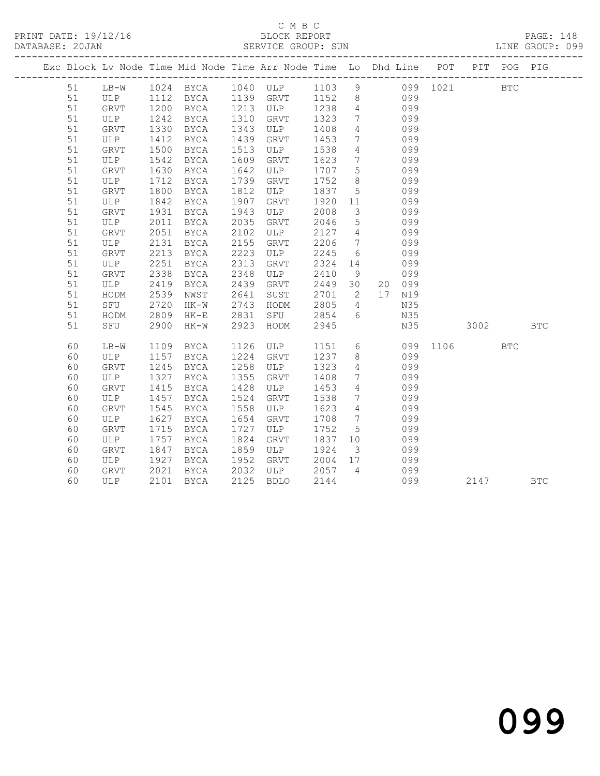#### C M B C<br>BLOCK REPORT SERVICE GROUP: SUN

PRINT DATE: 19/12/16 BLOCK REPORT PAGE: 148

|  |          |              |              |              |              | Exc Block Lv Node Time Mid Node Time Arr Node Time Lo Dhd Line POT PIT POG PIG    |              |                                                |                 |            |          |          |            |            |
|--|----------|--------------|--------------|--------------|--------------|-----------------------------------------------------------------------------------|--------------|------------------------------------------------|-----------------|------------|----------|----------|------------|------------|
|  | 51       |              |              |              |              | LB-W 1024 BYCA 1040 ULP 1103 9 099 1021 BTC<br>ULP 1112 BYCA 1139 GRVT 1152 8 099 |              |                                                |                 |            |          |          |            |            |
|  | 51       |              |              |              |              |                                                                                   |              |                                                |                 |            |          |          |            |            |
|  | 51       | GRVT         | 1200         | <b>BYCA</b>  |              | 1213 ULP 1238                                                                     |              | $\overline{4}$                                 | 099             |            |          |          |            |            |
|  | 51       | ULP          | 1242         | BYCA         | 1310         | GRVT 1323                                                                         |              | $\overline{7}$                                 | 099             |            |          |          |            |            |
|  | 51       | GRVT         | 1330         | BYCA         | 1343         | ULP                                                                               | 1408         | $4\overline{ }$                                |                 | 099        |          |          |            |            |
|  | 51       | ULP          | 1412         | BYCA         | 1439         | GRVT                                                                              | 1453         | $7\overline{ }$                                |                 | 099        |          |          |            |            |
|  | 51       | GRVT         | 1500         | BYCA         | 1513         | ULP                                                                               | 1538         | $\overline{4}$                                 |                 | 099        |          |          |            |            |
|  | 51       | ULP          | 1542         | BYCA         | 1609         | GRVT                                                                              | 1623         | $7\overline{ }$                                | 099             |            |          |          |            |            |
|  | 51       | GRVT         | 1630         | BYCA         | 1642         | ULP                                                                               | 1707         | $5^{\circ}$                                    |                 | 099        |          |          |            |            |
|  | 51       | ULP          | 1712         | BYCA         | 1739         | GRVT                                                                              | 1752         | 8 <sup>8</sup>                                 |                 | 099        |          |          |            |            |
|  | 51       | GRVT         | 1800         | BYCA         | 1812         | ULP                                                                               | 1837 5       |                                                |                 | 099        |          |          |            |            |
|  | 51       | ULP          | 1842         | BYCA         | 1907         | GRVT                                                                              | 1920         | 11                                             | 099             |            |          |          |            |            |
|  | 51       | GRVT         | 1931         | BYCA         | 1943         | ULP                                                                               | 2008         | $\overline{\mathbf{3}}$                        |                 | 099        |          |          |            |            |
|  | 51       | ULP          | 2011         | BYCA         | 2035         | GRVT                                                                              | 2046         | $5\overline{)}$                                |                 | 099        |          |          |            |            |
|  | 51       | GRVT         | 2051         | BYCA         | 2102         | ULP                                                                               | 2127         | $\overline{4}$                                 |                 | 099        |          |          |            |            |
|  | 51       | ULP          | 2131         | BYCA         | 2155         | GRVT                                                                              | 2206         | $7\phantom{.0}\phantom{.0}7$                   |                 | 099        |          |          |            |            |
|  | 51       | GRVT         | 2213         | BYCA         | 2223         | ULP                                                                               | 2245         | 6                                              |                 | 099        |          |          |            |            |
|  | 51       | ULP          | 2251         | BYCA         | 2313         | GRVT                                                                              | 2324 14      |                                                |                 | 099        |          |          |            |            |
|  | 51       | GRVT         | 2338         | BYCA         | 2348         | ULP                                                                               | 2410         | 9                                              |                 | 099        |          |          |            |            |
|  | 51       | ULP          | 2419         | BYCA         | 2439         | GRVT                                                                              | 2449 30      |                                                |                 | 20 099     |          |          |            |            |
|  | 51       | HODM         | 2539         | NWST         | 2641         | SUST                                                                              | 2701         | $\overline{2}$                                 |                 | 17 N19     |          |          |            |            |
|  | 51       | SFU          | 2720         | $HK-W$       | 2743         | HODM                                                                              | 2805         | $\overline{4}$                                 |                 | N35        |          |          |            |            |
|  | 51       | HODM         | 2809         | $HK-E$       | 2831         | SFU                                                                               | 2854         | $6\overline{6}$                                |                 | N35        |          |          |            |            |
|  | 51       | SFU          | 2900         | HK-W         | 2923         | HODM                                                                              | 2945         |                                                |                 | N35        |          | 3002 300 |            | <b>BTC</b> |
|  |          |              |              |              |              |                                                                                   |              |                                                | $6\overline{6}$ |            | 099 1106 |          |            |            |
|  | 60       | LB-W         | 1109         | BYCA         | 1126<br>1224 | ULP                                                                               | 1151         |                                                |                 |            |          |          | <b>BTC</b> |            |
|  | 60       | ULP          | 1157         | BYCA         |              | GRVT                                                                              | 1237         | 8 <sup>8</sup>                                 |                 | 099        |          |          |            |            |
|  | 60       | GRVT         | 1245<br>1327 | BYCA         | 1258<br>1355 | ULP                                                                               | 1323<br>1408 | $\overline{4}$<br>$7\phantom{.0}\phantom{.0}7$ |                 | 099        |          |          |            |            |
|  | 60<br>60 | ULP          | 1415         | BYCA         | 1428         | GRVT                                                                              | 1453         | $\overline{4}$                                 |                 | 099<br>099 |          |          |            |            |
|  | 60       | GRVT<br>ULP  | 1457         | BYCA         | 1524         | ULP<br>GRVT                                                                       | 1538         | $\overline{7}$                                 |                 | 099        |          |          |            |            |
|  | 60       | GRVT         | 1545         | BYCA<br>BYCA | 1558         | ULP                                                                               | 1623         | $4\overline{4}$                                |                 | 099        |          |          |            |            |
|  | 60       | ULP          | 1627         | BYCA         | 1654         | GRVT                                                                              | 1708         | $\overline{7}$                                 |                 | 099        |          |          |            |            |
|  | 60       | GRVT         | 1715         | BYCA         | 1727         | ULP                                                                               | 1752         | $5\overline{)}$                                |                 | 099        |          |          |            |            |
|  | 60       | ULP          | 1757         |              | 1824         | GRVT                                                                              | 1837 10      |                                                |                 | 099        |          |          |            |            |
|  | 60       | ${\tt GRVT}$ | 1847         | BYCA<br>BYCA | 1859         | ULP                                                                               | 1924         | $\overline{\mathbf{3}}$                        | 099             |            |          |          |            |            |
|  | 60       | ULP          | 1927         | BYCA         | 1952         | GRVT                                                                              | 2004 17      |                                                |                 | 099        |          |          |            |            |
|  | 60       | GRVT         | 2021         | BYCA         |              |                                                                                   |              | $\overline{4}$                                 |                 | 099        |          |          |            |            |
|  | 60       | ULP          | 2101         |              |              | 2032 ULP 2057<br>2125 BDLO                                                        | 2144         |                                                |                 | 099        |          | 2147     |            | <b>BTC</b> |
|  |          |              |              | BYCA         |              |                                                                                   |              |                                                |                 |            |          |          |            |            |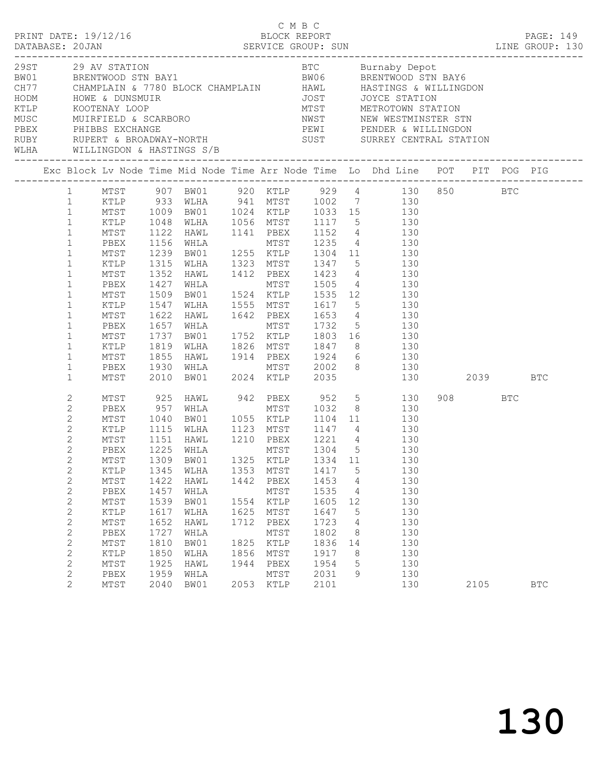|                                |                                                                                                                                                                                                                                                                               |                                                                                                                                              |                                                                                                                                            |                                                                                                                                                                                                                                                                                                                                                                                                                                                                                                                                                                                                         |                                                                      | C M B C                                                                                              |                                                                                              |                                                       |                   |                                                                                  |             |     |            |  |
|--------------------------------|-------------------------------------------------------------------------------------------------------------------------------------------------------------------------------------------------------------------------------------------------------------------------------|----------------------------------------------------------------------------------------------------------------------------------------------|--------------------------------------------------------------------------------------------------------------------------------------------|---------------------------------------------------------------------------------------------------------------------------------------------------------------------------------------------------------------------------------------------------------------------------------------------------------------------------------------------------------------------------------------------------------------------------------------------------------------------------------------------------------------------------------------------------------------------------------------------------------|----------------------------------------------------------------------|------------------------------------------------------------------------------------------------------|----------------------------------------------------------------------------------------------|-------------------------------------------------------|-------------------|----------------------------------------------------------------------------------|-------------|-----|------------|--|
| WLHA WILLINGDON & HASTINGS S/B |                                                                                                                                                                                                                                                                               |                                                                                                                                              |                                                                                                                                            | EXERCISE TO MUST AND MANY SERVICE ON THE MANY SUST OF THE MANY SAVE CHAMPLAIN AND HAVIL MORE & DUNSMUIR<br>THE MOORE OF THE MANY SAVE ON THE MANY STATION HOW THE MANY SAVE OF THE MANY SAVE OF THE MANY STATION<br>MUSC MUIRFIELD                                                                                                                                                                                                                                                                                                                                                                      |                                                                      |                                                                                                      |                                                                                              |                                                       |                   |                                                                                  |             |     |            |  |
|                                |                                                                                                                                                                                                                                                                               |                                                                                                                                              |                                                                                                                                            |                                                                                                                                                                                                                                                                                                                                                                                                                                                                                                                                                                                                         |                                                                      |                                                                                                      |                                                                                              |                                                       |                   |                                                                                  |             |     |            |  |
|                                | 1<br>$\mathbf{1}$<br>$\mathbf{1}$<br>$\mathbf{1}$<br>$\mathbf{1}$<br>$\mathbf{1}$<br>$\mathbf 1$<br>$\mathbf{1}$<br>$\mathbf{1}$<br>$\mathbf{1}$<br>$\mathbf{1}$<br>$\mathbf{1}$<br>$\mathbf 1$<br>$\mathbf{1}$<br>$\mathbf 1$<br>$\mathbf{1}$<br>$\mathbf 1$<br>$\mathbf{1}$ | MTST<br>PBEX<br>MTST<br>KTLP<br>MTST<br>PBEX<br>MTST<br>KTLP<br>MTST<br>PBEX<br>MTST<br>KTLP<br>MTST<br>PBEX<br>MTST                         | 1122<br>1156<br>1239<br>1315<br>1352<br>1427<br>1509<br>1547<br>1622<br>1657<br>1737<br>1819<br>1855<br>1930<br>2010                       | 1 MTST 907 BW01 920 KTLP 929 4 130 850 BTC<br>XTLP 933 WLHA 941 MTST 1002 7 130<br>MTST 1009 BW01 1024 KTLP 1033 15 130<br>KTLP 1048 WLHA 1056 MTST 1117 5 130<br>HAWL 1141 PBEX 1152 4 130<br>WHLA MTST 1235 4 130<br>BW01 1255 KTLP 1304 11 130<br>WLHA 1323 MTST 1347 5 130<br>HAWL 1412 PBEX 1423 4 130<br>WHLA MTST 1505 4 130<br>BW01 1524 KTLP 1535 12 130<br>WLHA 1555 MTST 1617 5 130<br>HAWL 1642 PBEX 1653 4 130<br>WHLA MTST 1732 5 130<br>BW01 1752 KTLP 1803 16 130<br>WLHA 1826 MTST 1847 8 130<br>HAWL 1914 PBEX 1924 6 130<br>WHLA MTST 2002 8 130<br>BW01 2024 KTLP 2035 130 2039 BTC |                                                                      |                                                                                                      |                                                                                              |                                                       | MTST 2002 8 130   |                                                                                  |             |     |            |  |
|                                | 2<br>$\mathbf{2}$<br>$\mathbf{2}$<br>$\mathbf{2}$<br>2<br>2<br>$2^{\circ}$<br>$\mathbf{2}$<br>$\sqrt{2}$<br>$\sqrt{2}$<br>$\mathbf{2}$<br>$\mathbf{2}$<br>$\sqrt{2}$<br>$\sqrt{2}$<br>$\mathbf{2}$<br>$\sqrt{2}$<br>$\sqrt{2}$<br>$\sqrt{2}$<br>2                             | MTST<br>PBEX<br>MTST<br>KTLP<br>MTST<br>PBEX<br>KTLP<br>MTST<br>PBEX<br>MTST<br>KTLP<br>MTST<br>PBEX<br>MTST<br>KTLP<br>MTST<br>PBEX<br>MTST | 925<br>957<br>1040<br>1115<br>1151<br>1225<br>1345<br>1422<br>1457<br>1539<br>1617<br>1652<br>1727<br>1810<br>1850<br>1925<br>1959<br>2040 | HAWL 942 PBEX 952 5 130<br>WHLA MTST 1032 8 130<br>BW01 1055 KTLP 1104 11 130<br>WLHA 1123 MTST 1147 4 130<br>HAWL 1210 PBEX 1221 4 130<br>WHLA<br>MTST 1309 BW01 1325 KTLP 1334 11<br>WLHA<br>HAWL<br>WHLA<br>BW01<br>WLHA<br>HAWL<br>WHLA<br>BW01<br>WLHA<br>HAWL<br>WHLA<br>BW01                                                                                                                                                                                                                                                                                                                     | 1353<br>1442<br>1554<br>1625<br>1712<br>1825<br>1856<br>1944<br>2053 | MTST<br>MTST<br>PBEX<br>MTST<br>KTLP<br>MTST<br>PBEX<br>MTST<br>KTLP<br>MTST<br>PBEX<br>MTST<br>KTLP | 1417<br>1453<br>1535<br>1605<br>1647<br>1723<br>1802<br>1836<br>1917<br>1954<br>2031<br>2101 | 5<br>4<br>4<br>12<br>5<br>4<br>8<br>14<br>8<br>5<br>9 | 1304 5 130<br>130 | 130<br>130<br>130<br>130<br>130<br>130<br>130<br>130<br>130<br>130<br>130<br>130 | 908<br>2105 | BTC | <b>BTC</b> |  |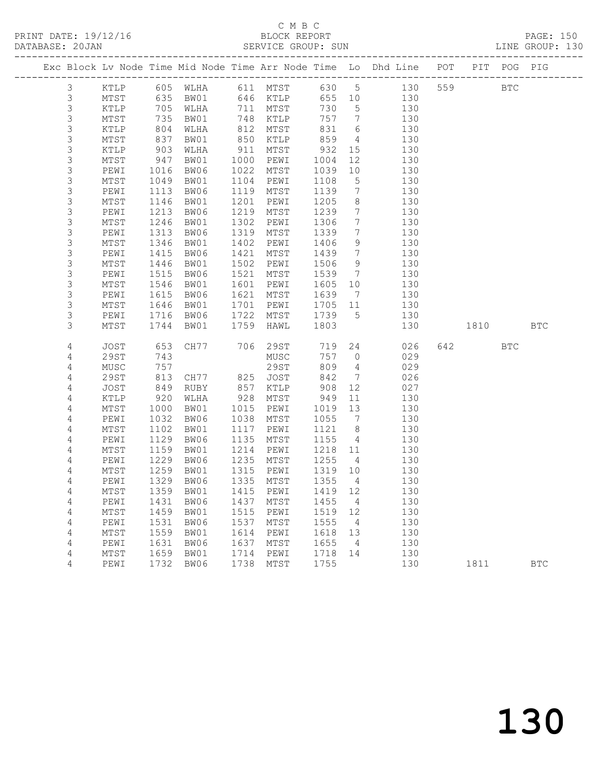PRINT DATE: 19/12/16 BLOCK REPORT<br>DATABASE: 20JAN BERVICE GROUP: SUN

### C M B C<br>BLOCK REPORT

PAGE: 150<br>LINE GROUP: 130

|                     |              |                       |                                 |            |              |             |                                   | Exc Block Lv Node Time Mid Node Time Arr Node Time Lo Dhd Line POT PIT POG PIG |        |              |              |
|---------------------|--------------|-----------------------|---------------------------------|------------|--------------|-------------|-----------------------------------|--------------------------------------------------------------------------------|--------|--------------|--------------|
| $\mathcal{S}$       | KTLP         |                       |                                 |            |              |             |                                   | 605 WLHA 611 MTST 630 5 130                                                    | 559 35 | $_{\rm BTC}$ |              |
| 3                   |              |                       | 635 BW01                        |            | 646 KTLP     |             |                                   |                                                                                |        |              |              |
| $\mathfrak{Z}$      | MTST<br>KTLP |                       |                                 |            | 711 MTST     | 730         |                                   | 655 10 130<br>130                                                              |        |              |              |
| $\mathsf 3$         | MTST         | $705$<br>$735$<br>735 | WLHA<br>BW01                    |            | 748 KTLP     | 757         | $5\overline{)}$<br>$\overline{7}$ | 130                                                                            |        |              |              |
| 3                   | KTLP         | 804                   | WLHA                            | 812        | MTST         | 831         | 6                                 | 130                                                                            |        |              |              |
| 3                   | MTST         | 837                   | BW01                            | 850        | KTLP         | 859         | $\overline{4}$                    | 130                                                                            |        |              |              |
| $\mathsf 3$         | KTLP         |                       | WLHA                            | 911        | MTST         | 932         | 15                                | 130                                                                            |        |              |              |
| $\mathsf 3$         | MTST         | 903<br>947            | BW01                            | 1000       | PEWI         | 1004        | 12                                | 130                                                                            |        |              |              |
| 3                   | PEWI         | 1016                  | BW06                            | 1022       | MTST         | 1039        | 10                                | 130                                                                            |        |              |              |
| 3                   | MTST         | 1049                  | BW01                            | 1104       | PEWI         | 1108        | 5                                 | 130                                                                            |        |              |              |
| $\mathsf 3$         | PEWI         | 1113                  | BW06                            | 1119       | MTST         | 1139        | $7\phantom{.0}\phantom{.0}7$      | 130                                                                            |        |              |              |
| 3                   | MTST         | 1146                  | BW01                            | 1201       | PEWI         | 1205        | 8                                 | 130                                                                            |        |              |              |
| 3                   | PEWI         | 1213                  | BW06                            | 1219       | MTST         | 1239        | $7\phantom{.0}$                   | 130                                                                            |        |              |              |
| 3                   | MTST         | 1246                  | BW01                            | 1302       | PEWI         | 1306        | $7\phantom{.0}$                   | 130                                                                            |        |              |              |
| 3                   | PEWI         | 1313                  | BW06                            | 1319       | MTST         | 1339        | $7\overline{ }$                   | 130                                                                            |        |              |              |
| 3                   | MTST         | 1346                  | BW01                            | 1402       | PEWI         | 1406        | 9                                 | 130                                                                            |        |              |              |
| 3                   | PEWI         | 1415                  | BW06                            | 1421       | MTST         | 1439        | $7\overline{ }$                   | 130                                                                            |        |              |              |
| 3                   | MTST         | 1446                  | BW01                            | 1502       | PEWI         | 1506        | 9                                 | 130                                                                            |        |              |              |
| 3                   | PEWI         | 1515                  | BW06                            | 1521       | MTST         | 1539        | $\overline{7}$                    | 130                                                                            |        |              |              |
| 3                   | MTST         | 1546                  | BW01                            | 1601       | PEWI         | 1605 10     |                                   | 130                                                                            |        |              |              |
| 3                   | PEWI         | 1615                  | BW06                            | 1621       | MTST         | 1639        | $\overline{7}$                    | 130                                                                            |        |              |              |
| 3                   | MTST         | 1646                  | BW01                            | 1701       | PEWI         | 1705 11     |                                   | 130                                                                            |        |              |              |
| 3                   | PEWI         | 1716                  | BW06                            | 1722       | MTST         | 1739        | $5^{\circ}$                       | 130                                                                            |        |              |              |
| 3                   | MTST         | 1744                  | BW01                            | 1759       | HAWL         | 1803        |                                   | 130                                                                            | 1810   |              | <b>BTC</b>   |
|                     |              |                       |                                 |            |              |             |                                   |                                                                                |        |              |              |
| 4                   | JOST         | 653                   | CH77 706 29ST                   |            |              | 719         |                                   | 24<br>026                                                                      | 642    | <b>BTC</b>   |              |
| 4                   | 29ST         | 743                   |                                 |            | MUSC         | 757 0       |                                   | 029                                                                            |        |              |              |
| $\overline{4}$      | MUSC         | 757<br>813            | CH77 825 JOST                   |            | 29ST         | 809         | $4\overline{4}$                   | 029                                                                            |        |              |              |
| $\overline{4}$      | 29ST         |                       |                                 |            |              | 842         | $\overline{7}$                    | 026                                                                            |        |              |              |
| 4                   | JOST<br>KTLP | 849                   | RUBY                            | 857<br>928 | KTLP         | 908         | 12                                | 027<br>130                                                                     |        |              |              |
| 4<br>$\overline{4}$ | MTST         | 920<br>1000           | WLHA<br>BW01                    | 1015       | MTST<br>PEWI | 949<br>1019 | 11<br>13                          | 130                                                                            |        |              |              |
| 4                   | PEWI         | 1032                  | BW06                            | 1038       | MTST         | 1055        | $\overline{7}$                    | 130                                                                            |        |              |              |
| 4                   | MTST         | 1102                  | BW01                            | 1117       | PEWI         | 1121        | 8 <sup>8</sup>                    | 130                                                                            |        |              |              |
| 4                   | PEWI         | 1129                  | BW06                            | 1135       | MTST         | 1155        | $\overline{4}$                    | 130                                                                            |        |              |              |
| 4                   | MTST         | 1159                  | BW01                            | 1214       | PEWI         | 1218        | 11                                | 130                                                                            |        |              |              |
| 4                   | PEWI         | 1229                  | BW06                            | 1235       | MTST         | 1255        | $\overline{4}$                    | 130                                                                            |        |              |              |
| 4                   | MTST         |                       | 1259 BW01                       | 1315       | PEWI         | 1319 10     |                                   | 130                                                                            |        |              |              |
| 4                   | PEWI         |                       | 1329 BW06                       |            | 1335 MTST    | 1355        | $\overline{4}$                    | 130                                                                            |        |              |              |
| 4                   | MTST         |                       | 1359 BW01  1415  PEWI  1419  12 |            |              |             |                                   | 130                                                                            |        |              |              |
| 4                   | PEWI         | 1431                  | BW06                            | 1437       | MTST         | 1455        | 4                                 | 130                                                                            |        |              |              |
| $\sqrt{4}$          | MTST         | 1459                  | BW01                            | 1515       | PEWI         | 1519        | 12                                | 130                                                                            |        |              |              |
| 4                   | PEWI         | 1531                  | BW06                            | 1537       | MTST         | 1555        | 4                                 | 130                                                                            |        |              |              |
| 4                   | MTST         | 1559                  | BW01                            | 1614       | PEWI         | 1618        | 13                                | 130                                                                            |        |              |              |
| 4                   | PEWI         | 1631                  | BW06                            | 1637       | MTST         | 1655        | 4                                 | 130                                                                            |        |              |              |
| $\sqrt{4}$          | $MTST$       | 1659                  | BW01                            | 1714       | PEWI         | 1718        | 14                                | 130                                                                            |        |              |              |
| 4                   | PEWI         | 1732                  | BW06                            | 1738       | MTST         | 1755        |                                   | 130                                                                            | 1811   |              | $_{\rm BTC}$ |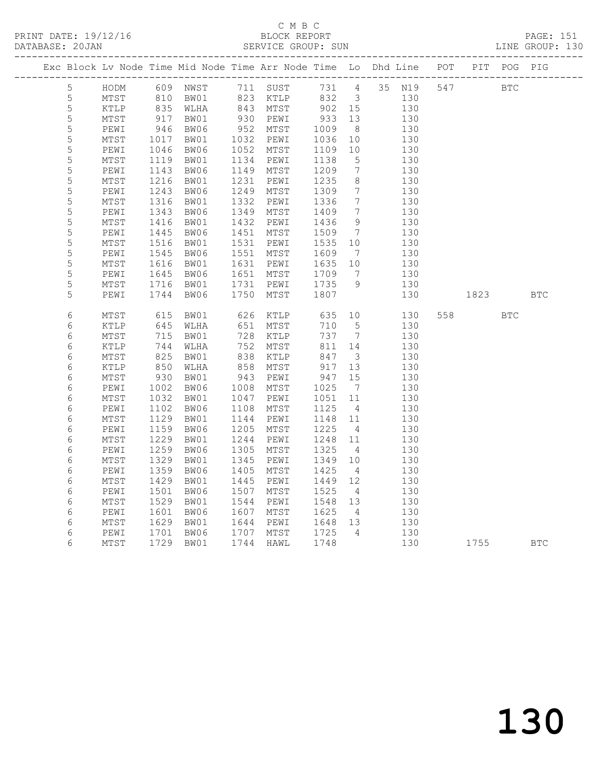| Exc Block Lv Node Time Mid Node Time Arr Node Time Lo Dhd Line POT<br>PIT POG PIG<br>HODM 609 NWST 711 SUST 731 4 35 N19 547 BTC<br>5 <sup>5</sup><br>BW01 823 KTLP 832 3 130<br>WLHA 843 MTST 902 15 130<br>5<br>MTST<br>810 BW01<br>835 WLHA<br>130<br>5<br>KTLP<br>$917$<br>$946$<br>$1017$<br>930 PEWI<br>933 13<br>5<br>BW01<br>130<br>MTST<br>$\mathsf S$<br>952 MTST<br>1009<br>BW06<br>8 <sup>8</sup><br>130<br>PEWI<br>1032 PEWI<br>5<br>1036<br>MTST<br>BW01<br>10<br>130<br>5<br>1052<br>PEWI<br>1046<br>BW06<br>MTST<br>1109<br>10<br>130<br>5<br>1119<br>1134 PEWI<br>1138<br>MTST<br>BW01<br>$5\overline{)}$<br>130<br>5<br>$7\overline{ }$<br>1143<br>BW06<br>1149<br>MTST<br>1209<br>130<br>PEWI<br>5<br>1231<br>1216<br>BW01<br>1235<br>8 <sup>8</sup><br>130<br>MTST<br>PEWI<br>$\mathsf S$<br>1249<br>$7\phantom{.0}\phantom{.0}7$<br>PEWI<br>1243<br>BW06<br>MTST<br>1309<br>130<br>5<br>$\mathtt{MTST}$<br>1316<br>BW01<br>1332<br>PEWI<br>1336<br>$7\overline{ }$<br>130<br>5<br>1349<br>1409<br>$\overline{7}$<br>PEWI<br>1343<br>BW06<br>MTST<br>130<br>5<br>1416<br>1432<br>1436<br>9<br>130<br>${\tt MTST}$<br>BW01<br>PEWI<br>1445<br>5<br>BW06<br>1451<br>1509<br>$7\overline{)}$<br>130<br>PEWI<br>MTST<br>5<br>1531<br>MTST<br>1516<br>BW01<br>PEWI<br>1535<br>10<br>130<br>5<br>1545<br>BW06<br>1551 MTST<br>1609<br>130<br>PEWI<br>$\overline{7}$<br>5<br>10<br>1616<br>BW01<br>1631<br>1635<br>130<br>MTST<br>PEWI<br>5<br>1651<br>$7\overline{ }$<br>1645<br>BW06<br>1709<br>130<br>PEWI<br>MTST<br>5<br>1716<br>BW01<br>1731<br>PEWI<br>1735<br>9<br>130<br>MTST<br>5<br>1807<br>PEWI<br>1744<br>BW06<br>1750<br>MTST<br>130<br>1823   1823   1824   1825   1826   1826   1827   1828   1828   1828   1828   1828   1828   1828   1828   1828   1828   1828   1828   1828   1828   1828   1828   1828   1828   1828   1828   1828   1828   1828   1828   1828  <br><b>BTC</b><br>$\epsilon$<br>626 KTLP 635 10<br>615<br>BW01<br>130<br>558 BTC<br>MTST<br>645<br>6<br>651<br>710<br>$5\overline{)}$<br>130<br>KTLP<br>WLHA<br>MTST<br>6<br>728<br>737 7<br>MTST<br>715<br>BW01<br>KTLP<br>130<br>$\epsilon$<br>752<br>811 14<br>KTLP<br>744<br>WLHA<br>MTST<br>130<br>$\epsilon$<br>825<br>850<br>838<br>847<br>$\mathtt{MTST}$<br>BW01<br>KTLP<br>$\overline{\mathbf{3}}$<br>130<br>847<br>917<br>6<br>858<br>KTLP<br>WLHA<br>MTST<br>13<br>130<br>6<br>947<br>15<br>MTST<br>930<br>1002<br>BW01<br>943<br>PEWI<br>130<br>$\epsilon$<br>1008 MTST<br>1025<br>$7\overline{)}$<br>PEWI<br>BW06<br>130<br>6<br>$\mathtt{MTST}$<br>1032<br>BW01<br>1047<br>PEWI<br>1051<br>11<br>130<br>6<br>1102<br>BW06<br>1108<br>1125<br>PEWI<br>MTST<br>$\overline{4}$<br>130<br>6<br>MTST<br>1129<br>BW01<br>1144<br>PEWI<br>1148 11<br>130<br>6<br>1159<br>1205<br>1225<br>130<br>BW06<br>MTST<br>$\overline{4}$<br>PEWI<br>6<br>1229<br>1244<br>1248 11<br>MTST<br>BW01<br>PEWI<br>130<br>$\epsilon$<br>1259<br>BW06<br>1305<br>MTST<br>1325<br>130<br>PEWI<br>$\overline{4}$<br>6<br>1329<br>1345<br>$\mathtt{MTST}$<br>BW01<br>1349<br>130<br>PEWI<br>10<br>6<br>1359<br>1405<br>1425<br>PEWI<br>BW06<br>MTST<br>$\overline{4}$<br>130<br>$\epsilon$<br>1429<br>1445<br>1449 12<br>MTST<br>BW01<br>PEWI<br>130<br>6<br>PEWI<br>1501<br>BW06<br>1507<br>MTST<br>1525<br>$\overline{4}$<br>130<br>6<br>1529<br>BW01<br>1544<br>1548 13<br>${\tt MTST}$<br>PEWI<br>130<br>1625<br>6<br>1601<br>BW06<br>1607<br>MTST<br>130<br>PEWI<br>$\overline{4}$<br>6<br>1629<br>1644<br>1648 13<br>130<br>$\mathtt{MTST}$<br>BW01<br>PEWI<br>1701<br>130<br>1725<br>6<br>1707 MTST<br>$\overline{4}$<br>PEWI<br>BW06<br>$\epsilon$<br>MTST<br>1729<br>1744<br>1748<br>130<br>HAWL<br>1755<br><b>BTC</b> |  |  | -------------------------------- |  |  |  |  |  |
|----------------------------------------------------------------------------------------------------------------------------------------------------------------------------------------------------------------------------------------------------------------------------------------------------------------------------------------------------------------------------------------------------------------------------------------------------------------------------------------------------------------------------------------------------------------------------------------------------------------------------------------------------------------------------------------------------------------------------------------------------------------------------------------------------------------------------------------------------------------------------------------------------------------------------------------------------------------------------------------------------------------------------------------------------------------------------------------------------------------------------------------------------------------------------------------------------------------------------------------------------------------------------------------------------------------------------------------------------------------------------------------------------------------------------------------------------------------------------------------------------------------------------------------------------------------------------------------------------------------------------------------------------------------------------------------------------------------------------------------------------------------------------------------------------------------------------------------------------------------------------------------------------------------------------------------------------------------------------------------------------------------------------------------------------------------------------------------------------------------------------------------------------------------------------------------------------------------------------------------------------------------------------------------------------------------------------------------------------------------------------------------------------------------------------------------------------------------------------------------------------------------------------------------------------------------------------------------------------------------------------------------------------------------------------------------------------------------------------------------------------------------------------------------------------------------------------------------------------------------------------------------------------------------------------------------------------------------------------------------------------------------------------------------------------------------------------------------------------------------------------------------------------------------------------------------------------------------------------------------------------------------------------------------------------------------------------------------------------------------------------------------------------------------------------------------------------------------------------------------------------------------------------------------------------------------------------------------------------------------------------------------------------------------------------------------------------------------------|--|--|----------------------------------|--|--|--|--|--|
|                                                                                                                                                                                                                                                                                                                                                                                                                                                                                                                                                                                                                                                                                                                                                                                                                                                                                                                                                                                                                                                                                                                                                                                                                                                                                                                                                                                                                                                                                                                                                                                                                                                                                                                                                                                                                                                                                                                                                                                                                                                                                                                                                                                                                                                                                                                                                                                                                                                                                                                                                                                                                                                                                                                                                                                                                                                                                                                                                                                                                                                                                                                                                                                                                                                                                                                                                                                                                                                                                                                                                                                                                                                                                                                      |  |  |                                  |  |  |  |  |  |
|                                                                                                                                                                                                                                                                                                                                                                                                                                                                                                                                                                                                                                                                                                                                                                                                                                                                                                                                                                                                                                                                                                                                                                                                                                                                                                                                                                                                                                                                                                                                                                                                                                                                                                                                                                                                                                                                                                                                                                                                                                                                                                                                                                                                                                                                                                                                                                                                                                                                                                                                                                                                                                                                                                                                                                                                                                                                                                                                                                                                                                                                                                                                                                                                                                                                                                                                                                                                                                                                                                                                                                                                                                                                                                                      |  |  |                                  |  |  |  |  |  |
|                                                                                                                                                                                                                                                                                                                                                                                                                                                                                                                                                                                                                                                                                                                                                                                                                                                                                                                                                                                                                                                                                                                                                                                                                                                                                                                                                                                                                                                                                                                                                                                                                                                                                                                                                                                                                                                                                                                                                                                                                                                                                                                                                                                                                                                                                                                                                                                                                                                                                                                                                                                                                                                                                                                                                                                                                                                                                                                                                                                                                                                                                                                                                                                                                                                                                                                                                                                                                                                                                                                                                                                                                                                                                                                      |  |  |                                  |  |  |  |  |  |
|                                                                                                                                                                                                                                                                                                                                                                                                                                                                                                                                                                                                                                                                                                                                                                                                                                                                                                                                                                                                                                                                                                                                                                                                                                                                                                                                                                                                                                                                                                                                                                                                                                                                                                                                                                                                                                                                                                                                                                                                                                                                                                                                                                                                                                                                                                                                                                                                                                                                                                                                                                                                                                                                                                                                                                                                                                                                                                                                                                                                                                                                                                                                                                                                                                                                                                                                                                                                                                                                                                                                                                                                                                                                                                                      |  |  |                                  |  |  |  |  |  |
|                                                                                                                                                                                                                                                                                                                                                                                                                                                                                                                                                                                                                                                                                                                                                                                                                                                                                                                                                                                                                                                                                                                                                                                                                                                                                                                                                                                                                                                                                                                                                                                                                                                                                                                                                                                                                                                                                                                                                                                                                                                                                                                                                                                                                                                                                                                                                                                                                                                                                                                                                                                                                                                                                                                                                                                                                                                                                                                                                                                                                                                                                                                                                                                                                                                                                                                                                                                                                                                                                                                                                                                                                                                                                                                      |  |  |                                  |  |  |  |  |  |
|                                                                                                                                                                                                                                                                                                                                                                                                                                                                                                                                                                                                                                                                                                                                                                                                                                                                                                                                                                                                                                                                                                                                                                                                                                                                                                                                                                                                                                                                                                                                                                                                                                                                                                                                                                                                                                                                                                                                                                                                                                                                                                                                                                                                                                                                                                                                                                                                                                                                                                                                                                                                                                                                                                                                                                                                                                                                                                                                                                                                                                                                                                                                                                                                                                                                                                                                                                                                                                                                                                                                                                                                                                                                                                                      |  |  |                                  |  |  |  |  |  |
|                                                                                                                                                                                                                                                                                                                                                                                                                                                                                                                                                                                                                                                                                                                                                                                                                                                                                                                                                                                                                                                                                                                                                                                                                                                                                                                                                                                                                                                                                                                                                                                                                                                                                                                                                                                                                                                                                                                                                                                                                                                                                                                                                                                                                                                                                                                                                                                                                                                                                                                                                                                                                                                                                                                                                                                                                                                                                                                                                                                                                                                                                                                                                                                                                                                                                                                                                                                                                                                                                                                                                                                                                                                                                                                      |  |  |                                  |  |  |  |  |  |
|                                                                                                                                                                                                                                                                                                                                                                                                                                                                                                                                                                                                                                                                                                                                                                                                                                                                                                                                                                                                                                                                                                                                                                                                                                                                                                                                                                                                                                                                                                                                                                                                                                                                                                                                                                                                                                                                                                                                                                                                                                                                                                                                                                                                                                                                                                                                                                                                                                                                                                                                                                                                                                                                                                                                                                                                                                                                                                                                                                                                                                                                                                                                                                                                                                                                                                                                                                                                                                                                                                                                                                                                                                                                                                                      |  |  |                                  |  |  |  |  |  |
|                                                                                                                                                                                                                                                                                                                                                                                                                                                                                                                                                                                                                                                                                                                                                                                                                                                                                                                                                                                                                                                                                                                                                                                                                                                                                                                                                                                                                                                                                                                                                                                                                                                                                                                                                                                                                                                                                                                                                                                                                                                                                                                                                                                                                                                                                                                                                                                                                                                                                                                                                                                                                                                                                                                                                                                                                                                                                                                                                                                                                                                                                                                                                                                                                                                                                                                                                                                                                                                                                                                                                                                                                                                                                                                      |  |  |                                  |  |  |  |  |  |
|                                                                                                                                                                                                                                                                                                                                                                                                                                                                                                                                                                                                                                                                                                                                                                                                                                                                                                                                                                                                                                                                                                                                                                                                                                                                                                                                                                                                                                                                                                                                                                                                                                                                                                                                                                                                                                                                                                                                                                                                                                                                                                                                                                                                                                                                                                                                                                                                                                                                                                                                                                                                                                                                                                                                                                                                                                                                                                                                                                                                                                                                                                                                                                                                                                                                                                                                                                                                                                                                                                                                                                                                                                                                                                                      |  |  |                                  |  |  |  |  |  |
|                                                                                                                                                                                                                                                                                                                                                                                                                                                                                                                                                                                                                                                                                                                                                                                                                                                                                                                                                                                                                                                                                                                                                                                                                                                                                                                                                                                                                                                                                                                                                                                                                                                                                                                                                                                                                                                                                                                                                                                                                                                                                                                                                                                                                                                                                                                                                                                                                                                                                                                                                                                                                                                                                                                                                                                                                                                                                                                                                                                                                                                                                                                                                                                                                                                                                                                                                                                                                                                                                                                                                                                                                                                                                                                      |  |  |                                  |  |  |  |  |  |
|                                                                                                                                                                                                                                                                                                                                                                                                                                                                                                                                                                                                                                                                                                                                                                                                                                                                                                                                                                                                                                                                                                                                                                                                                                                                                                                                                                                                                                                                                                                                                                                                                                                                                                                                                                                                                                                                                                                                                                                                                                                                                                                                                                                                                                                                                                                                                                                                                                                                                                                                                                                                                                                                                                                                                                                                                                                                                                                                                                                                                                                                                                                                                                                                                                                                                                                                                                                                                                                                                                                                                                                                                                                                                                                      |  |  |                                  |  |  |  |  |  |
|                                                                                                                                                                                                                                                                                                                                                                                                                                                                                                                                                                                                                                                                                                                                                                                                                                                                                                                                                                                                                                                                                                                                                                                                                                                                                                                                                                                                                                                                                                                                                                                                                                                                                                                                                                                                                                                                                                                                                                                                                                                                                                                                                                                                                                                                                                                                                                                                                                                                                                                                                                                                                                                                                                                                                                                                                                                                                                                                                                                                                                                                                                                                                                                                                                                                                                                                                                                                                                                                                                                                                                                                                                                                                                                      |  |  |                                  |  |  |  |  |  |
|                                                                                                                                                                                                                                                                                                                                                                                                                                                                                                                                                                                                                                                                                                                                                                                                                                                                                                                                                                                                                                                                                                                                                                                                                                                                                                                                                                                                                                                                                                                                                                                                                                                                                                                                                                                                                                                                                                                                                                                                                                                                                                                                                                                                                                                                                                                                                                                                                                                                                                                                                                                                                                                                                                                                                                                                                                                                                                                                                                                                                                                                                                                                                                                                                                                                                                                                                                                                                                                                                                                                                                                                                                                                                                                      |  |  |                                  |  |  |  |  |  |
|                                                                                                                                                                                                                                                                                                                                                                                                                                                                                                                                                                                                                                                                                                                                                                                                                                                                                                                                                                                                                                                                                                                                                                                                                                                                                                                                                                                                                                                                                                                                                                                                                                                                                                                                                                                                                                                                                                                                                                                                                                                                                                                                                                                                                                                                                                                                                                                                                                                                                                                                                                                                                                                                                                                                                                                                                                                                                                                                                                                                                                                                                                                                                                                                                                                                                                                                                                                                                                                                                                                                                                                                                                                                                                                      |  |  |                                  |  |  |  |  |  |
|                                                                                                                                                                                                                                                                                                                                                                                                                                                                                                                                                                                                                                                                                                                                                                                                                                                                                                                                                                                                                                                                                                                                                                                                                                                                                                                                                                                                                                                                                                                                                                                                                                                                                                                                                                                                                                                                                                                                                                                                                                                                                                                                                                                                                                                                                                                                                                                                                                                                                                                                                                                                                                                                                                                                                                                                                                                                                                                                                                                                                                                                                                                                                                                                                                                                                                                                                                                                                                                                                                                                                                                                                                                                                                                      |  |  |                                  |  |  |  |  |  |
|                                                                                                                                                                                                                                                                                                                                                                                                                                                                                                                                                                                                                                                                                                                                                                                                                                                                                                                                                                                                                                                                                                                                                                                                                                                                                                                                                                                                                                                                                                                                                                                                                                                                                                                                                                                                                                                                                                                                                                                                                                                                                                                                                                                                                                                                                                                                                                                                                                                                                                                                                                                                                                                                                                                                                                                                                                                                                                                                                                                                                                                                                                                                                                                                                                                                                                                                                                                                                                                                                                                                                                                                                                                                                                                      |  |  |                                  |  |  |  |  |  |
|                                                                                                                                                                                                                                                                                                                                                                                                                                                                                                                                                                                                                                                                                                                                                                                                                                                                                                                                                                                                                                                                                                                                                                                                                                                                                                                                                                                                                                                                                                                                                                                                                                                                                                                                                                                                                                                                                                                                                                                                                                                                                                                                                                                                                                                                                                                                                                                                                                                                                                                                                                                                                                                                                                                                                                                                                                                                                                                                                                                                                                                                                                                                                                                                                                                                                                                                                                                                                                                                                                                                                                                                                                                                                                                      |  |  |                                  |  |  |  |  |  |
|                                                                                                                                                                                                                                                                                                                                                                                                                                                                                                                                                                                                                                                                                                                                                                                                                                                                                                                                                                                                                                                                                                                                                                                                                                                                                                                                                                                                                                                                                                                                                                                                                                                                                                                                                                                                                                                                                                                                                                                                                                                                                                                                                                                                                                                                                                                                                                                                                                                                                                                                                                                                                                                                                                                                                                                                                                                                                                                                                                                                                                                                                                                                                                                                                                                                                                                                                                                                                                                                                                                                                                                                                                                                                                                      |  |  |                                  |  |  |  |  |  |
|                                                                                                                                                                                                                                                                                                                                                                                                                                                                                                                                                                                                                                                                                                                                                                                                                                                                                                                                                                                                                                                                                                                                                                                                                                                                                                                                                                                                                                                                                                                                                                                                                                                                                                                                                                                                                                                                                                                                                                                                                                                                                                                                                                                                                                                                                                                                                                                                                                                                                                                                                                                                                                                                                                                                                                                                                                                                                                                                                                                                                                                                                                                                                                                                                                                                                                                                                                                                                                                                                                                                                                                                                                                                                                                      |  |  |                                  |  |  |  |  |  |
|                                                                                                                                                                                                                                                                                                                                                                                                                                                                                                                                                                                                                                                                                                                                                                                                                                                                                                                                                                                                                                                                                                                                                                                                                                                                                                                                                                                                                                                                                                                                                                                                                                                                                                                                                                                                                                                                                                                                                                                                                                                                                                                                                                                                                                                                                                                                                                                                                                                                                                                                                                                                                                                                                                                                                                                                                                                                                                                                                                                                                                                                                                                                                                                                                                                                                                                                                                                                                                                                                                                                                                                                                                                                                                                      |  |  |                                  |  |  |  |  |  |
|                                                                                                                                                                                                                                                                                                                                                                                                                                                                                                                                                                                                                                                                                                                                                                                                                                                                                                                                                                                                                                                                                                                                                                                                                                                                                                                                                                                                                                                                                                                                                                                                                                                                                                                                                                                                                                                                                                                                                                                                                                                                                                                                                                                                                                                                                                                                                                                                                                                                                                                                                                                                                                                                                                                                                                                                                                                                                                                                                                                                                                                                                                                                                                                                                                                                                                                                                                                                                                                                                                                                                                                                                                                                                                                      |  |  |                                  |  |  |  |  |  |
|                                                                                                                                                                                                                                                                                                                                                                                                                                                                                                                                                                                                                                                                                                                                                                                                                                                                                                                                                                                                                                                                                                                                                                                                                                                                                                                                                                                                                                                                                                                                                                                                                                                                                                                                                                                                                                                                                                                                                                                                                                                                                                                                                                                                                                                                                                                                                                                                                                                                                                                                                                                                                                                                                                                                                                                                                                                                                                                                                                                                                                                                                                                                                                                                                                                                                                                                                                                                                                                                                                                                                                                                                                                                                                                      |  |  |                                  |  |  |  |  |  |
|                                                                                                                                                                                                                                                                                                                                                                                                                                                                                                                                                                                                                                                                                                                                                                                                                                                                                                                                                                                                                                                                                                                                                                                                                                                                                                                                                                                                                                                                                                                                                                                                                                                                                                                                                                                                                                                                                                                                                                                                                                                                                                                                                                                                                                                                                                                                                                                                                                                                                                                                                                                                                                                                                                                                                                                                                                                                                                                                                                                                                                                                                                                                                                                                                                                                                                                                                                                                                                                                                                                                                                                                                                                                                                                      |  |  |                                  |  |  |  |  |  |
|                                                                                                                                                                                                                                                                                                                                                                                                                                                                                                                                                                                                                                                                                                                                                                                                                                                                                                                                                                                                                                                                                                                                                                                                                                                                                                                                                                                                                                                                                                                                                                                                                                                                                                                                                                                                                                                                                                                                                                                                                                                                                                                                                                                                                                                                                                                                                                                                                                                                                                                                                                                                                                                                                                                                                                                                                                                                                                                                                                                                                                                                                                                                                                                                                                                                                                                                                                                                                                                                                                                                                                                                                                                                                                                      |  |  |                                  |  |  |  |  |  |
|                                                                                                                                                                                                                                                                                                                                                                                                                                                                                                                                                                                                                                                                                                                                                                                                                                                                                                                                                                                                                                                                                                                                                                                                                                                                                                                                                                                                                                                                                                                                                                                                                                                                                                                                                                                                                                                                                                                                                                                                                                                                                                                                                                                                                                                                                                                                                                                                                                                                                                                                                                                                                                                                                                                                                                                                                                                                                                                                                                                                                                                                                                                                                                                                                                                                                                                                                                                                                                                                                                                                                                                                                                                                                                                      |  |  |                                  |  |  |  |  |  |
|                                                                                                                                                                                                                                                                                                                                                                                                                                                                                                                                                                                                                                                                                                                                                                                                                                                                                                                                                                                                                                                                                                                                                                                                                                                                                                                                                                                                                                                                                                                                                                                                                                                                                                                                                                                                                                                                                                                                                                                                                                                                                                                                                                                                                                                                                                                                                                                                                                                                                                                                                                                                                                                                                                                                                                                                                                                                                                                                                                                                                                                                                                                                                                                                                                                                                                                                                                                                                                                                                                                                                                                                                                                                                                                      |  |  |                                  |  |  |  |  |  |
|                                                                                                                                                                                                                                                                                                                                                                                                                                                                                                                                                                                                                                                                                                                                                                                                                                                                                                                                                                                                                                                                                                                                                                                                                                                                                                                                                                                                                                                                                                                                                                                                                                                                                                                                                                                                                                                                                                                                                                                                                                                                                                                                                                                                                                                                                                                                                                                                                                                                                                                                                                                                                                                                                                                                                                                                                                                                                                                                                                                                                                                                                                                                                                                                                                                                                                                                                                                                                                                                                                                                                                                                                                                                                                                      |  |  |                                  |  |  |  |  |  |
|                                                                                                                                                                                                                                                                                                                                                                                                                                                                                                                                                                                                                                                                                                                                                                                                                                                                                                                                                                                                                                                                                                                                                                                                                                                                                                                                                                                                                                                                                                                                                                                                                                                                                                                                                                                                                                                                                                                                                                                                                                                                                                                                                                                                                                                                                                                                                                                                                                                                                                                                                                                                                                                                                                                                                                                                                                                                                                                                                                                                                                                                                                                                                                                                                                                                                                                                                                                                                                                                                                                                                                                                                                                                                                                      |  |  |                                  |  |  |  |  |  |
|                                                                                                                                                                                                                                                                                                                                                                                                                                                                                                                                                                                                                                                                                                                                                                                                                                                                                                                                                                                                                                                                                                                                                                                                                                                                                                                                                                                                                                                                                                                                                                                                                                                                                                                                                                                                                                                                                                                                                                                                                                                                                                                                                                                                                                                                                                                                                                                                                                                                                                                                                                                                                                                                                                                                                                                                                                                                                                                                                                                                                                                                                                                                                                                                                                                                                                                                                                                                                                                                                                                                                                                                                                                                                                                      |  |  |                                  |  |  |  |  |  |
|                                                                                                                                                                                                                                                                                                                                                                                                                                                                                                                                                                                                                                                                                                                                                                                                                                                                                                                                                                                                                                                                                                                                                                                                                                                                                                                                                                                                                                                                                                                                                                                                                                                                                                                                                                                                                                                                                                                                                                                                                                                                                                                                                                                                                                                                                                                                                                                                                                                                                                                                                                                                                                                                                                                                                                                                                                                                                                                                                                                                                                                                                                                                                                                                                                                                                                                                                                                                                                                                                                                                                                                                                                                                                                                      |  |  |                                  |  |  |  |  |  |
|                                                                                                                                                                                                                                                                                                                                                                                                                                                                                                                                                                                                                                                                                                                                                                                                                                                                                                                                                                                                                                                                                                                                                                                                                                                                                                                                                                                                                                                                                                                                                                                                                                                                                                                                                                                                                                                                                                                                                                                                                                                                                                                                                                                                                                                                                                                                                                                                                                                                                                                                                                                                                                                                                                                                                                                                                                                                                                                                                                                                                                                                                                                                                                                                                                                                                                                                                                                                                                                                                                                                                                                                                                                                                                                      |  |  |                                  |  |  |  |  |  |
|                                                                                                                                                                                                                                                                                                                                                                                                                                                                                                                                                                                                                                                                                                                                                                                                                                                                                                                                                                                                                                                                                                                                                                                                                                                                                                                                                                                                                                                                                                                                                                                                                                                                                                                                                                                                                                                                                                                                                                                                                                                                                                                                                                                                                                                                                                                                                                                                                                                                                                                                                                                                                                                                                                                                                                                                                                                                                                                                                                                                                                                                                                                                                                                                                                                                                                                                                                                                                                                                                                                                                                                                                                                                                                                      |  |  |                                  |  |  |  |  |  |
|                                                                                                                                                                                                                                                                                                                                                                                                                                                                                                                                                                                                                                                                                                                                                                                                                                                                                                                                                                                                                                                                                                                                                                                                                                                                                                                                                                                                                                                                                                                                                                                                                                                                                                                                                                                                                                                                                                                                                                                                                                                                                                                                                                                                                                                                                                                                                                                                                                                                                                                                                                                                                                                                                                                                                                                                                                                                                                                                                                                                                                                                                                                                                                                                                                                                                                                                                                                                                                                                                                                                                                                                                                                                                                                      |  |  |                                  |  |  |  |  |  |
|                                                                                                                                                                                                                                                                                                                                                                                                                                                                                                                                                                                                                                                                                                                                                                                                                                                                                                                                                                                                                                                                                                                                                                                                                                                                                                                                                                                                                                                                                                                                                                                                                                                                                                                                                                                                                                                                                                                                                                                                                                                                                                                                                                                                                                                                                                                                                                                                                                                                                                                                                                                                                                                                                                                                                                                                                                                                                                                                                                                                                                                                                                                                                                                                                                                                                                                                                                                                                                                                                                                                                                                                                                                                                                                      |  |  |                                  |  |  |  |  |  |
|                                                                                                                                                                                                                                                                                                                                                                                                                                                                                                                                                                                                                                                                                                                                                                                                                                                                                                                                                                                                                                                                                                                                                                                                                                                                                                                                                                                                                                                                                                                                                                                                                                                                                                                                                                                                                                                                                                                                                                                                                                                                                                                                                                                                                                                                                                                                                                                                                                                                                                                                                                                                                                                                                                                                                                                                                                                                                                                                                                                                                                                                                                                                                                                                                                                                                                                                                                                                                                                                                                                                                                                                                                                                                                                      |  |  |                                  |  |  |  |  |  |
|                                                                                                                                                                                                                                                                                                                                                                                                                                                                                                                                                                                                                                                                                                                                                                                                                                                                                                                                                                                                                                                                                                                                                                                                                                                                                                                                                                                                                                                                                                                                                                                                                                                                                                                                                                                                                                                                                                                                                                                                                                                                                                                                                                                                                                                                                                                                                                                                                                                                                                                                                                                                                                                                                                                                                                                                                                                                                                                                                                                                                                                                                                                                                                                                                                                                                                                                                                                                                                                                                                                                                                                                                                                                                                                      |  |  |                                  |  |  |  |  |  |
|                                                                                                                                                                                                                                                                                                                                                                                                                                                                                                                                                                                                                                                                                                                                                                                                                                                                                                                                                                                                                                                                                                                                                                                                                                                                                                                                                                                                                                                                                                                                                                                                                                                                                                                                                                                                                                                                                                                                                                                                                                                                                                                                                                                                                                                                                                                                                                                                                                                                                                                                                                                                                                                                                                                                                                                                                                                                                                                                                                                                                                                                                                                                                                                                                                                                                                                                                                                                                                                                                                                                                                                                                                                                                                                      |  |  |                                  |  |  |  |  |  |
|                                                                                                                                                                                                                                                                                                                                                                                                                                                                                                                                                                                                                                                                                                                                                                                                                                                                                                                                                                                                                                                                                                                                                                                                                                                                                                                                                                                                                                                                                                                                                                                                                                                                                                                                                                                                                                                                                                                                                                                                                                                                                                                                                                                                                                                                                                                                                                                                                                                                                                                                                                                                                                                                                                                                                                                                                                                                                                                                                                                                                                                                                                                                                                                                                                                                                                                                                                                                                                                                                                                                                                                                                                                                                                                      |  |  |                                  |  |  |  |  |  |
|                                                                                                                                                                                                                                                                                                                                                                                                                                                                                                                                                                                                                                                                                                                                                                                                                                                                                                                                                                                                                                                                                                                                                                                                                                                                                                                                                                                                                                                                                                                                                                                                                                                                                                                                                                                                                                                                                                                                                                                                                                                                                                                                                                                                                                                                                                                                                                                                                                                                                                                                                                                                                                                                                                                                                                                                                                                                                                                                                                                                                                                                                                                                                                                                                                                                                                                                                                                                                                                                                                                                                                                                                                                                                                                      |  |  |                                  |  |  |  |  |  |
|                                                                                                                                                                                                                                                                                                                                                                                                                                                                                                                                                                                                                                                                                                                                                                                                                                                                                                                                                                                                                                                                                                                                                                                                                                                                                                                                                                                                                                                                                                                                                                                                                                                                                                                                                                                                                                                                                                                                                                                                                                                                                                                                                                                                                                                                                                                                                                                                                                                                                                                                                                                                                                                                                                                                                                                                                                                                                                                                                                                                                                                                                                                                                                                                                                                                                                                                                                                                                                                                                                                                                                                                                                                                                                                      |  |  |                                  |  |  |  |  |  |
|                                                                                                                                                                                                                                                                                                                                                                                                                                                                                                                                                                                                                                                                                                                                                                                                                                                                                                                                                                                                                                                                                                                                                                                                                                                                                                                                                                                                                                                                                                                                                                                                                                                                                                                                                                                                                                                                                                                                                                                                                                                                                                                                                                                                                                                                                                                                                                                                                                                                                                                                                                                                                                                                                                                                                                                                                                                                                                                                                                                                                                                                                                                                                                                                                                                                                                                                                                                                                                                                                                                                                                                                                                                                                                                      |  |  |                                  |  |  |  |  |  |
|                                                                                                                                                                                                                                                                                                                                                                                                                                                                                                                                                                                                                                                                                                                                                                                                                                                                                                                                                                                                                                                                                                                                                                                                                                                                                                                                                                                                                                                                                                                                                                                                                                                                                                                                                                                                                                                                                                                                                                                                                                                                                                                                                                                                                                                                                                                                                                                                                                                                                                                                                                                                                                                                                                                                                                                                                                                                                                                                                                                                                                                                                                                                                                                                                                                                                                                                                                                                                                                                                                                                                                                                                                                                                                                      |  |  |                                  |  |  |  |  |  |
|                                                                                                                                                                                                                                                                                                                                                                                                                                                                                                                                                                                                                                                                                                                                                                                                                                                                                                                                                                                                                                                                                                                                                                                                                                                                                                                                                                                                                                                                                                                                                                                                                                                                                                                                                                                                                                                                                                                                                                                                                                                                                                                                                                                                                                                                                                                                                                                                                                                                                                                                                                                                                                                                                                                                                                                                                                                                                                                                                                                                                                                                                                                                                                                                                                                                                                                                                                                                                                                                                                                                                                                                                                                                                                                      |  |  |                                  |  |  |  |  |  |
|                                                                                                                                                                                                                                                                                                                                                                                                                                                                                                                                                                                                                                                                                                                                                                                                                                                                                                                                                                                                                                                                                                                                                                                                                                                                                                                                                                                                                                                                                                                                                                                                                                                                                                                                                                                                                                                                                                                                                                                                                                                                                                                                                                                                                                                                                                                                                                                                                                                                                                                                                                                                                                                                                                                                                                                                                                                                                                                                                                                                                                                                                                                                                                                                                                                                                                                                                                                                                                                                                                                                                                                                                                                                                                                      |  |  |                                  |  |  |  |  |  |
|                                                                                                                                                                                                                                                                                                                                                                                                                                                                                                                                                                                                                                                                                                                                                                                                                                                                                                                                                                                                                                                                                                                                                                                                                                                                                                                                                                                                                                                                                                                                                                                                                                                                                                                                                                                                                                                                                                                                                                                                                                                                                                                                                                                                                                                                                                                                                                                                                                                                                                                                                                                                                                                                                                                                                                                                                                                                                                                                                                                                                                                                                                                                                                                                                                                                                                                                                                                                                                                                                                                                                                                                                                                                                                                      |  |  | BW01                             |  |  |  |  |  |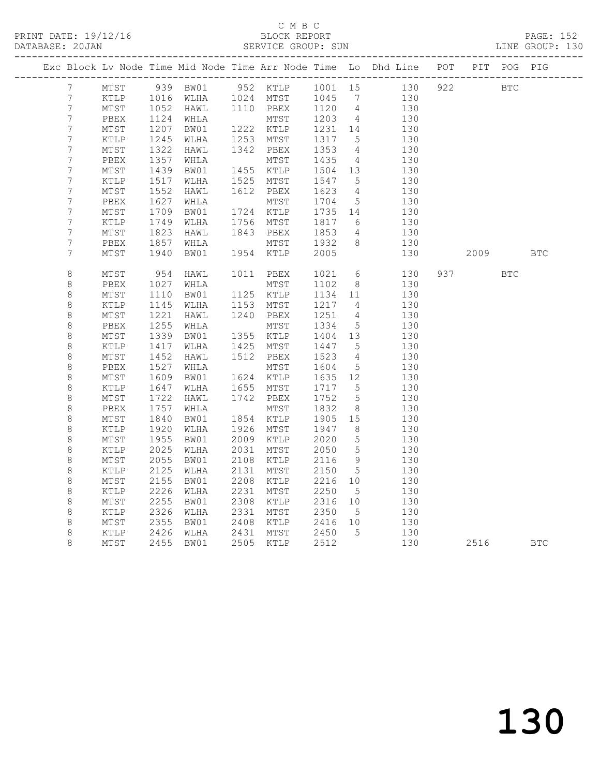|                  |                 |              |      |      |                                                |         |                 | Exc Block Lv Node Time Mid Node Time Arr Node Time Lo Dhd Line POT PIT POG PIG |     |                                                                                                                     |            |            |
|------------------|-----------------|--------------|------|------|------------------------------------------------|---------|-----------------|--------------------------------------------------------------------------------|-----|---------------------------------------------------------------------------------------------------------------------|------------|------------|
| 7 <sup>7</sup>   | MTST            |              |      |      |                                                |         |                 | 939 BW01 952 KTLP 1001 15 130                                                  | 922 | <b>BTC</b>                                                                                                          |            |            |
| $7\phantom{.}$   | KTLP            |              |      |      |                                                |         |                 | 130                                                                            |     |                                                                                                                     |            |            |
| $\boldsymbol{7}$ | MTST            | 1016<br>1052 |      |      | WLHA 1024 MTST 1045 7<br>HAWL 1110 PBEX 1120 4 |         |                 | 130                                                                            |     |                                                                                                                     |            |            |
| $\boldsymbol{7}$ | PBEX            | 1124         | WHLA |      | MTST                                           | 1203    | $\overline{4}$  | 130                                                                            |     |                                                                                                                     |            |            |
| $\boldsymbol{7}$ | $\mathtt{MTST}$ | 1207         | BW01 |      | 1222 KTLP                                      | 1231 14 |                 | 130                                                                            |     |                                                                                                                     |            |            |
| 7                | KTLP            | 1245         | WLHA | 1253 | MTST                                           | 1317    | $5\overline{)}$ | 130                                                                            |     |                                                                                                                     |            |            |
| $\boldsymbol{7}$ | MTST            | 1322         | HAWL |      | 1342 PBEX                                      | 1353    | $\overline{4}$  | 130                                                                            |     |                                                                                                                     |            |            |
| $\overline{7}$   | PBEX            | 1357         | WHLA |      | MTST                                           | 1435    | $\overline{4}$  | 130                                                                            |     |                                                                                                                     |            |            |
| $\overline{7}$   | MTST            | 1439         | BW01 |      | 1455 KTLP                                      | 1504 13 |                 | 130                                                                            |     |                                                                                                                     |            |            |
| $\boldsymbol{7}$ | KTLP            | 1517         | WLHA | 1525 | MTST                                           | 1547    | 5               | 130                                                                            |     |                                                                                                                     |            |            |
| 7                | MTST            | 1552         | HAWL | 1612 | PBEX                                           | 1623    | $\overline{4}$  | 130                                                                            |     |                                                                                                                     |            |            |
| $\boldsymbol{7}$ | PBEX            | 1627         | WHLA |      | MTST                                           | 1704    | $5\overline{)}$ | 130                                                                            |     |                                                                                                                     |            |            |
| $\overline{7}$   | MTST            | 1709         | BW01 | 1724 | KTLP                                           | 1735    | 14              | 130                                                                            |     |                                                                                                                     |            |            |
| $\boldsymbol{7}$ | KTLP            | 1749         | WLHA |      | 1756 MTST                                      | 1817    | 6               | 130                                                                            |     |                                                                                                                     |            |            |
| 7                | MTST            | 1823         | HAWL | 1843 | PBEX                                           | 1853    | $\overline{4}$  | 130                                                                            |     |                                                                                                                     |            |            |
| 7                | PBEX            | 1857         | WHLA |      | MTST                                           | 1932    | 8 <sup>8</sup>  | 130                                                                            |     |                                                                                                                     |            |            |
| $\overline{7}$   | MTST            | 1940         | BW01 |      | 1954 KTLP                                      | 2005    |                 | 130                                                                            |     | 2009 — 2009 — 2009 — 2009 — 2009 — 2009 — 2009 — 2009 — 2009 — 2009 — 2009 — 2009 — 2009 — 2009 — 2009 — 2009 — 200 |            | <b>BTC</b> |
|                  |                 |              |      |      |                                                |         |                 |                                                                                |     |                                                                                                                     |            |            |
| $\,8\,$          | MTST            | 954          | HAWL |      | 1011 PBEX                                      | 1021    | 6               | 130                                                                            |     | 937 — 100                                                                                                           | <b>BTC</b> |            |
| $\,8\,$          | PBEX            | 1027         | WHLA |      | MTST                                           | 1102    | 8 <sup>8</sup>  | 130                                                                            |     |                                                                                                                     |            |            |
| $\,8\,$          | MTST            | 1110         | BW01 |      | 1125 KTLP                                      | 1134 11 |                 | 130                                                                            |     |                                                                                                                     |            |            |
| $\,8\,$          | KTLP            | 1145         | WLHA | 1153 | MTST                                           | 1217    | $\overline{4}$  | 130                                                                            |     |                                                                                                                     |            |            |
| $\,8\,$          | MTST            | 1221         | HAWL |      | 1240 PBEX                                      | 1251    | $\overline{4}$  | 130                                                                            |     |                                                                                                                     |            |            |
| 8                | PBEX            | 1255         | WHLA |      | MTST                                           | 1334    | $5\phantom{.0}$ | 130                                                                            |     |                                                                                                                     |            |            |
| $\,8\,$          | $\mathtt{MTST}$ | 1339         | BW01 |      | 1355 KTLP                                      | 1404    | 13              | 130                                                                            |     |                                                                                                                     |            |            |
| $\,8\,$          | KTLP            | 1417         | WLHA |      | 1425 MTST                                      | 1447    | $5^{\circ}$     | 130                                                                            |     |                                                                                                                     |            |            |
| $\,8\,$          | MTST            | 1452         | HAWL |      | 1512 PBEX                                      | 1523    | $\overline{4}$  | 130                                                                            |     |                                                                                                                     |            |            |
| $\,8\,$          | PBEX            | 1527         | WHLA |      | MTST                                           | 1604    | $5\overline{)}$ | 130                                                                            |     |                                                                                                                     |            |            |
| $\,8\,$          | MTST            | 1609         | BW01 |      | 1624 KTLP                                      | 1635    | 12              | 130                                                                            |     |                                                                                                                     |            |            |
| $\,8\,$          | KTLP            | 1647         | WLHA |      | 1655 MTST                                      | 1717    | $5^{\circ}$     | 130                                                                            |     |                                                                                                                     |            |            |
| $\,8\,$          | MTST            | 1722         | HAWL |      | 1742 PBEX                                      | 1752    | $5^{\circ}$     | 130                                                                            |     |                                                                                                                     |            |            |
| $\,8\,$          | PBEX            | 1757         | WHLA |      | MTST                                           | 1832    | 8 <sup>8</sup>  | 130                                                                            |     |                                                                                                                     |            |            |
| $\,8\,$          | MTST            | 1840         | BW01 |      | 1854 KTLP                                      | 1905    | 15              | 130                                                                            |     |                                                                                                                     |            |            |
| $\,8\,$          | KTLP            | 1920         | WLHA |      | 1926 MTST                                      | 1947    | 8 <sup>8</sup>  | 130                                                                            |     |                                                                                                                     |            |            |
| $\,8\,$          | MTST            | 1955         | BW01 | 2009 | KTLP                                           | 2020    | $5\phantom{0}$  | 130                                                                            |     |                                                                                                                     |            |            |
| $\,8\,$          | KTLP            | 2025         | WLHA | 2031 | MTST                                           | 2050    | $5\overline{)}$ | 130                                                                            |     |                                                                                                                     |            |            |
| 8                | MTST            | 2055         | BW01 | 2108 | KTLP                                           | 2116    | 9               | 130                                                                            |     |                                                                                                                     |            |            |
| $\,8\,$          | KTLP            | 2125         | WLHA | 2131 | MTST                                           | 2150    | $5^{\circ}$     | 130                                                                            |     |                                                                                                                     |            |            |
| $\,8\,$          | MTST            | 2155         | BW01 | 2208 | KTLP                                           | 2216    | 10              | 130                                                                            |     |                                                                                                                     |            |            |
| $\,8\,$          | KTLP            | 2226         | WLHA | 2231 | MTST                                           | 2250    | $5^{\circ}$     | 130                                                                            |     |                                                                                                                     |            |            |
| $\,8\,$          | MTST            | 2255         | BW01 | 2308 | KTLP                                           | 2316    | 10              | 130                                                                            |     |                                                                                                                     |            |            |
| $\,8\,$          | KTLP            | 2326         | WLHA | 2331 | MTST                                           | 2350    | $5^{\circ}$     | 130                                                                            |     |                                                                                                                     |            |            |
| $\,8\,$          | $\mathtt{MTST}$ | 2355         | BW01 | 2408 | KTLP                                           | 2416 10 |                 | 130                                                                            |     |                                                                                                                     |            |            |
| $\,8\,$          | KTLP            | 2426         | WLHA | 2431 | MTST                                           | 2450    | $5\overline{)}$ | 130                                                                            |     |                                                                                                                     |            |            |
| 8                | $\mathtt{MTST}$ | 2455         | BW01 |      | 2505 KTLP                                      | 2512    |                 | 130                                                                            |     | 2516                                                                                                                |            | <b>BTC</b> |
|                  |                 |              |      |      |                                                |         |                 |                                                                                |     |                                                                                                                     |            |            |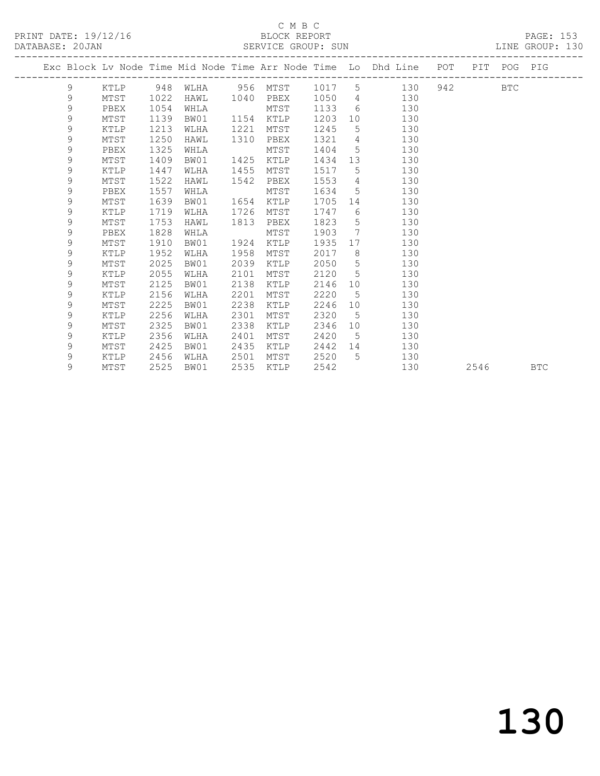#### C M B C<br>BLOCK REPORT SERVICE GROUP: SUN

|   |      |      |                          |      |      |        |                 | Exc Block Lv Node Time Mid Node Time Arr Node Time Lo Dhd Line POT PIT POG PIG |           |            |  |
|---|------|------|--------------------------|------|------|--------|-----------------|--------------------------------------------------------------------------------|-----------|------------|--|
| 9 | KTLP |      | 948 WLHA 956 MTST 1017 5 |      |      |        |                 | 130                                                                            | 942 — 100 | <b>BTC</b> |  |
| 9 | MTST | 1022 | HAWL 1040 PBEX           |      |      | 1050 4 |                 | 130                                                                            |           |            |  |
| 9 | PBEX | 1054 | WHLA                     |      | MTST | 1133   | 6               | 130                                                                            |           |            |  |
| 9 | MTST | 1139 | BW01                     | 1154 | KTLP | 1203   | 10              | 130                                                                            |           |            |  |
| 9 | KTLP | 1213 | WLHA                     | 1221 | MTST | 1245   | 5               | 130                                                                            |           |            |  |
| 9 | MTST | 1250 | HAWL                     | 1310 | PBEX | 1321   | $\overline{4}$  | 130                                                                            |           |            |  |
| 9 | PBEX | 1325 | WHLA                     |      | MTST | 1404   | $5\overline{)}$ | 130                                                                            |           |            |  |
| 9 | MTST | 1409 | BW01                     | 1425 | KTLP | 1434   | 13              | 130                                                                            |           |            |  |
| 9 | KTLP | 1447 | WLHA                     | 1455 | MTST | 1517   | 5               | 130                                                                            |           |            |  |
| 9 | MTST | 1522 | HAWL                     | 1542 | PBEX | 1553   | $4\overline{4}$ | 130                                                                            |           |            |  |
| 9 | PBEX | 1557 | WHLA                     |      | MTST | 1634   | $5^{\circ}$     | 130                                                                            |           |            |  |
| 9 | MTST | 1639 | BW01                     | 1654 | KTLP | 1705   | 14              | 130                                                                            |           |            |  |
| 9 | KTLP | 1719 | WLHA                     | 1726 | MTST | 1747   | 6               | 130                                                                            |           |            |  |
| 9 | MTST | 1753 | HAWL                     | 1813 | PBEX | 1823   | 5               | 130                                                                            |           |            |  |
| 9 | PBEX | 1828 | WHLA                     |      | MTST | 1903   | $7\phantom{0}$  | 130                                                                            |           |            |  |
| 9 | MTST | 1910 | BW01                     | 1924 | KTLP | 1935   | 17              | 130                                                                            |           |            |  |
| 9 | KTLP | 1952 | WLHA                     | 1958 | MTST | 2017   | 8               | 130                                                                            |           |            |  |
| 9 | MTST | 2025 | BW01                     | 2039 | KTLP | 2050   | 5               | 130                                                                            |           |            |  |
| 9 | KTLP | 2055 | WLHA                     | 2101 | MTST | 2120   | $5\overline{)}$ | 130                                                                            |           |            |  |
| 9 | MTST | 2125 | BW01                     | 2138 | KTLP | 2146   | 10 <sup>°</sup> | 130                                                                            |           |            |  |
| 9 | KTLP | 2156 | WLHA                     | 2201 | MTST | 2220   | $5\overline{)}$ | 130                                                                            |           |            |  |
| 9 | MTST | 2225 | BW01                     | 2238 | KTLP | 2246   | 10              | 130                                                                            |           |            |  |
| 9 | KTLP | 2256 | WLHA                     | 2301 | MTST | 2320   | $5\phantom{.0}$ | 130                                                                            |           |            |  |
| 9 | MTST | 2325 | BW01                     | 2338 | KTLP | 2346   | 10 <sup>°</sup> | 130                                                                            |           |            |  |
| 9 | KTLP | 2356 | WLHA                     | 2401 | MTST | 2420   | 5               | 130                                                                            |           |            |  |
| 9 | MTST | 2425 | BW01                     | 2435 | KTLP | 2442   | 14              | 130                                                                            |           |            |  |
| 9 | KTLP | 2456 | WLHA                     | 2501 | MTST | 2520   | 5               | 130                                                                            |           |            |  |

9 MTST 2525 BW01 2535 KTLP 2542 130 2546 BTC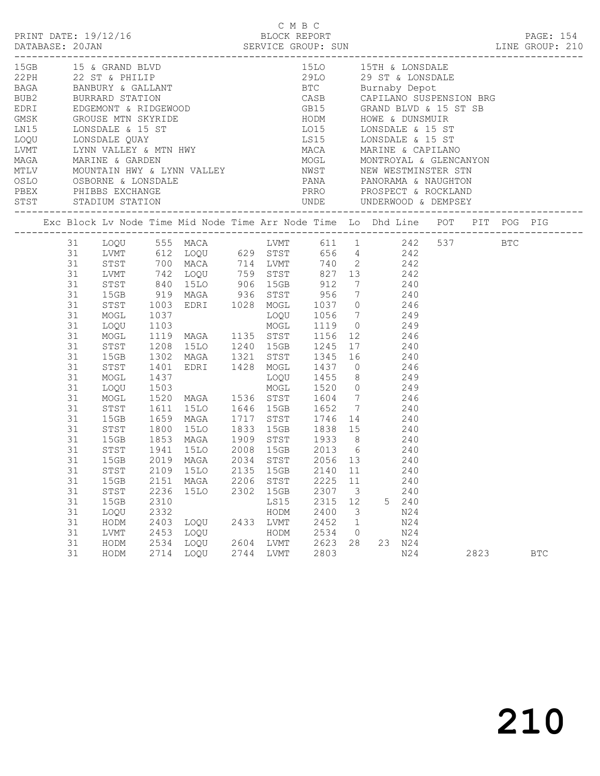|                                                                                                                        |          |              |              |                                                                                                                                                               |      |      | C M B C                            |              |    |     |      |            |  |
|------------------------------------------------------------------------------------------------------------------------|----------|--------------|--------------|---------------------------------------------------------------------------------------------------------------------------------------------------------------|------|------|------------------------------------|--------------|----|-----|------|------------|--|
|                                                                                                                        |          |              |              |                                                                                                                                                               |      |      |                                    |              |    |     |      |            |  |
|                                                                                                                        |          |              |              |                                                                                                                                                               |      |      |                                    |              |    |     |      |            |  |
|                                                                                                                        |          |              |              |                                                                                                                                                               |      |      |                                    |              |    |     |      |            |  |
|                                                                                                                        |          |              |              |                                                                                                                                                               |      |      |                                    |              |    |     |      |            |  |
|                                                                                                                        |          |              |              |                                                                                                                                                               |      |      |                                    |              |    |     |      |            |  |
|                                                                                                                        |          |              |              |                                                                                                                                                               |      |      |                                    |              |    |     |      |            |  |
|                                                                                                                        |          |              |              |                                                                                                                                                               |      |      |                                    |              |    |     |      |            |  |
|                                                                                                                        |          |              |              |                                                                                                                                                               |      |      |                                    |              |    |     |      |            |  |
|                                                                                                                        |          |              |              |                                                                                                                                                               |      |      |                                    |              |    |     |      |            |  |
|                                                                                                                        |          |              |              |                                                                                                                                                               |      |      |                                    |              |    |     |      |            |  |
|                                                                                                                        |          |              |              |                                                                                                                                                               |      |      |                                    |              |    |     |      |            |  |
|                                                                                                                        |          |              |              |                                                                                                                                                               |      |      |                                    |              |    |     |      |            |  |
| PEEX PHIBBS EXCHANGE FOR THE PANDRAMA & NAUGHTON PEEX PHIBBS EXCHANGE FOR THE PROSPECT & ROCKLAND STST STADIUM STATION |          |              |              |                                                                                                                                                               |      |      |                                    |              |    |     |      |            |  |
|                                                                                                                        |          |              |              |                                                                                                                                                               |      |      |                                    |              |    |     |      |            |  |
| Exc Block Lv Node Time Mid Node Time Arr Node Time Lo Dhd Line POT PIT POG PIG                                         |          |              |              |                                                                                                                                                               |      |      |                                    |              |    |     |      |            |  |
|                                                                                                                        |          |              |              | 31 LOQU 555 MACA LVMT 611 1 242 537 BTC<br>31 LVMT 612 LOQU 629 STST 656 4 242<br>31 STST 700 MACA 714 LVMT 740 2 242<br>31 LVMT 742 LOQU 759 STST 827 13 242 |      |      |                                    |              |    |     |      |            |  |
|                                                                                                                        |          |              |              |                                                                                                                                                               |      |      |                                    |              |    |     |      |            |  |
|                                                                                                                        |          |              |              |                                                                                                                                                               |      |      |                                    |              |    |     |      |            |  |
|                                                                                                                        |          |              |              |                                                                                                                                                               |      |      |                                    |              |    |     |      |            |  |
|                                                                                                                        | 31       | STST         |              | STST 840 15LO 906 15GB 912 7 240<br>15GB 919 MAGA 936 STST 956 7 240<br>STST 1003 EDRI 1028 MOGL 1037 0 246                                                   |      |      |                                    |              |    |     |      |            |  |
|                                                                                                                        | 31       | -<br>STST    |              |                                                                                                                                                               |      |      |                                    |              |    |     |      |            |  |
|                                                                                                                        | 31       |              |              |                                                                                                                                                               |      |      |                                    |              |    |     |      |            |  |
|                                                                                                                        | 31<br>31 | MOGL<br>LOQU |              | 1037 1090 1056 7 249<br>1103 1090 1056 7 249<br>1119 MAGA 1135 STST 1156 12 246<br>1208 15LO 1240 15GB 1245 17 240                                            |      |      |                                    |              |    |     |      |            |  |
|                                                                                                                        | 31       | MOGL         |              |                                                                                                                                                               |      |      |                                    |              |    |     |      |            |  |
|                                                                                                                        | 31       | STST         |              |                                                                                                                                                               |      |      |                                    |              |    |     |      |            |  |
|                                                                                                                        | 31       | 15GB         |              | 1302 MAGA 1321 STST 1345 16 240                                                                                                                               |      |      |                                    |              |    |     |      |            |  |
|                                                                                                                        | 31       | STST         | 1401         | EDRI 1428 MOGL 1437 0 246                                                                                                                                     |      |      |                                    |              |    |     |      |            |  |
|                                                                                                                        | 31       | MOGL         |              |                                                                                                                                                               |      |      |                                    |              |    |     |      |            |  |
|                                                                                                                        | 31       | LOQU         | 1437<br>1503 |                                                                                                                                                               |      |      | LOQU 1455 8 249<br>MOGL 1520 0 249 |              |    |     |      |            |  |
|                                                                                                                        | 31       | MOGL         |              | 1520 MAGA 1536 STST 1604 7 246                                                                                                                                |      |      |                                    |              |    |     |      |            |  |
|                                                                                                                        | 31       | STST         |              |                                                                                                                                                               |      |      |                                    |              |    |     |      |            |  |
|                                                                                                                        | 31       | 15GB         |              | STST 1611 15LO 1646 15GB 1652 7 240<br>15GB 1659 MAGA 1717 STST 1746 14 240<br>STST 1800 15LO 1833 15GB 1838 15 240                                           |      |      |                                    |              |    |     |      |            |  |
|                                                                                                                        | 31       |              |              |                                                                                                                                                               |      |      |                                    |              |    |     |      |            |  |
|                                                                                                                        | 31       |              |              | 15GB 1853 MAGA 1909 STST 1933 8 240                                                                                                                           |      |      |                                    |              |    |     |      |            |  |
|                                                                                                                        | 31       | STST         |              | 1941 15LO 2008 15GB 2013 6 240                                                                                                                                |      |      |                                    |              |    |     |      |            |  |
|                                                                                                                        |          |              |              | 31 15GB 2019 MAGA 2034 STST 2056 13                                                                                                                           |      |      |                                    |              |    | 240 |      |            |  |
|                                                                                                                        | 31       | ${\tt STST}$ | 2109         | 15LO                                                                                                                                                          | 2135 | 15GB | 2140                               | 11           |    | 240 |      |            |  |
|                                                                                                                        | 31       | 15GB         | 2151         | MAGA                                                                                                                                                          | 2206 | STST | 2225                               | 11           |    | 240 |      |            |  |
|                                                                                                                        | 31       | STST         | 2236         | <b>15LO</b>                                                                                                                                                   | 2302 | 15GB | 2307                               | 3            |    | 240 |      |            |  |
|                                                                                                                        | 31       | 15GB         | 2310         |                                                                                                                                                               |      | LS15 | 2315                               | 12           | 5  | 240 |      |            |  |
|                                                                                                                        | 31       | LOQU         | 2332         |                                                                                                                                                               |      | HODM | 2400                               | 3            |    | N24 |      |            |  |
|                                                                                                                        | 31       | HODM         | 2403         | LOQU                                                                                                                                                          | 2433 | LVMT | 2452                               | $\mathbf{1}$ |    | N24 |      |            |  |
|                                                                                                                        | 31       | LVMT         | 2453         | LOQU                                                                                                                                                          |      | HODM | 2534                               | 0            |    | N24 |      |            |  |
|                                                                                                                        | 31       | HODM         | 2534         | LOQU                                                                                                                                                          | 2604 | LVMT | 2623                               | 28           | 23 | N24 |      |            |  |
|                                                                                                                        | 31       | HODM         | 2714         | LOQU                                                                                                                                                          | 2744 | LVMT | 2803                               |              |    | N24 | 2823 | <b>BTC</b> |  |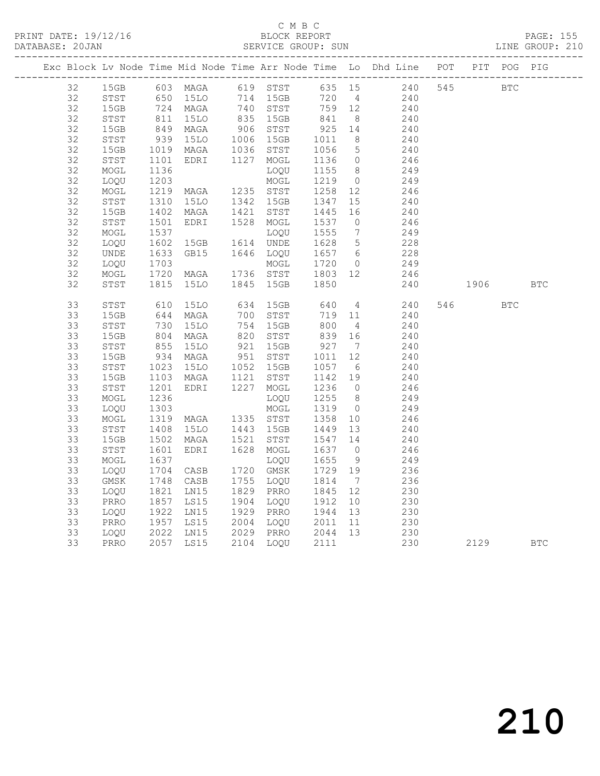|    |              |                              |                        |                                                              |                                                      |                 | Exc Block Lv Node Time Mid Node Time Arr Node Time Lo Dhd Line POT PIT POG PIG                                             |          |     |            |
|----|--------------|------------------------------|------------------------|--------------------------------------------------------------|------------------------------------------------------|-----------------|----------------------------------------------------------------------------------------------------------------------------|----------|-----|------------|
| 32 |              |                              |                        |                                                              |                                                      |                 | 15GB 603 MAGA 619 STST 635 15 240 545 BTC                                                                                  |          |     |            |
| 32 | STST         |                              |                        |                                                              |                                                      |                 | 650 15LO 714 15GB 720 4 240<br>724 MAGA 740 STST 759 12 240<br>811 15LO 835 15GB 841 8 240<br>849 MAGA 906 STST 925 14 240 |          |     |            |
| 32 | 15GB         |                              |                        |                                                              |                                                      |                 |                                                                                                                            |          |     |            |
| 32 | STST         |                              |                        |                                                              |                                                      |                 |                                                                                                                            |          |     |            |
| 32 | 15GB         |                              |                        |                                                              |                                                      |                 | 240                                                                                                                        |          |     |            |
| 32 | STST         | 939<br>1019                  | 15LO                   | 1006 15GB                                                    | 1011<br>1056                                         | 8 <sup>8</sup>  | 240<br>240                                                                                                                 |          |     |            |
| 32 | 15GB         |                              | MAGA                   | 1036 STST                                                    | 1056 5                                               |                 |                                                                                                                            |          |     |            |
| 32 | STST         | 1101<br>1136                 | EDRI 1127 MOGL         |                                                              | 1136 0                                               |                 | 246                                                                                                                        |          |     |            |
| 32 | MOGL         |                              |                        | LOQU                                                         | 1155 8                                               |                 | 249                                                                                                                        |          |     |            |
| 32 | LOQU         | 1203<br>1219                 | MOGL<br>MAGA 1235 STST |                                                              | 1219 0                                               |                 | 249                                                                                                                        |          |     |            |
| 32 | MOGL         |                              |                        |                                                              | 1258 12                                              |                 | 246                                                                                                                        |          |     |            |
| 32 | STST         | 1310                         | 15LO  1342  15GB       |                                                              | 1347                                                 | 15              | 240                                                                                                                        |          |     |            |
| 32 | 15GB         | 1402<br>1501                 | MAGA                   | 1421 STST                                                    | 1445 16<br>1537 0                                    |                 | 240                                                                                                                        |          |     |            |
| 32 | STST         |                              | EDRI                   | 1528 MOGL                                                    |                                                      |                 | 246                                                                                                                        |          |     |            |
| 32 | MOGL         | 1537<br>1602                 |                        | LOQU                                                         | 1555                                                 | $7\overline{ }$ | $249$<br>$228$                                                                                                             |          |     |            |
| 32 | LOQU         |                              | 15GB                   | 1614 UNDE                                                    | 1628 5                                               |                 |                                                                                                                            |          |     |            |
| 32 | UNDE         | 1633<br>1703                 | GB15                   | 1646 LOQU                                                    | 1657 6                                               |                 | $\frac{228}{249}$                                                                                                          |          |     |            |
| 32 | LOQU         |                              |                        |                                                              | 1720 0                                               |                 | 249                                                                                                                        |          |     |            |
| 32 | MOGL         | 1720<br>1815                 |                        |                                                              |                                                      |                 | 246                                                                                                                        |          |     |            |
| 32 | STST         |                              |                        | MOGL 1720 0<br>MAGA 1736 STST 1803 12<br>15LO 1845 15GB 1850 |                                                      |                 | 240                                                                                                                        | 1906     |     | <b>BTC</b> |
|    |              |                              |                        |                                                              |                                                      |                 |                                                                                                                            |          |     |            |
| 33 | STST         | 610                          | 15LO                   |                                                              |                                                      |                 | 634 15GB 640 4 240<br>700 STST 719 11 240                                                                                  | 546      | BTC |            |
| 33 | 15GB         | 644                          | MAGA                   |                                                              |                                                      |                 |                                                                                                                            |          |     |            |
| 33 | STST         | 730<br>804                   | 15LO                   |                                                              | 800 4<br>839 16                                      |                 | 240                                                                                                                        |          |     |            |
| 33 | 15GB         |                              | MAGA                   | 754 15GB<br>820 STST                                         |                                                      |                 | 240                                                                                                                        |          |     |            |
| 33 | ${\tt STST}$ | 855<br>934                   | 15LO                   | 921 15GB<br>951 STST                                         | $\begin{array}{cc} 927 & 7 \\ 1011 & 12 \end{array}$ |                 | 240                                                                                                                        |          |     |            |
| 33 | 15GB         |                              | MAGA                   |                                                              |                                                      |                 | 240                                                                                                                        |          |     |            |
| 33 | STST         | 1023<br>1103                 | 15LO 1052 15GB         |                                                              | 1057 b<br>1142 19                                    |                 | 240<br>240                                                                                                                 |          |     |            |
| 33 | 15GB         |                              | MAGA 1121 STST         |                                                              |                                                      |                 |                                                                                                                            |          |     |            |
| 33 | STST         |                              | EDRI 1227 MOGL         |                                                              | 1236 0                                               |                 | 246                                                                                                                        |          |     |            |
| 33 | MOGL         | 1201<br>1236                 |                        | LOQU                                                         | 1255 8                                               |                 | 249                                                                                                                        |          |     |            |
| 33 | LOQU         |                              |                        | MOGL                                                         | 1319                                                 | $\overline{0}$  | 249                                                                                                                        |          |     |            |
| 33 | MOGL         | 1256<br>1303<br>1319<br>1408 | MAGA 1335 STST         |                                                              | 1358                                                 | 10              | 246                                                                                                                        |          |     |            |
| 33 | STST         |                              | <b>15LO</b>            | 1443 15GB                                                    | 1449 13                                              |                 | 240                                                                                                                        |          |     |            |
| 33 | 15GB         | 1502<br>1601                 | MAGA                   | 1521 STST                                                    | 1547                                                 | 14              | 240                                                                                                                        |          |     |            |
| 33 | ${\tt STST}$ |                              | EDRI                   | 1628 MOGL                                                    | 1637 0                                               |                 | 246                                                                                                                        |          |     |            |
| 33 | MOGL         | 1637<br>1704                 |                        | LOQU                                                         | 1655                                                 | 9               | 249                                                                                                                        |          |     |            |
| 33 | LOQU         |                              | CASB                   | 1720 GMSK                                                    | 1729 19                                              |                 | 236                                                                                                                        |          |     |            |
| 33 | GMSK         |                              | CASB                   | 1755 LOQU 1814                                               |                                                      | $\overline{7}$  | 236                                                                                                                        |          |     |            |
| 33 | LOQU         | 1748<br>1821                 | LNI5                   | 1829 PRRO                                                    | 1845 12                                              |                 | 230                                                                                                                        |          |     |            |
| 33 | PRRO         | $185719221957$               | LS15                   | 1904 LOQU                                                    | 1912                                                 | 10              | 230                                                                                                                        |          |     |            |
| 33 | LOQU         |                              | LN15                   | 1929 PRRO                                                    | 1944 13                                              |                 | 230                                                                                                                        |          |     |            |
| 33 | PRRO         |                              | LS15                   | 2004 LOQU 2011 11                                            |                                                      |                 | 230                                                                                                                        |          |     |            |
| 33 | LOQU         |                              |                        | 2029 PRRO 2044 13<br>2104 LOQU 2111                          |                                                      |                 | $\frac{230}{230}$                                                                                                          |          |     |            |
| 33 | PRRO         |                              | 2022 LN15<br>2057 LS15 |                                                              |                                                      |                 |                                                                                                                            | 2129 BTC |     |            |
|    |              |                              |                        |                                                              |                                                      |                 |                                                                                                                            |          |     |            |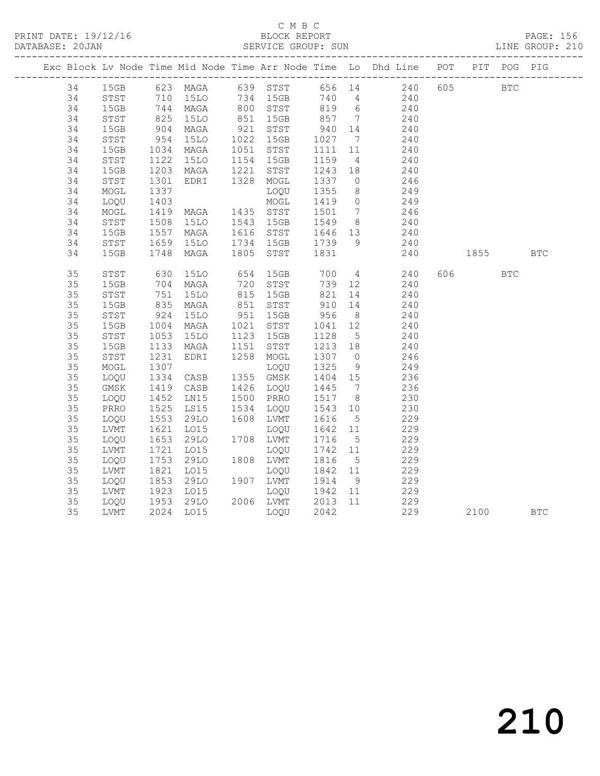|    |      |                     |                                               |                                |                                             |                 | Exc Block Lv Node Time Mid Node Time Arr Node Time Lo Dhd Line POT PIT POG PIG |          |            |            |
|----|------|---------------------|-----------------------------------------------|--------------------------------|---------------------------------------------|-----------------|--------------------------------------------------------------------------------|----------|------------|------------|
| 34 |      |                     |                                               |                                |                                             |                 | 15GB 623 MAGA 639 STST 656 14 240 605 BTC                                      |          |            |            |
| 34 | STST |                     |                                               |                                |                                             |                 |                                                                                |          |            |            |
| 34 | 15GB |                     | 710 15LO<br>744 MAGA<br>825 15LO              |                                |                                             |                 | 15LO 734 15GB 740 4 240<br>MAGA 800 STST 819 6 240<br>15LO 851 15GB 857 7 240  |          |            |            |
| 34 | STST |                     |                                               |                                |                                             |                 |                                                                                |          |            |            |
| 34 | 15GB | 904<br>954          | MAGA                                          | 921 STST                       | 940 14<br>1027 7                            |                 | 240                                                                            |          |            |            |
| 34 | STST |                     | <b>15LO</b>                                   | 1022 15GB                      |                                             |                 | 240                                                                            |          |            |            |
| 34 | 15GB | 1034                | MAGA                                          | 1051 STST                      | $1111$ $11$                                 |                 | 240                                                                            |          |            |            |
| 34 | STST | 1122<br>1203        | <b>15LO</b>                                   | 1154 15GB                      | 1159                                        | $\overline{4}$  | 240                                                                            |          |            |            |
| 34 | 15GB |                     | MAGA                                          | 1221 STST                      | 1243 18                                     |                 | 240                                                                            |          |            |            |
| 34 | STST | 1301                | EDRI 1328 MOGL                                |                                | 1337 0                                      |                 | 246                                                                            |          |            |            |
| 34 | MOGL | 1337                |                                               | LOQU                           | 1355                                        | 8 <sup>8</sup>  | 249                                                                            |          |            |            |
| 34 | LOQU | 133/1403            |                                               |                                | 1419 0                                      |                 | 249                                                                            |          |            |            |
| 34 | MOGL |                     | 1337 LOQU<br>1403 MOGL<br>1419 MAGA 1435 STST |                                | 1501 7                                      |                 | 246                                                                            |          |            |            |
| 34 | STST | 1508<br>1557        | 15LO 1543 15GB                                |                                | 1549                                        | 8 <sup>8</sup>  | $\begin{array}{c} 240 \\ 240 \end{array}$                                      |          |            |            |
| 34 | 15GB |                     | MAGA                                          | 1616 STST                      | 1646 13                                     |                 |                                                                                |          |            |            |
| 34 | STST | 1659                | 15LO                                          | 1734 15GB 1739 9               |                                             |                 | 240                                                                            |          |            |            |
| 34 | 15GB | 1748                | MAGA                                          | 1805 STST                      | 1831                                        |                 | 240                                                                            | 1855     |            | <b>BTC</b> |
| 35 | STST | 630                 | 15LO                                          |                                |                                             |                 | 654 15GB 700 4 240                                                             | 606 700  | <b>BTC</b> |            |
| 35 | 15GB |                     | MAGA                                          |                                | $739$ 12                                    |                 | 240                                                                            |          |            |            |
| 35 | STST | 704<br>751          | <b>15LO</b>                                   | 720 STST<br>815 15GB           | 821                                         | 14              | 240                                                                            |          |            |            |
| 35 | 15GB | 835                 | MAGA                                          | 851 STST                       | 910                                         | 14              | 240                                                                            |          |            |            |
| 35 | STST |                     | <b>15LO</b>                                   | 951 15GB                       | $956$<br>$1041$                             | 8 <sup>8</sup>  | $\frac{18}{6}$                                                                 |          |            |            |
| 35 | 15GB | $924$<br>$1004$     | MAGA                                          | 1021 STST                      | 1041 12                                     |                 | 240                                                                            |          |            |            |
| 35 | STST | 1053                | 15LO                                          | 1123 15GB                      | 1128                                        | $5\overline{)}$ | 240                                                                            |          |            |            |
| 35 | 15GB | $\frac{1133}{1231}$ | MAGA                                          | 1151 STST                      | 1213 18                                     |                 | 240                                                                            |          |            |            |
| 35 | STST |                     | EDRI                                          | 1258 MOGL                      | 1307 0                                      |                 | 246                                                                            |          |            |            |
| 35 | MOGL | 1307                |                                               | LOQU                           | 1325                                        | 9               | 249                                                                            |          |            |            |
| 35 | LOQU |                     | 1334 CASB 1355 GMSK<br>1419 CASB 1426 LOQU    |                                | $1404$ 15                                   |                 | 236                                                                            |          |            |            |
| 35 | GMSK |                     |                                               |                                | $\begin{array}{ccc}\n1445 & 7\n\end{array}$ |                 | 236                                                                            |          |            |            |
| 35 | LOQU | 1452                | LN15                                          | 1500 PRRO                      | 1517                                        | 8 <sup>8</sup>  | 230                                                                            |          |            |            |
| 35 | PRRO | 1525<br>1553        | LS15                                          | 1534 LOQU                      | 1543 10                                     |                 | 230                                                                            |          |            |            |
| 35 | LOQU |                     | 29LO                                          | 1608 LVMT                      | 1616                                        | $5\overline{)}$ | 229                                                                            |          |            |            |
| 35 | LVMT | 1621                | LO15                                          | LOQU                           | 1642 11                                     |                 | 229                                                                            |          |            |            |
| 35 | LOQU | 1653<br>1721        | 29LO                                          | 1708 LVMT                      | $\frac{1716}{1742}$ $\frac{11}{5}$          |                 | 229                                                                            |          |            |            |
| 35 | LVMT |                     | LO15                                          | LOQU                           |                                             |                 | 229                                                                            |          |            |            |
| 35 | LOQU | 1753                | 29LO                                          | 1808 LVMT                      | 1816                                        | $5\overline{)}$ | 229                                                                            |          |            |            |
| 35 | LVMT | 1821<br>1853        | L015                                          | LOQU                           | 1842 11                                     |                 | 229                                                                            |          |            |            |
| 35 | LOQU |                     | 29LO                                          | 1907 LVMT                      | 1914                                        | 9               | $\frac{2}{229}$                                                                |          |            |            |
| 35 | LVMT | 1923                | LO15                                          | LOQU 1942 11                   |                                             |                 | 229                                                                            |          |            |            |
| 35 | LOQU |                     | 1953 29LO<br>2024 LO15<br>29LO                | 2006 LVMT 2013 11<br>LOQU 2042 |                                             |                 | 229                                                                            |          |            |            |
| 35 | LVMT |                     |                                               |                                |                                             |                 | 229                                                                            | 2100 BTC |            |            |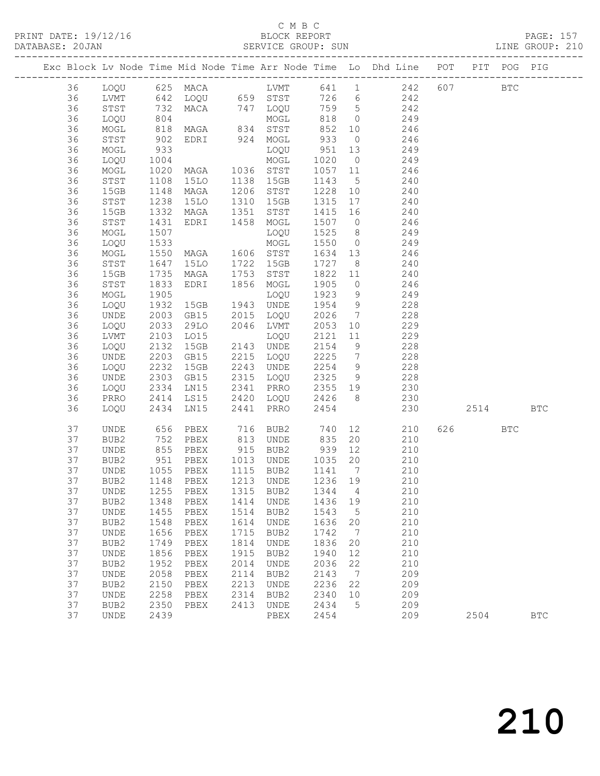PRINT DATE: 19/12/16 BLOCK REPORT PAGE: 157

SERVICE GROUP: SUN

|  |    |                              |                       |                                        |      |                                                          |            |                | Exc Block Lv Node Time Mid Node Time Arr Node Time Lo Dhd Line POT PIT POG PIG |         |            |              |
|--|----|------------------------------|-----------------------|----------------------------------------|------|----------------------------------------------------------|------------|----------------|--------------------------------------------------------------------------------|---------|------------|--------------|
|  | 36 |                              |                       |                                        |      |                                                          |            |                |                                                                                | 607 BTC |            |              |
|  | 36 |                              |                       |                                        |      |                                                          |            |                |                                                                                |         |            |              |
|  | 36 | STST                         | 732                   |                                        |      |                                                          |            |                | MACA 747 LOQU 759 5 242                                                        |         |            |              |
|  | 36 | LOQU                         |                       |                                        |      |                                                          | 818        | $\overline{0}$ | 249                                                                            |         |            |              |
|  | 36 | MOGL                         | 804<br>818<br>902     | MOGL<br>MAGA 834 STST<br>EDRI 924 MOGL |      |                                                          | 852 10     |                | 246                                                                            |         |            |              |
|  | 36 | STST                         |                       |                                        |      |                                                          | 852<br>933 | $\overline{0}$ | 246                                                                            |         |            |              |
|  | 36 | MOGL                         | 933                   |                                        |      | LOQU                                                     | 951        | 13             | 249                                                                            |         |            |              |
|  | 36 | LOQU                         | 1004                  |                                        |      |                                                          | 1020       | $\overline{0}$ | 249                                                                            |         |            |              |
|  | 36 | MOGL                         | 1020                  | LOQU<br>MAGA 1036 STST<br>15LO 1138 1- |      |                                                          | 1057 11    |                | 246                                                                            |         |            |              |
|  | 36 | STST                         | 1108                  |                                        |      |                                                          | 1143       | 5 <sup>5</sup> | 240                                                                            |         |            |              |
|  | 36 | 15GB                         | 1148                  | MAGA                                   |      | 1206 STST                                                | 1228 10    |                | 240                                                                            |         |            |              |
|  | 36 | STST                         | 1238                  | 15LO                                   | 1310 | 15GB                                                     | 1315       | 17             | 240                                                                            |         |            |              |
|  | 36 | 15GB                         | 1332                  | MAGA                                   |      | 1351 STST                                                | 1415 16    |                | 240                                                                            |         |            |              |
|  | 36 | ${\tt STST}$                 | 1431                  | EDRI                                   |      | 1458 MOGL                                                | 1507 0     |                | 246                                                                            |         |            |              |
|  | 36 | MOGL                         | 1507                  |                                        |      | LOQU                                                     | 1525       | 8 <sup>8</sup> | 249                                                                            |         |            |              |
|  | 36 | LOQU                         | 1533                  |                                        |      | MOGL                                                     | 1550       | $\overline{0}$ | 249                                                                            |         |            |              |
|  | 36 | MOGL                         | 1550                  | MAGA 1606 STST<br>15LO 1722 15GB       |      |                                                          | 1634 13    |                | 246                                                                            |         |            |              |
|  | 36 | STST                         | $152$<br>1647<br>1935 |                                        |      |                                                          | 1727 8     |                | 240                                                                            |         |            |              |
|  | 36 | 15GB                         | 1735                  | MAGA                                   | 1753 | STST                                                     | 1822 11    |                | 240                                                                            |         |            |              |
|  | 36 | STST                         | 1833                  | EDRI                                   |      | 1856 MOGL                                                | 1905       | $\overline{0}$ | 246                                                                            |         |            |              |
|  | 36 | MOGL                         | 1905                  |                                        |      | LOQU                                                     | 1923       | 9              | 249                                                                            |         |            |              |
|  | 36 | LOQU                         | 1932                  | 15GB                                   |      | 1943 UNDE                                                | 1954 9     |                | 228                                                                            |         |            |              |
|  | 36 | UNDE                         | 2003                  | GB15                                   |      | 2015 LOQU                                                | 2026       | $\overline{7}$ | 228                                                                            |         |            |              |
|  | 36 | LOQU                         | 2033                  | 29LO                                   |      | 2046 LVMT                                                | 2053       | 10             | 229                                                                            |         |            |              |
|  | 36 | LVMT                         | 2103                  | LO15                                   |      | LOQU                                                     | 2121       | 11             | 229                                                                            |         |            |              |
|  | 36 | LOQU                         | 2132                  | 15GB                                   |      | 2143 UNDE                                                | 2154 9     |                | 228                                                                            |         |            |              |
|  | 36 | UNDE                         | 2203                  | GB15                                   |      | 2215 LOQU                                                | 2225       | $\overline{7}$ | 228                                                                            |         |            |              |
|  | 36 | LOQU                         | 2232                  | 15GB                                   |      | 2243 UNDE                                                | 2254       | 9              | 228                                                                            |         |            |              |
|  | 36 | UNDE                         | 2303                  | GB15                                   |      | 2315 LOQU                                                | 2325       | 9              | 228                                                                            |         |            |              |
|  | 36 | LOQU                         |                       | LN15                                   |      | 2341 PRRO                                                | 2355 19    |                | 230<br>230                                                                     |         |            |              |
|  | 36 | PRRO                         | 2334<br>2414          | LS15                                   |      | 2420 LOQU 2426 8                                         |            |                |                                                                                |         |            |              |
|  | 36 | LOQU                         |                       | 2434 LN15                              | 2441 | PRRO                                                     | 2454       |                | 230                                                                            | 2514    |            | $_{\rm BTC}$ |
|  | 37 | UNDE                         | 656<br>752            | PBEX                                   |      | 716    BUB2            740<br>813    UNDE            835 |            |                | 12<br>210                                                                      | 626 8   | <b>BTC</b> |              |
|  | 37 | BUB2                         |                       | PBEX                                   |      |                                                          |            | 20             | 210                                                                            |         |            |              |
|  | 37 | UNDE                         | 855                   | PBEX                                   |      | 915 BUB2                                                 | 939 12     |                | 210                                                                            |         |            |              |
|  | 37 | BUB2                         | 951<br>1055<br>1148   | PBEX                                   |      | 1013 UNDE                                                | 1035       | 20             | 210                                                                            |         |            |              |
|  | 37 | UNDE                         |                       | PBEX                                   |      | 1115 BUB2                                                | 1141 7     |                | 210                                                                            |         |            |              |
|  | 37 | BUB2                         |                       | PBEX                                   |      | 1213 UNDE                                                | 1236 19    |                | 210                                                                            |         |            |              |
|  | 37 |                              |                       | UNDE 1255 PBEX 1315 BUB2 1344 4        |      |                                                          |            |                | 210                                                                            |         |            |              |
|  | 37 | BUB2                         | 1348                  | PBEX                                   | 1414 | UNDE                                                     | 1436       | 19             | 210                                                                            |         |            |              |
|  | 37 | UNDE                         | 1455                  | PBEX                                   | 1514 | BUB2                                                     | 1543       | $5^{\circ}$    | 210                                                                            |         |            |              |
|  | 37 | BUB2                         | 1548                  | PBEX                                   | 1614 | UNDE                                                     | 1636       | 20             | 210                                                                            |         |            |              |
|  | 37 | UNDE                         | 1656                  | PBEX                                   | 1715 | BUB2                                                     | 1742       | $\overline{7}$ | 210                                                                            |         |            |              |
|  | 37 | BUB2                         | 1749                  | PBEX                                   | 1814 | UNDE                                                     | 1836       | 20             | 210                                                                            |         |            |              |
|  | 37 | UNDE                         | 1856                  | PBEX                                   | 1915 | BUB2                                                     | 1940       | 12             | 210                                                                            |         |            |              |
|  | 37 | BUB2                         | 1952                  | PBEX                                   | 2014 | UNDE                                                     | 2036       | 22             | 210                                                                            |         |            |              |
|  | 37 | $\ensuremath{\mathsf{UNDE}}$ | 2058                  | PBEX                                   | 2114 | BUB2                                                     | 2143       | $\overline{7}$ | 209                                                                            |         |            |              |
|  | 37 | BUB2                         | 2150                  | PBEX                                   | 2213 | UNDE                                                     | 2236       | 22             | 209                                                                            |         |            |              |
|  | 37 | UNDE                         | 2258                  | PBEX                                   | 2314 | BUB2                                                     | 2340       | 10             | 209                                                                            |         |            |              |
|  | 37 | BUB2                         | 2350                  | PBEX                                   | 2413 | UNDE                                                     | 2434       | $5^{\circ}$    | 209                                                                            |         |            |              |
|  | 37 | UNDE                         | 2439                  |                                        |      | PBEX                                                     | 2454       |                | 209                                                                            | 2504    |            | $_{\rm BTC}$ |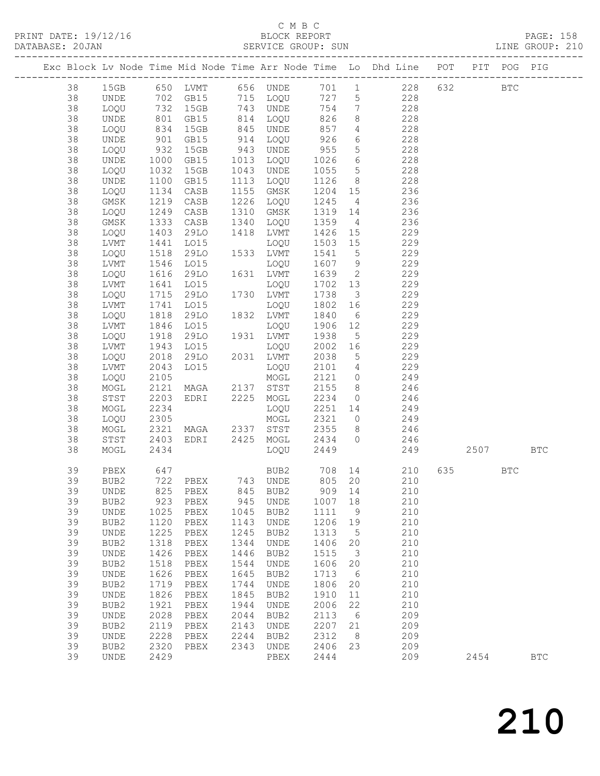### C M B C<br>BLOCK REPORT

| DATABASE: 20JAN |              |                     |                                |      |           |             |                         |                                                                                           |              |  |  |
|-----------------|--------------|---------------------|--------------------------------|------|-----------|-------------|-------------------------|-------------------------------------------------------------------------------------------|--------------|--|--|
|                 |              |                     |                                |      |           |             |                         | Exc Block Lv Node Time Mid Node Time Arr Node Time Lo Dhd Line POT PIT POG PIG            |              |  |  |
| 38              |              |                     |                                |      |           |             |                         | 15GB 650 LVMT 656 UNDE 701 1 228 632 BTC                                                  |              |  |  |
| 38              | UNDE         |                     |                                |      |           |             |                         | 702 GB15 715 LOQU 727 5 228                                                               |              |  |  |
| 38              | LOQU         |                     |                                |      |           |             |                         | 732 15GB 743 UNDE 754 7 228<br>801 GB15 814 LOQU 826 8 228<br>834 15GB 845 UNDE 857 4 228 |              |  |  |
| 38              | UNDE         |                     |                                |      |           |             |                         |                                                                                           |              |  |  |
| 38              | LOQU         |                     |                                |      |           |             |                         |                                                                                           |              |  |  |
| 38              | UNDE         | 901                 | GB15                           |      | 914 LOQU  | 926         |                         | 6 228                                                                                     |              |  |  |
| 38              | LOQU         |                     | 15GB                           |      | 943 UNDE  | 955         |                         | 5 228                                                                                     |              |  |  |
| 38              | UNDE         |                     | GB15                           |      | 1013 LOQU |             |                         |                                                                                           |              |  |  |
| 38              | LOQU         | 932<br>1000<br>1032 | 15GB                           |      | 1043 UNDE |             |                         | $\begin{array}{cccc} 1026 & 6 & 228 \\ 1055 & 5 & 228 \end{array}$                        |              |  |  |
| 38              | UNDE         | 1100                | GB15                           |      | 1113 LOQU | 1126        |                         | 8 228                                                                                     |              |  |  |
| 38              | LOQU         | 1134                | CASB                           |      | 1155 GMSK |             |                         | 1204 15 236                                                                               |              |  |  |
| 38              | GMSK         | 1219                | CASB                           |      | 1226 LOQU | 1245        | $4\overline{4}$         | 236                                                                                       |              |  |  |
| 38              | LOQU         | 1249                | CASB                           |      | 1310 GMSK | $1319$ $14$ |                         | 236                                                                                       |              |  |  |
| 38              | GMSK         | 1333                | CASB                           |      | 1340 LOQU | 1359        |                         | $4\overline{ }$<br>236                                                                    |              |  |  |
| 38              | LOQU         | 1403                | 29LO                           |      | 1418 LVMT |             |                         | 1426 15 229                                                                               |              |  |  |
| 38              | LVMT         |                     | LO15                           |      | LOQU      |             |                         |                                                                                           |              |  |  |
| 38              | LOQU         | 1441<br>1518        | 29LO                           |      | 1533 LVMT |             |                         | $1420$<br>$1503$ $15$<br>$5229$<br>$229$                                                  |              |  |  |
| 38              | LVMT         | 1546                | LO15                           |      | LOQU      |             |                         | 1607 9 229                                                                                |              |  |  |
| 38              | LOQU         | 1616                | 29LO                           |      | 1631 LVMT | 1639        |                         | 2 229                                                                                     |              |  |  |
| 38              | LVMT         |                     | LO15                           |      | LOQU      | $1702$ 13   |                         | 229                                                                                       |              |  |  |
| 38              | LOQU         | 1641<br>1715        | 29LO                           |      | 1730 LVMT | 1738        | $\overline{\mathbf{3}}$ | 229                                                                                       |              |  |  |
| 38              | LVMT         | 1741                | LO15                           |      | LOQU      | 1802        |                         | 16 229                                                                                    |              |  |  |
| 38              | LOQU         | 1818                | 29LO                           |      | 1832 LVMT | 1840        |                         | 6 229                                                                                     |              |  |  |
| 38              | LVMT         | 1846                | LO15                           |      | LOQU      | 1906        |                         |                                                                                           |              |  |  |
| 38              | LOQU         | 1918                | 29LO                           |      | 1931 LVMT | 1938        | 5 <sup>5</sup>          | 12 229<br>229                                                                             |              |  |  |
| 38              | LVMT         | 1943                | LO15                           |      | LOQU      |             |                         | 2002 16 229                                                                               |              |  |  |
| 38              | LOQU         | 2018                | 29LO 2031 LVMT                 |      |           | 2038        |                         | 5 229                                                                                     |              |  |  |
| 38              | LVMT         | 2043                | LO15                           |      | LOQU      |             |                         |                                                                                           |              |  |  |
| 38              | LOQU         | 2105                |                                |      | MOGL      | 2121 0      |                         | 2101 4 229<br>249                                                                         |              |  |  |
| 38              | MOGL         | 2121                | MAGA 2137 STST                 |      |           | 2155        |                         | $8 \t 246$                                                                                |              |  |  |
| 38              | STST         | 2203                | EDRI 2225 MOGL                 |      |           |             |                         | 2234 0 246                                                                                |              |  |  |
| 38              | MOGL         | 2234                |                                |      | LOQU      |             |                         |                                                                                           |              |  |  |
| 38              | LOQU         | 2305                |                                |      |           |             |                         | 2251 14 249                                                                               |              |  |  |
| 38              |              | 2321                | LOQU<br>MOGL<br>MAGA 2337 STST |      |           |             |                         | 2321 0 249<br>2355 8 246                                                                  |              |  |  |
|                 | MOGL         | 2403                |                                |      |           |             |                         | EDRI 2425 MOGL 2434 0 246                                                                 |              |  |  |
| 38<br>38        | STST<br>MOGL | 2434                |                                |      | LOQU      | 2449        |                         |                                                                                           | 249 2507 BTC |  |  |
|                 |              |                     |                                |      |           |             |                         |                                                                                           |              |  |  |
| 39              | PBEX         | 647                 |                                |      |           |             |                         | BUB2 708 14 210 635 BTC                                                                   |              |  |  |
| 39              |              |                     | BUB2 722 PBEX 743 UNDE 805 20  |      |           |             |                         | 210                                                                                       |              |  |  |
| 39              | UNDE         | 825                 | PBEX                           | 845  | BUB2      | 909 14      |                         | 210                                                                                       |              |  |  |
| 39              | BUB2         | 923                 | PBEX                           | 945  | UNDE      | 1007 18     |                         | 210                                                                                       |              |  |  |
| 39              | UNDE         | 1025                | PBEX                           | 1045 | BUB2      | 1111        | 9                       | 210                                                                                       |              |  |  |
| 39              | BUB2         | 1120                | PBEX                           | 1143 | UNDE      | 1206        | 19                      | 210                                                                                       |              |  |  |
| 39              | UNDE         | 1225                | PBEX                           | 1245 | BUB2      | 1313        | $5^{\circ}$             | 210                                                                                       |              |  |  |
| 39              | BUB2         | 1318                | PBEX                           | 1344 | UNDE      | 1406        | 20                      | 210                                                                                       |              |  |  |
| 39              | UNDE         | 1426                | PBEX                           | 1446 | BUB2      | 1515        | $\overline{\mathbf{3}}$ | 210                                                                                       |              |  |  |
| 39              | BUB2         | 1518                | PBEX                           | 1544 | UNDE      | 1606        | 20                      | 210                                                                                       |              |  |  |
| 39              | UNDE         | 1626                | PBEX                           | 1645 | BUB2      | 1713        | $6\overline{6}$         | 210                                                                                       |              |  |  |
| 39              | BUB2         | 1719                | PBEX                           | 1744 | UNDE      | 1806        | 20                      | 210                                                                                       |              |  |  |
| 39              | UNDE         | 1826                | PBEX                           | 1845 | BUB2      | 1910        | 11                      | 210                                                                                       |              |  |  |
| 39              | BUB2         |                     | 1921 PBEX                      | 1944 | UNDE      | 2006        | 22                      | 210                                                                                       |              |  |  |

 39 UNDE 2028 PBEX 2044 BUB2 2113 6 209 39 BUB2 2119 PBEX 2143 UNDE 2207 21 209 39 UNDE 2228 PBEX 2244 BUB2 2312 8 209 39 BUB2 2320 PBEX 2343 UNDE 2406 23 209

39 UNDE 2429 PBEX 2444 209 2454 BTC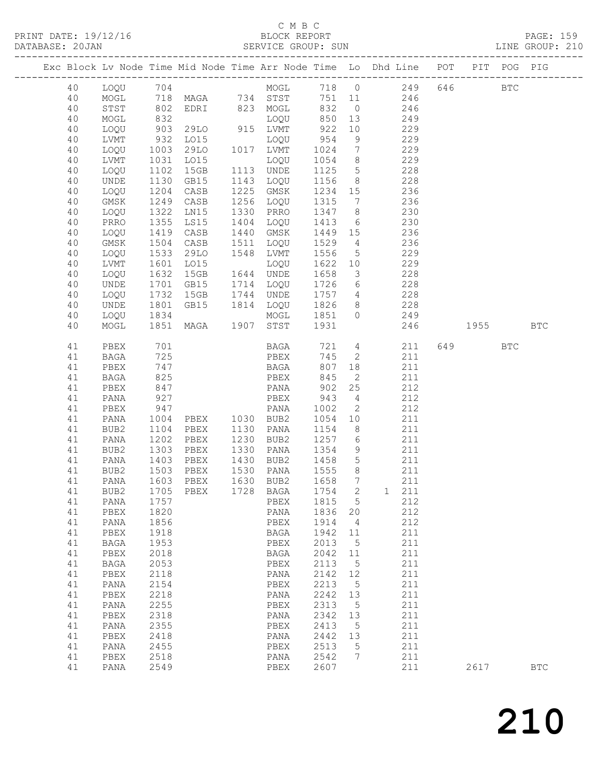### C M B C<br>BLOCK REPORT

| DATABASE: 20JAN |               |                   |                                          | SERVICE GROUP: SUN                 |                 |                 |                                                                                |                                                                                                                                                                                                                                 | LINE GROUP: 210 |
|-----------------|---------------|-------------------|------------------------------------------|------------------------------------|-----------------|-----------------|--------------------------------------------------------------------------------|---------------------------------------------------------------------------------------------------------------------------------------------------------------------------------------------------------------------------------|-----------------|
|                 |               |                   |                                          |                                    |                 |                 | Exc Block Lv Node Time Mid Node Time Arr Node Time Lo Dhd Line POT PIT POG PIG |                                                                                                                                                                                                                                 |                 |
| 40              |               |                   |                                          |                                    |                 |                 | LOQU 704 MOGL 718 0 249 646 BTC                                                |                                                                                                                                                                                                                                 |                 |
| 40              | MOGL          |                   |                                          |                                    |                 |                 | 718 MAGA 734 STST 751 11 246                                                   |                                                                                                                                                                                                                                 |                 |
| 40              | STST          | 802<br>832<br>903 |                                          | EDRI 823 MOGL 832                  |                 |                 | $0 \qquad \qquad 246$                                                          |                                                                                                                                                                                                                                 |                 |
| 40              | MOGL          |                   | LOQU<br>29LO 915 LVMT                    | LOQU 850 13<br>LVMT 922 10         |                 |                 | 249                                                                            |                                                                                                                                                                                                                                 |                 |
| 40              | LOQU          |                   |                                          |                                    |                 |                 | 229                                                                            |                                                                                                                                                                                                                                 |                 |
| 40              | LVMT          | 932               | LO15                                     | LOQU                               | 954             |                 | 9 229                                                                          |                                                                                                                                                                                                                                 |                 |
| 40              | LOQU          | 1003              | 29LO 1017 LVMT                           |                                    |                 |                 | 1024 7 229                                                                     |                                                                                                                                                                                                                                 |                 |
| 40              | LVMT          | 1031<br>1102      | LO15<br>15GB                             | LOQU                               | 1054 8          |                 | 229                                                                            |                                                                                                                                                                                                                                 |                 |
| 40              | LOQU          |                   |                                          | 1113 UNDE                          |                 |                 | $1125$ 5 228                                                                   |                                                                                                                                                                                                                                 |                 |
| 40              | UNDE          | 1130              | GB15                                     | 1143 LOQU                          |                 |                 | 1156 8 228                                                                     |                                                                                                                                                                                                                                 |                 |
| 40              | LOQU          | 1204              | CASB                                     | 1225 GMSK                          |                 |                 | 1234 15 236                                                                    |                                                                                                                                                                                                                                 |                 |
| 40              | GMSK          | 1249              | CASB                                     | 1256 LOQU                          | 1315            | $7\overline{ }$ | 236                                                                            |                                                                                                                                                                                                                                 |                 |
| 40              | LOQU          | $\frac{1}{1322}$  | LN15                                     | 1330 PRRO                          | $1347 \qquad 8$ |                 | 230                                                                            |                                                                                                                                                                                                                                 |                 |
| 40              | PRRO          | 1355              | LS15                                     | 1404 LOQU                          |                 |                 | 1413 6 230                                                                     |                                                                                                                                                                                                                                 |                 |
| 40              | LOQU          | 1419              | CASB                                     | 1440 GMSK                          |                 |                 | 1449 15 236                                                                    |                                                                                                                                                                                                                                 |                 |
| 40              | GMSK          | 1504<br>1533      | CASB                                     | 1511 LOQU                          | $1529$ 4        |                 | 236                                                                            |                                                                                                                                                                                                                                 |                 |
| 40              | LOQU          |                   | 29LO                                     | 1548 LVMT                          | 1556 5          |                 | 229                                                                            |                                                                                                                                                                                                                                 |                 |
| 40              | LVMT          | 1601              | LO15                                     | LOQU                               |                 |                 | 1622 10 229                                                                    |                                                                                                                                                                                                                                 |                 |
| 40              | LOQU          | 1632              | 15GB  1644  UNDE                         |                                    | 1658            |                 | 3 228                                                                          |                                                                                                                                                                                                                                 |                 |
| 40              | UNDE          | 1701<br>1732      | GB15                                     | 1714 LOQU                          |                 |                 | $\begin{array}{cccc} 1726 & 6 & 228 \\ 1757 & 4 & 228 \end{array}$             |                                                                                                                                                                                                                                 |                 |
| 40              | LOQU          |                   | 15GB                                     | 1744 UNDE                          | 1757 4          |                 |                                                                                |                                                                                                                                                                                                                                 |                 |
| 40              | UNDE          | 1801              | GB15 1814 LOQU                           |                                    |                 |                 | $\frac{1}{2}$ 1826 8 228                                                       |                                                                                                                                                                                                                                 |                 |
| 40              | LOQU          | 1834              |                                          |                                    |                 |                 | MOGL 1851 0 249                                                                |                                                                                                                                                                                                                                 |                 |
| 40              | MOGL          | 1851              | MAGA                                     | 1907 STST                          | 1931            |                 | 246                                                                            | 1955 — 1955 — 1965 — 1965 — 1965 — 1965 — 1965 — 1965 — 1966 — 1970 — 1986 — 1986 — 1986 — 1986 — 1986 — 1986 — 1986 — 1986 — 1986 — 1986 — 1986 — 1986 — 1986 — 1986 — 1986 — 1986 — 1986 — 1986 — 1986 — 1986 — 1986 — 1986 — | <b>BTC</b>      |
| 41              | PBEX          | 701               |                                          | <b>BAGA</b>                        |                 |                 | 721 4<br>211                                                                   | 649 BTC                                                                                                                                                                                                                         |                 |
| 41              | BAGA          | 725               |                                          | PBEX                               |                 |                 | 745 2<br>211                                                                   |                                                                                                                                                                                                                                 |                 |
| 41              | PBEX          | 747               |                                          | BAGA                               |                 |                 | 807 18<br>211                                                                  |                                                                                                                                                                                                                                 |                 |
| 41              | BAGA          | 825               |                                          | PBEX                               | 845             | $\overline{2}$  | 211                                                                            |                                                                                                                                                                                                                                 |                 |
| 41              | PBEX          | 847               |                                          | PANA                               | 902             |                 | 25<br>212                                                                      |                                                                                                                                                                                                                                 |                 |
| 41              | PANA          | 927               |                                          | PBEX                               | 943             |                 | 4 212                                                                          |                                                                                                                                                                                                                                 |                 |
| 41              | PBEX          | 947               |                                          |                                    | 1002            |                 | $\overline{2}$<br>212                                                          |                                                                                                                                                                                                                                 |                 |
| 41              | PANA          | 1004<br>1104      | PANA<br>PBEX 1030 BUB2<br>PBEX 1130 PANA |                                    | 1054 10         |                 | 211                                                                            |                                                                                                                                                                                                                                 |                 |
| 41              | BUB2          |                   |                                          |                                    | $1154$ 8        |                 | 211                                                                            |                                                                                                                                                                                                                                 |                 |
| 41              | PANA          | 1202              | PBEX                                     | 1230 BUB2                          |                 |                 | 1257 6 211                                                                     |                                                                                                                                                                                                                                 |                 |
| 41              | BUB2          | 1303              | PBEX                                     | 1330 PANA                          |                 |                 | 1354 9 211                                                                     |                                                                                                                                                                                                                                 |                 |
| 41              | PANA          | 1403<br>1503      | PBEX                                     | 1430 BUB2                          | 1458 5<br>1555  |                 | 211                                                                            |                                                                                                                                                                                                                                 |                 |
| 41              | BUB2          |                   | PBEX                                     | 1530 PANA                          |                 | 8 <sup>8</sup>  | 211                                                                            |                                                                                                                                                                                                                                 |                 |
|                 |               |                   |                                          | 41 PANA 1603 PBEX 1630 BUB2 1658 7 |                 |                 | 211                                                                            |                                                                                                                                                                                                                                 |                 |
| 41              | BUB2          | 1705              | PBEX 1728 BAGA                           |                                    | 1754 2          |                 | 1 211                                                                          |                                                                                                                                                                                                                                 |                 |
| 41              | PANA          | 1757              |                                          | PBEX                               | 1815 5          |                 | 212                                                                            |                                                                                                                                                                                                                                 |                 |
| 41              | PBEX          | 1820              |                                          | PANA                               | 1836 20         |                 | 212                                                                            |                                                                                                                                                                                                                                 |                 |
| 41              | PANA          | 1856              |                                          | PBEX                               | 1914 4          |                 | 212                                                                            |                                                                                                                                                                                                                                 |                 |
| 41              | PBEX          | 1918              |                                          | BAGA                               | 1942 11         |                 | 211                                                                            |                                                                                                                                                                                                                                 |                 |
| 41              | BAGA          | 1953              |                                          | PBEX                               | 2013            | $5\overline{)}$ | 211                                                                            |                                                                                                                                                                                                                                 |                 |
| 41              | PBEX          | 2018              |                                          | BAGA                               | 2042 11         |                 | 211                                                                            |                                                                                                                                                                                                                                 |                 |
| 41              | $_{\rm BAGA}$ | 2053              |                                          | PBEX                               | 2113 5          |                 | 211                                                                            |                                                                                                                                                                                                                                 |                 |
| 41              | PBEX          | 2118              |                                          | PANA                               | 2142 12         |                 | 211                                                                            |                                                                                                                                                                                                                                 |                 |
| 41<br>41        | PANA          | 2154<br>2218      |                                          | PBEX                               | 2213<br>2242 13 | $5\overline{)}$ | 211<br>211                                                                     |                                                                                                                                                                                                                                 |                 |
| 41              | PBEX          | 2255              |                                          | PANA<br>PBEX                       | 2313 5          |                 | 211                                                                            |                                                                                                                                                                                                                                 |                 |
| 41              | PANA<br>PBEX  | 2318              |                                          | PANA                               | 2342 13         |                 | 211                                                                            |                                                                                                                                                                                                                                 |                 |
| 41              | PANA          | 2355              |                                          | PBEX                               | 2413            | $5^{\circ}$     | 211                                                                            |                                                                                                                                                                                                                                 |                 |
|                 |               |                   |                                          |                                    |                 |                 |                                                                                |                                                                                                                                                                                                                                 |                 |

 41 PBEX 2418 PANA 2442 13 211 41 PANA 2455 PBEX 2513 5 211 41 PBEX 2518 PANA 2542 7 211

41 PANA 2549 PBEX 2607 211 2617 BTC

210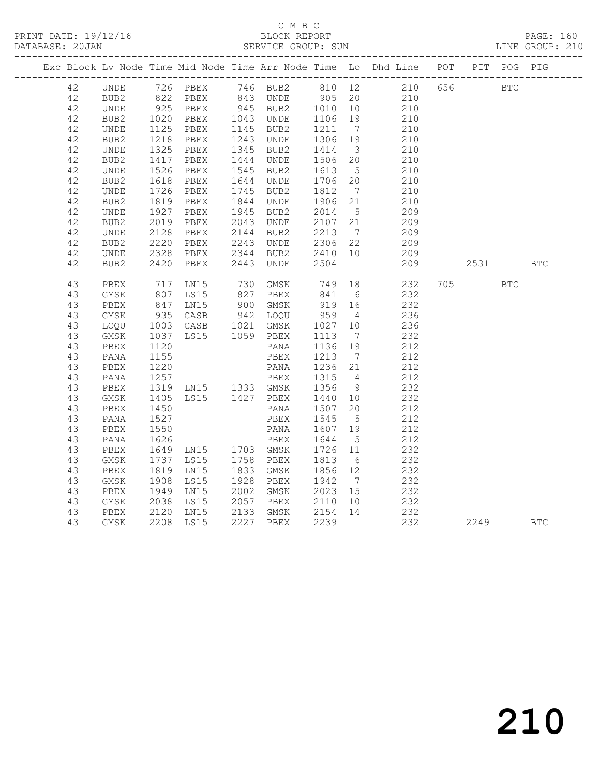|    |      |      |                        |                                       |                                       |                 | PRINT DATE: 19/12/16 BLOCK REPORT PAGE: 160<br>DATABASE: 20JAN SERVICE GROUP: SUN LINE GROUP: 210                                                                                                                                           |     |     |  |
|----|------|------|------------------------|---------------------------------------|---------------------------------------|-----------------|---------------------------------------------------------------------------------------------------------------------------------------------------------------------------------------------------------------------------------------------|-----|-----|--|
|    |      |      |                        |                                       |                                       |                 | Exc Block Lv Node Time Mid Node Time Arr Node Time Lo Dhd Line POT PIT POG PIG                                                                                                                                                              |     |     |  |
| 42 |      |      |                        |                                       |                                       |                 | UNDE 726 PBEX 746 BUB2 810 12<br>BUB2 822 PBEX 843 UNDE 905 20 210 656 BTC<br>UNDE 925 PBEX 945 BUB2 1010 10 210<br>BUB2 1020 PBEX 1043 UNDE 1106 19 210<br>UNDE 1125 PBEX 1043 UNDE 1106 19 210<br>UNDE 1125 PBEX 1145 BUB2 1211 7 210<br> |     |     |  |
| 42 |      |      |                        |                                       |                                       |                 |                                                                                                                                                                                                                                             |     |     |  |
| 42 |      |      |                        |                                       |                                       |                 |                                                                                                                                                                                                                                             |     |     |  |
| 42 |      |      |                        |                                       |                                       |                 |                                                                                                                                                                                                                                             |     |     |  |
| 42 |      |      |                        |                                       |                                       |                 |                                                                                                                                                                                                                                             |     |     |  |
| 42 | BUB2 |      | 1218 PBEX              | 1243 UNDE 1306 19                     |                                       |                 | 210                                                                                                                                                                                                                                         |     |     |  |
| 42 | UNDE |      | 1325 PBEX<br>1417 PBEX | 1345 BUB2                             |                                       |                 | 1345 BUB2 1414 3 210<br>1444 UNDE 1506 20 210                                                                                                                                                                                               |     |     |  |
| 42 | BUB2 |      |                        |                                       |                                       |                 |                                                                                                                                                                                                                                             |     |     |  |
| 42 | UNDE |      | 1526 PBEX              | 1545 BUB2 1613                        |                                       | $5\overline{)}$ | 210                                                                                                                                                                                                                                         |     |     |  |
| 42 | BUB2 |      | 1618 PBEX<br>1726 PBEX | 1644 UNDE 1706 20<br>1745 BUB2 1812 7 |                                       |                 | $\frac{210}{211}$                                                                                                                                                                                                                           |     |     |  |
| 42 | UNDE |      |                        |                                       |                                       |                 | 210                                                                                                                                                                                                                                         |     |     |  |
| 42 | BUB2 |      | 1819 PBEX              | 1844 UNDE 1906 21                     |                                       |                 | 210                                                                                                                                                                                                                                         |     |     |  |
| 42 | UNDE |      | 1927 PBEX<br>2019 PBEX | 1945 BUB2                             | 2014 5<br>2107 21                     |                 | $\frac{209}{209}$                                                                                                                                                                                                                           |     |     |  |
| 42 | BUB2 |      |                        | 2043 UNDE                             |                                       |                 |                                                                                                                                                                                                                                             |     |     |  |
| 42 | UNDE |      | 2128 PBEX              | 2144 BUB2 2213                        |                                       | $\overline{7}$  | 209                                                                                                                                                                                                                                         |     |     |  |
| 42 | BUB2 |      | 2220 PBEX<br>2328 PBEX |                                       |                                       |                 | 2243 UNDE 2306 22 209<br>2344 BUB2 2410 10 209                                                                                                                                                                                              |     |     |  |
| 42 | UNDE |      |                        |                                       |                                       |                 | 209                                                                                                                                                                                                                                         |     |     |  |
| 42 | BUB2 |      | 2420 PBEX              | 2443 UNDE 2504                        |                                       |                 | 209 2531 BTC                                                                                                                                                                                                                                |     |     |  |
| 43 | PBEX |      |                        |                                       |                                       |                 | 717 LN15 730 GMSK 749 18 232                                                                                                                                                                                                                | 705 | BTC |  |
| 43 | GMSK |      | 807 LS15               | 827 PBEX                              |                                       |                 | 841 6 232                                                                                                                                                                                                                                   |     |     |  |
| 43 |      |      |                        |                                       |                                       |                 | PBEX 847 LN15 900 GMSK 919 16 232<br>GMSK 935 CASB 942 LOQU 959 4 236<br>LOQU 1003 CASB 1021 GMSK 1027 10 236<br>GMSK 1037 LS15 1059 PBEX 1113 7 232<br>PBEX 1120 PANA 1136 19 212                                                          |     |     |  |
| 43 |      |      |                        |                                       |                                       |                 |                                                                                                                                                                                                                                             |     |     |  |
| 43 |      |      |                        |                                       |                                       |                 |                                                                                                                                                                                                                                             |     |     |  |
| 43 |      |      |                        |                                       |                                       |                 |                                                                                                                                                                                                                                             |     |     |  |
| 43 |      |      |                        |                                       |                                       |                 |                                                                                                                                                                                                                                             |     |     |  |
| 43 | PANA |      |                        |                                       |                                       |                 |                                                                                                                                                                                                                                             |     |     |  |
| 43 | PBEX |      |                        |                                       |                                       |                 | 1155<br>1220 PANA 123 7 212<br>1220 PANA 1236 21 212<br>1257 PBEX 1315 4 212                                                                                                                                                                |     |     |  |
| 43 | PANA |      |                        |                                       |                                       |                 |                                                                                                                                                                                                                                             |     |     |  |
| 43 | PBEX |      | 1319 LN15 1333 GMSK    |                                       | 1356                                  | 9               | 232                                                                                                                                                                                                                                         |     |     |  |
| 43 | GMSK |      | 1405 LS15 1427 PBEX    |                                       | 1440<br>1507                          | 10              | 232<br>212                                                                                                                                                                                                                                  |     |     |  |
| 43 | PBEX | 1450 |                        | PANA                                  |                                       | 20              |                                                                                                                                                                                                                                             |     |     |  |
| 43 | PANA | 1527 |                        | PBEX                                  | 1545                                  | $5^{\circ}$     | 212                                                                                                                                                                                                                                         |     |     |  |
| 43 | PBEX | 1550 | PANA<br>PBEX           |                                       | 1607 19<br>1644 5                     |                 | 212                                                                                                                                                                                                                                         |     |     |  |
| 43 | PANA | 1626 |                        |                                       |                                       |                 | 212                                                                                                                                                                                                                                         |     |     |  |
| 43 | PBEX |      | 1649 LN15 1703 GMSK    |                                       | 1726    11<br>1813    6<br>1856    12 |                 | 232                                                                                                                                                                                                                                         |     |     |  |
| 43 | GMSK |      | 1737 LS15<br>1819 LN15 | 1758 PBEX                             |                                       |                 | 232                                                                                                                                                                                                                                         |     |     |  |
| 43 | PBEX |      |                        | 1833 GMSK                             |                                       |                 | $\frac{25}{232}$                                                                                                                                                                                                                            |     |     |  |
| 43 | GMSK |      | 1908 LS15              | 1928 PBEX                             | 1942<br>2023                          |                 | 7 232                                                                                                                                                                                                                                       |     |     |  |
| 43 | PBEX |      | 1949 LN15              | 2002 GMSK                             | 2023 15                               |                 | 232                                                                                                                                                                                                                                         |     |     |  |

 43 GMSK 2038 LS15 2057 PBEX 2110 10 232 43 PBEX 2120 LN15 2133 GMSK 2154 14 232

43 GMSK 2208 LS15 2227 PBEX 2239 232 2249 BTC

210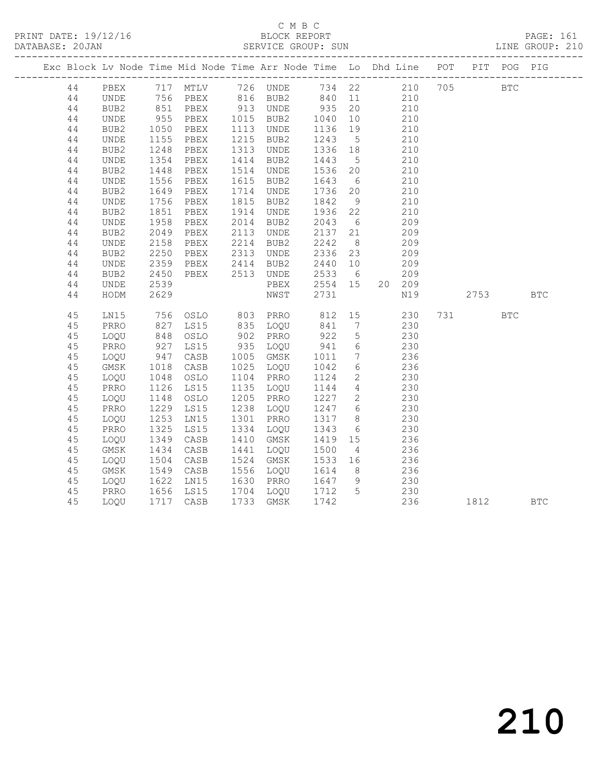|    |             |                      |                                |      |                      |                   |                 | Exc Block Lv Node Time Mid Node Time Arr Node Time Lo Dhd Line POT PIT POG PIG |      |            |            |
|----|-------------|----------------------|--------------------------------|------|----------------------|-------------------|-----------------|--------------------------------------------------------------------------------|------|------------|------------|
| 44 |             |                      |                                |      |                      |                   |                 | PBEX 717 MTLV 726 UNDE 734 22 210 705<br>UNDE 756 PBEX 816 BUB2 840 11 210     |      | <b>BTC</b> |            |
| 44 |             |                      |                                |      |                      |                   |                 |                                                                                |      |            |            |
| 44 | BUB2        |                      | 851 PBEX                       |      | 913 UNDE             |                   |                 | 935 20 210                                                                     |      |            |            |
| 44 | UNDE        | 955<br>1050          | PBEX                           |      | 1015 BUB2            | $\frac{935}{111}$ | 10              | 210                                                                            |      |            |            |
| 44 | BUB2        |                      | PBEX                           |      | 1113 UNDE            | 1136              | 19              | 210                                                                            |      |            |            |
| 44 | UNDE        | 1155                 | PBEX                           |      | 1215 BUB2            | 1243              | $5\overline{)}$ | 210                                                                            |      |            |            |
| 44 | BUB2        |                      | PBEX                           |      | 1313 UNDE            | 1336 18           |                 | 210                                                                            |      |            |            |
| 44 | UNDE        | 1248<br>1354<br>1448 | PBEX                           |      | 1414 BUB2            | 1443 5            |                 | 210                                                                            |      |            |            |
| 44 | BUB2        |                      | PBEX                           | 1514 | UNDE                 | 1536 20           |                 | 210                                                                            |      |            |            |
| 44 | <b>UNDE</b> | 1556                 | PBEX                           | 1615 | BUB2                 | 1643              | $6\overline{6}$ | 210                                                                            |      |            |            |
| 44 | BUB2        | 1649<br>1756         | PBEX                           |      | 1714 UNDE            | 1736 20           |                 | 210                                                                            |      |            |            |
| 44 | UNDE        |                      | PBEX                           | 1815 | BUB2                 | 1842              | 9               | 210                                                                            |      |            |            |
| 44 | BUB2        | 1851                 | PBEX                           |      | 1914 UNDE            | 1936 22           |                 | 210                                                                            |      |            |            |
| 44 | UNDE        | 1958<br>2049         | PBEX                           |      | 2014 BUB2            | 2043 6            |                 | 209                                                                            |      |            |            |
| 44 | BUB2        | 2049                 | PBEX                           |      | 2113 UNDE            | 2137 21           |                 | 209                                                                            |      |            |            |
| 44 | UNDE        | 2158                 | PBEX                           | 2214 | BUB2                 | 2242              | 8 <sup>8</sup>  | 209                                                                            |      |            |            |
| 44 | BUB2        | 2250                 | PBEX                           | 2313 | UNDE                 | 2336 23           |                 | 209                                                                            |      |            |            |
| 44 | UNDE        | 2359                 | PBEX                           |      | 2414 BUB2            | 2440 10           |                 | 209                                                                            |      |            |            |
| 44 | BUB2        | 2450                 | PBEX                           |      | 2513 UNDE            | 2533 6            |                 | 209                                                                            |      |            |            |
| 44 | UNDE        | 2539                 |                                |      | PBEX                 | 2554 15           |                 | 20 209                                                                         |      |            |            |
| 44 | HODM        | 2629                 |                                |      | NWST                 | 2731              |                 | N19                                                                            | 2753 |            | <b>BTC</b> |
| 45 | LN15        |                      | 756 OSLO 803 PRRO              |      |                      | 812 15            |                 | 230                                                                            |      | <b>BTC</b> |            |
| 45 | PRRO        |                      | LS15                           |      |                      | 841<br>922        |                 | $\begin{array}{ccc}\n7 & & 2 & \\ & - & 230 \\ \end{array}$                    |      |            |            |
| 45 | LOQU        | 827<br>848           | OSLO                           |      | 835 LOQU<br>902 PRRO |                   |                 |                                                                                |      |            |            |
| 45 | PRRO        | 927                  | LS15                           |      | 935 LOQU             | 941               | $6\overline{6}$ | 230                                                                            |      |            |            |
| 45 | LOQU        | 947<br>1018          | CASB                           |      | 1005 GMSK            | 1011              |                 | 7 236                                                                          |      |            |            |
| 45 | GMSK        |                      | CASB                           |      | 1025 LOQU            | 1042              | 6               | 236                                                                            |      |            |            |
| 45 | LOQU        | 1048                 | OSLO                           |      | 1104 PRRO            | 1124              |                 | 2 230                                                                          |      |            |            |
| 45 | PRRO        | 1126                 | LS15                           | 1135 | LOQU                 | 1144              |                 | 4 230                                                                          |      |            |            |
| 45 | LOQU        | 1148                 | OSLO                           |      | 1205 PRRO            | 1227              | $\overline{2}$  | 230                                                                            |      |            |            |
| 45 | PRRO        | 1229                 | LS15                           |      | 1238 LOQU            | 1247              |                 | $\frac{2}{6}$ 230                                                              |      |            |            |
| 45 | LOQU        | 1253                 | LN15                           |      | 1301 PRRO            | 1317              | 8 <sup>8</sup>  | 230                                                                            |      |            |            |
| 45 | PRRO        |                      | LS15                           |      | 1334 LOQU            | 1343              |                 | $\begin{array}{ccc} 6 & 230 \\ 15 & 236 \end{array}$                           |      |            |            |
| 45 | LOQU        | $1325$<br>$1349$     | CASB                           | 1410 | GMSK                 | 1419 15           |                 | 236                                                                            |      |            |            |
| 45 | GMSK        | 1434                 | CASB                           |      | 1441 LOQU            | 1500              | $\overline{4}$  | 236                                                                            |      |            |            |
| 45 | LOQU        | 1504<br>1549         | CASB                           | 1524 | GMSK                 | 1533 16           |                 | 236                                                                            |      |            |            |
| 45 | GMSK        |                      | CASB                           |      | 1556 LOQU            | 1614              | 8 <sup>8</sup>  | 236                                                                            |      |            |            |
| 45 | LOQU        | 1622                 | LN15                           |      | 1630 PRRO            | 1647 9            |                 | 230                                                                            |      |            |            |
| 45 | PRRO        |                      | 1656 LS15<br>1717 CASB<br>LS15 |      | 1704 LOQU 1712 5     |                   |                 | 230                                                                            |      |            |            |
| 45 | LOOU        |                      |                                |      | 1733 GMSK            | 1742              |                 | 236                                                                            | 1812 |            | <b>BTC</b> |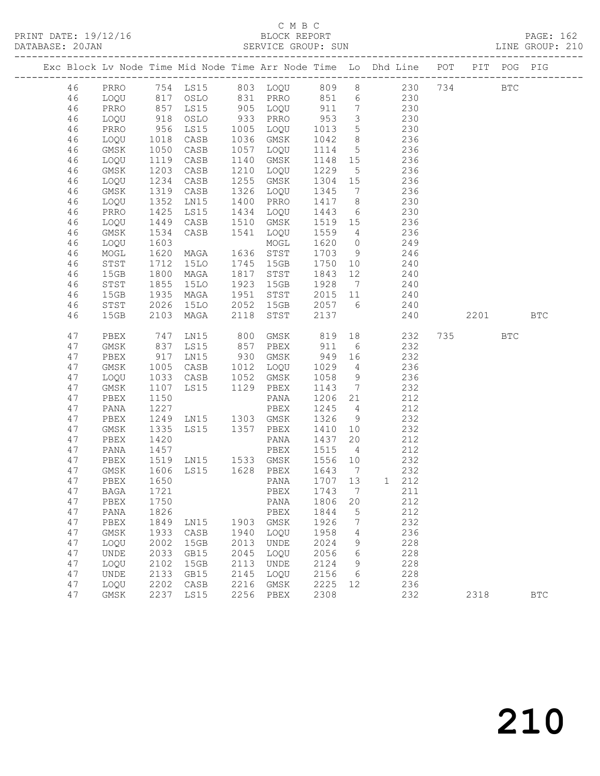### C M B C

|  | DATABASE: 20JAN |              |                      |                                                |      | SERVICE GROUP: SUN                          |                     |                         | LINE GROUP: 210                                                                |         |              |
|--|-----------------|--------------|----------------------|------------------------------------------------|------|---------------------------------------------|---------------------|-------------------------|--------------------------------------------------------------------------------|---------|--------------|
|  |                 |              |                      |                                                |      |                                             |                     |                         | Exc Block Lv Node Time Mid Node Time Arr Node Time Lo Dhd Line POT PIT POG PIG |         |              |
|  | 46              |              |                      |                                                |      |                                             |                     |                         | PRRO 754 LS15 803 LOQU 809 8 230 734 BTC                                       |         |              |
|  | 46              | LOQU         |                      |                                                |      |                                             |                     |                         | 817 OSLO 831 PRRO 851 6 230                                                    |         |              |
|  | 46              | PRRO         | 857<br>918<br>956    | LS15                                           |      |                                             |                     |                         | 905 LOQU 911 7 230                                                             |         |              |
|  | 46              | LOQU         |                      | OSLO                                           |      | 933 PRRO 953<br>1005 LOQU 1013              |                     | $\overline{\mathbf{3}}$ | 230                                                                            |         |              |
|  | 46              | PRRO         |                      | LS15                                           |      |                                             |                     | $5\overline{)}$         | $\frac{2}{2}$ 30                                                               |         |              |
|  | 46              | LOQU         | 1018                 | CASB                                           |      | 1036 GMSK                                   | 1042                |                         | 8 236                                                                          |         |              |
|  | 46              | GMSK         | 1050                 | CASB                                           |      | 1057 LOQU                                   | 1114                |                         | 5 236                                                                          |         |              |
|  | 46              | LOQU         | 1119                 | CASB                                           |      | 1140 GMSK                                   | 1148 15             |                         | 236                                                                            |         |              |
|  | 46              | GMSK         | 1203                 | CASB                                           |      | 1210 LOQU                                   | 1229                | $5\overline{)}$         | 236                                                                            |         |              |
|  | 46              | LOQU         | 1234                 | CASB                                           |      | 1255 GMSK                                   | 1304 15             |                         | 236                                                                            |         |              |
|  | 46              | GMSK         | 1319                 | CASB                                           |      | 1326 LOQU                                   | 1345                | $\overline{7}$          | 236                                                                            |         |              |
|  | 46              | LOQU         | 1352<br>1425         | LN15                                           |      | 1400 PRRO                                   | 1417 8              |                         | 230                                                                            |         |              |
|  | 46              | PRRO         |                      | LS15                                           |      | 1434 LOQU                                   | 1443                | $6\overline{6}$         | 230                                                                            |         |              |
|  | 46              | LOQU         | 1449                 | CASB                                           |      | 1510 GMSK                                   |                     |                         | 1519 15 236                                                                    |         |              |
|  | 46              | GMSK         | 1534                 | CASB                                           | 1541 | LOQU                                        | 1559 4              |                         | 236                                                                            |         |              |
|  | 46              | LOQU         | 1603<br>1603<br>1620 | MAGA                                           |      | MOGL                                        | 1620 0              |                         | 249                                                                            |         |              |
|  | 46              | MOGL         | 1712                 | <b>15LO</b>                                    |      | 1636 STST<br>1745 15GB                      | $1703$ 9<br>1750 10 |                         | 246<br>240                                                                     |         |              |
|  | 46<br>46        | STST<br>15GB | 1800                 | MAGA                                           |      | 1817 STST                                   | 1843 12             |                         | 240                                                                            |         |              |
|  | 46              | STST         |                      | 15LO                                           |      | 1923 15GB                                   | 1928 7              |                         | 240                                                                            |         |              |
|  | 46              | 15GB         | 1855<br>1935         | MAGA                                           |      | 1951 STST                                   | 2015 11             |                         | 240                                                                            |         |              |
|  | 46              | STST         | 2026                 | 15LO                                           |      | 2052 15GB                                   |                     |                         | $2057$ 6 240                                                                   |         |              |
|  | 46              | 15GB         | 2103                 | MAGA                                           | 2118 | STST                                        | 2137                |                         | 240                                                                            | 2201    | <b>BTC</b>   |
|  | 47              | PBEX         | 747                  |                                                |      | LN15 800 GMSK 819 18<br>LS15 857 PBEX 911 6 |                     |                         | 232                                                                            | 735 BTC |              |
|  | 47              | GMSK         | 837                  |                                                |      |                                             |                     |                         | 232                                                                            |         |              |
|  | 47              | PBEX         | 917                  | LN15                                           |      | 930 GMSK 949 16 232                         |                     |                         |                                                                                |         |              |
|  | 47              | GMSK         | 1005<br>1033<br>1107 | CASB 1012 LOQU                                 |      |                                             | 1029                | $4\overline{ }$         | 236                                                                            |         |              |
|  | 47              | LOQU         |                      | CASB                                           |      | 1052 GMSK                                   | 1058                | 9                       | 236                                                                            |         |              |
|  | 47              | GMSK         |                      | LS15 1129 PBEX                                 |      |                                             | 1143                | $7\overline{ }$         | 232                                                                            |         |              |
|  | 47              | PBEX         | 1150                 |                                                |      | PANA                                        | 1206 21             |                         | 212                                                                            |         |              |
|  | 47              | PANA         |                      |                                                |      |                                             | 1245 4              |                         | 212                                                                            |         |              |
|  | 47              | PBEX         |                      |                                                |      |                                             | 1326                | 9                       | 232                                                                            |         |              |
|  | 47              | GMSK         | $\frac{1}{1}$ 335    |                                                |      |                                             | 1410 10             |                         | 232                                                                            |         |              |
|  | 47              | PBEX         | 1420                 |                                                |      | PANA                                        | 1437 20             |                         | 212                                                                            |         |              |
|  | 47              | PANA         | 1457                 |                                                |      | PBEX                                        | 1515                | $\overline{4}$          | 212                                                                            |         |              |
|  | 47              | PBEX         |                      | 1519 LN15   1533 GMSK<br>1606 LS15   1628 PBEX |      |                                             | 1556 10             |                         | 232                                                                            |         |              |
|  | 47              | GMSK         |                      |                                                |      |                                             | $1643$ 7            |                         | 232                                                                            |         |              |
|  | 47              |              |                      |                                                |      | PBEX 1650   PANA 1707   13   1   212        |                     |                         |                                                                                |         |              |
|  | 47              | BAGA         | 1721                 |                                                |      | PBEX                                        | 1743                | $\overline{7}$          | 211                                                                            |         |              |
|  | 47<br>47        | PBEX         | 1750                 |                                                |      | PANA                                        | 1806                | 20                      | 212<br>212                                                                     |         |              |
|  | 47              | PANA<br>PBEX | 1826<br>1849         | LN15                                           | 1903 | PBEX<br>GMSK                                | 1844<br>1926        | 5<br>7                  | 232                                                                            |         |              |
|  | 47              | GMSK         | 1933                 | CASB                                           | 1940 | LOQU                                        | 1958                | 4                       | 236                                                                            |         |              |
|  | 47              | LOQU         | 2002                 | 15GB                                           | 2013 | UNDE                                        | 2024                | 9                       | 228                                                                            |         |              |
|  | 47              | UNDE         | 2033                 | GB15                                           | 2045 | LOQU                                        | 2056                | 6                       | 228                                                                            |         |              |
|  | 47              | LOQU         | 2102                 | 15GB                                           | 2113 | UNDE                                        | 2124                | 9                       | 228                                                                            |         |              |
|  | 47              | UNDE         | 2133                 | GB15                                           | 2145 | LOQU                                        | 2156                | 6                       | 228                                                                            |         |              |
|  | 47              | LOQU         | 2202                 | CASB                                           | 2216 | $\rm{GMSK}$                                 | 2225                | 12                      | 236                                                                            |         |              |
|  | 47              | GMSK         | 2237                 | LS15                                           | 2256 | PBEX                                        | 2308                |                         | 232                                                                            | 2318    | $_{\rm BTC}$ |
|  |                 |              |                      |                                                |      |                                             |                     |                         |                                                                                |         |              |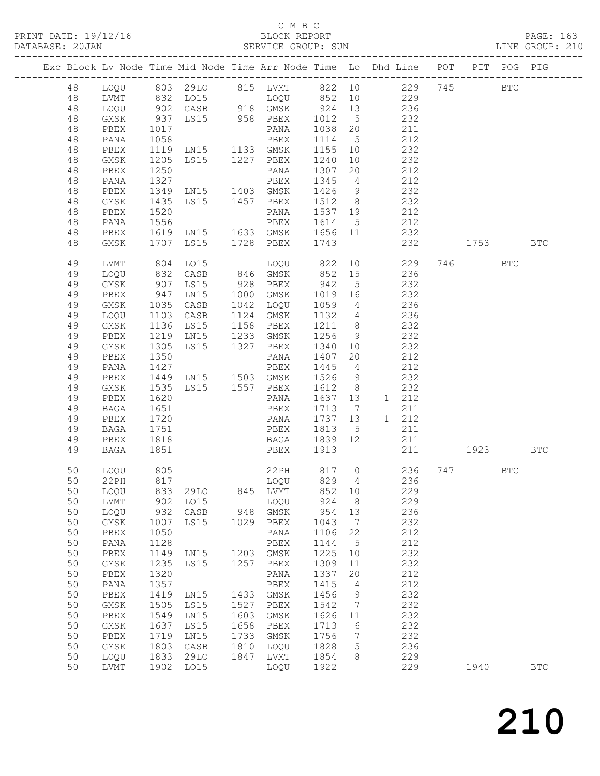### C M B C<br>BLOCK REPORT

| DATABASE: 20JAN |          |                 |              |                                                                                                                   |      | SERVICE GROUP: SUN                             |            |                              |                                                                                                   |              | LINE GROUP: 210 |  |
|-----------------|----------|-----------------|--------------|-------------------------------------------------------------------------------------------------------------------|------|------------------------------------------------|------------|------------------------------|---------------------------------------------------------------------------------------------------|--------------|-----------------|--|
|                 |          |                 |              |                                                                                                                   |      |                                                |            |                              | Exc Block Lv Node Time Mid Node Time Arr Node Time Lo Dhd Line POT PIT POG PIG                    |              |                 |  |
|                 | 48       |                 |              |                                                                                                                   |      |                                                |            |                              | LOQU 803 29LO 815 LVMT 822 10 229 745 BTC                                                         |              |                 |  |
|                 | 48       | LVMT            |              |                                                                                                                   |      |                                                |            |                              |                                                                                                   |              |                 |  |
|                 | 48       | LOQU            |              |                                                                                                                   |      |                                                |            |                              | 832 LO15<br>902 CASB 918 GMSK 924 13 236<br>937 LS15 958 PBEX 1012 5 232<br>1017 PANA 1038 20 211 |              |                 |  |
|                 | 48       | GMSK            |              |                                                                                                                   |      |                                                |            |                              |                                                                                                   |              |                 |  |
|                 | 48       | PBEX            |              |                                                                                                                   |      |                                                |            |                              |                                                                                                   |              |                 |  |
|                 | 48       | PANA            |              |                                                                                                                   |      |                                                |            |                              | 212                                                                                               |              |                 |  |
|                 | 48       | PBEX            |              |                                                                                                                   |      |                                                |            |                              | 232                                                                                               |              |                 |  |
|                 | 48       | GMSK            |              |                                                                                                                   |      |                                                | 1240 10    |                              | 232                                                                                               |              |                 |  |
|                 | 48       | PBEX            |              | 1012 5<br>1058 PANA 1038 20<br>1119 LN15 1133 GMSK 1155 10<br>1205 LS15 1227 PBEX 1240 10<br>1250<br>1250<br>1250 |      |                                                |            |                              | $20 \t 212$                                                                                       |              |                 |  |
|                 | 48       | PANA            | 1327         | 1327 PBEX 1345<br>1349 LN15 1403 GMSK 1426 9                                                                      |      |                                                |            |                              | 4 212                                                                                             |              |                 |  |
|                 | 48       | PBEX            |              |                                                                                                                   |      |                                                |            |                              | 232                                                                                               |              |                 |  |
|                 | 48       | GMSK            |              | 1435 LS15 1457 PBEX<br>1520 PANA                                                                                  |      |                                                | 1512 8     |                              |                                                                                                   |              |                 |  |
|                 | 48       | PBEX            |              |                                                                                                                   |      | PANA                                           | 1537 19    |                              | $232$<br>$212$                                                                                    |              |                 |  |
|                 | 48       | PANA            | 1556         |                                                                                                                   |      | PBEX 1614 5                                    |            |                              | 212                                                                                               |              |                 |  |
|                 | 48       | PBEX            |              |                                                                                                                   |      |                                                |            |                              | 1619 LN15 1633 GMSK 1656 11 232                                                                   |              |                 |  |
|                 | 48       | GMSK            |              | 1707 LS15 1728 PBEX 1743                                                                                          |      |                                                |            |                              | 232 1753                                                                                          |              | BTC             |  |
|                 | 49       | LVMT            |              | 804 LO15                                                                                                          |      |                                                |            |                              | LOQU 822 10 229 746 BTC                                                                           |              |                 |  |
|                 | 49       | LOQU            | 832          |                                                                                                                   |      |                                                |            |                              | CASB 846 GMSK 852 15 236                                                                          |              |                 |  |
|                 | 49       | GMSK            | 907<br>947   | LS15 928 PBEX                                                                                                     |      | 928 PBEX 942 5<br>1000 GMSK 1019 16            |            |                              | 232                                                                                               |              |                 |  |
|                 | 49       | PBEX            |              | LNI5                                                                                                              |      |                                                |            |                              | 232                                                                                               |              |                 |  |
|                 | 49       | GMSK            | 1035         | CASB                                                                                                              |      | 1042 LOQU                                      |            |                              | $1059 - 4$ 236                                                                                    |              |                 |  |
|                 | 49       | LOQU            | 1103         | CASB                                                                                                              |      | 1124 GMSK                                      |            |                              | 1132 4 236                                                                                        |              |                 |  |
|                 | 49       | GMSK            |              | LS15<br>1136 LS15 1158 PBEX<br>1219 LN15 1233 GMSK                                                                |      |                                                | 1211 8     |                              | 232                                                                                               |              |                 |  |
|                 | 49       | PBEX            |              |                                                                                                                   |      |                                                | 1256 9     |                              | 232                                                                                               |              |                 |  |
|                 | 49       | GMSK            | 1305         | LS15 1327 PBEX                                                                                                    |      |                                                | 1340 10    |                              | 232                                                                                               |              |                 |  |
|                 | 49       | PBEX            | 1350         |                                                                                                                   |      | PANA 1407 20                                   |            |                              | 212                                                                                               |              |                 |  |
|                 | 49       | PANA            | 1427         |                                                                                                                   |      | PBEX                                           | 1445 4     |                              | 212                                                                                               |              |                 |  |
|                 | 49       | PBEX            | 1449<br>1535 |                                                                                                                   |      | LN15 1503 GMSK 1526 9<br>LS15 1557 PBEX 1612 8 |            |                              | 232                                                                                               |              |                 |  |
|                 | 49<br>49 | GMSK<br>PBEX    | 1620         |                                                                                                                   |      | PANA                                           | 1637 13    |                              | 232<br>1 212                                                                                      |              |                 |  |
|                 | 49       | BAGA            | 1651         |                                                                                                                   |      | PBEX                                           | 1713 7     |                              | 211                                                                                               |              |                 |  |
|                 | 49       | PBEX            |              |                                                                                                                   |      |                                                |            |                              | 1 212                                                                                             |              |                 |  |
|                 | 49       | BAGA            | 1720<br>1751 |                                                                                                                   |      | PANA 1737 13<br>PBEX 1813 5<br>BAGA 1839 12    |            |                              | 211                                                                                               |              |                 |  |
|                 | 49       | PBEX            | 1818         |                                                                                                                   |      |                                                |            |                              | 211                                                                                               |              |                 |  |
|                 | 49       | BAGA            | 1851         |                                                                                                                   |      | PBEX 1913                                      |            |                              |                                                                                                   | 211 1923 BTC |                 |  |
|                 |          |                 |              |                                                                                                                   |      |                                                |            |                              |                                                                                                   |              |                 |  |
|                 | 50       | LOQU            | 805          |                                                                                                                   |      |                                                |            |                              | 22PH 817 0 236 747 BTC                                                                            |              |                 |  |
|                 |          | 50 22PH<br>LOOU |              |                                                                                                                   | 845  |                                                |            |                              | 229                                                                                               |              |                 |  |
|                 | 50<br>50 | LVMT            |              | 833 29LO<br>902 LO15                                                                                              |      | LVMT<br>LOQU                                   | 852<br>924 | 10<br>8 <sup>8</sup>         | 229                                                                                               |              |                 |  |
|                 | 50       | LOQU            | 932          | CASB                                                                                                              |      | 948 GMSK                                       | 954        | 13                           | 236                                                                                               |              |                 |  |
|                 | 50       | GMSK            | 1007         | LS15                                                                                                              | 1029 | PBEX                                           | 1043       | $\overline{7}$               | 232                                                                                               |              |                 |  |
|                 | 50       | ${\tt PBEX}$    | 1050         |                                                                                                                   |      | PANA                                           | 1106       | 22                           | 212                                                                                               |              |                 |  |
|                 | 50       | PANA            | 1128         |                                                                                                                   |      | PBEX                                           | 1144       | $5^{\circ}$                  | 212                                                                                               |              |                 |  |
|                 | 50       | PBEX            | 1149         | LN15 1203 GMSK                                                                                                    |      |                                                | 1225       | 10                           | 232                                                                                               |              |                 |  |
|                 | 50       | GMSK            | 1235         | LS15                                                                                                              | 1257 | PBEX                                           | 1309       | 11                           | 232                                                                                               |              |                 |  |
|                 | 50       | PBEX            | 1320         |                                                                                                                   |      | PANA                                           | 1337       | 20                           | 212                                                                                               |              |                 |  |
|                 | 50       | PANA            | 1357         |                                                                                                                   |      | PBEX                                           | 1415       | $\overline{4}$               | 212                                                                                               |              |                 |  |
|                 | 50       | PBEX            | 1419         | LN15                                                                                                              |      | 1433 GMSK                                      | 1456       | 9                            | 232                                                                                               |              |                 |  |
|                 | 50       | $\rm{GMSK}$     | 1505         | LS15                                                                                                              | 1527 | PBEX                                           | 1542       | $\overline{7}$               | 232                                                                                               |              |                 |  |
|                 | 50       | PBEX            | 1549         | LN15                                                                                                              | 1603 | GMSK                                           | 1626       | 11                           | 232                                                                                               |              |                 |  |
|                 | 50       | GMSK            | 1637         | LS15                                                                                                              | 1658 | PBEX                                           | 1713       | 6                            | 232                                                                                               |              |                 |  |
|                 | 50       | PBEX            | 1719         | LN15                                                                                                              | 1733 | GMSK                                           | 1756       | $7\phantom{.0}\phantom{.0}7$ | 232                                                                                               |              |                 |  |
|                 | 50       | GMSK            | 1803         | CASB                                                                                                              | 1810 | LOQU                                           | 1828       | $5\phantom{.0}$              | 236                                                                                               |              |                 |  |
|                 | 50       | LOQU            | 1833         | 29LO                                                                                                              | 1847 | LVMT                                           | 1854       | 8 <sup>8</sup>               | 229                                                                                               |              |                 |  |
|                 | 50       | LVMT            | 1902         | LO15                                                                                                              |      | LOQU                                           | 1922       |                              | 229                                                                                               | 1940         | <b>BTC</b>      |  |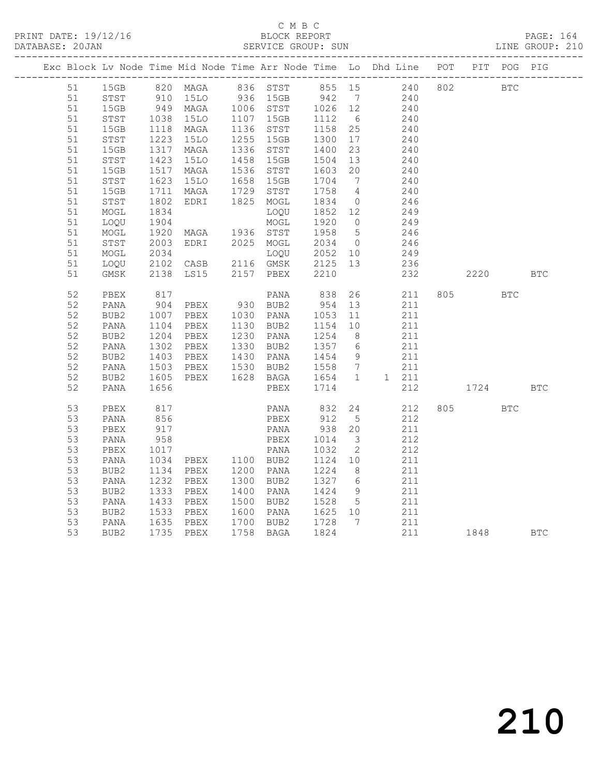| PRINT DATE: 19/12/16 | BLOCK REPORT       | PAGE: 164       |
|----------------------|--------------------|-----------------|
| DATABASE: 20JAN      | SERVICE GROUP: SUN | LINE GROUP: 210 |
|                      |                    |                 |

|  |    |              |      | Exc Block Lv Node Time Mid Node Time Arr Node Time Lo Dhd Line POT |      |           |            |                              |    |       |     | PIT  | POG PIG    |            |
|--|----|--------------|------|--------------------------------------------------------------------|------|-----------|------------|------------------------------|----|-------|-----|------|------------|------------|
|  | 51 | 15GB         |      |                                                                    |      |           |            |                              |    |       | 802 |      | <b>BTC</b> |            |
|  | 51 | STST         |      |                                                                    |      |           |            | $7\overline{ }$              |    |       |     |      |            |            |
|  | 51 | 15GB         | 949  | MAGA                                                               |      | 1006 STST | 1026 12    |                              |    | 240   |     |      |            |            |
|  | 51 | STST         | 1038 | 15LO                                                               |      | 1107 15GB | 1112       | 6                            |    | 240   |     |      |            |            |
|  | 51 | 15GB         | 1118 | MAGA                                                               |      | 1136 STST | 1158       | 25                           |    | 240   |     |      |            |            |
|  | 51 | STST         | 1223 | 15LO                                                               |      | 1255 15GB | 1300       | 17                           |    | 240   |     |      |            |            |
|  | 51 | 15GB         | 1317 | MAGA                                                               |      | 1336 STST | 1400       | 23                           |    | 240   |     |      |            |            |
|  | 51 | ${\tt STST}$ | 1423 | <b>15LO</b>                                                        | 1458 | 15GB      | 1504       | 13                           |    | 240   |     |      |            |            |
|  | 51 | 15GB         | 1517 | MAGA                                                               | 1536 | STST      | 1603       | 20                           |    | 240   |     |      |            |            |
|  | 51 | STST         | 1623 | 15LO                                                               | 1658 | 15GB      | 1704       | $7\phantom{.0}\phantom{.0}7$ |    | 240   |     |      |            |            |
|  | 51 | 15GB         | 1711 | MAGA                                                               | 1729 | STST      | 1758       | $\overline{4}$               |    | 240   |     |      |            |            |
|  | 51 | STST         | 1802 | EDRI                                                               |      | 1825 MOGL | 1834       | $\overline{0}$               |    | 246   |     |      |            |            |
|  | 51 | MOGL         | 1834 |                                                                    |      | LOQU      | 1852 12    |                              |    | 249   |     |      |            |            |
|  | 51 | LOQU         | 1904 |                                                                    |      | MOGL      | 1920       | $\overline{0}$               |    | 249   |     |      |            |            |
|  | 51 | MOGL         | 1920 | MAGA                                                               |      | 1936 STST | 1958       | $5\overline{)}$              |    | 246   |     |      |            |            |
|  | 51 | STST         | 2003 | EDRI                                                               |      | 2025 MOGL | 2034       | $\overline{0}$               |    | 246   |     |      |            |            |
|  | 51 | MOGL         | 2034 |                                                                    |      | LOQU      | 2052 10    |                              |    | 249   |     |      |            |            |
|  | 51 | LOQU         | 2102 | CASB                                                               |      | 2116 GMSK | 2125 13    |                              |    | 236   |     |      |            |            |
|  | 51 | GMSK         | 2138 | LS15                                                               |      | 2157 PBEX | 2210       |                              |    | 232   |     | 2220 |            | <b>BTC</b> |
|  | 52 | PBEX         | 817  |                                                                    |      | PANA      | 838        |                              | 26 | 211   |     | 805  | <b>BTC</b> |            |
|  | 52 | PANA         | 904  | PBEX                                                               |      | 930 BUB2  | 954        | 13                           |    | 211   |     |      |            |            |
|  | 52 | BUB2         | 1007 | PBEX                                                               |      | 1030 PANA | 1053       | 11                           |    | 211   |     |      |            |            |
|  | 52 | PANA         | 1104 | PBEX                                                               |      | 1130 BUB2 | 1154       | 10                           |    | 211   |     |      |            |            |
|  | 52 | BUB2         | 1204 | PBEX                                                               |      | 1230 PANA | 1254       | 8 <sup>8</sup>               |    | 211   |     |      |            |            |
|  | 52 | PANA         | 1302 | PBEX                                                               |      | 1330 BUB2 | 1357       | 6                            |    | 211   |     |      |            |            |
|  | 52 | BUB2         | 1403 | PBEX                                                               |      | 1430 PANA | 1454       | 9                            |    | 211   |     |      |            |            |
|  | 52 | PANA         | 1503 | PBEX                                                               |      | 1530 BUB2 | 1558       | $\overline{7}$               |    | 211   |     |      |            |            |
|  | 52 | BUB2         | 1605 | PBEX                                                               |      | 1628 BAGA | 1654       | $\mathbf{1}$                 |    | 1 211 |     |      |            |            |
|  | 52 | PANA         | 1656 |                                                                    |      | PBEX      | 1714       |                              |    | 212   |     | 1724 |            | <b>BTC</b> |
|  | 53 | PBEX         | 817  |                                                                    |      | PANA      |            | 24                           |    | 212   |     |      | <b>BTC</b> |            |
|  | 53 | PANA         | 856  |                                                                    |      | PBEX      | 832<br>912 | $5^{\circ}$                  |    | 212   |     |      |            |            |
|  | 53 | PBEX         | 917  |                                                                    |      | PANA      | 938        | 20                           |    | 211   |     |      |            |            |
|  | 53 | PANA         | 958  |                                                                    |      | PBEX      | 1014       | 3                            |    | 212   |     |      |            |            |
|  | 53 | PBEX         | 1017 |                                                                    |      | PANA      | 1032       | $\overline{2}$               |    | 212   |     |      |            |            |
|  | 53 | PANA         | 1034 | PBEX 1100 BUB2                                                     |      |           | 1124       | 10                           |    | 211   |     |      |            |            |
|  | 53 | BUB2         | 1134 | PBEX                                                               |      | 1200 PANA | 1224       | 8 <sup>8</sup>               |    | 211   |     |      |            |            |
|  | 53 | PANA         | 1232 | PBEX                                                               | 1300 | BUB2      | 1327       | 6                            |    | 211   |     |      |            |            |
|  | 53 | BUB2         | 1333 | PBEX                                                               | 1400 | PANA      | 1424       | 9                            |    | 211   |     |      |            |            |
|  | 53 | PANA         | 1433 | PBEX                                                               |      | 1500 BUB2 | 1528       | $5\overline{)}$              |    | 211   |     |      |            |            |
|  | 53 | BUB2         | 1533 | PBEX                                                               | 1600 | PANA      | 1625       | 10                           |    | 211   |     |      |            |            |
|  | 53 | PANA         | 1635 | PBEX                                                               |      | 1700 BUB2 | 1728       | $\overline{7}$               |    | 211   |     |      |            |            |
|  | 53 | BUB2         |      | 1735 PBEX                                                          | 1758 | BAGA      | 1824       |                              |    | 211   |     | 1848 |            | <b>BTC</b> |
|  |    |              |      |                                                                    |      |           |            |                              |    |       |     |      |            |            |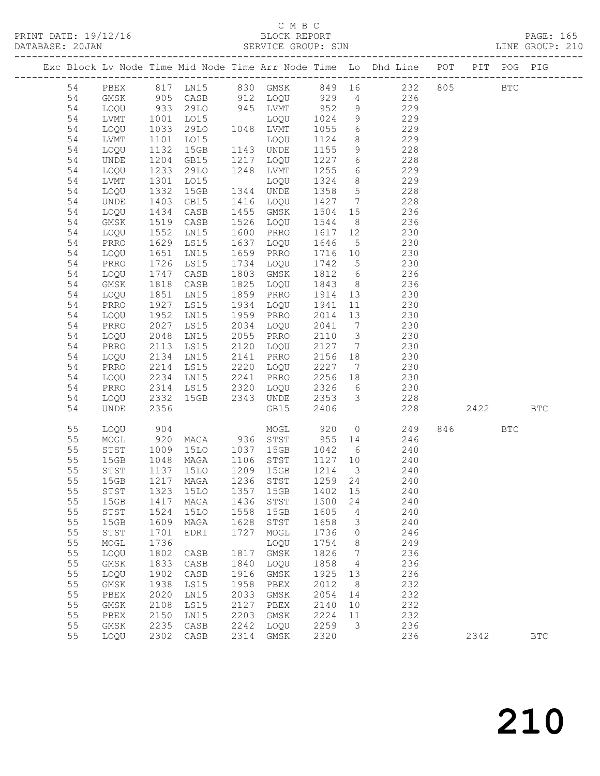### C M B C<br>BLOCK REPORT

| DATABASE: 20JAN |              |                      |           |                     |      |                                         |                   |                |                                                                                |         |      |            |
|-----------------|--------------|----------------------|-----------|---------------------|------|-----------------------------------------|-------------------|----------------|--------------------------------------------------------------------------------|---------|------|------------|
|                 |              |                      |           |                     |      |                                         |                   |                | Exc Block Lv Node Time Mid Node Time Arr Node Time Lo Dhd Line POT PIT POG PIG |         |      |            |
|                 |              |                      |           |                     |      |                                         |                   |                | 54 PBEX 817 LN15 830 GMSK 849 16 232 805 BTC                                   |         |      |            |
| 54              | GMSK         |                      |           |                     |      |                                         |                   |                | 905 CASB 912 LOQU 929 4 236                                                    |         |      |            |
| 54              | LOQU         | 933<br>1001<br>1033  |           |                     |      | 29LO 945 LVMT 952 9<br>LO15 LOQU 1024 9 |                   |                | 229<br>229                                                                     |         |      |            |
| 54              | LVMT         |                      |           |                     |      | LO15 LOQU<br>29LO 1048 LVMT             |                   |                |                                                                                |         |      |            |
| 54              | LOQU         |                      |           |                     |      |                                         |                   |                | $1055$ 6 229                                                                   |         |      |            |
| 54              | LVMT         | 1101                 |           | LO15                |      | LOQU                                    |                   |                | 1124 8 229                                                                     |         |      |            |
| 54              | LOQU         | 1132                 |           | 15GB                |      | 1143 UNDE                               | 1155              |                | 9 228                                                                          |         |      |            |
| 54              | UNDE         | 1204                 |           | GB15                |      | 1217 LOQU                               | 1227 6<br>1255 6  |                | 228                                                                            |         |      |            |
| 54              | LOQU         | $\frac{1}{2}$        |           | 29LO                |      | 1248 LVMT                               |                   |                | 229                                                                            |         |      |            |
| 54              | LVMT         | 1301                 |           | LO15                |      | LOQU                                    |                   |                | 1324 8 229                                                                     |         |      |            |
| 54              | LOQU         | 1332                 |           | 15GB                |      | 1344 UNDE                               |                   |                | 1358 5<br>228                                                                  |         |      |            |
| 54              | UNDE         | 1403<br>1434         |           | GB15                |      | 1416 LOQU                               | 1427 7            |                | 228                                                                            |         |      |            |
| 54              | LOQU         |                      |           | CASB                |      | 1455 GMSK                               | $1504$ $15$       |                | 236                                                                            |         |      |            |
| 54              | GMSK         | 1519                 |           | CASB                |      | 1526 LOQU                               |                   |                | 1544 8 236                                                                     |         |      |            |
| 54              | LOQU         | 1552                 |           | LNI5                |      | 1600 PRRO                               |                   |                | 1617 12<br>230                                                                 |         |      |            |
| 54              | PRRO         | 1629                 |           | LS15                |      | 1637 LOQU                               |                   |                | 1646 5 230<br>1716 10 230                                                      |         |      |            |
| 54              | LOQU         | 1651                 |           | LN15                |      | 1659 PRRO                               |                   |                |                                                                                |         |      |            |
| 54              | PRRO         | 1726                 |           | LS15                |      | 1734 LOQU                               |                   |                | $1742$ 5 230                                                                   |         |      |            |
| 54              | LOQU         | 1747                 |           | CASB                | 1803 | GMSK                                    |                   |                | 1812 6 236                                                                     |         |      |            |
| 54              | GMSK         | 1818<br>1851         |           | CASB                |      | 1825 LOQU                               | 1843 8<br>1914 13 |                | 236                                                                            |         |      |            |
| 54              | LOQU         |                      |           | LN15                |      | 1859 PRRO                               |                   |                | 230<br>1941 11 230                                                             |         |      |            |
| 54              | PRRO         | 1927                 |           | LS15                |      | 1934 LOQU                               |                   |                |                                                                                |         |      |            |
| 54              | LOQU         | 1952                 |           | LN15                |      | 1959 PRRO                               |                   |                | 2014 13 230<br>$2041 - 7$<br>$2041 - 7$<br>$3020$                              |         |      |            |
| 54              | PRRO         | 2027                 |           | LS15                |      | 2034 LOQU                               |                   |                |                                                                                |         |      |            |
| 54              | LOQU         | 2048                 |           | LN15<br>LS15        |      | 2055 PRRO                               |                   |                | 2127 7 230                                                                     |         |      |            |
| 54              | PRRO         | 2113                 |           |                     |      | 2120 LOQU                               |                   |                |                                                                                |         |      |            |
| 54              | LOQU         | 2134                 |           | LNI5                |      | 2141 PRRO                               |                   |                | 2156 18 230                                                                    |         |      |            |
| 54<br>54        | PRRO         | 2214<br>2234<br>2314 |           | <b>LS15</b><br>LN15 |      | 2220 LOQU<br>2241 PRRO                  | 2227              |                | 230<br>$7\overline{ }$<br>230                                                  |         |      |            |
| 54              | LOQU         |                      |           |                     |      | LS15 2320 LOQU                          |                   |                | $2326$ 6<br>2326 6<br>230                                                      |         |      |            |
| 54              | PRRO<br>LOQU | 2332                 |           |                     |      | 15GB  2343  UNDE                        |                   |                | 2353 3 228                                                                     |         |      |            |
| 54              | UNDE         | 2356                 |           |                     |      | GB15                                    | 2406              |                | 228                                                                            |         | 2422 | <b>BTC</b> |
| 55              | LOQU         | 904                  |           |                     |      | MOGL 920 0                              |                   |                | 249                                                                            | 846 BTC |      |            |
| 55              | MOGL         | 920                  |           |                     |      | MAGA 936 STST 955 14                    |                   |                | 246                                                                            |         |      |            |
| 55              | STST         |                      |           |                     |      | 15LO 1037 15GB                          |                   |                | 1042 6<br>240                                                                  |         |      |            |
| 55              | 15GB         | 1009<br>1048<br>1137 |           |                     |      |                                         |                   |                |                                                                                |         |      |            |
| 55              | STST         |                      |           | 15LO                |      | MAGA 1106 STST<br>15LO 1209 15GB        |                   |                | 1127 10 240<br>1214 3 240                                                      |         |      |            |
| 55              |              |                      |           |                     |      | 15GB  1217  MAGA  1236  STST  1259  24  |                   |                | 240                                                                            |         |      |            |
| 55              | STST         | 1323                 |           | 15LO                | 1357 | 15GB                                    | 1402              | 15             | 240                                                                            |         |      |            |
| 55              | 15GB         | 1417                 |           | MAGA                | 1436 | STST                                    | 1500              | 24             | 240                                                                            |         |      |            |
| 55              | STST         | 1524                 |           | 15LO                | 1558 | 15GB                                    | 1605              | $\overline{4}$ | 240                                                                            |         |      |            |
| 55              | 15GB         | 1609                 |           | MAGA                | 1628 | STST                                    | 1658              | 3              | 240                                                                            |         |      |            |
| 55              | STST         | 1701                 |           | EDRI                | 1727 | MOGL                                    | 1736              | $\circ$        | 246                                                                            |         |      |            |
| 55              | MOGL         | 1736                 |           |                     |      | LOQU                                    | 1754              | 8              | 249                                                                            |         |      |            |
| 55              | LOQU         | 1802                 |           | CASB                | 1817 | GMSK                                    | 1826              | $\overline{7}$ | 236                                                                            |         |      |            |
| 55              | GMSK         | 1833                 |           | CASB                | 1840 | LOQU                                    | 1858              | $\overline{4}$ | 236                                                                            |         |      |            |
| 55              | LOQU         |                      | 1902 CASB |                     | 1916 | GMSK                                    | 1925 13           |                | 236                                                                            |         |      |            |

 55 GMSK 1938 LS15 1958 PBEX 2012 8 232 55 PBEX 2020 LN15 2033 GMSK 2054 14 232 55 GMSK 2108 LS15 2127 PBEX 2140 10 232 55 PBEX 2150 LN15 2203 GMSK 2224 11 232 55 GMSK 2235 CASB 2242 LOQU 2259 3 236

55 LOQU 2302 CASB 2314 GMSK 2320 236 2342 BTC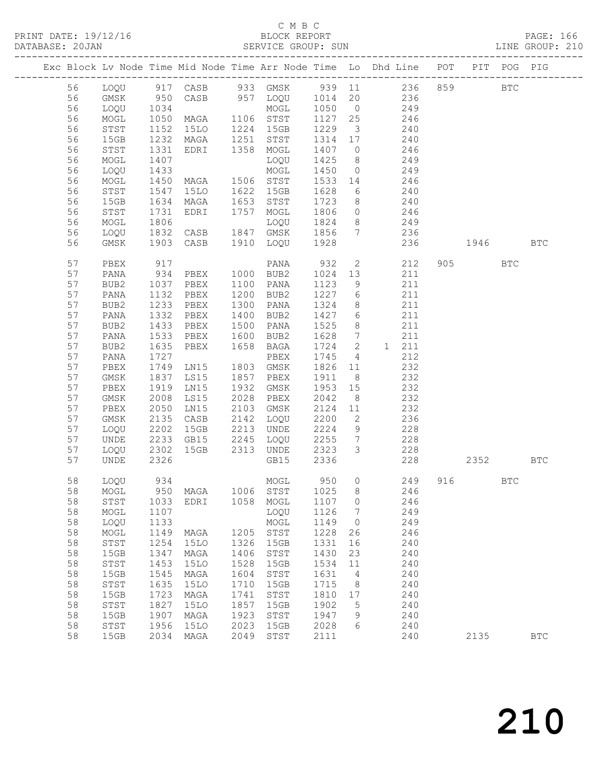### C M B C<br>BLOCK REPORT

| DATABASE: 20JAN |              |              |                        |      |                            |              |                          |                                                                                |         |              | LINE GROUP: 210 |
|-----------------|--------------|--------------|------------------------|------|----------------------------|--------------|--------------------------|--------------------------------------------------------------------------------|---------|--------------|-----------------|
|                 |              |              |                        |      |                            |              |                          | Exc Block Lv Node Time Mid Node Time Arr Node Time Lo Dhd Line POT PIT POG PIG |         |              |                 |
| 56              |              |              |                        |      |                            |              |                          | LOQU 917 CASB 933 GMSK 939 11 236 859                                          |         | $_{\rm BTC}$ |                 |
| 56              | GMSK         |              |                        |      |                            |              |                          | 236                                                                            |         |              |                 |
| 56              | LOQU         |              |                        |      |                            |              |                          | 249                                                                            |         |              |                 |
| 56              | MOGL         | 1050         | MOGL<br>MAGA 1106 STST |      |                            | 1127 25      |                          | 246                                                                            |         |              |                 |
| 56              | STST         | 1152         | 15LO                   |      | 1224 15GB                  | 1229         | $\overline{\mathbf{3}}$  | 240                                                                            |         |              |                 |
| 56              | 15GB         | 1232<br>1331 | MAGA                   |      | 1251 STST                  | 1314 17      |                          | 240                                                                            |         |              |                 |
| 56              | STST         |              | EDRI                   |      | 1358 MOGL                  | 1407         | $\overline{0}$           | 246                                                                            |         |              |                 |
| 56              | MOGL         | 1407         |                        |      | LOQU                       | 1425         | 8 <sup>1</sup>           | 249                                                                            |         |              |                 |
| 56              | LOQU         | 1433         |                        |      | MOGL                       | 1450         | $\overline{0}$           | 249                                                                            |         |              |                 |
| 56              | MOGL         | 1450<br>1547 | MAGA 1506 STST         |      |                            | 1533 14      |                          | 246                                                                            |         |              |                 |
| 56              | STST         |              | 15LO                   |      | 1622 15GB                  | 1628         | $6\overline{6}$          | 240                                                                            |         |              |                 |
| 56              | 15GB         | 1634         | MAGA                   |      | 1653 STST                  | 1723         | 8 <sup>8</sup>           | 240                                                                            |         |              |                 |
| 56              | STST         | 1731         | EDRI                   |      | 1757 MOGL                  | 1806         |                          | $0 \t 246$                                                                     |         |              |                 |
| 56              | MOGL         | 1806<br>1832 |                        |      | LOQU                       | 1824         | 8 <sup>8</sup>           | 249                                                                            |         |              |                 |
| 56              | LOQU         |              | CASB                   |      | 1847 GMSK                  | 1856         | $\overline{7}$           | 236                                                                            |         |              |                 |
| 56              | GMSK         | 1903         | CASB                   |      | 1910 LOQU                  | 1928         |                          | 236                                                                            | 1946    |              | <b>BTC</b>      |
| 57              | PBEX         | 917<br>934   |                        |      | PANA                       | 932          | $\overline{2}$           | 212                                                                            | 905 700 | <b>BTC</b>   |                 |
| 57              | PANA         |              | PBEX                   |      | 1000 BUB2                  | 1024 13      |                          | 211                                                                            |         |              |                 |
| 57              | BUB2         | 1037         | PBEX                   |      | 1100 PANA                  | 1123         | 9                        | 211                                                                            |         |              |                 |
| 57              | PANA         | 1132         | PBEX                   |      | 1200 BUB2                  | 1227         | $6\overline{6}$          | 211                                                                            |         |              |                 |
| 57              | BUB2         | 1233         | PBEX                   |      | 1300 PANA                  | 1324         | 8                        | 211                                                                            |         |              |                 |
| 57              | PANA         | 1332         | PBEX                   |      | 1400 BUB2                  | 1427         | 6                        | 211                                                                            |         |              |                 |
| 57              | BUB2         | 1433         | PBEX                   |      | 1500 PANA                  | 1525         | 8 <sup>8</sup>           | 211                                                                            |         |              |                 |
| 57              | PANA         | 1533         | PBEX                   |      | 1600 BUB2                  | 1628         | $7\overline{)}$          | 211                                                                            |         |              |                 |
| 57              | BUB2         | 1635         | PBEX                   | 1658 | BAGA                       | 1724         | $\overline{\phantom{a}}$ | 1 211                                                                          |         |              |                 |
| 57              | PANA         | 1727         |                        |      | PBEX                       | 1745         | $\overline{4}$           | 212                                                                            |         |              |                 |
| 57              | PBEX         | 1749         | LNI5                   |      | 1803 GMSK                  | 1826 11      |                          | 232                                                                            |         |              |                 |
| 57              | GMSK         | 1837         | LS15                   |      | 1857 PBEX                  | 1911         | 8 <sup>8</sup>           | 232                                                                            |         |              |                 |
| 57              | PBEX         | 1919         | LN15                   | 1932 | GMSK                       | 1953         | 15                       | 232                                                                            |         |              |                 |
| 57              | GMSK         | 2008         | LS15                   |      | 2028 PBEX                  | 2042         | 8 <sup>8</sup>           | 232                                                                            |         |              |                 |
| 57<br>57        | PBEX         | 2050<br>2135 | LN15                   |      | 2103 GMSK<br>2142 LOQU     | 2124<br>2200 | 11<br>$\overline{2}$     | 232<br>236                                                                     |         |              |                 |
| 57              | GMSK         | 2202         | CASB<br>15GB           |      | 2213 UNDE                  | 2224         | 9                        |                                                                                |         |              |                 |
| 57              | LOQU<br>UNDE |              | GB15                   |      | 2245 LOQU                  | 2255         | $7\overline{ }$          | 228                                                                            |         |              |                 |
| 57              | LOQU         | 2233<br>2302 | 15GB                   |      | 2313 UNDE                  | 2323 3       |                          | 228<br>228                                                                     |         |              |                 |
| 57              | UNDE         | 2326         |                        |      | GB15                       | 2336         |                          | 228                                                                            | 2352    |              | <b>BTC</b>      |
| 58              | LOQU         | 934          |                        |      |                            |              |                          | MOGL 950 0 249 916                                                             |         | $_{\rm BTC}$ |                 |
| 58              | MOGL         | 950          | MAGA                   | 1006 | STST                       | 1025         | 8                        | 246                                                                            |         |              |                 |
| 58              | STST         | 1033         | EDRI                   | 1058 | MOGL                       | 1107         | 0                        | 246                                                                            |         |              |                 |
| 58              | MOGL         | 1107         |                        |      | LOQU                       | 1126         | 7                        | 249                                                                            |         |              |                 |
| 58              | LOQU         | 1133         |                        |      | MOGL                       | 1149         | 0                        | 249                                                                            |         |              |                 |
| 58              | MOGL         | 1149         | MAGA                   | 1205 | STST                       | 1228         | 26                       | 246                                                                            |         |              |                 |
| 58              | ${\tt STST}$ | 1254         | <b>15LO</b>            | 1326 | 15GB                       | 1331         | 16                       | 240                                                                            |         |              |                 |
| 58              | 15GB         | 1347         | MAGA                   | 1406 | STST                       | 1430         | 23                       | 240                                                                            |         |              |                 |
| 58              | STST         | 1453         | 15LO                   | 1528 | 15GB                       | 1534         | 11                       | 240                                                                            |         |              |                 |
| 58              | 15GB         | 1545         | MAGA                   | 1604 | $_{\footnotesize\rm STST}$ | 1631         | 4                        | 240                                                                            |         |              |                 |
|                 |              |              |                        |      |                            |              |                          |                                                                                |         |              |                 |

 58 STST 1635 15LO 1710 15GB 1715 8 240 58 15GB 1723 MAGA 1741 STST 1810 17 240 58 STST 1827 15LO 1857 15GB 1902 5 240 58 15GB 1907 MAGA 1923 STST 1947 9 240 58 STST 1956 15LO 2023 15GB 2028 6 240

58 15GB 2034 MAGA 2049 STST 2111 240 2135 BTC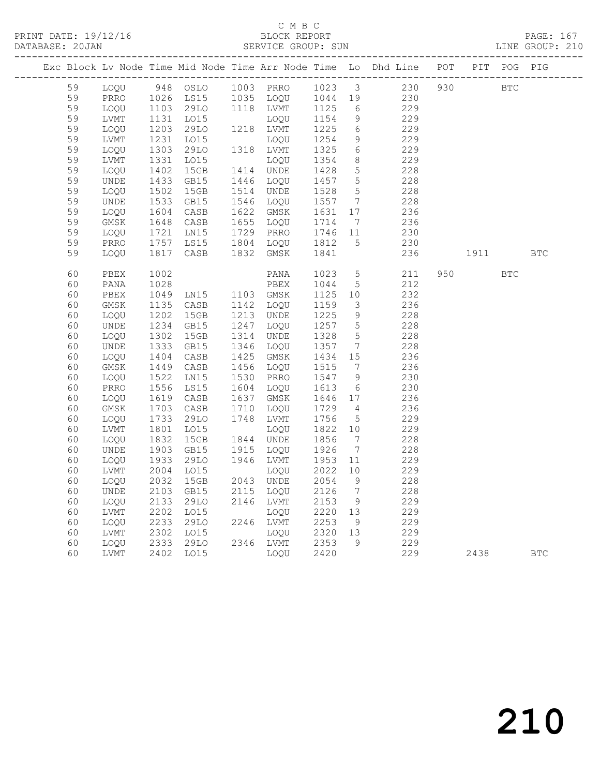|  |    |      |                  |                                                                            |      |                             |              |                              | Exc Block Lv Node Time Mid Node Time Arr Node Time Lo Dhd Line POT PIT POG PIG |            |            |  |
|--|----|------|------------------|----------------------------------------------------------------------------|------|-----------------------------|--------------|------------------------------|--------------------------------------------------------------------------------|------------|------------|--|
|  | 59 | LOQU |                  |                                                                            |      |                             |              |                              | 948 OSLO 1003 PRRO 1023 3 230 930                                              | <b>BTC</b> |            |  |
|  | 59 | PRRO |                  |                                                                            |      | 1026 LS15 1035 LOQU 1044 19 |              |                              | 230                                                                            |            |            |  |
|  | 59 | LOQU |                  |                                                                            |      | $1118$ LVMT                 | 1125         | 6                            | 229                                                                            |            |            |  |
|  | 59 | LVMT |                  |                                                                            |      | LOQU                        | 1154         | 9                            | 229                                                                            |            |            |  |
|  | 59 | LOQU |                  |                                                                            |      | 1218 LVMT                   | 1225         | $6\overline{6}$              | 229                                                                            |            |            |  |
|  | 59 | LVMT |                  |                                                                            |      | LOQU                        | 1254         | 9                            | 229                                                                            |            |            |  |
|  | 59 | LOOU |                  | 1026 LS15<br>1103 29LO<br>1131 LO15<br>1203 29LO<br>1231 LO15<br>1303 29LO |      | 1318 LVMT                   | 1325         | 6                            | 229                                                                            |            |            |  |
|  | 59 | LVMT |                  | L015                                                                       |      | LOOU                        | 1354         | 8 <sup>8</sup>               | 229                                                                            |            |            |  |
|  | 59 | LOOU | 1331<br>1402     | 15GB                                                                       |      | 1414 UNDE                   | 1428         | $5^{\circ}$                  | 228                                                                            |            |            |  |
|  | 59 | UNDE | 1433<br>1502     | GB15                                                                       |      | 1446 LOQU                   | 1457         | $5^{\circ}$                  | 228                                                                            |            |            |  |
|  | 59 | LOQU |                  | 15GB                                                                       |      | 1514 UNDE                   | 1528         | 5                            | 228                                                                            |            |            |  |
|  | 59 | UNDE | 1533<br>1604     | GB15                                                                       |      | 1546 LOQU                   | 1557         | $\overline{7}$               | 228                                                                            |            |            |  |
|  | 59 | LOQU |                  | CASB                                                                       |      | 1622 GMSK                   | 1631         | 17                           | 236                                                                            |            |            |  |
|  | 59 | GMSK | 1648<br>1721     | CASB                                                                       |      | 1655 LOQU                   | 1714         | $\overline{7}$               | 236                                                                            |            |            |  |
|  | 59 | LOQU |                  | LN15                                                                       |      | 1729 PRRO                   | 1746 11      |                              | 230                                                                            |            |            |  |
|  | 59 | PRRO | 1757<br>1817     | LS15                                                                       |      | 1804 LOQU                   | 1812         | $5^{\circ}$                  | 230                                                                            |            |            |  |
|  | 59 | LOQU |                  | CASB                                                                       |      | 1832 GMSK                   | 1841         |                              | 236                                                                            | 1911 BTC   |            |  |
|  | 60 | PBEX | 1002             |                                                                            |      | PANA                        | 1023         | 5 <sup>5</sup>               | 211                                                                            | 950 000    | <b>BTC</b> |  |
|  | 60 | PANA | 1028             |                                                                            |      |                             | 1044         | 5 <sup>5</sup>               | 212                                                                            |            |            |  |
|  | 60 | PBEX | 1049             | PBEX<br>LN15 1103 GMSK                                                     |      |                             | 1125         | 10                           | 232                                                                            |            |            |  |
|  | 60 | GMSK |                  | CASB                                                                       |      | 1142 LOQU                   | 1159         | $\overline{\mathbf{3}}$      | 236                                                                            |            |            |  |
|  | 60 | LOQU | $1130$<br>$1202$ | 15GB                                                                       |      | 1213 UNDE                   | 1225         | 9                            | 228                                                                            |            |            |  |
|  | 60 | UNDE |                  | GB15                                                                       |      | 1247 LOQU                   | 1257         | $5\overline{)}$              | 228                                                                            |            |            |  |
|  | 60 | LOQU | 1234<br>1302     | 15GB                                                                       | 1314 | UNDE                        | 1328         | $5\overline{)}$              | 228                                                                            |            |            |  |
|  | 60 | UNDE | 1333<br>1404     | GB15                                                                       |      | 1346 LOQU                   | 1357         | $7\phantom{.0}\phantom{.0}7$ | 228                                                                            |            |            |  |
|  | 60 | LOQU |                  | CASB                                                                       |      | 1425 GMSK                   | 1434 15      |                              | 236                                                                            |            |            |  |
|  | 60 | GMSK | 1449<br>1522     | CASB                                                                       |      | 1456 LOQU                   | 1515         | $\overline{7}$               | 236                                                                            |            |            |  |
|  | 60 | LOQU |                  | LN15                                                                       |      | 1530 PRRO                   | 1547 9       |                              | 230                                                                            |            |            |  |
|  | 60 | PRRO |                  | LS15                                                                       |      | 1604 LOQU                   | 1613         | 6                            | 230                                                                            |            |            |  |
|  | 60 | LOQU | 1556<br>1619     | CASB                                                                       |      | 1637 GMSK                   | 1646 17      |                              | 236                                                                            |            |            |  |
|  | 60 | GMSK | 1703             | CASB                                                                       | 1710 | LOQU                        | 1729         | $\overline{4}$               | 236                                                                            |            |            |  |
|  | 60 | LOQU | 1733             | 29LO                                                                       |      | 1748 LVMT                   | 1756         | $5\overline{)}$              | 229                                                                            |            |            |  |
|  | 60 | LVMT | 1801             | LO15                                                                       |      | LOQU                        | 1822 10      |                              | 229                                                                            |            |            |  |
|  | 60 | LOQU | 1832             | 15GB                                                                       |      | 1844 UNDE                   | 1856         | $7\phantom{.0}\phantom{.0}7$ | 228                                                                            |            |            |  |
|  | 60 | UNDE | 1903             | GB15                                                                       |      | 1915 LOQU                   | 1926         | $\overline{7}$               | 228                                                                            |            |            |  |
|  | 60 | LOQU | 1933             | 29LO                                                                       |      | 1946 LVMT                   | 1953         | 11                           | 229                                                                            |            |            |  |
|  | 60 | LVMT | 2004             | LO15                                                                       |      | LOOU                        | 2022         | 10                           | 229                                                                            |            |            |  |
|  | 60 | LOQU | 2032             | 15GB                                                                       |      | 2043 UNDE                   | 2054         | 9                            | 228                                                                            |            |            |  |
|  | 60 | UNDE | 2103             | GB15                                                                       |      | 2115 LOOU                   | 2126         | $\overline{7}$               | 228                                                                            |            |            |  |
|  | 60 | LOQU | 2133             | 29LO                                                                       |      | 2146 LVMT                   | 2153         | 9                            | 229                                                                            |            |            |  |
|  | 60 | LVMT | 2202             | L015                                                                       |      | LOQU                        | 2220         | 13                           | 229                                                                            |            |            |  |
|  | 60 | LOQU | 2233<br>2302     | 29LO                                                                       |      | 2246 LVMT                   | 2253         | 9                            | 229                                                                            |            |            |  |
|  | 60 | LVMT |                  | LO15                                                                       |      | LOQU                        | 2320 13      |                              | 229                                                                            |            |            |  |
|  | 60 | LOQU |                  | 2333 29LO<br>2402 LO15                                                     |      | 2346 LVMT                   | 2353<br>2420 | 9                            | 229                                                                            |            |            |  |
|  | 60 | LVMT |                  |                                                                            |      | LOQU                        | 2420         |                              | 229                                                                            | 2438 BTC   |            |  |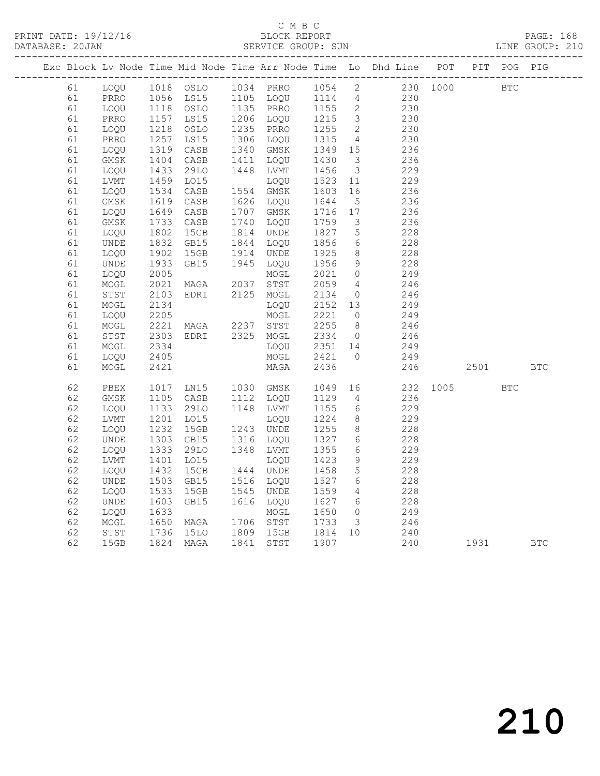PRINT DATE: 19/12/16 BLOCK REPORT PAGE: 168 SERVICE GROUP: SUN

|    |              |                                                             |                                                                                                                 |           |                   |                         | Exc Block Lv Node Time Mid Node Time Arr Node Time Lo Dhd Line POT PIT POG PIG |      |            |            |            |
|----|--------------|-------------------------------------------------------------|-----------------------------------------------------------------------------------------------------------------|-----------|-------------------|-------------------------|--------------------------------------------------------------------------------|------|------------|------------|------------|
| 61 | LOQU         |                                                             |                                                                                                                 |           |                   |                         | 230 1000                                                                       |      | <b>BTC</b> |            |            |
| 61 | PRRO         |                                                             |                                                                                                                 |           |                   |                         | 230                                                                            |      |            |            |            |
| 61 | LOQU         |                                                             | 1118 OSLO 1135 PRRO<br>1157 LS15 1206 LOQU<br>1218 OSLO 1235 PRRO<br>1257 LS15 1306 LOQU<br>1319 CASB 1340 GMSK |           | 1155 2            |                         | 230                                                                            |      |            |            |            |
| 61 | PRRO         |                                                             |                                                                                                                 |           | 1215 3<br>1255 2  |                         | 230                                                                            |      |            |            |            |
| 61 | LOQU         |                                                             |                                                                                                                 |           |                   |                         | 230                                                                            |      |            |            |            |
| 61 | PRRO         |                                                             |                                                                                                                 |           | 1315 4<br>1349 15 | $\overline{4}$          | 230                                                                            |      |            |            |            |
| 61 | LOQU         |                                                             |                                                                                                                 |           |                   |                         | 236                                                                            |      |            |            |            |
| 61 | GMSK         | 1404<br>1433                                                | CASB                                                                                                            | 1411 LOQU | 1430              | $\overline{\mathbf{3}}$ | 236                                                                            |      |            |            |            |
| 61 | LOQU         |                                                             | 29LO                                                                                                            | 1448 LVMT | 1456              | $\overline{\mathbf{3}}$ | 229                                                                            |      |            |            |            |
| 61 | LVMT         |                                                             | LO15                                                                                                            | LOQU      | 1523              | 11                      | 229                                                                            |      |            |            |            |
| 61 | LOQU         | $\begin{array}{c} 1459 \\ 1459 \\ 1534 \\ 1619 \end{array}$ | CASB                                                                                                            | 1554 GMSK | 1603 16           |                         | 236                                                                            |      |            |            |            |
| 61 | GMSK         |                                                             | CASB                                                                                                            | 1626 LOQU | 1644              | $5\overline{)}$         | 236                                                                            |      |            |            |            |
| 61 | LOQU         | 1649<br>1733                                                | CASB                                                                                                            | 1707 GMSK |                   |                         | 236                                                                            |      |            |            |            |
| 61 | GMSK         |                                                             | CASB                                                                                                            | 1740 LOQU | 1716 17<br>1759 3 |                         | 236                                                                            |      |            |            |            |
| 61 | LOQU         |                                                             | 15GB                                                                                                            | 1814 UNDE |                   | $5\overline{)}$         | 228                                                                            |      |            |            |            |
| 61 | UNDE         | 1802<br>1832                                                | GB15                                                                                                            | 1844 LOQU | 1827<br>1856      | $6\overline{6}$         | 228                                                                            |      |            |            |            |
| 61 | LOQU         |                                                             | 15GB                                                                                                            | 1914 UNDE | 1925              | 8 <sup>8</sup>          | 228                                                                            |      |            |            |            |
| 61 | UNDE         | 1902<br>1933                                                | GB15                                                                                                            | 1945 LOQU | 1956              | 9                       | 228                                                                            |      |            |            |            |
| 61 | LOQU         | $2005$<br>$2021$                                            |                                                                                                                 | MOGL      | 2021              | $\overline{0}$          | 249                                                                            |      |            |            |            |
| 61 | MOGL         | 2021                                                        | MAGA 2037 STST                                                                                                  |           | 2059              | $\overline{4}$          | 246                                                                            |      |            |            |            |
| 61 | STST         | 2103                                                        | EDRI                                                                                                            | 2125 MOGL | 2134              | $\overline{0}$          | 246                                                                            |      |            |            |            |
| 61 | $\sf{MOGL}$  |                                                             |                                                                                                                 | LOQU      | 2152 13           |                         | 249                                                                            |      |            |            |            |
| 61 | LOQU         | 2134<br>2205                                                |                                                                                                                 | MOGL      | 2221 0            |                         | 249                                                                            |      |            |            |            |
| 61 | MOGL         |                                                             |                                                                                                                 |           | 2255              |                         | 246                                                                            |      |            |            |            |
| 61 | ${\tt STST}$ | 2221<br>2303                                                | MAGA 2237 STST<br>EDRI 2325 MOGL                                                                                |           | 2255 8<br>2334 0  |                         | 246                                                                            |      |            |            |            |
| 61 | MOGL         | 2334                                                        |                                                                                                                 | LOQU      | 2351 14           |                         | 249                                                                            |      |            |            |            |
| 61 | LOQU         | 2405                                                        |                                                                                                                 | MOGL      | 2421              | $\overline{0}$          | 249                                                                            |      |            |            |            |
| 61 | MOGL         | 2421                                                        |                                                                                                                 | MAGA      | 2436              |                         | 246                                                                            |      | 2501       |            | <b>BTC</b> |
| 62 | PBEX         | 1017                                                        | LN15 1030 GMSK                                                                                                  |           | 1049              | 16                      | 232                                                                            | 1005 |            | <b>BTC</b> |            |
| 62 | GMSK         |                                                             |                                                                                                                 | 1112 LOQU | 1129              | $\overline{4}$          | 236                                                                            |      |            |            |            |
| 62 | LOQU         | 1105<br>1133                                                | 1105 CASB 1112 LOQU<br>1133 29LO 1148 LVMT                                                                      |           | 1155              | $6\overline{6}$         | 229                                                                            |      |            |            |            |
| 62 | LVMT         |                                                             | LO15                                                                                                            | LOQU      | 1224              | 8 <sup>8</sup>          | 229                                                                            |      |            |            |            |
| 62 | LOQU         | 1201<br>1232                                                | 15GB                                                                                                            | 1243 UNDE | 1255              | 8 <sup>8</sup>          | 228                                                                            |      |            |            |            |
| 62 | UNDE         | 1303                                                        | GB15                                                                                                            | 1316 LOQU | 1327              | $6\overline{6}$         | 228                                                                            |      |            |            |            |
| 62 | LOQU         |                                                             | 29LO                                                                                                            | 1348 LVMT | 1355              | 6                       | 229                                                                            |      |            |            |            |
| 62 | LVMT         | 1333<br>1401                                                | LO15                                                                                                            | LOOU      | 1423              | 9                       | 229                                                                            |      |            |            |            |
| 62 | LOQU         |                                                             | 15GB                                                                                                            | 1444 UNDE | 1458              | $5\overline{)}$         | 228                                                                            |      |            |            |            |
| 62 | UNDE         | 1432<br>1503                                                | GB15                                                                                                            | 1516 LOQU | 1527              | $6\overline{6}$         | 228                                                                            |      |            |            |            |
| 62 | LOQU         |                                                             | 15GB                                                                                                            | 1545 UNDE | 1559              | $\overline{4}$          | 228                                                                            |      |            |            |            |
| 62 | UNDE         | 1533<br>1603                                                | GB15                                                                                                            | 1616 LOQU | 1627 6            |                         | 228                                                                            |      |            |            |            |
| 62 | LOQU         |                                                             |                                                                                                                 | MOGL      | 1650              | $\overline{0}$          | 249                                                                            |      |            |            |            |
| 62 | MOGL         |                                                             | MAGA                                                                                                            | 1706 STST | 1733              | $\overline{\mathbf{3}}$ | 246                                                                            |      |            |            |            |
| 62 | STST         | $\begin{array}{r} 1633 \\ 1650 \\ 1736 \end{array}$         | 15LO                                                                                                            | 1809 15GB | 1814 10           |                         | 240                                                                            |      |            |            |            |
| 62 | 15GB         | 1824                                                        | MAGA                                                                                                            | 1841 STST | 1907              |                         | 240                                                                            |      | 1931       |            | <b>BTC</b> |
|    |              |                                                             |                                                                                                                 |           |                   |                         |                                                                                |      |            |            |            |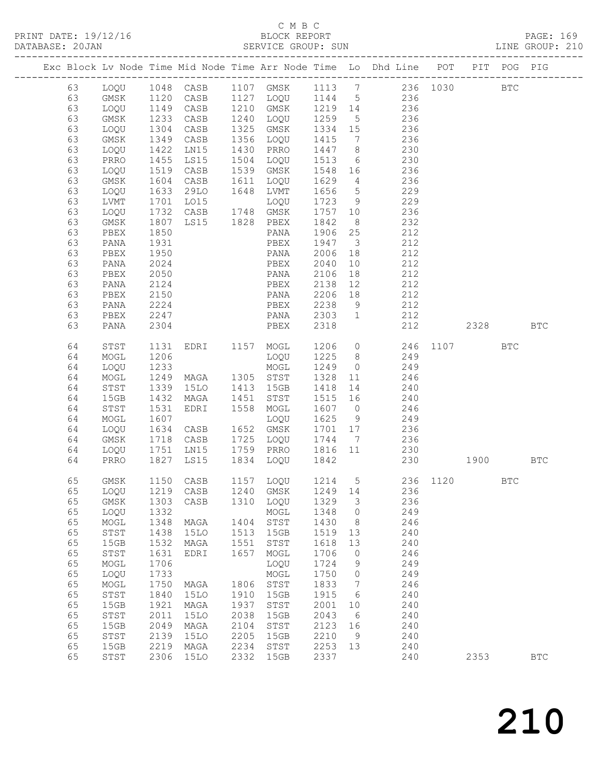|    |                      |      |                                                                    |      |                            |                             |                         |                                                                                        |      |      |            | PAGE: 169<br>LINE GROUP: 210 |
|----|----------------------|------|--------------------------------------------------------------------|------|----------------------------|-----------------------------|-------------------------|----------------------------------------------------------------------------------------|------|------|------------|------------------------------|
|    |                      |      |                                                                    |      |                            |                             |                         | Exc Block Lv Node Time Mid Node Time Arr Node Time Lo Dhd Line POT PIT POG PIG         |      |      |            |                              |
|    |                      |      |                                                                    |      |                            |                             |                         | 63 LOQU 1048 CASB 1107 GMSK 1113 7 236 1030 BTC                                        |      |      |            |                              |
|    |                      |      |                                                                    |      |                            |                             |                         | 63 GMSK 1120 CASB 1127 LOQU 1144 5 236                                                 |      |      |            |                              |
| 63 |                      |      |                                                                    |      |                            |                             |                         | LOQU 1149 CASB 1210 GMSK 1219 14 236                                                   |      |      |            |                              |
| 63 | GMSK 1233 CASB       |      |                                                                    |      | 1240 LOQU                  | 1259<br>1334                |                         | $\begin{array}{ccc} & 5 & & 236 \\ 15 & & 236 \end{array}$                             |      |      |            |                              |
| 63 | LOQU 1304 CASB       |      |                                                                    |      | 1325 GMSK                  |                             |                         |                                                                                        |      |      |            |                              |
| 63 | GMSK                 |      | 1349 CASB                                                          |      | 1356 LOQU                  | 1415                        |                         | $\frac{1}{7}$ 236                                                                      |      |      |            |                              |
| 63 | LOQU                 |      | 1422 LN15                                                          |      | 1430 PRRO                  | 1447                        | 8 <sup>8</sup>          | 230                                                                                    |      |      |            |                              |
| 63 | PRRO                 | 1455 | LS15                                                               |      | 1504 LOQU                  | 1513                        |                         | 6 230                                                                                  |      |      |            |                              |
| 63 | LOQU                 |      | 1519 CASB                                                          |      | 1539 GMSK                  |                             |                         |                                                                                        |      |      |            |                              |
| 63 | GMSK                 |      | 1604 CASB                                                          |      | 1611 LOQU                  | 1548<br>1629                |                         | $16$ $236$<br>$4$ $236$                                                                |      |      |            |                              |
| 63 | LOQU 1633 29LO       |      |                                                                    |      | 1648 LVMT                  | 1656                        |                         | 5 229                                                                                  |      |      |            |                              |
| 63 | LVMT                 |      | 1701 LO15 LOQU<br>1732 CASB 1748 GMSK<br>1807 LS15 1828 PBEX       |      |                            | 1723<br>1757<br>1842        |                         | 9 229                                                                                  |      |      |            |                              |
| 63 | LVM1<br>LOQU<br>LVM1 |      |                                                                    |      |                            |                             |                         |                                                                                        |      |      |            |                              |
| 63 |                      |      |                                                                    |      |                            |                             |                         | $\begin{array}{ccc} 10 & \hspace{1.5cm} & 236 \\ 8 & \hspace{1.5cm} & 232 \end{array}$ |      |      |            |                              |
| 63 | PBEX                 | 1850 |                                                                    |      | PANA                       | 1906                        | 25                      | 212                                                                                    |      |      |            |                              |
| 63 | PANA                 | 1931 |                                                                    |      | PBEX                       | 1947                        | $\overline{\mathbf{3}}$ | 212                                                                                    |      |      |            |                              |
| 63 | PBEX                 |      |                                                                    |      |                            | 2006                        | 18                      |                                                                                        |      |      |            |                              |
| 63 | PANA                 |      |                                                                    |      |                            | 2040                        | 10                      | $\begin{array}{c} 212 \\ 212 \end{array}$                                              |      |      |            |                              |
| 63 | PBEX                 |      | 1950 PANA<br>2024 PBEX<br>2050 PANA                                |      |                            | 2106                        | 18                      | 212                                                                                    |      |      |            |                              |
| 63 | PANA                 | 2124 | <b>PBEX</b>                                                        |      |                            | 2138                        | 12                      | 212                                                                                    |      |      |            |                              |
| 63 | PBEX                 |      |                                                                    |      |                            |                             | 18                      |                                                                                        |      |      |            |                              |
| 63 | PANA                 | 2224 | $2150 \qquad \qquad \text{PANA} \\ 2224 \qquad \qquad \text{PBEX}$ |      |                            | 2206<br>2238                | 9                       | $\begin{array}{c} 212 \\ 212 \end{array}$                                              |      |      |            |                              |
| 63 | PBEX                 |      | 2247 PANA                                                          |      |                            | 2303                        | $\overline{1}$          | 212                                                                                    |      |      |            |                              |
| 63 | PANA                 | 2304 | <b>Example 21 PBEX</b>                                             |      |                            | 2318                        |                         | 212 2328                                                                               |      |      |            | <b>BTC</b>                   |
| 64 | STST                 |      |                                                                    |      |                            |                             |                         | 1131 EDRI 1157 MOGL 1206 0 246 1107                                                    |      |      | BTC        |                              |
| 64 | MOGL                 | 1206 |                                                                    |      | LOQU                       |                             |                         | 1225 8 249                                                                             |      |      |            |                              |
| 64 | LOQU                 | 1233 |                                                                    |      | MOGL                       | 1249                        |                         | $0 \qquad \qquad 249$                                                                  |      |      |            |                              |
| 64 | MOGL                 |      | 1249 MAGA 1305 STST                                                |      |                            |                             |                         | 11 246                                                                                 |      |      |            |                              |
| 64 | STST                 | 1339 | 15LO                                                               |      | 1413 15GB                  | 1328<br>1418                | 14                      | 240                                                                                    |      |      |            |                              |
| 64 | 15GB                 |      | 1432 MAGA                                                          |      | 1451 STST                  | 1515                        | 16                      | 240                                                                                    |      |      |            |                              |
| 64 | STST                 |      | 1531 EDRI                                                          |      | 1558 MOGL                  | 1607                        | $\overline{0}$          | 246                                                                                    |      |      |            |                              |
| 64 | MOGL                 | 1607 |                                                                    |      | LOQU                       | 1625 9<br>1701 17<br>1744 7 |                         | 9 249                                                                                  |      |      |            |                              |
| 64 | LOQU                 |      | 1634 CASB 1652 GMSK                                                |      |                            |                             |                         |                                                                                        |      |      |            |                              |
| 64 | GMSK                 |      | 1718 CASB                                                          |      | 1725 LOQU                  |                             |                         | $236$<br>$236$                                                                         |      |      |            |                              |
| 64 |                      |      | LOQU 1751 LN15 1759 PRRO                                           |      |                            | 1816 11                     |                         | 230                                                                                    |      |      |            |                              |
| 64 | PRRO 1827 LS15       |      |                                                                    |      | 1834 LOQU                  | 1842                        |                         | 230 1900 BTC                                                                           |      |      |            |                              |
| 65 | GMSK                 | 1150 | $\mathtt{CASB}$                                                    | 1157 | LOQU                       | 1214                        | 5                       | 236                                                                                    | 1120 |      | <b>BTC</b> |                              |
| 65 | LOQU                 | 1219 | $\mathtt{CASB}$                                                    | 1240 | GMSK                       | 1249                        | 14                      | 236                                                                                    |      |      |            |                              |
| 65 | $\rm{GMSK}$          | 1303 | $\mathtt{CASB}$                                                    | 1310 | LOQU                       | 1329                        | 3                       | 236                                                                                    |      |      |            |                              |
| 65 | LOQU                 | 1332 |                                                                    |      | MOGL                       | 1348                        | 0                       | 249                                                                                    |      |      |            |                              |
| 65 | MOGL                 | 1348 | MAGA                                                               | 1404 | $_{\footnotesize\rm STST}$ | 1430                        | 8                       | 246                                                                                    |      |      |            |                              |
| 65 | STST                 | 1438 | <b>15LO</b>                                                        | 1513 | 15GB                       | 1519                        | 13                      | 240                                                                                    |      |      |            |                              |
| 65 | 15GB                 | 1532 | MAGA                                                               | 1551 | $_{\footnotesize\rm STST}$ | 1618                        | 13                      | 240                                                                                    |      |      |            |                              |
| 65 | STST                 | 1631 | EDRI                                                               | 1657 | $\sf{MOGL}$                | 1706                        | 0                       | 246                                                                                    |      |      |            |                              |
| 65 | MOGL                 | 1706 |                                                                    |      | LOQU                       | 1724                        | 9                       | 249                                                                                    |      |      |            |                              |
| 65 | LOQU                 | 1733 |                                                                    |      | MOGL                       | 1750                        | 0                       | 249                                                                                    |      |      |            |                              |
| 65 | MOGL                 | 1750 | MAGA                                                               | 1806 | STST                       | 1833                        | 7                       | 246                                                                                    |      |      |            |                              |
| 65 | ${\tt STST}$         | 1840 | <b>15LO</b>                                                        | 1910 | 15GB                       | 1915                        | 6                       | 240                                                                                    |      |      |            |                              |
| 65 | 15GB                 | 1921 | MAGA                                                               | 1937 | STST                       | 2001                        | 10                      | 240                                                                                    |      |      |            |                              |
| 65 | ${\tt STST}$         | 2011 | <b>15LO</b>                                                        | 2038 | 15GB                       | 2043                        | 6                       | 240                                                                                    |      |      |            |                              |
| 65 | 15GB                 | 2049 | MAGA                                                               | 2104 | STST                       | 2123                        | 16                      | 240                                                                                    |      |      |            |                              |
| 65 | STST                 | 2139 | <b>15LO</b>                                                        | 2205 | 15GB                       | 2210                        | 9                       | 240                                                                                    |      |      |            |                              |
| 65 | 15GB                 | 2219 | $\tt MAGA$                                                         | 2234 | $_{\footnotesize\rm STST}$ | 2253                        | 13                      | 240                                                                                    |      |      |            |                              |
| 65 | STST                 | 2306 | <b>15LO</b>                                                        | 2332 | 15GB                       | 2337                        |                         | 240                                                                                    |      | 2353 |            | $_{\rm BTC}$                 |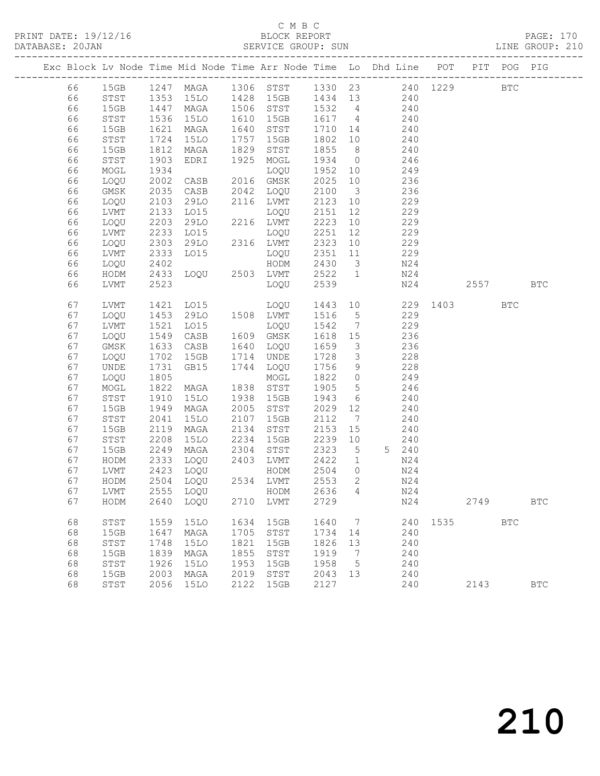PRINT DATE: 19/12/16 BLOCK REPORT BATABASE: 20JAN

# C M B C<br>BLOCK REPORT

PAGE: 170<br>LINE GROUP: 210

|  |          |      |              |                     |              |                      |              |                              | Exc Block Lv Node Time Mid Node Time Arr Node Time Lo Dhd Line POT PIT POG PIG |          |      |              |              |
|--|----------|------|--------------|---------------------|--------------|----------------------|--------------|------------------------------|--------------------------------------------------------------------------------|----------|------|--------------|--------------|
|  | 66       | 15GB |              |                     |              |                      |              |                              | 1247 MAGA 1306 STST 1330 23 240 1229                                           |          |      | $_{\rm BTC}$ |              |
|  | 66       | STST | 1353         | 15LO                |              | 1428 15GB            | 1434 13      |                              | 240                                                                            |          |      |              |              |
|  | 66       | 15GB |              | MAGA                |              | 1506 STST            | 1532 4       |                              | 240                                                                            |          |      |              |              |
|  | 66       | STST | 1447<br>1536 | <b>15LO</b>         | 1610         | 15GB                 | 1617 4       |                              | 240                                                                            |          |      |              |              |
|  | 66       | 15GB | 1621         | MAGA                | 1640         | STST                 | 1710 14      |                              | 240                                                                            |          |      |              |              |
|  | 66       | STST | 1724         | <b>15LO</b>         | 1757         | 15GB                 | 1802         | 10                           | 240                                                                            |          |      |              |              |
|  | 66       | 15GB | 1812         | MAGA                | 1829         | STST                 | 1855         | 8 <sup>8</sup>               | 240                                                                            |          |      |              |              |
|  | 66       | STST | 1903         | EDRI                | 1925         | MOGL                 | 1934         | $\overline{0}$               | 246                                                                            |          |      |              |              |
|  | 66       | MOGL | 1934         |                     |              | LOQU                 | 1952         | 10                           | 249                                                                            |          |      |              |              |
|  | 66       | LOQU | 2002         | CASB                |              | 2016 GMSK            | 2025         | 10                           | 236                                                                            |          |      |              |              |
|  | 66       | GMSK | 2035         | CASB                | 2042         | LOQU                 | 2100         | $\overline{\mathbf{3}}$      | 236                                                                            |          |      |              |              |
|  | 66       | LOQU | 2103         | 29LO                |              | 2116 LVMT            | 2123         | 10                           | 229                                                                            |          |      |              |              |
|  | 66       | LVMT | 2133         | LO15                |              | LOQU                 | 2151         | 12                           | 229                                                                            |          |      |              |              |
|  | 66       | LOQU | 2203         | 29LO                |              | 2216 LVMT            | 2223         | 10                           | 229                                                                            |          |      |              |              |
|  | 66       | LVMT | 2233         | LO15                |              | LOQU                 | 2251         | 12                           | 229                                                                            |          |      |              |              |
|  | 66       | LOQU | 2303         | 29LO                |              | 2316 LVMT            | 2323         | 10                           | 229                                                                            |          |      |              |              |
|  | 66       | LVMT | 2333         | LO15                |              | LOQU                 | 2351         | 11                           | 229                                                                            |          |      |              |              |
|  | 66       | LOQU | 2402         |                     |              | HODM                 | 2430         | $\overline{\mathbf{3}}$      | N24                                                                            |          |      |              |              |
|  | 66       | HODM | 2433         | LOQU 2503 LVMT      |              |                      | 2522         | $\overline{1}$               | N24                                                                            |          |      |              |              |
|  | 66       | LVMT | 2523         |                     |              | LOQU                 | 2539         |                              | N24                                                                            |          | 2557 |              | <b>BTC</b>   |
|  |          |      |              |                     |              |                      |              |                              |                                                                                |          |      |              |              |
|  | 67       | LVMT | 1421         | LO15                |              | LOQU                 | 1443 10      |                              |                                                                                | 229 1403 |      | <b>BTC</b>   |              |
|  | 67       | LOQU | 1453         | 29LO                |              | 1508 LVMT            | 1516         | $5\overline{)}$              | 229                                                                            |          |      |              |              |
|  | 67       | LVMT | 1521         | LO15                |              | LOQU                 | 1542         | $\overline{7}$               | 229                                                                            |          |      |              |              |
|  | 67       | LOQU | 1549         | CASB                |              | 1609 GMSK            | 1618         | 15                           | 236                                                                            |          |      |              |              |
|  | 67       | GMSK | 1633         | CASB                | 1640         | LOQU                 | 1659         | $\overline{\mathbf{3}}$      | 236                                                                            |          |      |              |              |
|  | 67       | LOQU | 1702         | 15GB                | 1714         | UNDE                 | 1728         | $\overline{\mathbf{3}}$      | 228                                                                            |          |      |              |              |
|  | 67       | UNDE | 1731         | GB15                | 1744         | LOQU                 | 1756         | 9                            | 228                                                                            |          |      |              |              |
|  | 67       | LOQU | 1805         |                     |              | MOGL                 | 1822         | $\overline{0}$               | 249                                                                            |          |      |              |              |
|  | 67       | MOGL | 1822         | MAGA                | 1838         | STST                 | 1905         | $5\overline{)}$              | 246                                                                            |          |      |              |              |
|  | 67       | STST | 1910         | <b>15LO</b>         | 1938         | 15GB                 | 1943         | 6                            | 240                                                                            |          |      |              |              |
|  | 67       | 15GB | 1949         | MAGA                | 2005         | STST                 | 2029         | 12                           | 240                                                                            |          |      |              |              |
|  | 67       | STST | 2041         | 15LO                | 2107         | 15GB                 | 2112         | $7\phantom{.0}\phantom{.0}7$ | 240                                                                            |          |      |              |              |
|  | 67       | 15GB | 2119         | MAGA                | 2134         | STST                 | 2153         | 15                           | 240                                                                            |          |      |              |              |
|  | 67       | STST | 2208         | <b>15LO</b>         | 2234         | 15GB                 | 2239         | 10                           | 240                                                                            |          |      |              |              |
|  | 67       | 15GB | 2249         | MAGA                | 2304         | STST                 | 2323         | $5\overline{)}$              | 5 240                                                                          |          |      |              |              |
|  | 67       | HODM | 2333         | LOQU                | 2403         | LVMT                 | 2422         | $\mathbf{1}$                 | N24                                                                            |          |      |              |              |
|  | 67       | LVMT | 2423         | LOQU                |              | HODM                 | 2504         | $\circ$                      | N24                                                                            |          |      |              |              |
|  | 67       | HODM |              | 2504 LOQU 2534 LVMT |              |                      | 2553         | $2^{\circ}$                  | N24                                                                            |          |      |              |              |
|  | 67       | LVMT | 2555         | LOQU                |              | HODM                 | 2636         | $4\overline{4}$              | N24                                                                            |          |      |              |              |
|  | 67       | HODM | 2640         | LOQU                | 2710         | LVMT                 | 2729         |                              | N24                                                                            |          | 2749 |              | $_{\rm BTC}$ |
|  |          |      |              |                     |              |                      |              |                              |                                                                                |          |      |              |              |
|  | 68       | STST | 1559         | <b>15LO</b>         | 1634         | 15GB                 | 1640         | 7                            | 240                                                                            | 1535     |      | $_{\rm BTC}$ |              |
|  | 68       | 15GB | 1647         | MAGA                | 1705<br>1821 | STST                 | 1734         | 14                           | 240                                                                            |          |      |              |              |
|  | 68       | STST | 1748         | <b>15LO</b>         |              | 15GB                 | 1826         | 13                           | 240                                                                            |          |      |              |              |
|  | 68       | 15GB | 1839         | MAGA                | 1855<br>1953 | STST                 | 1919         | 7                            | 240                                                                            |          |      |              |              |
|  | 68<br>68 | STST | 1926         | <b>15LO</b>         | 2019         | 15GB<br>${\tt STST}$ | 1958         | 5                            | 240                                                                            |          |      |              |              |
|  | 68       | 15GB | 2003<br>2056 | MAGA                | 2122         | 15GB                 | 2043<br>2127 | 13                           | 240<br>240                                                                     |          | 2143 |              | <b>BTC</b>   |
|  |          | STST |              | 15LO                |              |                      |              |                              |                                                                                |          |      |              |              |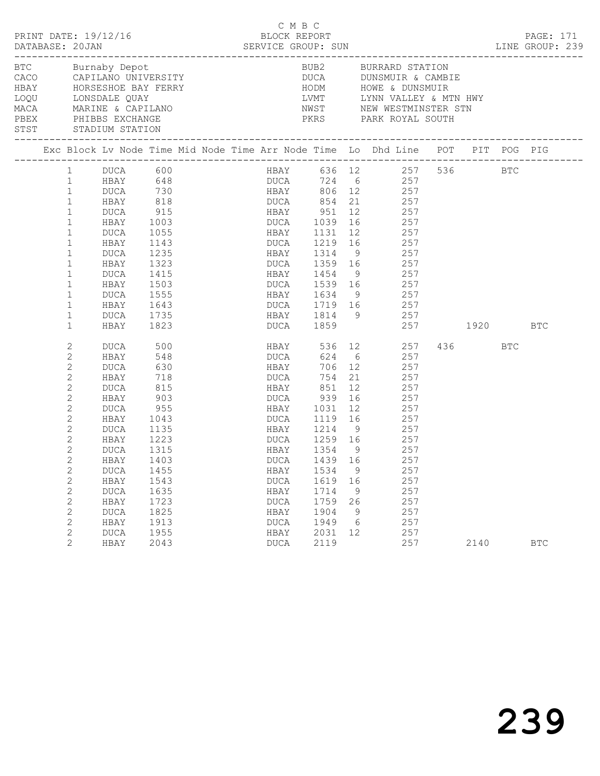| PRINT DATE: 19/12/16<br>DATABASE: 20JAN                           |                                                                                                                                                                                                                                                                                        |                                                                                                                                                         |                                                                                                                         |                                               | BLOCK REPORT                                                                                                                                                        | C M B C |                                                              |                                                          | DATABASE: 20JAN SERVICE GROUP: SUN LINE GROUP: 239                                                                                                                                                                                                                                                    |         | PAGE: 171  |  |
|-------------------------------------------------------------------|----------------------------------------------------------------------------------------------------------------------------------------------------------------------------------------------------------------------------------------------------------------------------------------|---------------------------------------------------------------------------------------------------------------------------------------------------------|-------------------------------------------------------------------------------------------------------------------------|-----------------------------------------------|---------------------------------------------------------------------------------------------------------------------------------------------------------------------|---------|--------------------------------------------------------------|----------------------------------------------------------|-------------------------------------------------------------------------------------------------------------------------------------------------------------------------------------------------------------------------------------------------------------------------------------------------------|---------|------------|--|
| BTC Burnaby Depot<br>PBEX PHIBBS EXCHANGE<br>STST STADIUM STATION |                                                                                                                                                                                                                                                                                        |                                                                                                                                                         |                                                                                                                         | DIC BUTHADY DEPOT<br>CACO CAPILANO UNIVERSITY |                                                                                                                                                                     |         |                                                              |                                                          | BUB2 BURRARD STATION<br>DUCA DUNSMUIR & CAMBIE<br>PKRS PARK ROYAL SOUTH                                                                                                                                                                                                                               |         |            |  |
|                                                                   |                                                                                                                                                                                                                                                                                        |                                                                                                                                                         |                                                                                                                         |                                               |                                                                                                                                                                     |         |                                                              |                                                          | Exc Block Lv Node Time Mid Node Time Arr Node Time Lo Dhd Line POT PIT POG PIG                                                                                                                                                                                                                        |         |            |  |
|                                                                   | $\mathbf{1}$<br>1<br>$\mathbf{1}$<br>$\mathbf{1}$<br>$\mathbf{1}$<br>$\mathbf{1}$<br>$\mathbf{1}$<br>$\mathbf{1}$<br>$\mathbf{1}$<br>$\mathbf{1}$<br>$\mathbf{1}$<br>$\mathbf{1}$<br>$\mathbf{1}$<br>$\mathbf{1}$<br>$\mathbf{1}$<br>$\mathbf{1}$<br>2<br>$\mathbf{2}$<br>$\mathbf{2}$ | DUCA 600<br><b>HBAY</b><br>DUCA<br>HBAY<br>DUCA<br>HBAY<br>DUCA<br>HBAY<br>DUCA<br>HBAY<br>DUCA<br>HBAY<br>DUCA<br>HBAY<br>DUCA<br>HBAY<br>DUCA         | 818<br>915<br>1003<br>1055<br>1143<br>1235<br>1323<br>1415<br>1503<br>1555<br>1643<br>1735<br>1823<br>500<br>548<br>630 |                                               | HBAY 951<br>DUCA 1039  16<br>HBAY 1131  12<br>DUCA<br><b>HBAY</b>                                                                                                   |         | 624 6                                                        | 12                                                       | HBAY 636 12 257 536 BTC<br>DUCA 724 6 257<br>HBAY 806 12 257<br>DUCA 854 21 257<br>257<br>$\frac{137}{257}$<br>257<br>DUCA 1219 16 257<br>HBAY 1314 9 257<br>DUCA 1359 16 257<br>HBAY 1454 9 257<br>DUCA 1539 16 257<br>HBAY 1634 9 257<br>DUCA 1719 16 257<br>HBAY 536 12 257<br>257<br>$706$ 12 257 | 436 BTC |            |  |
|                                                                   | $\mathbf{2}$<br>2<br>$\mathbf{2}$<br>$\mathbf{2}$<br>$\mathbf{2}$<br>$\mathbf{2}$<br>$\mathbf{2}$<br>$\mathbf{2}$<br>$\overline{c}$<br>$\mathbf{2}$<br>$\mathbf{2}$<br>$\mathbf{2}$<br>2<br>2<br>$\mathbf{2}$<br>$\mathbf{2}$<br>$\mathbf{2}^{\prime}$                                 | HBAY<br>DUCA<br>HBAY<br>DUCA<br>HBAY<br>DUCA<br>HBAY<br>DUCA<br>HBAY 1403<br>DUCA<br>HBAY<br><b>DUCA</b><br>HBAY<br><b>DUCA</b><br>HBAY<br>DUCA<br>HBAY | 718<br>815<br>903<br>$-955$<br>1135<br>1223<br>1315<br>1455<br>1543<br>1635<br>1723<br>1825<br>1913<br>1955<br>2043     |                                               | <b>DUCA</b><br>HBAY 851<br>DUCA 939 16<br>HBAY 1031 12<br>DUCA 1259 16<br>HBAY 1354 9<br>HBAY<br>DUCA<br>HBAY<br>DUCA<br>HBAY<br><b>DUCA</b><br>HBAY<br><b>DUCA</b> |         | 1534<br>1619<br>1714<br>1759<br>1904<br>1949<br>2031<br>2119 | 12<br>9<br>16<br>- 9<br>26<br>9<br>$6\overline{6}$<br>12 | 754 21 257<br>257<br>257<br>257<br>1043 DUCA 1119 16 257<br>HBAY 1214 9 257<br>257<br>257<br>DUCA 1439 16 257<br>257<br>257<br>257<br>257<br>257<br>257<br>257<br>257                                                                                                                                 | 2140    | <b>BTC</b> |  |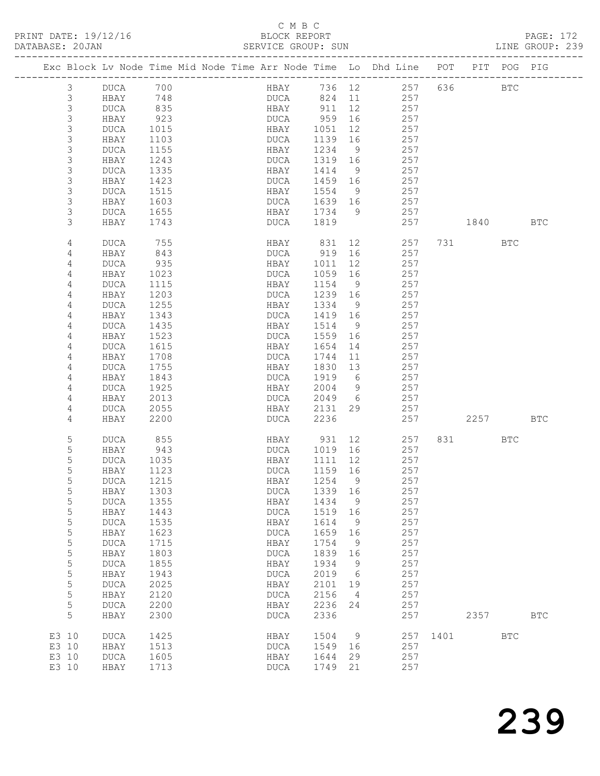## C M B C<br>BLOCK REPORT<br>CEPVICE CROUP: C

| DATABASE: 20JAN |             |             |      | SERVICE GROUP: SUN                                                             |         |                 |                              |          |           |            | LINE GROUP: 239 |  |
|-----------------|-------------|-------------|------|--------------------------------------------------------------------------------|---------|-----------------|------------------------------|----------|-----------|------------|-----------------|--|
|                 |             |             |      | Exc Block Lv Node Time Mid Node Time Arr Node Time Lo Dhd Line POT PIT POG PIG |         |                 |                              |          |           |            |                 |  |
|                 | 3           | DUCA        | 700  |                                                                                |         |                 | HBAY 736 12 257 636 BTC      |          |           |            |                 |  |
|                 | 3           | HBAY        | 748  |                                                                                |         |                 | DUCA 824 11 257              |          |           |            |                 |  |
|                 | 3           | DUCA        | 835  | HBAY 911                                                                       |         | 12              | 257                          |          |           |            |                 |  |
|                 | $\mathsf S$ | HBAY        | 923  | DUCA                                                                           | 959     | 16              | 257                          |          |           |            |                 |  |
|                 | $\mathsf 3$ | DUCA        | 1015 | HBAY                                                                           | 1051    | 12              | 257                          |          |           |            |                 |  |
|                 | $\mathsf 3$ | HBAY        | 1103 | DUCA                                                                           | 1139    | 16              | 257                          |          |           |            |                 |  |
|                 | 3           | DUCA        | 1155 | HBAY                                                                           | 1234    | 9               | 257                          |          |           |            |                 |  |
|                 | $\mathsf 3$ | HBAY        | 1243 | DUCA                                                                           | 1319 16 |                 | 257                          |          |           |            |                 |  |
|                 | $\mathsf 3$ | DUCA        | 1335 | HBAY                                                                           | 1414    | 9               | 257                          |          |           |            |                 |  |
|                 | 3           | HBAY        | 1423 | DUCA                                                                           | 1459 16 |                 | 257                          |          |           |            |                 |  |
|                 | $\mathsf 3$ | DUCA        | 1515 | HBAY                                                                           | 1554    | - 9             | 257                          |          |           |            |                 |  |
|                 | $\mathsf 3$ | HBAY        | 1603 | DUCA                                                                           | 1639 16 |                 | 257                          |          |           |            |                 |  |
|                 | 3           | DUCA        | 1655 | HBAY                                                                           | 1734 9  |                 | 257                          |          |           |            |                 |  |
|                 | 3           | HBAY        | 1743 | DUCA                                                                           | 1819    |                 | 257                          |          | 1840      |            | BTC             |  |
|                 | 4           | DUCA        | 755  | HBAY                                                                           | 831     | 12              | 257                          |          | 731 — 17  | BTC        |                 |  |
|                 | 4           | HBAY        | 843  | DUCA                                                                           | 919     | 16              | 257                          |          |           |            |                 |  |
|                 | 4           | DUCA        | 935  | HBAY                                                                           | 1011    | 12              | 257                          |          |           |            |                 |  |
|                 | 4           | HBAY        | 1023 | DUCA                                                                           | 1059    | 16              | 257                          |          |           |            |                 |  |
|                 | 4           | DUCA        | 1115 | HBAY                                                                           | 1154    | $\overline{9}$  | 257                          |          |           |            |                 |  |
|                 | 4           | HBAY        | 1203 | DUCA                                                                           | 1239 16 |                 | 257                          |          |           |            |                 |  |
|                 | 4           | DUCA        | 1255 | HBAY                                                                           | 1334    | 9               | 257                          |          |           |            |                 |  |
|                 | 4           | HBAY        | 1343 | DUCA                                                                           | 1419    | 16              | 257                          |          |           |            |                 |  |
|                 | 4           | DUCA        | 1435 | HBAY                                                                           | 1514    | $\overline{9}$  | 257                          |          |           |            |                 |  |
|                 | 4           | HBAY        | 1523 | DUCA                                                                           | 1559    | 16              | 257                          |          |           |            |                 |  |
|                 | 4           | DUCA        | 1615 | HBAY                                                                           | 1654    | 14              | 257                          |          |           |            |                 |  |
|                 | 4           | HBAY        | 1708 | DUCA                                                                           | 1744    | 11              | 257                          |          |           |            |                 |  |
|                 | 4           | DUCA        | 1755 | HBAY                                                                           | 1830    | 13              | 257                          |          |           |            |                 |  |
|                 | 4           | HBAY        | 1843 | DUCA                                                                           | 1919    | 6               | 257                          |          |           |            |                 |  |
|                 | 4           | DUCA        | 1925 | HBAY                                                                           | 2004    | 9               | 257                          |          |           |            |                 |  |
|                 | 4           | HBAY        | 2013 | DUCA                                                                           | 2049 6  |                 | 257                          |          |           |            |                 |  |
|                 | 4           | DUCA        | 2055 | HBAY                                                                           | 2131    | 29              | 257                          |          |           |            |                 |  |
|                 | 4           | HBAY        | 2200 | DUCA                                                                           | 2236    |                 | 257                          |          | 2257      |            | BTC             |  |
|                 | 5           | DUCA        | 855  | HBAY 931                                                                       |         |                 | 12 and $\overline{a}$<br>257 |          | 831 — 100 | BTC        |                 |  |
|                 | 5           | HBAY        | 943  | DUCA 1019                                                                      |         | 16              | 257                          |          |           |            |                 |  |
|                 | 5           | DUCA        | 1035 | HBAY                                                                           | 1111    | 12              | 257                          |          |           |            |                 |  |
|                 | 5           | HBAY        | 1123 | DUCA                                                                           | 1159 16 |                 | 257                          |          |           |            |                 |  |
|                 | 5           | DUCA 1215   |      | HBAY 1254 9                                                                    |         |                 | 257                          |          |           |            |                 |  |
|                 | 5           | HBAY        | 1303 | <b>DUCA</b>                                                                    | 1339    | 16              | 257                          |          |           |            |                 |  |
|                 | 5           | <b>DUCA</b> | 1355 | HBAY                                                                           | 1434    | 9               | 257                          |          |           |            |                 |  |
|                 | 5           | HBAY        | 1443 | DUCA                                                                           | 1519    | 16              | 257                          |          |           |            |                 |  |
|                 | 5           | <b>DUCA</b> | 1535 | HBAY                                                                           | 1614    | 9               | 257                          |          |           |            |                 |  |
|                 | 5           | HBAY        | 1623 | <b>DUCA</b>                                                                    | 1659    | 16              | 257                          |          |           |            |                 |  |
|                 | $\mathsf S$ | <b>DUCA</b> | 1715 | HBAY                                                                           | 1754    | 9               | 257                          |          |           |            |                 |  |
|                 | $\mathsf S$ | HBAY        | 1803 | <b>DUCA</b>                                                                    | 1839    | 16              | 257                          |          |           |            |                 |  |
|                 | 5           | <b>DUCA</b> | 1855 | HBAY                                                                           | 1934    | $\overline{9}$  | 257                          |          |           |            |                 |  |
|                 | 5           | HBAY        | 1943 | <b>DUCA</b>                                                                    | 2019    | $6\overline{6}$ | 257                          |          |           |            |                 |  |
|                 | 5           | <b>DUCA</b> | 2025 | HBAY                                                                           | 2101    | 19              | 257                          |          |           |            |                 |  |
|                 | $\mathsf S$ | HBAY        | 2120 | <b>DUCA</b>                                                                    | 2156    | $\overline{4}$  | 257                          |          |           |            |                 |  |
|                 | 5           |             |      |                                                                                |         |                 | 257                          |          |           |            |                 |  |
|                 |             | <b>DUCA</b> | 2200 | HBAY                                                                           | 2236    | 24              |                              |          |           |            |                 |  |
|                 | 5           | HBAY        | 2300 | DUCA                                                                           | 2336    |                 | 257                          |          | 2357      |            | $_{\rm BTC}$    |  |
| E3 10           |             | DUCA        | 1425 | HBAY                                                                           | 1504    | $\overline{9}$  |                              | 257 1401 |           | <b>BTC</b> |                 |  |
| E3 10           |             | HBAY        | 1513 | DUCA                                                                           | 1549 16 |                 | 257                          |          |           |            |                 |  |

 E3 10 DUCA 1605 HBAY 1644 29 257 E3 10 HBAY 1713 DUCA 1749 21 257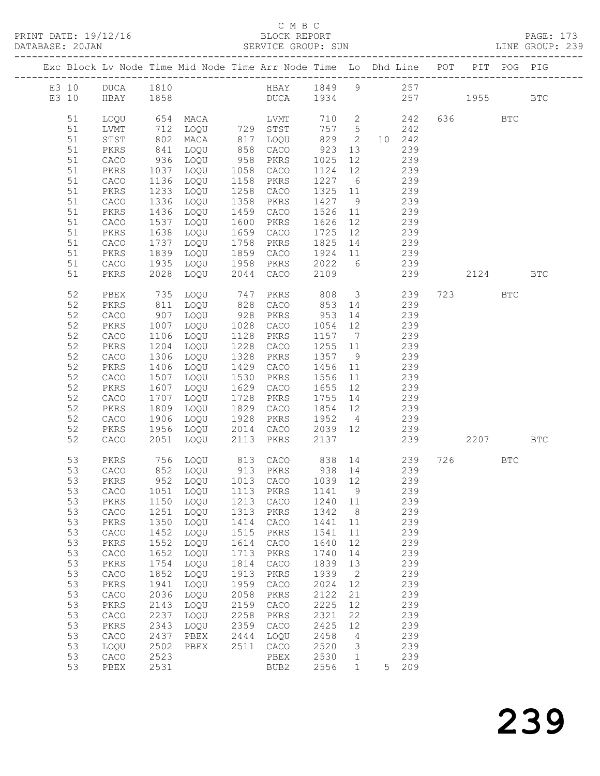|          |                              |                   | Exc Block Lv Node Time Mid Node Time Arr Node Time Lo Dhd Line POT PIT POG PIG |              |                        |                    |                      |     |                         |          |            |            |
|----------|------------------------------|-------------------|--------------------------------------------------------------------------------|--------------|------------------------|--------------------|----------------------|-----|-------------------------|----------|------------|------------|
| E3 10    | E3 10 DUCA 1810<br>HBAY 1858 |                   | HBAY 1849 9 257                                                                |              | DUCA 1934 257 1955     |                    |                      |     |                         |          |            | <b>BTC</b> |
| 51       | LOQU                         |                   | 654 MACA                                                                       |              | LVMT                   |                    |                      |     | 710 2 242               | 636 BTC  |            |            |
| 51<br>51 | LVMT<br>STST                 | 712<br>802<br>841 | MACA                                                                           |              | LOQU 729 STST          | 757 5              | $\overline{2}$       |     | 242<br>10 242           |          |            |            |
| 51       | PKRS                         |                   | LOQU                                                                           |              | 817 LOQU<br>858 CACO   | 829<br>923         | 13                   |     | 239                     |          |            |            |
| 51       | CACO                         | 936               | LOQU                                                                           |              | 958 PKRS               | 1025               | 12                   |     | 239                     |          |            |            |
| 51       | PKRS                         | 1037              | LOQU                                                                           |              | 1058 CACO              | 1124               | 12                   |     | 239                     |          |            |            |
| 51       | CACO                         | 1136              | LOQU                                                                           |              | 1158 PKRS              | 1227 6             |                      |     | 239                     |          |            |            |
| 51       | PKRS                         | 1233              | LOQU                                                                           |              | 1258 CACO              | 1325 11            |                      |     | 239<br>239              |          |            |            |
| 51<br>51 | CACO<br>PKRS                 | 1336<br>1436      | LOQU<br>LOQU                                                                   | 1358         | PKRS<br>1459 CACO      | 1427<br>1526       | 9<br>11              |     | 239                     |          |            |            |
| 51       | CACO                         | 1537              | LOQU                                                                           |              | 1600 PKRS              | 1626               | 12                   |     | 239                     |          |            |            |
| 51       | PKRS                         | 1638              | LOQU                                                                           |              | 1659 CACO              | 1725               | 12                   |     | 239                     |          |            |            |
| 51       | CACO                         | 1737              | LOQU                                                                           |              | 1758 PKRS              | 1825 14 239        |                      |     |                         |          |            |            |
| 51       | PKRS                         | 1839              | LOQU                                                                           |              | 1859 CACO              | 1924 11 239        |                      |     |                         |          |            |            |
| 51       | CACO                         | 1935              | LOQU                                                                           |              | 1958 PKRS              | 2022 6             |                      |     | 239                     |          |            |            |
| 51       | PKRS                         | 2028              | LOQU                                                                           |              | 2044 CACO              | 2109               |                      |     | 239                     | 2124 BTC |            |            |
| 52       | PBEX                         | 735               | LOQU                                                                           | 747          | PKRS                   | 808 3 239          |                      |     |                         | 723 BTC  |            |            |
| 52       | PKRS                         | 811               | LOQU                                                                           |              | 828 CACO               | 853 14             |                      |     | 239                     |          |            |            |
| 52       | ${\tt CACO}$                 | 907               | LOQU                                                                           |              | 928 PKRS               | 953 14             |                      |     | 239<br>239              |          |            |            |
| 52<br>52 | PKRS<br>CACO                 | 1007<br>1106      | LOQU<br>LOQU                                                                   |              | 1028 CACO<br>1128 PKRS | 1054 12<br>1157 7  |                      |     | 239                     |          |            |            |
| 52       | PKRS                         | 1204              | LOQU                                                                           |              | 1228 CACO              | 1255 11            |                      |     | 239                     |          |            |            |
| 52       | ${\tt CACO}$                 | 1306              | LOQU                                                                           |              | 1328 PKRS              | 1357 9             |                      |     | 239                     |          |            |            |
| 52       | PKRS                         | 1406              | LOQU                                                                           |              | 1429 CACO              | 1456 11            |                      |     | 239                     |          |            |            |
| 52       | CACO                         | 1507              | LOQU                                                                           |              | 1530 PKRS              | 1556 11            |                      |     | 239                     |          |            |            |
| 52       | PKRS                         | 1607              | LOQU                                                                           |              | 1629 CACO              | 1655 12            |                      |     | 239                     |          |            |            |
| 52<br>52 | ${\tt CACO}$<br>PKRS         | 1707<br>1809      | LOQU<br>LOQU                                                                   |              | 1728 PKRS<br>1829 CACO | 1755 14<br>1854 12 |                      |     | 239<br>$\frac{1}{2}$ 39 |          |            |            |
| 52       | CACO                         | 1906              | LOQU                                                                           |              | 1928 PKRS              | 1952 4             |                      | 239 |                         |          |            |            |
| 52       | PKRS                         | 1956              | LOQU                                                                           |              | 2014 CACO              | 2039 12 239        |                      |     |                         |          |            |            |
| 52       | CACO                         | 2051              | LOQU                                                                           | 2113         | PKRS                   | 2137               |                      |     | 239                     | 2207     |            | BTC        |
| 53       | PKRS                         |                   | 756 LOQU 813 CACO 838 14 239                                                   |              |                        |                    |                      |     |                         | 726      | <b>BTC</b> |            |
| 53<br>53 | CACO<br>PKRS                 |                   | 852 LOQU<br>952 LOQU                                                           |              | 913 PKRS<br>1013 CACO  | 938 14<br>1039 12  |                      |     | 239<br>239              |          |            |            |
|          |                              |                   | 53 CACO 1051 LOQU 1113 PKRS 1141 9 239                                         |              |                        |                    |                      |     |                         |          |            |            |
| 53       | PKRS                         | 1150              | LOQU                                                                           | 1213         | CACO                   | 1240               | 11                   |     | 239                     |          |            |            |
| 53       | CACO                         | 1251              | LOQU                                                                           | 1313         | PKRS                   | 1342               | 8                    |     | 239                     |          |            |            |
| 53       | PKRS                         | 1350              | LOQU                                                                           | 1414         | CACO                   | 1441               | 11                   |     | 239                     |          |            |            |
| 53       | ${\tt CACO}$                 | 1452              | LOQU                                                                           | 1515         | PKRS                   | 1541               | 11                   |     | 239                     |          |            |            |
| 53<br>53 | PKRS<br>${\tt CACO}$         | 1552<br>1652      | LOQU<br>LOQU                                                                   | 1614<br>1713 | CACO<br>PKRS           | 1640<br>1740       | 12<br>14             |     | 239<br>239              |          |            |            |
| 53       | PKRS                         | 1754              | LOQU                                                                           | 1814         | CACO                   | 1839               | 13                   |     | 239                     |          |            |            |
| 53       | ${\tt CACO}$                 | 1852              | LOQU                                                                           | 1913         | PKRS                   | 1939               | 2                    |     | 239                     |          |            |            |
| 53       | PKRS                         | 1941              | LOQU                                                                           | 1959         | CACO                   | 2024               | 12                   |     | 239                     |          |            |            |
| 53       | CACO                         | 2036              | LOQU                                                                           | 2058         | PKRS                   | 2122               | 21                   |     | 239                     |          |            |            |
| 53       | PKRS                         | 2143              | LOQU                                                                           | 2159         | CACO                   | 2225               | 12                   |     | 239                     |          |            |            |
| 53       | ${\tt CACO}$                 | 2237              | LOQU                                                                           | 2258         | PKRS                   | 2321               | 22                   |     | 239                     |          |            |            |
| 53<br>53 | PKRS<br>${\tt CACO}$         | 2343<br>2437      | LOQU<br>PBEX                                                                   | 2359<br>2444 | CACO<br>LOQU           | 2425<br>2458       | 12<br>$\overline{4}$ |     | 239<br>239              |          |            |            |
| 53       | LOQU                         | 2502              | PBEX                                                                           | 2511         | CACO                   | 2520               | 3                    |     | 239                     |          |            |            |
| 53       | CACO                         | 2523              |                                                                                |              | PBEX                   | 2530               | $\mathbf{1}$         |     | 239                     |          |            |            |
| 53       | PBEX                         | 2531              |                                                                                |              | BUB2                   | 2556               | $\mathbf{1}$         | 5   | 209                     |          |            |            |
|          |                              |                   |                                                                                |              |                        |                    |                      |     |                         |          |            |            |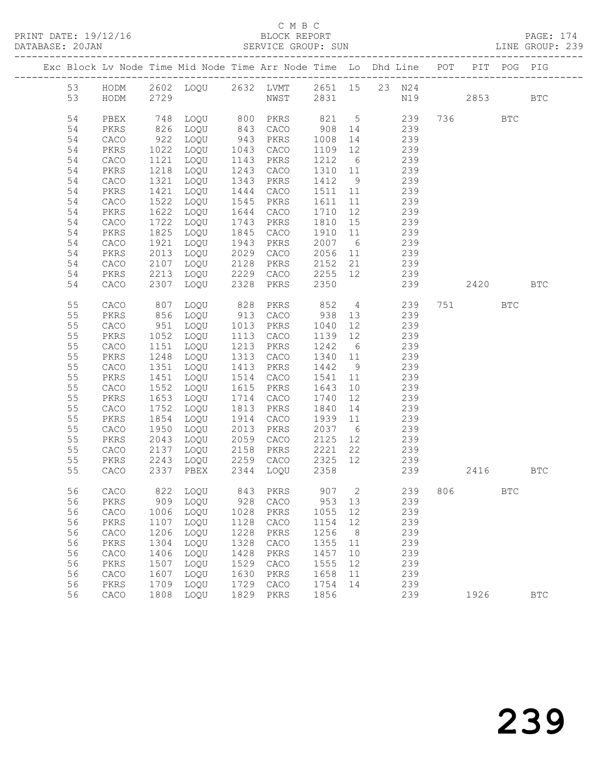PRINT DATE: 19/12/16<br>DATABASE: 20JAN

# C M B C<br>BLOCK REPORT<br>SERVICE GROUP: SUN

PAGE: 174<br>LINE GROUP: 239

| DAIADASE, ZUUAN |          |                      |              |                                                                    |              | ODRATOD GROOF, SOM   |              |                 |               |     |      |                      | TIME GRAAL. TAS |
|-----------------|----------|----------------------|--------------|--------------------------------------------------------------------|--------------|----------------------|--------------|-----------------|---------------|-----|------|----------------------|-----------------|
|                 |          |                      |              | Exc Block Lv Node Time Mid Node Time Arr Node Time Lo Dhd Line POT |              |                      |              |                 | ------------- |     |      | PIT POG PIG          |                 |
|                 | 53       | HODM                 |              | 2602 LOQU 2632 LVMT                                                |              |                      | 2651 15      |                 | 23 N24        |     |      |                      |                 |
|                 | 53       | HODM                 | 2729         |                                                                    |              | NWST                 | 2831         |                 | N19           |     | 2853 |                      | <b>BTC</b>      |
|                 | 54       | PBEX                 | 748          | LOQU                                                               | 800          | PKRS                 | 821          | $5\overline{)}$ | 239           | 736 |      | <b>BTC</b>           |                 |
|                 | 54       | PKRS                 | 826          | LOQU                                                               | 843          | CACO                 | 908          |                 | 239           |     |      |                      |                 |
|                 |          |                      |              |                                                                    | 943          |                      |              | 14              |               |     |      |                      |                 |
|                 | 54       | ${\tt CACO}$         | 922          | LOQU                                                               |              | PKRS                 | 1008         | 14              | 239           |     |      |                      |                 |
|                 | 54       | PKRS                 | 1022         | LOQU                                                               | 1043         | CACO                 | 1109         | 12              | 239           |     |      |                      |                 |
|                 | 54       | ${\tt CACO}$         | 1121         | LOQU                                                               | 1143<br>1243 | PKRS                 | 1212         | 6<br>11         | 239<br>239    |     |      |                      |                 |
|                 | 54       | PKRS                 | 1218         | LOQU                                                               |              | CACO                 | 1310         |                 |               |     |      |                      |                 |
|                 | 54       | ${\tt CACO}$         | 1321         | LOQU                                                               | 1343<br>1444 | PKRS                 | 1412         | 9               | 239           |     |      |                      |                 |
|                 | 54       | PKRS                 | 1421         | LOQU                                                               |              | CACO                 | 1511         | 11              | 239           |     |      |                      |                 |
|                 | 54       | ${\tt CACO}$         | 1522         | LOQU                                                               | 1545         | PKRS                 | 1611         | 11              | 239           |     |      |                      |                 |
|                 | 54       | PKRS                 | 1622         | LOQU                                                               | 1644         | CACO                 | 1710         | 12              | 239           |     |      |                      |                 |
|                 | 54       | ${\tt CACO}$         | 1722         | LOQU                                                               | 1743         | PKRS                 | 1810         | 15              | 239           |     |      |                      |                 |
|                 | 54       | PKRS                 | 1825         | LOQU                                                               | 1845         | CACO                 | 1910         | 11              | 239           |     |      |                      |                 |
|                 | 54       | ${\tt CACO}$         | 1921         | LOQU                                                               | 1943<br>2029 | PKRS                 | 2007         | $6\overline{6}$ | 239           |     |      |                      |                 |
|                 | 54<br>54 | PKRS                 | 2013<br>2107 | LOQU<br>LOQU                                                       | 2128         | ${\tt CACO}$<br>PKRS | 2056<br>2152 | 11<br>21        | 239<br>239    |     |      |                      |                 |
|                 | 54       | ${\tt CACO}$<br>PKRS | 2213         | LOQU                                                               | 2229         | CACO                 | 2255         | 12              | 239           |     |      |                      |                 |
|                 | 54       | CACO                 | 2307         | LOQU                                                               | 2328         | PKRS                 | 2350         |                 | 239           |     | 2420 |                      | <b>BTC</b>      |
|                 |          |                      |              |                                                                    |              |                      |              |                 |               |     |      |                      |                 |
|                 | 55       | CACO                 | 807          | LOQU                                                               | 828          | PKRS                 | 852          | $4\overline{4}$ | 239           | 751 |      | <b>BTC</b>           |                 |
|                 | 55       | PKRS                 | 856          | LOQU                                                               | 913          | CACO                 | 938          | 13              | 239           |     |      |                      |                 |
|                 | 55       | CACO                 | 951          | LOQU                                                               | 1013         | PKRS                 | 1040         | 12              | 239           |     |      |                      |                 |
|                 | 55       | PKRS                 | 1052         | LOQU                                                               | 1113         | CACO                 | 1139         | 12              | 239           |     |      |                      |                 |
|                 | 55       | ${\tt CACO}$         | 1151         | LOQU                                                               | 1213         | PKRS                 | 1242         | $6\overline{6}$ | 239           |     |      |                      |                 |
|                 | 55       | PKRS                 | 1248         | LOQU                                                               | 1313         | CACO                 | 1340         | 11              | 239           |     |      |                      |                 |
|                 | 55       | CACO                 | 1351         | LOQU                                                               | 1413         | PKRS                 | 1442         | 9               | 239           |     |      |                      |                 |
|                 | 55       | PKRS                 | 1451         | LOQU                                                               | 1514         | ${\tt CACO}$         | 1541         | 11              | 239           |     |      |                      |                 |
|                 | 55       | ${\tt CACO}$         | 1552         | LOQU                                                               | 1615         | PKRS                 | 1643         | 10              | 239           |     |      |                      |                 |
|                 | 55       | PKRS                 | 1653         | LOQU                                                               | 1714         | CACO                 | 1740         | 12              | 239           |     |      |                      |                 |
|                 | 55       | CACO                 | 1752         | LOQU                                                               | 1813         | PKRS                 | 1840         | 14              | 239           |     |      |                      |                 |
|                 | 55       | PKRS                 | 1854         | LOQU                                                               | 1914         | ${\tt CACO}$         | 1939         | 11              | 239           |     |      |                      |                 |
|                 | 55       | ${\tt CACO}$         | 1950         | LOQU                                                               | 2013         | PKRS                 | 2037         | $6\overline{6}$ | 239           |     |      |                      |                 |
|                 | 55       | $\mbox{PKRS}$        | 2043         | LOQU                                                               | 2059         | CACO                 | 2125         | 12              | 239           |     |      |                      |                 |
|                 | 55       | CACO                 | 2137         | LOQU                                                               | 2158         | PKRS                 | 2221         | 22              | 239           |     |      |                      |                 |
|                 | 55       | PKRS                 | 2243         | LOQU                                                               | 2259         | CACO                 | 2325         | 12              | 239           |     |      |                      |                 |
|                 | 55       | CACO                 | 2337         | PBEX                                                               | 2344         | LOQU                 | 2358         |                 | 239           |     | 2416 |                      | <b>BTC</b>      |
|                 | 56       | CACO                 | 822          | LOQU                                                               | 843          | PKRS                 | 907          | 2               | 239           | 806 |      | $\operatorname{BTC}$ |                 |
|                 | 56       | ${\tt PKRS}$         | 909          | LOQU                                                               | 928          | CACO                 | 953          | 13              | 239           |     |      |                      |                 |
|                 | 56       | CACO                 | 1006         | LOQU                                                               | 1028         | PKRS                 | 1055         | 12              | 239           |     |      |                      |                 |
|                 | 56       | ${\tt PKRS}$         | 1107         | LOQU                                                               | 1128         | CACO                 | 1154         | 12              | 239           |     |      |                      |                 |
|                 | 56       | CACO                 | 1206         | LOQU                                                               | 1228         | PKRS                 | 1256         | 8               | 239           |     |      |                      |                 |
|                 | 56       | ${\tt PKRS}$         | 1304         | LOQU                                                               | 1328         | CACO                 | 1355         | 11              | 239           |     |      |                      |                 |
|                 | 56       | ${\tt CACO}$         | 1406         | LOQU                                                               | 1428         | PKRS                 | 1457         | 10              | 239           |     |      |                      |                 |
|                 | 56       | PKRS                 | 1507         | LOQU                                                               | 1529         | CACO                 | 1555         | 12              | 239           |     |      |                      |                 |
|                 | 56       | CACO                 | 1607         | LOQU                                                               | 1630         | PKRS                 | 1658         | $11$            | 239           |     |      |                      |                 |
|                 | 56       | PKRS                 | 1709         | LOQU                                                               | 1729         | CACO                 | 1754         | 14              | 239           |     |      |                      |                 |
|                 | 56       | CACO                 | 1808         | LOQU                                                               | 1829         | ${\tt PKRS}$         | 1856         |                 | 239           |     | 1926 |                      | $_{\rm BTC}$    |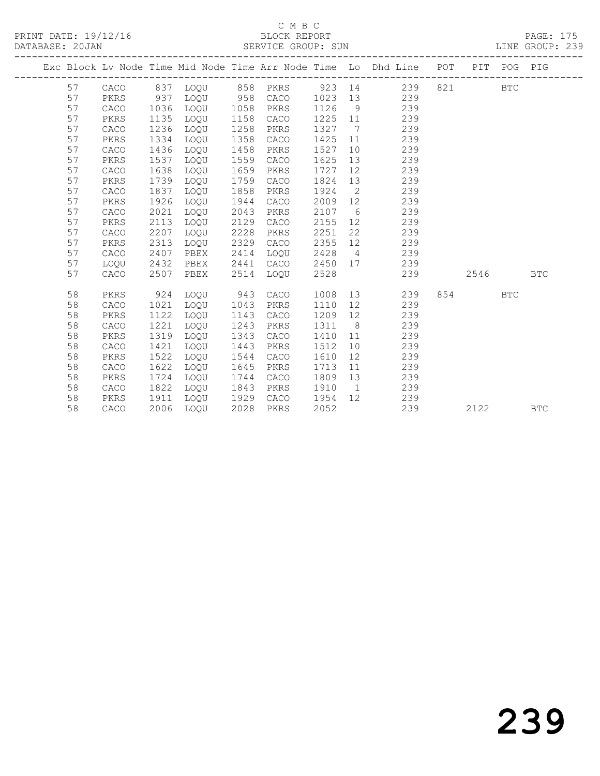|  |    |              |      |          |      |              |      |                | Exc Block Lv Node Time Mid Node Time Arr Node Time Lo Dhd Line POT |     |      | PIT POG PIG |            |
|--|----|--------------|------|----------|------|--------------|------|----------------|--------------------------------------------------------------------|-----|------|-------------|------------|
|  | 57 | CACO         |      | 837 LOQU |      | 858 PKRS     |      |                | 923 14<br>239                                                      | 821 |      | BTC         |            |
|  | 57 | PKRS         | 937  | LOQU 958 |      | CACO         | 1023 | 13             | 239                                                                |     |      |             |            |
|  | 57 | CACO         | 1036 | LOQU     | 1058 | PKRS         | 1126 | 9              | 239                                                                |     |      |             |            |
|  | 57 | PKRS         | 1135 | LOQU     | 1158 | CACO         | 1225 | 11             | 239                                                                |     |      |             |            |
|  | 57 | CACO         | 1236 | LOQU     | 1258 | PKRS         | 1327 | $\overline{7}$ | 239                                                                |     |      |             |            |
|  | 57 | PKRS         | 1334 | LOOU     | 1358 | CACO         | 1425 | 11             | 239                                                                |     |      |             |            |
|  | 57 | CACO         | 1436 | LOQU     | 1458 | PKRS         | 1527 | 10             | 239                                                                |     |      |             |            |
|  | 57 | PKRS         | 1537 | LOQU     | 1559 | CACO         | 1625 | 13             | 239                                                                |     |      |             |            |
|  | 57 | ${\tt CACO}$ | 1638 | LOQU     | 1659 | PKRS         | 1727 | 12             | 239                                                                |     |      |             |            |
|  | 57 | PKRS         | 1739 | LOQU     | 1759 | CACO         | 1824 | 13             | 239                                                                |     |      |             |            |
|  | 57 | CACO         | 1837 | LOQU     | 1858 | PKRS         | 1924 | $\overline{2}$ | 239                                                                |     |      |             |            |
|  | 57 | PKRS         | 1926 | LOQU     | 1944 | ${\tt CACO}$ | 2009 | 12             | 239                                                                |     |      |             |            |
|  | 57 | CACO         | 2021 | LOQU     | 2043 | PKRS         | 2107 | 6              | 239                                                                |     |      |             |            |
|  | 57 | PKRS         | 2113 | LOQU     | 2129 | CACO         | 2155 | 12             | 239                                                                |     |      |             |            |
|  | 57 | ${\tt CACO}$ | 2207 | LOQU     | 2228 | PKRS         | 2251 | 22             | 239                                                                |     |      |             |            |
|  | 57 | PKRS         | 2313 | LOQU     | 2329 | CACO         | 2355 | 12             | 239                                                                |     |      |             |            |
|  | 57 | CACO         | 2407 | PBEX     | 2414 | LOOU         | 2428 | $\overline{4}$ | 239                                                                |     |      |             |            |
|  | 57 | LOQU         | 2432 | PBEX     | 2441 | CACO         | 2450 | 17             | 239                                                                |     |      |             |            |
|  | 57 | CACO         | 2507 | PBEX     | 2514 | LOQU         | 2528 |                | 239                                                                |     | 2546 |             | <b>BTC</b> |
|  | 58 | PKRS         | 924  | LOOU     | 943  | CACO         | 1008 |                | 13<br>239                                                          | 854 |      | <b>BTC</b>  |            |
|  | 58 | CACO         | 1021 | LOQU     | 1043 | PKRS         | 1110 | 12             | 239                                                                |     |      |             |            |
|  | 58 | PKRS         | 1122 | LOQU     | 1143 | CACO         | 1209 | 12             | 239                                                                |     |      |             |            |
|  | 58 | CACO         | 1221 | LOOU     | 1243 | PKRS         | 1311 | 8 <sup>8</sup> | 239                                                                |     |      |             |            |
|  | 58 | PKRS         | 1319 | LOQU     | 1343 | CACO         | 1410 | 11             | 239                                                                |     |      |             |            |
|  | 58 | CACO         | 1421 | LOQU     | 1443 | PKRS         | 1512 | 10             | 239                                                                |     |      |             |            |
|  | 58 | PKRS         | 1522 | LOOU     | 1544 | CACO         | 1610 | 12             | 239                                                                |     |      |             |            |
|  | 58 | CACO         | 1622 | LOOU     | 1645 | PKRS         | 1713 | 11             | 239                                                                |     |      |             |            |
|  | 58 | PKRS         | 1724 | LOOU     | 1744 | CACO         | 1809 | 13             | 239                                                                |     |      |             |            |
|  | 58 | CACO         | 1822 | LOOU     | 1843 | PKRS         | 1910 | $\overline{1}$ | 239                                                                |     |      |             |            |
|  | 58 | PKRS         | 1911 | LOQU     | 1929 | CACO         | 1954 | 12             | 239                                                                |     |      |             |            |
|  | 58 | CACO         | 2006 | LOOU     | 2028 | PKRS         | 2052 |                | 239                                                                |     | 2122 |             | <b>BTC</b> |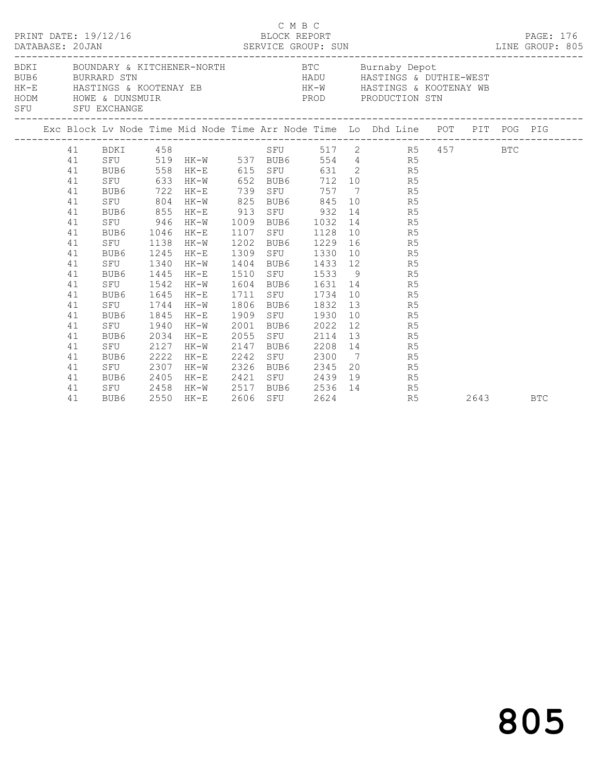|  | DATABASE: 20JAN | PRINT DATE: 19/12/16                               |      |                       | BLOCK REPORT |      | C M B C |                                       |                 |                                                                                                                                                                                                                                   |      | PAGE: 176<br>LINE GROUP: 805 |
|--|-----------------|----------------------------------------------------|------|-----------------------|--------------|------|---------|---------------------------------------|-----------------|-----------------------------------------------------------------------------------------------------------------------------------------------------------------------------------------------------------------------------------|------|------------------------------|
|  |                 | SFU SFU EXCHANGE<br>------------------------------ |      |                       |              |      |         |                                       |                 | BDKI BOUNDARY & KITCHENER-NORTH BTC Burnaby Depot<br>BUB6 BURRARD STN BURRARD STN HADU HASTINGS & DUTHIE-WEST<br>HK-E HASTINGS & KOOTENAY EB HK-W HASTINGS & KOOTENAY WB<br>HODM HOWE & DUTHING & ROOTENAY EB PROD PRODUCTION STN |      |                              |
|  |                 |                                                    |      |                       |              |      |         |                                       |                 | Exc Block Lv Node Time Mid Node Time Arr Node Time Lo Dhd Line POT PIT POG PIG                                                                                                                                                    |      |                              |
|  |                 | 41 BDKI 458                                        |      |                       |              |      |         |                                       |                 | SFU 517 2 R5 457 BTC<br>BUB6 554 4 R5<br>CTIME 502 1                                                                                                                                                                              |      |                              |
|  | 41              |                                                    |      |                       |              |      |         |                                       |                 |                                                                                                                                                                                                                                   |      |                              |
|  | 41              |                                                    |      | BUB6 558 HK-E 615 SFU |              |      |         |                                       | 631 2 R5        |                                                                                                                                                                                                                                   |      |                              |
|  | 41              | SFU                                                | 633  | HK-W 652              |              |      |         |                                       | BUB6 712 10 R5  |                                                                                                                                                                                                                                   |      |                              |
|  | 41              | BUB6 722                                           |      | $HK-E$                | 739          |      | SFU     | 757                                   | 7 R5            |                                                                                                                                                                                                                                   |      |                              |
|  | 41              | SFU                                                | 804  | $HK-W$                | 825          |      |         |                                       | BUB6 845 10 R5  |                                                                                                                                                                                                                                   |      |                              |
|  | 41              | BUB6 855                                           |      | HK-E                  | 913          |      |         | SFU 932                               | 14 R5           |                                                                                                                                                                                                                                   |      |                              |
|  | 41              | SFU 946                                            |      | HK-W                  | 1009         |      |         | BUB6 1032                             | 14 R5           |                                                                                                                                                                                                                                   |      |                              |
|  | 41              | BUB6 1046                                          |      | HK-E                  | 1107         |      |         | SFU 1128                              | 10 R5           |                                                                                                                                                                                                                                   |      |                              |
|  | 41              | SFU 1138                                           |      | HK-W                  | 1202         |      |         | BUB6 1229                             | 16 R5           |                                                                                                                                                                                                                                   |      |                              |
|  | 41              | BUB6                                               | 1245 | HK-E                  | 1309         |      |         | SFU 1330                              | 10 R5           |                                                                                                                                                                                                                                   |      |                              |
|  | 41              | SFU 1340                                           |      | HK-W                  | 1404         |      |         |                                       | BUB6 1433 12 R5 |                                                                                                                                                                                                                                   |      |                              |
|  | 41              | BUB6 1445                                          |      | HK-E                  | 1510         |      |         |                                       | SFU 1533 9 R5   |                                                                                                                                                                                                                                   |      |                              |
|  | 41              | SFU 1542                                           |      | HK-W                  | 1604         |      |         |                                       | BUB6 1631 14 R5 |                                                                                                                                                                                                                                   |      |                              |
|  | 41              | BUB6                                               | 1645 | HK-E                  | 1711         |      |         | SFU 1734                              | 10 R5           |                                                                                                                                                                                                                                   |      |                              |
|  | 41              | SFU 1744                                           |      | $HK-W$                | 1806         |      |         | BUB6 1832                             | 13 R5           |                                                                                                                                                                                                                                   |      |                              |
|  | 41              | BUB6                                               | 1845 | HK-E                  | 1909         |      |         | SFU 1930                              | 10 R5           |                                                                                                                                                                                                                                   |      |                              |
|  | 41              | SFU                                                | 1940 | HK-W                  | 2001         |      |         | BUB6 2022                             | 12 R5           |                                                                                                                                                                                                                                   |      |                              |
|  | 41              | BUB6                                               | 2034 | HK-E                  | 2055         |      | SFU     | 2114                                  | 13 R5           |                                                                                                                                                                                                                                   |      |                              |
|  | 41              | SFU                                                | 2127 | HK-W                  | 2147         | BUB6 |         |                                       | 2208 14 R5      |                                                                                                                                                                                                                                   |      |                              |
|  | 41              | BUB6                                               | 2222 | HK-E                  | 2242         |      |         |                                       | SFU 2300 7 R5   |                                                                                                                                                                                                                                   |      |                              |
|  | 41              | SFU                                                | 2307 | $HK-W$                | 2326         |      |         | BUB6 2345                             | 20 R5           |                                                                                                                                                                                                                                   |      |                              |
|  | 41              | BUB6                                               | 2405 | HK-E                  |              |      |         | 2421 SFU 2439 12<br>2517 BUB6 2536 14 | 19<br>R5        |                                                                                                                                                                                                                                   |      |                              |
|  | 41              | SFU 2458                                           |      | HK-W                  |              |      |         |                                       | R5              |                                                                                                                                                                                                                                   |      |                              |
|  | 41              | BUB6                                               |      | 2550 HK-E             |              |      | SFU     |                                       | R5              |                                                                                                                                                                                                                                   | 2643 | <b>BTC</b>                   |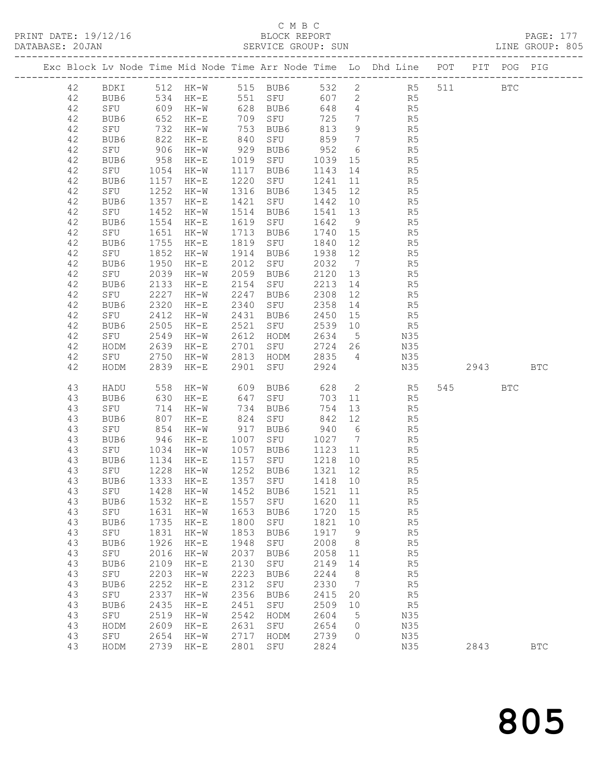|          |                                               |              |                                                                         |      |                                                          |         |                 |                                                                                |      |     | PAGE: 177<br>LINE GROUP: 805 |
|----------|-----------------------------------------------|--------------|-------------------------------------------------------------------------|------|----------------------------------------------------------|---------|-----------------|--------------------------------------------------------------------------------|------|-----|------------------------------|
|          |                                               |              |                                                                         |      |                                                          |         |                 | Exc Block Lv Node Time Mid Node Time Arr Node Time Lo Dhd Line POT PIT POG PIG |      |     |                              |
|          |                                               |              |                                                                         |      |                                                          |         |                 | 42 BDKI 512 HK-W 515 BUB6 532 2 R5 511 BTC                                     |      |     |                              |
| 42       |                                               |              |                                                                         |      |                                                          |         |                 | BUB6 534 HK-E 551 SFU 607 2 R5                                                 |      |     |                              |
| 42       |                                               |              |                                                                         |      |                                                          |         |                 |                                                                                |      |     |                              |
| 42       |                                               |              |                                                                         |      |                                                          |         |                 |                                                                                |      |     |                              |
| 42       |                                               |              |                                                                         |      |                                                          |         |                 |                                                                                |      |     |                              |
| 42       | BUB6                                          |              | 822 HK-E                                                                |      | 840 SFU 859                                              |         | $7\overline{)}$ | R <sub>5</sub>                                                                 |      |     |                              |
| 42       |                                               |              | 906 HK-W                                                                |      | 929 BUB6                                                 | 952     | $6\overline{6}$ | R5                                                                             |      |     |                              |
| 42       |                                               |              |                                                                         |      |                                                          |         |                 | 1019 SFU 1039 15 R5<br>1117 BUB6 1143 14 R5                                    |      |     |                              |
| 42       | PUB6<br>BUB6 958 HK-E<br>SFU 1054 ···<br>DIV: |              |                                                                         |      | 1117 BUB6                                                |         |                 |                                                                                |      |     |                              |
| 42       | BUB6                                          |              | 1157 HK-E                                                               |      | 1220 SFU 1241                                            |         | 11              | R5                                                                             |      |     |                              |
| 42       | SFU                                           | 1252         | $HK-W$                                                                  |      | 1316 BUB6 1345 12                                        |         |                 | R5                                                                             |      |     |                              |
| 42       | BUB6 1357<br>SFU 1452                         |              | $HK-E$                                                                  |      | 1421 SFU                                                 | 1442    | 10              | R5                                                                             |      |     |                              |
| 42       |                                               |              | 1452 HK-W                                                               |      | 1514 BUB6                                                | 1541 13 |                 | R5                                                                             |      |     |                              |
| 42       | BUB6                                          |              | 1554 HK-E                                                               |      | 1619 SFU 1642                                            |         | 9               | R5                                                                             |      |     |                              |
| 42       | SFU                                           |              | 1651 HK-W                                                               |      | 1713 BUB6 1740 15                                        |         |                 | R5                                                                             |      |     |                              |
| 42       | BUB6                                          | 1755         | $HK-E$                                                                  |      | 1819 SFU 1840 12<br>1914 BUB6 1938 12                    |         |                 | R5                                                                             |      |     |                              |
| 42       | SFU                                           |              | 1852 HK-W                                                               |      | 2012 SFU 2032                                            |         |                 | R5<br>7 R5                                                                     |      |     |                              |
| 42       | BUB6                                          | 1950         | $HK-E$                                                                  |      |                                                          |         |                 |                                                                                |      |     |                              |
| 42       | SFU                                           | 2039<br>2133 | $HK-W$                                                                  |      | 2059 BUB6 2120 13                                        |         |                 | R <sub>5</sub>                                                                 |      |     |                              |
| 42       | BUB6                                          |              | $HK-E$                                                                  |      |                                                          |         |                 |                                                                                |      |     |                              |
| 42       | SFU                                           | 2227         | HK-W                                                                    |      |                                                          |         |                 | 2154 SFU 2213 14 R5<br>2247 BUB6 2308 12 R5<br>2340 SFU 2358 14 R5             |      |     |                              |
| 42<br>42 | BUB6<br>SFU                                   | 2320         | $HK-E$<br>2412 HK-W                                                     |      | 2431 BUB6 2450                                           |         |                 | R <sub>5</sub>                                                                 |      |     |                              |
| 42       | BUB6                                          | 2505         | $HK-E$                                                                  |      |                                                          |         | 15              |                                                                                |      |     |                              |
| 42       |                                               | 2549         | HK-W                                                                    |      |                                                          |         |                 | R <sub>5</sub>                                                                 |      |     |                              |
| 42       | SFU<br>HODM<br>HODM                           |              | 2639 HK-E                                                               |      | 2521 SFU 2539 10<br>2612 HODM 2634 5<br>2701 SFU 2724 26 |         |                 | N35<br>N35                                                                     |      |     |                              |
| 42       | SFU                                           |              | 2750 HK-W                                                               |      |                                                          |         |                 | 2813 HODM 2835 4 N35                                                           |      |     |                              |
| 42       | HODM                                          | 2839         | $HK-E$                                                                  |      | 2901 SFU 2924                                            |         |                 | N35 2943 BTC                                                                   |      |     |                              |
|          |                                               |              |                                                                         |      |                                                          |         |                 |                                                                                |      |     |                              |
| 43       | HADU                                          |              | 630 HK-E                                                                |      | 558 HK-W 609 BUB6<br>647 SFU                             | 628     |                 | 2 R5<br>703 11                                                                 | 545  | BTC |                              |
| 43       | BUB6                                          |              |                                                                         |      | BUB6                                                     | 754     | 13              | R5                                                                             |      |     |                              |
| 43<br>43 |                                               |              | SFU 714 HK-W 734 BUB6<br>BUB6 807 HK-E 824 SFU<br>SFU 854 HK-W 917 BUB6 |      |                                                          |         |                 | R5<br>R5                                                                       |      |     |                              |
| 43       |                                               |              |                                                                         |      | SFU 842 12<br>BUB6 940 6                                 |         |                 | R5                                                                             |      |     |                              |
| 43       | BUB6                                          |              |                                                                         |      |                                                          |         |                 | 946 HK-E 1007 SFU 1027 7 R5                                                    |      |     |                              |
| 43       | SFU 1034 HK-W                                 |              |                                                                         |      | 1057 BUB6 1123 11                                        |         |                 | R <sub>5</sub>                                                                 |      |     |                              |
| 43       | BUB6                                          |              | 1134 HK-E                                                               |      | 1157 SFU                                                 | 1218 10 |                 | R5                                                                             |      |     |                              |
|          |                                               |              |                                                                         |      |                                                          |         |                 | 43 SFU 1228 HK-W 1252 BUB6 1321 12 R5                                          |      |     |                              |
| 43       | BUB6                                          | 1333         | $HK-E$                                                                  | 1357 | SFU                                                      | 1418    | 10              | R5                                                                             |      |     |                              |
| 43       | SFU                                           | 1428         | $HK-W$                                                                  | 1452 | BUB6                                                     | 1521    | 11              | R5                                                                             |      |     |                              |
| 43       | BUB6                                          | 1532         | $HK-E$                                                                  | 1557 | SFU                                                      | 1620    | 11              | R5                                                                             |      |     |                              |
| 43       | SFU                                           | 1631         | $HK-W$                                                                  | 1653 | BUB6                                                     | 1720    | 15              | R5                                                                             |      |     |                              |
| 43       | BUB6                                          | 1735         | $HK-E$                                                                  | 1800 | SFU                                                      | 1821    | 10              | R5                                                                             |      |     |                              |
| 43       | SFU                                           | 1831         | $HK-W$                                                                  | 1853 | BUB6                                                     | 1917    | 9               | R5                                                                             |      |     |                              |
| 43       | BUB6                                          | 1926         | $HK-E$                                                                  | 1948 | SFU                                                      | 2008    | 8 <sup>8</sup>  | R <sub>5</sub>                                                                 |      |     |                              |
| 43       | SFU                                           | 2016         | $HK-W$                                                                  | 2037 | BUB6                                                     | 2058    | 11              | R5                                                                             |      |     |                              |
| 43       | BUB6                                          | 2109         | $HK-E$                                                                  | 2130 | SFU                                                      | 2149    | 14              | R5                                                                             |      |     |                              |
| 43       | SFU                                           | 2203         | $HK-W$                                                                  | 2223 | BUB6                                                     | 2244    | 8               | R <sub>5</sub>                                                                 |      |     |                              |
| 43       | BUB6                                          | 2252         | $HK-E$                                                                  | 2312 | SFU                                                      | 2330    | $\overline{7}$  | R5                                                                             |      |     |                              |
| 43       | SFU                                           | 2337         | $HK-W$                                                                  | 2356 | BUB6                                                     | 2415    | 20              | R <sub>5</sub>                                                                 |      |     |                              |
| 43       | BUB6                                          | 2435         | $HK-E$                                                                  | 2451 | SFU                                                      | 2509    | 10              | R <sub>5</sub>                                                                 |      |     |                              |
| 43       | SFU                                           | 2519         | $\texttt{HK-W}{}$                                                       | 2542 | HODM                                                     | 2604    | 5               | N35                                                                            |      |     |                              |
| 43       | HODM                                          | 2609         | $HK-E$                                                                  | 2631 | SFU                                                      | 2654    | $\mathbf{0}$    | N35                                                                            |      |     |                              |
| 43       | SFU                                           | 2654         | $HK-W$                                                                  | 2717 | HODM                                                     | 2739    | 0               | N35                                                                            |      |     |                              |
| 43       | HODM                                          | 2739         | $HK-E$                                                                  | 2801 | SFU                                                      | 2824    |                 | N35                                                                            | 2843 |     | <b>BTC</b>                   |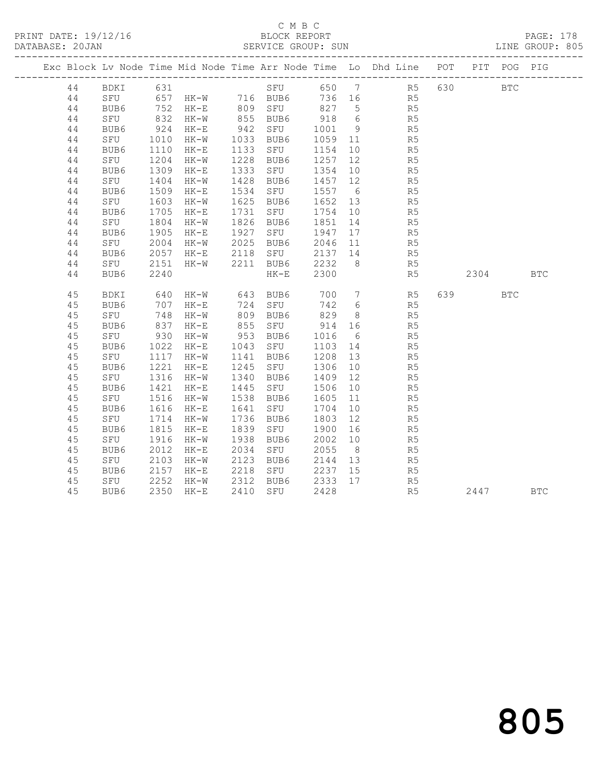|  |    |                                   |                      |               |      |           |          |                 | Exc Block Lv Node Time Mid Node Time Arr Node Time Lo Dhd Line POT PIT POG PIG |          |              |            |
|--|----|-----------------------------------|----------------------|---------------|------|-----------|----------|-----------------|--------------------------------------------------------------------------------|----------|--------------|------------|
|  | 44 |                                   |                      |               |      |           |          |                 |                                                                                |          | $_{\rm BTC}$ |            |
|  | 44 |                                   |                      |               |      |           |          |                 |                                                                                |          |              |            |
|  | 44 |                                   |                      |               |      |           |          |                 |                                                                                |          |              |            |
|  | 44 | SFU                               | 832                  | HK-W          |      | 855 BUB6  | 918 6    |                 | R <sub>5</sub>                                                                 |          |              |            |
|  | 44 | BUB6                              | $924$<br>$1010$      | $HK-E$        |      | 942 SFU   | 1001 9   |                 | R5<br>R5                                                                       |          |              |            |
|  | 44 | SFU                               |                      | HK-W          |      | 1033 BUB6 | 1059 11  |                 |                                                                                |          |              |            |
|  | 44 | BUB6                              | 1110                 | $HK-E$        |      | 1133 SFU  | 1154     | 10              | R <sub>5</sub>                                                                 |          |              |            |
|  | 44 | SFU                               | 1204<br>1309<br>1404 | HK-W          | 1228 | BUB6      | 1257     | 12              | R5                                                                             |          |              |            |
|  | 44 | BUB6                              |                      | $HK-E$        | 1333 | SFU       | 1354 10  |                 | R5<br>R5                                                                       |          |              |            |
|  | 44 | SFU                               |                      | $HK-W$        | 1428 | BUB6      | 1457 12  |                 |                                                                                |          |              |            |
|  | 44 | BUB6                              | 1509                 | HK-E          | 1534 | SFU       | 1557 6   |                 | R <sub>5</sub>                                                                 |          |              |            |
|  | 44 | SFU                               | 1603<br>1705         | HK-W          | 1625 | BUB6      | 1652 13  |                 | R5                                                                             |          |              |            |
|  | 44 | BUB6                              |                      | $HK-E$        |      | 1731 SFU  | 1754 10  |                 | R5                                                                             |          |              |            |
|  | 44 | SFU                               | 1804                 | HK-W          |      | 1826 BUB6 | 1851     | 14              | R5                                                                             |          |              |            |
|  | 44 | BUB6                              | 1905                 | $HK-E$        |      | 1927 SFU  | 1947     | 17              | R <sub>5</sub>                                                                 |          |              |            |
|  | 44 | SFU 2004<br>BUB6 2057<br>SFU 2151 |                      | $HK-W$        |      | 2025 BUB6 | 2046 11  |                 | R <sub>5</sub>                                                                 |          |              |            |
|  | 44 |                                   | 2057                 | HK-E          |      | 2118 SFU  | 2137 14  |                 | R5<br>R5                                                                       |          |              |            |
|  | 44 |                                   |                      | $HK-W$        |      | 2211 BUB6 | $2232$ 8 |                 |                                                                                |          |              |            |
|  | 44 | BUB6                              | 2240                 |               |      | $HK-E$    | 2300     |                 | R5                                                                             | 2304 BTC |              |            |
|  | 45 | BDKI                              | 640                  | HK-W 643 BUB6 |      |           |          |                 | 700 7 R5                                                                       | 639 — 10 | <b>BTC</b>   |            |
|  | 45 | BUB6                              | 707                  | $HK-E$        |      | 724 SFU   | 742 6    |                 | R <sub>5</sub>                                                                 |          |              |            |
|  | 45 | SFU                               | 748                  | $HK-W$        |      | 809 BUB6  | 829      |                 | 8 R5                                                                           |          |              |            |
|  | 45 | BUB6                              |                      | $HK-E$        |      | 855 SFU   | 914      | 16              | R <sub>5</sub>                                                                 |          |              |            |
|  | 45 | SFU                               | 837<br>930           | $HK-W$        |      | 953 BUB6  | 1016     | $6\overline{6}$ | R5                                                                             |          |              |            |
|  | 45 | BUB6                              | 1022                 | HK-E 1043     |      | SFU       | 1103 14  |                 | R <sub>5</sub>                                                                 |          |              |            |
|  | 45 | SFU                               | 1117                 | $HK-W$        | 1141 | BUB6      | 1208     | 13              | R5                                                                             |          |              |            |
|  | 45 | BUB6                              |                      | $HK-E$        | 1245 | SFU       | 1306     | 10              | R <sub>5</sub>                                                                 |          |              |            |
|  | 45 | SFU                               | 1221<br>1316         | HK-W          |      | 1340 BUB6 | 1409     | 12              | R5                                                                             |          |              |            |
|  | 45 | BUB6                              | 1421                 | HK-E          | 1445 | SFU       | 1506     | 10              | R5                                                                             |          |              |            |
|  | 45 | SFU                               | 1516                 | HK-W          | 1538 | BUB6      | 1605     | 11              | R5                                                                             |          |              |            |
|  | 45 | BUB6                              | 1616                 | $HK-E$        | 1641 | SFU       | 1704     | 10              | R5                                                                             |          |              |            |
|  | 45 | SFU                               | 1714                 | HK-W          | 1736 | BUB6      | 1803     | 12              | R5                                                                             |          |              |            |
|  | 45 | BUB6                              | 1815                 | $HK-E$        | 1839 | SFU       | 1900     | 16              | R5                                                                             |          |              |            |
|  | 45 | SFU                               | 1916                 | HK-W          | 1938 | BUB6      | 2002     | 10              | R5                                                                             |          |              |            |
|  | 45 | BUB6                              | 2012                 | HK-E          | 2034 | SFU       | 2055     | 8 <sup>8</sup>  | R5                                                                             |          |              |            |
|  | 45 | SFU                               | 2103                 | $HK-W$        | 2123 | BUB6      | 2144 13  |                 | R5                                                                             |          |              |            |
|  | 45 | BUB6                              | 2157                 | HK-E          |      | 2218 SFU  | 2237 15  |                 | R5                                                                             |          |              |            |
|  | 45 | SFU                               | 2252                 | HK-W          |      | 2312 BUB6 | 2333     | 17              | R5                                                                             |          |              |            |
|  | 45 | BUB6                              | 2350                 | HK-E          | 2410 | SFU       | 2428     |                 | R <sub>5</sub>                                                                 | 2447     |              | <b>BTC</b> |
|  |    |                                   |                      |               |      |           |          |                 |                                                                                |          |              |            |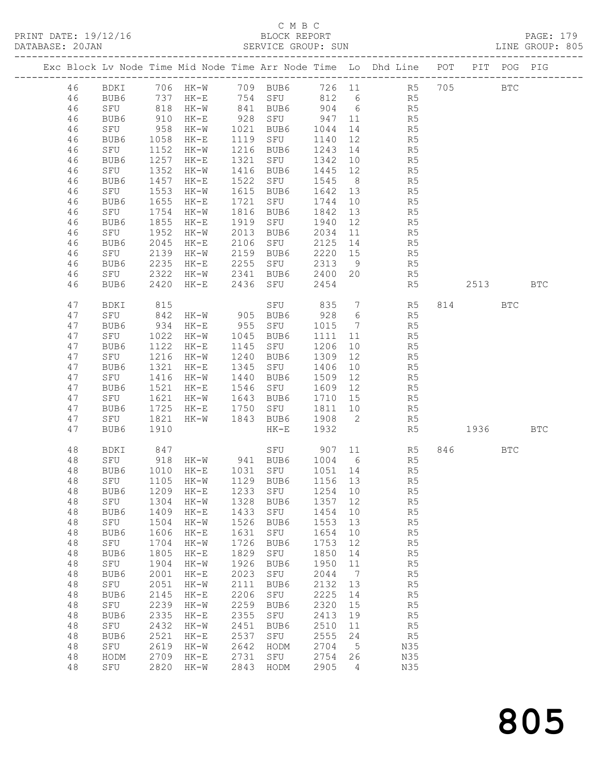#### C M B C<br>BLOCK REPORT SERVICE GROUP: SUN

PRINT DATE: 19/12/16 BLOCK REPORT PAGE: 179

|    |      |                           |                                           |      |                                 |         |                              | Exc Block Lv Node Time Mid Node Time Arr Node Time Lo Dhd Line POT PIT POG PIG |          |            |            |
|----|------|---------------------------|-------------------------------------------|------|---------------------------------|---------|------------------------------|--------------------------------------------------------------------------------|----------|------------|------------|
|    |      |                           |                                           |      |                                 |         |                              |                                                                                |          |            |            |
| 46 |      |                           |                                           |      |                                 |         |                              | BDKI 706 HK-W 709 BUB6 726 11 R5 705 BTC                                       |          |            |            |
| 46 | BUB6 |                           |                                           |      |                                 |         |                              | 737 HK-E 754 SFU 812 6 R5                                                      |          |            |            |
| 46 | SFU  |                           | 818 HK-W                                  |      |                                 |         |                              | 841 BUB6 904 6 R5                                                              |          |            |            |
| 46 | BUB6 | 910                       | $HK-E$                                    |      | 928 SFU                         | 947 11  |                              | R <sub>5</sub>                                                                 |          |            |            |
| 46 | SFU  | 958                       | HK-W                                      |      | 1021 BUB6                       | 1044    | 14                           | R5                                                                             |          |            |            |
| 46 | BUB6 | 1058                      | HK-E                                      |      | 1119 SFU                        | 1140    | 12                           | R5                                                                             |          |            |            |
| 46 | SFU  | 1152                      | $HK-W$                                    |      | 1216 BUB6                       | 1243    | 14                           | R <sub>5</sub>                                                                 |          |            |            |
| 46 | BUB6 | 1257                      | $HK-E$                                    |      | 1321 SFU                        | 1342 10 |                              | R5                                                                             |          |            |            |
| 46 | SFU  | 1352                      | HK-W                                      |      | 1416 BUB6                       | 1445 12 |                              |                                                                                |          |            |            |
|    |      | 1457                      |                                           |      | 1522 SFU                        | 1545 8  |                              | R5<br>R5                                                                       |          |            |            |
| 46 | BUB6 | 1553                      | HK-E                                      |      | 1615 BUB6                       | 1642 13 |                              | R <sub>5</sub>                                                                 |          |            |            |
| 46 | SFU  |                           | $HK-W$                                    |      |                                 |         |                              |                                                                                |          |            |            |
| 46 | BUB6 | 1655                      | $HK-E$                                    | 1721 | SFU                             | 1744    | 10                           | R5                                                                             |          |            |            |
| 46 | SFU  | 1754                      | HK-W                                      |      | 1816 BUB6                       | 1842 13 |                              | R5<br>R5                                                                       |          |            |            |
| 46 | BUB6 | 1855                      | HK-E                                      |      | 1919 SFU                        | 1940 12 |                              |                                                                                |          |            |            |
| 46 | SFU  | 1952                      | HK-W                                      |      | 2013 BUB6                       | 2034 11 |                              | R5                                                                             |          |            |            |
| 46 | BUB6 | 2045                      | $HK-E$                                    |      | 2106 SFU                        | 2125 14 |                              | R5                                                                             |          |            |            |
| 46 | SFU  | 2139                      |                                           |      | HK-W 2159 BUB6<br>HK-E 2255 SFU | 2220 15 |                              | R5<br>R5                                                                       |          |            |            |
| 46 | BUB6 | 2235                      |                                           |      |                                 | 2313 9  |                              |                                                                                |          |            |            |
| 46 | SFU  | 2322                      |                                           |      | HK-W 2341 BUB6 2400 20          |         |                              | R5                                                                             |          |            |            |
| 46 | BUB6 | 2420                      |                                           |      | HK-E 2436 SFU                   | 2454    |                              | R5                                                                             | 2513 BTC |            |            |
|    |      |                           |                                           |      |                                 |         |                              |                                                                                |          |            |            |
| 47 | BDKI | 815                       |                                           |      |                                 |         |                              | SFU 835 7 R5                                                                   | 814 BTC  |            |            |
| 47 | SFU  | 842                       | HK-W 905 BUB6                             |      |                                 | 928 6   |                              | R5                                                                             |          |            |            |
| 47 | BUB6 | 934                       | $HK-E$                                    |      | 955 SFU                         | 1015 7  |                              | R5                                                                             |          |            |            |
| 47 | SFU  | 1022                      | HK-W                                      |      | 1045 BUB6                       | 1111 11 |                              | R5                                                                             |          |            |            |
| 47 | BUB6 | $10 -$<br>1122            | $HK-E$                                    |      | 1145 SFU                        | 1206 10 |                              | R5                                                                             |          |            |            |
| 47 | SFU  |                           | 1216 HK-W                                 |      | 1240 BUB6                       |         |                              | 1309 12<br>R5                                                                  |          |            |            |
| 47 | BUB6 | 1321                      | $HK-E$                                    |      | 1345 SFU                        | 1406    |                              | 10<br>R5                                                                       |          |            |            |
| 47 | SFU  | 1416                      | HK-W                                      |      | 1440 BUB6                       | 1509    | 12                           | R5                                                                             |          |            |            |
| 47 |      | 1521                      |                                           |      | 1546 SFU                        | 1609 12 |                              |                                                                                |          |            |            |
|    | BUB6 | 1621                      | $HK-E$<br>$HK-W$                          |      |                                 |         |                              | R5<br>R5                                                                       |          |            |            |
| 47 | SFU  |                           |                                           |      | 1643 BUB6                       | 1710 15 |                              |                                                                                |          |            |            |
| 47 | BUB6 | 1725                      | $HK-E$                                    |      | 1750 SFU                        | 1811 10 |                              | R <sub>5</sub>                                                                 |          |            |            |
| 47 | SFU  | 1821                      | HK-W                                      |      | 1843 BUB6 1908 2                |         |                              | R5                                                                             |          |            |            |
| 47 | BUB6 | 1910                      |                                           |      | $HK-E$                          | 1932    |                              | R5                                                                             | 1936     |            | <b>BTC</b> |
|    |      |                           |                                           |      |                                 |         |                              |                                                                                |          |            |            |
| 48 | BDKI | 847                       |                                           |      |                                 |         |                              | SFU 907 11 R5                                                                  |          | <b>BTC</b> |            |
| 48 | SFU  | $918$<br>$1010$<br>$1105$ |                                           |      | HK-W 941 BUB6 1004 6            |         |                              | R5                                                                             |          |            |            |
| 48 | BUB6 |                           | 1010 HK-E 1031 SFU<br>1105 HK-W 1129 BUB6 |      |                                 | 1051 14 |                              | R5                                                                             |          |            |            |
| 48 | SFU  |                           |                                           |      |                                 | 1156 13 |                              | R5                                                                             |          |            |            |
| 48 |      |                           |                                           |      |                                 |         |                              | BUB6 1209 HK-E 1233 SFU 1254 10 R5                                             |          |            |            |
| 48 | SFU  | 1304                      | HK-W                                      | 1328 | BUB6                            | 1357    | 12                           | R5                                                                             |          |            |            |
| 48 | BUB6 | 1409                      | HK-E                                      | 1433 | SFU                             | 1454    | 10                           | R5                                                                             |          |            |            |
| 48 | SFU  | 1504                      | $HK-W$                                    | 1526 | BUB6                            | 1553    | 13                           | R <sub>5</sub>                                                                 |          |            |            |
| 48 | BUB6 | 1606                      | $HK-E$                                    | 1631 | SFU                             | 1654    | 10                           | R5                                                                             |          |            |            |
| 48 | SFU  | 1704                      | $HK-W$                                    | 1726 | BUB6                            | 1753    | 12                           | R5                                                                             |          |            |            |
| 48 | BUB6 | 1805                      | $HK-E$                                    | 1829 | SFU                             | 1850    | 14                           | R5                                                                             |          |            |            |
| 48 | SFU  | 1904                      | $HK-W$                                    | 1926 | BUB6                            | 1950    | 11                           | R5                                                                             |          |            |            |
| 48 | BUB6 | 2001                      | $HK-E$                                    | 2023 | SFU                             | 2044    | $7\phantom{.0}\phantom{.0}7$ | R5                                                                             |          |            |            |
| 48 | SFU  | 2051                      | $HK-W$                                    | 2111 | BUB6                            | 2132    | 13                           | R5                                                                             |          |            |            |
| 48 | BUB6 | 2145                      | $HK-E$                                    | 2206 | SFU                             | 2225    | 14                           | R5                                                                             |          |            |            |
| 48 | SFU  | 2239                      | $HK-W$                                    | 2259 | BUB6                            | 2320    | 15                           | R <sub>5</sub>                                                                 |          |            |            |
| 48 | BUB6 | 2335                      | $HK-E$                                    | 2355 | SFU                             | 2413    | 19                           | R5                                                                             |          |            |            |
|    |      | 2432                      |                                           | 2451 |                                 | 2510    |                              |                                                                                |          |            |            |
| 48 | SFU  |                           | $HK-W$                                    |      | BUB6                            |         | 11                           | R5                                                                             |          |            |            |
| 48 | BUB6 | 2521                      | $HK-E$                                    | 2537 | SFU                             | 2555    | 24                           | R5                                                                             |          |            |            |
| 48 | SFU  | 2619                      | $HK-W$                                    | 2642 | HODM                            | 2704    | $5\overline{)}$              | N35                                                                            |          |            |            |
| 48 | HODM | 2709                      | $HK-E$                                    | 2731 | SFU                             | 2754    | 26                           | N35                                                                            |          |            |            |
| 48 | SFU  |                           | 2820 HK-W                                 | 2843 | HODM                            | 2905    | $\overline{4}$               | N35                                                                            |          |            |            |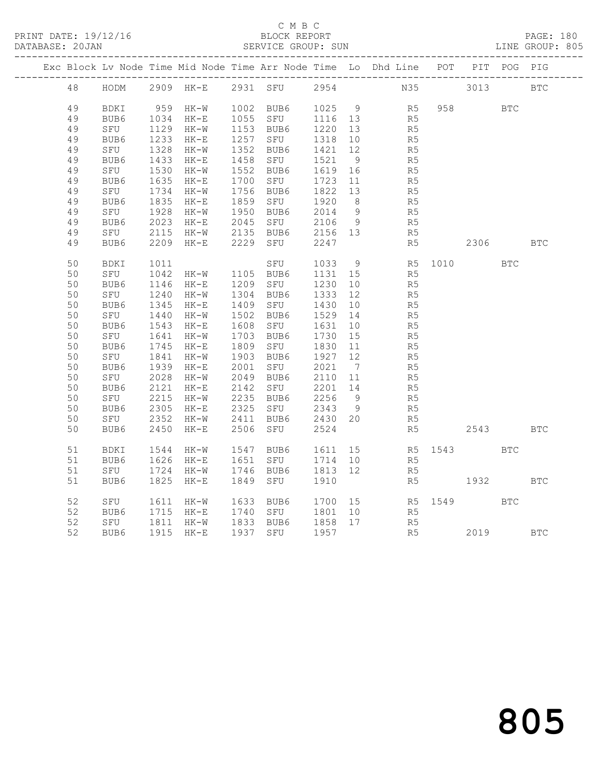| PRINT DATE: 19/12/16<br>DATABASE: 20JAN |    | BLOCK REPORT<br>SERVICE GROUP: SUN |      |           |      |           |      |                              |                                                                    |      | PAGE: 180<br>LINE GROUP: 805 |            |            |
|-----------------------------------------|----|------------------------------------|------|-----------|------|-----------|------|------------------------------|--------------------------------------------------------------------|------|------------------------------|------------|------------|
|                                         |    |                                    |      |           |      |           |      |                              | Exc Block Lv Node Time Mid Node Time Arr Node Time Lo Dhd Line POT |      |                              | PIT POG    | PIG        |
|                                         | 48 | HODM                               |      | 2909 HK-E |      | 2931 SFU  | 2954 |                              | N35                                                                |      | 3013                         |            | <b>BTC</b> |
|                                         | 49 | BDKI                               | 959  | HK-W      |      | 1002 BUB6 | 1025 | 9                            | R5                                                                 | 958  |                              | <b>BTC</b> |            |
|                                         | 49 | BUB6                               | 1034 | $HK-E$    | 1055 | SFU       | 1116 | 13                           | R <sub>5</sub>                                                     |      |                              |            |            |
|                                         | 49 | SFU                                | 1129 | HK-W      |      | 1153 BUB6 | 1220 | 13                           | R <sub>5</sub>                                                     |      |                              |            |            |
|                                         | 49 | BUB6                               | 1233 | $HK-E$    | 1257 | SFU       | 1318 | 10                           | R <sub>5</sub>                                                     |      |                              |            |            |
|                                         | 49 | SFU                                | 1328 | HK-W      | 1352 | BUB6      | 1421 | 12                           | R5                                                                 |      |                              |            |            |
|                                         | 49 | BUB6                               | 1433 | $HK-E$    | 1458 | SFU       | 1521 | 9                            | R <sub>5</sub>                                                     |      |                              |            |            |
|                                         | 49 | SFU                                | 1530 | $HK-W$    | 1552 | BUB6      | 1619 | 16                           | R5                                                                 |      |                              |            |            |
|                                         | 49 | BUB6                               | 1635 | $HK-E$    | 1700 | SFU       | 1723 | 11                           | R <sub>5</sub>                                                     |      |                              |            |            |
|                                         | 49 | SFU                                | 1734 | HK-W      | 1756 | BUB6      | 1822 | 13                           | R5                                                                 |      |                              |            |            |
|                                         | 49 | BUB6                               | 1835 | $HK-E$    | 1859 | SFU       | 1920 | 8                            | R <sub>5</sub>                                                     |      |                              |            |            |
|                                         | 49 | SFU                                | 1928 | HK-W      | 1950 | BUB6      | 2014 | $\overline{9}$               | R <sub>5</sub>                                                     |      |                              |            |            |
|                                         | 49 | BUB6                               | 2023 | $HK-E$    | 2045 | SFU       | 2106 | - 9                          | R <sub>5</sub>                                                     |      |                              |            |            |
|                                         | 49 | SFU                                | 2115 | HK-W      | 2135 | BUB6      | 2156 | 13                           | R <sub>5</sub>                                                     |      |                              |            |            |
|                                         | 49 | BUB6                               | 2209 | $HK-E$    | 2229 | SFU       | 2247 |                              | R5                                                                 |      | 2306                         |            | <b>BTC</b> |
|                                         | 50 | <b>BDKI</b>                        | 1011 |           |      | SFU       | 1033 | - 9                          | R <sub>5</sub>                                                     | 1010 |                              | <b>BTC</b> |            |
|                                         | 50 | SFU                                | 1042 | HK-W      | 1105 | BUB6      | 1131 | 15                           | R <sub>5</sub>                                                     |      |                              |            |            |
|                                         | 50 | BUB6                               | 1146 | $HK-E$    | 1209 | SFU       | 1230 | 10                           | R <sub>5</sub>                                                     |      |                              |            |            |
|                                         | 50 | SFU                                | 1240 | $HK-W$    | 1304 | BUB6      | 1333 | 12                           | R <sub>5</sub>                                                     |      |                              |            |            |
|                                         | 50 | BUB6                               | 1345 | $HK-E$    | 1409 | SFU       | 1430 | 10                           | R5                                                                 |      |                              |            |            |
|                                         | 50 | SFU                                | 1440 | HK-W      | 1502 | BUB6      | 1529 | 14                           | R5                                                                 |      |                              |            |            |
|                                         | 50 | BUB6                               | 1543 | $HK-E$    | 1608 | SFU       | 1631 | 10                           | R <sub>5</sub>                                                     |      |                              |            |            |
|                                         | 50 | SFU                                | 1641 | $HK-W$    | 1703 | BUB6      | 1730 | 15                           | R <sub>5</sub>                                                     |      |                              |            |            |
|                                         | 50 | BUB6                               | 1745 | $HK-E$    | 1809 | SFU       | 1830 | 11                           | R5                                                                 |      |                              |            |            |
|                                         | 50 | SFU                                | 1841 | HK-W      | 1903 | BUB6      | 1927 | 12                           | R5                                                                 |      |                              |            |            |
|                                         | 50 | BUB6                               | 1939 | $HK-E$    | 2001 | SFU       | 2021 | $7\phantom{.0}\phantom{.0}7$ | R <sub>5</sub>                                                     |      |                              |            |            |
|                                         | 50 | SFU                                | 2028 | $HK-W$    | 2049 | BUB6      | 2110 | 11                           | R <sub>5</sub>                                                     |      |                              |            |            |
|                                         | 50 | BUB6                               | 2121 | $HK-E$    | 2142 | SFU       | 2201 | 14                           | R <sub>5</sub>                                                     |      |                              |            |            |
|                                         | 50 | SFU                                | 2215 | HK-W      | 2235 | BUB6      | 2256 | - 9                          | R <sub>5</sub>                                                     |      |                              |            |            |
|                                         | 50 | BUB6                               | 2305 | $HK-E$    | 2325 | SFU       | 2343 | 9                            | R <sub>5</sub>                                                     |      |                              |            |            |
|                                         | 50 | SFU                                | 2352 | HK-W      | 2411 | BUB6      | 2430 | 20                           | R <sub>5</sub>                                                     |      |                              |            |            |
|                                         | 50 | BUB6                               | 2450 | $HK-E$    | 2506 | SFU       | 2524 |                              | R5                                                                 |      | 2543                         |            | <b>BTC</b> |
|                                         | 51 | BDKI                               | 1544 | HK-W      | 1547 | BUB6      | 1611 | 15                           | R5                                                                 | 1543 |                              | <b>BTC</b> |            |
|                                         | 51 | BUB6                               | 1626 | $HK-E$    | 1651 | SFU       | 1714 | 10                           | R <sub>5</sub>                                                     |      |                              |            |            |
|                                         | 51 | SFU                                | 1724 | $HK-W$    | 1746 | BUB6      | 1813 | 12                           | R5                                                                 |      |                              |            |            |
|                                         | 51 | BUB6                               | 1825 | $HK-E$    | 1849 | SFU       | 1910 |                              | R5                                                                 |      | 1932                         |            | <b>BTC</b> |
|                                         | 52 | SFU                                | 1611 | HK-W      | 1633 | BUB6      | 1700 | 15                           | R5                                                                 | 1549 |                              | <b>BTC</b> |            |
|                                         | 52 | BUB6                               | 1715 | $HK-E$    | 1740 | SFU       | 1801 | 10                           | R5                                                                 |      |                              |            |            |
|                                         | 52 | SFU                                | 1811 | HK-W      | 1833 | BUB6      | 1858 | 17                           | R <sub>5</sub>                                                     |      |                              |            |            |
|                                         | 52 | BUB6                               | 1915 | $HK-E$    | 1937 | SFU       | 1957 |                              | R <sub>5</sub>                                                     |      | 2019                         |            | <b>BTC</b> |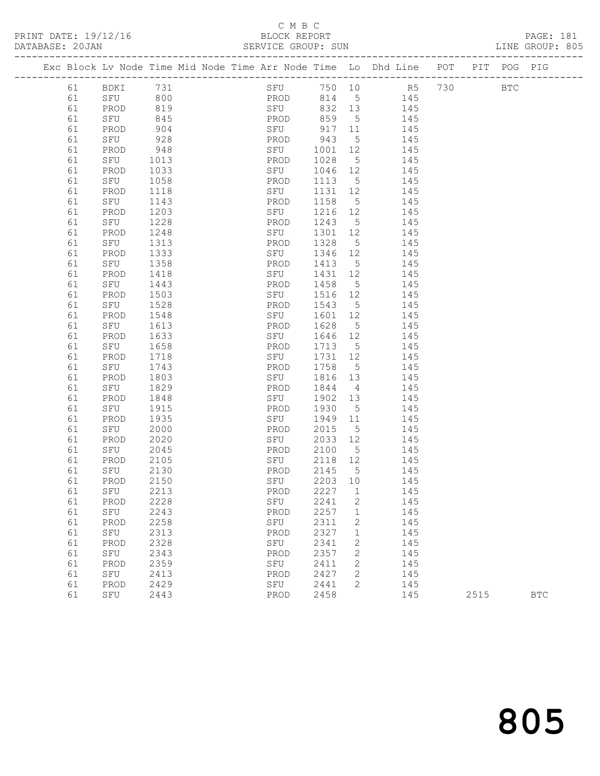PRINT DATE: 19/12/16 BLOCK REPORT PAGE: 181

## C M B C<br>BLOCK REPORT

| DATABASE: 20JAN |    |      |      |  |      |         |                 |                                                                    |            |             | LINE GROUP: 805 |  |
|-----------------|----|------|------|--|------|---------|-----------------|--------------------------------------------------------------------|------------|-------------|-----------------|--|
|                 |    |      |      |  |      |         |                 | Exc Block Lv Node Time Mid Node Time Arr Node Time Lo Dhd Line POT |            | PIT POG PIG |                 |  |
|                 | 61 | BDKI | 731  |  |      |         |                 | SFU 750 10 R5 730                                                  | <b>BTC</b> |             |                 |  |
|                 | 61 | SFU  | 800  |  |      |         |                 | PROD 814 5 145                                                     |            |             |                 |  |
|                 | 61 | PROD | 819  |  | SFU  | 832 13  |                 | 145                                                                |            |             |                 |  |
|                 | 61 | SFU  | 845  |  | PROD | 859     | $5^{\circ}$     | 145                                                                |            |             |                 |  |
|                 | 61 | PROD | 904  |  | SFU  | 917     | 11              | 145                                                                |            |             |                 |  |
|                 | 61 | SFU  | 928  |  | PROD | 943     | 5 <sup>5</sup>  | 145                                                                |            |             |                 |  |
|                 | 61 | PROD | 948  |  | SFU  | 1001 12 |                 | 145                                                                |            |             |                 |  |
|                 | 61 | SFU  | 1013 |  | PROD | 1028    | 5 <sup>5</sup>  | 145                                                                |            |             |                 |  |
|                 | 61 | PROD | 1033 |  | SFU  | 1046    | 12              | 145                                                                |            |             |                 |  |
|                 | 61 | SFU  | 1058 |  | PROD | 1113    | 5               | 145                                                                |            |             |                 |  |
|                 | 61 | PROD | 1118 |  | SFU  | 1131    | 12              | 145                                                                |            |             |                 |  |
|                 | 61 | SFU  | 1143 |  | PROD | 1158    | $5\overline{)}$ | 145                                                                |            |             |                 |  |
|                 | 61 | PROD | 1203 |  | SFU  | 1216    | 12              | 145                                                                |            |             |                 |  |
|                 | 61 | SFU  | 1228 |  | PROD | 1243    | $5\overline{)}$ | 145                                                                |            |             |                 |  |
|                 | 61 | PROD | 1248 |  | SFU  | 1301    | 12              | 145                                                                |            |             |                 |  |
|                 | 61 | SFU  | 1313 |  | PROD | 1328    | 5               | 145                                                                |            |             |                 |  |
|                 | 61 | PROD | 1333 |  | SFU  | 1346    | 12              | 145                                                                |            |             |                 |  |
|                 | 61 | SFU  | 1358 |  | PROD | 1413    | $5\overline{)}$ | 145                                                                |            |             |                 |  |
|                 | 61 | PROD | 1418 |  | SFU  | 1431 12 |                 | 145                                                                |            |             |                 |  |
|                 | 61 | SFU  | 1443 |  | PROD | 1458    | $5^{\circ}$     | 145                                                                |            |             |                 |  |
|                 | 61 | PROD | 1503 |  | SFU  | 1516    | 12              | 145                                                                |            |             |                 |  |
|                 | 61 | SFU  | 1528 |  | PROD | 1543    | $5\overline{)}$ | 145                                                                |            |             |                 |  |
|                 | 61 | PROD | 1548 |  | SFU  | 1601    | 12              | 145                                                                |            |             |                 |  |
|                 | 61 | SFU  | 1613 |  | PROD | 1628    | $5\overline{)}$ | 145                                                                |            |             |                 |  |
|                 | 61 | PROD | 1633 |  | SFU  | 1646 12 |                 | 145                                                                |            |             |                 |  |
|                 | 61 | SFU  | 1658 |  | PROD | 1713    | $5^{\circ}$     | 145                                                                |            |             |                 |  |
|                 | 61 | PROD | 1718 |  | SFU  | 1731 12 |                 | 145                                                                |            |             |                 |  |
|                 | 61 | SFU  | 1743 |  | PROD | 1758    | $5^{\circ}$     | 145                                                                |            |             |                 |  |
|                 | 61 | PROD | 1803 |  | SFU  | 1816    | 13              | 145                                                                |            |             |                 |  |
|                 | 61 | SFU  | 1829 |  | PROD | 1844    | $4\overline{4}$ | 145                                                                |            |             |                 |  |
|                 | 61 | PROD | 1848 |  | SFU  | 1902    | 13              | 145                                                                |            |             |                 |  |
|                 | 61 | SFU  | 1915 |  | PROD | 1930    | $5^{\circ}$     | 145                                                                |            |             |                 |  |
|                 | 61 | PROD | 1935 |  | SFU  | 1949 11 |                 | 145                                                                |            |             |                 |  |
|                 | 61 | SFU  | 2000 |  | PROD | 2015    | 5               | 145                                                                |            |             |                 |  |
|                 | 61 | PROD | 2020 |  | SFU  | 2033    | 12              | 145                                                                |            |             |                 |  |
|                 | 61 | SFU  | 2045 |  | PROD | 2100    | $5^{\circ}$     | 145                                                                |            |             |                 |  |
|                 | 61 | PROD | 2105 |  | SFU  | 2118    | 12              | 145                                                                |            |             |                 |  |
|                 | 61 | SFU  | 2130 |  | PROD | 2145    | $5^{\circ}$     | 145                                                                |            |             |                 |  |
|                 | 61 | PROD | 2150 |  | SFU  | 2203 10 |                 | 145                                                                |            |             |                 |  |
|                 | 61 | SFU  | 2213 |  | PROD | 2227    | $\overline{1}$  | 145                                                                |            |             |                 |  |
|                 | 61 | PROD | 2228 |  | SFU  | 2241    | 2               | 145                                                                |            |             |                 |  |

 61 SFU 2243 PROD 2257 1 145 61 PROD 2258 SFU 2311 2 145 61 SFU 2313 PROD 2327 1 145 61 PROD 2328 SFU 2341 2 145 61 SFU 2343 PROD 2357 2 145 61 PROD 2359 SFU 2411 2 145 61 SFU 2413 PROD 2427 2 145 61 PROD 2429 SFU 2441 2 145

805

61 SFU 2443 PROD 2458 145 2515 BTC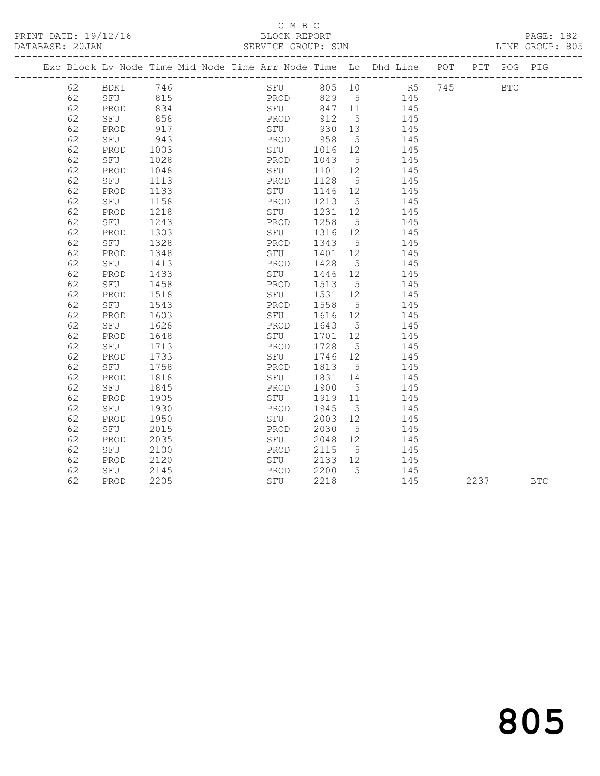PRINT DATE: 19/12/16 BLOCK REPORT PAGE: 182

## C M B C<br>BLOCK REPORT SERVICE GROUP: SUN

|    |      |      |  |            |        |                 | Exc Block Lv Node Time Mid Node Time Arr Node Time Lo Dhd Line POT |        | PIT POG PIG |  |
|----|------|------|--|------------|--------|-----------------|--------------------------------------------------------------------|--------|-------------|--|
| 62 | BDKI | 746  |  | SFU 805 10 |        |                 |                                                                    | R5 745 | BTC         |  |
| 62 | SFU  | 815  |  | PROD       |        |                 | 829 5 145                                                          |        |             |  |
| 62 | PROD | 834  |  | SFU        | 847 11 |                 | 145                                                                |        |             |  |
| 62 | SFU  | 858  |  | PROD       | 912    | $5^{\circ}$     | 145                                                                |        |             |  |
| 62 | PROD | 917  |  | SFU        | 930    | 13              | 145                                                                |        |             |  |
| 62 | SFU  | 943  |  | PROD       | 958    | 5               | 145                                                                |        |             |  |
| 62 | PROD | 1003 |  | SFU        | 1016   | 12              | 145                                                                |        |             |  |
| 62 | SFU  | 1028 |  | PROD       | 1043   | $5^{\circ}$     | 145                                                                |        |             |  |
| 62 | PROD | 1048 |  | SFU        | 1101   | 12              | 145                                                                |        |             |  |
| 62 | SFU  | 1113 |  | PROD       | 1128   | 5               | 145                                                                |        |             |  |
| 62 | PROD | 1133 |  | SFU        | 1146   | 12              | 145                                                                |        |             |  |
| 62 | SFU  | 1158 |  | PROD       | 1213   | $5\overline{)}$ | 145                                                                |        |             |  |
| 62 | PROD | 1218 |  | SFU        | 1231   | 12              | 145                                                                |        |             |  |
| 62 | SFU  | 1243 |  | PROD       | 1258   | $5^{\circ}$     | 145                                                                |        |             |  |
| 62 | PROD | 1303 |  | SFU        | 1316   | 12              | 145                                                                |        |             |  |
| 62 | SFU  | 1328 |  | PROD       | 1343   | $5^{\circ}$     | 145                                                                |        |             |  |
| 62 | PROD | 1348 |  | SFU        | 1401   | 12              | 145                                                                |        |             |  |
| 62 | SFU  | 1413 |  | PROD       | 1428   | $5^{\circ}$     | 145                                                                |        |             |  |
| 62 | PROD | 1433 |  | SFU        | 1446   | 12              | 145                                                                |        |             |  |
| 62 | SFU  | 1458 |  | PROD       | 1513   | $5^{\circ}$     | 145                                                                |        |             |  |
| 62 | PROD | 1518 |  | SFU        | 1531   | 12 <sup>°</sup> | 145                                                                |        |             |  |
| 62 | SFU  | 1543 |  | PROD       | 1558   | $5^{\circ}$     | 145                                                                |        |             |  |
| 62 | PROD | 1603 |  | SFU        | 1616   | 12              | 145                                                                |        |             |  |
| 62 | SFU  | 1628 |  | PROD       | 1643   | 5               | 145                                                                |        |             |  |
| 62 | PROD | 1648 |  | SFU        | 1701   | 12              | 145                                                                |        |             |  |
| 62 | SFU  | 1713 |  | PROD       | 1728   | 5               | 145                                                                |        |             |  |
| 62 | PROD | 1733 |  | SFU        | 1746   | 12              | 145                                                                |        |             |  |
| 62 | SFU  | 1758 |  | PROD       | 1813   | $5^{\circ}$     | 145                                                                |        |             |  |
| 62 | PROD | 1818 |  | SFU        | 1831   | 14              | 145                                                                |        |             |  |
| 62 | SFU  | 1845 |  | PROD       | 1900   | $5^{\circ}$     | 145                                                                |        |             |  |
| 62 | PROD | 1905 |  | SFU        | 1919   | 11              | 145                                                                |        |             |  |
| 62 | SFU  | 1930 |  | PROD       | 1945   | $5\overline{)}$ | 145                                                                |        |             |  |
| 62 | PROD | 1950 |  | SFU        | 2003   | 12              | 145                                                                |        |             |  |
| 62 | SFU  | 2015 |  | PROD       | 2030   | 5               | 145                                                                |        |             |  |
| 62 | PROD | 2035 |  | SFU        | 2048   | 12              | 145                                                                |        |             |  |
| 62 | SFU  | 2100 |  | PROD       | 2115   | $5^{\circ}$     | 145                                                                |        |             |  |
| 62 | PROD | 2120 |  | SFU        | 2133   | 12              | 145                                                                |        |             |  |
| 62 | SFU  | 2145 |  | PROD       | 2200   | 5               | 145                                                                |        |             |  |

62 PROD 2205 SFU 2218 145 2237 BTC

805